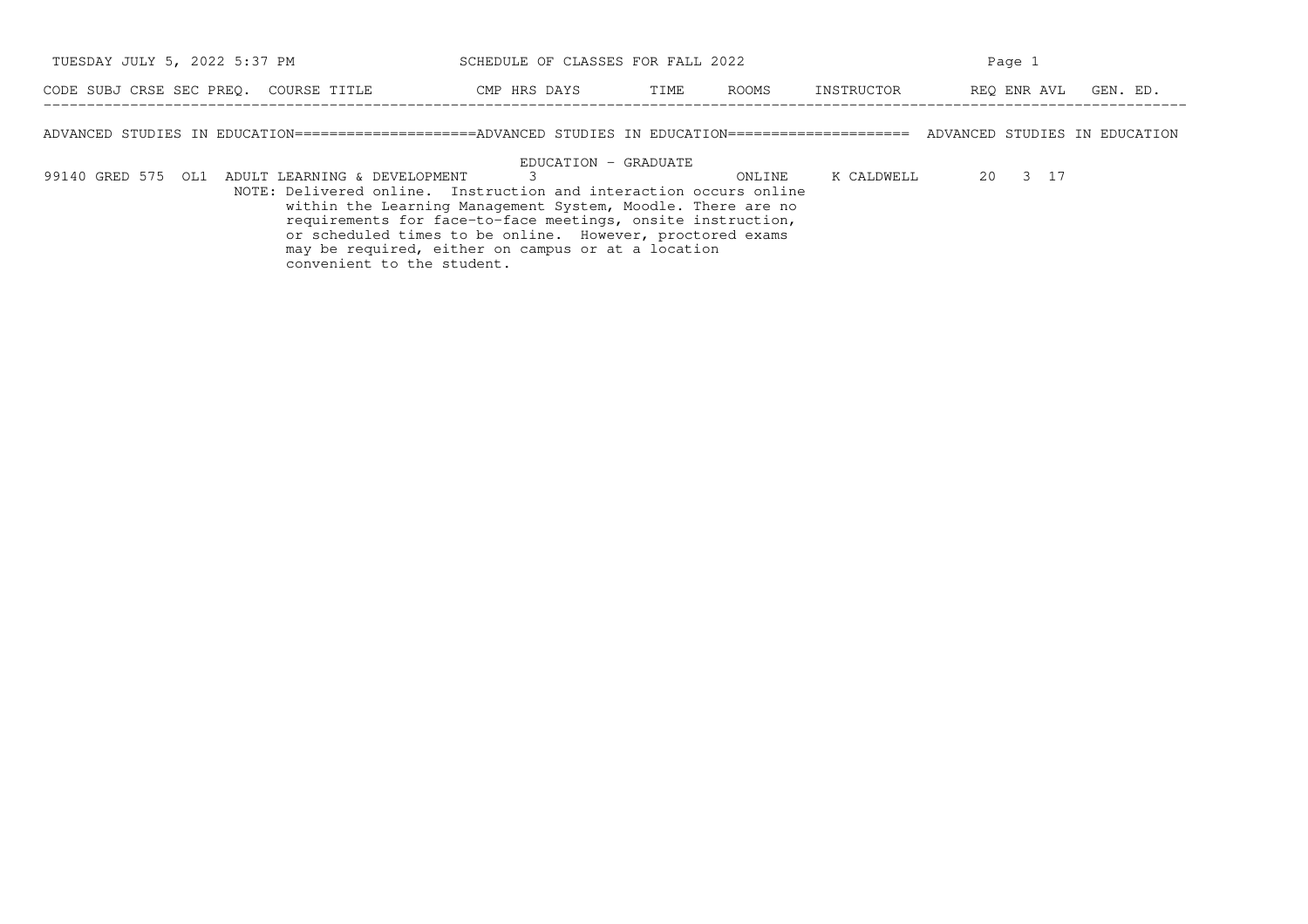| TUESDAY JULY 5, 2022 5:37 PM          | SCHEDULE OF CLASSES FOR FALL 2022 |             |          | Page |  |  |  |  |  |
|---------------------------------------|-----------------------------------|-------------|----------|------|--|--|--|--|--|
| CODE SUBJ CRSE SEC PREO. COURSE TITLE | CMP HRS DAYS                      | REO ENR AVL | GEN. ED. |      |  |  |  |  |  |

ADVANCED STUDIES IN EDUCATION=====================ADVANCED STUDIES IN EDUCATION===================== ADVANCED STUDIES IN EDUCATION

EDUCATION − GRADUATE

99140 GRED 575 OL1 ADULT LEARNING & DEVELOPMENT 3 3 3 3 3 3 3 3 3 3 17 NOTE: Delivered online. Instruction and interaction occurs online within the Learning Management System, Moodle. There are no requirements for face−to−face meetings, onsite instruction, or scheduled times to be online. However, proctored examsmay be required, either on campus or at a location convenient to the student.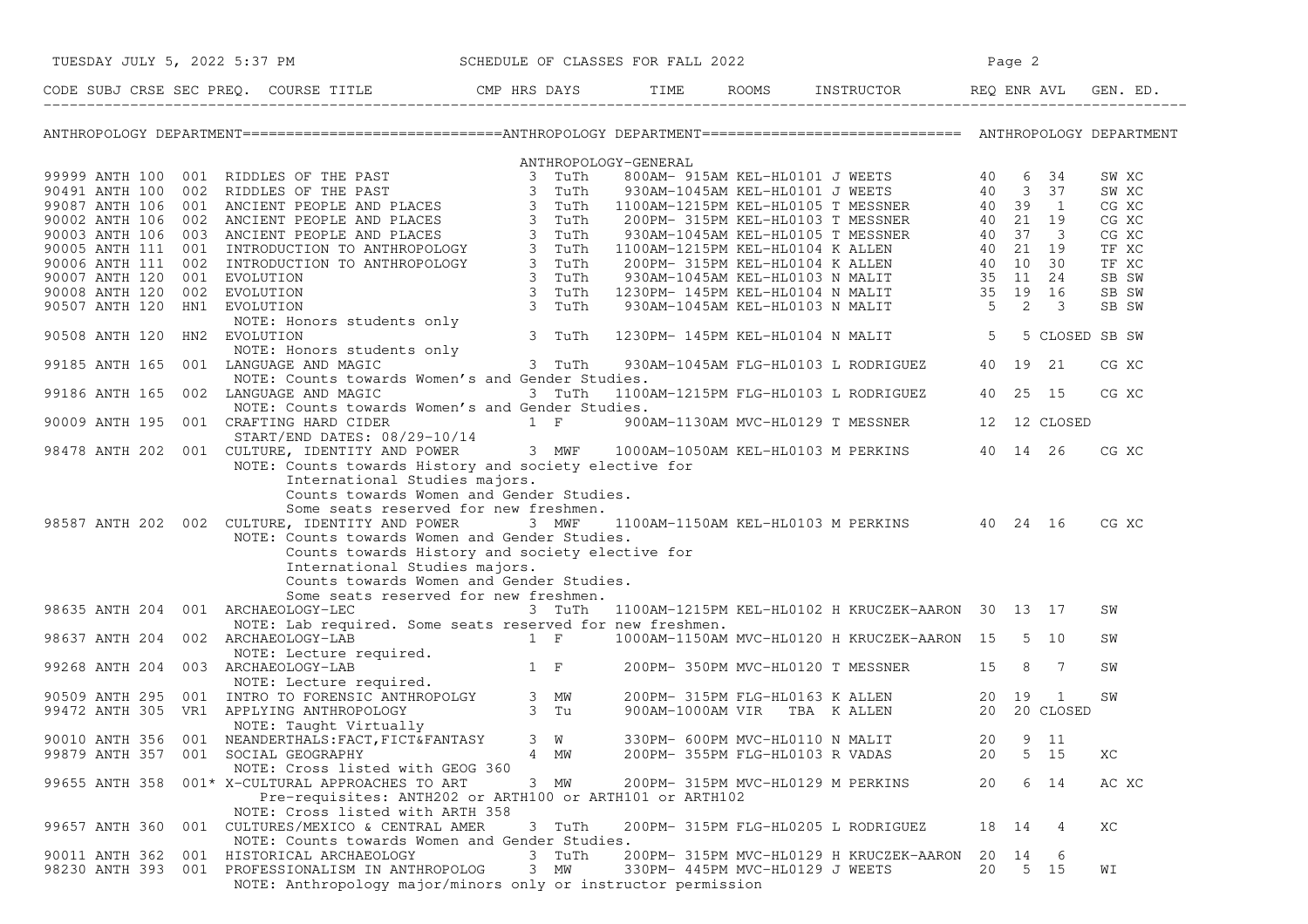| TUESDAY JULY 5, 2022 5:37 PM     |     |                                                                                                                                                                                                                                                                                                                                                                                                 | SCHEDULE OF CLASSES FOR FALL 2022                                                                               |              |  |                                   |                                               |             | Page 2 |           |                |
|----------------------------------|-----|-------------------------------------------------------------------------------------------------------------------------------------------------------------------------------------------------------------------------------------------------------------------------------------------------------------------------------------------------------------------------------------------------|-----------------------------------------------------------------------------------------------------------------|--------------|--|-----------------------------------|-----------------------------------------------|-------------|--------|-----------|----------------|
|                                  |     | CODE SUBJ CRSE SEC PREQ. COURSE TITLE CMP HRS DAYS TIME ROOMS INSTRUCTOR REQ ENR AVL GEN. ED.                                                                                                                                                                                                                                                                                                   |                                                                                                                 |              |  |                                   |                                               |             |        |           |                |
|                                  |     | ANTHROPOLOGY DEPARTMENT============================ANTHROPOLOGY DEPARTMENT=============================== ANTHROPOLOGY DEPARTMENT                                                                                                                                                                                                                                                               |                                                                                                                 |              |  |                                   |                                               |             |        |           |                |
|                                  |     |                                                                                                                                                                                                                                                                                                                                                                                                 |                                                                                                                 |              |  |                                   |                                               |             |        |           |                |
|                                  |     |                                                                                                                                                                                                                                                                                                                                                                                                 |                                                                                                                 |              |  |                                   |                                               |             |        |           | SW XC          |
|                                  |     |                                                                                                                                                                                                                                                                                                                                                                                                 |                                                                                                                 |              |  |                                   |                                               |             |        |           | SW XC          |
|                                  |     |                                                                                                                                                                                                                                                                                                                                                                                                 |                                                                                                                 |              |  |                                   |                                               |             |        |           | CG XC          |
|                                  |     |                                                                                                                                                                                                                                                                                                                                                                                                 |                                                                                                                 |              |  |                                   |                                               |             |        |           | CG XC          |
|                                  |     |                                                                                                                                                                                                                                                                                                                                                                                                 |                                                                                                                 |              |  |                                   |                                               |             |        |           | CG XC          |
|                                  |     |                                                                                                                                                                                                                                                                                                                                                                                                 |                                                                                                                 |              |  |                                   |                                               |             |        |           | TF XC          |
|                                  |     |                                                                                                                                                                                                                                                                                                                                                                                                 |                                                                                                                 |              |  |                                   |                                               |             |        |           | TF XC<br>SB SW |
|                                  |     |                                                                                                                                                                                                                                                                                                                                                                                                 |                                                                                                                 |              |  |                                   |                                               |             |        |           | SB SW          |
|                                  |     |                                                                                                                                                                                                                                                                                                                                                                                                 |                                                                                                                 |              |  |                                   |                                               |             |        |           | SB SW          |
|                                  |     |                                                                                                                                                                                                                                                                                                                                                                                                 |                                                                                                                 |              |  |                                   |                                               |             |        |           |                |
|                                  |     |                                                                                                                                                                                                                                                                                                                                                                                                 |                                                                                                                 |              |  |                                   |                                               |             |        |           | 5 CLOSED SB SW |
|                                  |     |                                                                                                                                                                                                                                                                                                                                                                                                 |                                                                                                                 |              |  |                                   |                                               |             |        |           |                |
|                                  |     | NOTE: Honors students only<br>LANGUAGE AND MAGIC<br>99185 ANTH 165 001 LANGUAGE AND MAGIC                                                                                                                                                                                                                                                                                                       |                                                                                                                 | 3 TuTh       |  |                                   | 930AM-1045AM FLG-HL0103 L RODRIGUEZ 40 19 21  |             |        |           | CG XC          |
|                                  |     | NOTE: Counts towards Women's and Gender Studies.                                                                                                                                                                                                                                                                                                                                                |                                                                                                                 |              |  |                                   |                                               |             |        |           |                |
|                                  |     | 99186 ANTH 165 002 LANGUAGE AND MAGIC                                                                                                                                                                                                                                                                                                                                                           | and the state of the state of the state of the state of the state of the state of the state of the state of the |              |  |                                   | 1100AM-1215PM FLG-HL0103 L RODRIGUEZ 40 25 15 |             |        |           | CG XC          |
|                                  |     | NOTE: Counts towards Women's and Gender Studies.                                                                                                                                                                                                                                                                                                                                                |                                                                                                                 |              |  |                                   |                                               |             |        |           |                |
|                                  |     |                                                                                                                                                                                                                                                                                                                                                                                                 |                                                                                                                 |              |  |                                   |                                               |             |        |           |                |
|                                  |     | 90009 ANTH 195 001 CRAFTING HARD CIDER<br>START/END DATES: 08/29-10/14<br>98478 ANTH 202 001 CULTURE, IDENTITY AND POWER 3 MWF 1000AM-1050AM KEL-HL0103 M PERKINS 40 14 26                                                                                                                                                                                                                      |                                                                                                                 |              |  |                                   |                                               |             |        |           |                |
|                                  |     | NOTE: Counts towards History and society elective for                                                                                                                                                                                                                                                                                                                                           |                                                                                                                 |              |  |                                   |                                               |             |        |           | CG XC          |
|                                  |     | International Studies majors.<br>Counts towards Women and Gender Studies.<br>Some seats reserved for new freshmen.<br>98587 ANTH 202 002 CULTURE, IDENTITY AND POWER<br>NOTE: Counts towards Women and Gender Studies.<br>Counts towards History and society elective for<br>International Studies majors.<br>Counts towards Women and Gender Studies.<br>Some seats reserved for new freshmen. | 3 MWF                                                                                                           |              |  |                                   | 1100AM-1150AM KEL-HL0103 M PERKINS 40 24 16   |             |        |           | CG XC          |
|                                  |     | 98635 ANTH 204 001 ARCHAEOLOGY-LEC 3 TuTh 1100AM-1215PM KEL-HL0102 H KRUCZEK-AARON 30 13 17                                                                                                                                                                                                                                                                                                     |                                                                                                                 |              |  |                                   |                                               |             |        |           | SW             |
|                                  |     | NOTE: Lab required. Some seats reserved for new freshmen.                                                                                                                                                                                                                                                                                                                                       |                                                                                                                 |              |  |                                   |                                               |             |        |           |                |
|                                  |     | 98637 ANTH 204 002 ARCHAEOLOGY-LAB<br>99268 ANTH 204 002 ARCHAEOLOGY-LAB<br>99268 ANTH 204 003 ARCHAEOLOGY-LAB<br>99268 ANTH 204 003 ARCHAEOLOGY-LAB<br>99268 ANTH 204 003 ARCHAEOLOGY-LAB<br>99268 ANTH 204 003 ARCHAEOLOGY-LAB<br>99268                                                                                                                                                       |                                                                                                                 |              |  |                                   |                                               |             |        |           | SW             |
|                                  |     |                                                                                                                                                                                                                                                                                                                                                                                                 |                                                                                                                 |              |  |                                   |                                               |             |        |           |                |
|                                  |     |                                                                                                                                                                                                                                                                                                                                                                                                 |                                                                                                                 |              |  |                                   |                                               |             |        |           | SW             |
|                                  |     |                                                                                                                                                                                                                                                                                                                                                                                                 |                                                                                                                 |              |  |                                   |                                               |             |        |           |                |
|                                  |     |                                                                                                                                                                                                                                                                                                                                                                                                 |                                                                                                                 |              |  |                                   |                                               |             |        |           | SW             |
|                                  |     |                                                                                                                                                                                                                                                                                                                                                                                                 |                                                                                                                 |              |  |                                   |                                               |             |        |           |                |
|                                  |     |                                                                                                                                                                                                                                                                                                                                                                                                 |                                                                                                                 |              |  |                                   |                                               |             |        |           |                |
|                                  |     | 99879 ANTH 357 001 SOCIAL GEOGRAPHY                                                                                                                                                                                                                                                                                                                                                             |                                                                                                                 | 4 MW         |  | 200PM- 355PM FLG-HL0103 R VADAS   |                                               | 20          |        | 5 15      | XC             |
|                                  |     | NOTE: Cross listed with GEOG 360                                                                                                                                                                                                                                                                                                                                                                |                                                                                                                 |              |  |                                   |                                               |             |        |           |                |
| 99655 ANTH 358                   |     | 001* X-CULTURAL APPROACHES TO ART<br>Pre-requisites: ANTH202 or ARTH100 or ARTH101 or ARTH102                                                                                                                                                                                                                                                                                                   |                                                                                                                 | 3 MW         |  | 200PM- 315PM MVC-HL0129 M PERKINS |                                               | 20          |        | 6 14      | AC XC          |
|                                  |     | NOTE: Cross listed with ARTH 358                                                                                                                                                                                                                                                                                                                                                                |                                                                                                                 |              |  |                                   |                                               |             |        |           |                |
| 99657 ANTH 360                   | 001 | CULTURES/MEXICO & CENTRAL AMER                                                                                                                                                                                                                                                                                                                                                                  |                                                                                                                 | 3 TuTh       |  |                                   | 200PM- 315PM FLG-HL0205 L RODRIGUEZ           | 18 14       |        | 4         | XC             |
|                                  |     | NOTE: Counts towards Women and Gender Studies.                                                                                                                                                                                                                                                                                                                                                  |                                                                                                                 |              |  |                                   |                                               |             |        |           |                |
| 90011 ANTH 362<br>98230 ANTH 393 | 001 | HISTORICAL ARCHAEOLOGY<br>001 PROFESSIONALISM IN ANTHROPOLOG                                                                                                                                                                                                                                                                                                                                    | 3                                                                                                               | TuTh<br>3 MW |  | 330PM- 445PM MVC-HL0129 J WEETS   | 200PM- 315PM MVC-HL0129 H KRUCZEK-AARON       | 20 14<br>20 |        | 6<br>5 15 | WI             |
|                                  |     | NOTE: Anthropology major/minors only or instructor permission                                                                                                                                                                                                                                                                                                                                   |                                                                                                                 |              |  |                                   |                                               |             |        |           |                |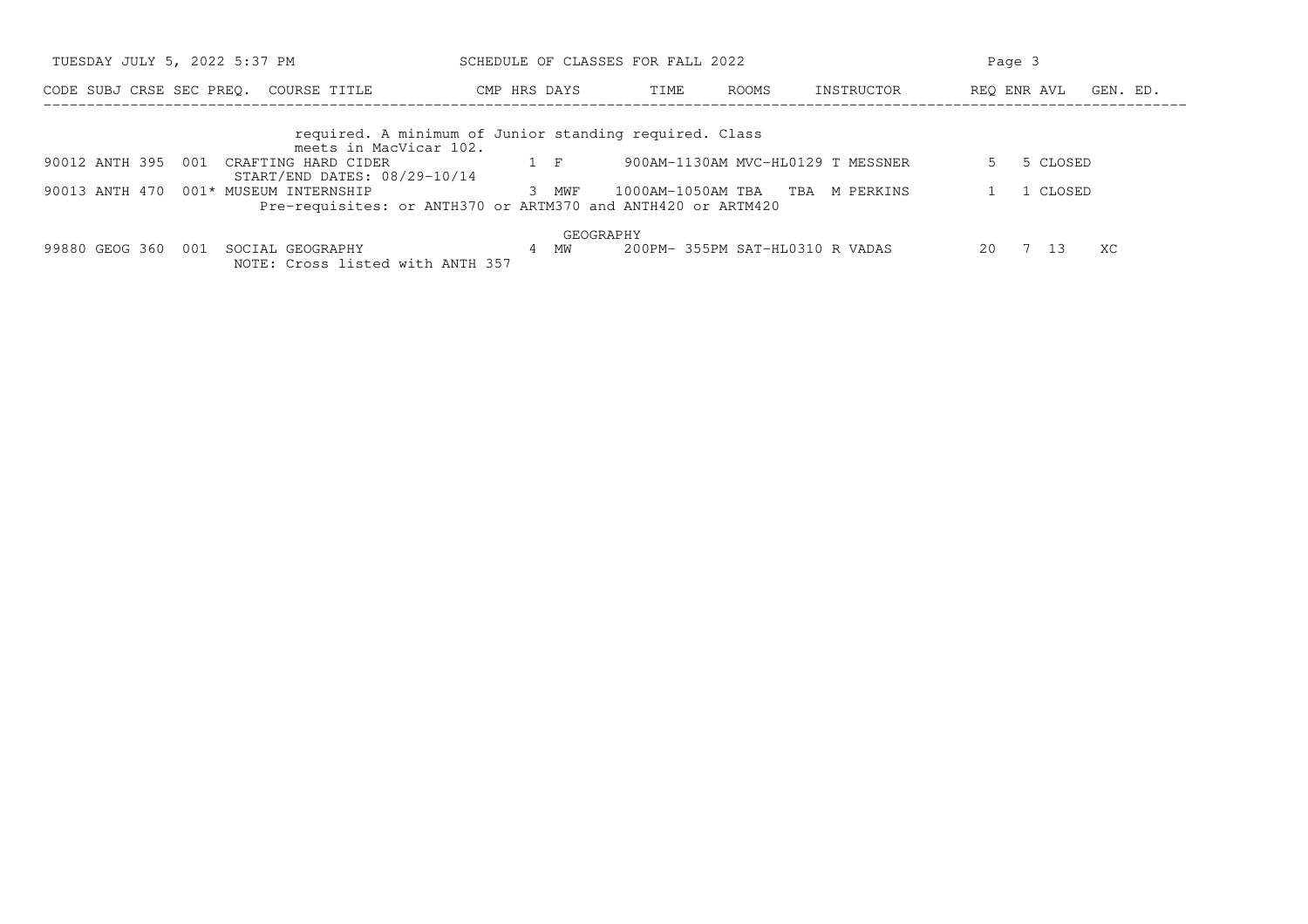| TUESDAY JULY 5, 2022 5:37 PM                                                  | SCHEDULE OF CLASSES FOR FALL 2022                                     |                                   |                  | Page 3                  |
|-------------------------------------------------------------------------------|-----------------------------------------------------------------------|-----------------------------------|------------------|-------------------------|
| CODE SUBJ CRSE SEC PREO.<br>COURSE TITLE                                      | CMP HRS DAYS                                                          | TIME<br>ROOMS                     | INSTRUCTOR       | REO ENR AVL<br>GEN. ED. |
| meets in MacVicar 102.                                                        | required. A minimum of Junior standing required. Class                |                                   |                  |                         |
| 90012 ANTH 395<br>001<br>CRAFTING HARD CIDER<br>START/END DATES: 08/29-10/14  | $1 \quad F$                                                           | 900AM-1130AM MVC-HL0129 T MESSNER |                  | 5 CLOSED                |
| 90013 ANTH 470<br>001* MUSEUM INTERNSHIP                                      | 3 MWF<br>Pre-requisites: or ANTH370 or ARTM370 and ANTH420 or ARTM420 | 1000AM-1050AM TBA                 | TBA<br>M PERKINS | CLOSED                  |
|                                                                               | GEOGRAPHY                                                             |                                   |                  |                         |
| 99880 GEOG 360<br>001<br>SOCIAL GEOGRAPHY<br>NOTE: Cross listed with ANTH 357 | 4 MW                                                                  | 200PM- 355PM SAT-HL0310 R VADAS   |                  | 20<br>ХC<br>13          |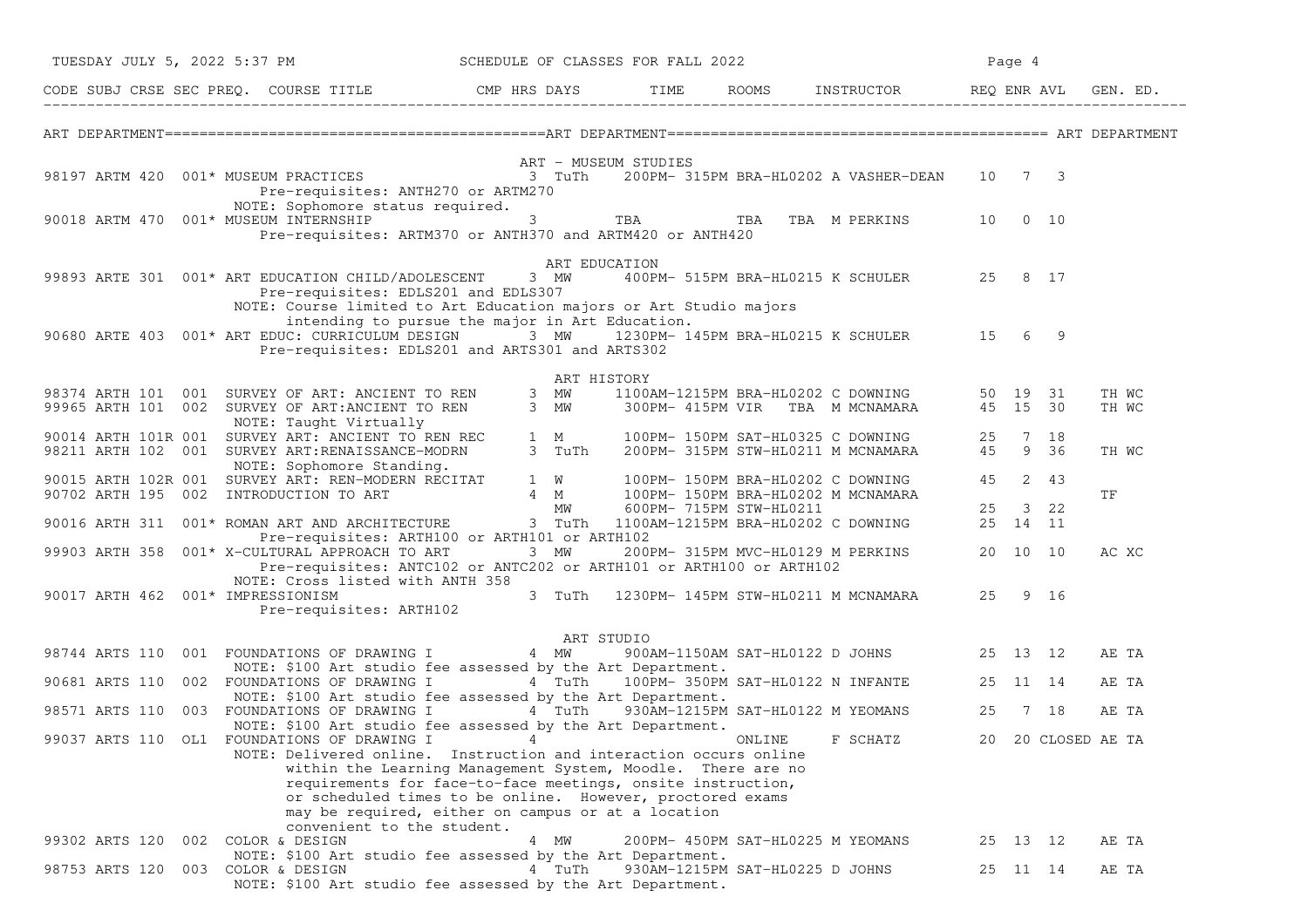|                |  |  | TUESDAY JULY 5, 2022 5:37 PM      |                                                                                                                                                                                                                                                                                                                                                  |        | SCHEDULE OF CLASSES FOR FALL 2022 |                                   |                                           | Page 4   |                    |       |  |
|----------------|--|--|-----------------------------------|--------------------------------------------------------------------------------------------------------------------------------------------------------------------------------------------------------------------------------------------------------------------------------------------------------------------------------------------------|--------|-----------------------------------|-----------------------------------|-------------------------------------------|----------|--------------------|-------|--|
|                |  |  |                                   | CODE SUBJ CRSE SEC PREQ. COURSE TITLE THE ROOMS INSTRUCTOR REQ ENR AVL GEN. ED.                                                                                                                                                                                                                                                                  |        |                                   |                                   |                                           |          |                    |       |  |
|                |  |  |                                   |                                                                                                                                                                                                                                                                                                                                                  |        |                                   |                                   |                                           |          |                    |       |  |
|                |  |  |                                   | ART - MUSEUM STUDIES<br>1 TuTh 200PM-315PM BRA-HL0202 A VASHER-DEAN 10 7 3 (1999) 98197 ARTM 4200PM-315PM BRA-HL0202 A VASHER-DEAN 10                                                                                                                                                                                                            |        |                                   |                                   |                                           |          |                    |       |  |
|                |  |  |                                   | Pre-requisites: ANTH270 or ARTM270                                                                                                                                                                                                                                                                                                               |        |                                   |                                   |                                           |          |                    |       |  |
|                |  |  |                                   | NOTE: Sophomore status required.<br>90018 ARTM 470 001* MUSEUM INTERNSHIP $\qquad$ 3 TBA TBA TBA TBA M PERKINS 10 0 10<br>Pre-requisites: ARTM370 or ANTH370 and ARTM420 or ANTH420                                                                                                                                                              |        |                                   |                                   |                                           |          |                    |       |  |
|                |  |  |                                   |                                                                                                                                                                                                                                                                                                                                                  |        | ART EDUCATION                     |                                   |                                           |          |                    |       |  |
|                |  |  |                                   | 99893 ARTE 301 001* ART EDUCATION CHILD/ADOLESCENT 3 MW<br>Pre-requisites: EDLS201 and EDLS307                                                                                                                                                                                                                                                   |        |                                   |                                   | 400PM- 515PM BRA-HL0215 K SCHULER 25 8 17 |          |                    |       |  |
|                |  |  |                                   | NOTE: Course limited to Art Education majors or Art Studio majors<br>intending to pursue the major in Art Education.                                                                                                                                                                                                                             |        |                                   |                                   |                                           |          |                    |       |  |
|                |  |  |                                   | 90680 ARTE 403 001* ART EDUC: CURRICULUM DESIGN 3 MW 1230PM-145PM BRA-HL0215 K SCHULER 15 6 9<br>Pre-requisites: EDLS201 and ARTS301 and ARTS302                                                                                                                                                                                                 |        |                                   |                                   |                                           |          |                    |       |  |
|                |  |  |                                   |                                                                                                                                                                                                                                                                                                                                                  |        | ART HISTORY                       |                                   |                                           |          |                    |       |  |
|                |  |  |                                   | 98374 ARTH 101 001 SURVEY OF ART: ANCIENT TO REN 3 MW 1100AM-1215PM BRA-HL0202 C DOWNING 50 19 31<br>99965 ARTH 101 002 SURVEY OF ART:ANCIENT TO REN 3 MW 300PM-415PM VIR TBA M MCNAMARA 45 15 30                                                                                                                                                |        |                                   |                                   |                                           |          |                    | TH WC |  |
|                |  |  |                                   |                                                                                                                                                                                                                                                                                                                                                  |        |                                   |                                   |                                           |          |                    | TH WC |  |
|                |  |  |                                   | 99965 AKIN 101 002 DONNE: Taught Virtually<br>90014 ARTH 101R 001 SURVEY ART: ANCIENT TO REN REC 1 M 100PM-150PM SAT-HL0325 C DOWNING 25 7 18<br>00014 ARTH 102 001 SURVEY ART:RENAISSANCE-MODRN 3 TuTh 200PM-315PM STW-HL0211 M MCN                                                                                                             |        |                                   |                                   |                                           |          |                    | TH WC |  |
|                |  |  |                                   | NOTE: Sophomore Standing.                                                                                                                                                                                                                                                                                                                        |        |                                   |                                   |                                           |          |                    |       |  |
|                |  |  |                                   | NOTE: Sophomore Standing.<br>90015 ARTH 102R 001 SURVEY ART: REN-MODERN RECITAT 1 W 100PM-150PM BRA-HL0202 C DOWNING 45 2 43<br>90702 ARTH 195 002 INTRODUCTION TO ART 4 M 600PM-715PM STW-HL0211 25 3 22<br>90016 ARTH 311 001* ROM                                                                                                             |        |                                   |                                   |                                           |          |                    | TF    |  |
|                |  |  |                                   |                                                                                                                                                                                                                                                                                                                                                  |        |                                   |                                   |                                           |          |                    |       |  |
|                |  |  |                                   | Pre-requisites: ARTH100 or ARTH101 or ARTH102                                                                                                                                                                                                                                                                                                    |        |                                   |                                   |                                           |          |                    |       |  |
|                |  |  |                                   | 99903 ARTH 358 001* X-CULTURAL APPROACH TO ART 3 MW<br>Pre-requisites: ANTC102 or ANTC202 or ARTH101 or ARTH100 or ARTH102                                                                                                                                                                                                                       |        |                                   |                                   | 200PM-315PM MVC-HL0129 M PERKINS 20 10 10 |          |                    | AC XC |  |
|                |  |  | 90017 ARTH 462 001* IMPRESSIONISM | NOTE: Cross listed with ANTH 358                                                                                                                                                                                                                                                                                                                 |        |                                   |                                   | 3 TuTh 1230PM-145PM STW-HL0211 M MCNAMARA | 25 9 16  |                    |       |  |
|                |  |  | Pre-requisites: ARTH102           |                                                                                                                                                                                                                                                                                                                                                  |        |                                   |                                   |                                           |          |                    |       |  |
|                |  |  |                                   |                                                                                                                                                                                                                                                                                                                                                  |        | ART STUDIO                        |                                   |                                           |          |                    |       |  |
|                |  |  |                                   | AR<br>98744 ARTS 110 001 FOUNDATIONS OF DRAWING I 4 MW                                                                                                                                                                                                                                                                                           |        |                                   |                                   | 900AM-1150AM SAT-HL0122 D JOHNS 25 13 12  |          |                    | AE TA |  |
|                |  |  |                                   | NOTE: \$100 Art studio fee assessed by the Art Department.<br>90681 ARTS 110 002 FOUNDATIONS OF DRAWING I 4 TuTh 100PM-350PM SAT-HL0122 N INFANTE 25 11 14                                                                                                                                                                                       |        |                                   |                                   |                                           |          |                    | AE TA |  |
|                |  |  |                                   | NOTE: \$100 Art studio fee assessed by the Art Department.                                                                                                                                                                                                                                                                                       |        |                                   |                                   |                                           |          |                    |       |  |
|                |  |  |                                   | 98571 ARTS 110 003 FOUNDATIONS OF DRAWING I 4 TuTh 930AM-1215PM SAT-HL0122 M YEOMANS 25 7 18<br>NOTE: \$100 Art studio fee assessed by the Art Department.                                                                                                                                                                                       |        |                                   |                                   |                                           |          |                    | AE TA |  |
|                |  |  |                                   | 99037 ARTS 110 OL1 FOUNDATIONS OF DRAWING I 4                                                                                                                                                                                                                                                                                                    |        |                                   | ONLINE                            | F SCHATZ                                  |          | 20 20 CLOSED AE TA |       |  |
|                |  |  |                                   | NOTE: Delivered online. Instruction and interaction occurs online<br>within the Learning Management System, Moodle. There are no<br>requirements for face-to-face meetings, onsite instruction,<br>or scheduled times to be online. However, proctored exams<br>may be required, either on campus or at a location<br>convenient to the student. |        |                                   |                                   |                                           |          |                    |       |  |
| 99302 ARTS 120 |  |  | 002 COLOR & DESIGN                |                                                                                                                                                                                                                                                                                                                                                  | 4 MW   |                                   | 200PM- 450PM SAT-HL0225 M YEOMANS |                                           | 25 13 12 |                    | AE TA |  |
| 98753 ARTS 120 |  |  | 003 COLOR & DESIGN                | NOTE: \$100 Art studio fee assessed by the Art Department.<br>NOTE: \$100 Art studio fee assessed by the Art Department.                                                                                                                                                                                                                         | 4 TuTh |                                   | 930AM-1215PM SAT-HL0225 D JOHNS   |                                           | 25 11 14 |                    | AE TA |  |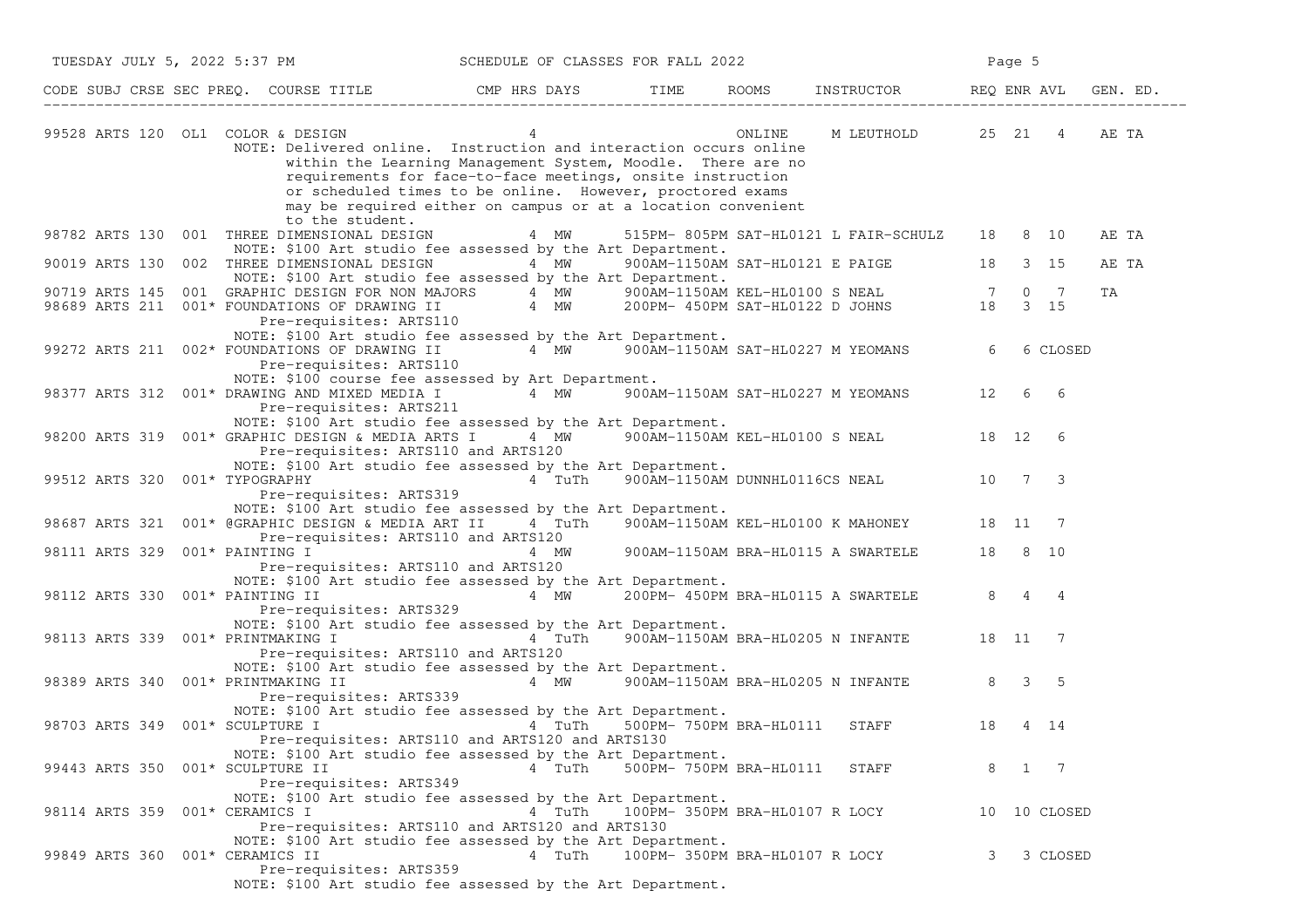| TUESDAY JULY 5, 2022 5:37 PM                                                                                                                                                                                                                                                                                                                                       | SCHEDULE OF CLASSES FOR FALL 2022            |                                |                                                  |   | Page 5 |              |          |
|--------------------------------------------------------------------------------------------------------------------------------------------------------------------------------------------------------------------------------------------------------------------------------------------------------------------------------------------------------------------|----------------------------------------------|--------------------------------|--------------------------------------------------|---|--------|--------------|----------|
| CODE SUBJ CRSE SEC PREQ. COURSE TITLE THE THE THE ROOMS INSTRUCTOR THE REQ ENR AVL                                                                                                                                                                                                                                                                                 |                                              |                                |                                                  |   |        |              | GEN. ED. |
| 99528 ARTS 120 OL1 COLOR & DESIGN 4<br>NOTE: Delivered online. Instruction and interaction occurs online<br>within the Learning Management System, Moodle. There are no<br>requirements for face-to-face meetings, onsite instruction<br>or scheduled times to be online. However, proctored exams<br>may be required either on campus or at a location convenient |                                              |                                | ONLINE M LEUTHOLD 25 21 4 AE TA                  |   |        |              |          |
| to the student.<br>98782 ARTS 130 001 THREE DIMENSIONAL DESIGN                                                                                                                                                                                                                                                                                                     | 4 MW                                         |                                | 515PM-805PM SAT-HL0121 L FAIR-SCHULZ 18 8 10     |   |        |              | AE TA    |
| NOTE: \$100 Art studio fee assessed by the Art Department.<br>90019 ARTS 130 002 THREE DIMENSIONAL DESIGN 4 MW 900AM-1150AM SAT-HL0121 E PAIGE 18 3 15                                                                                                                                                                                                             |                                              |                                |                                                  |   |        |              | AE TA    |
| NOTE: \$100 Art studio fee assessed by the Art Department.                                                                                                                                                                                                                                                                                                         |                                              |                                |                                                  |   |        |              |          |
| 90719 ARTS 145 001 GRAPHIC DESIGN FOR NON MAJORS 4 MW 900AM-1150AM KEL-HL0100 S NEAL 7 0 7<br>98689 ARTS 211 001* FOUNDATIONS OF DRAWING II 4 MW 200PM-450PM SAT-HL0122 D JOHNS 18 3 15<br>Pre-requisites: ARTS110                                                                                                                                                 |                                              |                                |                                                  |   |        |              | ΤA       |
| NOTE: \$100 Art studio fee assessed by the Art Department.<br>99272 ARTS 211 002* FOUNDATIONS OF DRAWING II 4 MW 900AM-1150AM SAT-HL0227 M YEOMANS<br>Pre-requisites: ARTS110<br>NOTE: \$100 course fee assessed by Art Department.                                                                                                                                |                                              |                                |                                                  | 6 |        | 6 CLOSED     |          |
| 98377 ARTS 312 001* DRAWING AND MIXED MEDIA I 4 MW 900AM-1150AM SAT-HL0227 M YEOMANS 12 6 6<br>Pre-requisites: ARTS211<br>NOTE: \$100 Art studio fee assessed by the Art Department.                                                                                                                                                                               |                                              |                                |                                                  |   |        |              |          |
| 98200 ARTS 319 001* GRAPHIC DESIGN & MEDIA ARTS I<br>Pre-requisites: ARTS110 and ARTS120<br>NOTE: \$100 Art studio fee assessed by the Art Department.                                                                                                                                                                                                             |                                              |                                | 4 MW 900AM-1150AM KEL-HL0100 S NEAL 18 12 6      |   |        |              |          |
| 99512 ARTS 320 001* TYPOGRAPHY<br>Pre-requisites: ARTS319<br>NOTE: \$100 Art studio fee assessed by the Art Department.                                                                                                                                                                                                                                            |                                              |                                | 4 TuTh 900AM-1150AM DUNNHL0116CS NEAL 10 7 3     |   |        |              |          |
| 98687 ARTS 321 001* @GRAPHIC DESIGN & MEDIA ART II 4 TuTh 900AM-1150AM KEL-HL0100 K MAHONEY 18 11 7                                                                                                                                                                                                                                                                |                                              |                                |                                                  |   |        |              |          |
| Pre-requisites: ARTS110 and ARTS120<br>NOTE: \$100 Art studio fee assessed by the Art Department.                                                                                                                                                                                                                                                                  |                                              |                                |                                                  |   |        |              |          |
| 98112 ARTS 330 001* PAINTING II<br>Pre-requisites: ARTS329                                                                                                                                                                                                                                                                                                         |                                              |                                | 4 MW 200PM-450PM BRA-HL0115 A SWARTELE 8 4 4     |   |        |              |          |
| NOTE: \$100 Art studio fee assessed by the Art Department.<br>98113 ARTS 339 001* PRINTMAKING I<br>Pre-requisites: ARTS110 and ARTS120                                                                                                                                                                                                                             |                                              |                                | 4 TuTh 900AM-1150AM BRA-HL0205 N INFANTE 18 11 7 |   |        |              |          |
| NOTE: \$100 Art studio fee assessed by the Art Department.<br>98389 ARTS 340 001* PRINTMAKING II<br>Pre-requisites: ARTS339                                                                                                                                                                                                                                        | 4 MW 900AM-1150AM BRA-HL0205 N INFANTE 8 3 5 |                                |                                                  |   |        |              |          |
| NOTE: \$100 Art studio fee assessed by the Art Department.<br>98703 ARTS 349 001* SCULPTURE I<br>Pre-requisites: ARTS110 and ARTS120 and ARTS130                                                                                                                                                                                                                   |                                              |                                | 4 TuTh 500PM-750PM BRA-HL0111 STAFF 18           |   | 4 14   |              |          |
| NOTE: \$100 Art studio fee assessed by the Art Department.<br>99443 ARTS 350 001* SCULPTURE II<br>Pre-requisites: ARTS349                                                                                                                                                                                                                                          | 4 TuTh                                       | 500PM- 750PM BRA-HL0111        | STAFF                                            | 8 | 1 7    |              |          |
| NOTE: \$100 Art studio fee assessed by the Art Department.<br>98114 ARTS 359 001* CERAMICS I<br>Pre-requisites: ARTS110 and ARTS120 and ARTS130                                                                                                                                                                                                                    | 4 TuTh                                       | 100PM- 350PM BRA-HL0107 R LOCY |                                                  |   |        | 10 10 CLOSED |          |
| NOTE: \$100 Art studio fee assessed by the Art Department.<br>99849 ARTS 360 001* CERAMICS II<br>Pre-requisites: ARTS359<br>NOTE: \$100 Art studio fee assessed by the Art Department.                                                                                                                                                                             | 4 TuTh                                       | 100PM- 350PM BRA-HL0107 R LOCY |                                                  | 3 |        | 3 CLOSED     |          |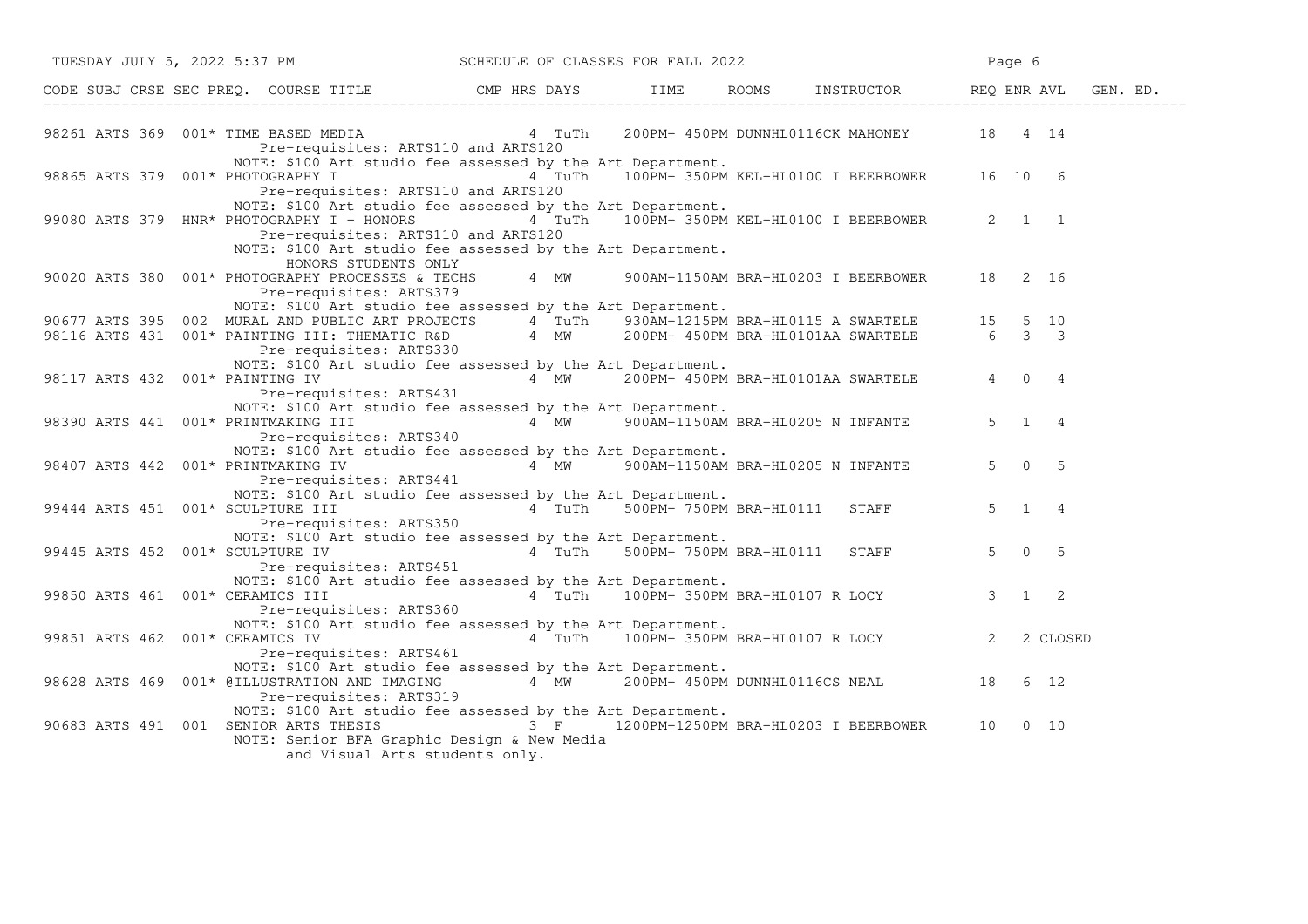| TUESDAY JULY 5, 2022 5:37 PM                                                                                                                                                                                                          |  | SCHEDULE OF CLASSES FOR FALL 2022                | Page 6                |
|---------------------------------------------------------------------------------------------------------------------------------------------------------------------------------------------------------------------------------------|--|--------------------------------------------------|-----------------------|
|                                                                                                                                                                                                                                       |  |                                                  |                       |
| 98261 ARTS 369 001* TIME BASED MEDIA 4 TuTh<br>Pre-requisites: ARTS110 and ARTS120                                                                                                                                                    |  | 200PM-450PM DUNNHL0116CK MAHONEY 18 4 14         |                       |
| NOTE: \$100 Art studio fee assessed by the Art Department.<br>98865 ARTS 379 001* PHOTOGRAPHY I $4 \text{ Tuth}$ 100PM-350PM KEL-HL0100 I BEERBOWER 16 10 6<br>Pre-requisites: ARTS110 and ARTS120                                    |  |                                                  |                       |
| NOTE: \$100 Art studio fee assessed by the Art Department.<br>99080 ARTS 379 HNR* PHOTOGRAPHY I - HONORS<br>Pre-requisites: ARTS110 and ARTS120<br>NOTE: \$100 Art studio fee assessed by the Art Department.<br>HONORS STUDENTS ONLY |  | 4 TuTh 100PM-350PM KEL-HL0100 I BEERBOWER 2 1 1  |                       |
| 90020 ARTS 380 001* PHOTOGRAPHY PROCESSES & TECHS<br>Pre-requisites: ARTS379                                                                                                                                                          |  | 4 MW 900AM-1150AM BRA-HL0203 I BEERBOWER 18 2 16 |                       |
| NOTE: \$100 Art studio fee assessed by the Art Department.                                                                                                                                                                            |  |                                                  |                       |
|                                                                                                                                                                                                                                       |  |                                                  |                       |
| 90677 ARTS 395 002 MURAL AND PUBLIC ART PROJECTS 4 TuTh 930AM-1215PM BRA-HL0115 A SWARTELE 15 5 10<br>98116 ARTS 431 001* PAINTING III: THEMATIC R&D 4 MW 200PM-450PM BRA-HL0101AA SWARTELE 6 3 3<br>Pre-requisites: ARTS330          |  |                                                  |                       |
| NOTE: \$100 Art studio fee assessed by the Art Department.<br>98117 ARTS 432 001* PAINTING IV                                                                                                                                         |  | 4 MW 200PM-450PM BRA-HL0101AA SWARTELE           | 4 0 4                 |
| Pre-requisites: ARTS431<br>NOTE: \$100 Art studio fee assessed by the Art Department.<br>98390 ARTS 441 001* PRINTMAKING III<br>Pre-requisites: ARTS340                                                                               |  | 4 MW 900AM-1150AM BRA-HL0205 N INFANTE 5 1 4     |                       |
| NOTE: \$100 Art studio fee assessed by the Art Department.<br>98407 ARTS 442 001* PRINTMAKING IV<br>Pre-requisites: ARTS441                                                                                                           |  | 4 MW 900AM-1150AM BRA-HL0205 N INFANTE           | $5 \t 0 \t 5$         |
| NOTE: \$100 Art studio fee assessed by the Art Department.<br>99444 ARTS 451 001* SCULPTURE III<br>Pre-requisites: ARTS350                                                                                                            |  | 4 TuTh 500PM-750PM BRA-HL0111 STAFF              | $5 \t1 \t4$           |
| NOTE: \$100 Art studio fee assessed by the Art Department.<br>99445 ARTS 452 001* SCULPTURE IV<br>Pre-requisites: ARTS451                                                                                                             |  | 4 TuTh 500PM-750PM BRA-HL0111 STAFF              | $5 \t 0 \t 5$         |
| NOTE: \$100 Art studio fee assessed by the Art Department.<br>99850 ARTS 461 001* CERAMICS III<br>Pre-requisites: ARTS360                                                                                                             |  | 4 TuTh 100PM-350PM BRA-HL0107 R LOCY             | $3 \qquad 1 \qquad 2$ |
| NOTE: \$100 Art studio fee assessed by the Art Department.<br>99851 ARTS 462 001* CERAMICS IV<br>Pre-requisites: ARTS461                                                                                                              |  | 4 TuTh 100PM-350PM BRA-HL0107 R LOCY 2           | 2 CLOSED              |
| NOTE: \$100 Art studio fee assessed by the Art Department.<br>98628 ARTS 469 001* @ILLUSTRATION AND IMAGING 4 MW 200PM- 450PM DUNNHL0116CS NEAL 18 6 12<br>Pre-requisites: ARTS319                                                    |  |                                                  |                       |
| NOTE: \$100 Art studio fee assessed by the Art Department.<br>90683 ARTS 491 001 SENIOR ARTS THESIS 3 F 1200PM-1250PM BRA-HL0203 I BEERBOWER 10 0 10<br>NOTE: Senior BFA Graphic Design & New Media<br>and Visual Arts students only. |  |                                                  |                       |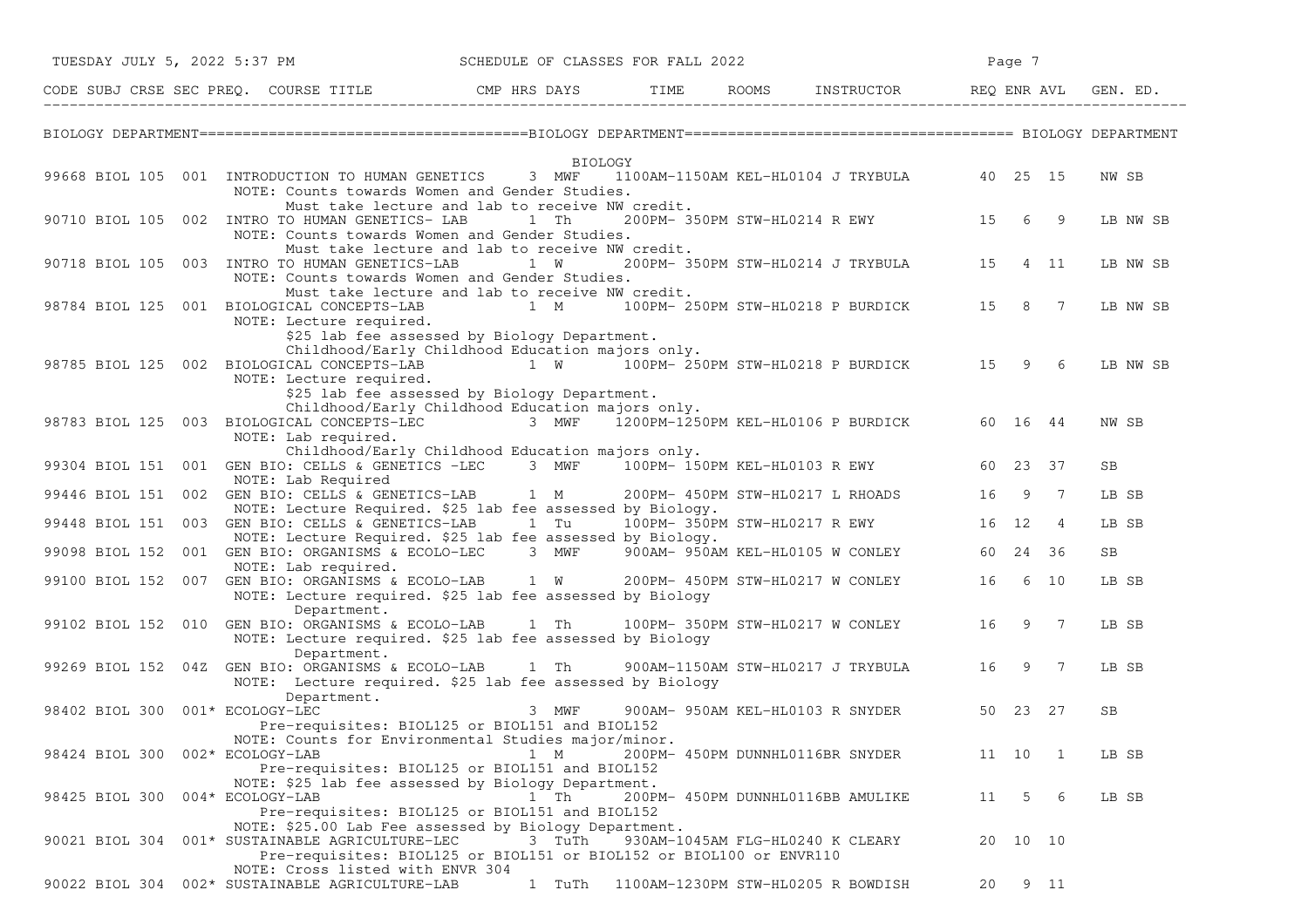| TUESDAY JULY 5, 2022 5:37 PM         |     |                                                                                                                                                                                                                       |                | SCHEDULE OF CLASSES FOR FALL 2022 |                                                                      |       | Page 7              |                |             |
|--------------------------------------|-----|-----------------------------------------------------------------------------------------------------------------------------------------------------------------------------------------------------------------------|----------------|-----------------------------------|----------------------------------------------------------------------|-------|---------------------|----------------|-------------|
|                                      |     | CODE SUBJ CRSE SEC PREQ. COURSE TITLE THE ROOMS INSTRUCTOR REQ ENR AVL GEN. ED.                                                                                                                                       |                |                                   |                                                                      |       |                     |                |             |
|                                      |     |                                                                                                                                                                                                                       |                |                                   |                                                                      |       |                     |                |             |
|                                      |     | 99668 BIOL 105 001 INTRODUCTION TO HUMAN GENETICS 3 MWF                                                                                                                                                               | <b>BIOLOGY</b> |                                   | 1100AM-1150AM KEL-HL0104 J TRYBULA 40 25 15                          |       |                     |                | NW SB       |
|                                      |     | NOTE: Counts towards Women and Gender Studies.<br>Must take lecture and lab to receive NW credit.                                                                                                                     |                |                                   |                                                                      |       |                     |                |             |
|                                      |     | 90710 BIOL 105 002 INTRO TO HUMAN GENETICS-LAB 1 Th<br>NOTE: Counts towards Women and Gender Studies.<br>Must take lecture and lab to receive NW credit.                                                              |                |                                   | 200PM- 350PM STW-HL0214 R EWY 15                                     |       | 6                   | 9              | LB NW SB    |
| 90718 BIOL 105 003                   |     | INTRO TO HUMAN GENETICS-LAB 1 W<br>NOTE: Counts towards Women and Gender Studies.                                                                                                                                     |                |                                   | 200PM- 350PM STW-HL0214 J TRYBULA 15                                 |       |                     | 4 11           | LB NW SB    |
| 98784 BIOL 125                       | 001 | Must take lecture and lab to receive NW credit.<br>BIOLOGICAL CONCEPTS-LAB<br>NOTE: Lecture required.                                                                                                                 |                |                                   | 1 M 100PM-250PM STW-HL0218 P BURDICK 15 8 7                          |       |                     |                | LB NW SB    |
|                                      |     | \$25 lab fee assessed by Biology Department.<br>Childhood/Early Childhood Education majors only.<br>98785 BIOL 125 002 BIOLOGICAL CONCEPTS-LAB 1 W 100PM-250PM STW-HL0218 P BURDICK 15 9 6<br>NOTE: Lecture required. |                |                                   |                                                                      |       |                     |                | LB NW SB    |
|                                      |     | \$25 lab fee assessed by Biology Department.<br>Childhood/Early Childhood Education majors only.<br>98783 BIOL 125 003 BIOLOGICAL CONCEPTS-LEC 3 MWF 1200PM-1250PM KEL-HL0106 P BURDICK                               |                |                                   |                                                                      |       | 60 16 44            |                | NW SB       |
|                                      |     | NOTE: Lab required.<br>Childhood/Early Childhood Education majors only.                                                                                                                                               |                |                                   |                                                                      |       |                     |                |             |
| 99304 BIOL 151                       | 001 | GEN BIO: CELLS & GENETICS -LEC 3 MWF<br>NOTE: Lab Required                                                                                                                                                            |                |                                   | 100PM- 150PM KEL-HL0103 R EWY                                        |       | 60 23 37            |                | SB          |
| 99446 BIOL 151                       |     | 002 GEN BIO: CELLS & GENETICS-LAB 1 M<br>NOTE: Lecture Required. \$25 lab fee assessed by Biology.                                                                                                                    |                |                                   | 200PM- 450PM STW-HL0217 L RHOADS                                     | 16    | 9                   | $\overline{7}$ | LB SB       |
|                                      |     | 99448 BIOL 151 003 GEN BIO: CELLS & GENETICS-LAB 1 Tu<br>NOTE: Lecture Required. \$25 lab fee assessed by Biology.                                                                                                    |                |                                   | 100PM- 350PM STW-HL0217 R EWY                                        | 16 12 |                     | $\overline{4}$ | LB SB       |
| 99098 BIOL 152<br>99100 BIOL 152 007 |     | 001 GEN BIO: ORGANISMS & ECOLO-LEC 3 MWF<br>NOTE: Lab required.<br>GEN BIO: ORGANISMS & ECOLO-LAB 1 W                                                                                                                 |                |                                   | 900AM- 950AM KEL-HL0105 W CONLEY<br>200PM- 450PM STW-HL0217 W CONLEY |       | 60 24 36<br>16 6 10 |                | SB<br>LB SB |
|                                      |     | NOTE: Lecture required. \$25 lab fee assessed by Biology<br>Department.                                                                                                                                               |                |                                   |                                                                      |       |                     |                |             |
| 99102 BIOL 152 010                   |     | GEN BIO: ORGANISMS & ECOLO-LAB 1 Th<br>NOTE: Lecture required. \$25 lab fee assessed by Biology<br>Department.                                                                                                        |                |                                   | 100PM- 350PM STW-HL0217 W CONLEY                                     | 16    |                     | 9 7            | LB SB       |
| 99269 BIOL 152 04Z                   |     | GEN BIO: ORGANISMS & ECOLO-LAB 1 Th<br>NOTE: Lecture required. \$25 lab fee assessed by Biology<br>Department.                                                                                                        |                |                                   | 900AM-1150AM STW-HL0217 J TRYBULA                                    | 16    |                     | 9 7            | LB SB       |
| 98402 BIOL 300                       |     | 001* ECOLOGY-LEC<br>Pre-requisites: BIOL125 or BIOL151 and BIOL152<br>NOTE: Counts for Environmental Studies major/minor.                                                                                             | 3 MWF          |                                   | 900AM- 950AM KEL-HL0103 R SNYDER                                     |       | 50 23 27            |                | SB          |
| 98424 BIOL 300 002* ECOLOGY-LAB      |     | Pre-requisites: BIOL125 or BIOL151 and BIOL152<br>NOTE: \$25 lab fee assessed by Biology Department.                                                                                                                  | 1 M            |                                   | 200PM- 450PM DUNNHL0116BR SNYDER                                     |       | 11 10 1             |                | LB SB       |
| 98425 BIOL 300                       |     | 004* ECOLOGY-LAB<br>Pre-requisites: BIOL125 or BIOL151 and BIOL152<br>NOTE: \$25.00 Lab Fee assessed by Biology Department.                                                                                           | 1 Th           |                                   | 200PM- 450PM DUNNHL0116BB AMULIKE                                    | 11    | $5 -$               | -6             | LB SB       |
|                                      |     | 90021 BIOL 304 001* SUSTAINABLE AGRICULTURE-LEC<br>Pre-requisites: BIOL125 or BIOL151 or BIOL152 or BIOL100 or ENVR110<br>NOTE: Cross listed with ENVR 304                                                            | 3 TuTh         |                                   | 930AM-1045AM FLG-HL0240 K CLEARY                                     |       | 20 10 10            |                |             |
|                                      |     | 90022 BIOL 304 002* SUSTAINABLE AGRICULTURE-LAB                                                                                                                                                                       | 1 TuTh         |                                   | 1100AM-1230PM STW-HL0205 R BOWDISH                                   | 20    |                     | 9 11           |             |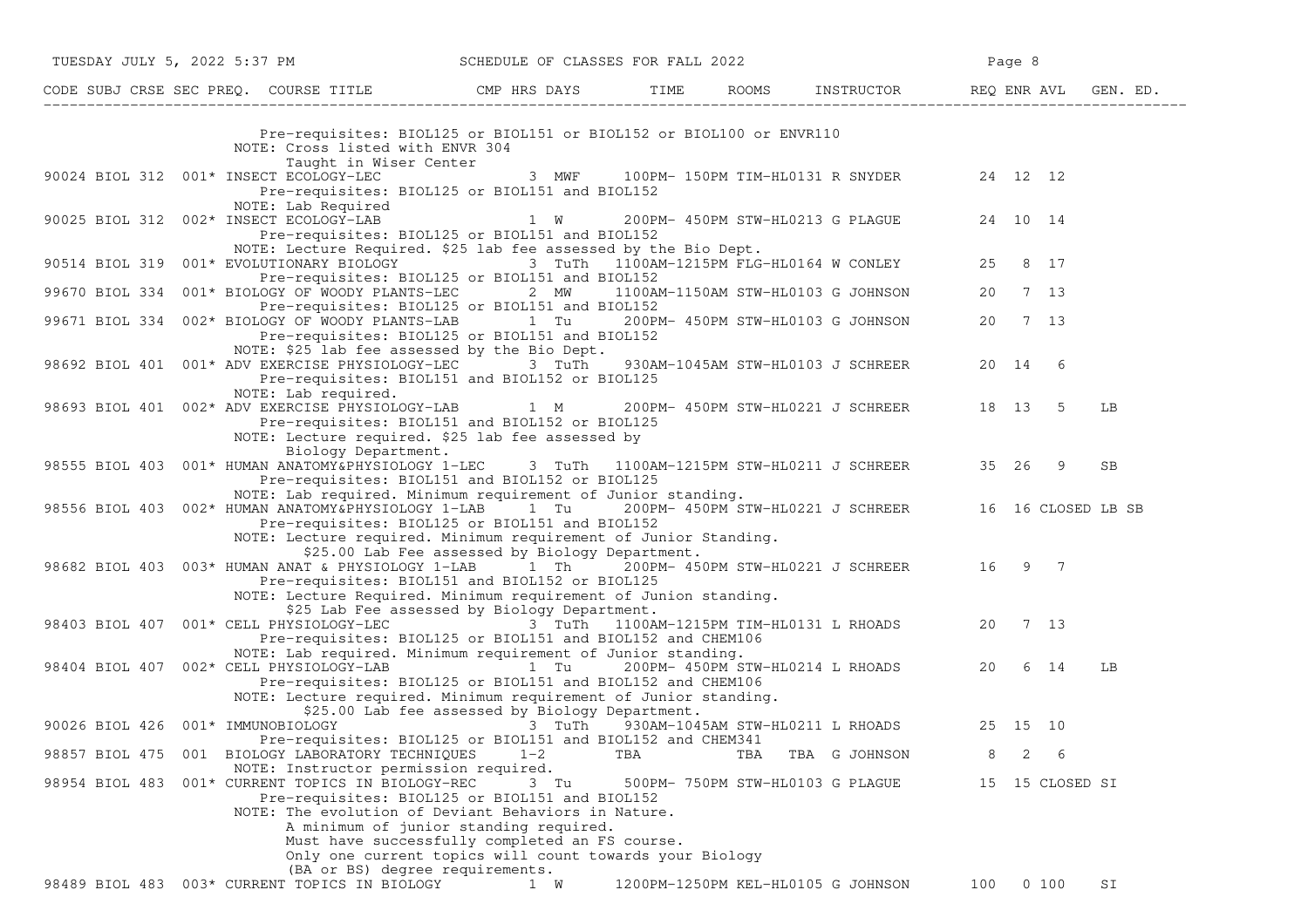| TUESDAY JULY 5, 2022 5:37 PM SCHEDULE OF CLASSES FOR FALL 2022                                              |                                                                                                                                                                                                                                                              |         |                                    |                                  |                                                  |     | Page 8 |                 |           |
|-------------------------------------------------------------------------------------------------------------|--------------------------------------------------------------------------------------------------------------------------------------------------------------------------------------------------------------------------------------------------------------|---------|------------------------------------|----------------------------------|--------------------------------------------------|-----|--------|-----------------|-----------|
|                                                                                                             |                                                                                                                                                                                                                                                              |         |                                    |                                  |                                                  |     |        |                 |           |
|                                                                                                             | Pre-requisites: BIOL125 or BIOL151 or BIOL152 or BIOL100 or ENVR110<br>NOTE: Cross listed with ENVR 304<br>Taught in Wiser Center                                                                                                                            |         |                                    |                                  |                                                  |     |        |                 |           |
| 90024 BIOL 312 001* INSECT ECOLOGY-LEC                                                                      | Pre-requisites: BIOL125 or BIOL151 and BIOL152<br>NOTE: Lab Required                                                                                                                                                                                         |         |                                    |                                  | 3 MWF 100PM-150PM TIM-HL0131 R SNYDER 24 12 12   |     |        |                 |           |
| 90025 BIOL 312 002* INSECT ECOLOGY-LAB                                                                      | Pre-requisites: BIOL125 or BIOL151 and BIOL152<br>NOTE: Lecture Required. \$25 lab fee assessed by the Bio Dept.                                                                                                                                             |         |                                    |                                  | 1 W 200PM-450PM STW-HL0213 G PLAGUE 24 10 14     |     |        |                 |           |
| 90514 BIOL 319 001* EVOLUTIONARY BIOLOGY 3 TuTh 1100AM-1215PM FLG-HL0164 W CONLEY 25 8 17                   | Pre-requisites: BIOL125 or BIOL151 and BIOL152                                                                                                                                                                                                               |         |                                    |                                  |                                                  |     |        |                 |           |
| 99670 BIOL 334 001* BIOLOGY OF WOODY PLANTS-LEC 2 MW 1100AM-1150AM STW-HL0103 G JOHNSON 20 7 13             | Pre-requisites: BIOL125 or BIOL151 and BIOL152                                                                                                                                                                                                               |         |                                    |                                  |                                                  |     |        |                 |           |
| 99671 BIOL 334 002* BIOLOGY OF WOODY PLANTS-LAB 1 Tu 200PM-450PM STW-HL0103 G JOHNSON 20 7 13               | Pre-requisites: BIOL125 or BIOL151 and BIOL152                                                                                                                                                                                                               |         |                                    |                                  |                                                  |     |        |                 |           |
| 98692 BIOL 401 001* ADV EXERCISE PHYSIOLOGY-LEC 3 TuTh 930AM-1045AM STW-HL0103 J SCHREER 20 14 6            | NOTE: \$25 lab fee assessed by the Bio Dept.<br>Pre-requisites: BIOL151 and BIOL152 or BIOL125                                                                                                                                                               |         |                                    |                                  |                                                  |     |        |                 |           |
| 98693 BIOL 401 002* ADV EXERCISE PHYSIOLOGY-LAB 1 M 200PM- 450PM STW-HL0221 J SCHREER 18 13 5               | NOTE: Lab required.<br>Pre-requisites: BIOL151 and BIOL152 or BIOL125<br>NOTE: Lecture required. \$25 lab fee assessed by                                                                                                                                    |         |                                    |                                  |                                                  |     |        |                 | LB        |
| 98555 BIOL 403 001* HUMAN ANATOMY&PHYSIOLOGY 1-LEC 3 TuTh 1100AM-1215PM STW-HL0211 J SCHREER 35 26 9        | Biology Department.<br>Pre-requisites: BIOL151 and BIOL152 or BIOL125                                                                                                                                                                                        |         |                                    |                                  |                                                  |     |        |                 | <b>SB</b> |
| 98556 BIOL 403 002* HUMAN ANATOMY&PHYSIOLOGY 1-LAB 1 Tu 200PM-450PM STW-HL0221 J SCHREER 16 16 CLOSED LB SB | NOTE: Lab required. Minimum requirement of Junior standing.<br>Pre-requisites: BIOL125 or BIOL151 and BIOL152<br>NOTE: Lecture required. Minimum requirement of Junior Standing.                                                                             |         |                                    |                                  |                                                  |     |        |                 |           |
| 98682 BIOL 403 003* HUMAN ANAT & PHYSIOLOGY 1-LAB 1 Th                                                      | \$25.00 Lab Fee assessed by Biology Department.<br>Pre-requisites: BIOL151 and BIOL152 or BIOL125<br>NOTE: Lecture Required. Minimum requirement of Junion standing.                                                                                         |         |                                    |                                  | 200PM- 450PM STW-HL0221 J SCHREER 16 9 7         |     |        |                 |           |
| 98403 BIOL 407 001* CELL PHYSIOLOGY-LEC                                                                     | \$25 Lab Fee assessed by Biology Department.<br>Pre-requisites: BIOL125 or BIOL151 and BIOL152 and CHEM106                                                                                                                                                   |         |                                    |                                  | 3 TuTh 1100AM-1215PM TIM-HL0131 L RHOADS 20 7 13 |     |        |                 |           |
| 98404 BIOL 407 002* CELL PHYSIOLOGY-LAB 1 Tu 200PM-450PM STW-HL0214 L RHOADS 20 6 14                        | NOTE: Lab required. Minimum requirement of Junior standing.<br>Pre-requisites: BIOL125 or BIOL151 and BIOL152 and CHEM106<br>NOTE: Lecture required. Minimum requirement of Junior standing.<br>\$25.00 Lab fee assessed by Biology Department.              |         |                                    |                                  |                                                  |     |        |                 | LB        |
| 90026 BIOL 426 001* IMMUNOBIOLOGY 6.15 (3 TuTh 530AM-1045AM STW-HL0211 L RHOADS 25 15 10                    | Pre-requisites: BIOL125 or BIOL151 and BIOL152 and CHEM341                                                                                                                                                                                                   |         |                                    |                                  |                                                  |     |        |                 |           |
| 98857 BIOL 475 001 BIOLOGY LABORATORY TECHNIQUES                                                            | NOTE: Instructor permission required.                                                                                                                                                                                                                        | $1 - 2$ | TBA                                | TBA                              | TBA G JOHNSON                                    | 8   | 2      | 6               |           |
| 98954 BIOL 483 001* CURRENT TOPICS IN BIOLOGY-REC                                                           | Pre-requisites: BIOL125 or BIOL151 and BIOL152<br>NOTE: The evolution of Deviant Behaviors in Nature.<br>A minimum of junior standing required.<br>Must have successfully completed an FS course.<br>Only one current topics will count towards your Biology | 3 Tu    |                                    | 500PM- 750PM STW-HL0103 G PLAGUE |                                                  |     |        | 15 15 CLOSED SI |           |
| 98489 BIOL 483 003* CURRENT TOPICS IN BIOLOGY                                                               | (BA or BS) degree requirements.                                                                                                                                                                                                                              | 1 W     | 1200PM-1250PM KEL-HL0105 G JOHNSON |                                  |                                                  | 100 |        | 0 100           | SI        |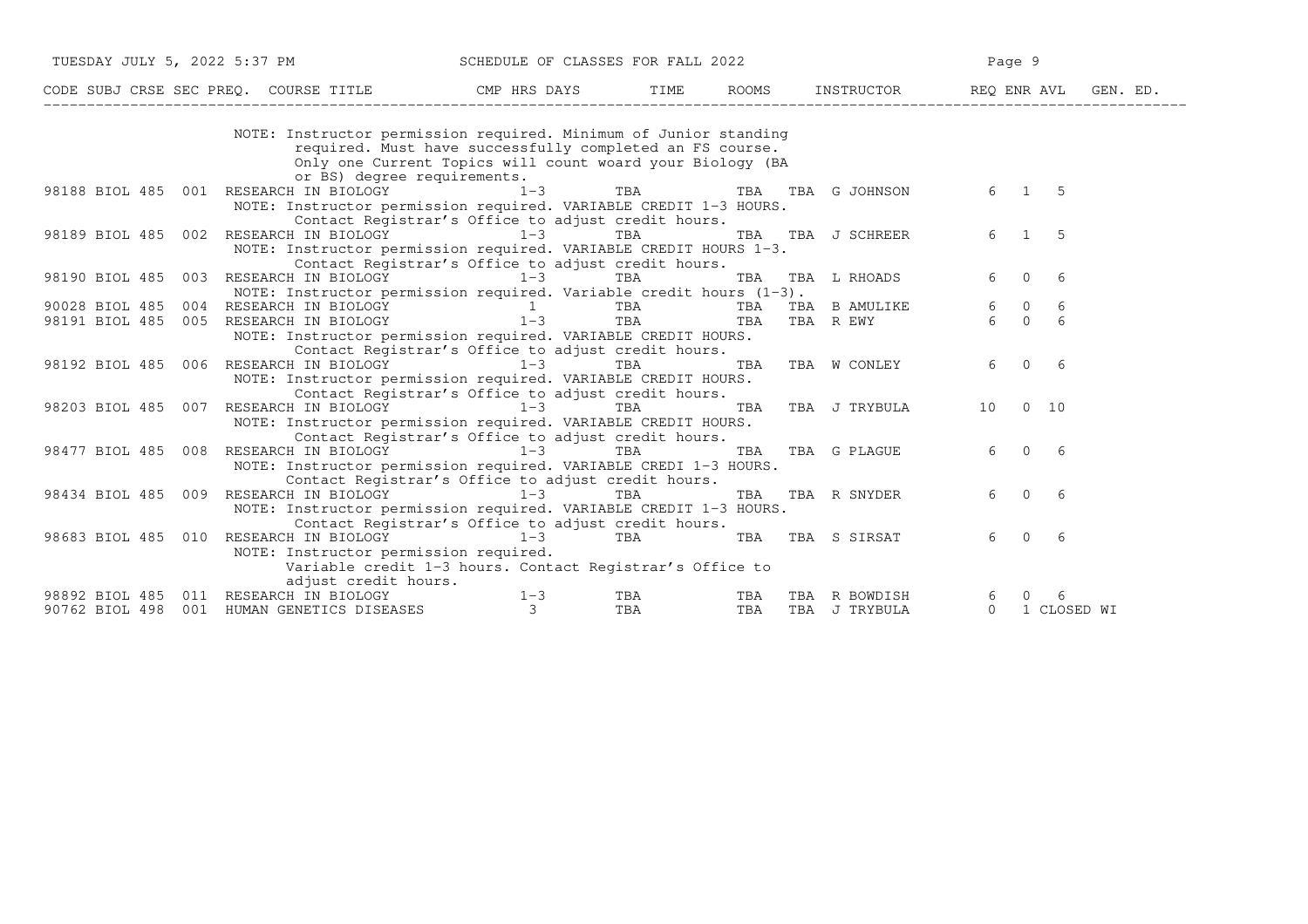| TUESDAY JULY 5, 2022 5:37 PM                                                                        | SCHEDULE OF CLASSES FOR FALL 2022                                     |                    |     |                                                           |    | Page 9               |  |
|-----------------------------------------------------------------------------------------------------|-----------------------------------------------------------------------|--------------------|-----|-----------------------------------------------------------|----|----------------------|--|
| CODE SUBJ CRSE SEC PREQ. COURSE TITLE TITLE CMP HRS DAYS TIME ROOMS INSTRUCTOR REQ ENR AVL GEN. ED. |                                                                       |                    |     |                                                           |    |                      |  |
|                                                                                                     | NOTE: Instructor permission required. Minimum of Junior standing      |                    |     |                                                           |    |                      |  |
|                                                                                                     | required. Must have successfully completed an FS course.              |                    |     |                                                           |    |                      |  |
|                                                                                                     | Only one Current Topics will count woard your Biology (BA             |                    |     |                                                           |    |                      |  |
|                                                                                                     | or BS) degree requirements.                                           |                    |     |                                                           |    |                      |  |
| 98188 BIOL 485 001 RESEARCH IN BIOLOGY 1-3                                                          |                                                                       | TBA                |     | TBA TBA G JOHNSON                                         |    | 6 1<br>-5            |  |
|                                                                                                     | NOTE: Instructor permission required. VARIABLE CREDIT 1-3 HOURS.      |                    |     |                                                           |    |                      |  |
|                                                                                                     | Contact Registrar's Office to adjust credit hours.                    |                    |     |                                                           |    |                      |  |
| RESEARCH IN BIOLOGY 1-3<br>98189 BIOL 485<br>002                                                    |                                                                       | TBA                |     | TBA TBA J SCHREER                                         |    | $6 \quad 1$<br>-5    |  |
|                                                                                                     | NOTE: Instructor permission required. VARIABLE CREDIT HOURS 1-3.      |                    |     |                                                           |    |                      |  |
|                                                                                                     | Contact Registrar's Office to adjust credit hours.                    |                    |     |                                                           |    |                      |  |
| RESEARCH IN BIOLOGY 1-3<br>98190 BIOL 485 003                                                       |                                                                       | TBA                |     | TBA TBA L RHOADS                                          | 6  | $\overline{0}$<br>-6 |  |
|                                                                                                     | NOTE: Instructor permission required. Variable credit hours $(1-3)$ . |                    |     |                                                           |    |                      |  |
| 90028 BIOL 485                                                                                      |                                                                       |                    |     |                                                           |    | 6                    |  |
| 98191 BIOL 485                                                                                      |                                                                       |                    |     | TBA TBA BAMULIKE 6 0<br>TBA TBA REWY 6 0<br>TBA TBA R EWY |    | 6                    |  |
|                                                                                                     | NOTE: Instructor permission required. VARIABLE CREDIT HOURS.          |                    |     |                                                           |    |                      |  |
|                                                                                                     | Contact Registrar's Office to adjust credit hours.                    |                    |     |                                                           |    |                      |  |
| RESEARCH IN BIOLOGY 1-3<br>98192 BIOL 485 006                                                       |                                                                       | TBA                |     | TBA TBA W CONLEY                                          | 6  | $\overline{0}$<br>6  |  |
|                                                                                                     | NOTE: Instructor permission required. VARIABLE CREDIT HOURS.          |                    |     |                                                           |    |                      |  |
|                                                                                                     | Contact Registrar's Office to adjust credit hours.                    |                    |     |                                                           |    |                      |  |
| RESEARCH IN BIOLOGY<br>98203 BIOL 485 007                                                           | $1-3$                                                                 | TBA                | TBA | TBA J TRYBULA                                             | 10 | $0\quad 10$          |  |
|                                                                                                     | NOTE: Instructor permission required. VARIABLE CREDIT HOURS.          |                    |     |                                                           |    |                      |  |
|                                                                                                     | Contact Registrar's Office to adjust credit hours.                    |                    |     |                                                           |    |                      |  |
| RESEARCH IN BIOLOGY<br>98477 BIOL 485 008                                                           | $1-3$                                                                 | TBA                | TBA | TBA G PLAGUE 6 0                                          |    | -6                   |  |
|                                                                                                     | NOTE: Instructor permission required. VARIABLE CREDI 1-3 HOURS.       |                    |     |                                                           |    |                      |  |
|                                                                                                     | Contact Registrar's Office to adjust credit hours.                    |                    |     |                                                           |    |                      |  |
| RESEARCH IN BIOLOGY 1-3<br>98434 BIOL 485 009                                                       |                                                                       | TBA                | TBA | TBA R SNYDER                                              | 6  | $\bigcirc$<br>-6     |  |
|                                                                                                     | NOTE: Instructor permission required. VARIABLE CREDIT 1-3 HOURS.      |                    |     |                                                           |    |                      |  |
|                                                                                                     | Contact Registrar's Office to adjust credit hours.                    |                    |     |                                                           |    |                      |  |
| RESEARCH IN BIOLOGY 1-3<br>98683 BIOL 485 010                                                       |                                                                       | TBA                |     | TBA TBA S SIRSAT                                          |    | 6 0<br>-6            |  |
| NOTE: Instructor permission required.                                                               |                                                                       |                    |     |                                                           |    |                      |  |
|                                                                                                     | Variable credit 1-3 hours. Contact Registrar's Office to              |                    |     |                                                           |    |                      |  |
| adjust credit hours.                                                                                |                                                                       |                    |     |                                                           |    |                      |  |
| 98892 BIOL 485 011 RESEARCH IN BIOLOGY                                                              | $1 - 3$                                                               | TBA                |     | TBA TBA R BOWDISH                                         |    | 6 0<br>-6            |  |
| 90762 BIOL 498 001 HUMAN GENETICS DISEASES                                                          | $\overline{\phantom{a}}$ 3                                            | TBA <b>TRANGER</b> |     | TBA TBA J TRYBULA                                         |    | 0 1 CLOSED WI        |  |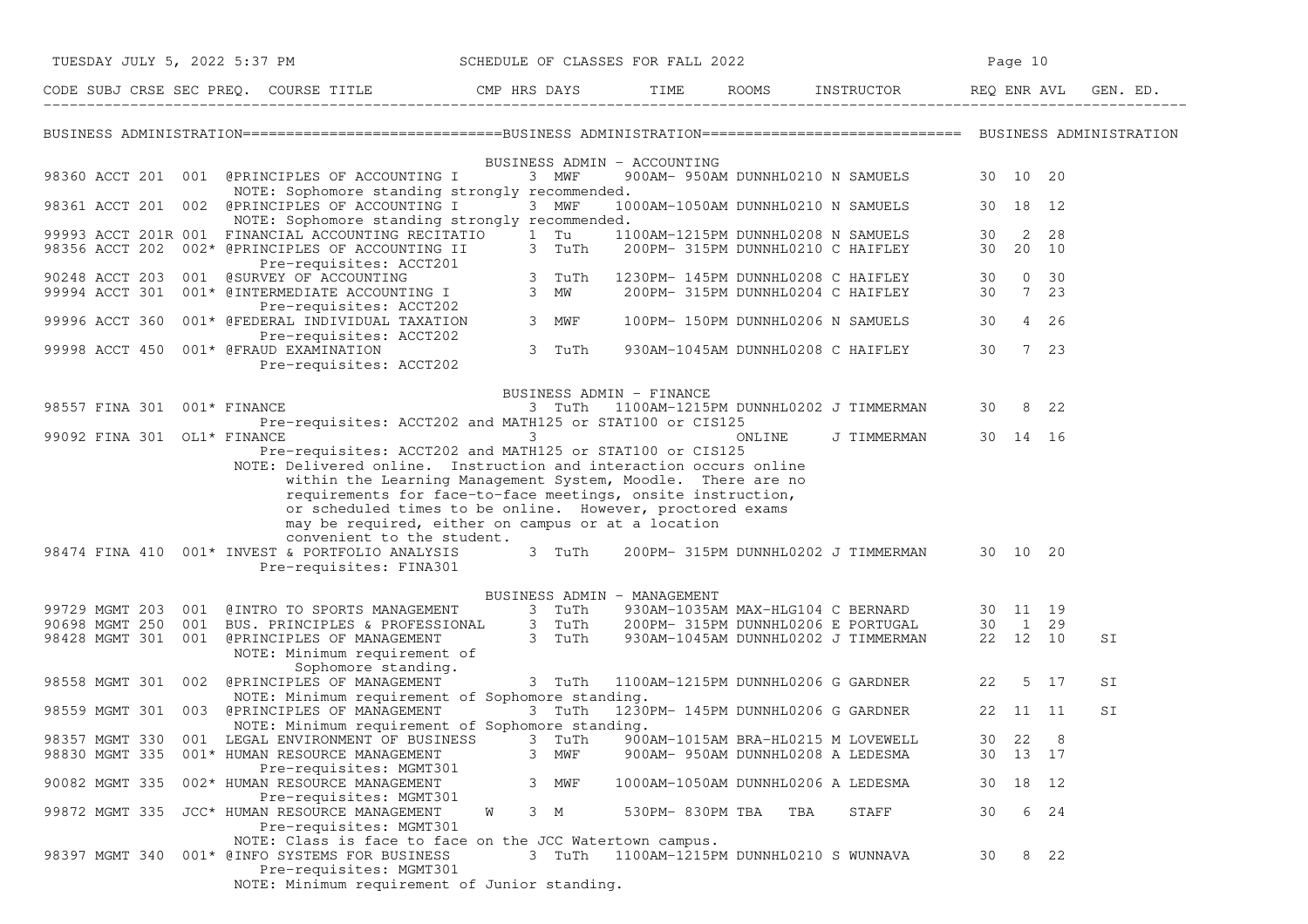| TUESDAY JULY 5, 2022 5:37 PM<br>SCHEDULE OF CLASSES FOR FALL 2022 |     |                                                                                                                                                                                                                                                                                                                                                                                                     |   |                  |                             |        | Page 10                                                                 |          |          |                     |          |
|-------------------------------------------------------------------|-----|-----------------------------------------------------------------------------------------------------------------------------------------------------------------------------------------------------------------------------------------------------------------------------------------------------------------------------------------------------------------------------------------------------|---|------------------|-----------------------------|--------|-------------------------------------------------------------------------|----------|----------|---------------------|----------|
|                                                                   |     |                                                                                                                                                                                                                                                                                                                                                                                                     |   |                  |                             |        |                                                                         |          |          |                     | GEN. ED. |
|                                                                   |     |                                                                                                                                                                                                                                                                                                                                                                                                     |   |                  |                             |        |                                                                         |          |          |                     |          |
|                                                                   |     | 98360 ACCT 201 001 @PRINCIPLES OF ACCOUNTING I<br>NOTE: Sophomore standing strongly recommended.                                                                                                                                                                                                                                                                                                    |   | 3 MWF            | BUSINESS ADMIN - ACCOUNTING |        | 900AM- 950AM DUNNHL0210 N SAMUELS                                       |          | 30 10 20 |                     |          |
|                                                                   |     | 98361 ACCT 201 002 @PRINCIPLES OF ACCOUNTING I<br>NOTE: Sophomore standing strongly recommended.                                                                                                                                                                                                                                                                                                    |   | 3 MWF            |                             |        | 1000AM-1050AM DUNNHL0210 N SAMUELS                                      |          | 30 18 12 |                     |          |
| 98356 ACCT 202                                                    |     | 99993 ACCT 201R 001 FINANCIAL ACCOUNTING RECITATIO<br>002* @PRINCIPLES OF ACCOUNTING II<br>Pre-requisites: ACCT201                                                                                                                                                                                                                                                                                  |   | $1$ Tu<br>3 TuTh |                             |        | 1100AM-1215PM DUNNHL0208 N SAMUELS<br>200PM- 315PM DUNNHL0210 C HAIFLEY | 30<br>30 | 20 10    | 2 28                |          |
|                                                                   |     | 90248 ACCT 203 001 @SURVEY OF ACCOUNTING<br>99994 ACCT 301 001* @INTERMEDIATE ACCOUNTING I<br>Pre-requisites: ACCT202                                                                                                                                                                                                                                                                               |   | 3 TuTh<br>3 MW   |                             |        | 1230PM- 145PM DUNNHL0208 C HAIFLEY<br>200PM- 315PM DUNNHL0204 C HAIFLEY | 30<br>30 |          | $0\quad 30$<br>7 23 |          |
| 99996 ACCT 360                                                    |     | 001* @FEDERAL INDIVIDUAL TAXATION<br>Pre-requisites: ACCT202                                                                                                                                                                                                                                                                                                                                        |   | 3 MWF            |                             |        | 100PM- 150PM DUNNHL0206 N SAMUELS                                       | 30       |          | 4 26                |          |
| 99998 ACCT 450                                                    |     | 001* @FRAUD EXAMINATION<br>Pre-requisites: ACCT202                                                                                                                                                                                                                                                                                                                                                  |   | 3 TuTh           |                             |        | 930AM-1045AM DUNNHL0208 C HAIFLEY                                       | 30       |          | 7 23                |          |
|                                                                   |     |                                                                                                                                                                                                                                                                                                                                                                                                     |   |                  | BUSINESS ADMIN - FINANCE    |        |                                                                         |          |          |                     |          |
| 98557 FINA 301                                                    |     | $001*$ FINANCE<br>Pre-requisites: ACCT202 and MATH125 or STAT100 or CIS125                                                                                                                                                                                                                                                                                                                          |   | 3 TuTh           |                             |        | 1100AM-1215PM DUNNHL0202 J TIMMERMAN                                    | 30       |          | 8 22                |          |
| 99092 FINA 301 OL1* FINANCE                                       |     | Pre-requisites: ACCT202 and MATH125 or STAT100 or CIS125                                                                                                                                                                                                                                                                                                                                            |   | 3                |                             | ONLINE | J TIMMERMAN                                                             |          | 30 14 16 |                     |          |
|                                                                   |     | NOTE: Delivered online. Instruction and interaction occurs online<br>within the Learning Management System, Moodle. There are no<br>requirements for face-to-face meetings, onsite instruction,<br>or scheduled times to be online. However, proctored exams<br>may be required, either on campus or at a location<br>convenient to the student.<br>98474 FINA 410 001* INVEST & PORTFOLIO ANALYSIS |   | 3 TuTh           |                             |        | 200PM- 315PM DUNNHL0202 J TIMMERMAN                                     |          | 30 10 20 |                     |          |
|                                                                   |     | Pre-requisites: FINA301                                                                                                                                                                                                                                                                                                                                                                             |   |                  |                             |        |                                                                         |          |          |                     |          |
| 99729 MGMT 203 001                                                |     | @INTRO TO SPORTS MANAGEMENT                                                                                                                                                                                                                                                                                                                                                                         |   | 3 TuTh           | BUSINESS ADMIN - MANAGEMENT |        | 930AM-1035AM MAX-HLG104 C BERNARD                                       |          | 30 11 19 |                     |          |
| 90698 MGMT 250 001                                                |     | BUS. PRINCIPLES & PROFESSIONAL                                                                                                                                                                                                                                                                                                                                                                      |   | 3 TuTh           |                             |        | 200PM- 315PM DUNNHL0206 E PORTUGAL                                      |          | 30 1 29  |                     |          |
| 98428 MGMT 301 001                                                |     | @PRINCIPLES OF MANAGEMENT<br>NOTE: Minimum requirement of<br>Sophomore standing.                                                                                                                                                                                                                                                                                                                    |   | 3 TuTh           |                             |        | 930AM-1045AM DUNNHL0202 J TIMMERMAN                                     |          | 22 12 10 |                     | SI       |
| 98558 MGMT 301                                                    | 002 | @PRINCIPLES OF MANAGEMENT                                                                                                                                                                                                                                                                                                                                                                           |   | 3 TuTh           |                             |        | 1100AM-1215PM DUNNHL0206 G GARDNER                                      | 22       |          | 5 17                | SΙ       |
| 98559 MGMT 301                                                    |     | NOTE: Minimum requirement of Sophomore standing.<br>003 @PRINCIPLES OF MANAGEMENT<br>NOTE: Minimum requirement of Sophomore standing.                                                                                                                                                                                                                                                               |   | 3 TuTh           |                             |        | 1230PM- 145PM DUNNHL0206 G GARDNER                                      |          | 22 11 11 |                     | SI       |
| 98357 MGMT 330                                                    |     | 001 LEGAL ENVIRONMENT OF BUSINESS                                                                                                                                                                                                                                                                                                                                                                   |   | 3 TuTh           |                             |        | 900AM-1015AM BRA-HL0215 M LOVEWELL                                      | 30 22    |          | 8                   |          |
| 98830 MGMT 335                                                    |     | 001* HUMAN RESOURCE MANAGEMENT<br>Pre-requisites: MGMT301                                                                                                                                                                                                                                                                                                                                           |   | 3<br>MWF         |                             |        | 900AM- 950AM DUNNHL0208 A LEDESMA                                       | 30       | 13 17    |                     |          |
| 90082 MGMT 335                                                    |     | 002* HUMAN RESOURCE MANAGEMENT<br>Pre-requisites: MGMT301                                                                                                                                                                                                                                                                                                                                           |   | 3 MWF            |                             |        | 1000AM-1050AM DUNNHL0206 A LEDESMA                                      |          | 30 18 12 |                     |          |
|                                                                   |     | 99872 MGMT 335 JCC* HUMAN RESOURCE MANAGEMENT<br>Pre-requisites: MGMT301                                                                                                                                                                                                                                                                                                                            | W | 3 M              | 530PM- 830PM TBA            |        | TBA<br>STAFF                                                            | 30       |          | 6 24                |          |
|                                                                   |     | NOTE: Class is face to face on the JCC Watertown campus.<br>98397 MGMT 340 001* @INFO SYSTEMS FOR BUSINESS<br>Pre-requisites: MGMT301<br>NOTE: Minimum requirement of Junior standing.                                                                                                                                                                                                              |   | 3 TuTh           |                             |        | 1100AM-1215PM DUNNHL0210 S WUNNAVA                                      | 30       |          | 8 22                |          |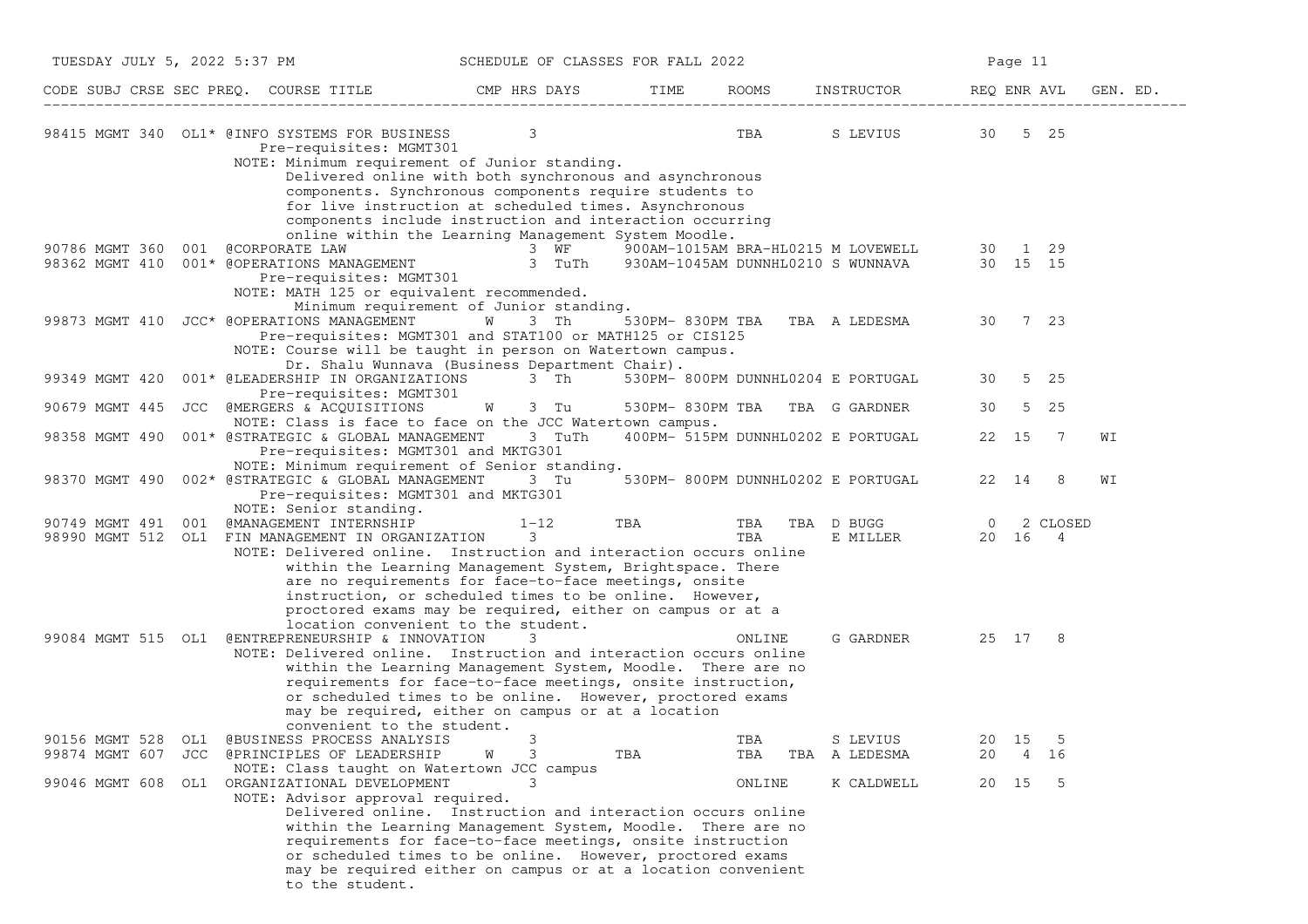| TUESDAY JULY 5, 2022 5:37 PM                                                                                                                                         | SCHEDULE OF CLASSES FOR FALL 2022                                                                                                                                                                                                                     |                  |            | Page 11                                                                                  |                           |                |          |
|----------------------------------------------------------------------------------------------------------------------------------------------------------------------|-------------------------------------------------------------------------------------------------------------------------------------------------------------------------------------------------------------------------------------------------------|------------------|------------|------------------------------------------------------------------------------------------|---------------------------|----------------|----------|
|                                                                                                                                                                      |                                                                                                                                                                                                                                                       |                  |            |                                                                                          | REQ ENR AVL               |                | GEN. ED. |
| 98415 MGMT 340 OL1* @INFO SYSTEMS FOR BUSINESS 3<br>Pre-requisites: MGMT301<br>NOTE: Minimum requirement of Junior standing.                                         | Delivered online with both synchronous and asynchronous<br>components. Synchronous components require students to                                                                                                                                     |                  | <b>TBA</b> | S LEVIUS 30 5 25                                                                         |                           |                |          |
| 90786 MGMT 360<br>001 @CORPORATE LAW                                                                                                                                 | for live instruction at scheduled times. Asynchronous<br>components include instruction and interaction occurring<br>online within the Learning Management System Moodle.<br>3 WF                                                                     |                  |            | 900AM-1015AM BRA-HL0215 M LOVEWELL 30 1 29<br>930AM-1045AM DUNNHL0210 S WUNNAVA 30 15 15 |                           |                |          |
| 98362 MGMT 410 001* @OPERATIONS MANAGEMENT<br>Pre-requisites: MGMT301<br>NOTE: MATH 125 or equivalent recommended.                                                   | 3 TuTh<br>Minimum requirement of Junior standing.                                                                                                                                                                                                     |                  |            |                                                                                          |                           |                |          |
| 99873 MGMT 410 JCC* @OPERATIONS MANAGEMENT<br>NOTE: Course will be taught in person on Watertown campus.                                                             | W 3 Th<br>Pre-requisites: MGMT301 and STAT100 or MATH125 or CIS125<br>Dr. Shalu Wunnava (Business Department Chair).                                                                                                                                  |                  |            | 530PM-830PM TBA TBA A LEDESMA                                                            | 30 7 23                   |                |          |
| 99349 MGMT 420<br>001* @LEADERSHIP IN ORGANIZATIONS<br>Pre-requisites: MGMT301                                                                                       | 3 Th                                                                                                                                                                                                                                                  |                  |            | 530PM- 800PM DUNNHL0204 E PORTUGAL                                                       | 30                        | 5 25           |          |
| 90679 MGMT 445<br>JCC @MERGERS & ACQUISITIONS<br>NOTE: Class is face to face on the JCC Watertown campus.                                                            | W<br>3 Tu                                                                                                                                                                                                                                             | 530PM- 830PM TBA |            | TBA G GARDNER                                                                            | 30                        | 5 25           |          |
| 98358 MGMT 490<br>001* @STRATEGIC & GLOBAL MANAGEMENT<br>Pre-requisites: MGMT301 and MKTG301                                                                         | 3 TuTh                                                                                                                                                                                                                                                |                  |            | 400PM- 515PM DUNNHL0202 E PORTUGAL                                                       | 22 15                     | $\overline{7}$ | WI       |
| NOTE: Minimum requirement of Senior standing.<br>98370 MGMT 490 002* @STRATEGIC & GLOBAL MANAGEMENT<br>Pre-requisites: MGMT301 and MKTG301<br>NOTE: Senior standing. | 3 Tu                                                                                                                                                                                                                                                  |                  |            | 530PM- 800PM DUNNHL0202 E PORTUGAL                                                       | 22 14                     | 8              | WΙ       |
| 90749 MGMT 491 001 @MANAGEMENT INTERNSHIP<br>98990 MGMT 512 OL1 FIN MANAGEMENT IN ORGANIZATION<br>NOTE: Delivered online. Instruction and interaction occurs online  | $1 - 12$<br>3<br>within the Learning Management System, Brightspace. There<br>are no requirements for face-to-face meetings, onsite<br>instruction, or scheduled times to be online. However,                                                         | TBA              | TBA<br>TBA | TBA D BUGG<br>E MILLER                                                                   | $\overline{0}$<br>20 16 4 | 2 CLOSED       |          |
|                                                                                                                                                                      | proctored exams may be required, either on campus or at a<br>location convenient to the student.                                                                                                                                                      |                  |            |                                                                                          |                           |                |          |
| 99084 MGMT 515 OL1 @ENTREPRENEURSHIP & INNOVATION<br>NOTE: Delivered online. Instruction and interaction occurs online<br>convenient to the student.                 | 3<br>within the Learning Management System, Moodle. There are no<br>requirements for face-to-face meetings, onsite instruction,<br>or scheduled times to be online. However, proctored exams<br>may be required, either on campus or at a location    |                  | ONLINE     | G GARDNER                                                                                | 25 17 8                   |                |          |
| 90156 MGMT 528 OL1 @BUSINESS PROCESS ANALYSIS<br>99874 MGMT 607 JCC @PRINCIPLES OF LEADERSHIP                                                                        | 3<br>W<br>3                                                                                                                                                                                                                                           | TBA              | TBA<br>TBA | S LEVIUS<br>TBA A LEDESMA                                                                | 20 15<br>20<br>4          | 5<br>16        |          |
| NOTE: Class taught on Watertown JCC campus<br>99046 MGMT 608 OL1 ORGANIZATIONAL DEVELOPMENT<br>NOTE: Advisor approval required.                                      | Delivered online. Instruction and interaction occurs online<br>within the Learning Management System, Moodle. There are no<br>requirements for face-to-face meetings, onsite instruction<br>or scheduled times to be online. However, proctored exams |                  | ONLINE     | K CALDWELL                                                                               | 20 15 5                   |                |          |
| to the student.                                                                                                                                                      | may be required either on campus or at a location convenient                                                                                                                                                                                          |                  |            |                                                                                          |                           |                |          |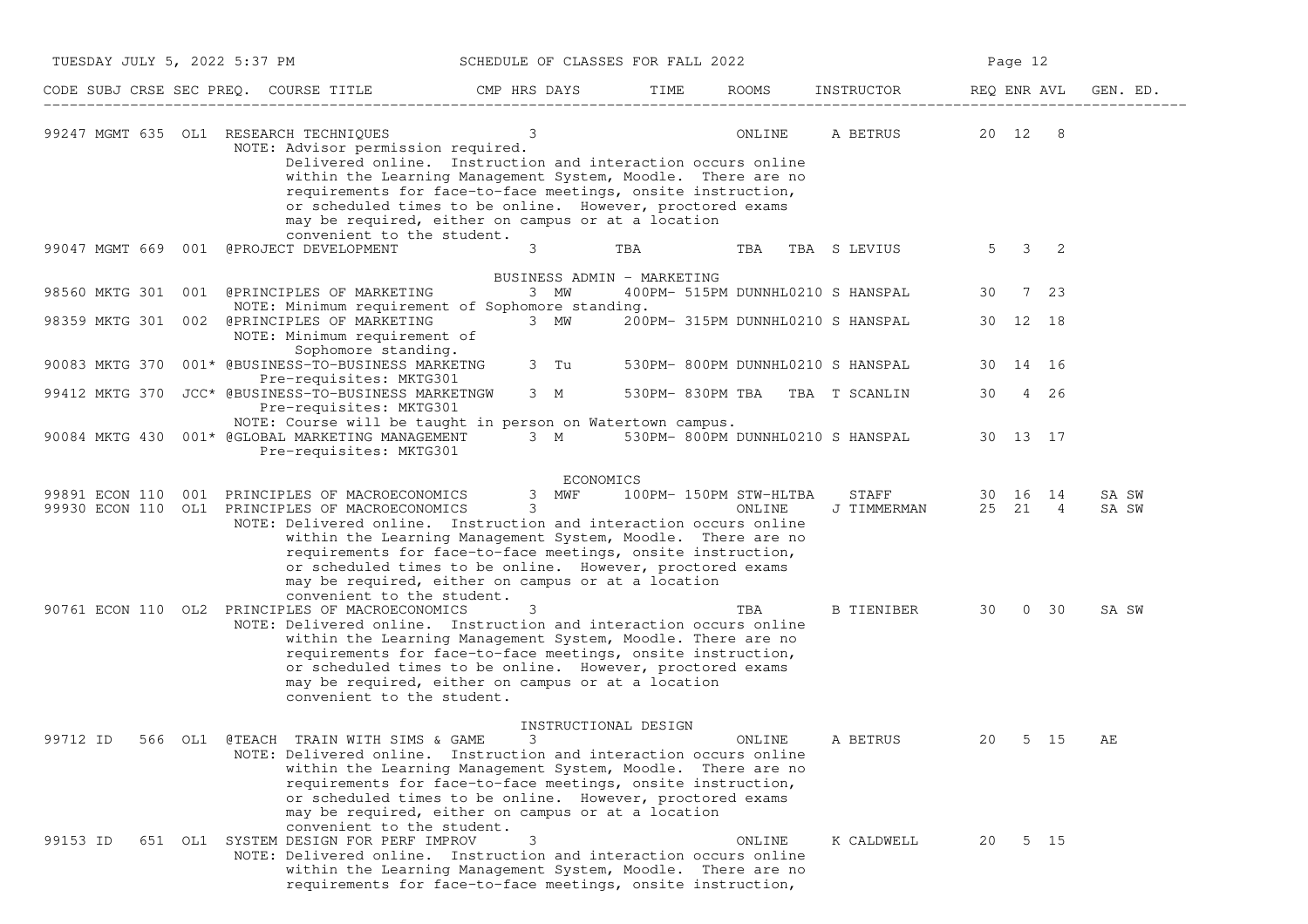| TUESDAY JULY 5, 2022 5:37 PM |  |                                                                                                                                                                                                                                                                                                                                                                                                                                                        | SCHEDULE OF CLASSES FOR FALL 2022 |                            |                                  |                                   | Page 12             |             |                |
|------------------------------|--|--------------------------------------------------------------------------------------------------------------------------------------------------------------------------------------------------------------------------------------------------------------------------------------------------------------------------------------------------------------------------------------------------------------------------------------------------------|-----------------------------------|----------------------------|----------------------------------|-----------------------------------|---------------------|-------------|----------------|
|                              |  | CODE SUBJ CRSE SEC PREQ. COURSE TITLE                                                                                                                                                                                                                                                                                                                                                                                                                  | CMP HRS DAYS                      | TIME                       | ROOMS                            | INSTRUCTOR                        | REQ ENR AVL         |             | GEN. ED.       |
|                              |  | 99247 MGMT 635 OL1 RESEARCH TECHNIQUES<br>NOTE: Advisor permission required.<br>Delivered online. Instruction and interaction occurs online<br>within the Learning Management System, Moodle. There are no<br>requirements for face-to-face meetings, onsite instruction,<br>or scheduled times to be online. However, proctored exams<br>may be required, either on campus or at a location<br>convenient to the student.                             | 3                                 |                            | ONLINE                           | A BETRUS                          | 20 12 8             |             |                |
|                              |  | 99047 MGMT 669 001 @PROJECT DEVELOPMENT                                                                                                                                                                                                                                                                                                                                                                                                                | 3                                 | TBA                        | TBA                              | TBA S LEVIUS                      | $5^{\circ}$         | $3 \quad 2$ |                |
| 98560 MKTG 301               |  | 001 @PRINCIPLES OF MARKETING<br>NOTE: Minimum requirement of Sophomore standing.                                                                                                                                                                                                                                                                                                                                                                       | 3 MW                              | BUSINESS ADMIN - MARKETING |                                  | 400PM- 515PM DUNNHL0210 S HANSPAL | 30                  | 7 23        |                |
|                              |  | 98359 MKTG 301 002 @PRINCIPLES OF MARKETING<br>NOTE: Minimum requirement of                                                                                                                                                                                                                                                                                                                                                                            | 3 MW                              |                            |                                  | 200PM- 315PM DUNNHL0210 S HANSPAL | 30 12 18            |             |                |
| 90083 MKTG 370               |  | Sophomore standing.<br>001* @BUSINESS-TO-BUSINESS MARKETNG<br>Pre-requisites: MKTG301                                                                                                                                                                                                                                                                                                                                                                  | 3 Tu                              |                            |                                  | 530PM- 800PM DUNNHL0210 S HANSPAL | 30 14 16            |             |                |
| 99412 MKTG 370               |  | JCC* @BUSINESS-TO-BUSINESS MARKETNGW<br>Pre-requisites: MKTG301                                                                                                                                                                                                                                                                                                                                                                                        | 3 M                               |                            |                                  | 530PM-830PM TBA TBA T SCANLIN     | 30                  | 4 26        |                |
|                              |  | NOTE: Course will be taught in person on Watertown campus.<br>90084 MKTG 430 001* @GLOBAL MARKETING MANAGEMENT<br>Pre-requisites: MKTG301                                                                                                                                                                                                                                                                                                              | 3 M                               |                            |                                  | 530PM- 800PM DUNNHL0210 S HANSPAL | 30 13 17            |             |                |
|                              |  | 99891 ECON 110 001 PRINCIPLES OF MACROECONOMICS<br>99930 ECON 110 OL1 PRINCIPLES OF MACROECONOMICS<br>NOTE: Delivered online. Instruction and interaction occurs online<br>within the Learning Management System, Moodle. There are no<br>requirements for face-to-face meetings, onsite instruction,<br>or scheduled times to be online. However, proctored exams<br>may be required, either on campus or at a location<br>convenient to the student. | ECONOMICS<br>3 MWF<br>3           |                            | 100PM- 150PM STW-HLTBA<br>ONLINE | STAFF<br>J TIMMERMAN              | 30 16 14<br>25 21 4 |             | SA SW<br>SA SW |
|                              |  | 90761 ECON 110 OL2 PRINCIPLES OF MACROECONOMICS<br>NOTE: Delivered online. Instruction and interaction occurs online<br>within the Learning Management System, Moodle. There are no<br>requirements for face-to-face meetings, onsite instruction,<br>or scheduled times to be online. However, proctored exams<br>may be required, either on campus or at a location<br>convenient to the student.                                                    | 3                                 |                            | TBA                              | <b>B TIENIBER</b>                 | 30                  | $0\quad 30$ | SA SW          |
| 99712 ID<br>566              |  | OL1 @TEACH<br>TRAIN WITH SIMS & GAME<br>NOTE: Delivered online. Instruction and interaction occurs online<br>within the Learning Management System, Moodle. There are no<br>requirements for face-to-face meetings, onsite instruction,<br>or scheduled times to be online. However, proctored exams<br>may be required, either on campus or at a location                                                                                             | 3                                 | INSTRUCTIONAL DESIGN       | ONLINE                           | A BETRUS                          | 20                  | 5 15        | AЕ             |
| 99153 ID                     |  | convenient to the student.<br>651 OL1 SYSTEM DESIGN FOR PERF IMPROV<br>NOTE: Delivered online. Instruction and interaction occurs online<br>within the Learning Management System, Moodle. There are no<br>requirements for face-to-face meetings, onsite instruction,                                                                                                                                                                                 | 3                                 |                            | ONLINE                           | K CALDWELL                        | 20                  | 5 15        |                |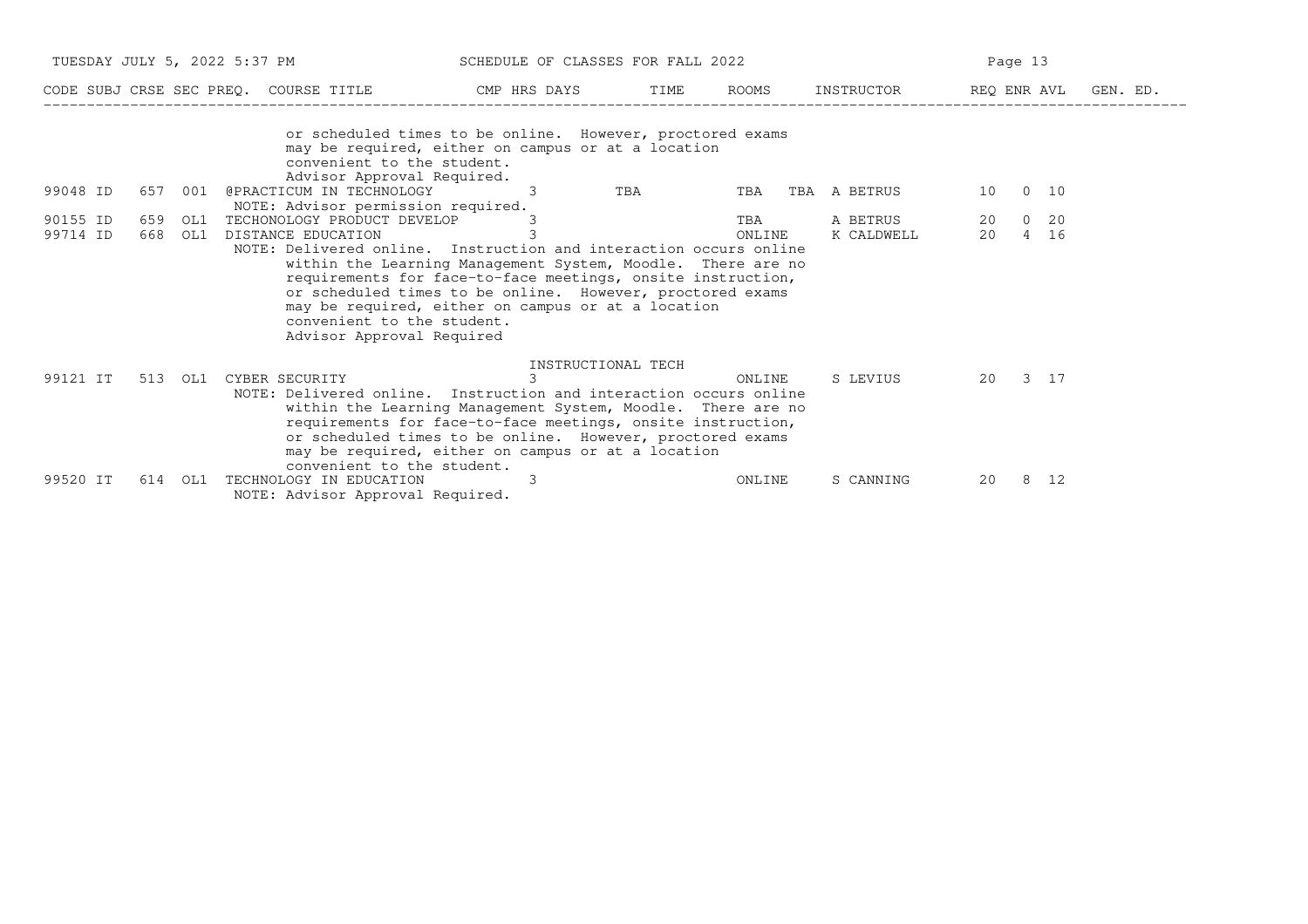| TUESDAY JULY 5, 2022 5:37 PM |                |         |                                                                                                                                                                                                                                                                                                                                                                                                                                                                          | SCHEDULE OF CLASSES FOR FALL 2022 |                                                      |                  | Page 13                |               |             |  |  |
|------------------------------|----------------|---------|--------------------------------------------------------------------------------------------------------------------------------------------------------------------------------------------------------------------------------------------------------------------------------------------------------------------------------------------------------------------------------------------------------------------------------------------------------------------------|-----------------------------------|------------------------------------------------------|------------------|------------------------|---------------|-------------|--|--|
|                              |                |         | CODE SUBJ CRSE SEC PREO. COURSE TITLE THE CMP HRS DAYS                                                                                                                                                                                                                                                                                                                                                                                                                   |                                   | TIME                                                 | ROOMS            | INSTRUCTOR             | REQ ENR AVL   | GEN. ED.    |  |  |
| 99048 ID                     | 657 001        |         | or scheduled times to be online. However, proctored exams<br>may be required, either on campus or at a location<br>convenient to the student.<br>Advisor Approval Required.<br>@PRACTICUM IN TECHNOLOGY                                                                                                                                                                                                                                                                  | $\mathcal{E}$                     | TBA                                                  | TBA TBA A BETRUS |                        | 10            | $0\quad 10$ |  |  |
| 90155 ID<br>99714 ID         | 659 OL1<br>668 | OL1     | NOTE: Advisor permission required.<br>TECHONOLOGY PRODUCT DEVELOP<br>DISTANCE EDUCATION<br>NOTE: Delivered online. Instruction and interaction occurs online<br>within the Learning Management System, Moodle. There are no<br>requirements for face-to-face meetings, onsite instruction,<br>or scheduled times to be online. However, proctored exams<br>may be required, either on campus or at a location<br>convenient to the student.<br>Advisor Approval Required | 3                                 |                                                      | TBA<br>ONLINE    | A BETRUS<br>K CALDWELL | 20 0 20<br>20 | 4 16        |  |  |
| 99121 IT                     |                | 513 OL1 | CYBER SECURITY THE SECOND SECTION OF THE SECOND SECTION OF THE SECOND SECTION OF THE SECTION OF THE SECTION OF<br>NOTE: Delivered online. Instruction and interaction occurs online<br>within the Learning Management System, Moodle. There are no<br>requirements for face-to-face meetings, onsite instruction,<br>or scheduled times to be online. However, proctored exams<br>may be required, either on campus or at a location<br>convenient to the student.       |                                   | INSTRUCTIONAL TECH<br>$3 \left( \frac{1}{2} \right)$ | ONLINE           | S LEVIUS               | 20 3 17       |             |  |  |
| 99520 IT                     | 614            | OL1     | TECHNOLOGY IN EDUCATION<br>NOTE: Advisor Approval Required.                                                                                                                                                                                                                                                                                                                                                                                                              | 3                                 |                                                      | ONLINE           | S CANNING              | 20            | 8 12        |  |  |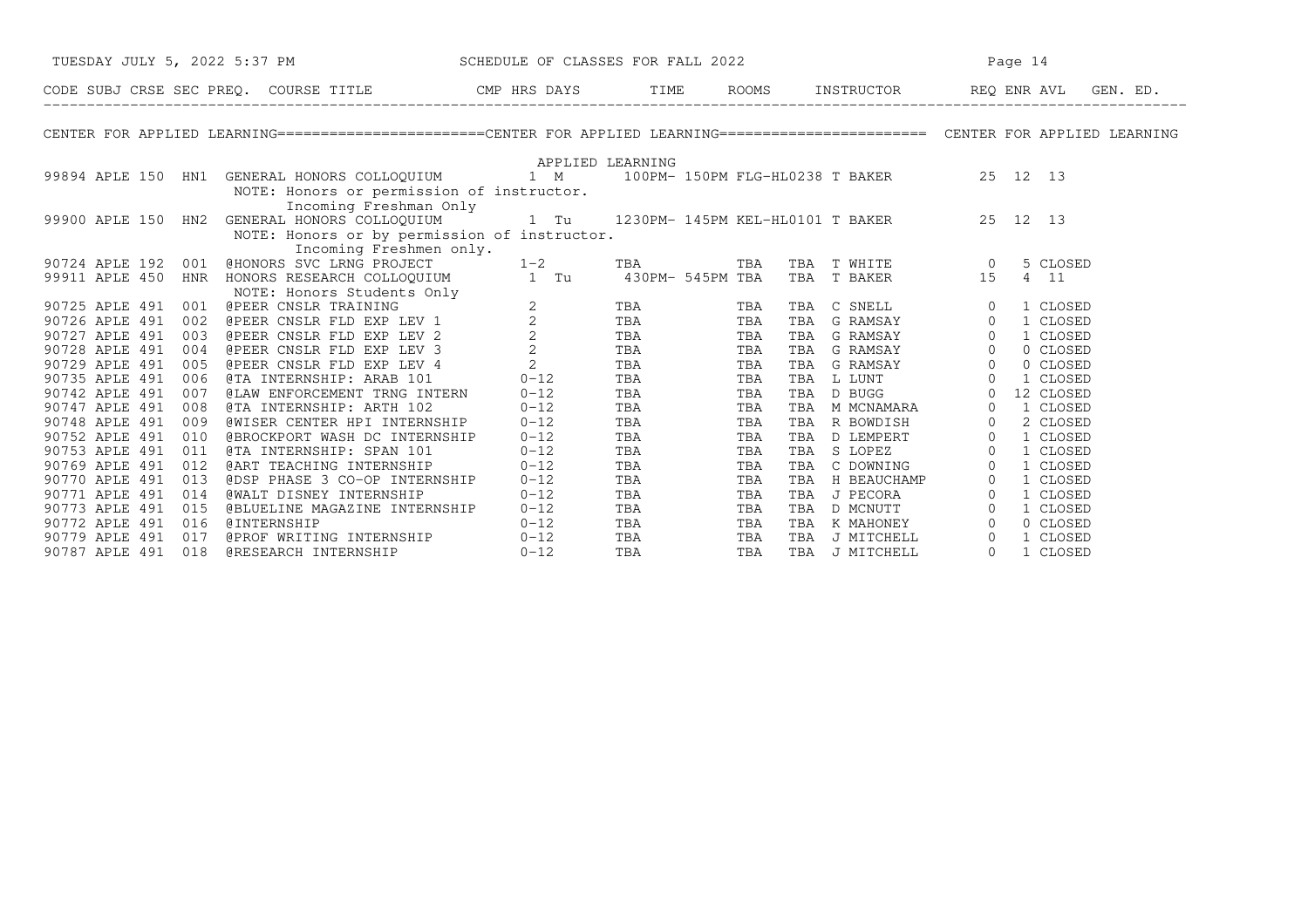| TUESDAY JULY 5, 2022 5:37 PM SCHEDULE OF CLASSES FOR FALL 2022                                                                                                     |                  |                   |     | Page 14 |                                                                                                                                                                                                                             |  |  |
|--------------------------------------------------------------------------------------------------------------------------------------------------------------------|------------------|-------------------|-----|---------|-----------------------------------------------------------------------------------------------------------------------------------------------------------------------------------------------------------------------------|--|--|
|                                                                                                                                                                    |                  |                   |     |         |                                                                                                                                                                                                                             |  |  |
| CENTER FOR APPLIED LEARNING=======================CENTER FOR APPLIED LEARNING=========================== CENTER FOR APPLIED LEARNING                               |                  |                   |     |         |                                                                                                                                                                                                                             |  |  |
|                                                                                                                                                                    | APPLIED LEARNING |                   |     |         |                                                                                                                                                                                                                             |  |  |
| 99894 APLE 150 HN1 GENERAL HONORS COLLOQUIUM 1 M 100PM-150PM FLG-HL0238 T BAKER 25 12 13                                                                           |                  |                   |     |         |                                                                                                                                                                                                                             |  |  |
| NOTE: Honors or permission of instructor.                                                                                                                          |                  |                   |     |         |                                                                                                                                                                                                                             |  |  |
| Incoming Freshman Only                                                                                                                                             |                  |                   |     |         |                                                                                                                                                                                                                             |  |  |
| 11 13 13 Incoming Freshman Only<br>19900 APLE 150 HN2 GENERAL HONORS COLLOQUIUM 1 Tu 1230PM-145PM KEL-HL0101 T BAKER 25 12 13                                      |                  |                   |     |         |                                                                                                                                                                                                                             |  |  |
| NOTE: Honors or by permission of instructor.<br>Incoming Freshmen only.                                                                                            |                  |                   |     |         |                                                                                                                                                                                                                             |  |  |
| 90724 APLE 192 001                                                                                                                                                 |                  |                   |     |         | 5 CLOSED                                                                                                                                                                                                                    |  |  |
| 99911 APLE 450 HNR                                                                                                                                                 |                  |                   |     |         | 4 11                                                                                                                                                                                                                        |  |  |
|                                                                                                                                                                    |                  |                   |     |         |                                                                                                                                                                                                                             |  |  |
| 90725 APLE 491 001                                                                                                                                                 |                  |                   |     |         | TBA C SNELL 0 1 CLOSED<br>TBA G RAMSAY 0 1 CLOSED<br>TBA G RAMSAY 0 1 CLOSED<br>TBA G RAMSAY 0 0 CLOSED<br>TBA G RAMSAY 0 0 CLOSED                                                                                          |  |  |
| 90726 APLE 491<br>002                                                                                                                                              |                  |                   |     |         |                                                                                                                                                                                                                             |  |  |
| 90727 APLE 491<br>003                                                                                                                                              |                  |                   |     |         |                                                                                                                                                                                                                             |  |  |
| 90728 APLE 491<br>004                                                                                                                                              |                  |                   |     |         |                                                                                                                                                                                                                             |  |  |
| 90729 APLE 491<br>005                                                                                                                                              |                  |                   |     |         | G RAMSAY 0 0 CLOSED                                                                                                                                                                                                         |  |  |
| 90735 APLE 491<br>006                                                                                                                                              |                  |                   |     |         | TBA L LUNT 0 1 CLOSED                                                                                                                                                                                                       |  |  |
| @LAW ENFORCEMENT TRNG INTERN 0-12<br>90742 APLE 491<br>007                                                                                                         |                  | <b>TBA</b>        | TBA |         | TBA D BUGG 0 12 CLOSED<br>TBA M MCNAMARA 0 1 CLOSED<br>TBA R BOWDISH 0 2 CLOSED<br>TBA D LEMPERT 0 1 CLOSED<br>TBA C DOWNING 0 1 CLOSED<br>TBA C DOWNING 0 1 CLOSED<br>TBA C DOWNING 0 1 CLOSED<br>TBA C DOWNING 0 1 CLOSED |  |  |
| 90747 APLE 491<br>@TA INTERNSHIP: ARTH 102<br>008                                                                                                                  | $0 - 12$         | TBA               | TBA |         |                                                                                                                                                                                                                             |  |  |
| @WISER CENTER HPI INTERNSHIP 0-12<br>90748 APLE 491<br>009                                                                                                         |                  | TBA<br>TBA<br>TBA | TBA |         |                                                                                                                                                                                                                             |  |  |
| @BROCKPORT WASH DC INTERNSHIP 0-12<br>90752 APLE 491 010                                                                                                           |                  |                   | TBA |         |                                                                                                                                                                                                                             |  |  |
| e BROCKFORI WASH DC INIERNSHIP<br>e TA INTERNSHIP: SPAN 101 0-12<br>e ART TEACHING INTERNSHIP 0-12<br>e DSP PHASE 3 CO-OP INTERNSHIP 0-12<br>90753 APLE 491<br>011 |                  | TBA               | TBA |         |                                                                                                                                                                                                                             |  |  |
| 90769 APLE 491<br>012                                                                                                                                              |                  | TBA               | TBA |         |                                                                                                                                                                                                                             |  |  |
| 90770 APLE 491<br>013                                                                                                                                              |                  | <b>TBA</b>        | TBA | TBA     | H BEAUCHAMP 0 1 CLOSED<br>J PECORA 0 1 CLOSED                                                                                                                                                                               |  |  |
| 90771 APLE 491<br><b>@WALT DISNEY INTERNSHIP</b><br>014                                                                                                            | $0 - 12$         | <b>TBA</b>        | TBA | TBA     |                                                                                                                                                                                                                             |  |  |
| 90773 APLE 491<br>015                                                                                                                                              |                  |                   |     |         | D MCNUTT 0 1 CLOSED                                                                                                                                                                                                         |  |  |
| 90772 APLE 491<br>016                                                                                                                                              |                  |                   |     |         | 0 CLOSED                                                                                                                                                                                                                    |  |  |
| 90779 APLE 491<br>017                                                                                                                                              |                  |                   |     |         | 1 CLOSED                                                                                                                                                                                                                    |  |  |
| 018<br>90787 APLE 491                                                                                                                                              |                  |                   |     |         | 1 CLOSED                                                                                                                                                                                                                    |  |  |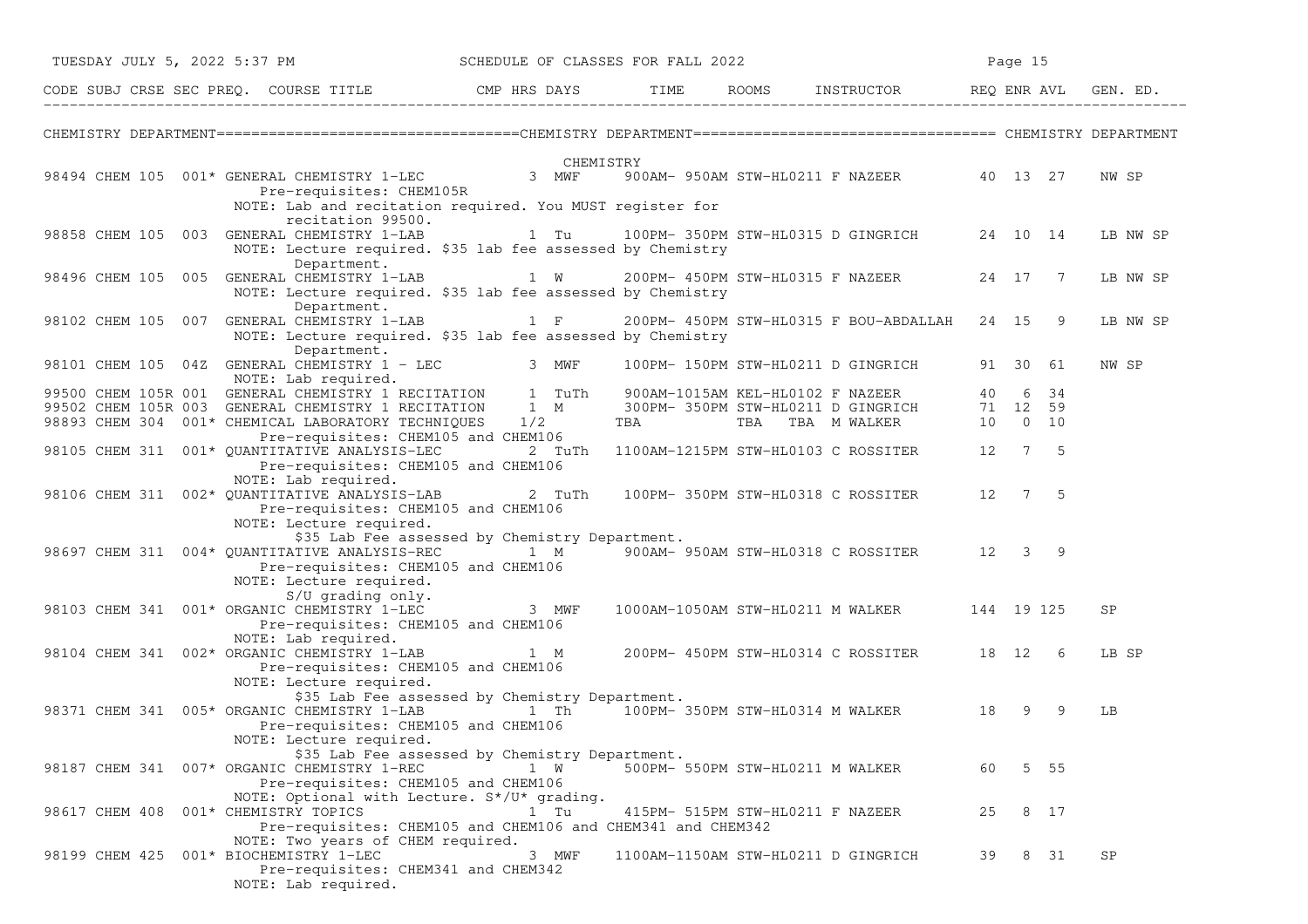| TUESDAY JULY 5, 2022 5:37 PM                                                                                                                                                  |                                                                                                                                             |     | SCHEDULE OF CLASSES FOR FALL 2022 |     |                                  |                                                                                                                        |    | Page 15  |      |           |          |
|-------------------------------------------------------------------------------------------------------------------------------------------------------------------------------|---------------------------------------------------------------------------------------------------------------------------------------------|-----|-----------------------------------|-----|----------------------------------|------------------------------------------------------------------------------------------------------------------------|----|----------|------|-----------|----------|
| CODE SUBJ CRSE SEC PREQ. COURSE TITLE THE CMP HRS DAYS TIME ROOMS INSTRUCTOR REQ ENR AVL GEN. ED.                                                                             |                                                                                                                                             |     |                                   |     |                                  |                                                                                                                        |    |          |      |           |          |
|                                                                                                                                                                               |                                                                                                                                             |     |                                   |     |                                  |                                                                                                                        |    |          |      |           |          |
| OHEMI<br>98494 CHEM 105 001* GENERAL CHEMISTRY 1-LEC 3 MWF                                                                                                                    | Pre-requisites: CHEM105R                                                                                                                    |     | CHEMISTRY                         |     |                                  | 900AM- 950AM STW-HL0211 F NAZEER 40 13 27                                                                              |    |          |      | NW SP     |          |
| 98858 CHEM 105 003 GENERAL CHEMISTRY 1-LAB                                                                                                                                    | NOTE: Lab and recitation required. You MUST register for<br>recitation 99500.                                                               |     |                                   |     |                                  |                                                                                                                        |    |          |      |           | LB NW SP |
|                                                                                                                                                                               | NOTE: Lecture required. \$35 lab fee assessed by Chemistry<br>Department.                                                                   |     |                                   |     |                                  | 98496 CHEM 105 005 GENERAL CHEMISTRY 1-LAB 1 W 200PM-450PM STW-HL0315 F NAZEER                                         |    | 24 17 7  |      |           | LB NW SP |
| 98102 CHEM 105 007 GENERAL CHEMISTRY 1-LAB                                                                                                                                    | NOTE: Lecture required. \$35 lab fee assessed by Chemistry<br>Department.                                                                   |     |                                   |     |                                  | 1 F 200PM-450PM STW-HL0315 F BOU-ABDALLAH 24 15 9                                                                      |    |          |      |           | LB NW SP |
| 98101 CHEM 105 04Z GENERAL CHEMISTRY 1 - LEC 3 MWF<br>NOTE: Lab required.                                                                                                     | NOTE: Lecture required. \$35 lab fee assessed by Chemistry<br>Department.                                                                   |     |                                   |     |                                  | 100PM- 150PM STW-HL0211 D GINGRICH                                                                                     |    | 91 30 61 |      | NW SP     |          |
| 99500 CHEM 105R 001 GENERAL CHEMISTRY 1 RECITATION 1 TuTh<br>99502 CHEM 105R 003 GENERAL CHEMISTRY 1 RECITATION 1 M<br>98893 CHEM 304 001* CHEMICAL LABORATORY TECHNIQUES 1/2 | NOTE: Lab required.                                                                                                                         |     |                                   | TBA |                                  | 900AM-1015AM KEL-HL0102 F NAZEER 40 6 34<br>300PM-350PM STW-HL0211 D GINGRICH 71 12 59<br>TBA TBA TBA M WALKER 10 0 10 |    |          |      |           |          |
| 98105 CHEM 311 001* QUANTITATIVE ANALYSIS-LEC                                                                                                                                 | Pre-requisites: CHEM105 and CHEM106<br>Pre-requisites: CHEM105 and CHEM106                                                                  |     | 2 TuTh                            |     |                                  | 1100AM-1215PM STW-HL0103 C ROSSITER 12 7 5                                                                             |    |          |      |           |          |
| 98106 CHEM 311 002* QUANTITATIVE ANALYSIS-LAB 2 TuTh                                                                                                                          | NOTE: Lab required.<br>Pre-requisites: CHEM105 and CHEM106                                                                                  |     |                                   |     |                                  | 100PM-350PM STW-HL0318 C ROSSITER 12 7 5                                                                               |    |          |      |           |          |
|                                                                                                                                                                               | NOTE: Lecture required.<br>\$35 Lab Fee assessed by Chemistry Department.<br>Pre-requisites: CHEM105 and CHEM106<br>NOTE: Lecture required. |     |                                   |     |                                  | 98697 CHEM 311 004* QUANTITATIVE ANALYSIS-REC 1 M 300AM-950AM STW-HL0318 C ROSSITER 12 3 9                             |    |          |      |           |          |
| 98103 CHEM 341 001* ORGANIC CHEMISTRY 1-LEC 3 MWF                                                                                                                             | S/U grading only.<br>Pre-requisites: CHEM105 and CHEM106                                                                                    |     |                                   |     |                                  | 1000AM-1050AM STW-HL0211 M WALKER 144 19 125                                                                           |    |          |      | SP        |          |
| 98104 CHEM 341 002* ORGANIC CHEMISTRY 1-LAB 1 M                                                                                                                               | NOTE: Lab required.<br>Pre-requisites: CHEM105 and CHEM106                                                                                  |     |                                   |     |                                  | 200PM- 450PM STW-HL0314 C ROSSITER 18 12 6                                                                             |    |          |      | LB SP     |          |
| 98371 CHEM 341 005* ORGANIC CHEMISTRY 1-LAB                                                                                                                                   | NOTE: Lecture required.<br>\$35 Lab Fee assessed by Chemistry Department.<br>Pre-requisites: CHEM105 and CHEM106<br>NOTE: Lecture required. |     |                                   |     |                                  | 18 100PM-350PM STW-HL0314 M WALKER                                                                                     |    |          | 99   | LB        |          |
| 98187 CHEM 341 007* ORGANIC CHEMISTRY 1-REC                                                                                                                                   | \$35 Lab Fee assessed by Chemistry Department.<br>Pre-requisites: CHEM105 and CHEM106                                                       | 1 W |                                   |     | 500PM- 550PM STW-HL0211 M WALKER |                                                                                                                        | 60 |          | 5 55 |           |          |
| 98617 CHEM 408 001* CHEMISTRY TOPICS                                                                                                                                          | NOTE: Optional with Lecture. S*/U* grading.<br>Pre-requisites: CHEM105 and CHEM106 and CHEM341 and CHEM342                                  |     | 1 Tu                              |     | 415PM- 515PM STW-HL0211 F NAZEER |                                                                                                                        | 25 |          | 8 17 |           |          |
| 98199 CHEM 425                                                                                                                                                                | NOTE: Two years of CHEM required.<br>001* BIOCHEMISTRY 1-LEC<br>Pre-requisites: CHEM341 and CHEM342<br>NOTE: Lab required.                  |     | 3 MWF                             |     |                                  | 1100AM-1150AM STW-HL0211 D GINGRICH                                                                                    | 39 |          | 8 31 | <b>SP</b> |          |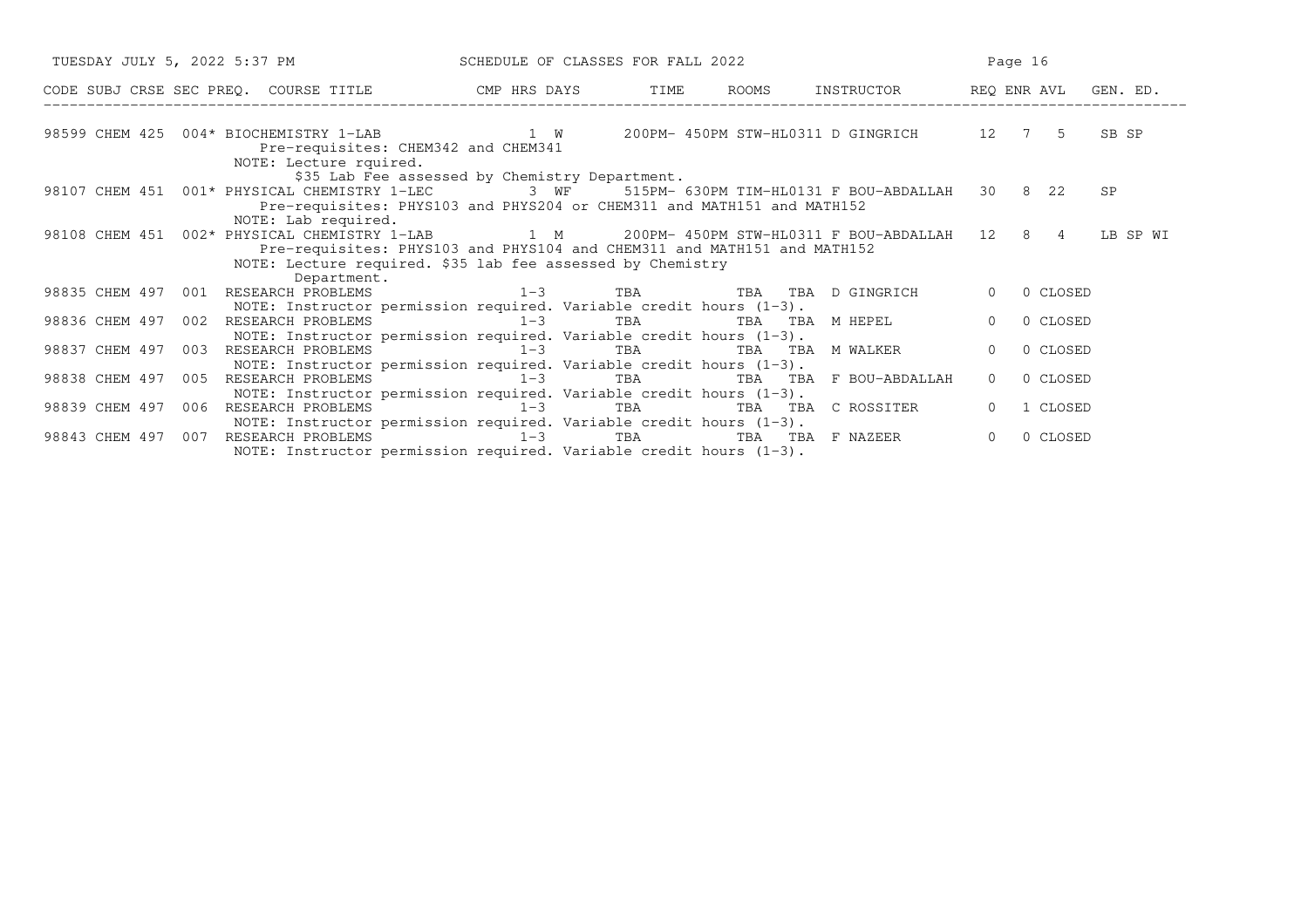| TUESDAY JULY 5, 2022 5:37 PM SCHEDULE OF CLASSES FOR FALL 2022                                                                                                                                                                                                         |                                                |     | Page 16                |          |          |           |
|------------------------------------------------------------------------------------------------------------------------------------------------------------------------------------------------------------------------------------------------------------------------|------------------------------------------------|-----|------------------------|----------|----------|-----------|
| CODE SUBJ CRSE SEC PREQ. COURSE TITLE CMP HRS DAYS TIME ROOMS INSTRUCTOR REQ ENR AVL GEN. ED.                                                                                                                                                                          |                                                |     |                        |          |          |           |
| 98599 CHEM 425 004* BIOCHEMISTRY 1-LAB 1 W 200PM-450PM STW-HL0311 D GINGRICH 12 7 5 SB SP<br>Pre-requisites: CHEM342 and CHEM341                                                                                                                                       |                                                |     |                        |          |          |           |
| NOTE: Lecture rquired.<br>98107 CHEM 451 001* PHYSICAL CHEMISTRY 1-LEC 3 WF 515PM- 630PM TIM-HL0131 F BOU-ABDALLAH 30 8 22<br>Pre-requisites: PHYS103 and PHYS204 or CHEM311 and MATH151 and MATH152                                                                   | \$35 Lab Fee assessed by Chemistry Department. |     |                        |          |          | <b>SP</b> |
| NOTE: Lab required.<br>98108 CHEM 451 002* PHYSICAL CHEMISTRY 1-LAB 1 M 200PM-450PM STW-HL0311 F BOU-ABDALLAH 12 8 4 LB SP WI<br>Pre-requisites: PHYS103 and PHYS104 and CHEM311 and MATH151 and MATH152<br>NOTE: Lecture required. \$35 lab fee assessed by Chemistry |                                                |     |                        |          |          |           |
| Department.<br>98835 CHEM 497 001<br>RESEARCH PROBLEMS $1-3$ TBA TBA TBA D GINGRICH<br>NOTE: Instructor permission required. Variable credit hours $(1-3)$ .                                                                                                           |                                                |     |                        | $\Omega$ | 0 CLOSED |           |
| RESEARCH PROBLEMS $1-3$ TBA TBA TBA M HEPEL<br>98836 CHEM 497 002<br>NOTE: Instructor permission required. Variable credit hours $(1-3)$ .                                                                                                                             |                                                |     |                        | $\Omega$ | 0 CLOSED |           |
| 98837 CHEM 497<br>003                                                                                                                                                                                                                                                  |                                                | TBA | TBA TBA MWALKER        | $\Omega$ | 0 CLOSED |           |
| NOTE: Instructor permission required. Variable credit hours $(1-3)$ .<br>98838 CHEM 497<br>RESEARCH PROBLEMS 1-3<br>005                                                                                                                                                |                                                | TBA | TBA TBA F BOU-ABDALLAH | $\Omega$ | 0 CLOSED |           |
| NOTE: Instructor permission required. Variable credit hours $(1-3)$ .<br>98839 CHEM 497 006<br>RESEARCH PROBLEMS $1-3$ TBA TBA TBA C ROSSITER                                                                                                                          |                                                |     |                        | $\Omega$ | 1 CLOSED |           |
| NOTE: Instructor permission required. Variable credit hours $(1-3)$ .<br>RESEARCH PROBLEMS<br>98843 CHEM 497<br>007<br>NOTE: Instructor permission required. Variable credit hours $(1-3)$ .                                                                           | $1-3$                                          | TBA | TBA TBA F NAZEER       | $\Omega$ | 0 CLOSED |           |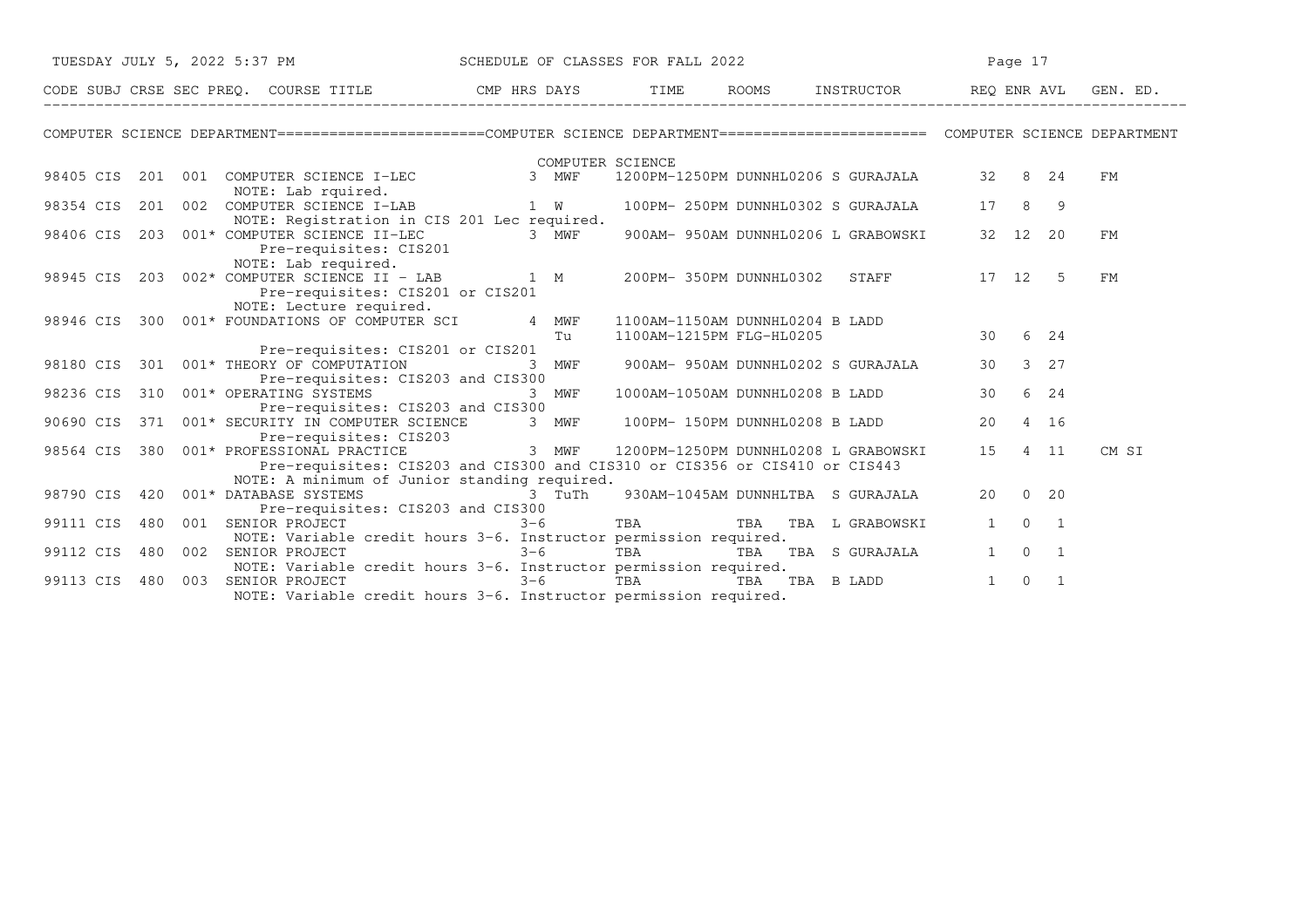|           |     |                                  | TUESDAY JULY 5, 2022 5:37 PM SCHEDULE OF CLASSES FOR FALL 2022                                                                      |         |                  | Page 17                  |                                                    |              |                                  |       |
|-----------|-----|----------------------------------|-------------------------------------------------------------------------------------------------------------------------------------|---------|------------------|--------------------------|----------------------------------------------------|--------------|----------------------------------|-------|
|           |     |                                  |                                                                                                                                     |         |                  |                          |                                                    |              |                                  |       |
|           |     |                                  | COMPUTER SCIENCE DEPARTMENT=======================COMPUTER SCIENCE DEPARTMENT========================== COMPUTER SCIENCE DEPARTMENT |         |                  |                          |                                                    |              |                                  |       |
|           |     |                                  |                                                                                                                                     |         | COMPUTER SCIENCE |                          |                                                    |              |                                  |       |
|           |     | NOTE: Lab rquired.               | 98405 CIS 201 001 COMPUTER SCIENCE I-LEC                                                                                            | 3 MWF   |                  |                          | 1200PM-1250PM DUNNHL0206 S GURAJALA 32 8 24        |              |                                  | FМ    |
| 98354 CIS |     |                                  | 201 002 COMPUTER SCIENCE I-LAB 1 W<br>NOTE: Registration in CIS 201 Lec required.                                                   |         |                  |                          | 100PM- 250PM DUNNHL0302 S GURAJALA                 | 17           | 8<br>- 9                         |       |
| 98406 CIS |     | 203 001* COMPUTER SCIENCE II-LEC | Pre-requisites: CIS201                                                                                                              | 3 MWF   |                  |                          | 900AM- 950AM DUNNHL0206 L GRABOWSKI                | 32 12        | 20                               | FM    |
|           |     |                                  | NOTE: Lab required.<br>98945 CIS 203 002* COMPUTER SCIENCE II - LAB 1 M<br>Pre-requisites: CIS201 or CIS201                         |         |                  |                          | 200PM-350PM DUNNHL0302 STAFF                       |              | 17 12 5                          | FМ    |
|           |     |                                  | NOTE: Lecture required.<br>98946 CIS 300 001* FOUNDATIONS OF COMPUTER SCI 4 MWF                                                     | Tu      |                  | 1100AM-1215PM FLG-HL0205 | 1100AM-1150AM DUNNHL0204 B LADD                    | 30           | 6 24                             |       |
| 98180 CIS |     |                                  | Pre-requisites: CIS201 or CIS201<br>301 001* THEORY OF COMPUTATION<br>Pre-requisites: CIS203 and CIS300                             | 3 MWF   |                  |                          | 900AM- 950AM DUNNHL0202 S GURAJALA                 | 30           | $3 \quad 27$                     |       |
| 98236 CIS |     | 310 001* OPERATING SYSTEMS       | Pre-requisites: CIS203 and CIS300                                                                                                   | 3 MWF   |                  |                          | 1000AM-1050AM DUNNHL0208 B LADD                    | 30           | 6 24                             |       |
| 90690 CIS |     |                                  | 371 001* SECURITY IN COMPUTER SCIENCE<br>Pre-requisites: CIS203                                                                     | 3 MWF   |                  |                          | 100PM- 150PM DUNNHL0208 B LADD                     | 20           | 4 16                             |       |
| 98564 CIS |     | 380 001* PROFESSIONAL PRACTICE   | Pre-requisites: CIS203 and CIS300 and CIS310 or CIS356 or CIS410 or CIS443                                                          |         |                  |                          | ----<br>3 MWF 1200PM-1250PM DUNNHL0208 L GRABOWSKI | 15           | 4 11                             | CM SI |
| 98790 CIS |     |                                  | NOTE: A minimum of Junior standing required.<br>420 001* DATABASE SYSTEMS NE NE SERIES 3 TuTh<br>Pre-requisites: CIS203 and CIS300  |         |                  |                          | 930AM-1045AM DUNNHLTBA S GURAJALA                  | 20           | $0\quad 20$                      |       |
| 99111 CIS | 480 |                                  | 001 SENIOR PROJECT<br>NOTE: Variable credit hours 3-6. Instructor permission required.                                              | $3 - 6$ |                  |                          | TBA TBA TBA L GRABOWSKI                            | $\mathbf{1}$ | $0\qquad1$                       |       |
| 99112 CIS | 480 | 002 SENIOR PROJECT               | NOTE: Variable credit hours 3-6. Instructor permission required.                                                                    | $3 - 6$ |                  |                          | TBA TBA TBA S GURAJALA                             | 1            | $\overline{0}$<br>$\overline{1}$ |       |
| 99113 CIS | 480 | 003                              | SENIOR PROJECT<br>NOTE: Variable credit hours 3-6. Instructor permission required.                                                  | $3 - 6$ |                  |                          | TBA TBA TBA B LADD                                 | 1            | $\Omega$<br>$\overline{1}$       |       |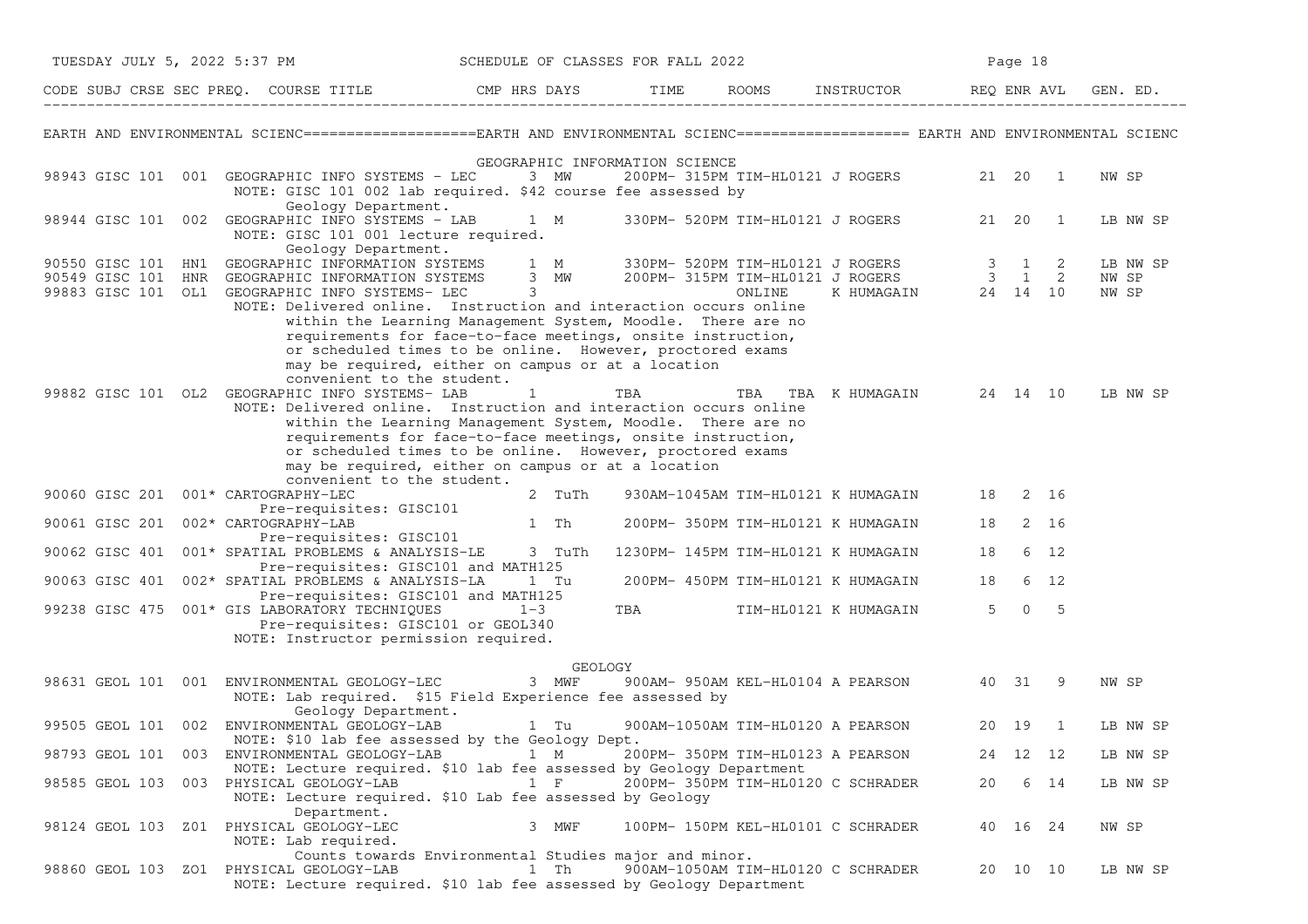|                    | TUESDAY JULY 5, 2022 5:37 PM                                                                                                                                                                                                                                                                                                           | SCHEDULE OF CLASSES FOR FALL 2022                                                                                                                                                                                                                             |                    |                                   |                                            |    | Page 18       |                |                            |
|--------------------|----------------------------------------------------------------------------------------------------------------------------------------------------------------------------------------------------------------------------------------------------------------------------------------------------------------------------------------|---------------------------------------------------------------------------------------------------------------------------------------------------------------------------------------------------------------------------------------------------------------|--------------------|-----------------------------------|--------------------------------------------|----|---------------|----------------|----------------------------|
|                    | CODE SUBJ CRSE SEC PREQ. COURSE TITLE THE CMP HRS DAYS TIME                                                                                                                                                                                                                                                                            |                                                                                                                                                                                                                                                               |                    |                                   | ROOMS INSTRUCTOR REQ ENR AVL               |    |               |                | GEN. ED.                   |
|                    | EARTH AND ENVIRONMENTAL SCIENC===================EARTH AND ENVIRONMENTAL SCIENC==================== EARTH AND ENVIRONMENTAL SCIENC                                                                                                                                                                                                     |                                                                                                                                                                                                                                                               |                    |                                   |                                            |    |               |                |                            |
|                    | 98943 GISC 101 001 GEOGRAPHIC INFO SYSTEMS - LEC<br>NOTE: GISC 101 002 lab required. \$42 course fee assessed by<br>Geology Department.                                                                                                                                                                                                | GEOGRAPHIC INFORMATION SCIENCE<br>3 MW                                                                                                                                                                                                                        |                    |                                   | 200PM- 315PM TIM-HL0121 J ROGERS 21 20 1   |    |               |                | NW SP                      |
| 98944 GISC 101 002 | GEOGRAPHIC INFO SYSTEMS - LAB 1 M<br>NOTE: GISC 101 001 lecture required.<br>Geology Department.                                                                                                                                                                                                                                       |                                                                                                                                                                                                                                                               |                    |                                   | 330PM- 520PM TIM-HL0121 J ROGERS           |    | 21 20         | $\overline{1}$ | LB NW SP                   |
|                    | 90550 GISC 101 HN1 GEOGRAPHIC INFORMATION SYSTEMS 1 M 330PM- 520PM TIM-HL0121 J ROGERS 3 1 2<br>90549 GISC 101 HNR GEOGRAPHIC INFORMATION SYSTEMS 3 MW 200PM- 315PM TIM-HL0121 J ROGERS 3 1 2<br>99883 GISC 101 OL1 GEOGRAPHIC INFO<br>NOTE: Delivered online. Instruction and interaction occurs online<br>convenient to the student. | within the Learning Management System, Moodle. There are no<br>requirements for face-to-face meetings, onsite instruction,<br>or scheduled times to be online. However, proctored exams<br>may be required, either on campus or at a location                 |                    |                                   | K HUMAGAIN 24 14 10                        |    |               |                | LB NW SP<br>NW SP<br>NW SP |
|                    | 99882 GISC 101 OL2 GEOGRAPHIC INFO SYSTEMS- LAB<br>NOTE: Delivered online. Instruction and interaction occurs online<br>convenient to the student.                                                                                                                                                                                     | $\mathbf{1}$<br>within the Learning Management System, Moodle. There are no<br>requirements for face-to-face meetings, onsite instruction,<br>or scheduled times to be online. However, proctored exams<br>may be required, either on campus or at a location | TBA                |                                   | TBA TBA KHUMAGAIN 24 14 10                 |    |               |                | LB NW SP                   |
|                    | 90060 GISC 201 001* CARTOGRAPHY-LEC<br>Pre-requisites: GISC101                                                                                                                                                                                                                                                                         | 2 TuTh                                                                                                                                                                                                                                                        |                    |                                   | 930AM-1045AM TIM-HL0121 K HUMAGAIN 18 2 16 |    |               |                |                            |
|                    | 90061 GISC 201 002* CARTOGRAPHY-LAB<br>Pre-requisites: GISC101                                                                                                                                                                                                                                                                         | 1 Th                                                                                                                                                                                                                                                          |                    |                                   | 200PM- 350PM TIM-HL0121 K HUMAGAIN         | 18 |               | 2 16           |                            |
|                    | 90062 GISC 401 001* SPATIAL PROBLEMS & ANALYSIS-LE 3 TuTh<br>Pre-requisites: GISC101 and MATH125                                                                                                                                                                                                                                       |                                                                                                                                                                                                                                                               |                    |                                   | 1230PM- 145PM TIM-HL0121 K HUMAGAIN        | 18 |               | 6 12           |                            |
|                    | 90063 GISC 401 002* SPATIAL PROBLEMS & ANALYSIS-LA<br>Pre-requisites: GISC101 and MATH125                                                                                                                                                                                                                                              | 1 Tu                                                                                                                                                                                                                                                          |                    |                                   | 200PM- 450PM TIM-HL0121 K HUMAGAIN         | 18 |               | 6 12           |                            |
|                    | 99238 GISC 475 001* GIS LABORATORY TECHNIQUES 1-3<br>Pre-requisites: GISC101 or GEOL340<br>NOTE: Instructor permission required.                                                                                                                                                                                                       |                                                                                                                                                                                                                                                               | TBA <b>TRANGER</b> |                                   | TIM-HL0121 K HUMAGAIN                      |    | $5 \t 0 \t 5$ |                |                            |
|                    | 98631 GEOL 101 001 ENVIRONMENTAL GEOLOGY-LEC 3 MWF<br>NOTE: Lab required. \$15 Field Experience fee assessed by<br>Geology Department.                                                                                                                                                                                                 | GEOLOGY                                                                                                                                                                                                                                                       |                    |                                   | 900AM- 950AM KEL-HL0104 A PEARSON 40 31 9  |    |               |                | NW SP                      |
| 99505 GEOL 101 002 | ENVIRONMENTAL GEOLOGY-LAB<br>NOTE: \$10 lab fee assessed by the Geology Dept.                                                                                                                                                                                                                                                          | 1 Tu                                                                                                                                                                                                                                                          |                    | 900AM-1050AM TIM-HL0120 A PEARSON |                                            |    | 20 19         | $\overline{1}$ | LB NW SP                   |
| 98793 GEOL 101     | 003 ENVIRONMENTAL GEOLOGY-LAB<br>NOTE: Lecture required. \$10 lab fee assessed by Geology Department                                                                                                                                                                                                                                   | 1 M                                                                                                                                                                                                                                                           |                    | 200PM- 350PM TIM-HL0123 A PEARSON |                                            |    | 24 12 12      |                | LB NW SP                   |
|                    | 98585 GEOL 103 003 PHYSICAL GEOLOGY-LAB<br>NOTE: Lecture required. \$10 Lab fee assessed by Geology<br>Department.                                                                                                                                                                                                                     | $1 \quad F$                                                                                                                                                                                                                                                   |                    |                                   | 200PM- 350PM TIM-HL0120 C SCHRADER         | 20 |               | 6 14           | LB NW SP                   |
|                    | 98124 GEOL 103 Z01 PHYSICAL GEOLOGY-LEC<br>NOTE: Lab required.                                                                                                                                                                                                                                                                         | 3 MWF                                                                                                                                                                                                                                                         |                    |                                   | 100PM- 150PM KEL-HL0101 C SCHRADER         |    | 40 16 24      |                | NW SP                      |
|                    | 98860 GEOL 103 ZO1 PHYSICAL GEOLOGY-LAB<br>NOTE: Lecture required. \$10 lab fee assessed by Geology Department                                                                                                                                                                                                                         | Counts towards Environmental Studies major and minor.<br>1 Th                                                                                                                                                                                                 |                    |                                   | 900AM-1050AM TIM-HL0120 C SCHRADER         |    | 20 10 10      |                | LB NW SP                   |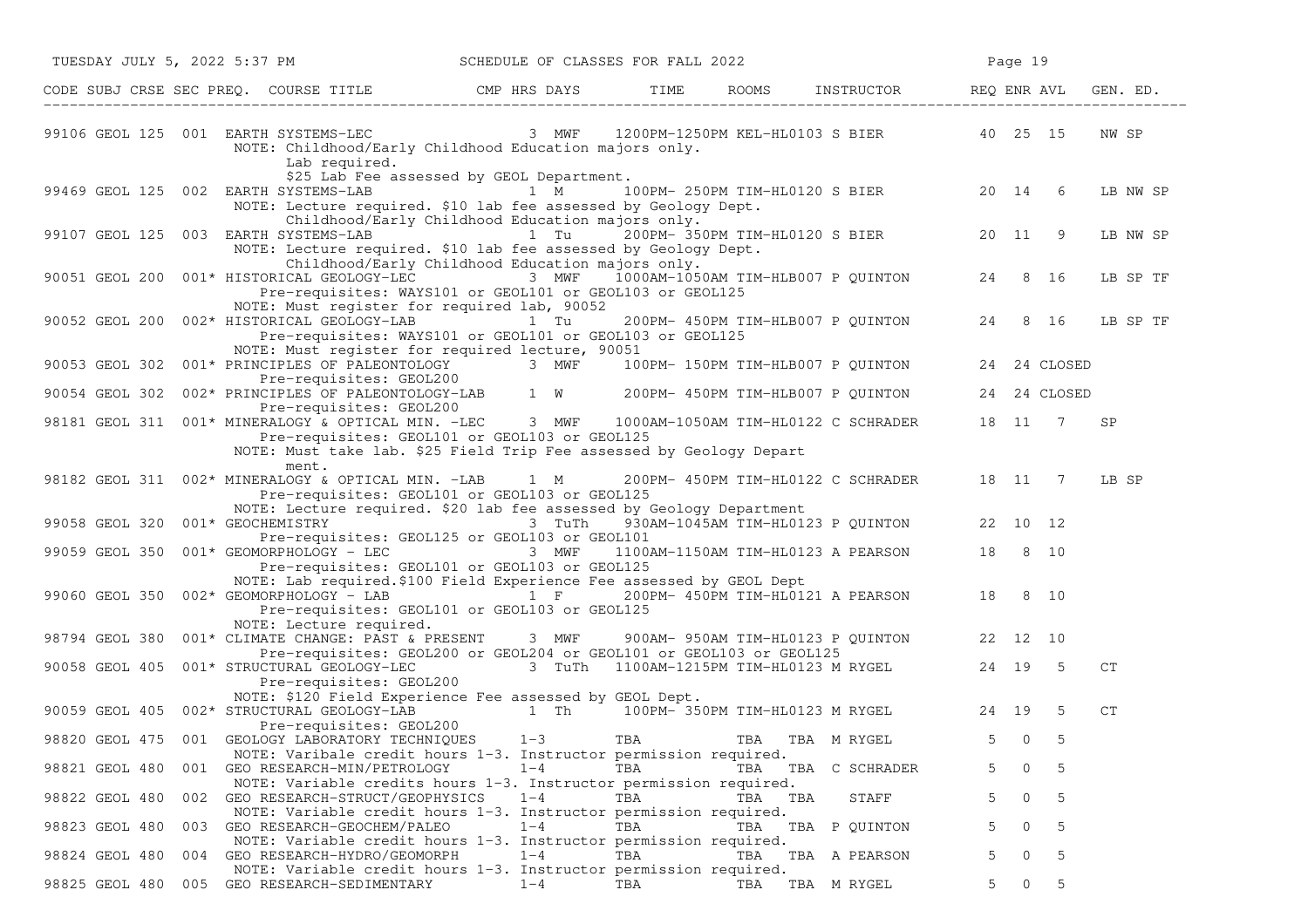| TUESDAY JULY 5, 2022 5:37 PM SCHEDULE OF CLASSES FOR FALL 2022                                                                                                                                                                       |                                                                                                                                                             |     |         |                                            |    | Page 19      |      |                    |
|--------------------------------------------------------------------------------------------------------------------------------------------------------------------------------------------------------------------------------------|-------------------------------------------------------------------------------------------------------------------------------------------------------------|-----|---------|--------------------------------------------|----|--------------|------|--------------------|
| CODE SUBJ CRSE SEC PREQ. COURSE TITLE THE ROOMS TIME ROOMS INSTRUCTOR REQ ENR AVL                                                                                                                                                    |                                                                                                                                                             |     |         |                                            |    |              |      | GEN. ED.           |
| 99106 GEOL 125 001 EARTH SYSTEMS-LEC 3 MWF 1200PM-1250PM KEL-HL0103 S BIER 40 25 15<br>Lab required.                                                                                                                                 | NOTE: Childhood/Early Childhood Education majors only.                                                                                                      |     |         |                                            |    |              |      | NW SP              |
| 99469 GEOL 125 002 EARTH SYSTEMS-LAB 1 M 100PM-250PM TIM-HL0120 S BIER 20 14 6                                                                                                                                                       | \$25 Lab Fee assessed by GEOL Department.<br>NOTE: Lecture required. \$10 lab fee assessed by Geology Dept.                                                 |     |         |                                            |    |              |      | LB NW SP           |
| 99107 GEOL 125 003 EARTH SYSTEMS-LAB 1 Tu 200PM-350PM TIM-HL0120 S BIER 20 11 9                                                                                                                                                      | Childhood/Early Childhood Education majors only.<br>NOTE: Lecture required. \$10 lab fee assessed by Geology Dept.                                          |     |         |                                            |    |              |      | LB NW SP           |
| 90051 GEOL 200 001* HISTORICAL GEOLOGY-LEC 3 MWF 1000AM-1050AM TIM-HLB007 P QUINTON 24 8 16                                                                                                                                          | Childhood/Early Childhood Education majors only.<br>Pre-requisites: WAYS101 or GEOL101 or GEOL103 or GEOL125<br>NOTE: Must register for required lab, 90052 |     |         |                                            |    |              |      | LB SP TF           |
| 90052 GEOL 200 002* HISTORICAL GEOLOGY-LAB 1 Tu                                                                                                                                                                                      | Pre-requisites: WAYS101 or GEOL101 or GEOL103 or GEOL125<br>NOTE: Must register for required lecture, 90051                                                 |     |         | 200PM- 450PM TIM-HLB007 P QUINTON 24 8 16  |    |              |      | LB SP TF           |
| 90053 GEOL 302 001* PRINCIPLES OF PALEONTOLOGY 3 MWF 100PM-150PM TIM-HLB007 P QUINTON 24 24 CLOSED<br>Pre-requisites: GEOL200<br>90054 GEOL 302 002* PRINCIPLES OF PALEONTOLOGY-LAB 1 W 200PM-450PM TIM-HLB007 P QUINTON 24 24 CLOSE |                                                                                                                                                             |     |         |                                            |    |              |      |                    |
|                                                                                                                                                                                                                                      | Pre-requisites: GEOL200                                                                                                                                     |     |         |                                            |    |              |      |                    |
| 98181 GEOL 311 001* MINERALOGY & OPTICAL MIN. -LEC 3 MWF 1000AM-1050AM TIM-HL0122 C SCHRADER 18 11 7                                                                                                                                 | Pre-requisites: GEOL101 or GEOL103 or GEOL125<br>NOTE: Must take lab. \$25 Field Trip Fee assessed by Geology Depart                                        |     |         |                                            |    |              |      | <b>SP</b>          |
| ment.<br>98182 GEOL 311 002* MINERALOGY & OPTICAL MIN. -LAB 1 M                                                                                                                                                                      | Pre-requisites: GEOL101 or GEOL103 or GEOL125                                                                                                               |     |         | 200PM- 450PM TIM-HL0122 C SCHRADER 18 11 7 |    |              |      | LB SP              |
| 99058 GEOL 320 001* GEOCHEMISTRY                                                                                                                                                                                                     | NOTE: Lecture required. \$20 lab fee assessed by Geology Department<br>3 TuTh<br>Pre-requisites: GEOL125 or GEOL103 or GEOL101                              |     |         | 930AM-1045AM TIM-HL0123 P QUINTON 22 10 12 |    |              |      |                    |
| 99059 GEOL 350 001* GEOMORPHOLOGY - LEC                                                                                                                                                                                              | 3 MWF<br>Pre-requisites: GEOL101 or GEOL103 or GEOL125                                                                                                      |     |         | 1100AM-1150AM TIM-HL0123 A PEARSON 18 8 10 |    |              |      |                    |
| 99060 GEOL 350 002* GEOMORPHOLOGY - LAB $\overline{1}$ F 200PM-450PM TIM-HL0121 A PEARSON 18 8 10                                                                                                                                    | NOTE: Lab required. \$100 Field Experience Fee assessed by GEOL Dept<br>Pre-requisites: GEOL101 or GEOL103 or GEOL125                                       |     |         |                                            |    |              |      |                    |
| NOTE: Lecture required.<br>98794 GEOL 380 001* CLIMATE CHANGE: PAST & PRESENT 3 MWF 900AM-950AM TIM-HL0123 P QUINTON 22 12 10                                                                                                        |                                                                                                                                                             |     |         |                                            |    |              |      |                    |
| 90058 GEOL 405 001* STRUCTURAL GEOLOGY-LEC 3 TuTh 1100AM-1215PM TIM-HL0123 M RYGEL 24 19<br>Pre-requisites: GEOL200                                                                                                                  | Pre-requisites: GEOL200 or GEOL204 or GEOL101 or GEOL103 or GEOL125                                                                                         |     |         |                                            |    |              | $-5$ | CT                 |
| 90059 GEOL 405 002* STRUCTURAL GEOLOGY-LAB                                                                                                                                                                                           | NOTE: \$120 Field Experience Fee assessed by GEOL Dept.<br>1 Th 100PM-350PM TIM-HL0123 M RYGEL 24 19 5                                                      |     |         |                                            |    |              |      | ${\cal C}{\cal T}$ |
| 98820 GEOL 475 001 GEOLOGY LABORATORY TECHNIQUES 1-3 TBA                                                                                                                                                                             | Pre-requisites: GEOL200                                                                                                                                     |     |         | TBA TBA M RYGEL                            |    | $5 \qquad 0$ | 5    |                    |
| 001 GEO RESEARCH-MIN/PETROLOGY<br>98821 GEOL 480                                                                                                                                                                                     | NOTE: Varibale credit hours 1-3. Instructor permission required.<br>$1 - 4$                                                                                 | TBA |         | TBA TBA C SCHRADER                         |    | 0            | 5    |                    |
| 98822 GEOL 480<br>GEO RESEARCH-STRUCT/GEOPHYSICS<br>002                                                                                                                                                                              | NOTE: Variable credits hours 1-3. Instructor permission required.<br>$1 - 4$<br>NOTE: Variable credit hours 1-3. Instructor permission required.            | TBA | TBA TBA | STAFF                                      | 5. | 0            | 5    |                    |
| 98823 GEOL 480<br>GEO RESEARCH-GEOCHEM/PALEO<br>003                                                                                                                                                                                  | $1 - 4$<br>NOTE: Variable credit hours 1-3. Instructor permission required.                                                                                 | TBA | TBA     | TBA P QUINTON                              |    | 0            | 5    |                    |
| 98824 GEOL 480<br>004 GEO RESEARCH-HYDRO/GEOMORPH                                                                                                                                                                                    | $1 - 4$<br>NOTE: Variable credit hours 1-3. Instructor permission required.                                                                                 | TBA | TBA     | TBA A PEARSON                              | 5  | 0            | 5    |                    |
| GEO RESEARCH-SEDIMENTARY<br>98825 GEOL 480<br>005                                                                                                                                                                                    | $1 - 4$                                                                                                                                                     | TBA | TBA     | TBA M RYGEL                                | 5  | 0            | 5    |                    |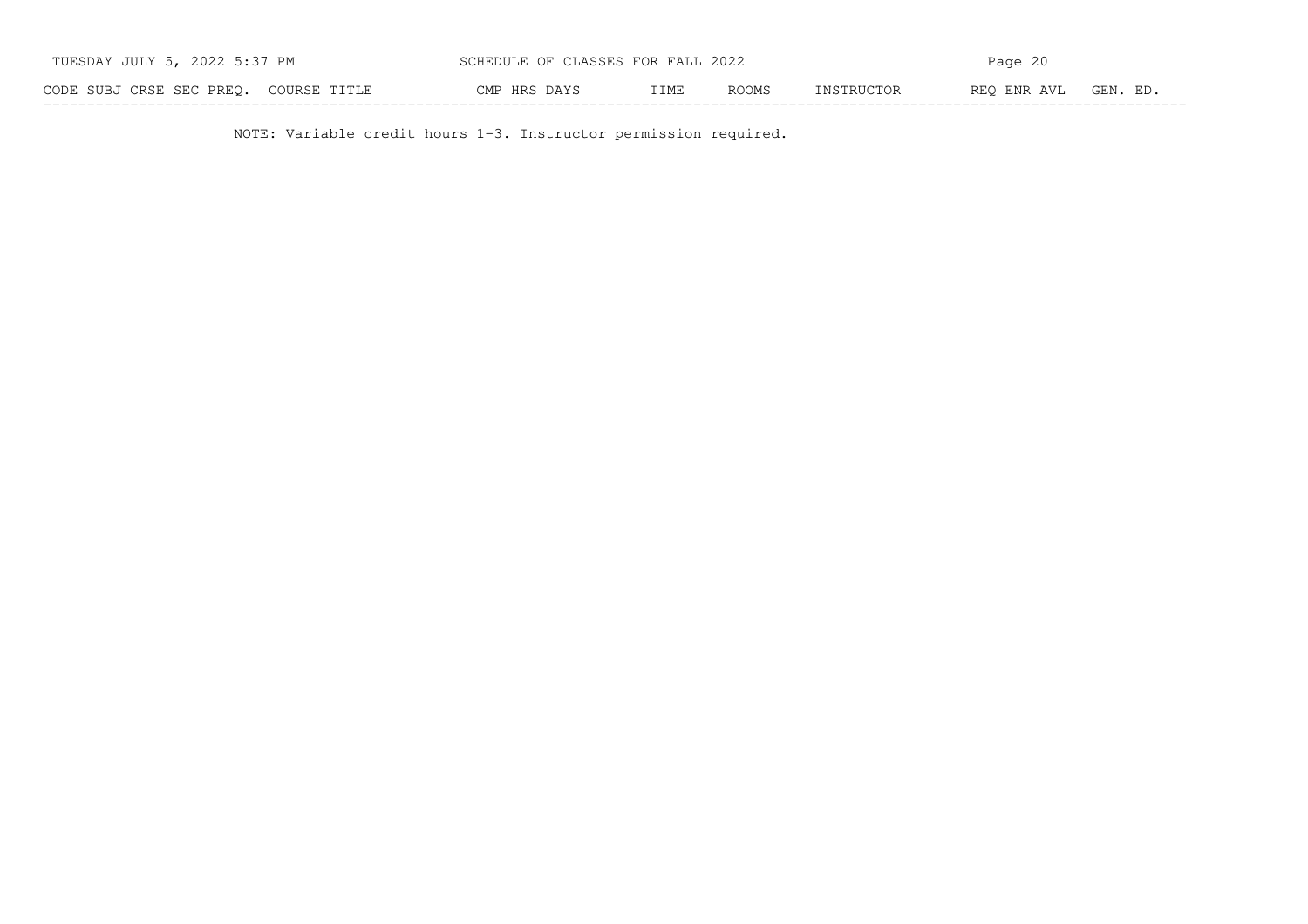| TUESDAY JULY 5, 2022 5:37 PM          | SCHEDULE OF CLASSES FOR FALL 2022 |                      | Page 20                   |          |  |  |  |
|---------------------------------------|-----------------------------------|----------------------|---------------------------|----------|--|--|--|
| CODE SUBJ CRSE SEC PREO. COURSE TITLE | CMP HRS DAYS                      | TIME<br><b>ROOMS</b> | REO ENR AVL<br>INSTRUCTOR | GEN. ED. |  |  |  |

NOTE: Variable credit hours 1-3. Instructor permission required.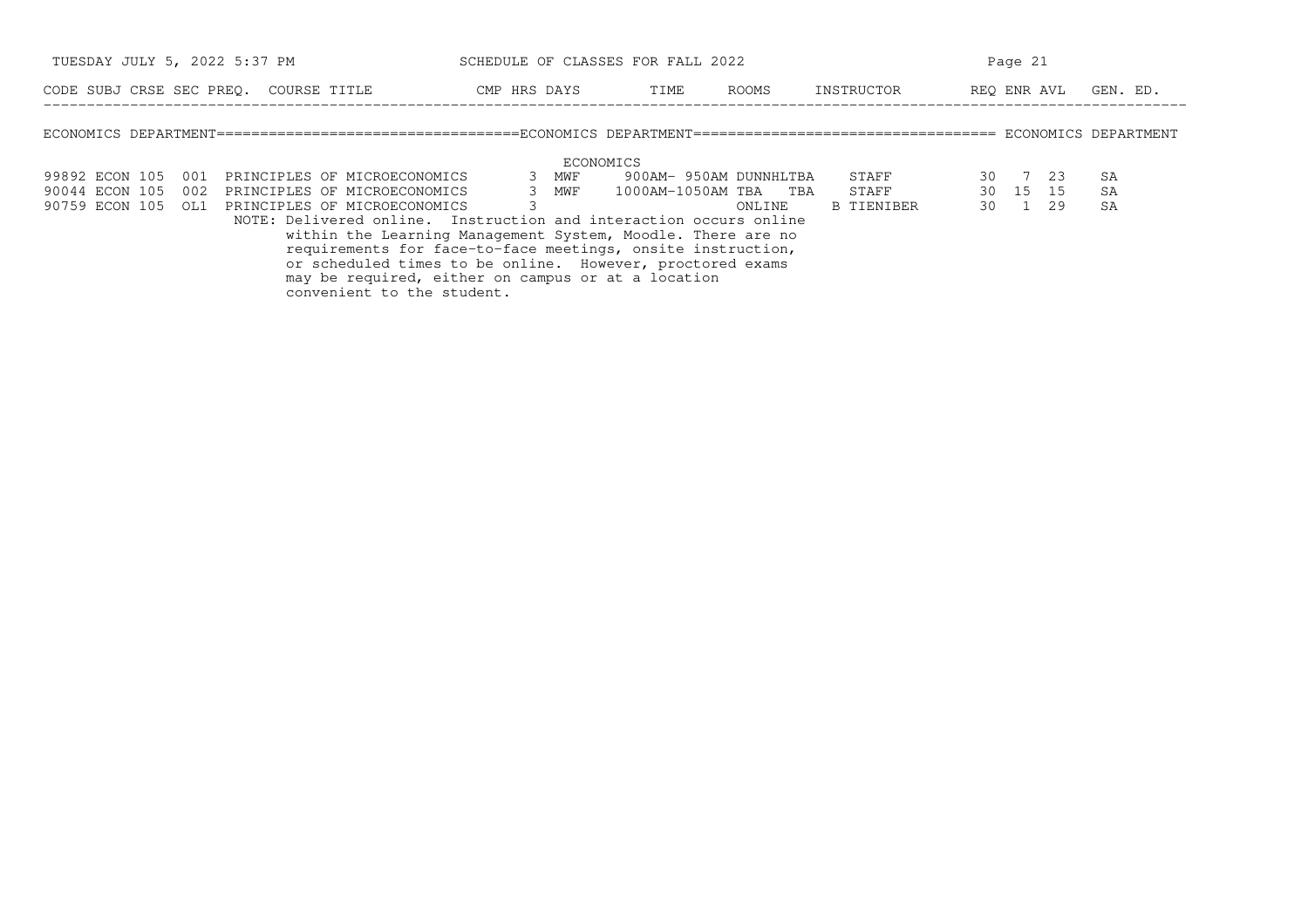| TUESDAY JULY 5, 2022 5:37 PM          |     |  |  |                                                                   | SCHEDULE OF CLASSES FOR FALL 2022                                                                                        |  |           |                             |                        |        | Page 21 |                   |             |          |  |          |  |
|---------------------------------------|-----|--|--|-------------------------------------------------------------------|--------------------------------------------------------------------------------------------------------------------------|--|-----------|-----------------------------|------------------------|--------|---------|-------------------|-------------|----------|--|----------|--|
| CODE SUBJ CRSE SEC PREO. COURSE TITLE |     |  |  |                                                                   | CMP HRS DAYS                                                                                                             |  |           | TIME                        |                        | ROOMS  |         | INSTRUCTOR        | REO ENR AVL |          |  | GEN. ED. |  |
|                                       |     |  |  |                                                                   |                                                                                                                          |  |           |                             |                        |        |         |                   |             |          |  |          |  |
|                                       |     |  |  |                                                                   |                                                                                                                          |  | ECONOMICS |                             |                        |        |         |                   |             |          |  |          |  |
| 99892 ECON 105                        | 001 |  |  | PRINCIPLES OF MICROECONOMICS                                      |                                                                                                                          |  | 3 MWF     |                             | 900AM- 950AM DUNNHLTBA |        |         | STAFF             |             | 30 7 23  |  | SA       |  |
| 90044 ECON 105                        | 002 |  |  | PRINCIPLES OF MICROECONOMICS                                      |                                                                                                                          |  |           | 3 MWF 1000AM-1050AM TBA TBA |                        |        |         | STAFF             |             | 30 15 15 |  | SA       |  |
| 90759 ECON 105                        | OL1 |  |  | PRINCIPLES OF MICROECONOMICS                                      |                                                                                                                          |  |           |                             |                        | ONLINE |         | <b>B TIENIBER</b> |             | 30 1 29  |  | SA       |  |
|                                       |     |  |  | NOTE: Delivered online. Instruction and interaction occurs online |                                                                                                                          |  |           |                             |                        |        |         |                   |             |          |  |          |  |
|                                       |     |  |  | within the Learning Management System, Moodle. There are no       |                                                                                                                          |  |           |                             |                        |        |         |                   |             |          |  |          |  |
|                                       |     |  |  |                                                                   | requirements for face-to-face meetings, onsite instruction,<br>or scheduled times to be online. However, proctored exams |  |           |                             |                        |        |         |                   |             |          |  |          |  |
|                                       |     |  |  |                                                                   | may be required, either on campus or at a location                                                                       |  |           |                             |                        |        |         |                   |             |          |  |          |  |
|                                       |     |  |  | convenient to the student.                                        |                                                                                                                          |  |           |                             |                        |        |         |                   |             |          |  |          |  |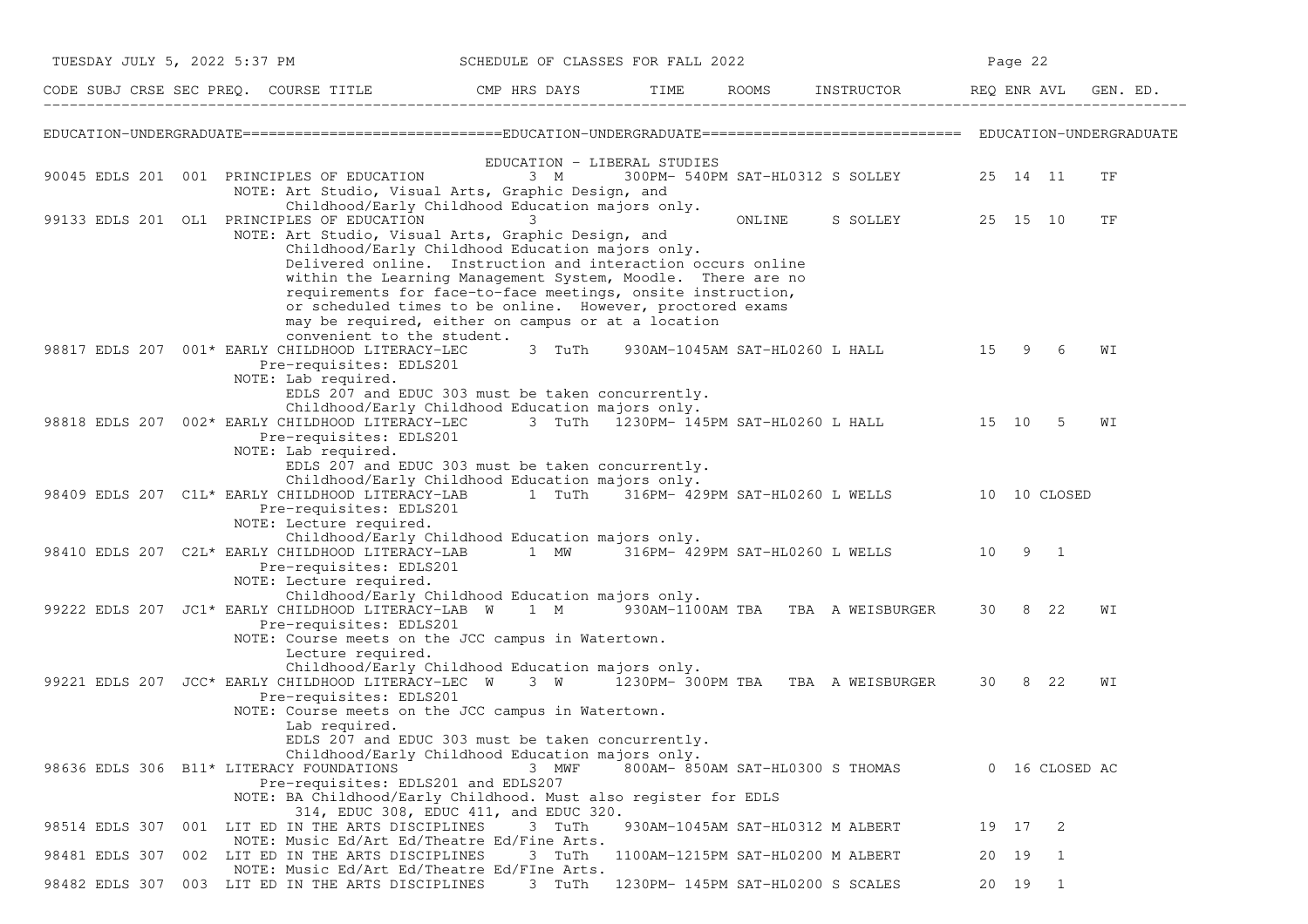|                | TUESDAY JULY 5, 2022 5:37 PM                                                                                                                                                                                                                                                                                                                                                                                                                                         | SCHEDULE OF CLASSES FOR FALL 2022 |                                        |                                  |                                              | Page 22 |                |    |  |
|----------------|----------------------------------------------------------------------------------------------------------------------------------------------------------------------------------------------------------------------------------------------------------------------------------------------------------------------------------------------------------------------------------------------------------------------------------------------------------------------|-----------------------------------|----------------------------------------|----------------------------------|----------------------------------------------|---------|----------------|----|--|
|                |                                                                                                                                                                                                                                                                                                                                                                                                                                                                      |                                   |                                        |                                  |                                              |         |                |    |  |
|                |                                                                                                                                                                                                                                                                                                                                                                                                                                                                      |                                   |                                        |                                  |                                              |         |                |    |  |
|                | 90045 EDLS 201 001 PRINCIPLES OF EDUCATION<br>NOTE: Art Studio, Visual Arts, Graphic Design, and<br>Childhood/Early Childhood Education majors only.                                                                                                                                                                                                                                                                                                                 | 3 M                               | EDUCATION - LIBERAL STUDIES            |                                  | 300PM- 540PM SAT-HL0312 S SOLLEY 25 14 11    |         |                | ΤF |  |
|                | 99133 EDLS 201 OL1 PRINCIPLES OF EDUCATION<br>NOTE: Art Studio, Visual Arts, Graphic Design, and<br>Childhood/Early Childhood Education majors only.<br>Delivered online. Instruction and interaction occurs online<br>within the Learning Management System, Moodle. There are no<br>requirements for face-to-face meetings, onsite instruction,<br>or scheduled times to be online. However, proctored exams<br>may be required, either on campus or at a location | 3.                                |                                        | ONLINE                           | S SOLLEY 25 15 10                            |         |                | TF |  |
|                | convenient to the student.<br>98817 EDLS 207 001* EARLY CHILDHOOD LITERACY-LEC<br>Pre-requisites: EDLS201<br>NOTE: Lab required.<br>EDLS 207 and EDUC 303 must be taken concurrently.                                                                                                                                                                                                                                                                                | 3 TuTh                            |                                        |                                  | 930AM-1045AM SAT-HL0260 L HALL 15 9          |         | -6             | WΙ |  |
|                | Childhood/Early Childhood Education majors only.<br>98818 EDLS 207 002* EARLY CHILDHOOD LITERACY-LEC<br>Pre-requisites: EDLS201<br>NOTE: Lab required.<br>EDLS 207 and EDUC 303 must be taken concurrently.                                                                                                                                                                                                                                                          |                                   |                                        |                                  | 3 TuTh 1230PM- 145PM SAT-HL0260 L HALL 15 10 |         | -5             | WΙ |  |
|                | Childhood/Early Childhood Education majors only.<br>98409 EDLS 207 C1L* EARLY CHILDHOOD LITERACY-LAB 1 TuTh 316PM- 429PM SAT-HL0260 L WELLS 10 10 CLOSED<br>Pre-requisites: EDLS201<br>NOTE: Lecture required.                                                                                                                                                                                                                                                       |                                   |                                        |                                  |                                              |         |                |    |  |
|                | Childhood/Early Childhood Education majors only.<br>98410 EDLS 207 C2L* EARLY CHILDHOOD LITERACY-LAB<br>Pre-requisites: EDLS201<br>NOTE: Lecture required.                                                                                                                                                                                                                                                                                                           |                                   |                                        |                                  | 1 MW 316PM-429PM SAT-HL0260 L WELLS 10 9 1   |         |                |    |  |
|                | Childhood/Early Childhood Education majors only.<br>99222 EDLS 207 JC1* EARLY CHILDHOOD LITERACY-LAB W 1 M 930AM-1100AM TBA TBA A WEISBURGER<br>Pre-requisites: EDLS201<br>NOTE: Course meets on the JCC campus in Watertown.<br>Lecture required.                                                                                                                                                                                                                   |                                   |                                        |                                  |                                              | 30 8 22 |                | WI |  |
|                | Childhood/Early Childhood Education majors only.<br>99221 EDLS 207 JCC* EARLY CHILDHOOD LITERACY-LEC W<br>Pre-requisites: EDLS201<br>NOTE: Course meets on the JCC campus in Watertown.<br>Lab required.                                                                                                                                                                                                                                                             |                                   | 3 W 1230PM- 300PM TBA TBA A WEISBURGER |                                  |                                              | 30 8 22 |                | WI |  |
|                | EDLS 207 and EDUC 303 must be taken concurrently.<br>Childhood/Early Childhood Education majors only.<br>98636 EDLS 306 B11* LITERACY FOUNDATIONS<br>Pre-requisites: EDLS201 and EDLS207<br>NOTE: BA Childhood/Early Childhood. Must also register for EDLS                                                                                                                                                                                                          | 3 MWF                             |                                        | 800AM- 850AM SAT-HL0300 S THOMAS |                                              |         | 0 16 CLOSED AC |    |  |
| 98514 EDLS 307 | 314, EDUC 308, EDUC 411, and EDUC 320.<br>001 LIT ED IN THE ARTS DISCIPLINES<br>NOTE: Music Ed/Art Ed/Theatre Ed/Fine Arts.                                                                                                                                                                                                                                                                                                                                          | 3 TuTh                            |                                        | 930AM-1045AM SAT-HL0312 M ALBERT |                                              | 19 17   | -2             |    |  |
| 98481 EDLS 307 | 002 LIT ED IN THE ARTS DISCIPLINES<br>NOTE: Music Ed/Art Ed/Theatre Ed/FIne Arts.                                                                                                                                                                                                                                                                                                                                                                                    | 3 TuTh                            | 1100AM-1215PM SAT-HL0200 M ALBERT      |                                  |                                              | 20 19   | 1              |    |  |
|                | 98482 EDLS 307 003 LIT ED IN THE ARTS DISCIPLINES                                                                                                                                                                                                                                                                                                                                                                                                                    | 3 TuTh                            | 1230PM- 145PM SAT-HL0200 S SCALES      |                                  |                                              | 20 19 1 |                |    |  |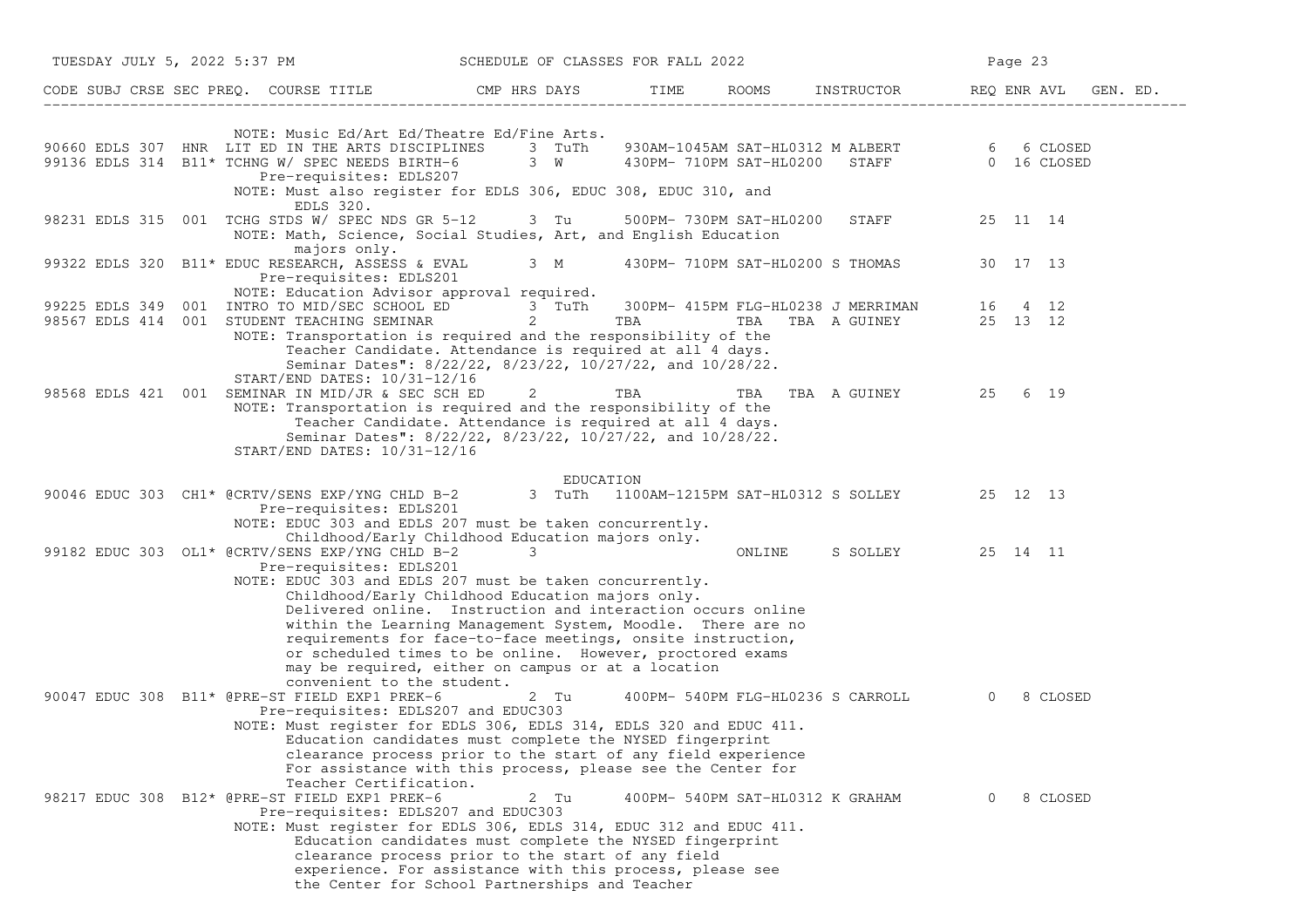| TUESDAY JULY 5, 2022 5:37 PM                                                                                                                                                                                                                                                                                                                                    | SCHEDULE OF CLASSES FOR FALL 2022                                                                                                                                                                                                                                                                                                                                     |                                  |        |                                     | Page 23  |          |  |
|-----------------------------------------------------------------------------------------------------------------------------------------------------------------------------------------------------------------------------------------------------------------------------------------------------------------------------------------------------------------|-----------------------------------------------------------------------------------------------------------------------------------------------------------------------------------------------------------------------------------------------------------------------------------------------------------------------------------------------------------------------|----------------------------------|--------|-------------------------------------|----------|----------|--|
| CODE SUBJ CRSE SEC PREQ. COURSE TITLE CMP HRS DAYS TIME ROOMS INSTRUCTOR REQ ENR AVL GEN. ED.                                                                                                                                                                                                                                                                   |                                                                                                                                                                                                                                                                                                                                                                       |                                  |        |                                     |          |          |  |
| NOTE: Music Ed/Art Ed/Theatre Ed/Fine Arts.<br>90660 EDLS 307 HNR LIT ED IN THE ARTS DISCIPLINES 3 TuTh 930AM-1045AM SAT-HL0312 M ALBERT 6 6 G CLOSED<br>99136 EDLS 314 B11* TCHNG W/ SPEC NEEDS BIRTH-6 3 W 430PM-710PM SAT-HL0200 STAFF 0 16 CLOSED<br>Pre-requisites: EDLS207<br>NOTE: Must also register for EDLS 306, EDUC 308, EDUC 310, and<br>EDLS 320. |                                                                                                                                                                                                                                                                                                                                                                       |                                  |        |                                     |          |          |  |
| 98231 EDLS 315 001 TCHG STDS W/ SPEC NDS GR 5-12 3 Tu 500PM-730PM SAT-HL0200<br>NOTE: Math, Science, Social Studies, Art, and English Education                                                                                                                                                                                                                 |                                                                                                                                                                                                                                                                                                                                                                       |                                  |        | STAFF 25 11 14                      |          |          |  |
| majors only.<br>99322 EDLS 320 B11* EDUC RESEARCH, ASSESS & EVAL 3 M 430PM-710PM SAT-HL0200 S THOMAS 30 17 13<br>Pre-requisites: EDLS201<br>NOTE: Education Advisor approval required.                                                                                                                                                                          |                                                                                                                                                                                                                                                                                                                                                                       |                                  |        |                                     |          |          |  |
| 99225 EDLS 349 001 INTRO TO MID/SEC SCHOOL ED 3 TuTh 300PM-415PM FLG-HL0238 J MERRIMAN 16 4 12<br>98567 EDLS 414 001 STUDENT TEACHING SEMINAR 2<br>NOTE: Transportation is required and the responsibility of the<br>START/END DATES: 10/31-12/16                                                                                                               | Teacher Candidate. Attendance is required at all 4 days.<br>Seminar Dates": 8/22/22, 8/23/22, 10/27/22, and 10/28/22.                                                                                                                                                                                                                                                 | TBA                              |        | TBA TBA A GUINEY 25 13 12           |          |          |  |
| 98568 EDLS 421 001 SEMINAR IN MID/JR & SEC SCH ED<br>NOTE: Transportation is required and the responsibility of the<br>START/END DATES: 10/31-12/16                                                                                                                                                                                                             | Teacher Candidate. Attendance is required at all 4 days.<br>Seminar Dates": 8/22/22, 8/23/22, 10/27/22, and 10/28/22.<br>EDUCATION                                                                                                                                                                                                                                    |                                  |        | 2 TBA TBA TBA AGUINEY 25 6 19       |          |          |  |
| EDUCATION<br>90046 EDUC 303 CH1* @CRTV/SENS EXP/YNG CHLD B-2 3 TuTh 1100AM-1215PM SAT-HL0312 S SOLLEY 25 12 13<br>Pre-requisites: EDLS201<br>NOTE: EDUC 303 and EDLS 207 must be taken concurrently.                                                                                                                                                            | Childhood/Early Childhood Education majors only.                                                                                                                                                                                                                                                                                                                      |                                  |        |                                     |          |          |  |
| 99182 EDUC 303 OL1* @CRTV/SENS EXP/YNG CHLD B-2<br>Pre-requisites: EDLS201<br>NOTE: EDUC 303 and EDLS 207 must be taken concurrently.<br>convenient to the student.                                                                                                                                                                                             | 3<br>Childhood/Early Childhood Education majors only.<br>Delivered online. Instruction and interaction occurs online<br>within the Learning Management System, Moodle. There are no<br>requirements for face-to-face meetings, onsite instruction,<br>or scheduled times to be online. However, proctored exams<br>may be required, either on campus or at a location |                                  | ONLINE | S SOLLEY 25 14 11                   |          |          |  |
| 90047 EDUC 308 B11* @PRE-ST FIELD EXP1 PREK-6<br>Pre-requisites: EDLS207 and EDUC303<br>NOTE: Must register for EDLS 306, EDLS 314, EDLS 320 and EDUC 411.<br>Teacher Certification.                                                                                                                                                                            | 2 Tu<br>Education candidates must complete the NYSED fingerprint<br>clearance process prior to the start of any field experience<br>For assistance with this process, please see the Center for                                                                                                                                                                       |                                  |        | 400PM- 540PM FLG-HL0236 S CARROLL 0 |          | 8 CLOSED |  |
| 98217 EDUC 308 B12* @PRE-ST FIELD EXP1 PREK-6<br>Pre-requisites: EDLS207 and EDUC303<br>NOTE: Must register for EDLS 306, EDLS 314, EDUC 312 and EDUC 411.                                                                                                                                                                                                      | 2 Tu<br>Education candidates must complete the NYSED fingerprint<br>clearance process prior to the start of any field<br>experience. For assistance with this process, please see<br>the Center for School Partnerships and Teacher                                                                                                                                   | 400PM- 540PM SAT-HL0312 K GRAHAM |        |                                     | $\Omega$ | 8 CLOSED |  |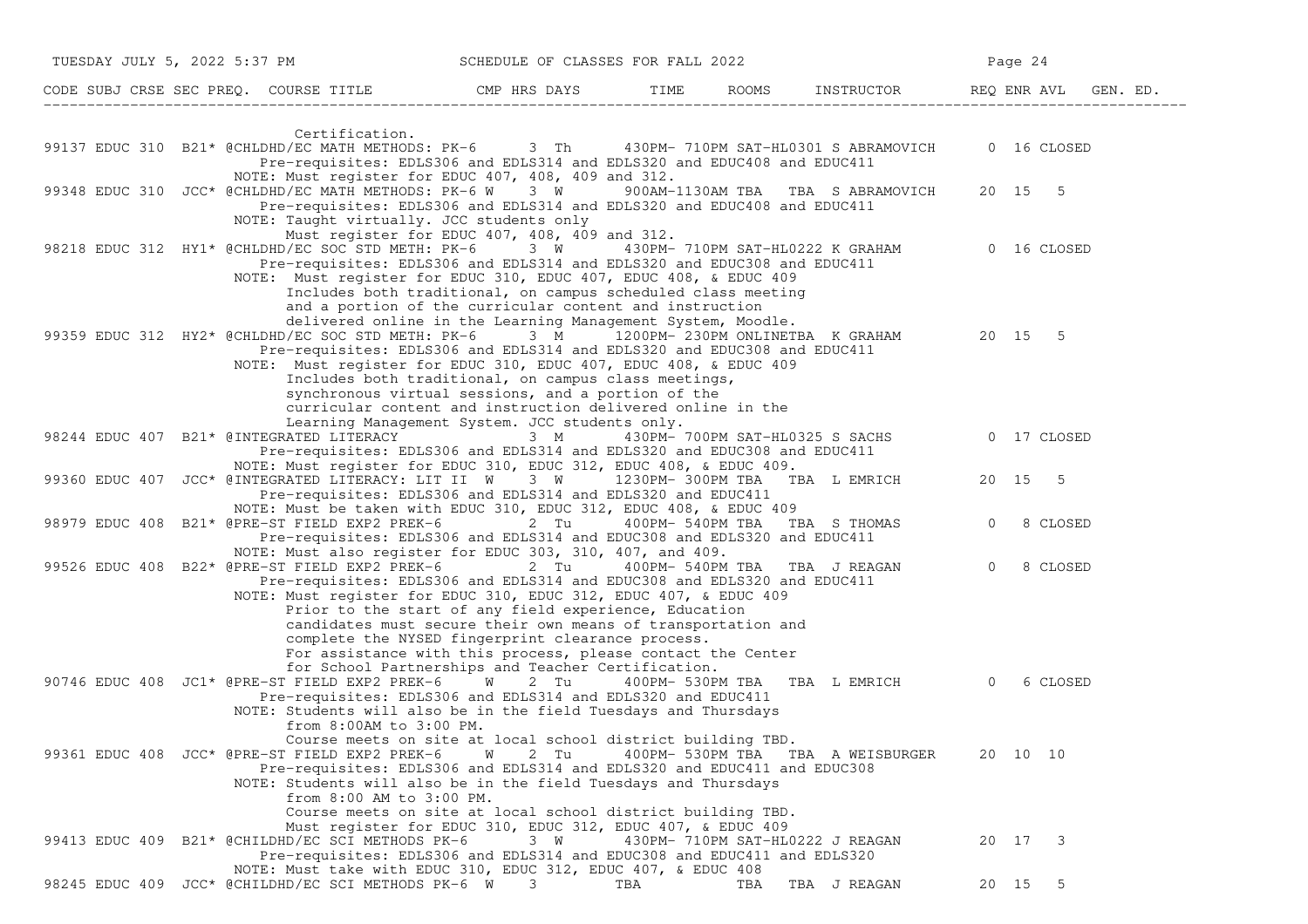|  | TUESDAY JULY 5, 2022 5:37 PM                                              | SCHEDULE OF CLASSES FOR FALL 2022                                                                                                                                                                                                                                                                                                                                                                                                                                                                                                                                                                                   |                  |     |                                              |                | Page 24     |  |
|--|---------------------------------------------------------------------------|---------------------------------------------------------------------------------------------------------------------------------------------------------------------------------------------------------------------------------------------------------------------------------------------------------------------------------------------------------------------------------------------------------------------------------------------------------------------------------------------------------------------------------------------------------------------------------------------------------------------|------------------|-----|----------------------------------------------|----------------|-------------|--|
|  |                                                                           | CODE SUBJ CRSE SEC PREQ. COURSE TITLE THE ROOMS INSTRUCTOR THE ROOMS EN REQ ENR AVL GEN. ED.                                                                                                                                                                                                                                                                                                                                                                                                                                                                                                                        |                  |     |                                              |                |             |  |
|  | Certification.                                                            | 99137 EDUC 310 B21* @CHLDHD/EC MATH METHODS: PK-6 3 Th 430PM-710PM SAT-HL0301 S ABRAMOVICH                                                                                                                                                                                                                                                                                                                                                                                                                                                                                                                          |                  |     |                                              |                | 0 16 CLOSED |  |
|  |                                                                           | Pre-requisites: EDLS306 and EDLS314 and EDLS320 and EDUC408 and EDUC411<br>NOTE: Must register for EDUC 407, 408, 409 and 312.<br>99348 EDUC 310 JCC* @CHLDHD/EC MATH METHODS: PK-6 W 3 W<br>Pre-requisites: EDLS306 and EDLS314 and EDLS320 and EDUC408 and EDUC411                                                                                                                                                                                                                                                                                                                                                |                  |     | 900AM-1130AM TBA TBA S ABRAMOVICH 20 15 5    |                |             |  |
|  |                                                                           | NOTE: Taught virtually. JCC students only<br>Must register for EDUC 407, 408, 409 and 312.<br>98218 EDUC 312 HY1* @CHLDHD/EC SOC STD METH: PK-6 3 W<br>Pre-requisites: EDLS306 and EDLS314 and EDLS320 and EDUC308 and EDUC411<br>NOTE: Must register for EDUC 310, EDUC 407, EDUC 408, & EDUC 409                                                                                                                                                                                                                                                                                                                  |                  |     | 430PM-710PM SAT-HL0222 K GRAHAM 60 16 CLOSED |                |             |  |
|  |                                                                           | Includes both traditional, on campus scheduled class meeting<br>and a portion of the curricular content and instruction<br>delivered online in the Learning Management System, Moodle.<br>99359 EDUC 312 HY2* @CHLDHD/EC SOC STD METH: PK-6 3 M 1200PM- 230PM ONLINETBA K GRAHAM 20 15 5<br>Pre-requisites: EDLS306 and EDLS314 and EDLS320 and EDUC308 and EDUC411<br>NOTE: Must register for EDUC 310, EDUC 407, EDUC 408, & EDUC 409<br>Includes both traditional, on campus class meetings,<br>synchronous virtual sessions, and a portion of the<br>curricular content and instruction delivered online in the |                  |     |                                              |                |             |  |
|  | 98244 EDUC 407 B21* @INTEGRATED LITERACY                                  | Learning Management System. JCC students only.<br>3 M<br>Pre-requisites: EDLS306 and EDLS314 and EDLS320 and EDUC308 and EDUC411                                                                                                                                                                                                                                                                                                                                                                                                                                                                                    |                  |     | 430PM- 700PM SAT-HL0325 S SACHS              |                | 0 17 CLOSED |  |
|  |                                                                           | NOTE: Must register for EDUC 310, EDUC 312, EDUC 408, & EDUC 409.<br>99360 EDUC 407 JCC* @INTEGRATED LITERACY: LIT II W 3 W 1230PM-300PM TBA TBA L EMRICH 20 15<br>Pre-requisites: EDLS306 and EDLS314 and EDLS320 and EDUC411                                                                                                                                                                                                                                                                                                                                                                                      |                  |     |                                              |                | $5^{\circ}$ |  |
|  |                                                                           | NOTE: Must be taken with EDUC 310, EDUC 312, EDUC 408, & EDUC 409<br>98979 EDUC 408 B21* @PRE-ST FIELD EXP2 PREK-6 2 Tu<br>Pre-requisites: EDLS306 and EDLS314 and EDUC308 and EDLS320 and EDUC411                                                                                                                                                                                                                                                                                                                                                                                                                  |                  |     | 400PM- 540PM TBA TBA S THOMAS                | $\overline{0}$ | 8 CLOSED    |  |
|  | 99526 EDUC 408 B22* @PRE-ST FIELD EXP2 PREK-6                             | NOTE: Must also register for EDUC 303, 310, 407, and 409.<br>2 Tu<br>Pre-requisites: EDLS306 and EDLS314 and EDUC308 and EDLS320 and EDUC411<br>NOTE: Must register for EDUC 310, EDUC 312, EDUC 407, & EDUC 409                                                                                                                                                                                                                                                                                                                                                                                                    |                  |     | 400PM- 540PM TBA TBA J REAGAN                | $\Omega$       | 8 CLOSED    |  |
|  |                                                                           | Prior to the start of any field experience, Education<br>candidates must secure their own means of transportation and<br>complete the NYSED fingerprint clearance process.<br>For assistance with this process, please contact the Center<br>for School Partnerships and Teacher Certification.                                                                                                                                                                                                                                                                                                                     |                  |     |                                              |                |             |  |
|  | 90746 EDUC 408 JC1* @PRE-ST FIELD EXP2 PREK-6<br>from 8:00AM to 3:00 PM.  | $\mathbf W$<br>2 Tu<br>Pre-requisites: EDLS306 and EDLS314 and EDLS320 and EDUC411<br>NOTE: Students will also be in the field Tuesdays and Thursdays                                                                                                                                                                                                                                                                                                                                                                                                                                                               | 400РМ- 530РМ ТВА |     | TBA LEMRICH 0                                |                | 6 CLOSED    |  |
|  | 99361 EDUC 408 JCC* @PRE-ST FIELD EXP2 PREK-6<br>from 8:00 AM to 3:00 PM. | Course meets on site at local school district building TBD.<br>2 Tu<br>W<br>Pre-requisites: EDLS306 and EDLS314 and EDLS320 and EDUC411 and EDUC308<br>NOTE: Students will also be in the field Tuesdays and Thursdays<br>Course meets on site at local school district building TBD.                                                                                                                                                                                                                                                                                                                               |                  |     | 400PM- 530PM TBA TBA A WEISBURGER            |                | 20 10 10    |  |
|  | 99413 EDUC 409 B21* @CHILDHD/EC SCI METHODS PK-6                          | Must register for EDUC 310, EDUC 312, EDUC 407, & EDUC 409<br>3 W<br>Pre-requisites: EDLS306 and EDLS314 and EDUC308 and EDUC411 and EDLS320                                                                                                                                                                                                                                                                                                                                                                                                                                                                        |                  |     | 430PM- 710PM SAT-HL0222 J REAGAN             |                | 20 17 3     |  |
|  | 98245 EDUC 409 JCC* @CHILDHD/EC SCI METHODS PK-6 W                        | NOTE: Must take with EDUC 310, EDUC 312, EDUC 407, & EDUC 408<br>3                                                                                                                                                                                                                                                                                                                                                                                                                                                                                                                                                  | TBA              | TBA | TBA J REAGAN                                 |                | 20 15<br>5  |  |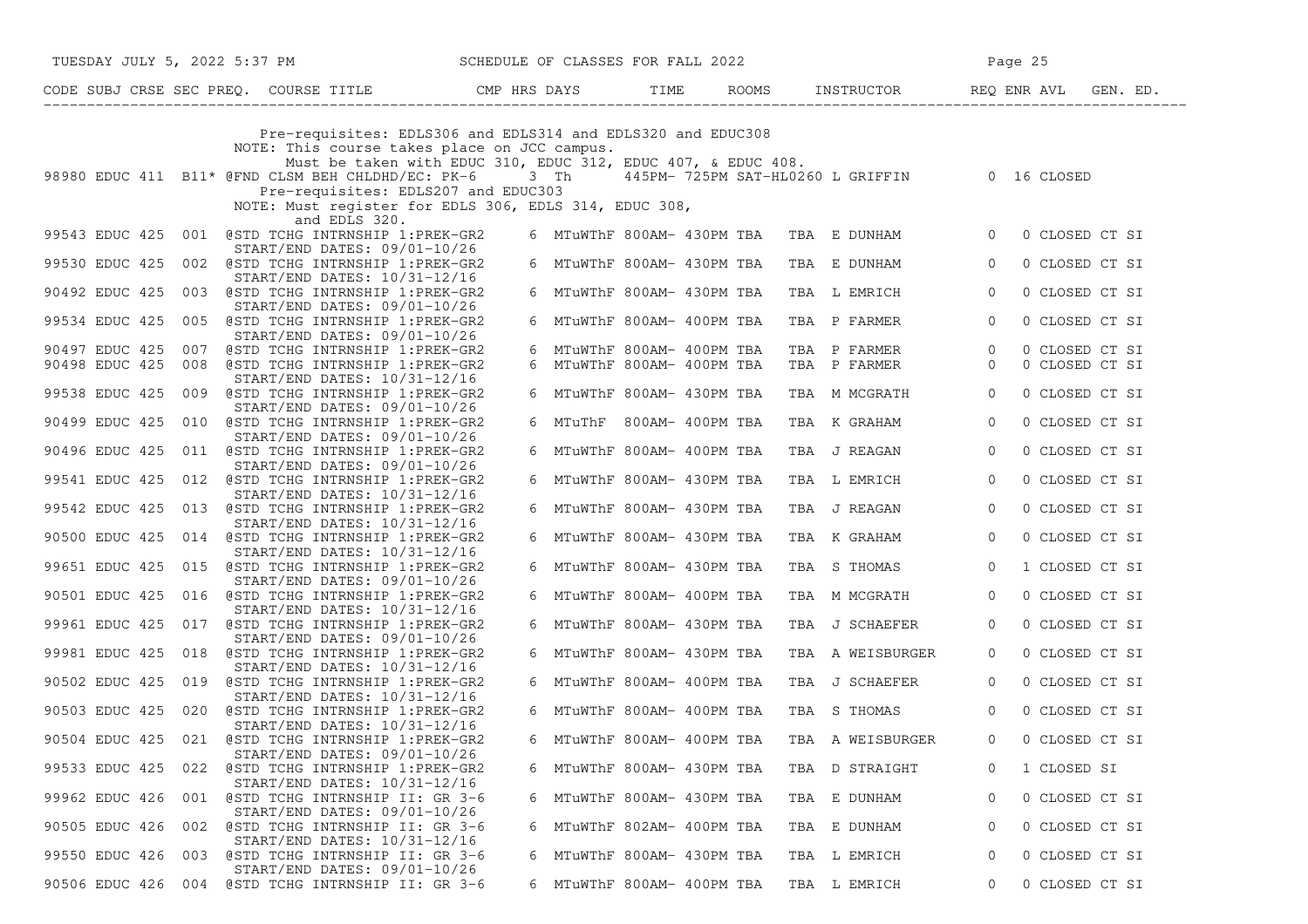|                    |                                                                                                                                                                                                                                                                                                                           |                            | TUESDAY JULY 5, 2022 5:37 PM SCHEDULE OF CLASSES FOR FALL 2022 |  |                                           | Page 25        |                |  |  |
|--------------------|---------------------------------------------------------------------------------------------------------------------------------------------------------------------------------------------------------------------------------------------------------------------------------------------------------------------------|----------------------------|----------------------------------------------------------------|--|-------------------------------------------|----------------|----------------|--|--|
|                    |                                                                                                                                                                                                                                                                                                                           |                            |                                                                |  |                                           |                |                |  |  |
|                    | Pre-requisites: EDLS306 and EDLS314 and EDLS320 and EDUC308<br>NOTE: This course takes place on JCC campus.<br>Must be taken with EDUC 310, EDUC 312, EDUC 407, & EDUC 408.<br>98980 EDUC 411 B11* @FND CLSM BEH CHLDHD/EC: PK-6 3 Th 445PM-725PM SAT-HL0260 L GRIFFIN 0 16 CLOSED<br>Pre-requisites: EDLS207 and EDUC303 |                            |                                                                |  |                                           |                |                |  |  |
|                    | NOTE: Must register for EDLS 306, EDLS 314, EDUC 308,                                                                                                                                                                                                                                                                     |                            |                                                                |  |                                           |                |                |  |  |
|                    | and EDLS 320.<br>99543 EDUC 425 001 @STD TCHG INTRNSHIP 1:PREK-GR2<br>$START/END$ DATES: $09/01-10/26$                                                                                                                                                                                                                    |                            |                                                                |  | 6 MTuWThF 800AM- 430PM TBA TBA E DUNHAM 0 |                | 0 CLOSED CT SI |  |  |
|                    | 99530 EDUC 425 002 @STD TCHG INTRNSHIP 1:PREK-GR2<br>START/END DATES: 10/31-12/16                                                                                                                                                                                                                                         | 6 MTuWThF 800AM- 430PM TBA |                                                                |  | TBA E DUNHAM                              | $\circ$        | 0 CLOSED CT SI |  |  |
|                    | 90492 EDUC 425 003 @STD TCHG INTRNSHIP 1:PREK-GR2<br>$START/END$ DATES: $09/01-10/26$                                                                                                                                                                                                                                     | 6 MTuWThF 800AM- 430PM TBA |                                                                |  | TBA L EMRICH                              | $\circ$        | 0 CLOSED CT SI |  |  |
|                    | 99534 EDUC 425 005 @STD TCHG INTRNSHIP 1:PREK-GR2<br>START/END DATES: 09/01-10/26                                                                                                                                                                                                                                         | 6 MTuWThF 800AM- 400PM TBA |                                                                |  | TBA P FARMER                              | $\overline{0}$ | 0 CLOSED CT SI |  |  |
| 90497 EDUC 425 007 | @STD TCHG INTRNSHIP 1:PREK-GR2                                                                                                                                                                                                                                                                                            | 6 MTuWThF 800AM- 400PM TBA |                                                                |  | TBA P FARMER                              | $\overline{0}$ | 0 CLOSED CT SI |  |  |
|                    | 90498 EDUC 425 008 @STD TCHG INTRNSHIP 1:PREK-GR2                                                                                                                                                                                                                                                                         | 6 MTuWThF 800AM- 400PM TBA |                                                                |  | TBA P FARMER                              | $\overline{0}$ | 0 CLOSED CT SI |  |  |
|                    | START/END DATES: 10/31-12/16<br>99538 EDUC 425 009 @STD TCHG INTRNSHIP 1:PREK-GR2                                                                                                                                                                                                                                         | 6 MTuWThF 800AM- 430PM TBA |                                                                |  | TBA M MCGRATH                             | $\overline{0}$ | 0 CLOSED CT SI |  |  |
|                    | START/END DATES: 09/01-10/26<br>90499 EDUC 425 010 @STD TCHG INTRNSHIP 1:PREK-GR2                                                                                                                                                                                                                                         | 6 MTuThF 800AM- 400PM TBA  |                                                                |  | TBA K GRAHAM                              | $\circ$        | 0 CLOSED CT SI |  |  |
|                    | START/END DATES: 09/01-10/26<br>90496 EDUC 425 011 @STD TCHG INTRNSHIP 1:PREK-GR2                                                                                                                                                                                                                                         | 6 MTuWThF 800AM- 400PM TBA |                                                                |  | TBA J REAGAN                              | $\overline{0}$ | 0 CLOSED CT SI |  |  |
|                    | $START/END$ DATES: $09/01-10/26$<br>99541 EDUC 425 012 @STD TCHG INTRNSHIP 1:PREK-GR2                                                                                                                                                                                                                                     | 6 MTuWThF 800AM- 430PM TBA |                                                                |  | TBA L EMRICH                              | $\circ$        | 0 CLOSED CT SI |  |  |
|                    | START/END DATES: 10/31-12/16<br>99542 EDUC 425 013 @STD TCHG INTRNSHIP 1:PREK-GR2<br>START/END DATES: 10/31-12/16                                                                                                                                                                                                         | 6 MTuWThF 800AM- 430PM TBA |                                                                |  | TBA J REAGAN                              | $\overline{0}$ | 0 CLOSED CT SI |  |  |
|                    | 90500 EDUC 425 014 @STD TCHG INTRNSHIP 1:PREK-GR2<br>START/END DATES: 10/31-12/16                                                                                                                                                                                                                                         | 6 MTuWThF 800AM- 430PM TBA |                                                                |  | TBA K GRAHAM                              | $\overline{0}$ | 0 CLOSED CT SI |  |  |
|                    | 99651 EDUC 425 015 @STD TCHG INTRNSHIP 1:PREK-GR2<br>START/END DATES: 09/01-10/26                                                                                                                                                                                                                                         | 6 MTuWThF 800AM- 430PM TBA |                                                                |  | TBA S THOMAS                              | $\overline{0}$ | 1 CLOSED CT SI |  |  |
|                    | 90501 EDUC 425 016 @STD TCHG INTRNSHIP 1:PREK-GR2<br>START/END DATES: 10/31-12/16                                                                                                                                                                                                                                         | 6 MTuWThF 800AM- 400PM TBA |                                                                |  | TBA M MCGRATH                             | $\overline{0}$ | 0 CLOSED CT SI |  |  |
|                    | 99961 EDUC 425 017 @STD TCHG INTRNSHIP 1:PREK-GR2<br>START/END DATES: 09/01-10/26                                                                                                                                                                                                                                         | 6 MTuWThF 800AM- 430PM TBA |                                                                |  | TBA J SCHAEFER                            | $\overline{0}$ | 0 CLOSED CT SI |  |  |
|                    | 99981 EDUC 425 018 @STD TCHG INTRNSHIP 1:PREK-GR2<br>START/END DATES: 10/31-12/16                                                                                                                                                                                                                                         | 6 MTuWThF 800AM- 430PM TBA |                                                                |  | TBA A WEISBURGER                          | $\overline{0}$ | 0 CLOSED CT SI |  |  |
|                    | 90502 EDUC 425 019 @STD TCHG INTRNSHIP 1:PREK-GR2<br>START/END DATES: 10/31-12/16                                                                                                                                                                                                                                         | 6 MTuWThF 800AM- 400PM TBA |                                                                |  | TBA J SCHAEFER                            | $\overline{0}$ | 0 CLOSED CT SI |  |  |
|                    | 90503 EDUC 425 020 @STD TCHG INTRNSHIP 1:PREK-GR2<br>START/END DATES: 10/31-12/16                                                                                                                                                                                                                                         | 6 MTuWThF 800AM- 400PM TBA |                                                                |  | TBA S THOMAS                              | $\circ$        | 0 CLOSED CT SI |  |  |
|                    | 90504 EDUC 425 021 @STD TCHG INTRNSHIP 1:PREK-GR2<br>$START/END$ DATES: $09/01-10/26$                                                                                                                                                                                                                                     | 6 MTuWThF 800AM- 400PM TBA |                                                                |  | TBA A WEISBURGER                          | $\overline{0}$ | 0 CLOSED CT SI |  |  |
| 99533 EDUC 425 022 | @STD TCHG INTRNSHIP 1:PREK-GR2<br>START/END DATES: 10/31-12/16                                                                                                                                                                                                                                                            | 6 MTuWThF 800AM- 430PM TBA |                                                                |  | TBA D STRAIGHT                            | $\overline{0}$ | 1 CLOSED SI    |  |  |
|                    | 99962 EDUC 426 001 @STD TCHG INTRNSHIP II: GR 3-6<br>START/END DATES: 09/01-10/26                                                                                                                                                                                                                                         | 6 MTuWThF 800AM- 430PM TBA |                                                                |  | TBA E DUNHAM                              | 0              | 0 CLOSED CT SI |  |  |
| 90505 EDUC 426 002 | @STD TCHG INTRNSHIP II: GR 3-6<br>START/END DATES: 10/31-12/16                                                                                                                                                                                                                                                            | 6 MTuWThF 802AM- 400PM TBA |                                                                |  | TBA E DUNHAM                              | 0              | 0 CLOSED CT SI |  |  |
|                    | 99550 EDUC 426 003 @STD TCHG INTRNSHIP II: GR 3-6<br>START/END DATES: 09/01-10/26                                                                                                                                                                                                                                         | 6 MTuWThF 800AM- 430PM TBA |                                                                |  | TBA L EMRICH                              | 0              | 0 CLOSED CT SI |  |  |
|                    | 90506 EDUC 426 004 @STD TCHG INTRNSHIP II: GR 3-6                                                                                                                                                                                                                                                                         | 6 MTuWThF 800AM- 400PM TBA |                                                                |  | TBA L EMRICH                              | 0              | 0 CLOSED CT SI |  |  |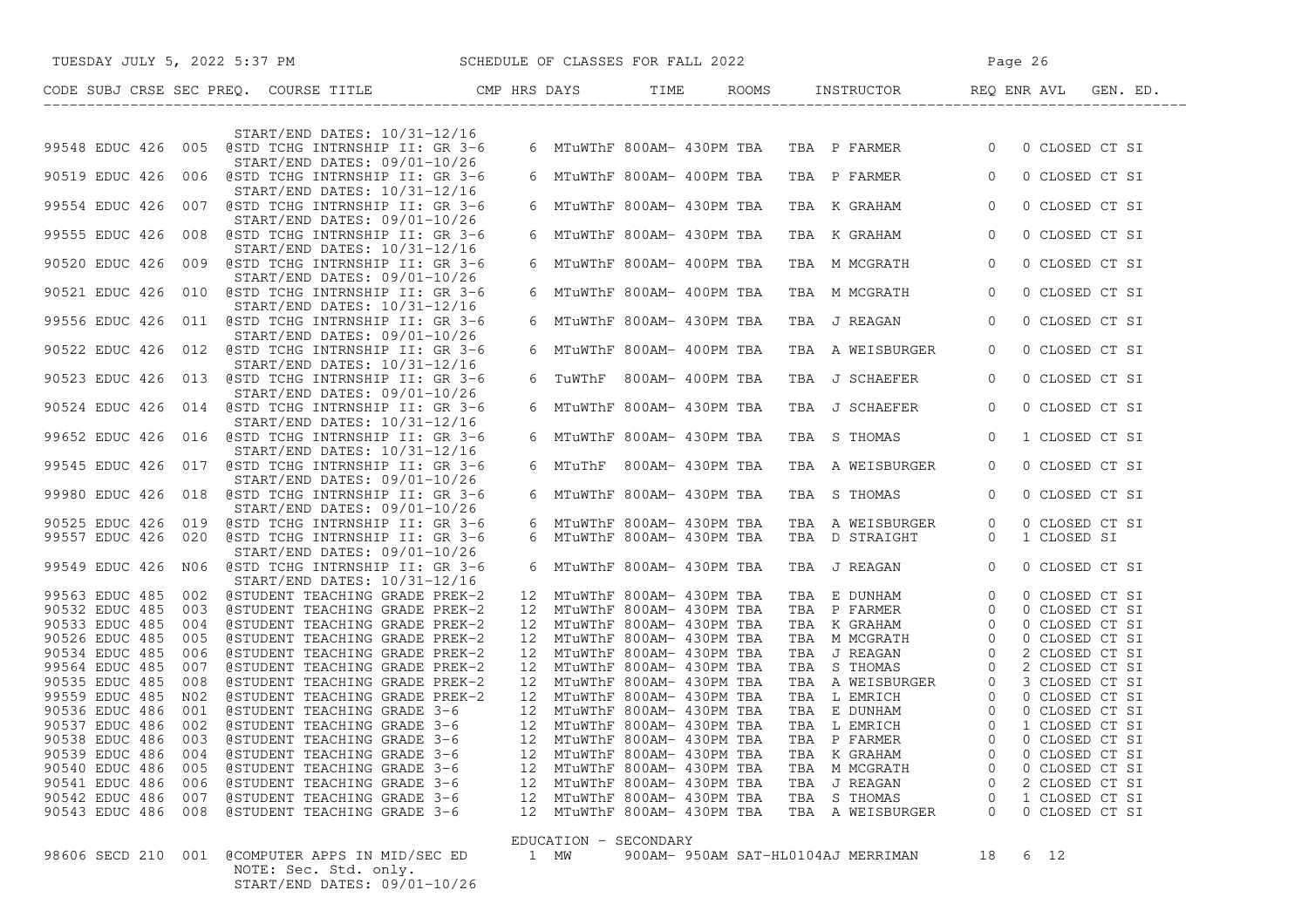| TUESDAY JULY 5, 2022 5:37 PM SCHEDULE OF CLASSES FOR FALL 2022                                                    |    |                                                            |  |                                                                                                                                                                                                                                              | Page 26                          |                                  |  |
|-------------------------------------------------------------------------------------------------------------------|----|------------------------------------------------------------|--|----------------------------------------------------------------------------------------------------------------------------------------------------------------------------------------------------------------------------------------------|----------------------------------|----------------------------------|--|
|                                                                                                                   |    |                                                            |  |                                                                                                                                                                                                                                              |                                  |                                  |  |
|                                                                                                                   |    |                                                            |  |                                                                                                                                                                                                                                              |                                  |                                  |  |
| START/END DATES: 10/31-12/16<br>99548 EDUC 426 005 @STD TCHG INTRNSHIP II: GR 3-6                                 |    |                                                            |  | 6 MTuWThF 800AM- 430PM TBA TBA P FARMER 0                                                                                                                                                                                                    |                                  | 0 CLOSED CT SI                   |  |
| START/END DATES: 09/01-10/26<br>90519 EDUC 426 006 @STD TCHG INTRNSHIP II: GR 3-6                                 |    | 6 MTuWThF 800AM- 400PM TBA                                 |  | TBA P FARMER                                                                                                                                                                                                                                 | $\overline{0}$                   | 0 CLOSED CT SI                   |  |
| START/END DATES: 10/31-12/16<br>99554 EDUC 426 007 @STD TCHG INTRNSHIP II: GR 3-6<br>START/END DATES: 09/01-10/26 |    | 6 MTuWThF 800AM- 430PM TBA                                 |  | TBA K GRAHAM                                                                                                                                                                                                                                 | $\overline{0}$                   | 0 CLOSED CT SI                   |  |
| 99555 EDUC 426 008 @STD TCHG INTRNSHIP II: GR 3-6<br>START/END DATES: 10/31-12/16                                 |    | 6 MTuWThF 800AM- 430PM TBA                                 |  | TBA K GRAHAM                                                                                                                                                                                                                                 | $\overline{0}$                   | 0 CLOSED CT SI                   |  |
| 90520 EDUC 426 009 @STD TCHG INTRNSHIP II: GR 3-6<br>START/END DATES: 09/01-10/26                                 |    | 6 MTuWThF 800AM- 400PM TBA                                 |  | TBA M MCGRATH                                                                                                                                                                                                                                | $\overline{0}$                   | 0 CLOSED CT SI                   |  |
| 90521 EDUC 426 010 @STD TCHG INTRNSHIP II: GR 3-6<br>START/END DATES: 10/31-12/16                                 |    | 6 MTuWThF 800AM- 400PM TBA                                 |  | TBA M MCGRATH                                                                                                                                                                                                                                | $\overline{0}$                   | 0 CLOSED CT SI                   |  |
| 99556 EDUC 426 011 @STD TCHG INTRNSHIP II: GR 3-6<br>START/END DATES: 09/01-10/26                                 |    | 6 MTuWThF 800AM- 430PM TBA                                 |  | TBA J REAGAN                                                                                                                                                                                                                                 | $\overline{0}$                   | 0 CLOSED CT SI                   |  |
| 90522 EDUC 426 012 @STD TCHG INTRNSHIP II: GR 3-6<br>START/END DATES: 10/31-12/16                                 |    | 6 MTuWThF 800AM- 400PM TBA                                 |  | TBA A WEISBURGER                                                                                                                                                                                                                             | $\overline{0}$                   | 0 CLOSED CT SI                   |  |
| 90523 EDUC 426 013 @STD TCHG INTRNSHIP II: GR 3-6<br>START/END DATES: 09/01-10/26                                 |    | 6 TUWThF 800AM-400PM TBA                                   |  | TBA J SCHAEFER                                                                                                                                                                                                                               | $\overline{0}$                   | 0 CLOSED CT SI                   |  |
| 90524 EDUC 426 014 @STD TCHG INTRNSHIP II: GR 3-6<br>START/END DATES: 10/31-12/16                                 |    | 6 MTuWThF 800AM- 430PM TBA                                 |  | TBA J SCHAEFER                                                                                                                                                                                                                               | $\overline{0}$                   | 0 CLOSED CT SI                   |  |
| 99652 EDUC 426 016 @STD TCHG INTRNSHIP II: GR 3-6<br>START/END DATES: 10/31-12/16                                 |    | 6 MTuWThF 800AM- 430PM TBA                                 |  | TBA S THOMAS                                                                                                                                                                                                                                 | $\circ$                          | 1 CLOSED CT SI                   |  |
| 99545 EDUC 426 017 @STD TCHG INTRNSHIP II: GR 3-6<br>START/END DATES: 09/01-10/26                                 |    | 6 MTuThF 800AM-430PM TBA                                   |  | TBA A WEISBURGER                                                                                                                                                                                                                             | $\Omega$                         | 0 CLOSED CT SI                   |  |
| 99980 EDUC 426 018 @STD TCHG INTRNSHIP II: GR 3-6<br>START/END DATES: 09/01-10/26                                 |    | 6 MTuWThF 800AM- 430PM TBA                                 |  | TBA S THOMAS                                                                                                                                                                                                                                 | $\overline{0}$                   | 0 CLOSED CT SI                   |  |
| 90525 EDUC 426 019 @STD TCHG INTRNSHIP II: GR 3-6                                                                 |    | 6 MTuWThF 800AM- 430PM TBA                                 |  | TBA A WEISBURGER                                                                                                                                                                                                                             | $\overline{0}$                   | 0 CLOSED CT SI                   |  |
| 99557 EDUC 426 020 @STD TCHG INTRNSHIP II: GR 3-6<br>START/END DATES: 09/01-10/26                                 |    | 6 MTuWThF 800AM- 430PM TBA                                 |  | TBA D STRAIGHT                                                                                                                                                                                                                               | $\Omega$                         | 1 CLOSED SI                      |  |
| 99549 EDUC 426 NO6 @STD TCHG INTRNSHIP II: GR 3-6<br>START/END DATES: 10/31-12/16                                 |    | 6 MTuWThF 800AM- 430PM TBA                                 |  | TBA J REAGAN                                                                                                                                                                                                                                 | $\circ$                          | 0 CLOSED CT SI                   |  |
| 99563 EDUC 485 002<br>@STUDENT TEACHING GRADE PREK-2                                                              | 12 | MTuWThF 800AM- 430PM TBA                                   |  | TBA E DUNHAM<br>TBA P FARMER                                                                                                                                                                                                                 | $\overline{0}$                   | 0 CLOSED CT SI                   |  |
| 90532 EDUC 485 003<br>@STUDENT TEACHING GRADE PREK-2<br>90533 EDUC 485<br>004<br>@STUDENT TEACHING GRADE PREK-2   |    | 12 MTuWThF 800AM- 430PM TBA<br>12 MTuWThF 800AM- 430PM TBA |  | TBA P FARMER<br>TBA K GRAHAM                                                                                                                                                                                                                 | $\overline{0}$<br>$\overline{0}$ | 0 CLOSED CT SI<br>0 CLOSED CT SI |  |
| 90526 EDUC 485<br>005<br>@STUDENT TEACHING GRADE PREK-2                                                           |    | 12 MTuWThF 800AM- 430PM TBA                                |  | TBA M MCGRATH                                                                                                                                                                                                                                | $\circ$                          | 0 CLOSED CT SI                   |  |
| 90534 EDUC 485<br>@STUDENT TEACHING GRADE PREK-2<br>006                                                           |    | 12 MTuWThF 800AM- 430PM TBA                                |  | TBA J REAGAN                                                                                                                                                                                                                                 | $\overline{0}$                   | 2 CLOSED CT SI                   |  |
| 99564 EDUC 485<br>007<br>@STUDENT TEACHING GRADE PREK-2                                                           |    | 12 MTuWThF 800AM- 430PM TBA                                |  |                                                                                                                                                                                                                                              |                                  |                                  |  |
| 90535 EDUC 485<br>008<br>@STUDENT TEACHING GRADE PREK-2                                                           |    | 12 MTuWThF 800AM- 430PM TBA                                |  | TEA STHOMAS 0 2 CLOSED CT ST<br>TEA A WEISBURGER 0 3 CLOSED CT ST<br>TEA LEMRICH 0 0 CLOSED CT ST<br>TEA E DUNHAM 0 0 CLOSED CT ST<br>TEA LEMRICH 0 1 CLOSED CT ST<br>TEA LEMRICH 0 1 CLOSED CT ST<br>TEA PEARMER 0 0 CLOSED CT ST<br>TEA PE |                                  |                                  |  |
| 99559 EDUC 485<br>N02<br>@STUDENT TEACHING GRADE PREK-2                                                           |    | 12 MTuWThF 800AM- 430PM TBA                                |  |                                                                                                                                                                                                                                              |                                  |                                  |  |
| 90536 EDUC 486<br>001<br>@STUDENT TEACHING GRADE 3-6                                                              |    | 12 MTuWThF 800AM- 430PM TBA                                |  |                                                                                                                                                                                                                                              |                                  |                                  |  |
| 90537 EDUC 486<br>002<br>@STUDENT TEACHING GRADE 3-6                                                              |    | 12 MTuWThF 800AM- 430PM TBA                                |  |                                                                                                                                                                                                                                              |                                  |                                  |  |
| 90538 EDUC 486 003 @STUDENT TEACHING GRADE 3-6                                                                    |    | 12 MTuWThF 800AM- 430PM TBA                                |  |                                                                                                                                                                                                                                              |                                  |                                  |  |
| 90539 EDUC 486 004<br>@STUDENT TEACHING GRADE 3-6                                                                 |    | 12 MTuWThF 800AM- 430PM TBA                                |  | TBA K GRAHAM                                                                                                                                                                                                                                 |                                  | 0 CLOSED CT SI                   |  |
| 90540 EDUC 486 005<br>@STUDENT TEACHING GRADE 3-6                                                                 |    | 12 MTuWThF 800AM- 430PM TBA                                |  | TBA M MCGRATH                                                                                                                                                                                                                                | $\Omega$                         | 0 CLOSED CT SI                   |  |
| 90541 EDUC 486 006<br>@STUDENT TEACHING GRADE 3-6                                                                 |    | 12 MTuWThF 800AM- 430PM TBA                                |  | TBA J REAGAN                                                                                                                                                                                                                                 |                                  | 2 CLOSED CT SI                   |  |
| @STUDENT TEACHING GRADE 3-6<br>90542 EDUC 486 007                                                                 |    | 12 MTuWThF 800AM- 430PM TBA                                |  | TBA S THOMAS                                                                                                                                                                                                                                 | 0                                | 1 CLOSED CT SI                   |  |
| 90543 EDUC 486 008<br>@STUDENT TEACHING GRADE 3-6                                                                 |    | 12 MTuWThF 800AM- 430PM TBA                                |  | TBA A WEISBURGER                                                                                                                                                                                                                             | $\Omega$                         | 0 CLOSED CT SI                   |  |
|                                                                                                                   |    | EDUCATION - SECONDARY                                      |  |                                                                                                                                                                                                                                              |                                  |                                  |  |
| @COMPUTER APPS IN MID/SEC ED<br>98606 SECD 210 001<br>NOTE: Sec. Std. only.<br>START/END DATES: 09/01-10/26       |    | 1 MW                                                       |  | 900AM- 950AM SAT-HL0104AJ MERRIMAN                                                                                                                                                                                                           | 18                               | 6 12                             |  |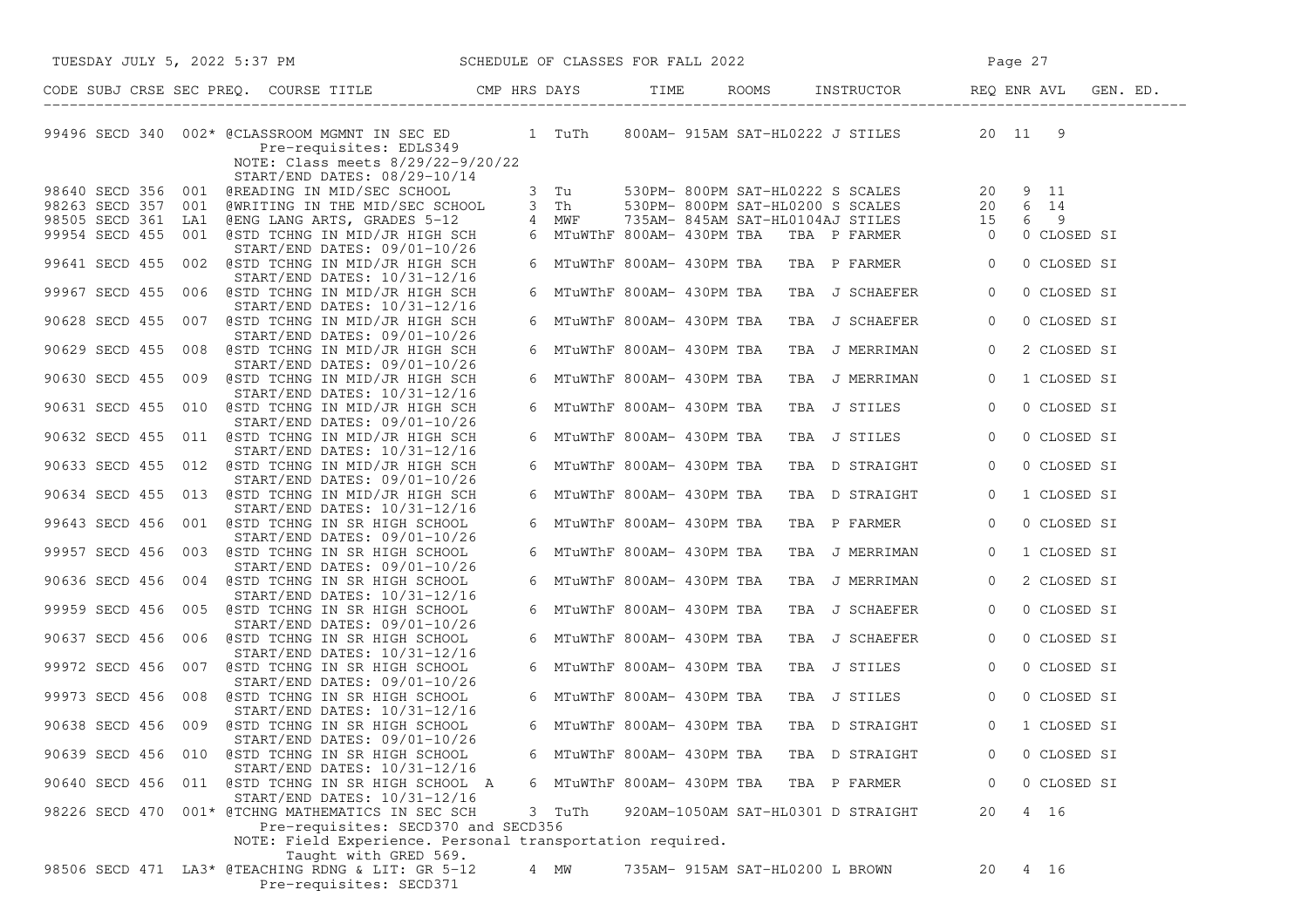| TUESDAY JULY 5, 2022 5:37 PM SCHEDULE OF CLASSES FOR FALL 2022                                                                                        |        |                                           | Page 27                                                                                                                                                                                                        |
|-------------------------------------------------------------------------------------------------------------------------------------------------------|--------|-------------------------------------------|----------------------------------------------------------------------------------------------------------------------------------------------------------------------------------------------------------------|
|                                                                                                                                                       |        |                                           |                                                                                                                                                                                                                |
| 99496 SECD 340 002* @CLASSROOM MGMNT IN SEC ED 1 TuTh<br>Pre-requisites: EDLS349<br>NOTE: Class meets 8/29/22-9/20/22<br>START/END DATES: 08/29-10/14 |        |                                           | 800AM- 915AM SAT-HL0222 J STILES 20 11 9                                                                                                                                                                       |
| 98640 SECD 356 001 @READING IN MID/SEC SCHOOL                                                                                                         |        |                                           |                                                                                                                                                                                                                |
| 98263 SECD 357 001 @WRITING IN THE MID/SEC SCHOOL                                                                                                     | 3 Th   |                                           |                                                                                                                                                                                                                |
| 98505 SECD 361 LA1 @ENG LANG ARTS, GRADES 5-12 4 MWF                                                                                                  |        |                                           |                                                                                                                                                                                                                |
| 99954 SECD 455 001 @STD TCHNG IN MID/JR HIGH SCH<br>START/END DATES: 09/01-10/26                                                                      |        |                                           | 3 Tu 530PM-800PM SAT-HL0222 S SCALES 20 9 11<br>3 Th 530PM-800PM SAT-HL0200 S SCALES 20 6 14<br>4 MWF 735AM-845AM SAT-HL0104AJ STILES 15 6 9<br>6 MTuWThF 800AM-430PM TBA TBA P FARMER 0 0 CLOS<br>0 CLOSED SI |
| 99641 SECD 455 002 @STD TCHNG IN MID/JR HIGH SCH<br>START/END DATES: 10/31-12/16                                                                      |        | 6 MTuWThF 800AM- 430PM TBA TBA P FARMER 0 | 0 CLOSED SI                                                                                                                                                                                                    |
| 99967 SECD 455 006 @STD TCHNG IN MID/JR HIGH SCH<br>START/END DATES: 10/31-12/16                                                                      |        | 6 MTuWThF 800AM- 430PM TBA                | TBA J SCHAEFER<br>$\circ$<br>0 CLOSED SI                                                                                                                                                                       |
| 90628 SECD 455 007 @STD TCHNG IN MID/JR HIGH SCH<br>START/END DATES: 09/01-10/26                                                                      |        | 6 MTuWThF 800AM- 430PM TBA                | 0 CLOSED SI<br>TBA J SCHAEFER<br>$\circ$                                                                                                                                                                       |
| 90629 SECD 455 008 @STD TCHNG IN MID/JR HIGH SCH<br>START/END DATES: 09/01-10/26                                                                      |        | 6 MTuWThF 800AM- 430PM TBA                | TBA J MERRIMAN<br>2 CLOSED SI<br>$\overline{0}$                                                                                                                                                                |
| 90630 SECD 455 009 @STD TCHNG IN MID/JR HIGH SCH<br>START/END DATES: 10/31-12/16                                                                      |        | 6 MTuWThF 800AM- 430PM TBA                | TBA J MERRIMAN<br>$\overline{0}$<br>1 CLOSED SI                                                                                                                                                                |
| 90631 SECD 455 010 @STD TCHNG IN MID/JR HIGH SCH<br>START/END DATES: 09/01-10/26                                                                      |        | 6 MTuWThF 800AM- 430PM TBA                | TBA J STILES<br>$\overline{0}$<br>0 CLOSED SI                                                                                                                                                                  |
| 90632 SECD 455 011 @STD TCHNG IN MID/JR HIGH SCH<br>START/END DATES: 10/31-12/16                                                                      |        | 6 MTuWThF 800AM- 430PM TBA                | TBA J STILES<br>0 CLOSED SI<br>$\overline{0}$                                                                                                                                                                  |
| 90633 SECD 455 012 @STD TCHNG IN MID/JR HIGH SCH<br>START/END DATES: 09/01-10/26                                                                      |        | 6 MTuWThF 800AM- 430PM TBA                | 0 CLOSED SI<br>TBA D STRAIGHT<br>$\overline{0}$                                                                                                                                                                |
| 90634 SECD 455 013 @STD TCHNG IN MID/JR HIGH SCH                                                                                                      |        | 6 MTuWThF 800AM- 430PM TBA                | TBA D STRAIGHT<br>1 CLOSED SI<br>$\overline{0}$                                                                                                                                                                |
| START/END DATES: 10/31-12/16<br>99643 SECD 456 001 @STD TCHNG IN SR HIGH SCHOOL<br>START/END DATES: 09/01-10/26                                       |        | 6 MTuWThF 800AM- 430PM TBA                | 0 CLOSED SI<br>TBA P FARMER<br>$\overline{0}$                                                                                                                                                                  |
| 99957 SECD 456 003 @STD TCHNG IN SR HIGH SCHOOL                                                                                                       |        | 6 MTuWThF 800AM- 430PM TBA                | TBA J MERRIMAN<br>$\circ$<br>1 CLOSED SI                                                                                                                                                                       |
| START/END DATES: 09/01-10/26<br>90636 SECD 456 004 @STD TCHNG IN SR HIGH SCHOOL                                                                       |        | 6 MTuWThF 800AM- 430PM TBA                | 2 CLOSED SI<br>TBA J MERRIMAN<br>$\circ$                                                                                                                                                                       |
| START/END DATES: 10/31-12/16<br>99959 SECD 456 005 @STD TCHNG IN SR HIGH SCHOOL                                                                       |        | 6 MTuWThF 800AM- 430PM TBA                | 0 CLOSED SI<br>TBA J SCHAEFER<br>$\overline{0}$                                                                                                                                                                |
| START/END DATES: 09/01-10/26<br>90637 SECD 456 006 @STD TCHNG IN SR HIGH SCHOOL                                                                       |        | 6 MTuWThF 800AM- 430PM TBA                | TBA J SCHAEFER<br>0 CLOSED SI<br>$\overline{0}$                                                                                                                                                                |
| START/END DATES: 10/31-12/16<br>99972 SECD 456 007 @STD TCHNG IN SR HIGH SCHOOL                                                                       |        | 6 MTuWThF 800AM- 430PM TBA                | TBA J STILES<br>$\overline{0}$<br>0 CLOSED SI                                                                                                                                                                  |
| START/END DATES: 09/01-10/26<br>99973 SECD 456 008 @STD TCHNG IN SR HIGH SCHOOL                                                                       |        | 6 MTuWThF 800AM- 430PM TBA TBA J STILES   | 0 CLOSED SI<br>$\overline{0}$                                                                                                                                                                                  |
| START/END DATES: 10/31-12/16<br>90638 SECD 456 009 @STD TCHNG IN SR HIGH SCHOOL                                                                       |        | 6 MTuWThF 800AM- 430PM TBA TBA D STRAIGHT | 0 1 CLOSED SI                                                                                                                                                                                                  |
| START/END DATES: 09/01-10/26<br>90639 SECD 456 010 @STD TCHNG IN SR HIGH SCHOOL                                                                       |        |                                           | 6 MTuWThF 800AM- 430PM TBA TBA D STRAIGHT 0 0 CLOSED SI                                                                                                                                                        |
| START/END DATES: 10/31-12/16<br>90640 SECD 456 011 @STD TCHNG IN SR HIGH SCHOOL A                                                                     |        | 6 MTuWThF 800AM- 430PM TBA                | 0 CLOSED SI<br>TBA P FARMER<br>0                                                                                                                                                                               |
| START/END DATES: 10/31-12/16<br>98226 SECD 470 001* @TCHNG MATHEMATICS IN SEC SCH                                                                     | 3 TuTh | 920AM-1050AM SAT-HL0301 D STRAIGHT        | 20<br>4 16                                                                                                                                                                                                     |
| Pre-requisites: SECD370 and SECD356<br>NOTE: Field Experience. Personal transportation required.                                                      |        |                                           |                                                                                                                                                                                                                |
| Taught with GRED 569.<br>98506 SECD 471 LA3* @TEACHING RDNG & LIT: GR 5-12<br>Pre-requisites: SECD371                                                 | 4 MW   | 735AM- 915AM SAT-HL0200 L BROWN           | 4 16<br>20                                                                                                                                                                                                     |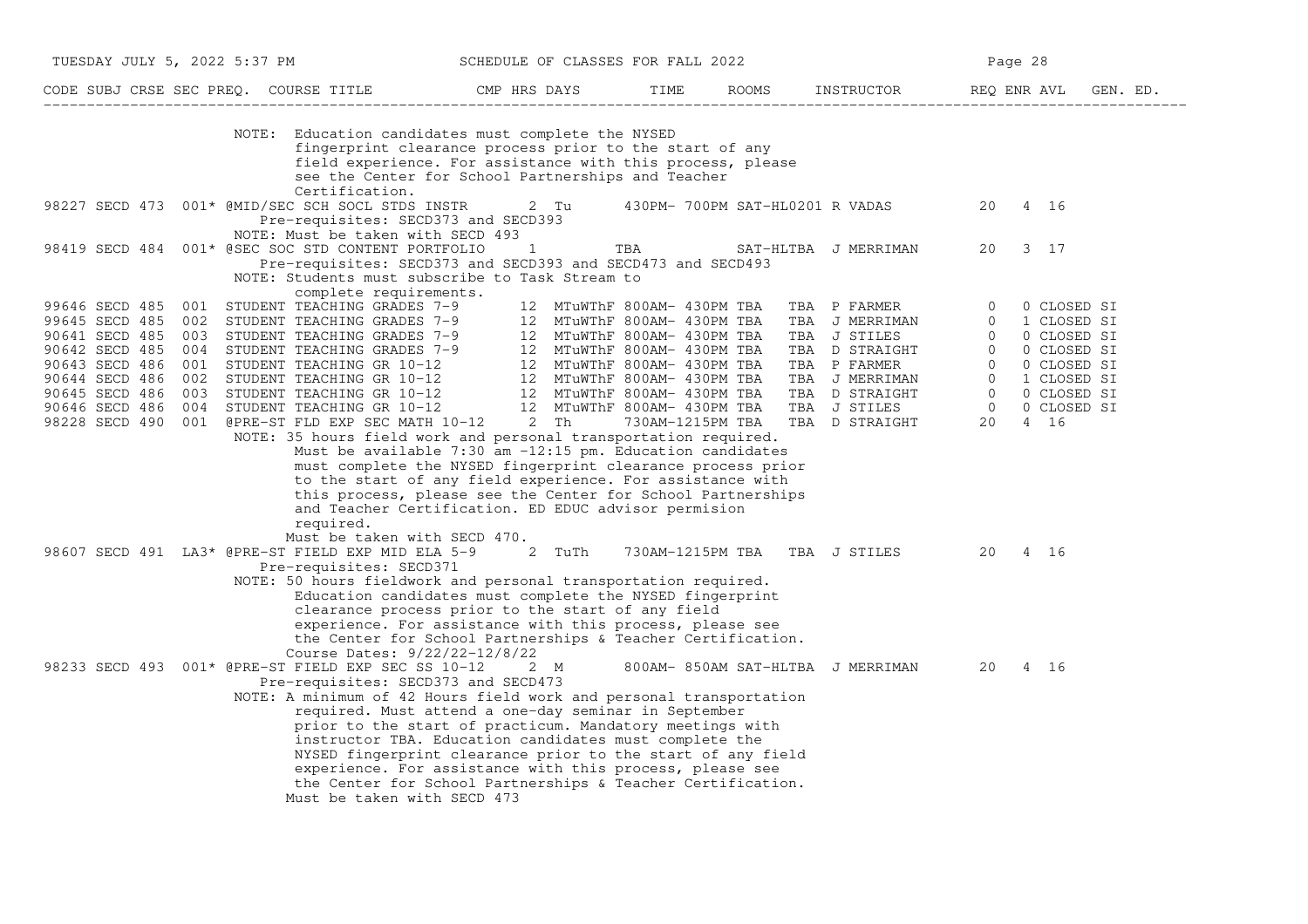| TUESDAY JULY 5, 2022 5:37 PM                                                                                                                                   |                                                                                                                                                                                                                                                                                                                                                                                                                                      | SCHEDULE OF CLASSES FOR FALL 2022                                                                                                                                                                                                                                                                                                                                           |                                                 |                                                                                  | Page 28                                                                                                                                                                                                                                                                          |
|----------------------------------------------------------------------------------------------------------------------------------------------------------------|--------------------------------------------------------------------------------------------------------------------------------------------------------------------------------------------------------------------------------------------------------------------------------------------------------------------------------------------------------------------------------------------------------------------------------------|-----------------------------------------------------------------------------------------------------------------------------------------------------------------------------------------------------------------------------------------------------------------------------------------------------------------------------------------------------------------------------|-------------------------------------------------|----------------------------------------------------------------------------------|----------------------------------------------------------------------------------------------------------------------------------------------------------------------------------------------------------------------------------------------------------------------------------|
|                                                                                                                                                                | CODE SUBJ CRSE SEC PREQ. COURSE TITLE THE CMP HRS DAYS                                                                                                                                                                                                                                                                                                                                                                               |                                                                                                                                                                                                                                                                                                                                                                             | TIME                                            |                                                                                  | ROOMS INSTRUCTOR REQ ENR AVL GEN. ED.                                                                                                                                                                                                                                            |
|                                                                                                                                                                | NOTE: Education candidates must complete the NYSED<br>Certification.                                                                                                                                                                                                                                                                                                                                                                 | fingerprint clearance process prior to the start of any<br>field experience. For assistance with this process, please<br>see the Center for School Partnerships and Teacher                                                                                                                                                                                                 |                                                 |                                                                                  |                                                                                                                                                                                                                                                                                  |
|                                                                                                                                                                | 98227 SECD 473 001* @MID/SEC SCH SOCL STDS INSTR<br>Pre-requisites: SECD373 and SECD393<br>NOTE: Must be taken with SECD 493                                                                                                                                                                                                                                                                                                         | 2 Tu                                                                                                                                                                                                                                                                                                                                                                        |                                                 | 430PM- 700PM SAT-HL0201 R VADAS                                                  | 20<br>4 16                                                                                                                                                                                                                                                                       |
| 98419 SECD 484                                                                                                                                                 | 001* @SEC SOC STD CONTENT PORTFOLIO<br>Pre-requisites: SECD373 and SECD393 and SECD473 and SECD493<br>NOTE: Students must subscribe to Task Stream to<br>complete requirements.                                                                                                                                                                                                                                                      | $\overline{1}$                                                                                                                                                                                                                                                                                                                                                              | TBA                                             | SAT-HLTBA J MERRIMAN                                                             | 20<br>3 17                                                                                                                                                                                                                                                                       |
| 99646 SECD 485<br>99645 SECD 485<br>90641 SECD 485<br>90642 SECD 485<br>90643 SECD 486<br>90644 SECD 486<br>90645 SECD 486<br>90646 SECD 486<br>98228 SECD 490 | 001<br>STUDENT TEACHING GRADES 7-9<br>001 STUDENT TEACHING GRADES 7-9 12 MTuWThF 800AM- 430PM TBA<br>002 STUDENT TEACHING GRADES 7-9 12 MTuWThF 800AM- 430PM TBA<br>003 STUDENT TEACHING GRADES 7-9 12 MTuWThF 800AM- 430PM TBA<br>004 STUDENT TEACHING GRADES 7-9 12 MTu<br>001 @PRE-ST FLD EXP SEC MATH 10-12 2 Th<br>NOTE: 35 hours field work and personal transportation required.<br>required.<br>Must be taken with SECD 470. | Must be available $7:30$ am $-12:15$ pm. Education candidates<br>must complete the NYSED fingerprint clearance process prior<br>to the start of any field experience. For assistance with<br>this process, please see the Center for School Partnerships<br>and Teacher Certification. ED EDUC advisor permision                                                            | 12 MTuWThF 800AM- 430PM TBA<br>730AM-1215PM TBA | TBA P FARMER<br>TBA J MERRIMAN<br>TBA J STILES<br>TBA D STRAIGHT<br>TBA P FARMER | $\overline{0}$<br>0 CLOSED SI<br>1 CLOSED SI<br>$\Omega$<br>$\overline{0}$<br>0 CLOSED SI<br>0 CLOSED SI<br>$\overline{0}$<br>$\overline{0}$<br>0 CLOSED SI<br>TBA J MERRIMAN<br>TBA D STRAIGHT<br>TBA D STRAIGHT<br>TBA J STILES<br>TBA D STRAIGHT<br>TBA D STRAIGHT<br>20 4 16 |
|                                                                                                                                                                | 98607 SECD 491 LA3* @PRE-ST FIELD EXP MID ELA 5-9 2 TuTh<br>Pre-requisites: SECD371<br>NOTE: 50 hours fieldwork and personal transportation required.<br>Course Dates: 9/22/22-12/8/22                                                                                                                                                                                                                                               | Education candidates must complete the NYSED fingerprint<br>clearance process prior to the start of any field<br>experience. For assistance with this process, please see<br>the Center for School Partnerships & Teacher Certification.                                                                                                                                    | 730AM-1215PM TBA TBA J STILES                   |                                                                                  | 20<br>4 16                                                                                                                                                                                                                                                                       |
|                                                                                                                                                                | 98233 SECD 493 001* @PRE-ST FIELD EXP SEC SS 10-12<br>Pre-requisites: SECD373 and SECD473<br>NOTE: A minimum of 42 Hours field work and personal transportation<br>Must be taken with SECD 473                                                                                                                                                                                                                                       | 2 M<br>required. Must attend a one-day seminar in September<br>prior to the start of practicum. Mandatory meetings with<br>instructor TBA. Education candidates must complete the<br>NYSED fingerprint clearance prior to the start of any field<br>experience. For assistance with this process, please see<br>the Center for School Partnerships & Teacher Certification. | 800AM-850AM SAT-HLTBA J MERRIMAN                |                                                                                  | 20<br>4 16                                                                                                                                                                                                                                                                       |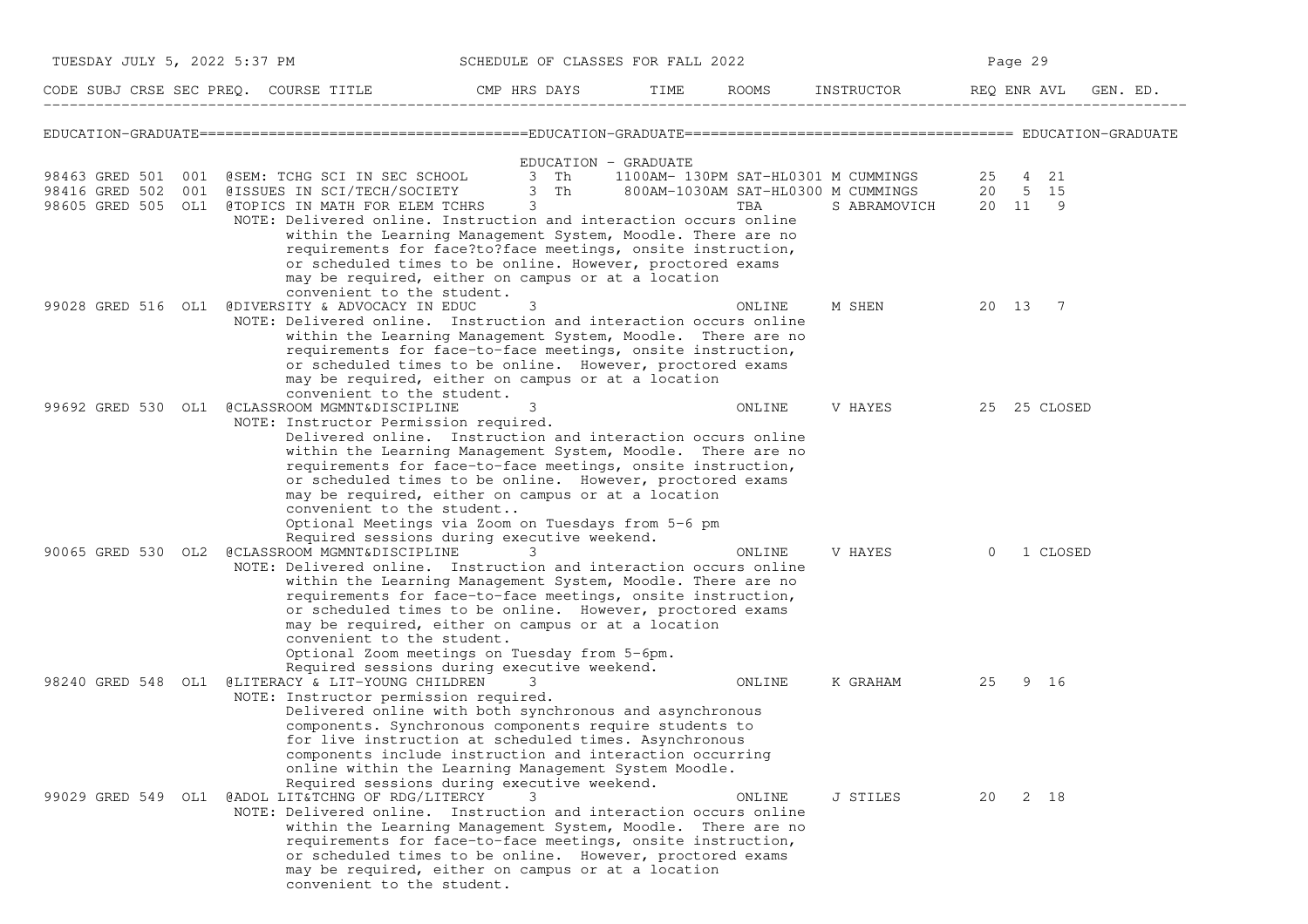| TUESDAY JULY 5, 2022 5:37 PM |                                                                                                                                                                                                              | SCHEDULE OF CLASSES FOR FALL 2022                                                                                                                                           |      |        |                                                                    | Page 29        |          |
|------------------------------|--------------------------------------------------------------------------------------------------------------------------------------------------------------------------------------------------------------|-----------------------------------------------------------------------------------------------------------------------------------------------------------------------------|------|--------|--------------------------------------------------------------------|----------------|----------|
|                              | CODE SUBJ CRSE SEC PREQ. COURSE TITLE THE CMP HRS DAYS                                                                                                                                                       |                                                                                                                                                                             | TIME |        | ROOMS INSTRUCTOR REQ ENR AVL                                       |                | GEN. ED. |
|                              |                                                                                                                                                                                                              |                                                                                                                                                                             |      |        |                                                                    |                |          |
| 98463 GRED 501               | 001 @SEM: TCHG SCI IN SEC SCHOOL 3 Th                                                                                                                                                                        | EDUCATION - GRADUATE                                                                                                                                                        |      |        | 1100AM- 130PM SAT-HL0301 M CUMMINGS                                | 25 4 21        |          |
| 98416 GRED 502               | 001 @ISSUES IN SCI/TECH/SOCIETY 3 Th<br>98605 GRED 505 OL1 @TOPICS IN MATH FOR ELEM TCHRS<br>NOTE: Delivered online. Instruction and interaction occurs online                                               | 3                                                                                                                                                                           |      | TBA    | 800AM-1030AM SAT-HL0300 M CUMMINGS 20 5 15<br>S ABRAMOVICH 20 11 9 |                |          |
|                              | requirements for face?to?face meetings, onsite instruction,<br>may be required, either on campus or at a location<br>convenient to the student.                                                              | within the Learning Management System, Moodle. There are no<br>or scheduled times to be online. However, proctored exams                                                    |      |        |                                                                    |                |          |
|                              | 99028 GRED 516 OL1 @DIVERSITY & ADVOCACY IN EDUC<br>NOTE: Delivered online. Instruction and interaction occurs online<br>within the Learning Management System, Moodle. There are no                         | 3                                                                                                                                                                           |      | ONLINE | M SHEN                                                             | 20 13 7        |          |
|                              | requirements for face-to-face meetings, onsite instruction,<br>or scheduled times to be online. However, proctored exams<br>may be required, either on campus or at a location<br>convenient to the student. |                                                                                                                                                                             |      |        |                                                                    |                |          |
|                              | 99692 GRED 530 OL1 @CLASSROOM MGMNT&DISCIPLINE<br>NOTE: Instructor Permission required.                                                                                                                      | 3<br>Delivered online. Instruction and interaction occurs online                                                                                                            |      | ONLINE | V HAYES                                                            | 25 25 CLOSED   |          |
|                              | requirements for face-to-face meetings, onsite instruction,<br>or scheduled times to be online. However, proctored exams<br>may be required, either on campus or at a location                               | within the Learning Management System, Moodle. There are no                                                                                                                 |      |        |                                                                    |                |          |
|                              | convenient to the student<br>Optional Meetings via Zoom on Tuesdays from 5-6 pm<br>Required sessions during executive weekend.                                                                               |                                                                                                                                                                             |      |        |                                                                    |                |          |
|                              | 90065 GRED 530 OL2 @CLASSROOM MGMNT&DISCIPLINE<br>NOTE: Delivered online. Instruction and interaction occurs online                                                                                          | 3                                                                                                                                                                           |      | ONLINE | V HAYES                                                            | $\overline{0}$ | 1 CLOSED |
|                              | requirements for face-to-face meetings, onsite instruction,                                                                                                                                                  | within the Learning Management System, Moodle. There are no<br>or scheduled times to be online. However, proctored exams                                                    |      |        |                                                                    |                |          |
|                              | may be required, either on campus or at a location<br>convenient to the student.<br>Optional Zoom meetings on Tuesday from 5-6pm.<br>Required sessions during executive weekend.                             |                                                                                                                                                                             |      |        |                                                                    |                |          |
|                              | 98240 GRED 548 OL1 @LITERACY & LIT-YOUNG CHILDREN<br>NOTE: Instructor permission required.                                                                                                                   | 3<br>Delivered online with both synchronous and asynchronous                                                                                                                |      | ONLINE | K GRAHAM                                                           | 25             | 9 16     |
|                              |                                                                                                                                                                                                              | components. Synchronous components require students to<br>for live instruction at scheduled times. Asynchronous<br>components include instruction and interaction occurring |      |        |                                                                    |                |          |
|                              | online within the Learning Management System Moodle.<br>Required sessions during executive weekend.<br>99029 GRED 549 OL1 @ADOL LIT&TCHNG OF RDG/LITERCY                                                     |                                                                                                                                                                             |      | ONLINE | J STILES                                                           | 20             | 2 18     |
|                              | NOTE: Delivered online. Instruction and interaction occurs online<br>within the Learning Management System, Moodle. There are no                                                                             | requirements for face-to-face meetings, onsite instruction,                                                                                                                 |      |        |                                                                    |                |          |
|                              | may be required, either on campus or at a location<br>convenient to the student.                                                                                                                             | or scheduled times to be online. However, proctored exams                                                                                                                   |      |        |                                                                    |                |          |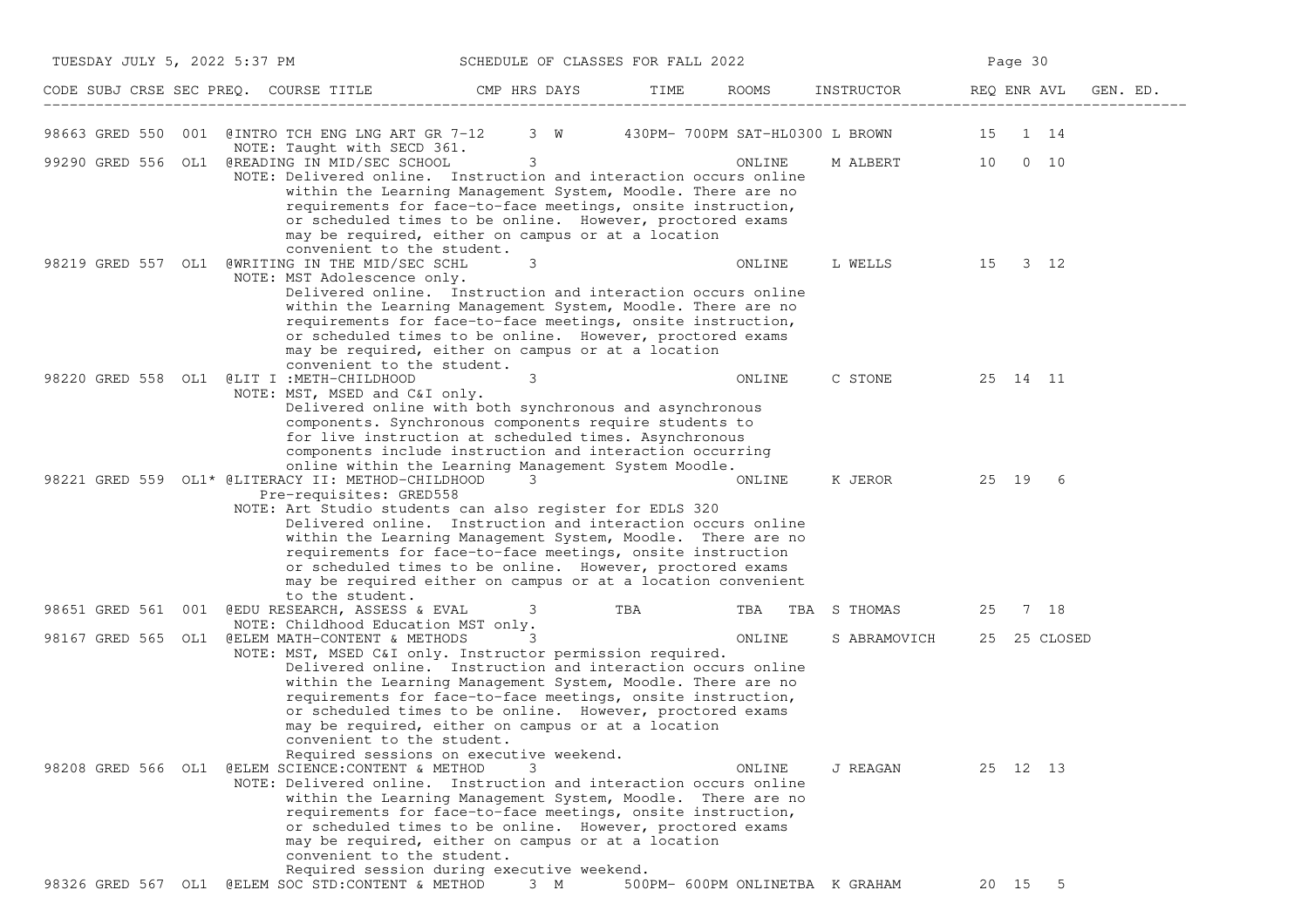| TUESDAY JULY 5, 2022 5:37 PM<br>SCHEDULE OF CLASSES FOR FALL 2022 |                                                                                                                                                      |                                                                                                                                                                                                                                                                                                                       |      |                                 | Page 30          |              |          |
|-------------------------------------------------------------------|------------------------------------------------------------------------------------------------------------------------------------------------------|-----------------------------------------------------------------------------------------------------------------------------------------------------------------------------------------------------------------------------------------------------------------------------------------------------------------------|------|---------------------------------|------------------|--------------|----------|
|                                                                   | CODE SUBJ CRSE SEC PREQ. COURSE TITLE THE CMP HRS DAYS                                                                                               |                                                                                                                                                                                                                                                                                                                       | TIME | ROOMS                           | INSTRUCTOR       | REQ ENR AVL  | GEN. ED. |
|                                                                   | 98663 GRED 550 001 @INTRO TCH ENG LNG ART GR 7-12 3 W 430PM-700PM SAT-HL0300 L BROWN 15 1 14                                                         |                                                                                                                                                                                                                                                                                                                       |      |                                 |                  |              |          |
|                                                                   | NOTE: Taught with SECD 361.<br>99290 GRED 556 OL1 @READING IN MID/SEC SCHOOL<br>NOTE: Delivered online. Instruction and interaction occurs online    | $\overline{\mathbf{3}}$                                                                                                                                                                                                                                                                                               |      | ONLINE                          | M ALBERT 10 0 10 |              |          |
|                                                                   | convenient to the student.                                                                                                                           | within the Learning Management System, Moodle. There are no<br>requirements for face-to-face meetings, onsite instruction,<br>or scheduled times to be online. However, proctored exams<br>may be required, either on campus or at a location                                                                         |      |                                 |                  |              |          |
|                                                                   | 98219 GRED 557 OL1 @WRITING IN THE MID/SEC SCHL<br>NOTE: MST Adolescence only.                                                                       | 3                                                                                                                                                                                                                                                                                                                     |      | ONLINE                          | L WELLS 15 3 12  |              |          |
|                                                                   | convenient to the student.                                                                                                                           | Delivered online. Instruction and interaction occurs online<br>within the Learning Management System, Moodle. There are no<br>requirements for face-to-face meetings, onsite instruction,<br>or scheduled times to be online. However, proctored exams<br>may be required, either on campus or at a location          |      |                                 |                  |              |          |
|                                                                   | 98220 GRED 558 OL1 @LIT I:METH-CHILDHOOD<br>NOTE: MST, MSED and C&I only.                                                                            | 3                                                                                                                                                                                                                                                                                                                     |      | ONLINE                          | C STONE          | 25 14 11     |          |
|                                                                   |                                                                                                                                                      | Delivered online with both synchronous and asynchronous<br>components. Synchronous components require students to<br>for live instruction at scheduled times. Asynchronous<br>components include instruction and interaction occurring<br>online within the Learning Management System Moodle.                        |      |                                 |                  |              |          |
|                                                                   | 98221 GRED 559 OL1* @LITERACY II: METHOD-CHILDHOOD<br>Pre-requisites: GRED558                                                                        | 3                                                                                                                                                                                                                                                                                                                     |      | ONLINE                          | K JEROR 25 19 6  |              |          |
|                                                                   | NOTE: Art Studio students can also register for EDLS 320<br>to the student.                                                                          | Delivered online. Instruction and interaction occurs online<br>within the Learning Management System, Moodle. There are no<br>requirements for face-to-face meetings, onsite instruction<br>or scheduled times to be online. However, proctored exams<br>may be required either on campus or at a location convenient |      |                                 |                  |              |          |
|                                                                   | 98651 GRED 561 001 @EDU RESEARCH, ASSESS & EVAL 3<br>NOTE: Childhood Education MST only.                                                             |                                                                                                                                                                                                                                                                                                                       | TBA  | TBA                             | TBA S THOMAS     | 25           | 7 18     |
|                                                                   | 98167 GRED 565 OL1 @ELEM MATH-CONTENT & METHODS<br>NOTE: MST, MSED C&I only. Instructor permission required.                                         | 3<br>Delivered online. Instruction and interaction occurs online                                                                                                                                                                                                                                                      |      | ONLINE                          | S ABRAMOVICH     | 25 25 CLOSED |          |
|                                                                   | convenient to the student.                                                                                                                           | within the Learning Management System, Moodle. There are no<br>requirements for face-to-face meetings, onsite instruction,<br>or scheduled times to be online. However, proctored exams<br>may be required, either on campus or at a location<br>Required sessions on executive weekend.                              |      |                                 |                  |              |          |
|                                                                   | 98208 GRED 566 OL1 @ELEM SCIENCE:CONTENT & METHOD<br>NOTE: Delivered online. Instruction and interaction occurs online<br>convenient to the student. | 3<br>within the Learning Management System, Moodle. There are no<br>requirements for face-to-face meetings, onsite instruction,<br>or scheduled times to be online. However, proctored exams<br>may be required, either on campus or at a location                                                                    |      | ONLINE                          | J REAGAN         | 25 12 13     |          |
|                                                                   | 98326 GRED 567 OL1 @ELEM SOC STD: CONTENT & METHOD 3 M                                                                                               | Required session during executive weekend.                                                                                                                                                                                                                                                                            |      | 500PM- 600PM ONLINETBA K GRAHAM |                  | 20 15 5      |          |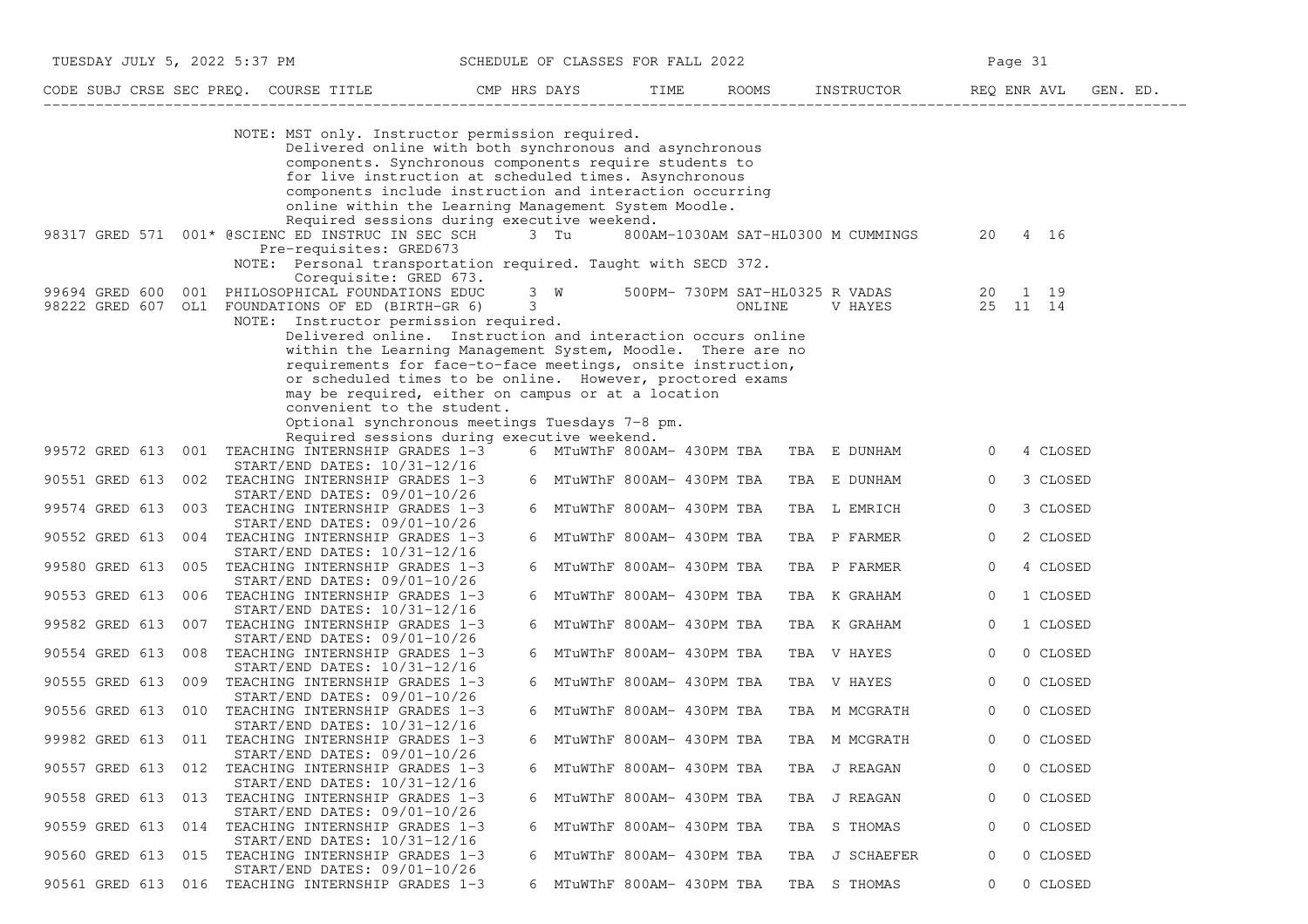| TUESDAY JULY 5, 2022 5:37 PM |                                                                                                                                                                                                                                                                                                                                                                                                                                                                                                                         |             | SCHEDULE OF CLASSES FOR FALL 2022 |        |                                                | Page 31     |          |
|------------------------------|-------------------------------------------------------------------------------------------------------------------------------------------------------------------------------------------------------------------------------------------------------------------------------------------------------------------------------------------------------------------------------------------------------------------------------------------------------------------------------------------------------------------------|-------------|-----------------------------------|--------|------------------------------------------------|-------------|----------|
|                              |                                                                                                                                                                                                                                                                                                                                                                                                                                                                                                                         |             |                                   |        |                                                |             |          |
|                              | NOTE: MST only. Instructor permission required.<br>Delivered online with both synchronous and asynchronous<br>components. Synchronous components require students to<br>for live instruction at scheduled times. Asynchronous<br>components include instruction and interaction occurring<br>online within the Learning Management System Moodle.<br>Required sessions during executive weekend.                                                                                                                        |             |                                   |        |                                                |             |          |
|                              | 98317 GRED 571 001* @SCIENC ED INSTRUC IN SEC SCH 3 Tu 800AM-1030AM SAT-HL0300 M CUMMINGS<br>Pre-requisites: GRED673<br>NOTE: Personal transportation required. Taught with SECD 372.                                                                                                                                                                                                                                                                                                                                   |             |                                   |        |                                                | 20 4 16     |          |
|                              | Corequisite: GRED 673.<br>99694 GRED 600 001 PHILOSOPHICAL FOUNDATIONS EDUC<br>98222 GRED 607 OL1 FOUNDATIONS OF ED (BIRTH-GR 6)<br>NOTE: Instructor permission required.<br>Delivered online. Instruction and interaction occurs online<br>within the Learning Management System, Moodle. There are no<br>requirements for face-to-face meetings, onsite instruction,<br>or scheduled times to be online. However, proctored exams<br>may be required, either on campus or at a location<br>convenient to the student. | $3^{\circ}$ |                                   | ONLINE | 3 W 500PM- 730PM SAT-HL0325 R VADAS<br>V HAYES |             |          |
|                              | Optional synchronous meetings Tuesdays 7-8 pm.<br>Required sessions during executive weekend.<br>99572 GRED 613 001 TEACHING INTERNSHIP GRADES 1-3<br>$START/END$ DATES: $10/31-12/16$                                                                                                                                                                                                                                                                                                                                  |             |                                   |        | 6 MTuWThF 800AM- 430PM TBA TBA E DUNHAM        | $\circ$     | 4 CLOSED |
| 90551 GRED 613               | 002 TEACHING INTERNSHIP GRADES 1-3<br>START/END DATES: 09/01-10/26                                                                                                                                                                                                                                                                                                                                                                                                                                                      |             | 6 MTuWThF 800AM- 430PM TBA        |        | TBA E DUNHAM                                   | 0           | 3 CLOSED |
| 99574 GRED 613               | 003 TEACHING INTERNSHIP GRADES 1-3                                                                                                                                                                                                                                                                                                                                                                                                                                                                                      |             | 6 MTuWThF 800AM- 430PM TBA        |        | TBA L EMRICH                                   | $\mathbf 0$ | 3 CLOSED |
| 90552 GRED 613               | START/END DATES: 09/01-10/26<br>004 TEACHING INTERNSHIP GRADES 1-3                                                                                                                                                                                                                                                                                                                                                                                                                                                      |             | 6 MTuWThF 800AM- 430PM TBA        |        | TBA P FARMER                                   | 0           | 2 CLOSED |
|                              | START/END DATES: 10/31-12/16<br>99580 GRED 613 005 TEACHING INTERNSHIP GRADES 1-3                                                                                                                                                                                                                                                                                                                                                                                                                                       |             | 6 MTuWThF 800AM- 430PM TBA        |        | TBA P FARMER                                   | 0           | 4 CLOSED |
| 90553 GRED 613               | $START/END$ DATES: $09/01-10/26$<br>006 TEACHING INTERNSHIP GRADES 1-3                                                                                                                                                                                                                                                                                                                                                                                                                                                  |             | 6 MTuWThF 800AM- 430PM TBA        |        | TBA K GRAHAM                                   | 0           | 1 CLOSED |
| 99582 GRED 613               | START/END DATES: 10/31-12/16<br>007 TEACHING INTERNSHIP GRADES 1-3                                                                                                                                                                                                                                                                                                                                                                                                                                                      |             | 6 MTuWThF 800AM- 430PM TBA        |        | TBA K GRAHAM                                   | $\circ$     | 1 CLOSED |
| 90554 GRED 613               | $START/END$ DATES: $09/01-10/26$<br>008 TEACHING INTERNSHIP GRADES 1-3                                                                                                                                                                                                                                                                                                                                                                                                                                                  |             | 6 MTuWThF 800AM- 430PM TBA        |        | TBA V HAYES                                    | $\circ$     | 0 CLOSED |
| 90555 GRED 613               | START/END DATES: 10/31-12/16<br>009 TEACHING INTERNSHIP GRADES 1-3                                                                                                                                                                                                                                                                                                                                                                                                                                                      |             | 6 MTuWThF 800AM- 430PM TBA        |        | TBA V HAYES                                    | $\circ$     | 0 CLOSED |
|                              | START/END DATES: 09/01-10/26<br>90556 GRED 613 010 TEACHING INTERNSHIP GRADES 1-3                                                                                                                                                                                                                                                                                                                                                                                                                                       |             | 6 MTuWThF 800AM- 430PM TBA        |        | TBA M MCGRATH                                  | 0           | 0 CLOSED |
|                              | START/END DATES: 10/31-12/16<br>99982 GRED 613 011 TEACHING INTERNSHIP GRADES 1-3                                                                                                                                                                                                                                                                                                                                                                                                                                       |             | 6 MTuWThF 800AM- 430PM TBA        |        | TBA M MCGRATH                                  | 0           | 0 CLOSED |
|                              | START/END DATES: 09/01-10/26<br>90557 GRED 613 012 TEACHING INTERNSHIP GRADES 1-3                                                                                                                                                                                                                                                                                                                                                                                                                                       |             | 6 MTuWThF 800AM- 430PM TBA        |        | TBA J REAGAN                                   |             | 0 CLOSED |
|                              | START/END DATES: 10/31-12/16<br>90558 GRED 613 013 TEACHING INTERNSHIP GRADES 1-3                                                                                                                                                                                                                                                                                                                                                                                                                                       |             | 6 MTuWThF 800AM- 430PM TBA        |        | TBA J REAGAN                                   | 0           | 0 CLOSED |
|                              | START/END DATES: 09/01-10/26<br>90559 GRED 613 014 TEACHING INTERNSHIP GRADES 1-3                                                                                                                                                                                                                                                                                                                                                                                                                                       |             | 6 MTuWThF 800AM- 430PM TBA        |        | TBA S THOMAS                                   | 0           | 0 CLOSED |
|                              | START/END DATES: 10/31-12/16<br>90560 GRED 613 015 TEACHING INTERNSHIP GRADES 1-3                                                                                                                                                                                                                                                                                                                                                                                                                                       |             | 6 MTuWThF 800AM- 430PM TBA        |        | TBA J SCHAEFER                                 | 0           | 0 CLOSED |
|                              | START/END DATES: 09/01-10/26<br>90561 GRED 613 016 TEACHING INTERNSHIP GRADES 1-3                                                                                                                                                                                                                                                                                                                                                                                                                                       |             | 6 MTuWThF 800AM- 430PM TBA        |        | TBA S THOMAS                                   | 0           | 0 CLOSED |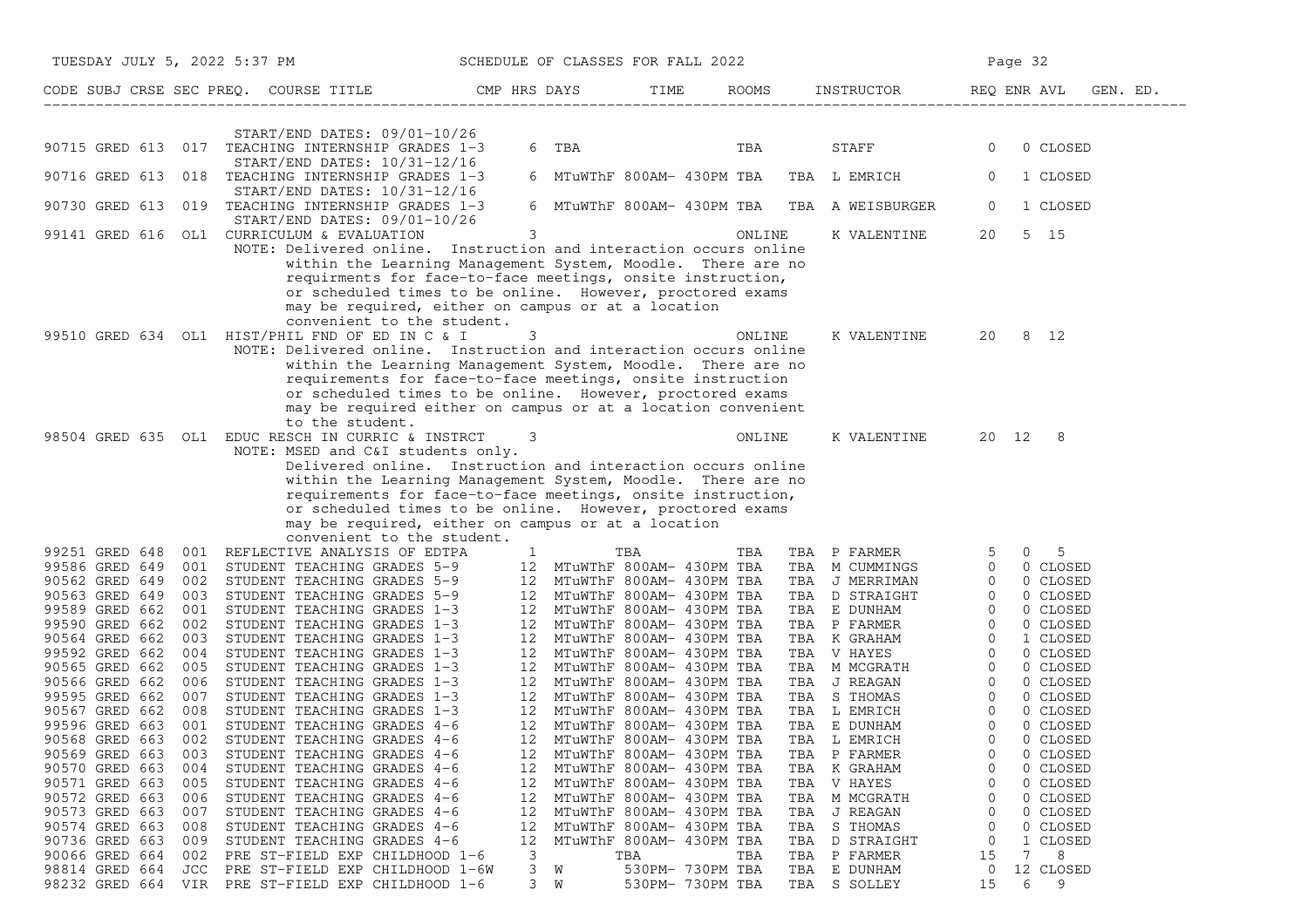| TUESDAY JULY 5, 2022 5:37 PM                                                                                                                                                                  |                                                                                                                                                                                                                                                                                                                                                                                                        | SCHEDULE OF CLASSES FOR FALL 2022           |                                                                                                                                                                                                  |                                                                                                                                                                                                                                                | Page 32                                                                                                        |
|-----------------------------------------------------------------------------------------------------------------------------------------------------------------------------------------------|--------------------------------------------------------------------------------------------------------------------------------------------------------------------------------------------------------------------------------------------------------------------------------------------------------------------------------------------------------------------------------------------------------|---------------------------------------------|--------------------------------------------------------------------------------------------------------------------------------------------------------------------------------------------------|------------------------------------------------------------------------------------------------------------------------------------------------------------------------------------------------------------------------------------------------|----------------------------------------------------------------------------------------------------------------|
|                                                                                                                                                                                               | CODE SUBJ CRSE SEC PREQ. COURSE TITLE TO THE ROOMS SOOMS INSTRUCTOR THE ROOMS ENRAVL GEN. ED.                                                                                                                                                                                                                                                                                                          |                                             |                                                                                                                                                                                                  |                                                                                                                                                                                                                                                |                                                                                                                |
|                                                                                                                                                                                               |                                                                                                                                                                                                                                                                                                                                                                                                        |                                             |                                                                                                                                                                                                  |                                                                                                                                                                                                                                                |                                                                                                                |
|                                                                                                                                                                                               | START/END DATES: 09/01-10/26<br>90715 GRED 613 017 TEACHING INTERNSHIP GRADES 1-3<br>START/END DATES: 10/31-12/16                                                                                                                                                                                                                                                                                      |                                             | 6 TBA DEL CONTENTINO DE LA CONSTITUCIÓN DE LA CONSTITUCIÓN DE LA CONSTITUCIÓN DE LA CONSTITUCIÓN DE LA CONSTIT<br>TBA                                                                            | <b>STAFF</b>                                                                                                                                                                                                                                   | 0 CLOSED<br>$\overline{0}$                                                                                     |
|                                                                                                                                                                                               | 90716 GRED 613 018 TEACHING INTERNSHIP GRADES 1-3<br>$START/END$ DATES: $10/31-12/16$                                                                                                                                                                                                                                                                                                                  |                                             | 6 MTuWThF 800AM- 430PM TBA TBA L EMRICH                                                                                                                                                          |                                                                                                                                                                                                                                                | $\overline{0}$<br>1 CLOSED                                                                                     |
|                                                                                                                                                                                               | 90730 GRED 613 019 TEACHING INTERNSHIP GRADES 1-3<br>START/END DATES: 09/01-10/26                                                                                                                                                                                                                                                                                                                      |                                             |                                                                                                                                                                                                  | 6 MTuWThF 800AM- 430PM TBA TBA A WEISBURGER                                                                                                                                                                                                    | 1 CLOSED<br>$\overline{0}$                                                                                     |
|                                                                                                                                                                                               | 99141 GRED 616 OL1 CURRICULUM & EVALUATION<br>NOTE: Delivered online. Instruction and interaction occurs online<br>within the Learning Management System, Moodle. There are no<br>requirments for face-to-face meetings, onsite instruction,<br>or scheduled times to be online. However, proctored exams<br>may be required, either on campus or at a location<br>convenient to the student.          | 3                                           | ONLINE                                                                                                                                                                                           | K VALENTINE                                                                                                                                                                                                                                    | 5 15<br>20                                                                                                     |
|                                                                                                                                                                                               | 99510 GRED 634 OL1 HIST/PHIL FND OF ED IN C & I<br>NOTE: Delivered online. Instruction and interaction occurs online<br>within the Learning Management System, Moodle. There are no<br>requirements for face-to-face meetings, onsite instruction<br>or scheduled times to be online. However, proctored exams<br>may be required either on campus or at a location convenient<br>to the student.      | 3                                           | ONLINE                                                                                                                                                                                           |                                                                                                                                                                                                                                                | K VALENTINE 20 8 12                                                                                            |
|                                                                                                                                                                                               | 98504 GRED 635 OL1 EDUC RESCH IN CURRIC & INSTRCT<br>NOTE: MSED and C&I students only.<br>Delivered online. Instruction and interaction occurs online<br>within the Learning Management System, Moodle. There are no<br>requirements for face-to-face meetings, onsite instruction,<br>or scheduled times to be online. However, proctored exams<br>may be required, either on campus or at a location | 3                                           | ONLINE                                                                                                                                                                                           |                                                                                                                                                                                                                                                | K VALENTINE 20 12 8                                                                                            |
|                                                                                                                                                                                               | convenient to the student.<br>99251 GRED 648 001 REFLECTIVE ANALYSIS OF EDTPA 1 TBA TBA TBA TBA 1<br>99586 GRED 649 001 STUDENT TEACHING GRADES 5-9 12 MTuWThF 800AM-430PM TBA                                                                                                                                                                                                                         |                                             |                                                                                                                                                                                                  | TBA P FARMER 5 0 5<br>TBA M CUMMINGS 0 0 CLOSED                                                                                                                                                                                                |                                                                                                                |
| 90562 GRED 649<br>90563 GRED 649 003<br>99589 GRED 662<br>99590 GRED 662<br>002<br>90564 GRED 662<br>003<br>99592 GRED 662<br>004                                                             | 002 STUDENT TEACHING GRADES 5-9<br>003 STUDENT TEACHING GRADES 5-9<br>12 MTuWThF 800AM- 430PM TBA<br>001 STUDENT TEACHING GRADES 5-9<br>12 MTuWThF 800AM- 430PM TBA<br>001 STUDENT TEACHING GRADES 1-3<br>12 MTuWThF 800AM- 430PM TBA<br>STUDENT TEACHING GRADES 1-3<br>STUDENT TEACHING GRADES 1-3<br>STUDENT TEACHING GRADES 1-3                                                                     |                                             | 12 MTuWThF 800AM- 430PM TBA<br>12 MTuWThF 800AM- 430PM TBA<br>12 MTuWThF 800AM- 430PM TBA                                                                                                        | TBA M CUMMINGS 0 0 CLOSED<br>TBA J MERRIMAN 0 0 CLOSED<br>TBA D STRAIGHT 0 0 CLOSED<br>TBA E DUNHAM 0 0 CLOSED<br>TBA P FARMER 0 0 CLOSED<br>TBA V HAYES 0 0 CLOSED<br>TBA V MCGRATH 0 0 CLOSED<br>TBA J REAGAN 0 0 CLOSED<br>TBA J REAGAN 0 0 |                                                                                                                |
| 90568 GRED 663                                                                                                                                                                                | 90565 GRED 662 005 STUDENT TEACHING GRADES 1-3<br>90566 GRED 662 006 STUDENT TEACHING GRADES 1-3 12 MTUWThF 800AM- 430PM TBA<br>99595 GRED 662 007 STUDENT TEACHING GRADES 1-3 12 MTUWThF 800AM- 430PM TBA<br>90567 GRED 662 008 STUDEN<br>002 STUDENT TEACHING GRADES 4-6                                                                                                                             |                                             | 12 MTuWThF 800AM- 430PM TBA                                                                                                                                                                      | TBA L EMRICH                                                                                                                                                                                                                                   | $\Omega$<br>0 CLOSED                                                                                           |
| 90569 GRED 663<br>003<br>90570 GRED 663<br>004<br>90571 GRED 663<br>005<br>90572 GRED 663<br>006<br>90573 GRED 663<br>007<br>90574 GRED 663<br>008<br>90736 GRED 663<br>009<br>90066 GRED 664 | STUDENT TEACHING GRADES 4-6<br>STUDENT TEACHING GRADES 4-6<br>STUDENT TEACHING GRADES 4-6<br>STUDENT TEACHING GRADES 4-6<br>STUDENT TEACHING GRADES 4-6<br>STUDENT TEACHING GRADES 4-6<br>STUDENT TEACHING GRADES 4-6                                                                                                                                                                                  | 12<br>12<br>12<br>12<br>12<br>12<br>12<br>3 | MTuWThF 800AM- 430PM TBA<br>MTuWThF 800AM- 430PM TBA<br>MTuWThF 800AM- 430PM TBA<br>MTuWThF 800AM- 430PM TBA<br>MTuWThF 800AM- 430PM TBA<br>MTuWThF 800AM- 430PM TBA<br>MTuWThF 800AM- 430PM TBA | TBA P FARMER<br>TBA K GRAHAM<br>TBA V HAYES<br>TBA M MCGRATH<br>TBA<br>J REAGAN<br>TBA S THOMAS<br>TBA D STRAIGHT                                                                                                                              | 0 CLOSED<br>0 CLOSED<br>0 CLOSED<br>0<br>0 CLOSED<br>0<br>0 CLOSED<br>0<br>0 CLOSED<br>0<br>1 CLOSED<br>0<br>7 |
| 002<br>98814 GRED 664<br>JCC                                                                                                                                                                  | PRE ST-FIELD EXP CHILDHOOD 1-6<br>PRE ST-FIELD EXP CHILDHOOD 1-6W<br>98232 GRED 664 VIR PRE ST-FIELD EXP CHILDHOOD 1-6                                                                                                                                                                                                                                                                                 | 3<br>W<br>$3 \quad W$                       | TBA<br>TBA<br>530PM- 730PM TBA<br>530PM- 730PM TBA                                                                                                                                               | TBA P FARMER<br>TBA E DUNHAM<br>TBA S SOLLEY                                                                                                                                                                                                   | 15<br>8<br>12 CLOSED<br>0<br>15<br>6<br>$\overline{9}$                                                         |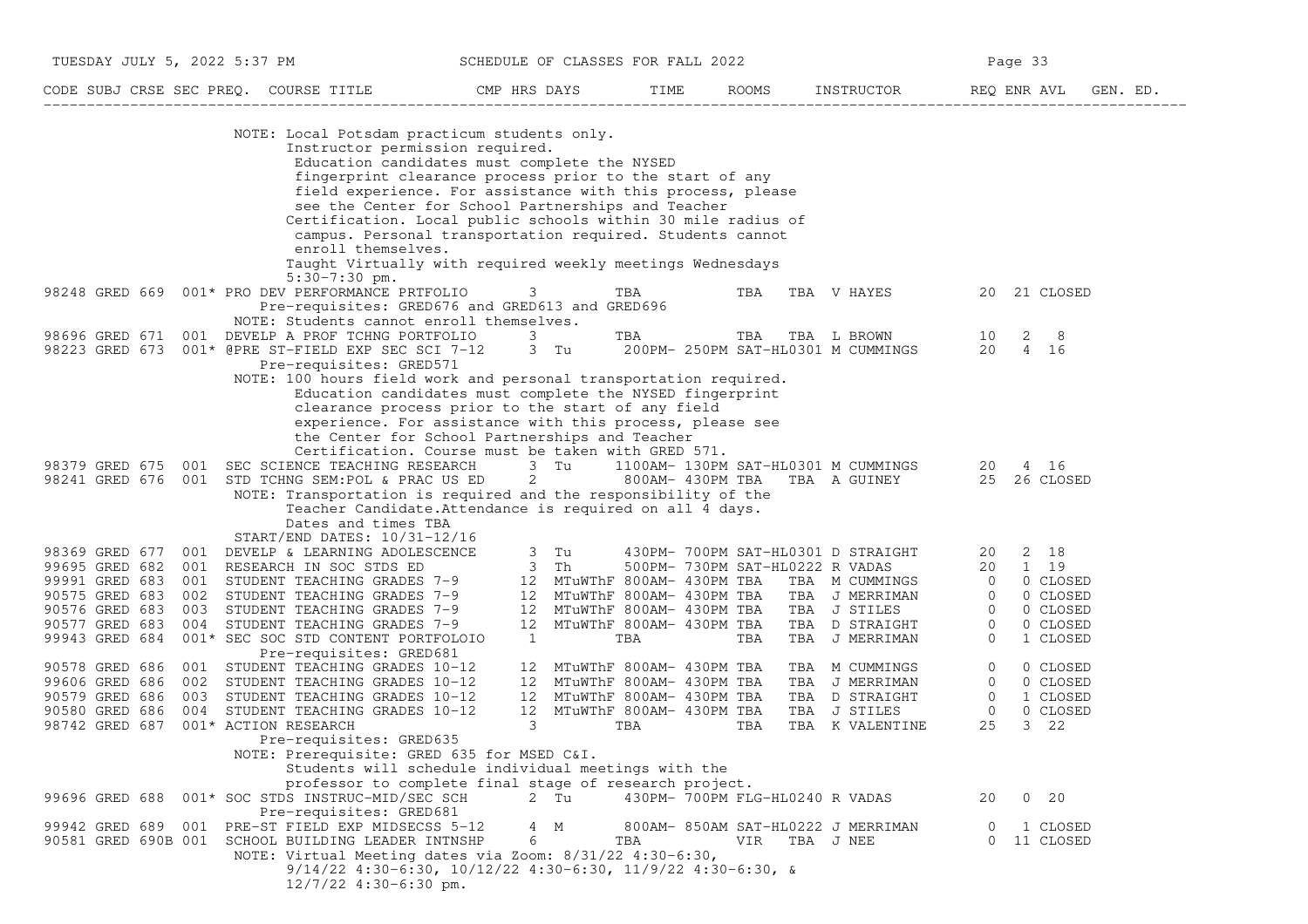| TUESDAY JULY 5, 2022 5:37 PM          | SCHEDULE OF CLASSES FOR FALL 2022 |      |              |            | Page 33     |          |
|---------------------------------------|-----------------------------------|------|--------------|------------|-------------|----------|
| CODE SUBJ CRSE SEC PREO. COURSE TITLE | CMP HRS DAYS                      | TIME | <b>ROOMS</b> | INSTRUCTOR | REO ENR AVL | GEN. ED. |

| NOTE: Local Potsdam practicum students only.                                                                                                                                         |                                          |
|--------------------------------------------------------------------------------------------------------------------------------------------------------------------------------------|------------------------------------------|
| Instructor permission required.                                                                                                                                                      |                                          |
| Education candidates must complete the NYSED                                                                                                                                         |                                          |
| fingerprint clearance process prior to the start of any                                                                                                                              |                                          |
| field experience. For assistance with this process, please                                                                                                                           |                                          |
| see the Center for School Partnerships and Teacher                                                                                                                                   |                                          |
| Certification. Local public schools within 30 mile radius of<br>campus. Personal transportation required. Students cannot                                                            |                                          |
| enroll themselves.                                                                                                                                                                   |                                          |
| Taught Virtually with required weekly meetings Wednesdays                                                                                                                            |                                          |
| $5:30-7:30$ pm.                                                                                                                                                                      |                                          |
| 001* PRO DEV PERFORMANCE PRTFOLIO<br>98248 GRED 669<br>3<br>TBA<br>TBA<br>TBA V HAYES                                                                                                | 21 CLOSED<br>20                          |
| Pre-requisites: GRED676 and GRED613 and GRED696                                                                                                                                      |                                          |
| NOTE: Students cannot enroll themselves.                                                                                                                                             |                                          |
| 001 DEVELP A PROF TCHNG PORTFOLIO<br>98696 GRED 671<br>3<br>TBA<br>TBA<br>TBA L BROWN                                                                                                | 2<br>8<br>10                             |
| 98223 GRED 673<br>001* @PRE ST-FIELD EXP SEC SCI 7-12<br>3 Tu<br>200PM- 250PM SAT-HL0301 M CUMMINGS                                                                                  | 20<br>4 16                               |
| Pre-requisites: GRED571                                                                                                                                                              |                                          |
| NOTE: 100 hours field work and personal transportation required.<br>Education candidates must complete the NYSED fingerprint                                                         |                                          |
| clearance process prior to the start of any field                                                                                                                                    |                                          |
| experience. For assistance with this process, please see                                                                                                                             |                                          |
| the Center for School Partnerships and Teacher                                                                                                                                       |                                          |
| Certification. Course must be taken with GRED 571.                                                                                                                                   |                                          |
| 98379 GRED 675<br>001<br>SEC SCIENCE TEACHING RESEARCH<br>3 Tu<br>1100AM- 130PM SAT-HL0301 M CUMMINGS                                                                                | 20<br>4 16                               |
| 98241 GRED 676<br>001<br>STD TCHNG SEM: POL & PRAC US ED<br>2<br>800AM- 430PM TBA<br>TBA A GUINEY                                                                                    | 25<br>26 CLOSED                          |
| NOTE: Transportation is required and the responsibility of the                                                                                                                       |                                          |
| Teacher Candidate. Attendance is required on all 4 days.                                                                                                                             |                                          |
| Dates and times TBA                                                                                                                                                                  |                                          |
| START/END DATES: 10/31-12/16<br>3<br>98369 GRED 677<br>430PM- 700PM SAT-HL0301 D STRAIGHT<br>001<br>DEVELP & LEARNING ADOLESCENCE<br>Tu                                              | 2 18<br>20                               |
| 99695 GRED 682<br>001 RESEARCH IN SOC STDS ED<br>3<br>Th<br>500PM- 730PM SAT-HL0222 R VADAS                                                                                          | 1 19<br>20                               |
| 99991 GRED 683<br>001<br>12<br>MTuWThF 800AM- 430PM TBA<br>STUDENT TEACHING GRADES 7-9<br>TBA M CUMMINGS                                                                             | $\circ$<br>0 CLOSED                      |
| 90575 GRED 683<br>002<br>STUDENT TEACHING GRADES 7-9<br>12<br>MTuWThF 800AM- 430PM TBA<br>TBA J MERRIMAN                                                                             | 0 CLOSED<br>$\Omega$                     |
| 90576 GRED 683<br>003<br>12 <sup>°</sup><br>STUDENT TEACHING GRADES 7-9<br>MTuWThF 800AM- 430PM TBA<br>TBA J STILES                                                                  | $\mathbf{0}$<br>0 CLOSED                 |
| 90577 GRED 683<br>004 STUDENT TEACHING GRADES 7-9<br>MTuWThF 800AM- 430PM TBA<br>12<br>TBA<br>D STRAIGHT                                                                             | $\mathbf{0}$<br>0 CLOSED                 |
| 99943 GRED 684<br>001* SEC SOC STD CONTENT PORTFOLOIO<br>1<br>TBA<br>TBA<br>TBA<br>J MERRIMAN                                                                                        | $\Omega$<br>1 CLOSED                     |
| Pre-requisites: GRED681                                                                                                                                                              |                                          |
| 90578 GRED 686<br>001<br>STUDENT TEACHING GRADES 10-12<br>MTuWThF 800AM- 430PM TBA<br>12<br>M CUMMINGS<br>TBA                                                                        | $\mathbf 0$<br>0 CLOSED                  |
| 99606 GRED 686<br>002 STUDENT TEACHING GRADES 10-12<br>MTuWThF 800AM- 430PM TBA<br>12<br>TBA J MERRIMAN<br>90579 GRED 686<br>003<br>12<br>MTuWThF 800AM- 430PM TBA<br>TBA D STRAIGHT | 0<br>0 CLOSED<br>$\mathbf 0$<br>1 CLOSED |
| STUDENT TEACHING GRADES 10-12<br>90580 GRED 686<br>004<br>STUDENT TEACHING GRADES 10-12<br>12<br>MTuWThF 800AM- 430PM TBA<br>TBA J STILES                                            | $\mathbf 0$<br>0 CLOSED                  |
| 98742 GRED 687<br>001* ACTION RESEARCH<br>3<br>TBA<br>TBA<br>TBA K VALENTINE                                                                                                         | 25<br>3 22                               |
| Pre-requisites: GRED635                                                                                                                                                              |                                          |
| NOTE: Prerequisite: GRED 635 for MSED C&I.                                                                                                                                           |                                          |
| Students will schedule individual meetings with the                                                                                                                                  |                                          |
| professor to complete final stage of research project.                                                                                                                               |                                          |
| 99696 GRED 688<br>001* SOC STDS INSTRUC-MID/SEC SCH<br>2 Tu<br>430PM- 700PM FLG-HL0240 R VADAS                                                                                       | $0\quad 20$<br>20                        |
| Pre-requisites: GRED681                                                                                                                                                              |                                          |
| 99942 GRED 689<br>001 PRE-ST FIELD EXP MIDSECSS 5-12<br>4 M<br>800AM- 850AM SAT-HL0222 J MERRIMAN                                                                                    | 1 CLOSED<br>$\overline{0}$               |
| 90581 GRED 690B 001 SCHOOL BUILDING LEADER INTNSHP<br>6<br>TBA<br>VIR TBA J NEE                                                                                                      | 11 CLOSED<br>$\circ$                     |
| NOTE: Virtual Meeting dates via Zoom: 8/31/22 4:30-6:30,<br>$9/14/22$ 4:30-6:30, 10/12/22 4:30-6:30, 11/9/22 4:30-6:30, &                                                            |                                          |
| $12/7/22$ 4:30-6:30 pm.                                                                                                                                                              |                                          |
|                                                                                                                                                                                      |                                          |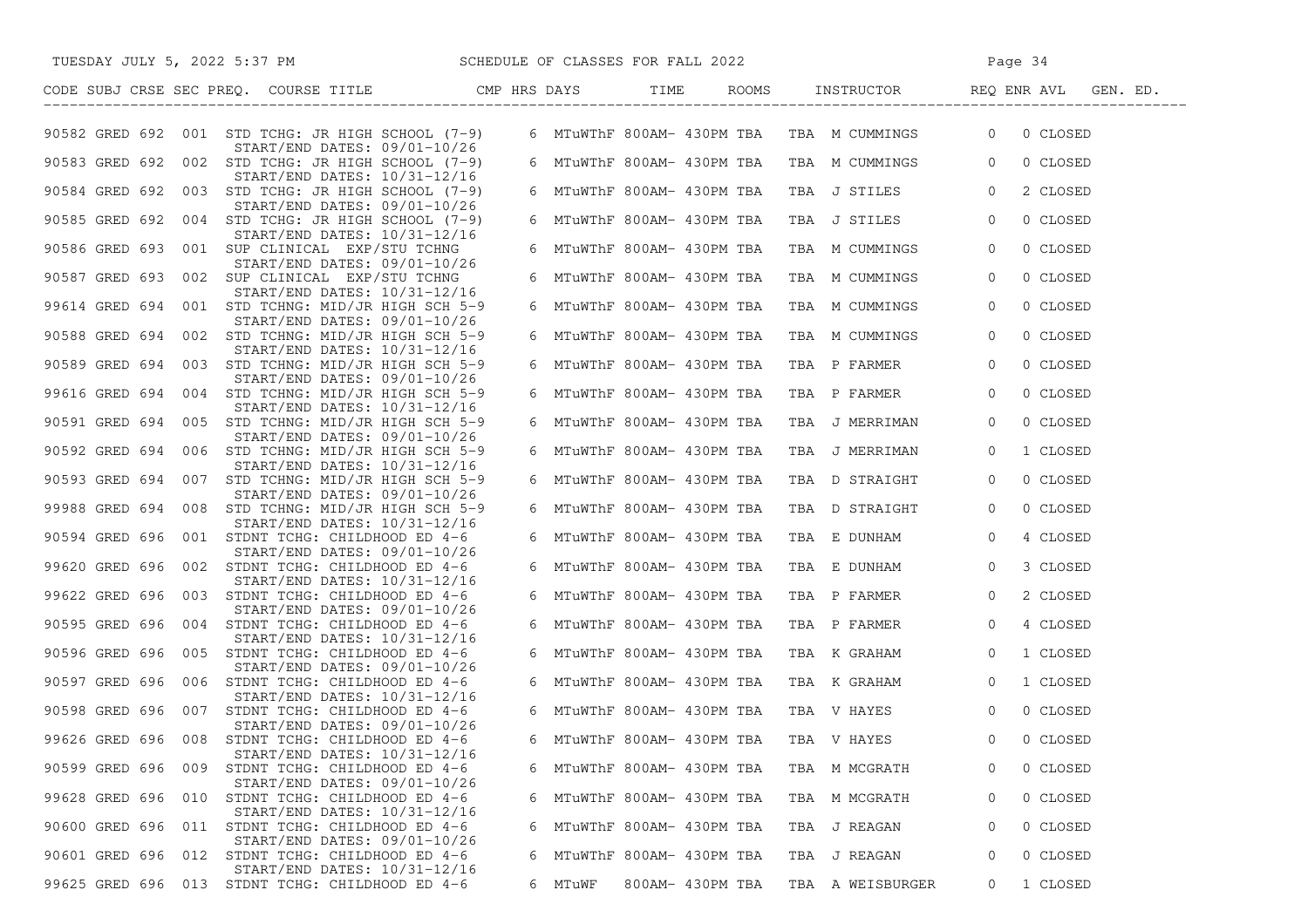| TUESDAY JULY 5, 2022 5:37 PM                                                           | SCHEDULE OF CLASSES FOR FALL 2022 |                            |                                             | Page 34                               |
|----------------------------------------------------------------------------------------|-----------------------------------|----------------------------|---------------------------------------------|---------------------------------------|
| CODE SUBJ CRSE SEC PREQ. COURSE TITLE THE CMP HRS DAYS                                 |                                   | TIME                       |                                             | ROOMS INSTRUCTOR REQ ENR AVL GEN. ED. |
| 90582 GRED 692 001 STD TCHG: JR HIGH SCHOOL (7-9)<br>START/END DATES: 09/01-10/26      |                                   |                            | 6 MTuWThF 800AM- 430PM TBA TBA M CUMMINGS 0 | 0 CLOSED                              |
| 90583 GRED 692 002 STD TCHG: JR HIGH SCHOOL (7-9)                                      |                                   |                            | 6 MTuWThF 800AM- 430PM TBA TBA M CUMMINGS 0 | 0 CLOSED                              |
| START/END DATES: 10/31-12/16<br>90584 GRED 692 003 STD TCHG: JR HIGH SCHOOL (7-9)      |                                   |                            | 6 MTuWThF 800AM- 430PM TBA TBA J STILES     | 2 CLOSED<br>$\overline{0}$            |
| START/END DATES: 09/01-10/26<br>90585 GRED 692 004 STD TCHG: JR HIGH SCHOOL (7-9)      |                                   | 6 MTuWThF 800AM- 430PM TBA | TBA J STILES                                | 0 CLOSED<br>$\overline{0}$            |
| START/END DATES: 10/31-12/16<br>90586 GRED 693 001 SUP CLINICAL EXP/STU TCHNG          |                                   | 6 MTuWThF 800AM- 430PM TBA | TBA M CUMMINGS                              | $\overline{0}$<br>0 CLOSED            |
| START/END DATES: 09/01-10/26<br>90587 GRED 693 002 SUP CLINICAL EXP/STU TCHNG          |                                   | 6 MTuWThF 800AM- 430PM TBA | TBA M CUMMINGS                              | $\circ$<br>0 CLOSED                   |
| $START/END$ DATES: $10/31-12/16$<br>99614 GRED 694 001 STD TCHNG: MID/JR HIGH SCH 5-9  |                                   | 6 MTuWThF 800AM- 430PM TBA | TBA M CUMMINGS                              | 0 CLOSED<br>$\overline{0}$            |
| $START/END$ DATES: $09/01-10/26$<br>90588 GRED 694 002 STD TCHNG: MID/JR HIGH SCH 5-9  |                                   | 6 MTuWThF 800AM- 430PM TBA | TBA M CUMMINGS                              | 0 CLOSED<br>$\overline{0}$            |
| $START/END$ DATES: $10/31-12/16$<br>90589 GRED 694 003 STD TCHNG: MID/JR HIGH SCH 5-9  |                                   | 6 MTuWThF 800AM- 430PM TBA | TBA P FARMER                                | $\overline{0}$<br>0 CLOSED            |
| $START/END$ DATES: $09/01-10/26$                                                       |                                   |                            |                                             |                                       |
| 99616 GRED 694 004 STD TCHNG: MID/JR HIGH SCH 5-9<br>START/END DATES: 10/31-12/16      |                                   | 6 MTuWThF 800AM- 430PM TBA | TBA P FARMER                                | 0 CLOSED<br>$\overline{0}$            |
| 90591 GRED 694 005 STD TCHNG: MID/JR HIGH SCH 5-9<br>$START/END$ DATES: $09/01-10/26$  |                                   | 6 MTuWThF 800AM- 430PM TBA | TBA J MERRIMAN                              | $\overline{0}$<br>0 CLOSED            |
| 90592 GRED 694 006 STD TCHNG: MID/JR HIGH SCH 5-9<br>$START/END$ DATES: $10/31-12/16$  |                                   | 6 MTuWThF 800AM- 430PM TBA | TBA J MERRIMAN                              | 1 CLOSED<br>$\overline{0}$            |
| 90593 GRED 694 007 STD TCHNG: MID/JR HIGH SCH 5-9<br>$START/END$ DATES: $09/01-10/26$  |                                   | 6 MTuWThF 800AM- 430PM TBA | TBA D STRAIGHT                              | 0 CLOSED<br>$\overline{0}$            |
| 99988 GRED 694 008 STD TCHNG: MID/JR HIGH SCH 5-9<br>START/END DATES: 10/31-12/16      |                                   | 6 MTuWThF 800AM- 430PM TBA | TBA D STRAIGHT                              | $\overline{0}$<br>0 CLOSED            |
| 90594 GRED 696 001 STDNT TCHG: CHILDHOOD ED 4-6<br>$START/END$ DATES: $09/01-10/26$    |                                   | 6 MTuWThF 800AM- 430PM TBA | TBA E DUNHAM                                | $\circ$<br>4 CLOSED                   |
| 99620 GRED 696 002 STDNT TCHG: CHILDHOOD ED 4-6                                        |                                   | 6 MTuWThF 800AM- 430PM TBA | TBA E DUNHAM                                | $\overline{0}$<br>3 CLOSED            |
| $START/END$ DATES: $10/31-12/16$<br>99622 GRED 696 003 STDNT TCHG: CHILDHOOD ED 4-6    |                                   | 6 MTuWThF 800AM- 430PM TBA | TBA P FARMER                                | 2 CLOSED<br>$\overline{0}$            |
| START/END DATES: 09/01-10/26<br>90595 GRED 696 004 STDNT TCHG: CHILDHOOD ED 4-6        |                                   | 6 MTuWThF 800AM- 430PM TBA | TBA P FARMER                                | 4 CLOSED<br>$\circ$                   |
| $START/END$ DATES: $10/31-12/16$<br>90596 GRED 696 005 STDNT TCHG: CHILDHOOD ED 4-6    |                                   | 6 MTuWThF 800AM- 430PM TBA | TBA K GRAHAM                                | $\overline{0}$<br>1 CLOSED            |
| $START/END$ DATES: $09/01-10/26$<br>90597 GRED 696 006 STDNT TCHG: CHILDHOOD ED 4-6    |                                   | 6 MTuWThF 800AM- 430PM TBA | TBA K GRAHAM                                | $\overline{0}$<br>1 CLOSED            |
| START/END DATES: 10/31-12/16<br>90598 GRED 696 007 STDNT TCHG: CHILDHOOD ED 4-6        |                                   | 6 MTuWThF 800AM- 430PM TBA | TBA V HAYES                                 | 0 CLOSED<br>$\overline{0}$            |
| $START/END$ DATES: $09/01-10/26$<br>99626 GRED 696 008 STDNT TCHG: CHILDHOOD ED 4-6    |                                   | 6 MTuWThF 800AM- 430PM TBA | TBA V HAYES                                 | $\overline{0}$<br>0 CLOSED            |
| START/END DATES: 10/31-12/16                                                           |                                   |                            |                                             |                                       |
| 90599 GRED 696 009<br>STDNT TCHG: CHILDHOOD ED 4-6<br>$START/END$ DATES: $09/01-10/26$ |                                   | 6 MTuWThF 800AM- 430PM TBA | TBA M MCGRATH                               | 0 CLOSED                              |
| 99628 GRED 696 010 STDNT TCHG: CHILDHOOD ED 4-6<br>START/END DATES: 10/31-12/16        |                                   | 6 MTuWThF 800AM- 430PM TBA | TBA M MCGRATH                               | 0 CLOSED<br>0                         |
| 90600 GRED 696<br>STDNT TCHG: CHILDHOOD ED 4-6<br>011<br>START/END DATES: 09/01-10/26  |                                   | 6 MTuWThF 800AM- 430PM TBA | TBA J REAGAN                                | 0 CLOSED<br>0                         |
| STDNT TCHG: CHILDHOOD ED 4-6<br>90601 GRED 696 012<br>$START/END$ DATES: $10/31-12/16$ |                                   | 6 MTuWThF 800AM- 430PM TBA | TBA J REAGAN                                | 0<br>0 CLOSED                         |
| 99625 GRED 696<br>013 STDNT TCHG: CHILDHOOD ED 4-6                                     | 6 MTuWF                           | 800AM- 430PM TBA           | TBA A WEISBURGER                            | 1 CLOSED<br>$\circ$                   |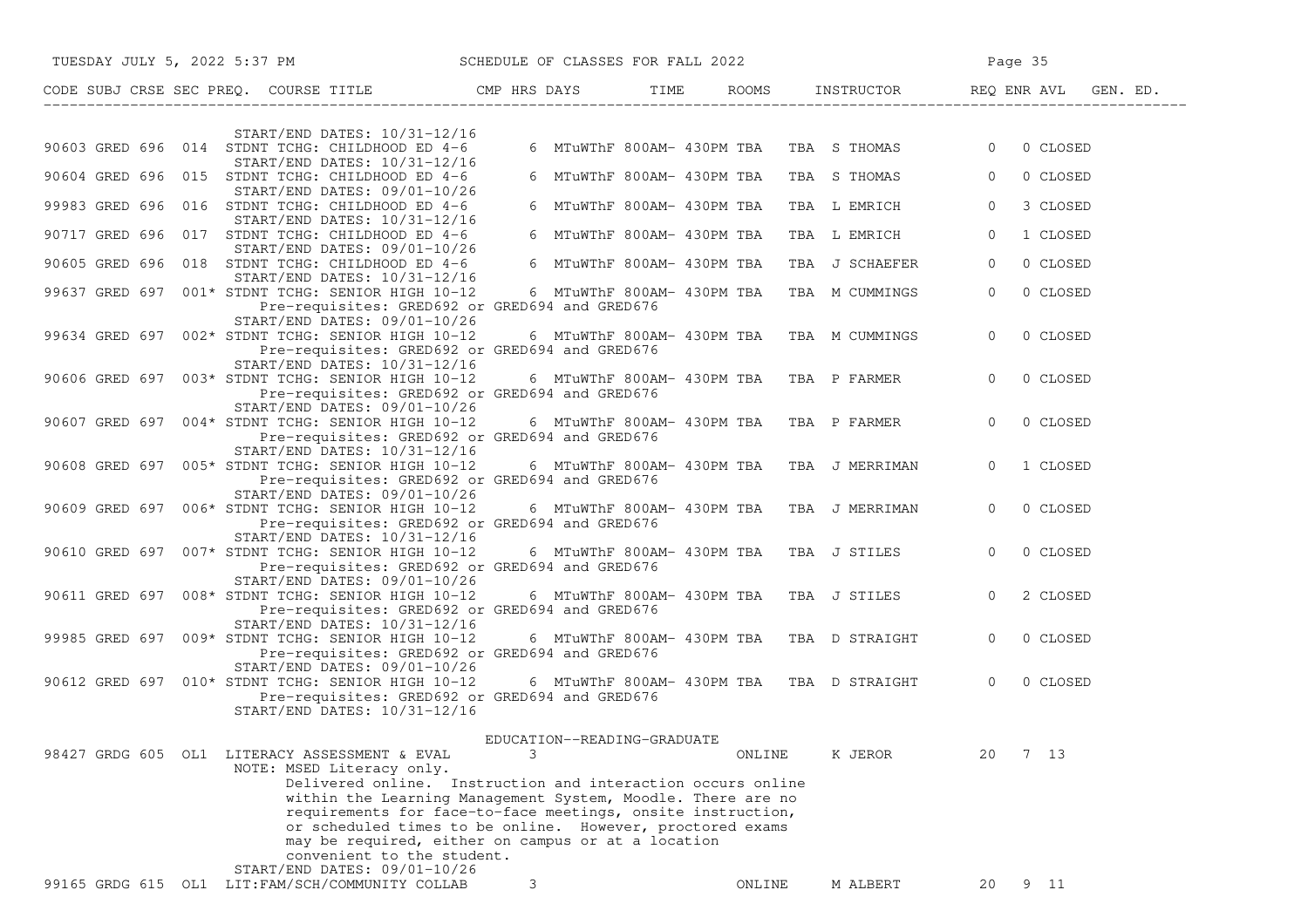| TUESDAY JULY 5, 2022 5:37 PM                                                                                                                                                                                                                                                                                                              | SCHEDULE OF CLASSES FOR FALL 2022 |                            |                                             | Page 35                    |
|-------------------------------------------------------------------------------------------------------------------------------------------------------------------------------------------------------------------------------------------------------------------------------------------------------------------------------------------|-----------------------------------|----------------------------|---------------------------------------------|----------------------------|
| CODE SUBJ CRSE SEC PREQ. COURSE TITLE THE ROOMS INSTRUCTOR THE ROOMS EN REQ ENR AVL GEN. ED.                                                                                                                                                                                                                                              |                                   |                            |                                             |                            |
| $START/END$ DATES: $10/31-12/16$                                                                                                                                                                                                                                                                                                          |                                   |                            |                                             |                            |
| 90603 GRED 696 014 STDNT TCHG: CHILDHOOD ED 4-6<br>START/END DATES: 10/31-12/16                                                                                                                                                                                                                                                           |                                   |                            | 6 MTuWThF 800AM- 430PM TBA TBA S THOMAS 0   | 0 CLOSED                   |
| 90604 GRED 696 015 STDNT TCHG: CHILDHOOD ED 4-6                                                                                                                                                                                                                                                                                           |                                   | 6 MTuWThF 800AM- 430PM TBA | TBA S THOMAS                                | $\circ$<br>0 CLOSED        |
| START/END DATES: 09/01-10/26<br>99983 GRED 696 016 STDNT TCHG: CHILDHOOD ED 4-6                                                                                                                                                                                                                                                           |                                   | 6 MTuWThF 800AM- 430PM TBA | TBA L EMRICH                                | $\circ$<br>3 CLOSED        |
| START/END DATES: 10/31-12/16<br>90717 GRED 696 017 STDNT TCHG: CHILDHOOD ED 4-6                                                                                                                                                                                                                                                           |                                   | 6 MTuWThF 800AM- 430PM TBA | TBA L EMRICH                                | $\circ$<br>1 CLOSED        |
| START/END DATES: 09/01-10/26<br>90605 GRED 696 018 STDNT TCHG: CHILDHOOD ED 4-6                                                                                                                                                                                                                                                           |                                   | 6 MTuWThF 800AM- 430PM TBA | TBA J SCHAEFER                              | 0 CLOSED<br>$\mathbf{0}$   |
| START/END DATES: 10/31-12/16<br>99637 GRED 697 001* STDNT TCHG: SENIOR HIGH 10-12<br>Pre-requisites: GRED692 or GRED694 and GRED676                                                                                                                                                                                                       |                                   |                            | 6 MTuWThF 800AM- 430PM TBA  TBA  M CUMMINGS | $\overline{0}$<br>0 CLOSED |
| START/END DATES: 09/01-10/26<br>99634 GRED 697 002* STDNT TCHG: SENIOR HIGH 10-12<br>Pre-requisites: GRED692 or GRED694 and GRED676                                                                                                                                                                                                       |                                   |                            | 6 MTuWThF 800AM- 430PM TBA TBA M CUMMINGS   | $\overline{0}$<br>0 CLOSED |
| START/END DATES: 10/31-12/16<br>90606 GRED 697 003* STDNT TCHG: SENIOR HIGH 10-12                                                                                                                                                                                                                                                         |                                   |                            | 6 MTuWThF 800AM- 430PM TBA TBA P FARMER     | $\overline{0}$<br>0 CLOSED |
| Pre-requisites: GRED692 or GRED694 and GRED676<br>START/END DATES: 09/01-10/26<br>90607 GRED 697 004* STDNT TCHG: SENIOR HIGH 10-12                                                                                                                                                                                                       |                                   |                            | 6 MTuWThF 800AM- 430PM TBA   TBA  P FARMER  | $\overline{0}$<br>0 CLOSED |
| Pre-requisites: GRED692 or GRED694 and GRED676<br>START/END DATES: 10/31-12/16                                                                                                                                                                                                                                                            |                                   |                            |                                             |                            |
| 90608 GRED 697 005* STDNT TCHG: SENIOR HIGH 10-12<br>Pre-requisites: GRED692 or GRED694 and GRED676                                                                                                                                                                                                                                       |                                   |                            | 6 MTuWThF 800AM- 430PM TBA TBA J MERRIMAN   | $\Omega$<br>1 CLOSED       |
| START/END DATES: 09/01-10/26<br>90609 GRED 697 006* STDNT TCHG: SENIOR HIGH 10-12<br>Pre-requisites: GRED692 or GRED694 and GRED676                                                                                                                                                                                                       |                                   |                            | 6 MTuWThF 800AM- 430PM TBA TBA J MERRIMAN   | 0 CLOSED<br>$\overline{0}$ |
| START/END DATES: 10/31-12/16<br>90610 GRED 697 007* STDNT TCHG: SENIOR HIGH 10-12<br>Pre-requisites: GRED692 or GRED694 and GRED676                                                                                                                                                                                                       |                                   |                            | 6 MTuWThF 800AM- 430PM TBA TBA J STILES     | $\overline{0}$<br>0 CLOSED |
| START/END DATES: 09/01-10/26<br>90611 GRED 697 008* STDNT TCHG: SENIOR HIGH 10-12<br>Pre-requisites: GRED692 or GRED694 and GRED676                                                                                                                                                                                                       |                                   |                            | 6 MTuWThF 800AM- 430PM TBA TBA J STILES     | $\overline{0}$<br>2 CLOSED |
| START/END DATES: 10/31-12/16<br>99985 GRED 697 009* STDNT TCHG: SENIOR HIGH 10-12<br>Pre-requisites: GRED692 or GRED694 and GRED676                                                                                                                                                                                                       |                                   |                            | 6 MTuWThF 800AM- 430PM TBA TBA D STRAIGHT   | $\overline{0}$<br>0 CLOSED |
| $START/END$ DATES: $09/01-10/26$<br>90612 GRED 697 010* STDNT TCHG: SENIOR HIGH 10-12<br>Pre-requisites: GRED692 or GRED694 and GRED676                                                                                                                                                                                                   |                                   |                            | 6 MTuWThF 800AM- 430PM TBA TBA D STRAIGHT   | $\overline{0}$<br>0 CLOSED |
| START/END DATES: 10/31-12/16                                                                                                                                                                                                                                                                                                              |                                   |                            |                                             |                            |
| 98427 GRDG 605 OL1 LITERACY ASSESSMENT & EVAL                                                                                                                                                                                                                                                                                             | EDUCATION--READING-GRADUATE<br>3  | ONLINE                     | K JEROR                                     | 7 <sub>13</sub><br>20      |
| NOTE: MSED Literacy only.<br>Delivered online. Instruction and interaction occurs online<br>within the Learning Management System, Moodle. There are no<br>requirements for face-to-face meetings, onsite instruction,<br>or scheduled times to be online. However, proctored exams<br>may be required, either on campus or at a location |                                   |                            |                                             |                            |
| convenient to the student.<br>START/END DATES: 09/01-10/26                                                                                                                                                                                                                                                                                |                                   |                            |                                             |                            |
| 99165 GRDG 615 OL1 LIT: FAM/SCH/COMMUNITY COLLAB                                                                                                                                                                                                                                                                                          | 3                                 | ONLINE                     | M ALBERT                                    | 9 11<br>20                 |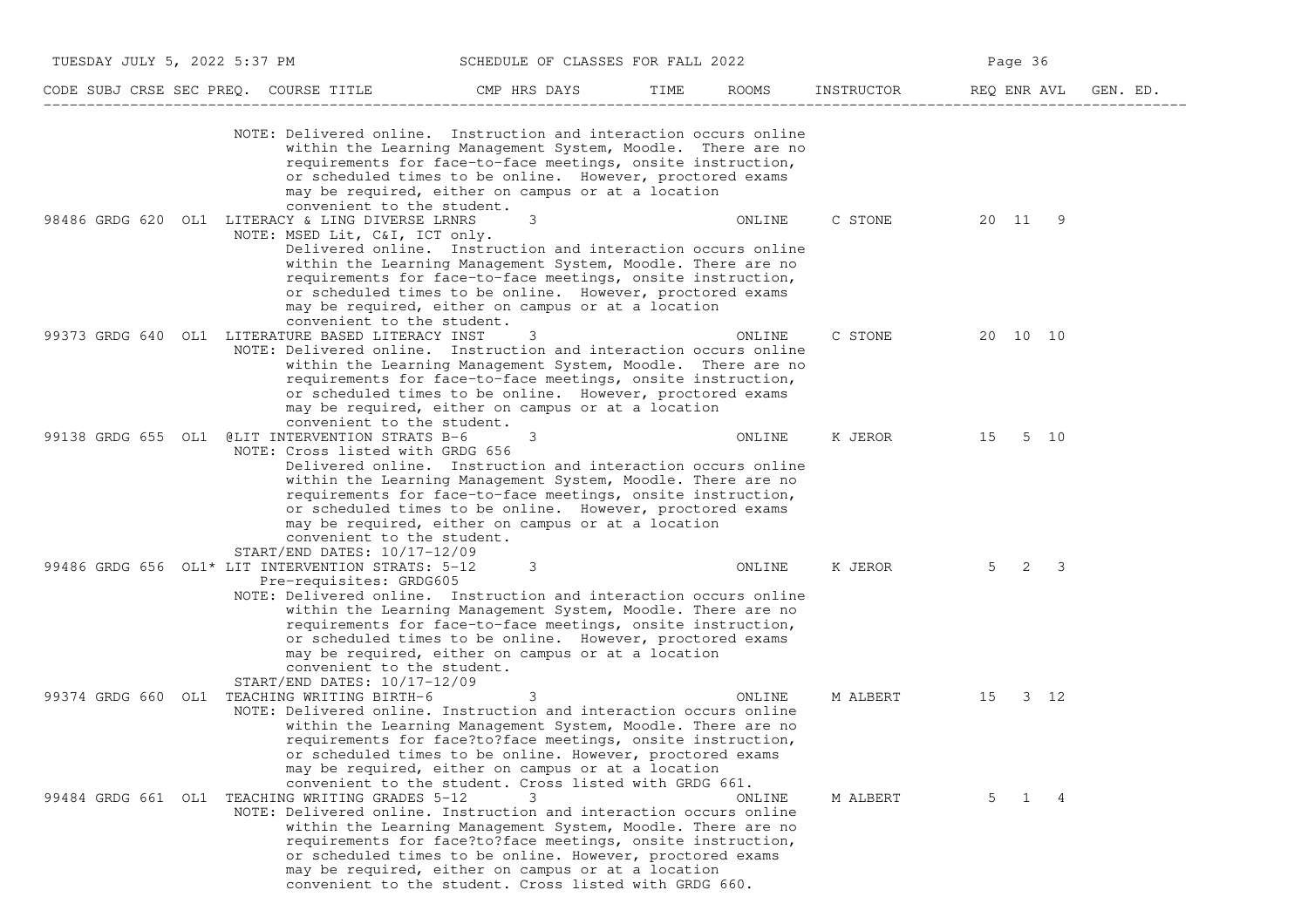| TUESDAY JULY 5, 2022 5:37 PM |                                                                                                                                                                                                                 | SCHEDULE OF CLASSES FOR FALL 2022                                                                                                                                                                                                                                                                                 |      |        | Page 36                |             |          |  |
|------------------------------|-----------------------------------------------------------------------------------------------------------------------------------------------------------------------------------------------------------------|-------------------------------------------------------------------------------------------------------------------------------------------------------------------------------------------------------------------------------------------------------------------------------------------------------------------|------|--------|------------------------|-------------|----------|--|
|                              | CODE SUBJ CRSE SEC PREQ. COURSE TITLE                                                                                                                                                                           | CMP HRS DAYS                                                                                                                                                                                                                                                                                                      | TIME | ROOMS  | INSTRUCTOR REQ ENR AVL |             | GEN. ED. |  |
|                              | NOTE: Delivered online. Instruction and interaction occurs online<br>convenient to the student.                                                                                                                 | within the Learning Management System, Moodle. There are no<br>requirements for face-to-face meetings, onsite instruction,<br>or scheduled times to be online. However, proctored exams<br>may be required, either on campus or at a location                                                                     |      |        |                        |             |          |  |
|                              | 98486 GRDG 620 OL1 LITERACY & LING DIVERSE LRNRS<br>NOTE: MSED Lit, C&I, ICT only.<br>convenient to the student.                                                                                                | 3<br>Delivered online. Instruction and interaction occurs online<br>within the Learning Management System, Moodle. There are no<br>requirements for face-to-face meetings, onsite instruction,<br>or scheduled times to be online. However, proctored exams<br>may be required, either on campus or at a location |      | ONLINE | C STONE                | 20 11 9     |          |  |
|                              | 99373 GRDG 640 OL1 LITERATURE BASED LITERACY INST<br>NOTE: Delivered online. Instruction and interaction occurs online<br>convenient to the student.                                                            | 3<br>within the Learning Management System, Moodle. There are no<br>requirements for face-to-face meetings, onsite instruction,<br>or scheduled times to be online. However, proctored exams<br>may be required, either on campus or at a location                                                                |      | ONLINE | C STONE                | 20 10 10    |          |  |
|                              | 99138 GRDG 655 OL1 @LIT INTERVENTION STRATS B-6<br>NOTE: Cross listed with GRDG 656<br>convenient to the student.<br>START/END DATES: 10/17-12/09                                                               | 3<br>Delivered online. Instruction and interaction occurs online<br>within the Learning Management System, Moodle. There are no<br>requirements for face-to-face meetings, onsite instruction,<br>or scheduled times to be online. However, proctored exams<br>may be required, either on campus or at a location |      | ONLINE | K JEROR                | 15 5 10     |          |  |
|                              | 99486 GRDG 656 OL1* LIT INTERVENTION STRATS: 5-12<br>Pre-requisites: GRDG605<br>NOTE: Delivered online. Instruction and interaction occurs online<br>convenient to the student.<br>START/END DATES: 10/17-12/09 | 3<br>within the Learning Management System, Moodle. There are no<br>requirements for face-to-face meetings, onsite instruction,<br>or scheduled times to be online. However, proctored exams<br>may be required, either on campus or at a location                                                                |      | ONLINE | K JEROR                | $5 \t2 \t3$ |          |  |
|                              | 99374 GRDG 660 OL1 TEACHING WRITING BIRTH-6<br>NOTE: Delivered online. Instruction and interaction occurs online                                                                                                | 3<br>within the Learning Management System, Moodle. There are no<br>requirements for face?to?face meetings, onsite instruction,<br>or scheduled times to be online. However, proctored exams<br>may be required, either on campus or at a location<br>convenient to the student. Cross listed with GRDG 661.      |      | ONLINE | M ALBERT               | 15 3 12     |          |  |
|                              | 99484 GRDG 661 OL1 TEACHING WRITING GRADES 5-12<br>NOTE: Delivered online. Instruction and interaction occurs online                                                                                            | 3<br>within the Learning Management System, Moodle. There are no<br>requirements for face?to?face meetings, onsite instruction,<br>or scheduled times to be online. However, proctored exams<br>may be required, either on campus or at a location<br>convenient to the student. Cross listed with GRDG 660.      |      | ONLINE | M ALBERT               | 5<br>1      | 4        |  |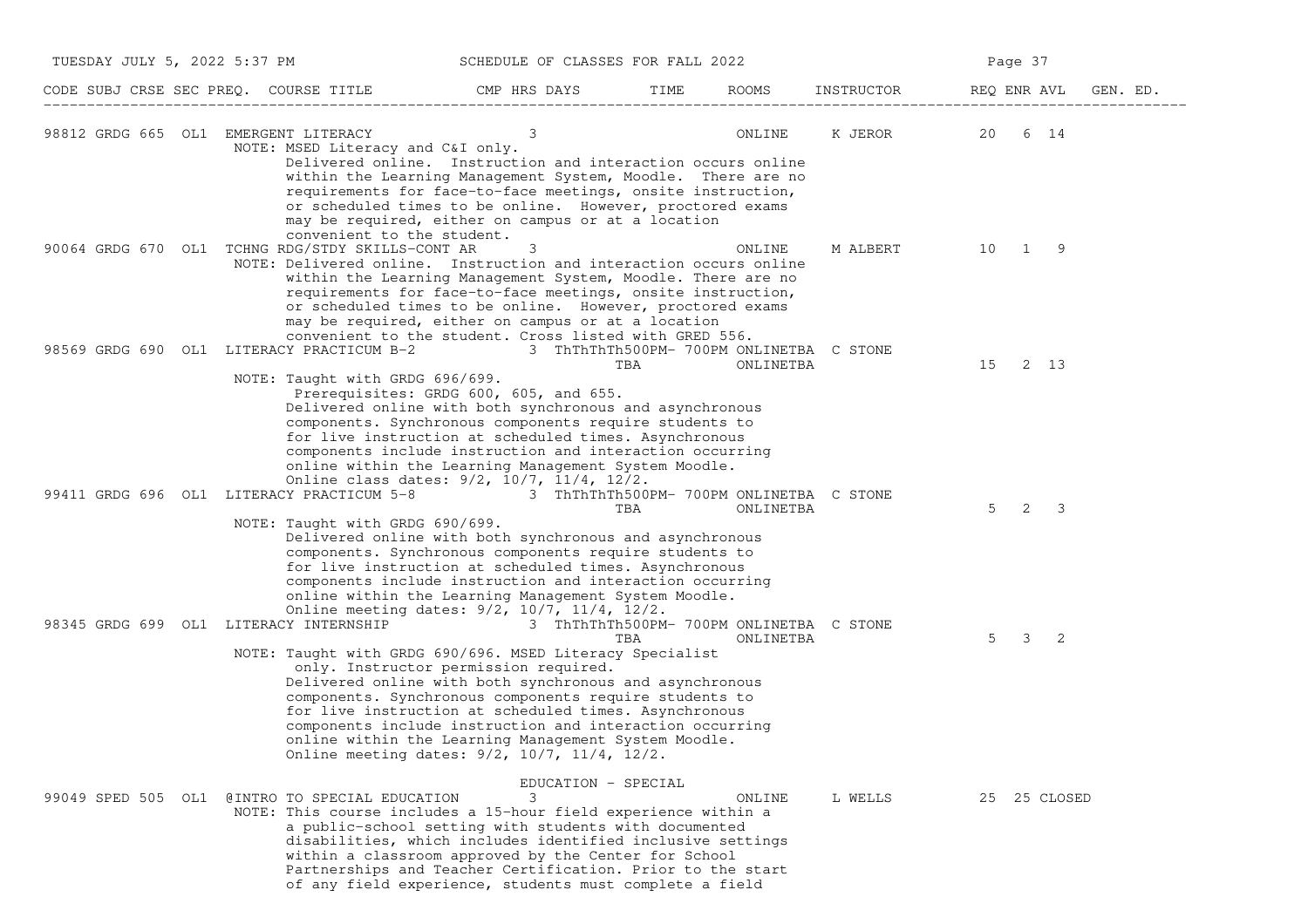| TUESDAY JULY 5, 2022 5:37 PM         |                                                                                                                                                     | SCHEDULE OF CLASSES FOR FALL 2022                                                                                                                                                                                                                                                                                                                                                                                                                                                                                                                                                                       |      |           |          | Page 37                      |          |
|--------------------------------------|-----------------------------------------------------------------------------------------------------------------------------------------------------|---------------------------------------------------------------------------------------------------------------------------------------------------------------------------------------------------------------------------------------------------------------------------------------------------------------------------------------------------------------------------------------------------------------------------------------------------------------------------------------------------------------------------------------------------------------------------------------------------------|------|-----------|----------|------------------------------|----------|
|                                      | CODE SUBJ CRSE SEC PREQ. COURSE TITLE THE CMP HRS DAYS                                                                                              |                                                                                                                                                                                                                                                                                                                                                                                                                                                                                                                                                                                                         | TIME |           |          | ROOMS INSTRUCTOR REQ ENR AVL | GEN. ED. |
| 98812 GRDG 665 OL1 EMERGENT LITERACY | NOTE: MSED Literacy and C&I only.                                                                                                                   | 3<br>Delivered online. Instruction and interaction occurs online<br>within the Learning Management System, Moodle. There are no<br>requirements for face-to-face meetings, onsite instruction,<br>or scheduled times to be online. However, proctored exams<br>may be required, either on campus or at a location                                                                                                                                                                                                                                                                                       |      | ONLINE    |          | K JEROR 20 6 14              |          |
|                                      | convenient to the student.<br>90064 GRDG 670 OL1 TCHNG RDG/STDY SKILLS-CONT AR<br>NOTE: Delivered online. Instruction and interaction occurs online | 3<br>within the Learning Management System, Moodle. There are no<br>requirements for face-to-face meetings, onsite instruction,<br>or scheduled times to be online. However, proctored exams<br>may be required, either on campus or at a location                                                                                                                                                                                                                                                                                                                                                      |      | ONLINE    | M ALBERT | 10 1 9                       |          |
|                                      | 98569 GRDG 690 OL1 LITERACY PRACTICUM B-2 3 ThThThTh500PM- 700PM ONLINETBA C STONE<br>NOTE: Taught with GRDG 696/699.                               | convenient to the student. Cross listed with GRED 556.<br>Prerequisites: GRDG 600, 605, and 655.<br>Delivered online with both synchronous and asynchronous<br>components. Synchronous components require students to<br>for live instruction at scheduled times. Asynchronous<br>components include instruction and interaction occurring                                                                                                                                                                                                                                                              | TBA  | ONLINETBA |          | 15<br>2 13                   |          |
|                                      | 99411 GRDG 696 OL1 LITERACY PRACTICUM 5-8 3 ThThThTh500PM- 700PM ONLINETBA C STONE<br>NOTE: Taught with GRDG 690/699.                               | online within the Learning Management System Moodle.<br>Online class dates: 9/2, 10/7, 11/4, 12/2.<br>Delivered online with both synchronous and asynchronous<br>components. Synchronous components require students to<br>for live instruction at scheduled times. Asynchronous                                                                                                                                                                                                                                                                                                                        | TBA  | ONLINETBA |          | 2<br>5<br>3                  |          |
|                                      | 98345 GRDG 699 OL1 LITERACY INTERNSHIP<br>NOTE: Taught with GRDG 690/696. MSED Literacy Specialist                                                  | components include instruction and interaction occurring<br>online within the Learning Management System Moodle.<br>Online meeting dates: 9/2, 10/7, 11/4, 12/2.<br>3 ThThThTh500PM- 700PM ONLINETBA C STONE<br>only. Instructor permission required.<br>Delivered online with both synchronous and asynchronous<br>components. Synchronous components require students to<br>for live instruction at scheduled times. Asynchronous<br>components include instruction and interaction occurring<br>online within the Learning Management System Moodle.<br>Online meeting dates: 9/2, 10/7, 11/4, 12/2. | TBA  | ONLINETBA |          | 5<br>3<br>2                  |          |
|                                      | 99049 SPED 505 OL1 @INTRO TO SPECIAL EDUCATION<br>NOTE: This course includes a 15-hour field experience within a                                    | EDUCATION - SPECIAL<br>3<br>a public-school setting with students with documented<br>disabilities, which includes identified inclusive settings<br>within a classroom approved by the Center for School<br>Partnerships and Teacher Certification. Prior to the start<br>of any field experience, students must complete a field                                                                                                                                                                                                                                                                        |      | ONLINE    | L WELLS  | 25 25 CLOSED                 |          |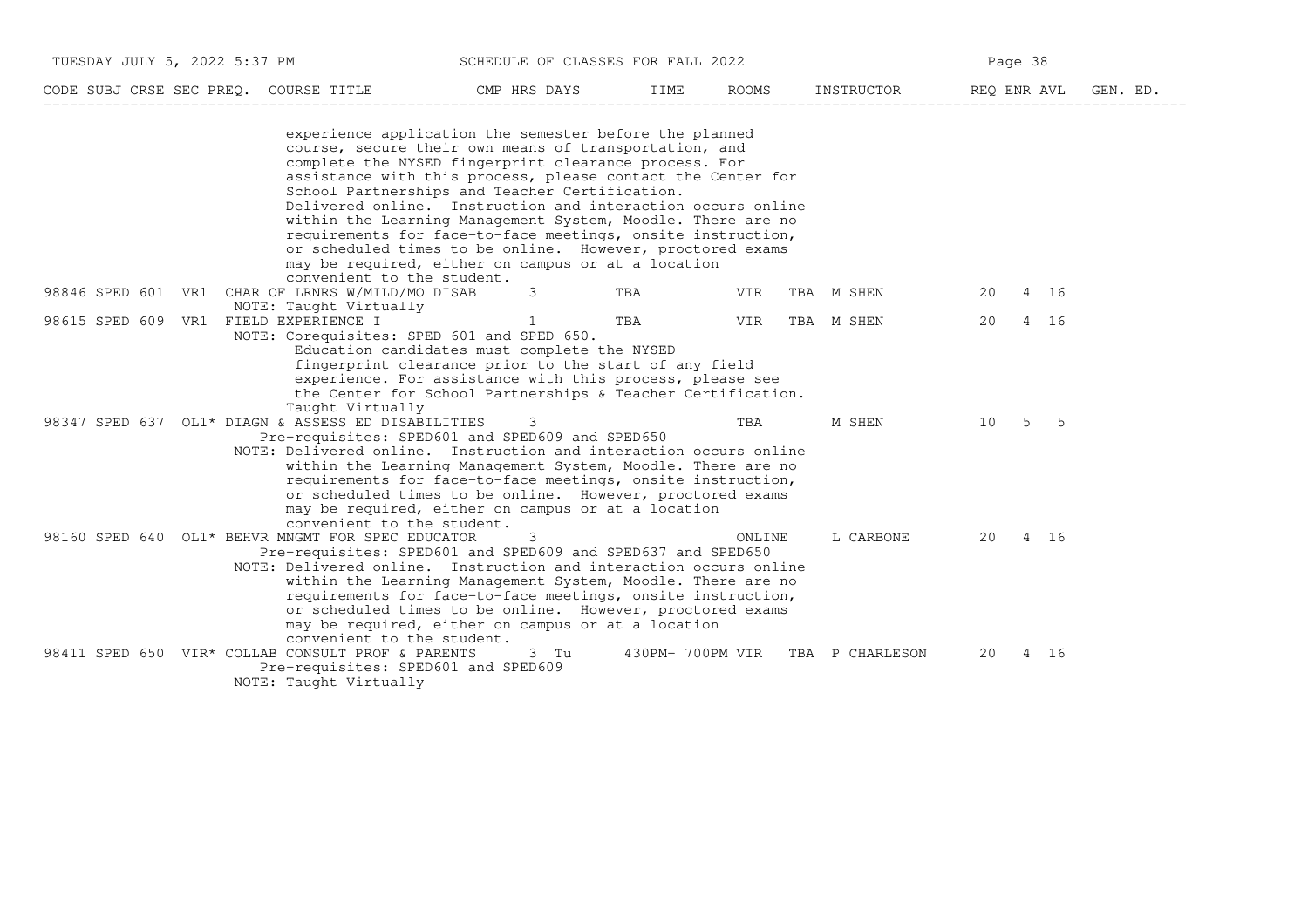| JULY 5<br>フハフフ<br>TUESDAY<br>РM           | ∩F<br>SCHEDULE                              | CLASSES FOR FALL<br>2022 |                          | .                          |  |  |  |  |
|-------------------------------------------|---------------------------------------------|--------------------------|--------------------------|----------------------------|--|--|--|--|
| CODE SHRJ<br>PREO.<br>CRSE SEC<br>COURSE. | ≅MP<br><b>TID</b> C<br>IIAY.<br><b>FIR.</b> | <b>TMF</b>               | RNOMS<br>'NCT<br>TRUCTOR | F.NR<br>AVT.<br>אים ∩<br>. |  |  |  |  |

| CODE SUBJ CRSE SEC PREQ. COURSE TITLE |     |                                                                                                                                                                                                                                                                                                                                                                                                                                                                                                                                                                                                           | CMP HRS DAYS | TIME             | ROOMS  | INSTRUCTOR      | REQ ENR AVL |             | GEN. ED. |
|---------------------------------------|-----|-----------------------------------------------------------------------------------------------------------------------------------------------------------------------------------------------------------------------------------------------------------------------------------------------------------------------------------------------------------------------------------------------------------------------------------------------------------------------------------------------------------------------------------------------------------------------------------------------------------|--------------|------------------|--------|-----------------|-------------|-------------|----------|
|                                       |     | experience application the semester before the planned<br>course, secure their own means of transportation, and<br>complete the NYSED fingerprint clearance process. For<br>assistance with this process, please contact the Center for<br>School Partnerships and Teacher Certification.<br>Delivered online. Instruction and interaction occurs online<br>within the Learning Management System, Moodle. There are no<br>requirements for face-to-face meetings, onsite instruction,<br>or scheduled times to be online. However, proctored exams<br>may be required, either on campus or at a location |              |                  |        |                 |             |             |          |
| 98846 SPED 601                        | VR1 | convenient to the student.<br>CHAR OF LRNRS W/MILD/MO DISAB                                                                                                                                                                                                                                                                                                                                                                                                                                                                                                                                               | 3            | TBA              | VIR    | TBA M SHEN      | 20          | 4 16        |          |
| 98615 SPED 609                        |     | NOTE: Taught Virtually<br>VR1 FIELD EXPERIENCE I<br>NOTE: Corequisites: SPED 601 and SPED 650.<br>Education candidates must complete the NYSED                                                                                                                                                                                                                                                                                                                                                                                                                                                            | 1            | TBA              | VIR    | TBA M SHEN      | 20          | 4 16        |          |
|                                       |     | fingerprint clearance prior to the start of any field<br>experience. For assistance with this process, please see<br>the Center for School Partnerships & Teacher Certification.<br>Taught Virtually                                                                                                                                                                                                                                                                                                                                                                                                      |              |                  |        |                 |             |             |          |
|                                       |     | 98347 SPED 637 OL1* DIAGN & ASSESS ED DISABILITIES<br>Pre-requisites: SPED601 and SPED609 and SPED650                                                                                                                                                                                                                                                                                                                                                                                                                                                                                                     | 3            |                  | TBA    | M SHEN          | 10          | $5\qquad 5$ |          |
|                                       |     | NOTE: Delivered online. Instruction and interaction occurs online<br>within the Learning Management System, Moodle. There are no<br>requirements for face-to-face meetings, onsite instruction,<br>or scheduled times to be online. However, proctored exams<br>may be required, either on campus or at a location<br>convenient to the student.                                                                                                                                                                                                                                                          |              |                  |        |                 |             |             |          |
|                                       |     | 98160 SPED 640 OL1* BEHVR MNGMT FOR SPEC EDUCATOR<br>Pre-requisites: SPED601 and SPED609 and SPED637 and SPED650                                                                                                                                                                                                                                                                                                                                                                                                                                                                                          | 3            |                  | ONLINE | L CARBONE       | 20          | 4 16        |          |
|                                       |     | NOTE: Delivered online. Instruction and interaction occurs online<br>within the Learning Management System, Moodle. There are no<br>requirements for face-to-face meetings, onsite instruction,<br>or scheduled times to be online. However, proctored exams<br>may be required, either on campus or at a location<br>convenient to the student.                                                                                                                                                                                                                                                          |              |                  |        |                 |             |             |          |
|                                       |     | 98411 SPED 650 VIR* COLLAB CONSULT PROF & PARENTS<br>Pre-requisites: SPED601 and SPED609<br>NOTE: Taught Virtually                                                                                                                                                                                                                                                                                                                                                                                                                                                                                        | 3 Tu         | 430PM- 700PM VIR |        | TBA P CHARLESON | 20          | 4 16        |          |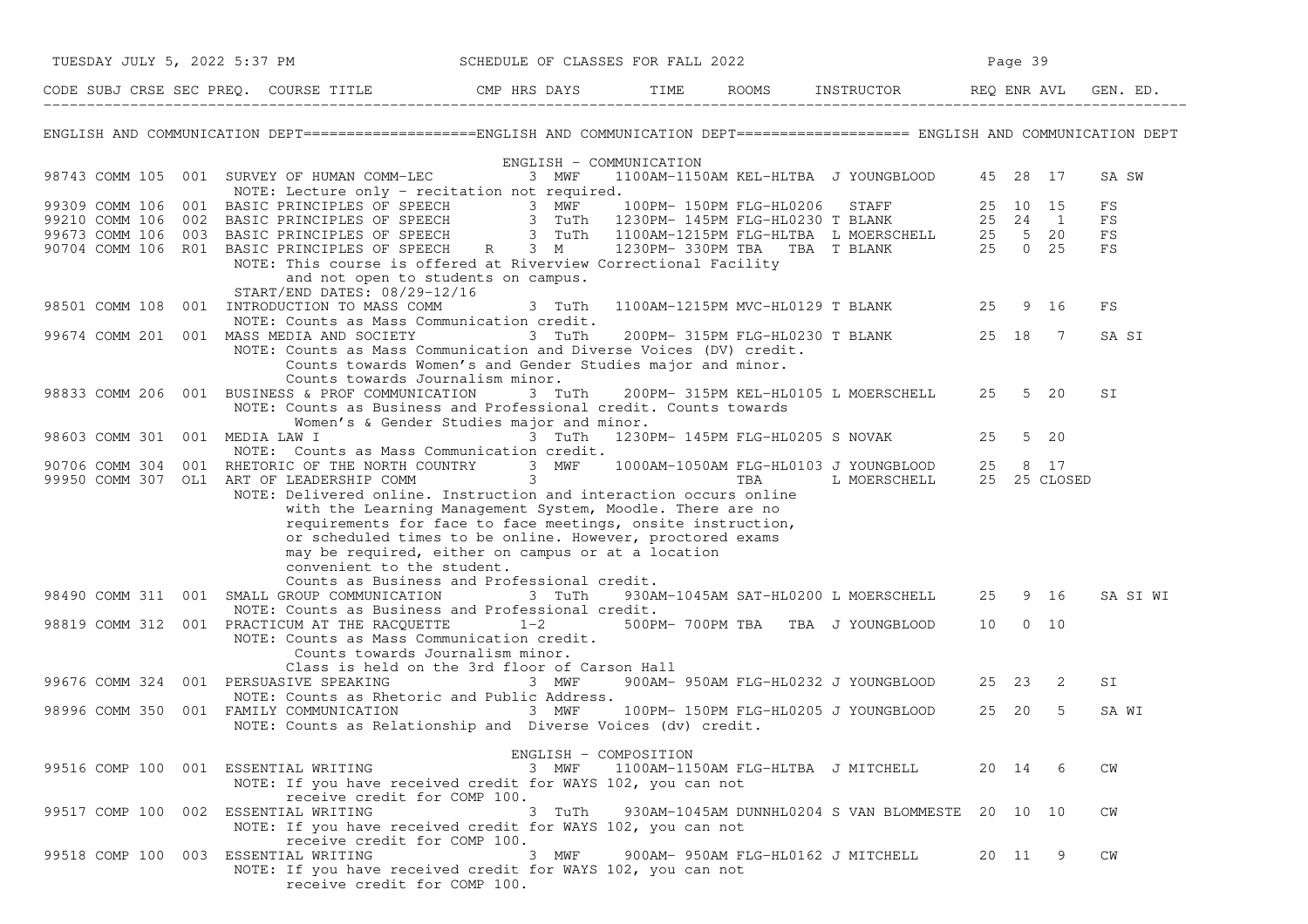|                                        | TUESDAY JULY 5, 2022 5:37 PM                                                                                                                                                                                                           | SCHEDULE OF CLASSES FOR FALL 2022                                                                                                                                                                                              |                                    |                                                  | Page 39 |      |          |
|----------------------------------------|----------------------------------------------------------------------------------------------------------------------------------------------------------------------------------------------------------------------------------------|--------------------------------------------------------------------------------------------------------------------------------------------------------------------------------------------------------------------------------|------------------------------------|--------------------------------------------------|---------|------|----------|
|                                        | CODE SUBJ CRSE SEC PREQ. COURSE TITLE THE COMP HRS DAYS TIME ROOMS INSTRUCTOR REQ ENR AVL GEN. ED.                                                                                                                                     |                                                                                                                                                                                                                                |                                    |                                                  |         |      |          |
|                                        | ENGLISH AND COMMUNICATION DEPT===================ENGLISH AND COMMUNICATION DEPT==================== ENGLISH AND COMMUNICATION DEPT                                                                                                     |                                                                                                                                                                                                                                |                                    |                                                  |         |      |          |
|                                        | 98743 COMM 105 001 SURVEY OF HUMAN COMM-LEC 3 MWF<br>NOTE: Lecture only - recitation not required.                                                                                                                                     | ENGLISH - COMMUNICATION                                                                                                                                                                                                        |                                    | 1100AM-1150AM KEL-HLTBA J YOUNGBLOOD 45 28 17    |         |      | SA SW    |
|                                        | 99309 COMM 106 001 BASIC PRINCIPLES OF SPEECH<br>99210 COMM 106 002 BASIC PRINCIPLES OF SPEECH<br>99673 COMM 106 003 BASIC PRINCIPLES OF SPEECH<br>99673 COMM 106 003 BASIC PRINCIPLES OF SPEECH<br>90704 COMM 106 R01 BASIC PRINCIPLE |                                                                                                                                                                                                                                |                                    |                                                  |         |      | FS<br>FS |
|                                        | NOTE: This course is offered at Riverview Correctional Facility                                                                                                                                                                        |                                                                                                                                                                                                                                |                                    |                                                  |         |      | FS<br>FS |
|                                        | and not open to students on campus.<br>START/END DATES: 08/29-12/16<br>98501 COMM 108 001 INTRODUCTION TO MASS COMM                                                                                                                    | 3 TuTh                                                                                                                                                                                                                         |                                    | 1100AM-1215PM MVC-HL0129 T BLANK 25 9 16         |         |      | FS       |
|                                        | NOTE: Counts as Mass Communication credit.<br>99674 COMM 201 001 MASS MEDIA AND SOCIETY 3 TuTh<br>NOTE: Counts as Mass Communication and Diverse Voices (DV) credit.                                                                   |                                                                                                                                                                                                                                |                                    | 200PM-315PM FLG-HL0230 T BLANK 25 18 7           |         |      | SA SI    |
|                                        | Counts towards Women's and Gender Studies major and minor.<br>Counts towards Journalism minor.<br>98833 COMM 206 001 BUSINESS & PROF COMMUNICATION<br>NOTE: Counts as Business and Professional credit. Counts towards                 | 3 TuTh                                                                                                                                                                                                                         |                                    | 200PM- 315PM KEL-HL0105 L MOERSCHELL 25 5 20     |         |      | SI       |
| 98603 COMM 301 001 MEDIA LAW I         | Women's & Gender Studies major and minor.<br>NOTE: Counts as Mass Communication credit.                                                                                                                                                | and the contract of the contract of the contract of the contract of the contract of the contract of the contract of the contract of the contract of the contract of the contract of the contract of the contract of the contra |                                    | 1230PM- 145PM FLG-HL0205 S NOVAK 25              |         | 5 20 |          |
|                                        | 90706 COMM 304 001 RHETORIC OF THE NORTH COUNTRY 3 MWF 1000AM-1050AM FLG-HL0103 J YOUNGBLOOD 25 8 17<br>99950 COMM 307 OL1 ART OF LEADERSHIP COMM 3<br>NOTE: Delivered online. Instruction and interaction occurs online               |                                                                                                                                                                                                                                |                                    |                                                  |         |      |          |
|                                        | with the Learning Management System, Moodle. There are no<br>requirements for face to face meetings, onsite instruction,<br>or scheduled times to be online. However, proctored exams                                                  |                                                                                                                                                                                                                                |                                    |                                                  |         |      |          |
|                                        | may be required, either on campus or at a location<br>convenient to the student.<br>Counts as Business and Professional credit.                                                                                                        |                                                                                                                                                                                                                                |                                    |                                                  |         |      |          |
|                                        | 98490 COMM 311 001 SMALL GROUP COMMUNICATION 3 TuTh<br>NOTE: Counts as Business and Professional credit.                                                                                                                               |                                                                                                                                                                                                                                |                                    | 930AM-1045AM SAT-HL0200 L MOERSCHELL 25 9 16     |         |      | SA SI WI |
|                                        | 98819 COMM 312 001 PRACTICUM AT THE RACQUETTE $1-2$<br>NOTE: Counts as Mass Communication credit.<br>Counts towards Journalism minor.                                                                                                  |                                                                                                                                                                                                                                |                                    | 500PM-700PM TBA TBA J YOUNGBLOOD 10 0 10         |         |      |          |
| 99676 COMM 324 001 PERSUASIVE SPEAKING | Class is held on the 3rd floor of Carson Hall<br>NOTE: Counts as Rhetoric and Public Address.                                                                                                                                          | 3 MWF                                                                                                                                                                                                                          |                                    | 900AM- 950AM FLG-HL0232 J YOUNGBLOOD 25 23       |         | -2   | SI       |
| 98996 COMM 350                         | 001 FAMILY COMMUNICATION<br>NOTE: Counts as Relationship and Diverse Voices (dv) credit.                                                                                                                                               | 3 MWF                                                                                                                                                                                                                          |                                    | 100PM- 150PM FLG-HL0205 J YOUNGBLOOD             | 25 20   | -5   | SA WI    |
| 99516 COMP 100 001 ESSENTIAL WRITING   | NOTE: If you have received credit for WAYS 102, you can not                                                                                                                                                                            | ENGLISH - COMPOSITION<br>3 MWF                                                                                                                                                                                                 | 1100AM-1150AM FLG-HLTBA J MITCHELL |                                                  | 20 14 6 |      | CM       |
| 99517 COMP 100 002 ESSENTIAL WRITING   | receive credit for COMP 100.<br>NOTE: If you have received credit for WAYS 102, you can not                                                                                                                                            | 3 TuTh                                                                                                                                                                                                                         |                                    | 930AM-1045AM DUNNHL0204 S VAN BLOMMESTE 20 10 10 |         |      | CM       |
| 99518 COMP 100 003 ESSENTIAL WRITING   | receive credit for COMP 100.<br>NOTE: If you have received credit for WAYS 102, you can not<br>receive credit for COMP 100.                                                                                                            | 3 MWF                                                                                                                                                                                                                          | 900AM- 950AM FLG-HL0162 J MITCHELL |                                                  | 20 11   | - 9  | CM       |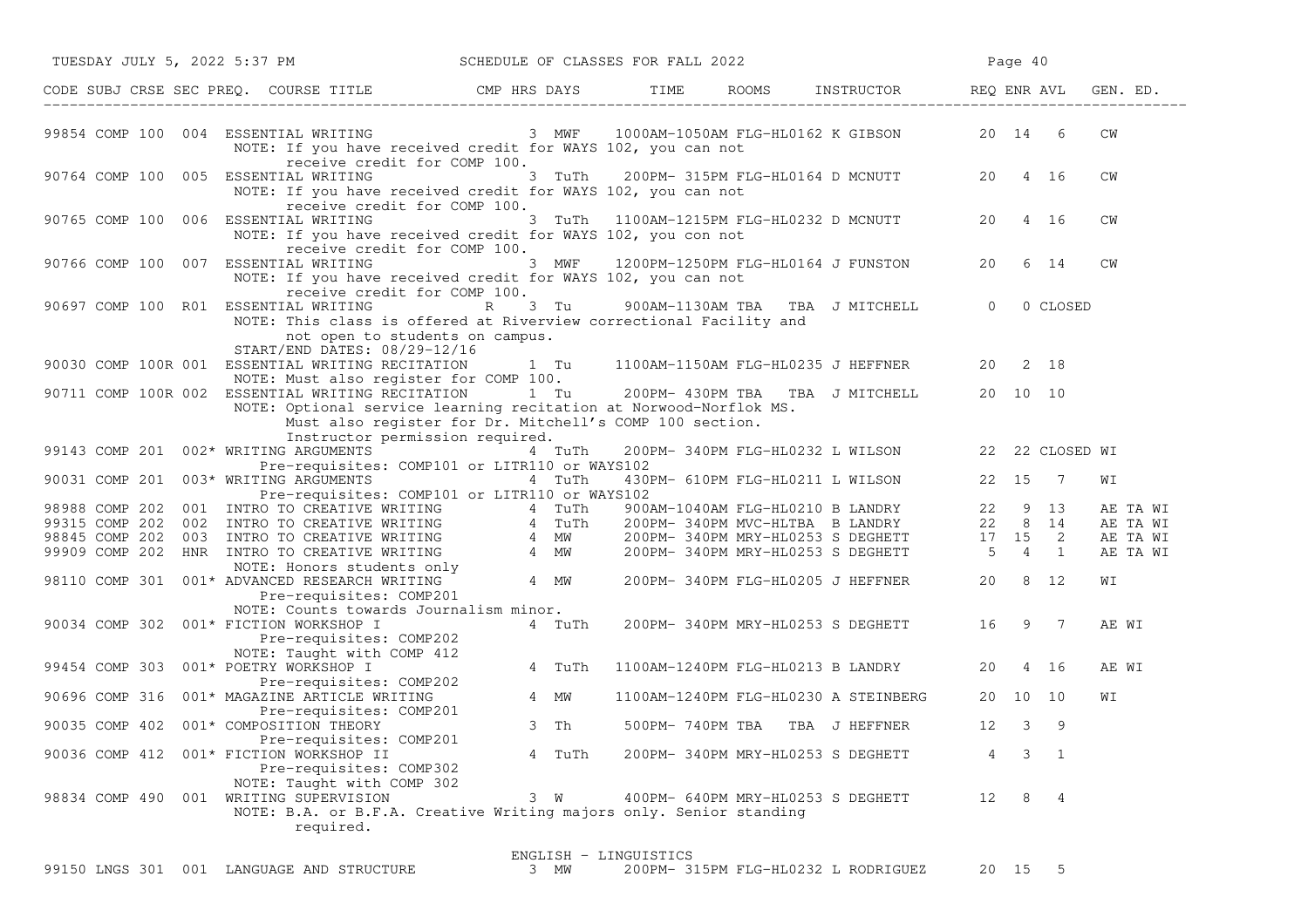|                |  | TUESDAY JULY 5, 2022 5:37 PM SCHEDULE OF CLASSES FOR FALL 2022                                                                                                                                                                                                        |                                                                                  |        |                       |  |                                                                                                                                  |    | Page 40  |             |       |          |
|----------------|--|-----------------------------------------------------------------------------------------------------------------------------------------------------------------------------------------------------------------------------------------------------------------------|----------------------------------------------------------------------------------|--------|-----------------------|--|----------------------------------------------------------------------------------------------------------------------------------|----|----------|-------------|-------|----------|
|                |  | CODE SUBJ CRSE SEC PREQ. COURSE TITLE THE RIS DAYS TIME ROOMS INSTRUCTOR REQ ENR AVL                                                                                                                                                                                  |                                                                                  |        |                       |  |                                                                                                                                  |    |          |             |       | GEN. ED. |
|                |  | 99854 COMP 100 004 ESSENTIAL WRITING<br>NOTE: If you have received credit for WAYS 102, you can not                                                                                                                                                                   | receive credit for COMP 100.                                                     |        |                       |  | 3 MWF 1000AM-1050AM FLG-HL0162 K GIBSON 20 14 6                                                                                  |    |          |             | CW    |          |
|                |  | 90764 COMP 100 005 ESSENTIAL WRITING<br>NOTE: If you have received credit for WAYS 102, you can not                                                                                                                                                                   | receive credit for COMP 100.                                                     | 3 TuTh |                       |  | 200PM- 315PM FLG-HL0164 D MCNUTT 20 4 16                                                                                         |    |          |             | CW    |          |
|                |  | 90765 COMP 100 006 ESSENTIAL WRITING<br>NOTE: If you have received credit for WAYS 102, you con not                                                                                                                                                                   |                                                                                  |        |                       |  | 3 TuTh 1100AM-1215PM FLG-HL0232 D MCNUTT                                                                                         | 20 |          | 4 16        | CW    |          |
|                |  | 90766 COMP 100 007 ESSENTIAL WRITING<br>NOTE: If you have received credit for WAYS 102, you can not                                                                                                                                                                   | receive credit for COMP 100.                                                     |        |                       |  | 3 MWF 1200PM-1250PM FLG-HL0164 J FUNSTON                                                                                         | 20 |          | 6 14        | CM    |          |
|                |  | 90697 COMP 100 R01 ESSENTIAL WRITING<br>NOTE: This class is offered at Riverview correctional Facility and                                                                                                                                                            | receive credit for COMP 100.<br>R<br>not open to students on campus.             | 3 Tu   |                       |  | 900AM-1130AM TBA TBA J MITCHELL 0                                                                                                |    |          | 0 CLOSED    |       |          |
|                |  | START/END DATES: 08/29-12/16<br>90030 COMP 100R 001 ESSENTIAL WRITING RECITATION 1 Tu 1100AM-1150AM FLG-HL0235 J HEFFNER<br>NOTE: Must also register for COMP 100.                                                                                                    |                                                                                  |        |                       |  |                                                                                                                                  |    | 20 2 18  |             |       |          |
|                |  | 90711 COMP 100R 002 ESSENTIAL WRITING RECITATION 1 Tu 200PM-430PM TBA TBA J MITCHELL<br>NOTE: Optional service learning recitation at Norwood-Norflok MS.                                                                                                             | Must also register for Dr. Mitchell's COMP 100 section.                          |        |                       |  |                                                                                                                                  |    | 20 10 10 |             |       |          |
|                |  | 99143 COMP 201 002* WRITING ARGUMENTS                                                                                                                                                                                                                                 | Instructor permission required.<br>Pre-requisites: COMP101 or LITR110 or WAYS102 | 4 TuTh |                       |  | 200PM-340PM FLG-HL0232 L WILSON 22 22 CLOSED WI                                                                                  |    |          |             |       |          |
| 90031 COMP 201 |  | 003* WRITING ARGUMENTS                                                                                                                                                                                                                                                | Pre-requisites: COMP101 or LITR110 or WAYS102                                    | 4 TuTh |                       |  | 430PM- 610PM FLG-HL0211 L WILSON                                                                                                 |    | 22 15 7  |             | WΙ    |          |
|                |  |                                                                                                                                                                                                                                                                       |                                                                                  |        |                       |  | 900AM-1040AM FLG-HL0210 B LANDRY 22 9 13<br>200PM- 340PM MVC-HLTBA B LANDRY 22 8 14<br>200PM- 340PM MRY-HL0253 S DEGHETT 17 15 2 |    |          |             |       | AE TA WI |
|                |  |                                                                                                                                                                                                                                                                       |                                                                                  |        |                       |  |                                                                                                                                  |    |          |             |       | AE TA WI |
|                |  |                                                                                                                                                                                                                                                                       |                                                                                  |        |                       |  |                                                                                                                                  |    |          |             |       | AE TA WI |
|                |  |                                                                                                                                                                                                                                                                       |                                                                                  |        |                       |  | 200PM-340PM MRY-HL0253 S DEGHETT 5 4 1                                                                                           |    |          |             |       | AE TA WI |
|                |  | 98988 COMP 202 001 INTRO TO CREATIVE WRITING 4 TuTh<br>99315 COMP 202 002 INTRO TO CREATIVE WRITING 4 TuTh<br>98845 COMP 202 003 INTRO TO CREATIVE WRITING 4 MW<br>99909 COMP 202 HNR INTRO TO CREATIVE WRITING 4 MW<br>NOTE: Honors stude<br>Pre-requisites: COMP201 |                                                                                  |        |                       |  | 200PM-340PM FLG-HL0205 J HEFFNER 20 8 12                                                                                         |    |          |             | WΙ    |          |
| 90034 COMP 302 |  | NOTE: Counts towards Journalism minor.<br>001* FICTION WORKSHOP I                                                                                                                                                                                                     |                                                                                  | 4 TuTh |                       |  | 200PM-340PM MRY-HL0253 S DEGHETT 16 9 7                                                                                          |    |          |             | AE WI |          |
|                |  | Pre-requisites: COMP202<br>NOTE: Taught with COMP 412                                                                                                                                                                                                                 |                                                                                  |        |                       |  |                                                                                                                                  |    |          |             |       |          |
| 99454 COMP 303 |  | 001* POETRY WORKSHOP I<br>Pre-requisites: COMP202                                                                                                                                                                                                                     |                                                                                  | 4 TuTh |                       |  | 1100AM-1240PM FLG-HL0213 B LANDRY                                                                                                | 20 |          | 4 16        | AE WI |          |
| 90696 COMP 316 |  | 001* MAGAZINE ARTICLE WRITING<br>Pre-requisites: COMP201                                                                                                                                                                                                              |                                                                                  | 4 MW   |                       |  | 1100AM-1240PM FLG-HL0230 A STEINBERG                                                                                             |    | 20 10 10 |             | WΙ    |          |
|                |  | 90035 COMP 402 001* COMPOSITION THEORY                                                                                                                                                                                                                                |                                                                                  | 3 Th   |                       |  | 500PM- 740PM TBA TBA J HEFFNER                                                                                                   | 12 | 3        | 9           |       |          |
|                |  | Pre-requisites: COMP201<br>90036 COMP 412 001* FICTION WORKSHOP II<br>Pre-requisites: COMP302                                                                                                                                                                         |                                                                                  | 4 TuTh |                       |  | 200PM- 340PM MRY-HL0253 S DEGHETT                                                                                                | 4  |          | $3 \quad 1$ |       |          |
|                |  | NOTE: Taught with COMP 302<br>98834 COMP 490 001 WRITING SUPERVISION<br>NOTE: B.A. or B.F.A. Creative Writing majors only. Senior standing<br>required.                                                                                                               |                                                                                  | 3 W    |                       |  | 400PM- 640PM MRY-HL0253 S DEGHETT                                                                                                | 12 |          | 8 4         |       |          |
|                |  |                                                                                                                                                                                                                                                                       |                                                                                  |        |                       |  |                                                                                                                                  |    |          |             |       |          |
|                |  | 99150 LNGS 301 001 LANGUAGE AND STRUCTURE                                                                                                                                                                                                                             |                                                                                  | 3 MW   | ENGLISH - LINGUISTICS |  | 200PM- 315PM FLG-HL0232 L RODRIGUEZ                                                                                              |    | 20 15    | - 5         |       |          |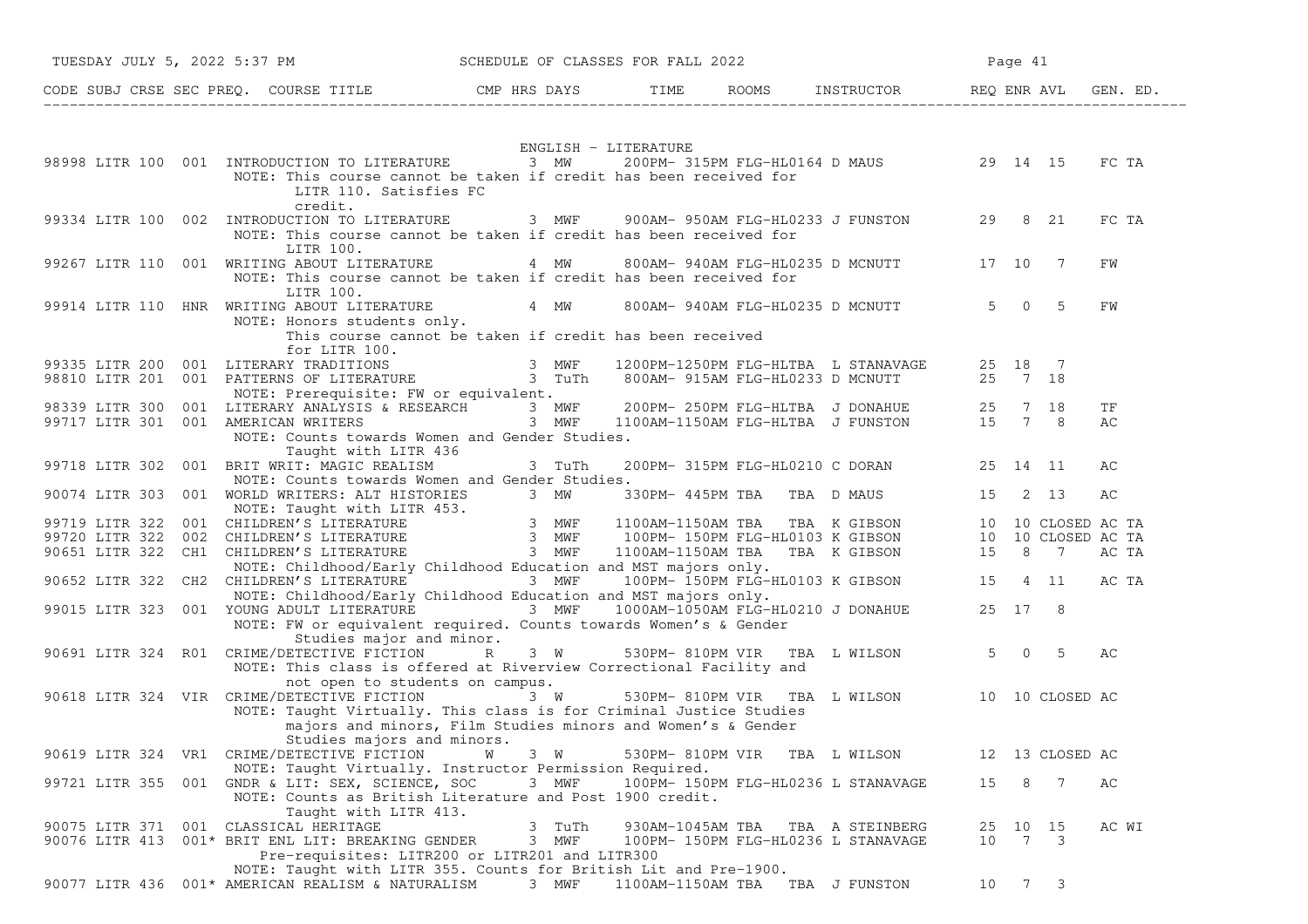| TUESDAY JULY 5, 2022 5:37 PM                                                                                                                                                                                                                                              | SCHEDULE OF CLASSES FOR FALL 2022          |  |                                                                         |    | Page 41         |          |
|---------------------------------------------------------------------------------------------------------------------------------------------------------------------------------------------------------------------------------------------------------------------------|--------------------------------------------|--|-------------------------------------------------------------------------|----|-----------------|----------|
| CODE SUBJ CRSE SEC PREQ. COURSE TITLE THE ROOMS INSTRUCTOR REQ ENR AVL GEN. ED.                                                                                                                                                                                           |                                            |  |                                                                         |    |                 |          |
|                                                                                                                                                                                                                                                                           | ENGLISH - LITERATURE                       |  |                                                                         |    |                 |          |
| 98998 LITR 100 001 INTRODUCTION TO LITERATURE 3 MW 200PM-315PM FLG-HL0164 D MAUS 29 14 15<br>NOTE: This course cannot be taken if credit has been received for<br>LITR 110. Satisfies FC<br>credit.                                                                       |                                            |  |                                                                         |    |                 | FC TA    |
| 99334 LITR 100 002 INTRODUCTION TO LITERATURE 3 MWF 900AM-950AM FLG-HL0233 J FUNSTON 29 8 21<br>NOTE: This course cannot be taken if credit has been received for<br>LITR 100.                                                                                            |                                            |  |                                                                         |    |                 | FC TA    |
| 99267 LITR 110 001 WRITING ABOUT LITERATURE 4 MW 800AM-940AM FLG-HL0235 D MCNUTT 17 10 7<br>NOTE: This course cannot be taken if credit has been received for<br>LITR 100.                                                                                                |                                            |  |                                                                         |    |                 | FW       |
| 99914 LITR 110 HNR WRITING ABOUT LITERATURE<br>NOTE: Honors students only.<br>This course cannot be taken if credit has been received<br>for LITR 100.                                                                                                                    | 4 MW 800AM-940AM FLG-HL0235 D MCNUTT 5 0 5 |  |                                                                         |    |                 | FW       |
| 99335 LITR 200 001 LITERARY TRADITIONS                     3 MWF   1200PM-1250PM FLG-HLTBA L STANAVAGE     25<br>98810 LITR 201 001 PATTERNS OF LITERATURE                 3 TuTh   800AM- 915AM FLG-HL0233 D MCNUTT        25 7<br>NOTE: Prerequisite: FW or equivalent. |                                            |  |                                                                         |    |                 |          |
| 98339 LITR 300 001 LITERARY ANALYSIS & RESEARCH 3 MWF 200PM-250PM FLG-HLTBA J DONAHUE 25 7 18<br>99717 LITR 301 001 AMERICAN WRITERS 3 MWF 1100AM-1150AM FLG-HLTBA J FUNSTON 15 7 8<br>NOTE: Counts towards Women and Gender Studies.<br>Taught with LITR 436             |                                            |  |                                                                         |    |                 | ΤF<br>AС |
| 99718 LITR 302 001 BRIT WRIT: MAGIC REALISM<br>NOTE: Counts towards Women and Gender Studies.                                                                                                                                                                             | 3 TuTh                                     |  | 200PM- 315PM FLG-HL0210 C DORAN 25 14 11                                |    |                 | AС       |
|                                                                                                                                                                                                                                                                           |                                            |  |                                                                         |    |                 |          |
| 90074 LITR 303 001 WORLD WRITERS: ALT HISTORIES 3 MW 330PM-445PM TBA TBA D MAUS 15 2 13 AC<br>NOTE: Taught with LITR 453.<br>99720 LITR 322 001 CHILDREN'S LITERATURE 3 MWF 100AM-1150AM TBA TBA K GIBSON 10 10 CLOSED AC TA<br>9972                                      |                                            |  |                                                                         |    |                 |          |
| NOTE: Childhood/Early Childhood Education and MST majors only.<br>90652 LITR 322 CH2 CHILDREN'S LITERATURE 3 MWF 100PM-150PM FLG-HL0103 K GIBSON 15 4 11<br>NOTE: Childhood/Early Childhood Education and MST majors only.                                                |                                            |  |                                                                         |    |                 | AC TA    |
| 99015 LITR 323 001 YOUNG ADULT LITERATURE 3 MWF 1000AM-1050AM FLG-HL0210 J DONAHUE 25 17 8<br>NOTE: FW or equivalent required. Counts towards Women's & Gender<br>Studies major and minor.                                                                                |                                            |  |                                                                         |    |                 |          |
| 90691 LITR 324 RO1 CRIME/DETECTIVE FICTION R 3 W 530PM-810PM VIR TBA LWILSON 5 0 5<br>NOTE: This class is offered at Riverview Correctional Facility and<br>not open to students on campus.                                                                               |                                            |  |                                                                         |    |                 | AС       |
| 90618 LITR 324 VIR CRIME/DETECTIVE FICTION<br>NOTE: Taught Virtually. This class is for Criminal Justice Studies<br>majors and minors, Film Studies minors and Women's & Gender<br>Studies majors and minors.                                                             | 3 W                                        |  | 530PM-810PM VIR TBA L WILSON 10 10 CLOSED AC                            |    |                 |          |
| 90619 LITR 324 VR1 CRIME/DETECTIVE FICTION<br>NOTE: Taught Virtually. Instructor Permission Required.                                                                                                                                                                     | W<br>3 W                                   |  | 530PM-810PM VIR TBA L WILSON                                            |    | 12 13 CLOSED AC |          |
| 99721 LITR 355 001 GNDR & LIT: SEX, SCIENCE, SOC<br>NOTE: Counts as British Literature and Post 1900 credit.<br>Taught with LITR 413.                                                                                                                                     | 3 MWF                                      |  | 100PM- 150PM FLG-HL0236 L STANAVAGE                                     | 15 | 8 7             | AC       |
| 90075 LITR 371 001 CLASSICAL HERITAGE<br>90076 LITR 413 001* BRIT ENL LIT: BREAKING GENDER<br>Pre-requisites: LITR200 or LITR201 and LITR300<br>NOTE: Taught with LITR 355. Counts for British Lit and Pre-1900.                                                          | 3 TuTh<br>3 MWF                            |  | 930AM-1045AM TBA TBA A STEINBERG<br>100PM- 150PM FLG-HL0236 L STANAVAGE | 10 | 25 10 15<br>7 3 | AC WI    |
| 90077 LITR 436 001* AMERICAN REALISM & NATURALISM                                                                                                                                                                                                                         | 3 MWF                                      |  | 1100AM-1150AM TBA TBA J FUNSTON                                         |    | 10 7 3          |          |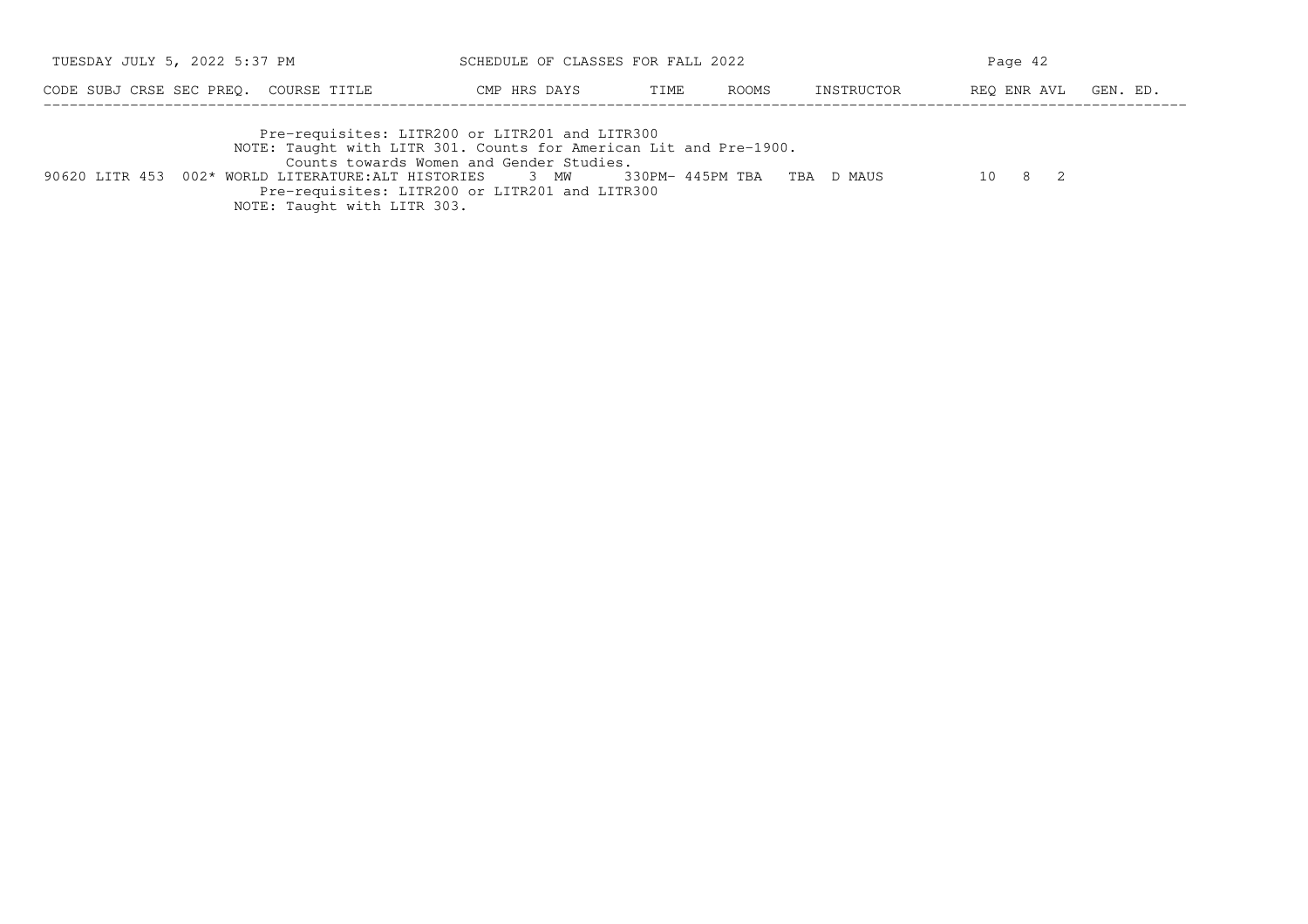| TUESDAY JULY 5, 2022 5:37 PM          | SCHEDULE OF CLASSES FOR FALL 2022              |              |      | Page 42 |            |                      |  |
|---------------------------------------|------------------------------------------------|--------------|------|---------|------------|----------------------|--|
| CODE SUBJ CRSE SEC PREO. COURSE TITLE |                                                | CMP HRS DAYS | TIME | ROOMS   | INSTRUCTOR | REO ENR AVL GEN. ED. |  |
|                                       | Pre-requisites: LITR200 or LITR201 and LITR300 |              |      |         |            |                      |  |

 NOTE: Taught with LITR 301. Counts for American Lit and Pre−1900. Counts towards Women and Gender Studies. 90620 LITR 453 002\* WORLD LITERATURE:ALT HISTORIES 3 MW 330PM− 445PM TBA TBA D MAUS 10 8 2 Pre−requisites: LITR200 or LITR201 and LITR300NOTE: Taught with LITR 303.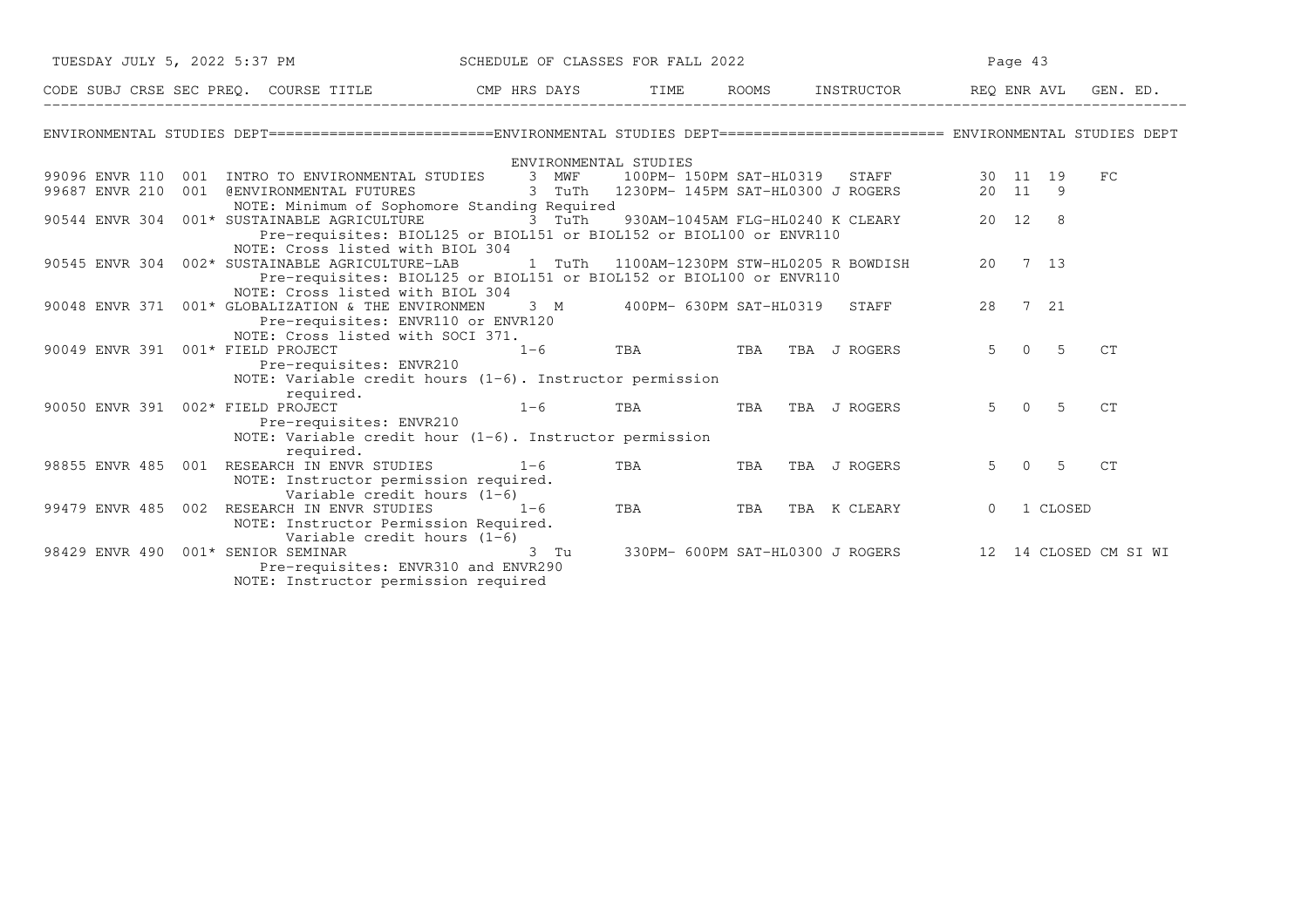| TUESDAY JULY 5, 2022 5:37 PM SCHEDULE OF CLASSES FOR FALL 2022                                                                  |                                                                                                       |            | Page 43                                                |          |               |          |  |
|---------------------------------------------------------------------------------------------------------------------------------|-------------------------------------------------------------------------------------------------------|------------|--------------------------------------------------------|----------|---------------|----------|--|
| CODE SUBJ CRSE SEC PREQ. COURSE TITLE TILE CMP HRS DAYS TIME ROOMS INSTRUCTOR REQ ENRAVL                                        |                                                                                                       |            |                                                        |          |               | GEN. ED. |  |
| ENVIRONMENTAL STUDIES DEPT========================ENVIRONMENTAL STUDIES DEPT======================== ENVIRONMENTAL STUDIES DEPT |                                                                                                       |            |                                                        |          |               |          |  |
|                                                                                                                                 | ENVIRONMENTAL STUDIES                                                                                 |            |                                                        |          |               |          |  |
| 99096 ENVR 110 001 INTRO TO ENVIRONMENTAL STUDIES 3 MWF                                                                         | STUDIES 3 MWF 100PM-150PM SAT-HL0319 STAFF 30 11 19<br>3 TuTh 1230PM-145PM SAT-HL0300 JROGERS 20 11 9 |            |                                                        |          |               | FC       |  |
| 99687 ENVR 210 001 @ENVIRONMENTAL FUTURES                                                                                       |                                                                                                       |            |                                                        |          |               |          |  |
| NOTE: Minimum of Sophomore Standing Required                                                                                    |                                                                                                       |            |                                                        |          |               |          |  |
| 90544 ENVR 304 001* SUSTAINABLE AGRICULTURE                                                                                     | 3 TuTh                                                                                                |            | 930AM-1045AM FLG-HL0240 K CLEARY 20 12 8               |          |               |          |  |
| Pre-requisites: BIOL125 or BIOL151 or BIOL152 or BIOL100 or ENVR110<br>NOTE: Cross listed with BIOL 304                         |                                                                                                       |            |                                                        |          |               |          |  |
| 90545 ENVR 304 002* SUSTAINABLE AGRICULTURE-LAB                                                                                 |                                                                                                       |            | 1 TuTh 1100AM-1230PM STW-HL0205 R BOWDISH              |          | 20 7 13       |          |  |
| Pre-requisites: BIOL125 or BIOL151 or BIOL152 or BIOL100 or ENVR110                                                             |                                                                                                       |            |                                                        |          |               |          |  |
| NOTE: Cross listed with BIOL 304                                                                                                |                                                                                                       |            |                                                        |          |               |          |  |
| 90048 ENVR 371 001* GLOBALIZATION & THE ENVIRONMEN                                                                              |                                                                                                       |            | 3 M 400PM- 630PM SAT-HL0319 STAFF                      | 28       | 7 21          |          |  |
| Pre-requisites: ENVR110 or ENVR120                                                                                              |                                                                                                       |            |                                                        |          |               |          |  |
| NOTE: Cross listed with SOCI 371.                                                                                               |                                                                                                       |            |                                                        |          |               |          |  |
| 90049 ENVR 391 001* FIELD PROJECT                                                                                               | $1-6$ TBA TBA TBA JROGERS                                                                             |            |                                                        |          | $5 \t 0 \t 5$ | C T      |  |
| Pre-requisites: ENVR210                                                                                                         |                                                                                                       |            |                                                        |          |               |          |  |
| NOTE: Variable credit hours $(1-6)$ . Instructor permission                                                                     |                                                                                                       |            |                                                        |          |               |          |  |
| required.<br>90050 ENVR 391 002* FIELD PROJECT                                                                                  | $1 - 6$                                                                                               | <b>TBA</b> | TBA TBA J ROGERS                                       |          | $5 \t 0 \t 5$ | CT       |  |
| Pre-requisites: ENVR210                                                                                                         |                                                                                                       |            |                                                        |          |               |          |  |
| NOTE: Variable credit hour (1-6). Instructor permission                                                                         |                                                                                                       |            |                                                        |          |               |          |  |
| required.                                                                                                                       |                                                                                                       |            |                                                        |          |               |          |  |
| 98855 ENVR 485 001 RESEARCH IN ENVR STUDIES 1-6                                                                                 |                                                                                                       | <b>TBA</b> | TBA TBA J ROGERS                                       |          | $5 \t 0 \t 5$ | CT       |  |
| NOTE: Instructor permission required.                                                                                           |                                                                                                       |            |                                                        |          |               |          |  |
| Variable credit hours (1-6)                                                                                                     |                                                                                                       |            |                                                        |          |               |          |  |
| 99479 ENVR 485 002 RESEARCH IN ENVR STUDIES                                                                                     | $1-6$                                                                                                 | <b>TBA</b> | TBA TBA K CLEARY                                       | $\Omega$ | 1 CLOSED      |          |  |
| NOTE: Instructor Permission Required.                                                                                           |                                                                                                       |            |                                                        |          |               |          |  |
| Variable credit hours $(1-6)$<br>98429 ENVR 490 001* SENIOR SEMINAR 198429 ENVR 490                                             |                                                                                                       |            | 330PM- 600PM SAT-HL0300 J ROGERS 12 14 CLOSED CM SI WI |          |               |          |  |
| Pre-requisites: ENVR310 and ENVR290                                                                                             |                                                                                                       |            |                                                        |          |               |          |  |
| NOTE: Instructor permission required                                                                                            |                                                                                                       |            |                                                        |          |               |          |  |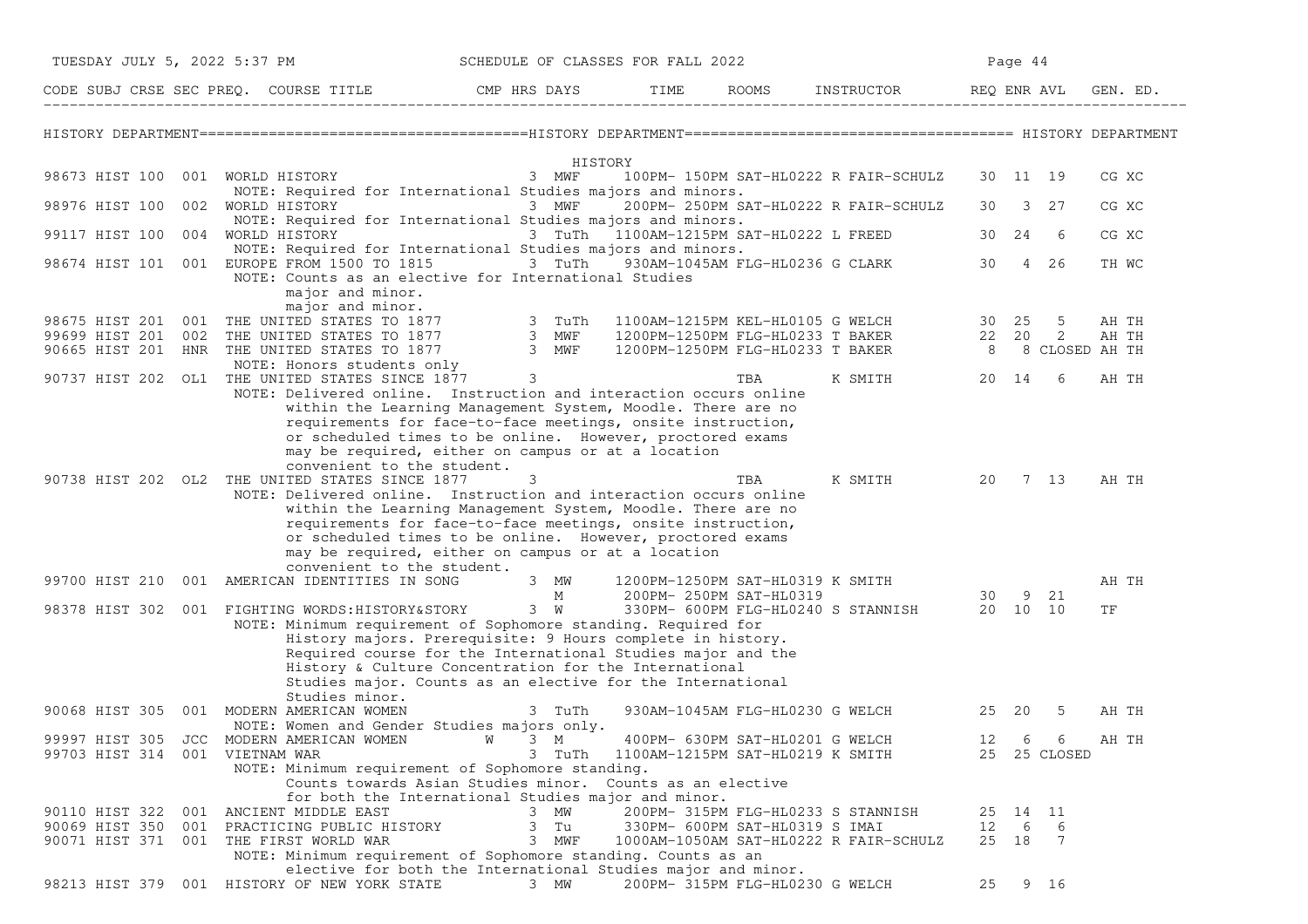| TUESDAY JULY 5, 2022 5:37 PM<br>SCHEDULE OF CLASSES FOR FALL 2022<br>Page 44                                                                                                                                                      |          |
|-----------------------------------------------------------------------------------------------------------------------------------------------------------------------------------------------------------------------------------|----------|
| CODE SUBJ CRSE SEC PREQ. COURSE TITLE THE CMP HRS DAYS<br>ROOMS INSTRUCTOR<br>TIME<br>REQ ENR AVL                                                                                                                                 | GEN. ED. |
|                                                                                                                                                                                                                                   |          |
| HISTORY                                                                                                                                                                                                                           |          |
| 98673 HIST 100<br>001 WORLD HISTORY<br>3 MWF<br>100PM- 150PM SAT-HL0222 R FAIR-SCHULZ<br>30 11 19                                                                                                                                 | CG XC    |
| NOTE: Required for International Studies majors and minors.<br>98976 HIST 100<br>002 WORLD HISTORY<br>3 MWF<br>200PM- 250PM SAT-HL0222 R FAIR-SCHULZ<br>3 27<br>30<br>NOTE: Required for International Studies majors and minors. | CG XC    |
| 004 WORLD HISTORY<br>3 TuTh 1100AM-1215PM SAT-HL0222 L FREED<br>30 24<br>99117 HIST 100<br>-6<br>NOTE: Required for International Studies majors and minors.                                                                      | CG XC    |
| 98674 HIST 101 001 EUROPE FROM 1500 TO 1815 3 TuTh 930AM-1045AM FLG-HL0236 G CLARK<br>30<br>4 26<br>NOTE: Counts as an elective for International Studies                                                                         | TH WC    |
| major and minor.<br>major and minor.                                                                                                                                                                                              |          |
| 98675 HIST 201 001 THE UNITED STATES TO 1877 3 TuTh<br>1100AM-1215PM KEL-HL0105 G WELCH<br>30 25<br>5                                                                                                                             | AH TH    |
| 3 MWF<br>2<br>99699 HIST 201 002 THE UNITED STATES TO 1877<br>1200PM-1250PM FLG-HL0233 T BAKER<br>22 20                                                                                                                           | AH TH    |
| 3 MWF<br>90665 HIST 201<br>HNR THE UNITED STATES TO 1877<br>1200PM-1250PM FLG-HL0233 T BAKER<br>8<br>8 CLOSED AH TH                                                                                                               |          |
| NOTE: Honors students only<br>3<br>90737 HIST 202 OL1 THE UNITED STATES SINCE 1877<br>TBA<br>K SMITH<br>20 14<br>6                                                                                                                | AH TH    |
| NOTE: Delivered online. Instruction and interaction occurs online<br>within the Learning Management System, Moodle. There are no                                                                                                  |          |
| requirements for face-to-face meetings, onsite instruction,                                                                                                                                                                       |          |
| or scheduled times to be online. However, proctored exams<br>may be required, either on campus or at a location                                                                                                                   |          |
| convenient to the student.                                                                                                                                                                                                        |          |
| 90738 HIST 202 OL2 THE UNITED STATES SINCE 1877<br>3<br>TBA<br>K SMITH<br>20<br>7 13                                                                                                                                              | AH TH    |
| NOTE: Delivered online. Instruction and interaction occurs online<br>within the Learning Management System, Moodle. There are no                                                                                                  |          |
| requirements for face-to-face meetings, onsite instruction,                                                                                                                                                                       |          |
| or scheduled times to be online. However, proctored exams                                                                                                                                                                         |          |
| may be required, either on campus or at a location                                                                                                                                                                                |          |
| convenient to the student.<br>99700 HIST 210 001 AMERICAN IDENTITIES IN SONG<br>1200PM-1250PM SAT-HL0319 K SMITH<br>3 MW                                                                                                          | AH TH    |
| М<br>200PM- 250PM SAT-HL0319<br>9 21<br>30                                                                                                                                                                                        |          |
| $3 \quad W$<br>20 10 10<br>98378 HIST 302<br>001 FIGHTING WORDS: HISTORY&STORY<br>330PM- 600PM FLG-HL0240 S STANNISH                                                                                                              | ΤF       |
| NOTE: Minimum requirement of Sophomore standing. Required for                                                                                                                                                                     |          |
| History majors. Prerequisite: 9 Hours complete in history.<br>Required course for the International Studies major and the                                                                                                         |          |
| History & Culture Concentration for the International                                                                                                                                                                             |          |
| Studies major. Counts as an elective for the International                                                                                                                                                                        |          |
| Studies minor.                                                                                                                                                                                                                    |          |
| 90068 HIST 305 001 MODERN AMERICAN WOMEN<br>3 TuTh<br>930AM-1045AM FLG-HL0230 G WELCH<br>25 20<br>-5<br>NOTE: Women and Gender Studies majors only.                                                                               | AH TH    |
| 99997 HIST 305 JCC MODERN AMERICAN WOMEN<br>12<br>6<br>6<br>W<br>$3 \, M$<br>400PM- 630PM SAT-HL0201 G WELCH                                                                                                                      | AH TH    |
| 99703 HIST 314 001 VIETNAM WAR<br>3 TuTh<br>1100AM-1215PM SAT-HL0219 K SMITH<br>25 25 CLOSED                                                                                                                                      |          |
| NOTE: Minimum requirement of Sophomore standing.                                                                                                                                                                                  |          |
| Counts towards Asian Studies minor. Counts as an elective<br>for both the International Studies major and minor.                                                                                                                  |          |
| 90110 HIST 322 001 ANCIENT MIDDLE EAST<br>3 MW<br>200PM- 315PM FLG-HL0233 S STANNISH<br>25 14 11                                                                                                                                  |          |
| 3 Tu<br>90069 HIST 350 001 PRACTICING PUBLIC HISTORY<br>330PM- 600PM SAT-HL0319 S IMAI<br>12 6<br>-6                                                                                                                              |          |
| 25 18<br>90071 HIST 371 001 THE FIRST WORLD WAR<br>3 MWF<br>$\overline{7}$<br>1000AM-1050AM SAT-HL0222 R FAIR-SCHULZ                                                                                                              |          |
| NOTE: Minimum requirement of Sophomore standing. Counts as an<br>elective for both the International Studies major and minor.                                                                                                     |          |
| 200PM- 315PM FLG-HL0230 G WELCH<br>98213 HIST 379 001 HISTORY OF NEW YORK STATE<br>3 MW<br>25<br>9 16                                                                                                                             |          |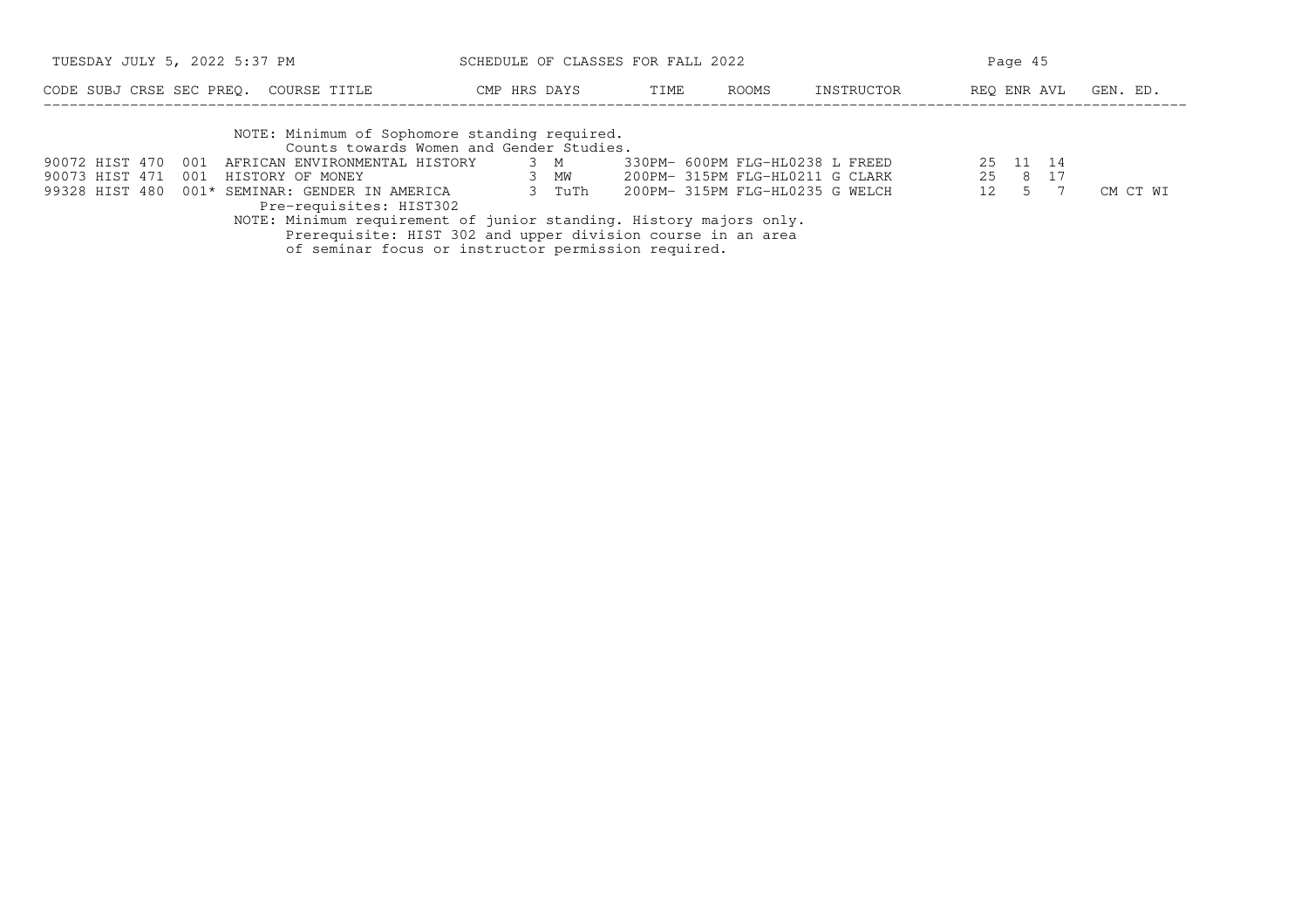| TUESDAY JULY 5, 2022 5:37 PM                                                                                                                                                                                                                                                                                                                                                                                                                                           | SCHEDULE OF CLASSES FOR FALL 2022 |      |       | Page 45                                                                                               |                                              |          |  |
|------------------------------------------------------------------------------------------------------------------------------------------------------------------------------------------------------------------------------------------------------------------------------------------------------------------------------------------------------------------------------------------------------------------------------------------------------------------------|-----------------------------------|------|-------|-------------------------------------------------------------------------------------------------------|----------------------------------------------|----------|--|
| CODE SUBJ CRSE SEC PREO. COURSE TITLE                                                                                                                                                                                                                                                                                                                                                                                                                                  | CMP HRS DAYS                      | TIME | ROOMS | INSTRUCTOR                                                                                            | REO ENR AVL                                  | GEN. ED. |  |
| NOTE: Minimum of Sophomore standing required.<br>Counts towards Women and Gender Studies.<br>90072 HIST 470<br>001<br>AFRICAN ENVIRONMENTAL HISTORY<br>90073 HIST 471<br>001 HISTORY OF MONEY<br>99328 HIST 480 001* SEMINAR: GENDER IN AMERICA<br>Pre-requisites: HIST302<br>NOTE: Minimum requirement of junior standing. History majors only.<br>Prerequisite: HIST 302 and upper division course in an area<br>of seminar focus or instructor permission required. | 3 M<br>3 MW<br>3 TuTh             |      |       | 330PM- 600PM FLG-HL0238 L FREED<br>200PM- 315PM FLG-HL0211 G CLARK<br>200PM- 315PM FLG-HL0235 G WELCH | 25 11 14<br>25 8 17<br>12 <sup>1</sup><br>.5 | CM CT WI |  |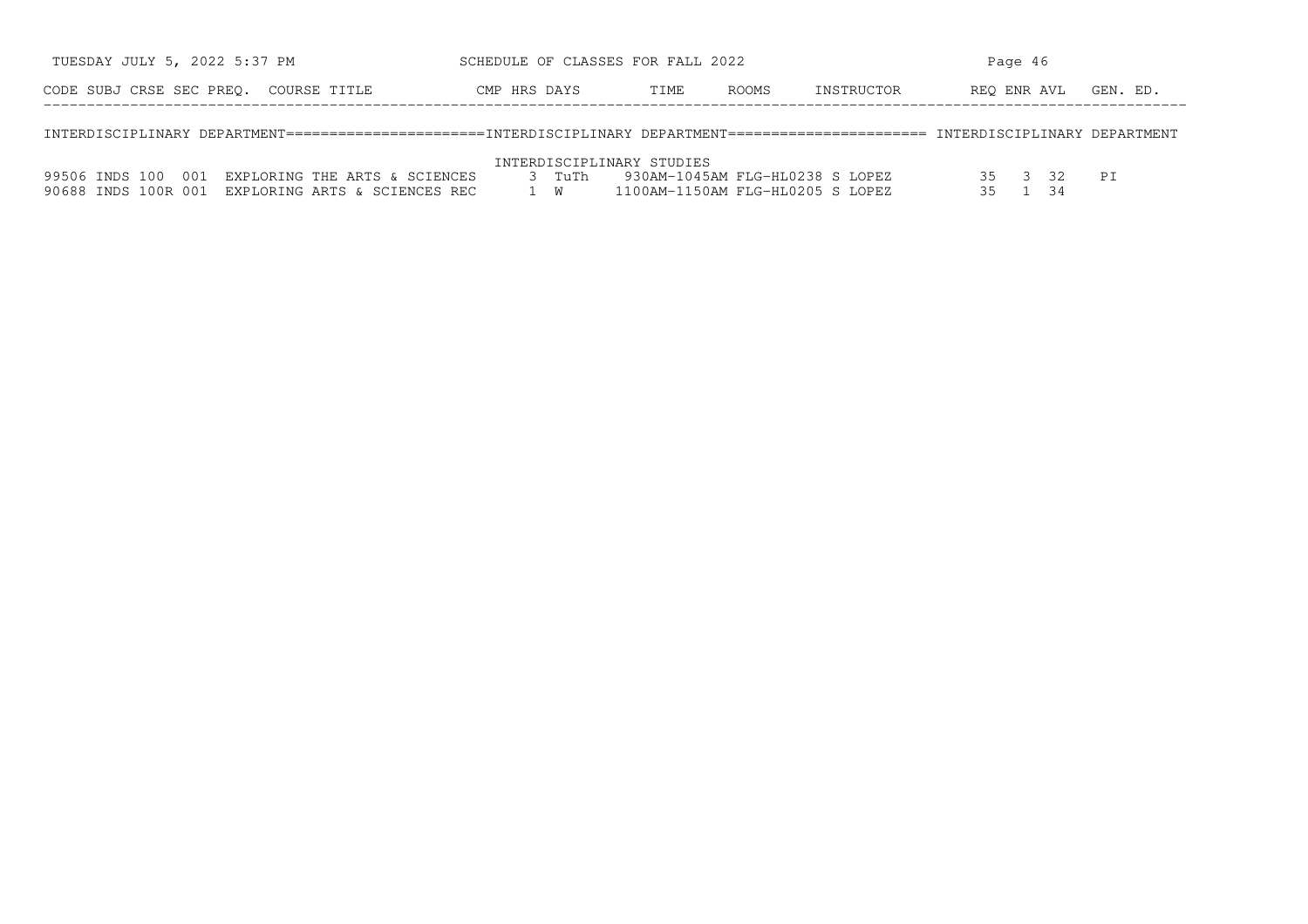| TUESDAY JULY 5, 2022 5:37 PM          | SCHEDULE OF CLASSES FOR FALL 2022 |      |              |            | Page 46              |  |  |  |
|---------------------------------------|-----------------------------------|------|--------------|------------|----------------------|--|--|--|
| CODE SUBJ CRSE SEC PREO. COURSE TITLE | CMP HRS DAYS                      | TIME | <b>ROOMS</b> | INSTRUCTOR | REO ENR AVL GEN. ED. |  |  |  |
|                                       |                                   |      |              |            |                      |  |  |  |

INTERDISCIPLINARY DEPARTMENT=======================INTERDISCIPLINARY DEPARTMENT======================= INTERDISCIPLINARY DEPARTMENT

## INTERDISCIPLINARY STUDIES

|  |  | 99506 INDS 100 001 EXPLORING THE ARTS & SCIENCES  | $\beta$ TuTh | 1 930AM-1045AM FLG-HL0238 S LOPEZ |  |  |
|--|--|---------------------------------------------------|--------------|-----------------------------------|--|--|
|  |  | 90688 INDS 100R 001 EXPLORING ARTS & SCIENCES REC |              | 1100AM-1150AM FLG-HL0205 S LOPEZ  |  |  |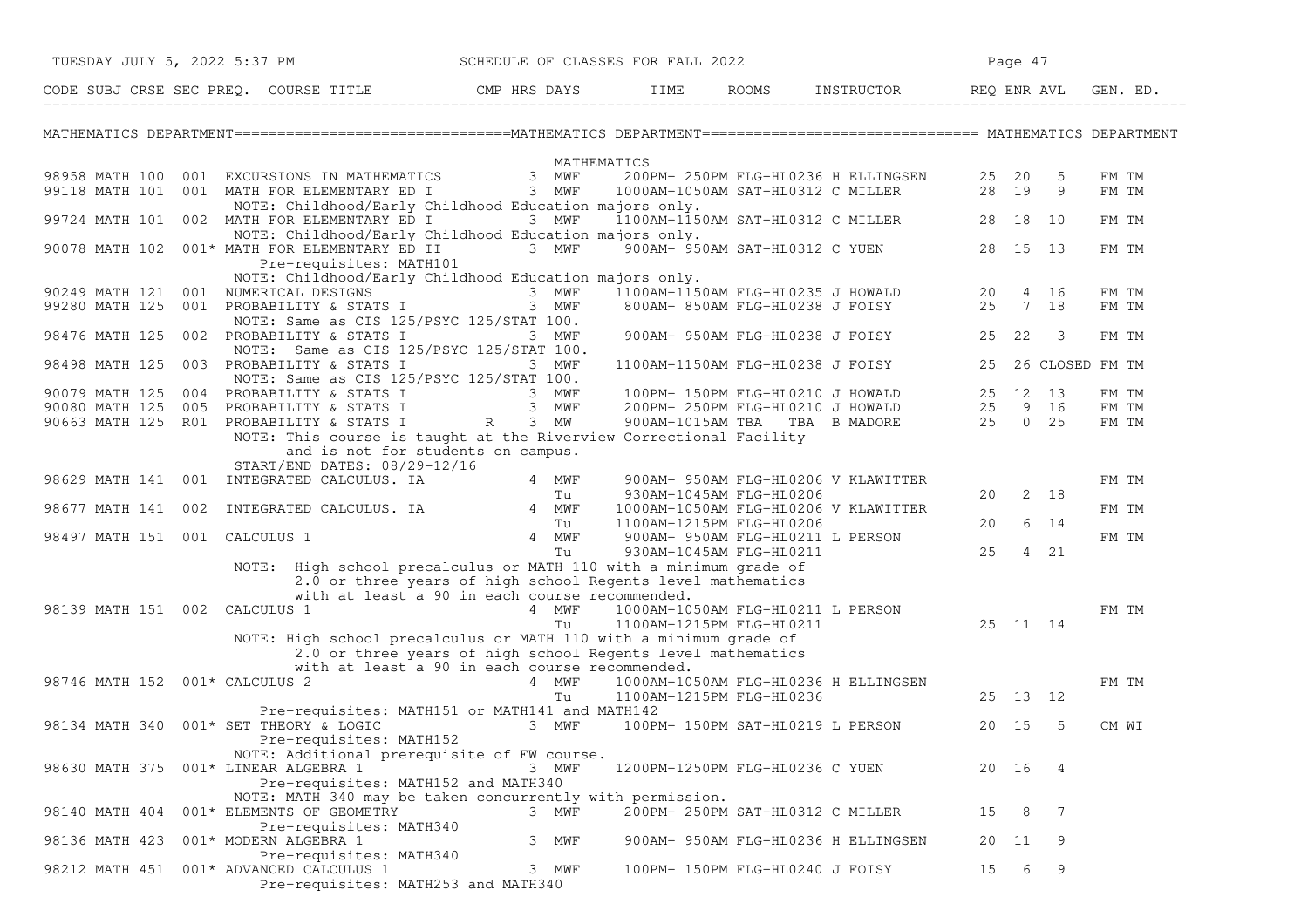|                    | TUESDAY JULY 5, 2022 5:37 PM                                                                                                    |                                                                                                                                          |       |       | SCHEDULE OF CLASSES FOR FALL 2022 |                                                                                                                                |    | Page 47 |                          |          |
|--------------------|---------------------------------------------------------------------------------------------------------------------------------|------------------------------------------------------------------------------------------------------------------------------------------|-------|-------|-----------------------------------|--------------------------------------------------------------------------------------------------------------------------------|----|---------|--------------------------|----------|
|                    | CODE SUBJ CRSE SEC PREQ. COURSE TITLE THE THE THE ROOMS INSTRUCTOR THE REQ ENR AVL GEN                                          |                                                                                                                                          |       |       |                                   |                                                                                                                                |    |         |                          | GEN. ED. |
|                    | MATHEMATICS DEPARTMENT==============================MATHEMATICS DEPARTMENT============================== MATHEMATICS DEPARTMENT |                                                                                                                                          |       |       |                                   |                                                                                                                                |    |         |                          |          |
|                    |                                                                                                                                 |                                                                                                                                          |       |       | MATHEMATICS                       |                                                                                                                                |    |         |                          |          |
|                    | 98958 MATH 100 001 EXCURSIONS IN MATHEMATICS 3 MWF<br>99118 MATH 101 001 MATH FOR ELEMENTARY ED I 3 MWF                         |                                                                                                                                          |       |       |                                   | 200PM- 250PM FLG-HL0236 H ELLINGSEN 25 20                                                                                      |    |         | -5                       | FM TM    |
|                    |                                                                                                                                 |                                                                                                                                          |       |       |                                   | 1000AM-1050AM SAT-HL0312 C MILLER 28 19                                                                                        |    |         | - 9                      | FM TM    |
|                    | 99724 MATH 101 002 MATH FOR ELEMENTARY ED I                                                                                     | NOTE: Childhood/Early Childhood Education majors only.<br>3 MWF                                                                          |       |       |                                   | 1100AM-1150AM SAT-HL0312 C MILLER 28 18 10                                                                                     |    |         |                          | FM TM    |
|                    |                                                                                                                                 | NOTE: Childhood/Early Childhood Education majors only.                                                                                   |       |       |                                   |                                                                                                                                |    |         |                          |          |
|                    | 90078 MATH 102 001* MATH FOR ELEMENTARY ED II                                                                                   |                                                                                                                                          |       |       |                                   | 3 MWF 900AM-950AM SAT-HL0312 C YUEN 28 15 13                                                                                   |    |         |                          | FM TM    |
|                    |                                                                                                                                 | Pre-requisites: MATH101                                                                                                                  |       |       |                                   |                                                                                                                                |    |         |                          |          |
|                    |                                                                                                                                 | NOTE: Childhood/Early Childhood Education majors only.                                                                                   |       |       |                                   |                                                                                                                                |    |         |                          |          |
| 90249 MATH 121     | 001 NUMERICAL DESIGNS                                                                                                           | 3 MWF                                                                                                                                    |       |       |                                   | ajors only.<br>1100am-1150am FLG-HL0235 J HOWALD 20 4 16<br>800am- 850am FLG-HL0238 J FOISY 25 7 18                            |    |         |                          | FM TM    |
| 99280 MATH 125     | 001 PROBABILITY & STATS I                                                                                                       |                                                                                                                                          | 3 MWF |       |                                   |                                                                                                                                |    |         |                          | FM TM    |
| 98476 MATH 125     | 002 PROBABILITY & STATS I                                                                                                       | NOTE: Same as CIS 125/PSYC 125/STAT 100.                                                                                                 |       | 3 MWF |                                   | 900AM- 950AM FLG-HL0238 J FOISY 25 22                                                                                          |    |         | $\overline{\phantom{a}}$ | FM TM    |
|                    |                                                                                                                                 | NOTE: Same as CIS 125/PSYC 125/STAT 100.                                                                                                 |       |       |                                   |                                                                                                                                |    |         |                          |          |
| 98498 MATH 125     | 003 PROBABILITY & STATS I                                                                                                       |                                                                                                                                          |       | 3 MWF |                                   | 1100AM-1150AM FLG-HL0238 J FOISY 25 26 CLOSED FM TM                                                                            |    |         |                          |          |
|                    |                                                                                                                                 | NOTE: Same as CIS 125/PSYC 125/STAT 100.                                                                                                 |       |       |                                   |                                                                                                                                |    |         |                          |          |
|                    | 90079 MATH 125 004 PROBABILITY & STATS I                                                                                        |                                                                                                                                          |       |       |                                   |                                                                                                                                |    |         |                          | FM TM    |
| 90080 MATH 125     | 005 PROBABILITY & STATS I                                                                                                       | 3 MWF<br>3 MWF                                                                                                                           |       |       |                                   |                                                                                                                                |    |         |                          | FM TM    |
|                    | 90663 MATH 125 RO1 PROBABILITY & STATS I R 3 MW                                                                                 |                                                                                                                                          |       |       |                                   | 100PM- 150PM FLG-HL0210 J HOWALD 25 12 13<br>200PM- 250PM FLG-HL0210 J HOWALD 25 9 16<br>900AM-1015AM TBA TBA B MADORE 25 0 25 |    |         |                          | FM TM    |
|                    |                                                                                                                                 | NOTE: This course is taught at the Riverview Correctional Facility<br>and is not for students on campus.<br>START/END DATES: 08/29-12/16 |       |       |                                   |                                                                                                                                |    |         |                          |          |
|                    | 98629 MATH 141 001 INTEGRATED CALCULUS. IA $\frac{4}{\pi}$                                                                      |                                                                                                                                          |       |       |                                   | 900AM- 950AM FLG-HL0206 V KLAWITTER                                                                                            |    |         |                          | FM TM    |
|                    |                                                                                                                                 |                                                                                                                                          |       | Tu    | 930AM-1045AM FLG-HL0206           |                                                                                                                                | 20 |         | 2 18                     |          |
| 98677 MATH 141 002 |                                                                                                                                 | INTEGRATED CALCULUS. IA 4 MWF                                                                                                            |       |       | 1100AM-1215PM FLG-HL0206          | 1000AM-1050AM FLG-HL0206 V KLAWITTER                                                                                           | 20 |         | 6 14                     | FM TM    |
|                    | 98497 MATH 151 001 CALCULUS 1                                                                                                   | $\begin{array}{cc} & \text{Tu} \\ 4 & \text{MWF} \end{array}$                                                                            |       |       |                                   | 900AM- 950AM FLG-HL0211 L PERSON                                                                                               |    |         |                          | FM TM    |
|                    |                                                                                                                                 |                                                                                                                                          |       | Tu    | 930AM-1045AM FLG-HL0211           |                                                                                                                                | 25 |         | 4 21                     |          |
|                    |                                                                                                                                 | NOTE: High school precalculus or MATH 110 with a minimum grade of                                                                        |       |       |                                   |                                                                                                                                |    |         |                          |          |
|                    |                                                                                                                                 | 2.0 or three years of high school Regents level mathematics                                                                              |       |       |                                   |                                                                                                                                |    |         |                          |          |
|                    |                                                                                                                                 | with at least a 90 in each course recommended.                                                                                           |       |       |                                   |                                                                                                                                |    |         |                          |          |
| 98139 MATH 151 002 | CALCULUS 1                                                                                                                      |                                                                                                                                          | 4 MWF |       |                                   | 1000AM-1050AM FLG-HL0211 L PERSON<br>1100AM-1215PM FLG-HL0211 1988 25 11 14                                                    |    |         |                          | FM TM    |
|                    |                                                                                                                                 |                                                                                                                                          |       | Tu    |                                   |                                                                                                                                |    |         |                          |          |
|                    |                                                                                                                                 | NOTE: High school precalculus or MATH 110 with a minimum grade of<br>2.0 or three years of high school Regents level mathematics         |       |       |                                   |                                                                                                                                |    |         |                          |          |
|                    |                                                                                                                                 | with at least a 90 in each course recommended.                                                                                           |       |       |                                   |                                                                                                                                |    |         |                          |          |
|                    | 98746 MATH 152 001* CALCULUS 2                                                                                                  |                                                                                                                                          | 4 MWF |       |                                   |                                                                                                                                |    |         |                          | FM TM    |
|                    |                                                                                                                                 |                                                                                                                                          |       | Tu    |                                   | 1000AM-1050AM FLG-HL0236 H ELLINGSEN<br>1100AM-1215PM FLG-HL0236                                                               |    |         | 25 13 12                 |          |
|                    |                                                                                                                                 | Pre-requisites: MATH151 or MATH141 and MATH142                                                                                           |       |       |                                   |                                                                                                                                |    |         |                          |          |
|                    | 98134 MATH 340 001* SET THEORY & LOGIC                                                                                          | 3 MWF                                                                                                                                    |       |       |                                   | 100PM- 150PM SAT-HL0219 L PERSON                                                                                               |    | 20 15   | -5                       | CM WI    |
|                    |                                                                                                                                 | Pre-requisites: MATH152                                                                                                                  |       |       |                                   |                                                                                                                                |    |         |                          |          |
|                    | 98630 MATH 375 001* LINEAR ALGEBRA 1                                                                                            | NOTE: Additional prerequisite of FW course.                                                                                              |       | 3 MWF |                                   | 1200PM-1250PM FLG-HL0236 C YUEN                                                                                                |    | 20 16   | - 4                      |          |
|                    |                                                                                                                                 | Pre-requisites: MATH152 and MATH340                                                                                                      |       |       |                                   |                                                                                                                                |    |         |                          |          |
|                    |                                                                                                                                 | NOTE: MATH 340 may be taken concurrently with permission.                                                                                |       |       |                                   |                                                                                                                                |    |         |                          |          |
|                    | 98140 MATH 404 001* ELEMENTS OF GEOMETRY                                                                                        |                                                                                                                                          |       | 3 MWF |                                   | 200PM- 250PM SAT-HL0312 C MILLER                                                                                               | 15 | 8       | 7                        |          |
|                    |                                                                                                                                 | Pre-requisites: MATH340                                                                                                                  |       |       |                                   |                                                                                                                                |    |         |                          |          |
| 98136 MATH 423     | 001* MODERN ALGEBRA 1                                                                                                           |                                                                                                                                          |       | 3 MWF |                                   | 900AM- 950AM FLG-HL0236 H ELLINGSEN                                                                                            |    | 20 11   | -9                       |          |
|                    |                                                                                                                                 | Pre-requisites: MATH340                                                                                                                  |       |       |                                   |                                                                                                                                |    |         |                          |          |
|                    | 98212 MATH 451 001* ADVANCED CALCULUS 1                                                                                         | Pre-requisites: MATH253 and MATH340                                                                                                      |       | 3 MWF |                                   | 100PM- 150PM FLG-HL0240 J FOISY                                                                                                | 15 | 6       | 9                        |          |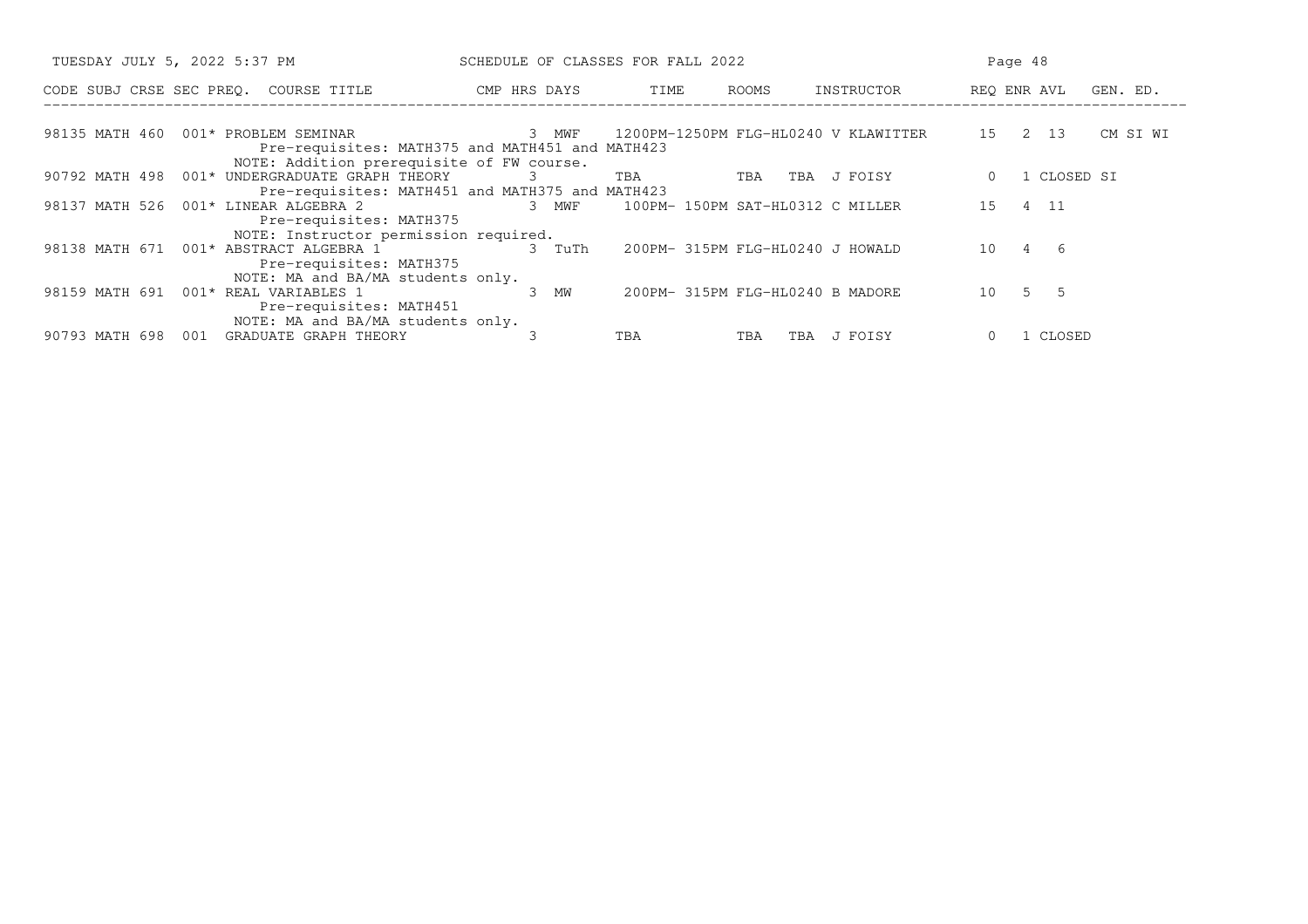| TUESDAY JULY 5, 2022 5:37 PM                                                                                                                      | SCHEDULE OF CLASSES FOR FALL 2022 |                                      |                | Page 48                 |
|---------------------------------------------------------------------------------------------------------------------------------------------------|-----------------------------------|--------------------------------------|----------------|-------------------------|
| CODE SUBJ CRSE SEC PREQ. COURSE TITLE                                                                                                             | CMP HRS DAYS                      | ROOMS<br>TIME                        | INSTRUCTOR     | REQ ENR AVL<br>GEN. ED. |
| 98135 MATH 460<br>001* PROBLEM SEMINAR<br>Pre-requisites: MATH375 and MATH451 and MATH423                                                         | 3 MWF                             | 1200PM-1250PM FLG-HL0240 V KLAWITTER |                | 15<br>2 13<br>CM SI WI  |
| NOTE: Addition prerequisite of FW course.<br>001* UNDERGRADUATE GRAPH THEORY<br>90792 MATH 498<br>Pre-requisites: MATH451 and MATH375 and MATH423 | .3                                | TBA<br>TBA                           | J FOISY<br>TBA | 1 CLOSED SI             |
| 001* LINEAR ALGEBRA 2<br>98137 MATH 526<br>Pre-requisites: MATH375                                                                                | 3 MWF                             | 100PM- 150PM SAT-HL0312 C MILLER     |                | 15 4 11                 |
| NOTE: Instructor permission required.<br>98138 MATH 671<br>001* ABSTRACT ALGEBRA 1<br>Pre-requisites: MATH375                                     | 3 TuTh                            | 200PM- 315PM FLG-HL0240 J HOWALD     |                | 4<br>- 6<br>10          |
| NOTE: MA and BA/MA students only.<br>001* REAL VARIABLES 1<br>98159 MATH 691<br>Pre-requisites: MATH451                                           | 3 MW                              | 200PM- 315PM FLG-HL0240 B MADORE     |                | 5 5<br>10               |
| NOTE: MA and BA/MA students only.<br>GRADUATE GRAPH THEORY<br>90793 MATH 698<br>001                                                               |                                   | TBA<br>TBA                           | J FOISY<br>TBA | 1 CLOSED                |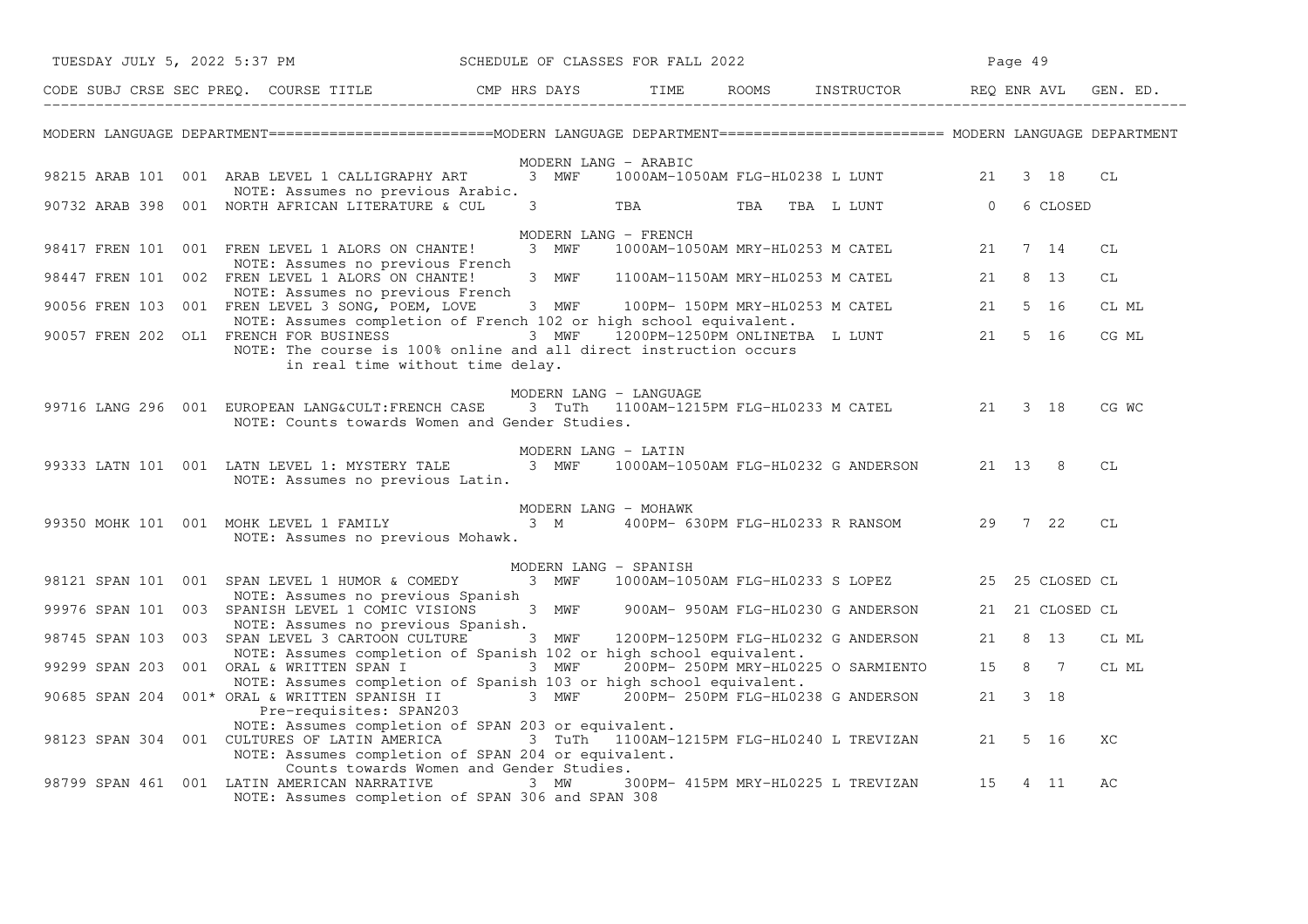|  | TUESDAY JULY 5, 2022 5:37 PM                                                                                                                                                                 |       |                                | SCHEDULE OF CLASSES FOR FALL 2022 |  |                                                  |         | Page 49 |                 |       |
|--|----------------------------------------------------------------------------------------------------------------------------------------------------------------------------------------------|-------|--------------------------------|-----------------------------------|--|--------------------------------------------------|---------|---------|-----------------|-------|
|  | CODE SUBJ CRSE SEC PREQ. COURSE TITLE THE CAP HRS DAYS TIME THE                                                                                                                              |       |                                |                                   |  |                                                  |         |         |                 |       |
|  | MODERN LANGUAGE DEPARTMENT=========================MODERN LANGUAGE DEPARTMENT======================== MODERN LANGUAGE DEPARTMENT                                                             |       |                                |                                   |  |                                                  |         |         |                 |       |
|  | 98215 ARAB 101 001 ARAB LEVEL 1 CALLIGRAPHY ART<br>NOTE: Assumes no previous Arabic.                                                                                                         | 3 MWF |                                | MODERN LANG - ARABIC              |  | 1000AM-1050AM FLG-HL0238 L LUNT 21               |         |         | 3 18            | CL    |
|  | 90732 ARAB 398 001 NORTH AFRICAN LITERATURE & CUL                                                                                                                                            |       | $3 \left( \frac{1}{2} \right)$ | TBA <b>TRANGER</b>                |  | TBA TBA L LUNT 0 6 CLOSED                        |         |         |                 |       |
|  |                                                                                                                                                                                              |       |                                | MODERN LANG - FRENCH              |  |                                                  |         |         |                 |       |
|  | 98417 FREN 101 001 FREN LEVEL 1 ALORS ON CHANTE!<br>NOTE: Assumes no previous French                                                                                                         |       | 3 MWF                          |                                   |  | 1000AM-1050AM MRY-HL0253 M CATEL 21 7 14         |         |         |                 | СL    |
|  | 98447 FREN 101 002 FREN LEVEL 1 ALORS ON CHANTE!<br>NOTE: Assumes no previous French                                                                                                         |       | 3 MWF                          |                                   |  | 1100AM-1150AM MRY-HL0253 M CATEL                 | 21      |         | 8 13            | CL    |
|  | 90056 FREN 103 001 FREN LEVEL 3 SONG, POEM, LOVE<br>NOTE: Assumes completion of French 102 or high school equivalent.                                                                        | 3 MWF |                                |                                   |  | 100PM- 150PM MRY-HL0253 M CATEL 21 5 16          |         |         |                 | CL ML |
|  | 90057 FREN 202 OL1 FRENCH FOR BUSINESS 3 MWF 1200PM-1250PM ONLINETBA L LUNT 21 5 16<br>NOTE: The course is 100% online and all direct instruction occurs<br>in real time without time delay. |       |                                |                                   |  |                                                  |         |         |                 | CG ML |
|  |                                                                                                                                                                                              |       |                                | MODERN LANG - LANGUAGE            |  |                                                  |         |         |                 |       |
|  | 99716 LANG 296 001 EUROPEAN LANG&CULT:FRENCH CASE<br>NOTE: Counts towards Women and Gender Studies.                                                                                          |       |                                |                                   |  | 3 TuTh 1100AM-1215PM FLG-HL0233 M CATEL 21 3 18  |         |         |                 | CG WC |
|  | 99333 LATN 101 001 LATN LEVEL 1: MYSTERY TALE 3 MWF<br>NOTE: Assumes no previous Latin.                                                                                                      |       |                                | MODERN LANG - LATIN               |  | 1000AM-1050AM FLG-HL0232 G ANDERSON 21 13 8      |         |         |                 | CL    |
|  |                                                                                                                                                                                              |       |                                | MODERN LANG - MOHAWK              |  |                                                  |         |         |                 |       |
|  | 99350 MOHK 101 001 MOHK LEVEL 1 FAMILY<br>NOTE: Assumes no previous Mohawk.                                                                                                                  | 3 M   |                                |                                   |  | 400PM- 630PM FLG-HL0233 R RANSOM 29 7 22         |         |         |                 | СL    |
|  |                                                                                                                                                                                              |       |                                | MODERN LANG - SPANISH             |  |                                                  |         |         |                 |       |
|  | 98121 SPAN 101 001 SPAN LEVEL 1 HUMOR & COMEDY<br>NOTE: Assumes no previous Spanish                                                                                                          |       | 3 MWF                          |                                   |  | 1000AM-1050AM FLG-HL0233 S LOPEZ 25 25 CLOSED CL |         |         |                 |       |
|  | 99976 SPAN 101 003 SPANISH LEVEL 1 COMIC VISIONS<br>NOTE: Assumes no previous Spanish.                                                                                                       |       |                                |                                   |  | 3 MWF 900AM-950AM FLG-HL0230 G ANDERSON          |         |         | 21 21 CLOSED CL |       |
|  | 98745 SPAN 103 003 SPAN LEVEL 3 CARTOON CULTURE 3 MWF 1200PM-1250PM FLG-HL0232 G ANDERSON<br>NOTE: Assumes completion of Spanish 102 or high school equivalent.                              |       |                                |                                   |  |                                                  | 21 8 13 |         |                 | CL ML |
|  | 99299 SPAN 203 001 ORAL & WRITTEN SPAN I<br>NOTE: Assumes completion of Spanish 103 or high school equivalent.                                                                               |       | 3 MWF                          |                                   |  | 200PM-250PM MRY-HL0225 O SARMIENTO 15 8 7        |         |         |                 | CL ML |
|  | 90685 SPAN 204 001* ORAL & WRITTEN SPANISH II<br>Pre-requisites: SPAN203                                                                                                                     |       |                                |                                   |  | 3 MWF 200PM-250PM FLG-HL0238 G ANDERSON          |         | 21 3 18 |                 |       |
|  | NOTE: Assumes completion of SPAN 203 or equivalent.<br>98123 SPAN 304 001 CULTURES OF LATIN AMERICA<br>NOTE: Assumes completion of SPAN 204 or equivalent.                                   |       |                                |                                   |  | 3 TuTh 1100AM-1215PM FLG-HL0240 L TREVIZAN       |         | 21 5 16 |                 | XC    |
|  | Counts towards Women and Gender Studies.<br>98799 SPAN 461 001 LATIN AMERICAN NARRATIVE<br>NOTE: Assumes completion of SPAN 306 and SPAN 308                                                 | 3 MW  |                                |                                   |  | 300PM- 415PM MRY-HL0225 L TREVIZAN 15            |         |         | 4 11            | АC    |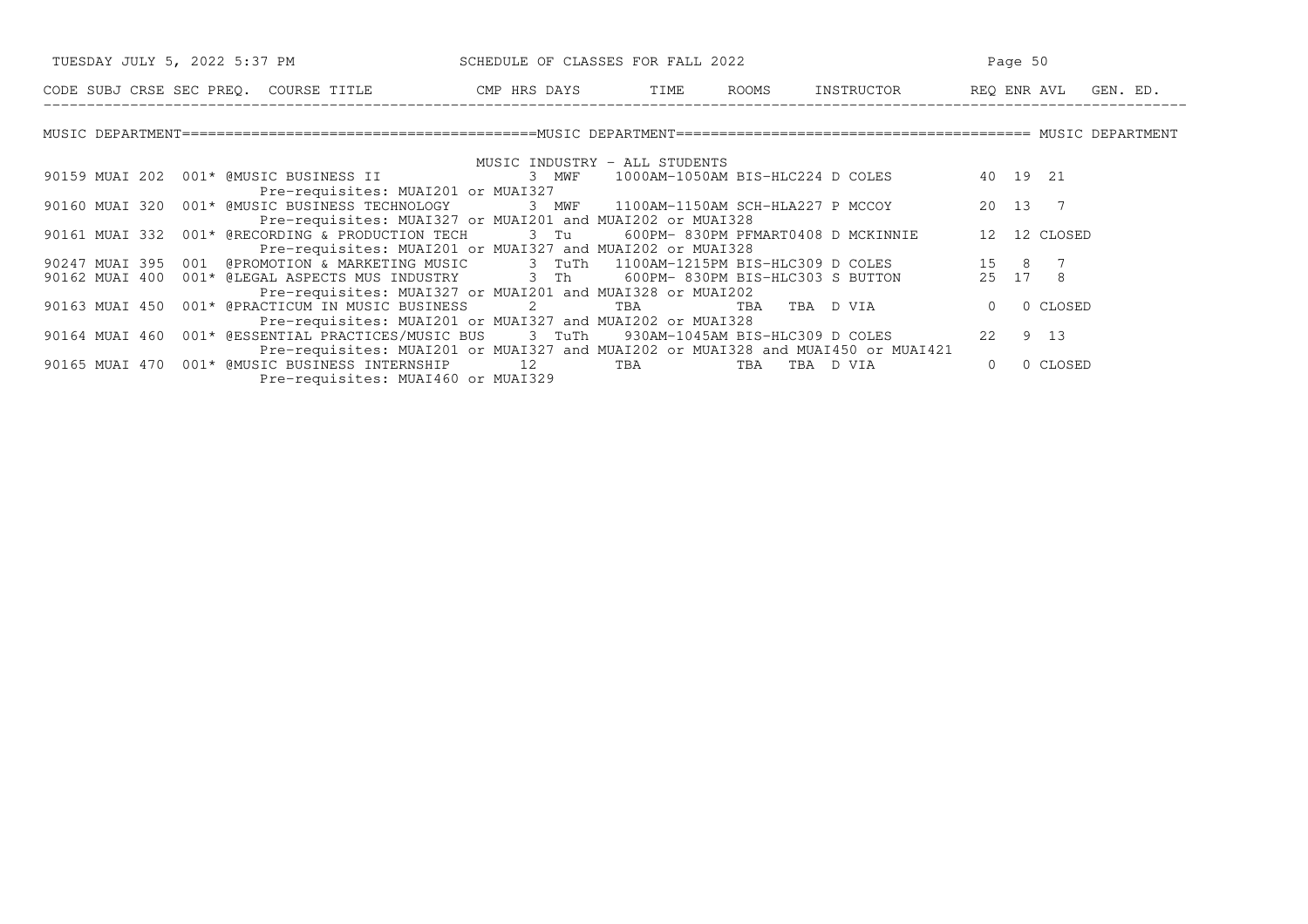| TUESDAY JULY 5, 2022 5:37 PM SCHEDULE OF CLASSES FOR FALL 2022                                                                                                                                 | Page 50                       |     |                                                                                  |                      |
|------------------------------------------------------------------------------------------------------------------------------------------------------------------------------------------------|-------------------------------|-----|----------------------------------------------------------------------------------|----------------------|
| CODE SUBJ CRSE SEC PREQ. COURSE TITLE TO THE ROOMS INSTRUCTOR THE ROOMS ENGLAVI GEN. ED.                                                                                                       |                               |     |                                                                                  |                      |
|                                                                                                                                                                                                |                               |     |                                                                                  |                      |
|                                                                                                                                                                                                | MUSIC INDUSTRY - ALL STUDENTS |     |                                                                                  |                      |
| 90159 MUAI 202 001* @MUSIC BUSINESS II                                                                                                                                                         |                               |     | 3 MWF 1000AM-1050AM BIS-HLC224 D COLES 40 19 21                                  |                      |
| Pre-requisites: MUAI201 or MUAI327                                                                                                                                                             |                               |     |                                                                                  |                      |
| 90160 MUAI 320 001* @MUSIC BUSINESS TECHNOLOGY 3 MWF 1100AM-1150AM SCH-HLA227 P MCCOY                                                                                                          |                               |     |                                                                                  | 20 13 7              |
| Pre-requisites: MUAI327 or MUAI201 and MUAI202 or MUAI328                                                                                                                                      |                               |     |                                                                                  |                      |
| 90161 MUAI 332 001* @RECORDING & PRODUCTION TECH 3 Tu 600PM-830PM PFMART0408 D MCKINNIE 12 12 CLOSED                                                                                           |                               |     |                                                                                  |                      |
| Pre-requisites: MUAI201 or MUAI327 and MUAI202 or MUAI328                                                                                                                                      |                               |     |                                                                                  |                      |
|                                                                                                                                                                                                |                               |     |                                                                                  |                      |
| 90247 MUAI 395 001 @PROMOTION & MARKETING MUSIC 3 TuTh 1100AM-1215PM BIS-HLC309 D COLES 15 8 7<br>90162 MUAI 400 001* @LEGAL ASPECTS MUS INDUSTRY 3 Th 600PM-830PM BIS-HLC303 S BUTTON 25 17 8 |                               |     |                                                                                  |                      |
| Pre-requisites: MUAI327 or MUAI201 and MUAI328 or MUAI202                                                                                                                                      |                               |     |                                                                                  |                      |
| 90163 MUAI 450  001* @PRACTICUM IN MUSIC BUSINESS 2                                                                                                                                            |                               | TBA | TBA TBA D VIA                                                                    | 0 CLOSED<br>$\Omega$ |
| Pre-requisites: MUAI201 or MUAI327 and MUAI202 or MUAI328                                                                                                                                      |                               |     |                                                                                  |                      |
| 90164 MUAI 460 001* @ESSENTIAL PRACTICES/MUSIC BUS 3 TuTh 930AM-1045AM BIS-HLC309 D COLES                                                                                                      |                               |     |                                                                                  | 22 9 13              |
|                                                                                                                                                                                                |                               |     | Pre-requisites: MUAI201 or MUAI327 and MUAI202 or MUAI328 and MUAI450 or MUAI421 |                      |
| 90165 MUAI 470  001* @MUSIC BUSINESS INTERNSHIP  12 TBA                                                                                                                                        |                               | TBA | TBA D VIA                                                                        | 0 CLOSED<br>$\Omega$ |
| Pre-requisites: MUAI460 or MUAI329                                                                                                                                                             |                               |     |                                                                                  |                      |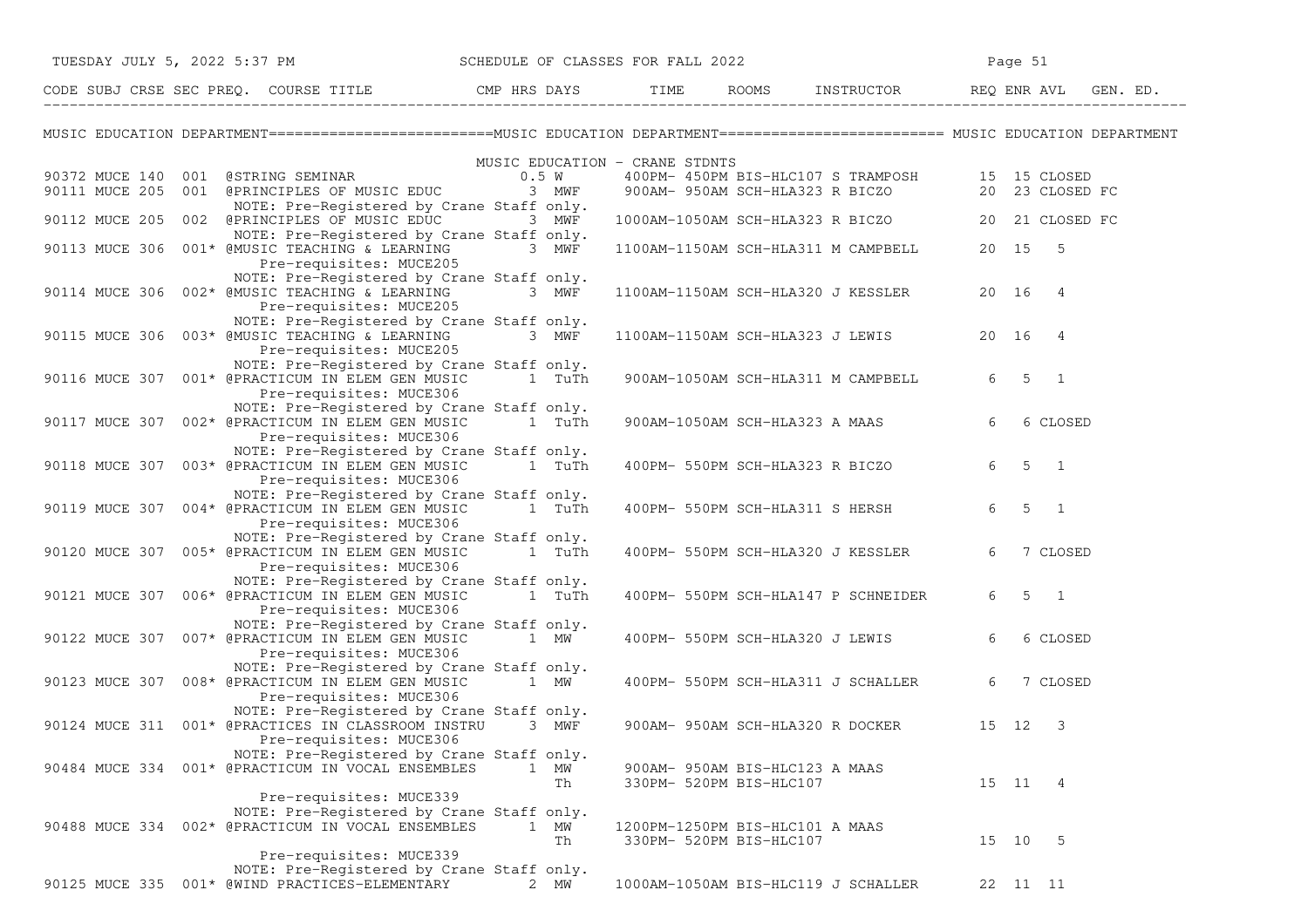|  | TUESDAY JULY 5, 2022 5:37 PM SCHEDULE OF CLASSES FOR FALL 2022                                                                                                                                                              |               |                          |  |                         |                                                  |   | Page 51               |          |  |
|--|-----------------------------------------------------------------------------------------------------------------------------------------------------------------------------------------------------------------------------|---------------|--------------------------|--|-------------------------|--------------------------------------------------|---|-----------------------|----------|--|
|  | CODE SUBJ CRSE SEC PREQ. COURSE TITLE THE THE THE ROOMS INSTRUCTOR THE REQ ENR AVL GEN. ED.                                                                                                                                 |               |                          |  |                         |                                                  |   |                       |          |  |
|  | MUSIC EDUCATION DEPARTMENT=========================MUSIC EDUCATION DEPARTMENT======================== MUSIC EDUCATION DEPARTMENT                                                                                            |               |                          |  |                         |                                                  |   |                       |          |  |
|  | MUSIC EDUCATION - CRANE STDNTS<br>90372 MUCE 140 001 @STRING SEMINAR 0.5 W 400PM-450PM BIS-HLC107 S TRAMPOSH 15 15 CLOSED<br>90111 MUCE 205 001 @PRINCIPLES OF MUSIC EDUC 3 MWF 900AM-950AM SCH-HLA323 R BICZO 23 CLOSED FC |               |                          |  |                         |                                                  |   |                       |          |  |
|  | NOTE: Pre-Registered by Crane Staff only.<br>90112 MUCE 205 002 @PRINCIPLES OF MUSIC EDUC 3 MWF<br>NOTE: Pre-Registered by Crane Staff only.                                                                                |               |                          |  |                         | 1000AM-1050AM SCH-HLA323 R BICZO 20 21 CLOSED FC |   |                       |          |  |
|  | 90113 MUCE 306 001* @MUSIC TEACHING & LEARNING<br>Pre-requisites: MUCE205                                                                                                                                                   | 3 $MW\bar{F}$ |                          |  |                         | 1100AM-1150AM SCH-HLA311 M CAMPBELL 20 15 5      |   |                       |          |  |
|  | NOTE: Pre-Registered by Crane Staff only.<br>90114 MUCE 306 002* @MUSIC TEACHING & LEARNING<br>Pre-requisites: MUCE205                                                                                                      | 3 MWF         |                          |  |                         | 1100AM-1150AM SCH-HLA320 J KESSLER 20 16 4       |   |                       |          |  |
|  | NOTE: Pre-Registered by Crane Staff only.<br>90115 MUCE 306 003* @MUSIC TEACHING & LEARNING 3 MWF<br>Pre-requisites: MUCE205                                                                                                |               |                          |  |                         | 1100AM-1150AM SCH-HLA323 J LEWIS 20 16 4         |   |                       |          |  |
|  | NOTE: Pre-Registered by Crane Staff only.<br>90116 MUCE 307 001* @PRACTICUM IN ELEM GEN MUSIC<br>Pre-requisites: MUCE306                                                                                                    |               | 1 TuTh                   |  |                         | 900AM-1050AM SCH-HLA311 M CAMPBELL               |   | 6 5 1                 |          |  |
|  | NOTE: Pre-Registered by Crane Staff only.<br>90117 MUCE 307 002* @PRACTICUM IN ELEM GEN MUSIC 1 TuTh<br>Pre-requisites: MUCE306                                                                                             |               |                          |  |                         | 900AM-1050AM SCH-HLA323 A MAAS                   | 6 |                       | 6 CLOSED |  |
|  | NOTE: Pre-Registered by Crane Staff only.<br>90118 MUCE 307 003* @PRACTICUM IN ELEM GEN MUSIC 1 TuTh<br>Pre-requisites: MUCE306                                                                                             |               |                          |  |                         | 400PM- 550PM SCH-HLA323 R BICZO                  |   | $6 \qquad 5 \qquad 1$ |          |  |
|  | NOTE: Pre-Registered by Crane Staff only.<br>90119 MUCE 307 004* @PRACTICUM IN ELEM GEN MUSIC<br>Pre-requisites: MUCE306                                                                                                    |               | 1 TuTh                   |  |                         | 400PM- 550PM SCH-HLA311 S HERSH                  |   | $6 \quad 5 \quad 1$   |          |  |
|  | NOTE: Pre-Registered by Crane Staff only.<br>90120 MUCE 307 005* @PRACTICUM IN ELEM GEN MUSIC 1 TuTh<br>Pre-requisites: MUCE306                                                                                             |               |                          |  |                         | 400PM- 550PM SCH-HLA320 J KESSLER                | 6 |                       | 7 CLOSED |  |
|  | NOTE: Pre-Registered by Crane Staff only.<br>90121 MUCE 307 006* @PRACTICUM IN ELEM GEN MUSIC 1 TuTh<br>Pre-requisites: MUCE306                                                                                             |               |                          |  |                         | 400PM- 550PM SCH-HLA147 P SCHNEIDER              |   | $6 \quad 5 \quad 1$   |          |  |
|  | NOTE: Pre-Registered by Crane Staff only.<br>90122 MUCE 307 007* @PRACTICUM IN ELEM GEN MUSIC<br>Pre-requisites: MUCE306                                                                                                    |               | 1 MW                     |  |                         | 400PM- 550PM SCH-HLA320 J LEWIS                  | 6 |                       | 6 CLOSED |  |
|  | NOTE: Pre-Registered by Crane Staff only.<br>90123 MUCE 307 008* @PRACTICUM IN ELEM GEN MUSIC<br>Pre-requisites: MUCE306                                                                                                    |               | 1 MW                     |  |                         | 400PM- 550PM SCH-HLA311 J SCHALLER               | 6 |                       | 7 CLOSED |  |
|  | NOTE: Pre-Registered by Crane Staff only.<br>90124 MUCE 311 001* @PRACTICES IN CLASSROOM INSTRU<br>Pre-requisites: MUCE306                                                                                                  |               | 3 MWF                    |  |                         | 900AM- 950AM SCH-HLA320 R DOCKER 15 12 3         |   |                       |          |  |
|  | NOTE: Pre-Registered by Crane Staff only.<br>90484 MUCE 334 001* @PRACTICUM IN VOCAL ENSEMBLES<br>Pre-requisites: MUCE339                                                                                                   |               | 1 MW<br>Th               |  | 330PM- 520PM BIS-HLC107 | 900AM- 950AM BIS-HLC123 A MAAS                   |   | 15 11 4               |          |  |
|  | NOTE: Pre-Registered by Crane Staff only.<br>90488 MUCE 334 002* @PRACTICUM IN VOCAL ENSEMBLES                                                                                                                              |               | $\mathbf{1}$<br>МW<br>Th |  | 330PM- 520PM BIS-HLC107 | 1200PM-1250PM BIS-HLC101 A MAAS                  |   | 15 10 5               |          |  |
|  | Pre-requisites: MUCE339<br>NOTE: Pre-Registered by Crane Staff only.<br>90125 MUCE 335 001* @WIND PRACTICES-ELEMENTARY                                                                                                      |               | 2 MW                     |  |                         | 1000AM-1050AM BIS-HLC119 J SCHALLER              |   | 22 11 11              |          |  |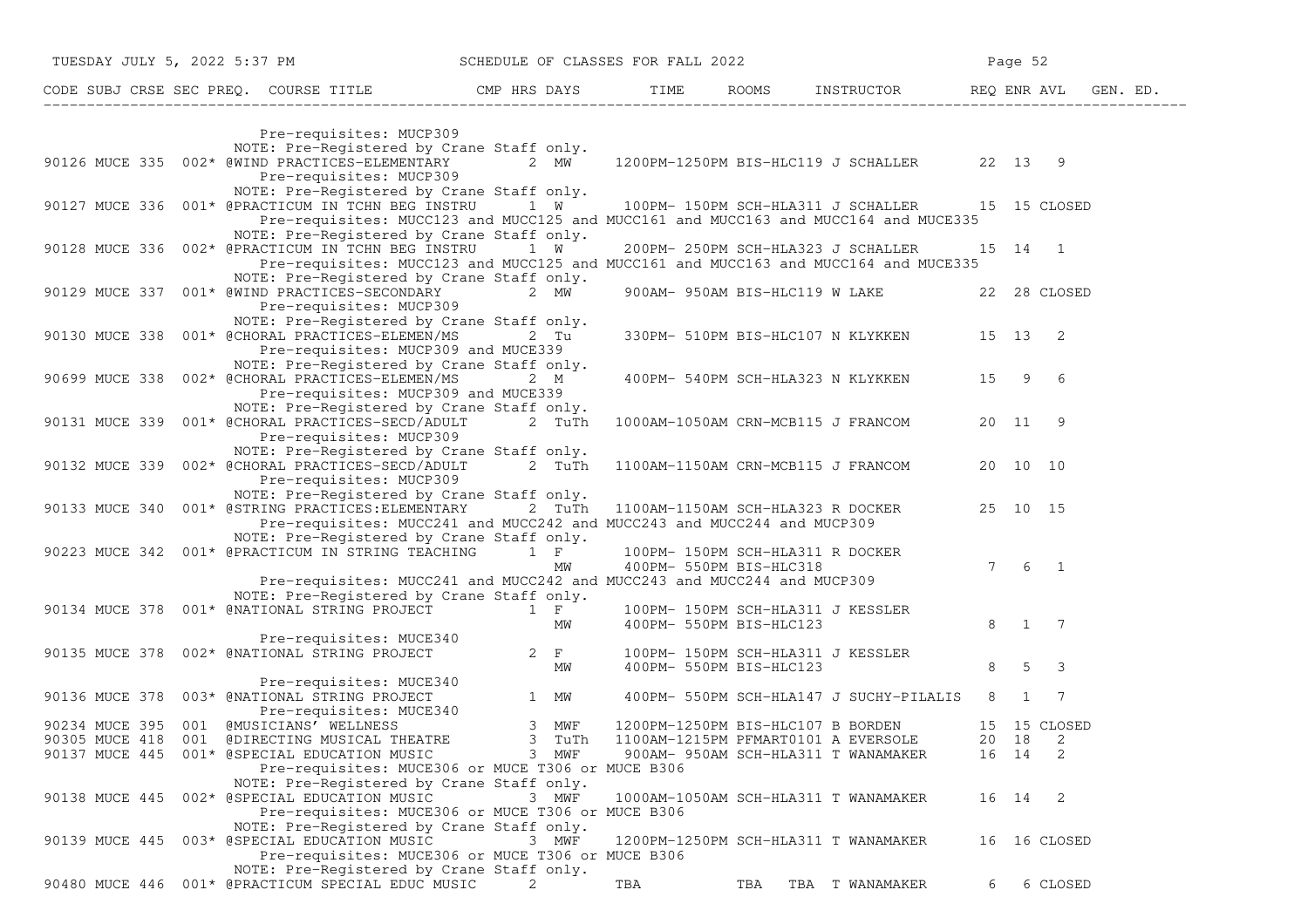|                | TUESDAY JULY 5, 2022 5:37 PM SCHEDULE OF CLASSES FOR FALL 2022                                                                                |           |                                                                 |     |                                                |         | Page 52      |                            |  |
|----------------|-----------------------------------------------------------------------------------------------------------------------------------------------|-----------|-----------------------------------------------------------------|-----|------------------------------------------------|---------|--------------|----------------------------|--|
|                | CODE SUBJ CRSE SEC PREQ. COURSE TITLE THE CMP HRS DAYS TIME ROOMS INSTRUCTOR REQ ENR AVL GEN. ED.                                             |           |                                                                 |     |                                                |         |              |                            |  |
|                | Pre-requisites: MUCP309                                                                                                                       |           |                                                                 |     |                                                |         |              |                            |  |
|                | NOTE: Pre-Registered by Crane Staff only.                                                                                                     |           |                                                                 |     |                                                |         |              |                            |  |
|                | 90126 MUCE 335 002* @WIND PRACTICES-ELEMENTARY 2 MW 1200PM-1250PM BIS-HLC119 J SCHALLER 22 13 9                                               |           |                                                                 |     |                                                |         |              |                            |  |
|                | Pre-requisites: MUCP309                                                                                                                       |           |                                                                 |     |                                                |         |              |                            |  |
|                | NOTE: Pre-Registered by Crane Staff only.                                                                                                     |           |                                                                 |     |                                                |         |              |                            |  |
|                | 90127 MUCE 336 001* @PRACTICUM IN TCHN BEG INSTRU 1 W 100PM-150PM SCH-HLA311 J SCHALLER 15 15 CLOSED                                          |           |                                                                 |     |                                                |         |              |                            |  |
|                | Pre-requisites: MUCC123 and MUCC125 and MUCC161 and MUCC163 and MUCC164 and MUCE335                                                           |           |                                                                 |     |                                                |         |              |                            |  |
|                | NOTE: Pre-Registered by Crane Staff only.                                                                                                     |           |                                                                 |     |                                                |         |              |                            |  |
|                | 90128 MUCE 336 002* @PRACTICUM IN TCHN BEG INSTRU 1 W                                                                                         |           |                                                                 |     | 200PM- 250PM SCH-HLA323 J SCHALLER             | 15 14 1 |              |                            |  |
|                | Pre-requisites: MUCC123 and MUCC125 and MUCC161 and MUCC163 and MUCC164 and MUCE335<br>NOTE: Pre-Registered by Crane Staff only.              |           |                                                                 |     |                                                |         |              |                            |  |
|                | 90129 MUCE 337 001* @WIND PRACTICES-SECONDARY 2 MW                                                                                            |           |                                                                 |     | 900AM- 950AM BIS-HLC119 W LAKE                 |         |              | 22 28 CLOSED               |  |
|                | Pre-requisites: MUCP309                                                                                                                       |           |                                                                 |     |                                                |         |              |                            |  |
|                | NOTE: Pre-Registered by Crane Staff only.                                                                                                     |           |                                                                 |     |                                                |         |              |                            |  |
|                | 90130 MUCE 338 001* @CHORAL PRACTICES-ELEMEN/MS                                                                                               | 2 Tu      |                                                                 |     | 330PM- 510PM BIS-HLC107 N KLYKKEN 15 13 2      |         |              |                            |  |
|                | Pre-requisites: MUCP309 and MUCE339                                                                                                           |           |                                                                 |     |                                                |         |              |                            |  |
|                | NOTE: Pre-Registered by Crane Staff only.                                                                                                     |           |                                                                 |     |                                                |         |              |                            |  |
|                | 90699 MUCE 338 002* @CHORAL PRACTICES-ELEMEN/MS 2 M                                                                                           |           |                                                                 |     | 400PM- 540PM SCH-HLA323 N KLYKKEN 15 9 6       |         |              |                            |  |
|                | Pre-requisites: MUCP309 and MUCE339                                                                                                           |           |                                                                 |     |                                                |         |              |                            |  |
|                | NOTE: Pre-Registered by Crane Staff only.                                                                                                     |           |                                                                 |     |                                                |         |              |                            |  |
|                | 90131 MUCE 339 001* @CHORAL PRACTICES-SECD/ADULT 2 TuTh 1000AM-1050AM CRN-MCB115 J FRANCOM                                                    |           |                                                                 |     |                                                |         | 20 11 9      |                            |  |
|                | Pre-requisites: MUCP309                                                                                                                       |           |                                                                 |     |                                                |         |              |                            |  |
|                | NOTE: Pre-Registered by Crane Staff only.<br>90132 MUCE 339 002* @CHORAL PRACTICES-SECD/ADULT 2 TuTh                                          |           |                                                                 |     | 1100AM-1150AM CRN-MCB115 J FRANCOM             |         | 20 10 10     |                            |  |
|                | Pre-requisites: MUCP309                                                                                                                       |           |                                                                 |     |                                                |         |              |                            |  |
|                | NOTE: Pre-Registered by Crane Staff only.                                                                                                     |           |                                                                 |     |                                                |         |              |                            |  |
|                | 90133 MUCE 340 001* @STRING PRACTICES: ELEMENTARY 2 TuTh                                                                                      |           |                                                                 |     | 1100AM-1150AM SCH-HLA323 R DOCKER 25 10 15     |         |              |                            |  |
|                | Pre-requisites: MUCC241 and MUCC242 and MUCC243 and MUCC244 and MUCP309                                                                       |           |                                                                 |     |                                                |         |              |                            |  |
|                | NOTE: Pre-Registered by Crane Staff only.                                                                                                     |           |                                                                 |     |                                                |         |              |                            |  |
|                | 90223 MUCE 342  001* @PRACTICUM IN STRING TEACHING 1 F                                                                                        |           | 100PM- 150PM SCH-HLA311 R DOCKER<br>400PM- 550PM BIS-HLC318     |     |                                                |         |              |                            |  |
|                |                                                                                                                                               | МW        | 400PM- 550PM BIS-HLC318                                         |     |                                                |         | $7 \t6 \t1$  |                            |  |
|                | Pre-requisites: MUCC241 and MUCC242 and MUCC243 and MUCC244 and MUCP309                                                                       |           |                                                                 |     |                                                |         |              |                            |  |
|                | NOTE: Pre-Registered by Crane Staff only.                                                                                                     |           |                                                                 |     |                                                |         |              |                            |  |
|                | 90134 MUCE 378 001* @NATIONAL STRING PROJECT 1 F                                                                                              |           | 100PM- 150PM SCH-HLA311 J KESSLER<br>MW 400PM- 550PM BIS-HLC123 |     |                                                |         | 8 1 7        |                            |  |
|                |                                                                                                                                               |           |                                                                 |     |                                                |         |              |                            |  |
|                | Pre-requisites: MUCE340<br>90135 MUCE 378 002* @NATIONAL STRING PROJECT 2 F                                                                   |           | 100PM- 150PM SCH-HLA311 J KESSLER                               |     |                                                |         |              |                            |  |
|                |                                                                                                                                               | <b>MW</b> | 400PM- 550PM BIS-HLC123                                         |     |                                                |         | 8 5 3        |                            |  |
|                | Pre-requisites: MUCE340                                                                                                                       |           |                                                                 |     |                                                |         |              |                            |  |
|                | 90136 MUCE 378 003* @NATIONAL STRING PROJECT                                                                                                  |           |                                                                 |     | 400PM- 550PM SCH-HLA147 J SUCHY-PILALIS 8      |         | $\mathbf{1}$ | $\overline{7}$             |  |
|                |                                                                                                                                               |           |                                                                 |     |                                                |         |              |                            |  |
|                | 90234 MUCE 395 001 @MUSICIANS' WELLNESS                                                                                                       |           |                                                                 |     | 1200PM-1250PM BIS-HLC107 B BORDEN 15 15 CLOSED |         |              |                            |  |
|                | TONAL STRING PROJECT<br>Pre-requisites: MUCE340<br>SICIANS' WELLNESS 3 MWF<br>THEATRE 3 TuTh<br>90305 MUCE 418 001 @DIRECTING MUSICAL THEATRE |           | 1100AM-1215PM PFMART0101 A EVERSOLE                             |     |                                                |         | 20 18        | 2                          |  |
|                | 90137 MUCE 445 001* @SPECIAL EDUCATION MUSIC                                                                                                  | 3 MWF     | 900AM- 950AM SCH-HLA311 T WANAMAKER                             |     |                                                |         | 16 14        | $\overline{\phantom{0}}^2$ |  |
|                | Pre-requisites: MUCE306 or MUCE T306 or MUCE B306                                                                                             |           |                                                                 |     |                                                |         |              |                            |  |
|                | NOTE: Pre-Registered by Crane Staff only.                                                                                                     | 3 MWF     |                                                                 |     |                                                |         |              |                            |  |
|                | 90138 MUCE 445 002* @SPECIAL EDUCATION MUSIC<br>Pre-requisites: MUCE306 or MUCE T306 or MUCE B306                                             |           | 1000AM-1050AM SCH-HLA311 T WANAMAKER                            |     |                                                |         | 16 14 2      |                            |  |
|                | NOTE: Pre-Registered by Crane Staff only.                                                                                                     |           |                                                                 |     |                                                |         |              |                            |  |
| 90139 MUCE 445 | 003* @SPECIAL EDUCATION MUSIC                                                                                                                 | 3 MWF     | 1200PM-1250PM SCH-HLA311 T WANAMAKER                            |     |                                                |         |              | 16 16 CLOSED               |  |
|                | Pre-requisites: MUCE306 or MUCE T306 or MUCE B306                                                                                             |           |                                                                 |     |                                                |         |              |                            |  |
|                | NOTE: Pre-Registered by Crane Staff only.                                                                                                     |           |                                                                 |     |                                                |         |              |                            |  |
|                | 90480 MUCE 446 001* @PRACTICUM SPECIAL EDUC MUSIC                                                                                             | 2         | TBA                                                             | TBA | TBA T WANAMAKER                                | 6       |              | 6 CLOSED                   |  |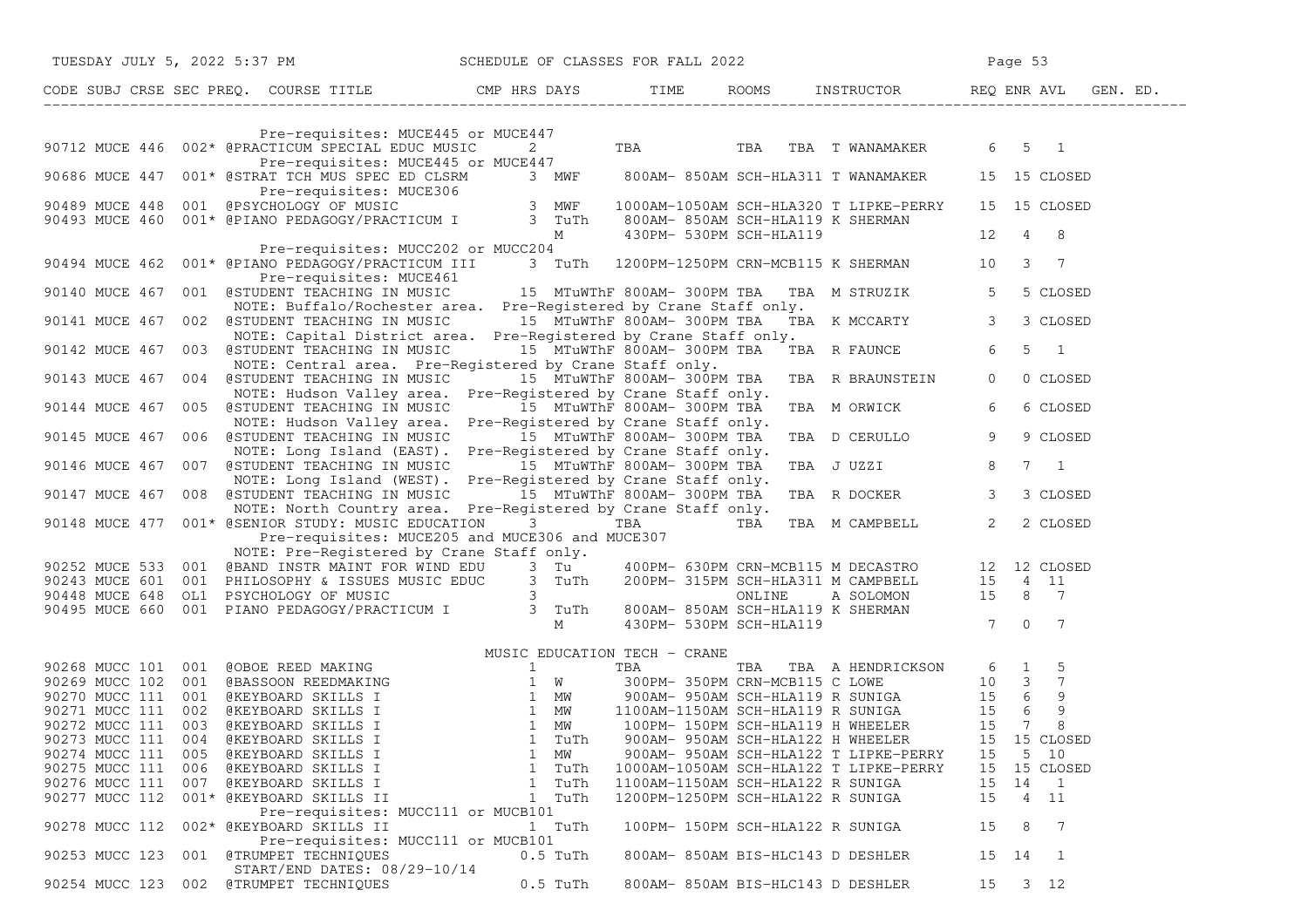|                | TUESDAY JULY 5, 2022 5:37 PM SCHEDULE OF CLASSES FOR FALL 2022                                                                                                                                                                         |                    |                                   |                                        | Page 53                            |                |
|----------------|----------------------------------------------------------------------------------------------------------------------------------------------------------------------------------------------------------------------------------------|--------------------|-----------------------------------|----------------------------------------|------------------------------------|----------------|
|                | CODE SUBJ CRSE SEC PREQ. COURSE TITLE THE ROOMS INSTRUCTOR THE ROOMS ENRICH REQ ENR AVL GEN. ED.                                                                                                                                       |                    |                                   |                                        |                                    |                |
|                |                                                                                                                                                                                                                                        |                    |                                   |                                        |                                    |                |
|                | ACTICUM SPECIAL EDUC MUSIC (2) TBA (TBA T WANAMAKER (5) 5 1 Pre-requisites: MUCE445 or MUCE447<br>90712 MUCE 446 002* @PRACTICUM SPECIAL EDUC MUSIC                                                                                    |                    |                                   |                                        |                                    |                |
|                | 90686 MUCE 447 001* @STRAT TCH MUS SPEC ED CLSRM 3 MWF 800AM-850AM SCH-HLA311 T WANAMAKER 15 15 CLOSED                                                                                                                                 |                    |                                   |                                        |                                    |                |
|                | 90888 FIUCE 447 UUL BUINAL ICH NUC CLEVEN CONTROLLER<br>Pre-requisites: MUCE306<br>90489 MUCE 448 001 @PSYCHOLOGY OF MUSIC<br>90493 MUCE 460 001* @PIANO PEDAGOGY/PRACTICUM I 3 TuTh 800AM-850AM SCH-HLA119 K SHERMAN<br>M 430PM-530PM |                    |                                   |                                        | 15 15 CLOSED                       |                |
|                |                                                                                                                                                                                                                                        |                    |                                   |                                        | $12 \t 4 \t 8$                     |                |
|                | Pre-requisites: MUCC202 or MUCC204<br>90494 MUCE 462 001* @PIANO PEDAGOGY/PRACTICUM III 3 TuTh 1200PM-1250PM CRN-MCB115 K SHERMAN 10 3 7<br>Pre-requisites: MUCE461                                                                    |                    |                                   |                                        |                                    |                |
| 90140 MUCE 467 | 001 @STUDENT TEACHING IN MUSIC 15 MTUWThF 800AM-300PM TBA TBA M STRUZIK 5                                                                                                                                                              |                    |                                   |                                        |                                    | 5 CLOSED       |
|                | NOTE: Buffalo/Rochester area. Pre-Registered by Crane Staff only.<br>90141 MUCE 467 002 @STUDENT TEACHING IN MUSIC 15 MTuWThF 800AM- 300PM TBA TBA K MCCARTY 3<br>NOTE: Capital District area. Pre-Registered by Crane Staff only.     |                    |                                   |                                        |                                    | 3 CLOSED       |
|                | 90142 MUCE 467 003 @STUDENT TEACHING IN MUSIC 15 MTuWThF 800AM-300PM TBA TBA R FAUNCE<br>NOTE: Central area. Pre-Registered by Crane Staff only.                                                                                       |                    |                                   |                                        | 6<br>5<br>$\overline{\phantom{1}}$ |                |
|                | 90143 MUCE 467 004 @STUDENT TEACHING IN MUSIC 15 MTuWThF 800AM-300PM TBA<br>NOTE: Hudson Valley area. Pre-Registered by Crane Staff only.                                                                                              |                    |                                   | TBA R BRAUNSTEIN                       | $\overline{0}$                     | 0 CLOSED       |
|                | 90144 MUCE 467 005 @STUDENT TEACHING IN MUSIC 15 MTuWThF 800AM-300PM TBA                                                                                                                                                               |                    |                                   | TBA M ORWICK                           | 6                                  | 6 CLOSED       |
|                | NOTE: Hudson Valley area. Pre-Registered by Crane Staff only.<br>90145 MUCE 467 006 @STUDENT TEACHING IN MUSIC 15 MTuWThF 800AM-300PM TBA<br>NOTE: Long Island (EAST). Pre-Registered by Crane Staff only.                             |                    |                                   | TBA D CERULLO                          | 9                                  | 9 CLOSED       |
|                | 90146 MUCE 467 007 @STUDENT TEACHING IN MUSIC 15 MTuWThF 800AM-300PM TBA<br>NOTE: Long Island (WEST). Pre-Registered by Crane Staff only.                                                                                              |                    |                                   | TBA J UZZI                             | 8<br>$7\quad1$                     |                |
|                | 90147 MUCE 467 008 @STUDENT TEACHING IN MUSIC 15 MTuWThF 800AM-300PM TBA                                                                                                                                                               |                    |                                   | TBA R DOCKER 3                         |                                    | 3 CLOSED       |
|                | NOTE: North Country area. Pre-Registered by Crane Staff only.<br>90148 MUCE 477 001* GSENIOR STUDY: MUSIC EDUCATION 3 TBA TBA TBA TBA M CAMPBELL 2                                                                                     |                    |                                   |                                        |                                    | 2 CLOSED       |
|                | Pre-requisites: MUCE205 and MUCE306 and MUCE307<br>NOTE: Pre-Registered by Crane Staff only.                                                                                                                                           |                    |                                   |                                        |                                    |                |
|                |                                                                                                                                                                                                                                        |                    |                                   |                                        |                                    |                |
|                |                                                                                                                                                                                                                                        |                    |                                   |                                        |                                    |                |
|                |                                                                                                                                                                                                                                        |                    |                                   |                                        |                                    |                |
|                |                                                                                                                                                                                                                                        |                    |                                   |                                        |                                    |                |
|                | 90252 MUCE 533 001 (BBAND INSTR MAINT FOR WIND EDU 3 Tu<br>90243 MUCE 601 001 PHILOSOPHY & ISSUES MUSIC EDUC 3 TuTh 200PM- 315PM SCH-HLA311 M CAMPBELL 15 4 11<br>90448 MUCE 648 OL1 PSYCHOLOGY OF MUSIC COUC 3 TuTh 200PM- 315PM SC   |                    |                                   |                                        |                                    |                |
|                |                                                                                                                                                                                                                                        |                    |                                   |                                        |                                    |                |
|                |                                                                                                                                                                                                                                        |                    |                                   |                                        |                                    |                |
|                |                                                                                                                                                                                                                                        |                    |                                   |                                        |                                    |                |
|                |                                                                                                                                                                                                                                        |                    |                                   |                                        |                                    |                |
|                |                                                                                                                                                                                                                                        |                    |                                   |                                        |                                    |                |
|                |                                                                                                                                                                                                                                        |                    |                                   |                                        |                                    |                |
|                |                                                                                                                                                                                                                                        |                    |                                   |                                        |                                    |                |
| 90274 MUCC 111 | 005 @KEYBOARD SKILLS I                                                                                                                                                                                                                 | $\mathbf{1}$<br>MW |                                   | 900AM- 950AM SCH-HLA122 T LIPKE-PERRY  | 5 10<br>15                         |                |
| 90275 MUCC 111 | @KEYBOARD SKILLS I<br>006                                                                                                                                                                                                              | 1 TuTh             |                                   | 1000AM-1050AM SCH-HLA122 T LIPKE-PERRY | 15<br>15 CLOSED                    |                |
|                | 90276 MUCC 111 007 @KEYBOARD SKILLS I                                                                                                                                                                                                  | 1 TuTh             | 1100AM-1150AM SCH-HLA122 R SUNIGA |                                        | 15<br>14                           | $\overline{1}$ |
| 90277 MUCC 112 | 001* @KEYBOARD SKILLS II                                                                                                                                                                                                               | 1 TuTh             | 1200PM-1250PM SCH-HLA122 R SUNIGA |                                        | 15<br>$\overline{4}$               | 11             |
|                | Pre-requisites: MUCC111 or MUCB101                                                                                                                                                                                                     |                    |                                   |                                        |                                    |                |
| 90278 MUCC 112 | 002* @KEYBOARD SKILLS II                                                                                                                                                                                                               | 1 TuTh             |                                   | 100PM- 150PM SCH-HLA122 R SUNIGA       | 15<br>8                            | -7             |
|                | Pre-requisites: MUCC111 or MUCB101                                                                                                                                                                                                     |                    |                                   |                                        |                                    |                |
| 90253 MUCC 123 | 001 @TRUMPET TECHNIQUES<br>START/END DATES: 08/29-10/14                                                                                                                                                                                | $0.5$ TuTh         |                                   | 800AM- 850AM BIS-HLC143 D DESHLER      | 15<br>14                           | 1              |
| 90254 MUCC 123 | 002 @TRUMPET TECHNIQUES                                                                                                                                                                                                                | $0.5$ TuTh         |                                   | 800AM- 850AM BIS-HLC143 D DESHLER      | 15<br>3 <sub>12</sub>              |                |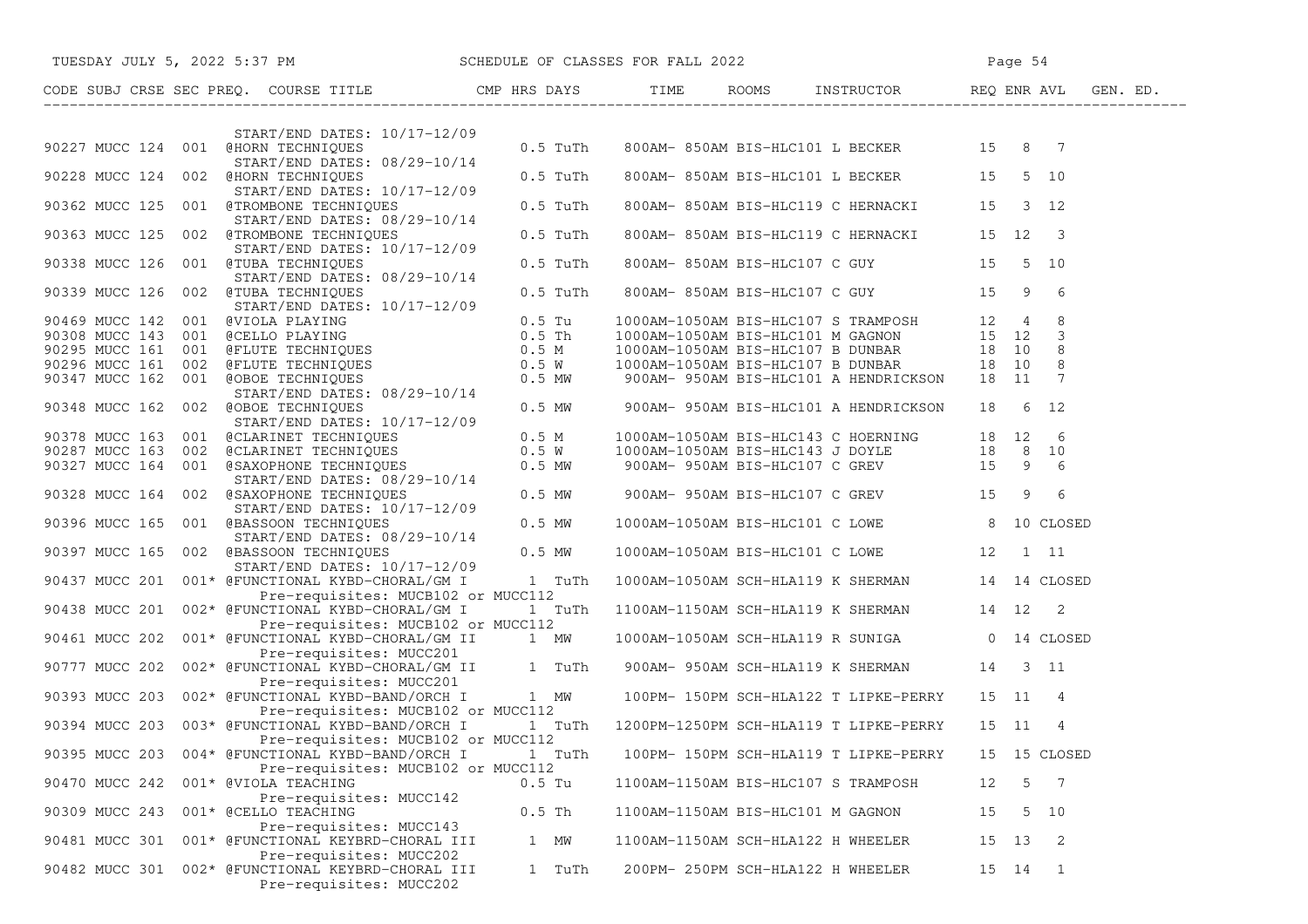|                |  | TUESDAY JULY 5, 2022 5:37 PM SCHEDULE OF CLASSES FOR FALL 2022                                                                                                                                                                             |            |          |  |                                                 | Page 54 |       |                |  |
|----------------|--|--------------------------------------------------------------------------------------------------------------------------------------------------------------------------------------------------------------------------------------------|------------|----------|--|-------------------------------------------------|---------|-------|----------------|--|
|                |  | CODE SUBJ CRSE SEC PREQ. COURSE TITLE TIME CMP HRS DAYS TIME ROOMS INSTRUCTOR THEQ ENR AVL GEN. ED.                                                                                                                                        |            |          |  |                                                 |         |       |                |  |
|                |  | $START/END$ DATES: $10/17-12/09$                                                                                                                                                                                                           |            |          |  |                                                 |         |       |                |  |
|                |  | 90227 MUCC 124 001 @HORN TECHNIQUES 08/29-10/14 0.5 TuTh<br>START/END DATES: 08/29-10/14                                                                                                                                                   |            |          |  | 800AM-850AM BIS-HLC101 L BECKER 15 8 7          |         |       |                |  |
|                |  | eHORN TECHNIQUES<br>START/END DATES: 10/17-12/09<br>@TROMBONE TECHNIQUES<br>0.5 TuTh<br>90228 MUCC 124 002 @HORN TECHNIQUES                                                                                                                |            |          |  | 800AM-850AM BIS-HLC101 L BECKER 15 5 10         |         |       |                |  |
|                |  | 90362 MUCC 125 001 @TROMBONE TECHNIQUES                                                                                                                                                                                                    |            |          |  | 800AM-850AM BIS-HLC119 C HERNACKI 15 3 12       |         |       |                |  |
|                |  | 90363 MUCC 125 002 (TRART/END DATES: 08/29-10/14<br>90363 MUCC 125 002 (TROMBONE TECHNIQUES 0.5 TuTh<br>START/END DATES: 10/17-12/09                                                                                                       |            |          |  | 800AM-850AM BIS-HLC119 C HERNACKI 15 12 3       |         |       |                |  |
|                |  | 90338 MUCC 126 001 @TUBA TECHNIQUES                                                                                                                                                                                                        | $0.5$ TuTh |          |  | 800AM-850AM BIS-HLC107 C GUY 15 5 10            |         |       |                |  |
|                |  | START/END DATES: 08/29-10/14<br>$\texttt{GTUBA}$ TECHNIQUES 0.5 TuTh<br>START/END DATES: 10/17-12/09<br>90339 MUCC 126 002 @TUBA TECHNIQUES                                                                                                |            |          |  | 800AM-850AM BIS-HLC107 C GUY 15 9               |         |       | - 6            |  |
|                |  | 90469 MUCC 142 001 @UIOLA PLAYING<br>90308 MUCC 143 001 @UIOLA PLAYING<br>90295 MUCC 161 001 @ELUTE TECHNIQUES<br>90296 MUCC 161 002 @ELUTE TECHNIQUES<br>90347 MUCC 162 001 @OBOE TECHNIQUES<br>90347 MUCC 162 001 @OBOE TECHNIQUES<br>90 |            |          |  |                                                 |         |       |                |  |
|                |  |                                                                                                                                                                                                                                            |            |          |  |                                                 |         |       |                |  |
|                |  |                                                                                                                                                                                                                                            |            |          |  |                                                 |         |       |                |  |
|                |  |                                                                                                                                                                                                                                            |            |          |  |                                                 |         |       |                |  |
|                |  |                                                                                                                                                                                                                                            |            |          |  |                                                 |         |       |                |  |
|                |  | START/END DATES: 08/29-10/14<br>START/END DATES: 08/29-10/14                               900AM- 950AM BIS-HLC101 A HENDRICKSON       18     6   12                                                                                       |            |          |  |                                                 |         |       |                |  |
|                |  | 90348 MUCC 162 002 @OBOE TECHNIQUES<br>START/END DATES: 10/17-12/09                                                                                                                                                                        |            |          |  |                                                 |         |       |                |  |
|                |  |                                                                                                                                                                                                                                            |            |          |  |                                                 |         |       |                |  |
|                |  |                                                                                                                                                                                                                                            |            |          |  |                                                 |         |       |                |  |
|                |  |                                                                                                                                                                                                                                            |            |          |  |                                                 |         |       |                |  |
|                |  |                                                                                                                                                                                                                                            |            |          |  |                                                 |         |       |                |  |
|                |  | 90378 MUCC 163 001 (CLARINET TECHNIQUES 0.5 M<br>90287 MUCC 163 002 (CLARINET TECHNIQUES 0.5 M<br>90327 MUCC 164 001 (GAROPHONE TECHNIQUES 0.5 MW 900AM-1050AM BIS-HLC143 J DOYLE 18 8 10<br>90327 MUCC 164 001 (GAROPHONE TECHNIQUE       |            |          |  |                                                 |         |       |                |  |
|                |  |                                                                                                                                                                                                                                            |            |          |  | 1000AM-1050AM BIS-HLC101 C LOWE 8 10 CLOSED     |         |       |                |  |
|                |  | START/END DATES: 08/29-10/14<br>90397 MUCC 165 002 @BASSOON TECHNIQUES 0.5 MW                                                                                                                                                              |            |          |  | 1000AM-1050AM BIS-HLC101 C LOWE 12 1 11         |         |       |                |  |
|                |  | START/END DATES: 10/17-12/09<br>90437 MUCC 201 001* @FUNCTIONAL KYBD-CHORAL/GM I 1 TuTh                                                                                                                                                    |            |          |  | 1000AM-1050AM SCH-HLA119 K SHERMAN 14 14 CLOSED |         |       |                |  |
|                |  | Pre-requisites: MUCB102 or MUCC112<br>90438 MUCC 201 002* @FUNCTIONAL KYBD-CHORAL/GM I 1 TuTh                                                                                                                                              |            |          |  | 1100AM-1150AM SCH-HLA119 K SHERMAN 14 12 2      |         |       |                |  |
|                |  | Pre-requisites: MUCB102 or MUCC112<br>90461 MUCC 202 001* @FUNCTIONAL KYBD-CHORAL/GM II 1 MW                                                                                                                                               |            |          |  | 1000AM-1050AM SCH-HLA119 R SUNIGA 0 14 CLOSED   |         |       |                |  |
|                |  | Pre-requisites: MUCC201<br>90777 MUCC 202 002* @FUNCTIONAL KYBD-CHORAL/GM II 1 TuTh 900AM- 950AM SCH-HLA119 K SHERMAN 14 3 11                                                                                                              |            |          |  |                                                 |         |       |                |  |
|                |  | Pre-requisites: MUCC201<br>90393 MUCC 203 002* @FUNCTIONAL KYBD-BAND/ORCH I 1 MW                                                                                                                                                           |            |          |  | 100PM-150PM SCH-HLA122 T LIPKE-PERRY 15 11 4    |         |       |                |  |
|                |  | Pre-requisites: MUCB102 or MUCC112<br>90394 MUCC 203 003* @FUNCTIONAL KYBD-BAND/ORCH I 1 TuTh 1200PM-1250PM SCH-HLA119 T LIPKE-PERRY                                                                                                       |            |          |  |                                                 |         | 15 11 | 4              |  |
|                |  | Pre-requisites: MUCB102 or MUCC112                                                                                                                                                                                                         |            |          |  |                                                 |         |       |                |  |
| 90395 MUCC 203 |  | 004* @FUNCTIONAL KYBD-BAND/ORCH I<br>Pre-requisites: MUCB102 or MUCC112                                                                                                                                                                    |            | 1 TuTh   |  | 100PM- 150PM SCH-HLA119 T LIPKE-PERRY           | 15      |       | 15 CLOSED      |  |
| 90470 MUCC 242 |  | 001* @VIOLA TEACHING<br>Pre-requisites: MUCC142                                                                                                                                                                                            |            | $0.5$ Tu |  | 1100AM-1150AM BIS-HLC107 S TRAMPOSH             | 12      | 5     | 7              |  |
| 90309 MUCC 243 |  | 001* @CELLO TEACHING<br>Pre-requisites: MUCC143                                                                                                                                                                                            |            | $0.5$ Th |  | 1100AM-1150AM BIS-HLC101 M GAGNON               | 15      |       | 5 10           |  |
| 90481 MUCC 301 |  | 001* @FUNCTIONAL KEYBRD-CHORAL III<br>Pre-requisites: MUCC202                                                                                                                                                                              |            | 1 MW     |  | 1100AM-1150AM SCH-HLA122 H WHEELER              | 15      | 13    | $\overline{2}$ |  |
| 90482 MUCC 301 |  | 002* @FUNCTIONAL KEYBRD-CHORAL III<br>Pre-requisites: MUCC202                                                                                                                                                                              |            | 1 TuTh   |  | 200PM- 250PM SCH-HLA122 H WHEELER               |         | 15 14 | $\overline{1}$ |  |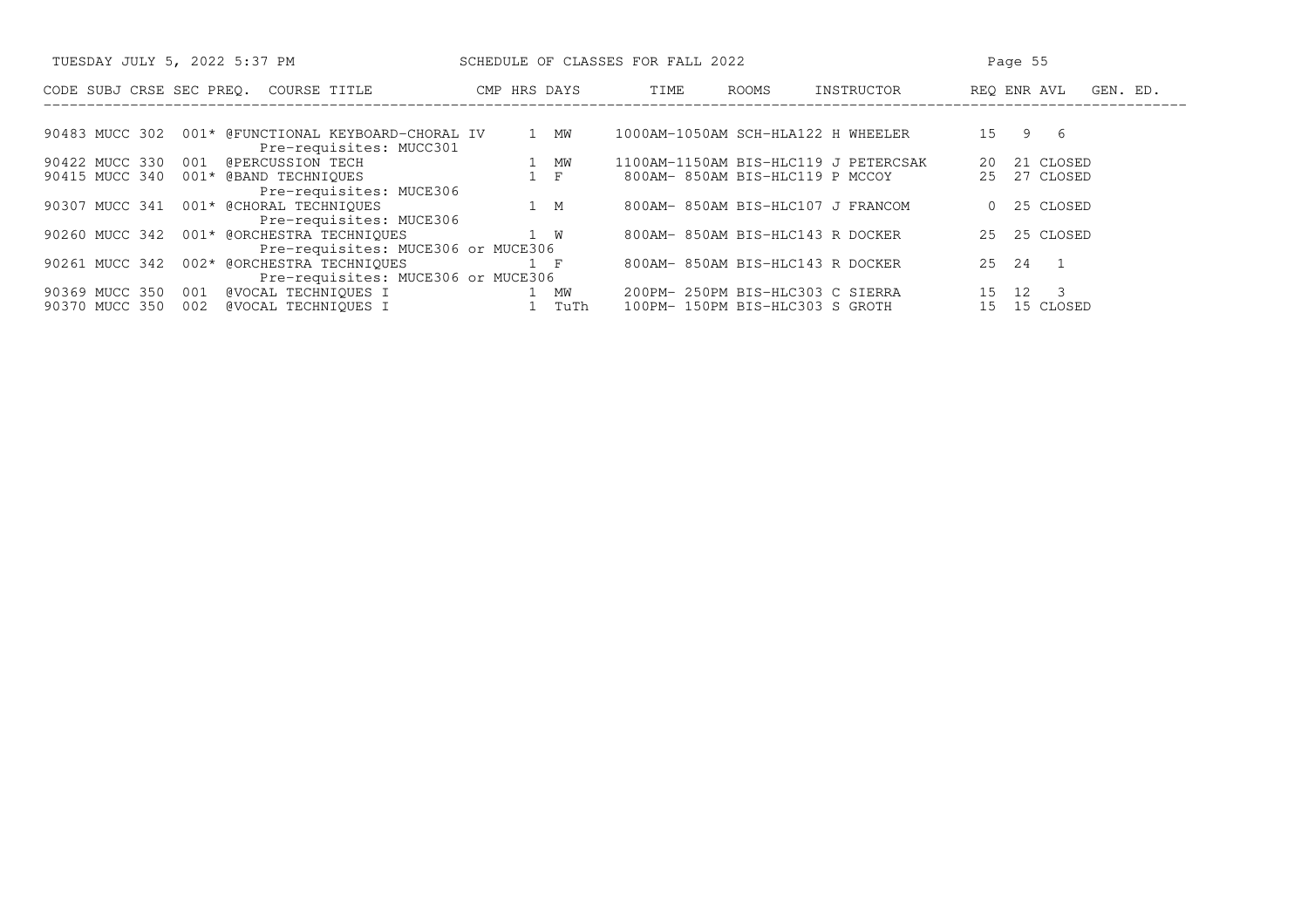| TUESDAY JULY 5, 2022 5:37 PM                                                                 | SCHEDULE OF CLASSES FOR FALL 2022                                                             | Page 55                                                 |
|----------------------------------------------------------------------------------------------|-----------------------------------------------------------------------------------------------|---------------------------------------------------------|
| CODE SUBJ CRSE SEC PREO.<br>COURSE TITLE                                                     | ROOMS<br>CMP HRS DAYS<br>TIME                                                                 | REO ENR AVL<br>INSTRUCTOR<br>GEN. ED.                   |
| 90483 MUCC 302<br>001* @FUNCTIONAL KEYBOARD-CHORAL IV<br>Pre-requisites: MUCC301             | 1000AM-1050AM SCH-HLA122 H WHEELER<br>1 MW                                                    | 9 6<br>1.5                                              |
| 90422 MUCC 330 001<br>@PERCUSSION TECH<br>90415 MUCC 340<br>001* @BAND TECHNIQUES            | 1100AM-1150AM BIS-HLC119 J PETERCSAK<br>1 MW<br>$1 \quad F$<br>800AM-850AM BIS-HLC119 P MCCOY | 21 CLOSED<br>20<br>27 CLOSED<br>25                      |
| Pre-requisites: MUCE306<br>90307 MUCC 341 001* @CHORAL TECHNIQUES<br>Pre-requisites: MUCE306 | 800AM-850AM BIS-HLC107 J FRANCOM<br>1 M                                                       | 25 CLOSED<br>$\Omega$                                   |
| 90260 MUCC 342 001* @ORCHESTRA TECHNIQUES<br>Pre-requisites: MUCE306 or MUCE306              | 1 W<br>800AM-850AM BIS-HLC143 R DOCKER                                                        | 25 CLOSED<br>25                                         |
| 002* @ORCHESTRA TECHNIQUES<br>90261 MUCC 342<br>Pre-requisites: MUCE306 or MUCE306           | 800AM-850AM BIS-HLC143 R DOCKER<br>$1 \quad F$                                                | 25 24<br>$\sqrt{1}$                                     |
| @VOCAL TECHNIOUES I<br>90369 MUCC 350<br>001<br>@VOCAL TECHNIOUES I<br>002<br>90370 MUCC 350 | 200PM- 250PM BIS-HLC303 C SIERRA<br>1 MW<br>TuTh<br>100PM- 150PM BIS-HLC303 S GROTH           | 12 <sup>°</sup><br>$\overline{\mathbf{3}}$<br>15 CLOSED |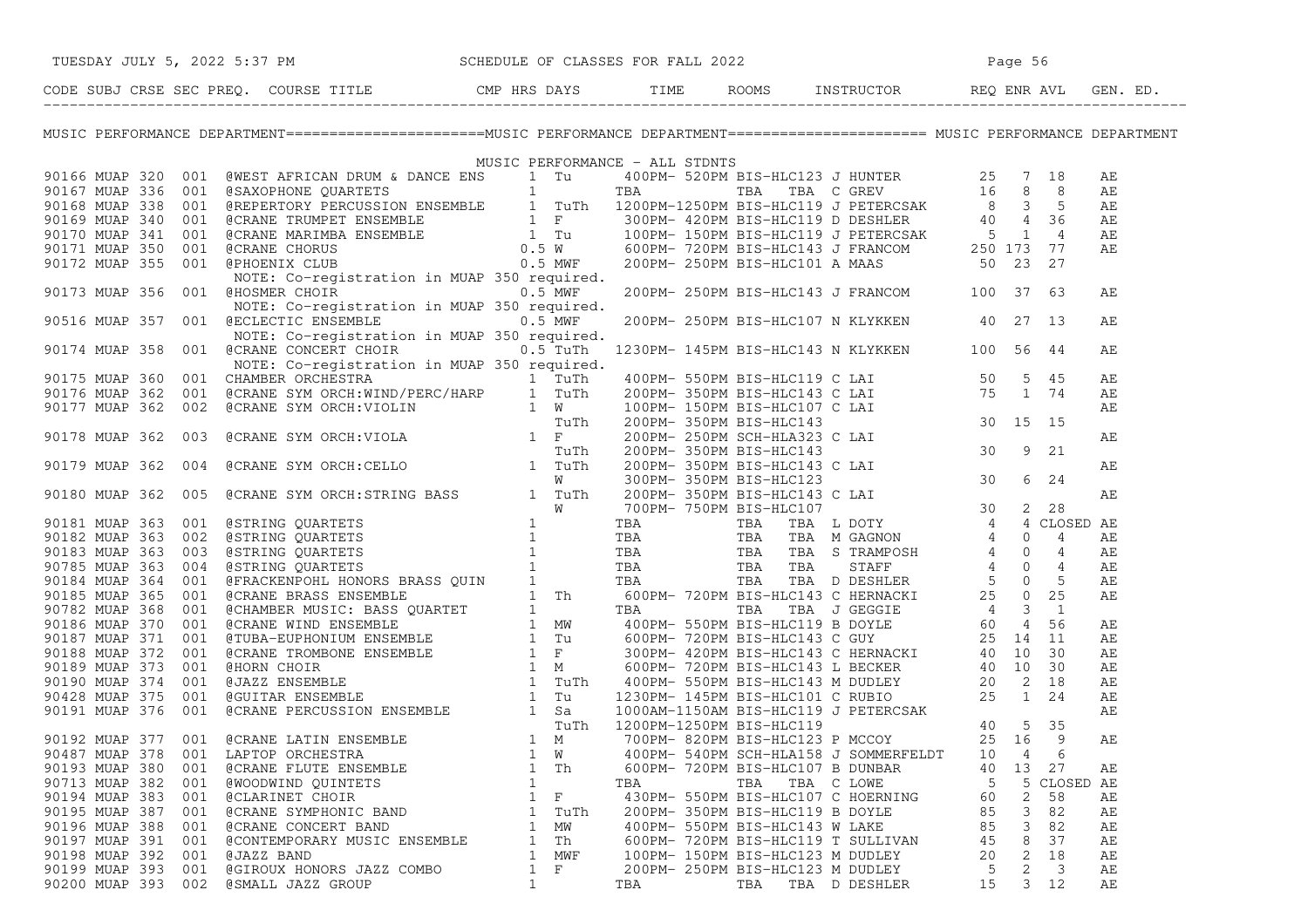| TUESDAY JULY 5, 2022 5:37 PM SCHEDULE OF CLASSES FOR FALL 2022<br>CODE SUBJ CRSE SEC PREQ. COURSE TITLE CMP HRS DAYS TIME ROOMS INSTRUCTOR REQ ENR AVL GEN. ED.                                                                                                                              |                   |     |     |                                              |          |           |    |  |  |
|----------------------------------------------------------------------------------------------------------------------------------------------------------------------------------------------------------------------------------------------------------------------------------------------|-------------------|-----|-----|----------------------------------------------|----------|-----------|----|--|--|
| MUSIC PERFORMANCE DEPARTMENT========================MUSIC PERFORMANCE DEPARTMENT====================== MUSIC PERFORMANCE DEPARTMENT                                                                                                                                                          |                   |     |     |                                              |          |           |    |  |  |
|                                                                                                                                                                                                                                                                                              |                   |     |     |                                              |          |           |    |  |  |
|                                                                                                                                                                                                                                                                                              |                   |     |     |                                              |          |           | АE |  |  |
|                                                                                                                                                                                                                                                                                              |                   |     |     |                                              |          |           | АE |  |  |
|                                                                                                                                                                                                                                                                                              |                   |     |     |                                              |          |           | AЕ |  |  |
|                                                                                                                                                                                                                                                                                              |                   |     |     |                                              |          |           | AE |  |  |
|                                                                                                                                                                                                                                                                                              |                   |     |     |                                              |          |           | AЕ |  |  |
|                                                                                                                                                                                                                                                                                              |                   |     |     |                                              |          |           | AЕ |  |  |
|                                                                                                                                                                                                                                                                                              |                   |     |     |                                              |          |           |    |  |  |
|                                                                                                                                                                                                                                                                                              |                   |     |     |                                              |          |           |    |  |  |
| 90173 MUAP 356 001 @HOSMER CHOIR 0.5 MWF                                                                                                                                                                                                                                                     |                   |     |     | 200PM- 250PM BIS-HLC143 J FRANCOM 100 37 63  |          |           | AЕ |  |  |
| NOTE: Co-registration in MUAP 350 required.                                                                                                                                                                                                                                                  |                   |     |     |                                              |          |           |    |  |  |
| 90516 MUAP 357 001 @ECLECTIC ENSEMBLE 0.5 MWF                                                                                                                                                                                                                                                |                   |     |     | 200PM- 250PM BIS-HLC107 N KLYKKEN 40 27 13   |          |           | AЕ |  |  |
| NOTE: Co-registration in MUAP 350 required.                                                                                                                                                                                                                                                  |                   |     |     |                                              |          |           |    |  |  |
| 90174 MUAP 358 001 @CRANE CONCERT CHOIR 0.5 TuTh                                                                                                                                                                                                                                             |                   |     |     | 1230PM- 145PM BIS-HLC143 N KLYKKEN 100 56 44 |          |           | AЕ |  |  |
|                                                                                                                                                                                                                                                                                              |                   |     |     |                                              |          |           |    |  |  |
|                                                                                                                                                                                                                                                                                              |                   |     |     |                                              |          |           |    |  |  |
|                                                                                                                                                                                                                                                                                              |                   |     |     |                                              |          |           |    |  |  |
|                                                                                                                                                                                                                                                                                              |                   |     |     |                                              |          |           |    |  |  |
|                                                                                                                                                                                                                                                                                              |                   |     |     |                                              |          |           |    |  |  |
|                                                                                                                                                                                                                                                                                              |                   |     |     |                                              |          |           |    |  |  |
|                                                                                                                                                                                                                                                                                              |                   |     |     |                                              |          |           |    |  |  |
|                                                                                                                                                                                                                                                                                              |                   |     |     |                                              |          |           |    |  |  |
|                                                                                                                                                                                                                                                                                              |                   |     |     |                                              |          |           |    |  |  |
|                                                                                                                                                                                                                                                                                              |                   |     |     |                                              |          |           |    |  |  |
|                                                                                                                                                                                                                                                                                              |                   |     |     |                                              |          |           |    |  |  |
|                                                                                                                                                                                                                                                                                              |                   |     |     |                                              |          |           |    |  |  |
|                                                                                                                                                                                                                                                                                              |                   |     |     |                                              |          |           |    |  |  |
|                                                                                                                                                                                                                                                                                              |                   |     |     |                                              |          |           |    |  |  |
|                                                                                                                                                                                                                                                                                              |                   |     |     |                                              |          |           |    |  |  |
|                                                                                                                                                                                                                                                                                              |                   |     |     |                                              |          |           |    |  |  |
|                                                                                                                                                                                                                                                                                              |                   |     |     |                                              |          |           |    |  |  |
|                                                                                                                                                                                                                                                                                              |                   |     |     |                                              |          |           |    |  |  |
|                                                                                                                                                                                                                                                                                              |                   |     |     |                                              |          |           |    |  |  |
|                                                                                                                                                                                                                                                                                              |                   |     |     |                                              |          |           |    |  |  |
|                                                                                                                                                                                                                                                                                              |                   |     |     |                                              |          |           |    |  |  |
|                                                                                                                                                                                                                                                                                              |                   |     |     |                                              |          |           |    |  |  |
|                                                                                                                                                                                                                                                                                              |                   |     |     |                                              |          |           |    |  |  |
|                                                                                                                                                                                                                                                                                              |                   |     |     |                                              |          |           |    |  |  |
|                                                                                                                                                                                                                                                                                              |                   |     |     |                                              |          |           |    |  |  |
|                                                                                                                                                                                                                                                                                              |                   |     |     |                                              |          |           |    |  |  |
|                                                                                                                                                                                                                                                                                              |                   |     |     |                                              |          |           |    |  |  |
|                                                                                                                                                                                                                                                                                              |                   |     |     |                                              |          |           |    |  |  |
| 90174 MUAR 358 001 GCAANE CONCRETE CHAR 30 C-5 COMPLETE (1200PM-1245PM MIS-HIGH4) NICHORAL 1000 56 44<br>190175 MUAR 350 GOIL COMMAR SCHEMESTRA 10 MUAP 350 Propiler).<br>19075 MUAR 350 GOIL COMMAR SCHEMESTRA NORTHOLOGICAL 1000P<br>90193 MUAP 380<br>001<br><b>@CRANE FLUTE ENSEMBLE</b> | 1<br>Th           |     |     | 600PM- 720PM BIS-HLC107 B DUNBAR             | 40<br>13 | 27        | AЕ |  |  |
| 90713 MUAP 382<br>001<br>@WOODWIND QUINTETS                                                                                                                                                                                                                                                  | 1                 | TBA | TBA | TBA C LOWE                                   | 5<br>5   | CLOSED AE |    |  |  |
| 90194 MUAP 383<br>001<br>@CLARINET CHOIR                                                                                                                                                                                                                                                     | F<br>1            |     |     | 430PM- 550PM BIS-HLC107 C HOERNING           | 2<br>60  | 58        | AЕ |  |  |
| 90195 MUAP 387<br>001<br>@CRANE SYMPHONIC BAND                                                                                                                                                                                                                                               | 1<br>TuTh         |     |     | 200PM- 350PM BIS-HLC119 B DOYLE              | 3<br>85  | 82        | AЕ |  |  |
| 90196 MUAP 388<br>001<br><b>@CRANE CONCERT BAND</b>                                                                                                                                                                                                                                          | МW<br>1           |     |     | 400PM- 550PM BIS-HLC143 W LAKE               | 3<br>85  | 82        | AЕ |  |  |
| 90197 MUAP 391<br>001<br>@CONTEMPORARY MUSIC ENSEMBLE                                                                                                                                                                                                                                        | Th<br>1           |     |     | 600PM- 720PM BIS-HLC119 T SULLIVAN           | 8<br>45  | 37        | AE |  |  |
| 90198 MUAP 392<br>001<br>@JAZZ BAND                                                                                                                                                                                                                                                          | MWF<br>1          |     |     | 100PM- 150PM BIS-HLC123 M DUDLEY             | 2<br>20  | 18        | АE |  |  |
| 90199 MUAP 393<br>001<br>@GIROUX HONORS JAZZ COMBO                                                                                                                                                                                                                                           | $\mathbf{1}$<br>F |     |     | 200PM- 250PM BIS-HLC123 M DUDLEY             | 2<br>5   | 3         | АE |  |  |
| 90200 MUAP 393<br>002<br>@SMALL JAZZ GROUP                                                                                                                                                                                                                                                   | $\mathbf{1}$      | TBA | TBA | TBA D DESHLER                                | 15<br>3  | 12        | AЕ |  |  |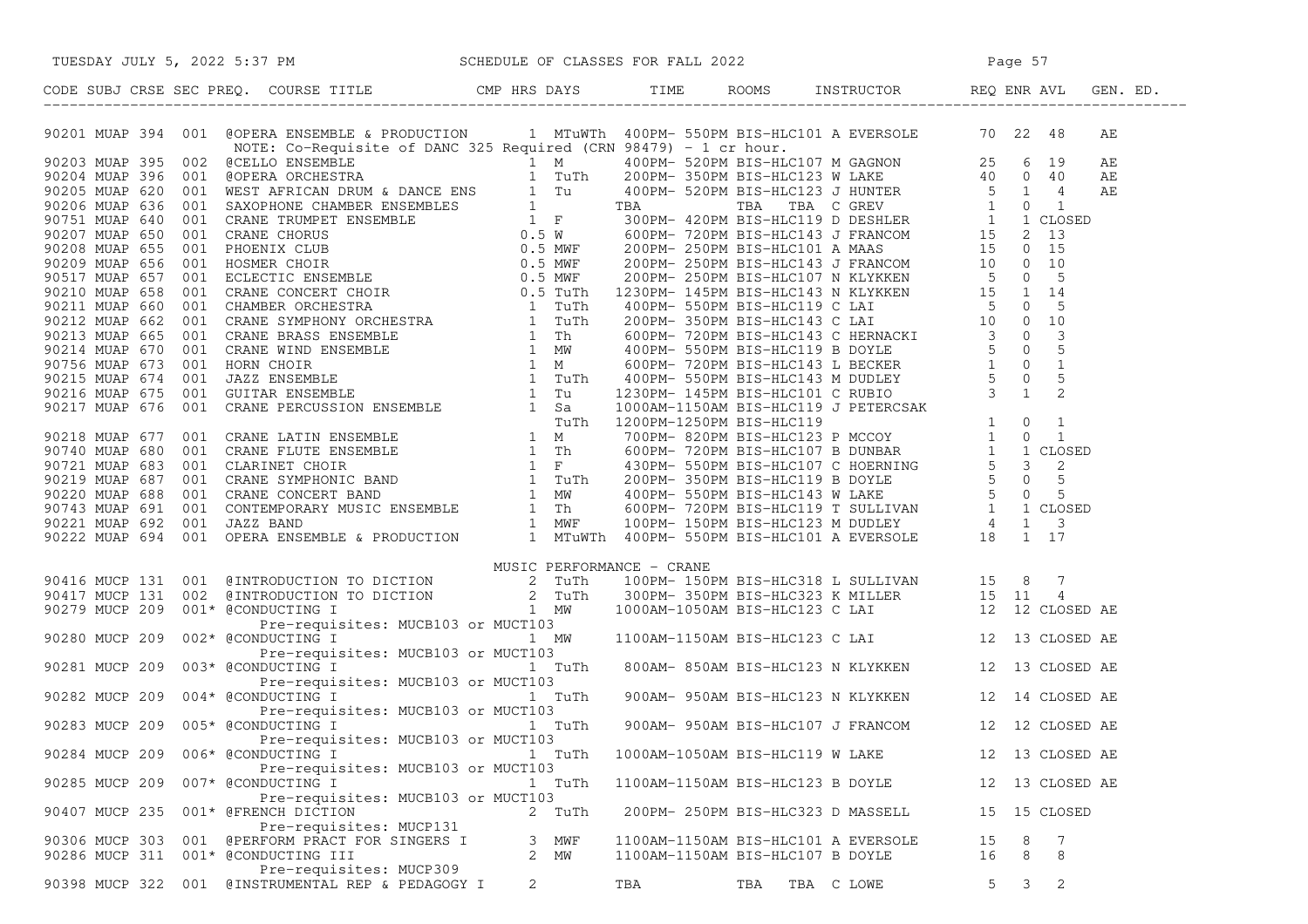| 962213 MOAP 394 0011 SOFRA RANDEMIR 4 PRODUCTION 1 MTUNTA 400PM- SHOPN INC-IILCIUD A RYZBOLDE 1972<br>197213 MOAP 395 0012 SCELLO ENVERGINE (FRAME 325 ROMAN 1974) -1 or boxes, 1974)<br>197215 MOAP 395 0012 SCELLO ENVERGINE (FRA  |           |                                     | AЕ              |
|--------------------------------------------------------------------------------------------------------------------------------------------------------------------------------------------------------------------------------------|-----------|-------------------------------------|-----------------|
|                                                                                                                                                                                                                                      |           |                                     | АE              |
|                                                                                                                                                                                                                                      |           |                                     | АE              |
|                                                                                                                                                                                                                                      |           |                                     | AЕ              |
|                                                                                                                                                                                                                                      |           |                                     |                 |
|                                                                                                                                                                                                                                      |           |                                     |                 |
|                                                                                                                                                                                                                                      |           |                                     |                 |
|                                                                                                                                                                                                                                      |           |                                     |                 |
|                                                                                                                                                                                                                                      |           |                                     |                 |
|                                                                                                                                                                                                                                      |           |                                     |                 |
|                                                                                                                                                                                                                                      |           |                                     |                 |
|                                                                                                                                                                                                                                      |           |                                     |                 |
|                                                                                                                                                                                                                                      |           |                                     |                 |
|                                                                                                                                                                                                                                      |           |                                     |                 |
|                                                                                                                                                                                                                                      |           |                                     |                 |
|                                                                                                                                                                                                                                      |           |                                     |                 |
|                                                                                                                                                                                                                                      |           |                                     |                 |
|                                                                                                                                                                                                                                      |           |                                     |                 |
|                                                                                                                                                                                                                                      |           |                                     |                 |
|                                                                                                                                                                                                                                      |           |                                     |                 |
|                                                                                                                                                                                                                                      |           |                                     |                 |
|                                                                                                                                                                                                                                      |           |                                     |                 |
|                                                                                                                                                                                                                                      |           |                                     |                 |
|                                                                                                                                                                                                                                      |           |                                     |                 |
|                                                                                                                                                                                                                                      |           |                                     |                 |
|                                                                                                                                                                                                                                      |           |                                     |                 |
|                                                                                                                                                                                                                                      |           |                                     |                 |
|                                                                                                                                                                                                                                      |           |                                     |                 |
|                                                                                                                                                                                                                                      |           |                                     |                 |
|                                                                                                                                                                                                                                      |           |                                     |                 |
| MUSIC PERFORMANCE - CRANE<br>90416 MUCP 131 001 @INTRODUCTION TO DICTION 2 TUTh 100PM-150PM BIS-HLC318 L SULLIVAN 15 8 7<br>90417 MUCP 131 002 @INTRODUCTION TO DICTION 2 TUTh 300PM-350PM BIS-HLC323 K MILLER 15 11 4<br>90279 MUCP |           |                                     |                 |
|                                                                                                                                                                                                                                      |           |                                     |                 |
|                                                                                                                                                                                                                                      |           |                                     |                 |
|                                                                                                                                                                                                                                      |           |                                     |                 |
|                                                                                                                                                                                                                                      |           |                                     |                 |
|                                                                                                                                                                                                                                      |           |                                     |                 |
|                                                                                                                                                                                                                                      |           |                                     |                 |
|                                                                                                                                                                                                                                      |           |                                     |                 |
| 90281 MUCP 209 003* @CONDUCTING I<br>90281 MUCP 209 003* @CONDUCTING I<br>90282 MUCP 209 004* @CONDUCTING I TUTH 900AM- 850AM BIS-HLC123 N KLYKKEN 12 13 CLOSED AE<br>90283 MUCP 209 005* @CONDUCTING I TUTH 900AM- 950AM BIS-HLC123 |           |                                     |                 |
|                                                                                                                                                                                                                                      |           |                                     |                 |
|                                                                                                                                                                                                                                      |           |                                     |                 |
|                                                                                                                                                                                                                                      |           |                                     |                 |
| Pre-requisites: MUCB103 or MUCT103                                                                                                                                                                                                   |           |                                     |                 |
| 90284 MUCP 209<br>006* @CONDUCTING I                                                                                                                                                                                                 | 1 TuTh    | 1000AM-1050AM BIS-HLC119 W LAKE     | 12 13 CLOSED AE |
| Pre-requisites: MUCB103 or MUCT103                                                                                                                                                                                                   |           |                                     |                 |
| 90285 MUCP 209<br>007* @CONDUCTING I                                                                                                                                                                                                 | 1 TuTh    | 1100AM-1150AM BIS-HLC123 B DOYLE    | 12 13 CLOSED AE |
| Pre-requisites: MUCB103 or MUCT103                                                                                                                                                                                                   |           |                                     |                 |
|                                                                                                                                                                                                                                      |           |                                     | 15 15 CLOSED    |
| 90407 MUCP 235<br>001* @FRENCH DICTION                                                                                                                                                                                               | 2 TuTh    | 200PM- 250PM BIS-HLC323 D MASSELL   |                 |
| Pre-requisites: MUCP131                                                                                                                                                                                                              |           |                                     |                 |
| 001 @PERFORM PRACT FOR SINGERS I<br>90306 MUCP 303                                                                                                                                                                                   | MWF<br>3. | 1100AM-1150AM BIS-HLC101 A EVERSOLE | 15<br>8<br>7    |
| 90286 MUCP 311 001* @CONDUCTING III                                                                                                                                                                                                  | 2 MW      | 1100AM-1150AM BIS-HLC107 B DOYLE    | 8<br>16<br>8    |
| Pre-requisites: MUCP309                                                                                                                                                                                                              |           |                                     |                 |
| 90398 MUCP 322 001 @INSTRUMENTAL REP & PEDAGOGY I                                                                                                                                                                                    | 2         | TBA<br>TBA TBA C LOWE               | 2<br>5<br>3     |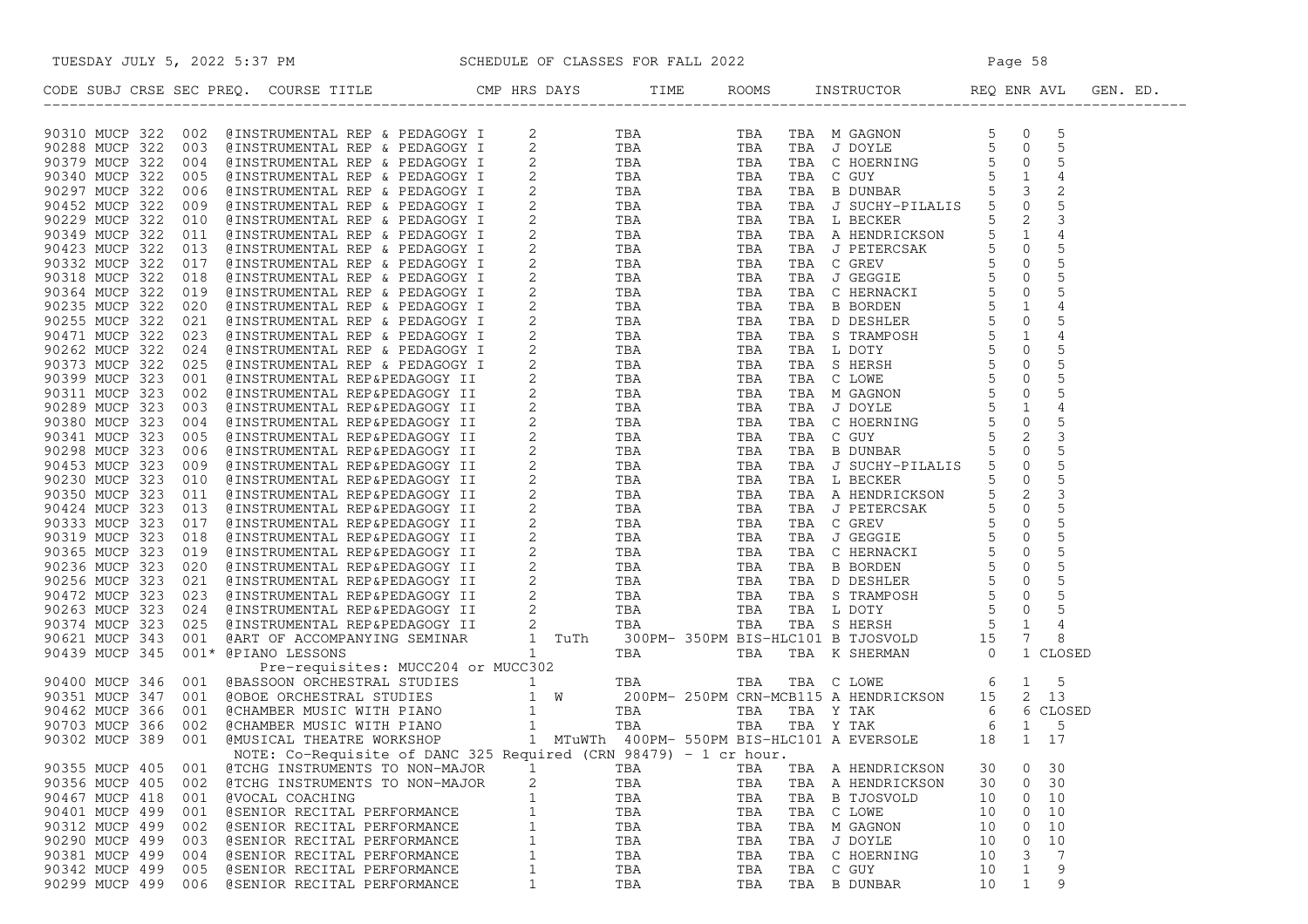|                       | TUESDAY JULY 5, 2022 5:37 PM SCHEDULE OF CLASSES FOR FALL 2022                                                                                                                                                                |              |     |     |           |                   |    |                   |  |
|-----------------------|-------------------------------------------------------------------------------------------------------------------------------------------------------------------------------------------------------------------------------|--------------|-----|-----|-----------|-------------------|----|-------------------|--|
|                       | CODE SUBJ CRSE SEC PREQ. COURSE TITLE THE ROOMS INSTRUCTOR REQ ENR AVL GEN. ED.                                                                                                                                               |              |     |     |           |                   |    |                   |  |
|                       | com ano com ano mesos reno com a residente de para porte de a para de a reno de a reno de a reno de a reno de a reno de a reno de a reno de a reno de a reno de a reno de a reno de a reno de a reno de a reno de a reno de a |              |     |     |           |                   |    |                   |  |
|                       |                                                                                                                                                                                                                               |              |     |     |           |                   |    |                   |  |
|                       |                                                                                                                                                                                                                               |              |     |     |           |                   |    |                   |  |
|                       |                                                                                                                                                                                                                               |              |     |     |           |                   |    |                   |  |
|                       |                                                                                                                                                                                                                               |              |     |     |           |                   |    |                   |  |
|                       |                                                                                                                                                                                                                               |              |     |     |           |                   |    |                   |  |
|                       |                                                                                                                                                                                                                               |              |     |     |           |                   |    |                   |  |
|                       |                                                                                                                                                                                                                               |              |     |     |           |                   |    |                   |  |
|                       |                                                                                                                                                                                                                               |              |     |     |           |                   |    |                   |  |
|                       |                                                                                                                                                                                                                               |              |     |     |           |                   |    |                   |  |
|                       |                                                                                                                                                                                                                               |              |     |     |           |                   |    |                   |  |
|                       |                                                                                                                                                                                                                               |              |     |     |           |                   |    |                   |  |
|                       |                                                                                                                                                                                                                               |              |     |     |           |                   |    |                   |  |
|                       |                                                                                                                                                                                                                               |              |     |     |           |                   |    |                   |  |
|                       |                                                                                                                                                                                                                               |              |     |     |           |                   |    |                   |  |
|                       |                                                                                                                                                                                                                               |              |     |     |           |                   |    |                   |  |
|                       |                                                                                                                                                                                                                               |              |     |     |           |                   |    |                   |  |
|                       |                                                                                                                                                                                                                               |              |     |     |           |                   |    |                   |  |
|                       |                                                                                                                                                                                                                               |              |     |     |           |                   |    |                   |  |
|                       |                                                                                                                                                                                                                               |              |     |     |           |                   |    |                   |  |
|                       |                                                                                                                                                                                                                               |              |     |     |           |                   |    |                   |  |
|                       |                                                                                                                                                                                                                               |              |     |     |           |                   |    |                   |  |
|                       |                                                                                                                                                                                                                               |              |     |     |           |                   |    |                   |  |
|                       |                                                                                                                                                                                                                               |              |     |     |           |                   |    |                   |  |
|                       |                                                                                                                                                                                                                               |              |     |     |           |                   |    |                   |  |
|                       |                                                                                                                                                                                                                               |              |     |     |           |                   |    |                   |  |
|                       |                                                                                                                                                                                                                               |              |     |     |           |                   |    |                   |  |
|                       |                                                                                                                                                                                                                               |              |     |     |           |                   |    |                   |  |
|                       |                                                                                                                                                                                                                               |              |     |     |           |                   |    |                   |  |
|                       |                                                                                                                                                                                                                               |              |     |     |           |                   |    |                   |  |
|                       |                                                                                                                                                                                                                               |              |     |     |           |                   |    |                   |  |
|                       |                                                                                                                                                                                                                               |              |     |     |           |                   |    |                   |  |
|                       |                                                                                                                                                                                                                               |              |     |     |           |                   |    |                   |  |
|                       |                                                                                                                                                                                                                               |              |     |     |           |                   |    |                   |  |
|                       |                                                                                                                                                                                                                               |              |     |     |           |                   |    |                   |  |
|                       |                                                                                                                                                                                                                               |              |     |     |           |                   |    |                   |  |
|                       |                                                                                                                                                                                                                               |              |     |     |           |                   |    |                   |  |
|                       |                                                                                                                                                                                                                               |              |     |     |           |                   |    |                   |  |
|                       |                                                                                                                                                                                                                               |              |     |     |           |                   |    |                   |  |
|                       |                                                                                                                                                                                                                               |              |     |     |           |                   |    |                   |  |
|                       |                                                                                                                                                                                                                               |              |     |     |           |                   |    |                   |  |
|                       |                                                                                                                                                                                                                               |              |     |     |           |                   |    |                   |  |
| 90355 MUCP 405<br>001 | @TCHG INSTRUMENTS TO NON-MAJOR                                                                                                                                                                                                | 1            | TBA | TBA |           | TBA A HENDRICKSON | 30 | 0<br>30           |  |
| 90356 MUCP 405<br>002 | @TCHG INSTRUMENTS TO NON-MAJOR                                                                                                                                                                                                | 2            | TBA | TBA |           | TBA A HENDRICKSON | 30 | 30<br>0           |  |
| 90467 MUCP 418<br>001 | @VOCAL COACHING                                                                                                                                                                                                               | $\mathbf{1}$ | TBA | TBA |           | TBA B TJOSVOLD    | 10 | 0<br>10           |  |
| 90401 MUCP 499<br>001 | @SENIOR RECITAL PERFORMANCE                                                                                                                                                                                                   | $\mathbf{1}$ | TBA | TBA | TBA       | C LOWE            | 10 | 10<br>0           |  |
| 90312 MUCP 499<br>002 | @SENIOR RECITAL PERFORMANCE                                                                                                                                                                                                   | $\mathbf{1}$ | TBA | TBA |           | TBA M GAGNON      | 10 | 10<br>0           |  |
| 90290 MUCP 499<br>003 | @SENIOR RECITAL PERFORMANCE                                                                                                                                                                                                   | 1            | TBA | TBA | TBA       | J DOYLE           | 10 | 10<br>0           |  |
| 90381 MUCP 499<br>004 | @SENIOR RECITAL PERFORMANCE                                                                                                                                                                                                   | 1            | TBA | TBA |           | TBA C HOERNING    | 10 | 7<br>3            |  |
| 90342 MUCP 499<br>005 | @SENIOR RECITAL PERFORMANCE                                                                                                                                                                                                   | 1            | TBA | TBA | TBA C GUY |                   | 10 | 9<br>1            |  |
| 90299 MUCP 499<br>006 | @SENIOR RECITAL PERFORMANCE                                                                                                                                                                                                   | $\mathbf{1}$ | TBA | TBA |           | TBA B DUNBAR      | 10 | $\mathbf{1}$<br>9 |  |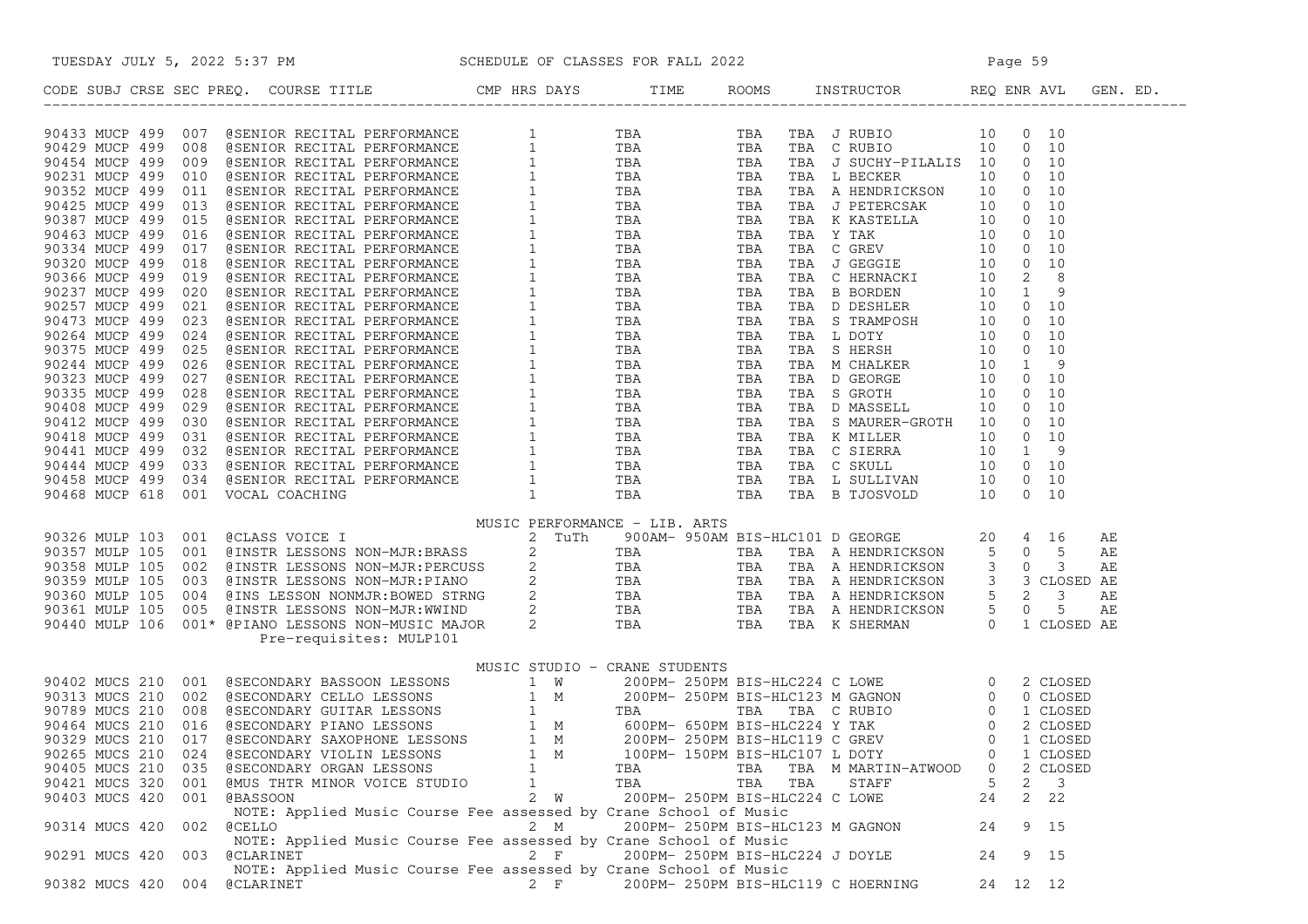| TUESDAY JULY 5, 2022 5:37 PM                                                                                                                                                                                                                                                                                                                                                 |       |     |                                 | M SCHEDULE OF CLASSES FOR FALL 2022<br>Page 59 |                    |  |
|------------------------------------------------------------------------------------------------------------------------------------------------------------------------------------------------------------------------------------------------------------------------------------------------------------------------------------------------------------------------------|-------|-----|---------------------------------|------------------------------------------------|--------------------|--|
| CODE SUBJ CRSE SEC PREQ. COURSE TITLE THE ROOMS INSTRUCTOR REQ ENR AVL GEN. ED.                                                                                                                                                                                                                                                                                              |       |     |                                 |                                                |                    |  |
| $\begin{array}{cccccc} 90433&\text{MCC} & 499&007& 49874708&\text{ReCT73A} & \text{PEPTORANANCE} & 1 & 79A & \text{TBA} & \text{TBA} & \text{TPBA} & \text{TPBA} & \text{TPAB} & \text{SPABT} & \text{TPAB} & \text{SPABT} & \text{CPABT} \\ 90429&\text{MUCP} & 499&009& 48584708&\text{ReCT73A} & \text{PEFCRABANICE} & 1 & 79A & \text{TPBA} & \text{TRA} & \text{TRB} &$ |       |     |                                 |                                                |                    |  |
|                                                                                                                                                                                                                                                                                                                                                                              |       |     |                                 |                                                |                    |  |
|                                                                                                                                                                                                                                                                                                                                                                              |       |     |                                 |                                                |                    |  |
|                                                                                                                                                                                                                                                                                                                                                                              |       |     |                                 |                                                |                    |  |
|                                                                                                                                                                                                                                                                                                                                                                              |       |     |                                 |                                                |                    |  |
|                                                                                                                                                                                                                                                                                                                                                                              |       |     |                                 |                                                |                    |  |
|                                                                                                                                                                                                                                                                                                                                                                              |       |     |                                 |                                                |                    |  |
|                                                                                                                                                                                                                                                                                                                                                                              |       |     |                                 |                                                |                    |  |
|                                                                                                                                                                                                                                                                                                                                                                              |       |     |                                 |                                                |                    |  |
|                                                                                                                                                                                                                                                                                                                                                                              |       |     |                                 |                                                |                    |  |
|                                                                                                                                                                                                                                                                                                                                                                              |       |     |                                 |                                                |                    |  |
|                                                                                                                                                                                                                                                                                                                                                                              |       |     |                                 |                                                |                    |  |
|                                                                                                                                                                                                                                                                                                                                                                              |       |     |                                 |                                                |                    |  |
|                                                                                                                                                                                                                                                                                                                                                                              |       |     |                                 |                                                |                    |  |
|                                                                                                                                                                                                                                                                                                                                                                              |       |     |                                 |                                                |                    |  |
|                                                                                                                                                                                                                                                                                                                                                                              |       |     |                                 |                                                |                    |  |
|                                                                                                                                                                                                                                                                                                                                                                              |       |     |                                 |                                                |                    |  |
|                                                                                                                                                                                                                                                                                                                                                                              |       |     |                                 |                                                |                    |  |
|                                                                                                                                                                                                                                                                                                                                                                              |       |     |                                 |                                                |                    |  |
|                                                                                                                                                                                                                                                                                                                                                                              |       |     |                                 |                                                |                    |  |
|                                                                                                                                                                                                                                                                                                                                                                              |       |     |                                 |                                                |                    |  |
|                                                                                                                                                                                                                                                                                                                                                                              |       |     |                                 |                                                |                    |  |
|                                                                                                                                                                                                                                                                                                                                                                              |       |     |                                 |                                                |                    |  |
|                                                                                                                                                                                                                                                                                                                                                                              |       |     |                                 |                                                |                    |  |
| MUSIC STUDIO - CRANE STUDENTS                                                                                                                                                                                                                                                                                                                                                |       |     |                                 |                                                |                    |  |
|                                                                                                                                                                                                                                                                                                                                                                              |       |     |                                 |                                                |                    |  |
|                                                                                                                                                                                                                                                                                                                                                                              |       |     |                                 |                                                |                    |  |
|                                                                                                                                                                                                                                                                                                                                                                              |       |     |                                 |                                                |                    |  |
|                                                                                                                                                                                                                                                                                                                                                                              |       |     |                                 |                                                |                    |  |
| 90265 MUCS 210 024 @SECONDARY VIOLIN LESSONS                                                                                                                                                                                                                                                                                                                                 | 1 M   |     | 100PM- 150PM BIS-HLC107 L DOTY  |                                                | 1 CLOSED<br>0      |  |
| 90405 MUCS 210<br>035<br>@SECONDARY ORGAN LESSONS                                                                                                                                                                                                                                                                                                                            | 1     | TBA | TBA                             | TBA M MARTIN-ATWOOD                            | 0<br>2 CLOSED      |  |
| 90421 MUCS 320 001<br><b>@MUS THTR MINOR VOICE STUDIO</b>                                                                                                                                                                                                                                                                                                                    | 1     | TBA | TBA                             | TBA<br>STAFF                                   | 5<br>3<br>2        |  |
| 90403 MUCS 420 001 @BASSOON                                                                                                                                                                                                                                                                                                                                                  | 2 W   |     | 200PM- 250PM BIS-HLC224 C LOWE  |                                                | 24<br>$2 \quad 22$ |  |
| NOTE: Applied Music Course Fee assessed by Crane School of Music                                                                                                                                                                                                                                                                                                             |       |     |                                 |                                                |                    |  |
| 90314 MUCS 420<br>002<br><b>@CELLO</b><br>NOTE: Applied Music Course Fee assessed by Crane School of Music                                                                                                                                                                                                                                                                   | 2 M   |     |                                 | 200PM- 250PM BIS-HLC123 M GAGNON               | 9 15<br>24         |  |
| 90291 MUCS 420<br>003<br>@CLARINET<br>NOTE: Applied Music Course Fee assessed by Crane School of Music                                                                                                                                                                                                                                                                       | $2$ F |     | 200PM- 250PM BIS-HLC224 J DOYLE |                                                | 9 15<br>24         |  |
| 90382 MUCS 420<br>004 @CLARINET                                                                                                                                                                                                                                                                                                                                              | $2$ F |     |                                 | 200PM- 250PM BIS-HLC119 C HOERNING             | 24 12 12           |  |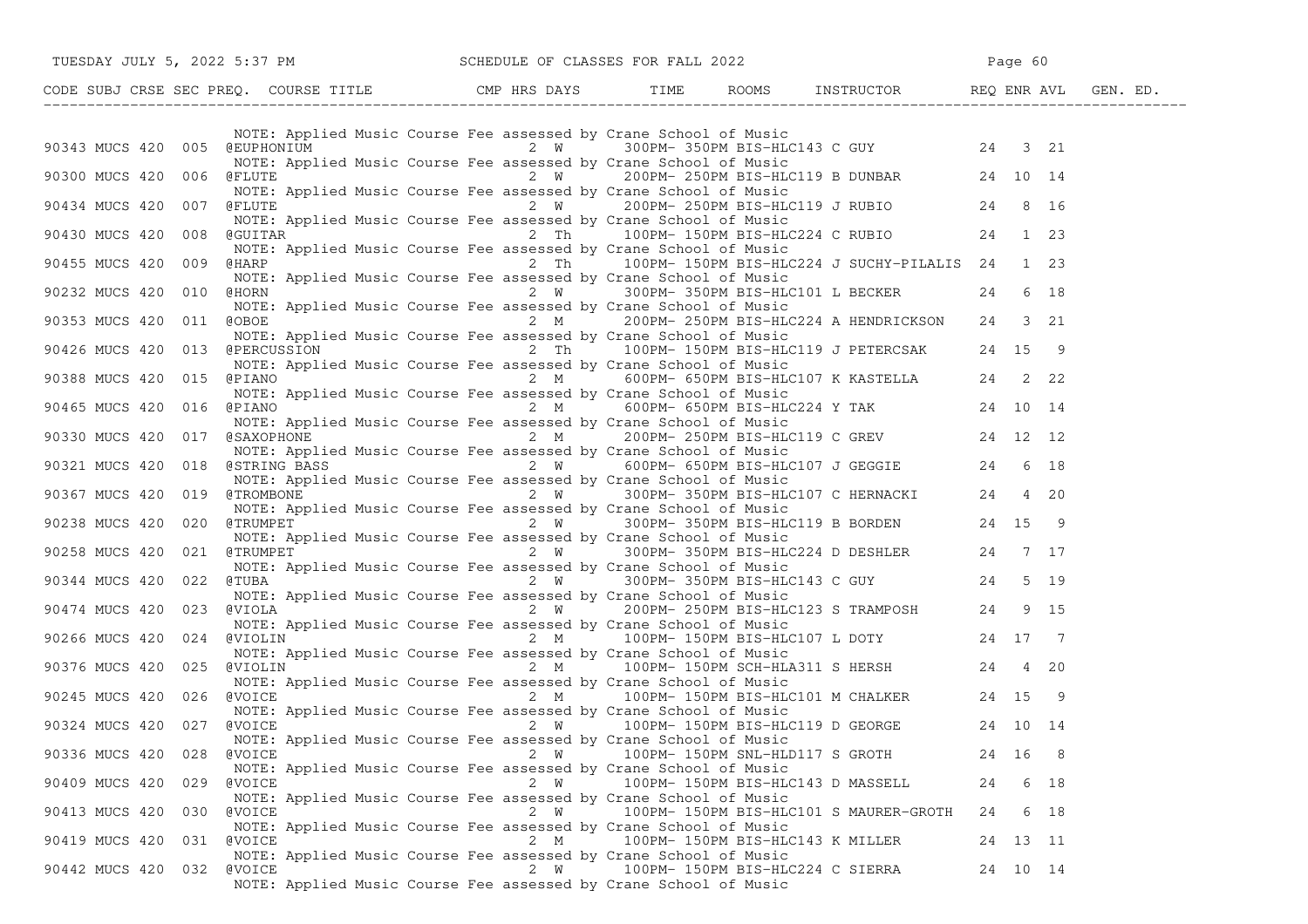| TUESDAY JULY 5, 2022 5:37 PM SCHEDULE OF CLASSES FOR FALL 2022                                                                                                                                                                         |     |                                                                                                                                                                                                                     | Page 60  |      |  |
|----------------------------------------------------------------------------------------------------------------------------------------------------------------------------------------------------------------------------------------|-----|---------------------------------------------------------------------------------------------------------------------------------------------------------------------------------------------------------------------|----------|------|--|
| CODE SUBJ CRSE SEC PREQ. COURSE TITLE CMP HRS DAYS TIME ROOMS INSTRUCTOR REQ ENR AVL GEN. ED.                                                                                                                                          |     |                                                                                                                                                                                                                     |          |      |  |
| 90343 MUCS 420 005 @EUPHONIUM 2 W 300PM-350PM BIS-HLC143 C GUY 24 3 21                                                                                                                                                                 |     | NOTE: Applied Music Course Fee assessed by Crane School of Music                                                                                                                                                    |          |      |  |
| 90300 MUCS 420 006 @FLUTE                                                                                                                                                                                                              |     | NOTE: Applied Music Course Fee assessed by Crane School of Music<br>$2 W$ 200PM-250PM BIS-HLC119 B DUNBAR 24 10 14                                                                                                  |          |      |  |
| 90434 MUCS 420 007 @FLUTE                                                                                                                                                                                                              |     | NOTE: Applied Music Course Fee assessed by Crane School of Music<br>@FLUTE               2  W     200PM- 250PM BIS-HLC119 J RUBIO       24  8 16                                                                    |          |      |  |
| 90430 MUCS 420 008 @GUITAR                                                                                                                                                                                                             |     | NOTE: Applied Music Course Fee assessed by Crane School of Music<br>GGUITAR 2 Th 100PM-150PM BIS-HLC224 C RUBIO 24 1 23<br>NOTE: Applied Music Course Fee assessed by Crane School of Music                         |          |      |  |
| 90455 MUCS 420 009 @HARP                                                                                                                                                                                                               |     | 2 Th 100PM-150PM BIS-HLC224 J SUCHY-PILALIS 24 1 23<br>NOTE: Applied Music Course Fee assessed by Crane School of Music                                                                                             |          |      |  |
| 90232 MUCS 420 010 @HORN 14 CHORO 2 W 300PM-350PM BIS-HLC101 L BECKER 24 6 18                                                                                                                                                          |     | NOTE: Applied Music Course Fee assessed by Crane School of Music                                                                                                                                                    |          |      |  |
| 90353 MUCS 420 011 @OBOE<br>90426 MUCS 420 013 @PERCUSSION 2 Th 100PM-150PM BIS-HLC119 J PETERCSAK 24 15 9                                                                                                                             |     | 2 M 200PM-250PM BIS-HLC224 A HENDRICKSON 24 3 21<br>NOTE: Applied Music Course Fee assessed by Crane School of Music                                                                                                |          |      |  |
| 90388 MUCS 420 015 @PIANO                                                                                                                                                                                                              |     | NOTE: Applied Music Course Fee assessed by Crane School of Music<br>ed Music Course ree assessed by Clane School of Husic<br>2 M 600PM-650PM BIS-HLC107 K KASTELLA 24 22                                            |          |      |  |
| 90465 MUCS 420 016 @PIANO 2 M 600PM-650PM BIS-HLC224 Y TAK 24 10 14                                                                                                                                                                    |     | NOTE: Applied Music Course Fee assessed by Crane School of Music                                                                                                                                                    |          |      |  |
| 9030 MUCS 420 016 WHERE Applied Music Course Fee assessed by Crane School of Music<br>90330 MUCS 420 017 (SAXOPHONE<br>90321 MUCS 420 018 (STRING BASS 2 M 600PM-650PM BIS-HLC119 C GREV 24 12 12<br>90321 MUCS 420 018 (STRING BASS 2 |     |                                                                                                                                                                                                                     |          |      |  |
|                                                                                                                                                                                                                                        |     |                                                                                                                                                                                                                     |          |      |  |
|                                                                                                                                                                                                                                        |     | NOTE: Applied Music Course Fee assessed by Crane School of Music                                                                                                                                                    |          |      |  |
| 90238 MUCS 420 020 @TRUMPET 2 W 300PM-350PM BIS-HLC119 B BORDEN 24 15 9<br>NOTE: Applied Music Course Fee assessed by Crane School of Music<br>90258 MUCS 420 021 @TRUMPET 20 N 300PM-350PM BIS-HLC224 D DESHLER 24 7 17               |     |                                                                                                                                                                                                                     |          |      |  |
|                                                                                                                                                                                                                                        |     | NOTE: Applied Music Course Fee assessed by Crane School of Music                                                                                                                                                    |          |      |  |
| 90344 MUCS 420 022 @TUBA<br>NOTE: Applied Music Course Fee assessed by Crane School of Music<br>90474 MUCS 420 023 @VIOLA<br>2 W 200PM-250PM BIS-HLC123 S TRAMPOSH 24 9 15                                                             |     |                                                                                                                                                                                                                     |          |      |  |
|                                                                                                                                                                                                                                        |     | NOTE: Applied Music Course Fee assessed by Crane School of Music                                                                                                                                                    |          |      |  |
| 90266 MUCS 420 024 @VIOLIN<br>MOTE: Applied Music Course Fee assessed by Crane School of Music<br>90376 MUCS 420 025 @VIOLIN<br>2 M 100PM-150PM SCH-HLA311 S HERSH 24 4 20                                                             |     |                                                                                                                                                                                                                     |          |      |  |
| 90245 MUCS 420 026 @VOICE                                                                                                                                                                                                              |     | NOTE: Applied Music Course Fee assessed by Crane School of Music<br>NOTE: Applied Music Course Fee assessed by Crane School of Music<br>@VOICE              2  M     100PM- 150PM BIS-HLC101 M CHALKER     24 15  9 |          |      |  |
| 90324 MUCS 420 027 @VOICE                                                                                                                                                                                                              |     | NOTE: Applied Music Course Fee assessed by Crane School of Music<br>$2 W$ 100PM-150PM BIS-HLC119 D GEORGE 24 10 14<br>NOTE: Applied Music Course Fee assessed by Crane School of Music                              |          |      |  |
| 90336 MUCS 420 028<br>@VOICE                                                                                                                                                                                                           | 2 W | 100PM- 150PM SNL-HLD117 S GROTH 24 16 8<br>NOTE: Applied Music Course Fee assessed by Crane School of Music                                                                                                         |          |      |  |
| 90409 MUCS 420 029<br>@VOICE                                                                                                                                                                                                           | 2 W | 100PM- 150PM BIS-HLC143 D MASSELL<br>NOTE: Applied Music Course Fee assessed by Crane School of Music                                                                                                               | 24       | 6 18 |  |
| 90413 MUCS 420 030<br>@VOICE                                                                                                                                                                                                           | 2 W | 100PM- 150PM BIS-HLC101 S MAURER-GROTH<br>NOTE: Applied Music Course Fee assessed by Crane School of Music                                                                                                          | 24       | 6 18 |  |
| 90419 MUCS 420 031<br>@VOICE                                                                                                                                                                                                           | 2 M | 100PM- 150PM BIS-HLC143 K MILLER<br>NOTE: Applied Music Course Fee assessed by Crane School of Music                                                                                                                | 24 13 11 |      |  |
| 90442 MUCS 420 032<br>@VOICE                                                                                                                                                                                                           | 2 W | 100PM- 150PM BIS-HLC224 C SIERRA<br>NOTE: Applied Music Course Fee assessed by Crane School of Music                                                                                                                | 24 10 14 |      |  |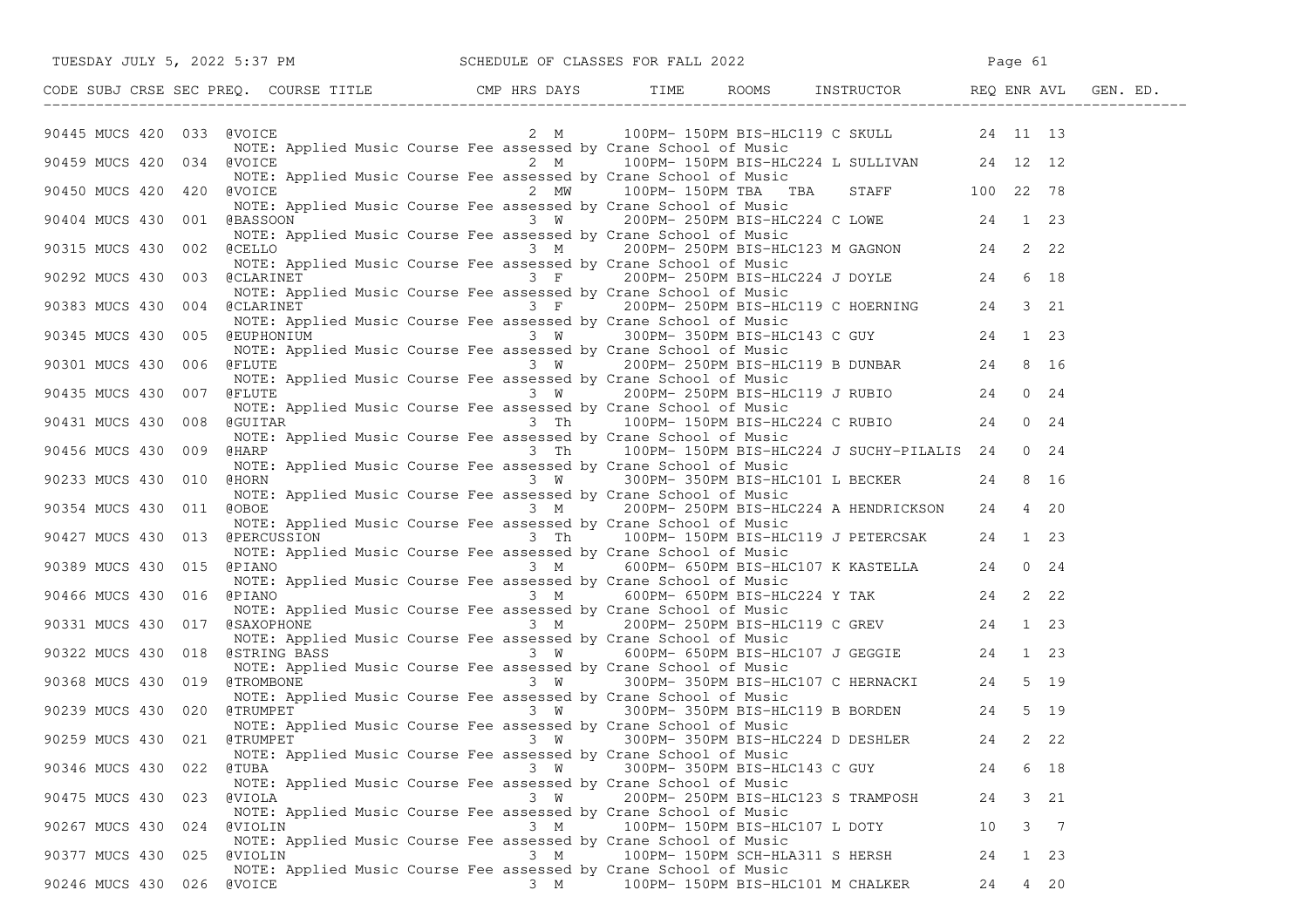| TUESDAY JULY 5, 2022 5:37 PM SCHEDULE OF CLASSES FOR FALL 2022                                                                                                                                                                                                                                                                                                                                        |               |                                                                                                                                                                                                 | Page 61 |              |
|-------------------------------------------------------------------------------------------------------------------------------------------------------------------------------------------------------------------------------------------------------------------------------------------------------------------------------------------------------------------------------------------------------|---------------|-------------------------------------------------------------------------------------------------------------------------------------------------------------------------------------------------|---------|--------------|
|                                                                                                                                                                                                                                                                                                                                                                                                       |               |                                                                                                                                                                                                 |         |              |
| @VOICE<br>90445 MUCS 420 033                                                                                                                                                                                                                                                                                                                                                                          |               | 2 M 100PM-150PM BIS-HLC119 C SKULL 24 11 13<br>NOTE: Applied Music Course Fee assessed by Crane School of Music                                                                                 |         |              |
| 90459 MUCS 420 034 @VOICE<br>NOTE: Applied Music Course Fee assessed by Crane School of Music                                                                                                                                                                                                                                                                                                         | $2 \text{ M}$ | Frane School of Music<br>100PM- 150PM BIS-HLC224 L SULLIVAN 24 12 12                                                                                                                            |         |              |
| <u>and</u> the contract of the contract of the contract of the contract of the contract of the contract of the contract of the contract of the contract of the contract of the contract of the contract of the contract of the cont<br>90450 MUCS 420 420<br>@VOICE                                                                                                                                   |               | 2 MW 100PM-150PM TBA TBA STAFF 100 22 78                                                                                                                                                        |         |              |
| 90404 MUCS 430 001 @BASSOON                                                                                                                                                                                                                                                                                                                                                                           |               | NOTE: Applied Music Course Fee assessed by Crane School of Music<br>ed Music Course Fee assessed by Crane School of Music LOWE 24 1 23<br>ed Music Course Fee assessed by Crane School of Music |         |              |
| NOTE: Applied Music Course Fee assessed by Crane School of Music                                                                                                                                                                                                                                                                                                                                      |               |                                                                                                                                                                                                 |         |              |
| 90315 MUCS 430 002 @CELLO<br>NOTE: Applied Music Course Fee assessed by Crane School of Music<br>NOTE: Applied Music Course Fee assessed by Crane School of Music<br>90292 MUCS 430 003 @CLARINET<br>24 6 18                                                                                                                                                                                          |               |                                                                                                                                                                                                 |         |              |
| NOTE: Applied Music Course Fee assessed by Crane School of Music<br>90383 MUCS 430 004 @CLARINET                                                                                                                                                                                                                                                                                                      |               | a music course ree assessed by crane School of Music<br>3 F 200PM-250PM BIS-HLC119 C HOERNING 24<br>d Music Course Fee assessed by Crane School of Music                                        |         | 3 21         |
| NOTE: Applied Music Course Fee assessed by Crane School of Music<br>90345 MUCS 430 005 @EUPHONIUM 3 W 300PM-350PM BIS-HLC143 C GUY                                                                                                                                                                                                                                                                    |               |                                                                                                                                                                                                 |         | 1 23         |
| NOTE: Applied Music Course Fee assessed by Crane School of Music<br>90301 MUCS 430 006 @FLUTE                                                                                                                                                                                                                                                                                                         |               | $\frac{3}{N}$ $\frac{W}{1000}$ 200PM-250PM BIS-HLC119 B DUNBAR 24                                                                                                                               |         | 8 16         |
| NOTE: Applied Music Course Fee assessed by Crane School of Music<br>$\frac{1}{24}$<br>$\frac{1}{24}$ $\frac{1}{24}$ $\frac{1}{24}$ $\frac{1}{24}$ $\frac{1}{24}$ $\frac{1}{24}$ $\frac{1}{200}$ $\frac{1}{250}$ $\frac{1}{250}$ $\frac{1}{250}$ $\frac{1}{250}$ $\frac{1}{250}$ $\frac{1}{250}$ $\frac{1}{250}$ $\frac{1}{250}$ $\frac{1}{250}$ $\frac{1}{250}$ $\frac{1}{250}$<br>90435 MUCS 430 007 |               |                                                                                                                                                                                                 |         | $0 \t24$     |
| NOTE: Applied Music Course Fee assessed by Crane School of Music<br>90431 MUCS 430 008<br>@GUITAR                                                                                                                                                                                                                                                                                                     |               | 3 Th 100PM-150PM BIS-HLC224 C RUBIO 24                                                                                                                                                          |         | $0 \t 24$    |
| NOTE: Applied Music Course Fee assessed by Crane School of Music<br>90456 MUCS 430 009<br>@HARP                                                                                                                                                                                                                                                                                                       |               | 3 Th 100PM-150PM BIS-HLC224 J SUCHY-PILALIS 24                                                                                                                                                  |         | $0 \quad 24$ |
| 90233 MUCS 430 010<br>@HORN                                                                                                                                                                                                                                                                                                                                                                           | 3 W           | NOTE: Applied Music Course Fee assessed by Crane School of Music<br>300PM- 350PM BIS-HLC101 L BECKER 24                                                                                         |         | 8 16         |
| NOTE: Applied Music Course Fee assessed by Crane School of Music<br>90354 MUCS 430 011 @OBOE                                                                                                                                                                                                                                                                                                          |               | 3 M 200PM-250PM BIS-HLC224 A HENDRICKSON 24                                                                                                                                                     |         | 4 20         |
| 90427 MUCS 430 013 @PERCUSSION 3 Th 100PM-150PM BIS-HLC119 J PETERCSAK 24 1 23                                                                                                                                                                                                                                                                                                                        |               | NOTE: Applied Music Course Fee assessed by Crane School of Music                                                                                                                                |         |              |
| NOTE: Applied Music Course Fee assessed by Crane School of Music<br>90389 MUCS 430  015  @PIANO                                                                                                                                                                                                                                                                                                       |               | 3 M 600PM- 650PM BIS-HLC107 K KASTELLA 24 0 24                                                                                                                                                  |         |              |
| NOTE: Applied Music Course Fee assessed by Crane School of Music<br>$\frac{3 \text{ M}}{4}$ 600PM-650PM BIS-HLC224 Y TAK 24<br>90466 MUCS 430 016                                                                                                                                                                                                                                                     |               |                                                                                                                                                                                                 |         | 2 22         |
| NOTE: Applied Music Course Fee assessed by Crane School of Music<br>90331 MUCS 430 017 @SAXOPHONE                                                                                                                                                                                                                                                                                                     |               | 3 M 200PM-250PM BIS-HLC119 C GREV 24 1 23<br>usic Course Fee assessed by Crane School of Music                                                                                                  |         |              |
| NOTE: Applied Music Course Fee assessed by Crane School of Music<br>90322 MUCS 430 018 @STRING BASS 3 W 600PM-650PM BIS-HLC107 J GEGGIE 24                                                                                                                                                                                                                                                            |               |                                                                                                                                                                                                 |         | 1 23         |
| NOTE: Applied Music Course Fee assessed by Crane School of Music<br>90368 MUCS 430 019 @TROMBONE                                                                                                                                                                                                                                                                                                      |               | Music Course Fee assessed by Crane School of Music<br>3 W 300PM-350PM BIS-HLC107 C HERNACKI 24 5 19                                                                                             |         |              |
| NOTE: Applied Music Course Fee assessed by Crane School of Music<br>90239 MUCS 430 020<br>@TRUMPET                                                                                                                                                                                                                                                                                                    | $3 \quad W$   | 300PM- 350PM BIS-HLC119 B BORDEN 24                                                                                                                                                             |         | 5 19         |
| 90259 MUCS 430 021 @TRUMPET 3 W 300PM-350PM BIS-HLC224 D DESHLER 24                                                                                                                                                                                                                                                                                                                                   |               | NOTE: Applied Music Course Fee assessed by Crane School of Music                                                                                                                                |         | 2 22         |
| NOTE: Applied Music Course Fee assessed by Crane School of Music<br>90346 MUCS 430 022<br>@TUBA                                                                                                                                                                                                                                                                                                       | 3 W           | 300PM- 350PM BIS-HLC143 C GUY                                                                                                                                                                   | 24      | 6 18         |
| NOTE: Applied Music Course Fee assessed by Crane School of Music<br>90475 MUCS 430 023<br>@VIOLA                                                                                                                                                                                                                                                                                                      | 3 W           | 200PM- 250PM BIS-HLC123 S TRAMPOSH                                                                                                                                                              | 24      | 3 21         |
| NOTE: Applied Music Course Fee assessed by Crane School of Music<br>90267 MUCS 430 024<br>@VIOLIN                                                                                                                                                                                                                                                                                                     | 3 M           | 100PM- 150PM BIS-HLC107 L DOTY                                                                                                                                                                  | 10      | 3 7          |
| NOTE: Applied Music Course Fee assessed by Crane School of Music<br>90377 MUCS 430 025<br><b>@VIOLIN</b>                                                                                                                                                                                                                                                                                              | $3 \, M$      | 100PM- 150PM SCH-HLA311 S HERSH                                                                                                                                                                 | 24      | 1 23         |
| NOTE: Applied Music Course Fee assessed by Crane School of Music<br>90246 MUCS 430 026 @VOICE                                                                                                                                                                                                                                                                                                         | 3 M           | 100PM- 150PM BIS-HLC101 M CHALKER                                                                                                                                                               | 24      | 4 20         |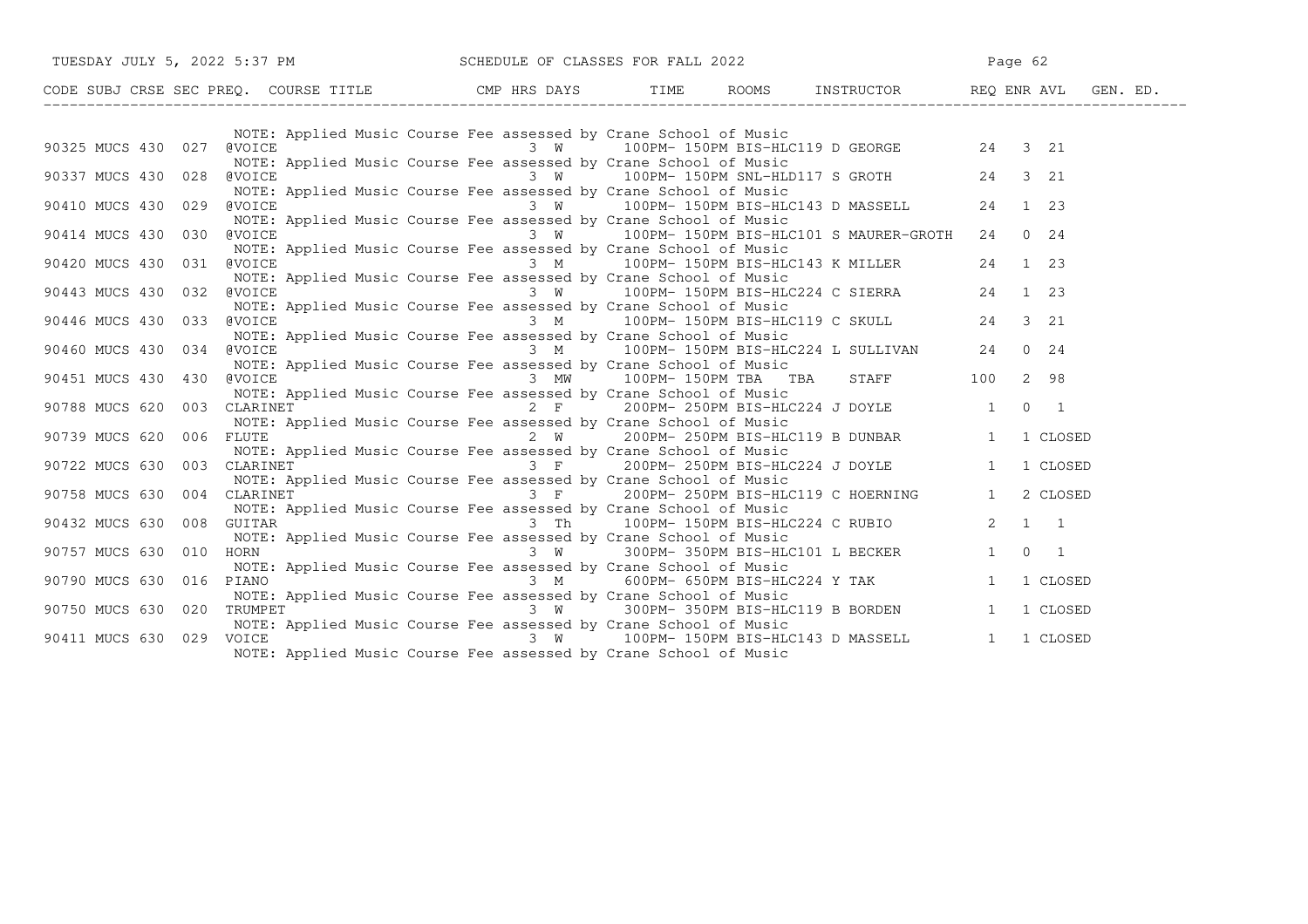| TUESDAY JULY 5, 2022 5:37 PM SCHEDULE OF CLASSES FOR FALL 2022                                                                             |                                                                                                                                                                                                                                                                                                    | Page 62                                 |
|--------------------------------------------------------------------------------------------------------------------------------------------|----------------------------------------------------------------------------------------------------------------------------------------------------------------------------------------------------------------------------------------------------------------------------------------------------|-----------------------------------------|
| CODE SUBJ CRSE SEC PREQ. COURSE TITLE CMP HRS DAYS TIME ROOMS INSTRUCTOR REQ ENR AVL GEN. ED.                                              |                                                                                                                                                                                                                                                                                                    |                                         |
|                                                                                                                                            | NOTE: Applied Music Course Fee assessed by Crane School of Music                                                                                                                                                                                                                                   |                                         |
| NOTE: Applied Music Course ree assessed by Crane School of Music<br>90325 MUCS 430 027 (VOICE 3 W 100PM- 150PM BIS-HLC119 D GEORGE 24 3 21 | NOTE: Applied Music Course Fee assessed by Crane School of Music                                                                                                                                                                                                                                   |                                         |
| 90337 MUCS 430 028<br><b>@VOICE</b>                                                                                                        |                                                                                                                                                                                                                                                                                                    |                                         |
| @VOICE<br>90410 MUCS 430 029                                                                                                               | NOTE: Applied Music Course Fee assessed by Crane School of Music<br>3 W 100PM-150PM BIS-HLC143 D MASSELL 24 1 23                                                                                                                                                                                   |                                         |
| 90414 MUCS 430 030<br>@VOICE                                                                                                               | NOTE: Applied Music Course Fee assessed by Crane School of Music<br>3 W 100PM-150PM BIS-HLC101 S MAURER-GROTH 24 0 24                                                                                                                                                                              |                                         |
| 90420 MUCS 430<br>031 @VOICE                                                                                                               | NOTE: Applied Music Course Fee assessed by Crane School of Music<br>3 M 100PM-150PM BIS-HLC143 K MILLER 24 1 23                                                                                                                                                                                    |                                         |
| 90443 MUCS 430 032<br><b>@VOICE</b>                                                                                                        | NOTE: Applied Music Course Fee assessed by Crane School of Music                                                                                                                                                                                                                                   |                                         |
| 90446 MUCS 430 033<br><b>@VOICE</b>                                                                                                        | NOTE: Applied Music Course Fee assessed by Crane School of Music<br>Course Fee assessed by Crane School of Music<br>Course Fee assessed by Crane School of Music                                                                                                                                   |                                         |
| 90460 MUCS 430 034<br><b>@VOICE</b>                                                                                                        | NOTE: Applied Music Course Fee assessed by Crane School of Music<br>3 M 100PM-150PM BIS-HLC224 L SULLIVAN 24 0 24                                                                                                                                                                                  |                                         |
| 90451 MUCS 430 430                                                                                                                         | NOTE: Applied Music Course Fee assessed by Crane School of Music<br>evoice and the same of the same of the same of the same of the same of the same of the same of the same of the same of the same of the same of the same of the same of the same of the same of the same of the same of the sam | STAFF 100 2 98                          |
| 90788 MUCS 620<br>003                                                                                                                      | NOTE: Applied Music Course Fee assessed by Crane School of Music<br>CLARINET 200PM-250PM BIS-HLC224 J DOYLE 1 0 1                                                                                                                                                                                  |                                         |
| 90739 MUCS 620<br>006<br>FLUTE                                                                                                             | 2 F 200PM-250PM BIS-HLC224 U DOLLER<br>sessed by Crane School of Music<br>2 W 200PM-250PM BIS-HLC119 B DUNBAR 1 1 CLOSED<br>NOTE: Applied Music Course Fee assessed by Crane School of Music                                                                                                       |                                         |
| CLARINET<br>90722 MUCS 630<br>003                                                                                                          | NOTE: Applied Music Course Fee assessed by Crane School of Music<br>ed Music Course Fee assessed by Crane School of Music<br>ed Music Course Fee assessed by Crane School of Music                                                                                                                 |                                         |
| 90758 MUCS 630<br>004<br>CLARINET                                                                                                          | NOTE: Applied Music Course Fee assessed by Crane School of Music<br>3 F 200PM-250PM BIS-HLC119 C HOERNING 1 2 CLOSED                                                                                                                                                                               |                                         |
| 90432 MUCS 630<br>008                                                                                                                      | NOTE: Applied Music Course Fee assessed by Crane School of Music<br>GUITAR             3 Th    100PM- 150PM BIS-HLC224 C RUBIO       2  1  1                                                                                                                                                       |                                         |
| 90757 MUCS 630<br>010<br>HORN                                                                                                              | NOTE: Applied Music Course Fee assessed by Crane School of Music                                                                                                                                                                                                                                   |                                         |
| PIANO<br>90790 MUCS 630<br>016                                                                                                             | NOTE: Applied Music Course Fee assessed by Crane School of Music<br>$3 \t M$                                                                                                                                                                                                                       | 600PM-650PM BIS-HLC224 Y TAK 1 1 CLOSED |
| 90750 MUCS 630 020<br>TRUMPET                                                                                                              | NOTE: Applied Music Course Fee assessed by Crane School of Music<br>$3 W$ 300PM-350PM BIS-HLC119 B BORDEN 1 1 CLOSED                                                                                                                                                                               |                                         |
| 90411 MUCS 630<br>VOICE<br>029                                                                                                             | NOTE: Applied Music Course Fee assessed by Crane School of Music<br>3 W 100PM-150PM BIS-HLC143 D MASSELL 1 1 CLOSED<br>NOTE: Applied Music Course Fee assessed by Crane School of Music                                                                                                            |                                         |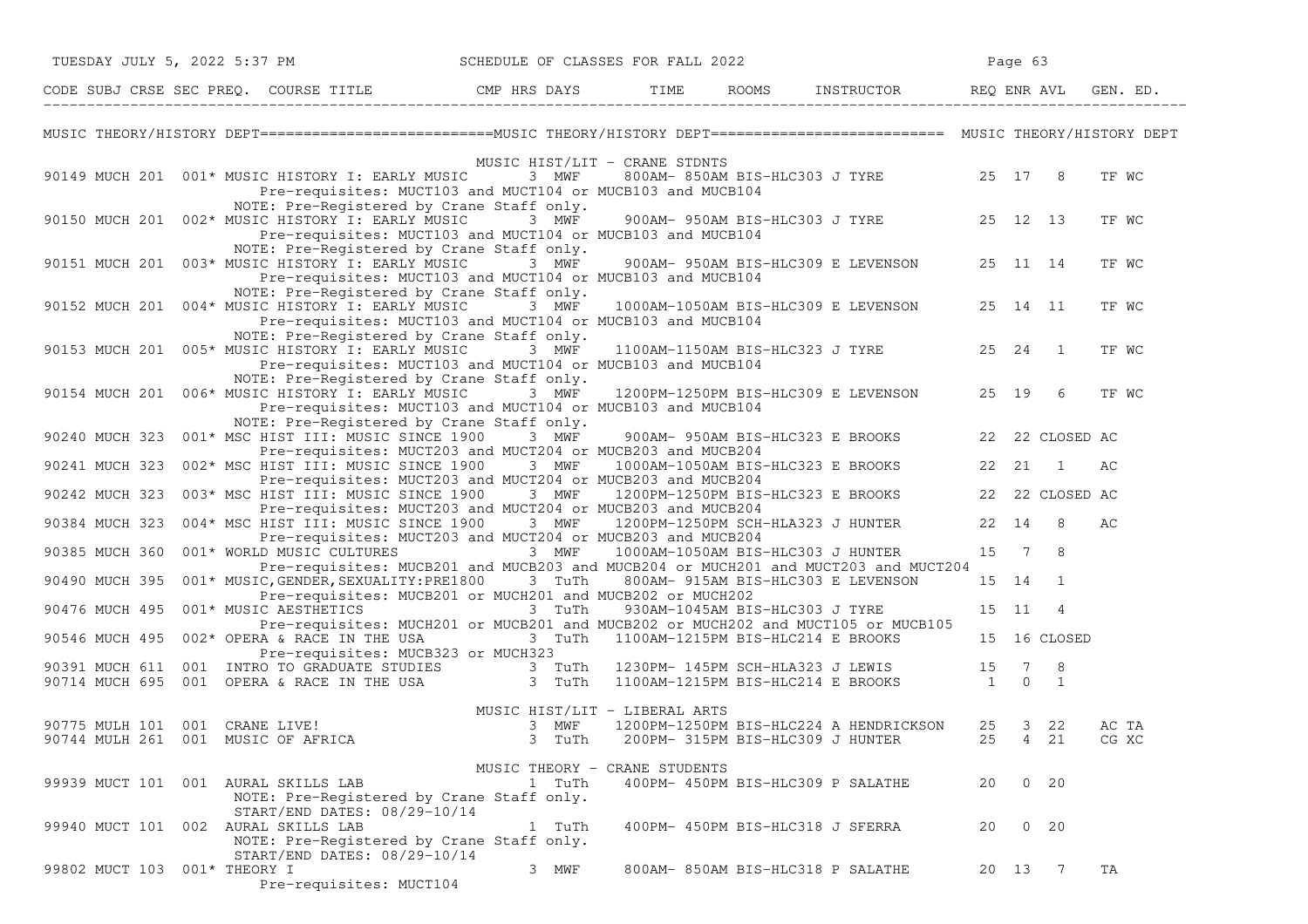|                | TUESDAY JULY 5, 2022 5:37 PM |                                                                                                                                                                                                                |       |                 | SCHEDULE OF CLASSES FOR FALL 2022 |      |                                |                                                                                    |    | Page 63 |                    |                |  |
|----------------|------------------------------|----------------------------------------------------------------------------------------------------------------------------------------------------------------------------------------------------------------|-------|-----------------|-----------------------------------|------|--------------------------------|------------------------------------------------------------------------------------|----|---------|--------------------|----------------|--|
|                |                              | CODE SUBJ CRSE SEC PREQ. COURSE TITLE THE CMP HRS DAYS                                                                                                                                                         |       |                 |                                   | TIME |                                | ROOMS INSTRUCTOR REQ ENR AVL                                                       |    |         |                    | GEN. ED.       |  |
|                |                              | MUSIC THEORY/HISTORY DEPT==========================MUSIC THEORY/HISTORY DEPT========================== MUSIC THEORY/HISTORY DEPT                                                                               |       |                 |                                   |      |                                |                                                                                    |    |         |                    |                |  |
|                |                              | 90149 MUCH 201 001* MUSIC HISTORY I: EARLY MUSIC 3 MWF<br>Pre-requisites: MUCT103 and MUCT104 or MUCB103 and MUCB104                                                                                           |       |                 | MUSIC HIST/LIT - CRANE STDNTS     |      |                                | 800AM-850AM BIS-HLC303 J TYRE 25 17 8                                              |    |         |                    | TF WC          |  |
|                |                              | NOTE: Pre-Registered by Crane Staff only.<br>90150 MUCH 201 002* MUSIC HISTORY I: EARLY MUSIC<br>Pre-requisites: MUCT103 and MUCT104 or MUCB103 and MUCB104                                                    | 3 MWF |                 |                                   |      |                                | 900AM- 950AM BIS-HLC303 J TYRE 25 12 13                                            |    |         |                    | TF WC          |  |
|                |                              | NOTE: Pre-Registered by Crane Staff only.<br>90151 MUCH 201 003* MUSIC HISTORY I: EARLY MUSIC 3 MWF<br>Pre-requisites: MUCT103 and MUCT104 or MUCB103 and MUCB104<br>NOTE: Pre-Registered by Crane Staff only. |       |                 |                                   |      |                                | 900AM- 950AM BIS-HLC309 E LEVENSON 25 11 14                                        |    |         |                    | TF WC          |  |
|                |                              | 90152 MUCH 201 004* MUSIC HISTORY I: EARLY MUSIC<br>Pre-requisites: MUCT103 and MUCT104 or MUCB103 and MUCB104                                                                                                 |       | 3 MWF           |                                   |      |                                | 1000AM-1050AM BIS-HLC309 E LEVENSON                                                |    |         | 25 14 11           | TF WC          |  |
|                |                              | NOTE: Pre-Registered by Crane Staff only.<br>90153 MUCH 201 005* MUSIC HISTORY I: EARLY MUSIC 3 MWF 1100AM-1150AM BIS-HLC323 J TYRE 25 24 1<br>Pre-requisites: MUCT103 and MUCT104 or MUCB103 and MUCB104      |       |                 |                                   |      |                                |                                                                                    |    |         |                    | TF WC          |  |
|                |                              | NOTE: Pre-Registered by Crane Staff only.<br>90154 MUCH 201 006* MUSIC HISTORY I: EARLY MUSIC 3 MWF<br>Pre-requisites: MUCT103 and MUCT104 or MUCB103 and MUCB104                                              |       |                 |                                   |      |                                | 1200PM-1250PM BIS-HLC309 E LEVENSON                                                |    |         | 25 19 6            | TF WC          |  |
| 90240 MUCH 323 |                              | NOTE: Pre-Registered by Crane Staff only.<br>001* MSC HIST III: MUSIC SINCE 1900<br>Pre-requisites: MUCT203 and MUCT204 or MUCB203 and MUCB204                                                                 |       | 3 MWF           |                                   |      |                                | 900AM- 950AM BIS-HLC323 E BROOKS 22 22 CLOSED AC                                   |    |         |                    |                |  |
| 90241 MUCH 323 |                              | 002* MSC HIST III: MUSIC SINCE 1900 3 MWF 1000AM-1050AM BIS-HLC323 E BROOKS 22 21<br>Pre-requisites: MUCT203 and MUCT204 or MUCB203 and MUCB204                                                                |       |                 |                                   |      |                                |                                                                                    |    |         | $\overline{1}$     | AС             |  |
| 90242 MUCH 323 |                              | 003* MSC HIST III: MUSIC SINCE 1900 3 MWF 1200PM-1250PM BIS-HLC323 E BROOKS 22 22 CLOSED AC                                                                                                                    |       |                 |                                   |      |                                |                                                                                    |    |         |                    |                |  |
| 90384 MUCH 323 |                              | Pre-requisites: MUCT203 and MUCT204 or MUCB203 and MUCB204<br>004* MSC HIST III: MUSIC SINCE 1900 3 MWF 1200PM-1250PM SCH-HLA323 J HUNTER 22 14 8                                                              |       |                 |                                   |      |                                |                                                                                    |    |         |                    | AC             |  |
| 90385 MUCH 360 |                              | Pre-requisites: MUCT203 and MUCT204 or MUCB203 and MUCB204<br>001* WORLD MUSIC CULTURES 3 MWF 1000AM-1050AM BIS-HLC303 J HUNTER                                                                                |       |                 |                                   |      |                                |                                                                                    |    | 15 7 8  |                    |                |  |
| 90490 MUCH 395 |                              | Pre-requisites: MUCB201 and MUCB203 and MUCB204 or MUCH201 and MUCT203 and MUCT204<br>001* MUSIC, GENDER, SEXUALITY: PRE1800 3 TuTh                                                                            |       |                 |                                   |      |                                | 800AM- 915AM BIS-HLC303 E LEVENSON                                                 |    | 15 14   | $\overline{1}$     |                |  |
| 90476 MUCH 495 |                              | Pre-requisites: MUCB201 or MUCH201 and MUCB202 or MUCH202<br>001* MUSIC AESTHETICS 3 TuTh                                                                                                                      |       |                 |                                   |      | 930AM-1045AM BIS-HLC303 J TYRE |                                                                                    |    | 15 11   | $\overline{4}$     |                |  |
| 90546 MUCH 495 |                              | Pre-requisites: MUCH201 or MUCB201 and MUCB202 or MUCH202 and MUCT105 or MUCB105<br>002* OPERA & RACE IN THE USA<br>Pre-requisites: MUCB323 or MUCH323                                                         |       | 3 TuTh          |                                   |      |                                | 1100AM-1215PM BIS-HLC214 E BROOKS                                                  |    |         | 15 16 CLOSED       |                |  |
|                |                              | 90391 MUCH 611 001 INTRO TO GRADUATE STUDIES 3 TuTh<br>90714 MUCH 695 001 OPERA & RACE IN THE USA 3 TuTh                                                                                                       |       |                 |                                   |      |                                | 1230PM- 145PM SCH-HLA323 J LEWIS 15 7 8<br>1100AM-1215PM BIS-HLC214 E BROOKS 1 0 1 |    |         |                    |                |  |
|                |                              | 90775 MULH 101 001 CRANE LIVE!<br>90744 MULH 261 001 MUSIC OF AFRICA                                                                                                                                           |       | 3 MWF<br>3 TuTh | MUSIC HIST/LIT - LIBERAL ARTS     |      |                                | 1200PM-1250PM BIS-HLC224 A HENDRICKSON<br>200PM- 315PM BIS-HLC309 J HUNTER         |    |         | 25 3 22<br>25 4 21 | AC TA<br>CG XC |  |
|                |                              | 99939 MUCT 101 001 AURAL SKILLS LAB<br>NOTE: Pre-Registered by Crane Staff only.<br>START/END DATES: 08/29-10/14                                                                                               |       | 1 TuTh          | MUSIC THEORY - CRANE STUDENTS     |      |                                | 400PM- 450PM BIS-HLC309 P SALATHE                                                  | 20 |         | $0\quad 20$        |                |  |
|                |                              | 99940 MUCT 101 002 AURAL SKILLS LAB<br>NOTE: Pre-Registered by Crane Staff only.                                                                                                                               |       | 1 TuTh          |                                   |      |                                | 400PM- 450PM BIS-HLC318 J SFERRA                                                   | 20 |         | $0\quad 20$        |                |  |
|                | 99802 MUCT 103 001* THEORY I | START/END DATES: 08/29-10/14<br>Pre-requisites: MUCT104                                                                                                                                                        |       | 3 MWF           |                                   |      |                                | 800AM- 850AM BIS-HLC318 P SALATHE                                                  |    |         | 20 13 7            | TA             |  |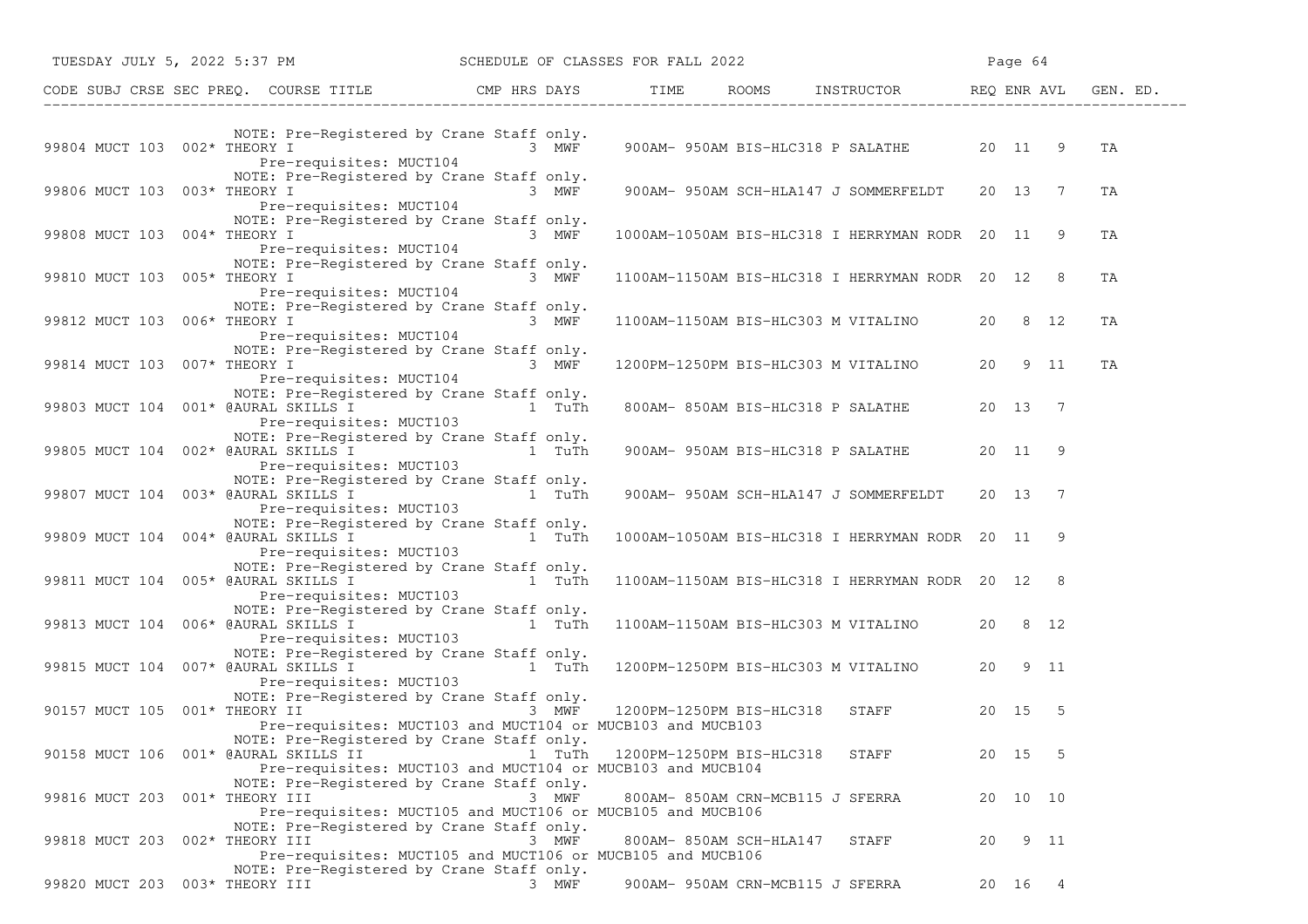|                                      | TUESDAY JULY 5, 2022 5:37 PM SCHEDULE OF CLASSES FOR FALL 2022                                                                                                                          |        |                          |                        |                                                  |    | Page 64  |      |          |
|--------------------------------------|-----------------------------------------------------------------------------------------------------------------------------------------------------------------------------------------|--------|--------------------------|------------------------|--------------------------------------------------|----|----------|------|----------|
|                                      | CODE SUBJ CRSE SEC PREQ. COURSE TITLE THE CMP HRS DAYS TIME ROOMS INSTRUCTOR REQ ENR AVL GE                                                                                             |        |                          |                        |                                                  |    |          |      | GEN. ED. |
| 99804 MUCT 103 002* THEORY I         | NOTE: Pre-Registered by Crane Staff only.<br>3 MWF<br>Pre-requisites: MUCT104                                                                                                           |        |                          |                        | 900AM- 950AM BIS-HLC318 P SALATHE 20 11 9        |    |          |      | TA       |
| 99806 MUCT 103 003* THEORY I         | NOTE: Pre-Registered by Crane Staff only.<br>3 MWF<br>Pre-requisites: MUCT104                                                                                                           |        |                          |                        | 900AM- 950AM SCH-HLA147 J SOMMERFELDT 20 13 7    |    |          |      | TA       |
| 99808 MUCT 103 004* THEORY I         | NOTE: Pre-Registered by Crane Staff only.<br>Pre-requisites: MUCT104                                                                                                                    | 3 MWF  |                          |                        | 1000AM-1050AM BIS-HLC318 I HERRYMAN RODR 20 11 9 |    |          |      | TA       |
| 99810 MUCT 103 005* THEORY I         | NOTE: Pre-Registered by Crane Staff only.<br>$3$ MWF<br>Pre-requisites: MUCT104                                                                                                         |        |                          |                        | 1100AM-1150AM BIS-HLC318 I HERRYMAN RODR 20 12 8 |    |          |      | ΤA       |
| 99812 MUCT 103 006* THEORY I         | NOTE: Pre-Registered by Crane Staff only.<br>3 MWF<br>Pre-requisites: MUCT104                                                                                                           |        |                          |                        | 1100AM-1150AM BIS-HLC303 M VITALINO              |    | 20 8 12  |      | TA       |
| 99814 MUCT 103 007* THEORY I         | NOTE: Pre-Registered by Crane Staff only.<br>Pre-requisites: MUCT104                                                                                                                    | 3 MWF  |                          |                        | 1200PM-1250PM BIS-HLC303 M VITALINO              | 20 |          | 9 11 | TA       |
|                                      | NOTE: Pre-Registered by Crane Staff only.<br>99803 MUCT 104 001* @AURAL SKILLS I $\overline{I}$ 1 TuTh<br>Pre-requisites: MUCT103                                                       |        |                          |                        | 800AM- 850AM BIS-HLC318 P SALATHE                |    | 20 13 7  |      |          |
|                                      | NOTE: Pre-Registered by Crane Staff only.<br>99805 MUCT 104 002* @AURAL SKILLS I TWIN 1 TuTh<br>Pre-requisites: MUCT103                                                                 |        |                          |                        | 900AM- 950AM BIS-HLC318 P SALATHE 20 11 9        |    |          |      |          |
| 99807 MUCT 104 003* @AURAL SKILLS I  | NOTE: Pre-Registered by Crane Staff only.<br>and the state of the state of the state of the state of the state of the state of the state of the state of the<br>Pre-requisites: MUCT103 |        |                          |                        | 900AM- 950AM SCH-HLA147 J SOMMERFELDT            |    | 20 13 7  |      |          |
|                                      | NOTE: Pre-Registered by Crane Staff only.<br>99809 MUCT 104 004* @AURAL SKILLS I $\overline{1}$ 1 TuTh<br>Pre-requisites: MUCT103                                                       |        |                          |                        | 1000AM-1050AM BIS-HLC318 I HERRYMAN RODR 20 11 9 |    |          |      |          |
|                                      | NOTE: Pre-Registered by Crane Staff only.<br>99811 MUCT 104 005* @AURAL SKILLS I TWIN 1 TuTh<br>Pre-requisites: MUCT103                                                                 |        |                          |                        | 1100AM-1150AM BIS-HLC318 I HERRYMAN RODR 20 12 8 |    |          |      |          |
| 99813 MUCT 104 006* @AURAL SKILLS I  | NOTE: Pre-Registered by Crane Staff only.<br>and the state of the state of the state of the state of the state of the state of the state of the state of the<br>Pre-requisites: MUCT103 |        |                          |                        | 1100AM-1150AM BIS-HLC303 M VITALINO              |    | 20 8 12  |      |          |
|                                      | NOTE: Pre-Registered by Crane Staff only.<br>99815 MUCT 104 007* @AURAL SKILLS I $\overline{1}$ 1 TuTh<br>Pre-requisites: MUCT103                                                       |        |                          |                        | 1200PM-1250PM BIS-HLC303 M VITALINO              |    | 20 9 11  |      |          |
| 90157 MUCT 105 001* THEORY II        | NOTE: Pre-Registered by Crane Staff only.<br>3 MWF<br>Pre-requisites: MUCT103 and MUCT104 or MUCB103 and MUCB103                                                                        |        |                          |                        | 1200PM-1250PM BIS-HLC318 STAFF                   |    | 20 15 5  |      |          |
| 90158 MUCT 106 001* @AURAL SKILLS II | NOTE: Pre-Registered by Crane Staff only.<br>Pre-requisites: MUCT103 and MUCT104 or MUCB103 and MUCB104                                                                                 | 1 TuTh | 1200PM-1250PM BIS-HLC318 |                        | STAFF                                            |    | 20 15    | -5   |          |
| 99816 MUCT 203 001* THEORY III       | NOTE: Pre-Registered by Crane Staff only.<br>Pre-requisites: MUCT105 and MUCT106 or MUCB105 and MUCB106                                                                                 | 3 MWF  |                          |                        | 800AM- 850AM CRN-MCB115 J SFERRA                 |    | 20 10 10 |      |          |
| 99818 MUCT 203 002* THEORY III       | NOTE: Pre-Registered by Crane Staff only.<br>Pre-requisites: MUCT105 and MUCT106 or MUCB105 and MUCB106                                                                                 | 3 MWF  |                          | 800AM-850AM SCH-HLA147 | STAFF                                            | 20 |          | 9 11 |          |
| 99820 MUCT 203 003* THEORY III       | NOTE: Pre-Registered by Crane Staff only.                                                                                                                                               | 3 MWF  |                          |                        | 900AM- 950AM CRN-MCB115 J SFERRA                 |    | 20 16 4  |      |          |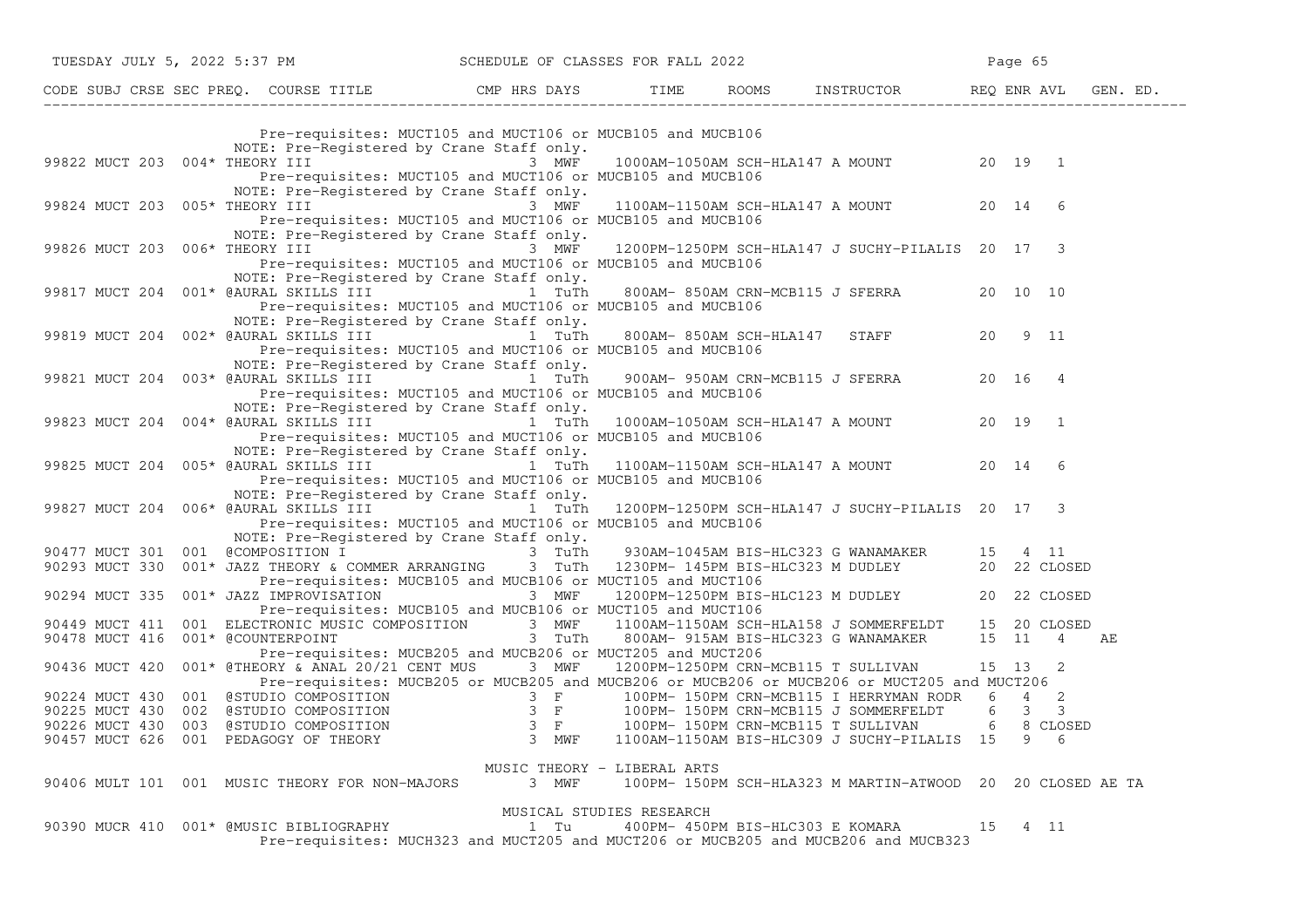|                                |  | TUESDAY JULY 5, 2022 5:37 PM                                                                            |       | SCHEDULE OF CLASSES FOR FALL 2022 |                                                                                                                                                                                                                                          |    | Page 65 |                          |    |
|--------------------------------|--|---------------------------------------------------------------------------------------------------------|-------|-----------------------------------|------------------------------------------------------------------------------------------------------------------------------------------------------------------------------------------------------------------------------------------|----|---------|--------------------------|----|
|                                |  |                                                                                                         |       |                                   |                                                                                                                                                                                                                                          |    |         |                          |    |
|                                |  | Pre-requisites: MUCT105 and MUCT106 or MUCB105 and MUCB106                                              |       |                                   |                                                                                                                                                                                                                                          |    |         |                          |    |
|                                |  | NOTE: Pre-Registered by Crane Staff only.                                                               |       |                                   |                                                                                                                                                                                                                                          |    |         |                          |    |
| 99822 MUCT 203 004* THEORY III |  |                                                                                                         | 3 MWF |                                   | 1000AM-1050AM SCH-HLA147 A MOUNT 20 19 1                                                                                                                                                                                                 |    |         |                          |    |
|                                |  | Pre-requisites: MUCT105 and MUCT106 or MUCB105 and MUCB106                                              |       |                                   |                                                                                                                                                                                                                                          |    |         |                          |    |
|                                |  | NOTE: Pre-Registered by Crane Staff only.                                                               |       |                                   |                                                                                                                                                                                                                                          |    |         |                          |    |
| 99824 MUCT 203 005* THEORY III |  |                                                                                                         | 3 MWF |                                   | 1100AM-1150AM SCH-HLA147 A MOUNT 20 14                                                                                                                                                                                                   |    |         | 6                        |    |
|                                |  | Pre-requisites: MUCT105 and MUCT106 or MUCB105 and MUCB106                                              |       |                                   |                                                                                                                                                                                                                                          |    |         |                          |    |
|                                |  | NOTE: Pre-Registered by Crane Staff only.                                                               |       |                                   |                                                                                                                                                                                                                                          |    |         |                          |    |
| 99826 MUCT 203 006* THEORY III |  |                                                                                                         | 3 MWF |                                   | 1200PM-1250PM SCH-HLA147 J SUCHY-PILALIS 20 17                                                                                                                                                                                           |    |         | $\overline{\phantom{a}}$ |    |
|                                |  | Pre-requisites: MUCT105 and MUCT106 or MUCB105 and MUCB106                                              |       |                                   |                                                                                                                                                                                                                                          |    |         |                          |    |
|                                |  | NOTE: Pre-Registered by Crane Staff only.<br>99817 MUCT 204 001* @AURAL SKILLS III TWING 1 TuTh         |       |                                   | 800AM-850AM CRN-MCB115 J SFERRA 20 10 10                                                                                                                                                                                                 |    |         |                          |    |
|                                |  | Pre-requisites: MUCT105 and MUCT106 or MUCB105 and MUCB106                                              |       |                                   |                                                                                                                                                                                                                                          |    |         |                          |    |
|                                |  | NOTE: Pre-Registered by Crane Staff only.                                                               |       |                                   |                                                                                                                                                                                                                                          |    |         |                          |    |
|                                |  | 99819 MUCT 204 002* @AURAL SKILLS III 70 1 TuTh                                                         |       |                                   | 800AM-850AM SCH-HLA147 STAFF 20 9 11                                                                                                                                                                                                     |    |         |                          |    |
|                                |  | Pre-requisites: MUCT105 and MUCT106 or MUCB105 and MUCB106                                              |       |                                   |                                                                                                                                                                                                                                          |    |         |                          |    |
|                                |  | NOTE: Pre-Registered by Crane Staff only.                                                               |       |                                   |                                                                                                                                                                                                                                          |    |         |                          |    |
|                                |  |                                                                                                         |       |                                   | 900AM- 950AM CRN-MCB115 J SFERRA 20 16                                                                                                                                                                                                   |    |         | $\overline{4}$           |    |
|                                |  | Pre-requisites: MUCT105 and MUCT106 or MUCB105 and MUCB106                                              |       |                                   |                                                                                                                                                                                                                                          |    |         |                          |    |
|                                |  | NOTE: Pre-Registered by Crane Staff only.                                                               |       |                                   |                                                                                                                                                                                                                                          |    |         |                          |    |
|                                |  |                                                                                                         |       |                                   | 1000AM-1050AM SCH-HLA147 A MOUNT 20 19                                                                                                                                                                                                   |    |         | $\overline{1}$           |    |
|                                |  | Pre-requisites: MUCT105 and MUCT106 or MUCB105 and MUCB106                                              |       |                                   |                                                                                                                                                                                                                                          |    |         |                          |    |
|                                |  | NOTE: Pre-Registered by Crane Staff only.                                                               |       |                                   |                                                                                                                                                                                                                                          |    |         |                          |    |
|                                |  |                                                                                                         |       |                                   | 1100AM-1150AM SCH-HLA147 A MOUNT 20 14                                                                                                                                                                                                   |    |         | 6                        |    |
|                                |  | Pre-requisites: MUCT105 and MUCT106 or MUCB105 and MUCB106                                              |       |                                   |                                                                                                                                                                                                                                          |    |         |                          |    |
|                                |  | NOTE: Pre-Registered by Crane Staff only.                                                               |       |                                   |                                                                                                                                                                                                                                          |    |         |                          |    |
|                                |  |                                                                                                         |       |                                   | 1200PM-1250PM SCH-HLA147 J SUCHY-PILALIS 20 17 3                                                                                                                                                                                         |    |         |                          |    |
|                                |  | Pre-requisites: MUCT105 and MUCT106 or MUCB105 and MUCB106<br>NOTE: Pre-Registered by Crane Staff only. |       |                                   |                                                                                                                                                                                                                                          |    |         |                          |    |
|                                |  |                                                                                                         |       |                                   |                                                                                                                                                                                                                                          |    |         |                          |    |
|                                |  |                                                                                                         |       |                                   | 90477 MUCT 301 001 @COMPOSITION I<br>90293 MUCT 330 001* JAZZ THEORY & COMMER ARRANGING 3 TuTh 1230PM-145PM BIS-HLC323 M DUDLEY 20 22 CLOSED                                                                                             |    |         |                          |    |
|                                |  | Pre-requisites: MUCB105 and MUCB106 or MUCT105 and MUCT106                                              |       |                                   |                                                                                                                                                                                                                                          |    |         |                          |    |
| 90294 MUCT 335                 |  | 001* JAZZ IMPROVISATION                                                                                 |       |                                   |                                                                                                                                                                                                                                          |    |         |                          |    |
|                                |  | Pre-requisites: MUCB105 and MUCB106 or MUCT105 and MUCT106                                              |       |                                   | 3 MWF 1200PM-1250PM BIS-HLC123 M DUDLEY 20 22 CLOSED<br>MUCB105 and MUCB106 or MUCT105 and MUCT106                                                                                                                                       |    |         |                          |    |
|                                |  |                                                                                                         |       |                                   |                                                                                                                                                                                                                                          |    |         |                          |    |
|                                |  |                                                                                                         |       |                                   | 90449 MUCT 411 001 ELECTRONIC MUSIC COMPOSITION 3 MWF 1100AM-1150AM SCH-HLA158 J SOMMERFELDT 15 20 CLOSED<br>90478 MUCT 416 001* @COUNTERPOINT 3 TuTh 800AM-915AM BIS-HLC323 G WANAMAKER 15 11 4                                         |    |         |                          | AE |
|                                |  | Pre-requisites: MUCB205 and MUCB206 or MUCT205 and MUCT206                                              |       |                                   |                                                                                                                                                                                                                                          |    |         |                          |    |
|                                |  |                                                                                                         |       |                                   | 90436 MUCT 420 001* @THEORY & ANAL 20/21 CENT MUS 3 MWF 1200PM-1250PM CRN-MCB115 T SULLIVAN 15 13                                                                                                                                        |    |         | 2                        |    |
|                                |  |                                                                                                         |       |                                   | Pre-requisites: MUCB205 or MUCB205 and MUCB206 or MUCB206 or MUCB206 or MUCT205 and MUCT206                                                                                                                                              |    |         |                          |    |
|                                |  |                                                                                                         |       |                                   |                                                                                                                                                                                                                                          |    |         |                          |    |
|                                |  |                                                                                                         |       |                                   |                                                                                                                                                                                                                                          |    |         |                          |    |
|                                |  |                                                                                                         |       |                                   | 90224 MUCT 430 001 @STUDIO COMPOSITION<br>90225 MUCT 430 002 @STUDIO COMPOSITION<br>90226 MUCT 430 003 @STUDIO COMPOSITION<br>90226 MUCT 430 003 @STUDIO COMPOSITION<br>90457 MUCT 626 001 PEDAGOGY OF THEORY<br>90457 MUCT 626 001 PEDA |    |         |                          |    |
|                                |  |                                                                                                         |       |                                   |                                                                                                                                                                                                                                          |    |         |                          |    |
|                                |  |                                                                                                         |       | MUSIC THEORY - LIBERAL ARTS       |                                                                                                                                                                                                                                          |    |         |                          |    |
|                                |  | 90406 MULT 101 001 MUSIC THEORY FOR NON-MAJORS                                                          | 3 MWF |                                   | 100PM- 150PM SCH-HLA323 M MARTIN-ATWOOD 20 20 CLOSED AE TA                                                                                                                                                                               |    |         |                          |    |
|                                |  |                                                                                                         |       |                                   |                                                                                                                                                                                                                                          |    |         |                          |    |
|                                |  |                                                                                                         |       | MUSICAL STUDIES RESEARCH          |                                                                                                                                                                                                                                          |    |         |                          |    |
|                                |  | 90390 MUCR 410 001* @MUSIC BIBLIOGRAPHY 1 Tu                                                            |       |                                   | 400PM- 450PM BIS-HLC303 E KOMARA                                                                                                                                                                                                         | 15 |         | 4 11                     |    |
|                                |  |                                                                                                         |       |                                   | Pre-requisites: MUCH323 and MUCT205 and MUCT206 or MUCB205 and MUCB206 and MUCB323                                                                                                                                                       |    |         |                          |    |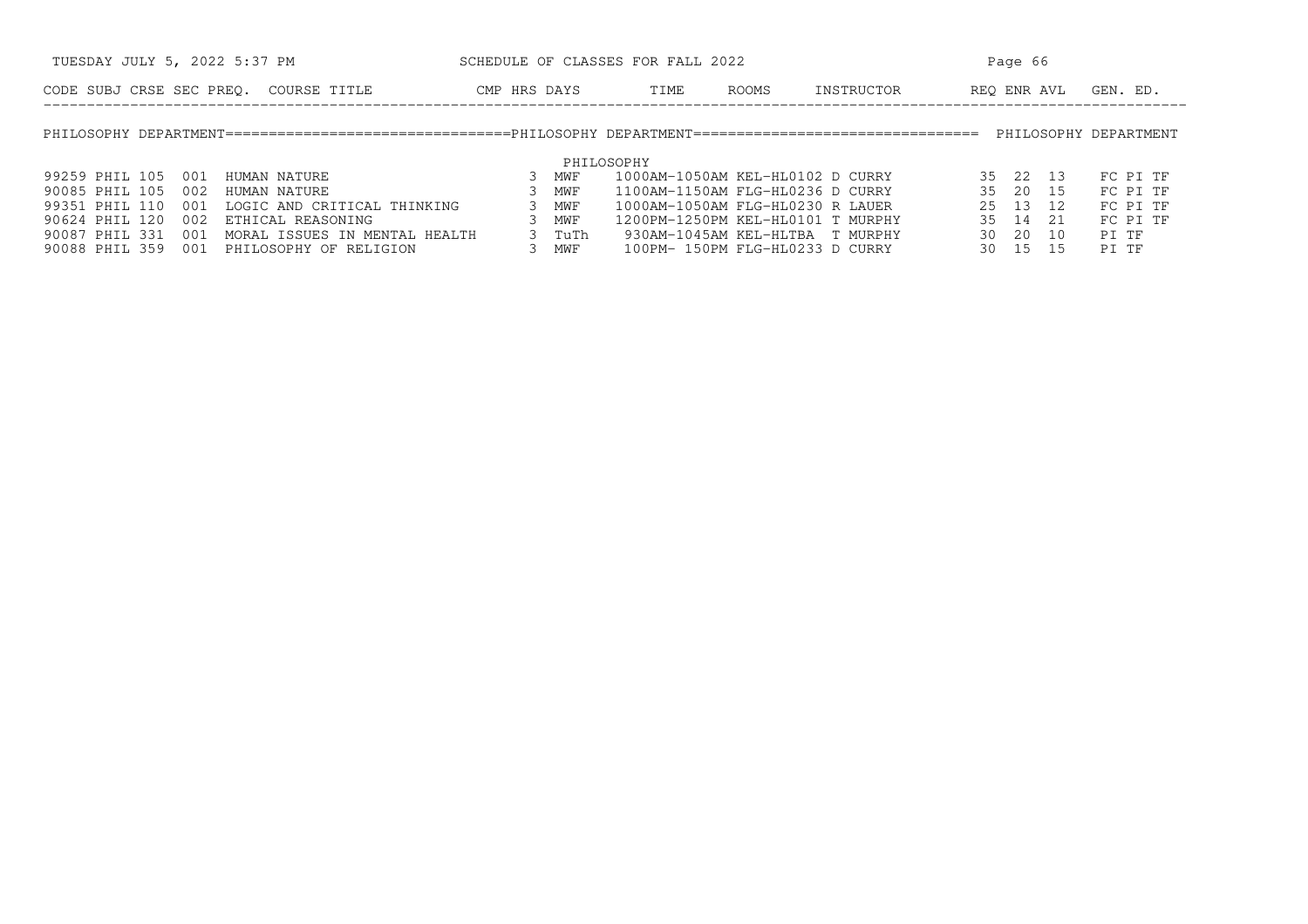| TUESDAY JULY 5, 2022 5:37 PM                           |              | SCHEDULE OF CLASSES FOR FALL 2022 |                                 |            |      | Page 66     |                       |
|--------------------------------------------------------|--------------|-----------------------------------|---------------------------------|------------|------|-------------|-----------------------|
| CODE SUBJ CRSE SEC PREO. COURSE TITLE                  | CMP HRS DAYS | TIME                              | ROOMS                           | INSTRUCTOR |      | REO ENR AVL | GEN. ED.              |
|                                                        |              |                                   |                                 |            |      |             | PHILOSOPHY DEPARTMENT |
|                                                        |              | PHILOSOPHY                        |                                 |            |      |             |                       |
| 99259 PHIL 105<br>001<br>HUMAN NATURE                  | 3<br>MWF     | 1000AM-1050AM KEL-HL0102 D CURRY  |                                 |            |      | 35 22 13    | FC PI TF              |
| 90085 PHIL 105<br>002<br>HUMAN NATURE                  | MWF          | 1100AM-1150AM FLG-HL0236 D CURRY  |                                 |            |      | 35 20 15    | FC PI TF              |
| 99351 PHIL 110<br>LOGIC AND CRITICAL THINKING<br>001   | MWF          | 1000AM-1050AM FLG-HL0230 R LAUER  |                                 |            |      | 25 13 12    | FC PI TF              |
| 90624 PHIL 120<br>002<br>ETHICAL REASONING             | MWF          | 1200PM-1250PM KEL-HL0101 T MURPHY |                                 |            |      | 35 14 21    | FC PI TF              |
| 90087 PHIL 331<br>001<br>MORAL ISSUES IN MENTAL HEALTH | 3.           | TuTh                              | 930AM-1045AM KEL-HLTBA T MURPHY |            | 30 I | 20<br>10    | PI TF                 |
| 90088 PHIL 359<br>001<br>PHILOSOPHY OF RELIGION        | MWF          |                                   | 100PM- 150PM FLG-HL0233 D CURRY |            |      | 30 15 15    | PI TF                 |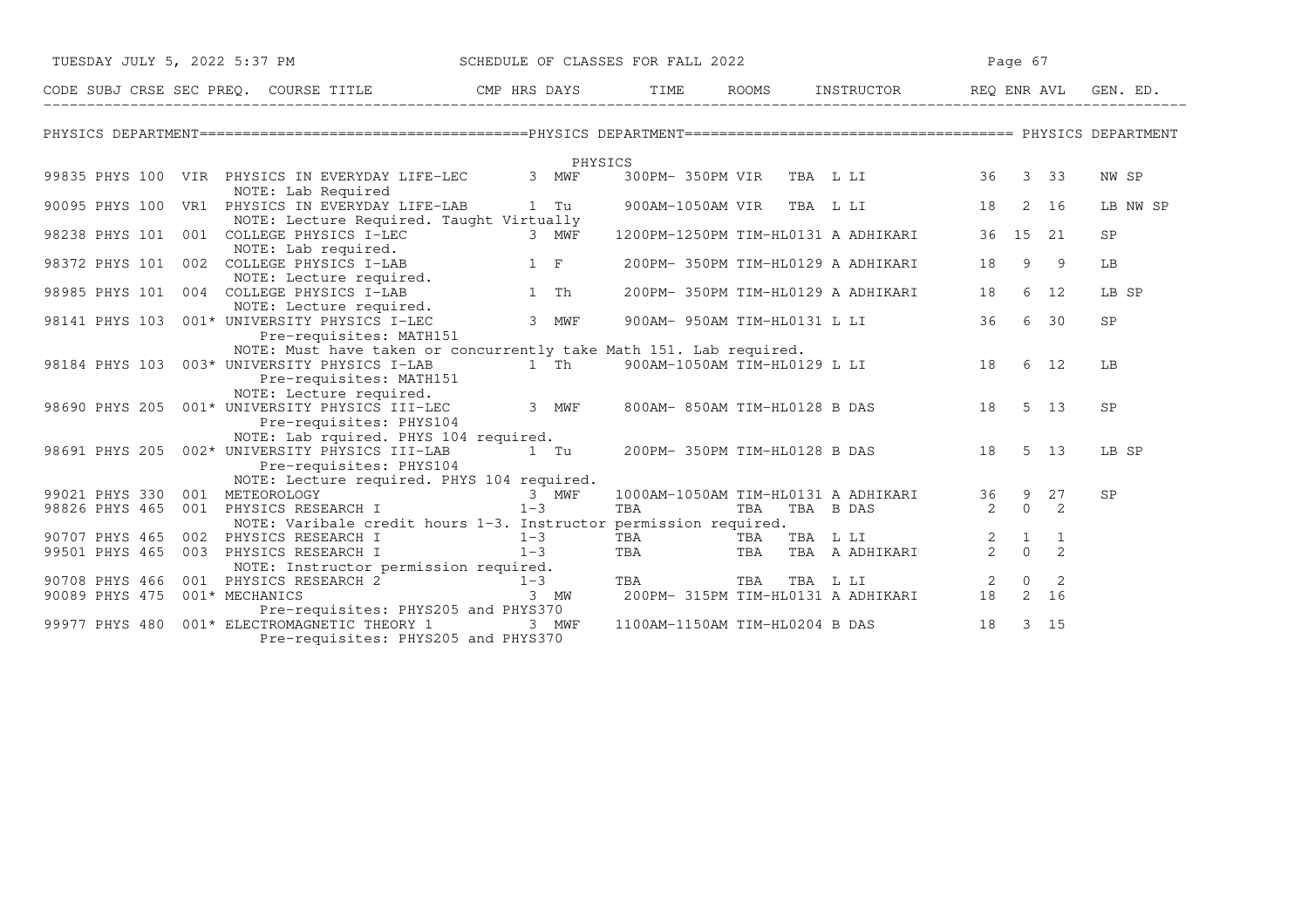| TUESDAY JULY 5, 2022 5:37 PM   |                                                                                                                                               | SCHEDULE OF CLASSES FOR FALL 2022 |         |            |                                   |                                                |               | Page 67      |                            |           |
|--------------------------------|-----------------------------------------------------------------------------------------------------------------------------------------------|-----------------------------------|---------|------------|-----------------------------------|------------------------------------------------|---------------|--------------|----------------------------|-----------|
|                                | CODE SUBJ CRSE SEC PREQ. COURSE TITLE THE ROAYS TIME ROOMS INSTRUCTOR REQ ENR AVL GIT CODE SUBJ CRSE SEC PREQ.                                |                                   |         |            |                                   | ROOMS INSTRUCTOR REQ ENR AVL GEN. ED.          |               |              |                            |           |
|                                |                                                                                                                                               |                                   |         |            |                                   |                                                |               |              |                            |           |
|                                |                                                                                                                                               |                                   | PHYSICS |            |                                   |                                                |               |              |                            |           |
|                                | 99835 PHYS 100 VIR PHYSICS IN EVERYDAY LIFE-LEC<br>NOTE: Lab Required                                                                         |                                   | 3 MWF   |            |                                   | 300PM-350PM VIR TBA L LI 36 3 33               |               |              |                            | NW SP     |
|                                | 90095 PHYS 100 VR1 PHYSICS IN EVERYDAY LIFE-LAB<br>NOTE: Lecture Required. Taught Virtually                                                   | 1 Tu                              |         |            |                                   | 900AM-1050AM VIR TBA L LI                      | 18            |              | 2 16                       | LB NW SP  |
| 98238 PHYS 101                 | 001 COLLEGE PHYSICS I-LEC<br>COLLEGE PHYSICS I-LEC<br>NOTE: Lab required.                                                                     |                                   | 3 MWF   |            |                                   | 1200PM-1250PM TIM-HL0131 A ADHIKARI            | 36 15 21      |              |                            | SP        |
|                                | 98372 PHYS 101 002 COLLEGE PHYSICS I-LAB<br>NOTE: Lecture required.                                                                           | $1$ F                             |         |            |                                   | 200PM- 350PM TIM-HL0129 A ADHIKARI             | 18            | 9            | - 9                        | LB        |
|                                |                                                                                                                                               | 1 Th                              |         |            |                                   | 200PM- 350PM TIM-HL0129 A ADHIKARI             | 18            |              | 6 12                       | LB SP     |
|                                | 98141 PHYS 103 001* UNIVERSITY PHYSICS I-LAB<br>PHYS 103 001* UNIVERSITY PHYSICS I-LEC<br>Pre-required: Physics i-LEC                         |                                   | 3 MWF   |            | 900AM- 950AM TIM-HL0131 L LI      |                                                | 36            |              | 6 30                       | SP        |
|                                | NOTE: Must have taken or concurrently take Math 151. Lab required.                                                                            |                                   |         |            |                                   |                                                |               |              |                            |           |
|                                | 98184 PHYS 103 003* UNIVERSITY PHYSICS I-LAB<br>Pre-requisites: MATH151                                                                       |                                   |         |            | 1 Th 900AM-1050AM TIM-HL0129 L LI | 18                                             |               |              | 6 12                       | LB        |
|                                | NOTE: Lecture required.<br>98690 PHYS 205 001* UNIVERSITY PHYSICS III-LEC<br>Pre-requisites: PHYS104<br>NOTE: Lab rquired. PHYS 104 required. |                                   | 3 MWF   |            |                                   | 800AM-850AM TIM-HL0128 B DAS                   | 18            |              | 5 13                       | <b>SP</b> |
|                                | 98691 PHYS 205 002* UNIVERSITY PHYSICS III-LAB<br>Pre-requisites: PHYS104                                                                     | 1 Tu                              |         |            |                                   | 200PM-350PM TIM-HL0128 B DAS 18                |               |              | $5 \quad 13$               | LB SP     |
|                                | NOTE: Lecture required. PHYS 104 required.                                                                                                    |                                   |         |            |                                   |                                                |               |              |                            |           |
| 99021 PHYS 330 001 METEOROLOGY |                                                                                                                                               |                                   | 3 MWF   |            |                                   | 1000AM-1050AM TIM-HL0131 A ADHIKARI            | 36 9 27       |              |                            | SP        |
|                                | 98826 PHYS 465 001 PHYSICS RESEARCH I<br>NOTE: Varibale credit hours 1-3. Instructor permission required.                                     | $1 - 3$                           |         | TBA        | TBA                               | TBA B DAS                                      | 2             | $\Omega$     | $\overline{2}$             |           |
| 90707 PHYS 465                 | 002 PHYSICS RESEARCH I                                                                                                                        | $1 - 3$                           |         | TBA        | TBA                               | TBA L LI                                       |               | $\mathbf{1}$ | 1                          |           |
|                                | 99501 PHYS 465 003 PHYSICS RESEARCH I                                                                                                         | $1 - 3$                           |         | <b>TBA</b> | TBA                               | TBA A ADHIKARI                                 | $\frac{2}{2}$ | $\circ$      | $\overline{2}$             |           |
|                                | NOTE: Instructor permission required.                                                                                                         |                                   |         |            |                                   |                                                |               | $\Omega$     | $\overline{\phantom{0}}^2$ |           |
| 90089 PHYS 475 001* MECHANICS  | 90708 PHYS 466 001 PHYSICS RESEARCH $2$ 1-3<br>90089 PHYS 475 001* MECHANICS 3<br>Pre-requisites: PHYS205 and PHYS370                         | 3 MW                              |         | TBA        | TBA                               | TBA L LI<br>200PM- 315PM TIM-HL0131 A ADHIKARI | 2<br>18       |              | 2 16                       |           |
| 99977 PHYS 480                 | 001* ELECTROMAGNETIC THEORY 1<br>Pre-requisites: PHYS205 and PHYS370                                                                          |                                   | 3 MWF   |            |                                   | 1100AM-1150AM TIM-HL0204 B DAS                 | 18            |              | $3 \quad 15$               |           |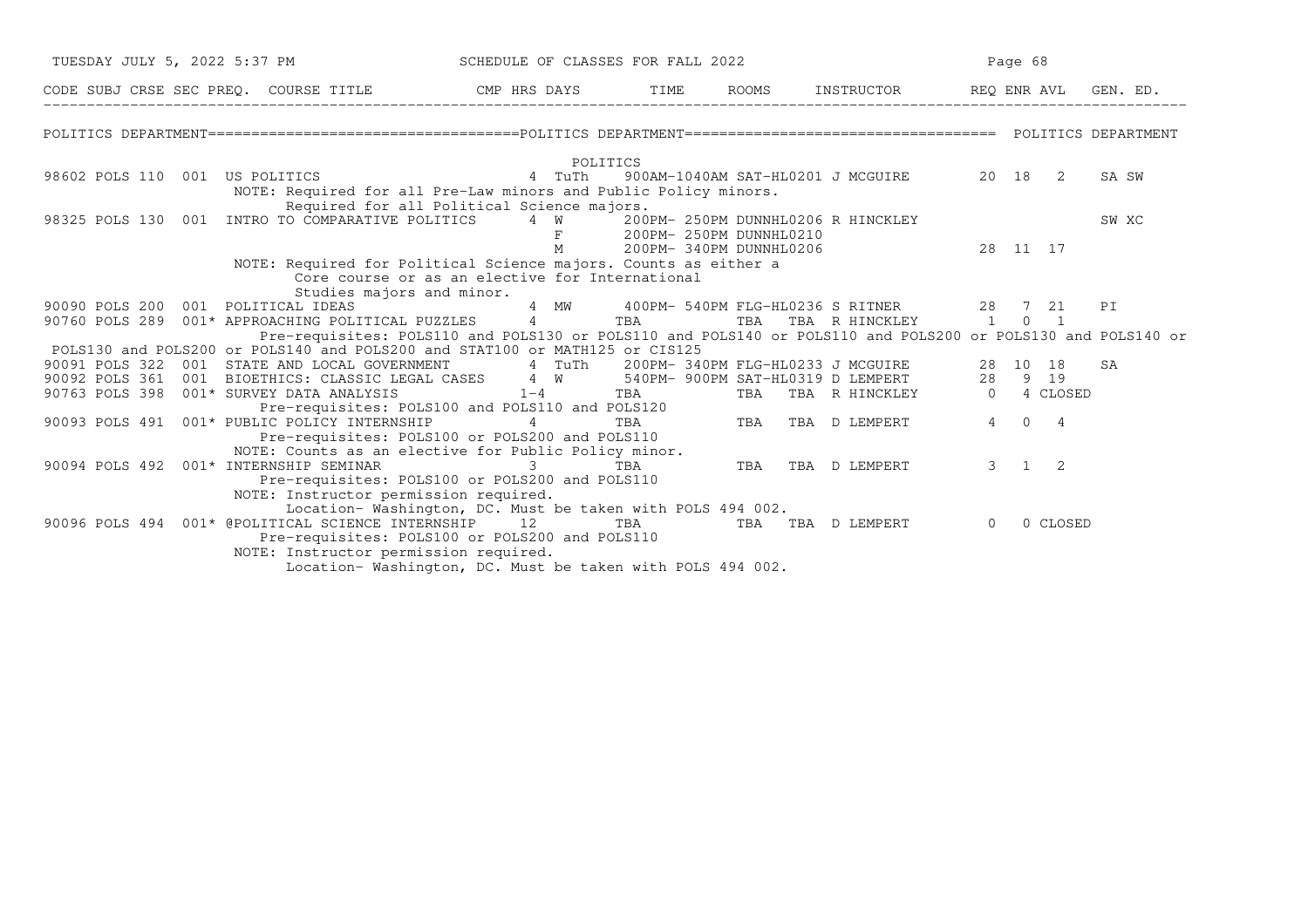|  | TUESDAY JULY 5, 2022 5:37 PM SCHEDULE OF CLASSES FOR FALL 2022                                                                                                                                   |           |            |            |                          |                                           |          | Page 68             |          |       |  |
|--|--------------------------------------------------------------------------------------------------------------------------------------------------------------------------------------------------|-----------|------------|------------|--------------------------|-------------------------------------------|----------|---------------------|----------|-------|--|
|  | CODE SUBJ CRSE SEC PREQ. COURSE TITLE THE THE THE ROOMS INSTRUCTOR THE REQ ENR AVL GEN. ED.                                                                                                      |           |            |            |                          |                                           |          |                     |          |       |  |
|  |                                                                                                                                                                                                  |           |            |            |                          |                                           |          |                     |          |       |  |
|  |                                                                                                                                                                                                  |           | POLITICS   |            |                          |                                           |          |                     |          |       |  |
|  | 98602 POLS 110 001 US POLITICS 4 TuTh                                                                                                                                                            |           |            |            |                          | 900AM-1040AM SAT-HL0201 J MCGUIRE 20 18 2 |          |                     |          | SA SW |  |
|  | NOTE: Required for all Pre-Law minors and Public Policy minors.                                                                                                                                  |           |            |            |                          |                                           |          |                     |          |       |  |
|  | Required for all Political Science majors.                                                                                                                                                       |           |            |            |                          |                                           |          |                     |          |       |  |
|  | 98325 POLS 130 001 INTRO TO COMPARATIVE POLITICS 4 W 200PM- 250PM DUNNHL0206 R HINCKLEY                                                                                                          |           |            |            |                          |                                           |          |                     |          | SW XC |  |
|  |                                                                                                                                                                                                  |           | M          |            | F 200PM-250PM DUNNHL0210 | 200PM-340PM DUNNHL0206 28 11 17           |          |                     |          |       |  |
|  | NOTE: Required for Political Science majors. Counts as either a                                                                                                                                  |           |            |            |                          |                                           |          |                     |          |       |  |
|  | Core course or as an elective for International                                                                                                                                                  |           |            |            |                          |                                           |          |                     |          |       |  |
|  | Studies majors and minor.                                                                                                                                                                        |           |            |            |                          |                                           |          |                     |          |       |  |
|  | 90090 POLS 200 001 POLITICAL IDEAS 1 MW 400PM-540PM FLG-HL0236 S RITNER 28 7 21<br>90760 POLS 289 001* APPROACHING POLITICAL PUZZLES 4 TBA TBA TBA TBA R HINCKLEY 1 0 1                          |           |            |            |                          |                                           |          |                     |          | PI    |  |
|  |                                                                                                                                                                                                  |           |            |            |                          |                                           |          |                     |          |       |  |
|  | Pre-requisites: POLS110 and POLS130 or POLS110 and POLS140 or POLS110 and POLS200 or POLS130 and POLS140 or                                                                                      |           |            |            |                          |                                           |          |                     |          |       |  |
|  | POLS130 and POLS200 or POLS140 and POLS200 and STAT100 or MATH125 or CIS125                                                                                                                      |           |            |            |                          |                                           |          |                     |          |       |  |
|  | 90091 POLS 322 001 STATE AND LOCAL GOVERNMENT 4 TuTh 200PM-340PM FLG-HL0233 J MCGUIRE 28 10 18<br>90092 POLS 361 001 BIOETHICS: CLASSIC LEGAL CASES 4 W 540PM-900PM SAT-HL0319 D LEMPERT 28 9 19 |           |            |            |                          |                                           |          |                     |          | SA    |  |
|  |                                                                                                                                                                                                  |           |            |            |                          |                                           |          |                     |          |       |  |
|  | 90763 POLS 398 001* SURVEY DATA ANALYSIS<br>EY DATA ANALISIS<br>Pre-requisites: POLS100 and POLS110 and POLS120<br>TRA TBA TBA TBA TBA TBA D LEMPERT                                             | $1-4$ TBA |            |            |                          | TBA TBA R HINCKLEY 0 4 CLOSED             |          |                     |          |       |  |
|  |                                                                                                                                                                                                  |           |            |            |                          |                                           |          | 4 0 4               |          |       |  |
|  | 90093 POLS 491 001* PUBLIC POLICY INTERNSHIP<br>Pre-requisites: POLS100 or POLS200 and POLS110                                                                                                   |           |            |            |                          |                                           |          |                     |          |       |  |
|  | NOTE: Counts as an elective for Public Policy minor.                                                                                                                                             |           |            |            |                          |                                           |          |                     |          |       |  |
|  | 90094 POLS 492  001* INTERNSHIP SEMINAR                                                                                                                                                          |           | $3 \sim 3$ | <b>TBA</b> |                          | TBA TBA D LEMPERT                         |          | $3 \quad 1 \quad 2$ |          |       |  |
|  | Pre-requisites: POLS100 or POLS200 and POLS110                                                                                                                                                   |           |            |            |                          |                                           |          |                     |          |       |  |
|  | NOTE: Instructor permission required.                                                                                                                                                            |           |            |            |                          |                                           |          |                     |          |       |  |
|  | Location-Washington, DC. Must be taken with POLS 494 002.                                                                                                                                        |           |            |            |                          |                                           |          |                     |          |       |  |
|  | 90096 POLS 494 001* @POLITICAL SCIENCE INTERNSHIP 12 TBA TBA TBA TBA D LEMPERT                                                                                                                   |           |            |            |                          |                                           | $\Omega$ |                     | 0 CLOSED |       |  |
|  | Pre-requisites: POLS100 or POLS200 and POLS110                                                                                                                                                   |           |            |            |                          |                                           |          |                     |          |       |  |
|  | NOTE: Instructor permission required.                                                                                                                                                            |           |            |            |                          |                                           |          |                     |          |       |  |
|  | Location- Washington, DC. Must be taken with POLS 494 002.                                                                                                                                       |           |            |            |                          |                                           |          |                     |          |       |  |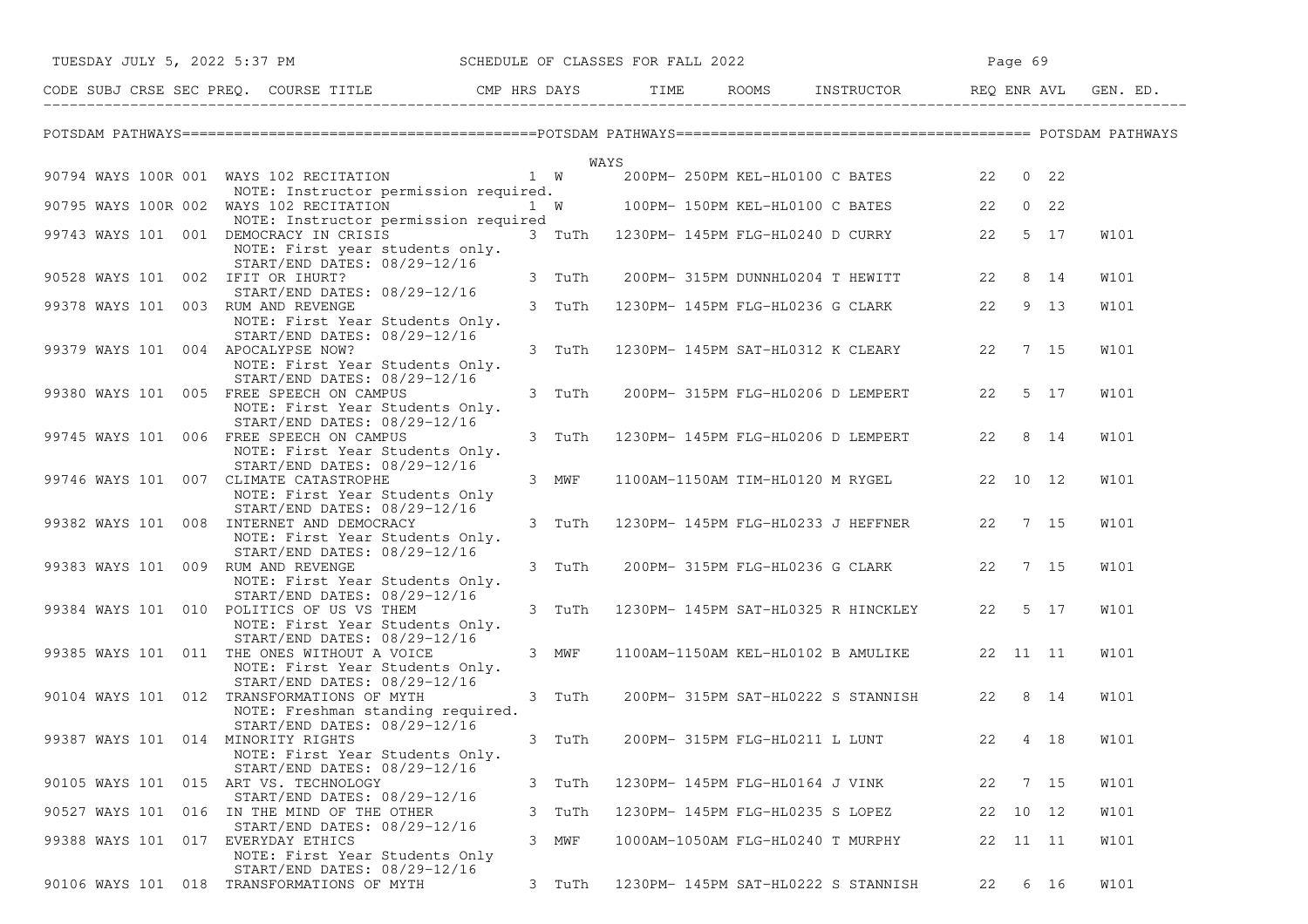| SCHEDULE OF CLASSES FOR FALL 2022<br>TUESDAY JULY 5, 2022 5:37 PM                                                 |        |                                   |                                            |    | Page 69  |             |
|-------------------------------------------------------------------------------------------------------------------|--------|-----------------------------------|--------------------------------------------|----|----------|-------------|
| CODE SUBJ CRSE SEC PREQ. COURSE TITLE THE ROOMS INSTRUCTOR REQ ENR AVL GEN. ED.                                   |        |                                   |                                            |    |          |             |
|                                                                                                                   |        |                                   |                                            |    |          |             |
|                                                                                                                   |        | WAYS                              |                                            |    |          |             |
| 90794 WAYS 100R 001 WAYS 102 RECITATION                                                                           | 1 W    |                                   | 200PM-250PM KEL-HL0100 C BATES 22 0 22     |    |          |             |
| NOTE: Instructor permission required.                                                                             |        |                                   |                                            |    |          |             |
| 90795 WAYS 100R 002 WAYS 102 RECITATION                                                                           |        |                                   | 1 W 100PM-150PM KEL-HL0100 C BATES 22 0 22 |    |          |             |
| NOTE: Instructor permission required<br>99743 WAYS 101 001 DEMOCRACY IN CRISIS<br>NOTE: First year students only. | 3 TuTh |                                   | 1230PM- 145PM FLG-HL0240 D CURRY 22        |    | 5 17     | <b>W101</b> |
| START/END DATES: 08/29-12/16<br>90528 WAYS 101 002 IFIT OR IHURT?                                                 | 3 TuTh |                                   | 200PM-315PM DUNNHL0204 T HEWITT 22         |    | 8 14     | W101        |
| START/END DATES: 08/29-12/16                                                                                      |        |                                   |                                            |    |          |             |
| 99378 WAYS 101 003 RUM AND REVENGE<br>NOTE: First Year Students Only.                                             | 3 TuTh |                                   | 1230PM- 145PM FLG-HL0236 G CLARK 22        |    | 9 13     | W101        |
| START/END DATES: 08/29-12/16                                                                                      |        |                                   |                                            |    |          |             |
| 99379 WAYS 101 004 APOCALYPSE NOW?<br>NOTE: First Year Students Only.                                             | 3 TuTh |                                   | 1230PM- 145PM SAT-HL0312 K CLEARY 22       |    | 7 15     | W101        |
| START/END DATES: 08/29-12/16                                                                                      |        |                                   |                                            |    |          |             |
| 99380 WAYS 101 005 FREE SPEECH ON CAMPUS                                                                          | 3 TuTh |                                   | 200PM- 315PM FLG-HL0206 D LEMPERT 22 5 17  |    |          | W101        |
| NOTE: First Year Students Only.                                                                                   |        |                                   |                                            |    |          |             |
| START/END DATES: 08/29-12/16                                                                                      |        |                                   |                                            |    |          |             |
| 99745 WAYS 101 006 FREE SPEECH ON CAMPUS                                                                          | 3 TuTh |                                   | 1230PM- 145PM FLG-HL0206 D LEMPERT         |    | 22 8 14  | W101        |
| NOTE: First Year Students Only.<br>START/END DATES: 08/29-12/16                                                   |        |                                   |                                            |    |          |             |
| 99746 WAYS 101 007 CLIMATE CATASTROPHE                                                                            | 3 MWF  |                                   | 1100AM-1150AM TIM-HL0120 M RYGEL           |    | 22 10 12 | W101        |
| NOTE: First Year Students Only                                                                                    |        |                                   |                                            |    |          |             |
| START/END DATES: 08/29-12/16                                                                                      |        |                                   |                                            |    |          |             |
| 99382 WAYS 101 008 INTERNET AND DEMOCRACY                                                                         | 3 TuTh |                                   | 1230PM- 145PM FLG-HL0233 J HEFFNER         |    | 22 7 15  | W101        |
| NOTE: First Year Students Only.<br>START/END DATES: 08/29-12/16                                                   |        |                                   |                                            |    |          |             |
| 99383 WAYS 101 009 RUM AND REVENGE                                                                                | 3 TuTh |                                   | 200PM- 315PM FLG-HL0236 G CLARK 22 7 15    |    |          | W101        |
| NOTE: First Year Students Only.                                                                                   |        |                                   |                                            |    |          |             |
| START/END DATES: 08/29-12/16                                                                                      |        |                                   |                                            |    |          |             |
| 99384 WAYS 101 010 POLITICS OF US VS THEM                                                                         | 3 TuTh |                                   | 1230PM- 145PM SAT-HL0325 R HINCKLEY        |    | 22 5 17  | W101        |
| NOTE: First Year Students Only.                                                                                   |        |                                   |                                            |    |          |             |
| START/END DATES: 08/29-12/16<br>99385 WAYS 101 011 THE ONES WITHOUT A VOICE                                       | 3 MWF  |                                   | 1100AM-1150AM KEL-HL0102 B AMULIKE         |    | 22 11 11 | <b>W101</b> |
| NOTE: First Year Students Only.                                                                                   |        |                                   |                                            |    |          |             |
| START/END DATES: 08/29-12/16                                                                                      |        |                                   |                                            |    |          |             |
| 90104 WAYS 101 012 TRANSFORMATIONS OF MYTH                                                                        | 3 TuTh |                                   | 200PM- 315PM SAT-HL0222 S STANNISH 22 8 14 |    |          | W101        |
| NOTE: Freshman standing required.                                                                                 |        |                                   |                                            |    |          |             |
| START/END DATES: 08/29-12/16                                                                                      |        |                                   |                                            |    | 4 18     |             |
| 99387 WAYS 101 014 MINORITY RIGHTS<br>NOTE: First Year Students Only.                                             | 3 TuTh |                                   | 200PM- 315PM FLG-HL0211 L LUNT             | 22 |          | <b>W101</b> |
| START/END DATES: 08/29-12/16                                                                                      |        |                                   |                                            |    |          |             |
| 90105 WAYS 101 015 ART VS. TECHNOLOGY                                                                             | 3 TuTh | 1230PM- 145PM FLG-HL0164 J VINK   |                                            | 22 | 7 15     | W101        |
| START/END DATES: 08/29-12/16                                                                                      |        |                                   |                                            |    |          |             |
| 90527 WAYS 101 016 IN THE MIND OF THE OTHER                                                                       | 3 TuTh | 1230PM- 145PM FLG-HL0235 S LOPEZ  |                                            |    | 22 10 12 | W101        |
| START/END DATES: 08/29-12/16<br>99388 WAYS 101 017<br>EVERYDAY ETHICS                                             | 3 MWF  | 1000AM-1050AM FLG-HL0240 T MURPHY |                                            |    | 22 11 11 | W101        |
| NOTE: First Year Students Only                                                                                    |        |                                   |                                            |    |          |             |
| START/END DATES: 08/29-12/16                                                                                      |        |                                   |                                            |    |          |             |
| 90106 WAYS 101 018 TRANSFORMATIONS OF MYTH                                                                        | 3 TuTh |                                   | 1230PM- 145PM SAT-HL0222 S STANNISH        | 22 | 6 16     | W101        |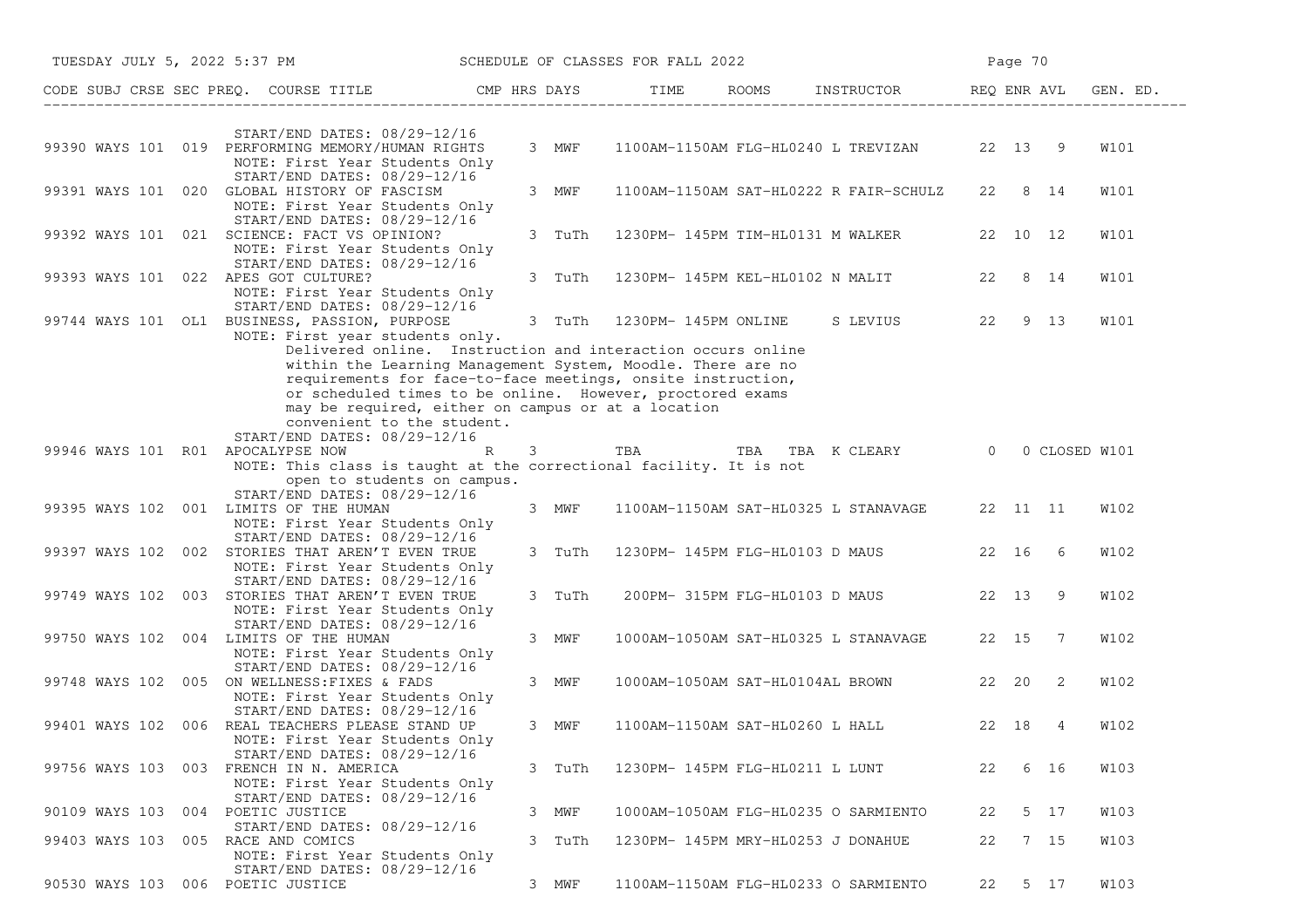|                                         | TUESDAY JULY 5, 2022 5:37 PM                                                                                                                                                                                                                                                                                                               |  |        | SCHEDULE OF CLASSES FOR FALL 2022    |  |                                                  |       | Page 70 |         |             |
|-----------------------------------------|--------------------------------------------------------------------------------------------------------------------------------------------------------------------------------------------------------------------------------------------------------------------------------------------------------------------------------------------|--|--------|--------------------------------------|--|--------------------------------------------------|-------|---------|---------|-------------|
|                                         | CODE SUBJ CRSE SEC PREQ. COURSE TITLE THE HRS DAYS TIME ROOMS INSTRUCTOR THE REQ ENRAVL GEN. ED.                                                                                                                                                                                                                                           |  |        |                                      |  |                                                  |       |         |         |             |
|                                         | START/END DATES: 08/29-12/16                                                                                                                                                                                                                                                                                                               |  |        |                                      |  |                                                  |       |         |         |             |
|                                         | 99390 WAYS 101 019 PERFORMING MEMORY/HUMAN RIGHTS<br>NOTE: First Year Students Only                                                                                                                                                                                                                                                        |  | 3 MWF  |                                      |  | 1100AM-1150AM FLG-HL0240 L TREVIZAN 22 13 9      |       |         |         | W101        |
|                                         | START/END DATES: 08/29-12/16<br>99391 WAYS 101 020 GLOBAL HISTORY OF FASCISM<br>NOTE: First Year Students Only                                                                                                                                                                                                                             |  | 3 MWF  |                                      |  | 1100AM-1150AM SAT-HL0222 R FAIR-SCHULZ           |       | 22 8 14 |         | W101        |
|                                         | START/END DATES: 08/29-12/16<br>99392 WAYS 101 021 SCIENCE: FACT VS OPINION?<br>NOTE: First Year Students Only                                                                                                                                                                                                                             |  |        |                                      |  | 3 TuTh 1230PM-145PM TIM-HL0131 M WALKER 22 10 12 |       |         |         | W101        |
| 99393 WAYS 101 022 APES GOT CULTURE?    | START/END DATES: 08/29-12/16<br>NOTE: First Year Students Only                                                                                                                                                                                                                                                                             |  |        |                                      |  | 3 TuTh 1230PM-145PM KEL-HL0102 N MALIT 22 8 14   |       |         |         | <b>W101</b> |
|                                         | START/END DATES: 08/29-12/16<br>99744 WAYS 101 OL1 BUSINESS, PASSION, PURPOSE<br>NOTE: First year students only.                                                                                                                                                                                                                           |  |        |                                      |  | 3 TuTh 1230PM-145PM ONLINE SLEVIUS 22 9 13       |       |         |         | W101        |
|                                         | Delivered online. Instruction and interaction occurs online<br>within the Learning Management System, Moodle. There are no<br>requirements for face-to-face meetings, onsite instruction,<br>or scheduled times to be online. However, proctored exams<br>may be required, either on campus or at a location<br>convenient to the student. |  |        |                                      |  |                                                  |       |         |         |             |
| 99946 WAYS 101 R01 APOCALYPSE NOW       | START/END DATES: 08/29-12/16<br>$\mathbb R$<br>NOTE: This class is taught at the correctional facility. It is not<br>open to students on campus.                                                                                                                                                                                           |  |        |                                      |  | 3 TBA TBA TBA K CLEARY 0 0 CLOSED W101           |       |         |         |             |
| 99395 WAYS 102 001 LIMITS OF THE HUMAN  | START/END DATES: 08/29-12/16<br>NOTE: First Year Students Only                                                                                                                                                                                                                                                                             |  | 3 MWF  |                                      |  | 1100AM-1150AM SAT-HL0325 L STANAVAGE 22 11 11    |       |         |         | W102        |
|                                         | START/END DATES: 08/29-12/16<br>99397 WAYS 102 002 STORIES THAT AREN'T EVEN TRUE<br>NOTE: First Year Students Only                                                                                                                                                                                                                         |  | 3 TuTh |                                      |  | 1230PM- 145PM FLG-HL0103 D MAUS   22 16 6        |       |         |         | W102        |
|                                         | START/END DATES: 08/29-12/16<br>99749 WAYS 102 003 STORIES THAT AREN'T EVEN TRUE<br>NOTE: First Year Students Only                                                                                                                                                                                                                         |  | 3 TuTh |                                      |  | 200PM- 315PM FLG-HL0103 D MAUS                   | 22 13 |         | -9      | W102        |
| 99750 WAYS 102 004 LIMITS OF THE HUMAN  | START/END DATES: 08/29-12/16<br>NOTE: First Year Students Only                                                                                                                                                                                                                                                                             |  | 3 MWF  |                                      |  | 1000AM-1050AM SAT-HL0325 L STANAVAGE 22 15 7     |       |         |         | W102        |
|                                         | START/END DATES: 08/29-12/16<br>99748 WAYS 102 005 ON WELLNESS: FIXES & FADS<br>NOTE: First Year Students Only                                                                                                                                                                                                                             |  | 3 MWF  |                                      |  | 1000AM-1050AM SAT-HL0104AL BROWN 22 20           |       |         | -2      | W102        |
|                                         | START/END DATES: 08/29-12/16<br>99401 WAYS 102 006 REAL TEACHERS PLEASE STAND UP<br>NOTE: First Year Students Only                                                                                                                                                                                                                         |  | 3 MWF  |                                      |  | 1100AM-1150AM SAT-HL0260 L HALL 22 18            |       |         | 4       | W102        |
| 99756 WAYS 103 003 FRENCH IN N. AMERICA | START/END DATES: 08/29-12/16<br>NOTE: First Year Students Only                                                                                                                                                                                                                                                                             |  | 3 TuTh | 1230PM- 145PM FLG-HL0211 L LUNT      |  |                                                  | 22    |         | 6 16    | W103        |
| 90109 WAYS 103 004 POETIC JUSTICE       | START/END DATES: 08/29-12/16<br>START/END DATES: 08/29-12/16                                                                                                                                                                                                                                                                               |  | 3 MWF  | 1000AM-1050AM FLG-HL0235 O SARMIENTO |  |                                                  | 22    |         | 5 17    | W103        |
| 99403 WAYS 103 005 RACE AND COMICS      | NOTE: First Year Students Only                                                                                                                                                                                                                                                                                                             |  | 3 TuTh | 1230PM- 145PM MRY-HL0253 J DONAHUE   |  |                                                  | 22    |         | 7 15    | W103        |
| 90530 WAYS 103 006 POETIC JUSTICE       | START/END DATES: 08/29-12/16                                                                                                                                                                                                                                                                                                               |  | 3 MWF  | 1100AM-1150AM FLG-HL0233 O SARMIENTO |  |                                                  |       |         | 22 5 17 | W103        |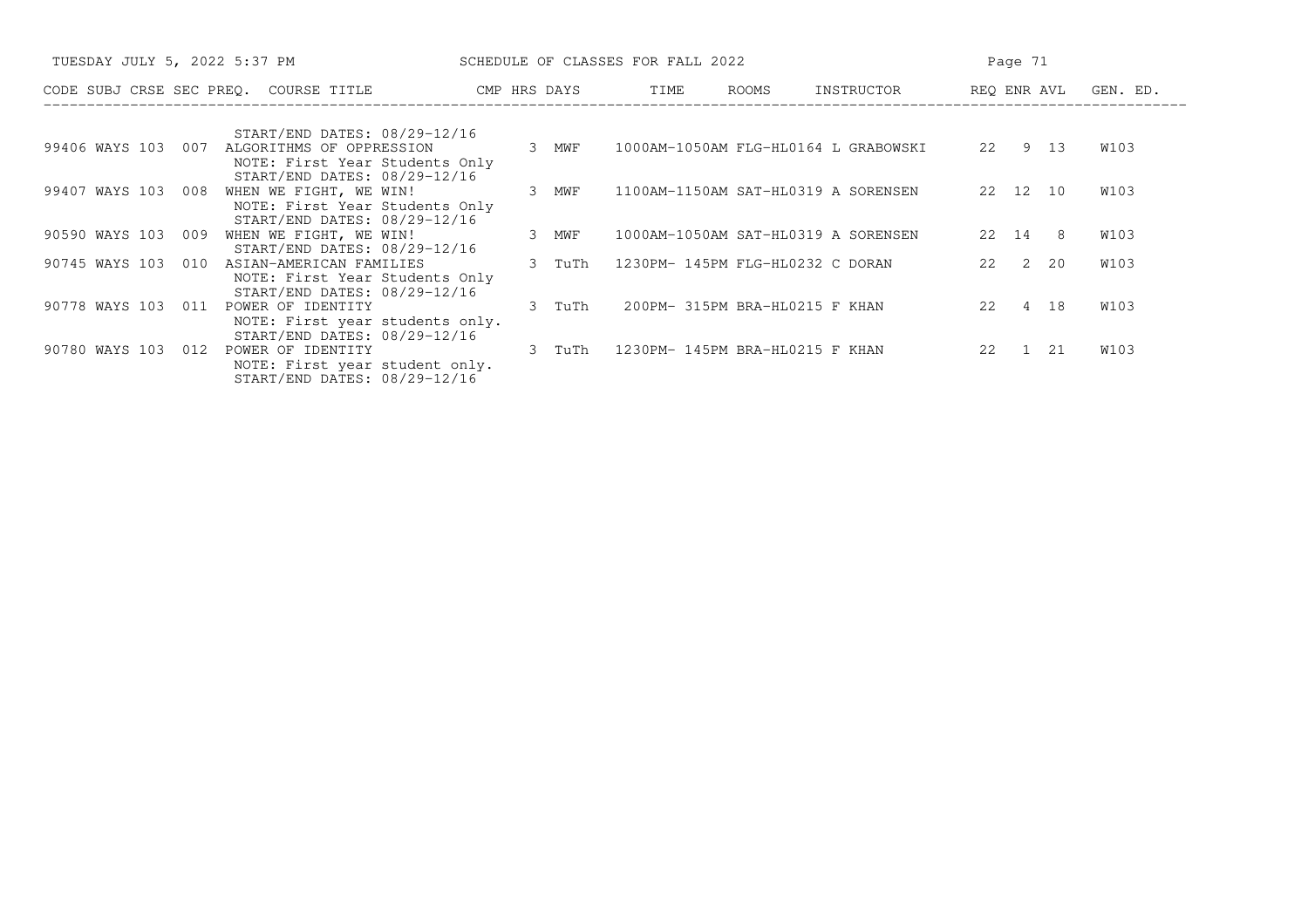| TUESDAY JULY 5, 2022 5:37 PM                                                                                    |        | SCHEDULE OF CLASSES FOR FALL 2022    | Page 71    |                      |      |  |
|-----------------------------------------------------------------------------------------------------------------|--------|--------------------------------------|------------|----------------------|------|--|
| CODE SUBJ CRSE SEC PREQ. COURSE TITLE<br>CMP HRS DAYS                                                           |        | TIME<br>ROOMS                        | INSTRUCTOR | REQ ENR AVL GEN. ED. |      |  |
| START/END DATES: 08/29-12/16                                                                                    |        |                                      |            |                      |      |  |
| 99406 WAYS 103 007<br>ALGORITHMS OF OPPRESSION<br>NOTE: First Year Students Only                                | 3 MWF  | 1000AM-1050AM FLG-HL0164 L GRABOWSKI |            | 22 9 13              | W103 |  |
| START/END DATES: 08/29-12/16<br>99407 WAYS 103 008<br>WHEN WE FIGHT, WE WIN!<br>NOTE: First Year Students Only  | 3 MWF  | 1100AM-1150AM SAT-HL0319 A SORENSEN  |            | 22 12 10             | W103 |  |
| START/END DATES: 08/29-12/16<br>90590 WAYS 103<br>009<br>WHEN WE FIGHT, WE WIN!                                 | 3 MWF  | 1000AM-1050AM SAT-HL0319 A SORENSEN  |            | 22 14 8              | W103 |  |
| START/END DATES: 08/29-12/16<br>90745 WAYS 103 010<br>ASIAN-AMERICAN FAMILIES<br>NOTE: First Year Students Only | 3 TuTh | 1230PM- 145PM FLG-HL0232 C DORAN     |            | 22 2 20              | W103 |  |
| START/END DATES: 08/29-12/16<br>90778 WAYS 103 011<br>POWER OF IDENTITY                                         | 3 TuTh | 200PM- 315PM BRA-HL0215 F KHAN       |            | 22 4 18              | W103 |  |
| NOTE: First year students only.<br>START/END DATES: 08/29-12/16<br>90780 WAYS 103<br>POWER OF IDENTITY<br>012   | 3 TuTh | 1230PM- 145PM BRA-HL0215 F KHAN      |            | 22 1<br>21           | W103 |  |
| NOTE: First year student only.<br>START/END DATES: 08/29-12/16                                                  |        |                                      |            |                      |      |  |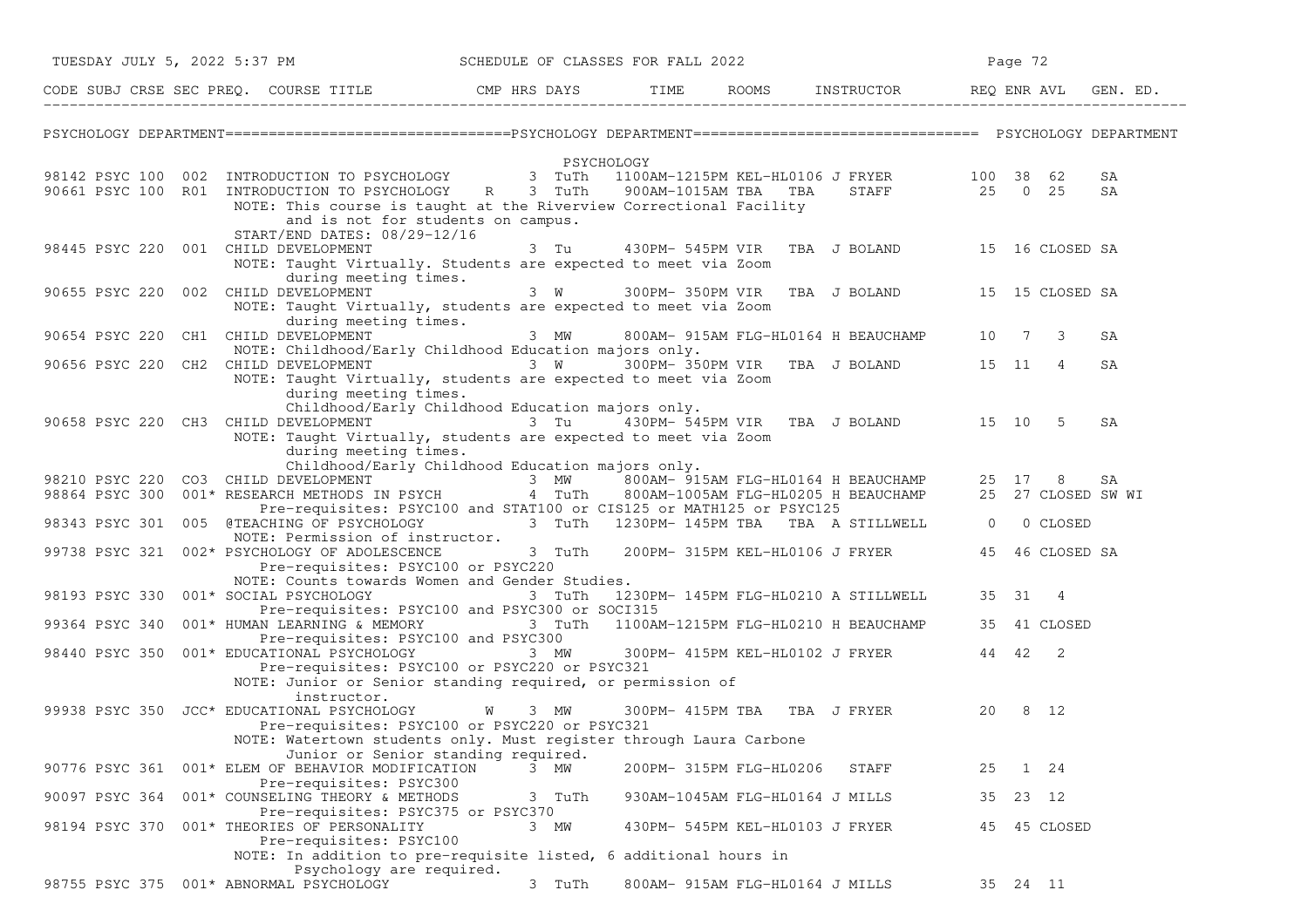|                | TUESDAY JULY 5, 2022 5:37 PM                                                                                                                                                                   | SCHEDULE OF CLASSES FOR FALL 2022 |                         |                                                  | Page 72    |              |          |
|----------------|------------------------------------------------------------------------------------------------------------------------------------------------------------------------------------------------|-----------------------------------|-------------------------|--------------------------------------------------|------------|--------------|----------|
|                | CODE SUBJ CRSE SEC PREQ. COURSE TITLE CMP HRS DAYS TIME ROOMS INSTRUCTOR REQ ENR AVL GEN. ED.                                                                                                  |                                   |                         |                                                  |            |              |          |
|                |                                                                                                                                                                                                |                                   |                         |                                                  |            |              |          |
|                |                                                                                                                                                                                                | PSYCHOLOGY                        |                         |                                                  |            |              |          |
|                | 98142 PSYC 100 002 INTRODUCTION TO PSYCHOLOGY 3 TuTh 1100AM-1215PM KEL-HL0106 J FRYER 100 38 62<br>90661 PSYC 100 R01 INTRODUCTION TO PSYCHOLOGY R 3 TuTh                                      |                                   | 900AM-1015AM TBA TBA    | STAFF 25 0 25                                    |            |              | SA<br>SA |
|                | NOTE: This course is taught at the Riverview Correctional Facility<br>and is not for students on campus.<br>START/END DATES: 08/29-12/16                                                       |                                   |                         |                                                  |            |              |          |
|                | 98445 PSYC 220 001 CHILD DEVELOPMENT<br>NOTE: Taught Virtually. Students are expected to meet via Zoom<br>during meeting times.                                                                | 3 Tu                              |                         | 430PM- 545PM VIR TBA J BOLAND 15 16 CLOSED SA    |            |              |          |
|                | 90655 PSYC 220 002 CHILD DEVELOPMENT<br>NOTE: Taught Virtually, students are expected to meet via Zoom                                                                                         |                                   |                         | 3 W 300PM-350PM VIR TBA J BOLAND 15 15 CLOSED SA |            |              |          |
|                | during meeting times.<br>90654 PSYC 220 CH1 CHILD DEVELOPMENT<br>NOTE: Childhood/Early Childhood Education majors only.                                                                        |                                   |                         | 3 MW 800AM-915AM FLG-HL0164 H BEAUCHAMP 10 7 3   |            |              | SA       |
|                | 90656 PSYC 220 CH2 CHILD DEVELOPMENT <sup>7</sup> 3 W 300PM-350PM VIR TBA J BOLAND 15 11 4<br>NOTE: Taught Virtually, students are expected to meet via Zoom                                   |                                   |                         |                                                  |            |              | SA       |
|                | during meeting times.<br>Childhood/Early Childhood Education majors only.                                                                                                                      |                                   |                         |                                                  |            |              |          |
|                | 90658 PSYC 220 CH3 CHILD DEVELOPMENT 3 Tu 430PM-545PM VIR TBA J BOLAND 15 10 5<br>NOTE: Taught Virtually, students are expected to meet via Zoom<br>during meeting times.                      |                                   |                         |                                                  |            |              | SA       |
|                | Childhood/Early Childhood Education majors only.                                                                                                                                               |                                   |                         |                                                  |            |              |          |
|                | 98210 PSYC 220 CO3 CHILD DEVELOPMENT 1983 MW 800AM-915AM FLG-HL0164 H BEAUCHAMP 25 17 8 SA                                                                                                     |                                   |                         |                                                  |            |              |          |
|                | Pre-requisites: PSYC100 and STAT100 or CIS125 or MATH125 or PSYC125<br>98343 PSYC 301 005 @TEACHING OF PSYCHOLOGY 3 TuTh 1230PM-145PM TBA TBA A STILLWELL 0<br>NOTE: Permission of instructor. |                                   |                         |                                                  |            | 0 CLOSED     |          |
|                | 99738 PSYC 321 002* PSYCHOLOGY OF ADOLESCENCE 3 TuTh 200PM-315PM KEL-HL0106 J FRYER 45 46 CLOSED SA<br>Pre-requisites: PSYC100 or PSYC220                                                      |                                   |                         |                                                  |            |              |          |
| 98193 PSYC 330 | NOTE: Counts towards Women and Gender Studies.<br>001* SOCIAL PSYCHOLOGY<br>Pre-requisites: PSYC100 and PSYC300 or SOCI315                                                                     |                                   |                         | 3 TuTh 1230PM-145PM FLG-HL0210 A STILLWELL       | 35 31 4    |              |          |
| 99364 PSYC 340 | 001* HUMAN LEARNING & MEMORY 3 TuTh 1100AM-1215PM FLG-HL0210 H BEAUCHAMP<br>Pre-requisites: PSYC100 and PSYC300                                                                                |                                   |                         |                                                  |            | 35 41 CLOSED |          |
|                | 98440 PSYC 350 001* EDUCATIONAL PSYCHOLOGY<br>Pre-requisites: PSYC100 or PSYC220 or PSYC321                                                                                                    |                                   |                         | 3 MW 300PM-415PM KEL-HL0102 J FRYER 44 42 2      |            |              |          |
|                | NOTE: Junior or Senior standing required, or permission of                                                                                                                                     |                                   |                         |                                                  |            |              |          |
|                | instructor.<br>99938 PSYC 350 JCC* EDUCATIONAL PSYCHOLOGY<br>Pre-requisites: PSYC100 or PSYC220 or PSYC321                                                                                     | W 3 MW                            |                         | 300PM-415PM TBA TBA J FRYER                      | 20         | 8 12         |          |
|                | NOTE: Watertown students only. Must register through Laura Carbone                                                                                                                             |                                   |                         |                                                  |            |              |          |
| 90776 PSYC 361 | Junior or Senior standing required.<br>001* ELEM OF BEHAVIOR MODIFICATION<br>Pre-requisites: PSYC300                                                                                           | 3 MW                              | 200PM- 315PM FLG-HL0206 | STAFF                                            | 25         | 1 24         |          |
| 90097 PSYC 364 | 001* COUNSELING THEORY & METHODS<br>Pre-requisites: PSYC375 or PSYC370                                                                                                                         | 3 TuTh                            |                         | 930AM-1045AM FLG-HL0164 J MILLS                  | 35 23 12   |              |          |
| 98194 PSYC 370 | 001* THEORIES OF PERSONALITY<br>Pre-requisites: PSYC100                                                                                                                                        | 3 MW                              |                         | 430PM- 545PM KEL-HL0103 J FRYER                  |            | 45 45 CLOSED |          |
|                | NOTE: In addition to pre-requisite listed, 6 additional hours in                                                                                                                               |                                   |                         |                                                  |            |              |          |
| 98755 PSYC 375 | Psychology are required.<br>001* ABNORMAL PSYCHOLOGY                                                                                                                                           | 3 TuTh                            |                         | 800AM- 915AM FLG-HL0164 J MILLS                  | 35  24  11 |              |          |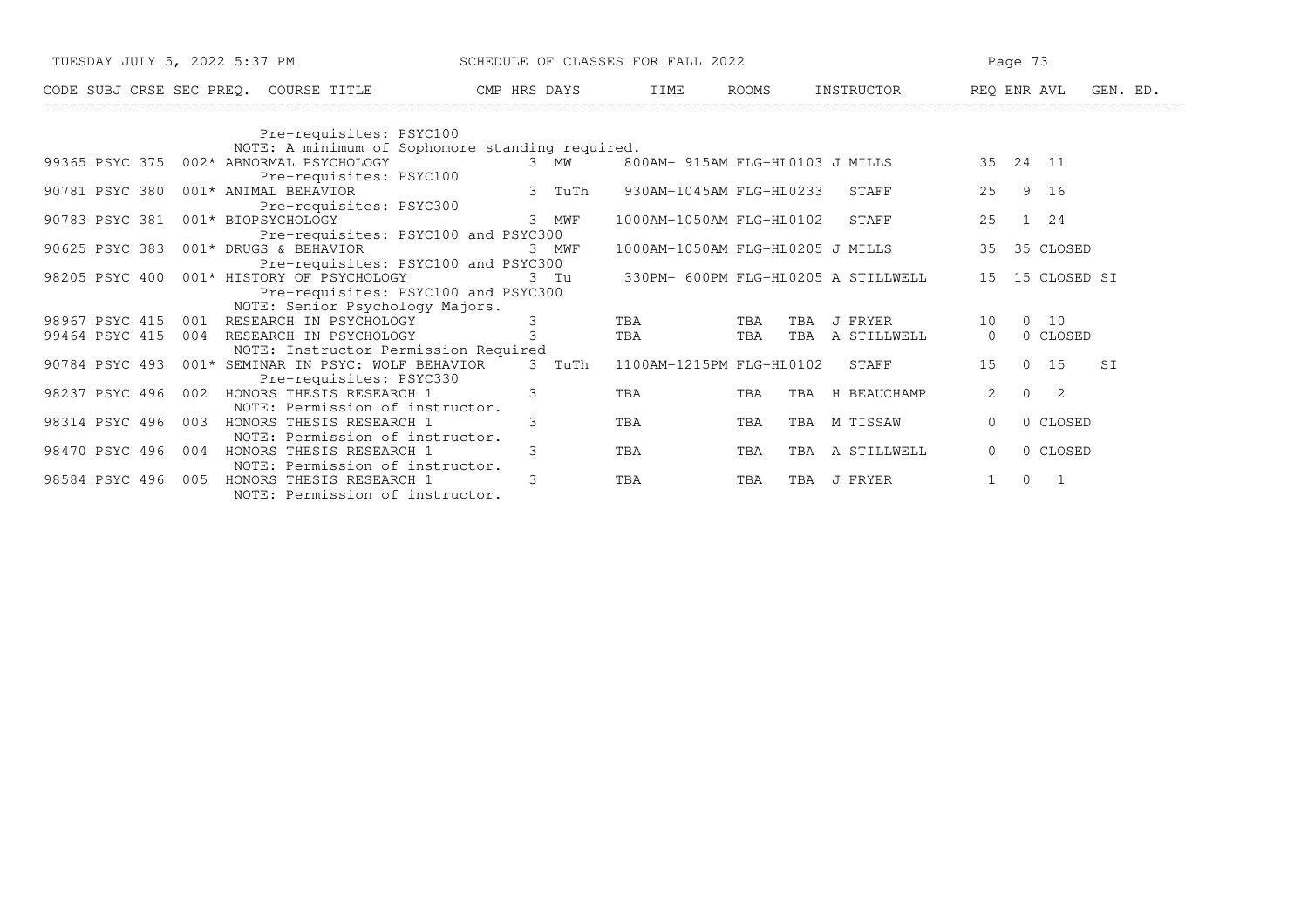| TUESDAY JULY 5, 2022 5:37 PM                                                             | SCHEDULE OF CLASSES FOR FALL 2022 |                          |     | Page 73                                  |                                              |  |  |
|------------------------------------------------------------------------------------------|-----------------------------------|--------------------------|-----|------------------------------------------|----------------------------------------------|--|--|
| CODE SUBJ CRSE SEC PREQ. COURSE TITLE THE RIS DAYS TIME ROOMS INSTRUCTOR THE REQ ENR AVL |                                   |                          |     |                                          | GEN. ED.                                     |  |  |
| Pre-requisites: PSYC100                                                                  |                                   |                          |     |                                          |                                              |  |  |
| NOTE: A minimum of Sophomore standing required.                                          |                                   |                          |     |                                          |                                              |  |  |
| 99365 PSYC 375 002* ABNORMAL PSYCHOLOGY                                                  | 3 MW                              |                          |     | 800AM- 915AM FLG-HL0103 J MILLS 35 24 11 |                                              |  |  |
| Pre-requisites: PSYC100                                                                  |                                   |                          |     |                                          |                                              |  |  |
| 90781 PSYC 380 001* ANIMAL BEHAVIOR                                                      | 3 TuTh                            | 930AM-1045AM FLG-HL0233  |     | STAFF                                    | 25<br>9 16                                   |  |  |
| Pre-requisites: PSYC300                                                                  |                                   |                          |     |                                          |                                              |  |  |
| 90783 PSYC 381 001* BIOPSYCHOLOGY                                                        | 3 MWF                             | 1000AM-1050AM FLG-HL0102 |     | STAFF                                    | $1 \quad 24$<br>25                           |  |  |
| Pre-requisites: PSYC100 and PSYC300                                                      |                                   |                          |     |                                          |                                              |  |  |
| 90625 PSYC 383 001* DRUGS & BEHAVIOR                                                     | 3 MWF                             |                          |     | 1000AM-1050AM FLG-HL0205 J MILLS         | 35 CLOSED<br>35                              |  |  |
| Pre-requisites: PSYC100 and PSYC300                                                      |                                   |                          |     |                                          |                                              |  |  |
| 98205 PSYC 400 001* HISTORY OF PSYCHOLOGY                                                | 3 Tu                              |                          |     | 330PM- 600PM FLG-HL0205 A STILLWELL      | 15 15 CLOSED SI                              |  |  |
| Pre-requisites: PSYC100 and PSYC300                                                      |                                   |                          |     |                                          |                                              |  |  |
| NOTE: Senior Psychology Majors.                                                          |                                   |                          |     |                                          |                                              |  |  |
| 98967 PSYC 415 001<br>RESEARCH IN PSYCHOLOGY                                             | 3                                 | TBA                      | TBA | TBA<br>J FRYER                           | $0\quad 10$<br>10                            |  |  |
| 99464 PSYC 415<br>RESEARCH IN PSYCHOLOGY<br>004                                          | $\overline{3}$                    | TBA                      | TBA | TBA A STILLWELL                          | 0 CLOSED<br>$\Omega$                         |  |  |
| NOTE: Instructor Permission Required                                                     |                                   |                          |     |                                          |                                              |  |  |
| 001* SEMINAR IN PSYC: WOLF BEHAVIOR<br>90784 PSYC 493                                    | 3 TuTh                            |                          |     | 1100AM-1215PM FLG-HL0102 STAFF           | $0\quad 15$<br>15<br>SI                      |  |  |
| Pre-requisites: PSYC330                                                                  |                                   |                          |     |                                          |                                              |  |  |
| 98237 PSYC 496<br>002<br>HONORS THESIS RESEARCH 1                                        | 3                                 | TBA                      | TBA | TBA H BEAUCHAMP                          | $\overline{2}$<br>$\Omega$<br>$\overline{2}$ |  |  |
| NOTE: Permission of instructor.                                                          |                                   |                          |     |                                          |                                              |  |  |
| 98314 PSYC 496<br>003<br>HONORS THESIS RESEARCH 1                                        | 3                                 | TBA                      | TBA | TBA M TISSAW                             | 0 CLOSED<br>$\Omega$                         |  |  |
| NOTE: Permission of instructor.<br>98470 PSYC 496<br>HONORS THESIS RESEARCH 1<br>004     | 3                                 | TBA                      | TBA | A STILLWELL<br>TBA                       |                                              |  |  |
|                                                                                          |                                   |                          |     |                                          | 0 CLOSED<br>$\mathbf{0}$                     |  |  |
| NOTE: Permission of instructor.<br>005<br>HONORS THESIS RESEARCH 1<br>98584 PSYC 496     | 3                                 |                          | TBA | J FRYER                                  | $\Omega$<br>- 1                              |  |  |
| NOTE: Permission of instructor.                                                          |                                   | TBA                      |     | TBA                                      |                                              |  |  |
|                                                                                          |                                   |                          |     |                                          |                                              |  |  |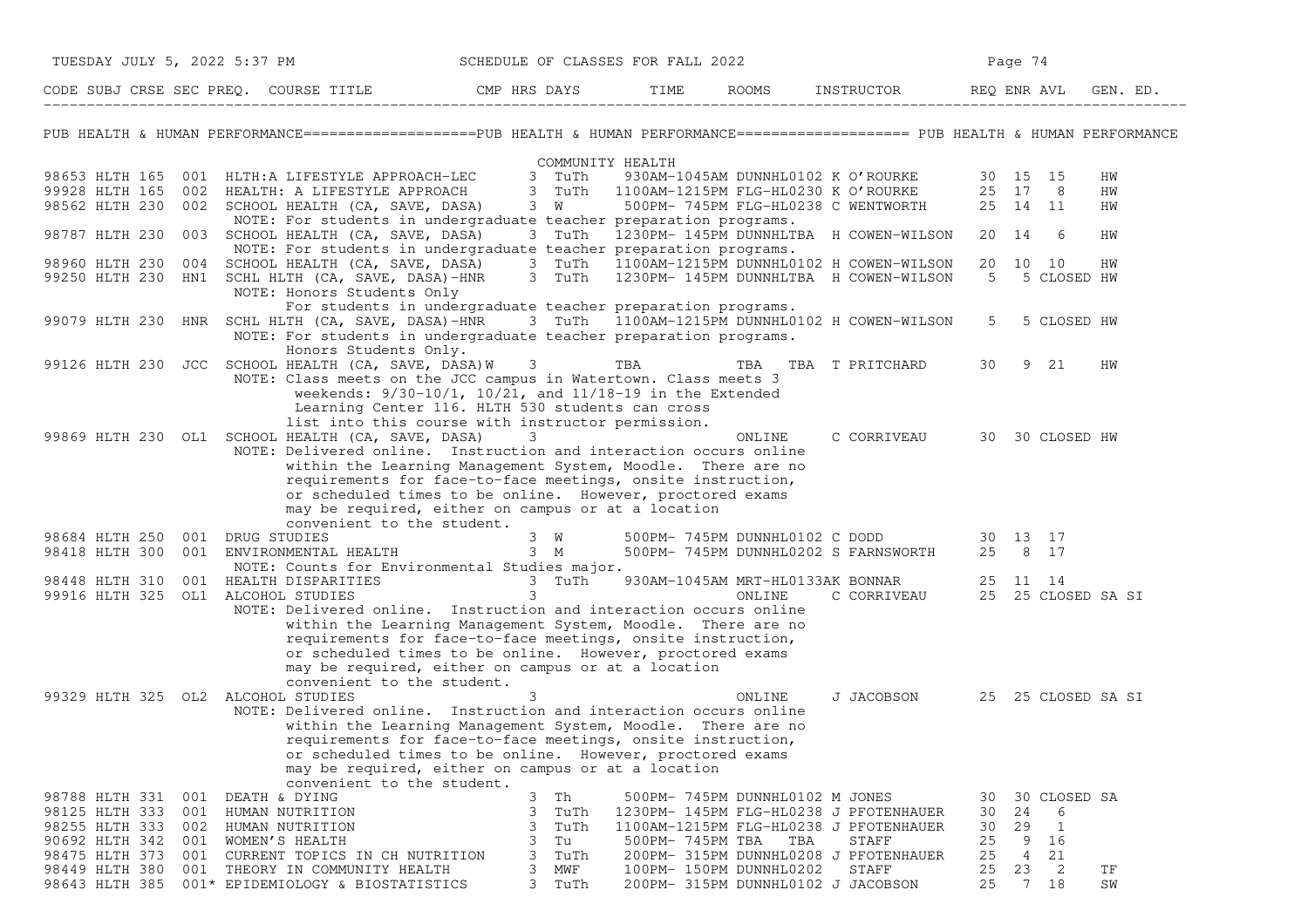| TUESDAY JULY 5, 2022 5:37 PM                         |                                                                                                                                                  | SCHEDULE OF CLASSES FOR FALL 2022                                |                  |                                    |                                                                            |          | Page 74                                     |          |
|------------------------------------------------------|--------------------------------------------------------------------------------------------------------------------------------------------------|------------------------------------------------------------------|------------------|------------------------------------|----------------------------------------------------------------------------|----------|---------------------------------------------|----------|
|                                                      | CODE SUBJ CRSE SEC PREQ. COURSE TITLE THE CMP HRS DAYS                                                                                           |                                                                  | TIME             |                                    | ROOMS INSTRUCTOR                                                           |          | REO ENR AVL                                 | GEN. ED. |
|                                                      | PUB HEALTH & HUMAN PERFORMANCE====================PUB HEALTH & HUMAN PERFORMANCE==================== PUB HEALTH & HUMAN PERFORMANCE              |                                                                  |                  |                                    |                                                                            |          |                                             |          |
|                                                      |                                                                                                                                                  | COMMUNITY HEALTH                                                 |                  |                                    |                                                                            |          |                                             |          |
| 98653 HLTH 165                                       | 001 HLTH:A LIFESTYLE APPROACH-LEC                                                                                                                | 3 TuTh                                                           |                  |                                    | 930AM-1045AM DUNNHL0102 K O'ROURKE                                         |          | 30 15 15                                    | HW       |
| 99928 HLTH 165                                       | 002 HEALTH: A LIFESTYLE APPROACH                                                                                                                 | 3 TuTh                                                           |                  |                                    | 1100AM-1215PM FLG-HL0230 K O'ROURKE<br>500PM- 745PM FLG-HL0238 C WENTWORTH |          | 25 17 8                                     | ΗW       |
| 98562 HLTH 230                                       | 002 SCHOOL HEALTH (CA, SAVE, DASA)<br>NOTE: For students in undergraduate teacher preparation programs.                                          | 3 W                                                              |                  |                                    |                                                                            |          | 25 14 11                                    | ΗW       |
| 98787 HLTH 230                                       | 003 SCHOOL HEALTH (CA, SAVE, DASA)                                                                                                               |                                                                  |                  |                                    | 3 TuTh 1230PM-145PM DUNNHLTBA H COWEN-WILSON                               |          | 20 14 6                                     | HW       |
|                                                      | NOTE: For students in undergraduate teacher preparation programs.                                                                                |                                                                  |                  |                                    |                                                                            |          |                                             |          |
| 98960 HLTH 230 004                                   | SCHOOL HEALTH (CA, SAVE, DASA)                                                                                                                   | 3 TuTh                                                           |                  |                                    | 1100AM-1215PM DUNNHL0102 H COWEN-WILSON                                    |          | 20 10 10                                    | HW       |
|                                                      | 99250 HLTH 230 HN1 SCHL HLTH (CA, SAVE, DASA)-HNR                                                                                                | 3 TuTh                                                           |                  |                                    | 1230PM- 145PM DUNNHLTBA H COWEN-WILSON                                     | 5        | 5 CLOSED HW                                 |          |
|                                                      | NOTE: Honors Students Only                                                                                                                       |                                                                  |                  |                                    |                                                                            |          |                                             |          |
| 99079 HLTH 230                                       | For students in undergraduate teacher preparation programs.<br>HNR SCHL HLTH (CA, SAVE, DASA)-HNR 3 TuTh 1100AM-1215PM DUNNHL0102 H COWEN-WILSON |                                                                  |                  |                                    |                                                                            | $5 -$    | 5 CLOSED HW                                 |          |
|                                                      | NOTE: For students in undergraduate teacher preparation programs.                                                                                |                                                                  |                  |                                    |                                                                            |          |                                             |          |
|                                                      | Honors Students Only.                                                                                                                            |                                                                  |                  |                                    |                                                                            |          |                                             |          |
|                                                      | 99126 HLTH 230 JCC SCHOOL HEALTH (CA, SAVE, DASA) W                                                                                              | 3                                                                | TBA              |                                    | TBA TBA T PRITCHARD                                                        | 30       | 9 21                                        | HW       |
|                                                      | NOTE: Class meets on the JCC campus in Watertown. Class meets 3                                                                                  |                                                                  |                  |                                    |                                                                            |          |                                             |          |
|                                                      |                                                                                                                                                  | weekends: $9/30-10/1$ , $10/21$ , and $11/18-19$ in the Extended |                  |                                    |                                                                            |          |                                             |          |
|                                                      |                                                                                                                                                  | Learning Center 116. HLTH 530 students can cross                 |                  |                                    |                                                                            |          |                                             |          |
|                                                      | list into this course with instructor permission.                                                                                                |                                                                  |                  |                                    |                                                                            |          |                                             |          |
|                                                      | 99869 HLTH 230 OL1 SCHOOL HEALTH (CA, SAVE, DASA)<br>NOTE: Delivered online. Instruction and interaction occurs online                           | 3                                                                |                  | ONLINE                             | C CORRIVEAU                                                                |          | 30 30 CLOSED HW                             |          |
|                                                      | within the Learning Management System, Moodle. There are no                                                                                      |                                                                  |                  |                                    |                                                                            |          |                                             |          |
|                                                      | requirements for face-to-face meetings, onsite instruction,                                                                                      |                                                                  |                  |                                    |                                                                            |          |                                             |          |
|                                                      | or scheduled times to be online. However, proctored exams                                                                                        |                                                                  |                  |                                    |                                                                            |          |                                             |          |
|                                                      | may be required, either on campus or at a location                                                                                               |                                                                  |                  |                                    |                                                                            |          |                                             |          |
|                                                      | convenient to the student.                                                                                                                       |                                                                  |                  |                                    |                                                                            |          |                                             |          |
| 98684 HLTH 250 001 DRUG STUDIES                      |                                                                                                                                                  | $3 \tW$                                                          |                  |                                    | 500PM- 745PM DUNNHL0102 C DODD 30 13 17                                    |          |                                             |          |
| 98418 HLTH 300                                       | 001 ENVIRONMENTAL HEALTH 3 M                                                                                                                     |                                                                  |                  |                                    | 500PM- 745PM DUNNHL0202 S FARNSWORTH                                       |          | 25 8 17                                     |          |
|                                                      | NOTE: Counts for Environmental Studies major.                                                                                                    |                                                                  |                  |                                    |                                                                            |          |                                             |          |
| 98448 HLTH 310<br>99916 HLTH 325 OL1 ALCOHOL STUDIES | 001 HEALTH DISPARITIES                                                                                                                           | 3 TuTh<br>3                                                      |                  |                                    | 930AM-1045AM MRT-HL0133AK BONNAR<br>ONLINE C CORRIVEAU                     |          | 25 11 14<br>25 25 CLOSED SA SI              |          |
|                                                      | NOTE: Delivered online. Instruction and interaction occurs online                                                                                |                                                                  |                  |                                    |                                                                            |          |                                             |          |
|                                                      | within the Learning Management System, Moodle. There are no                                                                                      |                                                                  |                  |                                    |                                                                            |          |                                             |          |
|                                                      | requirements for face-to-face meetings, onsite instruction,                                                                                      |                                                                  |                  |                                    |                                                                            |          |                                             |          |
|                                                      | or scheduled times to be online. However, proctored exams                                                                                        |                                                                  |                  |                                    |                                                                            |          |                                             |          |
|                                                      | may be required, either on campus or at a location                                                                                               |                                                                  |                  |                                    |                                                                            |          |                                             |          |
|                                                      | convenient to the student.                                                                                                                       |                                                                  |                  |                                    |                                                                            |          |                                             |          |
| 99329 HLTH 325 OL2 ALCOHOL STUDIES                   |                                                                                                                                                  | 3                                                                |                  | ONLINE                             | J JACOBSON 25 25 CLOSED SA SI                                              |          |                                             |          |
|                                                      | NOTE: Delivered online. Instruction and interaction occurs online                                                                                |                                                                  |                  |                                    |                                                                            |          |                                             |          |
|                                                      | within the Learning Management System, Moodle. There are no<br>requirements for face-to-face meetings, onsite instruction,                       |                                                                  |                  |                                    |                                                                            |          |                                             |          |
|                                                      | or scheduled times to be online. However, proctored exams                                                                                        |                                                                  |                  |                                    |                                                                            |          |                                             |          |
|                                                      | may be required, either on campus or at a location                                                                                               |                                                                  |                  |                                    |                                                                            |          |                                             |          |
|                                                      | convenient to the student.                                                                                                                       |                                                                  |                  |                                    |                                                                            |          |                                             |          |
| 98788 HLTH 331                                       | 001 DEATH & DYING                                                                                                                                | 3<br>Th                                                          |                  | 500PM- 745PM DUNNHL0102 M JONES    |                                                                            | 30       | 30 CLOSED SA                                |          |
| 98125 HLTH 333 001 HUMAN NUTRITION                   |                                                                                                                                                  | 3<br>TuTh                                                        |                  |                                    | 1230PM- 145PM FLG-HL0238 J PFOTENHAUER                                     | 30       | 24<br>6                                     |          |
| 98255 HLTH 333<br>002                                | HUMAN NUTRITION                                                                                                                                  | TuTh<br>3                                                        |                  |                                    | 1100AM-1215PM FLG-HL0238 J PFOTENHAUER                                     | 30       | 29<br>$\mathbf{1}$                          |          |
| 90692 HLTH 342                                       | 001 WOMEN'S HEALTH                                                                                                                               | 3<br>Tu                                                          | 500PM- 745PM TBA | TBA                                | STAFF                                                                      | 25       | 9<br>16                                     |          |
| 98475 HLTH 373<br>001<br>98449 HLTH 380<br>001       | CURRENT TOPICS IN CH NUTRITION                                                                                                                   | TuTh<br>3<br>3<br>MWF                                            |                  | 100PM- 150PM DUNNHL0202            | 200PM- 315PM DUNNHL0208 J PFOTENHAUER<br>STAFF                             | 25<br>25 | 4<br>21<br>23<br>$\overline{\phantom{0}}^2$ |          |
| 98643 HLTH 385                                       | THEORY IN COMMUNITY HEALTH<br>001* EPIDEMIOLOGY & BIOSTATISTICS                                                                                  | 3<br>TuTh                                                        |                  | 200PM- 315PM DUNNHL0102 J JACOBSON |                                                                            | 25       | 7 18                                        | TF<br>SW |
|                                                      |                                                                                                                                                  |                                                                  |                  |                                    |                                                                            |          |                                             |          |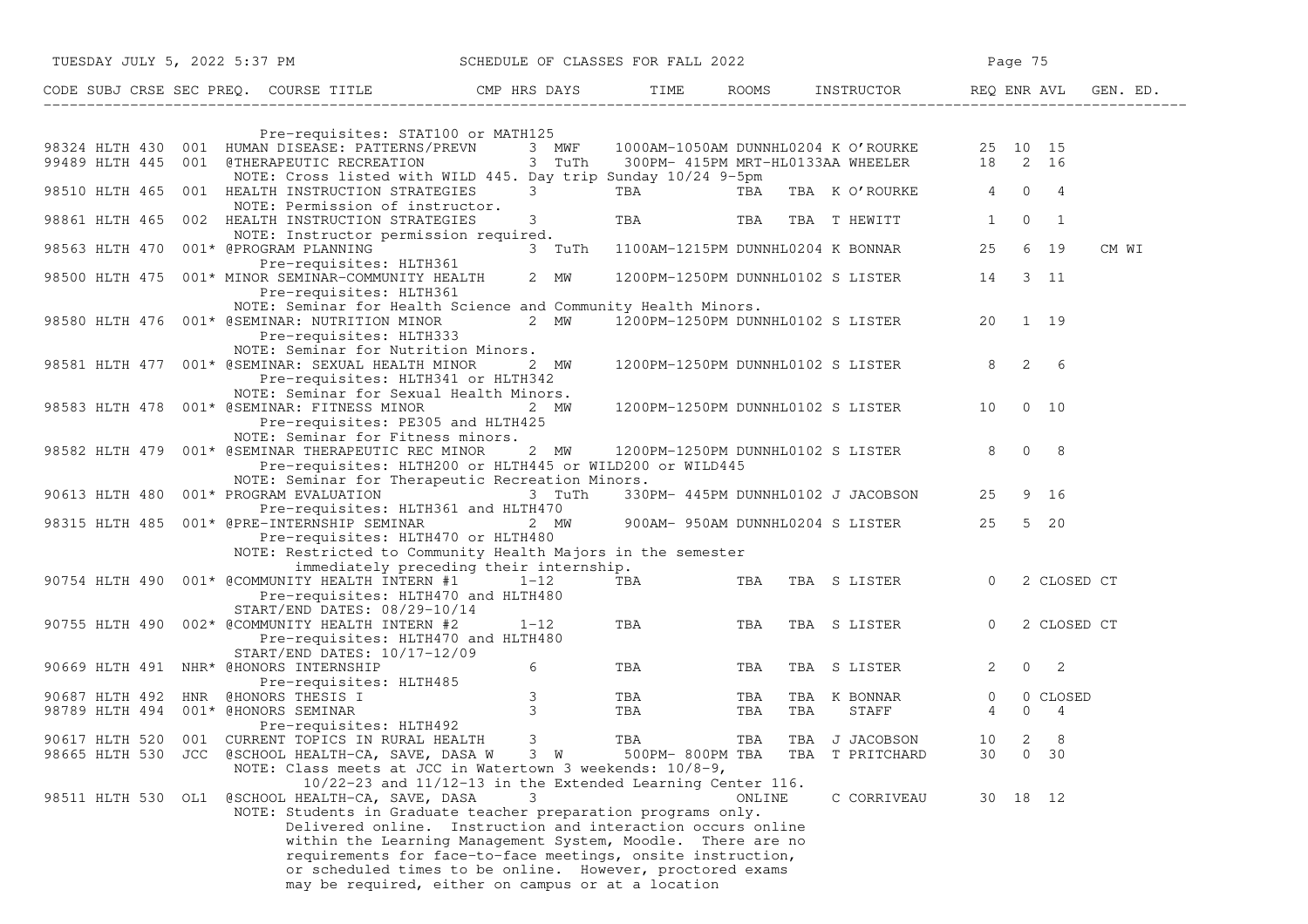| TUESDAY JULY 5, 2022 5:37 PM SCHEDULE OF CLASSES FOR FALL 2022                                                                                           |  |                                                                                                                                                                                                                                                                                                                                                                                                                |                                                            |                               |             |                                          |            |     |                                           |                     | Page 75  |                  |       |
|----------------------------------------------------------------------------------------------------------------------------------------------------------|--|----------------------------------------------------------------------------------------------------------------------------------------------------------------------------------------------------------------------------------------------------------------------------------------------------------------------------------------------------------------------------------------------------------------|------------------------------------------------------------|-------------------------------|-------------|------------------------------------------|------------|-----|-------------------------------------------|---------------------|----------|------------------|-------|
| CODE SUBJ CRSE SEC PREQ. COURSE TITLE CMP HRS DAYS TIME ROOMS INSTRUCTOR REQ ENR AVL GEN. ED.                                                            |  |                                                                                                                                                                                                                                                                                                                                                                                                                |                                                            |                               |             |                                          |            |     |                                           |                     |          |                  |       |
|                                                                                                                                                          |  |                                                                                                                                                                                                                                                                                                                                                                                                                |                                                            |                               |             |                                          |            |     |                                           |                     |          |                  |       |
| 98324 HLTH 430 001 HUMAN DISEASE: PATTERNS/PREVN 3 MWF 1000AM-1050AM DUNNHL0204 K O'ROURKE 25 10 15<br>99489 HLTH 445 001 @THERAPEUTIC RECREATION 3 TuTh |  | Pre-requisites: STAT100 or MATH125<br>NOTE: Cross listed with WILD 445. Day trip Sunday 10/24 9-5pm                                                                                                                                                                                                                                                                                                            |                                                            |                               |             |                                          |            |     | 300PM- 415PM MRT-HL0133AA WHEELER 18 2 16 |                     |          |                  |       |
| 98510 HLTH 465 001 HEALTH INSTRUCTION STRATEGIES                                                                                                         |  | NOTE: Permission of instructor.                                                                                                                                                                                                                                                                                                                                                                                |                                                            |                               | $3^{\circ}$ | <b>TBA</b>                               |            |     | TBA TBA K O'ROURKE 4 0 4                  |                     |          |                  |       |
| 98861 HLTH 465 002 HEALTH INSTRUCTION STRATEGIES                                                                                                         |  | NOTE: Instructor permission required.                                                                                                                                                                                                                                                                                                                                                                          |                                                            |                               | 3           | TBA TBA TBA THEWITT                      |            |     |                                           | 1                   |          | $0\qquad1$       |       |
| 98563 HLTH 470 001* @PROGRAM PLANNING                                                                                                                    |  | Pre-requisites: HLTH361                                                                                                                                                                                                                                                                                                                                                                                        |                                                            |                               |             | 3 TuTh 1100AM-1215PM DUNNHL0204 K BONNAR |            |     |                                           |                     |          | 25 6 19          | CM WI |
| 98500 HLTH 475 001* MINOR SEMINAR-COMMUNITY HEALTH                                                                                                       |  | Pre-requisites: HLTH361                                                                                                                                                                                                                                                                                                                                                                                        |                                                            |                               | 2 MW        | 1200PM-1250PM DUNNHL0102 S LISTER        |            |     |                                           |                     |          | 14 3 11          |       |
| 98580 HLTH 476 001* @SEMINAR: NUTRITION MINOR                                                                                                            |  | NOTE: Seminar for Health Science and Community Health Minors.<br>Pre-requisites: HLTH333<br>NOTE: Seminar for Nutrition Minors.                                                                                                                                                                                                                                                                                |                                                            |                               | 2 MW        |                                          |            |     | 1200PM-1250PM DUNNHL0102 S LISTER         |                     |          | 20 1 19          |       |
| 98581 HLTH 477 001* @SEMINAR: SEXUAL HEALTH MINOR 2 MW                                                                                                   |  | Pre-requisites: HLTH341 or HLTH342                                                                                                                                                                                                                                                                                                                                                                             |                                                            |                               |             | 1200PM-1250PM DUNNHL0102 S LISTER        |            |     |                                           | $8\quad 2\quad 6$   |          |                  |       |
| 98583 HLTH 478 001* @SEMINAR: FITNESS MINOR                                                                                                              |  | NOTE: Seminar for Sexual Health Minors.<br>Pre-requisites: PE305 and HLTH425                                                                                                                                                                                                                                                                                                                                   |                                                            |                               | 2 MW        | 1200PM-1250PM DUNNHL0102 S LISTER        |            |     |                                           |                     |          | 10 0 10          |       |
| 98582 HLTH 479 001* @SEMINAR THERAPEUTIC REC MINOR                                                                                                       |  | NOTE: Seminar for Fitness minors.<br>Pre-requisites: HLTH200 or HLTH445 or WILD200 or WILD445                                                                                                                                                                                                                                                                                                                  |                                                            |                               | 2 MW        | 1200PM-1250PM DUNNHL0102 S LISTER        |            |     |                                           | $8 \t0 \t8$         |          |                  |       |
| 90613 HLTH 480 001* PROGRAM EVALUATION                                                                                                                   |  | NOTE: Seminar for Therapeutic Recreation Minors.                                                                                                                                                                                                                                                                                                                                                               |                                                            |                               | 3 TuTh      |                                          |            |     | 330PM- 445PM DUNNHL0102 J JACOBSON        |                     |          | 25 9 16          |       |
| 98315 HLTH 485 001* @PRE-INTERNSHIP SEMINAR                                                                                                              |  | Pre-requisites: HLTH361 and HLTH470<br>Pre-requisites: HLTH470 or HLTH480                                                                                                                                                                                                                                                                                                                                      |                                                            |                               | 2 MW        |                                          |            |     | 900AM- 950AM DUNNHL0204 S LISTER          |                     |          | 25 5 20          |       |
|                                                                                                                                                          |  | NOTE: Restricted to Community Health Majors in the semester                                                                                                                                                                                                                                                                                                                                                    | immediately preceding their internship.                    |                               |             |                                          |            |     |                                           |                     |          |                  |       |
| 90754 HLTH 490 001* @COMMUNITY HEALTH INTERN #1                                                                                                          |  | Pre-requisites: HLTH470 and HLTH480                                                                                                                                                                                                                                                                                                                                                                            |                                                            | 1-12                          |             | TBA <b>TRANGER</b>                       | TBA        |     | TBA S LISTER 0                            |                     |          | 2 CLOSED CT      |       |
| 90755 HLTH 490 002* @COMMUNITY HEALTH INTERN #2                                                                                                          |  | START/END DATES: 08/29-10/14<br>Pre-requisites: HLTH470 and HLTH480                                                                                                                                                                                                                                                                                                                                            |                                                            | $1 - 12$                      |             | TBA                                      | TBA        |     | TBA S LISTER                              | $\overline{0}$      |          | 2 CLOSED CT      |       |
| 90669 HLTH 491 NHR* @HONORS INTERNSHIP                                                                                                                   |  | $START/END$ DATES: $10/17-12/09$<br>Pre-requisites: HLTH485                                                                                                                                                                                                                                                                                                                                                    |                                                            | 6                             |             | TBA                                      | TBA        |     | TBA S LISTER                              | $2^{\circ}$         |          | $0\qquad 2$      |       |
| 90687 HLTH 492 HNR @HONORS THESIS I<br>98789 HLTH 494 001* @HONORS SEMINAR                                                                               |  |                                                                                                                                                                                                                                                                                                                                                                                                                |                                                            | $\mathcal{S}$<br>$\mathbf{3}$ |             | TBA<br>TBA                               | TBA<br>TBA | TBA | TBA K BONNAR<br>STAFF                     | $\overline{0}$<br>4 | $\Omega$ | 0 CLOSED<br>4    |       |
| 90617 HLTH 520 001 CURRENT TOPICS IN RURAL HEALTH<br>98665 HLTH 530 JCC @SCHOOL HEALTH-CA, SAVE, DASA W 3 W                                              |  | Pre-requisites: HLTH492<br>NOTE: Class meets at JCC in Watertown 3 weekends: $10/8-9$ ,                                                                                                                                                                                                                                                                                                                        |                                                            | 3                             |             | TBA<br>500PM- 800PM TBA                  | TBA        |     | TBA J JACOBSON<br>TBA T PRITCHARD         | 10<br>30            | 2        | 8<br>$0\quad 30$ |       |
| 98511 HLTH 530 OL1                                                                                                                                       |  | @SCHOOL HEALTH-CA, SAVE, DASA<br>NOTE: Students in Graduate teacher preparation programs only.<br>Delivered online. Instruction and interaction occurs online<br>within the Learning Management System, Moodle. There are no<br>requirements for face-to-face meetings, onsite instruction,<br>or scheduled times to be online. However, proctored exams<br>may be required, either on campus or at a location | 10/22-23 and 11/12-13 in the Extended Learning Center 116. | 3                             |             |                                          | ONLINE     |     | C CORRIVEAU                               |                     |          | 30 18 12         |       |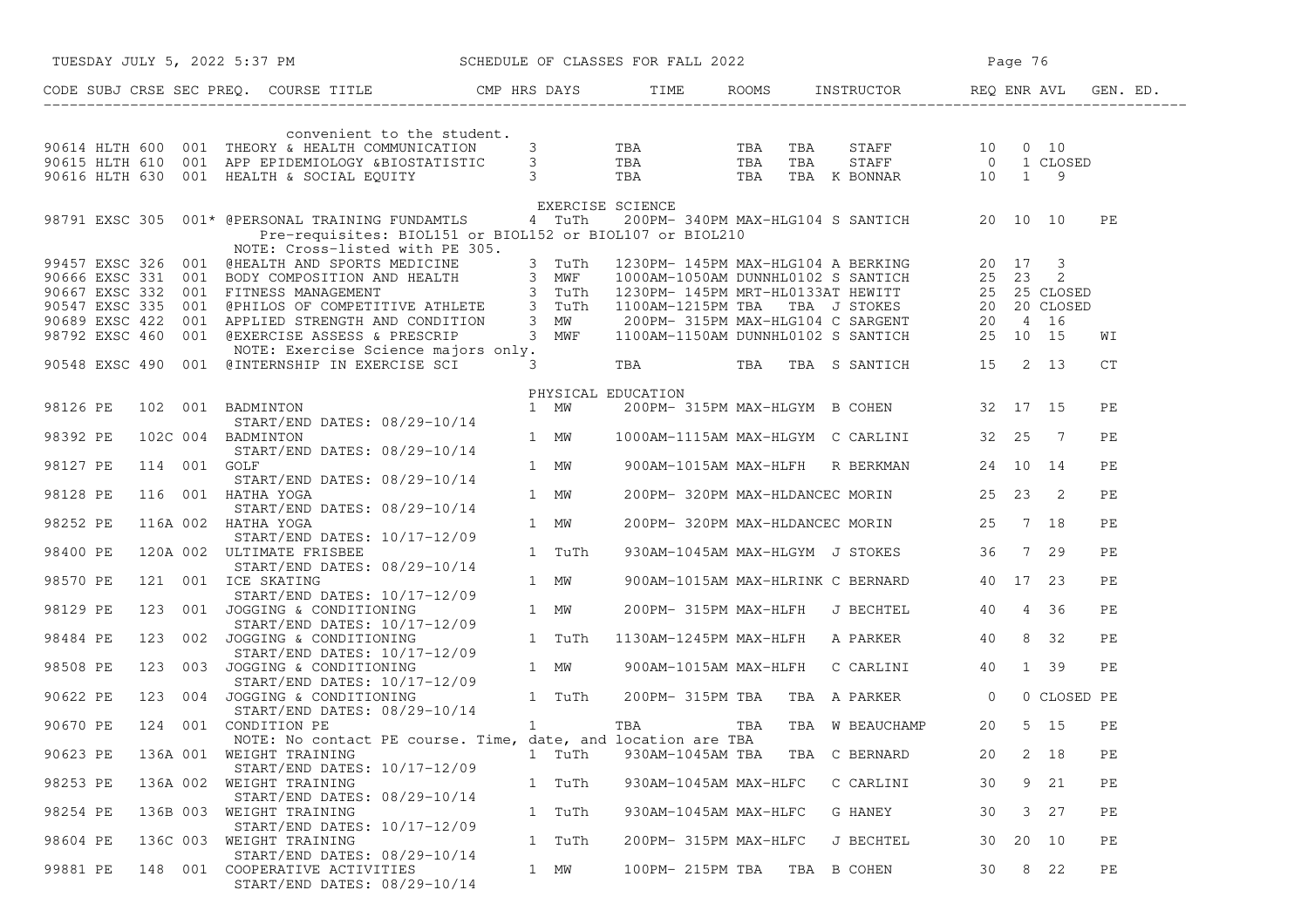|                       |          |          | TUESDAY JULY 5, 2022 5:37 PM SCHEDULE OF CLASSES FOR FALL 2022                                                                                                                                                                         |        |                       |  |                                                | Page 76 |    |      |    |  |
|-----------------------|----------|----------|----------------------------------------------------------------------------------------------------------------------------------------------------------------------------------------------------------------------------------------|--------|-----------------------|--|------------------------------------------------|---------|----|------|----|--|
|                       |          |          | CODE SUBJ CRSE SEC PREQ. COURSE TITLE THE ROOMS INSTRUCTOR REQ ENR AVL GEN. ED.                                                                                                                                                        |        |                       |  |                                                |         |    |      |    |  |
|                       |          |          | convenient to the student.                                                                                                                                                                                                             |        |                       |  |                                                |         |    |      |    |  |
|                       |          |          |                                                                                                                                                                                                                                        |        |                       |  |                                                |         |    |      |    |  |
|                       |          |          |                                                                                                                                                                                                                                        |        |                       |  |                                                |         |    |      |    |  |
|                       |          |          | SURVERSION ON THE COMMUNICATION CONGRESS OF THE SERVICE OF THE STAFF 10 0 10<br>90615 HLTH 610 001 APP EPIDEMIOLOGY &BIOSTATISTIC 3 TBA TBA TBA STAFF 0 1 CLOSED<br>90616 HLTH 630 001 HEALTH & SOCIAL EQUITY 3 TBA TBA TBA TBA K      |        |                       |  |                                                |         |    |      |    |  |
|                       |          |          |                                                                                                                                                                                                                                        |        | EXERCISE SCIENCE      |  |                                                |         |    |      |    |  |
|                       |          |          | 98791 EXSC 305 001* @PERSONAL TRAINING FUNDAMTLS 4 TuTh 200PM-340PM MAX-HLG104 S SANTICH 20 10 10                                                                                                                                      |        |                       |  |                                                |         |    |      | PE |  |
|                       |          |          | Pre-requisites: BIOL151 or BIOL152 or BIOL107 or BIOL210                                                                                                                                                                               |        |                       |  |                                                |         |    |      |    |  |
|                       |          |          | NOTE: Cross-listed with PE 305.                                                                                                                                                                                                        |        |                       |  |                                                |         |    |      |    |  |
|                       |          |          | 99457 EXSC 326 001 WHE: Cross-listed with PE 305.<br>90666 EXSC 326 001 BODY COMPOSITION AND HEALTH<br>90666 EXSC 331 001 BODY COMPOSITION AND HEALTH<br>90667 EXSC 332 001 FITNESS MANAGEMENT<br>90547 EXSC 335 001 @PHILOS OF COMPET |        |                       |  |                                                |         |    |      |    |  |
|                       |          |          |                                                                                                                                                                                                                                        |        |                       |  |                                                |         |    |      |    |  |
|                       |          |          |                                                                                                                                                                                                                                        |        |                       |  |                                                |         |    |      |    |  |
|                       |          |          |                                                                                                                                                                                                                                        |        |                       |  |                                                |         |    |      |    |  |
|                       |          |          |                                                                                                                                                                                                                                        |        |                       |  |                                                |         |    |      | WI |  |
|                       |          |          |                                                                                                                                                                                                                                        |        |                       |  |                                                |         |    |      |    |  |
|                       |          |          | NOTE: Exercise Science majors only.<br>90548 EXSC 490 001 @INTERNSHIP IN EXERCISE SCI 3 TBA TBA TBA TBA S SANTICH 15 2 13                                                                                                              |        |                       |  |                                                |         |    |      | СT |  |
|                       |          |          |                                                                                                                                                                                                                                        |        |                       |  |                                                |         |    |      |    |  |
|                       |          |          | 98126 PE 102 001 BADMINTON PHYSICAL EDUCATION<br>START/END DATES: 08/29-10/14 1 MW 200PM-3<br>98392 PE 102C 004 BADMINTON                                                                                                              |        |                       |  |                                                |         |    |      |    |  |
|                       |          |          |                                                                                                                                                                                                                                        |        |                       |  | 200PM- 315PM MAX-HLGYM B COHEN 32 17 15        |         |    |      | PE |  |
|                       |          |          |                                                                                                                                                                                                                                        |        |                       |  |                                                |         |    |      |    |  |
|                       |          |          | DADMINION<br>START/END DATES: 08/29-10/14<br>2015                                                                                                                                                                                      |        |                       |  | 1 MW 1000AM-1115AM MAX-HLGYM C CARLINI 32 25 7 |         |    |      | PE |  |
|                       |          |          |                                                                                                                                                                                                                                        |        |                       |  |                                                |         |    |      |    |  |
| 98127 PE 114 001 GOLF |          |          |                                                                                                                                                                                                                                        |        |                       |  | 1 MW 900AM-1015AM MAX-HLFH R BERKMAN 24 10 14  |         |    |      | PE |  |
|                       |          |          | START/END DATES: 08/29-10/14                                                                                                                                                                                                           |        |                       |  |                                                |         |    |      |    |  |
| 98128 PE              |          |          | 116 001 HATHA YOGA 1 MW                                                                                                                                                                                                                |        |                       |  | 200PM-320PM MAX-HLDANCEC MORIN 25 23 2         |         |    |      | PE |  |
|                       |          |          | START/END DATES: 08/29-10/14                                                                                                                                                                                                           |        |                       |  |                                                |         |    |      |    |  |
| 98252 PE              |          |          | 116A 002 HATHA YOGA                                                                                                                                                                                                                    | 1 MW   |                       |  | 200PM-320PM MAX-HLDANCEC MORIN 25 7 18         |         |    |      | PE |  |
| 98400 PE              |          |          | START/END DATES: 10/17-12/09                                                                                                                                                                                                           |        |                       |  | 930AM-1045AM MAX-HLGYM J STOKES 36 7 29        |         |    |      | PE |  |
|                       |          |          | 120A 002 ULTIMATE FRISBEE<br>START/END DATES: 08/29-10/14                                                                                                                                                                              |        |                       |  |                                                |         |    |      |    |  |
| 98570 PE              |          |          | 121 001 ICE SKATING                                                                                                                                                                                                                    | 1 MW   |                       |  | 900AM-1015AM MAX-HLRINK C BERNARD 40 17 23     |         |    |      | PE |  |
|                       |          |          | START/END DATES: 10/17-12/09                                                                                                                                                                                                           |        |                       |  |                                                |         |    |      |    |  |
| 98129 PE              |          |          |                                                                                                                                                                                                                                        |        |                       |  |                                                |         |    |      |    |  |
|                       |          |          |                                                                                                                                                                                                                                        |        |                       |  |                                                |         |    |      |    |  |
| 98484 PE              |          |          |                                                                                                                                                                                                                                        |        |                       |  |                                                |         |    |      |    |  |
|                       |          |          |                                                                                                                                                                                                                                        |        |                       |  |                                                |         |    |      |    |  |
| 98508 PE              |          |          |                                                                                                                                                                                                                                        |        |                       |  |                                                |         |    |      |    |  |
|                       |          |          |                                                                                                                                                                                                                                        |        |                       |  |                                                |         |    |      |    |  |
| 90622 PE              |          |          |                                                                                                                                                                                                                                        |        |                       |  |                                                |         |    |      |    |  |
|                       |          |          |                                                                                                                                                                                                                                        |        |                       |  |                                                |         |    |      |    |  |
| 90670 PE              |          |          | 124 001 CONDITION PE                                                                                                                                                                                                                   |        |                       |  |                                                |         |    |      |    |  |
|                       |          |          | NOTE: No contact PE course. Time, date, and location are TBA                                                                                                                                                                           |        |                       |  |                                                |         |    |      |    |  |
| 90623 PE              |          |          | 136A 001 WEIGHT TRAINING                                                                                                                                                                                                               | 1 TuTh | 930AM-1045AM TBA      |  | TBA C BERNARD                                  | 20      |    | 2 18 | РE |  |
|                       |          |          | START/END DATES: 10/17-12/09                                                                                                                                                                                                           |        |                       |  |                                                |         |    |      |    |  |
| 98253 PE              |          | 136A 002 | WEIGHT TRAINING                                                                                                                                                                                                                        | 1 TuTh | 930AM-1045AM MAX-HLFC |  | C CARLINI                                      | 30      |    | 9 21 | PЕ |  |
|                       |          |          | START/END DATES: 08/29-10/14                                                                                                                                                                                                           |        |                       |  |                                                |         |    |      |    |  |
| 98254 PE              |          |          | 136B 003 WEIGHT TRAINING                                                                                                                                                                                                               | 1 TuTh | 930AM-1045AM MAX-HLFC |  | G HANEY                                        | 30      |    | 3 27 | PE |  |
|                       |          |          | $START/END$ DATES: $10/17-12/09$                                                                                                                                                                                                       |        |                       |  |                                                |         |    |      |    |  |
| 98604 PE              | 136C 003 |          | WEIGHT TRAINING                                                                                                                                                                                                                        | 1 TuTh | 200PM- 315PM MAX-HLFC |  | J BECHTEL                                      | 30      | 20 | 10   | PЕ |  |
|                       |          |          | START/END DATES: 08/29-10/14                                                                                                                                                                                                           |        |                       |  |                                                |         |    |      |    |  |
| 99881 PE              |          |          | 148 001 COOPERATIVE ACTIVITIES                                                                                                                                                                                                         | 1 MW   | 100PM- 215PM TBA      |  | TBA B COHEN                                    | 30      |    | 8 22 | PЕ |  |
|                       |          |          | START/END DATES: 08/29-10/14                                                                                                                                                                                                           |        |                       |  |                                                |         |    |      |    |  |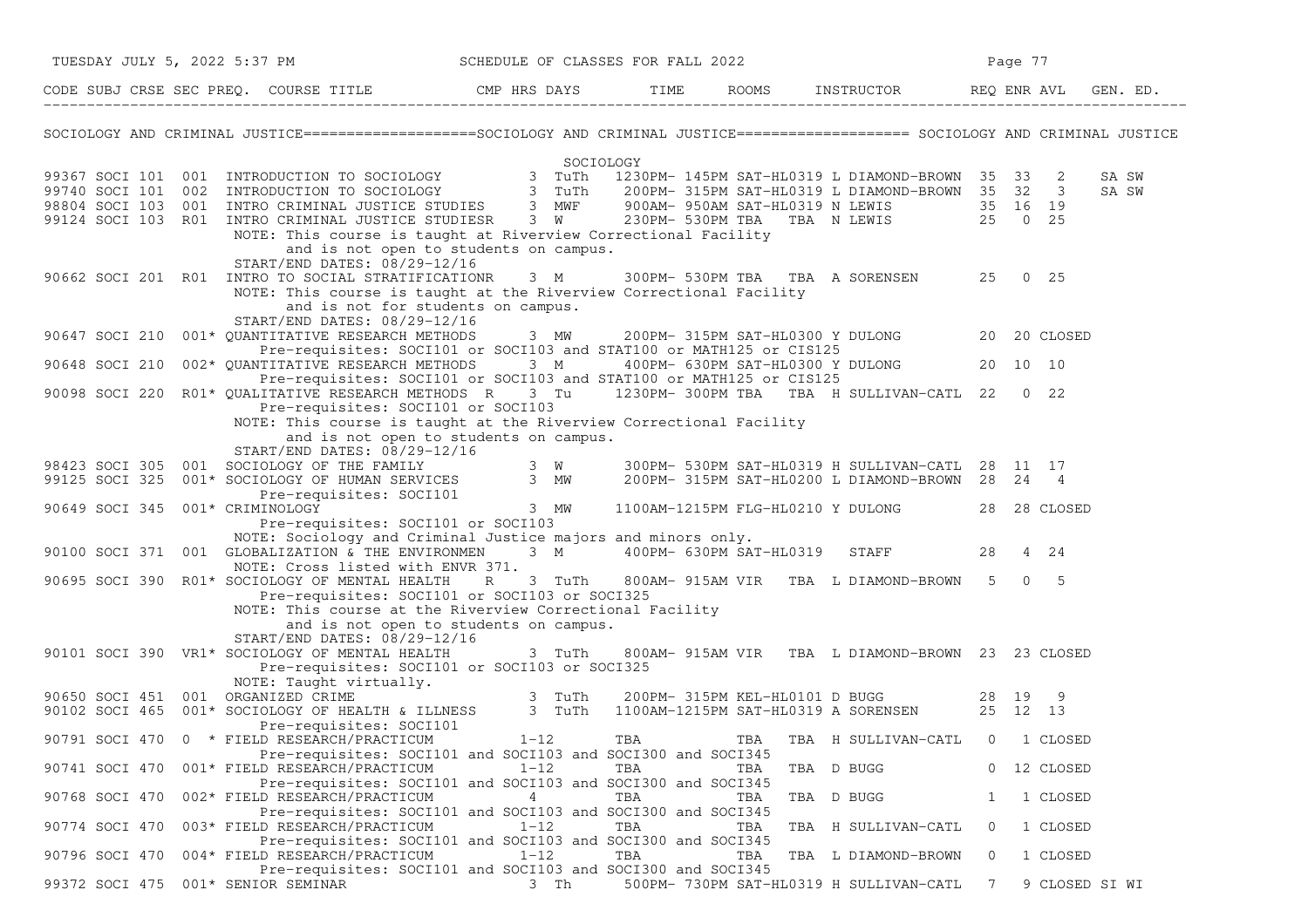| TUESDAY JULY 5, 2022 5:37 PM SCHEDULE OF CLASSES FOR FALL 2022                                                                                                                                                                         |                                                                     |     |                                                                                        |         | Page 77        |       |
|----------------------------------------------------------------------------------------------------------------------------------------------------------------------------------------------------------------------------------------|---------------------------------------------------------------------|-----|----------------------------------------------------------------------------------------|---------|----------------|-------|
| CODE SUBJ CRSE SEC PREQ. COURSE TITLE THE THE THE ROOMS INSTRUCTOR THE REQ ENR AVL GEN. ED.                                                                                                                                            |                                                                     |     |                                                                                        |         |                |       |
| SOCIOLOGY AND CRIMINAL JUSTICE==================SOCIOLOGY AND CRIMINAL JUSTICE==================== SOCIOLOGY AND CRIMINAL JUSTICE                                                                                                      |                                                                     |     |                                                                                        |         |                |       |
|                                                                                                                                                                                                                                        |                                                                     |     |                                                                                        |         |                |       |
| SOCIOLOGY<br>99367 SOCI 101 001 INTRODUCTION TO SOCIOLOGY<br>99740 SOCI 101 002 INTRODUCTION TO SOCIOLOGY<br>98804 SOCI 103 001 INTRO CRIMINAL JUSTICE STUDIES 3 MWF 900AM-950AM SAT-HL0319 N LEWIS 35 32 3<br>98804 SOCI 103 001 INTR |                                                                     |     |                                                                                        |         |                | SA SW |
|                                                                                                                                                                                                                                        |                                                                     |     |                                                                                        |         |                | SA SW |
|                                                                                                                                                                                                                                        |                                                                     |     |                                                                                        |         |                |       |
| 99124 SOCI 103 RO1 INTRO CRIMINAL JUSTICE STUDIESR 3 W                                                                                                                                                                                 |                                                                     |     | 900AM-950AM SAT-HL0319 N LEWIS 35 16 19<br>230PM-530PM TBA TBA N LEWIS 25 0 25         |         |                |       |
| NOTE: This course is taught at Riverview Correctional Facility                                                                                                                                                                         |                                                                     |     |                                                                                        |         |                |       |
|                                                                                                                                                                                                                                        | and is not open to students on campus.                              |     |                                                                                        |         |                |       |
| START/END DATES: 08/29-12/16<br>90662 SOCI 201 R01 INTRO TO SOCIAL STRATIFICATIONR 3 M 300PM- 530PM TBA TBA A SORENSEN 25 0 25                                                                                                         |                                                                     |     |                                                                                        |         |                |       |
| NOTE: This course is taught at the Riverview Correctional Facility                                                                                                                                                                     |                                                                     |     |                                                                                        |         |                |       |
|                                                                                                                                                                                                                                        | and is not for students on campus.                                  |     |                                                                                        |         |                |       |
| START/END DATES: 08/29-12/16                                                                                                                                                                                                           |                                                                     |     |                                                                                        |         |                |       |
| 90647 SOCI 210 001* QUANTITATIVE RESEARCH METHODS 3 MW 200PM-315PM SAT-HL0300 Y DULONG 20 20 CLOSED                                                                                                                                    |                                                                     |     |                                                                                        |         |                |       |
|                                                                                                                                                                                                                                        | Pre-requisites: SOCI101 or SOCI103 and STAT100 or MATH125 or CIS125 |     |                                                                                        |         |                |       |
| 002* QUANTITATIVE RESEARCH METHODS 3 M 400PM- 630PM SAT-HL0300 Y DULONG 20 10 10<br>90648 SOCI 210                                                                                                                                     |                                                                     |     |                                                                                        |         |                |       |
| 90098 SOCI 220 R01* QUALITATIVE RESEARCH METHODS R 3 Tu 1230PM-300PM TBA TBA H SULLIVAN-CATL 22 0 22                                                                                                                                   | Pre-requisites: SOCI101 or SOCI103 and STAT100 or MATH125 or CIS125 |     |                                                                                        |         |                |       |
| Pre-requisites: SOCI101 or SOCI103                                                                                                                                                                                                     |                                                                     |     |                                                                                        |         |                |       |
| NOTE: This course is taught at the Riverview Correctional Facility                                                                                                                                                                     |                                                                     |     |                                                                                        |         |                |       |
|                                                                                                                                                                                                                                        | and is not open to students on campus.                              |     |                                                                                        |         |                |       |
| START/END DATES: 08/29-12/16                                                                                                                                                                                                           |                                                                     |     |                                                                                        |         |                |       |
| 98423 SOCI 305 001 SOCIOLOGY OF THE FAMILY 3 W 300PM- 530PM SAT-HL0319 H SULLIVAN-CATL 28 11 17<br>99125 SOCI 325 001* SOCIOLOGY OF HUMAN SERVICES 3 MW 200PM- 315PM SAT-HL0200 L DIAMOND-BROWN 28 24 4                                |                                                                     |     |                                                                                        |         |                |       |
| IOLOGY OF HUMAN SERVICES<br>Pre-requisites: SOCI101 3 MW                                                                                                                                                                               |                                                                     |     |                                                                                        |         |                |       |
| 90649 SOCI 345 001* CRIMINOLOGY                                                                                                                                                                                                        |                                                                     |     | 1100AM-1215PM FLG-HL0210 Y DULONG 28 28 CLOSED                                         |         |                |       |
| Pre-requisites: SOCI101 or SOCI103                                                                                                                                                                                                     |                                                                     |     |                                                                                        |         |                |       |
| NOTE: Sociology and Criminal Justice majors and minors only.                                                                                                                                                                           |                                                                     |     |                                                                                        |         |                |       |
| 90100 SOCI 371 001 GLOBALIZATION & THE ENVIRONMEN                                                                                                                                                                                      |                                                                     |     | 3 M 400PM- 630PM SAT-HL0319 STAFF                                                      | 28      | 4 24           |       |
| NOTE: Cross listed with ENVR 371.                                                                                                                                                                                                      |                                                                     |     |                                                                                        |         |                |       |
| 90695 SOCI 390 R01* SOCIOLOGY OF MENTAL HEALTH                                                                                                                                                                                         | Pre-requisites: SOCI101 or SOCI103 or SOCI325                       |     | R 3 TuTh 800AM-915AM VIR TBA L DIAMOND-BROWN 5 0 5                                     |         |                |       |
| NOTE: This course at the Riverview Correctional Facility                                                                                                                                                                               |                                                                     |     |                                                                                        |         |                |       |
|                                                                                                                                                                                                                                        | and is not open to students on campus.                              |     |                                                                                        |         |                |       |
| START/END DATES: 08/29-12/16                                                                                                                                                                                                           |                                                                     |     |                                                                                        |         |                |       |
| 90101 SOCI 390 VR1* SOCIOLOGY OF MENTAL HEALTH                                                                                                                                                                                         | 3 TuTh                                                              |     | 800AM- 915AM VIR TBA L DIAMOND-BROWN 23 23 CLOSED                                      |         |                |       |
|                                                                                                                                                                                                                                        | Pre-requisites: SOCI101 or SOCI103 or SOCI325                       |     |                                                                                        |         |                |       |
| NOTE: Taught virtually.<br>90650 SOCI 451 001 ORGANIZED CRIME<br>90102 SOCI 465 001* SOCIOLOGY OF HEALTH & ILLNESS 3 TuTh                                                                                                              |                                                                     |     |                                                                                        |         |                |       |
|                                                                                                                                                                                                                                        |                                                                     |     | 200PM- 315PM KEL-HL0101 D BUGG 28 19 9<br>1100AM-1215PM SAT-HL0319 A SORENSEN 25 12 13 |         |                |       |
| Pre-requisites: SOCI101                                                                                                                                                                                                                |                                                                     |     |                                                                                        |         |                |       |
| 90791 SOCI 470 0 * FIELD RESEARCH/PRACTICUM 1-12                                                                                                                                                                                       |                                                                     | TBA | TBA TBA H SULLIVAN-CATL 0 1 CLOSED                                                     |         |                |       |
|                                                                                                                                                                                                                                        | Pre-requisites: SOCI101 and SOCI103 and SOCI300 and SOCI345         |     |                                                                                        |         |                |       |
| 90741 SOCI 470 001* FIELD RESEARCH/PRACTICUM                                                                                                                                                                                           | $1 - 12$                                                            | TBA | TBA D BUGG<br>TBA                                                                      |         | 0 12 CLOSED    |       |
| 90768 SOCI 470 002* FIELD RESEARCH/PRACTICUM                                                                                                                                                                                           | Pre-requisites: SOCI101 and SOCI103 and SOCI300 and SOCI345<br>4    | TBA | TBA<br>TBA D BUGG                                                                      | 1       | 1 CLOSED       |       |
|                                                                                                                                                                                                                                        | Pre-requisites: SOCI101 and SOCI103 and SOCI300 and SOCI345         |     |                                                                                        |         |                |       |
| 003* FIELD RESEARCH/PRACTICUM<br>90774 SOCI 470                                                                                                                                                                                        | $1 - 12$                                                            | TBA | TBA<br>TBA H SULLIVAN-CATL                                                             | $\circ$ | 1 CLOSED       |       |
|                                                                                                                                                                                                                                        | Pre-requisites: SOCI101 and SOCI103 and SOCI300 and SOCI345         |     |                                                                                        |         |                |       |
| 004* FIELD RESEARCH/PRACTICUM<br>90796 SOCI 470                                                                                                                                                                                        | $1 - 12$                                                            | TBA | TBA<br>TBA L DIAMOND-BROWN                                                             | $\circ$ | 1 CLOSED       |       |
|                                                                                                                                                                                                                                        | Pre-requisites: SOCI101 and SOCI103 and SOCI300 and SOCI345         |     |                                                                                        |         |                |       |
| 99372 SOCI 475<br>001* SENIOR SEMINAR                                                                                                                                                                                                  | 3 Th                                                                |     | 500PM- 730PM SAT-HL0319 H SULLIVAN-CATL                                                | 7       | 9 CLOSED SI WI |       |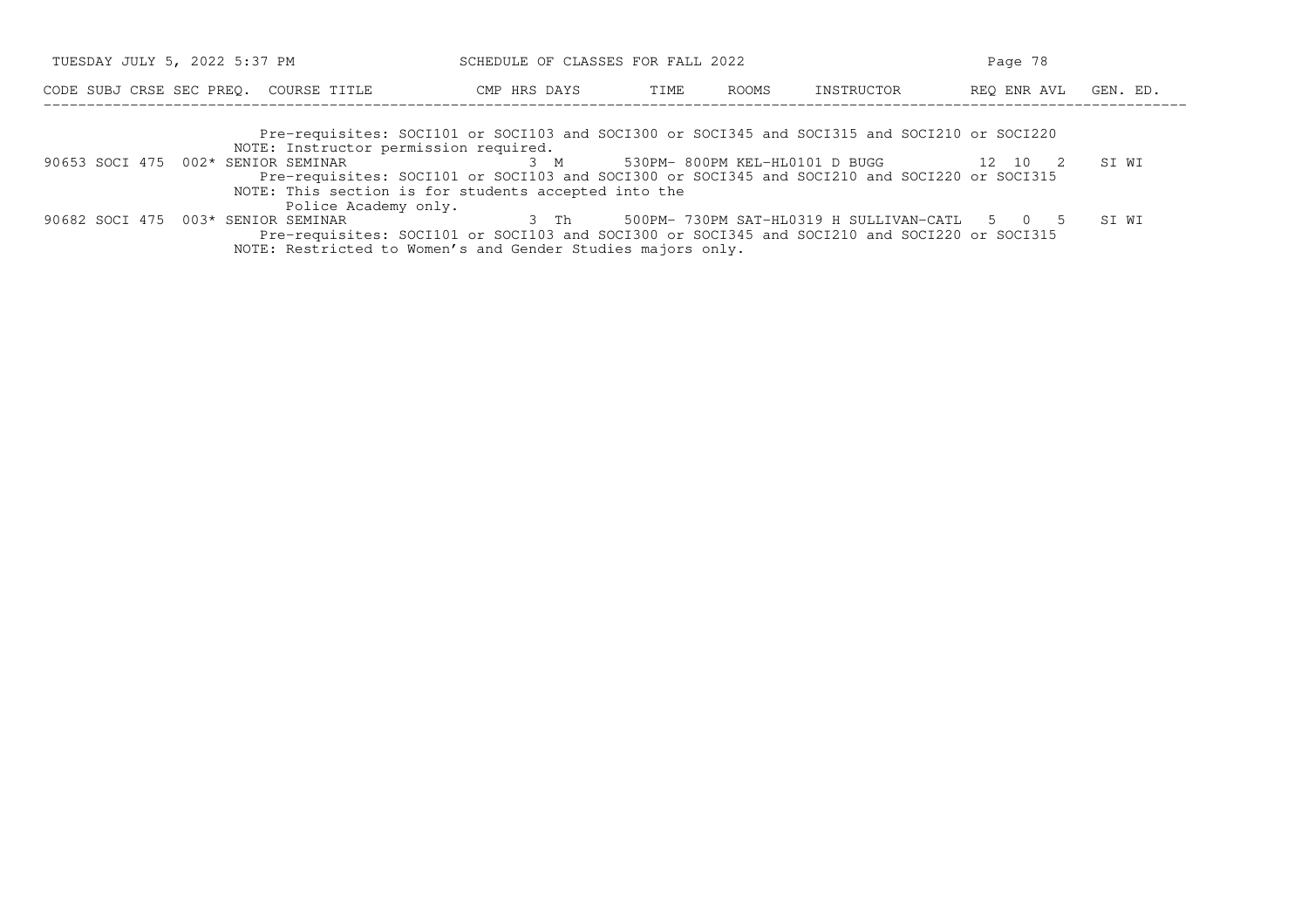| TUESDAY JULY 5, 2022 5:37 PM                                                                 | SCHEDULE OF CLASSES FOR FALL 2022 |                                | Page 78    |             |          |  |
|----------------------------------------------------------------------------------------------|-----------------------------------|--------------------------------|------------|-------------|----------|--|
| CODE SUBJ CRSE SEC PREO. COURSE TITLE                                                        | CMP HRS DAYS                      | ROOMS<br>TIME                  | INSTRUCTOR | REO ENR AVL | GEN. ED. |  |
| Pre-requisites: SOCI101 or SOCI103 and SOCI300 or SOCI345 and SOCI315 and SOCI210 or SOCI220 |                                   |                                |            |             |          |  |
| NOTE: Instructor permission required.                                                        |                                   |                                |            |             |          |  |
| 90653 SOCI 475 002* SENIOR SEMINAR                                                           | 3 M                               | 530PM- 800PM KEL-HL0101 D BUGG |            | 12 10 2     | ST WT    |  |
| Pre-requisites: SOCI101 or SOCI103 and SOCI300 or SOCI345 and SOCI210 and SOCI220 or SOCI315 |                                   |                                |            |             |          |  |

NOTE: This section is for students accepted into the

Police Academy only.<br>90682 SOCI 475 003\* SENIOR SEMINAR 3 Th 500PM- 730PM SAT-HL0319 H SULLIVAN-CATL 5 0 5 SI WI Pre−requisites: SOCI101 or SOCI103 and SOCI300 or SOCI345 and SOCI210 and SOCI220 or SOCI315NOTE: Restricted to Women's and Gender Studies majors only.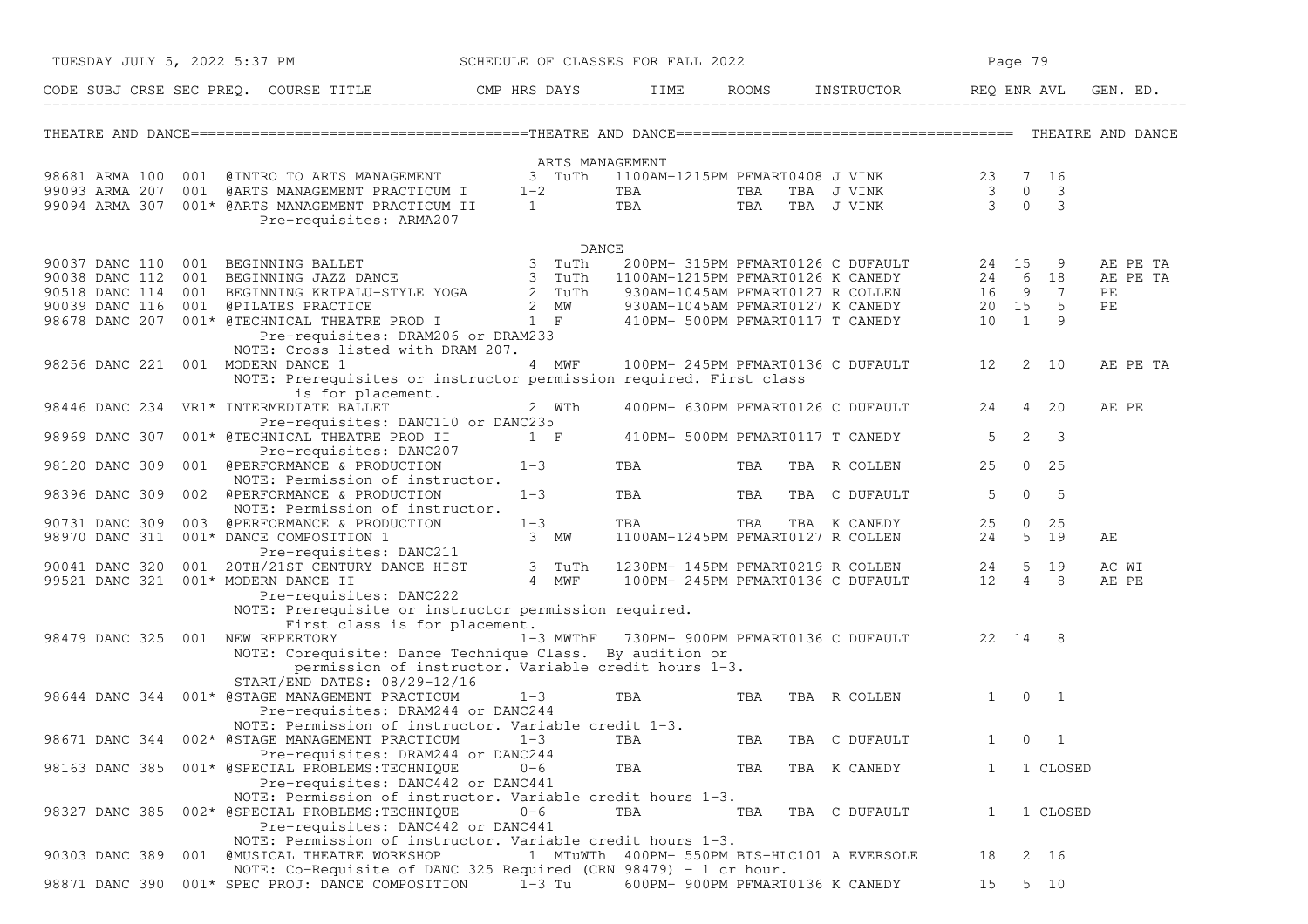|                | TUESDAY JULY 5, 2022 5:37 PM            |                                                                                                                                                                                                                                                                 | SCHEDULE OF CLASSES FOR FALL 2022 |            |     |                                                                                                                                 | Page 79      |                        |          |
|----------------|-----------------------------------------|-----------------------------------------------------------------------------------------------------------------------------------------------------------------------------------------------------------------------------------------------------------------|-----------------------------------|------------|-----|---------------------------------------------------------------------------------------------------------------------------------|--------------|------------------------|----------|
|                |                                         | CODE SUBJ CRSE SEC PREQ. COURSE TITLE THE CMP HRS DAYS                                                                                                                                                                                                          |                                   | TIME       |     | ROOMS INSTRUCTOR                                                                                                                | REQ ENR AVL  |                        | GEN. ED. |
|                |                                         |                                                                                                                                                                                                                                                                 |                                   |            |     |                                                                                                                                 |              |                        |          |
|                |                                         |                                                                                                                                                                                                                                                                 | ARTS MANAGEMENT                   |            |     |                                                                                                                                 |              |                        |          |
|                |                                         |                                                                                                                                                                                                                                                                 |                                   |            |     |                                                                                                                                 |              |                        |          |
|                |                                         |                                                                                                                                                                                                                                                                 |                                   |            |     |                                                                                                                                 |              |                        |          |
|                |                                         | 98681 ARMA 100 001 @INTRO TO ARTS MANAGEMENT 3 TuTh 1100AM-1215PM PFMART0408 J VINK 23 7 16<br>99093 ARMA 207 001 @ARTS MANAGEMENT PRACTICUM I 1-2 TBA TBA TBA J VINK 3 0 3<br>99094 ARMA 307 001* @ARTS MANAGEMENT PRACTICUM II 1 T<br>Pre-requisites: ARMA207 |                                   |            |     |                                                                                                                                 |              |                        |          |
|                |                                         |                                                                                                                                                                                                                                                                 | DANCE                             |            |     |                                                                                                                                 |              |                        |          |
|                |                                         |                                                                                                                                                                                                                                                                 |                                   |            |     |                                                                                                                                 |              |                        | AE PE TA |
|                |                                         |                                                                                                                                                                                                                                                                 |                                   |            |     |                                                                                                                                 |              |                        | AE PE TA |
|                |                                         |                                                                                                                                                                                                                                                                 |                                   |            |     |                                                                                                                                 |              |                        | PE       |
|                |                                         |                                                                                                                                                                                                                                                                 |                                   |            |     |                                                                                                                                 |              |                        | PE       |
|                |                                         |                                                                                                                                                                                                                                                                 |                                   |            |     |                                                                                                                                 |              |                        |          |
|                |                                         | Pre-requisites: DRAM206 or DRAM233                                                                                                                                                                                                                              |                                   |            |     |                                                                                                                                 |              |                        |          |
|                |                                         | NOTE: Cross listed with DRAM 207.                                                                                                                                                                                                                               |                                   |            |     |                                                                                                                                 |              |                        |          |
|                | 98256 DANC 221 001 MODERN DANCE 1       |                                                                                                                                                                                                                                                                 | 4 MWF                             |            |     | 100PM-245PM PFMART0136 C DUFAULT 12                                                                                             |              | 2 10                   | AE PE TA |
|                |                                         | NOTE: Prerequisites or instructor permission required. First class                                                                                                                                                                                              |                                   |            |     |                                                                                                                                 |              |                        |          |
|                | 98446 DANC 234 VR1* INTERMEDIATE BALLET | is for placement.                                                                                                                                                                                                                                               | 2 WTh                             |            |     | 400PM- 630PM PFMART0126 C DUFAULT                                                                                               | 24           | 4 20                   | AE PE    |
|                |                                         | Pre-requisites: DANC110 or DANC235                                                                                                                                                                                                                              |                                   |            |     |                                                                                                                                 |              |                        |          |
| 98969 DANC 307 |                                         | 001* @TECHNICAL THEATRE PROD II                                                                                                                                                                                                                                 | $1 \tF$                           |            |     | 410PM- 500PM PFMART0117 T CANEDY                                                                                                | $5 -$        | $2 \quad 3$            |          |
|                |                                         | Pre-requisites: DANC207                                                                                                                                                                                                                                         |                                   |            |     |                                                                                                                                 |              |                        |          |
| 98120 DANC 309 |                                         | 001 @PERFORMANCE & PRODUCTION                                                                                                                                                                                                                                   | $1 - 3$                           | <b>TBA</b> | TBA | TBA R COLLEN                                                                                                                    | 25           | $0\quad 25$            |          |
|                |                                         | NOTE: Permission of instructor.                                                                                                                                                                                                                                 |                                   |            |     |                                                                                                                                 |              |                        |          |
| 98396 DANC 309 |                                         | 002 @PERFORMANCE & PRODUCTION                                                                                                                                                                                                                                   | $1 - 3$                           | TBA        | TBA | TBA C DUFAULT                                                                                                                   | 5            | $\overline{0}$<br>$-5$ |          |
|                |                                         | NOTE: Permission of instructor.                                                                                                                                                                                                                                 |                                   |            |     |                                                                                                                                 |              |                        |          |
| 90731 DANC 309 |                                         | 003 @PERFORMANCE & PRODUCTION                                                                                                                                                                                                                                   | $1 - 3$                           |            |     | TBA TBA TBA K CANEDY<br>1100AM-1245PM PFMART0127 R COLLEN                                                                       | 25           | $0\quad 25$            |          |
| 98970 DANC 311 | 001* DANCE COMPOSITION 1                | CE COMPOSITION 1 3 MW<br>Pre-requisites: DANC211 3 MW<br>1/0197 2000                                                                                                                                                                                            |                                   |            |     |                                                                                                                                 | 24           | $5$ 19                 | AЕ       |
|                |                                         |                                                                                                                                                                                                                                                                 |                                   |            |     |                                                                                                                                 |              |                        |          |
| 90041 DANC 320 |                                         | 001 20TH/21ST CENTURY DANCE HIST 3 TuTh<br>001* MODERN DANCE II 4 MWF                                                                                                                                                                                           |                                   |            |     | 1230PM- 145PM PFMART0219 R COLLEN 24 5 19<br>100PM- 245PM PFMART0136 C DUFAULT 12 4 8<br>4 MWF 100PM-245PM PFMART0136 C DUFAULT |              |                        | AC WI    |
|                | 99521 DANC 321 001* MODERN DANCE II     | Pre-requisites: DANC222                                                                                                                                                                                                                                         |                                   |            |     |                                                                                                                                 |              |                        | AE PE    |
|                |                                         | NOTE: Prerequisite or instructor permission required.                                                                                                                                                                                                           |                                   |            |     |                                                                                                                                 |              |                        |          |
|                |                                         | First class is for placement.                                                                                                                                                                                                                                   |                                   |            |     |                                                                                                                                 |              |                        |          |
| 98479 DANC 325 | 001 NEW REPERTORY                       |                                                                                                                                                                                                                                                                 | 1-3 MWThF                         |            |     | 730PM- 900PM PFMART0136 C DUFAULT 22 14 8                                                                                       |              |                        |          |
|                |                                         | NOTE: Corequisite: Dance Technique Class. By audition or                                                                                                                                                                                                        |                                   |            |     |                                                                                                                                 |              |                        |          |
|                |                                         | permission of instructor. Variable credit hours 1-3.                                                                                                                                                                                                            |                                   |            |     |                                                                                                                                 |              |                        |          |
|                |                                         | START/END DATES: 08/29-12/16                                                                                                                                                                                                                                    |                                   |            |     |                                                                                                                                 |              |                        |          |
|                |                                         | 98644 DANC 344 001* @STAGE MANAGEMENT PRACTICUM                                                                                                                                                                                                                 | $1 - 3$                           | TBA        | TBA | TBA R COLLEN                                                                                                                    |              | $1 \t 0 \t 1$          |          |
|                |                                         | Pre-requisites: DRAM244 or DANC244                                                                                                                                                                                                                              |                                   |            |     |                                                                                                                                 |              |                        |          |
|                |                                         | NOTE: Permission of instructor. Variable credit 1-3.                                                                                                                                                                                                            |                                   |            |     |                                                                                                                                 |              |                        |          |
|                |                                         | 98671 DANC 344 002* @STAGE MANAGEMENT PRACTICUM                                                                                                                                                                                                                 | $1 - 3$                           | TBA        | TBA | TBA C DUFAULT                                                                                                                   | 1            | $\circ$<br>1           |          |
|                |                                         | Pre-requisites: DRAM244 or DANC244<br>98163 DANC 385 001* @SPECIAL PROBLEMS:TECHNIQUE                                                                                                                                                                           | $0 - 6$                           |            |     |                                                                                                                                 | $\mathbf{1}$ |                        |          |
|                |                                         | Pre-requisites: DANC442 or DANC441                                                                                                                                                                                                                              |                                   | TBA        | TBA | TBA K CANEDY                                                                                                                    |              | 1 CLOSED               |          |
|                |                                         | NOTE: Permission of instructor. Variable credit hours 1-3.                                                                                                                                                                                                      |                                   |            |     |                                                                                                                                 |              |                        |          |
|                |                                         | 98327 DANC 385 002* @SPECIAL PROBLEMS:TECHNIQUE                                                                                                                                                                                                                 | $0 - 6$                           | TBA        | TBA | TBA C DUFAULT                                                                                                                   | 1            | 1 CLOSED               |          |
|                |                                         | Pre-requisites: DANC442 or DANC441                                                                                                                                                                                                                              |                                   |            |     |                                                                                                                                 |              |                        |          |
|                |                                         | NOTE: Permission of instructor. Variable credit hours 1-3.                                                                                                                                                                                                      |                                   |            |     |                                                                                                                                 |              |                        |          |
| 90303 DANC 389 |                                         | 001 @MUSICAL THEATRE WORKSHOP                                                                                                                                                                                                                                   |                                   |            |     | 1 MTuWTh 400PM- 550PM BIS-HLC101 A EVERSOLE                                                                                     | 18           | 2 16                   |          |
|                |                                         | NOTE: Co-Requisite of DANC 325 Required (CRN 98479) - 1 cr hour.                                                                                                                                                                                                |                                   |            |     |                                                                                                                                 |              |                        |          |
| 98871 DANC 390 |                                         | 001* SPEC PROJ: DANCE COMPOSITION                                                                                                                                                                                                                               | 1-3 Tu                            |            |     | 600PM- 900PM PFMART0136 K CANEDY                                                                                                | 15           | 5 10                   |          |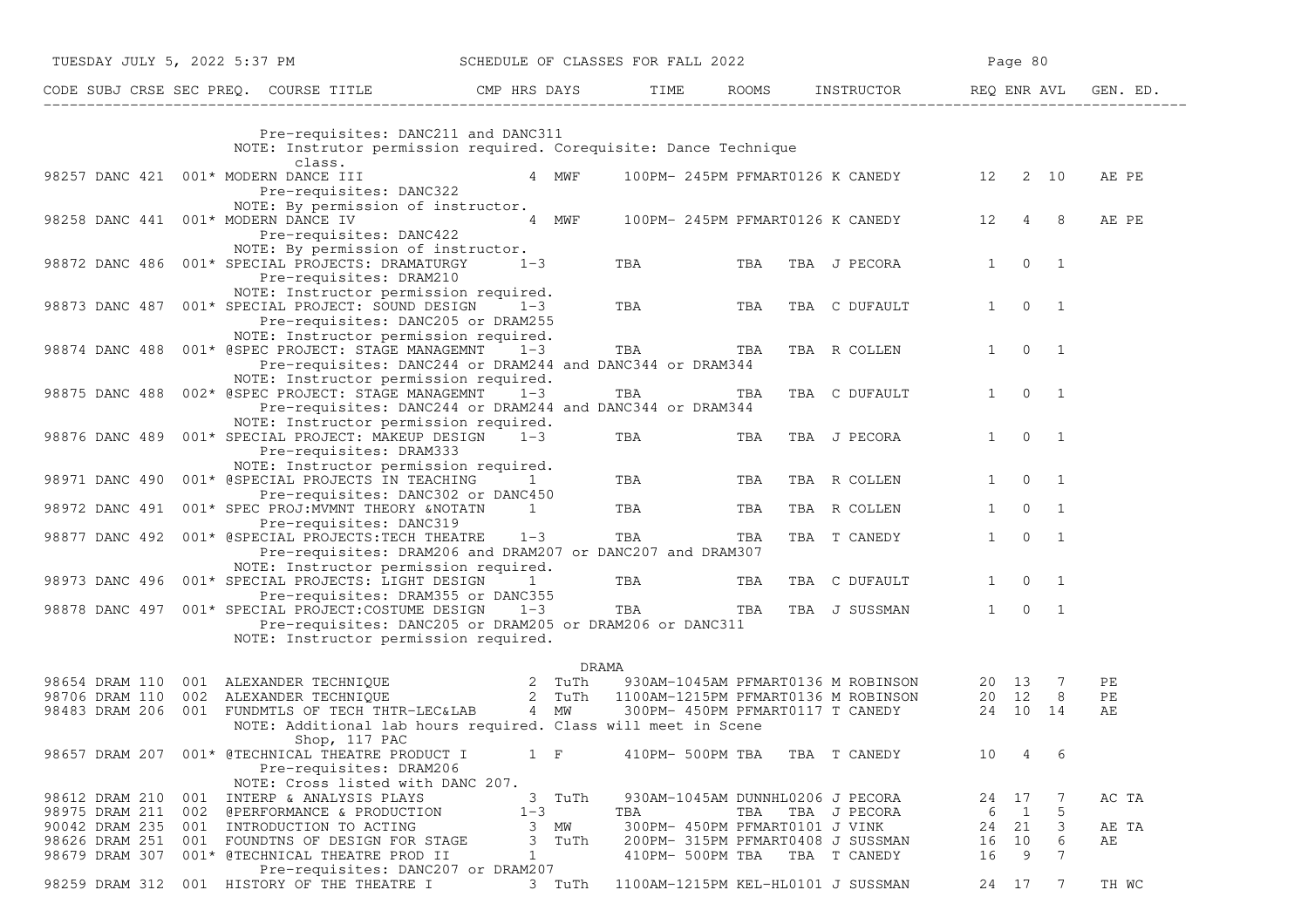|                                                    |            | TUESDAY JULY 5, 2022 5:37 PM                                                                                                                                                                                                                                                                                                                              | SCHEDULE OF CLASSES FOR FALL 2022 |                |               |                  |                                         |                                                   |                | Page 80       |             |                |
|----------------------------------------------------|------------|-----------------------------------------------------------------------------------------------------------------------------------------------------------------------------------------------------------------------------------------------------------------------------------------------------------------------------------------------------------|-----------------------------------|----------------|---------------|------------------|-----------------------------------------|---------------------------------------------------|----------------|---------------|-------------|----------------|
|                                                    |            | CODE SUBJ CRSE SEC PREQ. COURSE TITLE CMP HRS DAYS TIME ROOMS INSTRUCTOR REQ ENR AVL GEN. ED.                                                                                                                                                                                                                                                             |                                   |                |               |                  |                                         |                                                   |                |               |             |                |
|                                                    |            | Pre-requisites: DANC211 and DANC311<br>NOTE: Instrutor permission required. Corequisite: Dance Technique<br>class.                                                                                                                                                                                                                                        |                                   |                |               |                  |                                         |                                                   |                |               |             |                |
| 98257 DANC 421 001* MODERN DANCE III               |            | Pre-requisites: DANC322                                                                                                                                                                                                                                                                                                                                   |                                   |                |               |                  |                                         | 4 MWF 100PM-245PM PFMART0126 K CANEDY 12 2 10     |                |               |             | AE PE          |
| 98258 DANC 441 001* MODERN DANCE IV                |            | NOTE: By permission of instructor.<br>Pre-requisites: DANC422                                                                                                                                                                                                                                                                                             | 4 MWF                             |                |               |                  |                                         | 100PM-245PM PFMART0126 K CANEDY 12 4 8            |                |               |             | AE PE          |
|                                                    |            | NOTE: By permission of instructor.<br>98872 DANC 486 001* SPECIAL PROJECTS: DRAMATURGY<br>Pre-requisites: DRAM210                                                                                                                                                                                                                                         |                                   |                |               |                  |                                         | $1-3$ TBA TBA TBA JPECORA 1 0 1                   |                |               |             |                |
|                                                    |            | NOTE: Instructor permission required.<br>98873 DANC 487 001* SPECIAL PROJECT: SOUND DESIGN<br>Pre-requisites: DANC205 or DRAM255                                                                                                                                                                                                                          | $1 - 3$                           |                | TBA TBA       |                  |                                         | TBA C DUFAULT 1 0 1                               |                |               |             |                |
|                                                    |            | NOTE: Instructor permission required.<br>98874 DANC 488 001* @SPEC PROJECT: STAGE MANAGEMNT<br>Pre-requisites: DANC244 or DRAM244 and DANC344 or DRAM344                                                                                                                                                                                                  | $1 - 3$                           |                | TBA TBA       |                  |                                         | TBA R COLLEN 1 0 1                                |                |               |             |                |
|                                                    |            | NOTE: Instructor permission required.<br>98875 DANC 488 002* @SPEC PROJECT: STAGE MANAGEMNT 1-3<br>Pre-requisites: DANC244 or DRAM244 and DANC344 or DRAM344                                                                                                                                                                                              |                                   |                | TBA           |                  |                                         | TBA TBA C DUFAULT 1 0 1                           |                |               |             |                |
|                                                    |            | NOTE: Instructor permission required.<br>98876 DANC 489 001* SPECIAL PROJECT: MAKEUP DESIGN<br>Pre-requisites: DRAM333                                                                                                                                                                                                                                    | $1 - 3$                           |                | TBA TBA       |                  |                                         | TBA J PECORA 1 0 1                                |                |               |             |                |
|                                                    |            | NOTE: Instructor permission required.<br>98971 DANC 490 001* @SPECIAL PROJECTS IN TEACHING<br>Pre-requisites: DANC302 or DANC450                                                                                                                                                                                                                          | $\overline{1}$                    |                | TBA TBA       |                  |                                         | TBA R COLLEN 1 0 1                                |                |               |             |                |
|                                                    |            | 98972 DANC 491 001* SPEC PROJ: MVMNT THEORY &NOTATN<br>Pre-requisites: DANC319                                                                                                                                                                                                                                                                            |                                   |                | 1 TBA TBA TBA |                  |                                         | TBA R COLLEN 1 0 1                                |                |               |             |                |
|                                                    |            | 98877 DANC 492 001* @SPECIAL PROJECTS: TECH THEATRE 1-3 TBA TBA TBA<br>Pre-requisites: DRAM206 and DRAM207 or DANC207 and DRAM307                                                                                                                                                                                                                         |                                   |                |               |                  |                                         | TBA T CANEDY 1                                    |                | $0\quad 1$    |             |                |
|                                                    |            | NOTE: Instructor permission required.<br>98973 DANC 496 001* SPECIAL PROJECTS: LIGHT DESIGN                                                                                                                                                                                                                                                               | $\sim$ 1                          |                | TBA TBA       |                  |                                         | TBA C DUFAULT 1 0 1                               |                |               |             |                |
|                                                    |            | Pre-requisites: DRAM355 or DANC355<br>98878 DANC 497 001* SPECIAL PROJECT: COSTUME DESIGN 1-3 TBA TBA TBA TBA J SUSSMAN 1 0 1<br>Pre-requisites: DANC205 or DRAM205 or DRAM206 or DANC311<br>NOTE: Instructor permission required.                                                                                                                        |                                   |                |               |                  |                                         |                                                   |                |               |             |                |
|                                                    |            |                                                                                                                                                                                                                                                                                                                                                           |                                   |                | DRAMA         |                  |                                         |                                                   |                |               |             |                |
|                                                    |            | 98654 DRAM 110 001 ALEXANDER TECHNIQUE 2 TuTh 930AM-1045AM PFMART0136 M ROBINSON 20 13 7<br>98706 DRAM 110 002 ALEXANDER TECHNIQUE 2 TuTh 1100AM-1215PM PFMART0136 M ROBINSON 20 12 8<br>98483 DRAM 206 001 FUNDMTLS OF TECH THTR-LEC&LAB 4 MW 300PM- 450PM PFMART0117 T CANEDY 24 10 14<br>NOTE: Additional lab hours required. Class will meet in Scene |                                   |                |               |                  |                                         |                                                   |                |               |             | PЕ<br>PЕ<br>AЕ |
|                                                    |            | Shop, 117 PAC<br>98657 DRAM 207 001* @TECHNICAL THEATRE PRODUCT I<br>Pre-requisites: DRAM206<br>NOTE: Cross listed with DANC 207.                                                                                                                                                                                                                         |                                   | $1$ F          |               | 410PM- 500PM TBA |                                         | TBA T CANEDY                                      | 10             | 4             | 6           |                |
| 98612 DRAM 210<br>98975 DRAM 211                   | 001<br>002 | INTERP & ANALYSIS PLAYS<br>@PERFORMANCE & PRODUCTION                                                                                                                                                                                                                                                                                                      | $1 - 3$                           | 3 TuTh         | TBA           |                  | 930AM-1045AM DUNNHL0206 J PECORA<br>TBA | TBA J PECORA                                      | 24<br>6        | 17<br>1       | 7<br>5      | AC TA          |
| 90042 DRAM 235<br>98626 DRAM 251<br>98679 DRAM 307 | 001<br>001 | INTRODUCTION TO ACTING<br>FOUNDINS OF DESIGN FOR STAGE<br>001* @TECHNICAL THEATRE PROD II                                                                                                                                                                                                                                                                 | 1                                 | 3 MW<br>3 TuTh |               | 410PM- 500PM TBA | 300PM- 450PM PFMART0101 J VINK          | 200PM- 315PM PFMART0408 J SUSSMAN<br>TBA T CANEDY | 24<br>16<br>16 | 21<br>10<br>9 | 3<br>6<br>7 | AE TA<br>AЕ    |
|                                                    |            | Pre-requisites: DANC207 or DRAM207<br>98259 DRAM 312 001 HISTORY OF THE THEATRE I                                                                                                                                                                                                                                                                         |                                   | 3 TuTh         |               |                  |                                         | 1100AM-1215PM KEL-HL0101 J SUSSMAN                |                | 24 17         | -7          | TH WC          |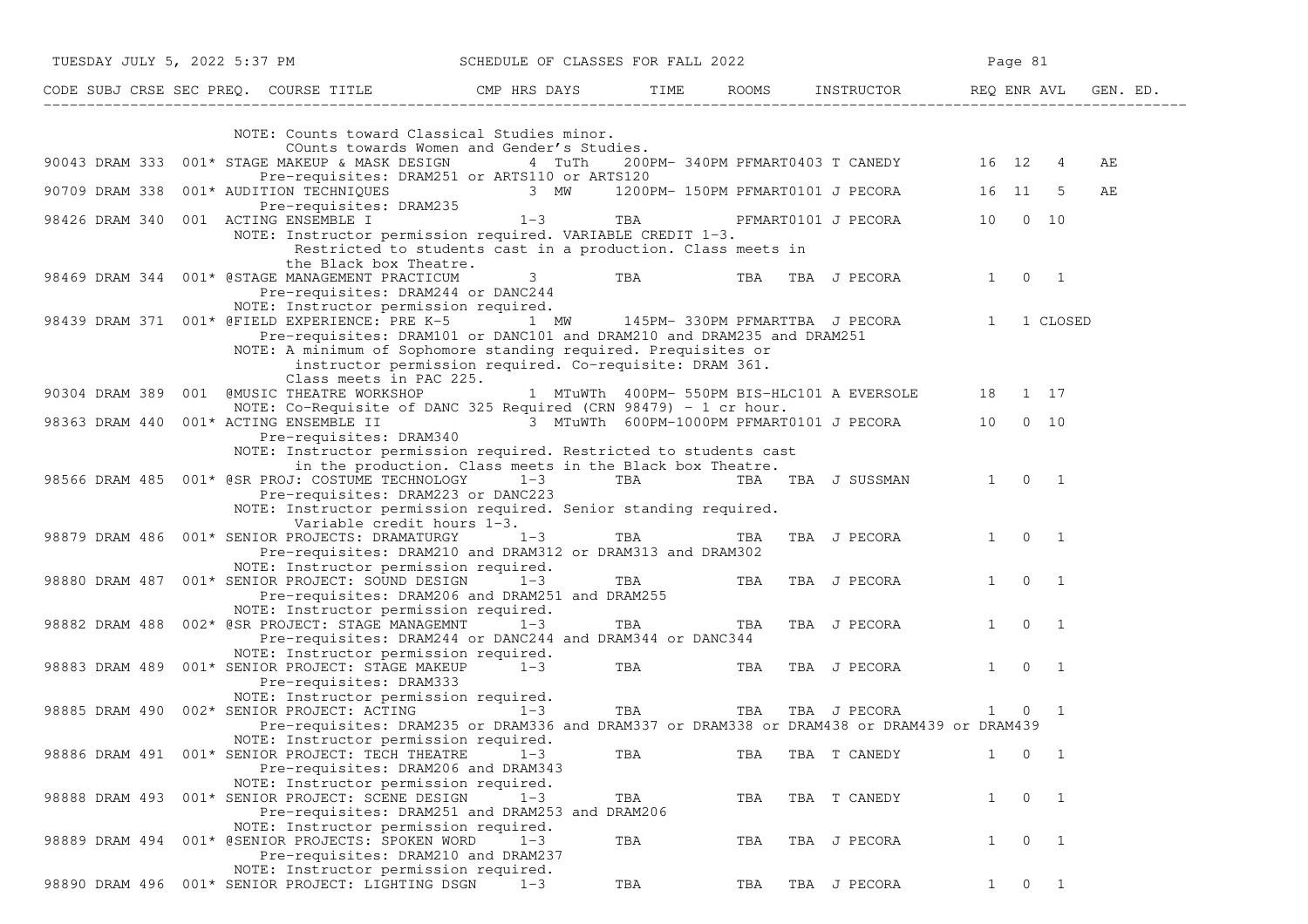|                                      | TUESDAY JULY 5, 2022 5:37 PM SCHEDULE OF CLASSES FOR FALL 2022                                                                         |           |         |                       |     |                                                     |              | Page 81             |                |    |  |
|--------------------------------------|----------------------------------------------------------------------------------------------------------------------------------------|-----------|---------|-----------------------|-----|-----------------------------------------------------|--------------|---------------------|----------------|----|--|
|                                      | CODE SUBJ CRSE SEC PREQ. COURSE TITLE THE COMP HRS DAYS TIME ROOMS INSTRUCTOR REQ ENR AVL GEN. ED.                                     |           |         |                       |     |                                                     |              |                     |                |    |  |
|                                      | NOTE: Counts toward Classical Studies minor.                                                                                           |           |         |                       |     |                                                     |              |                     |                |    |  |
|                                      | COunts towards Women and Gender's Studies.                                                                                             |           |         |                       |     |                                                     |              |                     |                |    |  |
|                                      | 90043 DRAM 333 001* STAGE MAKEUP & MASK DESIGN 4 TuTh                                                                                  |           |         |                       |     | 200PM-340PM PFMART0403 T CANEDY 16 12 4             |              |                     |                | АE |  |
|                                      | Pre-requisites: DRAM251 or ARTS110 or ARTS120                                                                                          |           |         |                       |     |                                                     |              |                     |                |    |  |
|                                      | 90709 DRAM 338 001* AUDITION TECHNIQUES 3 MW 1200PM-150PM PFMART0101 J PECORA 16 11 5                                                  |           |         |                       |     |                                                     |              |                     |                | АE |  |
|                                      | Pre-requisites: DRAM235                                                                                                                |           |         |                       |     |                                                     |              |                     |                |    |  |
| 98426 DRAM 340 001 ACTING ENSEMBLE I |                                                                                                                                        | $1-3$ TBA |         |                       |     | PFMART0101 J PECORA 10 0 10                         |              |                     |                |    |  |
|                                      | NOTE: Instructor permission required. VARIABLE CREDIT 1-3.                                                                             |           |         |                       |     |                                                     |              |                     |                |    |  |
|                                      | Restricted to students cast in a production. Class meets in                                                                            |           |         |                       |     |                                                     |              |                     |                |    |  |
|                                      | the Black box Theatre.                                                                                                                 |           |         |                       |     |                                                     |              |                     |                |    |  |
|                                      | 98469 DRAM 344 001* @STAGE MANAGEMENT PRACTICUM                                                                                        |           | 3 TBA   |                       |     | TBA TBA J PECORA                                    |              | 1 0 1               |                |    |  |
|                                      | Pre-requisites: DRAM244 or DANC244                                                                                                     |           |         |                       |     |                                                     |              |                     |                |    |  |
|                                      | NOTE: Instructor permission required.<br>98439 DRAM 371 001* @FIELD EXPERIENCE: PRE K-5 1 MW 145PM-330PM PFMARTTBA J PECORA 1 1 CLOSED |           |         |                       |     |                                                     |              |                     |                |    |  |
|                                      | Pre-requisites: DRAM101 or DANC101 and DRAM210 and DRAM235 and DRAM251                                                                 |           |         |                       |     |                                                     |              |                     |                |    |  |
|                                      | NOTE: A minimum of Sophomore standing required. Prequisites or                                                                         |           |         |                       |     |                                                     |              |                     |                |    |  |
|                                      | instructor permission required. Co-requisite: DRAM 361.                                                                                |           |         |                       |     |                                                     |              |                     |                |    |  |
|                                      | Class meets in PAC 225.                                                                                                                |           |         |                       |     |                                                     |              |                     |                |    |  |
|                                      | 90304 DRAM 389 001 @MUSIC THEATRE WORKSHOP                                                                                             |           |         |                       |     | 1 MTuWTh 400PM- 550PM BIS-HLC101 A EVERSOLE 18 1 17 |              |                     |                |    |  |
|                                      | NOTE: Co-Requisite of DANC 325 Required (CRN 98479) - 1 cr hour.                                                                       |           |         |                       |     |                                                     |              |                     |                |    |  |
|                                      | 98363 DRAM 440 001* ACTING ENSEMBLE II 3 MTuWTh 600PM-1000PM PFMART0101 J PECORA 10 0 10                                               |           |         |                       |     |                                                     |              |                     |                |    |  |
|                                      | Pre-requisites: DRAM340                                                                                                                |           |         |                       |     |                                                     |              |                     |                |    |  |
|                                      | NOTE: Instructor permission required. Restricted to students cast                                                                      |           |         |                       |     |                                                     |              |                     |                |    |  |
|                                      | in the production. Class meets in the Black box Theatre.                                                                               |           |         |                       |     |                                                     |              |                     |                |    |  |
|                                      | 98566 DRAM 485  001* @SR PROJ: COSTUME TECHNOLOGY  1-3                                                                                 |           |         |                       |     | TBA TBA TBA J SUSSMAN 1 0 1                         |              |                     |                |    |  |
|                                      | Pre-requisites: DRAM223 or DANC223                                                                                                     |           |         |                       |     |                                                     |              |                     |                |    |  |
|                                      | NOTE: Instructor permission required. Senior standing required.                                                                        |           |         |                       |     |                                                     |              |                     |                |    |  |
|                                      | Variable credit hours 1-3.                                                                                                             |           |         |                       |     |                                                     |              |                     |                |    |  |
|                                      | 98879 DRAM 486 001* SENIOR PROJECTS: DRAMATURGY                                                                                        |           | $1 - 3$ | TBA <b>Santa Card</b> | TBA | TBA J PECORA                                        |              | 1 0 1               |                |    |  |
|                                      | Pre-requisites: DRAM210 and DRAM312 or DRAM313 and DRAM302                                                                             |           |         |                       |     |                                                     |              |                     |                |    |  |
|                                      | NOTE: Instructor permission required.                                                                                                  |           |         |                       |     |                                                     |              |                     |                |    |  |
|                                      | 98880 DRAM 487 001* SENIOR PROJECT: SOUND DESIGN 1-3                                                                                   |           |         | TBA <b>TRANGER</b>    |     | TBA TBA J PECORA                                    |              | $1 \quad 0 \quad 1$ |                |    |  |
|                                      | Pre-requisites: DRAM206 and DRAM251 and DRAM255                                                                                        |           |         |                       |     |                                                     |              |                     |                |    |  |
|                                      | NOTE: Instructor permission required.                                                                                                  |           |         |                       |     |                                                     |              | $1 \quad 0 \quad 1$ |                |    |  |
|                                      | 98882 DRAM 488 002* @SR PROJECT: STAGE MANAGEMNT                                                                                       |           | $1 - 3$ | TBA                   | TBA | TBA J PECORA                                        |              |                     |                |    |  |
|                                      | Pre-requisites: DRAM244 or DANC244 and DRAM344 or DANC344<br>NOTE: Instructor permission required.                                     |           |         |                       |     |                                                     |              |                     |                |    |  |
|                                      | 98883 DRAM 489 001* SENIOR PROJECT: STAGE MAKEUP 1-3                                                                                   |           |         | TBA <b>TRANGER</b>    |     | TBA TBA J PECORA                                    |              | $1 \quad 0 \quad 1$ |                |    |  |
|                                      | Pre-requisites: DRAM333                                                                                                                |           |         |                       |     |                                                     |              |                     |                |    |  |
|                                      | NOTE: Instructor permission required.                                                                                                  |           |         |                       |     |                                                     |              |                     |                |    |  |
|                                      | 98885 DRAM 490 002* SENIOR PROJECT: ACTING                                                                                             | $1-3$     |         | <b>TBA</b>            |     | TBA TBA J PECORA                                    |              | 1 0                 | $\overline{1}$ |    |  |
|                                      | Pre-requisites: DRAM235 or DRAM336 and DRAM337 or DRAM338 or DRAM438 or DRAM439 or DRAM439                                             |           |         |                       |     |                                                     |              |                     |                |    |  |
|                                      | NOTE: Instructor permission required.                                                                                                  |           |         |                       |     |                                                     |              |                     |                |    |  |
|                                      | 98886 DRAM 491 001* SENIOR PROJECT: TECH THEATRE                                                                                       |           | $1 - 3$ | TBA                   | TBA | TBA T CANEDY                                        | $\mathbf{1}$ |                     | $0\qquad1$     |    |  |
|                                      | Pre-requisites: DRAM206 and DRAM343                                                                                                    |           |         |                       |     |                                                     |              |                     |                |    |  |
|                                      | NOTE: Instructor permission required.                                                                                                  |           |         |                       |     |                                                     |              |                     |                |    |  |
|                                      | 98888 DRAM 493 001* SENIOR PROJECT: SCENE DESIGN                                                                                       |           | $1 - 3$ | TBA                   | TBA | TBA T CANEDY                                        | $\mathbf{1}$ |                     | $0\qquad1$     |    |  |
|                                      | Pre-requisites: DRAM251 and DRAM253 and DRAM206                                                                                        |           |         |                       |     |                                                     |              |                     |                |    |  |
|                                      | NOTE: Instructor permission required.                                                                                                  |           |         |                       |     |                                                     |              |                     |                |    |  |
|                                      | 98889 DRAM 494 001* @SENIOR PROJECTS: SPOKEN WORD                                                                                      |           | $1 - 3$ | TBA                   | TBA | TBA J PECORA                                        | $\mathbf{1}$ | $\overline{0}$      | $\overline{1}$ |    |  |
|                                      | Pre-requisites: DRAM210 and DRAM237                                                                                                    |           |         |                       |     |                                                     |              |                     |                |    |  |
|                                      | NOTE: Instructor permission required.                                                                                                  |           |         |                       |     |                                                     |              |                     |                |    |  |
|                                      | 98890 DRAM 496 001* SENIOR PROJECT: LIGHTING DSGN                                                                                      |           | $1 - 3$ | TBA                   | TBA | TBA J PECORA                                        | $\mathbf{1}$ |                     | $0\qquad1$     |    |  |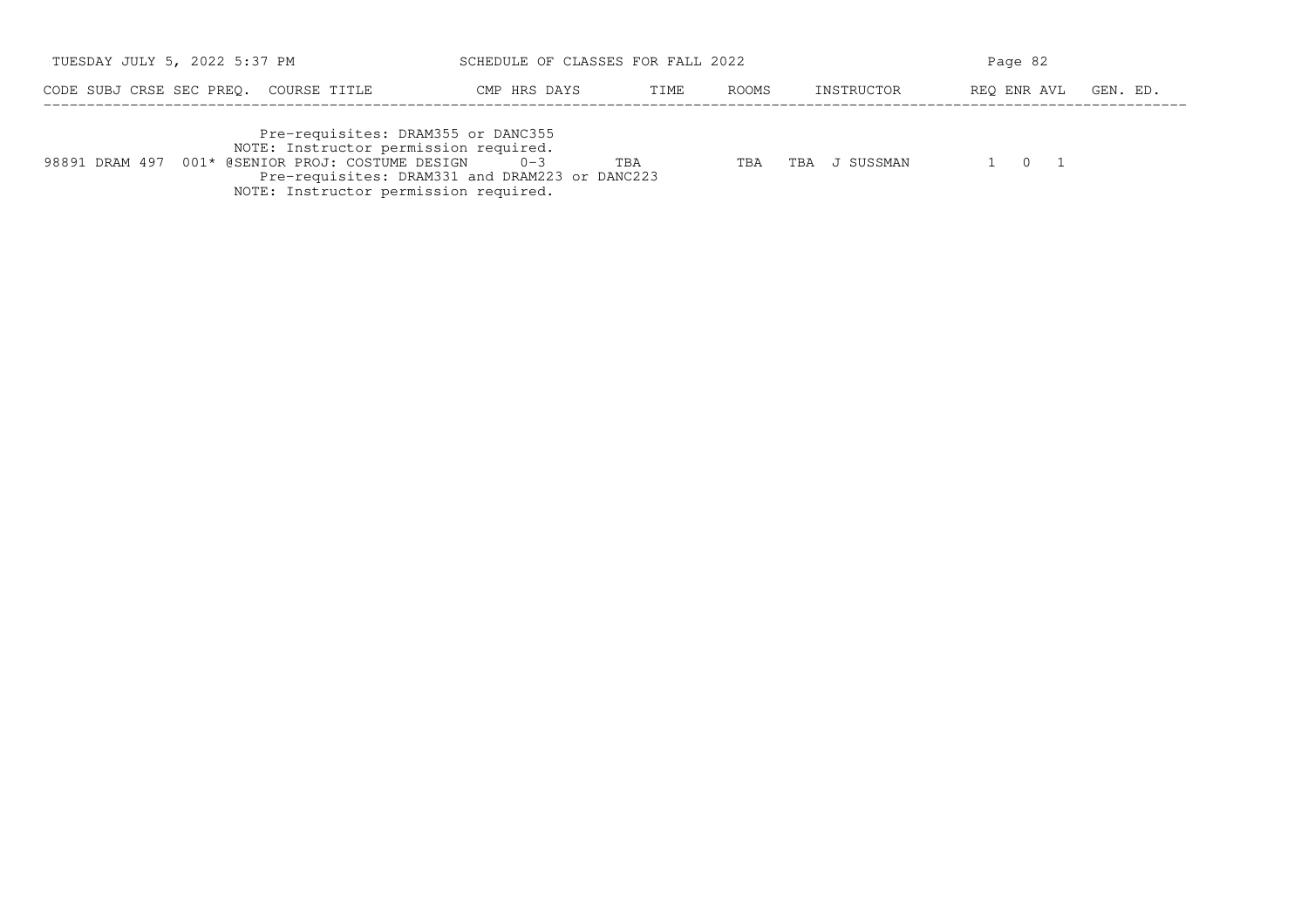| TUESDAY JULY 5, 2022 5:37 PM                                                                                                                                             | SCHEDULE OF CLASSES FOR FALL 2022                                |       | Page 82          |             |          |  |
|--------------------------------------------------------------------------------------------------------------------------------------------------------------------------|------------------------------------------------------------------|-------|------------------|-------------|----------|--|
| CODE SUBJ CRSE SEC PREO.<br>COURSE TITLE                                                                                                                                 | CMP HRS DAYS<br>TIME                                             | ROOMS | INSTRUCTOR       | REO ENR AVL | GEN. ED. |  |
| Pre-requisites: DRAM355 or DANC355<br>NOTE: Instructor permission required.<br>98891 DRAM 497 001* @SENIOR PROJ: COSTUME DESIGN<br>NOTE: Instructor permission required. | TBA<br>$0 - 3$<br>Pre-requisites: DRAM331 and DRAM223 or DANC223 | TBA   | J SUSSMAN<br>TBA | 1 0 1       |          |  |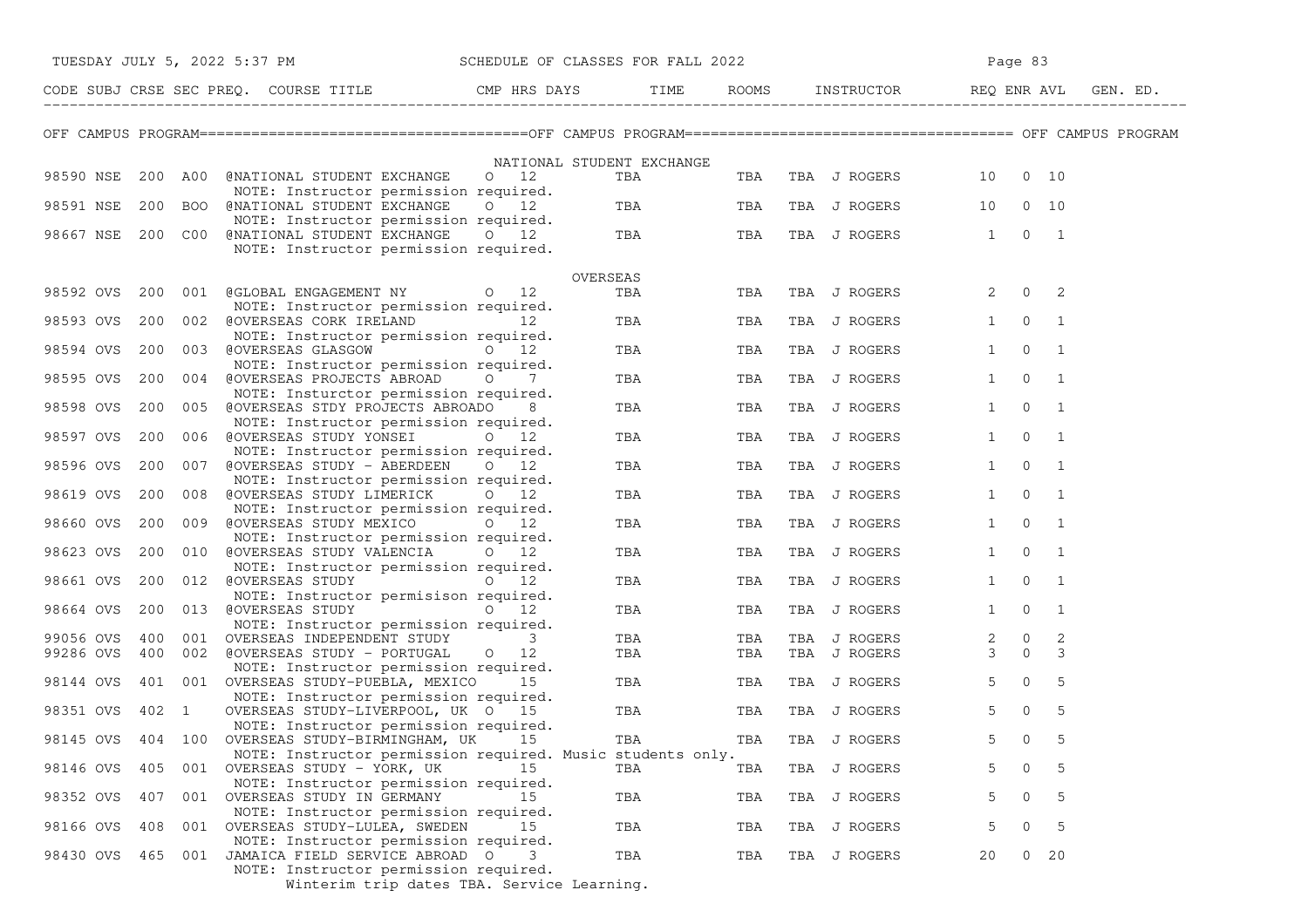| TUESDAY JULY 5, 2022 5:37 PM                                                                     | SCHEDULE OF CLASSES FOR FALL 2022                                |                           |                              | Page 83                                          |          |  |  |
|--------------------------------------------------------------------------------------------------|------------------------------------------------------------------|---------------------------|------------------------------|--------------------------------------------------|----------|--|--|
|                                                                                                  |                                                                  |                           | ROOMS INSTRUCTOR REQ ENR AVL |                                                  | GEN. ED. |  |  |
|                                                                                                  |                                                                  |                           |                              |                                                  |          |  |  |
| 98590 NSE<br>200 A00<br>@NATIONAL STUDENT EXCHANGE<br>NOTE: Instructor permission required.      | NATIONAL STUDENT EXCHANGE<br>$0\quad 12$                         | TBA<br>TBA                | TBA J ROGERS                 | 10 0 10                                          |          |  |  |
| 98591 NSE<br>200 BOO @NATIONAL STUDENT EXCHANGE 0 12<br>NOTE: Instructor permission required.    |                                                                  | TBA <b>TRANGER</b><br>TBA | TBA J ROGERS                 | 10<br>$0\quad 10$                                |          |  |  |
| 200 COO<br>98667 NSE<br>@NATIONAL STUDENT EXCHANGE 0 12<br>NOTE: Instructor permission required. |                                                                  | TBA<br>TBA                | TBA J ROGERS                 | $1 \quad 0 \quad 1$                              |          |  |  |
|                                                                                                  | OVERSEAS                                                         |                           |                              |                                                  |          |  |  |
| 98592 OVS<br>200 001 @GLOBAL ENGAGEMENT NY 0 12<br>NOTE: Instructor permission required.         |                                                                  | TBA<br>TBA                | TBA J ROGERS                 | $0\qquad 2$<br>$2^{\circ}$                       |          |  |  |
| 200<br>98593 OVS<br>NOTE: Instructor permission required.                                        |                                                                  | TBA<br>TBA                | TBA J ROGERS                 | $\overline{0}$<br>$\overline{1}$<br>$\mathbf{1}$ |          |  |  |
| 98594 OVS<br>200<br>003 @OVERSEAS GLASGOW 0 12                                                   |                                                                  | TBA<br>TBA                | TBA J ROGERS                 | $\overline{0}$<br>$\overline{1}$<br>1            |          |  |  |
| NOTE: Instructor permission required.<br>200<br>98595 OVS<br>004 @OVERSEAS PROJECTS ABROAD 0     | 7                                                                | TBA<br>TBA                | TBA J ROGERS                 | $\overline{0}$<br>$\overline{1}$<br>1            |          |  |  |
| NOTE: Insturctor permission required.<br>200<br>98598 OVS<br>005 @OVERSEAS STDY PROJECTS ABROADO | 8                                                                | TBA<br>TBA                | TBA J ROGERS                 | $\mathsf{O}$<br>$\overline{1}$<br>$\mathbf{1}$   |          |  |  |
| NOTE: Instructor permission required.<br>200 006 @OVERSEAS STUDY YONSEI<br>98597 OVS             | $\circ$ 0 12                                                     | TBA<br>TBA                | TBA J ROGERS                 | 1<br>$\overline{0}$<br>$\overline{1}$            |          |  |  |
| NOTE: Instructor permission required.<br>200<br>98596 OVS<br>007 @OVERSEAS STUDY - ABERDEEN 0 12 |                                                                  | TBA<br>TBA                | TBA J ROGERS                 | $\mathbf{0}$<br>$\overline{1}$<br>$\mathbf{1}$   |          |  |  |
| NOTE: Instructor permission required.<br>98619 OVS<br>200<br>008 @OVERSEAS STUDY LIMERICK        | $0\quad 12$                                                      | TBA<br>TBA                | TBA J ROGERS                 | $\overline{0}$<br>1<br>$\overline{1}$            |          |  |  |
| NOTE: Instructor permission required.<br>98660 OVS<br>200<br>009 @OVERSEAS STUDY MEXICO 0 12     |                                                                  | TBA<br>TBA                | TBA J ROGERS                 | 1<br>$\overline{0}$<br>$\overline{1}$            |          |  |  |
| NOTE: Instructor permission required.<br>98623 OVS<br>200<br>010 @OVERSEAS STUDY VALENCIA 0 12   |                                                                  | TBA<br>TBA                | TBA J ROGERS                 | $\overline{0}$<br>1<br>$\overline{1}$            |          |  |  |
| NOTE: Instructor permission required.<br>98661 OVS<br>200 012 @OVERSEAS STUDY 0 12               |                                                                  | TBA<br>TBA                | TBA J ROGERS                 | $\overline{0}$<br>1<br>$\overline{1}$            |          |  |  |
| NOTE: Instructor permisison required.<br>013 @OVERSEAS STUDY 0 12<br>98664 OVS<br>200            |                                                                  | TBA<br>TBA                | TBA J ROGERS                 | $\overline{0}$<br>$\overline{1}$<br>1            |          |  |  |
| NOTE: Instructor permission required.<br>400 001 OVERSEAS INDEPENDENT STUDY<br>99056 OVS         | 3                                                                | TBA<br>TBA                | TBA J ROGERS                 | 2<br>$2 \qquad 0$                                |          |  |  |
| 99286 OVS<br>400 002 @OVERSEAS STUDY - PORTUGAL<br>NOTE: Instructor permission required.         | $0\quad 12$                                                      | TBA<br>TBA                | TBA J ROGERS                 | $\Omega$<br>$\mathbf{3}$<br>$\mathbf{3}$         |          |  |  |
| 401 001 OVERSEAS STUDY-PUEBLA, MEXICO 15<br>98144 OVS<br>NOTE: Instructor permission required.   |                                                                  | TBA<br>TBA                | TBA J ROGERS                 | $5 -$<br>$\overline{0}$<br>5                     |          |  |  |
| 402 1<br>98351 OVS<br>OVERSEAS STUDY-LIVERPOOL, UK 0 15<br>NOTE: Instructor permission required. |                                                                  | TBA<br>TBA                | TBA J ROGERS                 | 5 <sup>5</sup><br>$\overline{0}$<br>5            |          |  |  |
| 98145 OVS 404 100 OVERSEAS STUDY-BIRMINGHAM, UK                                                  | 15                                                               | TBA<br>TBA                | TBA J ROGERS                 | 5<br>5<br>$\mathbf{0}$                           |          |  |  |
| OVERSEAS STUDY - YORK, UK<br>98146 OVS<br>405<br>001                                             | NOTE: Instructor permission required. Music students only.<br>15 | TBA<br>TBA                | TBA J ROGERS                 | 0<br>5                                           |          |  |  |
| NOTE: Instructor permission required.<br>407<br>001 OVERSEAS STUDY IN GERMANY<br>98352 OVS       | 15                                                               | TBA<br>TBA                | TBA J ROGERS                 | 0<br>5<br>5                                      |          |  |  |
| NOTE: Instructor permission required.<br>98166 OVS<br>408<br>001<br>OVERSEAS STUDY-LULEA, SWEDEN | 15                                                               | TBA<br>TBA                | TBA J ROGERS                 | 5<br>5<br>0                                      |          |  |  |
| NOTE: Instructor permission required.<br>001 JAMAICA FIELD SERVICE ABROAD O<br>98430 OVS<br>465  | 3                                                                | TBA<br>TBA                | TBA J ROGERS                 | $0\quad 20$<br>20                                |          |  |  |
| NOTE: Instructor permission required.                                                            | Winterim trip dates TBA. Service Learning.                       |                           |                              |                                                  |          |  |  |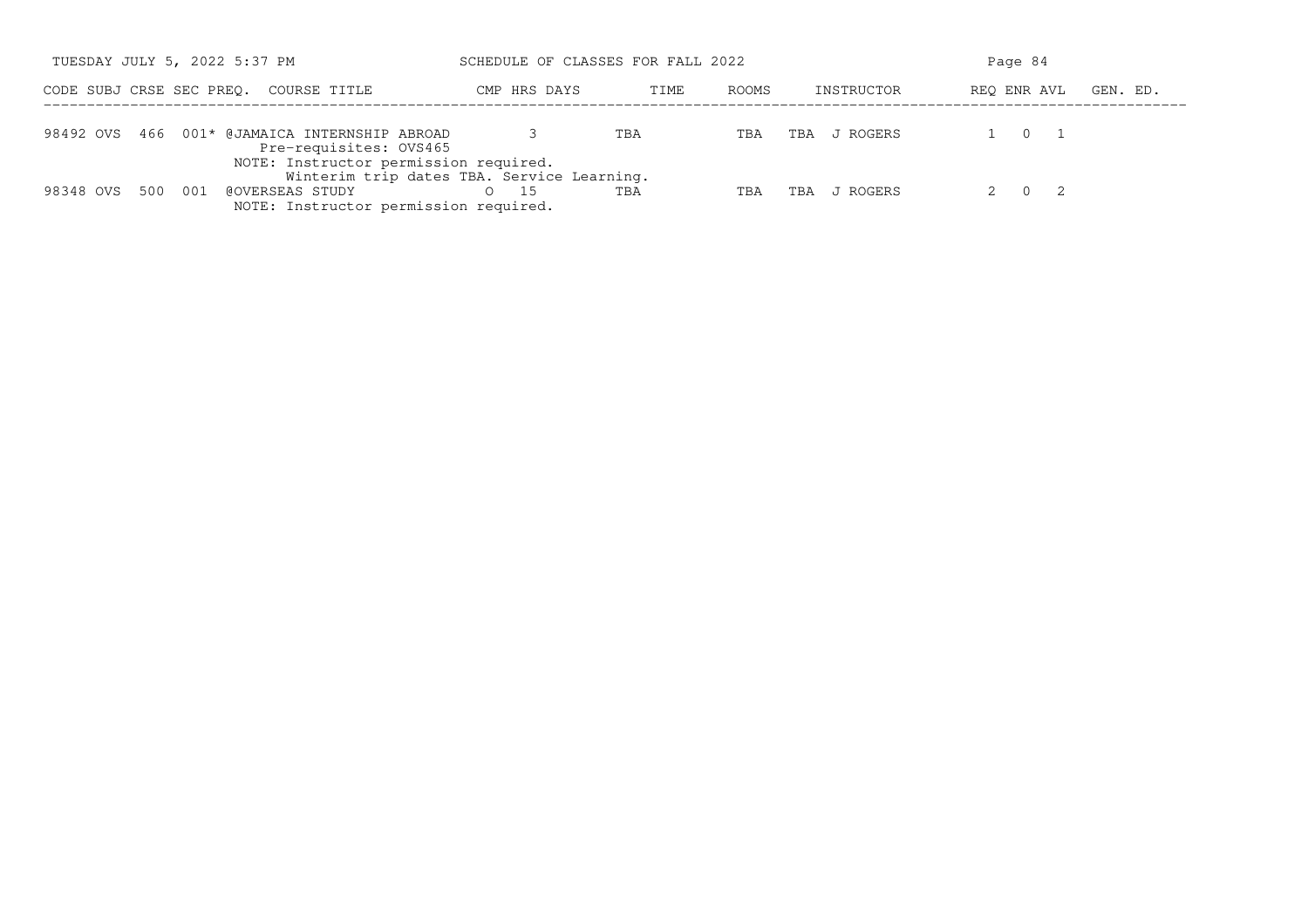| TUESDAY JULY 5, 2022 5:37 PM                                                                                                   | SCHEDULE OF CLASSES FOR FALL 2022                |               |                 | Page 84                 |
|--------------------------------------------------------------------------------------------------------------------------------|--------------------------------------------------|---------------|-----------------|-------------------------|
| CODE SUBJ CRSE SEC PREO.<br>COURSE TITLE                                                                                       | CMP HRS DAYS                                     | ROOMS<br>TIME | INSTRUCTOR      | REO ENR AVL<br>GEN. ED. |
| 98492 OVS 466 001* @JAMAICA INTERNSHIP ABROAD<br>Pre-requisites: OVS465                                                        |                                                  | TBA<br>TBA    | J ROGERS<br>TBA | $\Omega$                |
| NOTE: Instructor permission required.<br>500<br>98348 OVS<br>- 001<br>@OVERSEAS STUDY<br>NOTE: Instructor permission required. | Winterim trip dates TBA. Service Learning.<br>15 | TBA<br>TBA    | J ROGERS<br>TBA | - 2<br>$\Omega$         |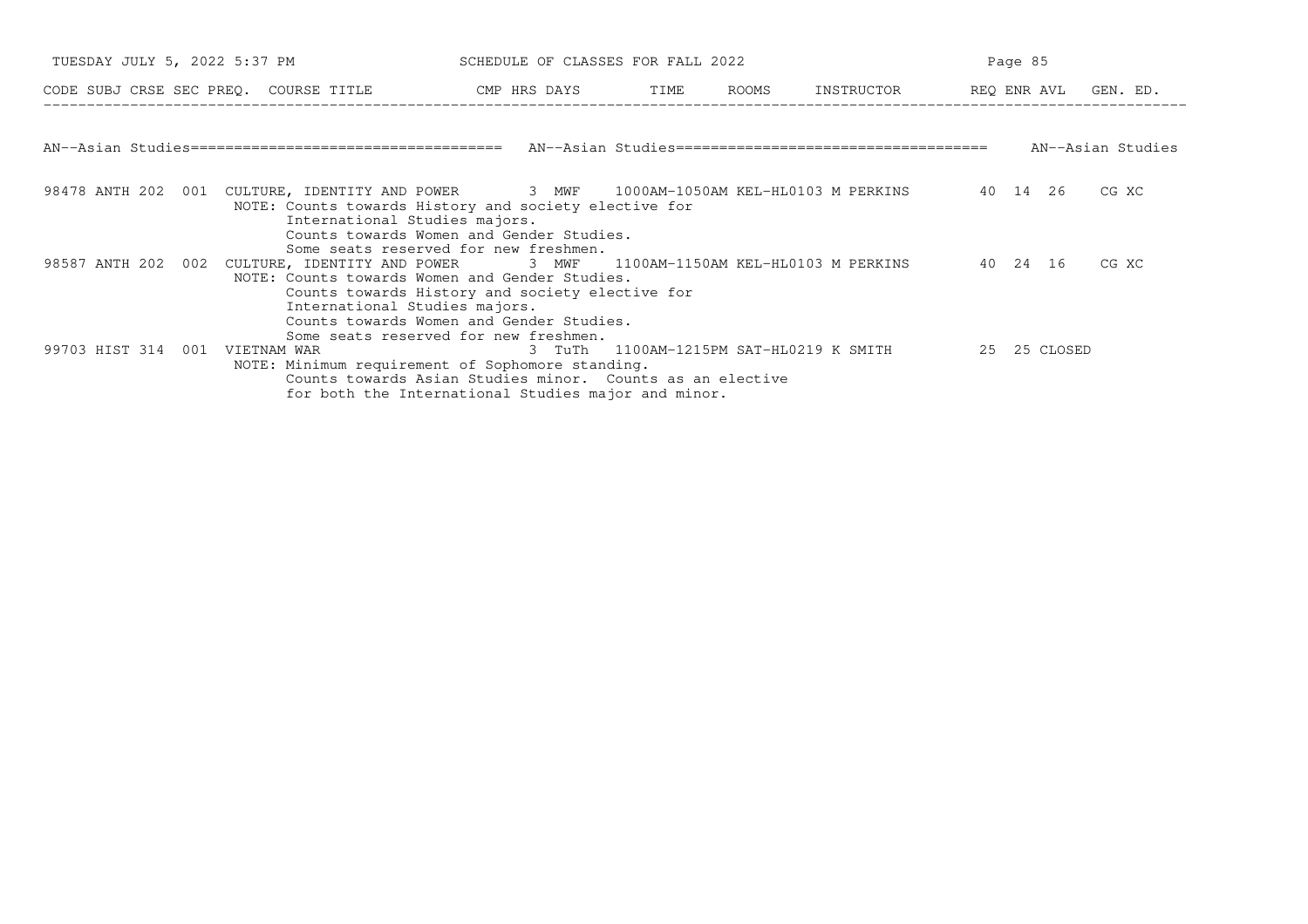| TUESDAY JULY 5, 2022 5:37 PM          |                                                                                                                                                                                                                                     | SCHEDULE OF CLASSES FOR FALL 2022                                                                                |  |                                         | Page 85      |                   |
|---------------------------------------|-------------------------------------------------------------------------------------------------------------------------------------------------------------------------------------------------------------------------------------|------------------------------------------------------------------------------------------------------------------|--|-----------------------------------------|--------------|-------------------|
| CODE SUBJ CRSE SEC PREQ. COURSE TITLE |                                                                                                                                                                                                                                     | CMP HRS DAYS TIME ROOMS                                                                                          |  | INSTRUCTOR REQ ENR AVL GEN. ED.         |              |                   |
|                                       |                                                                                                                                                                                                                                     |                                                                                                                  |  |                                         |              | AN--Asian Studies |
|                                       | 98478 ANTH 202 001 CULTURE, IDENTITY AND POWER 3 MWF 1000AM-1050AM KEL-HL0103 M PERKINS 40 14 26<br>NOTE: Counts towards History and society elective for<br>International Studies majors.<br>Some seats reserved for new freshmen. | Counts towards Women and Gender Studies.                                                                         |  |                                         |              | CG XC             |
| 98587 ANTH 202 002                    | CULTURE, IDENTITY AND POWER 3 MWF 1100AM-1150AM KEL-HL0103 M PERKINS<br>NOTE: Counts towards Women and Gender Studies.<br>International Studies majors.<br>Some seats reserved for new freshmen.                                    | Counts towards History and society elective for<br>Counts towards Women and Gender Studies.                      |  |                                         | 40 24 16     | CG XC             |
| 99703 HIST 314 001                    | VIETNAM WAR<br>NOTE: Minimum requirement of Sophomore standing.                                                                                                                                                                     | Counts towards Asian Studies minor. Counts as an elective<br>for both the International Studies major and minor. |  | 3 TuTh 1100AM-1215PM SAT-HL0219 K SMITH | 25 25 CLOSED |                   |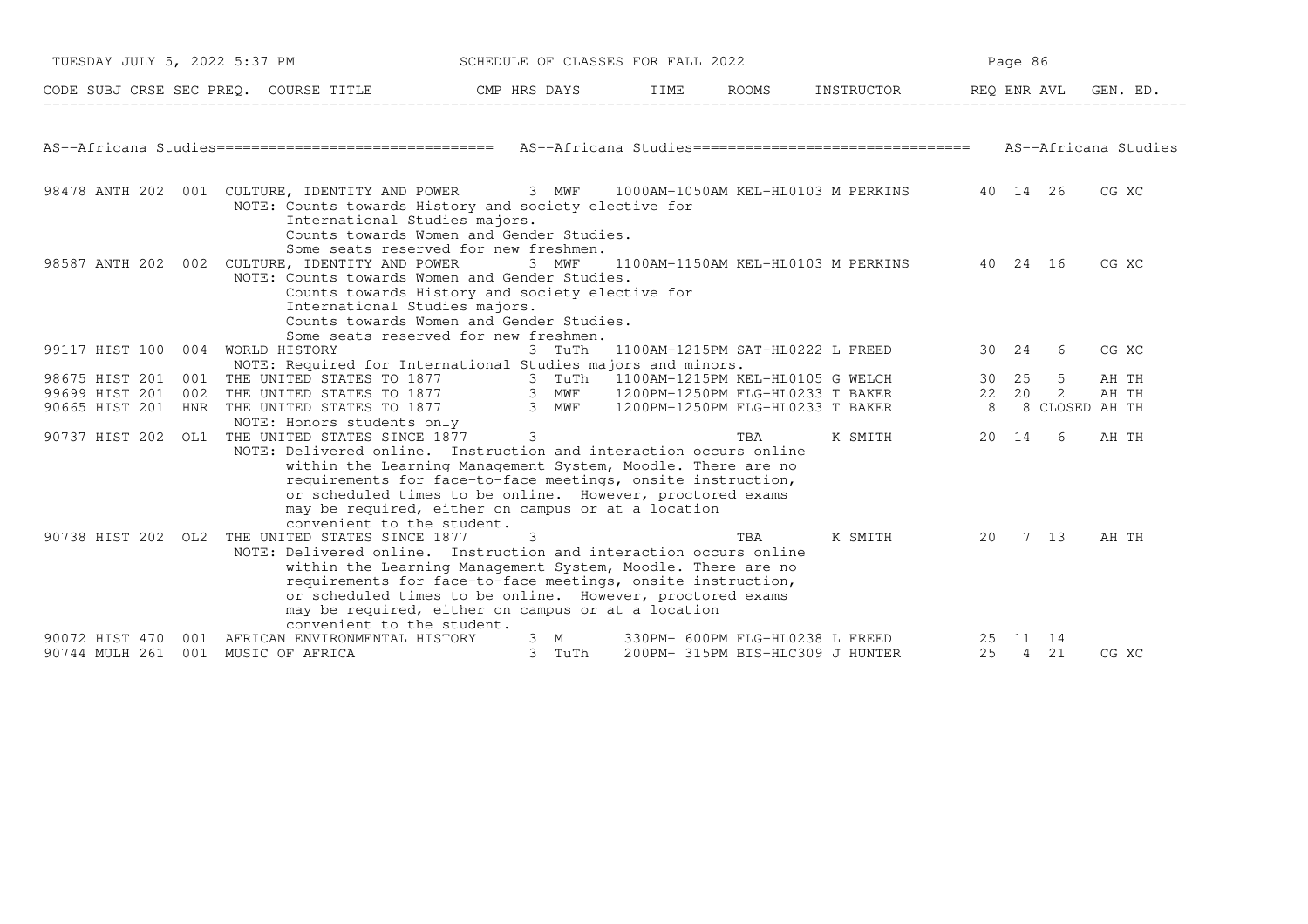| TUESDAY JULY 5, 2022 5:37 PM     |     |                                                                                                                                                                                                                                                                                                                                                                                  |               |        | SCHEDULE OF CLASSES FOR FALL 2022                                   |     |                  |                | Page 86                   |                |          |
|----------------------------------|-----|----------------------------------------------------------------------------------------------------------------------------------------------------------------------------------------------------------------------------------------------------------------------------------------------------------------------------------------------------------------------------------|---------------|--------|---------------------------------------------------------------------|-----|------------------|----------------|---------------------------|----------------|----------|
|                                  |     | CODE SUBJ CRSE SEC PREQ. COURSE TITLE THE CMP HRS DAYS                                                                                                                                                                                                                                                                                                                           |               |        | TIME                                                                |     | ROOMS INSTRUCTOR |                | REQ ENR AVL               |                | GEN. ED. |
|                                  |     | AS--Africana Studies================================== AS--Africana Studies=============================== AS--Africana Studies                                                                                                                                                                                                                                                  |               |        |                                                                     |     |                  |                |                           |                |          |
|                                  |     | 98478 ANTH 202 001 CULTURE, IDENTITY AND POWER 3 MWF 1000AM-1050AM KEL-HL0103 M PERKINS 40 14 26<br>NOTE: Counts towards History and society elective for<br>International Studies majors.<br>Counts towards Women and Gender Studies.                                                                                                                                           |               |        |                                                                     |     |                  |                |                           |                | CG XC    |
|                                  |     | Some seats reserved for new freshmen.<br>98587 ANTH 202 002 CULTURE, IDENTITY AND POWER<br>NOTE: Counts towards Women and Gender Studies.<br>Counts towards History and society elective for<br>International Studies majors.<br>Counts towards Women and Gender Studies.<br>Some seats reserved for new freshmen.                                                               |               | 3 MWF  | 1100AM-1150AM KEL-HL0103 M PERKINS 40 24 16                         |     |                  |                |                           |                | CG XC    |
| 99117 HIST 100 004               |     | WORLD HISTORY<br>NOTE: Required for International Studies majors and minors.                                                                                                                                                                                                                                                                                                     |               |        | 3 TuTh 1100AM-1215PM SAT-HL0222 L FREED                             |     |                  | 30 24          |                           | -6             | CG XC    |
| 98675 HIST 201                   | 001 |                                                                                                                                                                                                                                                                                                                                                                                  |               |        |                                                                     |     |                  | 30 25          |                           | 5              | AH TH    |
| 99699 HIST 201                   | 002 | THE UNITED STATES TO 1877                 3 TuTh <sup>1</sup> 1100AM-1215PM KEL-HL0105 G WELCH<br>THE UNITED STATES TO 1877               3 MWF     1200PM-1250PM FLG-HL0233 T BAKER                                                                                                                                                                                             |               |        |                                                                     |     |                  | 22 20          |                           | 2              | AH TH    |
| 90665 HIST 201                   | HNR | THE UNITED STATES TO 1877 3 MWF                                                                                                                                                                                                                                                                                                                                                  |               |        | 1200PM-1250PM FLG-HL0233 T BAKER                                    |     |                  | 8 <sup>8</sup> |                           | 8 CLOSED AH TH |          |
|                                  |     | NOTE: Honors students only                                                                                                                                                                                                                                                                                                                                                       |               |        |                                                                     |     |                  |                |                           |                |          |
|                                  |     | 90737 HIST 202 OL1 THE UNITED STATES SINCE 1877                                                                                                                                                                                                                                                                                                                                  | $\mathcal{E}$ |        |                                                                     | TBA | K SMITH          | 20 14          |                           | -6             | AH TH    |
|                                  |     | NOTE: Delivered online. Instruction and interaction occurs online<br>within the Learning Management System, Moodle. There are no<br>requirements for face-to-face meetings, onsite instruction,<br>or scheduled times to be online. However, proctored exams<br>may be required, either on campus or at a location<br>convenient to the student.                                 |               |        |                                                                     |     |                  |                |                           |                |          |
| 90738 HIST 202 OL2               |     | THE UNITED STATES SINCE 1877<br>NOTE: Delivered online. Instruction and interaction occurs online<br>within the Learning Management System, Moodle. There are no<br>requirements for face-to-face meetings, onsite instruction,<br>or scheduled times to be online. However, proctored exams<br>may be required, either on campus or at a location<br>convenient to the student. |               |        |                                                                     | TBA | K SMITH          |                | 20 7 13                   |                | AH TH    |
| 90072 HIST 470<br>90744 MULH 261 | 001 | AFRICAN ENVIRONMENTAL HISTORY<br>001 MUSIC OF AFRICA                                                                                                                                                                                                                                                                                                                             | 3 M           | 3 TuTh | 330PM- 600PM FLG-HL0238 L FREED<br>200PM- 315PM BIS-HLC309 J HUNTER |     |                  |                | 25 11<br>14<br>25 4<br>21 |                | CG XC    |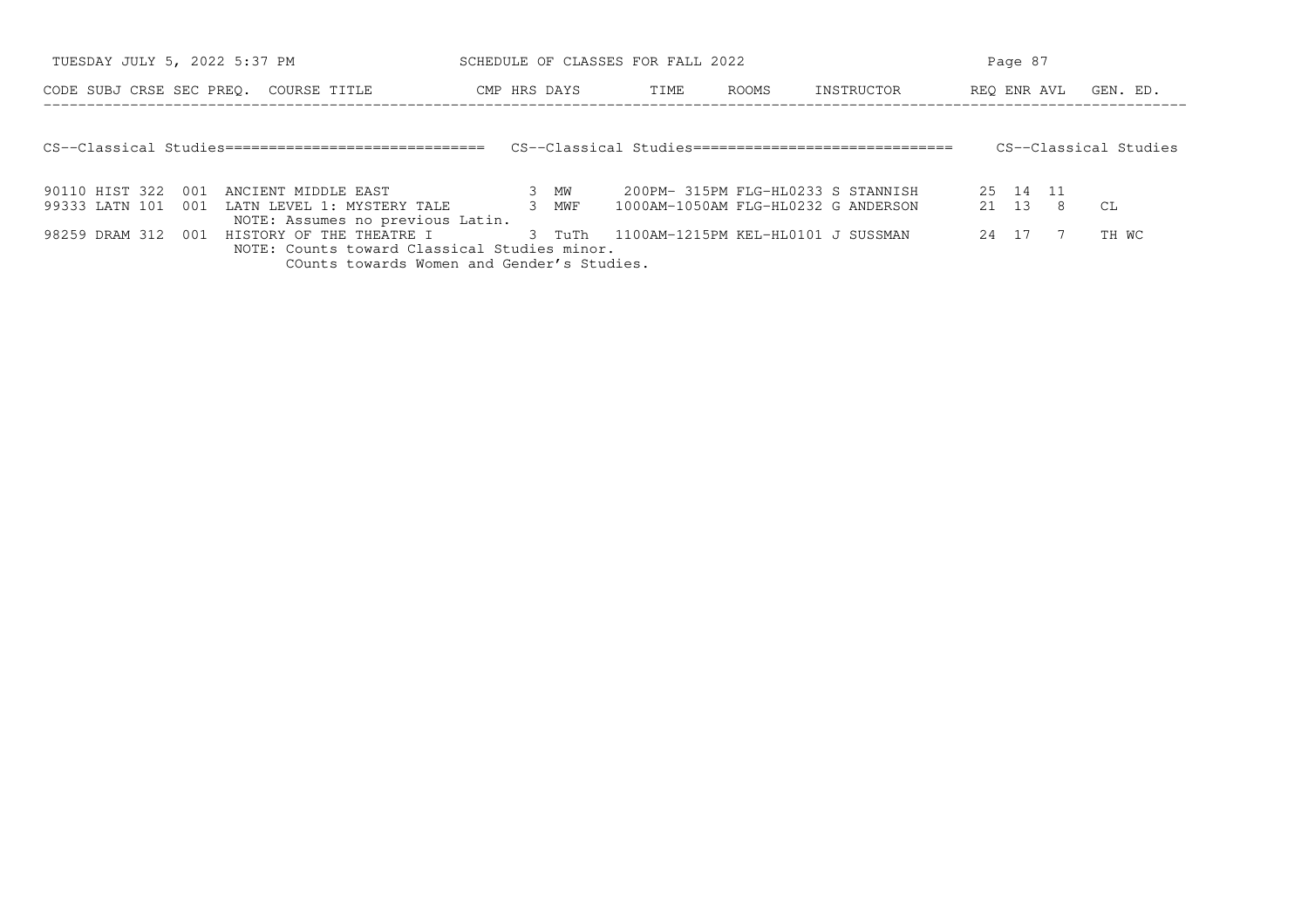| TUESDAY JULY 5, 2022 5:37 PM |     |                                                      |  |              | SCHEDULE OF CLASSES FOR FALL 2022   |              |                                                     |             | Page 87  |                       |
|------------------------------|-----|------------------------------------------------------|--|--------------|-------------------------------------|--------------|-----------------------------------------------------|-------------|----------|-----------------------|
|                              |     | CODE SUBJ CRSE SEC PREO. COURSE TITLE                |  | CMP HRS DAYS | TIME                                | <b>ROOMS</b> | INSTRUCTOR                                          | REO ENR AVL |          | GEN. ED.              |
|                              |     |                                                      |  |              |                                     |              |                                                     |             |          |                       |
|                              |     | CS--Classical Studies=============================== |  |              |                                     |              | CS--Classical Studies============================== |             |          | CS--Classical Studies |
|                              |     |                                                      |  |              |                                     |              |                                                     |             |          |                       |
| 90110 HIST 322               | 001 | ANCIENT MIDDLE EAST                                  |  | 3 MW         | 200PM- 315PM FLG-HL0233 S STANNISH  |              |                                                     |             | 25 14 11 |                       |
| 99333 LATN 101               | 001 | LATN LEVEL 1: MYSTERY TALE                           |  | 3 MWF        | 1000AM-1050AM FLG-HL0232 G ANDERSON |              |                                                     |             | 21 13 8  | CL.                   |
|                              |     | NOTE: Assumes no previous Latin.                     |  |              |                                     |              |                                                     |             |          |                       |
| 98259 DRAM 312               | 001 | HISTORY OF THE THEATRE I                             |  | 3 TuTh       | 1100AM-1215PM KEL-HL0101 J SUSSMAN  |              |                                                     | 24 17       |          | TH WC                 |
|                              |     | NOTE: Counts toward Classical Studies minor.         |  |              |                                     |              |                                                     |             |          |                       |
|                              |     | COunts towards Women and Gender's Studies.           |  |              |                                     |              |                                                     |             |          |                       |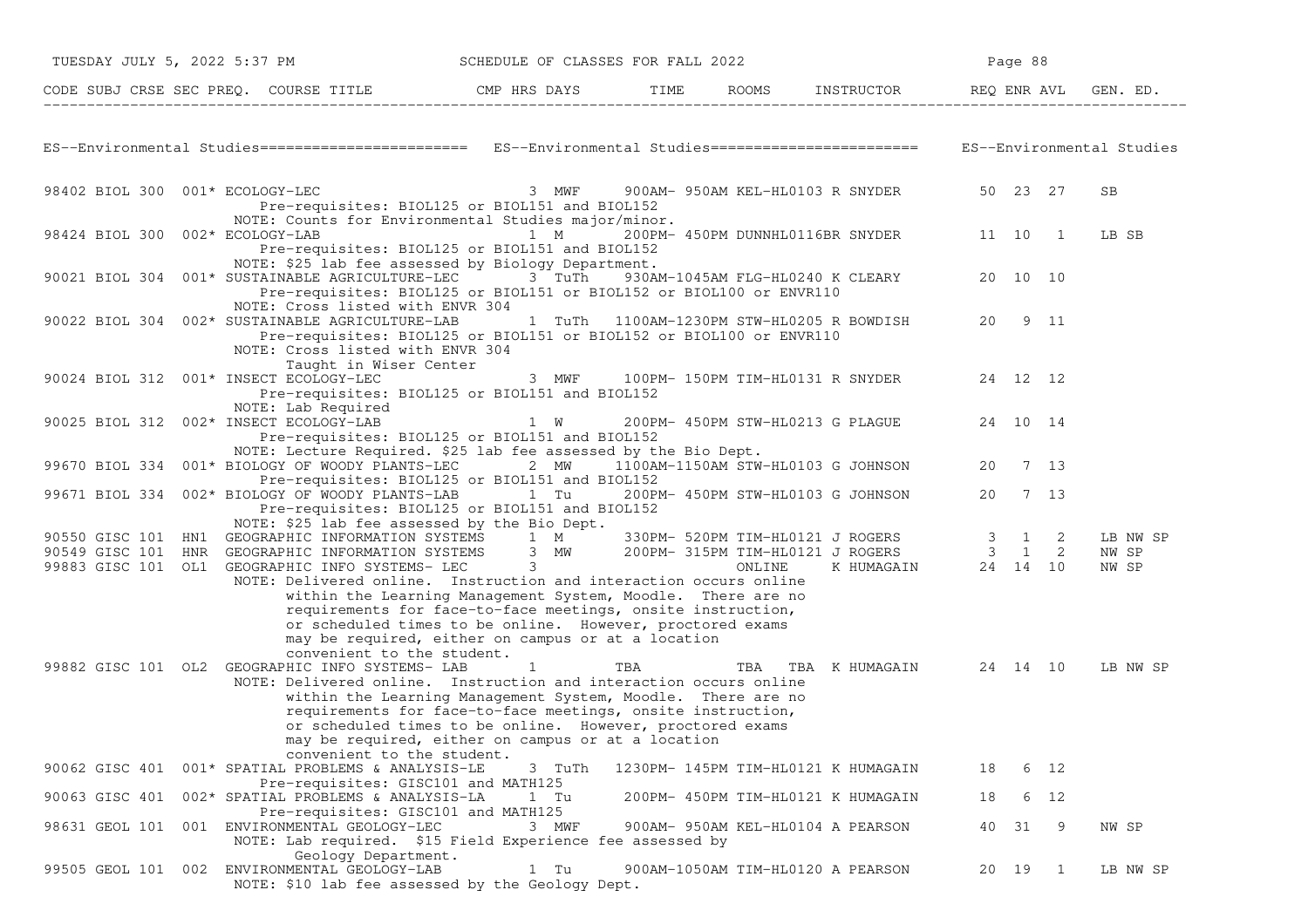| TUESDAY JULY 5, 2022 5:37 PM                                                                                                                                                                                                                                                                                                                                   | SCHEDULE OF CLASSES FOR FALL 2022                                                                                                                                                                                                                             |     |                                           |    | Page 88 |      |                |
|----------------------------------------------------------------------------------------------------------------------------------------------------------------------------------------------------------------------------------------------------------------------------------------------------------------------------------------------------------------|---------------------------------------------------------------------------------------------------------------------------------------------------------------------------------------------------------------------------------------------------------------|-----|-------------------------------------------|----|---------|------|----------------|
| CODE SUBJ CRSE SEC PREQ. COURSE TITLE THE CMP HRS DAYS TIME ROOMS INSTRUCTOR REQ ENR AVL GEN. ED.                                                                                                                                                                                                                                                              |                                                                                                                                                                                                                                                               |     |                                           |    |         |      |                |
| ES--Environmental Studies========================= ES--Environmental Studies======================== ES--Environmental Studies                                                                                                                                                                                                                                 |                                                                                                                                                                                                                                                               |     |                                           |    |         |      |                |
| 98402 BIOL 300 001* ECOLOGY-LEC<br>Pre-requisites: BIOL125 or BIOL151 and BIOL152<br>NOTE: Counts for Environmental Studies major/minor.                                                                                                                                                                                                                       | 3 MWF                                                                                                                                                                                                                                                         |     | 900AM- 950AM KEL-HL0103 R SNYDER 50 23 27 |    |         |      | <b>SB</b>      |
| 98424 BIOL 300 002* ECOLOGY-LAB<br>Pre-requisites: BIOL125 or BIOL151 and BIOL152<br>NOTE: \$25 lab fee assessed by Biology Department.                                                                                                                                                                                                                        | 1 M                                                                                                                                                                                                                                                           |     | 200PM- 450PM DUNNHL0116BR SNYDER 11 10 1  |    |         |      | LB SB          |
| 90021 BIOL 304 001* SUSTAINABLE AGRICULTURE-LEC 3 TuTh<br>Pre-requisites: BIOL125 or BIOL151 or BIOL152 or BIOL100 or ENVR110<br>NOTE: Cross listed with ENVR 304                                                                                                                                                                                              |                                                                                                                                                                                                                                                               |     | 930AM-1045AM FLG-HL0240 K CLEARY 20 10 10 |    |         |      |                |
| 90022 BIOL 304 002* SUSTAINABLE AGRICULTURE-LAB<br>Pre-requisites: BIOL125 or BIOL151 or BIOL152 or BIOL100 or ENVR110<br>NOTE: Cross listed with ENVR 304                                                                                                                                                                                                     |                                                                                                                                                                                                                                                               |     | 1 TuTh 1100AM-1230PM STW-HL0205 R BOWDISH |    | 20 9 11 |      |                |
| Taught in Wiser Center<br>90024 BIOL 312 001* INSECT ECOLOGY-LEC<br>Pre-requisites: BIOL125 or BIOL151 and BIOL152<br>NOTE: Lab Required                                                                                                                                                                                                                       | 3 MWF                                                                                                                                                                                                                                                         |     | 100PM- 150PM TIM-HL0131 R SNYDER 24 12 12 |    |         |      |                |
| 90025 BIOL 312 002* INSECT ECOLOGY-LAB<br>Pre-requisites: BIOL125 or BIOL151 and BIOL152<br>NOTE: Lecture Required. \$25 lab fee assessed by the Bio Dept.                                                                                                                                                                                                     | $1 \quad W$                                                                                                                                                                                                                                                   |     | 200PM- 450PM STW-HL0213 G PLAGUE 24 10 14 |    |         |      |                |
| 99670 BIOL 334 001* BIOLOGY OF WOODY PLANTS-LEC 2 MW 1100AM-1150AM STW-HL0103 G JOHNSON 20 7 13<br>Pre-requisites: BIOL125 or BIOL151 and BIOL152                                                                                                                                                                                                              |                                                                                                                                                                                                                                                               |     |                                           |    |         |      |                |
| 99671 BIOL 334 002* BIOLOGY OF WOODY PLANTS-LAB 1 Tu<br>Pre-requisites: BIOL125 or BIOL151 and BIOL152<br>NOTE: \$25 lab fee assessed by the Bio Dept.                                                                                                                                                                                                         |                                                                                                                                                                                                                                                               |     | 200PM- 450PM STW-HL0103 G JOHNSON         | 20 | 7 13    |      |                |
|                                                                                                                                                                                                                                                                                                                                                                |                                                                                                                                                                                                                                                               |     |                                           |    |         |      | LB NW SP       |
| 90550 GISC 101 HN1 GEOGRAPHIC INFORMATION SYSTEMS 1 M 330PM-520PM TIM-HL0121 JROGERS 3 1 2<br>90549 GISC 101 HNR GEOGRAPHIC INFORMATION SYSTEMS 3 MW 200PM-315PM TIM-HL0121 JROGERS 3 1 2<br>99883 GISC 101 OL1 GEOGRAPHIC INFO SYST<br>99883 GISC 101 OL1 GEOGRAPHIC INFO SYSTEMS- LEC 3<br>NOTE: Delivered online. Instruction and interaction occurs online | within the Learning Management System, Moodle. There are no<br>requirements for face-to-face meetings, onsite instruction,<br>or scheduled times to be online. However, proctored exams<br>may be required, either on campus or at a location                 |     |                                           |    |         |      | NW SP<br>NW SP |
| convenient to the student.<br>99882 GISC 101 OL2 GEOGRAPHIC INFO SYSTEMS- LAB<br>NOTE: Delivered online. Instruction and interaction occurs online                                                                                                                                                                                                             | $\mathbf{1}$<br>within the Learning Management System, Moodle. There are no<br>requirements for face-to-face meetings, onsite instruction,<br>or scheduled times to be online. However, proctored exams<br>may be required, either on campus or at a location | TBA | TBA TBA KHUMAGAIN 24 14 10                |    |         |      | LB NW SP       |
| convenient to the student.<br>90062 GISC 401 001* SPATIAL PROBLEMS & ANALYSIS-LE<br>Pre-requisites: GISC101 and MATH125                                                                                                                                                                                                                                        | 3 TuTh                                                                                                                                                                                                                                                        |     | 1230PM- 145PM TIM-HL0121 K HUMAGAIN       | 18 |         | 6 12 |                |
| 90063 GISC 401 002* SPATIAL PROBLEMS & ANALYSIS-LA<br>Pre-requisites: GISC101 and MATH125                                                                                                                                                                                                                                                                      | 1 Tu                                                                                                                                                                                                                                                          |     | 200PM- 450PM TIM-HL0121 K HUMAGAIN        | 18 |         | 6 12 |                |
| 98631 GEOL 101 001 ENVIRONMENTAL GEOLOGY-LEC<br>NOTE: Lab required. \$15 Field Experience fee assessed by<br>Geology Department.                                                                                                                                                                                                                               | 3 MWF                                                                                                                                                                                                                                                         |     | 900AM- 950AM KEL-HL0104 A PEARSON         |    | 40 31   | - 9  | NW SP          |
| 99505 GEOL 101 002 ENVIRONMENTAL GEOLOGY-LAB<br>NOTE: \$10 lab fee assessed by the Geology Dept.                                                                                                                                                                                                                                                               | 1 Tu                                                                                                                                                                                                                                                          |     | 900AM-1050AM TIM-HL0120 A PEARSON         |    | 20 19 1 |      | LB NW SP       |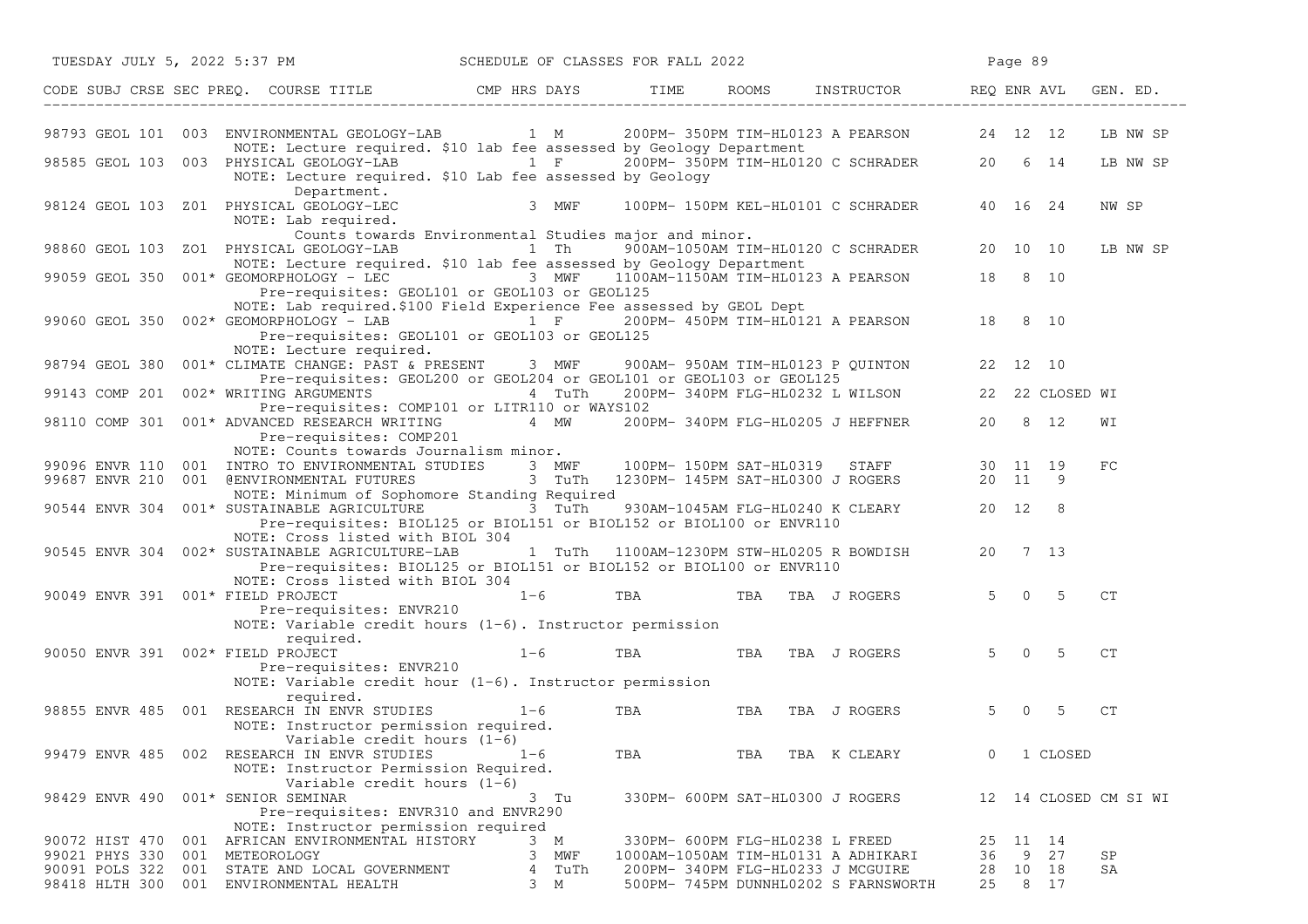|                                   |     | TUESDAY JULY 5, 2022 5:37 PM                                                                                                                                                                                                               |           |         |      |            | SCHEDULE OF CLASSES FOR FALL 2022 |                                             |    | Page 89      |          |                       |
|-----------------------------------|-----|--------------------------------------------------------------------------------------------------------------------------------------------------------------------------------------------------------------------------------------------|-----------|---------|------|------------|-----------------------------------|---------------------------------------------|----|--------------|----------|-----------------------|
|                                   |     | CODE SUBJ CRSE SEC PREQ. COURSE TITLE THE CMP HRS DAYS TIME ROOMS INSTRUCTOR REQ ENR AVL GENERAL THE CODE SUBJ CRSE SEC PREQ.                                                                                                              |           |         |      |            |                                   |                                             |    |              |          | GEN. ED.              |
|                                   |     | 98793 GEOL 101 003 ENVIRONMENTAL GEOLOGY-LAB 1 M 200PM-350PM TIM-HL0123 A PEARSON 24 12 12                                                                                                                                                 |           |         |      |            |                                   |                                             |    |              |          | LB NW SP              |
|                                   |     | NOTE: Lecture required. \$10 lab fee assessed by Geology Department                                                                                                                                                                        |           |         |      |            |                                   |                                             |    |              |          |                       |
|                                   |     | 98585 GEOL 103 003 PHYSICAL GEOLOGY-LAB 1 F 200PM-350PM TIM-HL0120 C SCHRADER 20 6 14<br>NOTE: Lecture required. \$10 Lab fee assessed by Geology                                                                                          |           |         |      |            |                                   |                                             |    |              |          | LB NW SP              |
|                                   |     | Department.<br>98124 GEOL 103 Z01 PHYSICAL GEOLOGY-LEC 3 MWF<br>NOTE: Lab required.                                                                                                                                                        |           |         |      |            |                                   | 100PM- 150PM KEL-HL0101 C SCHRADER 40 16 24 |    |              |          | NW SP                 |
|                                   |     | Counts towards Environmental Studies major and minor.                                                                                                                                                                                      |           |         |      |            |                                   |                                             |    |              |          |                       |
|                                   |     | 98860 GEOL 103 ZO1 PHYSICAL GEOLOGY-LAB 1 Th 900AM-1050AM TIM-HL0120 C SCHRADER 20 10 10<br>NOTE: Lecture required. \$10 lab fee assessed by Geology Department                                                                            |           |         |      |            |                                   |                                             |    |              |          | LB NW SP              |
|                                   |     | 99059 GEOL 350 001* GEOMORPHOLOGY - LEC 3 MWF 1100AM-1150AM TIM-HL0123 A PEARSON 18 8 10<br>Pre-requisites: GEOL101 or GEOL103 or GEOL125                                                                                                  |           |         |      |            |                                   |                                             |    |              |          |                       |
|                                   |     | NOTE: Lab required. \$100 Field Experience Fee assessed by GEOL Dept                                                                                                                                                                       |           |         |      |            |                                   |                                             |    |              |          |                       |
|                                   |     | NOTE: Lab required.\$100 Field Experience Fee assessed by GEOL Dept<br>99060 GEOL 350 002* GEOMORPHOLOGY - LAB 1 F 200PM- 450PM TIM-HL0121 A PEARSON 18 8 10<br>Pre-requisites: GEOL101 or GEOL103 or GEOL125                              |           |         |      |            |                                   |                                             |    |              |          |                       |
|                                   |     | NOTE: Lecture required.<br>98794 GEOL 380 001* CLIMATE CHANGE: PAST & PRESENT 3 MWF 900AM-950AM TIM-HL0123 P QUINTON 22 12 10                                                                                                              |           |         |      |            |                                   |                                             |    |              |          |                       |
|                                   |     | Pre-requisites: GEOL200 or GEOL204 or GEOL101 or GEOL103 or GEOL125                                                                                                                                                                        |           |         |      |            |                                   |                                             |    |              |          |                       |
|                                   |     | 99143 COMP 201 002* WRITING ARGUMENTS 4 TuTh 200PM-340PM FLG-HL0232 L WILSON 22 22 CLOSED WI<br>Pre-requisites: COMP101 or LITR110 or WAYS102                                                                                              |           |         |      |            |                                   |                                             |    |              |          |                       |
|                                   |     | 98110 COMP 301 001* ADVANCED RESEARCH WRITING 4 MW 200PM-340PM FLG-HL0205 J HEFFNER<br>Pre-requisites: COMP201                                                                                                                             |           |         |      |            |                                   |                                             |    | 20 8 12      |          | WΙ                    |
|                                   |     | NOTE: Counts towards Journalism minor.                                                                                                                                                                                                     |           |         |      |            |                                   |                                             |    |              |          |                       |
|                                   |     |                                                                                                                                                                                                                                            |           |         |      |            |                                   |                                             |    |              |          | FC                    |
|                                   |     | 99096 ENVR 110 001 INTRO TO ENVIRONMENTAL STUDIES 3 MWF 100PM-150PM SAT-HL0319 STAFF 30 11 19<br>99687 ENVR 210 001 @ENVIRONMENTAL FUTURES 3 TuTh 1230PM-145PM SAT-HL0300 J ROGERS 20 11 9<br>NOTE: Minimum of Sophomore Standing Required |           |         |      |            |                                   |                                             |    |              |          |                       |
|                                   |     | 90544 ENVR 304 001* SUSTAINABLE AGRICULTURE 3 TuTh<br>Pre-requisites: BIOL125 or BIOL151 or BIOL152 or BIOL100 or ENVR110                                                                                                                  |           |         |      |            |                                   | 930AM-1045AM FLG-HL0240 K CLEARY 20 12 8    |    |              |          |                       |
|                                   |     | NOTE: Cross listed with BIOL 304                                                                                                                                                                                                           |           |         |      |            |                                   |                                             |    |              |          |                       |
|                                   |     | 90545 ENVR 304 002* SUSTAINABLE AGRICULTURE-LAB 1 TuTh 1100AM-1230PM STW-HL0205 R BOWDISH 20 7 13<br>Pre-requisites: BIOL125 or BIOL151 or BIOL152 or BIOL100 or ENVR110                                                                   |           |         |      |            |                                   |                                             |    |              |          |                       |
|                                   |     | NOTE: Cross listed with BIOL 304                                                                                                                                                                                                           |           |         |      |            |                                   |                                             |    |              |          |                       |
| 90049 ENVR 391 001* FIELD PROJECT |     | Pre-requisites: ENVR210                                                                                                                                                                                                                    |           |         |      |            |                                   | $1-6$ TBA TBA TBA J ROGERS                  |    | 5 0 5        |          | CT                    |
|                                   |     | NOTE: Variable credit hours $(1-6)$ . Instructor permission                                                                                                                                                                                |           |         |      |            |                                   |                                             |    |              |          |                       |
|                                   |     | required.                                                                                                                                                                                                                                  |           |         |      |            |                                   |                                             |    |              |          |                       |
| 90050 ENVR 391 002* FIELD PROJECT |     |                                                                                                                                                                                                                                            | $1-6$ TBA |         |      |            |                                   | TBA TBA J ROGERS                            |    | 5 0 5        |          | CT                    |
|                                   |     | Pre-requisites: ENVR210<br>NOTE: Variable credit hour (1-6). Instructor permission                                                                                                                                                         |           |         |      |            |                                   |                                             |    |              |          |                       |
|                                   |     | required.<br>98855 ENVR 485 001 RESEARCH IN ENVR STUDIES 1-6                                                                                                                                                                               |           |         |      | <b>TBA</b> |                                   | TBA TBA J ROGERS                            |    | $5 \qquad 0$ | - 5      | CT                    |
|                                   |     | NOTE: Instructor permission required.<br>Variable credit hours $(1-6)$                                                                                                                                                                     |           |         |      |            |                                   |                                             |    |              |          |                       |
|                                   |     | 99479 ENVR 485 002 RESEARCH IN ENVR STUDIES                                                                                                                                                                                                |           | $1 - 6$ |      | TBA        | TBA                               | TBA K CLEARY                                | 0  |              | 1 CLOSED |                       |
|                                   |     | NOTE: Instructor Permission Required.                                                                                                                                                                                                      |           |         |      |            |                                   |                                             |    |              |          |                       |
|                                   |     | Variable credit hours $(1-6)$                                                                                                                                                                                                              |           |         |      |            |                                   |                                             |    |              |          |                       |
| 98429 ENVR 490                    |     | 001* SENIOR SEMINAR                                                                                                                                                                                                                        |           |         | 3 Tu |            | 330PM- 600PM SAT-HL0300 J ROGERS  |                                             |    |              |          | 12 14 CLOSED CM SI WI |
|                                   |     | Pre-requisites: ENVR310 and ENVR290                                                                                                                                                                                                        |           |         |      |            |                                   |                                             |    |              |          |                       |
| 90072 HIST 470                    |     | NOTE: Instructor permission required<br>001 AFRICAN ENVIRONMENTAL HISTORY                                                                                                                                                                  |           | 3 M     |      |            | 330PM- 600PM FLG-HL0238 L FREED   |                                             | 25 | 11 14        |          |                       |
| 99021 PHYS 330                    | 001 | METEOROLOGY                                                                                                                                                                                                                                |           | 3       | MWF  |            |                                   | 1000AM-1050AM TIM-HL0131 A ADHIKARI         | 36 |              | 9 27     | SP                    |
| 90091 POLS 322                    | 001 | STATE AND LOCAL GOVERNMENT                                                                                                                                                                                                                 |           | 4       | TuTh |            |                                   | 200PM- 340PM FLG-HL0233 J MCGUIRE           | 28 |              | 10 18    | SA                    |
| 98418 HLTH 300                    | 001 | ENVIRONMENTAL HEALTH                                                                                                                                                                                                                       |           | 3 M     |      |            |                                   | 500PM- 745PM DUNNHL0202 S FARNSWORTH        | 25 |              | 8 17     |                       |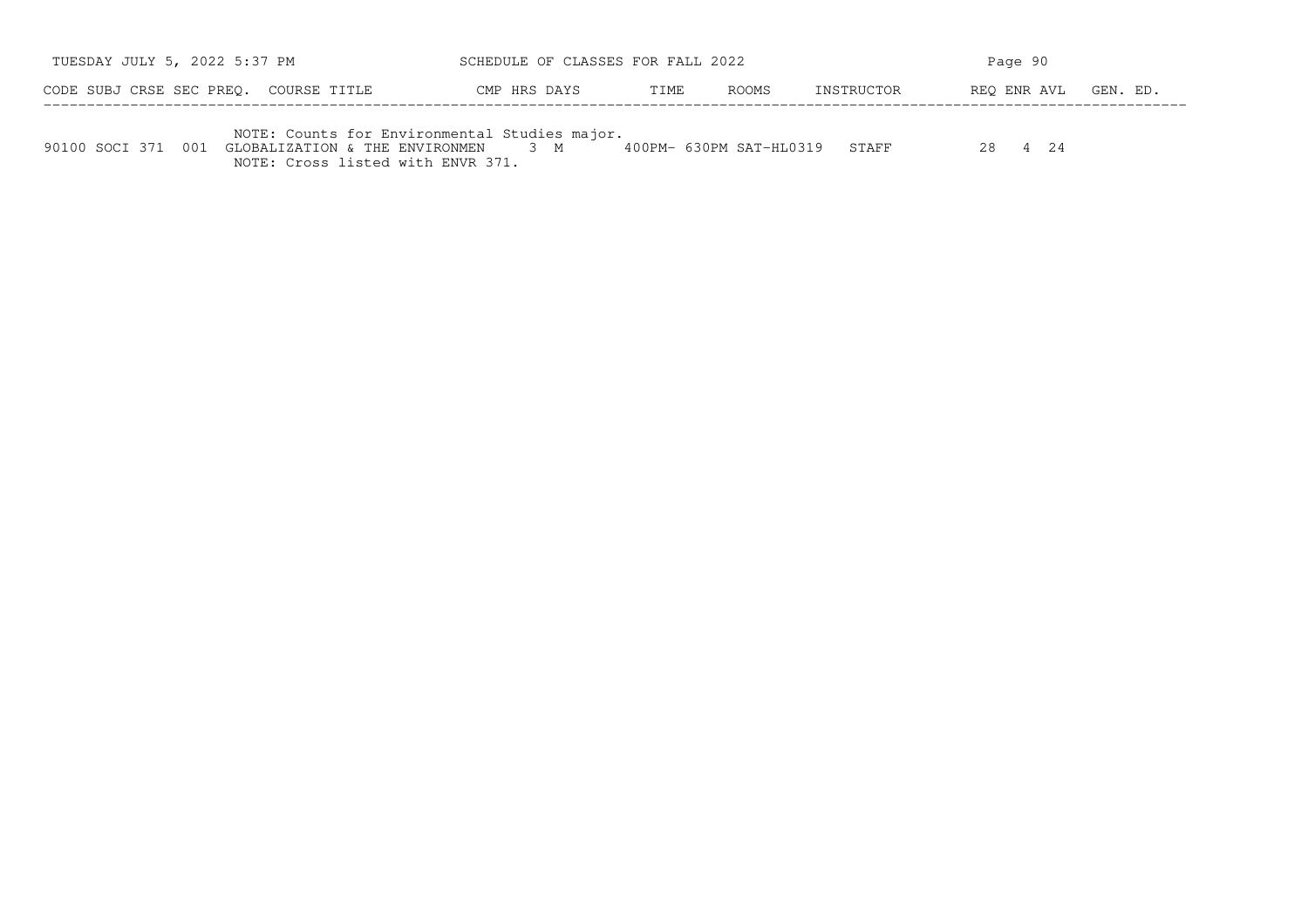| TUESDAY JULY 5, 2022 5:37 PM                                                                           | SCHEDULE OF CLASSES FOR FALL 2022 |      |       |                               | Page 90              |  |
|--------------------------------------------------------------------------------------------------------|-----------------------------------|------|-------|-------------------------------|----------------------|--|
| CODE SUBJ CRSE SEC PREO. COURSE TITLE                                                                  | CMP HRS DAYS                      | TIME | ROOMS | INSTRUCTOR                    | REO ENR AVL GEN. ED. |  |
| NOTE: Counts for Environmental Studies major.<br>90100 SOCI 371 001 GLOBALIZATION & THE ENVIRONMEN 3 M |                                   |      |       | 400PM- 630PM SAT-HL0319 STAFF |                      |  |

NOTE: Cross listed with ENVR 371.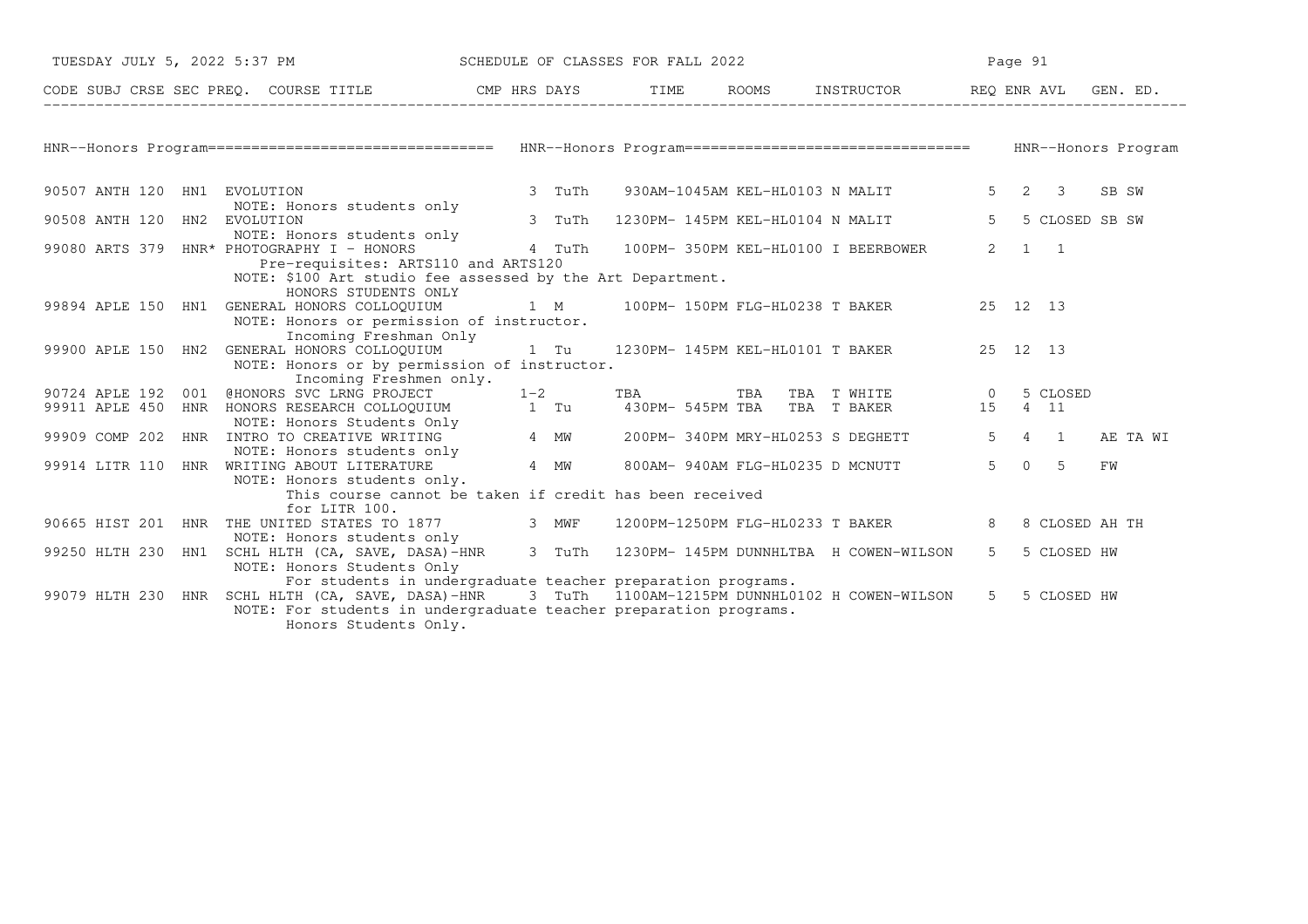| TUESDAY JULY 5, 2022 5:37 PM SCHEDULE OF CLASSES FOR FALL 2022                                    |                                                                                                                                                           |        |  |                                             |                | Page 91               |                |
|---------------------------------------------------------------------------------------------------|-----------------------------------------------------------------------------------------------------------------------------------------------------------|--------|--|---------------------------------------------|----------------|-----------------------|----------------|
| CODE SUBJ CRSE SEC PREQ. COURSE TITLE THE CMP HRS DAYS TIME ROOMS INSTRUCTOR REQ ENR AVL GEN. ED. |                                                                                                                                                           |        |  |                                             |                |                       |                |
|                                                                                                   |                                                                                                                                                           |        |  |                                             |                |                       |                |
|                                                                                                   |                                                                                                                                                           |        |  |                                             |                |                       |                |
| 90507 ANTH 120 HN1 EVOLUTION                                                                      | NOTE: Honors students only                                                                                                                                | 3 TuTh |  | 930AM-1045AM KEL-HL0103 N MALIT             |                | $5 \quad 2 \quad 3$   | SB SW          |
| 90508 ANTH 120 HN2 EVOLUTION                                                                      |                                                                                                                                                           | 3 TuTh |  | 1230PM- 145PM KEL-HL0104 N MALIT            | $5^{\circ}$    |                       | 5 CLOSED SB SW |
| 99080 ARTS 379 HNR* PHOTOGRAPHY I - HONORS                                                        | NOTE: Honors students only<br>Pre-requisites: ARTS110 and ARTS120                                                                                         |        |  | 4 TuTh 100PM-350PM KEL-HL0100 I BEERBOWER   |                | $2 \qquad 1 \qquad 1$ |                |
|                                                                                                   | NOTE: \$100 Art studio fee assessed by the Art Department.<br>HONORS STUDENTS ONLY                                                                        |        |  |                                             |                |                       |                |
| 99894 APLE 150 HN1 GENERAL HONORS COLLOQUIUM                                                      | NOTE: Honors or permission of instructor.                                                                                                                 |        |  | 1 M 100PM-150PM FLG-HL0238 T BAKER 25 12 13 |                |                       |                |
| 99900 APLE 150 HN2 GENERAL HONORS COLLOQUIUM 1 Tu 1230PM-145PM KEL-HL0101 T BAKER 25 12 13        | Incoming Freshman Only<br>NOTE: Honors or by permission of instructor.                                                                                    |        |  |                                             |                |                       |                |
| 90724 APLE 192 001 @HONORS SVC LRNG PROJECT 1-2                                                   | Incoming Freshmen only.                                                                                                                                   |        |  |                                             |                |                       |                |
| 99911 APLE 450                                                                                    | 001 @HONORS SVC LRNG PROJECT 1-2 TBA TBA TBA T WHITE 0 5 CLOSED<br>HNR HONORS RESEARCH COLLOQUIUM 1 Tu 430PM-545PM TBA TBA T BAKER 15 4 11                |        |  |                                             |                |                       |                |
| 99909 COMP 202 HNR INTRO TO CREATIVE WRITING 1 A MW 200PM-340PM MRY-HL0253 S DEGHETT 5 4 1        | NOTE: Honors students only                                                                                                                                |        |  |                                             |                |                       | AE TA WI       |
| 99914 LITR 110 HNR WRITING ABOUT LITERATURE                                                       | 4 MW                                                                                                                                                      |        |  | 800AM- 940AM FLG-HL0235 D MCNUTT            |                | $5 \t 0 \t 5$         | FW             |
|                                                                                                   | NOTE: Honors students only.<br>This course cannot be taken if credit has been received                                                                    |        |  |                                             |                |                       |                |
| 90665 HIST 201 HNR THE UNITED STATES TO 1877<br>WE                                                | for LITR 100.                                                                                                                                             |        |  | 1200PM-1250PM FLG-HL0233 T BAKER            | $8 -$          |                       | 8 CLOSED AH TH |
| 99250 HLTH 230                                                                                    | NOTE: Honors students only<br>HN1 SCHL HLTH (CA, SAVE, DASA)-HNR 3 TuTh 1230PM-145PM DUNNHLTBA H COWEN-WILSON<br>NOTE: Honors Students Only               |        |  |                                             | 5 <sup>5</sup> | 5 CLOSED HW           |                |
| 99079 HLTH 230 HNR SCHL HLTH (CA, SAVE, DASA)-HNR 3 TuTh 1100AM-1215PM DUNNHL0102 H COWEN-WILSON  | For students in undergraduate teacher preparation programs.<br>NOTE: For students in undergraduate teacher preparation programs.<br>Honors Students Only. |        |  |                                             |                | 5 5 CLOSED HW         |                |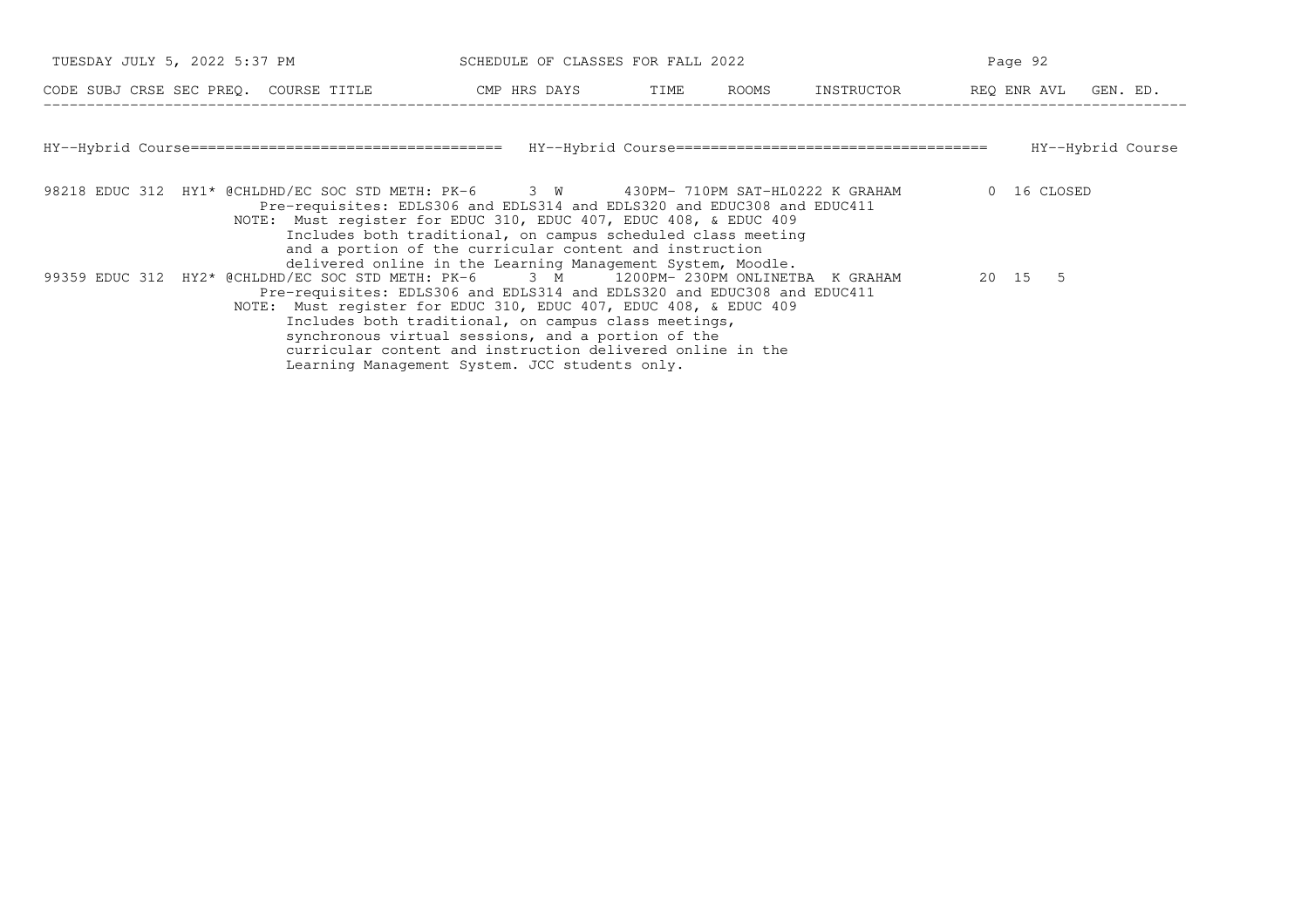| TUESDAY JULY 5, 2022 5:37 PM                                                                                                                                                                                                          | SCHEDULE OF CLASSES FOR FALL 2022                                                                                                                                                                                          |  | Page 92 |             |                      |
|---------------------------------------------------------------------------------------------------------------------------------------------------------------------------------------------------------------------------------------|----------------------------------------------------------------------------------------------------------------------------------------------------------------------------------------------------------------------------|--|---------|-------------|----------------------|
| CODE SUBJ CRSE SEC PREQ. COURSE TITLE THE CMP HRS DAYS TIME ROOMS INSTRUCTOR                                                                                                                                                          |                                                                                                                                                                                                                            |  |         |             | REQ ENR AVL GEN. ED. |
|                                                                                                                                                                                                                                       |                                                                                                                                                                                                                            |  |         |             |                      |
|                                                                                                                                                                                                                                       |                                                                                                                                                                                                                            |  |         |             | HY--Hybrid Course    |
| 98218 EDUC 312 HY1* @CHLDHD/EC SOC STD METH: PK-6 3 W 430PM-710PM SAT-HL0222 K GRAHAM<br>Pre-requisites: EDLS306 and EDLS314 and EDLS320 and EDUC308 and EDUC411<br>NOTE: Must register for EDUC 310, EDUC 407, EDUC 408, & EDUC 409  | Includes both traditional, on campus scheduled class meeting<br>and a portion of the curricular content and instruction<br>delivered online in the Learning Management System, Moodle.                                     |  |         | 0 16 CLOSED |                      |
| 99359 EDUC 312 HY2* @CHLDHD/EC SOC STD METH: PK-6 3 M 1200PM- 230PM ONLINETBA K GRAHAM<br>Pre-requisites: EDLS306 and EDLS314 and EDLS320 and EDUC308 and EDUC411<br>NOTE: Must register for EDUC 310, EDUC 407, EDUC 408, & EDUC 409 | Includes both traditional, on campus class meetings,<br>synchronous virtual sessions, and a portion of the<br>curricular content and instruction delivered online in the<br>Learning Management System. JCC students only. |  |         | 20 15 5     |                      |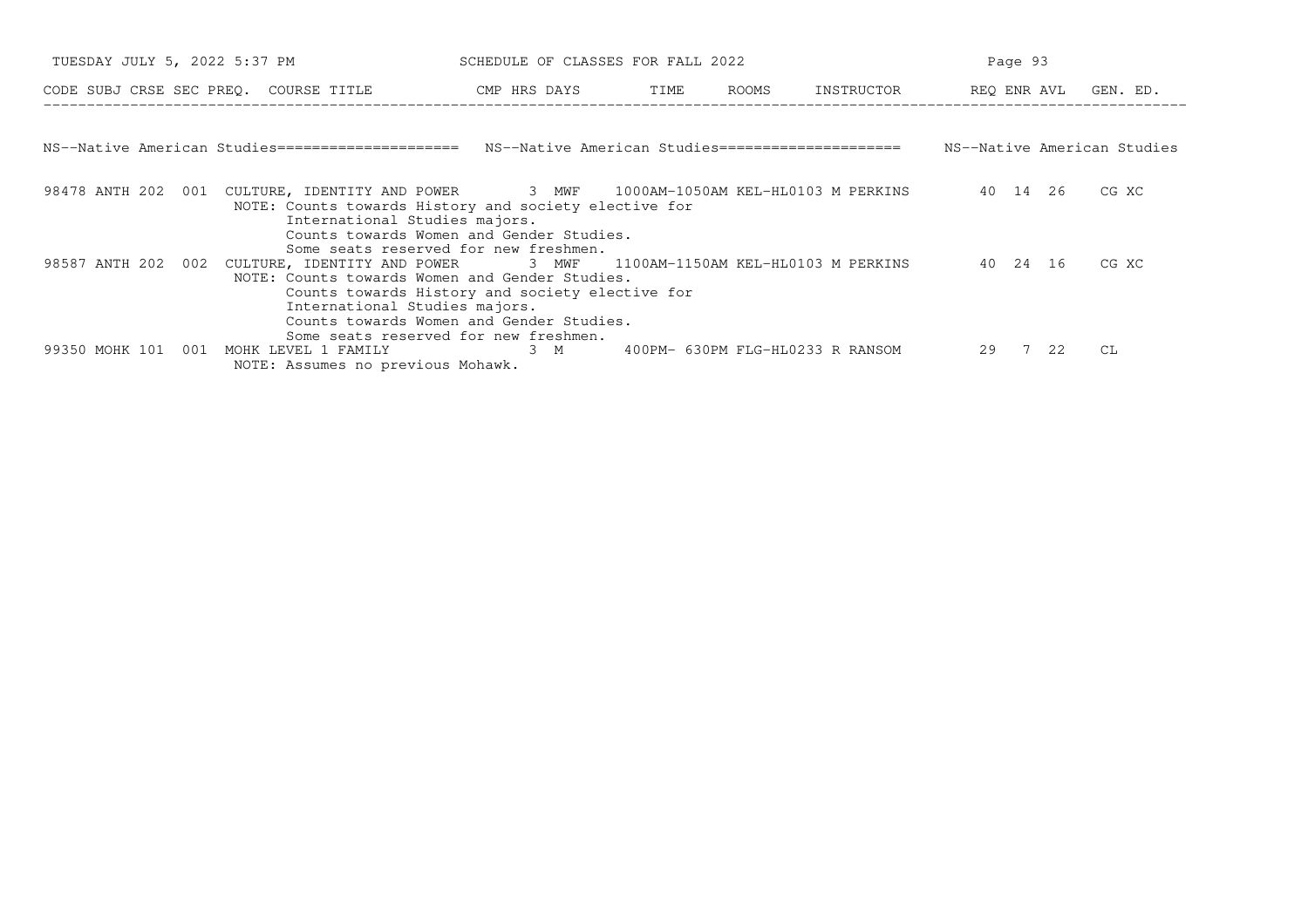| TUESDAY JULY 5, 2022 5:37 PM                                                                                                                                                                                                                                                                                       | SCHEDULE OF CLASSES FOR FALL 2022 |  |          | Page 93 |                             |
|--------------------------------------------------------------------------------------------------------------------------------------------------------------------------------------------------------------------------------------------------------------------------------------------------------------------|-----------------------------------|--|----------|---------|-----------------------------|
| CODE SUBJ CRSE SEC PREQ. COURSE TITLE THE CMP HRS DAYS TIME ROOMS INSTRUCTOR THE REQ ENR AVL GEN. ED.                                                                                                                                                                                                              |                                   |  |          |         |                             |
| NS--Native American Studies===================== NS--Native American Studies=======================                                                                                                                                                                                                                |                                   |  |          |         | NS--Native American Studies |
| 98478 ANTH 202 001 CULTURE, IDENTITY AND POWER 3 MWF 1000AM-1050AM KEL-HL0103 M PERKINS 40 14 26 CG XC<br>NOTE: Counts towards History and society elective for<br>International Studies majors.<br>Counts towards Women and Gender Studies.<br>Some seats reserved for new freshmen.                              |                                   |  |          |         |                             |
| 98587 ANTH 202 002 CULTURE, IDENTITY AND POWER 3 MWF 1100AM-1150AM KEL-HL0103 M PERKINS<br>NOTE: Counts towards Women and Gender Studies.<br>Counts towards History and society elective for<br>International Studies majors.<br>Counts towards Women and Gender Studies.<br>Some seats reserved for new freshmen. |                                   |  | 40 24 16 |         | CG XC                       |
| MOHK LEVEL 1 FAMILY 63 M 400PM-630PM FLG-HL0233 R RANSOM<br>99350 MOHK 101 001<br>NOTE: Assumes no previous Mohawk.                                                                                                                                                                                                |                                   |  | 29 7 22  |         | CL.                         |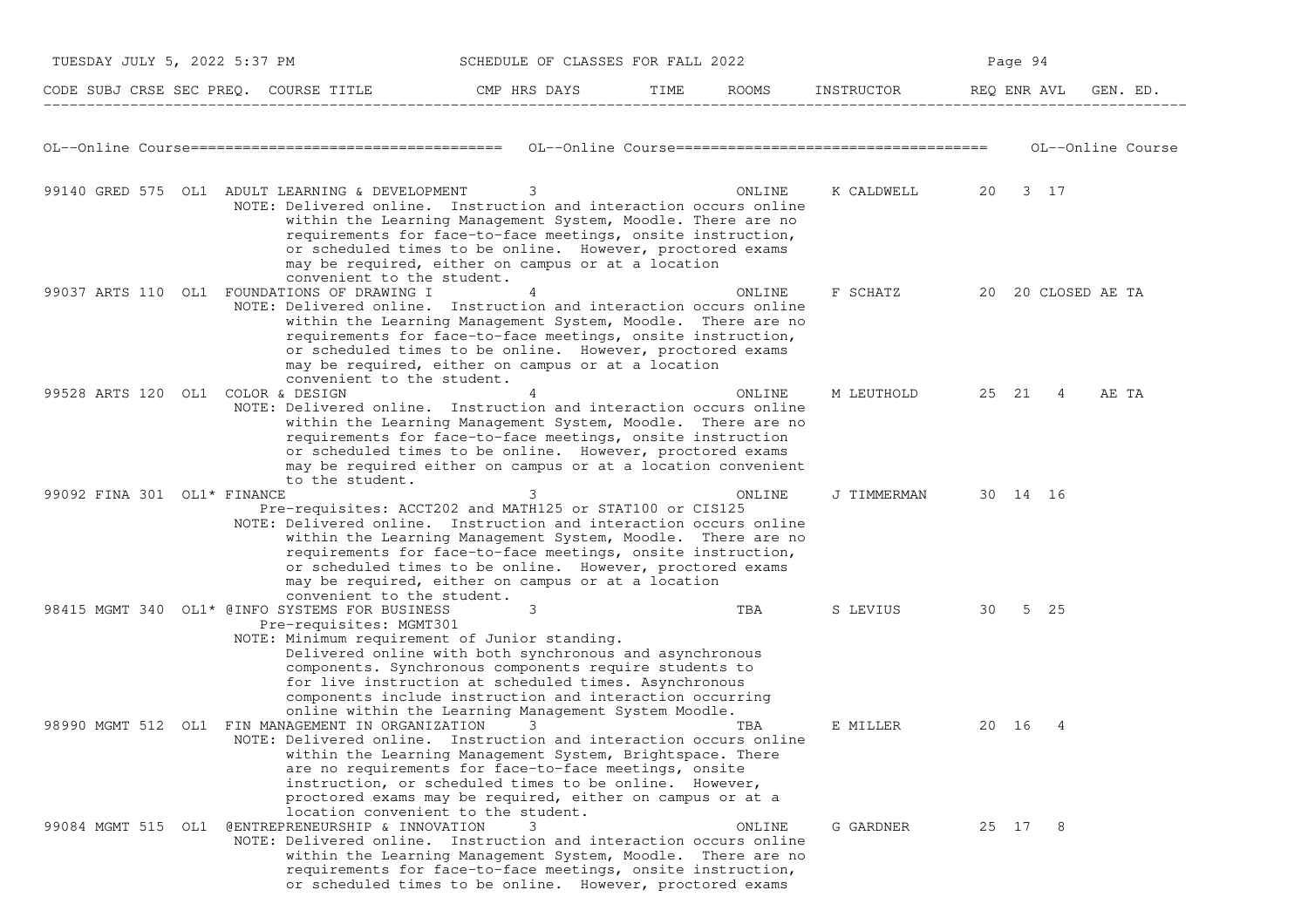| TUESDAY JULY 5, 2022 5:37 PM      |                                                                                                                                                               | SCHEDULE OF CLASSES FOR FALL 2022                                                                                                                                                                                                                                                                   |        |                                  |             | Page 94  |   |                    |                   |
|-----------------------------------|---------------------------------------------------------------------------------------------------------------------------------------------------------------|-----------------------------------------------------------------------------------------------------------------------------------------------------------------------------------------------------------------------------------------------------------------------------------------------------|--------|----------------------------------|-------------|----------|---|--------------------|-------------------|
|                                   | CODE SUBJ CRSE SEC PREQ. COURSE TITLE THE ROOMS INSTRUCTOR                                                                                                    |                                                                                                                                                                                                                                                                                                     |        |                                  | REQ ENR AVL |          |   |                    | GEN. ED.          |
|                                   |                                                                                                                                                               |                                                                                                                                                                                                                                                                                                     |        |                                  |             |          |   |                    | OL--Online Course |
|                                   | 99140 GRED 575 OL1 ADULT LEARNING & DEVELOPMENT<br>NOTE: Delivered online. Instruction and interaction occurs online<br>convenient to the student.            | 3<br>within the Learning Management System, Moodle. There are no<br>requirements for face-to-face meetings, onsite instruction,<br>or scheduled times to be online. However, proctored exams<br>may be required, either on campus or at a location                                                  | ONLINE | K CALDWELL 20 3 17               |             |          |   |                    |                   |
|                                   | 99037 ARTS 110 OL1 FOUNDATIONS OF DRAWING I<br>NOTE: Delivered online. Instruction and interaction occurs online<br>convenient to the student.                | 4<br>within the Learning Management System, Moodle. There are no<br>requirements for face-to-face meetings, onsite instruction,<br>or scheduled times to be online. However, proctored exams<br>may be required, either on campus or at a location                                                  | ONLINE | F SCHATZ                         |             |          |   | 20 20 CLOSED AE TA |                   |
| 99528 ARTS 120 OL1 COLOR & DESIGN | NOTE: Delivered online. Instruction and interaction occurs online<br>to the student.                                                                          | 4<br>within the Learning Management System, Moodle. There are no<br>requirements for face-to-face meetings, onsite instruction<br>or scheduled times to be online. However, proctored exams<br>may be required either on campus or at a location convenient                                         | ONLINE | M LEUTHOLD                       |             | 25 21 4  |   | AE TA              |                   |
| 99092 FINA 301 OL1* FINANCE       | Pre-requisites: ACCT202 and MATH125 or STAT100 or CIS125<br>NOTE: Delivered online. Instruction and interaction occurs online<br>convenient to the student.   | 3<br>within the Learning Management System, Moodle. There are no<br>requirements for face-to-face meetings, onsite instruction,<br>or scheduled times to be online. However, proctored exams<br>may be required, either on campus or at a location                                                  | ONLINE | J TIMMERMAN                      |             | 30 14 16 |   |                    |                   |
|                                   | 98415 MGMT 340 OL1* @INFO SYSTEMS FOR BUSINESS<br>Pre-requisites: MGMT301<br>NOTE: Minimum requirement of Junior standing.                                    | 3<br>Delivered online with both synchronous and asynchronous<br>components. Synchronous components require students to<br>for live instruction at scheduled times. Asynchronous<br>components include instruction and interaction occurring<br>online within the Learning Management System Moodle. | TBA    | S LEVIUS <b>Security Service</b> | 30          | 5 25     |   |                    |                   |
|                                   | 98990 MGMT 512 OL1 FIN MANAGEMENT IN ORGANIZATION<br>NOTE: Delivered online. Instruction and interaction occurs online<br>location convenient to the student. | 3<br>within the Learning Management System, Brightspace. There<br>are no requirements for face-to-face meetings, onsite<br>instruction, or scheduled times to be online. However,<br>proctored exams may be required, either on campus or at a                                                      | TBA    | E MILLER                         |             | 20 16    | 4 |                    |                   |
|                                   | 99084 MGMT 515 OL1 @ENTREPRENEURSHIP & INNOVATION<br>NOTE: Delivered online. Instruction and interaction occurs online                                        | 3<br>within the Learning Management System, Moodle. There are no<br>requirements for face-to-face meetings, onsite instruction,<br>or scheduled times to be online. However, proctored exams                                                                                                        | ONLINE | G GARDNER                        |             | 25 17    | 8 |                    |                   |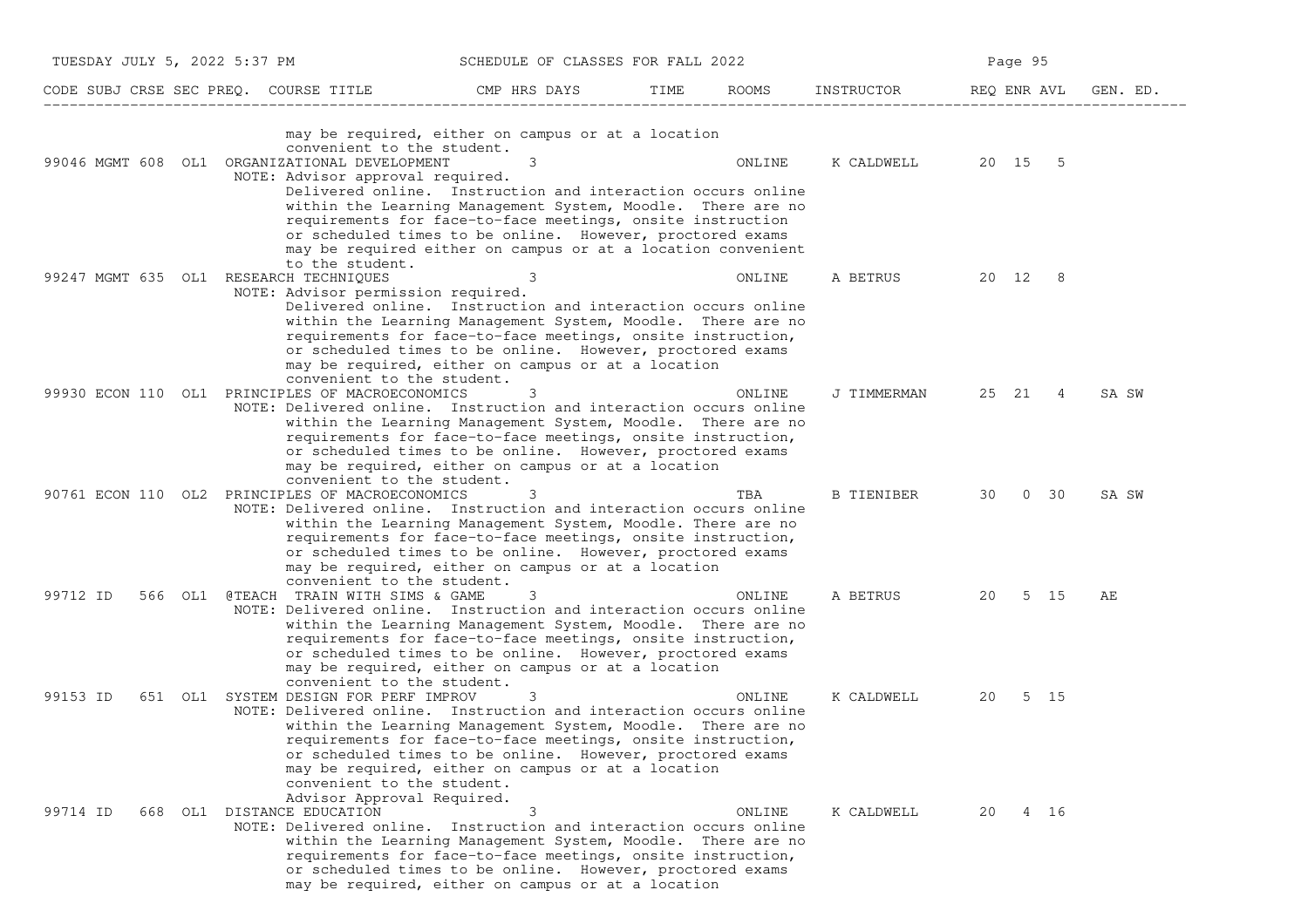| TUESDAY JULY 5, 2022 5:37 PM SCHEDULE OF CLASSES FOR FALL 2022                                                                                                          |                                                                                                                                                                                                                                                                                                                            |      |        |                    |             | Page 95 |      |          |
|-------------------------------------------------------------------------------------------------------------------------------------------------------------------------|----------------------------------------------------------------------------------------------------------------------------------------------------------------------------------------------------------------------------------------------------------------------------------------------------------------------------|------|--------|--------------------|-------------|---------|------|----------|
| CODE SUBJ CRSE SEC PREQ. COURSE TITLE THE CMP HRS DAYS                                                                                                                  |                                                                                                                                                                                                                                                                                                                            | TIME | ROOMS  | INSTRUCTOR         | REQ ENR AVL |         |      | GEN. ED. |
| convenient to the student.<br>99046 MGMT 608 OL1 ORGANIZATIONAL DEVELOPMENT<br>NOTE: Advisor approval required.                                                         | may be required, either on campus or at a location<br>3<br>Delivered online. Instruction and interaction occurs online<br>within the Learning Management System, Moodle. There are no                                                                                                                                      |      | ONLINE | K CALDWELL 20 15 5 |             |         |      |          |
| to the student.<br>99247 MGMT 635 OL1 RESEARCH TECHNIQUES<br>NOTE: Advisor permission required.                                                                         | requirements for face-to-face meetings, onsite instruction<br>or scheduled times to be online. However, proctored exams<br>may be required either on campus or at a location convenient<br>3<br>Delivered online. Instruction and interaction occurs online<br>within the Learning Management System, Moodle. There are no |      | ONLINE | A BETRUS           |             | 20 12 8 |      |          |
| convenient to the student.<br>99930 ECON 110 OL1 PRINCIPLES OF MACROECONOMICS<br>NOTE: Delivered online. Instruction and interaction occurs online                      | requirements for face-to-face meetings, onsite instruction,<br>or scheduled times to be online. However, proctored exams<br>may be required, either on campus or at a location<br>3<br>within the Learning Management System, Moodle. There are no                                                                         |      | ONLINE | J TIMMERMAN        |             | 25 21 4 |      | SA SW    |
| convenient to the student.<br>90761 ECON 110 OL2 PRINCIPLES OF MACROECONOMICS<br>NOTE: Delivered online. Instruction and interaction occurs online                      | requirements for face-to-face meetings, onsite instruction,<br>or scheduled times to be online. However, proctored exams<br>may be required, either on campus or at a location<br>3<br>within the Learning Management System, Moodle. There are no                                                                         |      | TBA    | B TIENIBER         |             | 30 0 30 |      | SA SW    |
| convenient to the student.<br>99712 ID<br>566 OL1 @TEACH TRAIN WITH SIMS & GAME<br>NOTE: Delivered online. Instruction and interaction occurs online                    | requirements for face-to-face meetings, onsite instruction,<br>or scheduled times to be online. However, proctored exams<br>may be required, either on campus or at a location<br>3<br>within the Learning Management System, Moodle. There are no<br>requirements for face-to-face meetings, onsite instruction,          |      | ONLINE | A BETRUS           | 20          |         | 5 15 | AE       |
| convenient to the student.<br>651 OL1 SYSTEM DESIGN FOR PERF IMPROV<br>99153 ID<br>NOTE: Delivered online. Instruction and interaction occurs online                    | or scheduled times to be online. However, proctored exams<br>may be required, either on campus or at a location<br>3<br>within the Learning Management System, Moodle. There are no<br>requirements for face-to-face meetings, onsite instruction,<br>or scheduled times to be online. However, proctored exams            |      | ONLINE | K CALDWELL         |             | 20 5 15 |      |          |
| convenient to the student.<br>Advisor Approval Required.<br>668 OL1 DISTANCE EDUCATION<br>99714 ID<br>NOTE: Delivered online. Instruction and interaction occurs online | may be required, either on campus or at a location<br>3<br>within the Learning Management System, Moodle. There are no<br>requirements for face-to-face meetings, onsite instruction,<br>or scheduled times to be online. However, proctored exams<br>may be required, either on campus or at a location                   |      | ONLINE | K CALDWELL         |             | 20 4 16 |      |          |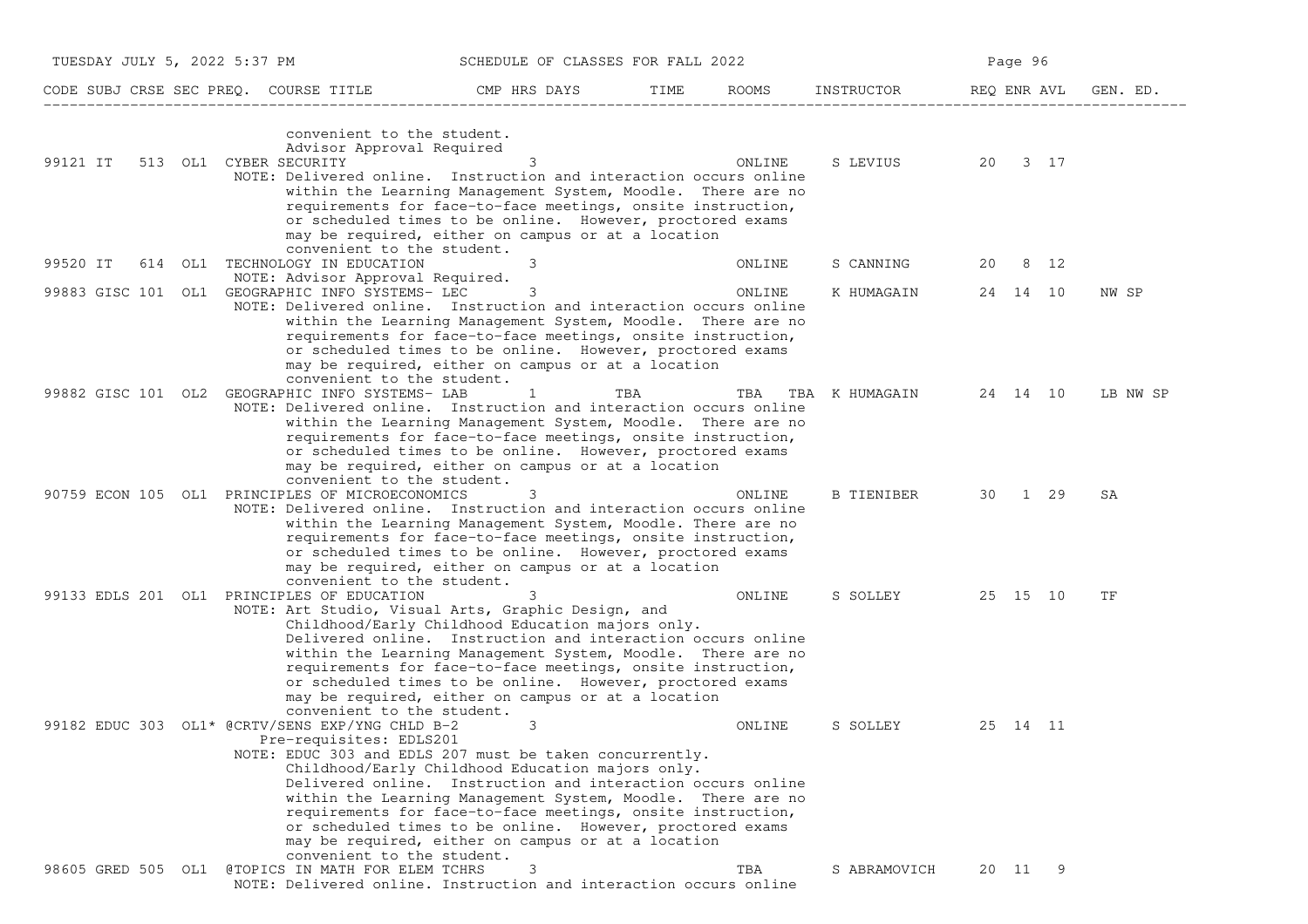| TUESDAY JULY 5, 2022 5:37 PM          |                                                                                     | SCHEDULE OF CLASSES FOR FALL 2022                                                                                                                                                                                                                                                                                                                                                                                                |      |              |                |             | Page 96  |          |
|---------------------------------------|-------------------------------------------------------------------------------------|----------------------------------------------------------------------------------------------------------------------------------------------------------------------------------------------------------------------------------------------------------------------------------------------------------------------------------------------------------------------------------------------------------------------------------|------|--------------|----------------|-------------|----------|----------|
| CODE SUBJ CRSE SEC PREO. COURSE TITLE |                                                                                     | CMP HRS DAYS                                                                                                                                                                                                                                                                                                                                                                                                                     | TIME | <b>ROOMS</b> | INSTRUCTOR     | REQ ENR AVL |          | GEN. ED. |
| 99121 IT                              | convenient to the student.<br>Advisor Approval Required<br>513 OL1 CYBER SECURITY   | 3<br>NOTE: Delivered online. Instruction and interaction occurs online<br>within the Learning Management System, Moodle. There are no<br>requirements for face-to-face meetings, onsite instruction,<br>or scheduled times to be online. However, proctored exams                                                                                                                                                                |      | ONLINE       | S LEVIUS       |             | 20 3 17  |          |
| 99520 IT                              | convenient to the student.<br>614 OL1 TECHNOLOGY IN EDUCATION                       | may be required, either on campus or at a location<br>3                                                                                                                                                                                                                                                                                                                                                                          |      | ONLINE       | S CANNING      | 20          | 8 12     |          |
|                                       | NOTE: Advisor Approval Required.<br>99883 GISC 101 OL1 GEOGRAPHIC INFO SYSTEMS- LEC | 3                                                                                                                                                                                                                                                                                                                                                                                                                                |      | ONLINE       | K HUMAGAIN     |             | 24 14 10 | NW SP    |
|                                       | convenient to the student.                                                          | NOTE: Delivered online. Instruction and interaction occurs online<br>within the Learning Management System, Moodle. There are no<br>requirements for face-to-face meetings, onsite instruction,<br>or scheduled times to be online. However, proctored exams<br>may be required, either on campus or at a location                                                                                                               |      |              |                |             |          |          |
|                                       | 99882 GISC 101 OL2 GEOGRAPHIC INFO SYSTEMS- LAB                                     | 1<br>NOTE: Delivered online. Instruction and interaction occurs online<br>within the Learning Management System, Moodle. There are no<br>requirements for face-to-face meetings, onsite instruction,<br>or scheduled times to be online. However, proctored exams                                                                                                                                                                | TBA  | TBA          | TBA K HUMAGAIN |             | 24 14 10 | LB NW SP |
|                                       | convenient to the student.<br>90759 ECON 105 OL1 PRINCIPLES OF MICROECONOMICS       | may be required, either on campus or at a location<br>3<br>NOTE: Delivered online. Instruction and interaction occurs online<br>within the Learning Management System, Moodle. There are no<br>requirements for face-to-face meetings, onsite instruction,<br>or scheduled times to be online. However, proctored exams<br>may be required, either on campus or at a location                                                    |      | ONLINE       | B TIENIBER     |             | 30 1 29  | SA       |
|                                       | convenient to the student.<br>99133 EDLS 201 OL1 PRINCIPLES OF EDUCATION            | 3<br>NOTE: Art Studio, Visual Arts, Graphic Design, and<br>Childhood/Early Childhood Education majors only.<br>Delivered online. Instruction and interaction occurs online<br>within the Learning Management System, Moodle. There are no                                                                                                                                                                                        |      | ONLINE       | S SOLLEY       |             | 25 15 10 | ΤF       |
|                                       | convenient to the student.                                                          | requirements for face-to-face meetings, onsite instruction,<br>or scheduled times to be online. However, proctored exams<br>may be required, either on campus or at a location                                                                                                                                                                                                                                                   |      |              |                |             |          |          |
|                                       | 99182 EDUC 303 OL1* @CRTV/SENS EXP/YNG CHLD B-2<br>Pre-requisites: EDLS201          | 3<br>NOTE: EDUC 303 and EDLS 207 must be taken concurrently.<br>Childhood/Early Childhood Education majors only.<br>Delivered online. Instruction and interaction occurs online<br>within the Learning Management System, Moodle. There are no<br>requirements for face-to-face meetings, onsite instruction,<br>or scheduled times to be online. However, proctored exams<br>may be required, either on campus or at a location |      | ONLINE       | S SOLLEY       |             | 25 14 11 |          |
| 98605 GRED 505 OL1                    | convenient to the student.<br>@TOPICS IN MATH FOR ELEM TCHRS                        | 3<br>NOTE: Delivered online. Instruction and interaction occurs online                                                                                                                                                                                                                                                                                                                                                           |      | TBA          | S ABRAMOVICH   |             | 20 11 9  |          |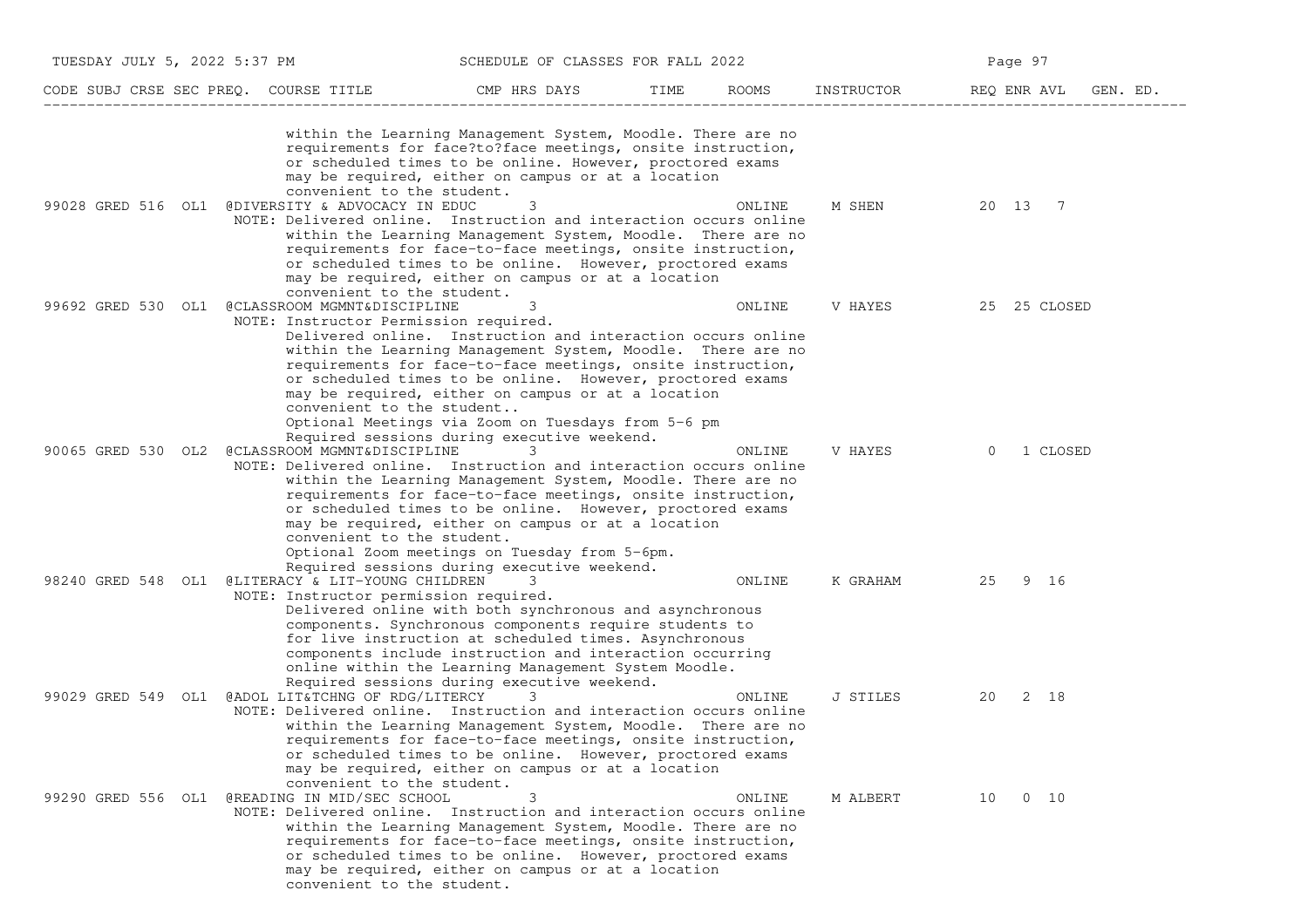| TUESDAY JULY 5, 2022 5:37 PM |                                                                                                                                   | SCHEDULE OF CLASSES FOR FALL 2022                                                                                                                                                                                                                                                                                                                                                                                      |      |        |            | Page 97              |
|------------------------------|-----------------------------------------------------------------------------------------------------------------------------------|------------------------------------------------------------------------------------------------------------------------------------------------------------------------------------------------------------------------------------------------------------------------------------------------------------------------------------------------------------------------------------------------------------------------|------|--------|------------|----------------------|
|                              | CODE SUBJ CRSE SEC PREQ. COURSE TITLE                                                                                             | CMP HRS DAYS                                                                                                                                                                                                                                                                                                                                                                                                           | TIME | ROOMS  | INSTRUCTOR | REQ ENR AVL GEN. ED. |
|                              | convenient to the student.                                                                                                        | within the Learning Management System, Moodle. There are no<br>requirements for face?to?face meetings, onsite instruction,<br>or scheduled times to be online. However, proctored exams<br>may be required, either on campus or at a location                                                                                                                                                                          |      |        |            |                      |
| 99028 GRED 516 OL1           | @DIVERSITY & ADVOCACY IN EDUC<br>NOTE: Delivered online. Instruction and interaction occurs online<br>convenient to the student.  | 3<br>within the Learning Management System, Moodle. There are no<br>requirements for face-to-face meetings, onsite instruction,<br>or scheduled times to be online. However, proctored exams<br>may be required, either on campus or at a location                                                                                                                                                                     |      | ONLINE | M SHEN     | 20 13 7              |
| 99692 GRED 530 OL1           | @CLASSROOM MGMNT&DISCIPLINE<br>NOTE: Instructor Permission required.<br>convenient to the student                                 | 3<br>Delivered online. Instruction and interaction occurs online<br>within the Learning Management System, Moodle. There are no<br>requirements for face-to-face meetings, onsite instruction,<br>or scheduled times to be online. However, proctored exams<br>may be required, either on campus or at a location<br>Optional Meetings via Zoom on Tuesdays from 5-6 pm<br>Required sessions during executive weekend. |      | ONLINE | V HAYES    | 25 25 CLOSED         |
| 90065 GRED 530 OL2           | @CLASSROOM MGMNT&DISCIPLINE<br>NOTE: Delivered online. Instruction and interaction occurs online<br>convenient to the student.    | 3<br>within the Learning Management System, Moodle. There are no<br>requirements for face-to-face meetings, onsite instruction,<br>or scheduled times to be online. However, proctored exams<br>may be required, either on campus or at a location<br>Optional Zoom meetings on Tuesday from 5-6pm.<br>Required sessions during executive weekend.                                                                     |      | ONLINE | V HAYES    | 1 CLOSED<br>$\Omega$ |
| 98240 GRED 548 OL1           | @LITERACY & LIT-YOUNG CHILDREN<br>NOTE: Instructor permission required.                                                           | 3<br>Delivered online with both synchronous and asynchronous<br>components. Synchronous components require students to<br>for live instruction at scheduled times. Asynchronous<br>components include instruction and interaction occurring<br>online within the Learning Management System Moodle.<br>Required sessions during executive weekend.                                                                     |      | ONLINE | K GRAHAM   | 25<br>9 16           |
| 99029 GRED 549 OL1           | @ADOL LIT&TCHNG OF RDG/LITERCY<br>NOTE: Delivered online. Instruction and interaction occurs online<br>convenient to the student. | 3<br>within the Learning Management System, Moodle. There are no<br>requirements for face-to-face meetings, onsite instruction,<br>or scheduled times to be online. However, proctored exams<br>may be required, either on campus or at a location                                                                                                                                                                     |      | ONLINE | J STILES   | 20<br>2 18           |
| 99290 GRED 556 OL1           | @READING IN MID/SEC SCHOOL<br>NOTE: Delivered online. Instruction and interaction occurs online<br>convenient to the student.     | 3<br>within the Learning Management System, Moodle. There are no<br>requirements for face-to-face meetings, onsite instruction,<br>or scheduled times to be online. However, proctored exams<br>may be required, either on campus or at a location                                                                                                                                                                     |      | ONLINE | M ALBERT   | $0\quad 10$<br>10    |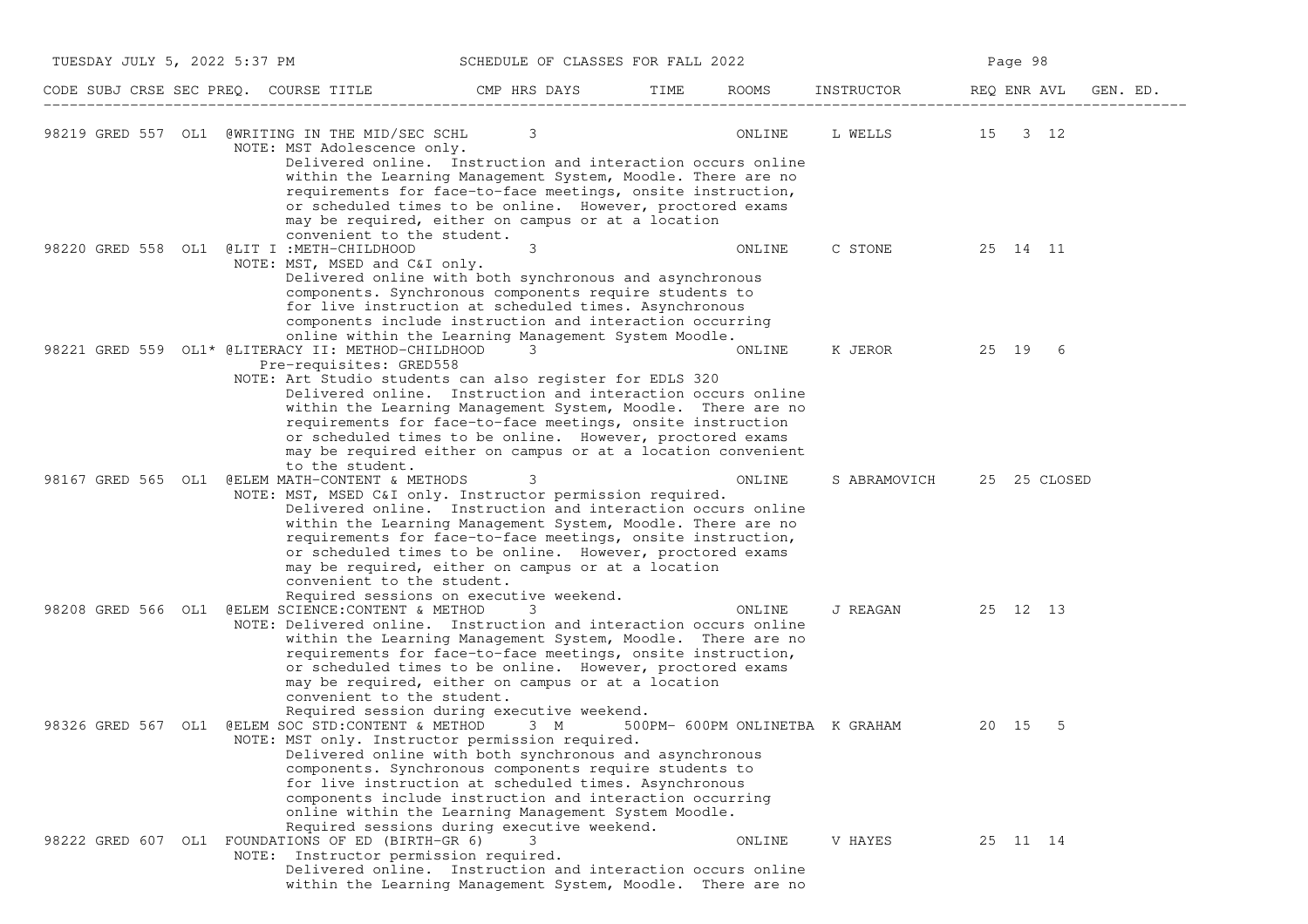| TUESDAY JULY 5, 2022 5:37 PM |                                                                                                                                                               | SCHEDULE OF CLASSES FOR FALL 2022                                                                                                                                                                                                                                                                                                                                                  |      |        | Page 98                         |             |          |              |          |  |
|------------------------------|---------------------------------------------------------------------------------------------------------------------------------------------------------------|------------------------------------------------------------------------------------------------------------------------------------------------------------------------------------------------------------------------------------------------------------------------------------------------------------------------------------------------------------------------------------|------|--------|---------------------------------|-------------|----------|--------------|----------|--|
|                              | CODE SUBJ CRSE SEC PREQ. COURSE TITLE                                                                                                                         | CMP HRS DAYS                                                                                                                                                                                                                                                                                                                                                                       | TIME | ROOMS  | INSTRUCTOR                      | REQ ENR AVL |          |              | GEN. ED. |  |
|                              | 98219 GRED 557 OL1 @WRITING IN THE MID/SEC SCHL<br>NOTE: MST Adolescence only.                                                                                | 3<br>Delivered online. Instruction and interaction occurs online<br>within the Learning Management System, Moodle. There are no<br>requirements for face-to-face meetings, onsite instruction,<br>or scheduled times to be online. However, proctored exams<br>may be required, either on campus or at a location                                                                  |      | ONLINE | L WELLS 15 3 12                 |             |          |              |          |  |
|                              | convenient to the student.<br>98220 GRED 558 OL1 @LIT I:METH-CHILDHOOD<br>NOTE: MST, MSED and C&I only.                                                       | 3<br>Delivered online with both synchronous and asynchronous<br>components. Synchronous components require students to<br>for live instruction at scheduled times. Asynchronous<br>components include instruction and interaction occurring                                                                                                                                        |      | ONLINE | C STONE                         |             | 25 14 11 |              |          |  |
|                              | 98221 GRED 559 OL1* @LITERACY II: METHOD-CHILDHOOD<br>Pre-requisites: GRED558<br>NOTE: Art Studio students can also register for EDLS 320                     | online within the Learning Management System Moodle.<br>3<br>Delivered online. Instruction and interaction occurs online<br>within the Learning Management System, Moodle. There are no<br>requirements for face-to-face meetings, onsite instruction<br>or scheduled times to be online. However, proctored exams<br>may be required either on campus or at a location convenient |      | ONLINE | K JEROR 25 19                   |             |          | 6            |          |  |
|                              | to the student.<br>98167 GRED 565 OL1 @ELEM MATH-CONTENT & METHODS<br>NOTE: MST, MSED C&I only. Instructor permission required.<br>convenient to the student. | 3<br>Delivered online. Instruction and interaction occurs online<br>within the Learning Management System, Moodle. There are no<br>requirements for face-to-face meetings, onsite instruction,<br>or scheduled times to be online. However, proctored exams<br>may be required, either on campus or at a location<br>Required sessions on executive weekend.                       |      | ONLINE | S ABRAMOVICH                    |             |          | 25 25 CLOSED |          |  |
| 98208 GRED 566 OL1           | @ELEM SCIENCE: CONTENT & METHOD<br>NOTE: Delivered online. Instruction and interaction occurs online<br>convenient to the student.                            | 3<br>within the Learning Management System, Moodle. There are no<br>requirements for face-to-face meetings, onsite instruction,<br>or scheduled times to be online. However, proctored exams<br>may be required, either on campus or at a location<br>Required session during executive weekend.                                                                                   |      | ONLINE | J REAGAN                        |             | 25 12 13 |              |          |  |
| 98326 GRED 567 OL1           | @ELEM SOC STD:CONTENT & METHOD 3 M<br>NOTE: MST only. Instructor permission required.                                                                         | Delivered online with both synchronous and asynchronous<br>components. Synchronous components require students to<br>for live instruction at scheduled times. Asynchronous<br>components include instruction and interaction occurring<br>online within the Learning Management System Moodle.<br>Required sessions during executive weekend.                                      |      |        | 500PM- 600PM ONLINETBA K GRAHAM |             | 20 15    | -5           |          |  |
|                              | 98222 GRED 607 OL1 FOUNDATIONS OF ED (BIRTH-GR 6)<br>NOTE: Instructor permission required.                                                                    | 3<br>Delivered online. Instruction and interaction occurs online<br>within the Learning Management System, Moodle. There are no                                                                                                                                                                                                                                                    |      | ONLINE | V HAYES                         |             | 25 11 14 |              |          |  |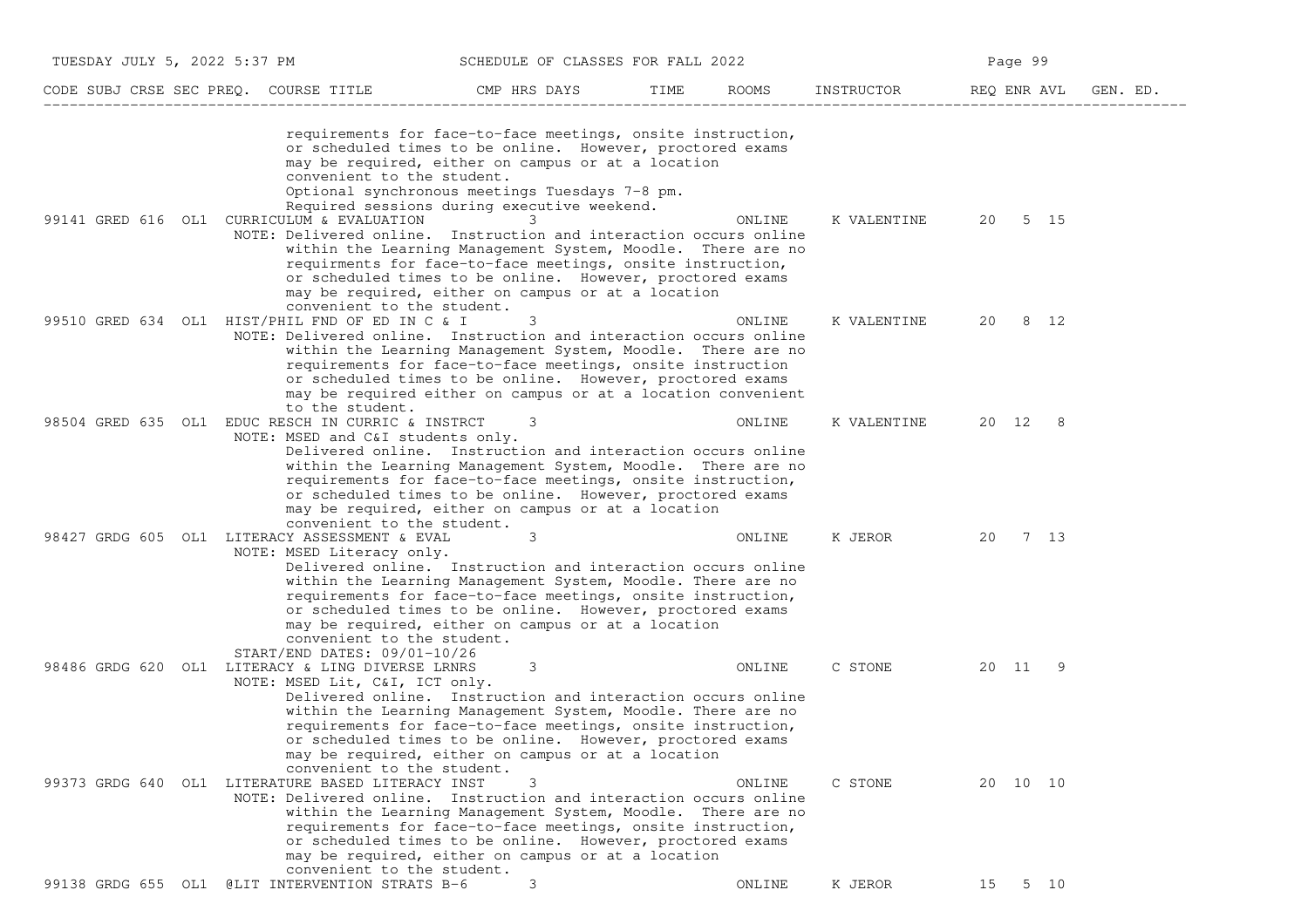| TUESDAY JULY 5, 2022 5:37 PM |                                                                                                                                                      | SCHEDULE OF CLASSES FOR FALL 2022                                                                                                                                                                                                                                                                                 |      |                     |                    | Page 99  |          |
|------------------------------|------------------------------------------------------------------------------------------------------------------------------------------------------|-------------------------------------------------------------------------------------------------------------------------------------------------------------------------------------------------------------------------------------------------------------------------------------------------------------------|------|---------------------|--------------------|----------|----------|
|                              | CODE SUBJ CRSE SEC PREQ. COURSE TITLE                                                                                                                | CMP HRS DAYS                                                                                                                                                                                                                                                                                                      | TIME | ROOMS<br>INSTRUCTOR | REQ ENR AVL        |          | GEN. ED. |
|                              | convenient to the student.                                                                                                                           | requirements for face-to-face meetings, onsite instruction,<br>or scheduled times to be online. However, proctored exams<br>may be required, either on campus or at a location<br>Optional synchronous meetings Tuesdays 7-8 pm.<br>Required sessions during executive weekend.                                   |      |                     |                    |          |          |
|                              | 99141 GRED 616 OL1 CURRICULUM & EVALUATION<br>NOTE: Delivered online. Instruction and interaction occurs online<br>convenient to the student.        | 3<br>within the Learning Management System, Moodle. There are no<br>requirments for face-to-face meetings, onsite instruction,<br>or scheduled times to be online. However, proctored exams<br>may be required, either on campus or at a location                                                                 |      | ONLINE              | K VALENTINE        | 20 5 15  |          |
|                              | 99510 GRED 634 OL1 HIST/PHIL FND OF ED IN C & I<br>NOTE: Delivered online. Instruction and interaction occurs online<br>to the student.              | 3<br>within the Learning Management System, Moodle. There are no<br>requirements for face-to-face meetings, onsite instruction<br>or scheduled times to be online. However, proctored exams<br>may be required either on campus or at a location convenient                                                       |      | ONLINE              | K VALENTINE        | 20 8 12  |          |
|                              | 98504 GRED 635 OL1 EDUC RESCH IN CURRIC & INSTRCT<br>NOTE: MSED and C&I students only.<br>convenient to the student.                                 | 3<br>Delivered online. Instruction and interaction occurs online<br>within the Learning Management System, Moodle. There are no<br>requirements for face-to-face meetings, onsite instruction,<br>or scheduled times to be online. However, proctored exams<br>may be required, either on campus or at a location |      | ONLINE              | K VALENTINE        | 20 12 8  |          |
|                              | 98427 GRDG 605 OL1 LITERACY ASSESSMENT & EVAL<br>NOTE: MSED Literacy only.<br>convenient to the student.<br>START/END DATES: 09/01-10/26             | 3<br>Delivered online. Instruction and interaction occurs online<br>within the Learning Management System, Moodle. There are no<br>requirements for face-to-face meetings, onsite instruction,<br>or scheduled times to be online. However, proctored exams<br>may be required, either on campus or at a location |      | ONLINE              | K JEROR<br>20      | 7 13     |          |
|                              | 98486 GRDG 620 OL1 LITERACY & LING DIVERSE LRNRS<br>NOTE: MSED Lit, C&I, ICT only.<br>convenient to the student.                                     | 3<br>Delivered online. Instruction and interaction occurs online<br>within the Learning Management System, Moodle. There are no<br>requirements for face-to-face meetings, onsite instruction,<br>or scheduled times to be online. However, proctored exams<br>may be required, either on campus or at a location |      | ONLINE              | C STONE TO A STONE | 20 11    | -9       |
|                              | 99373 GRDG 640 OL1 LITERATURE BASED LITERACY INST<br>NOTE: Delivered online. Instruction and interaction occurs online<br>convenient to the student. | within the Learning Management System, Moodle. There are no<br>requirements for face-to-face meetings, onsite instruction,<br>or scheduled times to be online. However, proctored exams<br>may be required, either on campus or at a location                                                                     |      | ONLINE              | C STONE            | 20 10 10 |          |
|                              | 99138 GRDG 655 OL1 @LIT INTERVENTION STRATS B-6                                                                                                      | 3                                                                                                                                                                                                                                                                                                                 |      | ONLINE              | K JEROR            | 15 5 10  |          |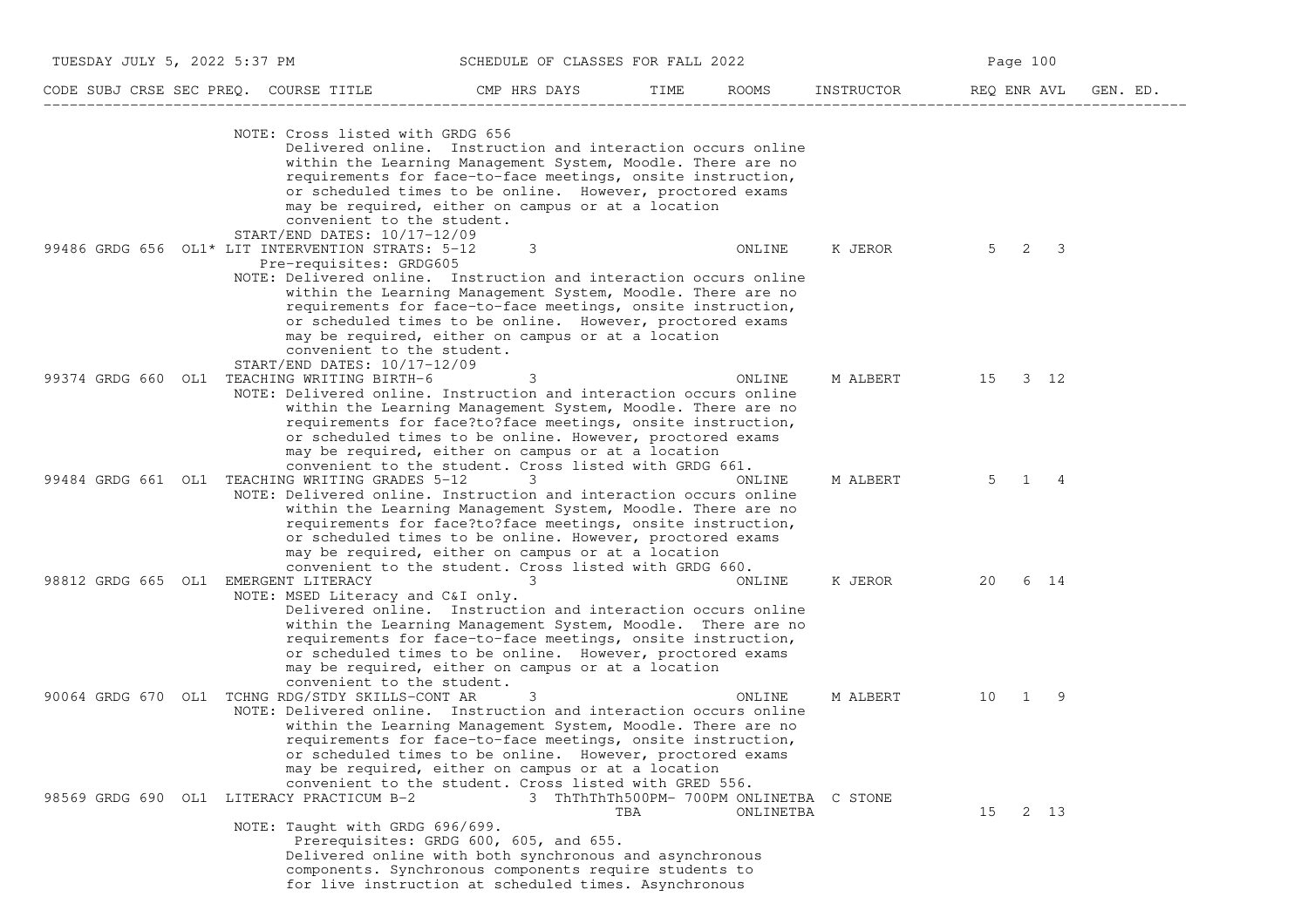| TUESDAY JULY 5, 2022 5:37 PM         |                                                                                                                                                                                                                                                 | SCHEDULE OF CLASSES FOR FALL 2022                                                                                                                                                                                                                                                                                        |      |           |            | Page 100    |                               |          |
|--------------------------------------|-------------------------------------------------------------------------------------------------------------------------------------------------------------------------------------------------------------------------------------------------|--------------------------------------------------------------------------------------------------------------------------------------------------------------------------------------------------------------------------------------------------------------------------------------------------------------------------|------|-----------|------------|-------------|-------------------------------|----------|
|                                      | CODE SUBJ CRSE SEC PREQ. COURSE TITLE                                                                                                                                                                                                           | CMP HRS DAYS                                                                                                                                                                                                                                                                                                             | TIME | ROOMS     | INSTRUCTOR | REQ ENR AVL |                               | GEN. ED. |
|                                      | NOTE: Cross listed with GRDG 656<br>convenient to the student.                                                                                                                                                                                  | Delivered online. Instruction and interaction occurs online<br>within the Learning Management System, Moodle. There are no<br>requirements for face-to-face meetings, onsite instruction,<br>or scheduled times to be online. However, proctored exams<br>may be required, either on campus or at a location             |      |           |            |             |                               |          |
|                                      | START/END DATES: 10/17-12/09<br>99486 GRDG 656 OL1* LIT INTERVENTION STRATS: 5-12<br>Pre-requisites: GRDG605<br>NOTE: Delivered online. Instruction and interaction occurs online<br>convenient to the student.<br>START/END DATES: 10/17-12/09 | 3<br>within the Learning Management System, Moodle. There are no<br>requirements for face-to-face meetings, onsite instruction,<br>or scheduled times to be online. However, proctored exams<br>may be required, either on campus or at a location                                                                       |      | ONLINE    | K JEROR    | 5           | 2<br>$\overline{\phantom{a}}$ |          |
|                                      | 99374 GRDG 660 OL1 TEACHING WRITING BIRTH-6<br>NOTE: Delivered online. Instruction and interaction occurs online                                                                                                                                | 3<br>within the Learning Management System, Moodle. There are no<br>requirements for face?to?face meetings, onsite instruction,<br>or scheduled times to be online. However, proctored exams<br>may be required, either on campus or at a location<br>convenient to the student. Cross listed with GRDG 661.             |      | ONLINE    | M ALBERT   | 15          | 3 12                          |          |
|                                      | 99484 GRDG 661 OL1 TEACHING WRITING GRADES 5-12<br>NOTE: Delivered online. Instruction and interaction occurs online                                                                                                                            | $\mathcal{S}$<br>within the Learning Management System, Moodle. There are no<br>requirements for face?to?face meetings, onsite instruction,<br>or scheduled times to be online. However, proctored exams<br>may be required, either on campus or at a location<br>convenient to the student. Cross listed with GRDG 660. |      | ONLINE    | M ALBERT   |             | 5 1 4                         |          |
| 98812 GRDG 665 OL1 EMERGENT LITERACY | NOTE: MSED Literacy and C&I only.<br>convenient to the student.                                                                                                                                                                                 | 3<br>Delivered online. Instruction and interaction occurs online<br>within the Learning Management System, Moodle. There are no<br>requirements for face-to-face meetings, onsite instruction,<br>or scheduled times to be online. However, proctored exams<br>may be required, either on campus or at a location        |      | ONLINE    | K JEROR    | 20          | 6 14                          |          |
| 90064 GRDG 670 OL1                   | TCHNG RDG/STDY SKILLS-CONT AR<br>NOTE: Delivered online. Instruction and interaction occurs online                                                                                                                                              | 3<br>within the Learning Management System, Moodle. There are no<br>requirements for face-to-face meetings, onsite instruction,<br>or scheduled times to be online. However, proctored exams<br>may be required, either on campus or at a location<br>convenient to the student. Cross listed with GRED 556.             |      | ONLINE    | M ALBERT   | 10 1        | -9                            |          |
|                                      | 98569 GRDG 690 OL1 LITERACY PRACTICUM B-2<br>NOTE: Taught with GRDG 696/699.                                                                                                                                                                    | 3 ThThThTh500PM- 700PM ONLINETBA C STONE<br>Prerequisites: GRDG 600, 605, and 655.<br>Delivered online with both synchronous and asynchronous<br>components. Synchronous components require students to<br>for live instruction at scheduled times. Asynchronous                                                         | TBA  | ONLINETBA |            | 15          | 2 13                          |          |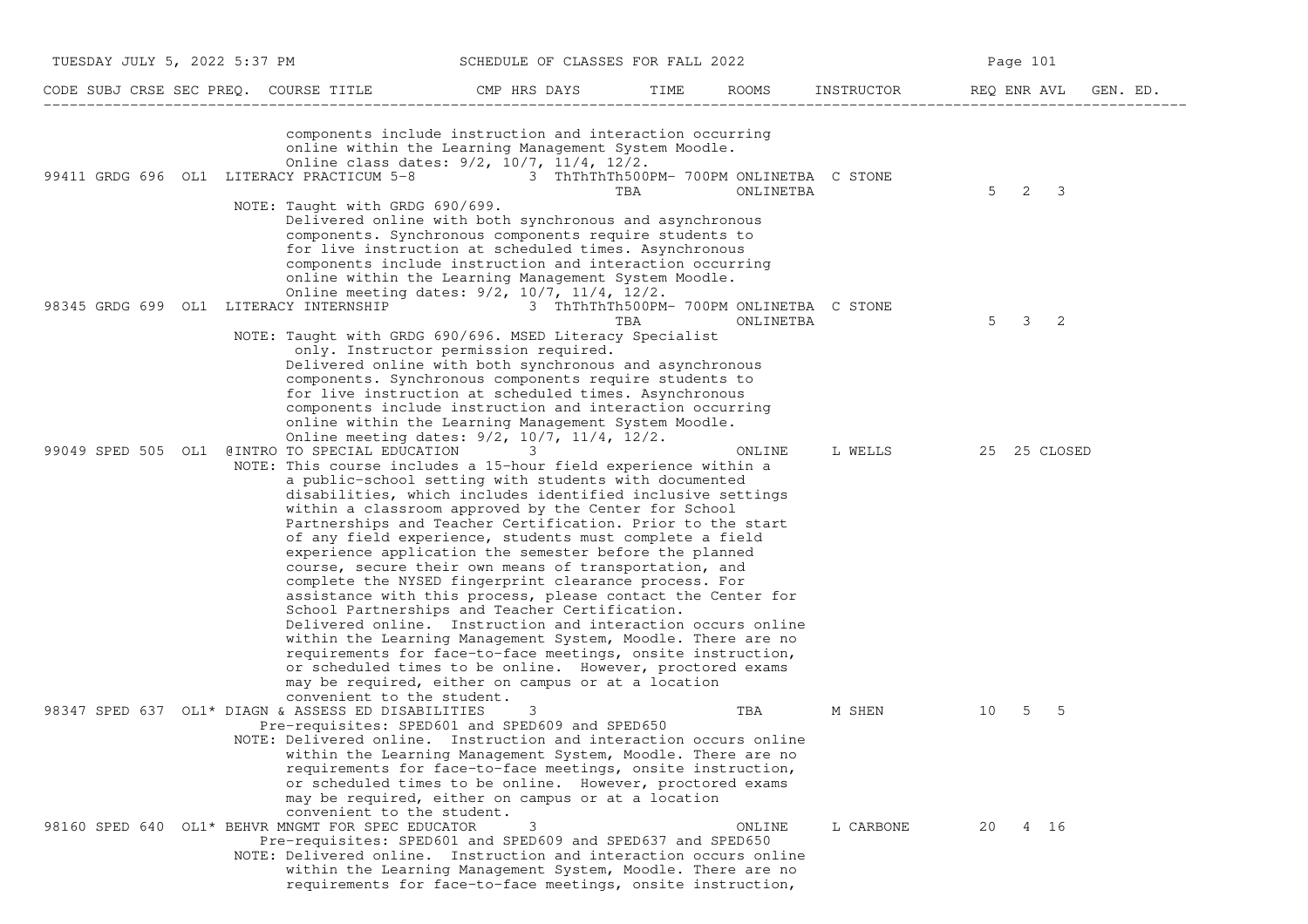| TUESDAY JULY 5, 2022 5:37 PM                                                       | SCHEDULE OF CLASSES FOR FALL 2022                                                                                                                                                                                                                                                                                                                                                                                                                                                                                                                                                                                                                                                                                                                                                                                                                                                                                                                                                                                      |                                                       |            | Page 101                |
|------------------------------------------------------------------------------------|------------------------------------------------------------------------------------------------------------------------------------------------------------------------------------------------------------------------------------------------------------------------------------------------------------------------------------------------------------------------------------------------------------------------------------------------------------------------------------------------------------------------------------------------------------------------------------------------------------------------------------------------------------------------------------------------------------------------------------------------------------------------------------------------------------------------------------------------------------------------------------------------------------------------------------------------------------------------------------------------------------------------|-------------------------------------------------------|------------|-------------------------|
| CODE SUBJ CRSE SEC PREQ. COURSE TITLE                                              | CMP HRS DAYS                                                                                                                                                                                                                                                                                                                                                                                                                                                                                                                                                                                                                                                                                                                                                                                                                                                                                                                                                                                                           | ROOMS<br>TIME                                         | INSTRUCTOR | REQ ENR AVL<br>GEN. ED. |
| 99411 GRDG 696 OL1 LITERACY PRACTICUM 5-8 3 ThThThTh500PM- 700PM ONLINETBA C STONE | components include instruction and interaction occurring<br>online within the Learning Management System Moodle.<br>Online class dates: 9/2, 10/7, 11/4, 12/2.<br>TBA                                                                                                                                                                                                                                                                                                                                                                                                                                                                                                                                                                                                                                                                                                                                                                                                                                                  | ONLINETBA                                             |            | $5 \t2 \t3$             |
| NOTE: Taught with GRDG 690/699.                                                    | Delivered online with both synchronous and asynchronous<br>components. Synchronous components require students to<br>for live instruction at scheduled times. Asynchronous<br>components include instruction and interaction occurring<br>online within the Learning Management System Moodle.<br>Online meeting dates: 9/2, 10/7, 11/4, 12/2.                                                                                                                                                                                                                                                                                                                                                                                                                                                                                                                                                                                                                                                                         |                                                       |            |                         |
| 98345 GRDG 699 OL1 LITERACY INTERNSHIP                                             | TBA<br>NOTE: Taught with GRDG 690/696. MSED Literacy Specialist<br>only. Instructor permission required.<br>Delivered online with both synchronous and asynchronous<br>components. Synchronous components require students to<br>for live instruction at scheduled times. Asynchronous<br>components include instruction and interaction occurring<br>online within the Learning Management System Moodle.<br>Online meeting dates: 9/2, 10/7, 11/4, 12/2.                                                                                                                                                                                                                                                                                                                                                                                                                                                                                                                                                             | 3 ThThThTh500PM- 700PM ONLINETBA C STONE<br>ONLINETBA |            | 5<br>3<br>-2            |
| 99049 SPED 505 OL1 @INTRO TO SPECIAL EDUCATION                                     | 3<br>NOTE: This course includes a 15-hour field experience within a<br>a public-school setting with students with documented<br>disabilities, which includes identified inclusive settings<br>within a classroom approved by the Center for School<br>Partnerships and Teacher Certification. Prior to the start<br>of any field experience, students must complete a field<br>experience application the semester before the planned<br>course, secure their own means of transportation, and<br>complete the NYSED fingerprint clearance process. For<br>assistance with this process, please contact the Center for<br>School Partnerships and Teacher Certification.<br>Delivered online. Instruction and interaction occurs online<br>within the Learning Management System, Moodle. There are no<br>requirements for face-to-face meetings, onsite instruction,<br>or scheduled times to be online. However, proctored exams<br>may be required, either on campus or at a location<br>convenient to the student. | ONLINE                                                | L WELLS    | 25 25 CLOSED            |
| 98347 SPED 637 OL1* DIAGN & ASSESS ED DISABILITIES                                 | 3<br>Pre-requisites: SPED601 and SPED609 and SPED650<br>NOTE: Delivered online. Instruction and interaction occurs online<br>within the Learning Management System, Moodle. There are no<br>requirements for face-to-face meetings, onsite instruction,<br>or scheduled times to be online. However, proctored exams<br>may be required, either on campus or at a location<br>convenient to the student.                                                                                                                                                                                                                                                                                                                                                                                                                                                                                                                                                                                                               | TBA                                                   | M SHEN     | 5<br>- 5<br>10          |
| 98160 SPED 640 OL1* BEHVR MNGMT FOR SPEC EDUCATOR                                  | 3<br>Pre-requisites: SPED601 and SPED609 and SPED637 and SPED650<br>NOTE: Delivered online. Instruction and interaction occurs online<br>within the Learning Management System, Moodle. There are no<br>requirements for face-to-face meetings, onsite instruction,                                                                                                                                                                                                                                                                                                                                                                                                                                                                                                                                                                                                                                                                                                                                                    | ONLINE                                                | L CARBONE  | 4 16<br>20              |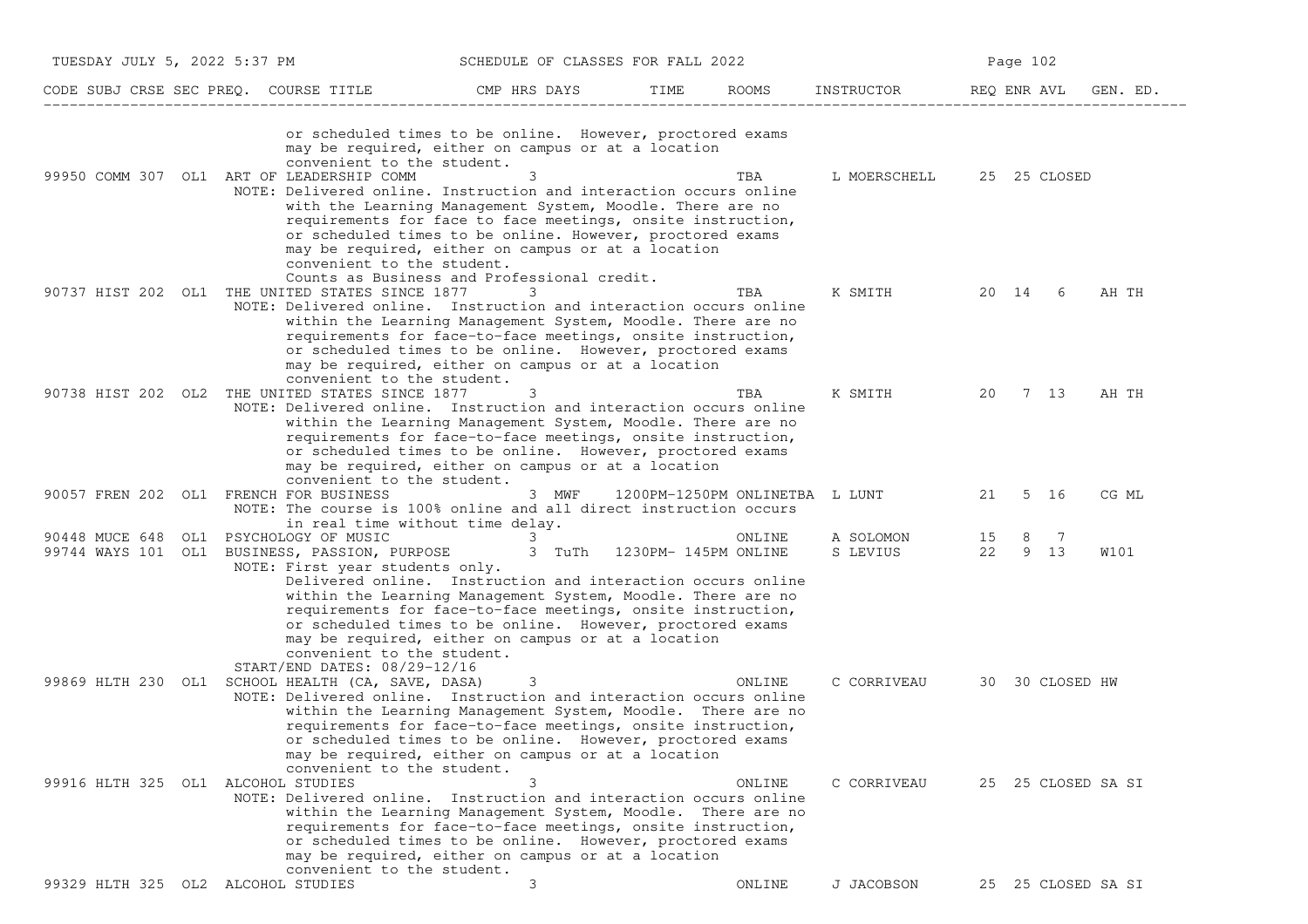| TUESDAY JULY 5, 2022 5:37 PM           |                                                                                                                 | SCHEDULE OF CLASSES FOR FALL 2022                                                                                                                                                                                                                                                                                                                                                                                                   |      | Page 102 |                                |    |                     |          |
|----------------------------------------|-----------------------------------------------------------------------------------------------------------------|-------------------------------------------------------------------------------------------------------------------------------------------------------------------------------------------------------------------------------------------------------------------------------------------------------------------------------------------------------------------------------------------------------------------------------------|------|----------|--------------------------------|----|---------------------|----------|
|                                        | CODE SUBJ CRSE SEC PREQ. COURSE TITLE                                                                           | CMP HRS DAYS                                                                                                                                                                                                                                                                                                                                                                                                                        | TIME | ROOMS    | INSTRUCTOR                     |    | REQ ENR AVL         | GEN. ED. |
|                                        | convenient to the student.<br>99950 COMM 307 OL1 ART OF LEADERSHIP COMM                                         | or scheduled times to be online. However, proctored exams<br>may be required, either on campus or at a location<br>NOTE: Delivered online. Instruction and interaction occurs online<br>with the Learning Management System, Moodle. There are no<br>requirements for face to face meetings, onsite instruction,<br>or scheduled times to be online. However, proctored exams<br>may be required, either on campus or at a location |      | TBA      | L MOERSCHELL 25 25 CLOSED      |    |                     |          |
|                                        | convenient to the student.<br>90737 HIST 202 OL1 THE UNITED STATES SINCE 1877                                   | Counts as Business and Professional credit.<br>3<br>NOTE: Delivered online. Instruction and interaction occurs online<br>within the Learning Management System, Moodle. There are no<br>requirements for face-to-face meetings, onsite instruction,<br>or scheduled times to be online. However, proctored exams                                                                                                                    |      | TBA      | K SMITH                        |    | 20 14 6             | AH TH    |
|                                        | convenient to the student.<br>90738 HIST 202 OL2 THE UNITED STATES SINCE 1877                                   | may be required, either on campus or at a location<br>3<br>NOTE: Delivered online. Instruction and interaction occurs online<br>within the Learning Management System, Moodle. There are no<br>requirements for face-to-face meetings, onsite instruction,<br>or scheduled times to be online. However, proctored exams                                                                                                             |      | TBA      | K SMITH                        |    | 20 7 13             | AH TH    |
| 90057 FREN 202 OL1 FRENCH FOR BUSINESS | convenient to the student.                                                                                      | may be required, either on campus or at a location<br>3 MWF<br>NOTE: The course is 100% online and all direct instruction occurs<br>in real time without time delay.                                                                                                                                                                                                                                                                |      |          | 1200PM-1250PM ONLINETBA L LUNT | 21 | 5 16                | CG ML    |
| 90448 MUCE 648<br>OL1                  | PSYCHOLOGY OF MUSIC<br>NOTE: First year students only.                                                          | 3<br>99744 WAYS 101 OL1 BUSINESS, PASSION, PURPOSE 3 TuTh 1230PM-145PM ONLINE<br>Delivered online. Instruction and interaction occurs online<br>within the Learning Management System, Moodle. There are no<br>requirements for face-to-face meetings, onsite instruction,<br>or scheduled times to be online. However, proctored exams<br>may be required, either on campus or at a location                                       |      | ONLINE   | A SOLOMON<br>S LEVIUS          | 15 | 8<br>- 7<br>22 9 13 | W101     |
|                                        | convenient to the student.<br>START/END DATES: 08/29-12/16<br>99869 HLTH 230 OL1 SCHOOL HEALTH (CA, SAVE, DASA) | 3<br>NOTE: Delivered online. Instruction and interaction occurs online<br>within the Learning Management System, Moodle. There are no<br>requirements for face-to-face meetings, onsite instruction,<br>or scheduled times to be online. However, proctored exams<br>may be required, either on campus or at a location                                                                                                             |      | ONLINE   | C CORRIVEAU                    |    | 30 30 CLOSED HW     |          |
| 99916 HLTH 325 OL1 ALCOHOL STUDIES     | convenient to the student.                                                                                      | 3<br>NOTE: Delivered online. Instruction and interaction occurs online<br>within the Learning Management System, Moodle. There are no<br>requirements for face-to-face meetings, onsite instruction,<br>or scheduled times to be online. However, proctored exams<br>may be required, either on campus or at a location                                                                                                             |      | ONLINE   | C CORRIVEAU                    |    | 25 25 CLOSED SA SI  |          |
| 99329 HLTH 325 OL2 ALCOHOL STUDIES     | convenient to the student.                                                                                      | 3                                                                                                                                                                                                                                                                                                                                                                                                                                   |      | ONLINE   | J JACOBSON                     |    | 25 25 CLOSED SA SI  |          |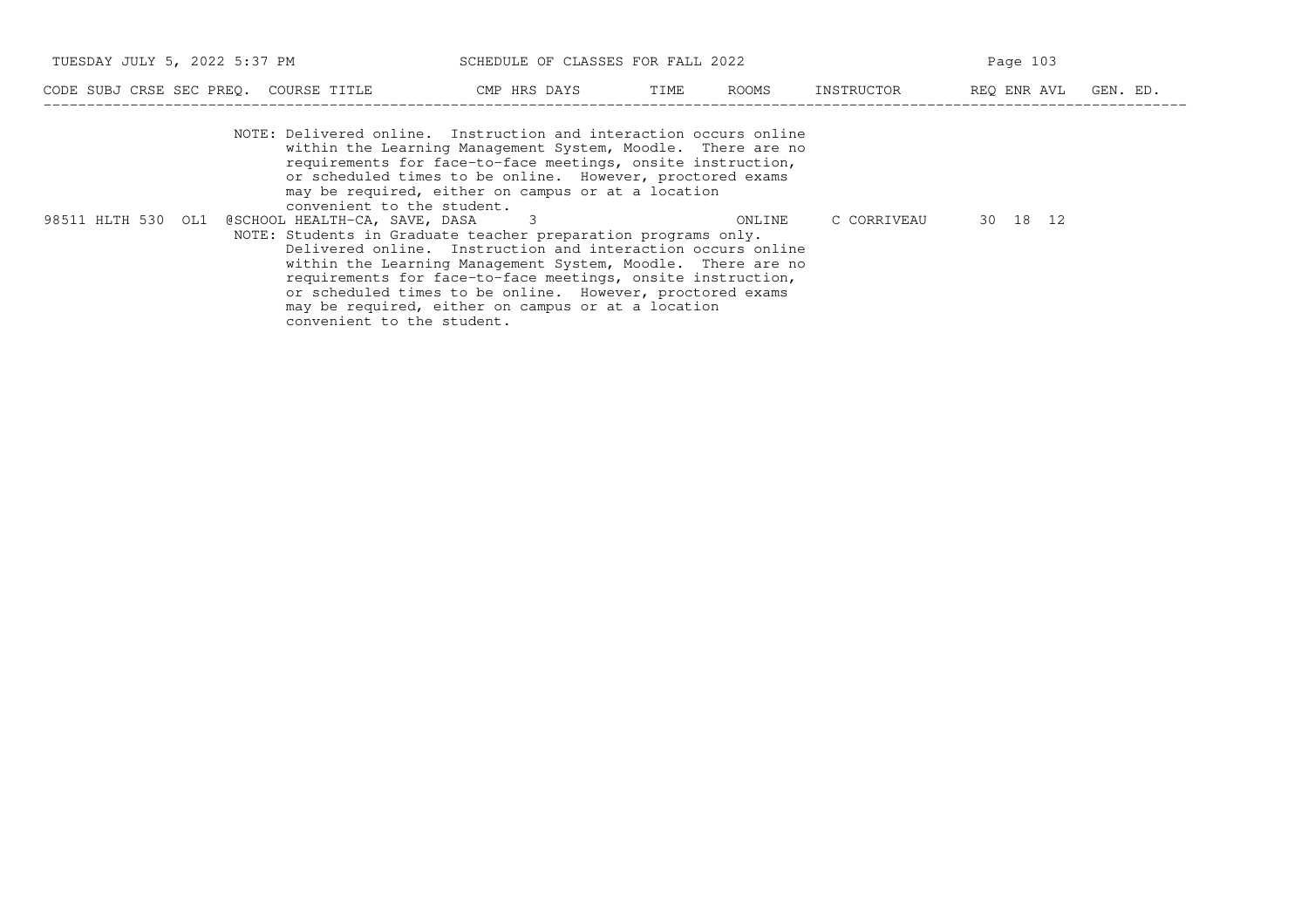| TUESDAY JULY 5, 2022 5:37 PM<br>SCHEDULE OF CLASSES FOR FALL 2022 |                                                                                                                                                                                                                                               |      |       | Page 103   |             |          |
|-------------------------------------------------------------------|-----------------------------------------------------------------------------------------------------------------------------------------------------------------------------------------------------------------------------------------------|------|-------|------------|-------------|----------|
| CODE SUBJ CRSE SEC PREO. COURSE TITLE                             | CMP HRS DAYS                                                                                                                                                                                                                                  | TIME | ROOMS | INSTRUCTOR | REO ENR AVL | GEN. ED. |
| NOTE: Delivered online. Instruction and interaction occurs online | within the Learning Management System, Moodle. There are no<br>requirements for face-to-face meetings, onsite instruction,<br>or scheduled times to be online. However, proctored exams<br>may be required, either on campus or at a location |      |       |            |             |          |

 convenient to the student.98511 HLTH 530 OL1 @SCHOOL HEALTH−CA, SAVE, DASA 3 ONLINE C CORRIVEAU 30 18 12 NOTE: Students in Graduate teacher preparation programs only. Delivered online. Instruction and interaction occurs online within the Learning Management System, Moodle. There are no requirements for face−to−face meetings, onsite instruction,or scheduled times to be online. However, proctored exams may be required, either on campus or at a locationconvenient to the student.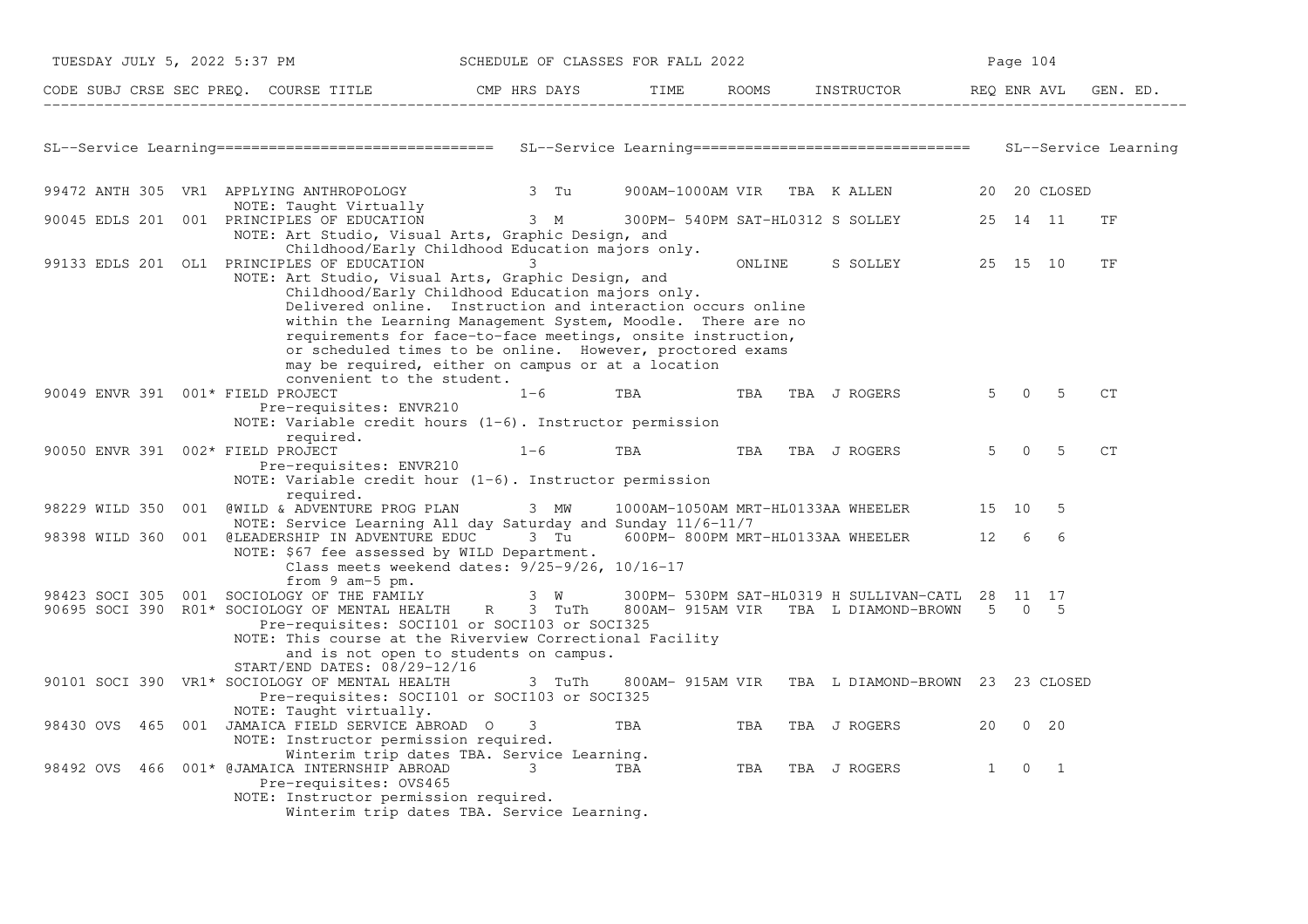| TUESDAY JULY 5, 2022 5:37 PM |                                                                                                                                                               | SCHEDULE OF CLASSES FOR FALL 2022<br>Page 104                                                                                                                                                                                                                                                                                                                                                                                                        |              |     |        |                  |                                                                                               |              |                |                |    |
|------------------------------|---------------------------------------------------------------------------------------------------------------------------------------------------------------|------------------------------------------------------------------------------------------------------------------------------------------------------------------------------------------------------------------------------------------------------------------------------------------------------------------------------------------------------------------------------------------------------------------------------------------------------|--------------|-----|--------|------------------|-----------------------------------------------------------------------------------------------|--------------|----------------|----------------|----|
|                              | CODE SUBJ CRSE SEC PREQ. COURSE TITLE THE CMP HRS DAYS TIME                                                                                                   |                                                                                                                                                                                                                                                                                                                                                                                                                                                      |              |     |        |                  | ROOMS INSTRUCTOR REQ ENR AVL GEN. ED.                                                         |              |                |                |    |
|                              |                                                                                                                                                               |                                                                                                                                                                                                                                                                                                                                                                                                                                                      |              |     |        |                  |                                                                                               |              |                |                |    |
|                              |                                                                                                                                                               |                                                                                                                                                                                                                                                                                                                                                                                                                                                      |              |     |        |                  |                                                                                               |              |                |                |    |
|                              | 99472 ANTH 305 VR1 APPLYING ANTHROPOLOGY<br>NOTE: Taught Virtually                                                                                            |                                                                                                                                                                                                                                                                                                                                                                                                                                                      | 3 Tu         |     |        |                  | 900AM-1000AM VIR TBA KALLEN 20 20 CLOSED                                                      |              |                |                |    |
|                              | 90045 EDLS 201 001 PRINCIPLES OF EDUCATION                                                                                                                    | NOTE: Art Studio, Visual Arts, Graphic Design, and<br>Childhood/Early Childhood Education majors only.                                                                                                                                                                                                                                                                                                                                               |              |     |        |                  | 3 M 300PM- 540PM SAT-HL0312 S SOLLEY                                                          |              | 25 14 11       |                | TF |
|                              | 99133 EDLS 201 OL1 PRINCIPLES OF EDUCATION                                                                                                                    | NOTE: Art Studio, Visual Arts, Graphic Design, and<br>Childhood/Early Childhood Education majors only.<br>Delivered online. Instruction and interaction occurs online<br>within the Learning Management System, Moodle. There are no<br>requirements for face-to-face meetings, onsite instruction,<br>or scheduled times to be online. However, proctored exams<br>may be required, either on campus or at a location<br>convenient to the student. | 3            |     | ONLINE |                  | S SOLLEY                                                                                      |              | 25 15 10       |                | TF |
|                              | 90049 ENVR 391 001* FIELD PROJECT<br>Pre-requisites: ENVR210                                                                                                  | NOTE: Variable credit hours $(1-6)$ . Instructor permission                                                                                                                                                                                                                                                                                                                                                                                          | $1 - 6$      | TBA | TBA    | TBA J ROGERS     |                                                                                               |              | $5 \t 0 \t 5$  |                | CT |
|                              | required.<br>90050 ENVR 391 002* FIELD PROJECT<br>Pre-requisites: ENVR210                                                                                     | NOTE: Variable credit hour $(1-6)$ . Instructor permission                                                                                                                                                                                                                                                                                                                                                                                           | $1 - 6$      | TBA |        | TBA TBA J ROGERS |                                                                                               | $5 -$        |                | $0\qquad 5$    | CT |
| 98229 WILD 350               | required.<br>001 @WILD & ADVENTURE PROG PLAN                                                                                                                  | NOTE: Service Learning All day Saturday and Sunday 11/6-11/7                                                                                                                                                                                                                                                                                                                                                                                         | 3 MW         |     |        |                  | 1000AM-1050AM MRT-HL0133AA WHEELER 15 10                                                      |              |                | -5             |    |
|                              | 98398 WILD 360 001 @LEADERSHIP IN ADVENTURE EDUC 3 Tu 600PM-800PM MRT-HL0133AA WHEELER 3 12 6                                                                 | NOTE: \$67 fee assessed by WILD Department.<br>Class meets weekend dates: 9/25-9/26, 10/16-17                                                                                                                                                                                                                                                                                                                                                        |              |     |        |                  |                                                                                               |              |                | 6              |    |
|                              | from $9$ am- $5$ pm.<br>98423 SOCI 305 001 SOCIOLOGY OF THE FAMILY<br>90695 SOCI 390 R01* SOCIOLOGY OF MENTAL HEALTH R 3 TuTh<br>START/END DATES: 08/29-12/16 | Pre-requisites: SOCI101 or SOCI103 or SOCI325<br>NOTE: This course at the Riverview Correctional Facility<br>and is not open to students on campus.                                                                                                                                                                                                                                                                                                  | $3 \tW$      |     |        |                  | 300PM- 530PM SAT-HL0319 H SULLIVAN-CATL 28 11 17<br>800AM-915AM VIR TBA L DIAMOND-BROWN 5 0 5 |              |                |                |    |
|                              | 90101 SOCI 390 VR1* SOCIOLOGY OF MENTAL HEALTH                                                                                                                | Pre-requisites: SOCI101 or SOCI103 or SOCI325                                                                                                                                                                                                                                                                                                                                                                                                        | 3 TuTh       |     |        |                  | 800AM- 915AM VIR TBA L DIAMOND-BROWN 23 23 CLOSED                                             |              |                |                |    |
|                              | NOTE: Taught virtually.<br>98430 OVS 465 001 JAMAICA FIELD SERVICE ABROAD O                                                                                   | NOTE: Instructor permission required.                                                                                                                                                                                                                                                                                                                                                                                                                | 3            | TBA | TBA    | TBA J ROGERS     |                                                                                               | 20           |                | $0\quad 20$    |    |
| 98492 OVS                    | 466 001* @JAMAICA INTERNSHIP ABROAD<br>Pre-requisites: OVS465                                                                                                 | Winterim trip dates TBA. Service Learning.<br>NOTE: Instructor permission required.<br>Winterim trip dates TBA. Service Learning.                                                                                                                                                                                                                                                                                                                    | <b>3 TBA</b> |     |        | TBA TBA J ROGERS |                                                                                               | $\mathbf{1}$ | $\overline{0}$ | $\overline{1}$ |    |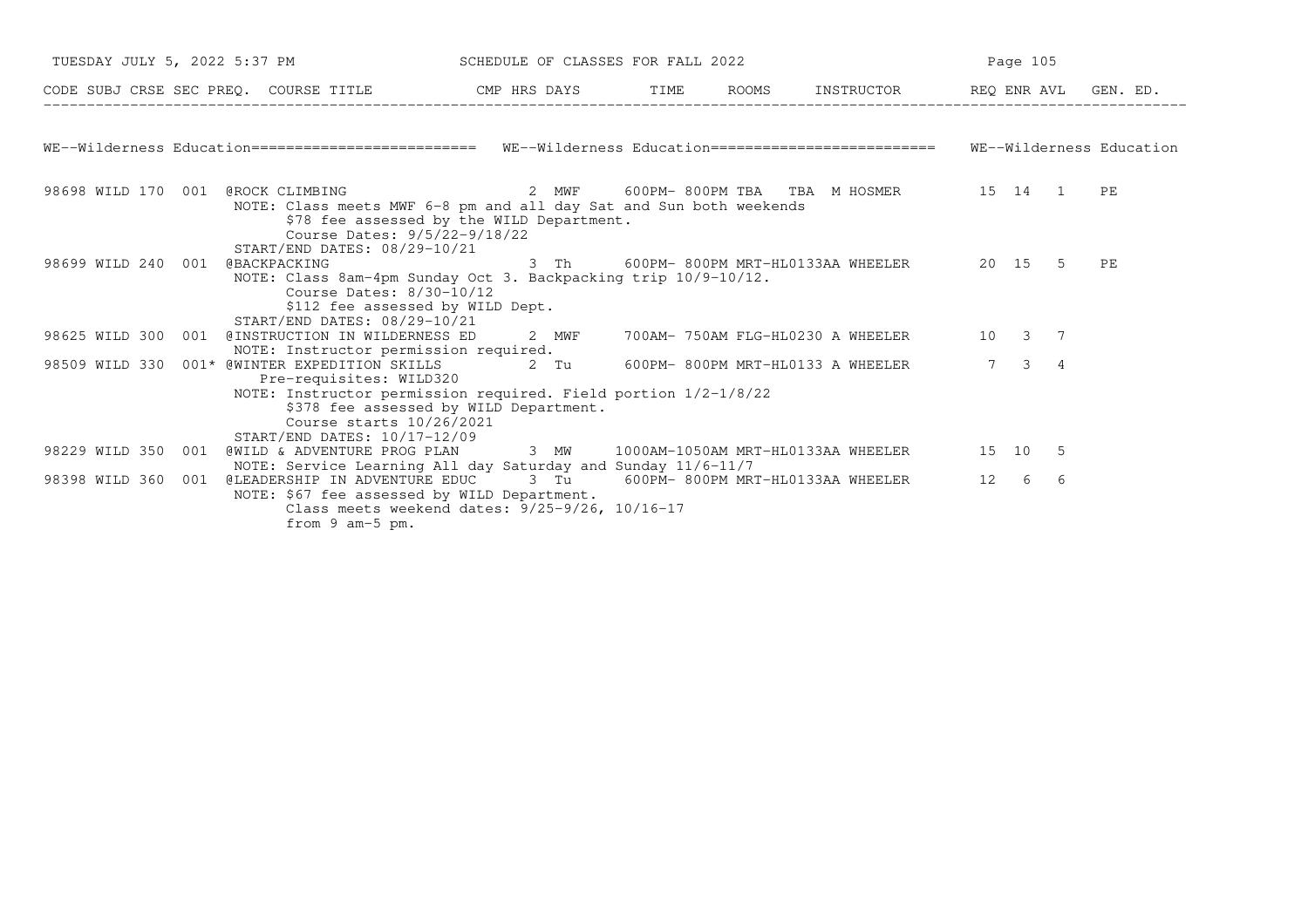| TUESDAY JULY 5, 2022 5:37 PM                                                                                                     |                                                                                                                                                                                                   |       | SCHEDULE OF CLASSES FOR FALL 2022 |  |                                               | Page 105       |                  |    |          |
|----------------------------------------------------------------------------------------------------------------------------------|---------------------------------------------------------------------------------------------------------------------------------------------------------------------------------------------------|-------|-----------------------------------|--|-----------------------------------------------|----------------|------------------|----|----------|
| CODE SUBJ CRSE SEC PREQ. COURSE TITLE THE CMP HRS DAYS                                                                           |                                                                                                                                                                                                   |       | TIME                              |  | ROOMS INSTRUCTOR                              |                | REQ ENR AVL      |    | GEN. ED. |
| WE--Wilderness Education============================ WE--Wilderness Education========================== WE--Wilderness Education |                                                                                                                                                                                                   |       |                                   |  |                                               |                |                  |    |          |
| 98698 WILD 170 001 @ROCK CLIMBING                                                                                                | NOTE: Class meets MWF 6-8 pm and all day Sat and Sun both weekends<br>\$78 fee assessed by the WILD Department.<br>Course Dates: 9/5/22-9/18/22<br>START/END DATES: 08/29-10/21                   |       |                                   |  |                                               |                |                  |    |          |
| 98699 WILD 240 001 @BACKPACKING                                                                                                  | NOTE: Class 8am-4pm Sunday Oct 3. Backpacking trip 10/9-10/12.<br>Course Dates: 8/30-10/12<br>\$112 fee assessed by WILD Dept.<br>START/END DATES: 08/29-10/21                                    |       |                                   |  | 3 Th 600PM-800PM MRT-HL0133AA WHEELER 20 15 5 |                |                  |    | PE       |
| 98625 WILD 300 001                                                                                                               | @INSTRUCTION IN WILDERNESS ED<br>NOTE: Instructor permission required.                                                                                                                            | 2 MWF |                                   |  | 700AM- 750AM FLG-HL0230 A WHEELER             | 10 3 7         |                  |    |          |
| 98509 WILD 330 001* @WINTER EXPEDITION SKILLS 2 Tu                                                                               | Pre-requisites: WILD320<br>NOTE: Instructor permission required. Field portion 1/2-1/8/22<br>\$378 fee assessed by WILD Department.<br>Course starts 10/26/2021<br>START/END DATES: 10/17-12/09   |       |                                   |  | 600PM- 800PM MRT-HL0133 A WHEELER             | 7 <sup>7</sup> | $\overline{3}$ 4 |    |          |
| 98229 WILD 350 001                                                                                                               | @WILD & ADVENTURE PROG PLAN 3 MW 1000AM-1050AM MRT-HL0133AA WHEELER 15 10 5<br>NOTE: Service Learning All day Saturday and Sunday 11/6-11/7                                                       |       |                                   |  |                                               |                |                  |    |          |
| 98398 WILD 360 001                                                                                                               | @LEADERSHIP IN ADVENTURE EDUC 3 Tu 600PM-800PM MRT-HL0133AA WHEELER<br>NOTE: \$67 fee assessed by WILD Department.<br>Class meets weekend dates: $9/25-9/26$ , $10/16-17$<br>from $9$ am- $5$ pm. |       |                                   |  |                                               | 12             | 6                | -6 |          |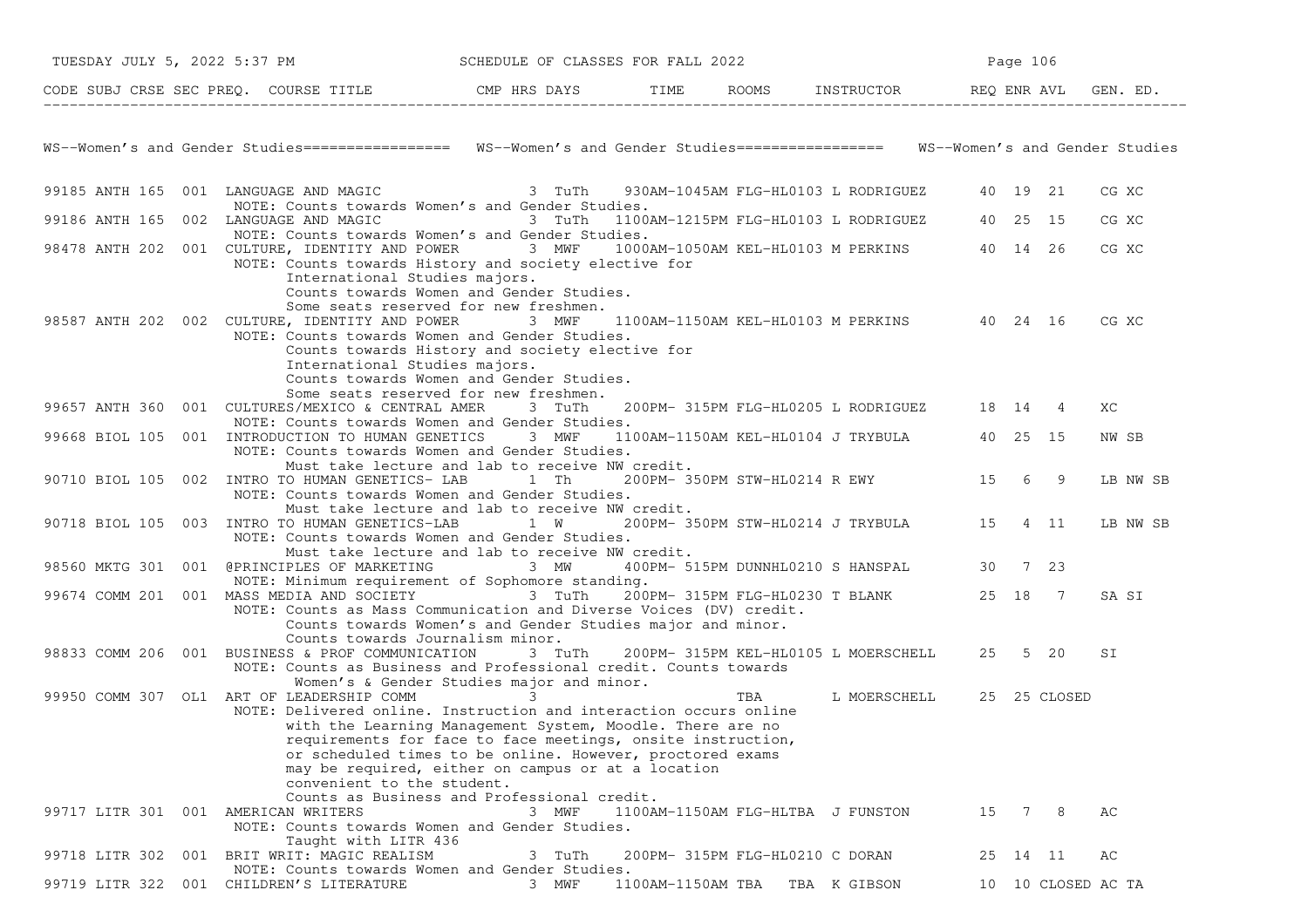|                                     | TUESDAY JULY 5, 2022 5:37 PM SCHEDULE OF CLASSES FOR FALL 2022                                                                                                                             |                                                                                                                                                                                                                                                                                                                                                     |                   |                                                    | Page 106 |                    |
|-------------------------------------|--------------------------------------------------------------------------------------------------------------------------------------------------------------------------------------------|-----------------------------------------------------------------------------------------------------------------------------------------------------------------------------------------------------------------------------------------------------------------------------------------------------------------------------------------------------|-------------------|----------------------------------------------------|----------|--------------------|
|                                     | CODE SUBJ CRSE SEC PREQ. COURSE TITLE THE ROAYS TIME ROOMS INSTRUCTOR REQ ENR AVL GEN. ED.                                                                                                 |                                                                                                                                                                                                                                                                                                                                                     |                   |                                                    |          |                    |
|                                     |                                                                                                                                                                                            |                                                                                                                                                                                                                                                                                                                                                     |                   |                                                    |          |                    |
|                                     | WS--Women's and Gender Studies================ WS--Women's and Gender Studies================= WS--Women's and Gender Studies                                                              |                                                                                                                                                                                                                                                                                                                                                     |                   |                                                    |          |                    |
|                                     | 99185 ANTH 165 001 LANGUAGE AND MAGIC 3 TuTh 930AM-1045AM FLG-HL0103 L RODRIGUEZ 40 19 21<br>NOTE: Counts towards Women's and Gender Studies.                                              |                                                                                                                                                                                                                                                                                                                                                     |                   |                                                    |          | CG XC              |
|                                     | 99186 ANTH 165 002 LANGUAGE AND MAGIC 3 TuTh 1100AM-1215PM FLG-HL0103 L RODRIGUEZ 40 25 15<br>NOTE: Counts towards Women's and Gender Studies.                                             |                                                                                                                                                                                                                                                                                                                                                     |                   |                                                    |          | CG XC              |
|                                     | 98478 ANTH 202 001 CULTURE, IDENTITY AND POWER 3 MWF 1000AM-1050AM KEL-HL0103 M PERKINS 40 14 26<br>NOTE: Counts towards History and society elective for<br>International Studies majors. |                                                                                                                                                                                                                                                                                                                                                     |                   |                                                    |          | CG XC              |
|                                     | 98587 ANTH 202 002 CULTURE, IDENTITY AND POWER 3 MWF 1100AM-1150AM KEL-HL0103 M PERKINS 40 24 16<br>NOTE: Counts towards Women and Gender Studies.<br>International Studies majors.        | Counts towards Women and Gender Studies.<br>Some seats reserved for new freshmen.<br>Counts towards History and society elective for                                                                                                                                                                                                                |                   |                                                    |          | CG XC              |
|                                     |                                                                                                                                                                                            | Counts towards Women and Gender Studies.<br>Some seats reserved for new freshmen.                                                                                                                                                                                                                                                                   |                   |                                                    |          |                    |
|                                     | 99657 ANTH 360 001 CULTURES/MEXICO & CENTRAL AMER 3 TuTh 200PM-315PM FLG-HL0205 L RODRIGUEZ 18 14 4<br>NOTE: Counts towards Women and Gender Studies.                                      |                                                                                                                                                                                                                                                                                                                                                     |                   |                                                    |          | ХC                 |
|                                     | 99668 BIOL 105 001 INTRODUCTION TO HUMAN GENETICS<br>NOTE: Counts towards Women and Gender Studies.                                                                                        | 3 MWF                                                                                                                                                                                                                                                                                                                                               |                   | 1100AM-1150AM KEL-HL0104 J TRYBULA 40 25 15        |          | NW SB              |
|                                     | 90710 BIOL 105 002 INTRO TO HUMAN GENETICS- LAB 1 Th 200PM-350PM STW-HL0214 R EWY 15 6 9<br>NOTE: Counts towards Women and Gender Studies.                                                 | Must take lecture and lab to receive NW credit.                                                                                                                                                                                                                                                                                                     |                   |                                                    |          | LB NW SB           |
|                                     | 90718 BIOL 105 003 INTRO TO HUMAN GENETICS-LAB 1 W 200PM-350PM STW-HL0214 J TRYBULA 15 4 11<br>NOTE: Counts towards Women and Gender Studies.                                              | Must take lecture and lab to receive NW credit.<br>Must take lecture and lab to receive NW credit.                                                                                                                                                                                                                                                  |                   |                                                    |          | LB NW SB           |
|                                     | 98560 MKTG 301 001 @PRINCIPLES OF MARKETING 3 MW                                                                                                                                           |                                                                                                                                                                                                                                                                                                                                                     |                   | 400PM- 515PM DUNNHL0210 S HANSPAL 30 7 23          |          |                    |
|                                     | NOTE: Minimum requirement of Sophomore standing.<br>99674 COMM 201 001 MASS MEDIA AND SOCIETY 13 TuTh 200PM-315PM FLG-HL0230 T BLANK 25 18 7                                               |                                                                                                                                                                                                                                                                                                                                                     |                   |                                                    |          | SA SI              |
|                                     | NOTE: Counts as Mass Communication and Diverse Voices (DV) credit.<br>Counts towards Journalism minor.                                                                                     | Counts towards Women's and Gender Studies major and minor.                                                                                                                                                                                                                                                                                          |                   |                                                    |          |                    |
|                                     | 98833 COMM 206 001 BUSINESS & PROF COMMUNICATION<br>NOTE: Counts as Business and Professional credit. Counts towards                                                                       |                                                                                                                                                                                                                                                                                                                                                     |                   | 3 TuTh 200PM-315PM KEL-HL0105 L MOERSCHELL 25 5 20 |          | SI                 |
|                                     | 99950 COMM 307 OL1 ART OF LEADERSHIP COMM<br>NOTE: Delivered online. Instruction and interaction occurs online<br>convenient to the student.                                               | Women's & Gender Studies major and minor.<br>$\sim$ 3<br>with the Learning Management System, Moodle. There are no<br>requirements for face to face meetings, onsite instruction,<br>or scheduled times to be online. However, proctored exams<br>may be required, either on campus or at a location<br>Counts as Business and Professional credit. |                   | TBA L MOERSCHELL 25 25 CLOSED                      |          |                    |
| 99717 LITR 301 001 AMERICAN WRITERS | NOTE: Counts towards Women and Gender Studies.<br>Taught with LITR 436                                                                                                                     | 3 MWF                                                                                                                                                                                                                                                                                                                                               |                   | 1100AM-1150AM FLG-HLTBA J FUNSTON                  | 15 7 8   | АC                 |
|                                     | 99718 LITR 302 001 BRIT WRIT: MAGIC REALISM<br>NOTE: Counts towards Women and Gender Studies.                                                                                              | 3 TuTh                                                                                                                                                                                                                                                                                                                                              |                   | 200PM- 315PM FLG-HL0210 C DORAN                    | 25 14 11 | AC                 |
|                                     | 99719 LITR 322 001 CHILDREN'S LITERATURE                                                                                                                                                   | 3 MWF                                                                                                                                                                                                                                                                                                                                               | 1100AM-1150AM TBA | TBA K GIBSON                                       |          | 10 10 CLOSED AC TA |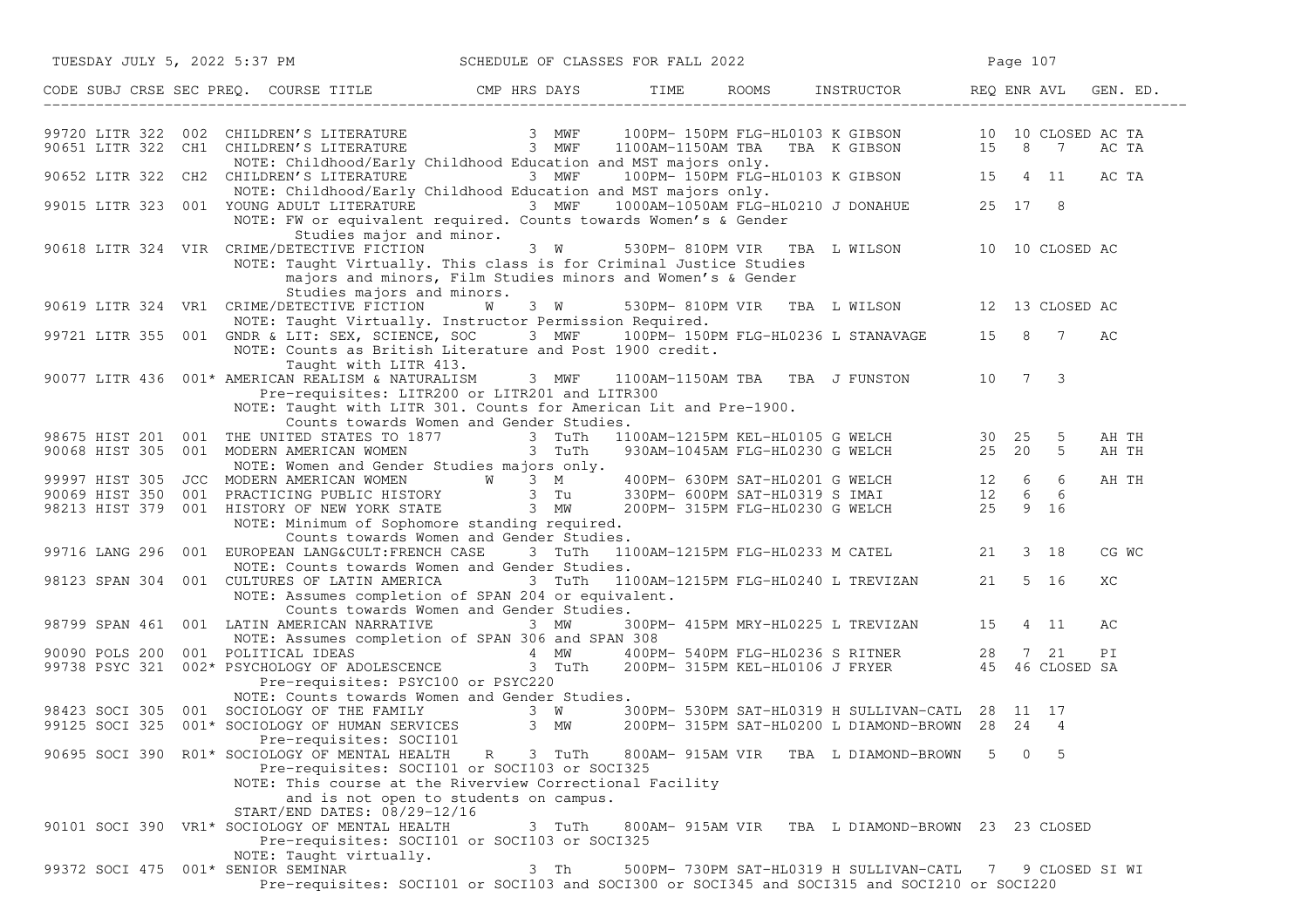| TUESDAY JULY 5, 2022 5:37 PM<br>SCHEDULE OF CLASSES FOR FALL 2022                                                                                                                                                                                                                                      |                 |  |                                                                                                    | Page 107 |             |       |
|--------------------------------------------------------------------------------------------------------------------------------------------------------------------------------------------------------------------------------------------------------------------------------------------------------|-----------------|--|----------------------------------------------------------------------------------------------------|----------|-------------|-------|
|                                                                                                                                                                                                                                                                                                        |                 |  |                                                                                                    |          |             |       |
|                                                                                                                                                                                                                                                                                                        |                 |  |                                                                                                    |          |             |       |
| 99720 LITR 322 002 CHILDREN'S LITERATURE 3 MWF 100PM-150PM FLG-HL0103 K GIBSON 10 10 CLOSED AC TA<br>90651 LITR 322 CH1 CHILDREN'S LITERATURE 3 MWF 1100AM-1150AM TBA TBA K GIBSON 15 8 7 AC TA<br>NOTE: Childhood/Early Childhood E<br>NOTE: Childhood/Early Childhood Education and MST majors only. |                 |  |                                                                                                    |          |             |       |
| 90652 LITR 322 CH2 CHILDREN'S LITERATURE 3 MWF 100PM-150PM FLG-HL0103 K GIBSON 15 4 11                                                                                                                                                                                                                 |                 |  |                                                                                                    |          |             | AC TA |
| NOTE: Childhood/Early Childhood Education and MST majors only.<br>99015 LITR 323 001 YOUNG ADULT LITERATURE 3 MWF 1000AM-1050AM FLG-HL0210 J DONAHUE 25 17 8<br>NOTE: FW or equivalent required. Counts towards Women's & Gender                                                                       |                 |  |                                                                                                    |          |             |       |
| Studies major and minor.<br>90618 LITR 324 VIR CRIME/DETECTIVE FICTION<br>NOTE: Taught Virtually. This class is for Criminal Justice Studies<br>majors and minors, Film Studies minors and Women's & Gender                                                                                            | 3 W             |  | 530PM-810PM VIR TBA L WILSON 10 10 CLOSED AC                                                       |          |             |       |
| Studies majors and minors.<br>90619 LITR 324 VR1 CRIME/DETECTIVE FICTION<br>NOTE: Taught Virtually. Instructor Permission Required.                                                                                                                                                                    | <b>W</b><br>3 W |  | 530PM-810PM VIR TBA L WILSON 12 13 CLOSED AC                                                       |          |             |       |
| 99721 LITR 355 001 GNDR & LIT: SEX, SCIENCE, SOC 3 MWF 100PM-150PM FLG-HL0236 L STANAVAGE 15 8 7<br>NOTE: Counts as British Literature and Post 1900 credit.                                                                                                                                           |                 |  |                                                                                                    |          |             | AС    |
| Taught with LITR 413.<br>90077 LITR 436 001* AMERICAN REALISM & NATURALISM<br>Pre-requisites: LITR200 or LITR201 and LITR300<br>NOTE: Taught with LITR 301. Counts for American Lit and Pre-1900.                                                                                                      | 3 MWF           |  | 1100AM-1150AM TBA TBA J FUNSTON 10 7 3                                                             |          |             |       |
| Counts towards Women and Gender Studies.                                                                                                                                                                                                                                                               |                 |  |                                                                                                    |          | 5           | AH TH |
| 98675 HIST 201 001 THE UNITED STATES TO 1877 3 TuTh 1100AM-1215PM KEL-HL0105 G WELCH 30 25<br>90068 HIST 305 001 MODERN AMERICAN WOMEN 3 TuTh 930AM-1045AM FLG-HL0230 G WELCH 25 20<br>NOTE: Women and Gender Studies majors only.                                                                     |                 |  |                                                                                                    |          | $5^{\circ}$ | AH TH |
|                                                                                                                                                                                                                                                                                                        |                 |  |                                                                                                    |          |             | AH TH |
|                                                                                                                                                                                                                                                                                                        |                 |  |                                                                                                    |          |             |       |
| 99997 HIST 305 JCC MODERN AMERICAN WOMEN WAS A MALL 200PM-630PM SAT-HLO201 G WELCH 12 6 6<br>90069 HIST 350 001 PRACTICING PUBLIC HISTORY 3 Tu 330PM-600PM SAT-HLO319 S IMAI 12 6 6<br>98213 HIST 379 001 HISTORY OF NEW YORK STATE<br>NOTE: Minimum of Sophomore standing required.                   |                 |  |                                                                                                    |          |             |       |
| Counts towards Women and Gender Studies.<br>99716 LANG 296 001 EUROPEAN LANG&CULT:FRENCH CASE                                                                                                                                                                                                          |                 |  | 3 TuTh 1100AM-1215PM FLG-HL0233 M CATEL 21 3 18                                                    |          |             | CG WC |
| NOTE: Counts towards Women and Gender Studies.<br>98123 SPAN 304 001 CULTURES OF LATIN AMERICA<br>NOTE: Assumes completion of SPAN 204 or equivalent.                                                                                                                                                  | 3 TuTh          |  | 1100AM-1215PM FLG-HL0240 L TREVIZAN 21 5 16                                                        |          |             | ХC    |
| Counts towards Women and Gender Studies.                                                                                                                                                                                                                                                               |                 |  |                                                                                                    |          |             |       |
| 98799 SPAN 461 001 LATIN AMERICAN NARRATIVE<br>NOTE: Assumes completion of SPAN 306 and SPAN 308                                                                                                                                                                                                       | $3$ MW          |  | 300PM- 415PM MRY-HL0225 L TREVIZAN 15                                                              |          | 4 11        | AC    |
| 90090 POLS 200 001 POLITICAL IDEAS TO SALL A MW 4 MW<br>99738 PSYC 321 002* PSYCHOLOGY OF ADOLESCENCE 3 TuTh                                                                                                                                                                                           |                 |  | 400PM- 540PM FLG-HL0236 S RITNER 28 7 21 PI<br>200PM- 315PM KEL-HL0106 J FRYER 45 46 CLOSED SA     |          |             |       |
| Pre-requisites: PSYC100 or PSYC220                                                                                                                                                                                                                                                                     |                 |  |                                                                                                    |          |             |       |
| NOTE: Counts towards Women and Gender Studies.                                                                                                                                                                                                                                                         |                 |  |                                                                                                    |          |             |       |
| 98423 SOCI 305 001 SOCIOLOGY OF THE FAMILY 3 W<br>99125 SOCI 325 001* SOCIOLOGY OF HUMAN SERVICES 3 MW<br>Pre-requisites: SOCI101                                                                                                                                                                      |                 |  | 300PM- 530PM SAT-HL0319 H SULLIVAN-CATL 28 11 17<br>200PM-315PM SAT-HL0200 L DIAMOND-BROWN 28 24 4 |          |             |       |
| 90695 SOCI 390 R01* SOCIOLOGY OF MENTAL HEALTH<br>Pre-requisites: SOCI101 or SOCI103 or SOCI325<br>NOTE: This course at the Riverview Correctional Facility<br>and is not open to students on campus.                                                                                                  | R 3 TuTh        |  | 800AM-915AM VIR TBA L DIAMOND-BROWN                                                                | $5 -$    | $0\quad 5$  |       |
| START/END DATES: 08/29-12/16<br>90101 SOCI 390 VR1* SOCIOLOGY OF MENTAL HEALTH<br>Pre-requisites: SOCI101 or SOCI103 or SOCI325                                                                                                                                                                        |                 |  | 3 TuTh 800AM-915AM VIR TBA L DIAMOND-BROWN 23 23 CLOSED                                            |          |             |       |
| NOTE: Taught virtually.<br>99372 SOCI 475 001* SENIOR SEMINAR<br>Pre-requisites: SOCI101 or SOCI103 and SOCI300 or SOCI345 and SOCI315 and SOCI210 or SOCI220                                                                                                                                          | 3 Th            |  | 500PM- 730PM SAT-HL0319 H SULLIVAN-CATL 7 9 CLOSED SI WI                                           |          |             |       |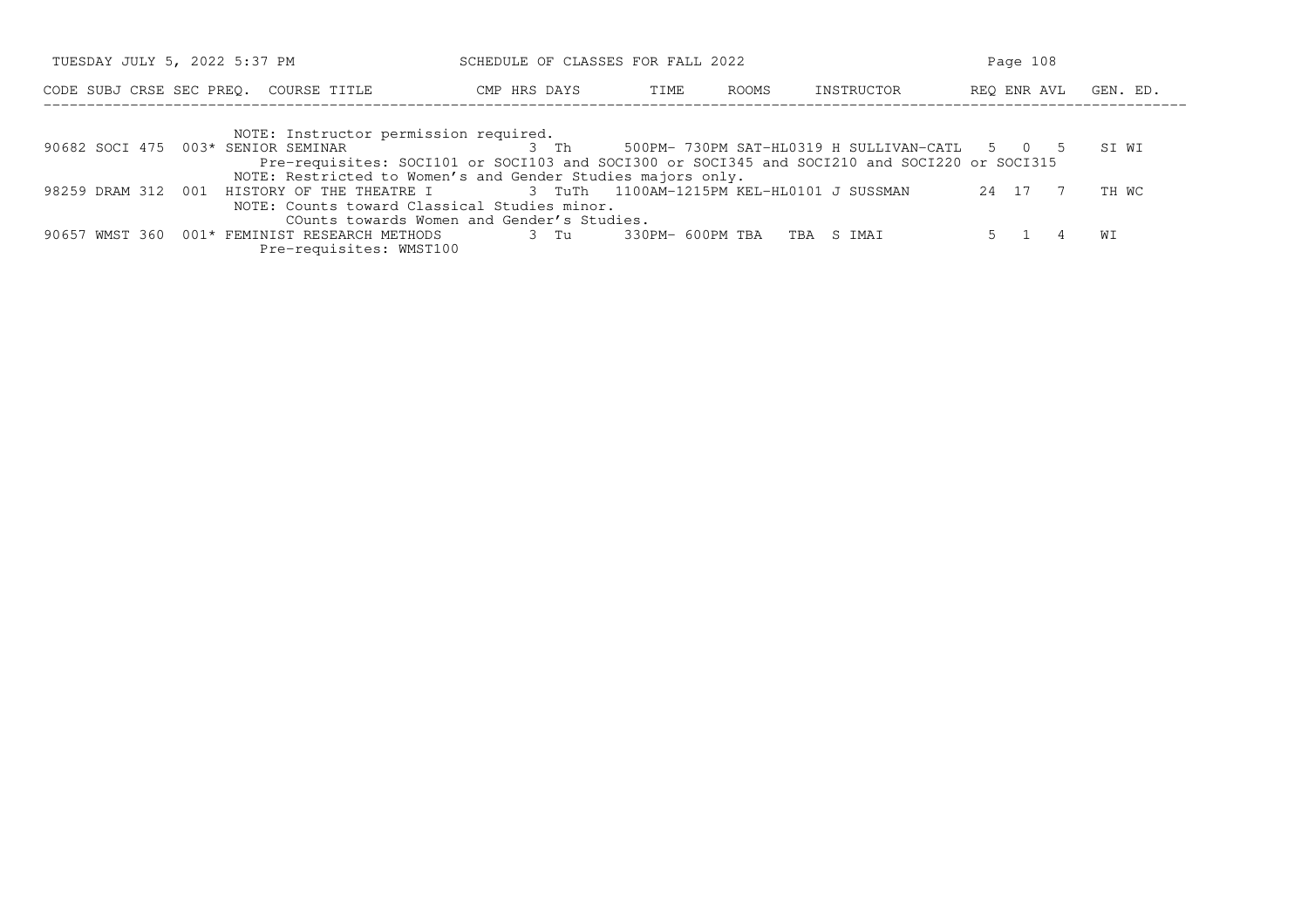| TUESDAY JULY 5, 2022 5:37 PM                                                                                                                                                                                                               |              | SCHEDULE OF CLASSES FOR FALL 2022 |       |                                              |             | Page 108 |  |  |
|--------------------------------------------------------------------------------------------------------------------------------------------------------------------------------------------------------------------------------------------|--------------|-----------------------------------|-------|----------------------------------------------|-------------|----------|--|--|
| CODE SUBJ CRSE SEC PREO. COURSE TITLE                                                                                                                                                                                                      | CMP HRS DAYS | TIME                              | ROOMS | INSTRUCTOR                                   | REO ENR AVL | GEN. ED. |  |  |
| NOTE: Instructor permission required.<br>90682 SOCI 475 003* SENIOR SEMINAR<br>Pre-requisites: SOCI101 or SOCI103 and SOCI300 or SOCI345 and SOCI210 and SOCI220 or SOCI315<br>NOTE: Restricted to Women's and Gender Studies majors only. | 3 Th         |                                   |       | 500PM-730PM SAT-HL0319 H SULLIVAN-CATL 5 0 5 |             | ST WT    |  |  |

|                                              |  | NOTE. RESCRIPCED TO MOMEN S QUO OCHOEL SCUOLES MO JOLS ONLY.                          |  |                                 |  |  |  |         |       |
|----------------------------------------------|--|---------------------------------------------------------------------------------------|--|---------------------------------|--|--|--|---------|-------|
|                                              |  | 98259 DRAM 312 001 HISTORY OF THE THEATRE I 3 TuTh 1100AM-1215PM KEL-HL0101 J SUSSMAN |  |                                 |  |  |  | 24 17 7 | TH WC |
| NOTE: Counts toward Classical Studies minor. |  |                                                                                       |  |                                 |  |  |  |         |       |
| COunts towards Women and Gender's Studies.   |  |                                                                                       |  |                                 |  |  |  |         |       |
|                                              |  | 90657 WMST 360 001* FEMINIST RESEARCH METHODS                                         |  | 3 Tu 330PM-600PM TBA TBA S IMAI |  |  |  |         |       |

Pre−requisites: WMST100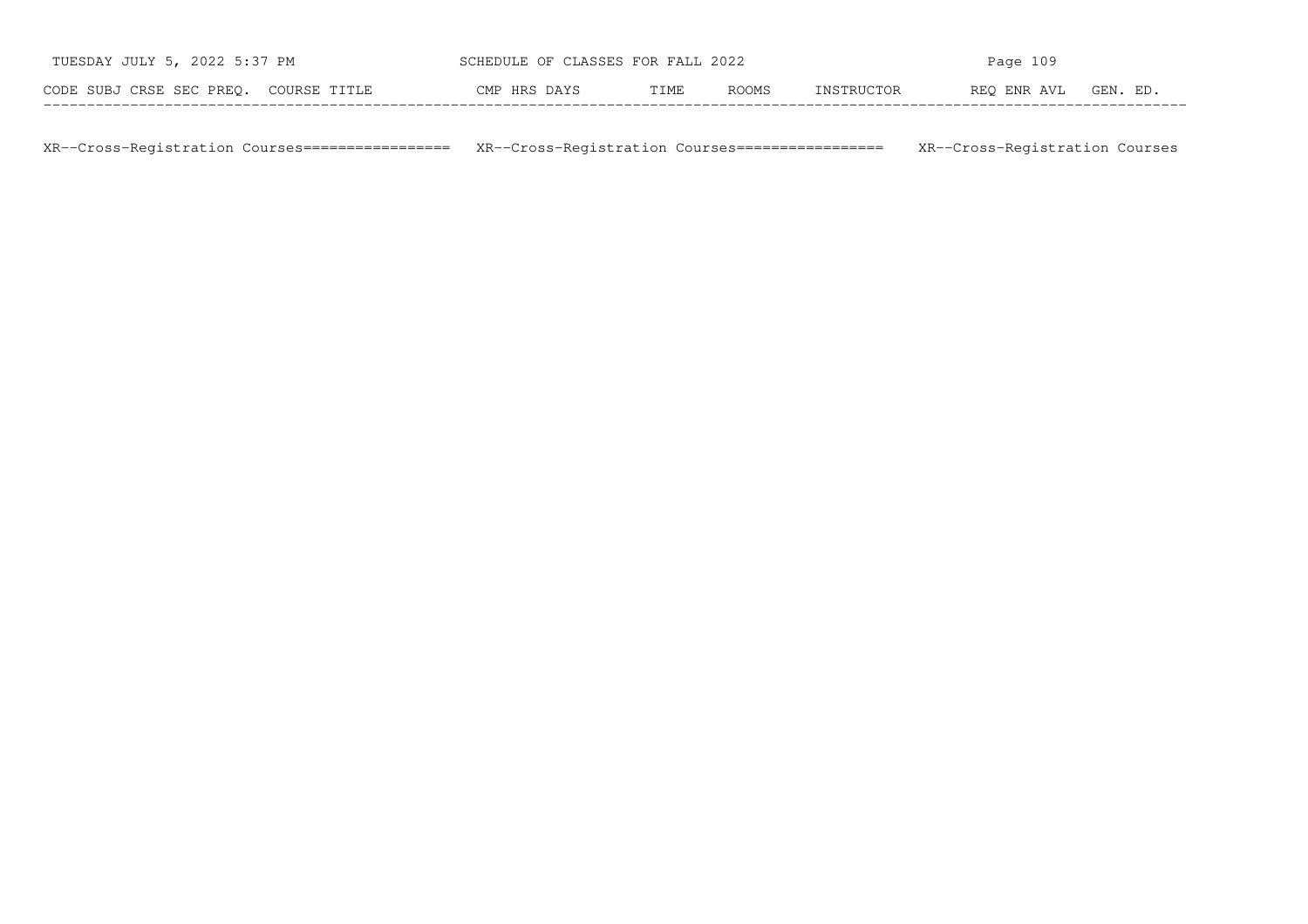| TUESDAY JULY 5, 2022 5:37 PM          | SCHEDULE OF CLASSES FOR FALL 2022 |      |       | Page $109$ |             |          |  |  |
|---------------------------------------|-----------------------------------|------|-------|------------|-------------|----------|--|--|
| CODE SUBJ CRSE SEC PREO. COURSE TITLE | CMP HRS DAYS                      | TIME | ROOMS | INSTRUCTOR | REO ENR AVL | GEN. ED. |  |  |

XR−−Cross−Registration Courses================= XR−−Cross−Registration Courses================= XR−−Cross−Registration Courses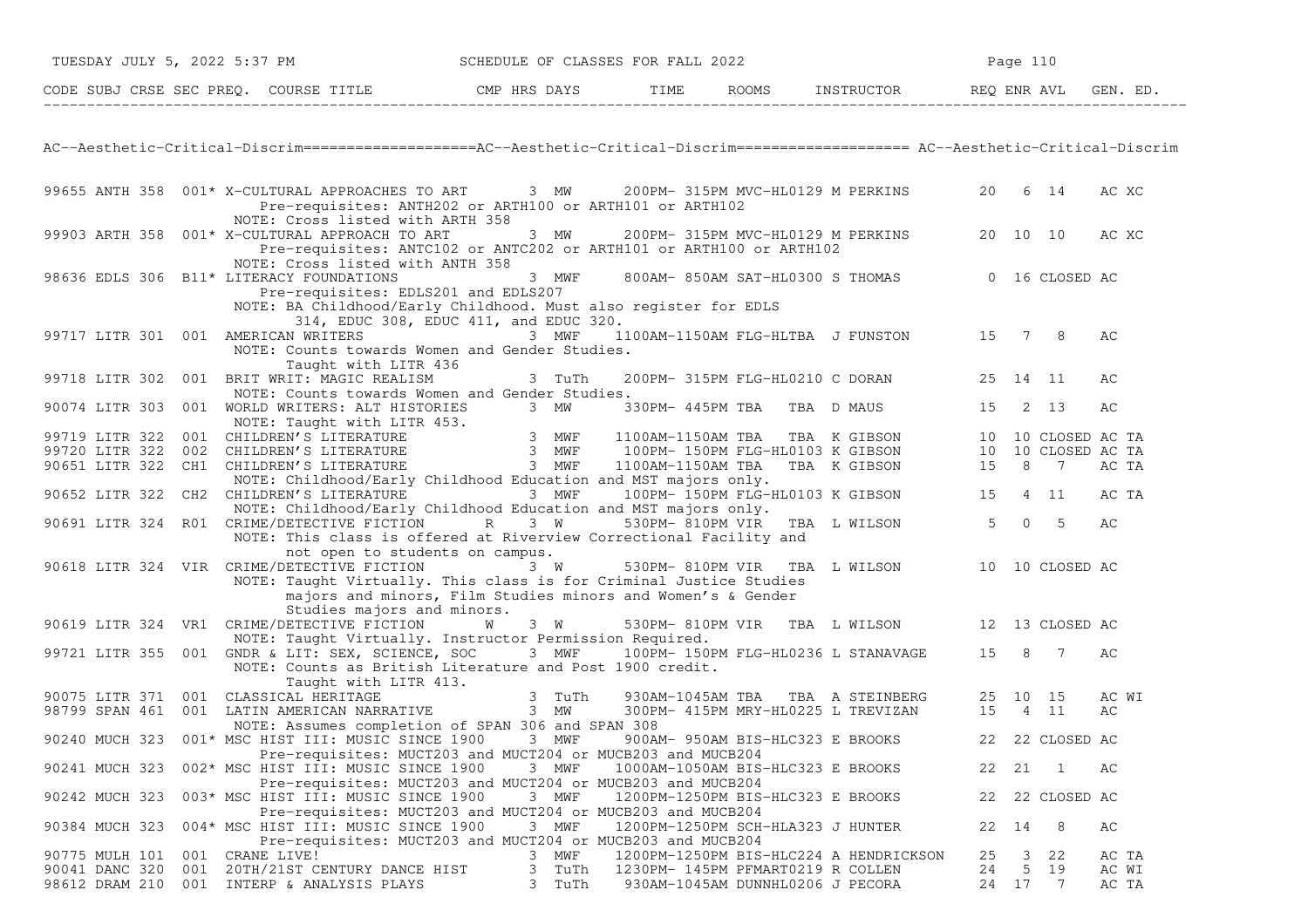| TUESDAY JULY 5, 2022 5:37 PM                                                                                                           | SCHEDULE OF CLASSES FOR FALL 2022                                                                                                                                           |                                                                                        | Page 110       |                 |                |
|----------------------------------------------------------------------------------------------------------------------------------------|-----------------------------------------------------------------------------------------------------------------------------------------------------------------------------|----------------------------------------------------------------------------------------|----------------|-----------------|----------------|
| CODE SUBJ CRSE SEC PREQ. COURSE TITLE THE THE THE ROOMS INSTRUCTOR THE REQ ENR AVL GEN. ED.                                            |                                                                                                                                                                             |                                                                                        |                |                 |                |
|                                                                                                                                        |                                                                                                                                                                             |                                                                                        |                |                 |                |
| AC--Aesthetic-Critical-Discrim==================AC--Aesthetic-Critical-Discrim=================== AC--Aesthetic-Critical-Discrim       |                                                                                                                                                                             |                                                                                        |                |                 |                |
| 99655 ANTH 358 001* X-CULTURAL APPROACHES TO ART 3 MW 200PM-315PM MVC-HL0129 M PERKINS 20 6 14<br>NOTE: Cross listed with ARTH 358     | Pre-requisites: ANTH202 or ARTH100 or ARTH101 or ARTH102                                                                                                                    |                                                                                        |                |                 | AC XC          |
| 99903 ARTH 358 001* X-CULTURAL APPROACH TO ART<br>NOTE: Cross listed with ANTH 358                                                     | 3 MW<br>Pre-requisites: ANTC102 or ANTC202 or ARTH101 or ARTH100 or ARTH102                                                                                                 | 200PM- 315PM MVC-HL0129 M PERKINS 20 10 10                                             |                |                 | AC XC          |
| 98636 EDLS 306 B11* LITERACY FOUNDATIONS                                                                                               | 3 MWF<br>Pre-requisites: EDLS201 and EDLS207<br>NOTE: BA Childhood/Early Childhood. Must also register for EDLS                                                             | 800AM-850AM SAT-HL0300 S THOMAS 600 16 CLOSED AC                                       |                |                 |                |
| 99717 LITR 301 001 AMERICAN WRITERS<br>Taught with LITR 436                                                                            | 314, EDUC 308, EDUC 411, and EDUC 320.<br>3 MWF<br>NOTE: Counts towards Women and Gender Studies.                                                                           | 1100AM-1150AM FLG-HLTBA J FUNSTON 15 7 8                                               |                |                 | AC             |
| 99718 LITR 302 001 BRIT WRIT: MAGIC REALISM                                                                                            | 3 TuTh<br>NOTE: Counts towards Women and Gender Studies.                                                                                                                    | 200PM- 315PM FLG-HL0210 C DORAN 25 14 11                                               |                |                 | AC             |
| 90074 LITR 303 001 WORLD WRITERS: ALT HISTORIES 3 MW                                                                                   |                                                                                                                                                                             | 330PM-445PM TBA TBA D MAUS 15 2 13                                                     |                |                 |                |
|                                                                                                                                        |                                                                                                                                                                             |                                                                                        |                |                 |                |
|                                                                                                                                        |                                                                                                                                                                             |                                                                                        |                |                 |                |
| 90691 LITR 324 RO1 CRIME/DETECTIVE FICTION R 3 W 530PM-810PM VIR TBA L WILSON 5 0 5                                                    | NOTE: Childhood/Early Childhood Education and MST majors only.<br>NOTE: This class is offered at Riverview Correctional Facility and                                        |                                                                                        |                |                 | АC             |
| 90618 LITR 324 VIR CRIME/DETECTIVE FICTION                                                                                             | not open to students on campus.<br>3 W<br>NOTE: Taught Virtually. This class is for Criminal Justice Studies<br>majors and minors, Film Studies minors and Women's & Gender | 530PM-810PM VIR TBA L WILSON 10 10 CLOSED AC                                           |                |                 |                |
| Studies majors and minors.<br>90619 LITR 324 VR1 CRIME/DETECTIVE FICTION                                                               | 3 W<br><b>W</b>                                                                                                                                                             | 530PM-810PM VIR TBA L WILSON 12 13 CLOSED AC                                           |                |                 |                |
| 99721 LITR 355 001 GNDR & LIT: SEX, SCIENCE, SOC 3 MWF 100PM-150PM FLG-HL0236 L STANAVAGE 15 8 7<br>Taught with LITR 413.              | NOTE: Taught Virtually. Instructor Permission Required.<br>NOTE: Counts as British Literature and Post 1900 credit.                                                         |                                                                                        |                |                 | AC             |
| 90075 LITR 371 001 CLASSICAL HERITAGE                         3 TuTh<br>98799 SPAN 461 001 LATIN AMERICAN NARRATIVE               3 MW |                                                                                                                                                                             | 930AM-1045AM TBA TBA A STEINBERG 25 10 15<br>300PM-415PM MRY-HL0225 L TREVIZAN 15 4 11 |                |                 | AC WI<br>AС    |
| 90240 MUCH 323 001* MSC HIST III: MUSIC SINCE 1900 3 MWF 900AM-950AM BIS-HLC323 E BROOKS 22 22 CLOSED AC                               | NOTE: Assumes completion of SPAN 306 and SPAN 308                                                                                                                           |                                                                                        |                |                 |                |
| 002* MSC HIST III: MUSIC SINCE 1900<br>90241 MUCH 323                                                                                  | Pre-requisites: MUCT203 and MUCT204 or MUCB203 and MUCB204<br>3 MWF                                                                                                         | 1000AM-1050AM BIS-HLC323 E BROOKS                                                      | 22 21          | $\mathbf{1}$    | AС             |
| 003* MSC HIST III: MUSIC SINCE 1900<br>90242 MUCH 323                                                                                  | Pre-requisites: MUCT203 and MUCT204 or MUCB203 and MUCB204<br>3 MWF<br>Pre-requisites: MUCT203 and MUCT204 or MUCB203 and MUCB204                                           | 1200PM-1250PM BIS-HLC323 E BROOKS                                                      |                | 22 22 CLOSED AC |                |
| 004* MSC HIST III: MUSIC SINCE 1900<br>90384 MUCH 323                                                                                  | 3 MWF<br>Pre-requisites: MUCT203 and MUCT204 or MUCB203 and MUCB204                                                                                                         | 1200PM-1250PM SCH-HLA323 J HUNTER                                                      | 14<br>22       | 8               | АC             |
| 90775 MULH 101<br>001<br>CRANE LIVE!                                                                                                   | 3<br>MWF                                                                                                                                                                    | 1200PM-1250PM BIS-HLC224 A HENDRICKSON                                                 | 25             | 3<br>22         | AC TA          |
| 90041 DANC 320<br>001<br>20TH/21ST CENTURY DANCE HIST<br>98612 DRAM 210 001 INTERP & ANALYSIS PLAYS                                    | 3<br>TuTh<br>3 TuTh                                                                                                                                                         | 1230PM- 145PM PFMART0219 R COLLEN<br>930AM-1045AM DUNNHL0206 J PECORA                  | 24<br>24<br>17 | 5<br>19<br>7    | AC WI<br>AC TA |
|                                                                                                                                        |                                                                                                                                                                             |                                                                                        |                |                 |                |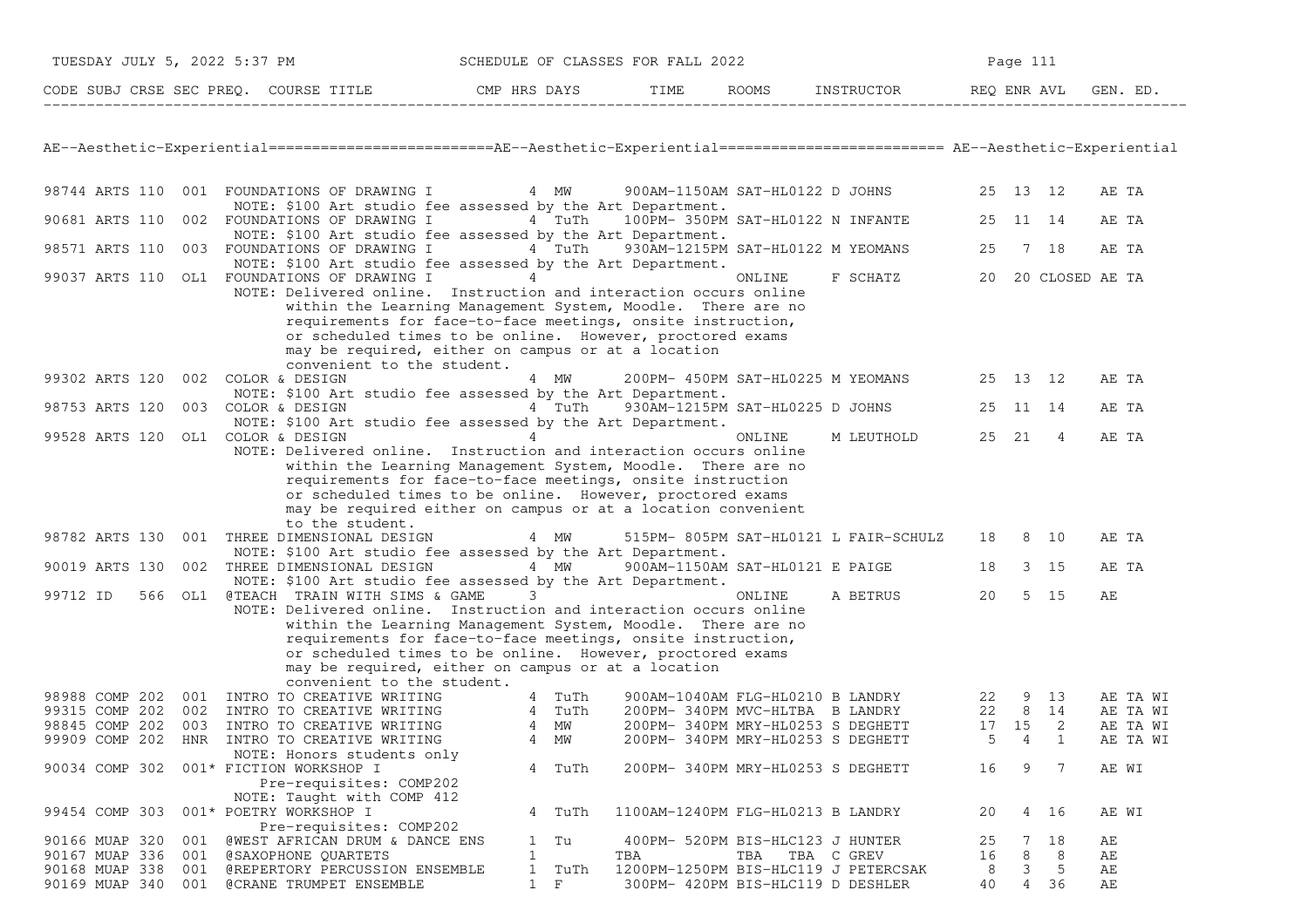| TUESDAY JULY 5, 2022 5:37 PM          | SCHEDULE OF CLASSES FOR FALL 2022 |      |              | Page 111   |             |          |  |  |
|---------------------------------------|-----------------------------------|------|--------------|------------|-------------|----------|--|--|
| CODE SUBJ CRSE SEC PREO. COURSE TITLE | CMP HRS DAYS                      | TIME | <b>ROOMS</b> | INSTRUCTOR | REO ENR AVL | GEN. ED. |  |  |

AE−−Aesthetic−Experiential==========================AE−−Aesthetic−Experiential========================== AE−−Aesthetic−Experiential

| 98744 ARTS 110 |     |     | 001 FOUNDATIONS OF DRAWING I                                                               |                   | 4 MW   |                                         | 900AM-1150AM SAT-HL0122 D JOHNS   |                                       | 25       | 13                   | 12              | AE TA    |  |
|----------------|-----|-----|--------------------------------------------------------------------------------------------|-------------------|--------|-----------------------------------------|-----------------------------------|---------------------------------------|----------|----------------------|-----------------|----------|--|
|                |     |     | NOTE: \$100 Art studio fee assessed by the Art Department.                                 |                   |        |                                         |                                   |                                       |          |                      |                 |          |  |
| 90681 ARTS 110 |     |     | 002 FOUNDATIONS OF DRAWING I                                                               |                   | 4 TuTh | 100PM- 350PM SAT-HL0122 N INFANTE       |                                   |                                       | 25       | 11                   | 14              | AE TA    |  |
| 98571 ARTS 110 |     |     | NOTE: \$100 Art studio fee assessed by the Art Department.<br>003 FOUNDATIONS OF DRAWING I |                   | 4 TuTh | 930AM-1215PM SAT-HL0122 M YEOMANS       |                                   |                                       | 25       |                      | 7 18            | AE TA    |  |
|                |     |     | NOTE: \$100 Art studio fee assessed by the Art Department.                                 |                   |        |                                         |                                   |                                       |          |                      |                 |          |  |
|                |     |     | 99037 ARTS 110 OL1 FOUNDATIONS OF DRAWING I                                                | 4                 |        |                                         | ONLINE                            | F SCHATZ                              | 20       |                      | 20 CLOSED AE TA |          |  |
|                |     |     | NOTE: Delivered online. Instruction and interaction occurs online                          |                   |        |                                         |                                   |                                       |          |                      |                 |          |  |
|                |     |     | within the Learning Management System, Moodle. There are no                                |                   |        |                                         |                                   |                                       |          |                      |                 |          |  |
|                |     |     | requirements for face-to-face meetings, onsite instruction,                                |                   |        |                                         |                                   |                                       |          |                      |                 |          |  |
|                |     |     | or scheduled times to be online. However, proctored exams                                  |                   |        |                                         |                                   |                                       |          |                      |                 |          |  |
|                |     |     | may be required, either on campus or at a location                                         |                   |        |                                         |                                   |                                       |          |                      |                 |          |  |
|                |     |     | convenient to the student.                                                                 |                   |        |                                         |                                   |                                       |          |                      |                 |          |  |
| 99302 ARTS 120 |     |     | 002 COLOR & DESIGN                                                                         |                   | 4 MW   |                                         | 200PM- 450PM SAT-HL0225 M YEOMANS |                                       | 25       | 13                   | 12              | AE TA    |  |
|                |     |     | NOTE: \$100 Art studio fee assessed by the Art Department.                                 |                   |        |                                         |                                   |                                       |          |                      |                 |          |  |
| 98753 ARTS 120 |     |     | 003 COLOR & DESIGN                                                                         |                   | 4 TuTh |                                         | 930AM-1215PM SAT-HL0225 D JOHNS   |                                       | 25       | 11                   | 14              | AE TA    |  |
|                |     |     | NOTE: \$100 Art studio fee assessed by the Art Department.                                 |                   |        |                                         |                                   |                                       |          |                      |                 |          |  |
| 99528 ARTS 120 |     |     | OL1 COLOR & DESIGN                                                                         | 4                 |        |                                         | ONLINE                            | M LEUTHOLD                            | 25 21    |                      | 4               | AE TA    |  |
|                |     |     | NOTE: Delivered online. Instruction and interaction occurs online                          |                   |        |                                         |                                   |                                       |          |                      |                 |          |  |
|                |     |     | within the Learning Management System, Moodle. There are no                                |                   |        |                                         |                                   |                                       |          |                      |                 |          |  |
|                |     |     | requirements for face-to-face meetings, onsite instruction                                 |                   |        |                                         |                                   |                                       |          |                      |                 |          |  |
|                |     |     | or scheduled times to be online. However, proctored exams                                  |                   |        |                                         |                                   |                                       |          |                      |                 |          |  |
|                |     |     | may be required either on campus or at a location convenient                               |                   |        |                                         |                                   |                                       |          |                      |                 |          |  |
|                |     |     | to the student.                                                                            |                   |        |                                         |                                   |                                       |          |                      |                 |          |  |
| 98782 ARTS 130 |     |     | 001 THREE DIMENSIONAL DESIGN                                                               |                   | 4 MW   |                                         |                                   | 515PM- 805PM SAT-HL0121 L FAIR-SCHULZ | 18       | 8                    | 10              | AE TA    |  |
|                |     |     | NOTE: \$100 Art studio fee assessed by the Art Department.                                 |                   |        |                                         |                                   |                                       |          |                      |                 |          |  |
| 90019 ARTS 130 |     | 002 | THREE DIMENSIONAL DESIGN                                                                   |                   | 4 MW   | 900AM-1150AM SAT-HL0121 E PAIGE         |                                   |                                       | 18       | 3                    | 15              | AE TA    |  |
|                |     |     | NOTE: \$100 Art studio fee assessed by the Art Department.                                 |                   |        |                                         |                                   |                                       |          |                      |                 |          |  |
| 99712 ID       | 566 | OL1 | @TEACH TRAIN WITH SIMS & GAME                                                              | 3                 |        |                                         | ONLINE                            | A BETRUS                              | 20       | 5                    | 15              | AЕ       |  |
|                |     |     | NOTE: Delivered online. Instruction and interaction occurs online                          |                   |        |                                         |                                   |                                       |          |                      |                 |          |  |
|                |     |     | within the Learning Management System, Moodle. There are no                                |                   |        |                                         |                                   |                                       |          |                      |                 |          |  |
|                |     |     | requirements for face-to-face meetings, onsite instruction,                                |                   |        |                                         |                                   |                                       |          |                      |                 |          |  |
|                |     |     | or scheduled times to be online. However, proctored exams                                  |                   |        |                                         |                                   |                                       |          |                      |                 |          |  |
|                |     |     | may be required, either on campus or at a location                                         |                   |        |                                         |                                   |                                       |          |                      |                 |          |  |
|                |     |     | convenient to the student.                                                                 |                   |        |                                         |                                   |                                       |          |                      |                 |          |  |
| 98988 COMP 202 |     |     | 001 INTRO TO CREATIVE WRITING                                                              |                   | 4 TuTh |                                         | 900AM-1040AM FLG-HL0210 B LANDRY  |                                       | 22       | 9                    | 13              | AE TA WI |  |
| 99315 COMP 202 |     | 002 | INTRO TO CREATIVE WRITING                                                                  |                   | 4 TuTh | 200PM- 340PM MVC-HLTBA B LANDRY         |                                   |                                       | 22       | 8                    | 14              | AE TA WI |  |
| 98845 COMP 202 |     | 003 | INTRO TO CREATIVE WRITING                                                                  | 4                 | МW     | 200PM- 340PM MRY-HL0253 S DEGHETT       |                                   |                                       | 17       | 15<br>$\overline{4}$ | 2               | AE TA WI |  |
| 99909 COMP 202 |     |     | HNR INTRO TO CREATIVE WRITING                                                              | 4                 | МW     |                                         | 200PM- 340PM MRY-HL0253 S DEGHETT |                                       | 5        |                      | 1               | AE TA WI |  |
|                |     |     | NOTE: Honors students only                                                                 |                   |        |                                         |                                   |                                       |          |                      | 7               |          |  |
| 90034 COMP 302 |     |     | 001* FICTION WORKSHOP I                                                                    | 4                 | TuTh   | 200PM- 340PM MRY-HL0253 S DEGHETT       |                                   |                                       | 16       | 9                    |                 | AE WI    |  |
|                |     |     | Pre-requisites: COMP202                                                                    |                   |        |                                         |                                   |                                       |          |                      |                 |          |  |
|                |     |     | NOTE: Taught with COMP 412                                                                 |                   |        |                                         |                                   |                                       |          |                      |                 |          |  |
| 99454 COMP 303 |     |     | 001* POETRY WORKSHOP I                                                                     |                   | 4 TuTh | 1100AM-1240PM FLG-HL0213 B LANDRY       |                                   |                                       | 20       | 4                    | 16              | AE WI    |  |
| 90166 MUAP 320 |     | 001 | Pre-requisites: COMP202                                                                    |                   | Tu     |                                         |                                   |                                       |          | 7                    | 18              |          |  |
| 90167 MUAP 336 |     | 001 | <b>@WEST AFRICAN DRUM &amp; DANCE ENS</b>                                                  | $\mathbf{1}$<br>1 |        | 400PM- 520PM BIS-HLC123 J HUNTER<br>TBA | TBA                               |                                       | 25<br>16 | 8                    | 8               | AЕ<br>AЕ |  |
| 90168 MUAP 338 |     | 001 | @SAXOPHONE QUARTETS<br>@REPERTORY PERCUSSION ENSEMBLE                                      | $\mathbf{1}$      | TuTh   | 1200PM-1250PM BIS-HLC119 J PETERCSAK    | TBA C GREV                        |                                       | 8        | 3                    | -5              | AЕ       |  |
| 90169 MUAP 340 |     | 001 | <b>@CRANE TRUMPET ENSEMBLE</b>                                                             | $\mathbf{1}$      | F      | 300PM- 420PM BIS-HLC119 D DESHLER       |                                   |                                       | 40       | 4                    | 36              | AЕ       |  |
|                |     |     |                                                                                            |                   |        |                                         |                                   |                                       |          |                      |                 |          |  |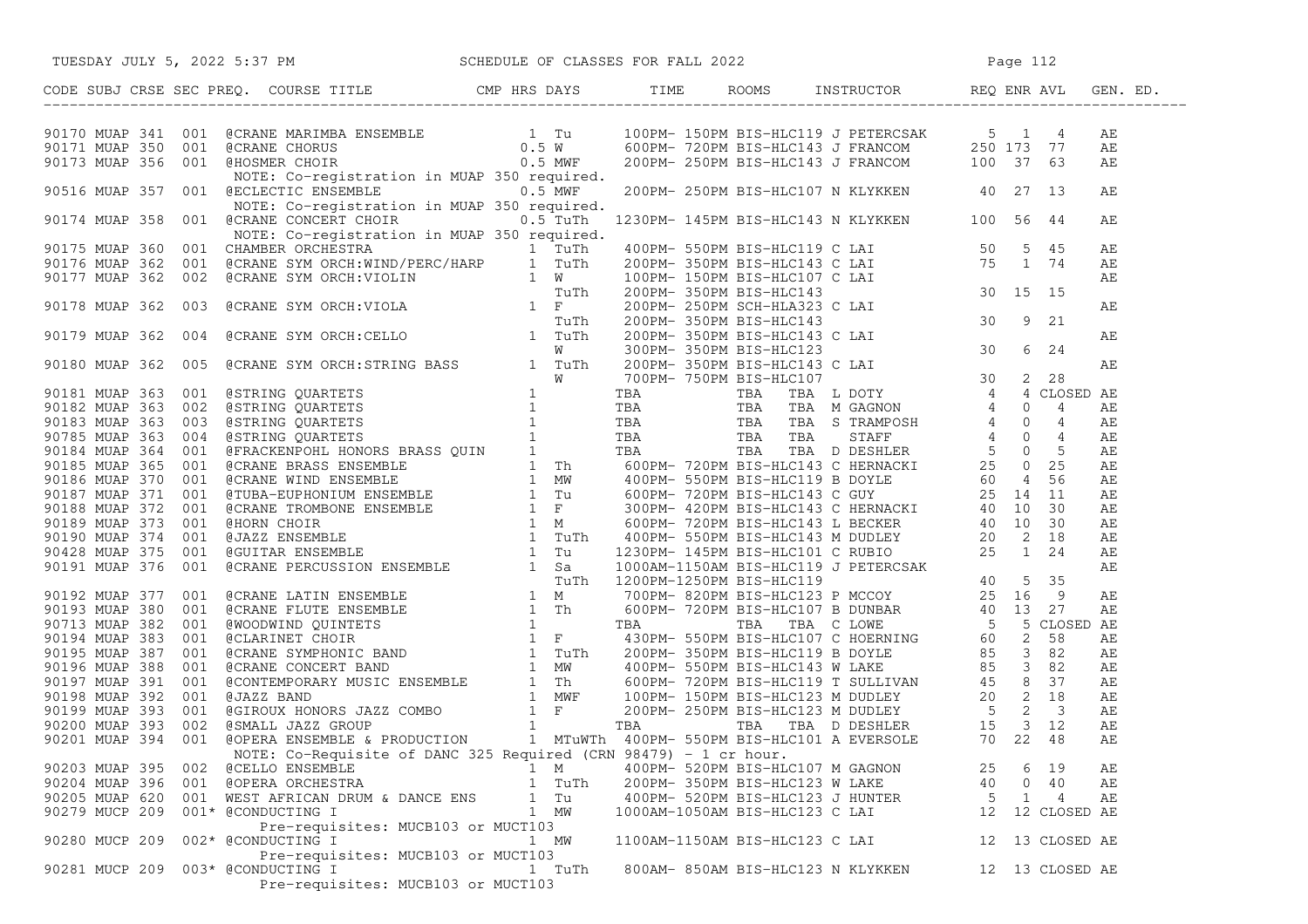|                    | 90170 MUAP 341 001 @CRANE MARIMBA ENSEMBLE<br>90171 MUAP 350 001 @CRANE CHORUS<br>90173 MUAP 356 001 @HOSMER CHORUS<br>90173 MUAP 356 001 @HOSMER CHOIR<br>90173 MUAP 350 001 @HOSMER CHOIR<br>90173 MUAP 350 001 & NOTE: Co-registratio |        |                                |                                   |    |              |                 | AE |
|--------------------|------------------------------------------------------------------------------------------------------------------------------------------------------------------------------------------------------------------------------------------|--------|--------------------------------|-----------------------------------|----|--------------|-----------------|----|
|                    |                                                                                                                                                                                                                                          |        |                                |                                   |    |              |                 | AЕ |
|                    |                                                                                                                                                                                                                                          |        |                                |                                   |    |              |                 | AЕ |
|                    |                                                                                                                                                                                                                                          |        |                                |                                   |    |              |                 |    |
|                    | 90516 MUAP 357 001 @ECLECTIC ENSEMBLE 0.5 MWF 200PM-250PM BIS-HLC107 N KLYKKEN 40 27 13                                                                                                                                                  |        |                                |                                   |    |              |                 | AЕ |
|                    | NOTE: Co-registration in MUAP 350 required.                                                                                                                                                                                              |        |                                |                                   |    |              |                 |    |
|                    | 90174 MUAP 358 001 @CRANE CONCERT CHOIR 0.5 TuTh 1230PM-145PM BIS-HLC143 N KLYKKEN 100 56 44                                                                                                                                             |        |                                |                                   |    |              |                 | АE |
|                    |                                                                                                                                                                                                                                          |        |                                |                                   |    |              |                 |    |
|                    |                                                                                                                                                                                                                                          |        |                                |                                   |    |              |                 |    |
|                    |                                                                                                                                                                                                                                          |        |                                |                                   |    |              |                 |    |
|                    |                                                                                                                                                                                                                                          |        |                                |                                   |    |              |                 |    |
|                    |                                                                                                                                                                                                                                          |        |                                |                                   |    |              |                 |    |
|                    |                                                                                                                                                                                                                                          |        |                                |                                   |    |              |                 |    |
|                    |                                                                                                                                                                                                                                          |        |                                |                                   |    |              |                 |    |
|                    |                                                                                                                                                                                                                                          |        |                                |                                   |    |              |                 |    |
|                    |                                                                                                                                                                                                                                          |        |                                |                                   |    |              |                 |    |
|                    |                                                                                                                                                                                                                                          |        |                                |                                   |    |              |                 |    |
|                    |                                                                                                                                                                                                                                          |        |                                |                                   |    |              |                 |    |
|                    |                                                                                                                                                                                                                                          |        |                                |                                   |    |              |                 |    |
|                    |                                                                                                                                                                                                                                          |        |                                |                                   |    |              |                 |    |
|                    |                                                                                                                                                                                                                                          |        |                                |                                   |    |              |                 |    |
|                    |                                                                                                                                                                                                                                          |        |                                |                                   |    |              |                 |    |
|                    |                                                                                                                                                                                                                                          |        |                                |                                   |    |              |                 |    |
|                    |                                                                                                                                                                                                                                          |        |                                |                                   |    |              |                 |    |
|                    |                                                                                                                                                                                                                                          |        |                                |                                   |    |              |                 |    |
|                    |                                                                                                                                                                                                                                          |        |                                |                                   |    |              |                 |    |
|                    |                                                                                                                                                                                                                                          |        |                                |                                   |    |              |                 |    |
|                    |                                                                                                                                                                                                                                          |        |                                |                                   |    |              |                 |    |
|                    |                                                                                                                                                                                                                                          |        |                                |                                   |    |              |                 |    |
|                    |                                                                                                                                                                                                                                          |        |                                |                                   |    |              |                 |    |
|                    |                                                                                                                                                                                                                                          |        |                                |                                   |    |              |                 |    |
|                    |                                                                                                                                                                                                                                          |        |                                |                                   |    |              |                 |    |
|                    |                                                                                                                                                                                                                                          |        |                                |                                   |    |              |                 |    |
|                    |                                                                                                                                                                                                                                          |        |                                |                                   |    |              |                 |    |
|                    |                                                                                                                                                                                                                                          |        |                                |                                   |    |              |                 |    |
|                    |                                                                                                                                                                                                                                          |        |                                |                                   |    |              |                 |    |
|                    |                                                                                                                                                                                                                                          |        |                                |                                   |    |              |                 |    |
|                    |                                                                                                                                                                                                                                          |        |                                |                                   |    |              |                 |    |
|                    |                                                                                                                                                                                                                                          |        |                                |                                   |    |              |                 |    |
|                    |                                                                                                                                                                                                                                          |        |                                |                                   |    |              |                 |    |
|                    | 92175 MHz, 256 201 GCANN CONFIDENT ON MAP 300 STATE 127021-14929 MAN 250 MLAN 20125 MHZ 20221 MHZ 20221 MAN 250 MLAN 20125 MMHz 20221 MMHz 20221 MMHz 20221 MMHz 20221 MMHz 20221 MMHz 20221 MMHz 20221 MMHz 20221 MMHz 20221            |        |                                |                                   |    |              |                 |    |
|                    | NOTE: Co-Requisite of DANC 325 Required (CRN 98479) - 1 cr hour.                                                                                                                                                                         |        |                                |                                   |    |              |                 |    |
|                    | 90203 MUAP 395 002 @CELLO ENSEMBLE                                                                                                                                                                                                       | 1 M    |                                | 400PM- 520PM BIS-HLC107 M GAGNON  | 25 | 6            | 19              | AЕ |
| 90204 MUAP 396 001 | @OPERA ORCHESTRA                                                                                                                                                                                                                         | 1 TuTh | 200PM- 350PM BIS-HLC123 W LAKE |                                   | 40 | $\mathbf{0}$ | 40              | АE |
|                    | 90205 MUAP 620 001 WEST AFRICAN DRUM & DANCE ENS                                                                                                                                                                                         | 1 Tu   |                                | 400PM- 520PM BIS-HLC123 J HUNTER  | 5  | 1            | 4               | AЕ |
| 90279 MUCP 209     | 001* @CONDUCTING I<br>Pre-requisites: MUCB103 or MUCT103                                                                                                                                                                                 | 1 MW   | 1000AM-1050AM BIS-HLC123 C LAI |                                   | 12 |              | 12 CLOSED AE    |    |
| 90280 MUCP 209     | 002* @CONDUCTING I                                                                                                                                                                                                                       | 1 MW   | 1100AM-1150AM BIS-HLC123 C LAI |                                   | 12 |              | 13 CLOSED AE    |    |
| 90281 MUCP 209     | Pre-requisites: MUCB103 or MUCT103<br>003* @CONDUCTING I                                                                                                                                                                                 | 1 TuTh |                                | 800AM- 850AM BIS-HLC123 N KLYKKEN |    |              | 12 13 CLOSED AE |    |
|                    | Pre-requisites: MUCB103 or MUCT103                                                                                                                                                                                                       |        |                                |                                   |    |              |                 |    |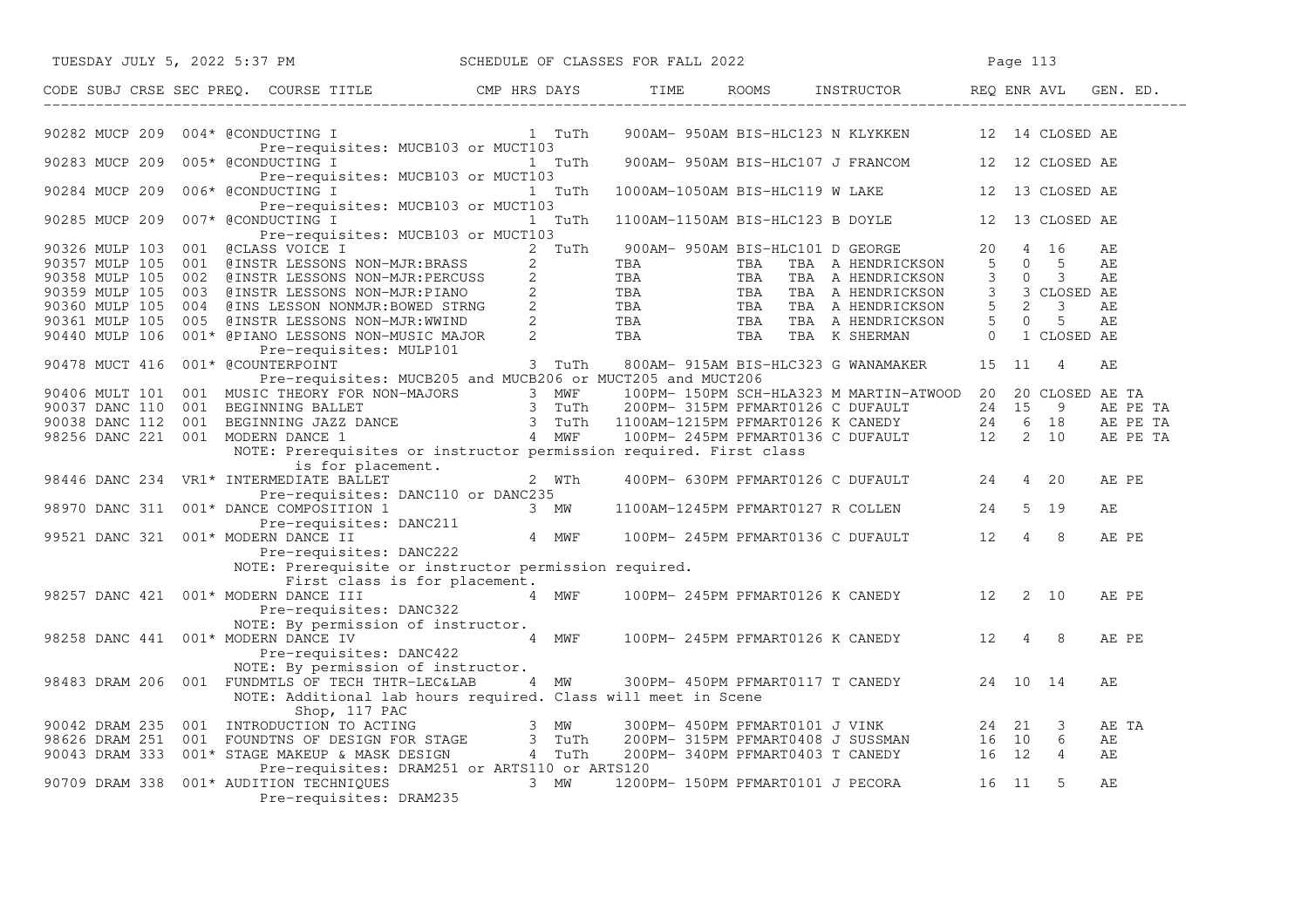| TUESDAY JULY 5, 2022 5:37 PM         |  |                                                                                                                                            |         |                        | SCHEDULE OF CLASSES FOR FALL 2022 |     |                                                                                                                                                                                                                                                                                                                                                                                   |                      | Page 113       |                      |          |          |
|--------------------------------------|--|--------------------------------------------------------------------------------------------------------------------------------------------|---------|------------------------|-----------------------------------|-----|-----------------------------------------------------------------------------------------------------------------------------------------------------------------------------------------------------------------------------------------------------------------------------------------------------------------------------------------------------------------------------------|----------------------|----------------|----------------------|----------|----------|
|                                      |  |                                                                                                                                            |         |                        |                                   |     | $\begin{tabular}{lllllll} \multicolumn{2}{l}{{\bf \texttt{ROOMS}}} & & & \multicolumn{2}{l}{\bf \texttt{INSTRUCTOR}} & & & \multicolumn{2}{l}{\bf \texttt{REQ ENR AVL}} \end{tabular}$                                                                                                                                                                                            |                      |                |                      |          |          |
| 90282 MUCP 209                       |  | 004* @CONDUCTING I                                                                                                                         |         | 1 TuTh                 |                                   |     | 900AM- 950AM BIS-HLC123 N KLYKKEN                                                                                                                                                                                                                                                                                                                                                 |                      |                | 12 14 CLOSED AE      |          |          |
| 90283 MUCP 209                       |  | Pre-requisites: MUCB103 or MUCT103<br>005* @CONDUCTING I<br>Pre-requisites: MUCB103 or MUCT103                                             |         | 1 TuTh                 |                                   |     | 900AM- 950AM BIS-HLC107 J FRANCOM 12 12 CLOSED AE                                                                                                                                                                                                                                                                                                                                 |                      |                |                      |          |          |
| 90284 MUCP 209                       |  | 006* @CONDUCTING I 1 TuTh<br>Pre-requisites: MUCB103 or MUCT103                                                                            |         |                        |                                   |     | 1000AM-1050AM BIS-HLC119 W LAKE                                                                                                                                                                                                                                                                                                                                                   |                      |                | 12 13 CLOSED AE      |          |          |
| 90285 MUCP 209                       |  | 007* @CONDUCTING I<br>Pre-requisites: MUCB103 or MUCT103                                                                                   |         | 1 TuTh                 |                                   |     | 1100AM-1150AM BIS-HLC123 B DOYLE                                                                                                                                                                                                                                                                                                                                                  |                      |                | 12 13 CLOSED AE      |          |          |
| 90326 MULP 103<br>90357 MULP 105     |  | 001 @CLASS VOICE I<br>001 @INSTR LESSONS NON-MJR:BRASS                                                                                     |         | 2 TuTh<br>$\mathbf{2}$ | TBA                               | TBA | 900AM- 950AM BIS-HLC101 D GEORGE<br>TBA A HENDRICKSON                                                                                                                                                                                                                                                                                                                             | 20<br>5 <sup>5</sup> |                | 4 16<br>$0\qquad 5$  | AЕ<br>AE |          |
|                                      |  | 90358 MULP 105 002 @INSTR LESSONS NON-MJR:PERCUSS                                                                                          |         |                        |                                   |     | $\begin{array}{cccccccc} \texttt{0.02} & \texttt{0.03} & \texttt{0.04} & \texttt{0.05} & \texttt{0.06} & \texttt{0.07} & \texttt{0.08} & \texttt{0.07} & \texttt{0.08} & \texttt{0.09} & \texttt{0.08} & \texttt{0.09} & \texttt{0.09} & \texttt{0.01} & \texttt{0.01} & \texttt{0.01} & \texttt{0.01} & \texttt{0.01} & \texttt{0.01} & \texttt{0.01} & \texttt{0.01} & \texttt$ | 3                    | $\overline{0}$ | 3                    | АE       |          |
| 90359 MULP 105 003                   |  |                                                                                                                                            |         |                        |                                   |     |                                                                                                                                                                                                                                                                                                                                                                                   | 3 <sup>7</sup>       |                | 3 CLOSED AE          |          |          |
| 90360 MULP 105 004                   |  |                                                                                                                                            |         |                        |                                   |     |                                                                                                                                                                                                                                                                                                                                                                                   |                      |                | $5 \quad 2 \quad 3$  | АE       |          |
| 90361 MULP 105                       |  |                                                                                                                                            |         |                        |                                   |     |                                                                                                                                                                                                                                                                                                                                                                                   |                      | $5\qquad 0$    | 5                    | АE       |          |
| 90440 MULP 106                       |  |                                                                                                                                            |         |                        |                                   |     |                                                                                                                                                                                                                                                                                                                                                                                   | $\Omega$             |                | 1 CLOSED AE          |          |          |
|                                      |  | Pre-requisites: MULP101                                                                                                                    |         |                        |                                   |     |                                                                                                                                                                                                                                                                                                                                                                                   |                      |                |                      |          |          |
| 90478 MUCT 416                       |  | 001* @COUNTERPOINT                                                                                                                         |         | 3 TuTh                 |                                   |     | 800AM- 915AM BIS-HLC323 G WANAMAKER                                                                                                                                                                                                                                                                                                                                               |                      | 15 11          | $\overline{4}$       | АE       |          |
|                                      |  | Pre-requisites: MUCB205 and MUCB206 or MUCT205 and MUCT206                                                                                 |         |                        |                                   |     |                                                                                                                                                                                                                                                                                                                                                                                   |                      |                |                      |          |          |
|                                      |  |                                                                                                                                            |         |                        |                                   |     |                                                                                                                                                                                                                                                                                                                                                                                   |                      |                |                      |          |          |
|                                      |  |                                                                                                                                            |         |                        |                                   |     |                                                                                                                                                                                                                                                                                                                                                                                   |                      |                |                      |          | AE PE TA |
|                                      |  |                                                                                                                                            |         |                        |                                   |     |                                                                                                                                                                                                                                                                                                                                                                                   |                      |                |                      |          | AE PE TA |
|                                      |  |                                                                                                                                            |         |                        |                                   |     | 90406 MULT 101 001 MUSIC THEORY FOR NON-MAJORS 3 MWF 100PM-150PM SCH-HLA323 M MARTIN-ATWOOD 20 20 CLOSED AE TA<br>90037 DANC 110 001 BEGINNING BALLET 3 TUTh 200PM-315PM PFMART0126 C DUFAULT 24 15 9 AE PE<br>98256 DANC 221 001 MO                                                                                                                                              |                      |                |                      |          | AE PE TA |
|                                      |  | NOTE: Prerequisites or instructor permission required. First class                                                                         |         |                        |                                   |     |                                                                                                                                                                                                                                                                                                                                                                                   |                      |                |                      |          |          |
|                                      |  | is for placement.<br>98446 DANC 234 VR1* INTERMEDIATE BALLET                                                                               | $2$ WTh |                        |                                   |     | 400PM- 630PM PFMART0126 C DUFAULT 24                                                                                                                                                                                                                                                                                                                                              |                      |                | 4 20                 | AE PE    |          |
|                                      |  | Pre-requisites: DANC110 or DANC235                                                                                                         |         |                        |                                   |     |                                                                                                                                                                                                                                                                                                                                                                                   |                      |                |                      |          |          |
|                                      |  |                                                                                                                                            |         |                        |                                   |     | 1100AM-1245PM PFMART0127 R COLLEN                                                                                                                                                                                                                                                                                                                                                 | 24                   |                | 5 19                 | АE       |          |
|                                      |  |                                                                                                                                            |         |                        |                                   |     |                                                                                                                                                                                                                                                                                                                                                                                   |                      |                |                      |          |          |
|                                      |  |                                                                                                                                            |         |                        |                                   |     | 100PM-245PM PFMART0136 C DUFAULT 12                                                                                                                                                                                                                                                                                                                                               |                      |                | $\overline{4}$<br>8  | AE PE    |          |
|                                      |  | 98970 DANC 311 001* DANCE COMPOSITION 1<br>Pre-requisites: DANC211<br>99521 DANC 321 001* MODERN DANCE II 4 MWF<br>Pre-requisites: DANC222 |         |                        |                                   |     |                                                                                                                                                                                                                                                                                                                                                                                   |                      |                |                      |          |          |
|                                      |  | NOTE: Prerequisite or instructor permission required.                                                                                      |         |                        |                                   |     |                                                                                                                                                                                                                                                                                                                                                                                   |                      |                |                      |          |          |
|                                      |  | First class is for placement.                                                                                                              |         |                        |                                   |     |                                                                                                                                                                                                                                                                                                                                                                                   |                      |                |                      |          |          |
| 98257 DANC 421 001* MODERN DANCE III |  |                                                                                                                                            | 4 MWF   |                        |                                   |     | 100PM- 245PM PFMART0126 K CANEDY 12                                                                                                                                                                                                                                                                                                                                               |                      |                | 2 10                 | AE PE    |          |
|                                      |  | Pre-requisites: DANC322                                                                                                                    |         |                        |                                   |     |                                                                                                                                                                                                                                                                                                                                                                                   |                      |                |                      |          |          |
|                                      |  | NOTE: By permission of instructor.                                                                                                         |         |                        |                                   |     |                                                                                                                                                                                                                                                                                                                                                                                   |                      |                |                      |          |          |
| 98258 DANC 441 001* MODERN DANCE IV  |  |                                                                                                                                            | 4 MWF   |                        |                                   |     | 100PM- 245PM PFMART0126 K CANEDY                                                                                                                                                                                                                                                                                                                                                  | 12                   |                | $\overline{4}$<br>-8 | AE PE    |          |
|                                      |  | Pre-requisites: DANC422                                                                                                                    |         |                        |                                   |     |                                                                                                                                                                                                                                                                                                                                                                                   |                      |                |                      |          |          |
|                                      |  | NOTE: By permission of instructor.                                                                                                         |         |                        |                                   |     |                                                                                                                                                                                                                                                                                                                                                                                   |                      |                |                      |          |          |
|                                      |  | 98483 DRAM 206 001 FUNDMTLS OF TECH THTR-LEC&LAB 4 MW                                                                                      |         |                        |                                   |     | 300PM- 450PM PFMART0117 T CANEDY                                                                                                                                                                                                                                                                                                                                                  |                      | 24 10 14       |                      | AЕ       |          |
|                                      |  | NOTE: Additional lab hours required. Class will meet in Scene                                                                              |         |                        |                                   |     |                                                                                                                                                                                                                                                                                                                                                                                   |                      |                |                      |          |          |
|                                      |  | Shop, 117 PAC                                                                                                                              |         |                        |                                   |     |                                                                                                                                                                                                                                                                                                                                                                                   |                      |                |                      |          |          |
|                                      |  | 90042 DRAM 235 001 INTRODUCTION TO ACTING                                                                                                  |         |                        |                                   |     |                                                                                                                                                                                                                                                                                                                                                                                   |                      |                | 3                    | AE TA    |          |
| 98626 DRAM 251                       |  |                                                                                                                                            |         |                        |                                   |     |                                                                                                                                                                                                                                                                                                                                                                                   |                      |                | 6                    | AЕ       |          |
| 90043 DRAM 333                       |  | 001 INTRODUCTION TO ACTING 3 MW<br>001 FOUNDTNS OF DESIGN FOR STAGE 3 TuTh<br>001* STAGE MAKEUP & MASK DESIGN 4 TuTh                       |         |                        |                                   |     | 300PM- 450PM PFMART0101 J VINK 24 21<br>200PM- 315PM PFMART0408 J SUSSMAN 16 10<br>200PM- 340PM PFMART0403 T CANEDY 16 12                                                                                                                                                                                                                                                         |                      |                | 4                    | АE       |          |
|                                      |  | Pre-requisites: DRAM251 or ARTS110 or ARTS120                                                                                              |         |                        |                                   |     |                                                                                                                                                                                                                                                                                                                                                                                   |                      |                |                      |          |          |
| 90709 DRAM 338                       |  | 001* AUDITION TECHNIOUES<br>Pre-requisites: DRAM235                                                                                        |         | 3 MW                   |                                   |     | 1200PM- 150PM PFMART0101 J PECORA 16 11                                                                                                                                                                                                                                                                                                                                           |                      |                | .5                   | AЕ       |          |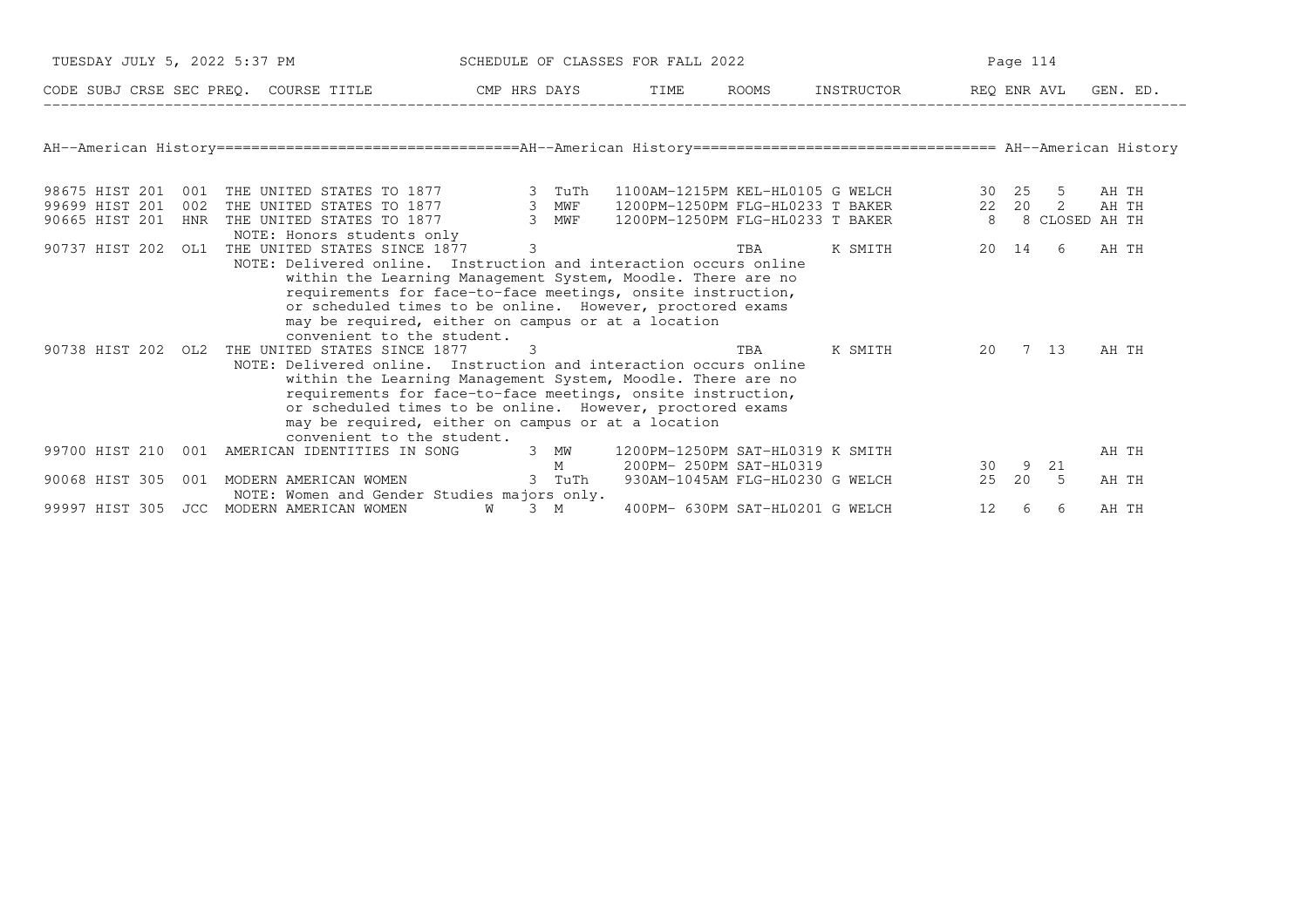|                    |     | TUESDAY JULY 5, 2022 5:37 PM                                                                                                                                                                                                                                                                                                                                                     |               |     | SCHEDULE OF CLASSES FOR FALL 2022                           |       |                                                   |             | Page 114 |      |       |          |
|--------------------|-----|----------------------------------------------------------------------------------------------------------------------------------------------------------------------------------------------------------------------------------------------------------------------------------------------------------------------------------------------------------------------------------|---------------|-----|-------------------------------------------------------------|-------|---------------------------------------------------|-------------|----------|------|-------|----------|
|                    |     | CODE SUBJ CRSE SEC PREQ. COURSE TITLE THE CMP HRS DAYS                                                                                                                                                                                                                                                                                                                           |               |     | TIME                                                        | ROOMS | INSTRUCTOR                                        | REQ ENR AVL |          |      |       | GEN. ED. |
|                    |     | AH--American History =================================AH--American History ================================= AH--American History                                                                                                                                                                                                                                                |               |     |                                                             |       |                                                   |             |          |      |       |          |
| 98675 HIST 201 001 |     | THE UNITED STATES TO 1877 3 TuTh                                                                                                                                                                                                                                                                                                                                                 |               |     |                                                             |       | 1100AM-1215PM KEL-HL0105 G WELCH                  |             | 30 25    | -5   | AH TH |          |
| 99699 HIST 201     | 002 |                                                                                                                                                                                                                                                                                                                                                                                  |               |     |                                                             |       | 1200PM-1250PM FLG-HL0233 T BAKER                  | 22  20  2   |          |      | AH TH |          |
| 90665 HIST 201 HNR |     | THE UNITED STATES TO 1877 3 MWF<br>THE UNITED STATES TO 1877 3 MWF<br>NOTE: Honors students only                                                                                                                                                                                                                                                                                 |               |     |                                                             |       | 1200PM-1250PM FLG-HL0233 T BAKER 8 8 CLOSED AH TH |             |          |      |       |          |
| 90737 HIST 202     | OL1 | THE UNITED STATES SINCE 1877                                                                                                                                                                                                                                                                                                                                                     | $\mathcal{E}$ |     |                                                             | TBA   | K SMITH                                           |             | 20 14    | -6   | AH TH |          |
|                    |     | within the Learning Management System, Moodle. There are no<br>requirements for face-to-face meetings, onsite instruction,<br>or scheduled times to be online. However, proctored exams<br>may be required, either on campus or at a location<br>convenient to the student.                                                                                                      |               |     |                                                             |       |                                                   |             |          |      |       |          |
| 90738 HIST 202 OL2 |     | THE UNITED STATES SINCE 1877<br>NOTE: Delivered online. Instruction and interaction occurs online<br>within the Learning Management System, Moodle. There are no<br>requirements for face-to-face meetings, onsite instruction,<br>or scheduled times to be online. However, proctored exams<br>may be required, either on campus or at a location<br>convenient to the student. | -3            |     |                                                             | TBA   | K SMITH                                           | 20          | 7 13     |      | AH TH |          |
|                    |     | 99700 HIST 210 001 AMERICAN IDENTITIES IN SONG 3 MW                                                                                                                                                                                                                                                                                                                              |               | M   | 1200PM-1250PM SAT-HL0319 K SMITH<br>200PM- 250PM SAT-HL0319 |       |                                                   | 30          | 9        | 21   | AH TH |          |
| 90068 HIST 305     | 001 | MODERN AMERICAN WOMEN 6 3 TuTh<br>NOTE: Women and Gender Studies majors only.                                                                                                                                                                                                                                                                                                    |               |     |                                                             |       | 930AM-1045AM FLG-HL0230 G WELCH                   | 25          | 20       | $-5$ | AH TH |          |
|                    |     | 99997 HIST 305 JCC MODERN AMERICAN WOMEN                                                                                                                                                                                                                                                                                                                                         | W             | 3 M | 400PM- 630PM SAT-HL0201 G WELCH                             |       |                                                   | 12          | 6        | -6   | AH TH |          |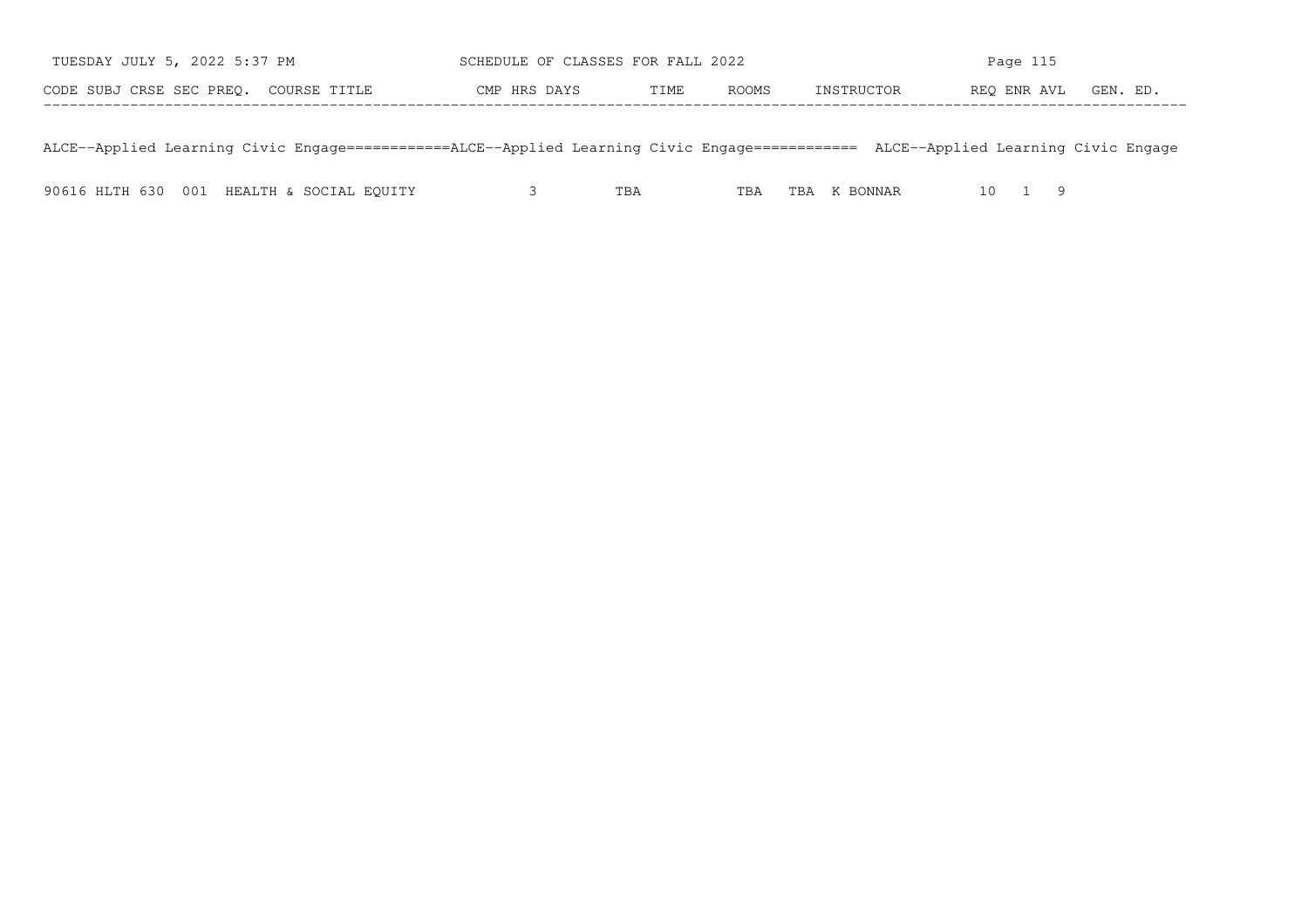| TUESDAY JULY 5, 2022 5:37 PM          | SCHEDULE OF CLASSES FOR FALL 2022 | Page 115                           |
|---------------------------------------|-----------------------------------|------------------------------------|
| CODE SUBJ CRSE SEC PREO. COURSE TITLE | ROOMS<br>TIME<br>CMP HRS DAYS     | REO ENR AVL GEN. ED.<br>INSTRUCTOR |
|                                       |                                   |                                    |

ALCE−−Applied Learning Civic Engage============ALCE−−Applied Learning Civic Engage============ ALCE−−Applied Learning Civic Engage

|  |  | 90616 HLTH 630 001 HEALTH & SOCIAL EQUITY |  | TBA | TBA | TBA K BONNAR |  |  |
|--|--|-------------------------------------------|--|-----|-----|--------------|--|--|
|--|--|-------------------------------------------|--|-----|-----|--------------|--|--|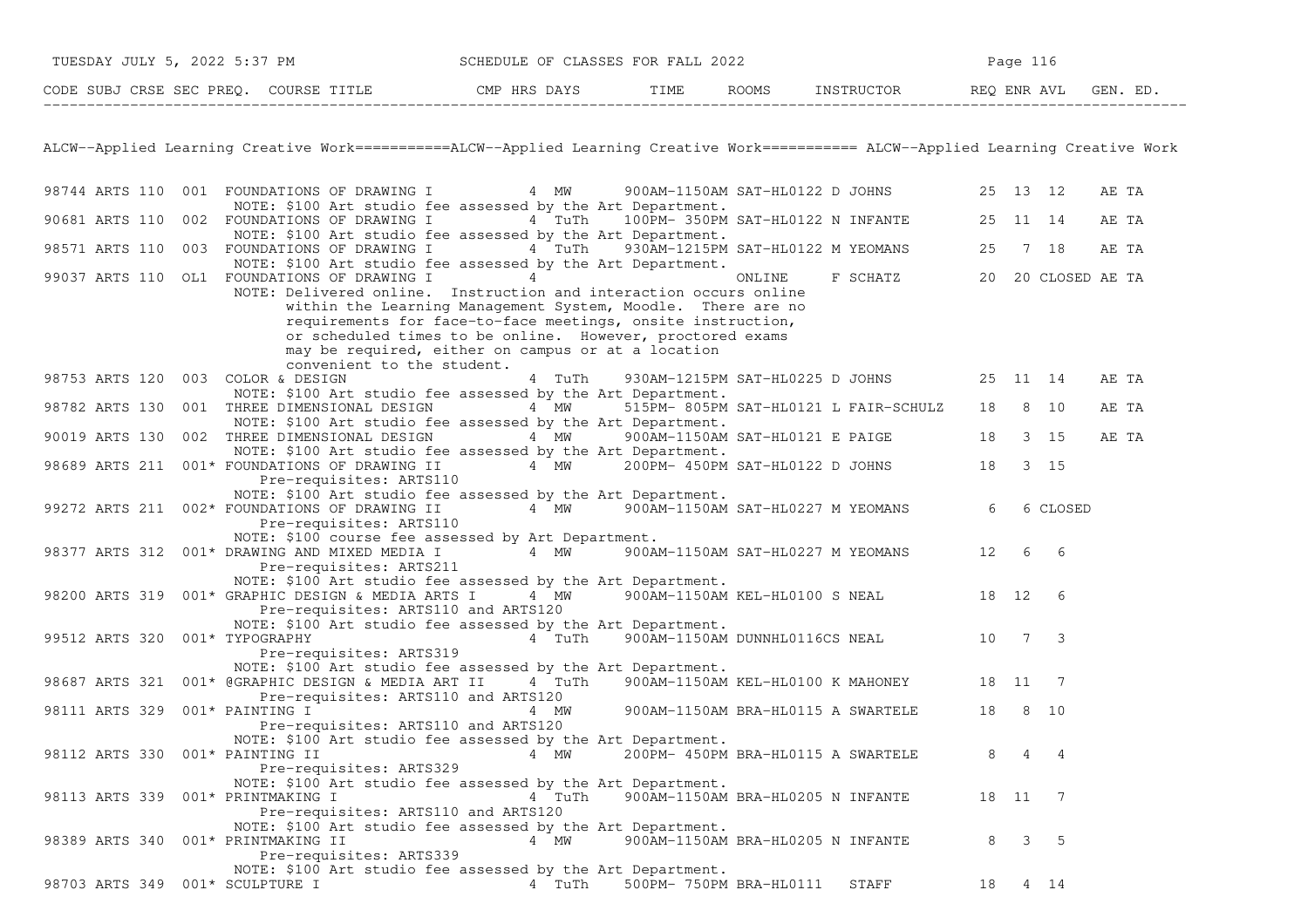| TUESDAY JULY 5, 2022 5:37 PM |              | SCHEDULE OF CLASSES FOR FALL 2022 |      |       | Page       |             |         |  |  |
|------------------------------|--------------|-----------------------------------|------|-------|------------|-------------|---------|--|--|
| CODE SUBJ CRSE SEC PREQ.     | COURSE TITLE | CMP HRS DAYS                      | TIME | ROOMS | INSTRUCTOR | REO ENR AVL | GEN. ED |  |  |

ALCW−−Applied Learning Creative Work===========ALCW−−Applied Learning Creative Work=========== ALCW−−Applied Learning Creative Work

| 98744 ARTS 110                    |     | 001 FOUNDATIONS OF DRAWING I<br>4 MW                                                                 | 900AM-1150AM SAT-HL0122 D JOHNS    |                                       | 25    | 13 12           |                 | AE TA |
|-----------------------------------|-----|------------------------------------------------------------------------------------------------------|------------------------------------|---------------------------------------|-------|-----------------|-----------------|-------|
| 90681 ARTS 110                    |     | NOTE: \$100 Art studio fee assessed by the Art Department.<br>002 FOUNDATIONS OF DRAWING I<br>4 TuTh | 100PM- 350PM SAT-HL0122 N INFANTE  |                                       | 25    |                 | 11 14           | AE TA |
|                                   |     | NOTE: \$100 Art studio fee assessed by the Art Department.                                           |                                    |                                       |       |                 |                 |       |
| 98571 ARTS 110                    |     | 003 FOUNDATIONS OF DRAWING I<br>4 TuTh                                                               | 930AM-1215PM SAT-HL0122 M YEOMANS  |                                       | 25    |                 | 7 18            | AE TA |
|                                   |     | NOTE: \$100 Art studio fee assessed by the Art Department.                                           |                                    |                                       |       |                 |                 |       |
| 99037 ARTS 110                    |     | OL1 FOUNDATIONS OF DRAWING I<br>4                                                                    | ONLINE                             | F SCHATZ                              | 20    |                 | 20 CLOSED AE TA |       |
|                                   |     | NOTE: Delivered online. Instruction and interaction occurs online                                    |                                    |                                       |       |                 |                 |       |
|                                   |     | within the Learning Management System, Moodle. There are no                                          |                                    |                                       |       |                 |                 |       |
|                                   |     | requirements for face-to-face meetings, onsite instruction,                                          |                                    |                                       |       |                 |                 |       |
|                                   |     | or scheduled times to be online. However, proctored exams                                            |                                    |                                       |       |                 |                 |       |
|                                   |     | may be required, either on campus or at a location                                                   |                                    |                                       |       |                 |                 |       |
|                                   |     | convenient to the student.                                                                           |                                    |                                       |       |                 |                 |       |
| 98753 ARTS 120 003 COLOR & DESIGN |     | 4 TuTh                                                                                               | 930AM-1215PM SAT-HL0225 D JOHNS    |                                       |       |                 | 25 11 14        | AE TA |
|                                   |     | NOTE: \$100 Art studio fee assessed by the Art Department.                                           |                                    |                                       |       |                 |                 |       |
| 98782 ARTS 130                    | 001 | 4 MW<br>THREE DIMENSIONAL DESIGN                                                                     |                                    | 515PM- 805PM SAT-HL0121 L FAIR-SCHULZ | 18    | 8               | 10              | AE TA |
|                                   |     | NOTE: \$100 Art studio fee assessed by the Art Department.                                           |                                    |                                       |       |                 |                 |       |
| 90019 ARTS 130                    |     | 002 THREE DIMENSIONAL DESIGN<br>4 MW                                                                 | 900AM-1150AM SAT-HL0121 E PAIGE    |                                       | 18    |                 | $3 \quad 15$    | AE TA |
|                                   |     | NOTE: \$100 Art studio fee assessed by the Art Department.                                           |                                    |                                       |       |                 |                 |       |
| 98689 ARTS 211                    |     | 001* FOUNDATIONS OF DRAWING II<br>4 MW                                                               | 200PM- 450PM SAT-HL0122 D JOHNS    |                                       | 18    |                 | 3 15            |       |
|                                   |     | Pre-requisites: ARTS110                                                                              |                                    |                                       |       |                 |                 |       |
|                                   |     | NOTE: \$100 Art studio fee assessed by the Art Department.                                           |                                    |                                       |       |                 |                 |       |
| 99272 ARTS 211                    |     | 002* FOUNDATIONS OF DRAWING II<br>4 MW                                                               | 900AM-1150AM SAT-HL0227 M YEOMANS  |                                       | 6     |                 | 6 CLOSED        |       |
|                                   |     | Pre-requisites: ARTS110                                                                              |                                    |                                       |       |                 |                 |       |
|                                   |     | NOTE: \$100 course fee assessed by Art Department.                                                   |                                    |                                       |       |                 |                 |       |
| 98377 ARTS 312                    |     | 001* DRAWING AND MIXED MEDIA I<br>4 MW                                                               | 900AM-1150AM SAT-HL0227 M YEOMANS  |                                       | 12    | 6               | 6               |       |
|                                   |     | Pre-requisites: ARTS211                                                                              |                                    |                                       |       |                 |                 |       |
|                                   |     | NOTE: \$100 Art studio fee assessed by the Art Department.                                           |                                    |                                       |       |                 |                 |       |
|                                   |     | 98200 ARTS 319 001* GRAPHIC DESIGN & MEDIA ARTS I<br>4 MW                                            | 900AM-1150AM KEL-HL0100 S NEAL     |                                       | 18    | 12              | 6               |       |
|                                   |     | Pre-requisites: ARTS110 and ARTS120                                                                  |                                    |                                       |       |                 |                 |       |
|                                   |     | NOTE: \$100 Art studio fee assessed by the Art Department.                                           |                                    |                                       |       |                 |                 |       |
| 99512 ARTS 320 001* TYPOGRAPHY    |     | 4 TuTh                                                                                               | 900AM-1150AM DUNNHL0116CS NEAL     |                                       | 10    | $7\phantom{.0}$ | 3               |       |
|                                   |     | Pre-requisites: ARTS319                                                                              |                                    |                                       |       |                 |                 |       |
|                                   |     | NOTE: \$100 Art studio fee assessed by the Art Department.                                           |                                    |                                       |       |                 |                 |       |
| 98687 ARTS 321                    |     | 001* @GRAPHIC DESIGN & MEDIA ART II<br>4 TuTh                                                        | 900AM-1150AM KEL-HL0100 K MAHONEY  |                                       | 18    | 11              | 7               |       |
|                                   |     | Pre-requisites: ARTS110 and ARTS120                                                                  |                                    |                                       |       |                 |                 |       |
| 98111 ARTS 329                    |     | 001* PAINTING I<br>4 MW                                                                              | 900AM-1150AM BRA-HL0115 A SWARTELE |                                       | 18    | 8               | 10              |       |
|                                   |     | Pre-requisites: ARTS110 and ARTS120                                                                  |                                    |                                       |       |                 |                 |       |
|                                   |     | NOTE: \$100 Art studio fee assessed by the Art Department.                                           |                                    |                                       |       |                 |                 |       |
| 98112 ARTS 330 001* PAINTING II   |     | 4 MW                                                                                                 | 200PM- 450PM BRA-HL0115 A SWARTELE |                                       | 8     | 4               | 4               |       |
|                                   |     | Pre-requisites: ARTS329                                                                              |                                    |                                       |       |                 |                 |       |
|                                   |     | NOTE: \$100 Art studio fee assessed by the Art Department.                                           |                                    |                                       |       |                 |                 |       |
| 98113 ARTS 339 001* PRINTMAKING I |     | 4 TuTh                                                                                               | 900AM-1150AM BRA-HL0205 N INFANTE  |                                       | 18 11 |                 | 7               |       |
|                                   |     | Pre-requisites: ARTS110 and ARTS120                                                                  |                                    |                                       |       |                 |                 |       |
|                                   |     | NOTE: \$100 Art studio fee assessed by the Art Department.                                           |                                    |                                       |       |                 |                 |       |
| 98389 ARTS 340                    |     | 001* PRINTMAKING II<br>4 MW                                                                          | 900AM-1150AM BRA-HL0205 N INFANTE  |                                       | 8     | 3               | 5               |       |
|                                   |     | Pre-requisites: ARTS339                                                                              |                                    |                                       |       |                 |                 |       |
|                                   |     | NOTE: \$100 Art studio fee assessed by the Art Department.                                           |                                    |                                       |       |                 |                 |       |
| 98703 ARTS 349 001* SCULPTURE I   |     | 4 TuTh                                                                                               | 500PM- 750PM BRA-HL0111            | STAFF                                 | 18    |                 | 4 14            |       |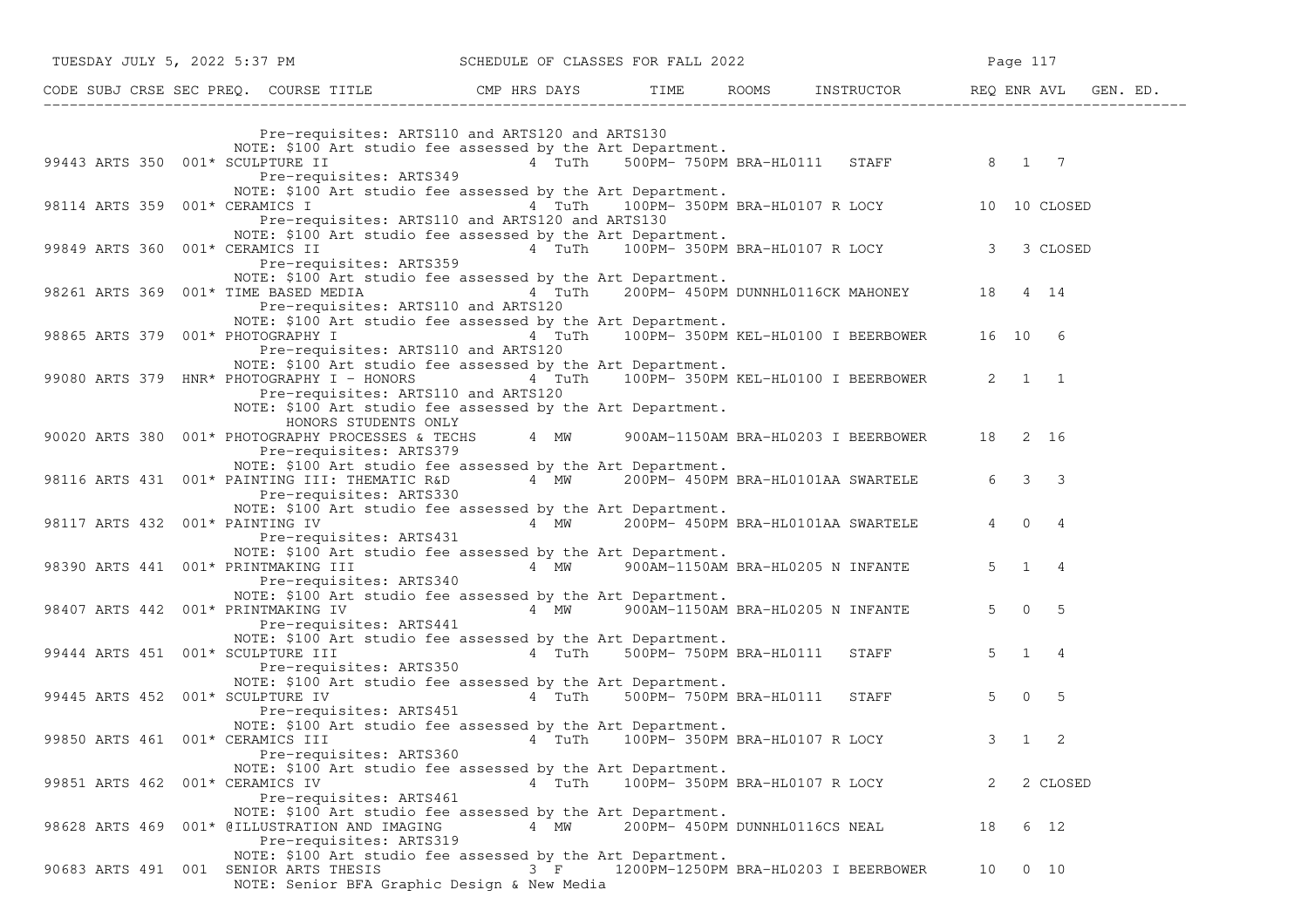| TUESDAY JULY 5, 2022 5:37 PM                                                                                                                                                                                                                                  | SCHEDULE OF CLASSES FOR FALL 2022 |                                |                                                   | Page 117                                          |          |
|---------------------------------------------------------------------------------------------------------------------------------------------------------------------------------------------------------------------------------------------------------------|-----------------------------------|--------------------------------|---------------------------------------------------|---------------------------------------------------|----------|
|                                                                                                                                                                                                                                                               |                                   |                                |                                                   |                                                   | GEN. ED. |
| Pre-requisites: ARTS110 and ARTS120 and ARTS130                                                                                                                                                                                                               |                                   |                                |                                                   |                                                   |          |
| NOTE: \$100 Art studio fee assessed by the Art Department.<br>99443 ARTS 350 001* SCULPTURE II<br>Pre-requisites: ARTS349                                                                                                                                     |                                   |                                | 4 TuTh 500PM-750PM BRA-HL0111 STAFF 8 1 7         |                                                   |          |
| NOTE: \$100 Art studio fee assessed by the Art Department.<br>98114 ARTS 359 001* CERAMICS I<br>Pre-requisites: ARTS110 and ARTS120 and ARTS130                                                                                                               |                                   |                                |                                                   | 4 TuTh 100PM-350PM BRA-HL0107 R LOCY 10 10 CLOSED |          |
| NOTE: \$100 Art studio fee assessed by the Art Department.<br>99849 ARTS 360 001* CERAMICS II<br>Pre-requisites: ARTS359                                                                                                                                      |                                   |                                |                                                   | 4 TuTh 100PM-350PM BRA-HL0107 R LOCY 3 3 CLOSED   |          |
| NOTE: \$100 Art studio fee assessed by the Art Department.<br>98261 ARTS 369 001* TIME BASED MEDIA<br>Pre-requisites: ARTS110 and ARTS120                                                                                                                     |                                   |                                | 4 TuTh 200PM-450PM DUNNHL0116CK MAHONEY 18 4 14   |                                                   |          |
| NOTE: \$100 Art studio fee assessed by the Art Department.<br>98865 ARTS 379 001* PHOTOGRAPHY I<br>Pre-requisites: ARTS110 and ARTS120                                                                                                                        |                                   |                                | 4 TuTh 100PM-350PM KEL-HL0100 I BEERBOWER 16 10 6 |                                                   |          |
| NOTE: \$100 Art studio fee assessed by the Art Department.<br>99080 ARTS 379 HNR* PHOTOGRAPHY I - HONORS 4 TuTh 100PM-350PM KEL-HL0100 I BEERBOWER 2 1 1<br>Pre-requisites: ARTS110 and ARTS120<br>NOTE: \$100 Art studio fee assessed by the Art Department. |                                   |                                |                                                   |                                                   |          |
| HONORS STUDENTS ONLY<br>90020 ARTS 380 001* PHOTOGRAPHY PROCESSES & TECHS 4 MW 900AM-1150AM BRA-HL0203 I BEERBOWER 18 2 16<br>Pre-requisites: ARTS379                                                                                                         |                                   |                                |                                                   |                                                   |          |
| NOTE: \$100 Art studio fee assessed by the Art Department.<br>98116 ARTS 431 001* PAINTING III: THEMATIC R&D 4 MW 200PM- 450PM BRA-HL0101AA SWARTELE<br>Pre-requisites: ARTS330                                                                               |                                   |                                |                                                   | 6 3 3                                             |          |
| NOTE: \$100 Art studio fee assessed by the Art Department.<br>98117 ARTS 432 001* PAINTING IV<br>Pre-requisites: ARTS431                                                                                                                                      |                                   |                                | 4 MW 200PM- 450PM BRA-HL0101AA SWARTELE           | $\overline{4}$<br>$0\quad 4$                      |          |
| NOTE: \$100 Art studio fee assessed by the Art Department.<br>98390 ARTS 441 001* PRINTMAKING III<br>Pre-requisites: ARTS340                                                                                                                                  |                                   |                                | 4 MW 900AM-1150AM BRA-HL0205 N INFANTE            | $5 \quad 1 \quad 4$                               |          |
| NOTE: \$100 Art studio fee assessed by the Art Department.<br>98407 ARTS 442 001* PRINTMAKING IV<br>Pre-requisites: ARTS441                                                                                                                                   |                                   |                                | 4 MW 900AM-1150AM BRA-HL0205 N INFANTE            | $5 \t 0 \t 5$                                     |          |
| NOTE: \$100 Art studio fee assessed by the Art Department.<br>99444 ARTS 451 001* SCULPTURE III<br>Pre-requisites: ARTS350                                                                                                                                    |                                   |                                | 4 TuTh 500PM-750PM BRA-HL0111 STAFF               | $5 \quad 1 \quad 4$                               |          |
| NOTE: \$100 Art studio fee assessed by the Art Department.<br>99445 ARTS 452 001* SCULPTURE IV<br>Pre-requisites: ARTS451                                                                                                                                     |                                   |                                | 4 TuTh 500PM-750PM BRA-HL0111 STAFF               | $5 \t 0 \t 5$                                     |          |
| NOTE: \$100 Art studio fee assessed by the Art Department.<br>99850 ARTS 461 001* CERAMICS III<br>Pre-requisites: ARTS360                                                                                                                                     |                                   |                                | 4 TuTh 100PM-350PM BRA-HL0107 R LOCY              | $3 \quad 1 \quad 2$                               |          |
| NOTE: \$100 Art studio fee assessed by the Art Department.<br>99851 ARTS 462 001* CERAMICS IV<br>Pre-requisites: ARTS461                                                                                                                                      | 4 TuTh                            | 100PM- 350PM BRA-HL0107 R LOCY |                                                   | 2<br>2 CLOSED                                     |          |
| NOTE: \$100 Art studio fee assessed by the Art Department.<br>98628 ARTS 469 001* @ILLUSTRATION AND IMAGING<br>Pre-requisites: ARTS319                                                                                                                        | 4 MW                              | 200PM- 450PM DUNNHL0116CS NEAL |                                                   | 18<br>6 12                                        |          |
| NOTE: \$100 Art studio fee assessed by the Art Department.<br>90683 ARTS 491 001 SENIOR ARTS THESIS<br>NOTE: Senior BFA Graphic Design & New Media                                                                                                            | $3 \t F$                          |                                | 1200PM-1250PM BRA-HL0203 I BEERBOWER              | $0\quad 10$<br>10                                 |          |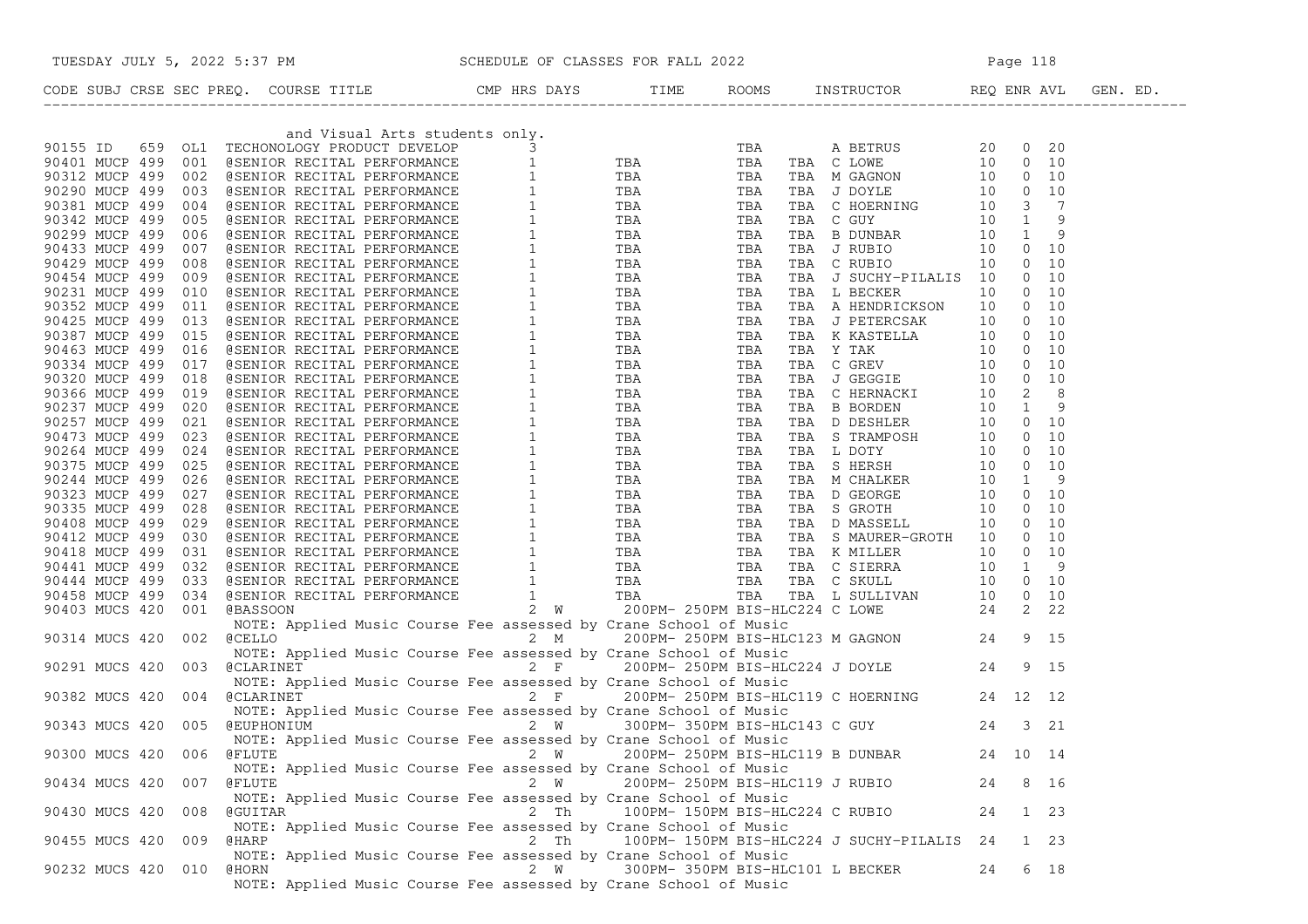| TUESDAY JULY 5, 2022 5:37 PM SCHEDULE OF CLASSES FOR FALL 2022                                                                                                                                                                                                                                                                 |      |  |                                            |    |      |
|--------------------------------------------------------------------------------------------------------------------------------------------------------------------------------------------------------------------------------------------------------------------------------------------------------------------------------|------|--|--------------------------------------------|----|------|
| CODE SUBJ CRSE SEC PREQ. COURSE TITLE CMP HRS DAYS TIME ROOMS INSTRUCTOR REQ ENR AVL GEN. ED.<br>CODE SCRIPTION (1993) CONFIGURATION (1996) CONFIGURATION (1996) The Main Configuration of the Main Configuration (1991) Configuration (1991) Configuration (1991) Configuration (1991) Configuration (1991) Configuration (19 |      |  |                                            |    |      |
|                                                                                                                                                                                                                                                                                                                                |      |  |                                            |    |      |
|                                                                                                                                                                                                                                                                                                                                |      |  |                                            |    |      |
|                                                                                                                                                                                                                                                                                                                                |      |  |                                            |    |      |
|                                                                                                                                                                                                                                                                                                                                |      |  |                                            |    |      |
|                                                                                                                                                                                                                                                                                                                                |      |  |                                            |    |      |
|                                                                                                                                                                                                                                                                                                                                |      |  |                                            |    |      |
|                                                                                                                                                                                                                                                                                                                                |      |  |                                            |    |      |
|                                                                                                                                                                                                                                                                                                                                |      |  |                                            |    |      |
|                                                                                                                                                                                                                                                                                                                                |      |  |                                            |    |      |
|                                                                                                                                                                                                                                                                                                                                |      |  |                                            |    |      |
|                                                                                                                                                                                                                                                                                                                                |      |  |                                            |    |      |
|                                                                                                                                                                                                                                                                                                                                |      |  |                                            |    |      |
|                                                                                                                                                                                                                                                                                                                                |      |  |                                            |    |      |
|                                                                                                                                                                                                                                                                                                                                |      |  |                                            |    |      |
|                                                                                                                                                                                                                                                                                                                                |      |  |                                            |    |      |
|                                                                                                                                                                                                                                                                                                                                |      |  |                                            |    |      |
|                                                                                                                                                                                                                                                                                                                                |      |  |                                            |    |      |
|                                                                                                                                                                                                                                                                                                                                |      |  |                                            |    |      |
|                                                                                                                                                                                                                                                                                                                                |      |  |                                            |    |      |
|                                                                                                                                                                                                                                                                                                                                |      |  |                                            |    |      |
|                                                                                                                                                                                                                                                                                                                                |      |  |                                            |    |      |
|                                                                                                                                                                                                                                                                                                                                |      |  |                                            |    |      |
|                                                                                                                                                                                                                                                                                                                                |      |  |                                            |    |      |
|                                                                                                                                                                                                                                                                                                                                |      |  |                                            |    |      |
|                                                                                                                                                                                                                                                                                                                                |      |  |                                            |    |      |
|                                                                                                                                                                                                                                                                                                                                |      |  |                                            |    |      |
|                                                                                                                                                                                                                                                                                                                                |      |  |                                            |    |      |
|                                                                                                                                                                                                                                                                                                                                |      |  |                                            |    |      |
|                                                                                                                                                                                                                                                                                                                                |      |  |                                            |    |      |
|                                                                                                                                                                                                                                                                                                                                |      |  |                                            |    |      |
|                                                                                                                                                                                                                                                                                                                                |      |  |                                            |    |      |
|                                                                                                                                                                                                                                                                                                                                |      |  |                                            |    |      |
|                                                                                                                                                                                                                                                                                                                                |      |  |                                            |    |      |
|                                                                                                                                                                                                                                                                                                                                |      |  |                                            |    |      |
|                                                                                                                                                                                                                                                                                                                                |      |  |                                            |    |      |
|                                                                                                                                                                                                                                                                                                                                |      |  |                                            |    |      |
|                                                                                                                                                                                                                                                                                                                                |      |  |                                            |    |      |
|                                                                                                                                                                                                                                                                                                                                |      |  |                                            |    |      |
|                                                                                                                                                                                                                                                                                                                                |      |  |                                            |    |      |
|                                                                                                                                                                                                                                                                                                                                |      |  |                                            |    |      |
|                                                                                                                                                                                                                                                                                                                                |      |  |                                            |    |      |
|                                                                                                                                                                                                                                                                                                                                |      |  |                                            |    |      |
| 90343 MUCS 420 005 GEUPHONIUM 2 W 300PM-350PM BIS-HLC143 C GUY<br>90343 MUCS 420 005 GEUPHONIUM 2 W 300PM-350PM BIS-HLC143 C GUY 24 3 21<br>NOTE: Annlied Music Course For assessed by Chans Cabes 15 M                                                                                                                        |      |  |                                            |    |      |
|                                                                                                                                                                                                                                                                                                                                |      |  |                                            |    |      |
| NOTE: Applied Music Course Fee assessed by Crane School of Music                                                                                                                                                                                                                                                               |      |  | 200PM-250PM BIS-HLC119 B DUNBAR 24 10 14   |    |      |
| 90300 MUCS 420 006<br><b>@FLUTE</b>                                                                                                                                                                                                                                                                                            | 2 W  |  |                                            |    |      |
| NOTE: Applied Music Course Fee assessed by Crane School of Music                                                                                                                                                                                                                                                               |      |  |                                            |    |      |
| <b>@FLUTE</b><br>90434 MUCS 420<br>007                                                                                                                                                                                                                                                                                         | 2 W  |  | 200PM- 250PM BIS-HLC119 J RUBIO            | 24 | 8 16 |
| NOTE: Applied Music Course Fee assessed by Crane School of Music                                                                                                                                                                                                                                                               |      |  |                                            |    |      |
| 90430 MUCS 420<br>008<br>@GUITAR                                                                                                                                                                                                                                                                                               | 2 Th |  | 100PM- 150PM BIS-HLC224 C RUBIO            | 24 | 1 23 |
| NOTE: Applied Music Course Fee assessed by Crane School of Music                                                                                                                                                                                                                                                               |      |  |                                            |    |      |
| 90455 MUCS 420<br>009<br>@HARP                                                                                                                                                                                                                                                                                                 | 2 Th |  | 100PM- 150PM BIS-HLC224 J SUCHY-PILALIS 24 |    | 1 23 |
| NOTE: Applied Music Course Fee assessed by Crane School of Music                                                                                                                                                                                                                                                               |      |  |                                            |    |      |
| 90232 MUCS 420 010<br>@HORN                                                                                                                                                                                                                                                                                                    | 2 W  |  | 300PM- 350PM BIS-HLC101 L BECKER           | 24 | 6 18 |
| NOTE: Applied Music Course Fee assessed by Crane School of Music                                                                                                                                                                                                                                                               |      |  |                                            |    |      |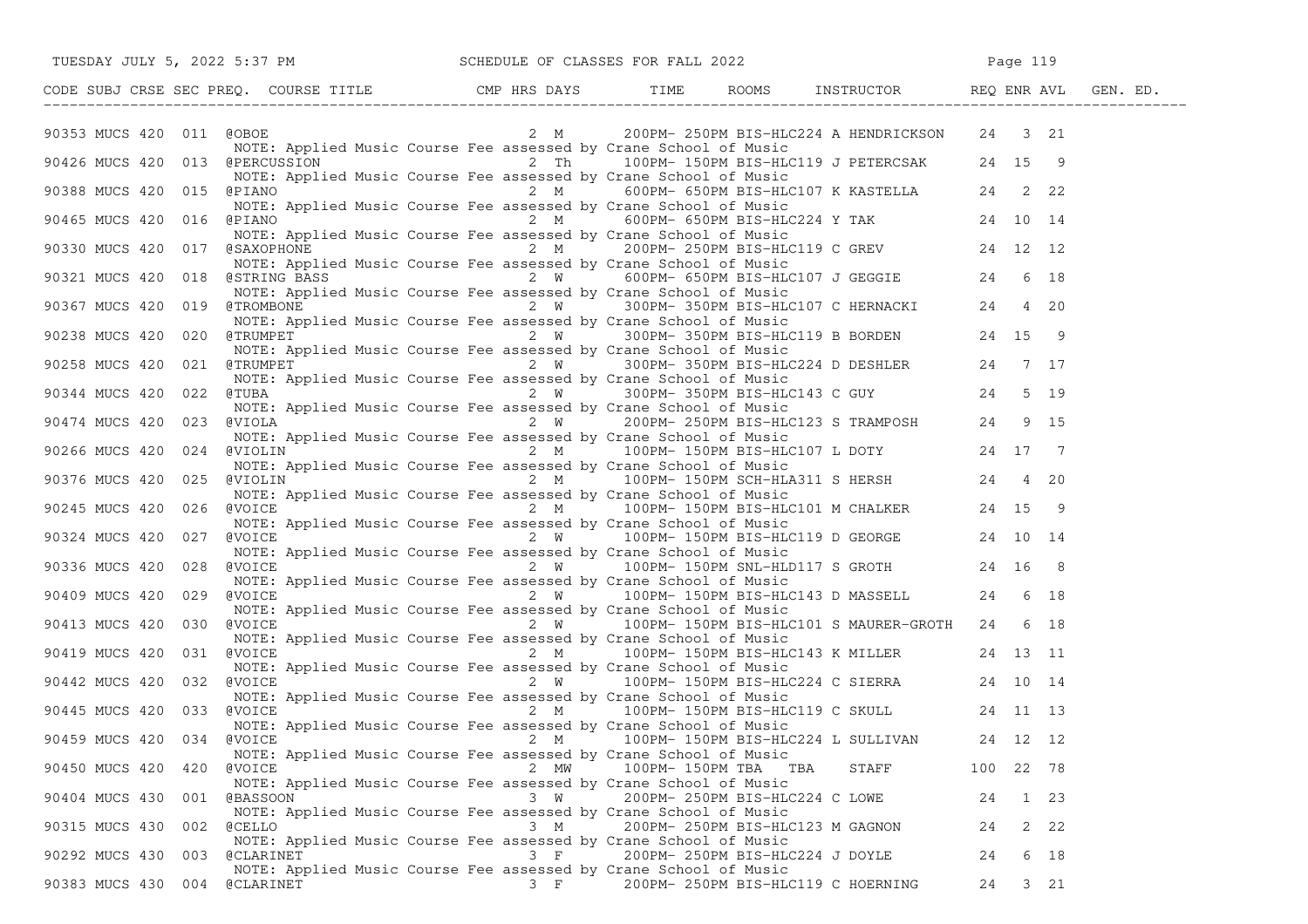|                                | TUESDAY JULY 5, 2022 5:37 PM                                                                                                                                                                                                                                                                                          |          | SCHEDULE OF CLASSES FOR FALL 2022 |                                                                                                                                              | Page 119  |      |
|--------------------------------|-----------------------------------------------------------------------------------------------------------------------------------------------------------------------------------------------------------------------------------------------------------------------------------------------------------------------|----------|-----------------------------------|----------------------------------------------------------------------------------------------------------------------------------------------|-----------|------|
|                                | CODE SUBJ CRSE SEC PREQ. COURSE TITLE THE REPORT ONE HRS DAYS TIME ROOMS IN THE ROOMS THE THE ROOMS THE THE PRESENT ASSESSMENT OF THE PRESENT ASSESSMENT OF THE PRESENT OF THE PRESENT OF THE PRESENT OF THE PRESENT OF THE PA                                                                                        |          |                                   |                                                                                                                                              |           |      |
| 90353 MUCS 420 011             | COBOE                                                                                                                                                                                                                                                                                                                 |          |                                   | 2 M 200PM-250PM BIS-HLC224 A HENDRICKSON 24 3 21                                                                                             |           |      |
| 90426 MUCS 420 013 @PERCUSSION | NOTE: Applied Music Course Fee assessed by Crane School of Music                                                                                                                                                                                                                                                      |          |                                   | $2 \text{ Th}$ 100PM-150PM BIS-HLC119 J PETERCSAK 24 15 9                                                                                    |           |      |
| 90388 MUCS 420 015 @PIANO      | NOTE: Applied Music Course Fee assessed by Crane School of Music                                                                                                                                                                                                                                                      |          |                                   | 2 M 600PM- 650PM BIS-HLC107 K KASTELLA 24 2 22                                                                                               |           |      |
|                                | NOTE: Applied Music Course Fee assessed by Crane School of Music<br>90465 MUCS 420 016 @PIANO 2 M 600PM-650PM BIS-HLC224 Y TAK 24 10 14                                                                                                                                                                               |          |                                   |                                                                                                                                              |           |      |
| 90330 MUCS 420 017 @SAXOPHONE  | NOTE: Applied Music Course Fee assessed by Crane School of Music                                                                                                                                                                                                                                                      |          |                                   | 2 M 200PM-250PM BIS-HLC119 C GREV 24 12 12<br>d Music Course Fee assessed by Crane School of Music                                           |           |      |
|                                | 90330 HOCS 420 018 (MOTE: Applied Music Course Fee assessed by Crane School of Music<br>90321 MUCS 420 018 (STRING BASS 2 W 600PM-650PM BIS-HLC107 J GEGGIE 24 6 18<br>90367 MUCS 420 019 (TROMBONE 2 W 300PM-350PM BIS-HLC107 C HER                                                                                  |          |                                   |                                                                                                                                              |           |      |
|                                |                                                                                                                                                                                                                                                                                                                       |          |                                   |                                                                                                                                              |           |      |
| 90238 MUCS 420 020             | NOTE: Applied Music Course Fee assessed by Crane School of Music<br>exampled haste coarse ree assessed by crane behoof of haste<br>examples and the state of the state of the state of the state of the state of the state of the state of the state of the state of the state of the state of the s                  |          |                                   |                                                                                                                                              |           |      |
| 90258 MUCS 420<br>021          | NOTE: Applied Music Course Fee assessed by Crane School of Music<br>@TRUMPET<br>NOTE: Applied Music Course Fee assessed by Crane School of Music                                                                                                                                                                      |          |                                   | 2 W SUUPPE SUUPPE DESERVED TO THE READ OF MUSIC COURSE Fee assessed by Crane School of Music<br>2 W 300PM-350PM BIS-HLC224 D DESHLER 24 7 17 |           |      |
| 90344 MUCS 420 022             | @TUBA<br>NOTE: Applied Music Course Fee assessed by Crane School of Music                                                                                                                                                                                                                                             |          |                                   | Applied haste coalse ree assessed by clane School of Haste<br>2 W 300PM-350PM BIS-HLC143 C GUY 24 5 19                                       |           |      |
| 023<br>90474 MUCS 420          | @VIOLA<br>NOTE: Applied Music Course Fee assessed by Crane School of Music                                                                                                                                                                                                                                            |          |                                   | 2 W 300PM-300PM DIO MUSIC<br>2 W 200PM-250PM BIS-HLC123 S TRAMPOSH 24 9 15                                                                   |           |      |
| 90266 MUCS 420 024 @VIOLIN     |                                                                                                                                                                                                                                                                                                                       |          |                                   |                                                                                                                                              |           |      |
| 90376 MUCS 420 025             | NOTE: Applied Music Course Fee assessed by Crane School of Music<br>NOTE: Applied Music Course Fee assessed by Crane School of Music<br>(WIOLIN) 2 M 100PM-150PM SCH-HLA311 S HERSH 24 4 20<br>NOTE: Applied Music Course Fee assessed<br>@VIOLIN<br>NOTE: Applied Music Course Fee assessed by Crane School of Music |          |                                   |                                                                                                                                              |           |      |
| 90245 MUCS 420 026 @VOICE      |                                                                                                                                                                                                                                                                                                                       |          |                                   | $2 M$ 100PM-150PM BIS-HLC101 M CHALKER 24 15 9                                                                                               |           |      |
| 90324 MUCS 420<br>027          | NOTE: Applied Music Course Fee assessed by Crane School of Music<br>@VOICE 2 W 100PM-150PM BIS-HLC119 D GEORGE 24 10 14<br>@VOICE<br>NOTE: Applied Music Course Fee assessed by Crane School of Music                                                                                                                 |          |                                   |                                                                                                                                              |           |      |
| 90336 MUCS 420 028 @VOICE      | NOTE: Applied Music Course Fee assessed by Crane School of Music                                                                                                                                                                                                                                                      |          |                                   | $2 W$ 100PM-150PM SNL-HLD117 S GROTH 24 16 8                                                                                                 |           |      |
| 90409 MUCS 420 029             | @VOICE<br>NOTE: Applied Music Course Fee assessed by Crane School of Music                                                                                                                                                                                                                                            |          |                                   | $2 W$ 100PM-150PM BIS-HLC143 D MASSELL 24 6 18                                                                                               |           |      |
| 90413 MUCS 420 030             | @VOICE<br>NOTE: Applied Music Course Fee assessed by Crane School of Music                                                                                                                                                                                                                                            |          |                                   | 2 W 100PM-150PM BIS-HLC101 S MAURER-GROTH 24 6 18                                                                                            |           |      |
| 90419 MUCS 420 031             | @VOICE                                                                                                                                                                                                                                                                                                                |          |                                   | $2 M$ 100PM-150PM BIS-HLC143 K MILLER 24 13 11                                                                                               |           |      |
| 90442 MUCS 420 032             | NOTE: Applied Music Course Fee assessed by Crane School of Music<br>NOTE: Applied Music Course Fee assessed by Crane School of Music<br>NOTCE 2 W 100PM-150PM BIS-HLC224 C SIERRA 24 10 14<br>@VOICE<br>NOTE: Applied Music Course Fee assessed by Crane School of Music                                              |          |                                   |                                                                                                                                              |           |      |
| 90445 MUCS 420 033             | @VOICE<br>NOTE: Applied Music Course Fee assessed by Crane School of Music                                                                                                                                                                                                                                            |          |                                   | 2 M 100PM-150PM BIS-HLC119 C SKULL 24 11 13                                                                                                  |           |      |
| 90459 MUCS 420 034 @VOICE      | @VOICE 2 M 100PM-150PM BIS-HLC224 L SULLIVAN 24 12 12<br>NOTE: Applied Music Course Fee assessed by Crane School of Music                                                                                                                                                                                             |          |                                   |                                                                                                                                              |           |      |
| 90450 MUCS 420<br>420          | <b>@VOICE</b><br>NOTE: Applied Music Course Fee assessed by Crane School of Music                                                                                                                                                                                                                                     | 2 MW     | 100PM-150PM TBA TBA               | STAFF                                                                                                                                        | 100 22 78 |      |
| 90404 MUCS 430<br>001          | <b>@BASSOON</b><br>NOTE: Applied Music Course Fee assessed by Crane School of Music                                                                                                                                                                                                                                   | 3 W      | 200PM- 250PM BIS-HLC224 C LOWE    |                                                                                                                                              | 24        | 1 23 |
| 90315 MUCS 430<br>002          | <b>@CELLO</b><br>NOTE: Applied Music Course Fee assessed by Crane School of Music                                                                                                                                                                                                                                     | 3 M      |                                   | 200PM- 250PM BIS-HLC123 M GAGNON                                                                                                             | 24        | 2 22 |
| 90292 MUCS 430<br>003          | <b>@CLARINET</b><br>NOTE: Applied Music Course Fee assessed by Crane School of Music                                                                                                                                                                                                                                  | $3 \t F$ |                                   | 200PM- 250PM BIS-HLC224 J DOYLE                                                                                                              | 24        | 6 18 |
| 90383 MUCS 430 004             | <b>@CLARINET</b>                                                                                                                                                                                                                                                                                                      | 3 F      |                                   | 200PM- 250PM BIS-HLC119 C HOERNING                                                                                                           | 24        | 3 21 |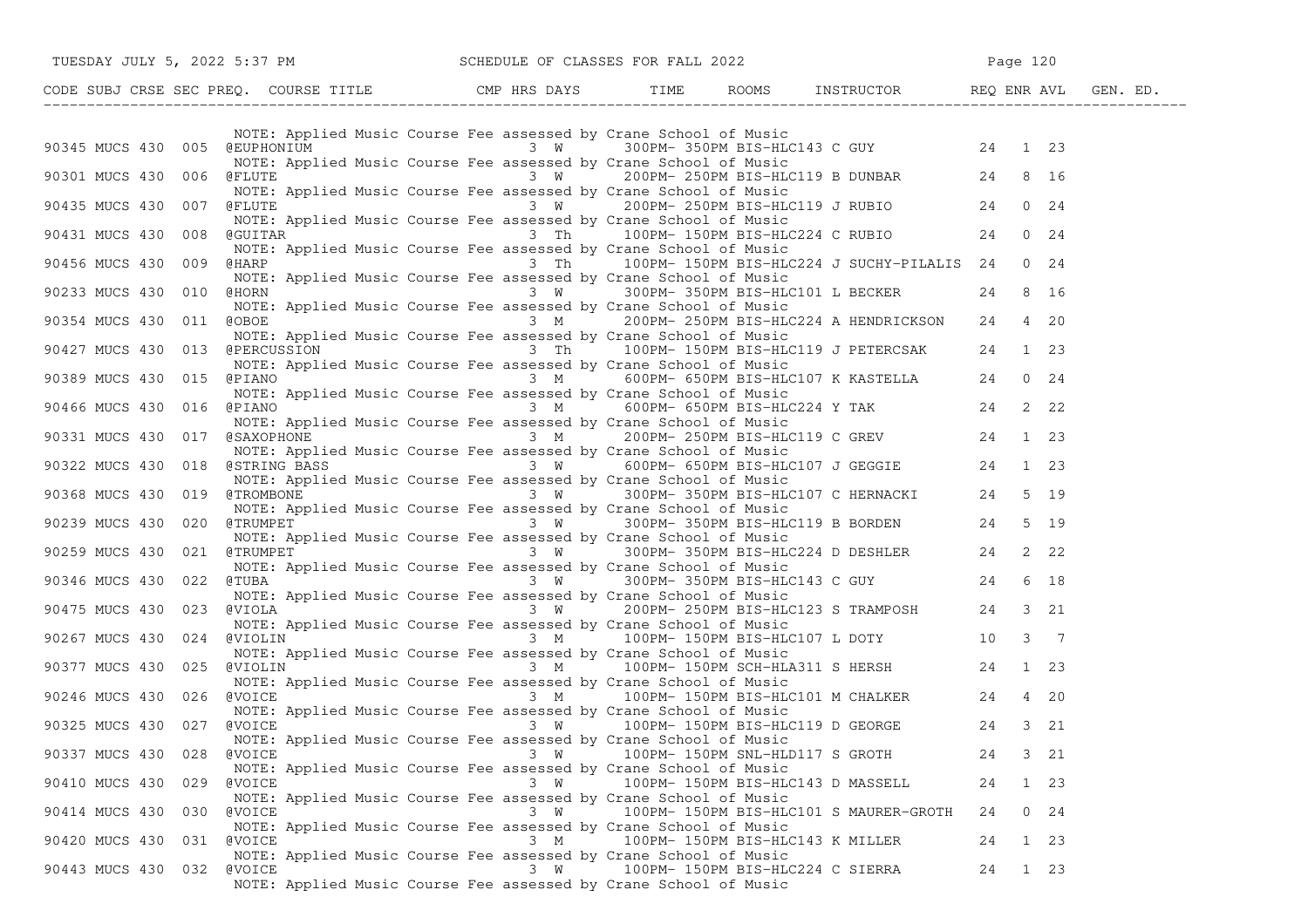| TUESDAY JULY 5, 2022 5:37 PM SCHEDULE OF CLASSES FOR FALL 2022                                                                                                                                                                    |     |                                                                                                                                                                            |    |           |  |
|-----------------------------------------------------------------------------------------------------------------------------------------------------------------------------------------------------------------------------------|-----|----------------------------------------------------------------------------------------------------------------------------------------------------------------------------|----|-----------|--|
| CODE SUBJ CRSE SEC PREQ. COURSE TITLE TIME ROOMS INSTRUCTOR REQ ENR AVL GEN. ED.                                                                                                                                                  |     |                                                                                                                                                                            |    |           |  |
|                                                                                                                                                                                                                                   |     |                                                                                                                                                                            |    |           |  |
| 90345 MUCS 430 005 @EUPHONIUM 3 W 3 W 300PM-350PM BIS-HLC143 C GUY 24 1 23                                                                                                                                                        |     | NOTE: Applied Music Course Fee assessed by Crane School of Music                                                                                                           |    |           |  |
| 90301 MUCS 430 006 @FLUTE                                                                                                                                                                                                         |     | NOTE: Applied Music Course Fee assessed by Crane School of Music<br>3 W 200PM-250PM BIS-HLC119 B DUNBAR 24 8 16                                                            |    |           |  |
| 90435 MUCS 430 007 @FLUTE                                                                                                                                                                                                         |     | NOTE: Applied Music Course Fee assessed by Crane School of Music<br>$3 W$ 200PM-250PM BIS-HLC119 J RUBIO 24 0 24                                                           |    |           |  |
| 90431 MUCS 430 008 @GUITAR                                                                                                                                                                                                        |     |                                                                                                                                                                            |    |           |  |
| 90456 MUCS 430 009 @HARP 3 Th 100PM-150PM BIS-HLC224 J SUCHY-PILALIS 24 0 24                                                                                                                                                      |     | NOTE: Applied Music Course Fee assessed by Crane School of Music                                                                                                           |    |           |  |
| 90233 MUCS 430 010 GHORN 1 6 16 16 17 300PM-350PM BIS-HLC101 L BECKER 24 8 16                                                                                                                                                     |     | NOTE: Applied Music Course Fee assessed by Crane School of Music                                                                                                           |    |           |  |
|                                                                                                                                                                                                                                   |     | NOTE: Applied Music Course Fee assessed by Crane School of Music                                                                                                           |    |           |  |
| 90354 MUCS 430 011 @OBOE 3 M 200PM-250PM BIS-HLC224 A HENDRICKSON 24 4 20                                                                                                                                                         |     | NOTE: Applied Music Course Fee assessed by Crane School of Music                                                                                                           |    |           |  |
| 90427 MUCS 430 013 @PERCUSSION 3 Th 100PM-150PM BIS-HLC119 J PETERCSAK 24 1 23                                                                                                                                                    |     | NOTE: Applied Music Course Fee assessed by Crane School of Music                                                                                                           |    |           |  |
| 90389 MUCS 430 015 @PIANO                                                                                                                                                                                                         |     | ed Music Course ree assessed by Clane School of Husic<br>3 M 600PM-650PM BIS-HLC107 K KASTELLA 24 0 24<br>NOTE: Applied Music Course Fee assessed by Crane School of Music |    |           |  |
| 90466 MUCS 430 016 @PIANO 812 M 3 M 600PM-650PM BIS-HLC224 Y TAK 24 2 22                                                                                                                                                          |     |                                                                                                                                                                            |    |           |  |
|                                                                                                                                                                                                                                   |     |                                                                                                                                                                            |    |           |  |
|                                                                                                                                                                                                                                   |     |                                                                                                                                                                            |    |           |  |
| 90466 MUCS 430 016 (CHIANO MUCS Applied Music Course Fee assessed by Crane School of Music<br>90331 MUCS 430 017 (SAXOPHONE MUSIC Course Fee assessed by Crane School of Music<br>90322 MUCS 430 018 (STRING BASS 3 W 600PM-650PM |     |                                                                                                                                                                            |    |           |  |
| 90239 MUCS 430 020 @TRUMPET 3 W 300PM-350PM BIS-HLC119 B BORDEN 24 5 19                                                                                                                                                           |     | NOTE: Applied Music Course Fee assessed by Crane School of Music                                                                                                           |    |           |  |
| NOTE: Applied Music Course Fee assessed by Crane School of Music<br>90259 MUCS 430 021 @TRUMPET 3 W 300PM-350PM BIS-HLC224 D DESHLER 24 2 22                                                                                      |     |                                                                                                                                                                            |    |           |  |
|                                                                                                                                                                                                                                   |     | NOTE: Applied Music Course Fee assessed by Crane School of Music                                                                                                           |    |           |  |
| 90346 MUCS 430 022 @TUBA<br>NOTE: Applied Music Course Fee assessed by Crane School of Music<br>90475 MUCS 430 023 @VIOLA<br>3 W 200PM-250PM BIS-HLC123 S TRAMPOSH 24 3 21                                                        |     |                                                                                                                                                                            |    |           |  |
| 90267 MUCS 430 024 @VIOLIN                                                                                                                                                                                                        |     | NOTE: Applied Music Course Fee assessed by Crane School of Music<br>$3 M$ 100PM-150PM BIS-HLC107 L DOTY 10 3 7                                                             |    |           |  |
| 90377 MUCS 430 025 @VIOLIN <sup>--</sup> 100PM-150PM-150PM SCH-HLA311 SHERSH 24 1 23                                                                                                                                              |     | NOTE: Applied Music Course Fee assessed by Crane School of Music                                                                                                           |    |           |  |
|                                                                                                                                                                                                                                   |     | NOTE: Applied Music Course Fee assessed by Crane School of Music                                                                                                           |    |           |  |
| 90246 MUCS 430 026 @VOICE                                                                                                                                                                                                         |     | 3 M 100PM-150PM BIS-HLC101 M CHALKER 24 4 20<br>NOTE: Applied Music Course Fee assessed by Crane School of Music                                                           |    |           |  |
| 90325 MUCS 430 027 @VOICE                                                                                                                                                                                                         |     | $3 \tW 100PM - 150PM BIS-HLCI19 D GEORGE$ 24 3 21<br>NOTE: Applied Music Course Fee assessed by Crane School of Music                                                      |    |           |  |
| 90337 MUCS 430 028<br><b>@VOICE</b>                                                                                                                                                                                               | 3 W | 100PM- 150PM SNL-HLD117 S GROTH 24 3 21<br>NOTE: Applied Music Course Fee assessed by Crane School of Music                                                                |    |           |  |
| 90410 MUCS 430 029 @VOICE                                                                                                                                                                                                         | 3 W | 100PM- 150PM BIS-HLC143 D MASSELL<br>NOTE: Applied Music Course Fee assessed by Crane School of Music                                                                      | 24 | 1 23      |  |
| 90414 MUCS 430 030 @VOICE                                                                                                                                                                                                         | 3 W | 100PM- 150PM BIS-HLC101 S MAURER-GROTH<br>NOTE: Applied Music Course Fee assessed by Crane School of Music                                                                 | 24 | $0 \t 24$ |  |
| 90420 MUCS 430 031 @VOICE                                                                                                                                                                                                         | 3 M | 100PM- 150PM BIS-HLC143 K MILLER                                                                                                                                           | 24 | 1 23      |  |
| 90443 MUCS 430 032 @VOICE                                                                                                                                                                                                         | 3 W | NOTE: Applied Music Course Fee assessed by Crane School of Music<br>100PM- 150PM BIS-HLC224 C SIERRA<br>NOTE: Applied Music Course Fee assessed by Crane School of Music   | 24 | 1 23      |  |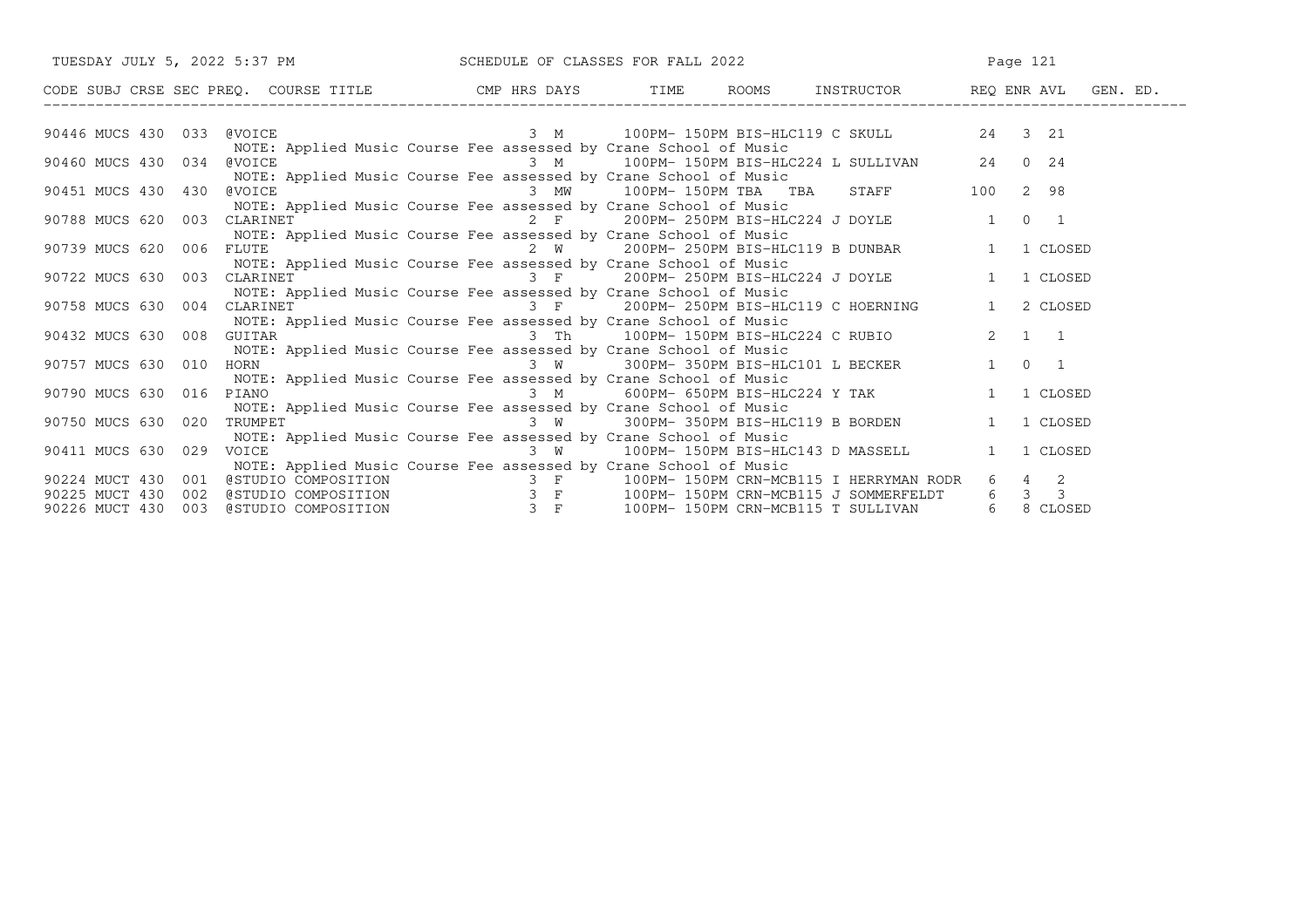|                                                                | TUESDAY JULY 5, 2022 5:37 PM SCHEDULE OF CLASSES FOR FALL 2022                                                                                                                                                                                                                                    |          | Page 121                                                                                                                                                                                                                             |               |  |  |
|----------------------------------------------------------------|---------------------------------------------------------------------------------------------------------------------------------------------------------------------------------------------------------------------------------------------------------------------------------------------------|----------|--------------------------------------------------------------------------------------------------------------------------------------------------------------------------------------------------------------------------------------|---------------|--|--|
|                                                                |                                                                                                                                                                                                                                                                                                   |          | CODE SUBJ CRSE SEC PREQ. COURSE TITLE CMP HRS DAYS TIME ROOMS INSTRUCTOR REQ ENR AVL GEN. ED.                                                                                                                                        |               |  |  |
| 90446 MUCS 430 033                                             | <b>@VOICE</b><br>NOTE: Applied Music Course Fee assessed by Crane School of Music                                                                                                                                                                                                                 |          | 3 M 100PM-150PM BIS-HLC119 C SKULL 24 3 21                                                                                                                                                                                           |               |  |  |
| 90460 MUCS 430 034                                             | @VOICE<br>NOTE: Applied Music Course Fee assessed by Crane School of Music                                                                                                                                                                                                                        |          | sessed by Crane school of music<br>3  M         100PM- 150PM BIS-HLC224 L SULLIVAN         24   0  24                                                                                                                                |               |  |  |
| 90451 MUCS 430 430                                             | @VOICE<br>NOTE: Applied Music Course Fee assessed by Crane School of Music                                                                                                                                                                                                                        | 3 MW     | 100PM-150PM TBA TBA STAFF 100                                                                                                                                                                                                        | 2 98          |  |  |
| 90788 MUCS 620 003                                             | CLARINET<br>NOTE: Applied Music Course Fee assessed by Crane School of Music                                                                                                                                                                                                                      |          | 2 F 200PM-250PM BIS-HLC224 J DOYLE 1                                                                                                                                                                                                 | $0 \qquad 1$  |  |  |
| 90739 MUCS 620 006                                             | FLUTE<br>NOTE: Applied Music Course Fee assessed by Crane School of Music                                                                                                                                                                                                                         |          | 2 W 200PM-250PM BIS-HLC119 B DUNBAR 1                                                                                                                                                                                                | 1 CLOSED      |  |  |
| 90722 MUCS 630 003                                             | CLARINET<br>NOTE: Applied Music Course Fee assessed by Crane School of Music                                                                                                                                                                                                                      |          | 3 F 200PM-250PM BIS-HLC224 J DOYLE 1                                                                                                                                                                                                 | 1 CLOSED      |  |  |
| 90758 MUCS 630 004                                             | CLARINET<br>NOTE: Applied Music Course Fee assessed by Crane School of Music                                                                                                                                                                                                                      |          | 3 F 200PM-250PM BIS-HLC119 C HOERNING                                                                                                                                                                                                | 1<br>2 CLOSED |  |  |
| 90432 MUCS 630 008                                             | GUITAR<br>NOTE: Applied Music Course Fee assessed by Crane School of Music                                                                                                                                                                                                                        |          | 3 Th 100PM-150PM BIS-HLC224 C RUBIO 2 1 1                                                                                                                                                                                            |               |  |  |
| 90757 MUCS 630 010                                             | HORN FORM AND THE STATE OF THE STATE OF THE STATE OF THE STATE OF THE STATE OF THE STATE OF THE STATE OF THE STATE OF THE STATE OF THE STATE OF THE STATE OF THE STATE OF THE STATE OF THE STATE OF THE STATE OF THE STATE OF<br>NOTE: Applied Music Course Fee assessed by Crane School of Music |          | sessed by crane school of music<br>3 W 300PM-350PM BIS-HLC101 L BECKER 1                                                                                                                                                             | $0\qquad1$    |  |  |
| 90790 MUCS 630 016                                             | PIANO<br>NOTE: Applied Music Course Fee assessed by Crane School of Music                                                                                                                                                                                                                         | $3 \,$ M | 600PM- 650PM BIS-HLC224 Y TAK                                                                                                                                                                                                        | 1 CLOSED      |  |  |
| 90750 MUCS 630 020                                             | TRUMPET<br>NOTE: Applied Music Course Fee assessed by Crane School of Music                                                                                                                                                                                                                       |          | 3 W 300PM-350PM BIS-HLC119 B BORDEN 1                                                                                                                                                                                                | 1 CLOSED      |  |  |
| 90411 MUCS 630 029<br>VOICE                                    | NOTE: Applied Music Course Fee assessed by Crane School of Music                                                                                                                                                                                                                                  |          | 3 W 100PM-150PM BIS-HLC143 D MASSELL                                                                                                                                                                                                 | 1<br>1 CLOSED |  |  |
| 90224 MUCT 430 001<br>90225 MUCT 430 002<br>90226 MUCT 430 003 |                                                                                                                                                                                                                                                                                                   |          | @STUDIO COMPOSITION          3 F    100PM-150PM CRN-MCB115 I HERRYMAN RODR   6  4  2<br>@STUDIO COMPOSITION          3 F    100PM-150PM CRN-MCB115 J SOMMERFELDT   6  3  3<br>@STUDIO COMPOSITION          3 F    100PM-150PM CRN-MC |               |  |  |
|                                                                |                                                                                                                                                                                                                                                                                                   |          |                                                                                                                                                                                                                                      |               |  |  |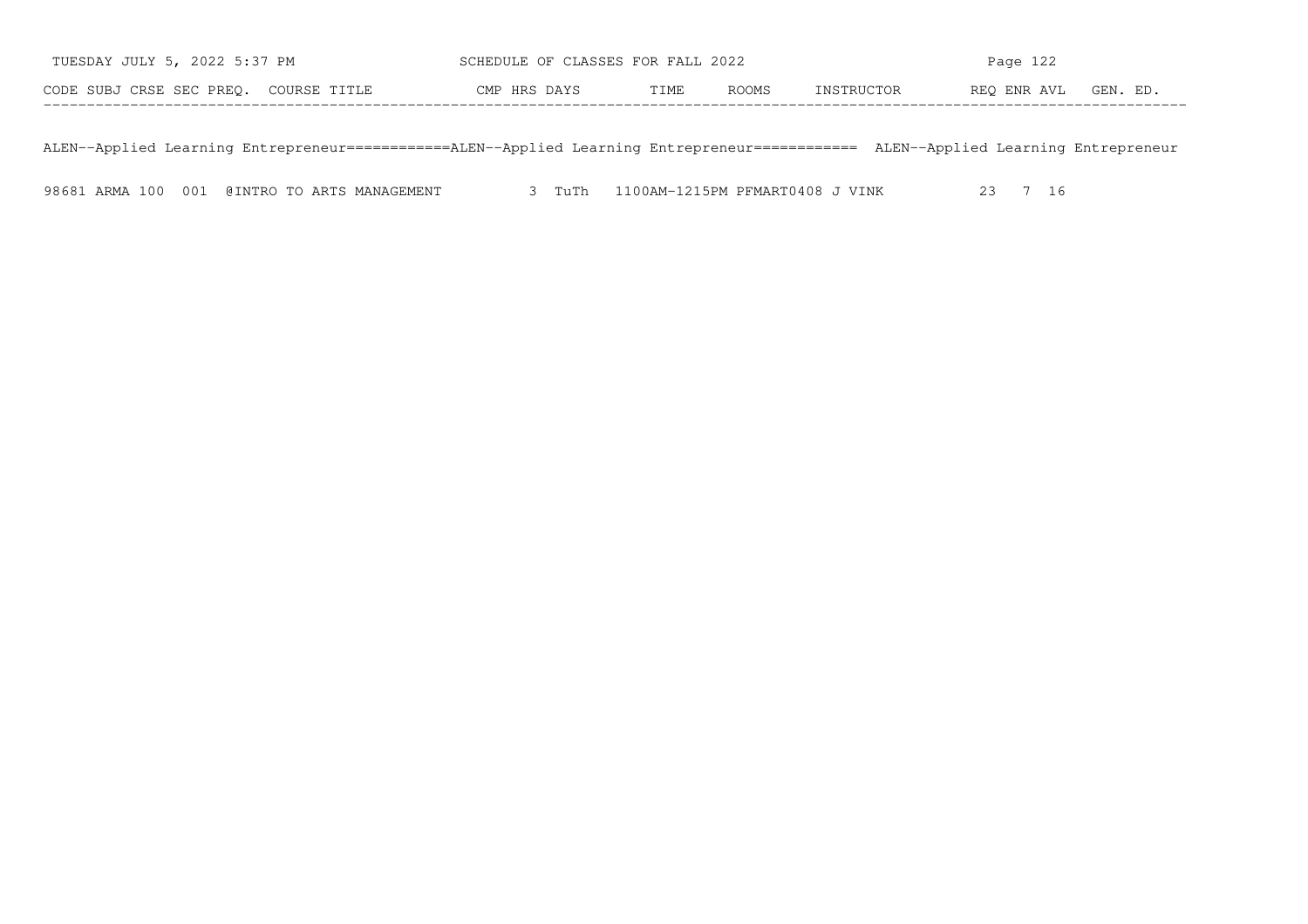| TUESDAY JULY 5, 2022 5:37 PM          | SCHEDULE OF CLASSES FOR FALL 2022     | Page $122$                            |  |  |  |  |
|---------------------------------------|---------------------------------------|---------------------------------------|--|--|--|--|
| CODE SUBJ CRSE SEC PREO. COURSE TITLE | <b>ROOMS</b><br>CMP HRS DAYS<br>TTMF. | REO ENR AVL<br>GEN. ED.<br>INSTRUCTOR |  |  |  |  |

ALEN−−Applied Learning Entrepreneur============ALEN−−Applied Learning Entrepreneur============ ALEN−−Applied Learning Entrepreneur

98681 ARMA 100 001 @INTRO TO ARTS MANAGEMENT 3 TuTh 1100AM-1215PM PFMART0408 J VINK 23 7 16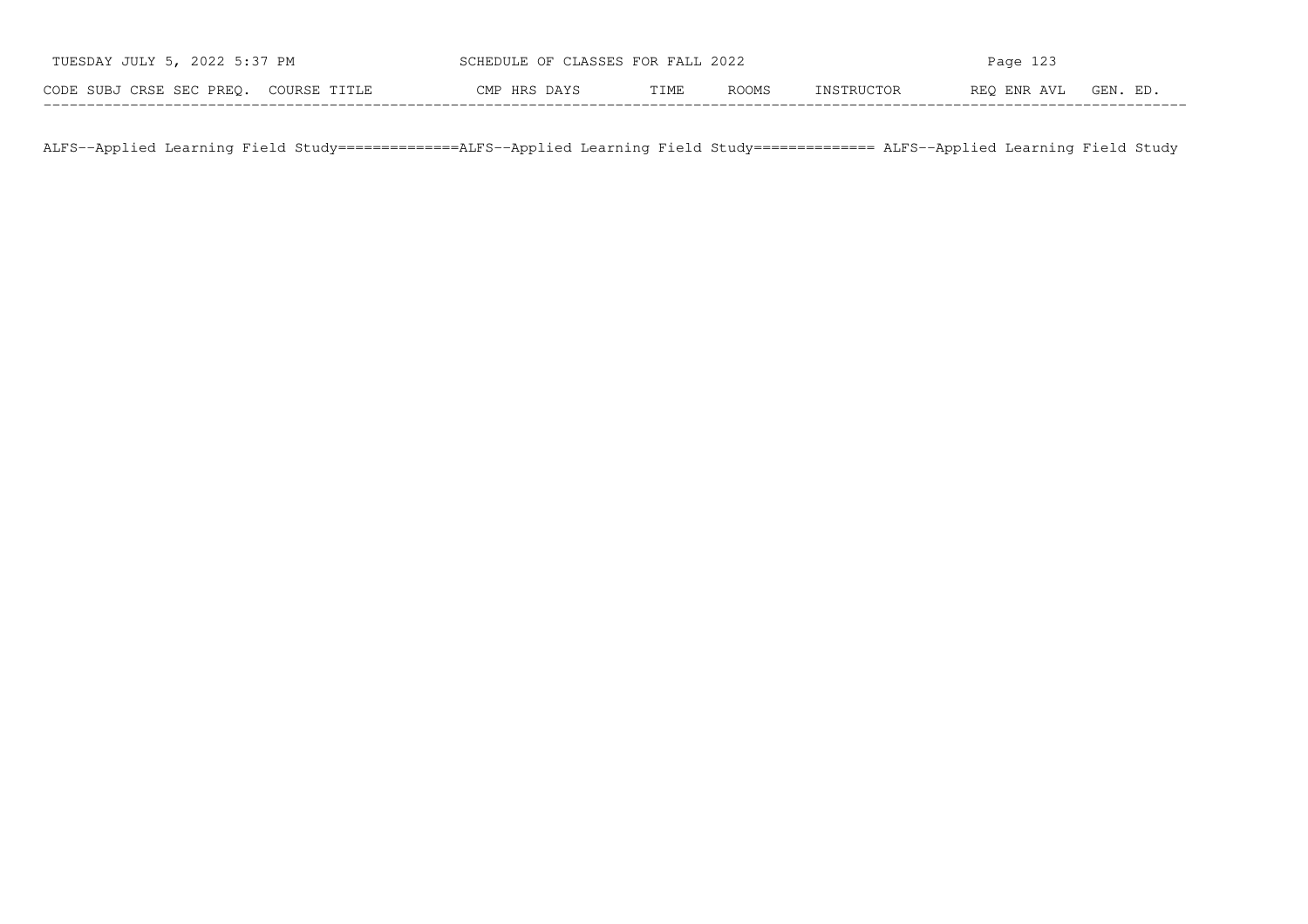| TUESDAY JULY 5, 2022 5:37 PM          | SCHEDULE OF CLASSES FOR FALL 2022 |      |              | Page 123   |             |          |  |
|---------------------------------------|-----------------------------------|------|--------------|------------|-------------|----------|--|
| CODE SUBJ CRSE SEC PREO. COURSE TITLE | CMP HRS DAYS                      | TIME | <b>ROOMS</b> | INSTRUCTOR | REO ENR AVL | GEN. ED. |  |

ALFS−−Applied Learning Field Study==============ALFS−−Applied Learning Field Study============== ALFS−−Applied Learning Field Study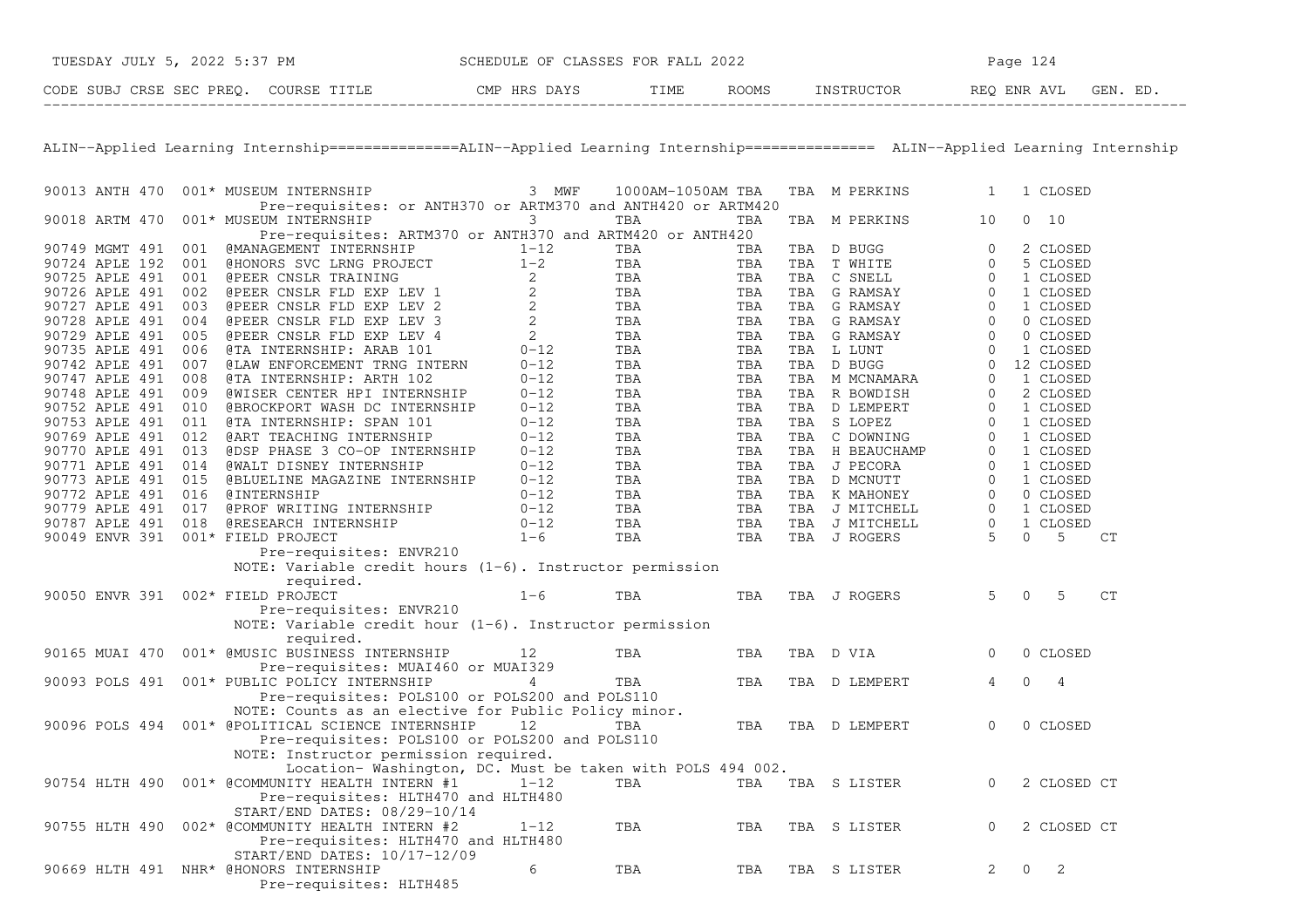| TUESDAY JULY 5, 2022 5:37 PM          | SCHEDULE OF CLASSES FOR FALL 2022 |              |      | Page 124     |            |                      |  |
|---------------------------------------|-----------------------------------|--------------|------|--------------|------------|----------------------|--|
| CODE SUBJ CRSE SEC PREO. COURSE TITLE |                                   | CMP HRS DAYS | TIME | <b>ROOMS</b> | INSTRUCTOR | REO ENR AVL GEN. ED. |  |

ALIN−−Applied Learning Internship===============ALIN−−Applied Learning Internship=============== ALIN−−Applied Learning Internship

| 90013 ANTH 470                    |     | 001* MUSEUM INTERNSHIP                                                                 | 3 MWF        | 1000AM-1050AM TBA |     | TBA | M PERKINS      | 1           |          | 1 CLOSED       |    |
|-----------------------------------|-----|----------------------------------------------------------------------------------------|--------------|-------------------|-----|-----|----------------|-------------|----------|----------------|----|
| 90018 ARTM 470                    |     | Pre-requisites: or ANTH370 or ARTM370 and ANTH420 or ARTM420<br>001* MUSEUM INTERNSHIP | 3            | TBA               | TBA | TBA | M PERKINS      | 10          | 0        | 10             |    |
|                                   |     | Pre-requisites: ARTM370 or ANTH370 and ARTM420 or ANTH420                              |              |                   |     |     |                |             |          |                |    |
| 90749 MGMT 491                    | 001 | @MANAGEMENT INTERNSHIP                                                                 | $1 - 12$     | TBA               | TBA |     | TBA D BUGG     | $\Omega$    |          | 2 CLOSED       |    |
| 90724 APLE 192                    | 001 | <b>@HONORS SVC LRNG PROJECT</b>                                                        | $1 - 2$      | TBA               | TBA | TBA | T WHITE        | $\Omega$    |          | 5 CLOSED       |    |
| 90725 APLE 491                    | 001 | <b>@PEER CNSLR TRAINING</b>                                                            | 2            | TBA               | TBA | TBA | C SNELL        | $\Omega$    |          | 1 CLOSED       |    |
| 90726 APLE 491                    | 002 | @PEER CNSLR FLD EXP LEV 1                                                              | 2            | TBA               | TBA | TBA | G RAMSAY       | 0           |          | 1 CLOSED       |    |
| 90727 APLE 491                    | 003 | @PEER CNSLR FLD EXP LEV 2                                                              | 2            | TBA               | TBA | TBA | G RAMSAY       | $\Omega$    |          | 1 CLOSED       |    |
| 90728 APLE 491                    | 004 | @PEER CNSLR FLD EXP LEV 3                                                              | $\mathbf{2}$ | TBA               | TBA | TBA | G RAMSAY       | 0           |          | 0 CLOSED       |    |
| 90729 APLE 491                    | 005 | @PEER CNSLR FLD EXP LEV 4                                                              | 2            | TBA               | TBA | TBA | G RAMSAY       | $\Omega$    |          | 0 CLOSED       |    |
| 90735 APLE 491                    | 006 | @TA INTERNSHIP: ARAB 101                                                               | $0 - 12$     | TBA               | TBA |     | TBA L LUNT     | $\Omega$    |          | 1 CLOSED       |    |
| 90742 APLE 491                    | 007 | <b>@LAW ENFORCEMENT TRNG INTERN</b>                                                    | $0 - 12$     | TBA               | TBA |     | TBA D BUGG     | $\Omega$    |          | 12 CLOSED      |    |
| 90747 APLE 491                    | 008 | @TA INTERNSHIP: ARTH 102                                                               | $0 - 12$     | TBA               | TBA | TBA | M MCNAMARA     | $\Omega$    |          | 1 CLOSED       |    |
| 90748 APLE 491                    | 009 | <b>@WISER CENTER HPI INTERNSHIP</b>                                                    | $0 - 12$     | TBA               | TBA |     | TBA R BOWDISH  | $\Omega$    |          | 2 CLOSED       |    |
| 90752 APLE 491                    | 010 | @BROCKPORT WASH DC INTERNSHIP                                                          | $0 - 12$     | TBA               | TBA | TBA | D LEMPERT      | $\mathbf 0$ |          | 1 CLOSED       |    |
|                                   |     |                                                                                        |              |                   |     |     |                | $\Omega$    |          |                |    |
| 90753 APLE 491                    | 011 | @TA INTERNSHIP: SPAN 101                                                               | $0 - 12$     | TBA               | TBA | TBA | S LOPEZ        |             |          | 1 CLOSED       |    |
| 90769 APLE 491                    | 012 | @ART TEACHING INTERNSHIP                                                               | $0 - 12$     | TBA               | TBA | TBA | C DOWNING      | $\Omega$    |          | 1 CLOSED       |    |
| 90770 APLE 491                    | 013 | @DSP PHASE 3 CO-OP INTERNSHIP                                                          | $0 - 12$     | TBA               | TBA | TBA | H BEAUCHAMP    | $\Omega$    |          | 1 CLOSED       |    |
| 90771 APLE 491                    | 014 | <b>@WALT DISNEY INTERNSHIP</b>                                                         | $0 - 12$     | TBA               | TBA | TBA | J PECORA       | $\Omega$    |          | 1 CLOSED       |    |
| 90773 APLE 491                    | 015 | <b>@BLUELINE MAGAZINE INTERNSHIP</b>                                                   | $0 - 12$     | TBA               | TBA |     | TBA D MCNUTT   | $\Omega$    |          | 1 CLOSED       |    |
| 90772 APLE 491                    | 016 | <b>@INTERNSHIP</b>                                                                     | $0 - 12$     | TBA               | TBA | TBA | K MAHONEY      | $\Omega$    |          | 0 CLOSED       |    |
| 90779 APLE 491                    | 017 | @PROF WRITING INTERNSHIP                                                               | $0 - 12$     | TBA               | TBA |     | TBA J MITCHELL | $\Omega$    |          | 1 CLOSED       |    |
| 90787 APLE 491                    | 018 | @RESEARCH INTERNSHIP                                                                   | $0 - 12$     | TBA               | TBA | TBA | J MITCHELL     | $\mathbf 0$ |          | 1 CLOSED       |    |
| 90049 ENVR 391                    |     | 001* FIELD PROJECT                                                                     | $1 - 6$      | TBA               | TBA |     | TBA J ROGERS   | 5           | $\Omega$ | 5              | CT |
|                                   |     | Pre-requisites: ENVR210                                                                |              |                   |     |     |                |             |          |                |    |
|                                   |     | NOTE: Variable credit hours $(1-6)$ . Instructor permission                            |              |                   |     |     |                |             |          |                |    |
|                                   |     | required.                                                                              |              |                   |     |     |                |             |          |                |    |
| 90050 ENVR 391 002* FIELD PROJECT |     |                                                                                        | $1 - 6$      | TBA               | TBA |     | TBA J ROGERS   | 5           | $\Omega$ | .5             | CT |
|                                   |     | Pre-requisites: ENVR210                                                                |              |                   |     |     |                |             |          |                |    |
|                                   |     | NOTE: Variable credit hour $(1-6)$ . Instructor permission                             |              |                   |     |     |                |             |          |                |    |
|                                   |     | required.                                                                              |              |                   |     |     |                |             |          |                |    |
| 90165 MUAI 470                    |     | 001* @MUSIC BUSINESS INTERNSHIP                                                        | 12           | TBA               | TBA |     | TBA D VIA      | $\Omega$    |          | 0 CLOSED       |    |
|                                   |     | Pre-requisites: MUAI460 or MUAI329                                                     |              |                   |     |     |                |             |          |                |    |
| 90093 POLS 491                    |     | 001* PUBLIC POLICY INTERNSHIP                                                          | 4            | TBA               | TBA |     | TBA D LEMPERT  | 4           | $\Omega$ | $\overline{4}$ |    |
|                                   |     | Pre-requisites: POLS100 or POLS200 and POLS110                                         |              |                   |     |     |                |             |          |                |    |
|                                   |     | NOTE: Counts as an elective for Public Policy minor.                                   |              |                   |     |     |                |             |          |                |    |
| 90096 POLS 494                    |     | 001* @POLITICAL SCIENCE INTERNSHIP                                                     | 12           | TBA               | TBA |     | TBA D LEMPERT  | $\Omega$    |          | 0 CLOSED       |    |
|                                   |     | Pre-requisites: POLS100 or POLS200 and POLS110                                         |              |                   |     |     |                |             |          |                |    |
|                                   |     | NOTE: Instructor permission required.                                                  |              |                   |     |     |                |             |          |                |    |
|                                   |     | Location-Washington, DC. Must be taken with POLS 494 002.                              |              |                   |     |     |                |             |          |                |    |
| 90754 HLTH 490                    |     | 001* @COMMUNITY HEALTH INTERN #1                                                       | $1 - 12$     | TBA               | TBA |     | TBA S LISTER   | $\Omega$    |          | 2 CLOSED CT    |    |
|                                   |     | Pre-requisites: HLTH470 and HLTH480                                                    |              |                   |     |     |                |             |          |                |    |
|                                   |     | $START/END$ DATES: $08/29-10/14$                                                       |              |                   |     |     |                |             |          |                |    |
| 90755 HLTH 490                    |     | 002* @COMMUNITY HEALTH INTERN #2                                                       | $1 - 12$     | TBA               | TBA | TBA | S LISTER       | $\Omega$    |          | 2 CLOSED CT    |    |
|                                   |     |                                                                                        |              |                   |     |     |                |             |          |                |    |
|                                   |     | Pre-requisites: HLTH470 and HLTH480                                                    |              |                   |     |     |                |             |          |                |    |
|                                   |     | START/END DATES: 10/17-12/09                                                           |              |                   |     |     |                |             |          |                |    |
| 90669 HLTH 491                    |     | NHR* @HONORS INTERNSHIP                                                                | 6            | TBA               | TBA | TBA | S LISTER       | 2           | $\Omega$ | 2              |    |
|                                   |     | Pre-requisites: HLTH485                                                                |              |                   |     |     |                |             |          |                |    |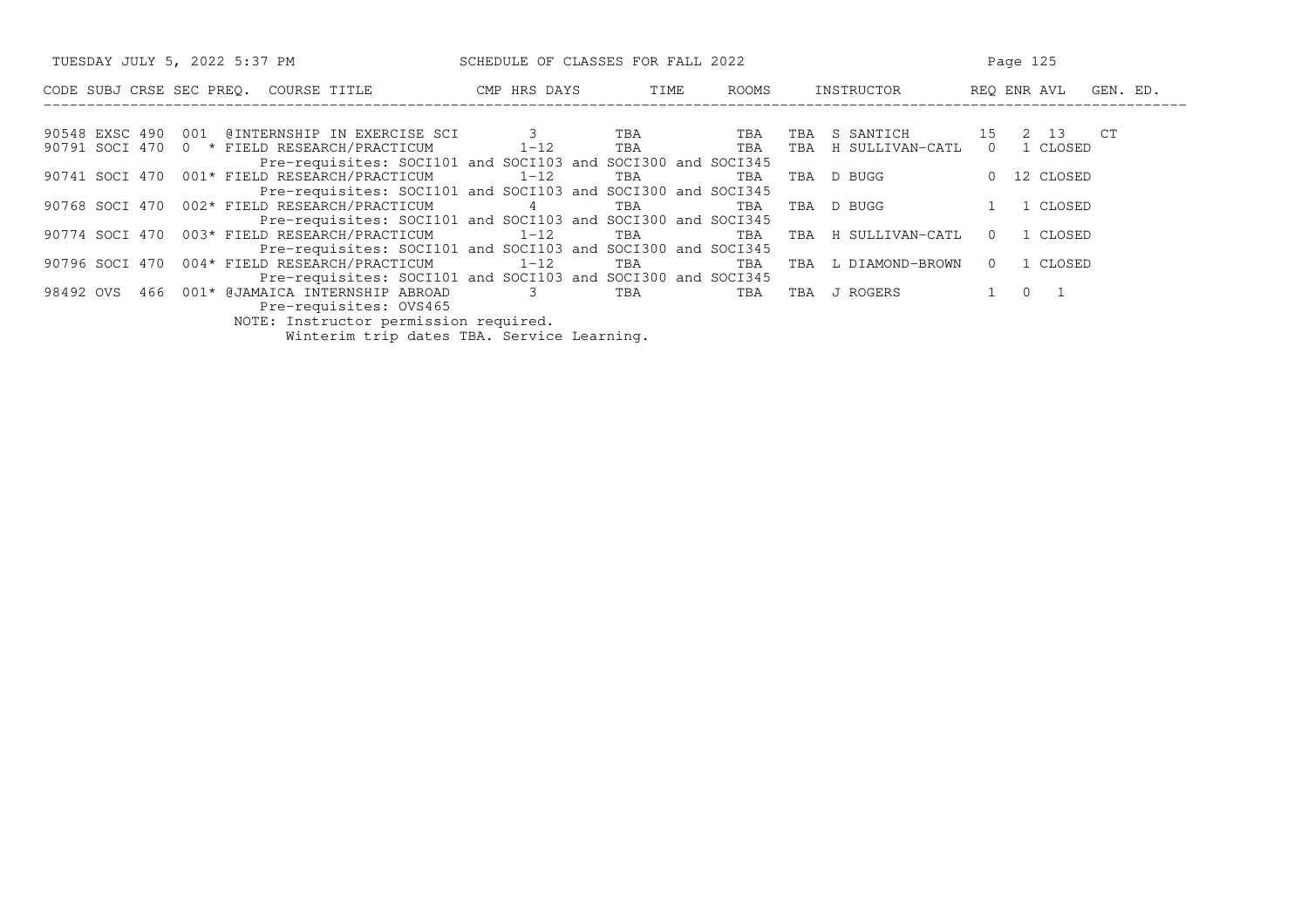| TUESDAY JULY 5, 2022 5:37 PM                                | SCHEDULE OF CLASSES FOR FALL 2022 |            | Page 125 |                        |                         |  |
|-------------------------------------------------------------|-----------------------------------|------------|----------|------------------------|-------------------------|--|
| CODE SUBJ CRSE SEC PREO. COURSE TITLE                       | CMP HRS DAYS                      | TIME       | ROOMS    | INSTRUCTOR             | REO ENR AVL<br>GEN. ED. |  |
|                                                             |                                   |            |          |                        |                         |  |
| 90548 EXSC 490 001 @INTERNSHIP IN EXERCISE SCI 3            |                                   | <b>TBA</b> | TBA      | S SANTICH<br>TBA       | 15 2 13 CT              |  |
| 90791 SOCI 470 0 * FIELD RESEARCH/PRACTICUM 1-12 TBA        |                                   |            | TBA      | TBA H SULLIVAN-CATL    | $\Omega$<br>1 CLOSED    |  |
| Pre-requisites: SOCI101 and SOCI103 and SOCI300 and SOCI345 |                                   |            |          |                        |                         |  |
| 90741 SOCI 470 001* FIELD RESEARCH/PRACTICUM 1-12           |                                   | TBA        | TBA      | D BUGG<br>TBA          | 0 12 CLOSED             |  |
| Pre-requisites: SOCI101 and SOCI103 and SOCI300 and SOCI345 |                                   |            |          |                        |                         |  |
| 90768 SOCI 470 002* FIELD RESEARCH/PRACTICUM 4              |                                   | TBA        | TBA      | D BUGG<br>TBA          | 1 CLOSED                |  |
| Pre-requisites: SOCI101 and SOCI103 and SOCI300 and SOCI345 |                                   |            |          |                        |                         |  |
| 90774 SOCI 470 003* FIELD RESEARCH/PRACTICUM                | $1-12$ TBA                        |            | TBA      | TBA H SULLIVAN-CATL    | 1 CLOSED<br>$\Omega$    |  |
| Pre-requisites: SOCI101 and SOCI103 and SOCI300 and SOCI345 |                                   |            |          |                        |                         |  |
| 90796 SOCI 470 004* FIELD RESEARCH/PRACTICUM 1-12           |                                   | TBA        | TBA      | L DIAMOND-BROWN<br>TBA | 1 CLOSED<br>$\Omega$    |  |
| Pre-requisites: SOCI101 and SOCI103 and SOCI300 and SOCI345 |                                   |            |          |                        |                         |  |
| 466 001* @JAMAICA INTERNSHIP ABROAD<br>98492 OVS            | 3                                 | TBA        | TBA      | TBA<br>J ROGERS        | $0\quad 1$              |  |
| Pre-requisites: OVS465                                      |                                   |            |          |                        |                         |  |
| NOTE: Instructor permission required.                       |                                   |            |          |                        |                         |  |
| Winterim trip dates TBA. Service Learning.                  |                                   |            |          |                        |                         |  |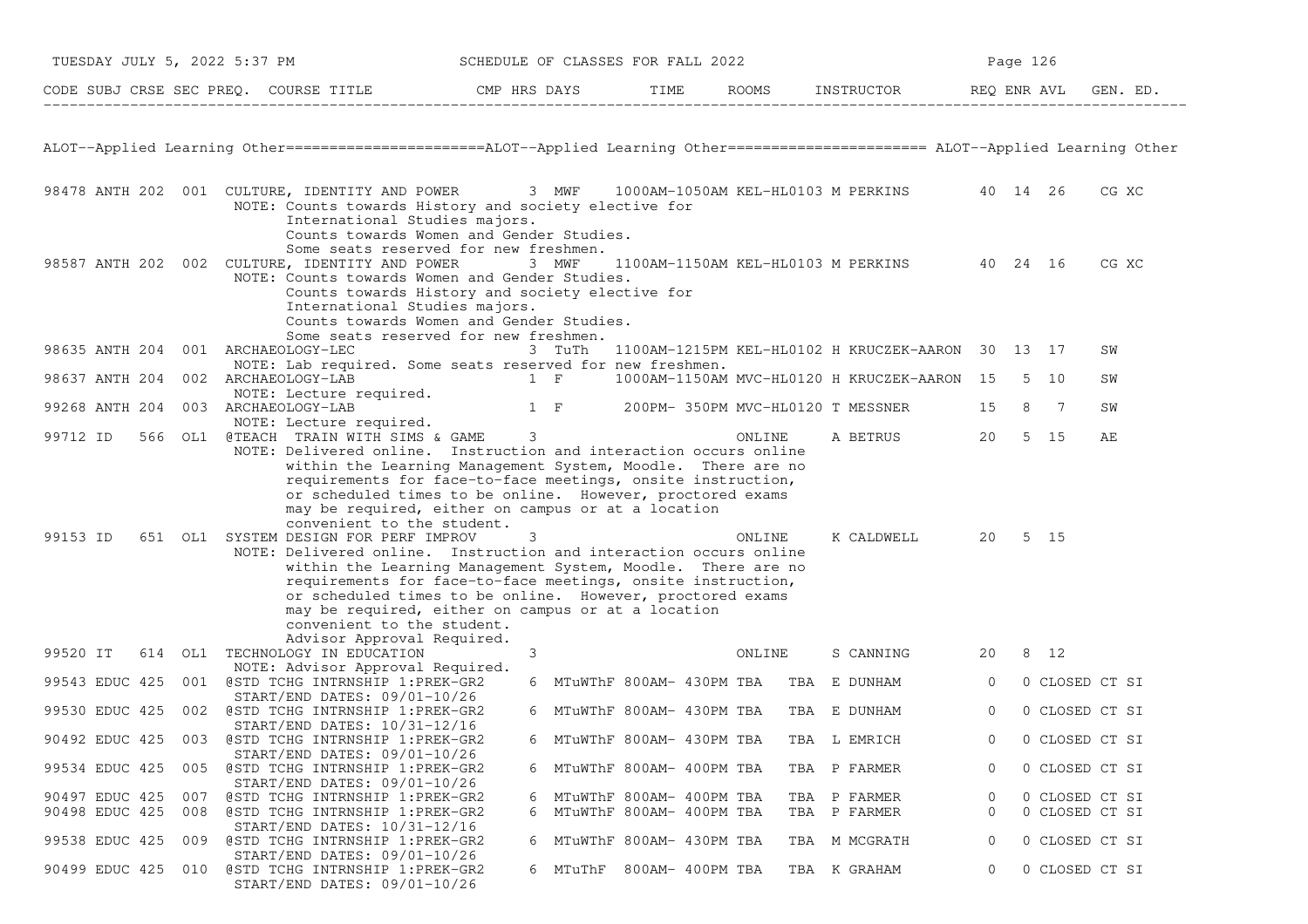| TUESDAY JULY 5, 2022 5:37 PM |     |                                                                                                                                                                                                                                                                                                                                                                                                                                                                                                                                                                                                                                                                          | SCHEDULE OF CLASSES FOR FALL 2022 |                            |  |        |                                                   |              | Page 126 |                |          |  |
|------------------------------|-----|--------------------------------------------------------------------------------------------------------------------------------------------------------------------------------------------------------------------------------------------------------------------------------------------------------------------------------------------------------------------------------------------------------------------------------------------------------------------------------------------------------------------------------------------------------------------------------------------------------------------------------------------------------------------------|-----------------------------------|----------------------------|--|--------|---------------------------------------------------|--------------|----------|----------------|----------|--|
|                              |     | CODE SUBJ CRSE SEC PREQ. COURSE TITLE CMP HRS DAYS TIME ROOMS INSTRUCTOR REQ ENR AVL                                                                                                                                                                                                                                                                                                                                                                                                                                                                                                                                                                                     |                                   |                            |  |        |                                                   |              |          |                | GEN. ED. |  |
|                              |     | ALOT--Applied Learning Other======================ALOT--Applied Learning Other===================== ALOT--Applied Learning Other                                                                                                                                                                                                                                                                                                                                                                                                                                                                                                                                         |                                   |                            |  |        |                                                   |              |          |                |          |  |
|                              |     | 98478 ANTH 202 001 CULTURE, IDENTITY AND POWER 3 MWF 1000AM-1050AM KEL-HL0103 M PERKINS 40 14 26<br>NOTE: Counts towards History and society elective for<br>International Studies majors.                                                                                                                                                                                                                                                                                                                                                                                                                                                                               |                                   |                            |  |        |                                                   |              |          |                | CG XC    |  |
|                              |     | Counts towards Women and Gender Studies.<br>Some seats reserved for new freshmen.<br>98587 ANTH 202 002 CULTURE, IDENTITY AND POWER 3 MWF<br>NOTE: Counts towards Women and Gender Studies.<br>Counts towards History and society elective for<br>International Studies majors.<br>Counts towards Women and Gender Studies.                                                                                                                                                                                                                                                                                                                                              |                                   |                            |  |        | 1100AM-1150AM KEL-HL0103 M PERKINS 40 24 16       |              |          |                | CG XC    |  |
| 98635 ANTH 204               |     | Some seats reserved for new freshmen.<br>001 ARCHAEOLOGY-LEC                                                                                                                                                                                                                                                                                                                                                                                                                                                                                                                                                                                                             |                                   | 3 TuTh                     |  |        | 1100AM-1215PM KEL-HL0102 H KRUCZEK-AARON 30 13 17 |              |          |                | SW       |  |
| 98637 ANTH 204               |     | NOTE: Lab required. Some seats reserved for new freshmen.<br>002 ARCHAEOLOGY-LAB                                                                                                                                                                                                                                                                                                                                                                                                                                                                                                                                                                                         | $1 \tF$                           |                            |  |        | 1000AM-1150AM MVC-HL0120 H KRUCZEK-AARON 15       |              |          | 5 10           | SW       |  |
|                              |     | NOTE: Lecture required.                                                                                                                                                                                                                                                                                                                                                                                                                                                                                                                                                                                                                                                  |                                   |                            |  |        |                                                   |              |          |                |          |  |
|                              |     | 99268 ANTH 204 003 ARCHAEOLOGY-LAB<br>NOTE: Lecture required.                                                                                                                                                                                                                                                                                                                                                                                                                                                                                                                                                                                                            |                                   |                            |  |        | 1 F 200PM-350PM MVC-HL0120 T MESSNER              | 15           |          | 8 7            | SW       |  |
| 99712 ID                     |     | 566 OL1 @TEACH TRAIN WITH SIMS & GAME<br>NOTE: Delivered online. Instruction and interaction occurs online                                                                                                                                                                                                                                                                                                                                                                                                                                                                                                                                                               | $\mathcal{S}$                     |                            |  | ONLINE | A BETRUS                                          | 20           |          | 5 15           | AЕ       |  |
| 99153 ID                     |     | within the Learning Management System, Moodle. There are no<br>requirements for face-to-face meetings, onsite instruction,<br>or scheduled times to be online. However, proctored exams<br>may be required, either on campus or at a location<br>convenient to the student.<br>651 OL1 SYSTEM DESIGN FOR PERF IMPROV<br>NOTE: Delivered online. Instruction and interaction occurs online<br>within the Learning Management System, Moodle. There are no<br>requirements for face-to-face meetings, onsite instruction,<br>or scheduled times to be online. However, proctored exams<br>may be required, either on campus or at a location<br>convenient to the student. | 3                                 |                            |  | ONLINE | K CALDWELL                                        |              | 20 5 15  |                |          |  |
| 99520 IT                     |     | Advisor Approval Required.<br>614 OL1 TECHNOLOGY IN EDUCATION                                                                                                                                                                                                                                                                                                                                                                                                                                                                                                                                                                                                            | 3                                 |                            |  | ONLINE | S CANNING                                         | 20           |          | 8 12           |          |  |
| 99543 EDUC 425               |     | NOTE: Advisor Approval Required.<br>001 @STD TCHG INTRNSHIP 1:PREK-GR2                                                                                                                                                                                                                                                                                                                                                                                                                                                                                                                                                                                                   |                                   |                            |  |        | 6 MTuWThF 800AM- 430PM TBA TBA E DUNHAM           | $\circ$      |          | 0 CLOSED CT SI |          |  |
| 99530 EDUC 425               |     | $START/END$ DATES: $09/01-10/26$<br>002 @STD TCHG INTRNSHIP 1:PREK-GR2                                                                                                                                                                                                                                                                                                                                                                                                                                                                                                                                                                                                   |                                   | 6 MTuWThF 800AM- 430PM TBA |  |        | TBA E DUNHAM                                      | $\circ$      |          | 0 CLOSED CT SI |          |  |
|                              |     | $START/END$ DATES: $10/31-12/16$<br>90492 EDUC 425 003 @STD TCHG INTRNSHIP 1:PREK-GR2                                                                                                                                                                                                                                                                                                                                                                                                                                                                                                                                                                                    |                                   | 6 MTuWThF 800AM- 430PM TBA |  |        | TBA L EMRICH                                      | $\Omega$     |          | 0 CLOSED CT SI |          |  |
| 99534 EDUC 425               |     | START/END DATES: 09/01-10/26<br>005 @STD TCHG INTRNSHIP 1:PREK-GR2                                                                                                                                                                                                                                                                                                                                                                                                                                                                                                                                                                                                       |                                   | 6 MTuWThF 800AM- 400PM TBA |  |        | TBA P FARMER                                      | $\circ$      |          | 0 CLOSED CT SI |          |  |
| 90497 EDUC 425               | 007 | START/END DATES: 09/01-10/26<br>@STD TCHG INTRNSHIP 1:PREK-GR2                                                                                                                                                                                                                                                                                                                                                                                                                                                                                                                                                                                                           |                                   | 6 MTuWThF 800AM- 400PM TBA |  |        | TBA P FARMER                                      | 0            |          | 0 CLOSED CT SI |          |  |
| 90498 EDUC 425               |     | 008 @STD TCHG INTRNSHIP 1:PREK-GR2                                                                                                                                                                                                                                                                                                                                                                                                                                                                                                                                                                                                                                       | 6                                 | MTuWThF 800AM- 400PM TBA   |  |        | TBA P FARMER                                      | $\mathbf{0}$ |          | 0 CLOSED CT SI |          |  |
| 99538 EDUC 425               | 009 | START/END DATES: 10/31-12/16<br>@STD TCHG INTRNSHIP 1:PREK-GR2                                                                                                                                                                                                                                                                                                                                                                                                                                                                                                                                                                                                           |                                   | 6 MTuWThF 800AM- 430PM TBA |  |        | TBA M MCGRATH                                     | 0            |          | 0 CLOSED CT SI |          |  |
| 90499 EDUC 425               |     | START/END DATES: 09/01-10/26<br>010 @STD TCHG INTRNSHIP 1:PREK-GR2<br>START/END DATES: 09/01-10/26                                                                                                                                                                                                                                                                                                                                                                                                                                                                                                                                                                       |                                   | 6 MTuThF 800AM-400PM TBA   |  |        | TBA K GRAHAM                                      | $\circ$      |          | 0 CLOSED CT SI |          |  |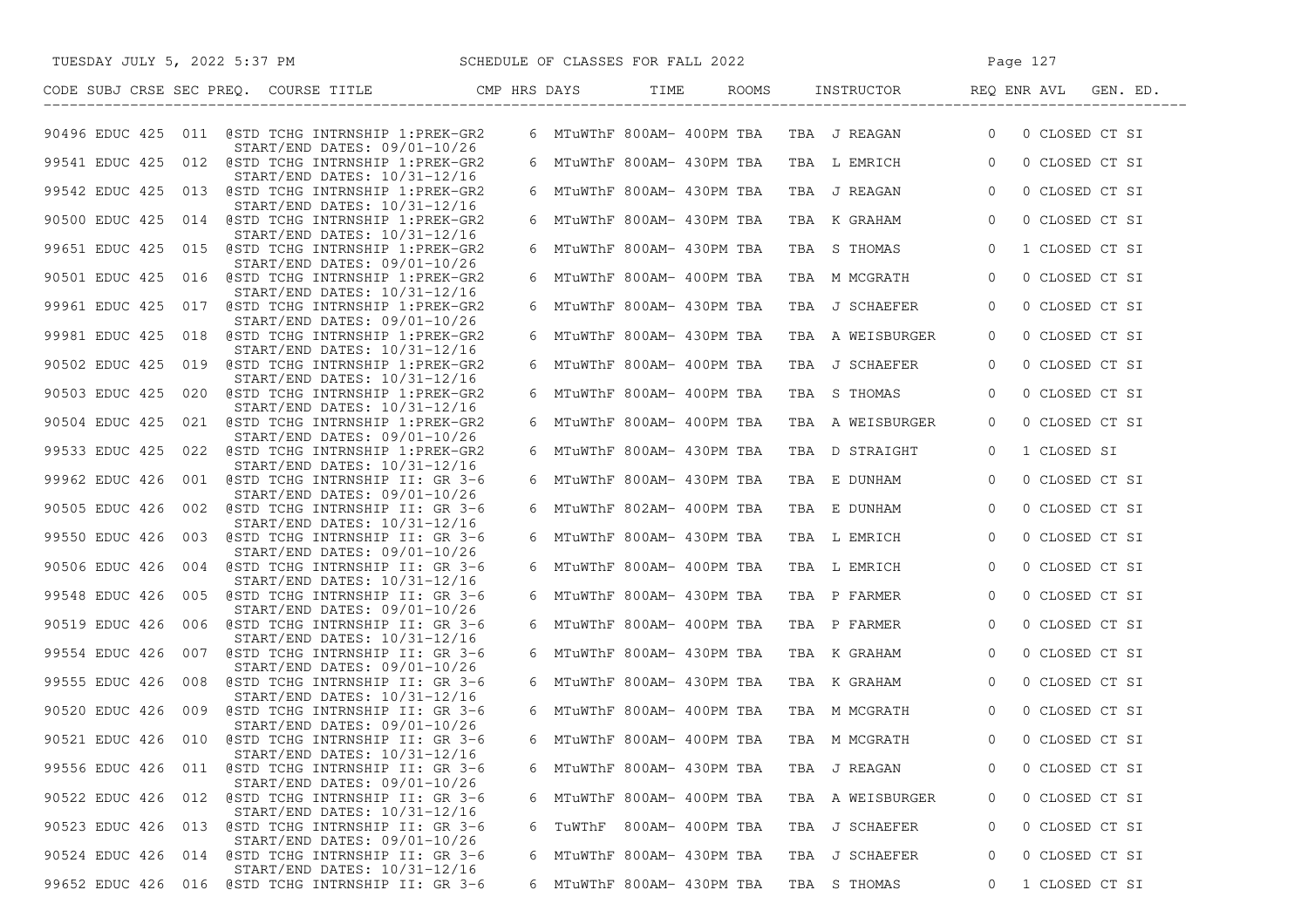| SCHEDULE OF CLASSES FOR FALL 2022<br>TUESDAY JULY 5, 2022 5:37 PM                     |  |                            |                                           | Page 127                         |
|---------------------------------------------------------------------------------------|--|----------------------------|-------------------------------------------|----------------------------------|
| CODE SUBJ CRSE SEC PREQ. COURSE TITLE THE CMP HRS DAYS TIME                           |  | ROOMS                      |                                           | INSTRUCTOR REQ ENR AVL GEN. ED.  |
| 90496 EDUC 425 011 @STD TCHG INTRNSHIP 1:PREK-GR2<br>START/END DATES: 09/01-10/26     |  |                            | 6 MTuWThF 800AM- 400PM TBA TBA J REAGAN   | 0 CLOSED CT SI<br>$\overline{0}$ |
| 99541 EDUC 425 012 @STD TCHG INTRNSHIP 1:PREK-GR2<br>START/END DATES: 10/31-12/16     |  |                            | 6 MTuWThF 800AM- 430PM TBA TBA L EMRICH 0 | 0 CLOSED CT SI                   |
| 99542 EDUC 425 013 @STD TCHG INTRNSHIP 1:PREK-GR2                                     |  |                            | 6 MTuWThF 800AM- 430PM TBA TBA J REAGAN   | $\overline{0}$<br>0 CLOSED CT SI |
| START/END DATES: 10/31-12/16<br>90500 EDUC 425 014 @STD TCHG INTRNSHIP 1:PREK-GR2     |  | 6 MTuWThF 800AM- 430PM TBA | TBA K GRAHAM                              | $\circ$<br>0 CLOSED CT SI        |
| START/END DATES: 10/31-12/16<br>99651 EDUC 425 015 @STD TCHG INTRNSHIP 1:PREK-GR2     |  | 6 MTuWThF 800AM- 430PM TBA | TBA S THOMAS                              | $\overline{0}$<br>1 CLOSED CT SI |
| $START/END$ DATES: $09/01-10/26$<br>90501 EDUC 425 016 @STD TCHG INTRNSHIP 1:PREK-GR2 |  | 6 MTuWThF 800AM- 400PM TBA | TBA M MCGRATH                             | 0 CLOSED CT SI<br>$\overline{0}$ |
| $START/END$ DATES: $10/31-12/16$<br>99961 EDUC 425 017 @STD TCHG INTRNSHIP 1:PREK-GR2 |  | 6 MTuWThF 800AM- 430PM TBA | TBA J SCHAEFER                            | $\mathbf{0}$<br>0 CLOSED CT SI   |
| $START/END$ DATES: $09/01-10/26$<br>99981 EDUC 425 018 @STD TCHG INTRNSHIP 1:PREK-GR2 |  | 6 MTuWThF 800AM- 430PM TBA | TBA A WEISBURGER                          | 0 CLOSED CT SI<br>$\mathbf{0}$   |
| START/END DATES: 10/31-12/16<br>90502 EDUC 425 019 @STD TCHG INTRNSHIP 1:PREK-GR2     |  | 6 MTuWThF 800AM- 400PM TBA | TBA J SCHAEFER                            | 0 CLOSED CT SI<br>$\overline{0}$ |
| START/END DATES: 10/31-12/16<br>90503 EDUC 425 020 @STD TCHG INTRNSHIP 1:PREK-GR2     |  | 6 MTuWThF 800AM- 400PM TBA | TBA S THOMAS                              | 0 CLOSED CT SI<br>$\mathbf{0}$   |
| $START/END$ DATES: $10/31-12/16$<br>90504 EDUC 425 021 @STD TCHG INTRNSHIP 1:PREK-GR2 |  | 6 MTuWThF 800AM- 400PM TBA | TBA A WEISBURGER                          | 0 CLOSED CT SI<br>$\overline{0}$ |
| START/END DATES: 09/01-10/26<br>99533 EDUC 425 022 @STD TCHG INTRNSHIP 1:PREK-GR2     |  | 6 MTuWThF 800AM- 430PM TBA | TBA D STRAIGHT                            | 1 CLOSED SI<br>$\mathbf{0}$      |
| $START/END$ DATES: $10/31-12/16$<br>99962 EDUC 426 001 @STD TCHG INTRNSHIP II: GR 3-6 |  | 6 MTuWThF 800AM- 430PM TBA | TBA E DUNHAM                              | $\overline{0}$<br>0 CLOSED CT SI |
| START/END DATES: 09/01-10/26<br>90505 EDUC 426 002 @STD TCHG INTRNSHIP II: GR 3-6     |  | 6 MTuWThF 802AM- 400PM TBA | TBA E DUNHAM                              | $\circ$<br>0 CLOSED CT SI        |
| START/END DATES: 10/31-12/16<br>99550 EDUC 426 003 @STD TCHG INTRNSHIP II: GR 3-6     |  | 6 MTuWThF 800AM- 430PM TBA | TBA L EMRICH                              | $\circ$<br>0 CLOSED CT SI        |
| $START/END$ DATES: $09/01-10/26$<br>90506 EDUC 426 004 @STD TCHG INTRNSHIP II: GR 3-6 |  | 6 MTuWThF 800AM- 400PM TBA | TBA L EMRICH                              | $\circ$<br>0 CLOSED CT SI        |
| START/END DATES: 10/31-12/16<br>99548 EDUC 426 005 @STD TCHG INTRNSHIP II: GR 3-6     |  | 6 MTuWThF 800AM- 430PM TBA | TBA P FARMER                              | $\overline{0}$<br>0 CLOSED CT SI |
| $START/END$ DATES: $09/01-10/26$                                                      |  |                            |                                           |                                  |
| 90519 EDUC 426 006 @STD TCHG INTRNSHIP II: GR 3-6<br>START/END DATES: 10/31-12/16     |  | 6 MTuWThF 800AM- 400PM TBA | TBA P FARMER                              | $\overline{0}$<br>0 CLOSED CT SI |
| 99554 EDUC 426 007 @STD TCHG INTRNSHIP II: GR 3-6<br>START/END DATES: 09/01-10/26     |  |                            | 6 MTuWThF 800AM- 430PM TBA TBA K GRAHAM   | 0 CLOSED CT SI<br>$\mathbf{0}$   |
| 99555 EDUC 426 008 @STD TCHG INTRNSHIP II: GR 3-6<br>START/END DATES: 10/31-12/16     |  |                            | 6 MTuWThF 800AM- 430PM TBA  TBA  K GRAHAM | 0 CLOSED CT SI<br>$\overline{0}$ |
| 90520 EDUC 426 009 @STD TCHG INTRNSHIP II: GR 3-6<br>START/END DATES: 09/01-10/26     |  |                            | 6 MTuWThF 800AM- 400PM TBA TBA M MCGRATH  | 0 CLOSED CT SI<br>$\overline{0}$ |
| 90521 EDUC 426 010 @STD TCHG INTRNSHIP II: GR 3-6<br>START/END DATES: 10/31-12/16     |  |                            | 6 MTuWThF 800AM- 400PM TBA TBA M MCGRATH  | 0 CLOSED CT SI<br>$\Omega$       |
| 011 @STD TCHG INTRNSHIP II: GR 3-6<br>99556 EDUC 426<br>START/END DATES: 09/01-10/26  |  | 6 MTuWThF 800AM- 430PM TBA | TBA J REAGAN                              | 0 CLOSED CT SI<br>0              |
| 90522 EDUC 426 012 @STD TCHG INTRNSHIP II: GR 3-6<br>START/END DATES: 10/31-12/16     |  | 6 MTuWThF 800AM- 400PM TBA | TBA A WEISBURGER                          | 0 CLOSED CT SI<br>0              |
| 90523 EDUC 426 013<br>@STD TCHG INTRNSHIP II: GR 3-6<br>START/END DATES: 09/01-10/26  |  | 6 TuWThF 800AM- 400PM TBA  | TBA J SCHAEFER                            | 0 CLOSED CT SI<br>0              |
| 014 @STD TCHG INTRNSHIP II: GR 3-6<br>90524 EDUC 426<br>START/END DATES: 10/31-12/16  |  | 6 MTuWThF 800AM- 430PM TBA | TBA J SCHAEFER                            | 0 CLOSED CT SI<br>0              |
| 99652 EDUC 426<br>016 @STD TCHG INTRNSHIP II: GR 3-6                                  |  | 6 MTuWThF 800AM- 430PM TBA | TBA S THOMAS                              | 1 CLOSED CT SI<br>0              |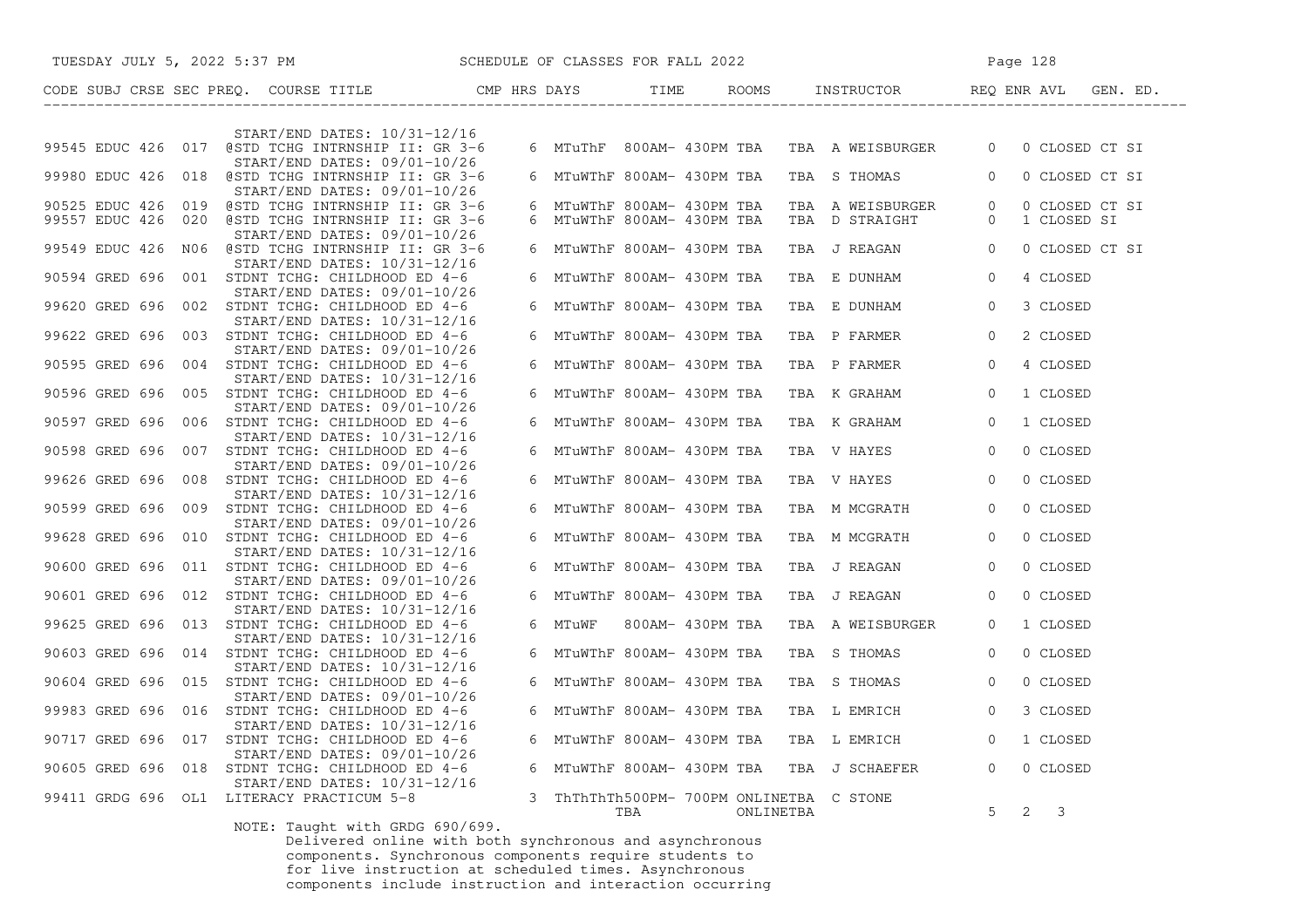| TUESDAY JULY 5, 2022 5:37 PM SCHEDULE OF CLASSES FOR FALL 2022                        |                                                 |           |                                              | Page 128                         |
|---------------------------------------------------------------------------------------|-------------------------------------------------|-----------|----------------------------------------------|----------------------------------|
| CODE SUBJ CRSE SEC PREQ. COURSE TITLE CMP HRS DAYS TIME THE                           |                                                 |           |                                              |                                  |
| $START/END$ DATES: $10/31-12/16$<br>99545 EDUC 426 017 @STD TCHG INTRNSHIP II: GR 3-6 |                                                 |           | 6 MTuThF 800AM- 430PM TBA  TBA  A WEISBURGER | 0 CLOSED CT SI<br>$\overline{0}$ |
| START/END DATES: 09/01-10/26                                                          |                                                 |           |                                              |                                  |
| 99980 EDUC 426 018 @STD TCHG INTRNSHIP II: GR 3-6<br>START/END DATES: 09/01-10/26     | 6 MTuWThF 800AM- 430PM TBA                      |           | TBA STHOMAS 0                                | 0 CLOSED CT SI                   |
| 90525 EDUC 426 019 @STD TCHG INTRNSHIP II: GR 3-6                                     | 6 MTuWThF 800AM- 430PM TBA                      |           | TBA A WEISBURGER                             | 0 CLOSED CT SI<br>$\overline{0}$ |
| 99557 EDUC 426 020 @STD TCHG INTRNSHIP II: GR 3-6<br>START/END DATES: 09/01-10/26     | 6 MTuWThF 800AM- 430PM TBA                      |           | TBA D STRAIGHT                               | $\overline{0}$<br>1 CLOSED SI    |
| 99549 EDUC 426 NO6 @STD TCHG INTRNSHIP II: GR 3-6<br>START/END DATES: 10/31-12/16     | 6 MTuWThF 800AM- 430PM TBA                      |           | TBA J REAGAN 0                               | 0 CLOSED CT SI                   |
| 90594 GRED 696 001 STDNT TCHG: CHILDHOOD ED 4-6<br>START/END DATES: 09/01-10/26       | 6 MTuWThF 800AM- 430PM TBA                      |           | TBA E DUNHAM 0                               | 4 CLOSED                         |
| 99620 GRED 696 002 STDNT TCHG: CHILDHOOD ED 4-6<br>START/END DATES: 10/31-12/16       | 6 MTuWThF 800AM- 430PM TBA                      |           | TBA E DUNHAM 0                               | 3 CLOSED                         |
| 99622 GRED 696 003 STDNT TCHG: CHILDHOOD ED 4-6<br>START/END DATES: 09/01-10/26       | 6 MTuWThF 800AM- 430PM TBA                      |           | TBA P FARMER 0                               | 2 CLOSED                         |
| 90595 GRED 696 004 STDNT TCHG: CHILDHOOD ED 4-6<br>START/END DATES: 10/31-12/16       | 6 MTuWThF 800AM- 430PM TBA                      |           | TBA P FARMER                                 | $\overline{0}$<br>4 CLOSED       |
| 90596 GRED 696 005 STDNT TCHG: CHILDHOOD ED 4-6<br>START/END DATES: 09/01-10/26       | 6 MTuWThF 800AM- 430PM TBA                      |           | TBA K GRAHAM                                 | $\overline{0}$<br>1 CLOSED       |
| 90597 GRED 696 006 STDNT TCHG: CHILDHOOD ED 4-6                                       | 6 MTuWThF 800AM- 430PM TBA                      |           | TBA K GRAHAM 0                               | 1 CLOSED                         |
| START/END DATES: 10/31-12/16<br>90598 GRED 696 007 STDNT TCHG: CHILDHOOD ED 4-6       | 6 MTuWThF 800AM- 430PM TBA                      |           | TBA V HAYES 0                                | 0 CLOSED                         |
| START/END DATES: 09/01-10/26<br>99626 GRED 696 008 STDNT TCHG: CHILDHOOD ED 4-6       | 6 MTuWThF 800AM- 430PM TBA                      |           | TBA V HAYES 0                                | 0 CLOSED                         |
| START/END DATES: 10/31-12/16<br>90599 GRED 696 009 STDNT TCHG: CHILDHOOD ED 4-6       | 6 MTuWThF 800AM- 430PM TBA                      |           | TBA M MCGRATH                                | $\overline{0}$<br>0 CLOSED       |
| START/END DATES: 09/01-10/26<br>99628 GRED 696 010 STDNT TCHG: CHILDHOOD ED 4-6       | 6 MTuWThF 800AM- 430PM TBA                      |           | TBA M MCGRATH                                | 0 CLOSED<br>$\overline{0}$       |
| START/END DATES: 10/31-12/16<br>90600 GRED 696 011 STDNT TCHG: CHILDHOOD ED 4-6       | 6 MTuWThF 800AM- 430PM TBA                      |           | TBA J REAGAN                                 | 0 CLOSED<br>$\circ$              |
| START/END DATES: 09/01-10/26<br>90601 GRED 696 012 STDNT TCHG: CHILDHOOD ED 4-6       | 6 MTuWThF 800AM- 430PM TBA                      |           | TBA J REAGAN                                 | 0 CLOSED<br>$\overline{0}$       |
| START/END DATES: 10/31-12/16<br>99625 GRED 696 013 STDNT TCHG: CHILDHOOD ED 4-6       | 6 MTuWF 800AM-430PM TBA                         |           | TBA A WEISBURGER                             | 1 CLOSED<br>$\overline{0}$       |
| START/END DATES: 10/31-12/16<br>90603 GRED 696 014 STDNT TCHG: CHILDHOOD ED 4-6       | 6 MTuWThF 800AM- 430PM TBA                      |           | TBA S THOMAS                                 | $\circ$<br>0 CLOSED              |
| START/END DATES: 10/31-12/16<br>90604 GRED 696 015 STDNT TCHG: CHILDHOOD ED 4-6       | 6 MTuWThF 800AM- 430PM TBA                      |           | TBA S THOMAS                                 | $\overline{0}$<br>0 CLOSED       |
| START/END DATES: 09/01-10/26                                                          |                                                 |           |                                              |                                  |
| 99983 GRED 696 016 STDNT TCHG: CHILDHOOD ED 4-6<br>START/END DATES: 10/31-12/16       | 6 MTuWThF 800AM- 430PM TBA                      |           | TBA L EMRICH 0                               | 3 CLOSED                         |
| 90717 GRED 696 017 STDNT TCHG: CHILDHOOD ED 4-6<br>START/END DATES: 09/01-10/26       | 6 MTuWThF 800AM- 430PM TBA                      |           | TBA L EMRICH                                 | $\overline{0}$<br>1 CLOSED       |
| 90605 GRED 696 018 STDNT TCHG: CHILDHOOD ED 4-6<br>START/END DATES: 10/31-12/16       |                                                 |           | 6 MTuWThF 800AM- 430PM TBA TBA J SCHAEFER    | 0 CLOSED<br>$\Omega$             |
| 99411 GRDG 696 OL1 LITERACY PRACTICUM 5-8<br>$MQTE: T1246 + 11167777777777700$        | 3 ThThThTh500PM- 700PM ONLINETBA C STONE<br>TBA | ONLINETBA |                                              | $2 \quad 3$<br>$5^{\circ}$       |

NOTE: Taught with GRDG 690/699.<br>Delivered online with both synchronous and asynchronous<br>components. Synchronous components require students to<br>for live instruction at scheduled times. Asynchronous<br>components include instru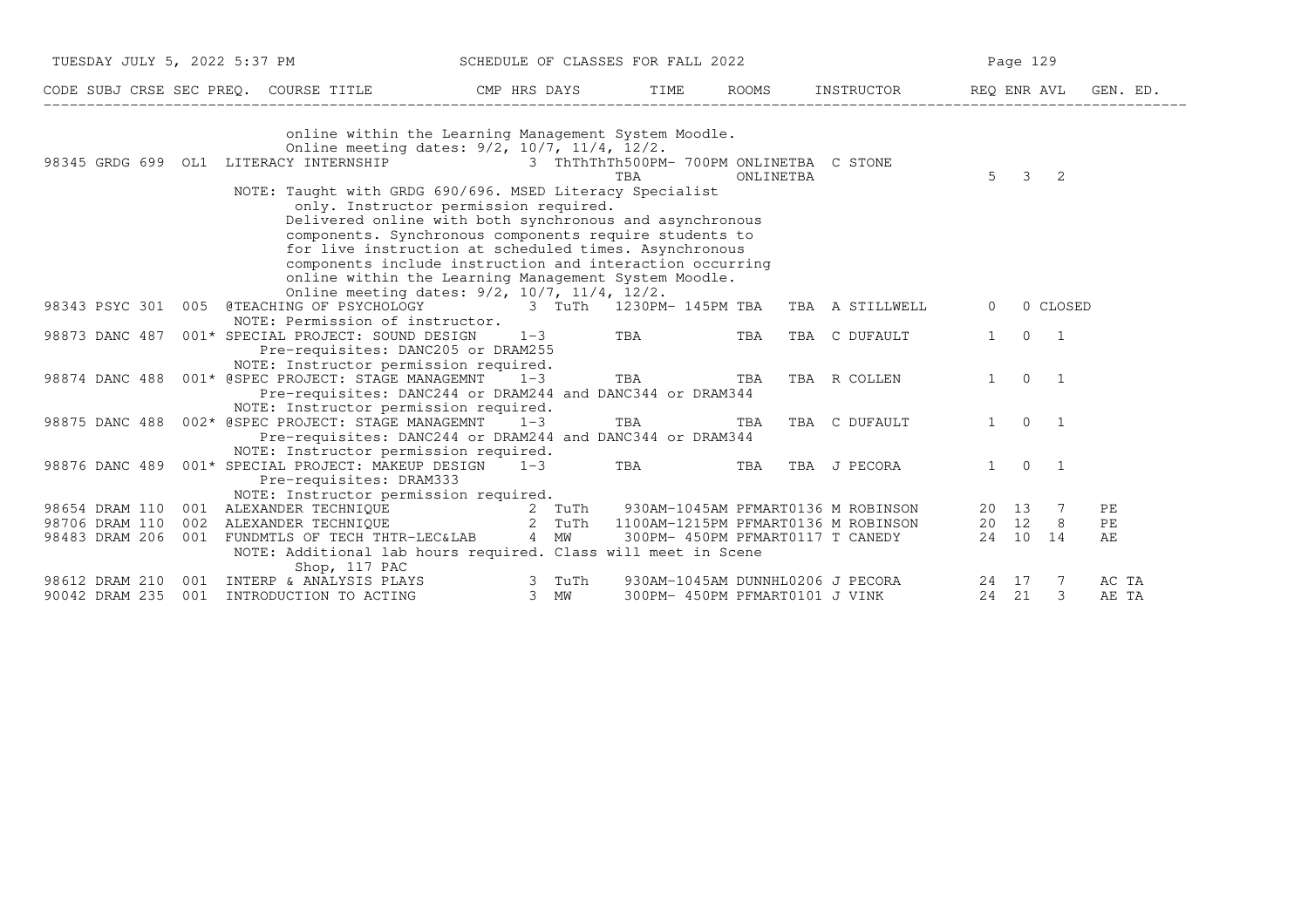|                                                                                                                                                                                                                                      |                                                                                                                                                                                                                                                                                                                                                                                                                                                     | TUESDAY JULY 5, 2022 5:37 PM SCHEDULE OF CLASSES FOR FALL 2022 |           |                                  |                     |                     | Page 129   |       |  |  |
|--------------------------------------------------------------------------------------------------------------------------------------------------------------------------------------------------------------------------------------|-----------------------------------------------------------------------------------------------------------------------------------------------------------------------------------------------------------------------------------------------------------------------------------------------------------------------------------------------------------------------------------------------------------------------------------------------------|----------------------------------------------------------------|-----------|----------------------------------|---------------------|---------------------|------------|-------|--|--|
| CODE SUBJ CRSE SEC PREQ. COURSE TITLE THE THE TIME ROOMS INSTRUCTOR THE REQ ENR AVL GEN. ED.                                                                                                                                         |                                                                                                                                                                                                                                                                                                                                                                                                                                                     |                                                                |           |                                  |                     |                     |            |       |  |  |
|                                                                                                                                                                                                                                      | online within the Learning Management System Moodle.<br>Online meeting dates: 9/2, 10/7, 11/4, 12/2.                                                                                                                                                                                                                                                                                                                                                |                                                                |           |                                  |                     |                     |            |       |  |  |
| 98345 GRDG 699 OL1 LITERACY INTERNSHIP 3 ThThThTh500PM- 700PM ONLINETBA C STONE                                                                                                                                                      |                                                                                                                                                                                                                                                                                                                                                                                                                                                     | TBA                                                            |           |                                  | $5 \quad 3 \quad 2$ |                     |            |       |  |  |
|                                                                                                                                                                                                                                      | NOTE: Taught with GRDG 690/696. MSED Literacy Specialist<br>only. Instructor permission required.<br>Delivered online with both synchronous and asynchronous<br>components. Synchronous components require students to<br>for live instruction at scheduled times. Asynchronous<br>components include instruction and interaction occurring<br>online within the Learning Management System Moodle.<br>Online meeting dates: 9/2, 10/7, 11/4, 12/2. |                                                                | ONLINETBA |                                  |                     |                     |            |       |  |  |
| 98343 PSYC 301 005 @TEACHING OF PSYCHOLOGY 63 TuTh 1230PM-145PM TBA TBA A STILLWELL                                                                                                                                                  |                                                                                                                                                                                                                                                                                                                                                                                                                                                     |                                                                |           |                                  | $\Omega$            |                     | 0 CLOSED   |       |  |  |
|                                                                                                                                                                                                                                      | NOTE: Permission of instructor.                                                                                                                                                                                                                                                                                                                                                                                                                     |                                                                |           |                                  |                     |                     |            |       |  |  |
| 98873 DANC 487 001* SPECIAL PROJECT: SOUND DESIGN                                                                                                                                                                                    | $1-3$                                                                                                                                                                                                                                                                                                                                                                                                                                               | TBA TBA                                                        |           | TBA C DUFAULT                    | 1                   |                     | $0\qquad1$ |       |  |  |
|                                                                                                                                                                                                                                      | Pre-requisites: DANC205 or DRAM255<br>NOTE: Instructor permission required.                                                                                                                                                                                                                                                                                                                                                                         |                                                                |           |                                  |                     |                     |            |       |  |  |
| 98874 DANC 488                                                                                                                                                                                                                       | 001* @SPEC PROJECT: STAGE MANAGEMNT 1-3 TBA TBA TBA<br>Pre-requisites: DANC244 or DRAM244 and DANC344 or DRAM344                                                                                                                                                                                                                                                                                                                                    |                                                                |           | TBA R COLLEN                     |                     | $1 \quad 0 \quad 1$ |            |       |  |  |
|                                                                                                                                                                                                                                      | NOTE: Instructor permission required.                                                                                                                                                                                                                                                                                                                                                                                                               |                                                                |           |                                  |                     |                     |            |       |  |  |
| 98875 DANC 488  002* @SPEC PROJECT: STAGE MANAGEMNT  1-3                                                                                                                                                                             |                                                                                                                                                                                                                                                                                                                                                                                                                                                     | TBA                                                            | TBA       | TBA C DUFAULT                    |                     | $1 \quad 0 \quad 1$ |            |       |  |  |
|                                                                                                                                                                                                                                      | Pre-requisites: DANC244 or DRAM244 and DANC344 or DRAM344<br>NOTE: Instructor permission required.                                                                                                                                                                                                                                                                                                                                                  |                                                                |           |                                  |                     |                     |            |       |  |  |
| 98876 DANC 489 001* SPECIAL PROJECT: MAKEUP DESIGN 1-3 TBA TBA TBA                                                                                                                                                                   |                                                                                                                                                                                                                                                                                                                                                                                                                                                     |                                                                |           | TBA J PECORA                     |                     | $1 \quad 0 \quad 1$ |            |       |  |  |
|                                                                                                                                                                                                                                      | Pre-requisites: DRAM333                                                                                                                                                                                                                                                                                                                                                                                                                             |                                                                |           |                                  |                     |                     |            |       |  |  |
|                                                                                                                                                                                                                                      | NOTE: Instructor permission required.                                                                                                                                                                                                                                                                                                                                                                                                               |                                                                |           |                                  |                     |                     |            |       |  |  |
| 98654 DRAM 110 001 ALEXANDER TECHNIQUE 12 TUTH 930AM-1045AM PFMART0136 M ROBINSON 20 13 7<br>198706 DRAM 110 002 ALEXANDER TECHNIQUE 2 TUTH 1100AM-1215PM PFMART0136 M ROBINSON 20 12 8<br>198483 DRAM 206 001 FUNDMTLS OF TECH THTR |                                                                                                                                                                                                                                                                                                                                                                                                                                                     |                                                                |           |                                  |                     |                     |            | PЕ    |  |  |
|                                                                                                                                                                                                                                      |                                                                                                                                                                                                                                                                                                                                                                                                                                                     |                                                                |           |                                  |                     |                     |            | PE    |  |  |
|                                                                                                                                                                                                                                      |                                                                                                                                                                                                                                                                                                                                                                                                                                                     |                                                                |           |                                  |                     |                     |            | AЕ    |  |  |
|                                                                                                                                                                                                                                      | NOTE: Additional lab hours required. Class will meet in Scene<br>Shop, 117 PAC                                                                                                                                                                                                                                                                                                                                                                      |                                                                |           |                                  |                     |                     |            |       |  |  |
|                                                                                                                                                                                                                                      |                                                                                                                                                                                                                                                                                                                                                                                                                                                     |                                                                |           | 930AM-1045AM DUNNHL0206 J PECORA | 24 17 7             |                     |            | AC TA |  |  |
| 98612 DRAM 210 001 INTERP & ANALYSIS PLAYS 3 TuTh<br>90042 DRAM 235 001 INTRODUCTION TO ACTING 3 MW                                                                                                                                  |                                                                                                                                                                                                                                                                                                                                                                                                                                                     |                                                                |           | 300PM- 450PM PFMART0101 J VINK   | 24 21               |                     | 3          | AE TA |  |  |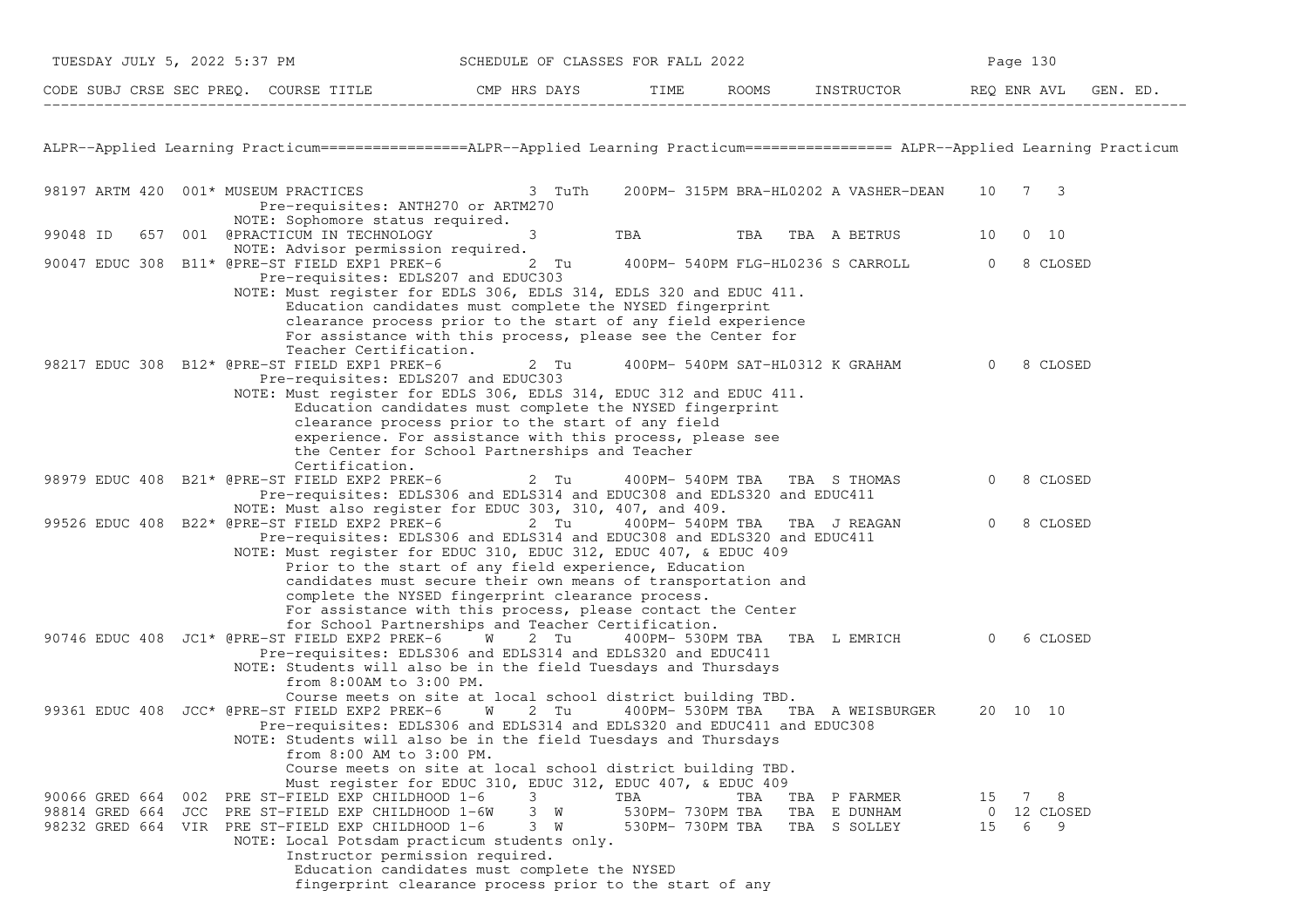|          | TUESDAY JULY 5, 2022 5:37 PM |  |  | SCHEDULE OF CLASSES FOR FALL 2022                                                                                                         |                                                                                                                                                                                                                                                                                                                                                                                                                                                                                                             |                         | Page 130                |                                              |                         |                              |          |
|----------|------------------------------|--|--|-------------------------------------------------------------------------------------------------------------------------------------------|-------------------------------------------------------------------------------------------------------------------------------------------------------------------------------------------------------------------------------------------------------------------------------------------------------------------------------------------------------------------------------------------------------------------------------------------------------------------------------------------------------------|-------------------------|-------------------------|----------------------------------------------|-------------------------|------------------------------|----------|
|          |                              |  |  |                                                                                                                                           | CODE SUBJ CRSE SEC PREQ. COURSE TITLE THE CMP HRS DAYS TIME ROOMS INSTRUCTOR REQ ENR AT THE CODE SUBJ CRSE SEC PREQ.                                                                                                                                                                                                                                                                                                                                                                                        |                         |                         | ROOMS INSTRUCTOR REQ ENR AVL                 |                         |                              | GEN. ED. |
|          |                              |  |  |                                                                                                                                           | ALPR--Applied Learning Practicum================ALPR--Applied Learning Practicum================= ALPR--Applied Learning Practicum                                                                                                                                                                                                                                                                                                                                                                          |                         |                         |                                              |                         |                              |          |
|          |                              |  |  | Pre-requisites: ANTH270 or ARTM270                                                                                                        | 98197 ARTM 420 001* MUSEUM PRACTICES 3 TuTh                                                                                                                                                                                                                                                                                                                                                                                                                                                                 |                         |                         | 200PM- 315PM BRA-HL0202 A VASHER-DEAN 10 7 3 |                         |                              |          |
| 99048 ID |                              |  |  | NOTE: Sophomore status required.<br>657 001 @PRACTICUM IN TECHNOLOGY                                                                      | $3 \left( \frac{1}{2} \right)$                                                                                                                                                                                                                                                                                                                                                                                                                                                                              |                         |                         | TBA TBA TBA A BETRUS                         | 10                      | $0\quad 10$                  |          |
|          |                              |  |  | NOTE: Advisor permission required.<br>Pre-requisites: EDLS207 and EDUC303                                                                 | 90047 EDUC 308 B11* @PRE-ST FIELD EXP1 PREK-6 2 Tu 400PM- 540PM FLG-HL0236 S CARROLL                                                                                                                                                                                                                                                                                                                                                                                                                        |                         |                         |                                              | $\Omega$                | 8 CLOSED                     |          |
|          |                              |  |  | Teacher Certification.                                                                                                                    | NOTE: Must register for EDLS 306, EDLS 314, EDLS 320 and EDUC 411.<br>Education candidates must complete the NYSED fingerprint<br>clearance process prior to the start of any field experience<br>For assistance with this process, please see the Center for                                                                                                                                                                                                                                               |                         |                         |                                              |                         |                              |          |
|          |                              |  |  | 98217 EDUC 308 B12* @PRE-ST FIELD EXP1 PREK-6<br>Pre-requisites: EDLS207 and EDUC303                                                      | 2 Tu                                                                                                                                                                                                                                                                                                                                                                                                                                                                                                        |                         |                         | 400PM- 540PM SAT-HL0312 K GRAHAM 0           |                         | 8 CLOSED                     |          |
|          |                              |  |  | Certification.                                                                                                                            | NOTE: Must register for EDLS 306, EDLS 314, EDUC 312 and EDUC 411.<br>Education candidates must complete the NYSED fingerprint<br>clearance process prior to the start of any field<br>experience. For assistance with this process, please see<br>the Center for School Partnerships and Teacher                                                                                                                                                                                                           |                         |                         |                                              |                         |                              |          |
|          |                              |  |  |                                                                                                                                           | 98979 EDUC 408 B21* @PRE-ST FIELD EXP2 PREK-6 $\qquad \qquad$ 2 Tu $\qquad \qquad$ 400PM- 540PM TBA TBA S THOMAS<br>Pre-requisites: EDLS306 and EDLS314 and EDUC308 and EDLS320 and EDUC411                                                                                                                                                                                                                                                                                                                 |                         |                         |                                              |                         | 8 CLOSED                     |          |
|          |                              |  |  |                                                                                                                                           | NOTE: Must also register for EDUC 303, 310, 407, and 409.<br>99526 EDUC 408 B22* @PRE-ST FIELD EXP2 PREK-6 2 Tu<br>Pre-requisites: EDLS306 and EDLS314 and EDUC308 and EDLS320 and EDUC411<br>NOTE: Must register for EDUC 310, EDUC 312, EDUC 407, & EDUC 409<br>Prior to the start of any field experience, Education<br>candidates must secure their own means of transportation and<br>complete the NYSED fingerprint clearance process.<br>For assistance with this process, please contact the Center |                         |                         | 400PM- 540PM TBA TBA J REAGAN                | $\Omega$                | 8 CLOSED                     |          |
|          |                              |  |  | from 8:00AM to 3:00 PM.                                                                                                                   | for School Partnerships and Teacher Certification.<br>90746 EDUC 408 JC1* @PRE-ST FIELD EXP2 PREK-6 W 2 Tu 400PM- 530PM TBA<br>Pre-requisites: EDLS306 and EDLS314 and EDLS320 and EDUC411<br>NOTE: Students will also be in the field Tuesdays and Thursdays                                                                                                                                                                                                                                               |                         |                         | TBA L EMRICH                                 | $\overline{0}$          | 6 CLOSED                     |          |
|          |                              |  |  | from 8:00 AM to 3:00 PM.                                                                                                                  | Course meets on site at local school district building TBD.<br>99361 EDUC 408 JCC* @PRE-ST FIELD EXP2 PREK-6 W 2 Tu<br>Pre-requisites: EDLS306 and EDLS314 and EDLS320 and EDUC411 and EDUC308<br>NOTE: Students will also be in the field Tuesdays and Thursdays<br>Course meets on site at local school district building TBD.                                                                                                                                                                            |                         |                         | 400PM- 530PM TBA TBA A WEISBURGER            | 20 10 10                |                              |          |
|          | 90066 GRED 664 002           |  |  | PRE ST-FIELD EXP CHILDHOOD 1-6<br>98814 GRED 664 JCC PRE ST-FIELD EXP CHILDHOOD 1-6W<br>98232 GRED 664 VIR PRE ST-FIELD EXP CHILDHOOD 1-6 | Must register for EDUC 310, EDUC 312, EDUC 407, & EDUC 409<br>3<br>3 W<br>3 W<br>NOTE: Local Potsdam practicum students only.                                                                                                                                                                                                                                                                                                                                                                               | TBA<br>530PM- 730PM TBA | TBA<br>530PM- 730PM TBA | TBA P FARMER<br>TBA E DUNHAM<br>TBA S SOLLEY | 15<br>$\mathbf 0$<br>15 | 7 8<br>12 CLOSED<br>- 9<br>6 |          |
|          |                              |  |  |                                                                                                                                           | Instructor permission required.<br>Education candidates must complete the NYSED<br>fingerprint clearance process prior to the start of any                                                                                                                                                                                                                                                                                                                                                                  |                         |                         |                                              |                         |                              |          |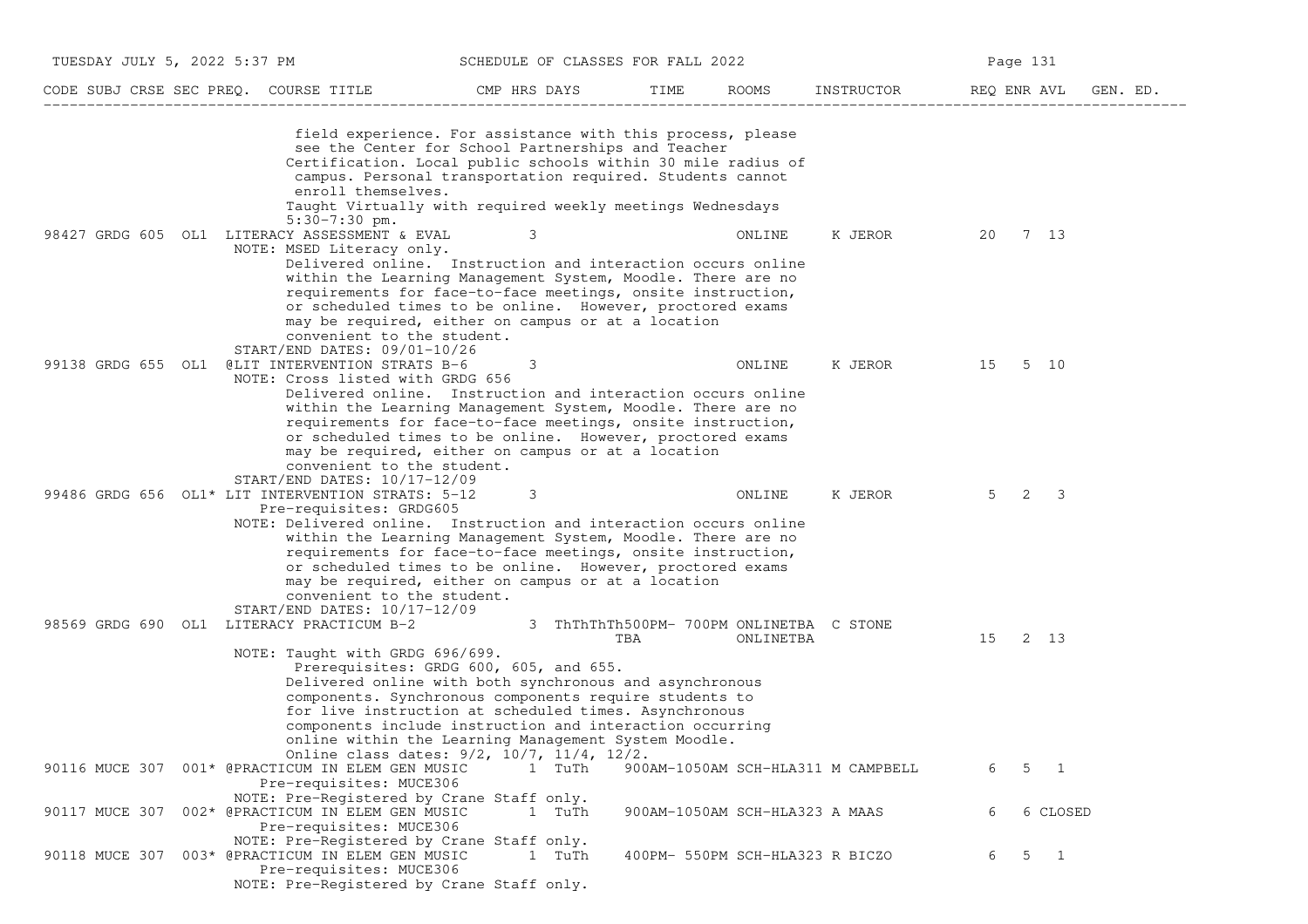| TUESDAY JULY 5, 2022 5:37 PM                                                                                                                                             | SCHEDULE OF CLASSES FOR FALL 2022                                                                                                                                                                                                                                                                                                                                                              |                                                 |                                 | Page 131                           |                          |          |  |
|--------------------------------------------------------------------------------------------------------------------------------------------------------------------------|------------------------------------------------------------------------------------------------------------------------------------------------------------------------------------------------------------------------------------------------------------------------------------------------------------------------------------------------------------------------------------------------|-------------------------------------------------|---------------------------------|------------------------------------|--------------------------|----------|--|
| CODE SUBJ CRSE SEC PREQ. COURSE TITLE                                                                                                                                    | CMP HRS DAYS                                                                                                                                                                                                                                                                                                                                                                                   | TIME                                            | ROOMS                           | INSTRUCTOR                         | REQ ENR AVL              | GEN. ED. |  |
| enroll themselves.                                                                                                                                                       | field experience. For assistance with this process, please<br>see the Center for School Partnerships and Teacher<br>Certification. Local public schools within 30 mile radius of<br>campus. Personal transportation required. Students cannot<br>Taught Virtually with required weekly meetings Wednesdays                                                                                     |                                                 |                                 |                                    |                          |          |  |
| $5:30-7:30$ pm.<br>98427 GRDG 605 OL1 LITERACY ASSESSMENT & EVAL<br>NOTE: MSED Literacy only.                                                                            | 3<br>Delivered online. Instruction and interaction occurs online<br>within the Learning Management System, Moodle. There are no<br>requirements for face-to-face meetings, onsite instruction,<br>or scheduled times to be online. However, proctored exams<br>may be required, either on campus or at a location                                                                              |                                                 | ONLINE                          | K JEROR                            | 7 13<br>20               |          |  |
| convenient to the student.<br>$START/END$ DATES: $09/01-10/26$<br>99138 GRDG 655 OL1 @LIT INTERVENTION STRATS B-6<br>NOTE: Cross listed with GRDG 656                    | 3<br>Delivered online. Instruction and interaction occurs online<br>within the Learning Management System, Moodle. There are no<br>requirements for face-to-face meetings, onsite instruction,<br>or scheduled times to be online. However, proctored exams<br>may be required, either on campus or at a location                                                                              |                                                 | ONLINE                          | K JEROR                            | 15<br>5 10               |          |  |
| convenient to the student.<br>$START/END$ DATES: $10/17-12/09$<br>99486 GRDG 656 OL1* LIT INTERVENTION STRATS: 5-12<br>Pre-requisites: GRDG605                           | 3<br>NOTE: Delivered online. Instruction and interaction occurs online<br>within the Learning Management System, Moodle. There are no<br>requirements for face-to-face meetings, onsite instruction,<br>or scheduled times to be online. However, proctored exams                                                                                                                              |                                                 | ONLINE                          | K JEROR                            | $5 \quad 2 \quad 3$      |          |  |
| convenient to the student.<br>START/END DATES: 10/17-12/09<br>98569 GRDG 690 OL1 LITERACY PRACTICUM B-2<br>NOTE: Taught with GRDG 696/699.                               | may be required, either on campus or at a location<br>Prerequisites: GRDG 600, 605, and 655.<br>Delivered online with both synchronous and asynchronous<br>components. Synchronous components require students to<br>for live instruction at scheduled times. Asynchronous<br>components include instruction and interaction occurring<br>online within the Learning Management System Moodle. | 3 ThThThTh500PM- 700PM ONLINETBA C STONE<br>TBA | ONLINETBA                       |                                    | 15<br>2 13               |          |  |
| 90116 MUCE 307 001* @PRACTICUM IN ELEM GEN MUSIC<br>Pre-requisites: MUCE306                                                                                              | Online class dates: 9/2, 10/7, 11/4, 12/2.<br>1 TuTh                                                                                                                                                                                                                                                                                                                                           |                                                 |                                 | 900AM-1050AM SCH-HLA311 M CAMPBELL | 6<br>5<br>$\overline{1}$ |          |  |
| NOTE: Pre-Registered by Crane Staff only.<br>90117 MUCE 307 002* @PRACTICUM IN ELEM GEN MUSIC<br>Pre-requisites: MUCE306                                                 | 1 TuTh                                                                                                                                                                                                                                                                                                                                                                                         |                                                 | 900AM-1050AM SCH-HLA323 A MAAS  |                                    | 6 CLOSED<br>6            |          |  |
| NOTE: Pre-Registered by Crane Staff only.<br>003* @PRACTICUM IN ELEM GEN MUSIC<br>90118 MUCE 307<br>Pre-requisites: MUCE306<br>NOTE: Pre-Registered by Crane Staff only. | 1 TuTh                                                                                                                                                                                                                                                                                                                                                                                         |                                                 | 400PM- 550PM SCH-HLA323 R BICZO |                                    | $5 \quad 1$<br>6         |          |  |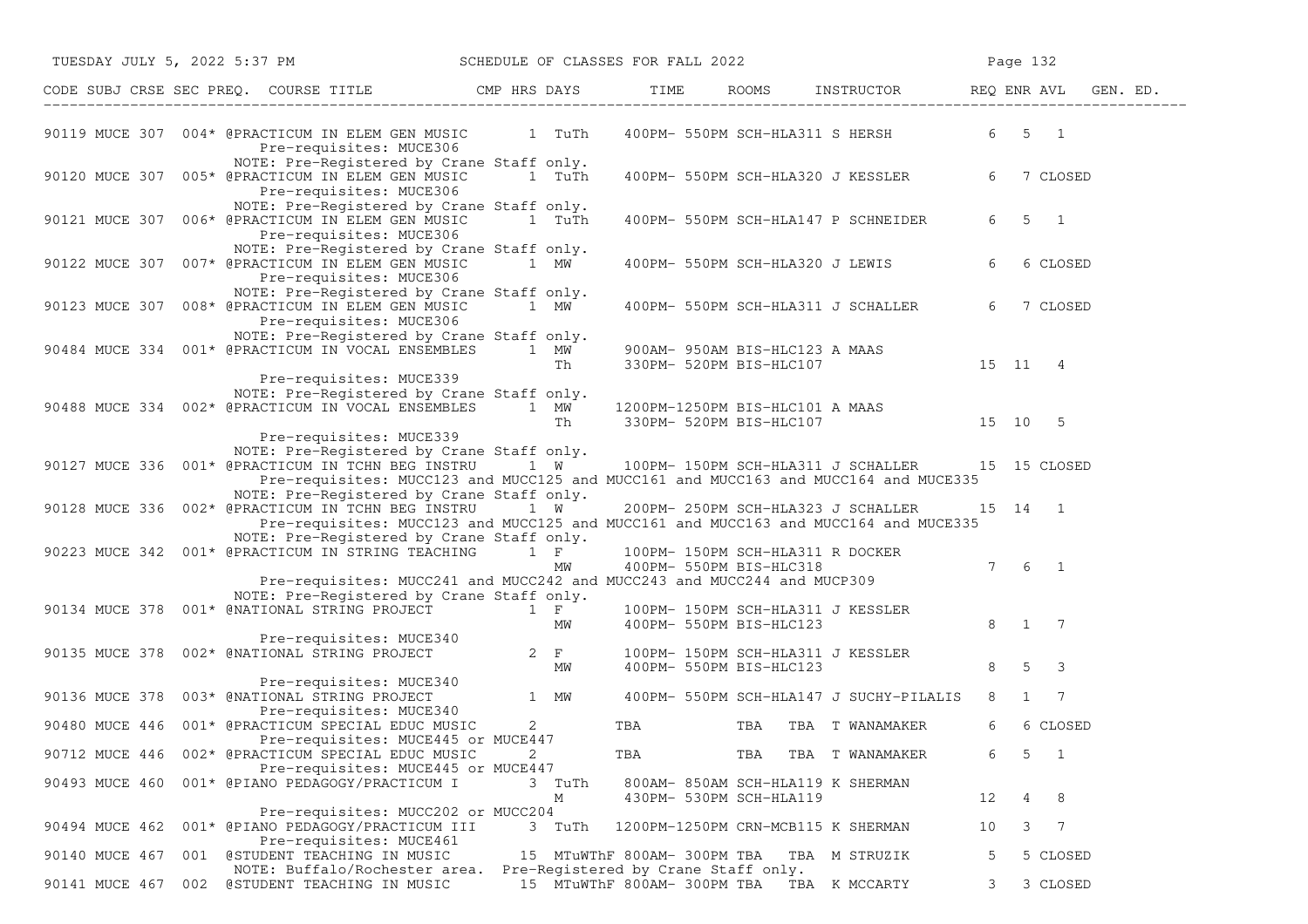| TUESDAY JULY 5, 2022 5:37 PM                                                                              | SCHEDULE OF CLASSES FOR FALL 2022                                                                                                                           |                |                                                                    |                                                              |                    |                                         | Page 132 |                                 |  |
|-----------------------------------------------------------------------------------------------------------|-------------------------------------------------------------------------------------------------------------------------------------------------------------|----------------|--------------------------------------------------------------------|--------------------------------------------------------------|--------------------|-----------------------------------------|----------|---------------------------------|--|
| CODE SUBJ CRSE SEC PREQ. COURSE TITLE CMP HRS DAYS TIME ROOMS INSTRUCTOR REQ ENR AVL GEN. ED.             |                                                                                                                                                             |                |                                                                    |                                                              |                    |                                         |          |                                 |  |
| 90119 MUCE 307 004* @PRACTICUM IN ELEM GEN MUSIC 1 TuTh                                                   | Pre-requisites: MUCE306                                                                                                                                     |                |                                                                    |                                                              |                    | 400PM- 550PM SCH-HLA311 S HERSH         | 6 5 1    |                                 |  |
| 90120 MUCE 307 005* @PRACTICUM IN ELEM GEN MUSIC 1 TuTh                                                   | NOTE: Pre-Registered by Crane Staff only.<br>Pre-requisites: MUCE306                                                                                        |                |                                                                    |                                                              |                    | 400PM- 550PM SCH-HLA320 J KESSLER       | 6        | 7 CLOSED                        |  |
| 90121 MUCE 307 006* @PRACTICUM IN ELEM GEN MUSIC 1 TuTh                                                   | NOTE: Pre-Registered by Crane Staff only.<br>Pre-requisites: MUCE306                                                                                        |                |                                                                    |                                                              |                    | 400PM- 550PM SCH-HLA147 P SCHNEIDER     | 6        | $5 \quad 1$                     |  |
| 90122 MUCE 307 007* @PRACTICUM IN ELEM GEN MUSIC                                                          | NOTE: Pre-Registered by Crane Staff only.<br>Pre-requisites: MUCE306                                                                                        | 1 MW           |                                                                    |                                                              |                    | 400PM- 550PM SCH-HLA320 J LEWIS         | 6        | 6 CLOSED                        |  |
| 90123 MUCE 307 008* @PRACTICUM IN ELEM GEN MUSIC                                                          | NOTE: Pre-Registered by Crane Staff only.<br>1 MW<br>Pre-requisites: MUCE306                                                                                |                |                                                                    |                                                              |                    | 400PM- 550PM SCH-HLA311 J SCHALLER      | 6        | 7 CLOSED                        |  |
| 90484 MUCE 334 001* @PRACTICUM IN VOCAL ENSEMBLES 1 MW                                                    | NOTE: Pre-Registered by Crane Staff only.                                                                                                                   | Th             |                                                                    | 900AM- 950AM BIS-HLC123 A MAAS<br>330PM- 520PM BIS-HLC107    |                    |                                         | 15 11 4  |                                 |  |
| 90488 MUCE 334 002* @PRACTICUM IN VOCAL ENSEMBLES 1 MW                                                    | Pre-requisites: MUCE339<br>NOTE: Pre-Registered by Crane Staff only.                                                                                        | Th             | 1200PM-1250PM BIS-HLC101 A MAAS                                    |                                                              |                    | 330PM- 520PM BIS-HLC107 15 10 5         |          |                                 |  |
| 90127 MUCE 336 001* @PRACTICUM IN TCHN BEG INSTRU 1 $W$                                                   | Pre-requisites: MUCE339<br>NOTE: Pre-Registered by Crane Staff only.<br>Pre-requisites: MUCC123 and MUCC125 and MUCC161 and MUCC163 and MUCC164 and MUCE335 |                | 100PM- 150PM SCH-HLA311 J SCHALLER                                 |                                                              |                    |                                         |          | 15 15 CLOSED                    |  |
| 90128 MUCE 336 002* @PRACTICUM IN TCHN BEG INSTRU                                                         | NOTE: Pre-Registered by Crane Staff only.<br>Pre-requisites: MUCC123 and MUCC125 and MUCC161 and MUCC163 and MUCC164 and MUCE335                            | 1 W            |                                                                    | 200PM- 250PM SCH-HLA323 J SCHALLER                           |                    |                                         | 15 14 1  |                                 |  |
| 90223 MUCE 342 001* @PRACTICUM IN STRING TEACHING 1 F                                                     | NOTE: Pre-Registered by Crane Staff only.<br>Pre-requisites: MUCC241 and MUCC242 and MUCC243 and MUCC244 and MUCP309                                        | MW             | 100PM- 150PM SCH-HLA311 R DOCKER                                   | 400PM- 550PM BIS-HLC318                                      |                    |                                         | 7 6 1    |                                 |  |
| 90134 MUCE 378 001* @NATIONAL STRING PROJECT 1 F                                                          | NOTE: Pre-Registered by Crane Staff only.                                                                                                                   | MW             | 100PM- 150PM SCH-HLA311 J KESSLER<br>400PM- 550PM BIS-HLC123       |                                                              |                    |                                         | 8 1 7    |                                 |  |
| Pre-requisites: MUCE340<br>90135 MUCE 378 002* @NATIONAL STRING PROJECT 2                                 |                                                                                                                                                             | MW             |                                                                    | 100PM- 150PM SCH-HLA311 J KESSLER<br>400PM- 550PM BIS-HLC123 |                    |                                         | 8        | $5 \quad 3$                     |  |
| 003* @NATIONAL STRING PROJECT<br>90136 MUCE 378                                                           | Pre-requisites: MUCE340<br>1 MW<br>Pre-requisites: MUCE340                                                                                                  |                |                                                                    |                                                              |                    | 400PM- 550PM SCH-HLA147 J SUCHY-PILALIS | 8        | $1 \quad 7$                     |  |
| 90480 MUCE 446 001* @PRACTICUM SPECIAL EDUC MUSIC<br>90712 MUCE 446<br>002* @PRACTICUM SPECIAL EDUC MUSIC | Pre-requisites: MUCE445 or MUCE447<br>2                                                                                                                     | $\overline{2}$ | TBA<br>TBA                                                         | TBA                                                          | TBA TBA TWANAMAKER | TBA T WANAMAKER                         | 6<br>6   | 6 CLOSED<br>5<br>$\overline{1}$ |  |
| 001* @PIANO PEDAGOGY/PRACTICUM I<br>90493 MUCE 460                                                        | Pre-requisites: MUCE445 or MUCE447                                                                                                                          | 3 TuTh         |                                                                    | 800AM- 850AM SCH-HLA119 K SHERMAN                            |                    |                                         |          |                                 |  |
| 001* @PIANO PEDAGOGY/PRACTICUM III<br>90494 MUCE 462                                                      | Pre-requisites: MUCC202 or MUCC204                                                                                                                          | М<br>3 TuTh    | 1200PM-1250PM CRN-MCB115 K SHERMAN                                 | 430PM- 530PM SCH-HLA119                                      |                    |                                         | 12<br>10 | 8<br>4<br>3<br>7                |  |
| 001 @STUDENT TEACHING IN MUSIC<br>90140 MUCE 467                                                          | Pre-requisites: MUCE461                                                                                                                                     |                | 15 MTuWThF 800AM- 300PM TBA                                        |                                                              | TBA M STRUZIK      |                                         | 5        | 5 CLOSED                        |  |
| 90141 MUCE 467<br>002 @STUDENT TEACHING IN MUSIC                                                          | NOTE: Buffalo/Rochester area.                                                                                                                               |                | Pre-Registered by Crane Staff only.<br>15 MTuWThF 800AM- 300PM TBA |                                                              | TBA K MCCARTY      |                                         | 3        | 3 CLOSED                        |  |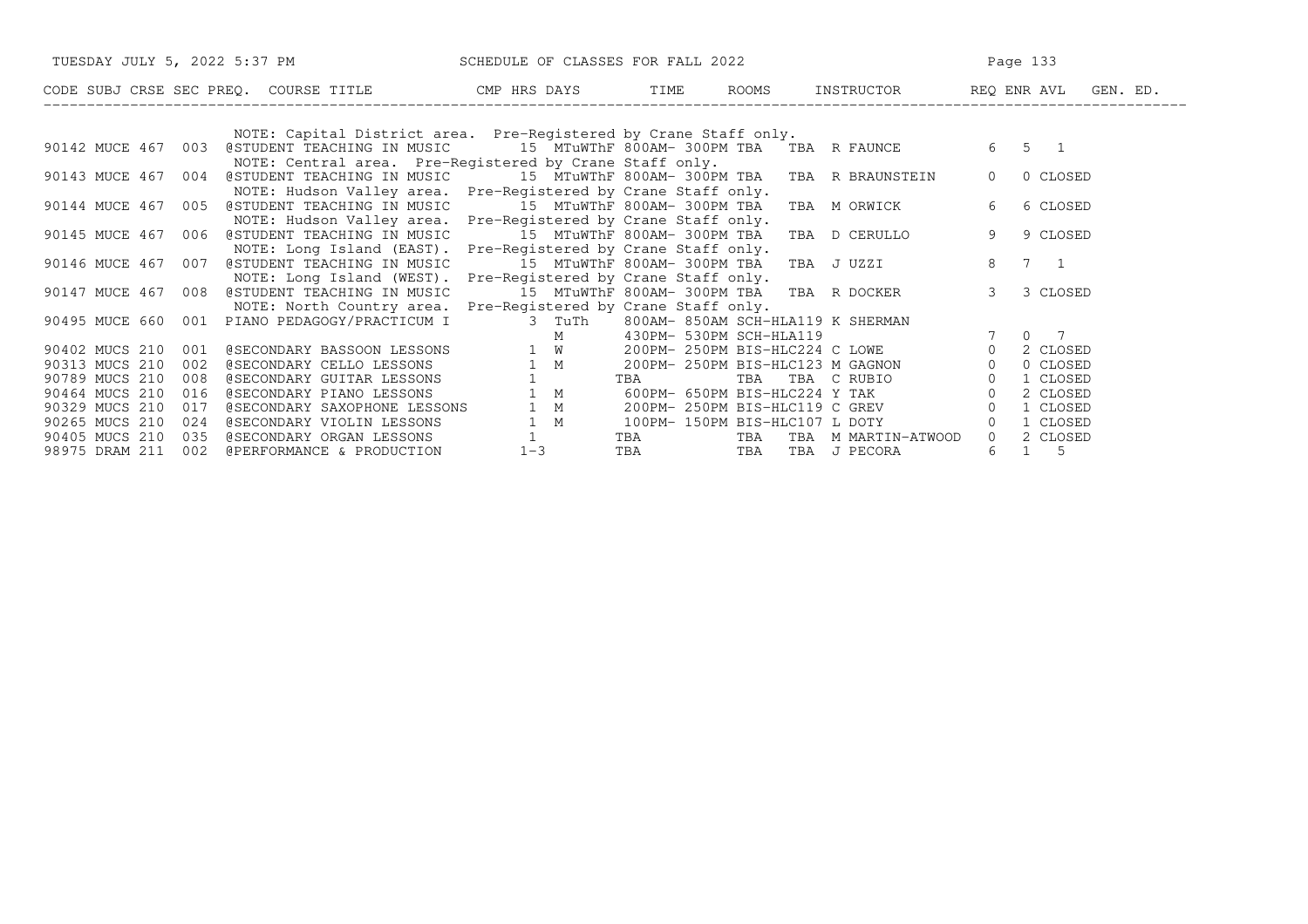|                       | TUESDAY JULY 5, 2022 5:37 PM SCHEDULE OF CLASSES FOR FALL 2022                                |                                          | Page 133   |                                                                                                     |                       |             |
|-----------------------|-----------------------------------------------------------------------------------------------|------------------------------------------|------------|-----------------------------------------------------------------------------------------------------|-----------------------|-------------|
|                       | CODE SUBJ CRSE SEC PREQ. COURSE TITLE THE ROATS TIME ROOMS INSTRUCTOR THE REQ ENRAVL GEN. ED. |                                          |            |                                                                                                     |                       |             |
|                       |                                                                                               |                                          |            |                                                                                                     |                       |             |
|                       | NOTE: Capital District area. Pre-Registered by Crane Staff only.                              |                                          |            |                                                                                                     |                       |             |
| 90142 MUCE 467 003    | @STUDENT TEACHING IN MUSIC 15 MTuWThF 800AM-300PM TBA TBA R FAUNCE                            |                                          |            |                                                                                                     | $6 \qquad 5 \qquad 1$ |             |
|                       | NOTE: Central area. Pre-Registered by Crane Staff only.                                       |                                          |            |                                                                                                     |                       |             |
| 90143 MUCE 467 004    | @STUDENT TEACHING IN MUSIC      15 MTuWThF 800AM- 300PM TBA   TBA   R BRAUNSTEIN              |                                          |            |                                                                                                     | $\overline{0}$        | 0 CLOSED    |
|                       | NOTE: Hudson Valley area. Pre-Registered by Crane Staff only.                                 |                                          |            |                                                                                                     |                       |             |
| 90144 MUCE 467 005    | @STUDENT TEACHING IN MUSIC 15 MTuWThF 800AM-300PM TBA TBA M ORWICK                            |                                          |            |                                                                                                     | 6                     | 6 CLOSED    |
|                       | NOTE: Hudson Valley area. Pre-Registered by Crane Staff only.                                 |                                          |            |                                                                                                     |                       |             |
| 90145 MUCE 467 006    | @STUDENT TEACHING IN MUSIC 15 MTuWThF 800AM-300PM TBA                                         |                                          |            | TBA D CERULLO                                                                                       | 9                     | 9 CLOSED    |
|                       | NOTE: Long Island (EAST). Pre-Registered by Crane Staff only.                                 |                                          |            |                                                                                                     |                       |             |
| 90146 MUCE 467 007    | @STUDENT TEACHING IN MUSIC                                                                    |                                          |            | 15 MTuWThF 800AM- 300PM TBA TBA J UZZI                                                              | 8 7 1                 |             |
|                       | NOTE: Long Island (WEST). Pre-Registered by Crane Staff only.                                 |                                          |            |                                                                                                     |                       |             |
| 90147 MUCE 467 008    | @STUDENT TEACHING IN MUSIC                                                                    | 15 MTuWThF 800AM- 300PM TBA TBA R DOCKER |            |                                                                                                     | 3 <sup>7</sup>        | 3 CLOSED    |
|                       | NOTE: North Country area. Pre-Registered by Crane Staff only.                                 |                                          |            |                                                                                                     |                       |             |
|                       | 90495 MUCE 660 001 PIANO PEDAGOGY/PRACTICUM I 3 TuTh                                          |                                          |            | 800AM- 850AM SCH-HLA119 K SHERMAN                                                                   |                       |             |
|                       |                                                                                               | M                                        |            | 430PM- 530PM SCH-HLA119 7<br>200PM- 250PM BIS-HLC224 C LOWE 0<br>200PM- 250PM BIS-HLC123 M GAGNON 0 | 7 0 7                 |             |
| 90402 MUCS 210<br>001 | @SECONDARY BASSOON LESSONS 1 W                                                                |                                          |            |                                                                                                     |                       | 2 CLOSED    |
| 90313 MUCS 210<br>002 | @SECONDARY CELLO LESSONS 1 M<br>@SECONDARY GUITAR LESSONS 1                                   |                                          |            |                                                                                                     |                       | 0 CLOSED    |
| 90789 MUCS 210<br>008 |                                                                                               |                                          | TBA        |                                                                                                     |                       | 1 CLOSED    |
| 90464 MUCS 210<br>016 | @SECONDARY PIANO LESSONS                                                                      | 1 M                                      |            |                                                                                                     |                       | 2 CLOSED    |
| 90329 MUCS 210<br>017 | @SECONDARY SAXOPHONE LESSONS                                                                  | 1 M                                      |            | 200PM- 250PM BIS-HLC119 C GREV 0                                                                    |                       | 1 CLOSED    |
| 90265 MUCS 210<br>024 | @SECONDARY VIOLIN LESSONS                                                                     | 1 M                                      |            | 100PM- 150PM BIS-HLC107 L DOTY                                                                      | $\Omega$              | 1 CLOSED    |
| 90405 MUCS 210<br>035 | @SECONDARY ORGAN LESSONS                                                                      |                                          |            | TBA TBA TBA M MARTIN-ATWOOD                                                                         | $\Omega$              | 2 CLOSED    |
| 98975 DRAM 211        | 002 @PERFORMANCE & PRODUCTION                                                                 | $1 - 3$                                  | <b>TBA</b> | TBA TBA J PECORA                                                                                    | 6                     | $1 \quad 5$ |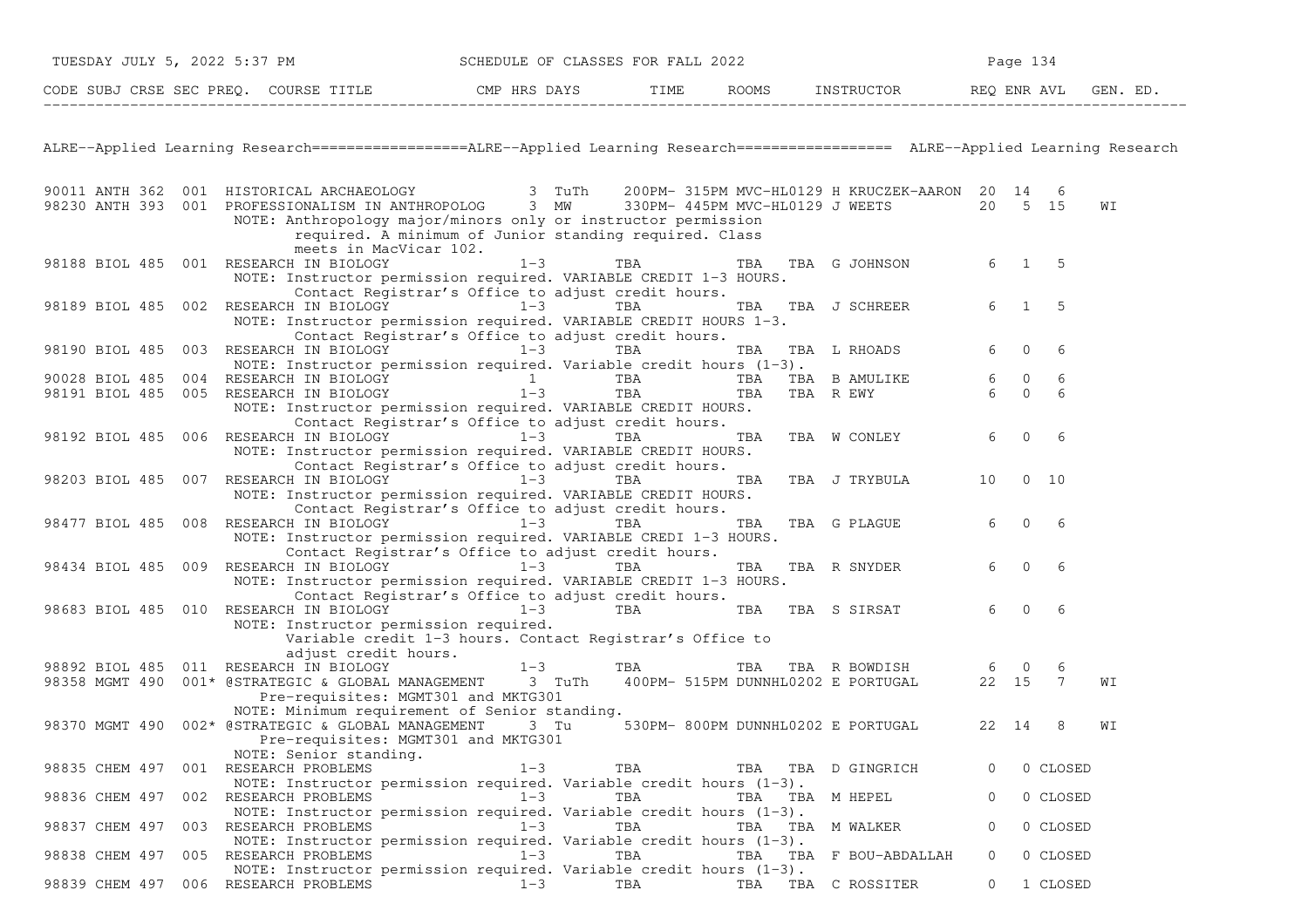| TUESDAY JULY 5, 2022 5:37 PM |     |                                                                                                                                                                                                                            | SCHEDULE OF CLASSES FOR FALL 2022 |        |                 |                                               |         | Page 134       |                |    |
|------------------------------|-----|----------------------------------------------------------------------------------------------------------------------------------------------------------------------------------------------------------------------------|-----------------------------------|--------|-----------------|-----------------------------------------------|---------|----------------|----------------|----|
|                              |     | CODE SUBJ CRSE SEC PREQ. COURSE TITLE TIME THE THE ROOMS INSTRUCTOR THE REQ ENR AVL                                                                                                                                        |                                   |        |                 | ROOMS INSTRUCTOR REQ ENR AVL GEN. ED.         |         |                |                |    |
|                              |     |                                                                                                                                                                                                                            |                                   |        |                 |                                               |         |                |                |    |
|                              |     | ALRE--Applied Learning Research=================ALRE--Applied Learning Research================= ALRE--Applied Learning Research                                                                                           |                                   |        |                 |                                               |         |                |                |    |
| 90011 ANTH 362               |     | 001 HISTORICAL ARCHAEOLOGY                                                                                                                                                                                                 |                                   | 3 TuTh |                 | 200PM- 315PM MVC-HL0129 H KRUCZEK-AARON 20 14 |         |                | 6              |    |
|                              |     | 98230 ANTH 393 001 PROFESSIONALISM IN ANTHROPOLOG<br>NOTE: Anthropology major/minors only or instructor permission<br>required. A minimum of Junior standing required. Class<br>meets in MacVicar 102.                     | 3 MW                              |        |                 | 330PM- 445PM MVC-HL0129 J WEETS               |         | 20 5 15        |                | WΙ |
|                              |     | 98188 BIOL 485 001 RESEARCH IN BIOLOGY<br>NOTE: Instructor permission required. VARIABLE CREDIT 1-3 HOURS.                                                                                                                 | $1 - 3$                           | TBA    | TBA             | TBA G JOHNSON                                 | 6       | $1 \quad 5$    |                |    |
|                              |     | Contact Registrar's Office to adjust credit hours.<br>98189 BIOL 485 002 RESEARCH IN BIOLOGY 1-3<br>NOTE: Instructor permission required. VARIABLE CREDIT HOURS 1-3.<br>Contact Registrar's Office to adjust credit hours. |                                   | TBA    | TBA             | TBA J SCHREER                                 | 6       | $\mathbf{1}$   | 5              |    |
| 98190 BIOL 485               | 003 | RESEARCH IN BIOLOGY<br>NOTE: Instructor permission required. Variable credit hours $(1-3)$ .                                                                                                                               | $1 - 3$                           | TBA    | TBA             | TBA L RHOADS                                  | 6       | $\mathbf{0}$   | 6              |    |
| 90028 BIOL 485               |     | 004 RESEARCH IN BIOLOGY                                                                                                                                                                                                    |                                   | TBA    | TBA             | TBA B AMULIKE                                 | 6       | $\overline{0}$ | 6              |    |
|                              |     | 98191 BIOL 485 005 RESEARCH IN BIOLOGY<br>NOTE: Instructor permission required. VARIABLE CREDIT HOURS.                                                                                                                     | $1 - 3$                           | TBA    | TBA             | TBA R EWY                                     | 6       | $\overline{0}$ | 6              |    |
|                              |     | Contact Registrar's Office to adjust credit hours.<br>98192 BIOL 485 006 RESEARCH IN BIOLOGY<br>NOTE: Instructor permission required. VARIABLE CREDIT HOURS.<br>Contact Registrar's Office to adjust credit hours.         | $1-3$                             | TBA    | TBA             | TBA W CONLEY                                  | 6       | $\mathbf{0}$   | 6              |    |
| 98203 BIOL 485 007           |     | RESEARCH IN BIOLOGY<br>NOTE: Instructor permission required. VARIABLE CREDIT HOURS.                                                                                                                                        | $1 - 3$                           | TBA    | TBA             | TBA J TRYBULA                                 | 10      |                | $0\quad 10$    |    |
|                              |     | Contact Registrar's Office to adjust credit hours.<br>98477 BIOL 485 008 RESEARCH IN BIOLOGY<br>NOTE: Instructor permission required. VARIABLE CREDI 1-3 HOURS.<br>Contact Registrar's Office to adjust credit hours.      | $1 - 3$                           | TBA    | TBA             | TBA G PLAGUE                                  | 6       | $\mathbf{0}$   | -6             |    |
| 98434 BIOL 485               |     | 009 RESEARCH IN BIOLOGY                                                                                                                                                                                                    | $1-3$                             | TBA    | TBA             | TBA R SNYDER                                  | 6       | $\mathbf{0}$   | 6              |    |
|                              |     | NOTE: Instructor permission required. VARIABLE CREDIT 1-3 HOURS.<br>Contact Registrar's Office to adjust credit hours.                                                                                                     |                                   |        |                 |                                               |         |                |                |    |
| 98683 BIOL 485 010           |     | RESEARCH IN BIOLOGY<br>NOTE: Instructor permission required.<br>Variable credit 1-3 hours. Contact Registrar's Office to                                                                                                   | $1 - 3$                           | TBA    |                 | TBA TBA S SIRSAT                              | 6       | $\Omega$       | 6              |    |
|                              |     | adjust credit hours.                                                                                                                                                                                                       |                                   |        |                 |                                               |         |                |                |    |
|                              |     | 98892 BIOL 485 011 RESEARCH IN BIOLOGY                                                                                                                                                                                     | $1 - 3$                           | TBA    | TBA             | TBA R BOWDISH                                 | 6       | $\mathbf 0$    | 6              |    |
| 98358 MGMT 490               |     | 001* @STRATEGIC & GLOBAL MANAGEMENT<br>Pre-requisites: MGMT301 and MKTG301                                                                                                                                                 | 3 TuTh                            |        |                 | 400PM- 515PM DUNNHL0202 E PORTUGAL            | 22 15   |                | $\overline{7}$ | WΙ |
| 98370 MGMT 490               |     | NOTE: Minimum requirement of Senior standing.<br>002* @STRATEGIC & GLOBAL MANAGEMENT<br>Pre-requisites: MGMT301 and MKTG301                                                                                                | 3 Tu                              |        |                 | 530PM- 800PM DUNNHL0202 E PORTUGAL            | 22 14   |                | 8              | WΙ |
|                              |     | NOTE: Senior standing.<br>98835 CHEM 497 001 RESEARCH PROBLEMS<br>NOTE: Instructor permission required. Variable credit hours $(1-3)$ .                                                                                    | $1 - 3$                           | TBA    |                 | TBA TBA D GINGRICH                            |         |                | 0 CLOSED       |    |
|                              |     | 98836 CHEM 497 002 RESEARCH PROBLEMS<br>NOTE: Instructor permission required. Variable credit hours $(1-3)$ .                                                                                                              | $1 - 3$                           | TBA    | TBA TBA M HEPEL |                                               | $\circ$ |                | 0 CLOSED       |    |
| 98837 CHEM 497               |     | 003 RESEARCH PROBLEMS                                                                                                                                                                                                      | $1 - 3$                           | TBA    |                 | TBA TBA M WALKER                              | $\circ$ |                | 0 CLOSED       |    |
|                              |     | NOTE: Instructor permission required. Variable credit hours $(1-3)$ .<br>98838 CHEM 497 005 RESEARCH PROBLEMS                                                                                                              | $1 - 3$                           | TBA    |                 | TBA TBA F BOU-ABDALLAH                        | $\circ$ |                | 0 CLOSED       |    |
|                              |     | NOTE: Instructor permission required. Variable credit hours $(1-3)$ .<br>98839 CHEM 497 006 RESEARCH PROBLEMS                                                                                                              | $1 - 3$                           | TBA    | TBA             | TBA C ROSSITER                                | $\circ$ |                | 1 CLOSED       |    |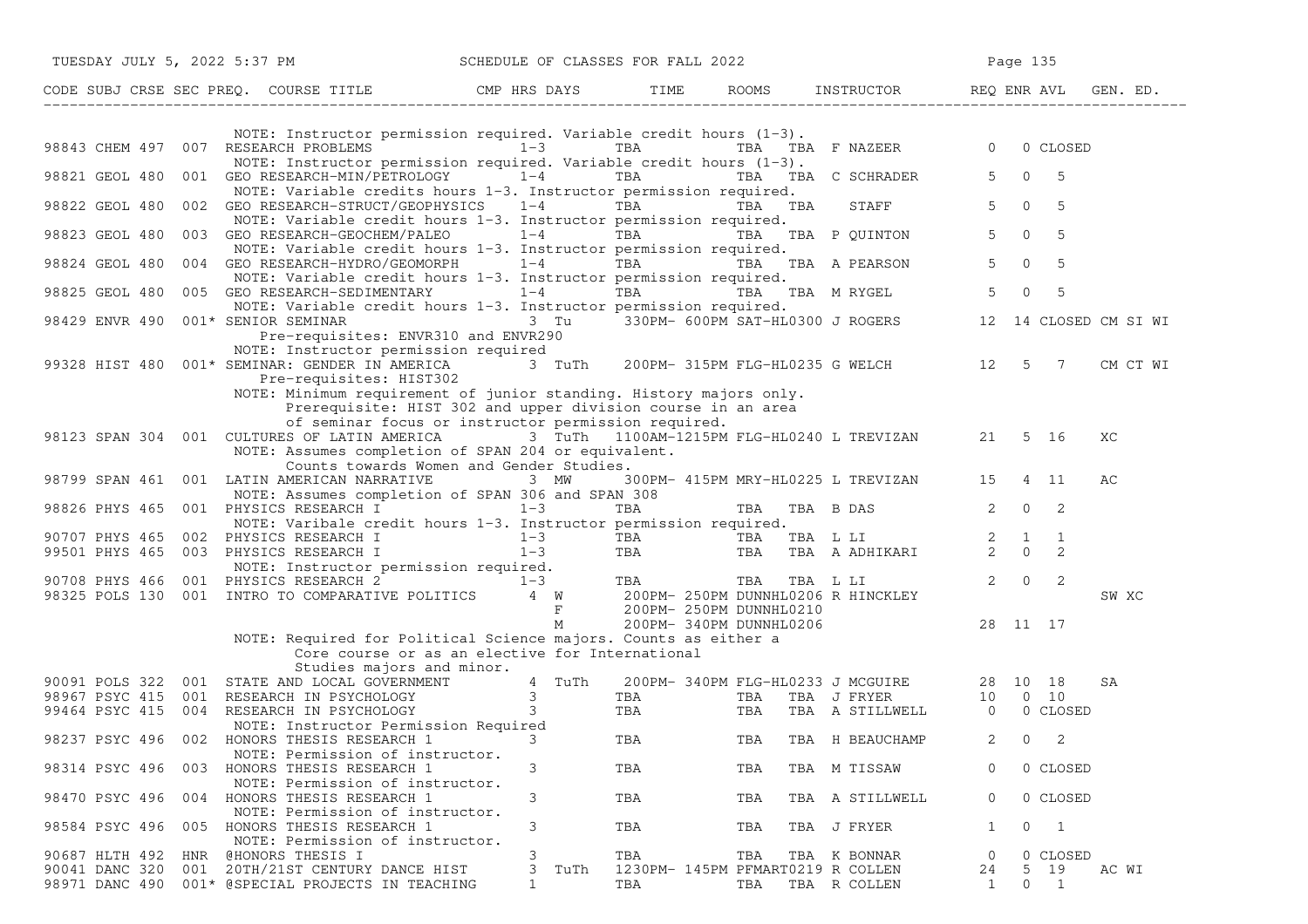|                                  | TUESDAY JULY 5, 2022 5:37 PM                                                                                                                                                                                                           | SCHEDULE OF CLASSES FOR FALL 2022 |                                          |     |                                                                          | Page 135                         |                  |                       |
|----------------------------------|----------------------------------------------------------------------------------------------------------------------------------------------------------------------------------------------------------------------------------------|-----------------------------------|------------------------------------------|-----|--------------------------------------------------------------------------|----------------------------------|------------------|-----------------------|
|                                  | CODE SUBJ CRSE SEC PREQ. COURSE TITLE THE ROOMS INSTRUCTOR REQ ENR AVL GEN. ED.                                                                                                                                                        |                                   |                                          |     |                                                                          |                                  |                  |                       |
|                                  | NOTE: Instructor permission required. Variable credit hours (1-3).<br>98843 CHEM 497 007 RESEARCH PROBLEMS 1-3 TBA TBA TBA TBA F NAZEER 0 0 CLOSED                                                                                     |                                   |                                          |     |                                                                          |                                  |                  |                       |
|                                  | NOTE: Instructor permission required. Variable credit hours $(1-3)$ .                                                                                                                                                                  |                                   |                                          |     |                                                                          |                                  |                  |                       |
| 98821 GEOL 480                   | 001 GEO RESEARCH-MIN/PETROLOGY 1-4 TBA TBA TBA TBA C SCHRADER 5 0 5<br>NOTE: Variable credits hours 1-3. Instructor permission required.                                                                                               |                                   |                                          |     |                                                                          |                                  |                  |                       |
| 98822 GEOL 480                   | 002 GEO RESEARCH-STRUCT/GEOPHYSICS 1-4 TBA TBA TBA TBA<br>NOTE: Variable credit hours 1-3. Instructor permission required.                                                                                                             |                                   |                                          |     | STAFF 5 0 5                                                              |                                  |                  |                       |
| 98823 GEOL 480                   | 003 GEO RESEARCH-GEOCHEM/PALEO $1-4$ TBA TBA TBA TBA P QUINTON<br>NOTE: Variable credit hours 1-3. Instructor permission required.                                                                                                     |                                   |                                          |     |                                                                          | $5 \t 0 \t 5$                    |                  |                       |
| 98824 GEOL 480                   | 004 GEO RESEARCH-HYDRO/GEOMORPH $1-4$ TBA TBA TBA A PEARSON<br>NOTE: Variable credit hours 1-3. Instructor permission required.                                                                                                        |                                   |                                          |     |                                                                          | $\overline{0}$<br>5 <sup>5</sup> | - 5              |                       |
| 98825 GEOL 480                   | 005 GEO RESEARCH-SEDIMENTARY 1-4<br>NOTE: Variable credit hours 1-3. Instructor permission required.                                                                                                                                   |                                   |                                          |     | TBA TBA TBA MRYGEL 5                                                     | $\mathbf{0}$                     | - 5              |                       |
| 98429 ENVR 490                   | Pre-requisites: ENVR310 and ENVR290                                                                                                                                                                                                    |                                   |                                          |     |                                                                          |                                  |                  | 12 14 CLOSED CM SI WI |
|                                  | NOTE: Instructor permission required<br>99328 HIST 480 001* SEMINAR: GENDER IN AMERICA 3 TuTh 200PM-315PM FLG-HL0235 G WELCH 3 12 5 7<br>Pre-requisites: HIST302                                                                       |                                   |                                          |     |                                                                          |                                  |                  | CM CT WI              |
|                                  | NOTE: Minimum requirement of junior standing. History majors only.<br>Prerequisite: HIST 302 and upper division course in an area<br>of seminar focus or instructor permission required.                                               |                                   |                                          |     |                                                                          |                                  |                  |                       |
|                                  | 98123 SPAN 304 001 CULTURES OF LATIN AMERICA 3 TuTh 1100AM-1215PM FLG-HL0240 L TREVIZAN 21 5 16<br>NOTE: Assumes completion of SPAN 204 or equivalent.                                                                                 |                                   |                                          |     |                                                                          |                                  |                  | XC                    |
|                                  | Counts towards Women and Gender Studies.<br>98799 SPAN 461 001 LATIN AMERICAN NARRATIVE 3 MW                                                                                                                                           |                                   |                                          |     | 300PM- 415PM MRY-HL0225 L TREVIZAN 15 4 11                               |                                  |                  | AС                    |
|                                  | NOTE: Assumes completion of SPAN 306 and SPAN 308<br>98826 PHYS 465 001 PHYSICS RESEARCH I 1-3<br>NOTE: Varibale credit hours 1-3. Instructor permission required.                                                                     |                                   | TBA                                      |     | TBA TBA B DAS 2 0 2                                                      |                                  |                  |                       |
|                                  |                                                                                                                                                                                                                                        |                                   |                                          |     |                                                                          |                                  |                  |                       |
|                                  |                                                                                                                                                                                                                                        |                                   |                                          |     |                                                                          |                                  |                  |                       |
|                                  | 90707 PHYS 465 002 PHYSICS RESEARCH I 1-3 TBA TBA TBA LI 2 0 2<br>99501 PHYS 465 003 PHYSICS RESEARCH I 1-3 TBA TBA TBA A ADHIKARI 2 0 2<br>90708 PHYS 466 001 PHYSICS RESEARCH 2 1-3 TBA TBA TBA LII 2 0 2<br>98325 POLS 130 001 I    |                                   |                                          |     |                                                                          |                                  |                  | SW XC                 |
|                                  | NOTE: Required for Political Science majors. Counts as either a                                                                                                                                                                        | M                                 | 200PM- 340PM DUNNHL0206                  |     | 28 11 17                                                                 |                                  |                  |                       |
|                                  | Core course or as an elective for International                                                                                                                                                                                        |                                   |                                          |     |                                                                          |                                  |                  |                       |
|                                  |                                                                                                                                                                                                                                        | 4 TuTh                            |                                          |     |                                                                          |                                  |                  | SA                    |
|                                  |                                                                                                                                                                                                                                        |                                   | <b>TBA</b>                               |     | 200PM-340PM FLG-HL0233 J MCGUIRE 28 10 18<br>TBA TBA TBA J FRYER 10 0 10 |                                  |                  |                       |
|                                  | Studies majors and marie 20091 POLS 322 001 STATE AND LOCAL GOVERNMENT 4 TuTh<br>98967 PSYC 415 001 RESEARCH IN PSYCHOLOGY 3<br>99464 PSYC 415 004 RESEARCH IN PSYCHOLOGY 3<br>NOTE: Instructor Permission Required<br>NOTE: Instructo |                                   | TBA TBA                                  |     | TBA A STILLWELL 0 0 CLOSED                                               |                                  |                  |                       |
|                                  | NOTE: Permission of instructor.                                                                                                                                                                                                        |                                   |                                          |     | TBA TBA TBA H BEAUCHAMP                                                  | $2 \t 0 \t 2$                    |                  |                       |
|                                  | 98314 PSYC 496 003 HONORS THESIS RESEARCH 1<br>NOTE: Permission of instructor.                                                                                                                                                         | 3                                 | TBA                                      | TBA | TBA M TISSAW                                                             |                                  | 0 CLOSED         |                       |
|                                  | 98470 PSYC 496 004 HONORS THESIS RESEARCH 1<br>NOTE: Permission of instructor.                                                                                                                                                         | 3                                 | TBA                                      | TBA | TBA A STILLWELL                                                          | $\mathbf{0}$                     | 0 CLOSED         |                       |
|                                  | 98584 PSYC 496 005 HONORS THESIS RESEARCH 1<br>NOTE: Permission of instructor.                                                                                                                                                         | 3                                 | TBA                                      | TBA | TBA J FRYER                                                              | 1                                | $0\quad 1$       |                       |
| 90687 HLTH 492<br>90041 DANC 320 | HNR @HONORS THESIS I<br>001 20TH/21ST CENTURY DANCE HIST                                                                                                                                                                               | 3<br>3 TuTh                       | TBA<br>1230PM- 145PM PFMART0219 R COLLEN | TBA | TBA K BONNAR                                                             | $\overline{0}$                   | 0 CLOSED<br>5 19 | AC WI                 |
|                                  | 98971 DANC 490 001* @SPECIAL PROJECTS IN TEACHING                                                                                                                                                                                      | $\mathbf{1}$                      | TBA                                      | TBA | TBA R COLLEN                                                             | 24<br>1                          | $0\qquad1$       |                       |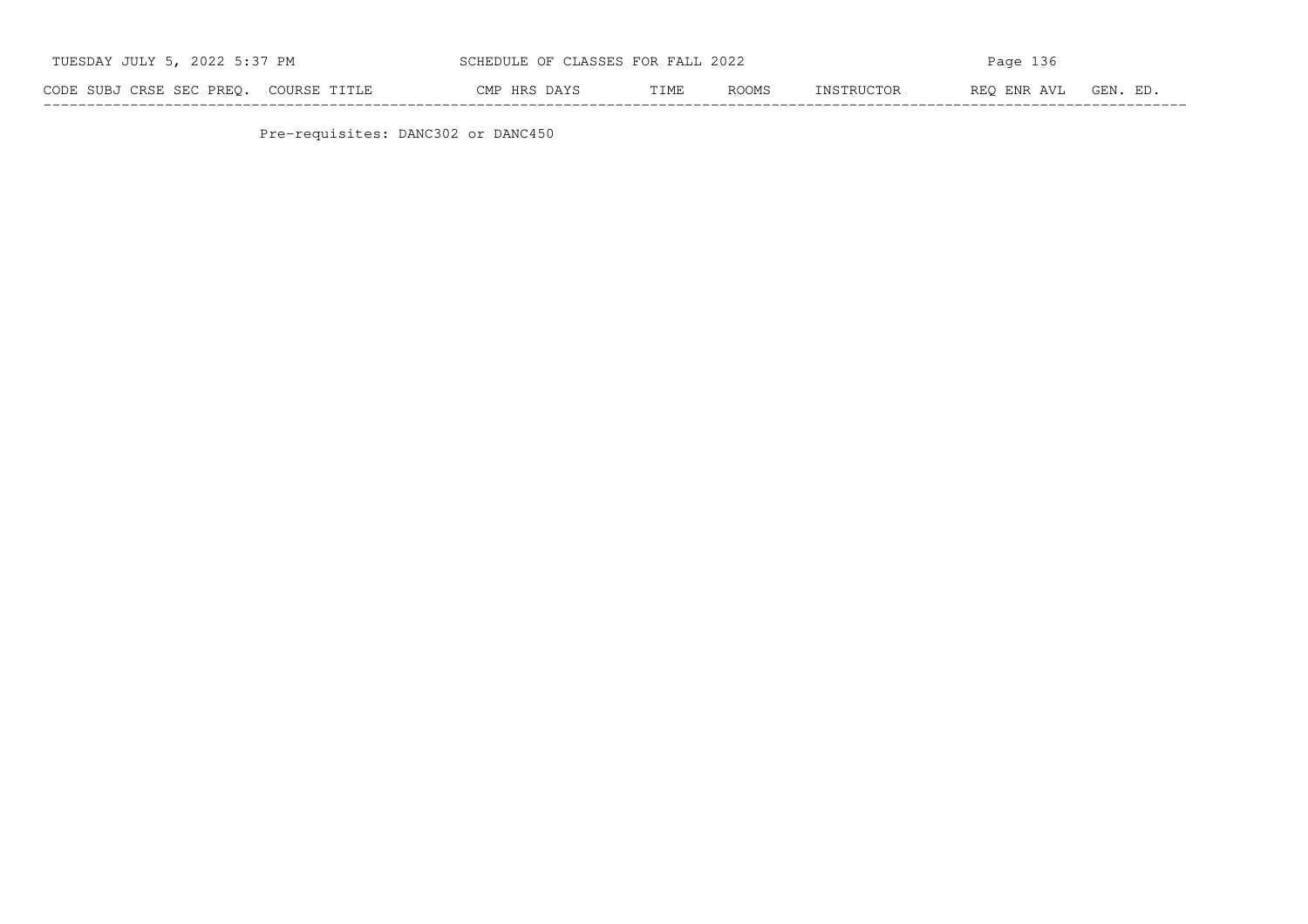| TUESDAY JULY 5, 2022 5:37 PM          |                                    | SCHEDULE OF CLASSES FOR FALL 2022 |      |       | Page 136   |                      |  |  |  |
|---------------------------------------|------------------------------------|-----------------------------------|------|-------|------------|----------------------|--|--|--|
| CODE SUBJ CRSE SEC PREO. COURSE TITLE |                                    | CMP HRS DAYS                      | TIME | ROOMS | INSTRUCTOR | REO ENR AVL GEN. ED. |  |  |  |
|                                       | Pre-requisites: DANC302 or DANC450 |                                   |      |       |            |                      |  |  |  |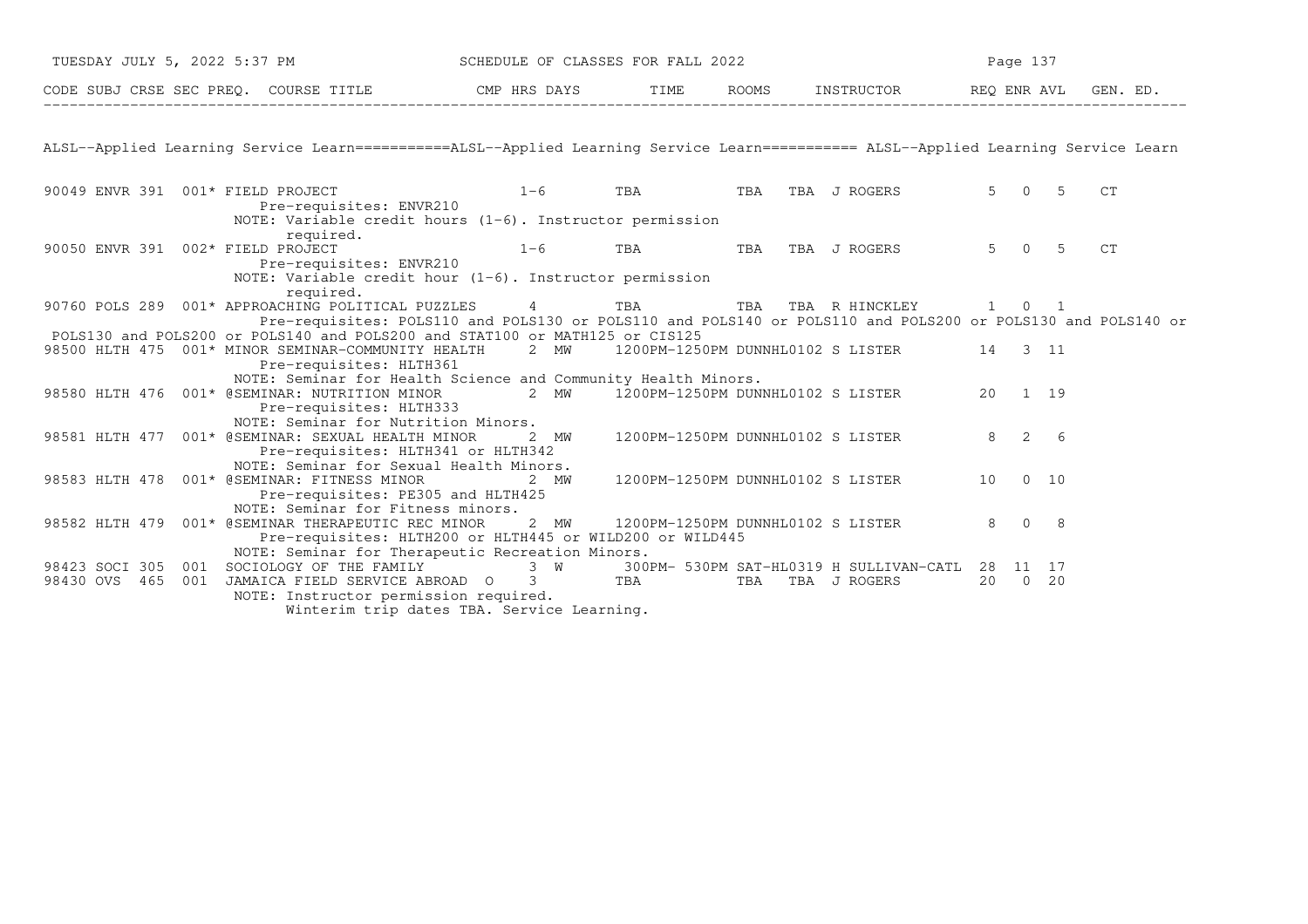| TUESDAY JULY 5, 2022 5:37 PM SCHEDULE OF CLASSES FOR FALL 2022                                                                                                 |                                                                                                                                                                                                                        |         |     |                                           |  | Page 137      |    |  |  |  |
|----------------------------------------------------------------------------------------------------------------------------------------------------------------|------------------------------------------------------------------------------------------------------------------------------------------------------------------------------------------------------------------------|---------|-----|-------------------------------------------|--|---------------|----|--|--|--|
| CODE SUBJ CRSE SEC PREQ. COURSE TITLE THE ROOMS INSTRUCTOR THE ROOMS INSTRUCTOR THE REQ ENR AVL GEN. ED.                                                       |                                                                                                                                                                                                                        |         |     |                                           |  |               |    |  |  |  |
| ALSL--Applied Learning Service Learn===========ALSL--Applied Learning Service Learn========== ALSL--Applied Learning Service Learn                             |                                                                                                                                                                                                                        |         |     |                                           |  |               |    |  |  |  |
| 90049 ENVR 391 $001*$ FIELD PROJECT $1-6$<br>Pre-requisites: ENVR210                                                                                           | NOTE: Variable credit hours $(1-6)$ . Instructor permission                                                                                                                                                            | TBA TBA |     | TBA J ROGERS                              |  | $5 \t 0 \t 5$ | CT |  |  |  |
| required.<br>90050 ENVR 391 002* FIELD PROJECT<br>Pre-requisites: ENVR210                                                                                      | $1-6$<br>NOTE: Variable credit hour $(1-6)$ . Instructor permission                                                                                                                                                    | TBA     | TBA | TBA J ROGERS                              |  | $5 \t 0 \t 5$ | CT |  |  |  |
| required.<br>90760 POLS 289 001* APPROACHING POLITICAL PUZZLES 4 TBA<br>POLS130 and POLS200 or POLS140 and POLS200 and STAT100 or MATH125 or CIS125            | Pre-requisites: POLS110 and POLS130 or POLS110 and POLS140 or POLS110 and POLS200 or POLS130 and POLS140 or                                                                                                            |         |     | TBA TBA RHINCKLEY 1 0 1                   |  |               |    |  |  |  |
| 98500 HLTH 475 001* MINOR SEMINAR-COMMUNITY HEALTH 2 MW 1200PM-1250PM DUNNHL0102 S LISTER 14 3 11<br>Pre-requisites: HLTH361                                   | NOTE: Seminar for Health Science and Community Health Minors.                                                                                                                                                          |         |     |                                           |  |               |    |  |  |  |
| 98580 HLTH 476 001* @SEMINAR: NUTRITION MINOR 2 MW 1200PM-1250PM DUNNHL0102 S LISTER 20 1 19<br>Pre-requisites: HLTH333<br>NOTE: Seminar for Nutrition Minors. |                                                                                                                                                                                                                        |         |     |                                           |  |               |    |  |  |  |
| 98581 HLTH 477 001* @SEMINAR: SEXUAL HEALTH MINOR                                                                                                              | 2 MW<br>Pre-requisites: HLTH341 or HLTH342                                                                                                                                                                             |         |     | 1200PM-1250PM DUNNHL0102 S LISTER         |  | 8 2 6         |    |  |  |  |
| NOTE: Seminar for Sexual Health Minors.<br>98583 HLTH 478 001* @SEMINAR: FITNESS MINOR<br>Pre-requisites: PE305 and HLTH425                                    | 2 MW                                                                                                                                                                                                                   |         |     | 1200PM-1250PM DUNNHL0102 S LISTER 10 0 10 |  |               |    |  |  |  |
| NOTE: Seminar for Fitness minors.<br>98582 HLTH 479 001* @SEMINAR THERAPEUTIC REC MINOR                                                                        | 2 MW<br>Pre-requisites: HLTH200 or HLTH445 or WILD200 or WILD445                                                                                                                                                       |         |     | 1200PM-1250PM DUNNHL0102 S LISTER         |  | 8 0 8         |    |  |  |  |
| 98423 SOCI 305 001<br>98430 OVS 465 001<br>NOTE: Instructor permission required.                                                                               | NOTE: Seminar for Therapeutic Recreation Minors.<br>SOCIOLOGY OF THE FAMILY 3 W 300PM- 530PM SAT-HL0319 H SULLIVAN-CATL 28 11 17<br>JAMAICA FIELD SERVICE ABROAD 0 3 TBA<br>Winterim trip dates TBA. Service Learning. |         | TBA | TBA J ROGERS                              |  | 20 0 20       |    |  |  |  |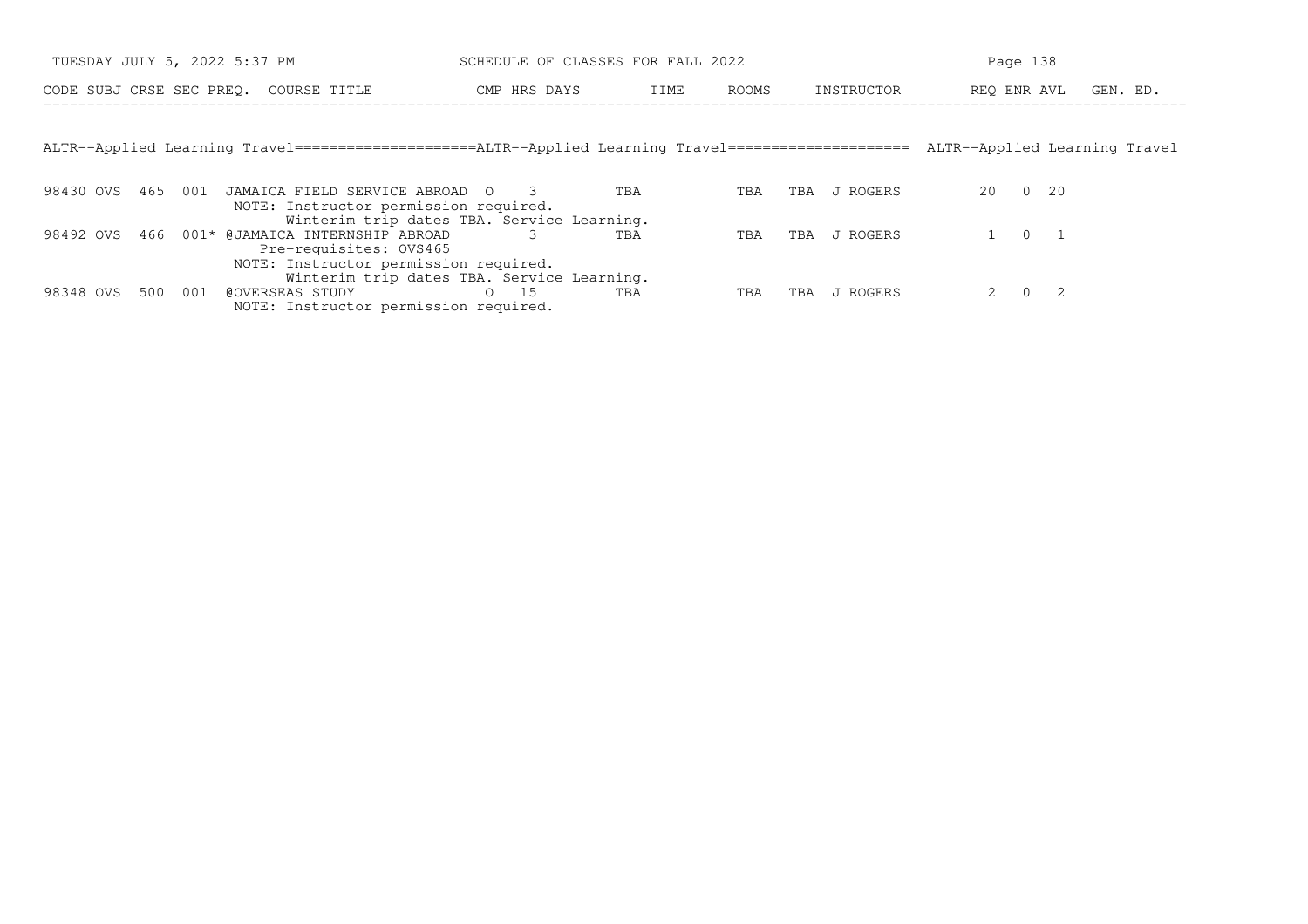| TUESDAY JULY 5, 2022 5:37 PM                                                                        | SCHEDULE OF CLASSES FOR FALL 2022          |      |            |            | Page 138             |                               |  |  |
|-----------------------------------------------------------------------------------------------------|--------------------------------------------|------|------------|------------|----------------------|-------------------------------|--|--|
| CODE SUBJ CRSE SEC PREO. COURSE TITLE                                                               | CMP HRS DAYS                               | TIME | ROOMS      | INSTRUCTOR | REO ENR AVL          | GEN. ED.                      |  |  |
|                                                                                                     |                                            |      |            |            |                      |                               |  |  |
| ALTR--Applied Learning Travel====================ALTR--Applied Learning Travel===================== |                                            |      |            |            |                      | ALTR--Applied Learning Travel |  |  |
|                                                                                                     |                                            |      |            |            |                      |                               |  |  |
| 98430 OVS<br>465<br>JAMAICA FIELD SERVICE ABROAD<br>001<br>NOTE: Instructor permission required.    | $\bigcirc$                                 | TBA  | TBA<br>TBA | J ROGERS   | 20<br>$\overline{0}$ | 20                            |  |  |
|                                                                                                     | Winterim trip dates TBA. Service Learning. |      |            |            |                      |                               |  |  |
| 001* @JAMAICA INTERNSHIP ABROAD<br>98492 OVS<br>466<br>Pre-requisites: OVS465                       |                                            | TBA  | TBA<br>TBA | J ROGERS   | $\Omega$             |                               |  |  |
| NOTE: Instructor permission required.                                                               |                                            |      |            |            |                      |                               |  |  |
|                                                                                                     | Winterim trip dates TBA. Service Learning. |      |            |            |                      |                               |  |  |
| 98348 OVS<br>500<br>001<br>@OVERSEAS STUDY                                                          | 15<br>$\Omega$                             | TBA  | TBA<br>TBA | J ROGERS   | $\Omega$             | -2                            |  |  |
| NOTE: Instructor permission required.                                                               |                                            |      |            |            |                      |                               |  |  |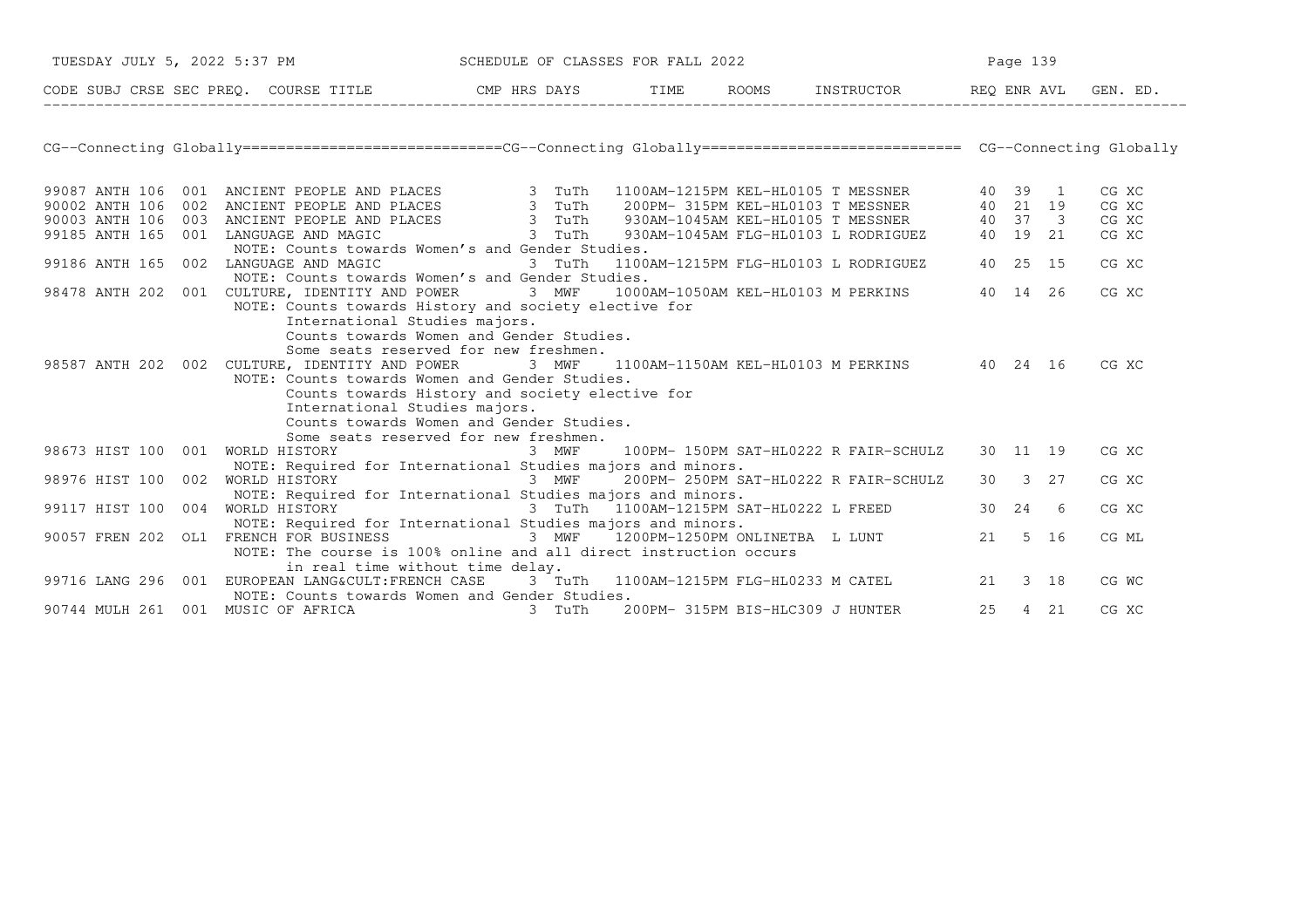| TUESDAY JULY 5, 2022 5:37 PM                                                                                                                                                                                                                 | SCHEDULE OF CLASSES FOR FALL 2022 |  |  |                                                |  | Page 139 |  |       |  |
|----------------------------------------------------------------------------------------------------------------------------------------------------------------------------------------------------------------------------------------------|-----------------------------------|--|--|------------------------------------------------|--|----------|--|-------|--|
| CODE SUBJ CRSE SEC PREQ. COURSE TITLE THE CMP HRS DAYS TIME ROOMS INSTRUCTOR REQ ENR AVL GEN. ED.                                                                                                                                            |                                   |  |  |                                                |  |          |  |       |  |
|                                                                                                                                                                                                                                              |                                   |  |  |                                                |  |          |  |       |  |
|                                                                                                                                                                                                                                              |                                   |  |  |                                                |  |          |  |       |  |
| 99087 ANTH 106 001 ANCIENT PEOPLE AND PLACES<br>90002 ANTH 106 002 ANCIENT PEOPLE AND PLACES<br>90003 ANTH 106 003 ANCIENT PEOPLE AND PLACES<br>90003 ANTH 165 001 LANGUAGE AND MAGIC<br>99185 ANTH 165 001 LANGUAGE AND MAGIC<br>99185 ANTH |                                   |  |  |                                                |  |          |  | CG XC |  |
|                                                                                                                                                                                                                                              |                                   |  |  |                                                |  |          |  | CG XC |  |
|                                                                                                                                                                                                                                              |                                   |  |  |                                                |  |          |  | CG XC |  |
|                                                                                                                                                                                                                                              |                                   |  |  |                                                |  |          |  | CG XC |  |
| NOTE: Counts towards Women's and Gender Studies.                                                                                                                                                                                             |                                   |  |  |                                                |  |          |  |       |  |
| 99186 ANTH 165 002 LANGUAGE AND MAGIC                                                                                                                                                                                                        | 3 TuTh                            |  |  | 1100AM-1215PM FLG-HL0103 L RODRIGUEZ 40 25 15  |  |          |  | CG XC |  |
| NOTE: Counts towards Women's and Gender Studies.                                                                                                                                                                                             |                                   |  |  |                                                |  |          |  |       |  |
| 98478 ANTH 202 001 CULTURE, IDENTITY AND POWER 3 MWF 1000AM-1050AM KEL-HL0103 M PERKINS 40 14 26<br>NOTE: Counts towards History and society elective for                                                                                    |                                   |  |  |                                                |  |          |  | CG XC |  |
| International Studies majors.                                                                                                                                                                                                                |                                   |  |  |                                                |  |          |  |       |  |
| Counts towards Women and Gender Studies.                                                                                                                                                                                                     |                                   |  |  |                                                |  |          |  |       |  |
| Some seats reserved for new freshmen.                                                                                                                                                                                                        |                                   |  |  |                                                |  |          |  |       |  |
| 98587 ANTH 202 002 CULTURE, IDENTITY AND POWER                                                                                                                                                                                               | 3 MWF                             |  |  | 1100AM-1150AM KEL-HL0103 M PERKINS 40 24 16    |  |          |  | CG XC |  |
| NOTE: Counts towards Women and Gender Studies.                                                                                                                                                                                               |                                   |  |  |                                                |  |          |  |       |  |
| Counts towards History and society elective for                                                                                                                                                                                              |                                   |  |  |                                                |  |          |  |       |  |
| International Studies majors.                                                                                                                                                                                                                |                                   |  |  |                                                |  |          |  |       |  |
| Counts towards Women and Gender Studies.                                                                                                                                                                                                     |                                   |  |  |                                                |  |          |  |       |  |
| Some seats reserved for new freshmen.                                                                                                                                                                                                        |                                   |  |  |                                                |  |          |  |       |  |
| 98673 HIST 100 001 WORLD HISTORY                                                                                                                                                                                                             | 3 MWF                             |  |  | 100PM- 150PM SAT-HL0222 R FAIR-SCHULZ 30 11 19 |  |          |  | CG XC |  |
| NOTE: Required for International Studies majors and minors.                                                                                                                                                                                  |                                   |  |  |                                                |  |          |  |       |  |
| 98976 HIST 100 002 WORLD HISTORY 6 6 100 MWF 200PM-250PM SAT-HL0222 R FAIR-SCHULZ                                                                                                                                                            |                                   |  |  |                                                |  | 30 3 27  |  | CG XC |  |
| NOTE: Required for International Studies majors and minors.                                                                                                                                                                                  |                                   |  |  |                                                |  |          |  |       |  |
| 99117 HIST 100 004 WORLD HISTORY 3 TuTh 1100AM-1215PM SAT-HL0222 L FREED 30 24 6                                                                                                                                                             |                                   |  |  |                                                |  |          |  | CG XC |  |
| NOTE: Required for International Studies majors and minors.                                                                                                                                                                                  |                                   |  |  |                                                |  |          |  |       |  |
| 90057 FREN 202 OL1 FRENCH FOR BUSINESS 3 MWF                                                                                                                                                                                                 |                                   |  |  | 1200PM-1250PM ONLINETBA L LUNT 21 5 16         |  |          |  | CG ML |  |
| NOTE: The course is 100% online and all direct instruction occurs                                                                                                                                                                            |                                   |  |  |                                                |  |          |  |       |  |
| in real time without time delay.                                                                                                                                                                                                             |                                   |  |  |                                                |  |          |  |       |  |
| 99716 LANG 296 001 EUROPEAN LANG&CULT: FRENCH CASE 3 TuTh 1100AM-1215PM FLG-HL0233 M CATEL 21 3 18                                                                                                                                           |                                   |  |  |                                                |  |          |  | CG WC |  |
| NOTE: Counts towards Women and Gender Studies.                                                                                                                                                                                               |                                   |  |  |                                                |  |          |  |       |  |
| 90744 MULH 261 001 MUSIC OF AFRICA                                                                                                                                                                                                           | 3 TuTh                            |  |  | 200PM- 315PM BIS-HLC309 J HUNTER               |  | 25 4 21  |  | CG XC |  |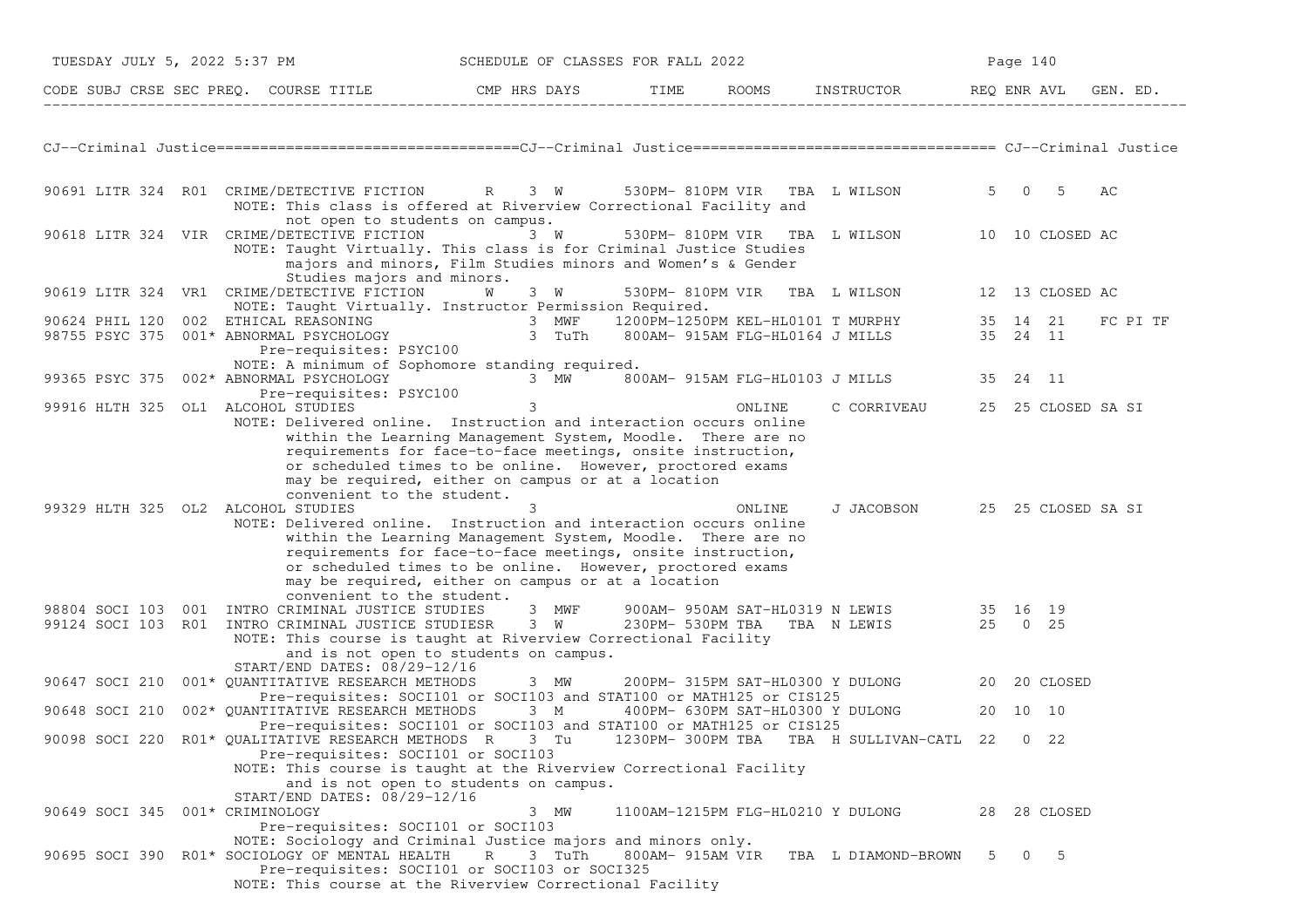| TUESDAY JULY 5, 2022 5:37 PM       |                                                                                                                                                                                                                                             | SCHEDULE OF CLASSES FOR FALL 2022                                                                                                                                                                                                                  | Page 140                          |        |                                                                                |   |             |                    |
|------------------------------------|---------------------------------------------------------------------------------------------------------------------------------------------------------------------------------------------------------------------------------------------|----------------------------------------------------------------------------------------------------------------------------------------------------------------------------------------------------------------------------------------------------|-----------------------------------|--------|--------------------------------------------------------------------------------|---|-------------|--------------------|
|                                    |                                                                                                                                                                                                                                             |                                                                                                                                                                                                                                                    |                                   |        |                                                                                |   |             | GEN. ED.           |
|                                    |                                                                                                                                                                                                                                             |                                                                                                                                                                                                                                                    |                                   |        |                                                                                |   |             |                    |
|                                    | 90691 LITR 324 R01 CRIME/DETECTIVE FICTION R 3 W 530PM-810PM VIR TBA L WILSON<br>NOTE: This class is offered at Riverview Correctional Facility and<br>not open to students on campus.                                                      |                                                                                                                                                                                                                                                    |                                   |        |                                                                                |   | 5 0 5       | AC                 |
|                                    | 90618 LITR 324 VIR CRIME/DETECTIVE FICTION<br>NOTE: Taught Virtually. This class is for Criminal Justice Studies<br>Studies majors and minors.                                                                                              | 3 W<br>majors and minors, Film Studies minors and Women's & Gender                                                                                                                                                                                 |                                   |        | 530PM-810PM VIR TBA L WILSON 10 10 CLOSED AC                                   |   |             |                    |
|                                    | 90619 LITR 324 VR1 CRIME/DETECTIVE FICTION<br>NOTE: Taught Virtually. Instructor Permission Required.                                                                                                                                       | <b>W</b> 3 W                                                                                                                                                                                                                                       |                                   |        | 530PM-810PM VIR TBA L WILSON 12 13 CLOSED AC                                   |   |             |                    |
|                                    | 90624 PHIL 120 002 ETHICAL REASONING 1888 1000 1200PM-1250PM KEL-HL0101 T MURPHY 135 14 21<br>98755 PSYC 375 001* ABNORMAL PSYCHOLOGY 1888 1989 1890AM-915AM FLG-HL0164 J MILLS 35 24 11                                                    |                                                                                                                                                                                                                                                    |                                   |        |                                                                                |   |             | FC PI TF           |
|                                    |                                                                                                                                                                                                                                             |                                                                                                                                                                                                                                                    |                                   |        |                                                                                |   |             |                    |
|                                    | Pre-requisites: PSYC100                                                                                                                                                                                                                     |                                                                                                                                                                                                                                                    |                                   |        |                                                                                |   |             |                    |
|                                    | NOTE: A minimum of Sophomore standing required.<br>99365 PSYC 375 002* ABNORMAL PSYCHOLOGY<br>Pre-requisites: PSYC100                                                                                                                       |                                                                                                                                                                                                                                                    |                                   |        | 3 MW 800AM-915AM FLG-HL0103 J MILLS 35 24 11                                   |   |             |                    |
| 99916 HLTH 325 OL1 ALCOHOL STUDIES |                                                                                                                                                                                                                                             | 3                                                                                                                                                                                                                                                  |                                   | ONLINE | C CORRIVEAU                                                                    |   |             | 25 25 CLOSED SA SI |
|                                    | NOTE: Delivered online. Instruction and interaction occurs online<br>convenient to the student.                                                                                                                                             | within the Learning Management System, Moodle. There are no<br>requirements for face-to-face meetings, onsite instruction,<br>or scheduled times to be online. However, proctored exams<br>may be required, either on campus or at a location      |                                   |        |                                                                                |   |             |                    |
| 99329 HLTH 325 OL2 ALCOHOL STUDIES | NOTE: Delivered online. Instruction and interaction occurs online<br>convenient to the student.                                                                                                                                             | 3<br>within the Learning Management System, Moodle. There are no<br>requirements for face-to-face meetings, onsite instruction,<br>or scheduled times to be online. However, proctored exams<br>may be required, either on campus or at a location |                                   | ONLINE | J JACOBSON 25 25 CLOSED SA SI                                                  |   |             |                    |
|                                    | 98804 SOCI 103 001 INTRO CRIMINAL JUSTICE STUDIES 3 MWF                                                                                                                                                                                     |                                                                                                                                                                                                                                                    |                                   |        | 900AM-950AM SAT-HL0319 N LEWIS 35 16 19<br>230PM-530PM TBA TBA N LEWIS 25 0 25 |   |             |                    |
|                                    | 99124 SOCI 103 R01 INTRO CRIMINAL JUSTICE STUDIESR 3 W<br>NOTE: This course is taught at Riverview Correctional Facility<br>START/END DATES: 08/29-12/16                                                                                    | and is not open to students on campus.                                                                                                                                                                                                             |                                   |        |                                                                                |   |             |                    |
|                                    | 90647 SOCI 210 001* QUANTITATIVE RESEARCH METHODS 3 MW                                                                                                                                                                                      | Pre-requisites: SOCI101 or SOCI103 and STAT100 or MATH125 or CIS125                                                                                                                                                                                |                                   |        | 200PM-315PM SAT-HL0300 Y DULONG 20 20 CLOSED                                   |   |             |                    |
| 90648 SOCI 210                     | 002* QUANTITATIVE RESEARCH METHODS 3 M 400PM- 630PM SAT-HL0300 Y DULONG                                                                                                                                                                     | Pre-requisites: SOCI101 or SOCI103 and STAT100 or MATH125 or CIS125                                                                                                                                                                                |                                   |        |                                                                                |   | 20 10 10    |                    |
|                                    | 90098 SOCI 220 R01* QUALITATIVE RESEARCH METHODS R 3 Tu 1230PM-300PM TBA TBA H SULLIVAN-CATL 22<br>Pre-requisites: SOCI101 or SOCI103<br>NOTE: This course is taught at the Riverview Correctional Facility<br>START/END DATES: 08/29-12/16 | and is not open to students on campus.                                                                                                                                                                                                             |                                   |        |                                                                                |   | $0\quad 22$ |                    |
| 90649 SOCI 345                     | 001* CRIMINOLOGY<br>Pre-requisites: SOCI101 or SOCI103                                                                                                                                                                                      | 3 MW                                                                                                                                                                                                                                               | 1100AM-1215PM FLG-HL0210 Y DULONG |        |                                                                                |   |             | 28 28 CLOSED       |
|                                    | NOTE: Sociology and Criminal Justice majors and minors only.<br>90695 SOCI 390 R01* SOCIOLOGY OF MENTAL HEALTH<br>NOTE: This course at the Riverview Correctional Facility                                                                  | 3 TuTh<br>R<br>Pre-requisites: SOCI101 or SOCI103 or SOCI325                                                                                                                                                                                       | 800AM- 915AM VIR                  |        | TBA L DIAMOND-BROWN                                                            | 5 | $0\qquad 5$ |                    |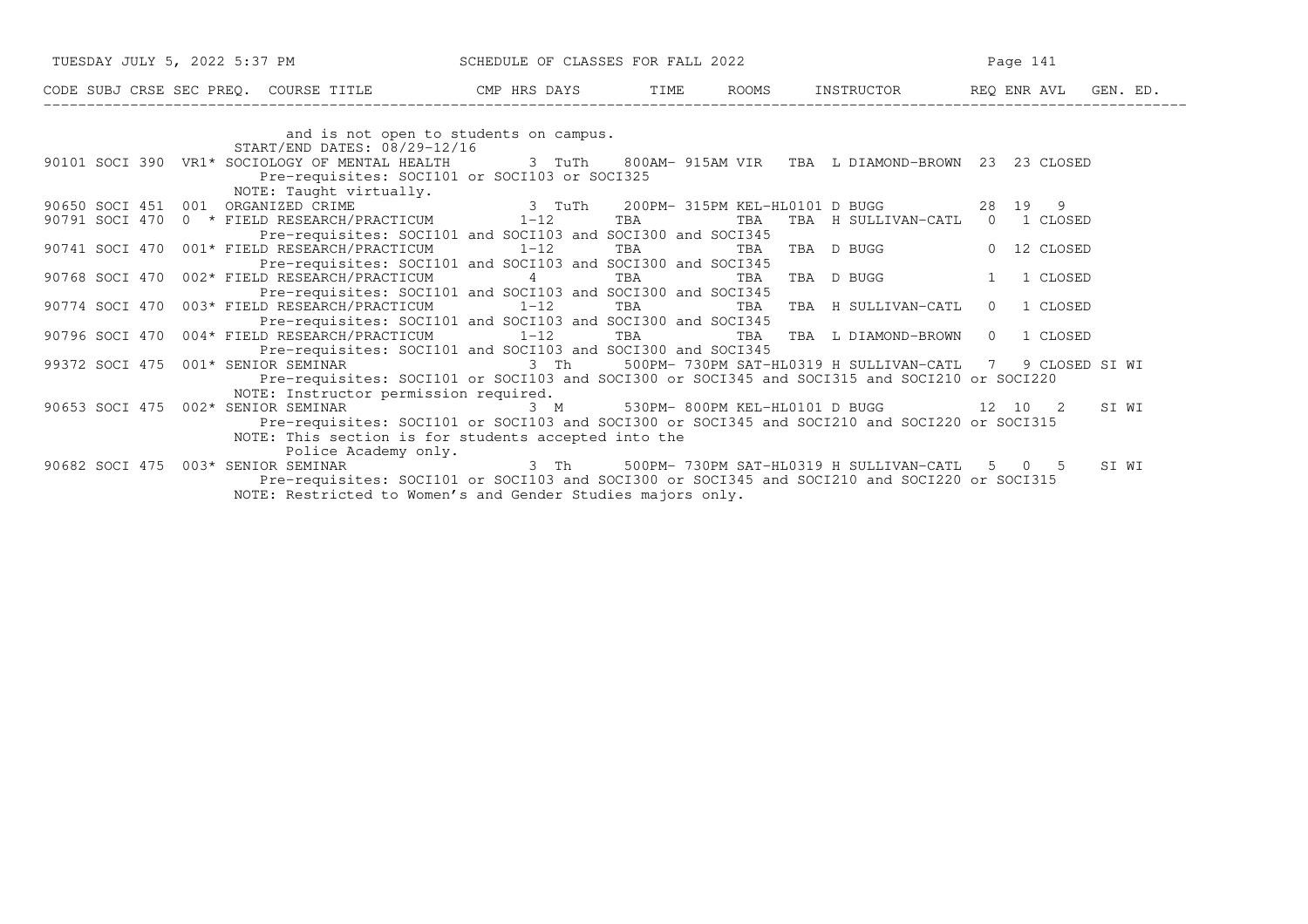| TUESDAY JULY 5, 2022 5:37 PM SCHEDULE OF CLASSES FOR FALL 2022                                                                                       |  |                                    | Page 141 |       |
|------------------------------------------------------------------------------------------------------------------------------------------------------|--|------------------------------------|----------|-------|
| CODE SUBJ CRSE SEC PREQ. COURSE TITLE THE ROOMS INSTRUCTOR REQ ENR AVL GEN. ED.                                                                      |  |                                    |          |       |
|                                                                                                                                                      |  |                                    |          |       |
| and is not open to students on campus.<br>START/END DATES: 08/29-12/16                                                                               |  |                                    |          |       |
| 90101 SOCI 390 VR1* SOCIOLOGY OF MENTAL HEALTH 3 TuTh 800AM-915AM VIR TBA L DIAMOND-BROWN 23 23 CLOSED                                               |  |                                    |          |       |
| Pre-requisites: SOCI101 or SOCI103 or SOCI325                                                                                                        |  |                                    |          |       |
| NOTE: Taught virtually.                                                                                                                              |  |                                    |          |       |
| 90650 SOCI 451 001 ORGANIZED CRIME<br>90791 SOCI 470 0 *FIELD RESEARCH/PRACTICUM 1-12 TBA TBA TBA H SULLIVAN-CATL 0 1 CLOS                           |  |                                    |          |       |
|                                                                                                                                                      |  | TBA TBA H SULLIVAN-CATL 0 1 CLOSED |          |       |
| Pre-requisites: SOCI101 and SOCI103 and SOCI300 and SOCI345                                                                                          |  |                                    |          |       |
| 90741 SOCI 470 001* FIELD RESEARCH/PRACTICUM 1-12 TBA TBA TBA TBA D BUGG 0 12 CLOSED                                                                 |  |                                    |          |       |
| Pre-requisites: SOCI101 and SOCI103 and SOCI300 and SOCI345<br>90768 SOCI 470 002* FIELD RESEARCH/PRACTICUM       4      TBA       TBA   TBA  D BUGG |  |                                    | 1 CLOSED |       |
| Pre-requisites: SOCI101 and SOCI103 and SOCI300 and SOCI345                                                                                          |  |                                    |          |       |
| 90774 SOCI 470 003* FIELD RESEARCH/PRACTICUM 1-12 TBA TBA TBA TBA H SULLIVAN-CATL 0 1 CLOSED                                                         |  |                                    |          |       |
| Pre-requisites: SOCI101 and SOCI103 and SOCI300 and SOCI345                                                                                          |  |                                    |          |       |
| 90796 SOCI 470 004* FIELD RESEARCH/PRACTICUM 1-12 TBA TBA TBA I DIAMOND-BROWN 0 1 CLOSED                                                             |  |                                    |          |       |
| Pre-requisites: SOCI101 and SOCI103 and SOCI300 and SOCI345                                                                                          |  |                                    |          |       |
| 001* SENIOR SEMINAR                             3 Th       500PM- 730PM SAT-HL0319 H SULLIVAN-CATL   7   9 CLOSED SI WI<br>99372 SOCI 475            |  |                                    |          |       |
| Pre-requisites: SOCI101 or SOCI103 and SOCI300 or SOCI345 and SOCI315 and SOCI210 or SOCI220                                                         |  |                                    |          |       |
| NOTE: Instructor permission required.                                                                                                                |  |                                    |          |       |
| 90653 SOCI 475 002* SENIOR SEMINAR $\overline{3}$ M 530PM-800PM KEL-HL0101 D BUGG 12 10 2                                                            |  |                                    |          | SI WI |
| Pre-requisites: SOCI101 or SOCI103 and SOCI300 or SOCI345 and SOCI210 and SOCI220 or SOCI315                                                         |  |                                    |          |       |
| NOTE: This section is for students accepted into the                                                                                                 |  |                                    |          |       |
| Police Academy only.<br>90682 SOCI 475 003* SENIOR SEMINAR 1 1 3 Th 500PM-730PM SAT-HL0319 H SULLIVAN-CATL 5 0 5 SI WI                               |  |                                    |          |       |
| Pre-requisites: SOCI101 or SOCI103 and SOCI300 or SOCI345 and SOCI210 and SOCI220 or SOCI315                                                         |  |                                    |          |       |
| NOTE: Restricted to Women's and Gender Studies majors only.                                                                                          |  |                                    |          |       |
|                                                                                                                                                      |  |                                    |          |       |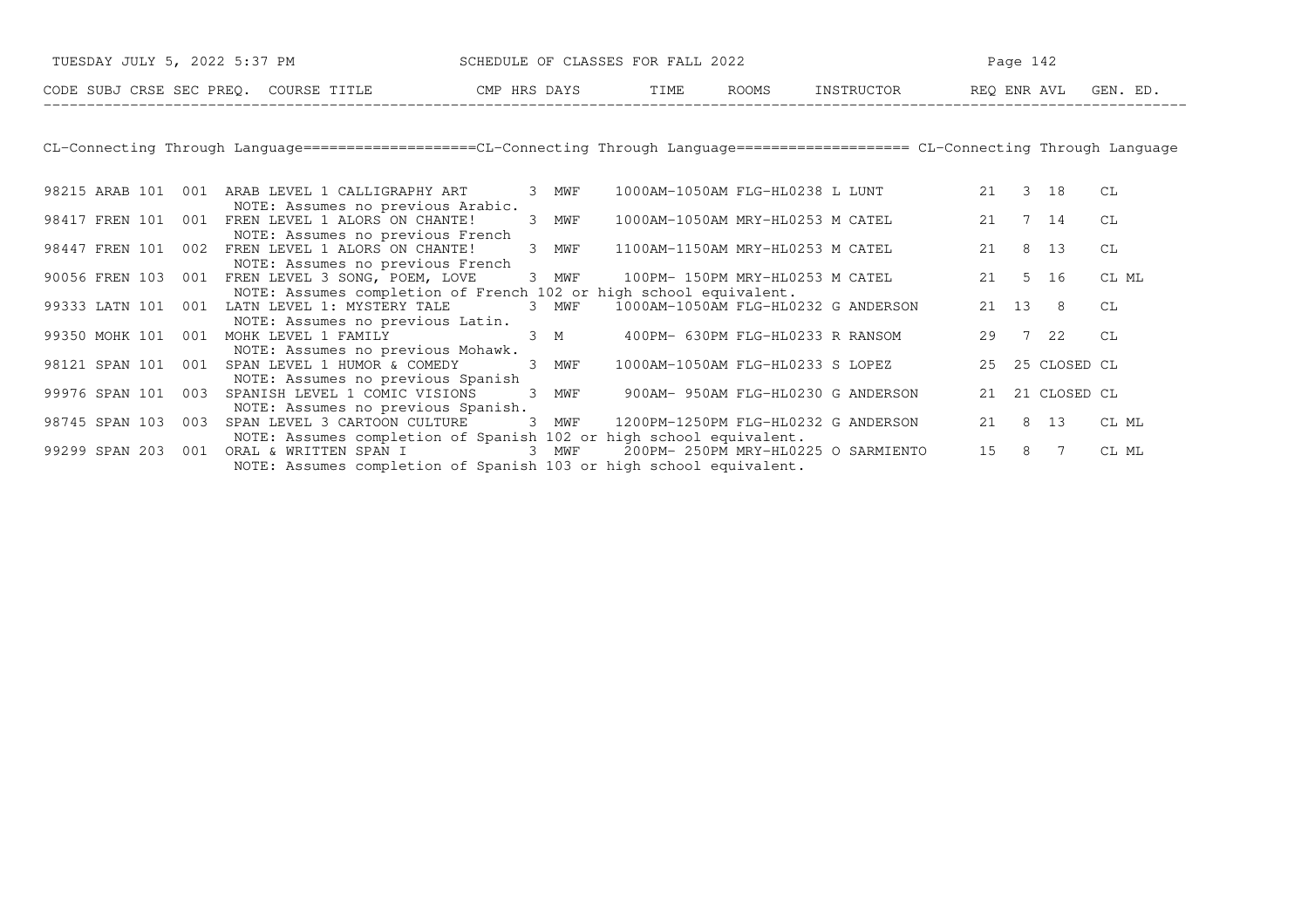| TUESDAY JULY 5, 2022 5:37 PM          | SCHEDULE OF CLASSES FOR FALL 2022 |      |              | Page $142$ |             |          |  |
|---------------------------------------|-----------------------------------|------|--------------|------------|-------------|----------|--|
| CODE SUBJ CRSE SEC PREO. COURSE TITLE | CMP HRS DAYS                      | TIME | <b>ROOMS</b> | INSTRUCTOR | REO ENR AVL | GEN. ED. |  |

CL−Connecting Through Language====================CL−Connecting Through Language==================== CL−Connecting Through Language

| 98215 ARAB 101 |     | 001 | ARAB LEVEL 1 CALLIGRAPHY ART                                                                           | 3 | MWF      | 1000AM-1050AM FLG-HL0238 L LUNT     |  | 21    | 3               | 18           | СL    |
|----------------|-----|-----|--------------------------------------------------------------------------------------------------------|---|----------|-------------------------------------|--|-------|-----------------|--------------|-------|
| 98417 FREN 101 |     | 001 | NOTE: Assumes no previous Arabic.<br>FREN LEVEL 1 ALORS ON CHANTE!<br>NOTE: Assumes no previous French | 3 | MWF      | 1000AM-1050AM MRY-HL0253 M CATEL    |  | 21    |                 | 7 14         | CL    |
| 98447 FREN 101 |     | 002 | FREN LEVEL 1 ALORS ON CHANTE!<br>NOTE: Assumes no previous French                                      | 3 | MWF      | 1100AM-1150AM MRY-HL0253 M CATEL    |  | 21    | 8               | 13           | CL    |
| 90056 FREN 103 |     | 001 | FREN LEVEL 3 SONG, POEM, LOVE                                                                          |   | 3 MWF    | 100PM- 150PM MRY-HL0253 M CATEL     |  | 21    | 5 <sup>5</sup>  | 16           | CL ML |
| 99333 LATN 101 |     | 001 | NOTE: Assumes completion of French 102 or high school equivalent.<br>LATN LEVEL 1: MYSTERY TALE        | 3 | MWF      | 1000AM-1050AM FLG-HL0232 G ANDERSON |  | 21 13 |                 | 8            | CL    |
| 99350 MOHK 101 |     | 001 | NOTE: Assumes no previous Latin.<br>MOHK LEVEL 1 FAMILY                                                |   | $3 \, M$ | 400PM- 630PM FLG-HL0233 R RANSOM    |  | 29    | $7\overline{ }$ | 22           | CL    |
| 98121 SPAN 101 |     | 001 | NOTE: Assumes no previous Mohawk.<br>SPAN LEVEL 1 HUMOR & COMEDY                                       | 3 | MWF      | 1000AM-1050AM FLG-HL0233 S LOPEZ    |  | 25    |                 | 25 CLOSED CL |       |
| 99976 SPAN 101 |     | 003 | NOTE: Assumes no previous Spanish<br>SPANISH LEVEL 1 COMIC VISIONS                                     | 3 | MWF      | 900AM- 950AM FLG-HL0230 G ANDERSON  |  | 21    |                 | 21 CLOSED CL |       |
| 98745 SPAN 103 |     | 003 | NOTE: Assumes no previous Spanish.<br>SPAN LEVEL 3 CARTOON CULTURE                                     | 3 | MWF      | 1200PM-1250PM FLG-HL0232 G ANDERSON |  | 21    | 8               | 13           | CL ML |
| 99299 SPAN     | 203 | 001 | NOTE: Assumes completion of Spanish 102 or high school equivalent.<br>ORAL & WRITTEN SPAN I            | 3 | MWF      | 200PM- 250PM MRY-HL0225 O SARMIENTO |  | 15    | 8               |              | CL ML |
|                |     |     | NOTE: Assumes completion of Spanish 103 or high school equivalent.                                     |   |          |                                     |  |       |                 |              |       |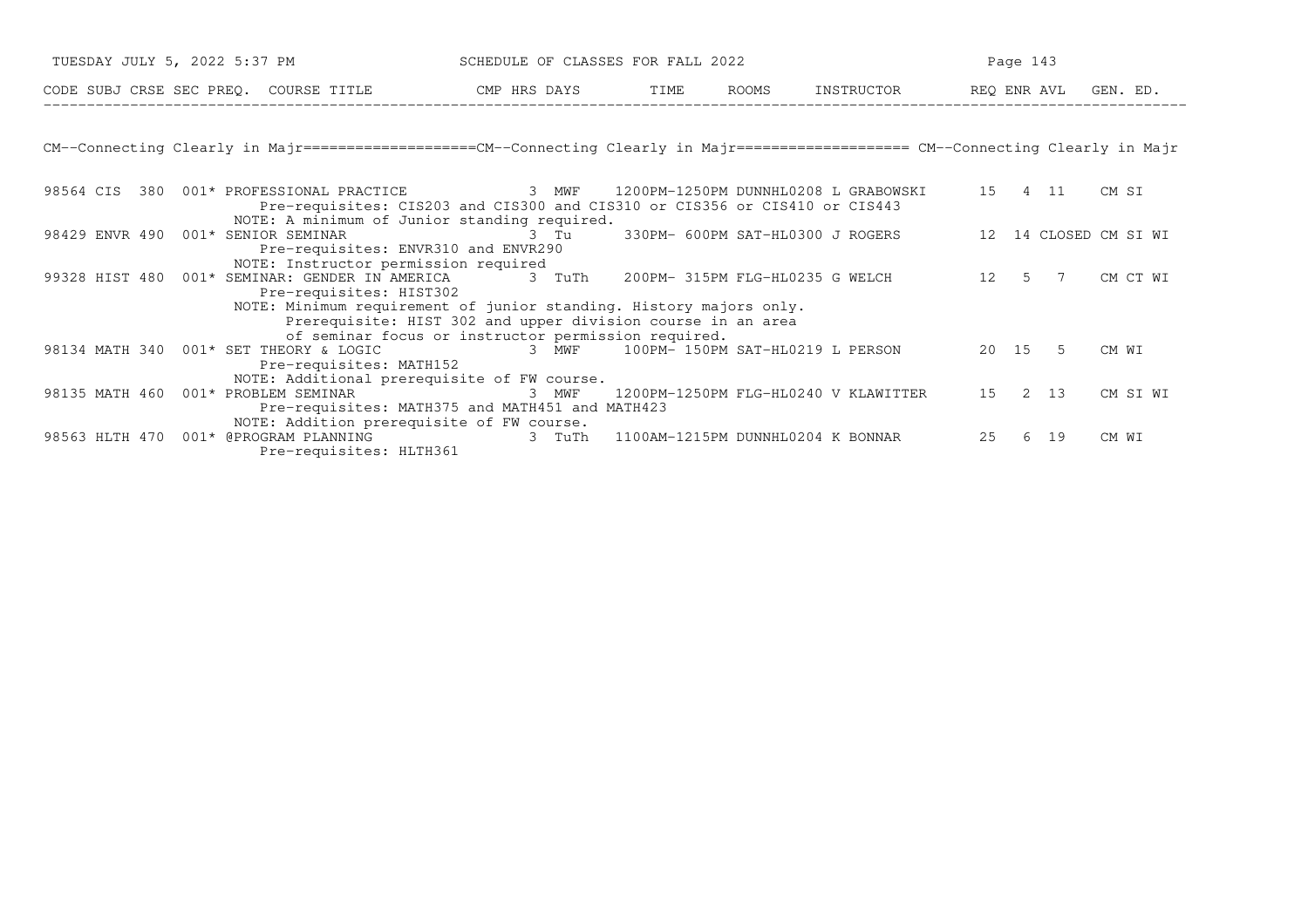| CODE SUBJ CRSE SEC PREQ. COURSE TITLE THE CMP HRS DAYS TIME<br>ROOMS INSTRUCTOR REO ENR AVL GEN. ED.<br>CM--Connecting Clearly in Majr==================CM--Connecting Clearly in Majr==================== CM--Connecting Clearly in Majr<br>98564 CIS<br>380 001* PROFESSIONAL PRACTICE         3  MWF   1200PM-1250PM DUNNHL0208 L GRABOWSKI<br>15 4 11<br>CM SI<br>Pre-requisites: CIS203 and CIS300 and CIS310 or CIS356 or CIS410 or CIS443<br>NOTE: A minimum of Junior standing required.<br>330PM- 600PM SAT-HL0300 J ROGERS<br>98429 ENVR 490 001* SENIOR SEMINAR<br>12 14 CLOSED CM SI WI<br>3 Tu<br>Pre-requisites: ENVR310 and ENVR290<br>NOTE: Instructor permission required<br>99328 HIST 480  001* SEMINAR: GENDER IN AMERICA 3 TuTh<br>200PM- 315PM FLG-HL0235 G WELCH<br>CM CT WI<br>12 5 7<br>Pre-requisites: HIST302<br>NOTE: Minimum requirement of junior standing. History majors only.<br>Prerequisite: HIST 302 and upper division course in an area<br>of seminar focus or instructor permission required.<br>20 15 5<br>3 MWF 100PM-150PM SAT-HL0219 L PERSON<br>98134 MATH 340 001* SET THEORY & LOGIC<br>CM WI<br>Pre-requisites: MATH152<br>NOTE: Additional prerequisite of FW course.<br>2 13<br>98135 MATH 460 001* PROBLEM SEMINAR<br>15<br>1200PM-1250PM FLG-HL0240 V KLAWITTER | TUESDAY JULY 5, 2022 5:37 PM | SCHEDULE OF CLASSES FOR FALL 2022 |  |  | Page 143 |          |
|--------------------------------------------------------------------------------------------------------------------------------------------------------------------------------------------------------------------------------------------------------------------------------------------------------------------------------------------------------------------------------------------------------------------------------------------------------------------------------------------------------------------------------------------------------------------------------------------------------------------------------------------------------------------------------------------------------------------------------------------------------------------------------------------------------------------------------------------------------------------------------------------------------------------------------------------------------------------------------------------------------------------------------------------------------------------------------------------------------------------------------------------------------------------------------------------------------------------------------------------------------------------------------------------------------------------|------------------------------|-----------------------------------|--|--|----------|----------|
|                                                                                                                                                                                                                                                                                                                                                                                                                                                                                                                                                                                                                                                                                                                                                                                                                                                                                                                                                                                                                                                                                                                                                                                                                                                                                                                    |                              |                                   |  |  |          |          |
|                                                                                                                                                                                                                                                                                                                                                                                                                                                                                                                                                                                                                                                                                                                                                                                                                                                                                                                                                                                                                                                                                                                                                                                                                                                                                                                    |                              |                                   |  |  |          |          |
|                                                                                                                                                                                                                                                                                                                                                                                                                                                                                                                                                                                                                                                                                                                                                                                                                                                                                                                                                                                                                                                                                                                                                                                                                                                                                                                    |                              |                                   |  |  |          |          |
|                                                                                                                                                                                                                                                                                                                                                                                                                                                                                                                                                                                                                                                                                                                                                                                                                                                                                                                                                                                                                                                                                                                                                                                                                                                                                                                    |                              |                                   |  |  |          |          |
|                                                                                                                                                                                                                                                                                                                                                                                                                                                                                                                                                                                                                                                                                                                                                                                                                                                                                                                                                                                                                                                                                                                                                                                                                                                                                                                    |                              |                                   |  |  |          |          |
|                                                                                                                                                                                                                                                                                                                                                                                                                                                                                                                                                                                                                                                                                                                                                                                                                                                                                                                                                                                                                                                                                                                                                                                                                                                                                                                    |                              |                                   |  |  |          |          |
|                                                                                                                                                                                                                                                                                                                                                                                                                                                                                                                                                                                                                                                                                                                                                                                                                                                                                                                                                                                                                                                                                                                                                                                                                                                                                                                    |                              |                                   |  |  |          |          |
|                                                                                                                                                                                                                                                                                                                                                                                                                                                                                                                                                                                                                                                                                                                                                                                                                                                                                                                                                                                                                                                                                                                                                                                                                                                                                                                    |                              |                                   |  |  |          |          |
|                                                                                                                                                                                                                                                                                                                                                                                                                                                                                                                                                                                                                                                                                                                                                                                                                                                                                                                                                                                                                                                                                                                                                                                                                                                                                                                    |                              |                                   |  |  |          |          |
|                                                                                                                                                                                                                                                                                                                                                                                                                                                                                                                                                                                                                                                                                                                                                                                                                                                                                                                                                                                                                                                                                                                                                                                                                                                                                                                    |                              |                                   |  |  |          |          |
|                                                                                                                                                                                                                                                                                                                                                                                                                                                                                                                                                                                                                                                                                                                                                                                                                                                                                                                                                                                                                                                                                                                                                                                                                                                                                                                    |                              |                                   |  |  |          |          |
|                                                                                                                                                                                                                                                                                                                                                                                                                                                                                                                                                                                                                                                                                                                                                                                                                                                                                                                                                                                                                                                                                                                                                                                                                                                                                                                    |                              |                                   |  |  |          |          |
|                                                                                                                                                                                                                                                                                                                                                                                                                                                                                                                                                                                                                                                                                                                                                                                                                                                                                                                                                                                                                                                                                                                                                                                                                                                                                                                    |                              |                                   |  |  |          |          |
|                                                                                                                                                                                                                                                                                                                                                                                                                                                                                                                                                                                                                                                                                                                                                                                                                                                                                                                                                                                                                                                                                                                                                                                                                                                                                                                    |                              |                                   |  |  |          |          |
|                                                                                                                                                                                                                                                                                                                                                                                                                                                                                                                                                                                                                                                                                                                                                                                                                                                                                                                                                                                                                                                                                                                                                                                                                                                                                                                    |                              |                                   |  |  |          |          |
|                                                                                                                                                                                                                                                                                                                                                                                                                                                                                                                                                                                                                                                                                                                                                                                                                                                                                                                                                                                                                                                                                                                                                                                                                                                                                                                    |                              | 3 MWF                             |  |  |          | CM SI WI |
| Pre-requisites: MATH375 and MATH451 and MATH423                                                                                                                                                                                                                                                                                                                                                                                                                                                                                                                                                                                                                                                                                                                                                                                                                                                                                                                                                                                                                                                                                                                                                                                                                                                                    |                              |                                   |  |  |          |          |
| NOTE: Addition prerequisite of FW course.<br>25<br>98563 HLTH 470<br>6 19                                                                                                                                                                                                                                                                                                                                                                                                                                                                                                                                                                                                                                                                                                                                                                                                                                                                                                                                                                                                                                                                                                                                                                                                                                          |                              |                                   |  |  |          |          |
| 001* @PROGRAM PLANNING<br>3 TuTh 1100AM-1215PM DUNNHL0204 K BONNAR<br>CM WI<br>Pre-requisites: HLTH361                                                                                                                                                                                                                                                                                                                                                                                                                                                                                                                                                                                                                                                                                                                                                                                                                                                                                                                                                                                                                                                                                                                                                                                                             |                              |                                   |  |  |          |          |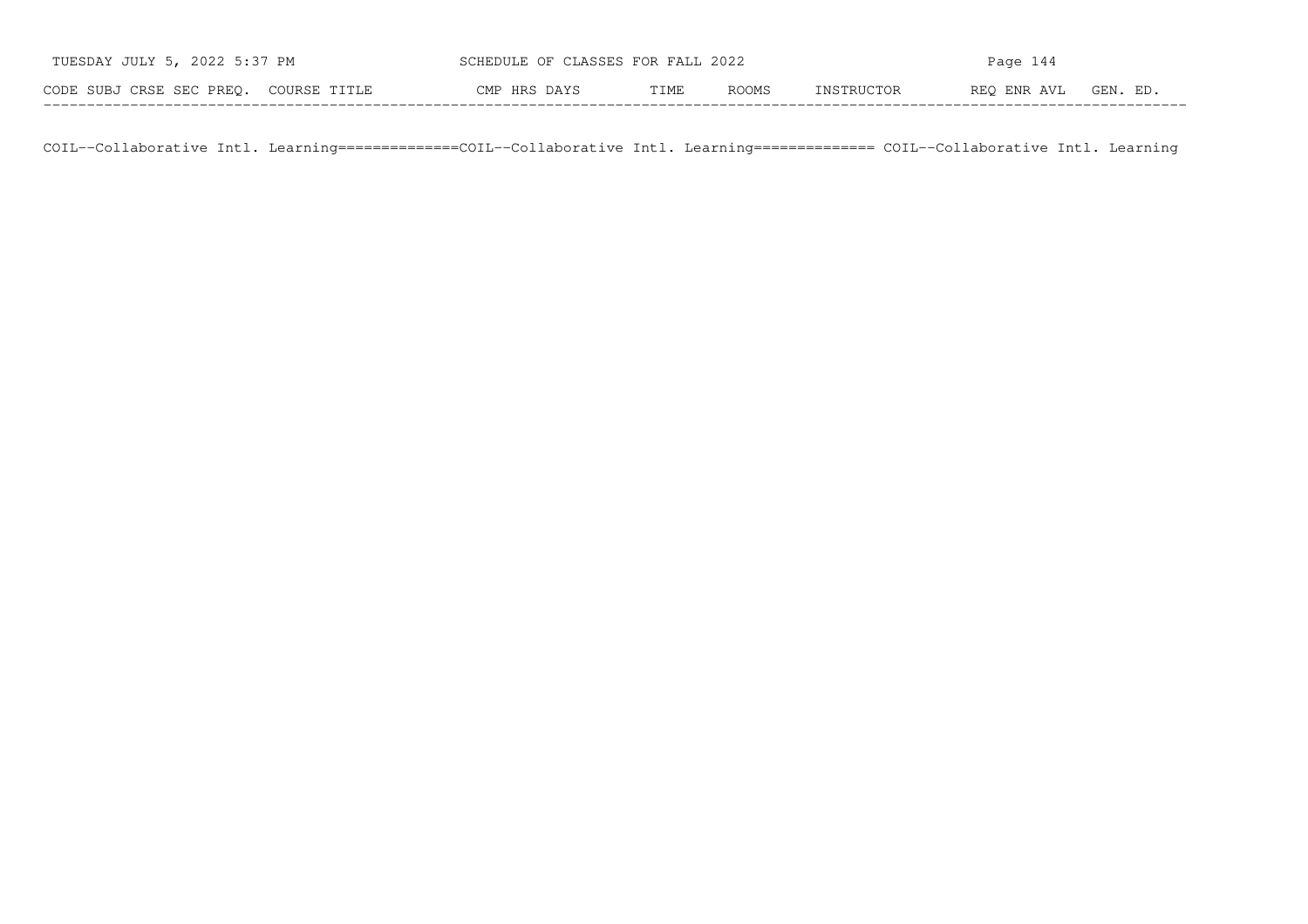| TUESDAY JULY 5, 2022 5:37 PM          | SCHEDULE OF CLASSES FOR FALL 2022 |      |       | Page 144   |             |          |  |
|---------------------------------------|-----------------------------------|------|-------|------------|-------------|----------|--|
| CODE SUBJ CRSE SEC PREO. COURSE TITLE | CMP HRS DAYS                      | TIME | ROOMS | INSTRUCTOR | REO ENR AVL | GEN. ED. |  |

COIL−−Collaborative Intl. Learning==============COIL−−Collaborative Intl. Learning============== COIL−−Collaborative Intl. Learning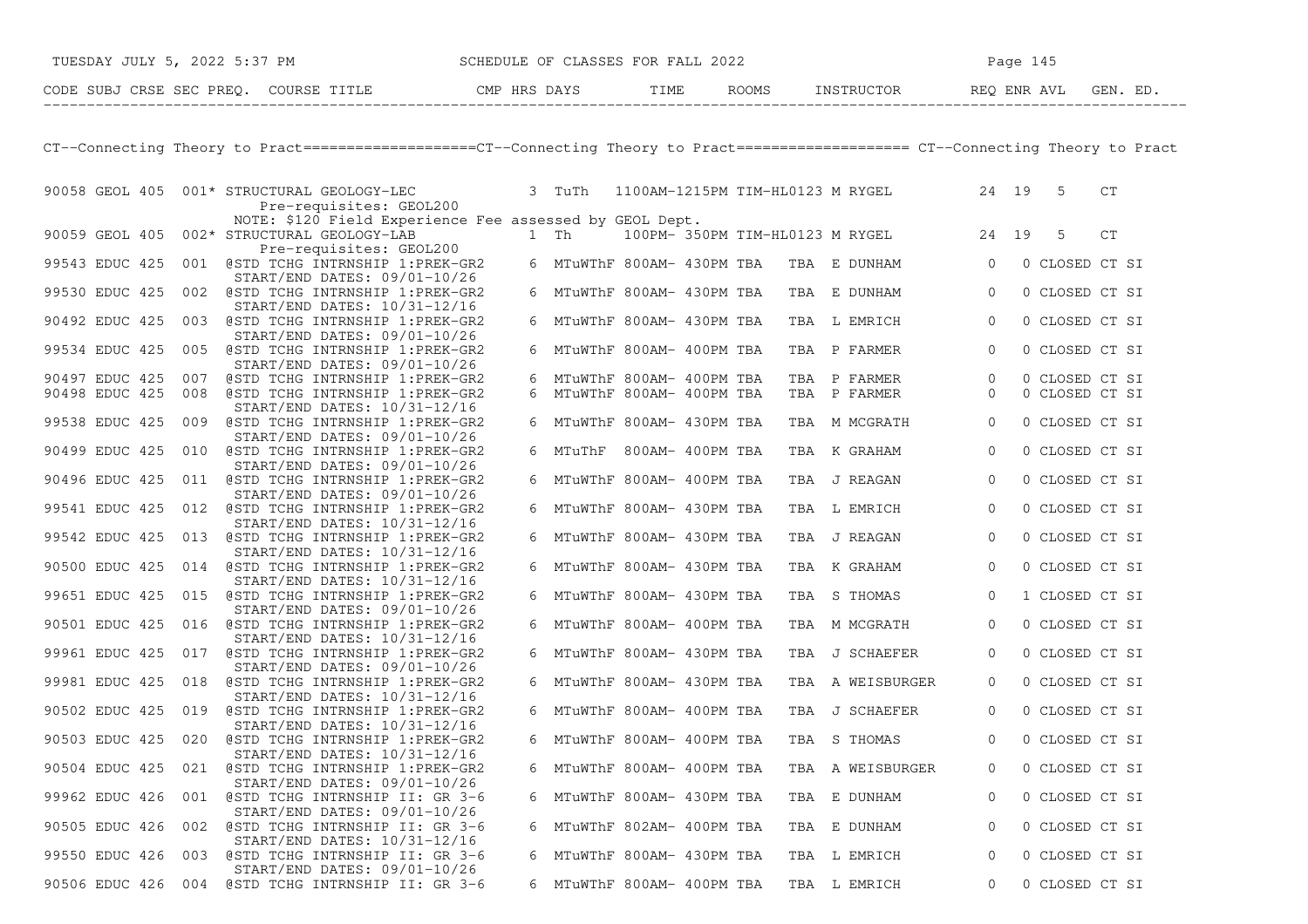|                |  | TUESDAY JULY 5, 2022 5:37 PM SCHEDULE OF CLASSES FOR FALL 2022                                                                     |  |                            |  |  |                                           |                | Page 145 |                  |    |  |
|----------------|--|------------------------------------------------------------------------------------------------------------------------------------|--|----------------------------|--|--|-------------------------------------------|----------------|----------|------------------|----|--|
|                |  |                                                                                                                                    |  |                            |  |  |                                           |                |          |                  |    |  |
|                |  |                                                                                                                                    |  |                            |  |  |                                           |                |          |                  |    |  |
|                |  |                                                                                                                                    |  |                            |  |  |                                           |                |          |                  |    |  |
|                |  | CT--Connecting Theory to Pract==================CT--Connecting Theory to Pract===================== CT--Connecting Theory to Pract |  |                            |  |  |                                           |                |          |                  |    |  |
|                |  | 90058 GEOL 405 001* STRUCTURAL GEOLOGY-LEC 3 TuTh 1100AM-1215PM TIM-HL0123 M RYGEL 24 19 5                                         |  |                            |  |  |                                           |                |          |                  | CT |  |
|                |  | Pre-requisites: GEOL200                                                                                                            |  |                            |  |  |                                           |                |          |                  |    |  |
|                |  | NOTE: \$120 Field Experience Fee assessed by GEOL Dept.<br>90059 GEOL 405 002* STRUCTURAL GEOLOGY-LAB                              |  |                            |  |  | 1 Th 100PM-350PM TIM-HL0123 M RYGEL 24 19 |                |          | 5                | CT |  |
|                |  | Pre-requisites: GEOL200                                                                                                            |  |                            |  |  |                                           |                |          |                  |    |  |
|                |  | 99543 EDUC 425 001 @STD TCHG INTRNSHIP 1:PREK-GR2                                                                                  |  |                            |  |  | 6 MTuWThF 800AM- 430PM TBA TBA E DUNHAM 0 |                |          | 0 CLOSED CT SI   |    |  |
|                |  | START/END DATES: 09/01-10/26<br>99530 EDUC 425 002 @STD TCHG INTRNSHIP 1:PREK-GR2                                                  |  | 6 MTuWThF 800AM- 430PM TBA |  |  | TBA E DUNHAM 0                            |                |          | 0 CLOSED CT SI   |    |  |
|                |  | $START/END$ DATES: $10/31-12/16$                                                                                                   |  |                            |  |  |                                           | $\overline{0}$ |          |                  |    |  |
|                |  | 90492 EDUC 425 003 @STD TCHG INTRNSHIP 1:PREK-GR2<br>START/END DATES: 09/01-10/26                                                  |  | 6 MTuWThF 800AM- 430PM TBA |  |  | TBA L EMRICH                              |                |          | 0 CLOSED CT SI   |    |  |
| 99534 EDUC 425 |  | 005 @STD TCHG INTRNSHIP 1:PREK-GR2                                                                                                 |  | 6 MTuWThF 800AM- 400PM TBA |  |  | TBA P FARMER                              | $\overline{0}$ |          | 0 CLOSED CT SI   |    |  |
|                |  | START/END DATES: 09/01-10/26<br>90497 EDUC 425 007 @STD TCHG INTRNSHIP 1:PREK-GR2                                                  |  | 6 MTuWThF 800AM- 400PM TBA |  |  | TBA P FARMER                              | $\overline{0}$ |          | 0 CLOSED CT SI   |    |  |
|                |  | 90498 EDUC 425 008 @STD TCHG INTRNSHIP 1:PREK-GR2                                                                                  |  | 6 MTuWThF 800AM- 400PM TBA |  |  | TBA P FARMER                              | $\overline{0}$ |          | 0 CLOSED CT SI   |    |  |
| 99538 EDUC 425 |  | START/END DATES: 10/31-12/16<br>009 @STD TCHG INTRNSHIP 1:PREK-GR2                                                                 |  | 6 MTuWThF 800AM- 430PM TBA |  |  | TBA M MCGRATH                             | $\overline{0}$ |          | 0 CLOSED CT SI   |    |  |
|                |  | START/END DATES: 09/01-10/26                                                                                                       |  |                            |  |  |                                           |                |          |                  |    |  |
|                |  | 90499 EDUC 425 010 @STD TCHG INTRNSHIP 1:PREK-GR2<br>$START/END$ DATES: $09/01-10/26$                                              |  | 6 MTuThF 800AM- 400PM TBA  |  |  | TBA K GRAHAM                              | $\circ$        |          | 0 CLOSED CT SI   |    |  |
| 90496 EDUC 425 |  | 011 @STD TCHG INTRNSHIP 1:PREK-GR2                                                                                                 |  | 6 MTuWThF 800AM- 400PM TBA |  |  | TBA J REAGAN                              | $\overline{0}$ |          | 0 CLOSED CT SI   |    |  |
|                |  | START/END DATES: 09/01-10/26<br>99541 EDUC 425 012 @STD TCHG INTRNSHIP 1:PREK-GR2                                                  |  | 6 MTuWThF 800AM- 430PM TBA |  |  | TBA L EMRICH                              | $\circ$        |          | 0 CLOSED CT SI   |    |  |
|                |  | START/END DATES: 10/31-12/16<br>99542 EDUC 425 013 @STD TCHG INTRNSHIP 1:PREK-GR2                                                  |  | 6 MTuWThF 800AM- 430PM TBA |  |  | TBA J REAGAN                              | $\overline{0}$ |          | 0 CLOSED CT SI   |    |  |
|                |  | START/END DATES: 10/31-12/16                                                                                                       |  |                            |  |  |                                           |                |          |                  |    |  |
|                |  | 90500 EDUC 425 014 @STD TCHG INTRNSHIP 1:PREK-GR2<br>START/END DATES: 10/31-12/16                                                  |  | 6 MTuWThF 800AM- 430PM TBA |  |  | TBA K GRAHAM                              | $\overline{0}$ |          | 0 CLOSED CT SI   |    |  |
|                |  | 99651 EDUC 425 015 @STD TCHG INTRNSHIP 1:PREK-GR2                                                                                  |  | 6 MTuWThF 800AM- 430PM TBA |  |  | TBA S THOMAS                              | $\overline{0}$ |          | 1 CLOSED CT SI   |    |  |
|                |  | $START/END$ DATES: $09/01-10/26$                                                                                                   |  |                            |  |  |                                           |                |          |                  |    |  |
|                |  | 90501 EDUC 425 016 @STD TCHG INTRNSHIP 1:PREK-GR2<br>START/END DATES: 10/31-12/16                                                  |  | 6 MTuWThF 800AM- 400PM TBA |  |  | TBA M MCGRATH                             | $\overline{0}$ |          | 0 CLOSED CT SI   |    |  |
|                |  | 99961 EDUC 425 017 @STD TCHG INTRNSHIP 1:PREK-GR2<br>START/END DATES: 09/01-10/26                                                  |  | 6 MTuWThF 800AM- 430PM TBA |  |  | TBA J SCHAEFER                            | $\circ$        |          | 0 CLOSED CT SI   |    |  |
|                |  | 99981 EDUC 425 018 @STD TCHG INTRNSHIP 1:PREK-GR2                                                                                  |  | 6 MTuWThF 800AM- 430PM TBA |  |  | TBA A WEISBURGER                          | $\overline{0}$ |          | 0 CLOSED CT SI   |    |  |
|                |  | START/END DATES: 10/31-12/16                                                                                                       |  |                            |  |  |                                           |                |          |                  |    |  |
|                |  | 90502 EDUC 425 019 @STD TCHG INTRNSHIP 1:PREK-GR2<br>$START/END$ DATES: $10/31-12/16$                                              |  | 6 MTuWThF 800AM- 400PM TBA |  |  | TBA J SCHAEFER                            | $\circ$        |          | 0 CLOSED CT SI   |    |  |
|                |  | 90503 EDUC 425 020 @STD TCHG INTRNSHIP 1:PREK-GR2                                                                                  |  | 6 MTuWThF 800AM- 400PM TBA |  |  | TBA S THOMAS                              |                |          | 0 0 CLOSED CT SI |    |  |
| 90504 EDUC 425 |  | START/END DATES: 10/31-12/16<br>021 @STD TCHG INTRNSHIP 1:PREK-GR2                                                                 |  | 6 MTuWThF 800AM- 400PM TBA |  |  | TBA A WEISBURGER                          | $\cup$         |          | 0 CLOSED CT SI   |    |  |
|                |  | START/END DATES: 09/01-10/26                                                                                                       |  |                            |  |  |                                           |                |          |                  |    |  |
| 99962 EDUC 426 |  | 001 @STD TCHG INTRNSHIP II: GR 3-6<br>START/END DATES: 09/01-10/26                                                                 |  | 6 MTuWThF 800AM- 430PM TBA |  |  | TBA E DUNHAM                              | 0              |          | 0 CLOSED CT SI   |    |  |
| 90505 EDUC 426 |  | 002 @STD TCHG INTRNSHIP II: GR 3-6                                                                                                 |  | 6 MTuWThF 802AM- 400PM TBA |  |  | TBA E DUNHAM                              | 0              |          | 0 CLOSED CT SI   |    |  |
|                |  | START/END DATES: 10/31-12/16<br>99550 EDUC 426 003 @STD TCHG INTRNSHIP II: GR 3-6                                                  |  | 6 MTuWThF 800AM- 430PM TBA |  |  | TBA L EMRICH                              | 0              |          | 0 CLOSED CT SI   |    |  |
|                |  | START/END DATES: 09/01-10/26                                                                                                       |  |                            |  |  |                                           |                |          |                  |    |  |
|                |  | 90506 EDUC 426 004 @STD TCHG INTRNSHIP II: GR 3-6                                                                                  |  | 6 MTuWThF 800AM- 400PM TBA |  |  | TBA L EMRICH                              | 0              |          | 0 CLOSED CT SI   |    |  |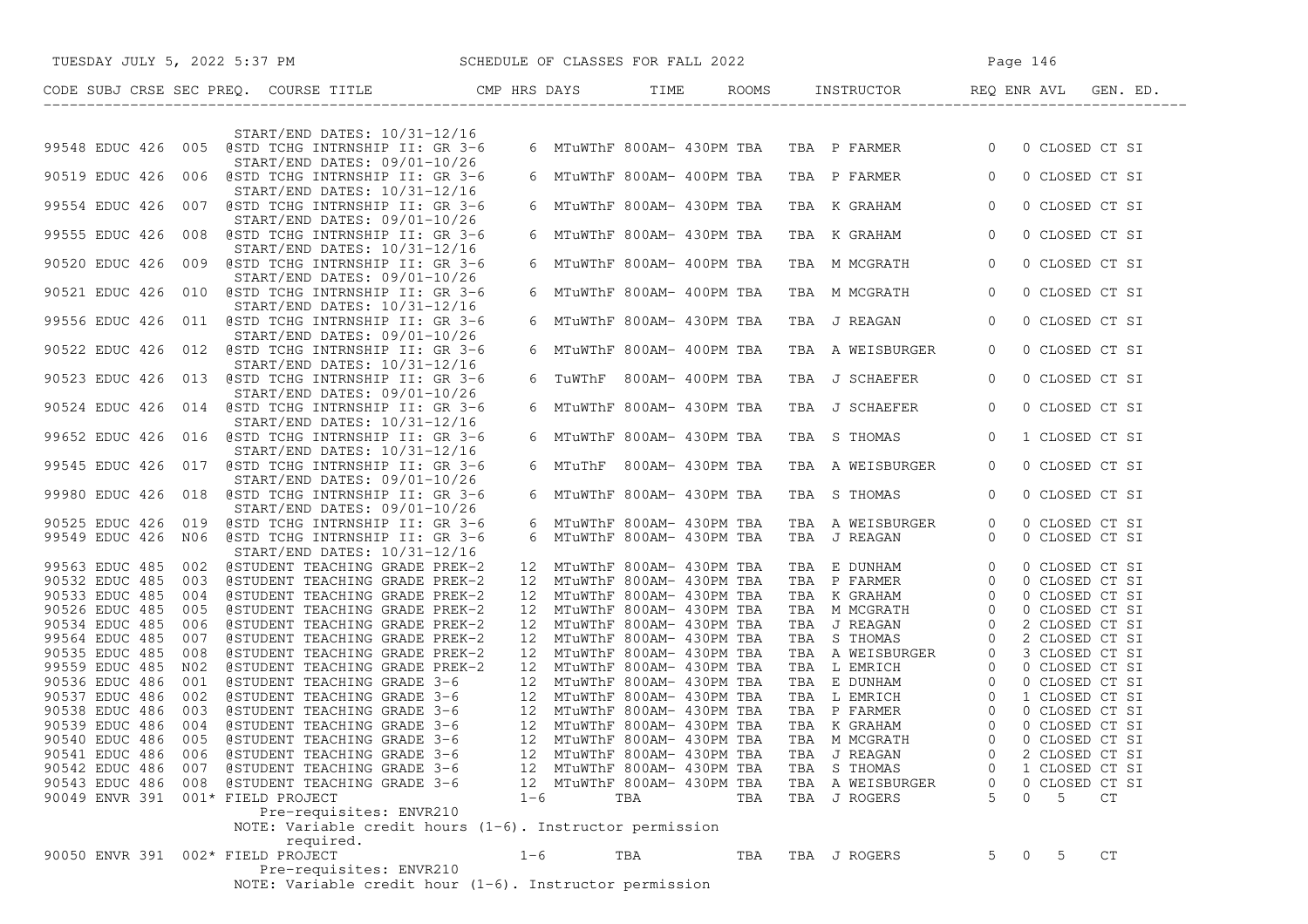|                                   |     | TUESDAY JULY 5, 2022 5:37 PM SCHEDULE OF CLASSES FOR FALL 2022                                                                                                                                                                 |         |                             |     |     |                                                                                                                                                                                                                                                            | Page 146       |          |                |    |          |
|-----------------------------------|-----|--------------------------------------------------------------------------------------------------------------------------------------------------------------------------------------------------------------------------------|---------|-----------------------------|-----|-----|------------------------------------------------------------------------------------------------------------------------------------------------------------------------------------------------------------------------------------------------------------|----------------|----------|----------------|----|----------|
|                                   |     | CODE SUBJ CRSE SEC PREQ. COURSE TITLE THE CMP HRS DAYS TIME ROOMS INSTRUCTOR REQ ENR AVL                                                                                                                                       |         |                             |     |     |                                                                                                                                                                                                                                                            |                |          |                |    | GEN. ED. |
|                                   |     |                                                                                                                                                                                                                                |         |                             |     |     |                                                                                                                                                                                                                                                            |                |          |                |    |          |
|                                   |     | START/END DATES: 10/31-12/16<br>99548 EDUC 426 005 @STD TCHG INTRNSHIP II: GR 3-6                                                                                                                                              |         |                             |     |     | 6 MTuWThF 800AM- 430PM TBA TBA P FARMER 0                                                                                                                                                                                                                  |                |          | 0 CLOSED CT SI |    |          |
|                                   |     | START/END DATES: 09/01-10/26                                                                                                                                                                                                   |         |                             |     |     |                                                                                                                                                                                                                                                            |                |          |                |    |          |
|                                   |     | 90519 EDUC 426 006 @STD TCHG INTRNSHIP II: GR 3-6                                                                                                                                                                              |         | 6 MTuWThF 800AM- 400PM TBA  |     |     | TBA P FARMER                                                                                                                                                                                                                                               | $\overline{0}$ |          | 0 CLOSED CT SI |    |          |
|                                   |     | START/END DATES: 10/31-12/16                                                                                                                                                                                                   |         |                             |     |     |                                                                                                                                                                                                                                                            |                |          |                |    |          |
|                                   |     | 99554 EDUC 426 007 @STD TCHG INTRNSHIP II: GR 3-6<br>START/END DATES: 09/01-10/26                                                                                                                                              |         | 6 MTuWThF 800AM- 430PM TBA  |     |     | TBA K GRAHAM                                                                                                                                                                                                                                               | $\overline{0}$ |          | 0 CLOSED CT SI |    |          |
|                                   |     | 99555 EDUC 426 008 @STD TCHG INTRNSHIP II: GR 3-6                                                                                                                                                                              |         | 6 MTuWThF 800AM- 430PM TBA  |     |     | TBA K GRAHAM                                                                                                                                                                                                                                               | $\overline{0}$ |          | 0 CLOSED CT SI |    |          |
|                                   |     | START/END DATES: 10/31-12/16                                                                                                                                                                                                   |         |                             |     |     |                                                                                                                                                                                                                                                            |                |          |                |    |          |
|                                   |     | 90520 EDUC 426 009 @STD TCHG INTRNSHIP II: GR 3-6                                                                                                                                                                              |         | 6 MTuWThF 800AM- 400PM TBA  |     |     | TBA M MCGRATH                                                                                                                                                                                                                                              | $\overline{0}$ |          | 0 CLOSED CT SI |    |          |
|                                   |     | START/END DATES: 09/01-10/26<br>90521 EDUC 426 010 @STD TCHG INTRNSHIP II: GR 3-6                                                                                                                                              |         | 6 MTuWThF 800AM- 400PM TBA  |     |     | TBA M MCGRATH                                                                                                                                                                                                                                              | $\overline{0}$ |          | 0 CLOSED CT SI |    |          |
|                                   |     | START/END DATES: 10/31-12/16                                                                                                                                                                                                   |         |                             |     |     |                                                                                                                                                                                                                                                            |                |          |                |    |          |
|                                   |     | 99556 EDUC 426 011 @STD TCHG INTRNSHIP II: GR 3-6                                                                                                                                                                              |         |                             |     |     | 6 MTuWThF 800AM- 430PM TBA TBA J REAGAN                                                                                                                                                                                                                    | $\overline{0}$ |          | 0 CLOSED CT SI |    |          |
|                                   |     | START/END DATES: 09/01-10/26<br>90522 EDUC 426 012 @STD TCHG INTRNSHIP II: GR 3-6                                                                                                                                              |         | 6 MTuWThF 800AM- 400PM TBA  |     |     | TBA A WEISBURGER                                                                                                                                                                                                                                           | $\circ$        |          | 0 CLOSED CT SI |    |          |
|                                   |     | START/END DATES: 10/31-12/16                                                                                                                                                                                                   |         |                             |     |     |                                                                                                                                                                                                                                                            |                |          |                |    |          |
|                                   |     | 90523 EDUC 426 013 @STD TCHG INTRNSHIP II: GR 3-6                                                                                                                                                                              |         | 6 TUWThF 800AM- 400PM TBA   |     |     | TBA J SCHAEFER                                                                                                                                                                                                                                             | $\circ$        |          | 0 CLOSED CT SI |    |          |
|                                   |     | START/END DATES: 09/01-10/26                                                                                                                                                                                                   |         |                             |     |     |                                                                                                                                                                                                                                                            |                |          |                |    |          |
|                                   |     | 90524 EDUC 426 014 @STD TCHG INTRNSHIP II: GR 3-6<br>START/END DATES: 10/31-12/16                                                                                                                                              |         | 6 MTuWThF 800AM- 430PM TBA  |     |     | TBA J SCHAEFER                                                                                                                                                                                                                                             | $\overline{0}$ |          | 0 CLOSED CT SI |    |          |
|                                   |     | 99652 EDUC 426 016 @STD TCHG INTRNSHIP II: GR 3-6                                                                                                                                                                              |         | 6 MTuWThF 800AM- 430PM TBA  |     |     | TBA S THOMAS                                                                                                                                                                                                                                               | $\overline{0}$ |          | 1 CLOSED CT SI |    |          |
|                                   |     | START/END DATES: 10/31-12/16                                                                                                                                                                                                   |         |                             |     |     |                                                                                                                                                                                                                                                            |                |          |                |    |          |
|                                   |     | 99545 EDUC 426 017 @STD TCHG INTRNSHIP II: GR 3-6                                                                                                                                                                              |         | 6 MTuThF 800AM- 430PM TBA   |     |     | TBA A WEISBURGER                                                                                                                                                                                                                                           | $\Omega$       |          | 0 CLOSED CT SI |    |          |
|                                   |     | START/END DATES: 09/01-10/26<br>99980 EDUC 426 018 @STD TCHG INTRNSHIP II: GR 3-6                                                                                                                                              |         | 6 MTuWThF 800AM- 430PM TBA  |     |     | TBA S THOMAS                                                                                                                                                                                                                                               | $\overline{0}$ |          | 0 CLOSED CT SI |    |          |
|                                   |     | START/END DATES: 09/01-10/26                                                                                                                                                                                                   |         |                             |     |     |                                                                                                                                                                                                                                                            |                |          |                |    |          |
|                                   |     | 90525 EDUC 426 019 @STD TCHG INTRNSHIP II: GR 3-6                                                                                                                                                                              |         | 6 MTuWThF 800AM- 430PM TBA  |     |     | TBA A WEISBURGER                                                                                                                                                                                                                                           | $\overline{0}$ |          | 0 CLOSED CT SI |    |          |
|                                   |     | 99549 EDUC 426 N06 @STD TCHG INTRNSHIP II: GR 3-6                                                                                                                                                                              |         | 6 MTuWThF 800AM- 430PM TBA  |     |     | TBA J REAGAN                                                                                                                                                                                                                                               | $\circ$        |          | 0 CLOSED CT SI |    |          |
|                                   |     | START/END DATES: 10/31-12/16                                                                                                                                                                                                   |         |                             |     |     |                                                                                                                                                                                                                                                            |                |          |                |    |          |
|                                   |     | 99563 EDUC 485 002 @STUDENT TEACHING GRADE PREK-2                                                                                                                                                                              |         | 12 MTuWThF 800AM- 430PM TBA |     |     | TBA E DUNHAM 0<br>TBA P FARMER 0<br>TBA K GRAHAM 0<br>TBA M MCGRATH 0<br>TBA J REAGAN 0                                                                                                                                                                    |                |          | 0 CLOSED CT SI |    |          |
| 90532 EDUC 485                    |     | 003 @STUDENT TEACHING GRADE PREK-2                                                                                                                                                                                             |         | 12 MTuWThF 800AM- 430PM TBA |     |     |                                                                                                                                                                                                                                                            |                |          | 0 CLOSED CT SI |    |          |
| 90533 EDUC 485                    | 004 | @STUDENT TEACHING GRADE PREK-2                                                                                                                                                                                                 |         | 12 MTuWThF 800AM- 430PM TBA |     |     |                                                                                                                                                                                                                                                            |                |          | 0 CLOSED CT SI |    |          |
| 90526 EDUC 485                    | 005 | @STUDENT TEACHING GRADE PREK-2                                                                                                                                                                                                 |         | 12 MTuWThF 800AM- 430PM TBA |     |     |                                                                                                                                                                                                                                                            |                |          | 0 CLOSED CT SI |    |          |
| 90534 EDUC 485                    | 006 | @STUDENT TEACHING GRADE PREK-2                                                                                                                                                                                                 |         | 12 MTuWThF 800AM- 430PM TBA |     |     |                                                                                                                                                                                                                                                            |                |          | 2 CLOSED CT SI |    |          |
| 99564 EDUC 485                    | 007 | @STUDENT TEACHING GRADE PREK-2                                                                                                                                                                                                 |         | 12 MTuWThF 800AM- 430PM TBA |     |     |                                                                                                                                                                                                                                                            |                |          |                |    |          |
| 90535 EDUC 485                    | 008 | @STUDENT TEACHING GRADE PREK-2                                                                                                                                                                                                 |         | 12 MTuWThF 800AM- 430PM TBA |     |     |                                                                                                                                                                                                                                                            |                |          |                |    |          |
| 99559 EDUC 485                    | N02 | @STUDENT TEACHING GRADE PREK-2                                                                                                                                                                                                 |         | 12 MTuWThF 800AM- 430PM TBA |     |     | TBA S REAGAN<br>TBA R TERENTAL BURGER<br>TBA L EMRICH<br>TBA L EMRICH<br>TBA L EMRICH<br>TBA L EMRICH<br>C O CLOSED CT SI<br>TBA L EMRICH<br>O O CLOSED CT SI<br>TBA P FARMER<br>TBA R GRAHAM<br>C O CLOSED CT SI<br>TBA R GRAHAM<br>C O CLOSED CT SI<br>T |                |          |                |    |          |
| 90536 EDUC 486                    | 001 | @STUDENT TEACHING GRADE 3-6                                                                                                                                                                                                    |         | 12 MTuWThF 800AM- 430PM TBA |     |     |                                                                                                                                                                                                                                                            |                |          |                |    |          |
| 90537 EDUC 486                    | 002 | 9 12 MTuWThF 800AM- 430PM TBA<br>9 STUDENT TEACHING GRADE 3-6<br>9 12 MTuWThF 800AM- 430PM TBA<br>9 STUDENT TEACHING GRADE 3-6<br>9 12 MTuWThF 800AM- 430PM TBA<br>9 STUDENT TEACHING GRADE 3-6<br>12 MTuWThF 800AM- 430PM TBA |         |                             |     |     |                                                                                                                                                                                                                                                            |                |          |                |    |          |
| 90538 EDUC 486                    | 003 |                                                                                                                                                                                                                                |         |                             |     |     |                                                                                                                                                                                                                                                            |                |          |                |    |          |
| 90539 EDUC 486                    | 004 |                                                                                                                                                                                                                                |         |                             |     |     |                                                                                                                                                                                                                                                            |                |          |                |    |          |
| 90540 EDUC 486                    |     | 005 @STUDENT TEACHING GRADE 3-6                                                                                                                                                                                                |         |                             |     |     |                                                                                                                                                                                                                                                            |                |          |                |    |          |
| 90541 EDUC 486 006                |     | @STUDENT TEACHING GRADE 3-6                                                                                                                                                                                                    |         | 12 MTuWThF 800AM- 430PM TBA |     |     | TBA J REAGAN                                                                                                                                                                                                                                               | 0              |          | 2 CLOSED CT SI |    |          |
|                                   |     | 90542 EDUC 486 007 @STUDENT TEACHING GRADE 3-6                                                                                                                                                                                 |         | 12 MTuWThF 800AM- 430PM TBA |     |     | TBA S THOMAS                                                                                                                                                                                                                                               | 0              |          | 1 CLOSED CT SI |    |          |
|                                   |     | 90543 EDUC 486 008 @STUDENT TEACHING GRADE 3-6                                                                                                                                                                                 |         | 12 MTuWThF 800AM- 430PM TBA |     |     | TBA A WEISBURGER                                                                                                                                                                                                                                           | 0              |          | 0 CLOSED CT SI |    |          |
| 90049 ENVR 391 001* FIELD PROJECT |     |                                                                                                                                                                                                                                | $1 - 6$ |                             | TBA | TBA | TBA J ROGERS                                                                                                                                                                                                                                               | 5              | $\Omega$ | 5              | CT |          |
|                                   |     | Pre-requisites: ENVR210                                                                                                                                                                                                        |         |                             |     |     |                                                                                                                                                                                                                                                            |                |          |                |    |          |
|                                   |     | NOTE: Variable credit hours $(1-6)$ . Instructor permission                                                                                                                                                                    |         |                             |     |     |                                                                                                                                                                                                                                                            |                |          |                |    |          |
|                                   |     | required.                                                                                                                                                                                                                      |         |                             |     |     |                                                                                                                                                                                                                                                            |                |          |                |    |          |
| 90050 ENVR 391 002* FIELD PROJECT |     |                                                                                                                                                                                                                                | $1 - 6$ |                             | TBA | TBA | TBA J ROGERS                                                                                                                                                                                                                                               | 5              | $\circ$  | -5             | CT |          |
|                                   |     | Pre-requisites: ENVR210                                                                                                                                                                                                        |         |                             |     |     |                                                                                                                                                                                                                                                            |                |          |                |    |          |
|                                   |     | NOTE: Variable credit hour $(1-6)$ . Instructor permission                                                                                                                                                                     |         |                             |     |     |                                                                                                                                                                                                                                                            |                |          |                |    |          |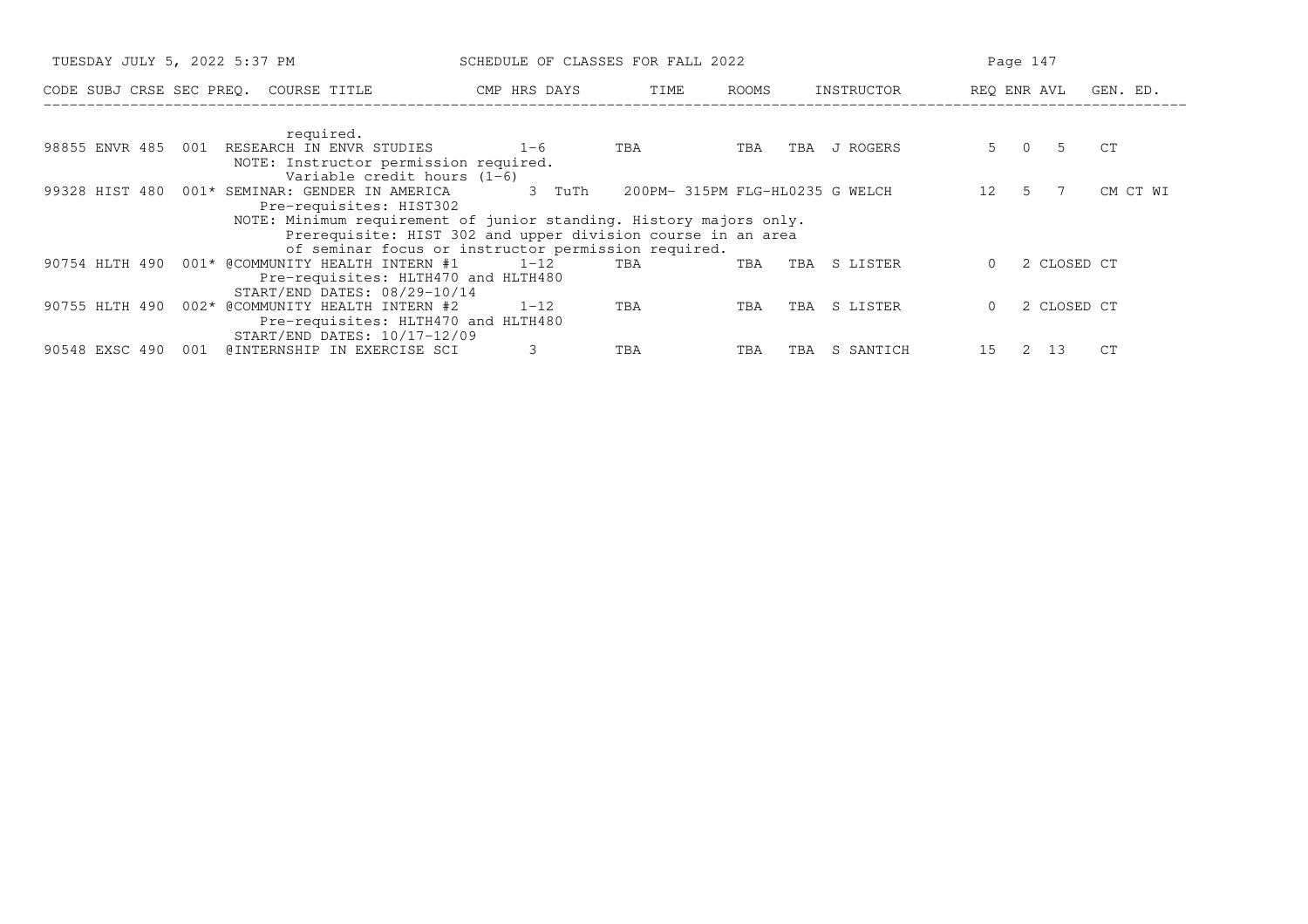|                |     | TUESDAY JULY 5, 2022 5:37 PM                                       |                                                             | SCHEDULE OF CLASSES FOR FALL 2022 |                                 |     |            |          | Page 147    |          |
|----------------|-----|--------------------------------------------------------------------|-------------------------------------------------------------|-----------------------------------|---------------------------------|-----|------------|----------|-------------|----------|
|                |     | CODE SUBJ CRSE SEC PREQ. COURSE TITLE                              | CMP HRS DAYS                                                |                                   | TIME<br>ROOMS                   |     | INSTRUCTOR |          | REQ ENR AVL | GEN. ED. |
|                |     |                                                                    |                                                             |                                   |                                 |     |            |          |             |          |
|                | 001 | required.<br>RESEARCH IN ENVR STUDIES                              | $1 - 6$                                                     |                                   | TBA                             | TBA | J ROGERS   |          | 5 0 5       | CT       |
| 98855 ENVR 485 |     | NOTE: Instructor permission required.                              |                                                             | TBA                               |                                 |     |            |          |             |          |
|                |     | Variable credit hours $(1-6)$                                      |                                                             |                                   |                                 |     |            |          |             |          |
| 99328 HIST 480 |     | 001* SEMINAR: GENDER IN AMERICA                                    |                                                             | 3 TuTh                            | 200PM- 315PM FLG-HL0235 G WELCH |     |            | 12       | .5          | CM CT WI |
|                |     | Pre-requisites: HIST302                                            |                                                             |                                   |                                 |     |            |          |             |          |
|                |     | NOTE: Minimum requirement of junior standing. History majors only. |                                                             |                                   |                                 |     |            |          |             |          |
|                |     |                                                                    | Prerequisite: HIST 302 and upper division course in an area |                                   |                                 |     |            |          |             |          |
|                |     |                                                                    | of seminar focus or instructor permission required.         |                                   |                                 |     |            |          |             |          |
| 90754 HLTH 490 |     | 001* @COMMUNITY HEALTH INTERN #1                                   | $1 - 12$                                                    | TBA                               | TBA                             | TBA | S LISTER   | 0        | 2 CLOSED CT |          |
|                |     | Pre-requisites: HLTH470 and HLTH480                                |                                                             |                                   |                                 |     |            |          |             |          |
|                |     | START/END DATES: 08/29-10/14                                       |                                                             |                                   |                                 |     |            |          |             |          |
| 90755 HLTH 490 |     | 002* @COMMUNITY HEALTH INTERN #2                                   | $1 - 12$                                                    | TBA                               | TBA                             | TBA | S LISTER   | $\Omega$ | 2 CLOSED CT |          |
|                |     | Pre-requisites: HLTH470 and HLTH480                                |                                                             |                                   |                                 |     |            |          |             |          |
|                |     | START/END DATES: 10/17-12/09                                       |                                                             |                                   |                                 |     |            |          |             |          |
| 90548 EXSC 490 | 001 | @INTERNSHIP IN EXERCISE SCI                                        |                                                             | TBA                               | TBA                             | TBA | S SANTICH  | 15       | 13<br>2     | CT       |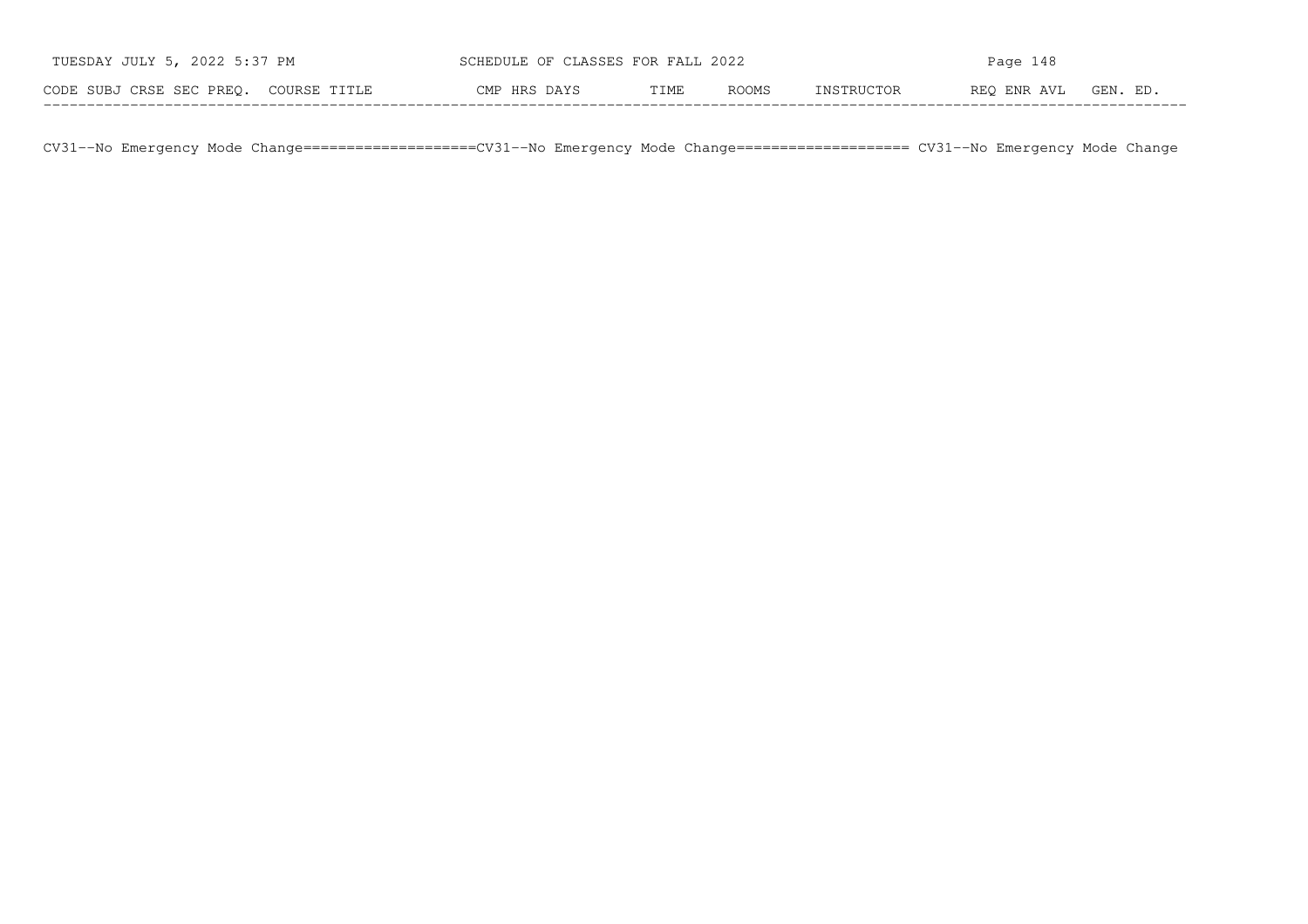| TUESDAY JULY 5, 2022 5:37 PM          | SCHEDULE OF CLASSES FOR FALL 2022 |      |              | Page 148   |             |          |  |  |
|---------------------------------------|-----------------------------------|------|--------------|------------|-------------|----------|--|--|
| CODE SUBJ CRSE SEC PREO. COURSE TITLE | CMP HRS DAYS                      | TIME | <b>ROOMS</b> | INSTRUCTOR | REO ENR AVL | GEN. ED. |  |  |

CV31−−No Emergency Mode Change====================CV31−−No Emergency Mode Change==================== CV31−−No Emergency Mode Change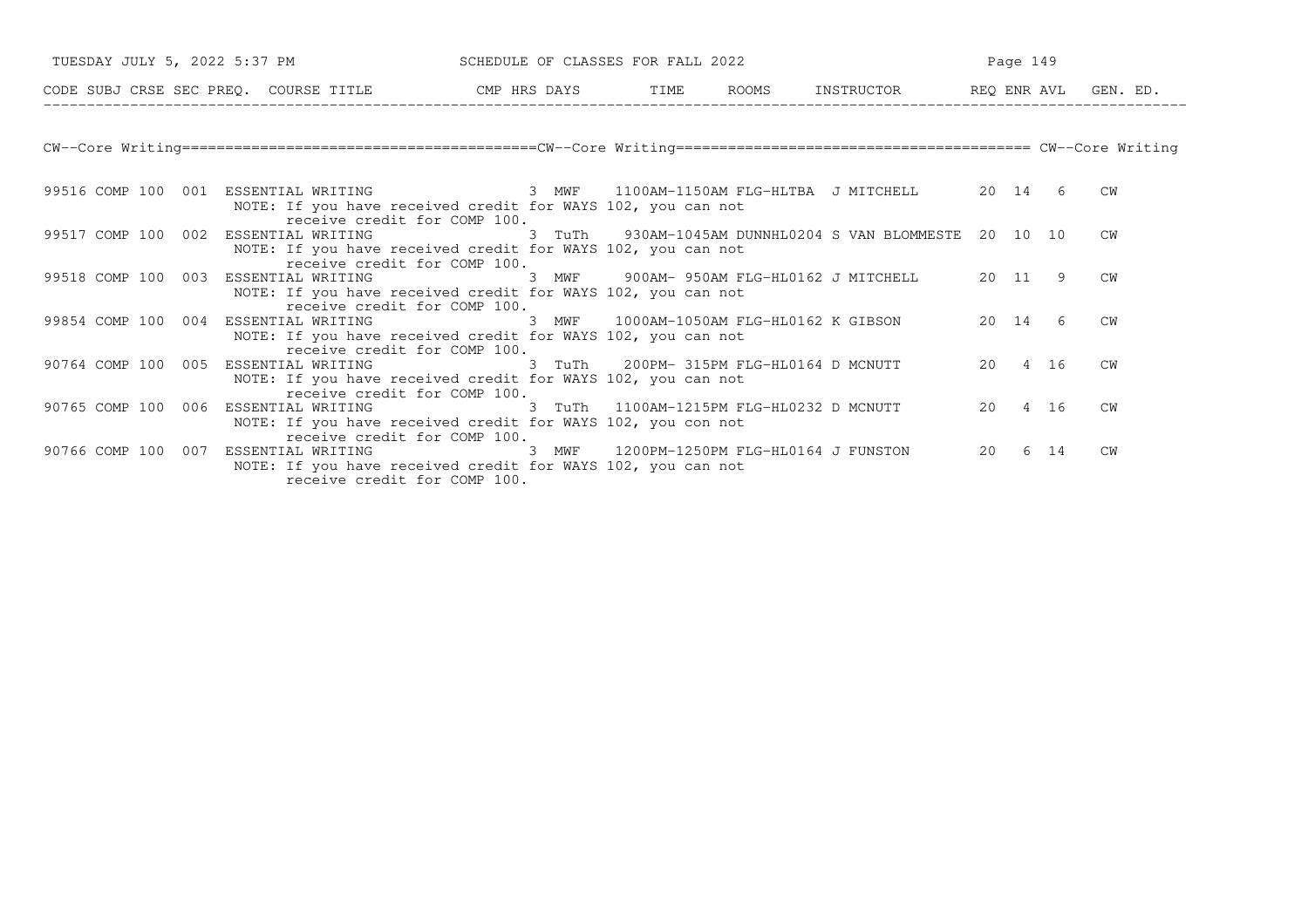| TUESDAY JULY 5, 2022 5:37 PM         |                                                                                                                                                                                          | SCHEDULE OF CLASSES FOR FALL 2022 | Page 149 |                                                         |    |           |      |           |
|--------------------------------------|------------------------------------------------------------------------------------------------------------------------------------------------------------------------------------------|-----------------------------------|----------|---------------------------------------------------------|----|-----------|------|-----------|
|                                      | CODE SUBJ CRSE SEC PREQ. COURSE TITLE CMP HRS DAYS TIME ROOMS INSTRUCTOR BEQ ENR AVL GEN. ED.                                                                                            |                                   |          |                                                         |    |           |      |           |
|                                      |                                                                                                                                                                                          |                                   |          |                                                         |    |           |      |           |
|                                      | 99516 COMP 100 001 ESSENTIAL WRITING 6 8 MWF 1100AM-1150AM FLG-HLTBA J MITCHELL 6 20 14 6<br>NOTE: If you have received credit for WAYS 102, you can not<br>receive credit for COMP 100. |                                   |          |                                                         |    |           |      | CW        |
|                                      | 99517 COMP 100 002 ESSENTIAL WRITING<br>NOTE: If you have received credit for WAYS 102, you can not<br>receive credit for COMP 100.                                                      |                                   |          | 3 TuTh 930AM-1045AM DUNNHL0204 S VAN BLOMMESTE 20 10 10 |    |           |      | CW        |
| 99518 COMP 100 003 ESSENTIAL WRITING | NOTE: If you have received credit for WAYS 102, you can not<br>receive credit for COMP 100.                                                                                              |                                   |          | 3 MWF 900AM-950AM FLG-HL0162 J MITCHELL 20 11 9         |    |           |      | CW        |
|                                      | 99854 COMP 100 004 ESSENTIAL WRITING<br>NOTE: If you have received credit for WAYS 102, you can not<br>receive credit for COMP 100.                                                      |                                   |          | 3 MWF 1000AM-1050AM FLG-HL0162 K GIBSON                 |    | 20 14     | 6    | CW        |
|                                      | 90764 COMP 100 005 ESSENTIAL WRITING<br>NOTE: If you have received credit for WAYS 102, you can not<br>receive credit for COMP 100.                                                      |                                   |          | 3 TuTh 200PM-315PM FLG-HL0164 D MCNUTT                  |    | 20  4  16 |      | CW        |
|                                      | 90765 COMP 100 006 ESSENTIAL WRITING 3 TuTh 1100AM-1215PM FLG-HL0232 D MCNUTT<br>NOTE: If you have received credit for WAYS 102, you con not<br>receive credit for COMP 100.             |                                   |          |                                                         |    | 20 4 16   |      | CW        |
|                                      | 90766 COMP 100 007 ESSENTIAL WRITING<br>NOTE: If you have received credit for WAYS 102, you can not<br>receive credit for COMP 100.                                                      |                                   |          | 3 MWF 1200PM-1250PM FLG-HL0164 J FUNSTON                | 20 |           | 6 14 | <b>CW</b> |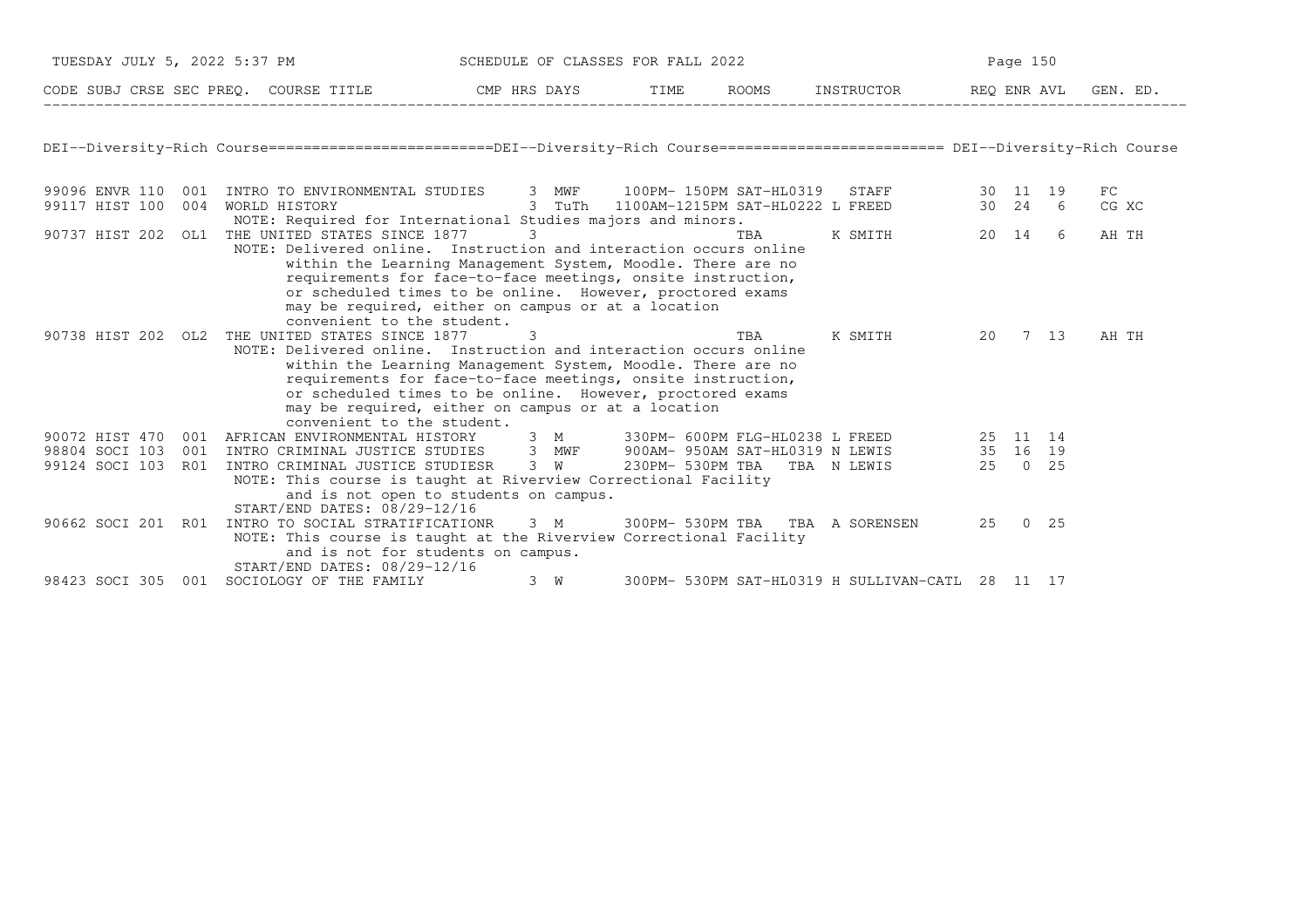|                    | TUESDAY JULY 5, 2022 5:37 PM SCHEDULE OF CLASSES FOR FALL 2022                                                                                                                                                                                                                               |   |     |     |     |                                                  | Page 150 |             |  |
|--------------------|----------------------------------------------------------------------------------------------------------------------------------------------------------------------------------------------------------------------------------------------------------------------------------------------|---|-----|-----|-----|--------------------------------------------------|----------|-------------|--|
|                    | CODE SUBJ CRSE SEC PREQ. COURSE TITLE CMP HRS DAYS TIME ROOMS INSTRUCTOR REQ ENR AVL GEN. ED.                                                                                                                                                                                                |   |     |     |     |                                                  |          |             |  |
|                    | DEI--Diversity-Rich Course========================DEI--Diversity-Rich Course======================== DEI--Diversity-Rich Course                                                                                                                                                              |   |     |     |     |                                                  |          |             |  |
|                    |                                                                                                                                                                                                                                                                                              |   |     |     |     |                                                  |          | FC<br>CG XC |  |
| 90737 HIST 202 OL1 | NOTE: Required for International Studies majors and minors.<br>THE UNITED STATES SINCE 1877 3<br>NOTE: Delivered online. Instruction and interaction occurs online                                                                                                                           |   |     | TBA |     | K SMITH                                          | 20 14 6  | AH TH       |  |
|                    | within the Learning Management System, Moodle. There are no<br>requirements for face-to-face meetings, onsite instruction,<br>or scheduled times to be online. However, proctored exams<br>may be required, either on campus or at a location<br>convenient to the student.                  |   |     |     |     |                                                  |          |             |  |
| 90738 HIST 202 OL2 | THE UNITED STATES SINCE 1877<br>NOTE: Delivered online. Instruction and interaction occurs online<br>within the Learning Management System, Moodle. There are no<br>requirements for face-to-face meetings, onsite instruction,<br>or scheduled times to be online. However, proctored exams | 3 |     |     | TBA | K SMITH 20 7 13                                  |          | AH TH       |  |
|                    | may be required, either on campus or at a location<br>convenient to the student.                                                                                                                                                                                                             |   |     |     |     |                                                  |          |             |  |
|                    | 90072 HIST 470 001 AFRICAN ENVIRONMENTAL HISTORY 3 M 330PM- 600PM FLG-HL0238 L FREED 25 11 14                                                                                                                                                                                                |   |     |     |     |                                                  |          |             |  |
|                    | 98804 SOCI 103 001 INTRO CRIMINAL JUSTICE STUDIES 3 MWF 900AM-950AM SAT-HL0319 N LEWIS 35 16 19<br>99124 SOCI 103 R01 INTRO CRIMINAL JUSTICE STUDIESR 3 MWF 900AM-950AM SAT-HL0319 N LEWIS 35 16 19                                                                                          |   |     |     |     |                                                  |          |             |  |
|                    | NOTE: This course is taught at Riverview Correctional Facility<br>and is not open to students on campus.<br>START/END DATES: 08/29-12/16                                                                                                                                                     |   |     |     |     |                                                  |          |             |  |
|                    | 90662 SOCI 201 R01 INTRO TO SOCIAL STRATIFICATIONR 3 M 300PM-530PM TBA TBA A SORENSEN<br>NOTE: This course is taught at the Riverview Correctional Facility<br>and is not for students on campus.                                                                                            |   |     |     |     |                                                  | 25 0 25  |             |  |
|                    | START/END DATES: 08/29-12/16<br>98423 SOCI 305 001 SOCIOLOGY OF THE FAMILY                                                                                                                                                                                                                   |   | 3 W |     |     | 300PM- 530PM SAT-HL0319 H SULLIVAN-CATL 28 11 17 |          |             |  |
|                    |                                                                                                                                                                                                                                                                                              |   |     |     |     |                                                  |          |             |  |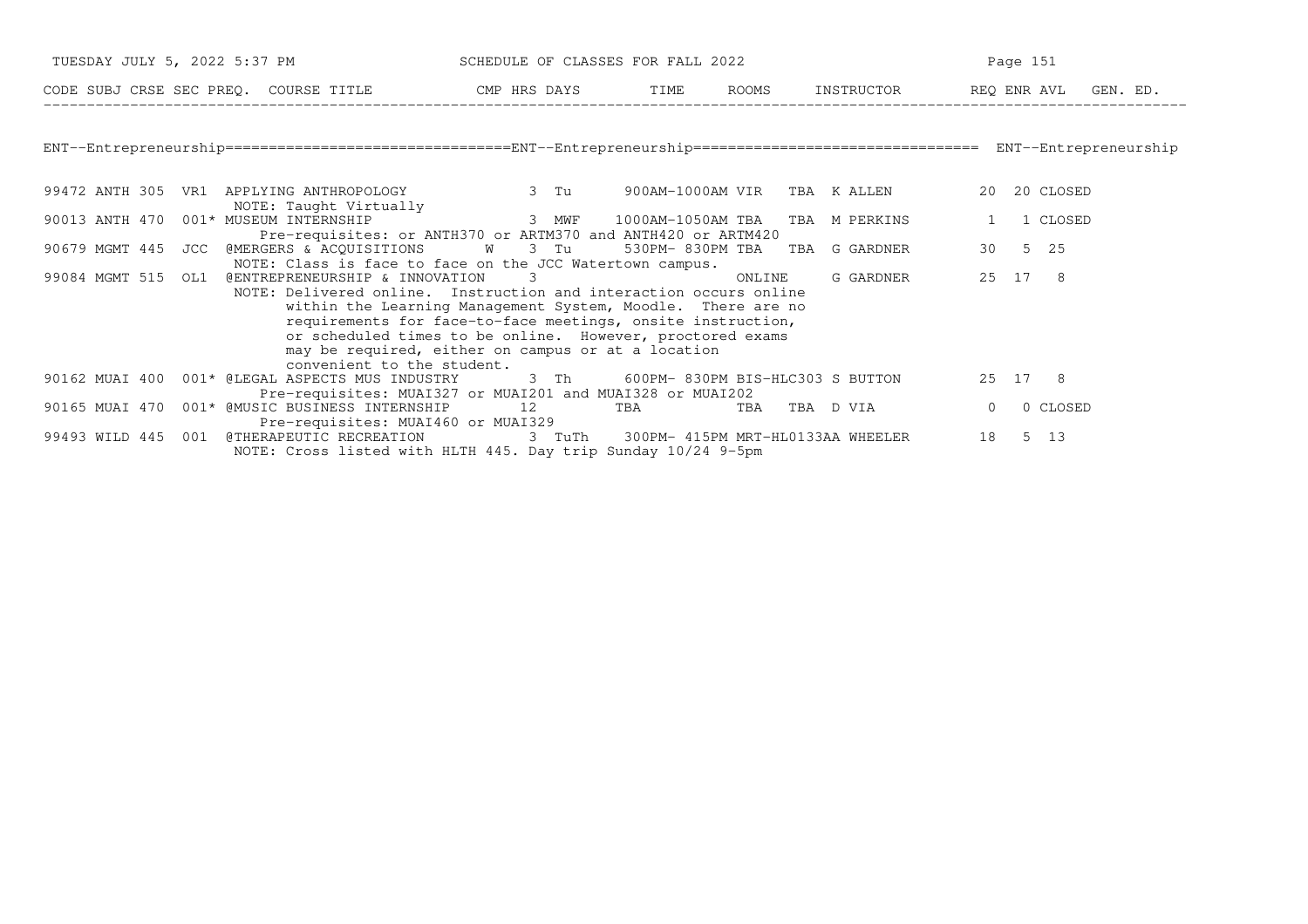| TUESDAY JULY 5, 2022 5:37 PM SCHEDULE OF CLASSES FOR FALL 2022                                                |                                                                                                                                                                                                                                                                                                                    | Page 151 |                      |  |  |  |
|---------------------------------------------------------------------------------------------------------------|--------------------------------------------------------------------------------------------------------------------------------------------------------------------------------------------------------------------------------------------------------------------------------------------------------------------|----------|----------------------|--|--|--|
| CODE SUBJ CRSE SEC PREQ. COURSE TITLE THE RIGHT SOME TIME ROOMS INSTRUCTOR THE REQ ENR AVL GEN. ED.           |                                                                                                                                                                                                                                                                                                                    |          |                      |  |  |  |
|                                                                                                               |                                                                                                                                                                                                                                                                                                                    |          |                      |  |  |  |
|                                                                                                               |                                                                                                                                                                                                                                                                                                                    |          |                      |  |  |  |
| 99472 ANTH 305 VR1 APPLYING ANTHROPOLOGY 3 Tu 900AM-1000AM VIR TBA KALLEN<br>NOTE: Taught Virtually           |                                                                                                                                                                                                                                                                                                                    |          | 20 20 CLOSED         |  |  |  |
| 90013 ANTH 470 001* MUSEUM INTERNSHIP                                                                         | ruaily<br>3 MWF 1000AM-1050AM TBA TBA M PERKINS<br>Pre-requisites: or ANTH370 or ARTM370 and ANTH420 or ARTM420                                                                                                                                                                                                    |          | 1 CLOSED             |  |  |  |
| 90679 MGMT 445 JCC @MERGERS & ACQUISITIONS W 3 Tu 530PM-830PM TBA TBA G GARDNER 30 5 25                       | NOTE: Class is face to face on the JCC Watertown campus.                                                                                                                                                                                                                                                           |          |                      |  |  |  |
| 99084 MGMT 515 OL1 @ENTREPRENEURSHIP & INNOVATION 3<br>convenient to the student.                             | NOTE: Delivered online. Instruction and interaction occurs online<br>within the Learning Management System, Moodle. There are no<br>requirements for face-to-face meetings, onsite instruction,<br>or scheduled times to be online. However, proctored exams<br>may be required, either on campus or at a location |          | G GARDNER 25 17 8    |  |  |  |
| 90162 MUAI 400 001* @LEGAL ASPECTS MUS INDUSTRY 3 Th 600PM-830PM BIS-HLC303 S BUTTON 25 17 8                  | Pre-requisites: MUAI327 or MUAI201 and MUAI328 or MUAI202                                                                                                                                                                                                                                                          |          |                      |  |  |  |
| 90165 MUAI 470 001* @MUSIC BUSINESS INTERNSHIP 12 TBA TBA TBA TBA D VIA<br>Pre-requisites: MUAI460 or MUAI329 |                                                                                                                                                                                                                                                                                                                    |          | $\Omega$<br>0 CLOSED |  |  |  |
| 99493 WILD 445 001 @THERAPEUTIC RECREATION 3 TuTh 300PM-415PM MRT-HL0133AA WHEELER                            | NOTE: Cross listed with HLTH 445. Day trip Sunday 10/24 9-5pm                                                                                                                                                                                                                                                      |          | 5 13<br>18           |  |  |  |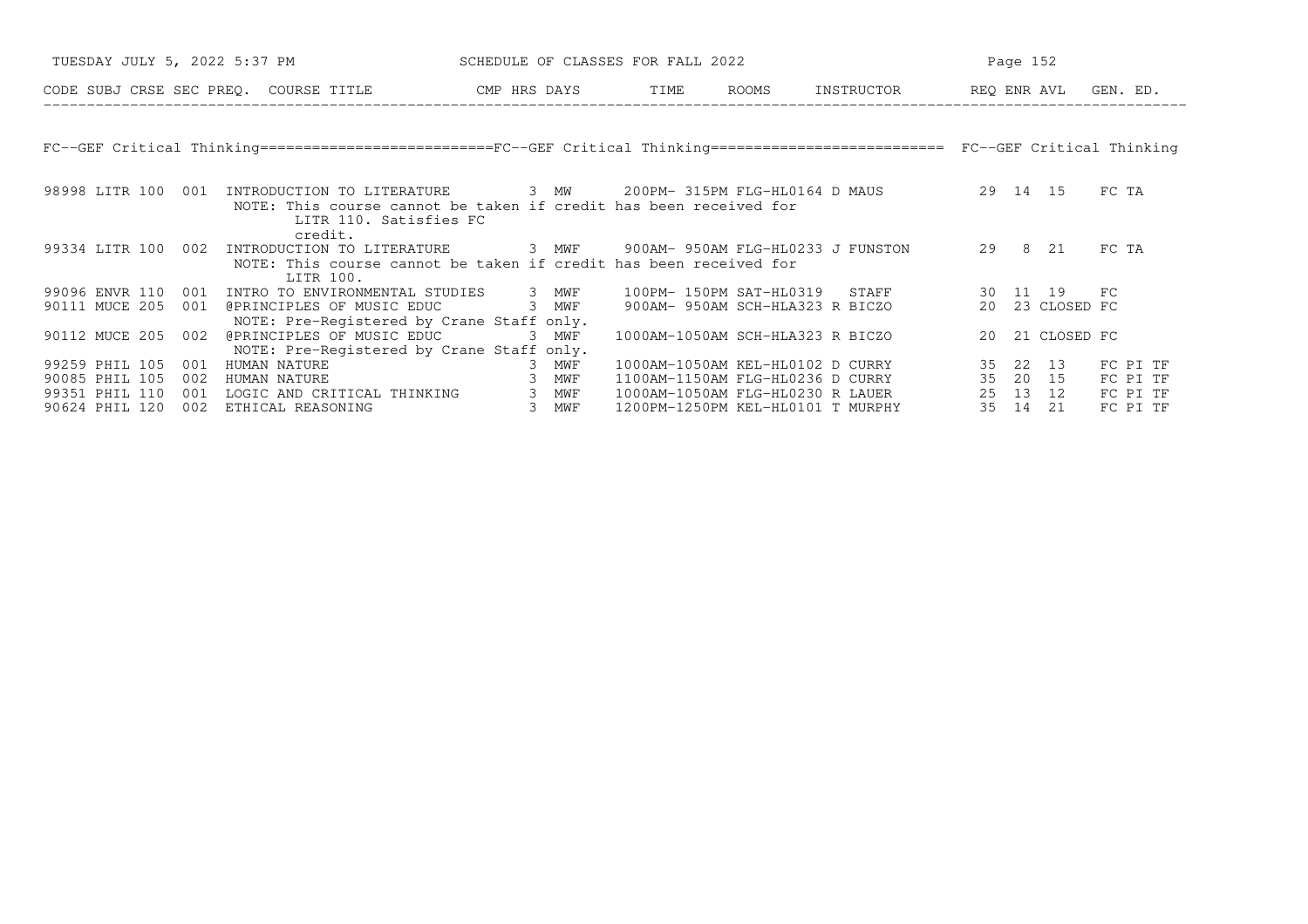| TUESDAY JULY 5, 2022 5:37 PM                                            |                                                                                                                                                                                           | SCHEDULE OF CLASSES FOR FALL 2022 |                                                                      |                                                       | Page 152                       |                                  |
|-------------------------------------------------------------------------|-------------------------------------------------------------------------------------------------------------------------------------------------------------------------------------------|-----------------------------------|----------------------------------------------------------------------|-------------------------------------------------------|--------------------------------|----------------------------------|
|                                                                         | CODE SUBJ CRSE SEC PREO. COURSE TITLE THE CMP HRS DAYS TIME                                                                                                                               |                                   | ROOMS                                                                | INSTRUCTOR REO ENR AVL GEN. ED.                       |                                |                                  |
|                                                                         |                                                                                                                                                                                           |                                   |                                                                      |                                                       |                                |                                  |
|                                                                         | FC--GEF Critical Thinking=========================FC--GEF Critical Thinking============================ FC--GEF Critical Thinking                                                         |                                   |                                                                      |                                                       |                                |                                  |
| 98998 LITR 100<br>001                                                   | INTRODUCTION TO LITERATURE 3 MW 200PM-315PM FLG-HL0164 D MAUS 39 14 15<br>NOTE: This course cannot be taken if credit has been received for<br>LITR 110. Satisfies FC                     |                                   |                                                                      |                                                       |                                | FC TA                            |
|                                                                         | credit.<br>99334 LITR 100 002 INTRODUCTION TO LITERATURE 3 MWF 900AM-950AM FLG-HL0233 J FUNSTON 29 8 21<br>NOTE: This course cannot be taken if credit has been received for<br>LITR 100. |                                   |                                                                      |                                                       |                                | FC TA                            |
| 90111 MUCE 205<br>001                                                   | 99096 ENVR 110 001 INTRO TO ENVIRONMENTAL STUDIES 3 MWF<br>@PRINCIPLES OF MUSIC EDUC<br>NOTE: Pre-Registered by Crane Staff only.                                                         | 3 MWF                             | 100PM- 150PM SAT-HL0319<br>900AM- 950AM SCH-HLA323 R BICZO           | STAFF                                                 | 30 11 19 FC<br>20 23 CLOSED FC |                                  |
| 90112 MUCE 205 002                                                      | @PRINCIPLES OF MUSIC EDUC<br>NOTE: Pre-Registered by Crane Staff only.                                                                                                                    | 3 MWF                             | 1000AM-1050AM SCH-HLA323 R BICZO                                     |                                                       | 20 21 CLOSED FC                |                                  |
| 99259 PHIL 105<br>001<br>90085 PHIL 105<br>002<br>99351 PHIL 110<br>001 | HUMAN NATURE<br>HUMAN NATURE<br>LOGIC AND CRITICAL THINKING 3 MWF                                                                                                                         | 3 MWF<br>3 MWF                    | 1000AM-1050AM KEL-HL0102 D CURRY<br>1000AM-1050AM FLG-HL0230 R LAUER | 1100AM-1150AM FLG-HL0236 D CURRY 35 20 15<br>25 13 12 | 35 22 13                       | FC PI TF<br>FC PI TF<br>FC PI TF |
| 90624 PHIL 120<br>002                                                   | ETHICAL REASONING                                                                                                                                                                         | 3 MWF                             | 1200PM-1250PM KEL-HL0101 T MURPHY                                    |                                                       | 35 14<br>21                    | FC PI TF                         |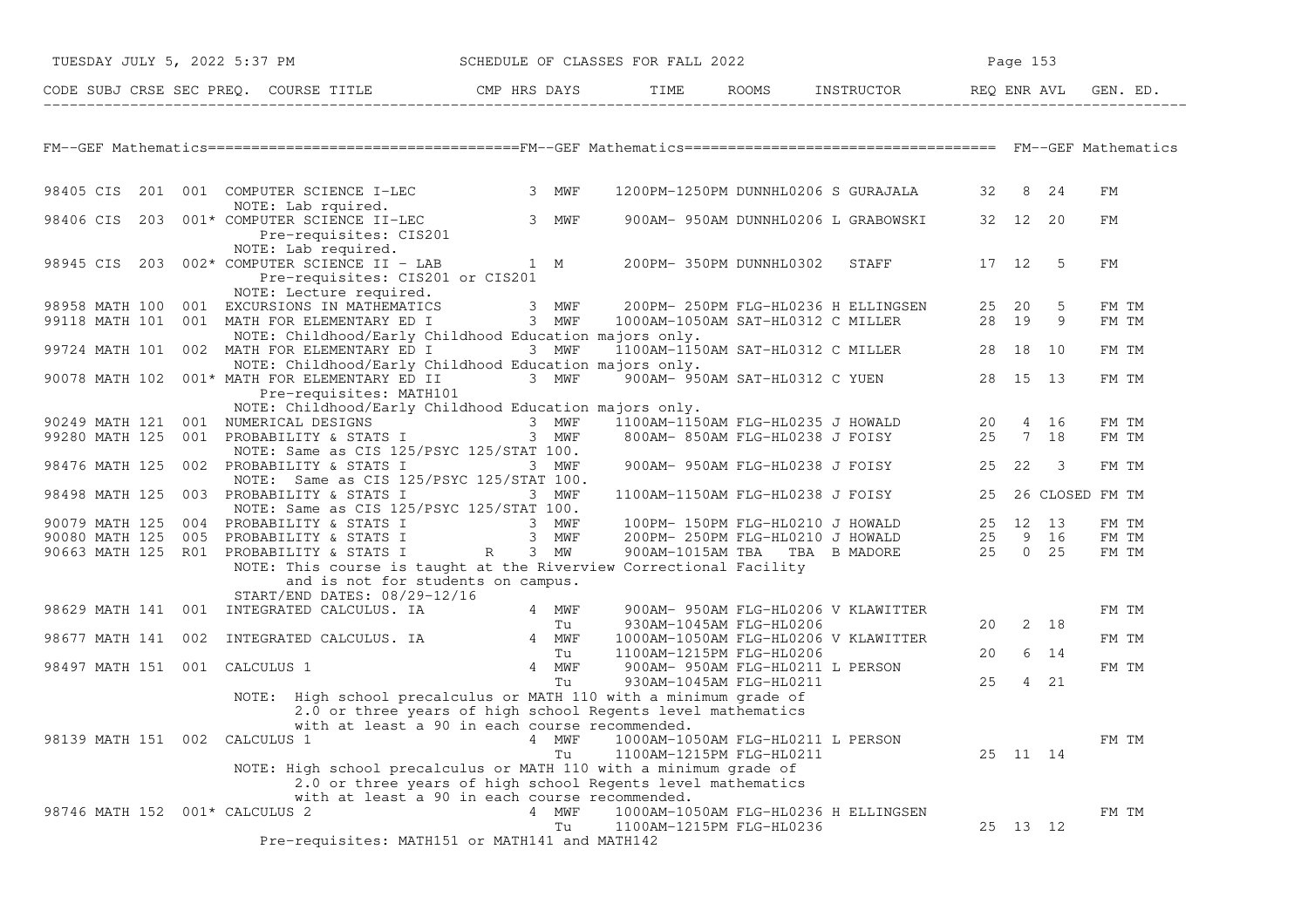| TUESDAY JULY 5, 2022 5:37 PM             |                                                                                                             |             | SCHEDULE OF CLASSES FOR FALL 2022                                                    |                                                                                  |       | Page 153           |       |  |
|------------------------------------------|-------------------------------------------------------------------------------------------------------------|-------------|--------------------------------------------------------------------------------------|----------------------------------------------------------------------------------|-------|--------------------|-------|--|
|                                          |                                                                                                             |             |                                                                                      |                                                                                  |       |                    |       |  |
|                                          |                                                                                                             |             |                                                                                      |                                                                                  |       |                    |       |  |
|                                          |                                                                                                             |             |                                                                                      |                                                                                  |       |                    |       |  |
|                                          |                                                                                                             |             |                                                                                      |                                                                                  |       |                    |       |  |
| 98405 CIS                                | 201 001 COMPUTER SCIENCE I-LEC<br>NOTE: Lab rquired.                                                        | 3 MWF       |                                                                                      | 1200PM-1250PM DUNNHL0206 S GURAJALA                                              | 32    | 8 24               | FМ    |  |
| 98406 CIS<br>203                         | 001* COMPUTER SCIENCE II-LEC<br>Pre-requisites: CIS201<br>NOTE: Lab required.                               | 3 MWF       |                                                                                      | 900AM- 950AM DUNNHL0206 L GRABOWSKI                                              |       | 32 12 20           | FМ    |  |
|                                          | 98945 CIS 203 002* COMPUTER SCIENCE II - LAB<br>Pre-requisites: CIS201 or CIS201                            | 1 M         | 200PM- 350PM DUNNHL0302                                                              | STAFF                                                                            | 17 12 | -5                 | FM    |  |
| 98958 MATH 100                           | NOTE: Lecture required.<br>001 EXCURSIONS IN MATHEMATICS                                                    | 3 MWF       | 200PM- 250PM FLG-HL0236 H ELLINGSEN                                                  |                                                                                  | 25 20 | 5                  | FM TM |  |
|                                          | 98958 MATH 100 001 EXCURSIONS IN MATHEMATICS 3 MWF<br>99118 MATH 101 001 MATH FOR ELEMENTARY ED I 3 MWF     |             | H ELLINGSEN ו סנגטעת פעם ב- -----<br>1000AM-1050AM SAT-HL0312 C MILLER<br>190rs only |                                                                                  | 28 19 | 9                  | FM TM |  |
|                                          | NOTE: Childhood/Early Childhood Education majors only.<br>99724 MATH 101 002 MATH FOR ELEMENTARY ED I 3 MWF |             |                                                                                      | 1100AM-1150AM SAT-HL0312 C MILLER 28 18                                          |       | 10                 | FM TM |  |
|                                          | NOTE: Childhood/Early Childhood Education majors only.                                                      |             |                                                                                      |                                                                                  |       |                    |       |  |
|                                          | 90078 MATH 102 001* MATH FOR ELEMENTARY ED II 3 MWF<br>Pre-requisites: MATH101                              |             |                                                                                      | 900AM- 950AM SAT-HL0312 C YUEN 28 15 13                                          |       |                    | FM TM |  |
|                                          | NOTE: Childhood/Early Childhood Education majors only.                                                      |             |                                                                                      |                                                                                  |       |                    |       |  |
| 90249 MATH 121<br>001                    | NUMERICAL DESIGNS                                                                                           | 3 MWF       | 1100AM-1150AM FLG-HL0235 J HOWALD 20 4 16<br>800AM- 850AM FLG-HL0238 J FOISY 25 7 18 |                                                                                  |       |                    | FM TM |  |
| 99280 MATH 125                           | 001 PROBABILITY & STATS I<br>NOTE: Same as CIS 125/PSYC 125/STAT 100.                                       | 3 MWF       |                                                                                      |                                                                                  |       |                    | FM TM |  |
| 98476 MATH 125                           | 002 PROBABILITY & STATS I                                                                                   | 3 MWF       |                                                                                      | 900AM- 950AM FLG-HL0238 J FOISY                                                  | 25 22 | -3                 | FM TM |  |
|                                          | NOTE: Same as CIS 125/PSYC 125/STAT 100.                                                                    |             |                                                                                      |                                                                                  |       |                    |       |  |
| 98498 MATH 125                           | 003 PROBABILITY & STATS I<br>NOTE: Same as CIS 125/PSYC 125/STAT 100.                                       | 3 MWF       | 1100AM-1150AM FLG-HL0238 J FOISY                                                     |                                                                                  |       | 25 26 CLOSED FM TM |       |  |
| 90079 MATH 125<br>004                    | PROBABILITY & STATS I 3 MWF<br>PROBABILITY & STATS I 3 MWF                                                  |             | 100PM- 150PM FLG-HL0210 J HOWALD 25 12 13                                            |                                                                                  |       |                    | FM TM |  |
| 90080 MATH 125<br>005                    |                                                                                                             |             |                                                                                      | 200PM-250PM FLG-HL0210 J HOWALD 25 9 16<br>900AM-1015AM TBA TBA B MADORE 25 0 25 |       |                    | FM TM |  |
| 90663 MATH 125 R01 PROBABILITY & STATS I |                                                                                                             | R 3 MW      | 900AM-1015AM TBA   TBA  B MADORE                                                     |                                                                                  |       |                    | FM TM |  |
|                                          | NOTE: This course is taught at the Riverview Correctional Facility                                          |             |                                                                                      |                                                                                  |       |                    |       |  |
|                                          | and is not for students on campus.<br>START/END DATES: 08/29-12/16                                          |             |                                                                                      |                                                                                  |       |                    |       |  |
|                                          | 98629 MATH 141 001 INTEGRATED CALCULUS. IA                                                                  |             | 900AM- 950AM FLG-HL0206 V KLAWITTER                                                  |                                                                                  |       |                    | FM TM |  |
|                                          | Tu<br>INTEGRATED CALCULUS. IA 4 MWF                                                                         | 4 MWF<br>Tu | 930AM-1045AM FLG-HL0206                                                              |                                                                                  | 20    | 2 18               |       |  |
| 98677 MATH 141 002                       |                                                                                                             |             | 1000AM-1050AM FLG-HL0206 V KLAWITTER                                                 |                                                                                  |       |                    | FM TM |  |
|                                          |                                                                                                             | Tu          | 1100AM-1215PM FLG-HL0206                                                             |                                                                                  | 20    | 6<br>14            |       |  |
| 98497 MATH 151 001 CALCULUS 1            |                                                                                                             | 4 MWF       | 900AM- 950AM FLG-HL0211 L PERSON                                                     |                                                                                  |       |                    | FM TM |  |
|                                          | NOTE: High school precalculus or MATH 110 with a minimum grade of                                           | Tu          | 930AM-1045AM FLG-HL0211                                                              |                                                                                  | 25    | 4 21               |       |  |
|                                          | 2.0 or three years of high school Regents level mathematics                                                 |             |                                                                                      |                                                                                  |       |                    |       |  |
|                                          | with at least a 90 in each course recommended.                                                              |             |                                                                                      |                                                                                  |       |                    |       |  |
| 98139 MATH 151 002                       | CALCULUS <sub>1</sub>                                                                                       | 4 MWF<br>Tu | 1000AM-1050AM FLG-HL0211 L PERSON<br>1100AM-1215PM FLG-HL0211                        |                                                                                  |       | 25 11 14           | FM TM |  |
|                                          | NOTE: High school precalculus or MATH 110 with a minimum grade of                                           |             |                                                                                      |                                                                                  |       |                    |       |  |
|                                          | 2.0 or three years of high school Regents level mathematics                                                 |             |                                                                                      |                                                                                  |       |                    |       |  |
|                                          | with at least a 90 in each course recommended.                                                              |             |                                                                                      |                                                                                  |       |                    |       |  |
| 98746 MATH 152 001* CALCULUS 2           |                                                                                                             | 4 MWF       | 1000AM-1050AM FLG-HL0236 H ELLINGSEN                                                 |                                                                                  |       |                    | FM TM |  |
|                                          | Pre-requisites: MATH151 or MATH141 and MATH142                                                              | Tu          | 1100AM-1215PM FLG-HL0236                                                             |                                                                                  |       | 25 13 12           |       |  |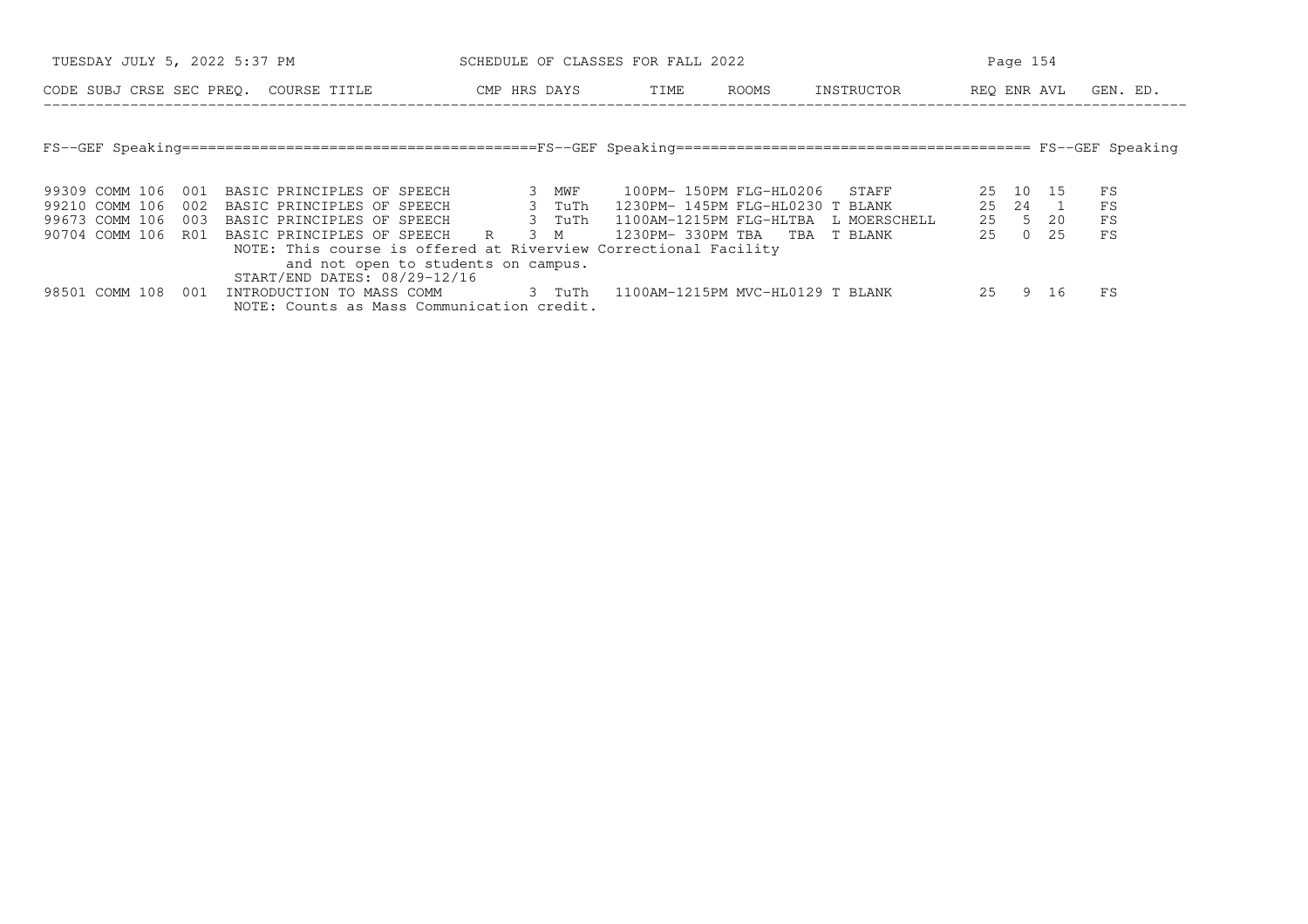| TUESDAY JULY 5, 2022 5:37 PM                              | SCHEDULE OF CLASSES FOR FALL 2022                               |                                      | Page 154                |
|-----------------------------------------------------------|-----------------------------------------------------------------|--------------------------------------|-------------------------|
| CODE SUBJ CRSE SEC PREO. COURSE TITLE                     | ROOMS<br>CMP HRS DAYS<br>TIME                                   | INSTRUCTOR                           | REO ENR AVL<br>GEN. ED. |
|                                                           |                                                                 |                                      |                         |
|                                                           |                                                                 |                                      |                         |
| BASIC PRINCIPLES OF SPEECH<br>99309 COMM 106<br>001       | 3 MWF<br>100PM- 150PM FLG-HL0206                                | STAFF                                | FS<br>25 10 15          |
| 99210 COMM 106<br>002<br>BASIC PRINCIPLES OF SPEECH       | 3 TuTh<br>1230PM- 145PM FLG-HL0230 T BLANK                      |                                      | 25  24  1<br>FS         |
| 99673 COMM 106<br>003<br>BASIC PRINCIPLES OF SPEECH       | 3 TuTh                                                          | 1100AM-1215PM FLG-HLTBA L MOERSCHELL | 25 5 20<br>FS           |
| 90704 COMM 106 R01                                        | BASIC PRINCIPLES OF SPEECH R 3 M 1230PM-330PM TBA TBA T BLANK   |                                      | 25 0 25<br>FS           |
|                                                           | NOTE: This course is offered at Riverview Correctional Facility |                                      |                         |
| and not open to students on campus.                       |                                                                 |                                      |                         |
| START/END DATES: 08/29-12/16                              |                                                                 |                                      |                         |
| INTRODUCTION TO MASS COMM 3 TuTh<br>98501 COMM 108<br>001 |                                                                 | 1100AM-1215PM MVC-HL0129 T BLANK     | 25 9 16<br>FS           |
| NOTE: Counts as Mass Communication credit.                |                                                                 |                                      |                         |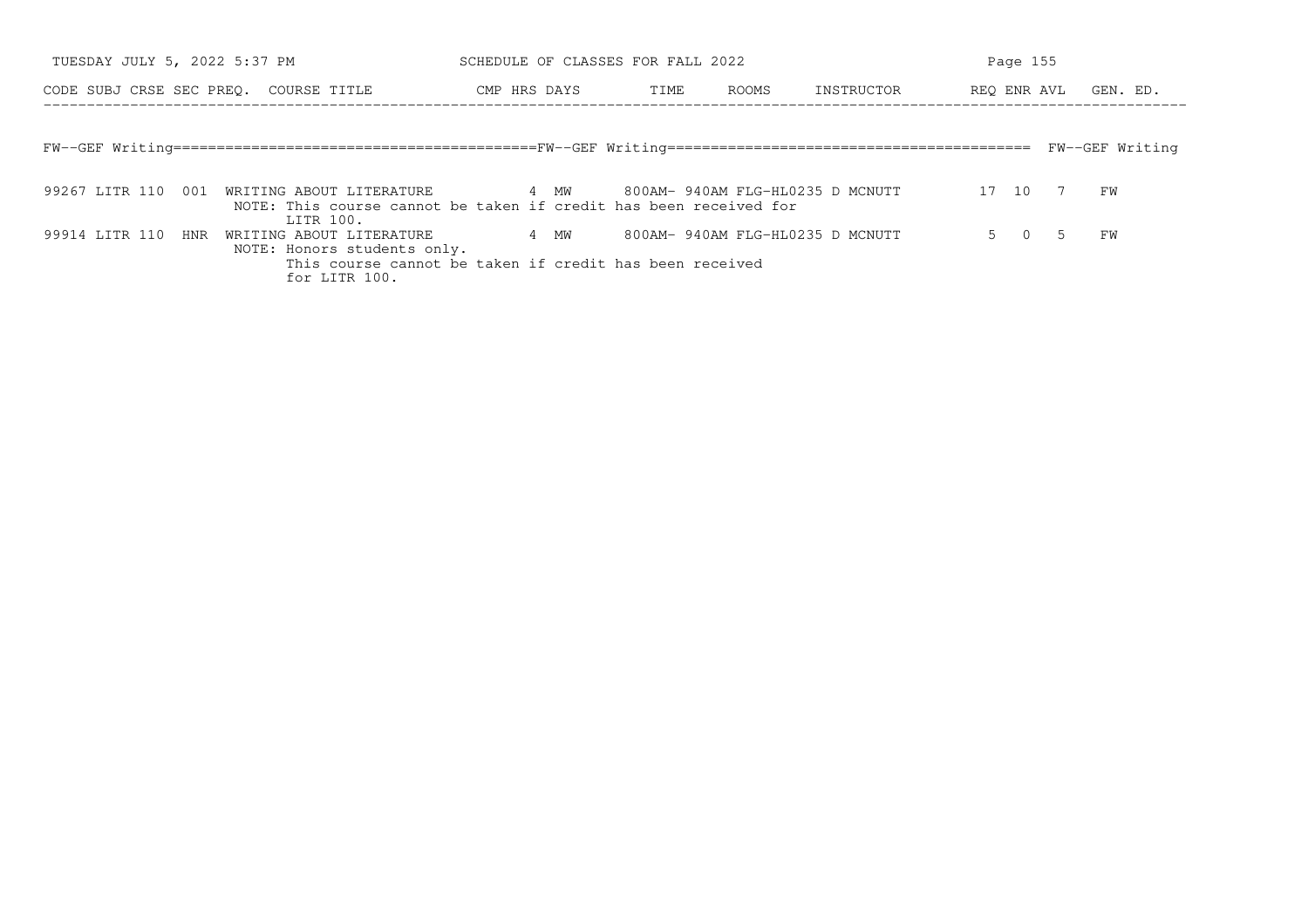| TUESDAY JULY 5, 2022 5:37 PM          |                                                                                                                                                       | SCHEDULE OF CLASSES FOR FALL 2022 |      |                                  |            |            | Page 155 |             |                 |
|---------------------------------------|-------------------------------------------------------------------------------------------------------------------------------------------------------|-----------------------------------|------|----------------------------------|------------|------------|----------|-------------|-----------------|
| CODE SUBJ CRSE SEC PREO. COURSE TITLE |                                                                                                                                                       | CMP HRS DAYS                      | TIME | ROOMS                            | INSTRUCTOR |            |          | REO ENR AVL | GEN. ED.        |
|                                       |                                                                                                                                                       |                                   |      |                                  |            |            |          |             |                 |
|                                       |                                                                                                                                                       |                                   |      |                                  |            |            |          |             | FW--GEF Writing |
|                                       | 99267 LITR 110 001 WRITING ABOUT LITERATURE 4 MW 800AM-940AM FLG-HL0235 D MCNUTT<br>NOTE: This course cannot be taken if credit has been received for |                                   |      |                                  |            | 17 10 7 FW |          |             |                 |
| 99914 LITR 110 HNR                    | LITR 100.<br>WRITING ABOUT LITERATURE<br>NOTE: Honors students only.                                                                                  | 4 MW                              |      | 800AM- 940AM FLG-HL0235 D MCNUTT |            |            |          | 5 0 5       | FW              |
|                                       | This course cannot be taken if credit has been received<br>for LITR 100.                                                                              |                                   |      |                                  |            |            |          |             |                 |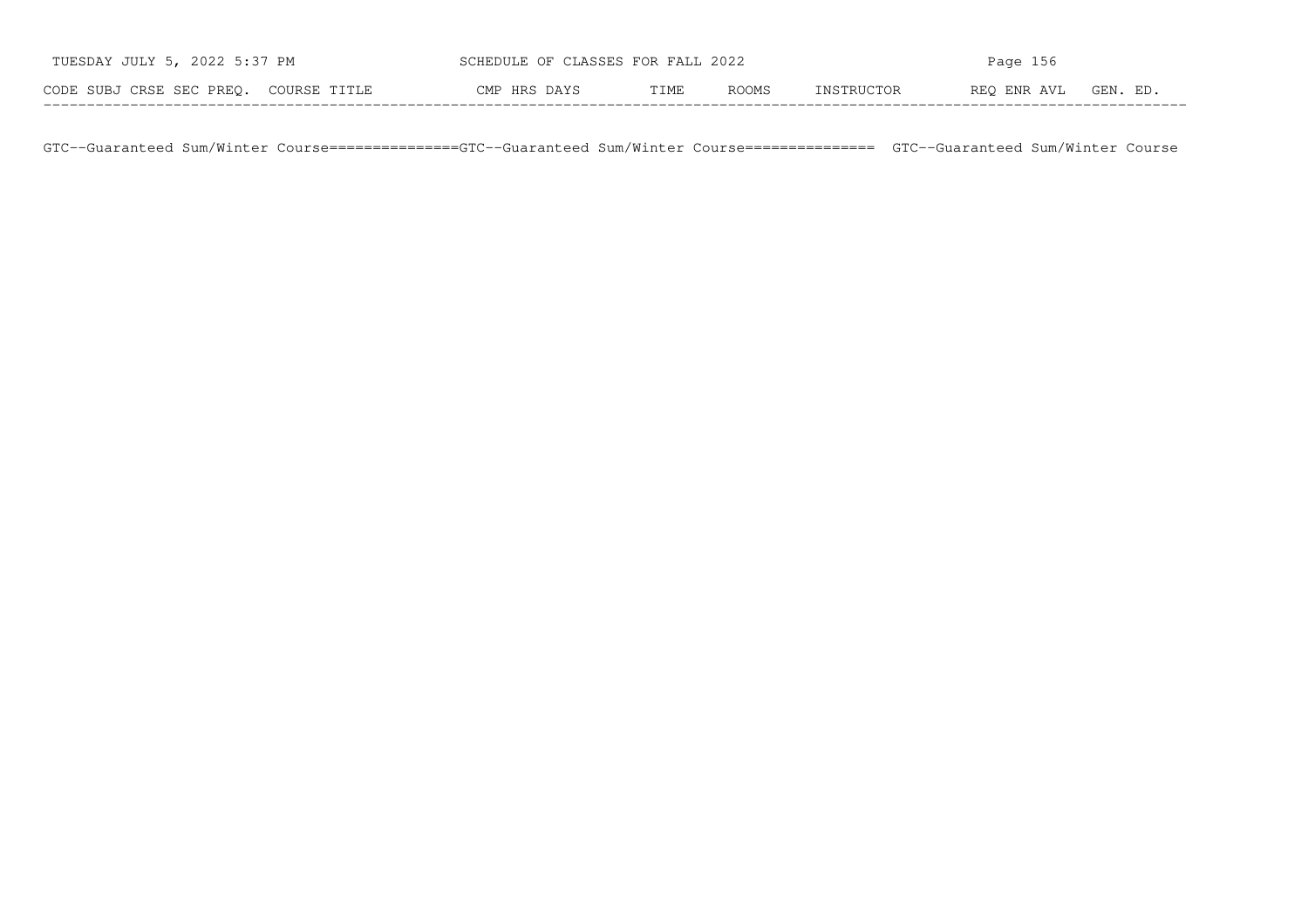| TUESDAY JULY 5, 2022 5:37 PM          | SCHEDULE OF CLASSES FOR FALL 2022 |      |       | Page $156$ |             |          |  |  |  |
|---------------------------------------|-----------------------------------|------|-------|------------|-------------|----------|--|--|--|
| CODE SUBJ CRSE SEC PREO. COURSE TITLE | CMP HRS DAYS                      | TIME | ROOMS | INSTRUCTOR | REO ENR AVL | GEN. ED. |  |  |  |

GTC−−Guaranteed Sum/Winter Course===============GTC−−Guaranteed Sum/Winter Course=============== GTC−−Guaranteed Sum/Winter Course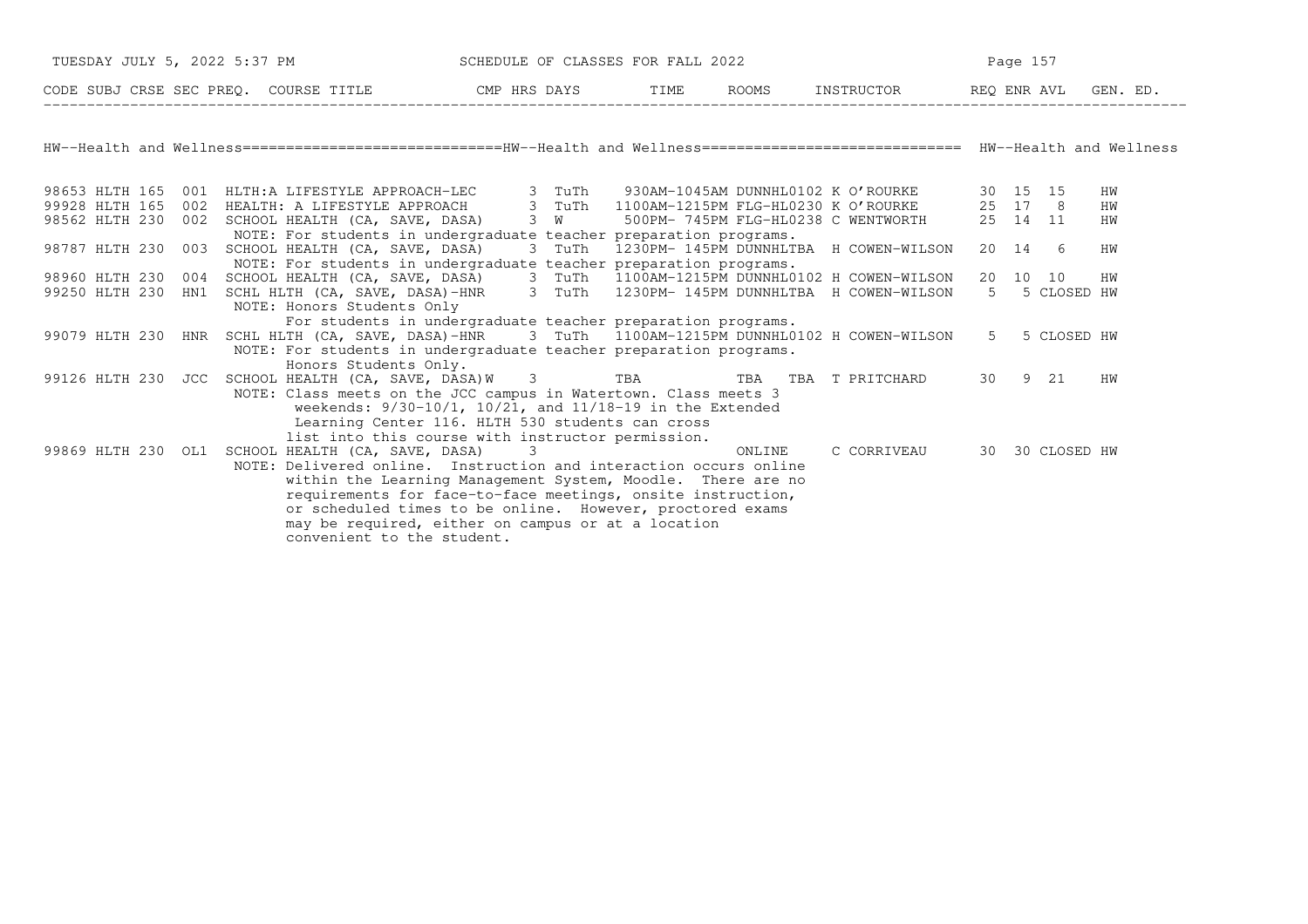| TUESDAY JULY 5, 2022 5:37 PM |                                                                                                                                                                                                                                                                                                                                                                                                         | SCHEDULE OF CLASSES FOR FALL 2022                                                                                    |        |                                              | Page 157 |                 |  |  |
|------------------------------|---------------------------------------------------------------------------------------------------------------------------------------------------------------------------------------------------------------------------------------------------------------------------------------------------------------------------------------------------------------------------------------------------------|----------------------------------------------------------------------------------------------------------------------|--------|----------------------------------------------|----------|-----------------|--|--|
|                              |                                                                                                                                                                                                                                                                                                                                                                                                         |                                                                                                                      |        |                                              |          | GEN. ED.        |  |  |
|                              | HW--Health and Wellness=============================HW--Health and Wellness============================== HW--Health and Wellness                                                                                                                                                                                                                                                                       |                                                                                                                      |        |                                              |          |                 |  |  |
|                              | 98653 HLTH 165 001 HLTH:A LIFESTYLE APPROACH-LEC 3 TuTh 930AM-1045AM DUNNHL0102 K O'ROURKE                                                                                                                                                                                                                                                                                                              |                                                                                                                      |        |                                              | 30 15 15 | HW              |  |  |
| 99928 HLTH 165<br>002        | HEALTH: A LIFESTYLE APPROACH 3 TuTh                                                                                                                                                                                                                                                                                                                                                                     |                                                                                                                      |        | 1100AM-1215PM FLG-HL0230 K O'ROURKE          | 25 17 8  | HW              |  |  |
| 98562 HLTH 230               | 002 SCHOOL HEALTH (CA, SAVE, DASA) 3 W                                                                                                                                                                                                                                                                                                                                                                  |                                                                                                                      |        | 500PM- 745PM FLG-HL0238 C WENTWORTH 25 14 11 |          | HW              |  |  |
| 98787 HLTH 230               | NOTE: For students in undergraduate teacher preparation programs.<br>003 SCHOOL HEALTH (CA, SAVE, DASA)<br>NOTE: For students in undergraduate teacher preparation programs.                                                                                                                                                                                                                            |                                                                                                                      |        | 3 TuTh 1230PM-145PM DUNNHLTBA H COWEN-WILSON | 20 14 6  | HW              |  |  |
| 98960 HLTH 230               | 004 SCHOOL HEALTH (CA, SAVE, DASA) 3 TuTh 1100AM-1215PM DUNNHL0102 H COWEN-WILSON                                                                                                                                                                                                                                                                                                                       |                                                                                                                      |        |                                              | 20 10 10 | HW              |  |  |
| 99250 HLTH 230<br>HN1        | SCHL HLTH (CA, SAVE, DASA)-HNR 3 TuTh 1230PM-145PM DUNNHLTBA H COWEN-WILSON<br>NOTE: Honors Students Only                                                                                                                                                                                                                                                                                               |                                                                                                                      |        |                                              | 5        | 5 CLOSED HW     |  |  |
|                              | For students in undergraduate teacher preparation programs.<br>99079 HLTH 230 HNR SCHL HLTH (CA, SAVE, DASA)-HNR 3 TuTh 1100AM-1215PM DUNNHL0102 H COWEN-WILSON<br>NOTE: For students in undergraduate teacher preparation programs.<br>Honors Students Only.                                                                                                                                           |                                                                                                                      |        |                                              | $5 -$    | 5 CLOSED HW     |  |  |
|                              | 99126 HLTH 230 JCC SCHOOL HEALTH (CA, SAVE, DASA)W 3 TBA TBA TBA T PRITCHARD 30 9 21<br>NOTE: Class meets on the JCC campus in Watertown. Class meets 3<br>list into this course with instructor permission.                                                                                                                                                                                            | weekends: $9/30-10/1$ , $10/21$ , and $11/18-19$ in the Extended<br>Learning Center 116. HLTH 530 students can cross |        |                                              |          | HW              |  |  |
|                              | 99869 HLTH 230 OL1 SCHOOL HEALTH (CA, SAVE, DASA) 3<br>NOTE: Delivered online. Instruction and interaction occurs online<br>within the Learning Management System, Moodle. There are no<br>requirements for face-to-face meetings, onsite instruction,<br>or scheduled times to be online. However, proctored exams<br>may be required, either on campus or at a location<br>convenient to the student. |                                                                                                                      | ONLINE | C CORRIVEAU                                  |          | 30 30 CLOSED HW |  |  |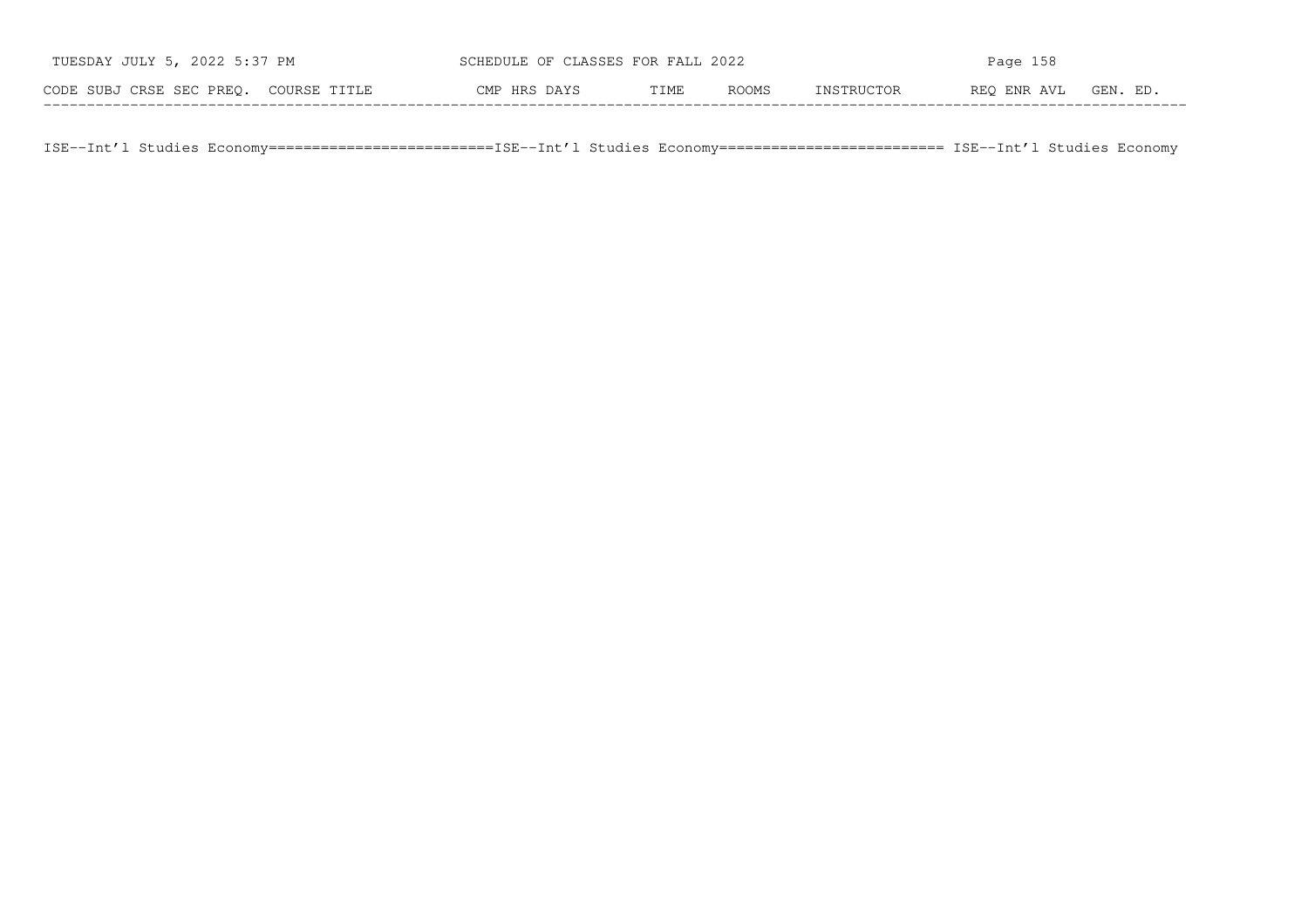| TUESDAY JULY 5, 2022 5:37 PM          | SCHEDULE OF CLASSES FOR FALL 2022 |      |       |            | Page 158    |          |
|---------------------------------------|-----------------------------------|------|-------|------------|-------------|----------|
| CODE SUBJ CRSE SEC PREO. COURSE TITLE | CMP HRS DAYS                      | TIME | ROOMS | INSTRUCTOR | REO ENR AVL | GEN. ED. |

ISE−−Int'l Studies Economy==========================ISE−−Int'l Studies Economy========================== ISE−−Int'l Studies Economy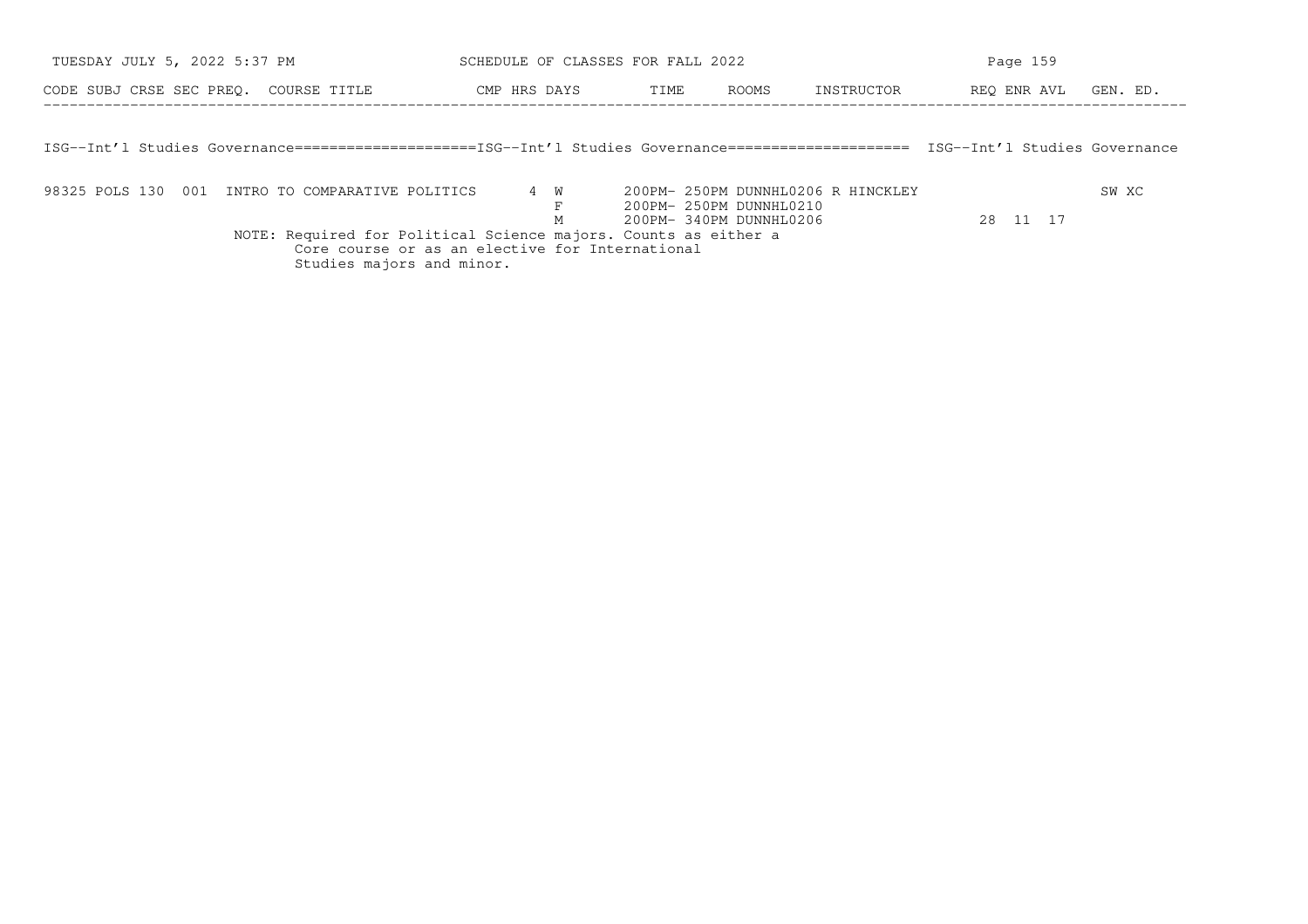| TUESDAY JULY 5, 2022 5:37 PM                                                                         | SCHEDULE OF CLASSES FOR FALL 2022 |     |      |  |                                                               | Page 159   |                               |          |  |
|------------------------------------------------------------------------------------------------------|-----------------------------------|-----|------|--|---------------------------------------------------------------|------------|-------------------------------|----------|--|
| CODE SUBJ CRSE SEC PREO. COURSE TITLE                                                                | CMP HRS DAYS                      |     | TIME |  | ROOMS                                                         | INSTRUCTOR | REO ENR AVL                   | GEN. ED. |  |
|                                                                                                      |                                   |     |      |  |                                                               |            |                               |          |  |
| ISG--Int'l Studies Governance=====================ISG--Int'l Studies Governance===================== |                                   |     |      |  |                                                               |            | ISG--Int'l Studies Governance |          |  |
|                                                                                                      |                                   |     |      |  |                                                               |            |                               |          |  |
| 98325 POLS 130 001 INTRO TO COMPARATIVE POLITICS                                                     |                                   | 4 W |      |  | 200PM- 250PM DUNNHL0206 R HINCKLEY<br>200PM- 250PM DUNNHL0210 |            |                               | SW XC    |  |

F 200PM− 250PM DUNNHL0210<br>M 200PM− 340PM DUNNHL0206<br>NOTE: Required for Political Science majors. Counts as either a Core course or as an elective for International

Studies majors and minor.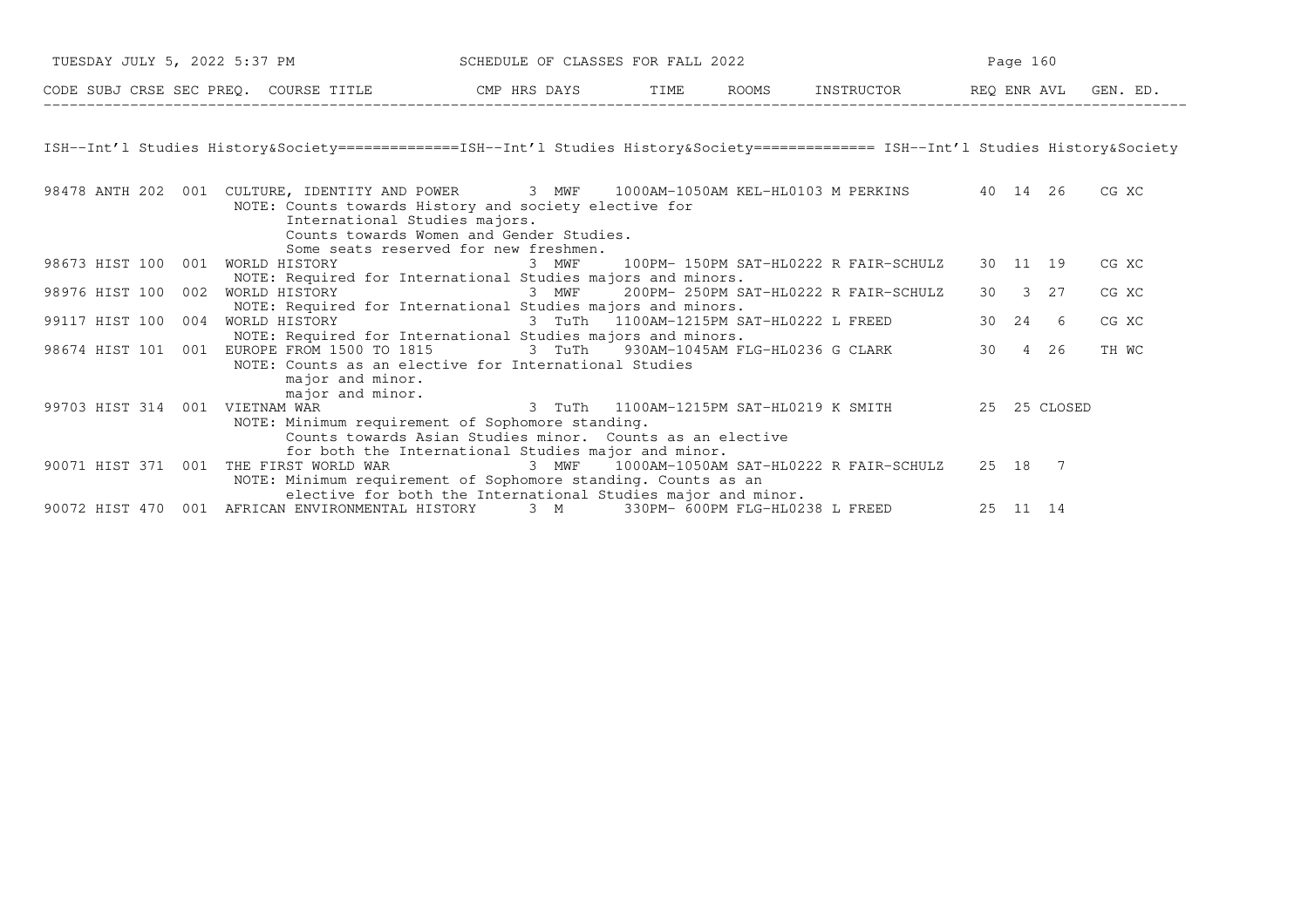| TUESDAY JULY 5, 2022 5:37 PM          | SCHEDULE OF CLASSES FOR FALL 2022 |      |              | Page 160   |             |          |  |  |
|---------------------------------------|-----------------------------------|------|--------------|------------|-------------|----------|--|--|
| CODE SUBJ CRSE SEC PREO. COURSE TITLE | CMP HRS DAYS                      | TIME | <b>ROOMS</b> | INSTRUCTOR | REO ENR AVL | GEN. ED. |  |  |

ISH−−Int'l Studies History&Society==============ISH−−Int'l Studies History&Society============== ISH−−Int'l Studies History&Society

| 98478 ANTH 202 | 001 | 1000AM-1050AM KEL-HL0103 M PERKINS<br>CULTURE, IDENTITY AND POWER<br>3 MWF | 40 14 |               | 26           | CG XC |
|----------------|-----|----------------------------------------------------------------------------|-------|---------------|--------------|-------|
|                |     | NOTE: Counts towards History and society elective for                      |       |               |              |       |
|                |     | International Studies majors.                                              |       |               |              |       |
|                |     | Counts towards Women and Gender Studies.                                   |       |               |              |       |
|                |     | Some seats reserved for new freshmen.                                      |       |               |              |       |
| 98673 HIST 100 | 001 | 3 MWF<br>100PM- 150PM SAT-HL0222 R FAIR-SCHULZ<br>WORLD HISTORY            |       | 30 11 19      |              | CG XC |
|                |     | NOTE: Required for International Studies majors and minors.                |       |               |              |       |
| 98976 HIST 100 | 002 | 200PM- 250PM SAT-HL0222 R FAIR-SCHULZ<br>WORLD HISTORY<br>3 MWF            | 30    | $\mathcal{A}$ | 27           | CG XC |
|                |     | NOTE: Required for International Studies majors and minors.                |       |               |              |       |
| 99117 HIST 100 | 004 | WORLD HISTORY<br>3 TuTh 1100AM-1215PM SAT-HL0222 L FREED                   |       | 30 24         | 6            | CG XC |
|                |     | NOTE: Required for International Studies majors and minors.                |       |               |              |       |
| 98674 HIST 101 | 001 | EUROPE FROM 1500 TO 1815<br>3 TuTh 930AM-1045AM FLG-HL0236 G CLARK         | 30    | 4             | 26           | TH WC |
|                |     | NOTE: Counts as an elective for International Studies                      |       |               |              |       |
|                |     | major and minor.                                                           |       |               |              |       |
|                |     | major and minor.                                                           |       |               |              |       |
| 99703 HIST 314 | 001 | 3 TuTh 1100AM-1215PM SAT-HL0219 K SMITH<br>VIETNAM WAR                     |       |               | 25 25 CLOSED |       |
|                |     | NOTE: Minimum requirement of Sophomore standing.                           |       |               |              |       |
|                |     | Counts towards Asian Studies minor. Counts as an elective                  |       |               |              |       |
|                |     | for both the International Studies major and minor.                        |       |               |              |       |
| 90071 HIST 371 | 001 | 3 MWF<br>1000AM-1050AM SAT-HL0222 R FAIR-SCHULZ<br>THE FIRST WORLD WAR     |       | 25 18         | 7            |       |
|                |     | NOTE: Minimum requirement of Sophomore standing. Counts as an              |       |               |              |       |
|                |     | elective for both the International Studies major and minor.               |       |               |              |       |
| 90072 HIST 470 | 001 | 3 M<br>330PM- 600PM FLG-HL0238 L FREED<br>AFRICAN ENVIRONMENTAL HISTORY    |       | 25 11         | 14           |       |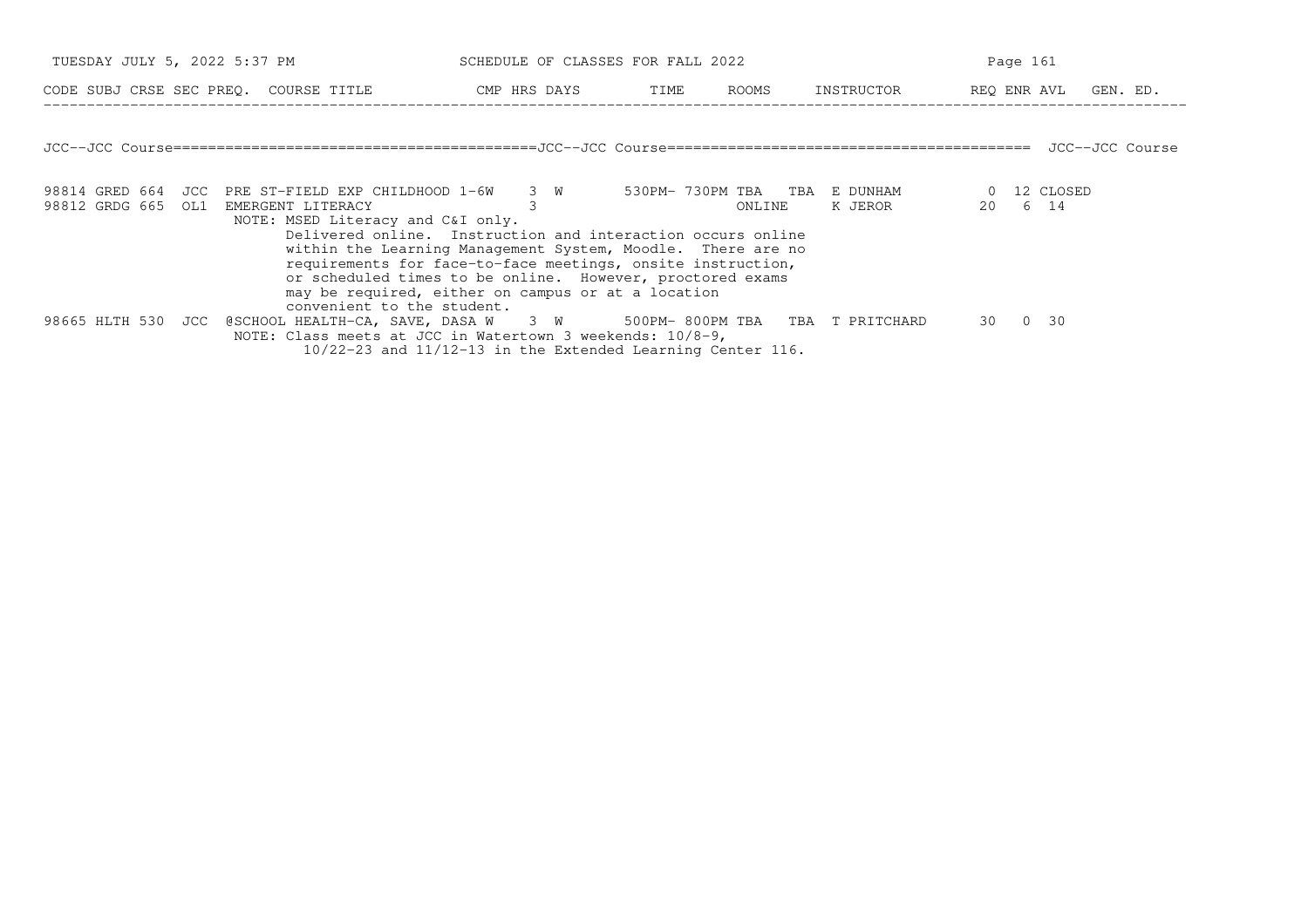| TUESDAY JULY 5, 2022 5:37 PM                                                                                 |                                                                                                                                                                                                                                                                                                                                                                                 | SCHEDULE OF CLASSES FOR FALL 2022 |        |                                     | Page 161               |  |
|--------------------------------------------------------------------------------------------------------------|---------------------------------------------------------------------------------------------------------------------------------------------------------------------------------------------------------------------------------------------------------------------------------------------------------------------------------------------------------------------------------|-----------------------------------|--------|-------------------------------------|------------------------|--|
| CODE SUBJ CRSE SEC PREQ. COURSE TITLE THE CMP HRS DAYS TIME ROOMS                                            |                                                                                                                                                                                                                                                                                                                                                                                 |                                   |        | INSTRUCTOR                          | REQ ENR AVL GEN. ED.   |  |
|                                                                                                              |                                                                                                                                                                                                                                                                                                                                                                                 |                                   |        |                                     |                        |  |
|                                                                                                              |                                                                                                                                                                                                                                                                                                                                                                                 |                                   |        |                                     |                        |  |
| 98814 GRED 664 JCC PRE ST-FIELD EXP CHILDHOOD 1-6W 3 W 530PM-730PM TBA TBA E DUNHAM<br>98812 GRDG 665<br>OL1 | EMERGENT LITERACY                                                                                                                                                                                                                                                                                                                                                               |                                   | ONLINE | K JEROR DIRAMA SERIKA UNTUK LAMA DI | 0 12 CLOSED<br>20 6 14 |  |
|                                                                                                              | NOTE: MSED Literacy and C&I only.<br>Delivered online. Instruction and interaction occurs online<br>within the Learning Management System, Moodle. There are no<br>requirements for face-to-face meetings, onsite instruction,<br>or scheduled times to be online. However, proctored exams<br>may be required, either on campus or at a location<br>convenient to the student. |                                   |        |                                     |                        |  |
| 98665 HLTH 530 JCC                                                                                           | @SCHOOL HEALTH-CA, SAVE, DASA W 3 W 500PM-800PM TBA TBA T PRITCHARD<br>NOTE: Class meets at JCC in Watertown 3 weekends: 10/8-9,<br>$10/22-23$ and $11/12-13$ in the Extended Learning Center 116.                                                                                                                                                                              |                                   |        |                                     | 30 0<br>30             |  |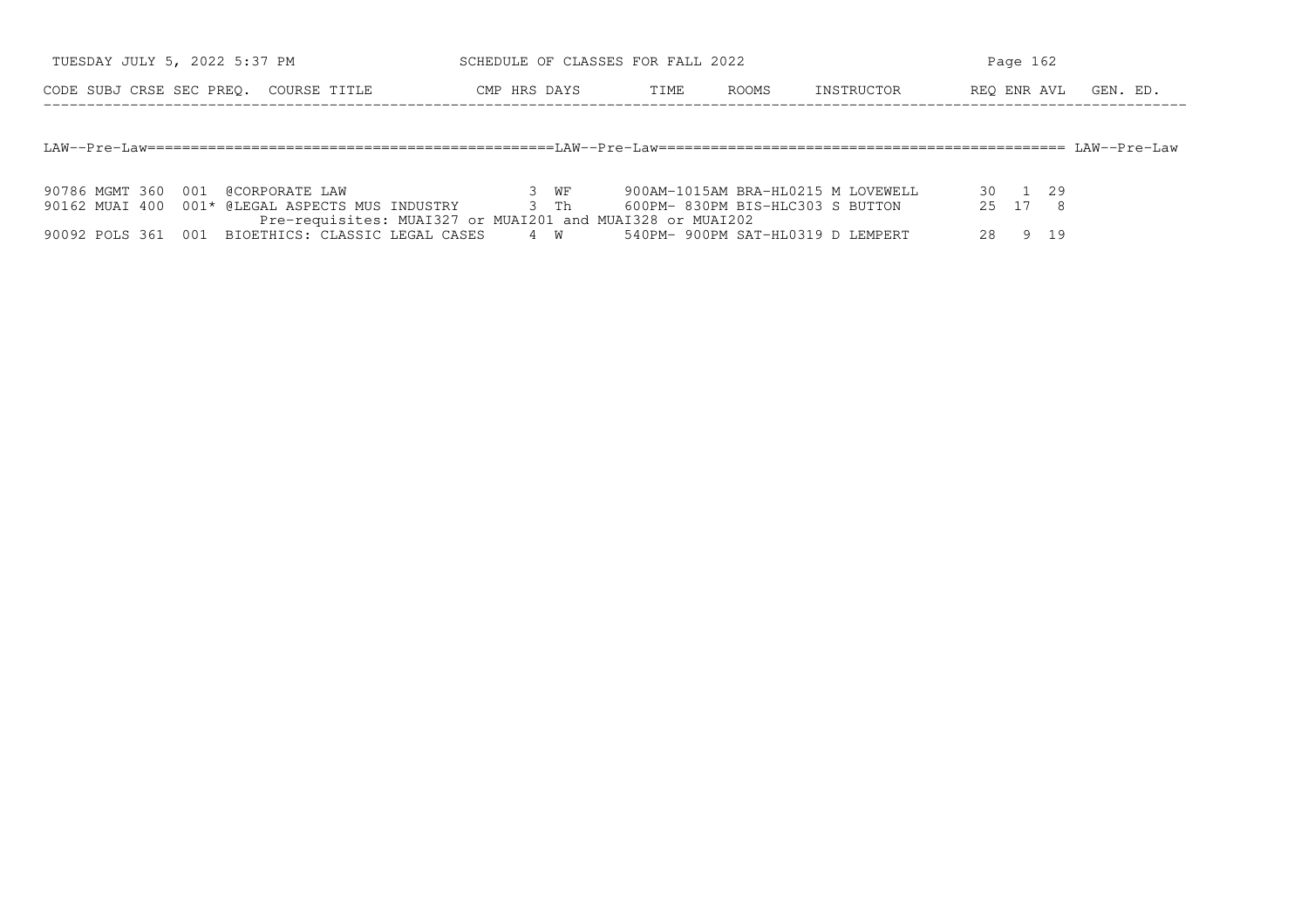| TUESDAY JULY 5, 2022 5:37 PM          |  |  | SCHEDULE OF CLASSES FOR FALL 2022 |      |       |            | Page 162 |  |  |                      |  |
|---------------------------------------|--|--|-----------------------------------|------|-------|------------|----------|--|--|----------------------|--|
| CODE SUBJ CRSE SEC PREO. COURSE TITLE |  |  | CMP HRS DAYS                      | TIME | ROOMS | INSTRUCTOR |          |  |  | REO ENR AVL GEN. ED. |  |
|                                       |  |  |                                   |      |       |            |          |  |  |                      |  |
|                                       |  |  |                                   |      |       |            |          |  |  |                      |  |

|  | 90786 MGMT 360 001 @CORPORATE LAW                         | 3 WF | 900AM-1015AM BRA-HL0215 M LOVEWELL | 30 1 29 |  |
|--|-----------------------------------------------------------|------|------------------------------------|---------|--|
|  | 90162 MUAI 400 001* @LEGAL ASPECTS MUS INDUSTRY           | R Th | 600PM- 830PM BIS-HLC303 S BUTTON   | 2.5 1.7 |  |
|  | Pre-requisites: MUAI327 or MUAI201 and MUAI328 or MUAI202 |      |                                    |         |  |
|  | 90092 POLS 361 001 BIOETHICS: CLASSIC LEGAL CASES 4 W     |      | 540PM- 900PM SAT-HL0319 D LEMPERT  |         |  |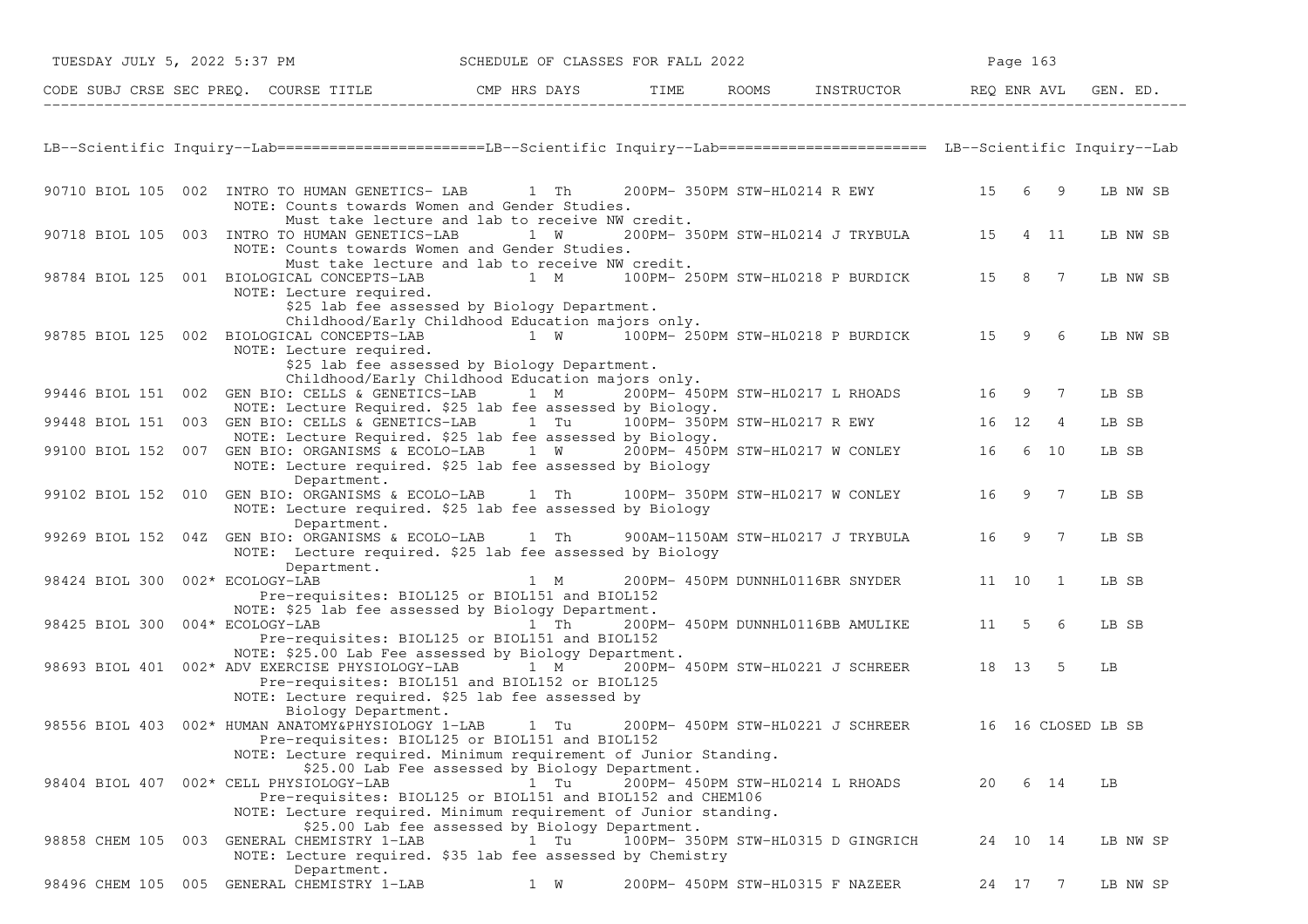|                    |                                                                           | CODE SUBJ CRSE SEC PREQ. COURSE TITLE THE CMP HRS DAYS                                                                                                                                             | TIME                          | ROOMS | INSTRUCTOR                         |       |          |                | REO ENR AVL GEN. ED. |
|--------------------|---------------------------------------------------------------------------|----------------------------------------------------------------------------------------------------------------------------------------------------------------------------------------------------|-------------------------------|-------|------------------------------------|-------|----------|----------------|----------------------|
|                    |                                                                           | LB--Scientific Inquiry--Lab=======================LB--Scientific Inquiry--Lab========================= LB--Scientific Inquiry--Lab                                                                 |                               |       |                                    |       |          |                |                      |
|                    | 90710 BIOL 105 002 INTRO TO HUMAN GENETICS- LAB                           | 1 Th<br>NOTE: Counts towards Women and Gender Studies.                                                                                                                                             |                               |       | 200PM- 350PM STW-HL0214 R EWY      | 15    | 6        | - 9            | LB NW SB             |
| 90718 BIOL 105 003 | INTRO TO HUMAN GENETICS-LAB                                               | Must take lecture and lab to receive NW credit.<br>1 W<br>NOTE: Counts towards Women and Gender Studies.                                                                                           |                               |       | 200PM- 350PM STW-HL0214 J TRYBULA  | 15    | 4 11     |                | LB NW SB             |
| 98784 BIOL 125     | 001 BIOLOGICAL CONCEPTS-LAB<br>NOTE: Lecture required.                    | Must take lecture and lab to receive NW credit.<br>1 M<br>\$25 lab fee assessed by Biology Department.                                                                                             |                               |       | 100PM- 250PM STW-HL0218 P BURDICK  | 15    | 8        | 7              | LB NW SB             |
| 98785 BIOL 125 002 | BIOLOGICAL CONCEPTS-LAB<br>NOTE: Lecture required.                        | Childhood/Early Childhood Education majors only.<br>1 W 100PM-250PM STW-HL0218 P BURDICK<br>\$25 lab fee assessed by Biology Department.                                                           |                               |       |                                    | 15    | 9        | -6             | LB NW SB             |
|                    | 99446 BIOL 151 002 GEN BIO: CELLS & GENETICS-LAB                          | Childhood/Early Childhood Education majors only.<br>$1$ M                                                                                                                                          |                               |       | 200PM- 450PM STW-HL0217 L RHOADS   | 16    | 9        | 7              | LB SB                |
|                    | 99448 BIOL 151 003 GEN BIO: CELLS & GENETICS-LAB 1 Tu                     | NOTE: Lecture Required. \$25 lab fee assessed by Biology.                                                                                                                                          | 100PM- 350PM STW-HL0217 R EWY |       |                                    | 16 12 |          | $\overline{4}$ | LB SB                |
| 99100 BIOL 152     |                                                                           | NOTE: Lecture Required. \$25 lab fee assessed by Biology.<br>007 GEN BIO: ORGANISMS & ECOLO-LAB 1 W 200PM-450PM STW-HL0217 W CONLEY<br>NOTE: Lecture required. \$25 lab fee assessed by Biology    |                               |       |                                    | 16    | 6        | 10             | LB SB                |
| 99102 BIOL 152 010 | Department.<br>GEN BIO: ORGANISMS & ECOLO-LAB<br>Department.              | 1 Th<br>NOTE: Lecture required. \$25 lab fee assessed by Biology                                                                                                                                   |                               |       | 100PM- 350PM STW-HL0217 W CONLEY   | 16    | 9        | $\overline{7}$ | LB SB                |
| 99269 BIOL 152 04Z | GEN BIO: ORGANISMS & ECOLO-LAB<br>Department.                             | 1 Th<br>NOTE: Lecture required. \$25 lab fee assessed by Biology                                                                                                                                   |                               |       | 900AM-1150AM STW-HL0217 J TRYBULA  | 16    | 9        | 7              | LB SB                |
| 98424 BIOL 300     | 002* ECOLOGY-LAB                                                          | 1 M<br>Pre-requisites: BIOL125 or BIOL151 and BIOL152<br>NOTE: \$25 lab fee assessed by Biology Department.                                                                                        |                               |       | 200PM- 450PM DUNNHL0116BR SNYDER   | 11 10 |          | <sup>1</sup>   | LB SB                |
| 98425 BIOL 300     | 004* ECOLOGY-LAB                                                          | 1 Th<br>Pre-requisites: BIOL125 or BIOL151 and BIOL152<br>NOTE: \$25.00 Lab Fee assessed by Biology Department.                                                                                    |                               |       | 200PM- 450PM DUNNHL0116BB AMULIKE  | 11    | 5        | 6              | LB SB                |
|                    | 98693 BIOL 401 002* ADV EXERCISE PHYSIOLOGY-LAB                           | 1 M<br>Pre-requisites: BIOL151 and BIOL152 or BIOL125<br>NOTE: Lecture required. \$25 lab fee assessed by                                                                                          |                               |       | 200PM- 450PM STW-HL0221 J SCHREER  |       | 18 13    | -5             | LB                   |
|                    | Biology Department.<br>98556 BIOL 403 002* HUMAN ANATOMY&PHYSIOLOGY 1-LAB | 1 Tu<br>Pre-requisites: BIOL125 or BIOL151 and BIOL152<br>NOTE: Lecture required. Minimum requirement of Junior Standing.                                                                          |                               |       | 200PM- 450PM STW-HL0221 J SCHREER  |       |          |                | 16 16 CLOSED LB SB   |
|                    | 98404 BIOL 407 002* CELL PHYSIOLOGY-LAB                                   | \$25.00 Lab Fee assessed by Biology Department.<br>$1$ Tu $^{-1}$<br>Pre-requisites: BIOL125 or BIOL151 and BIOL152 and CHEM106<br>NOTE: Lecture required. Minimum requirement of Junior standing. |                               |       | 200PM- 450PM STW-HL0214 L RHOADS   | 20    | 6 14     |                | LB                   |
| 98858 CHEM 105 003 | GENERAL CHEMISTRY 1-LAB                                                   | \$25.00 Lab fee assessed by Biology Department.<br>1 Tu<br>NOTE: Lecture required. \$35 lab fee assessed by Chemistry                                                                              |                               |       | 100PM- 350PM STW-HL0315 D GINGRICH |       | 24 10 14 |                | LB NW SP             |
| 98496 CHEM 105 005 | Department.<br>GENERAL CHEMISTRY 1-LAB                                    | 1 W                                                                                                                                                                                                |                               |       | 200PM- 450PM STW-HL0315 F NAZEER   |       | 24 17 7  |                | LB NW SP             |

TUESDAY JULY 5, 2022 5:37 PM SCHEDULE OF CLASSES FOR FALL 2022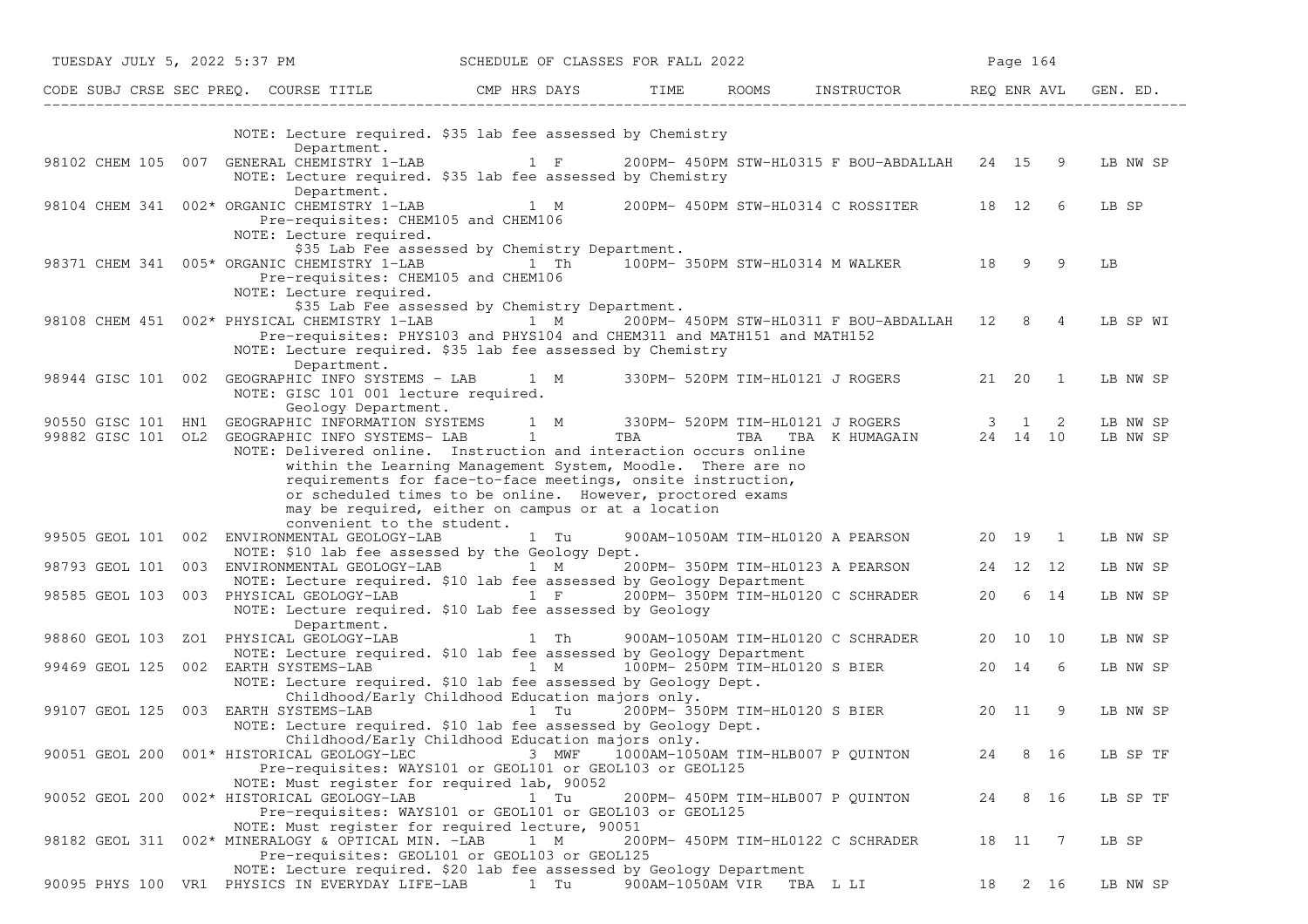| TUESDAY JULY 5, 2022 5:37 PM         |                                                                                                                                                                                                                                                                                                                                                                                                                                                                                                         | SCHEDULE OF CLASSES FOR FALL 2022                                                                          |                  |                                                  |    | Page 164 |                      |
|--------------------------------------|---------------------------------------------------------------------------------------------------------------------------------------------------------------------------------------------------------------------------------------------------------------------------------------------------------------------------------------------------------------------------------------------------------------------------------------------------------------------------------------------------------|------------------------------------------------------------------------------------------------------------|------------------|--------------------------------------------------|----|----------|----------------------|
|                                      | CODE SUBJ CRSE SEC PREQ. COURSE TITLE CMP HRS DAYS TIME ROOMS INSTRUCTOR REQ ENR AVL GEN. ED.                                                                                                                                                                                                                                                                                                                                                                                                           |                                                                                                            |                  |                                                  |    |          |                      |
|                                      | NOTE: Lecture required. \$35 lab fee assessed by Chemistry<br>Department.                                                                                                                                                                                                                                                                                                                                                                                                                               |                                                                                                            |                  |                                                  |    |          |                      |
|                                      | 98102 CHEM 105 007 GENERAL CHEMISTRY 1-LAB<br>NOTE: Lecture required. \$35 lab fee assessed by Chemistry<br>Department.                                                                                                                                                                                                                                                                                                                                                                                 | 1 F 200PM-450PM STW-HL0315 F BOU-ABDALLAH 24 15 9                                                          |                  |                                                  |    |          | LB NW SP             |
|                                      | 98104 CHEM 341 002* ORGANIC CHEMISTRY 1-LAB 1 M 200PM-450PM STW-HL0314 C ROSSITER 18 12 6<br>Pre-requisites: CHEM105 and CHEM106<br>NOTE: Lecture required.                                                                                                                                                                                                                                                                                                                                             |                                                                                                            |                  |                                                  |    |          | LB SP                |
|                                      | 98371 CHEM 341 005* ORGANIC CHEMISTRY 1-LAB<br>Pre-requisites: CHEM105 and CHEM106<br>NOTE: Lecture required.                                                                                                                                                                                                                                                                                                                                                                                           | \$35 Lab Fee assessed by Chemistry Department.<br>1 Th <sup>1</sup> 100PM-350PM STW-HL0314 M WALKER 18 9 9 |                  |                                                  |    |          | LB                   |
|                                      | 98108 CHEM 451 002* PHYSICAL CHEMISTRY 1-LAB<br>Pre-requisites: PHYS103 and PHYS104 and CHEM311 and MATH151 and MATH152<br>NOTE: Lecture required. \$35 lab fee assessed by Chemistry                                                                                                                                                                                                                                                                                                                   | \$35 Lab Fee assessed by Chemistry Department.                                                             |                  | 1 M 200PM-450PM STW-HL0311 F BOU-ABDALLAH 12 8 4 |    |          | LB SP WI             |
| 98944 GISC 101 002                   | Department.<br>GEOGRAPHIC INFO SYSTEMS - LAB 1 M 330PM- 520PM TIM-HL0121 J ROGERS 21 20 1<br>NOTE: GISC 101 001 lecture required.<br>Geology Department.                                                                                                                                                                                                                                                                                                                                                |                                                                                                            |                  |                                                  |    |          | LB NW SP             |
|                                      | 90550 GISC 101 HN1 GEOGRAPHIC INFORMATION SYSTEMS 1 M 330PM-520PM TIM-HL0121 JROGERS 3 1 2<br>99882 GISC 101 OL2 GEOGRAPHIC INFO SYSTEMS-LAB 1 TBA TBA TBA TBA KHUMAGAIN 24 14 10<br>NOTE: Delivered online. Instruction and interaction occurs online<br>within the Learning Management System, Moodle. There are no<br>requirements for face-to-face meetings, onsite instruction,<br>or scheduled times to be online. However, proctored exams<br>may be required, either on campus or at a location |                                                                                                            |                  |                                                  |    |          | LB NW SP<br>LB NW SP |
|                                      | convenient to the student.<br>99505 GEOL 101 002 ENVIRONMENTAL GEOLOGY-LAB<br>NOTE: \$10 lab fee assessed by the Geology Dept.                                                                                                                                                                                                                                                                                                                                                                          | 1 Tu                                                                                                       |                  | 900AM-1050AM TIM-HL0120 A PEARSON                |    | 20 19 1  | LB NW SP             |
|                                      | 98793 GEOL 101 003 ENVIRONMENTAL GEOLOGY-LAB 1 M 200PM-350PM TIM-HL0123 A PEARSON<br>NOTE: Lecture required. \$10 lab fee assessed by Geology Department                                                                                                                                                                                                                                                                                                                                                |                                                                                                            |                  |                                                  |    | 24 12 12 | LB NW SP             |
|                                      | 98585 GEOL 103 003 PHYSICAL GEOLOGY-LAB 1 F<br>NOTE: Lecture required. \$10 Lab fee assessed by Geology<br>Department.                                                                                                                                                                                                                                                                                                                                                                                  |                                                                                                            |                  | 200PM- 350PM TIM-HL0120 C SCHRADER               |    | 20 6 14  | LB NW SP             |
| 98860 GEOL 103                       | ZO1 PHYSICAL GEOLOGY-LAB<br>NOTE: Lecture required. \$10 lab fee assessed by Geology Department                                                                                                                                                                                                                                                                                                                                                                                                         | 1 Th                                                                                                       |                  | 900AM-1050AM TIM-HL0120 C SCHRADER               |    | 20 10 10 | LB NW SP             |
|                                      | 99469 GEOL 125 002 EARTH SYSTEMS-LAB $\overline{1}$ M $\overline{10}$ OPM-250PM TIM-HL0120 S BIER 20 14<br>NOTE: Lecture required. \$10 lab fee assessed by Geology Dept.<br>Childhood/Early Childhood Education majors only.                                                                                                                                                                                                                                                                           |                                                                                                            |                  |                                                  |    | 6        | LB NW SP             |
| 99107 GEOL 125 003 EARTH SYSTEMS-LAB | NOTE: Lecture required. \$10 lab fee assessed by Geology Dept.<br>Childhood/Early Childhood Education majors only.                                                                                                                                                                                                                                                                                                                                                                                      | 1 Tu                                                                                                       |                  | 200PM-350PM TIM-HL0120 S BIER 20 11              |    | - 9      | LB NW SP             |
|                                      | 90051 GEOL 200 001* HISTORICAL GEOLOGY-LEC<br>Pre-requisites: WAYS101 or GEOL101 or GEOL103 or GEOL125                                                                                                                                                                                                                                                                                                                                                                                                  | 3 MWF                                                                                                      |                  | 1000AM-1050AM TIM-HLB007 P QUINTON               | 24 | 8 16     | LB SP TF             |
|                                      | NOTE: Must register for required lab, 90052<br>90052 GEOL 200 002* HISTORICAL GEOLOGY-LAB<br>Pre-requisites: WAYS101 or GEOL101 or GEOL103 or GEOL125                                                                                                                                                                                                                                                                                                                                                   | 1 Tu                                                                                                       |                  | 200PM- 450PM TIM-HLB007 P QUINTON                | 24 | 8 16     | LB SP TF             |
|                                      | NOTE: Must register for required lecture, 90051<br>98182 GEOL 311 002* MINERALOGY & OPTICAL MIN. -LAB<br>Pre-requisites: GEOL101 or GEOL103 or GEOL125                                                                                                                                                                                                                                                                                                                                                  | 1 M                                                                                                        |                  | 200PM- 450PM TIM-HL0122 C SCHRADER               |    | 18 11 7  | LB SP                |
|                                      | NOTE: Lecture required. \$20 lab fee assessed by Geology Department<br>90095 PHYS 100 VR1 PHYSICS IN EVERYDAY LIFE-LAB                                                                                                                                                                                                                                                                                                                                                                                  | 1 Tu                                                                                                       | 900AM-1050AM VIR | TBA L LI                                         | 18 | 2 16     | LB NW SP             |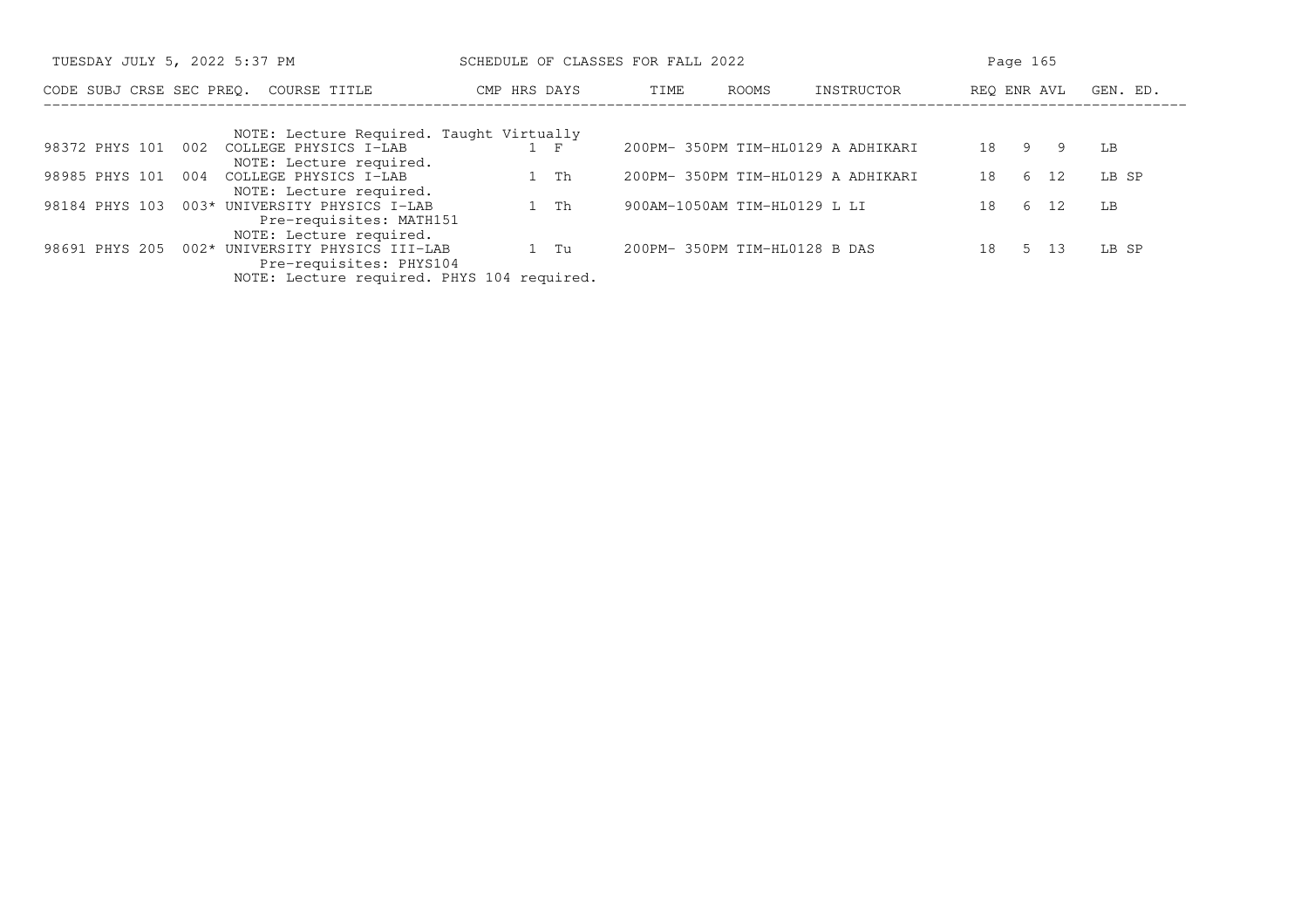| TUESDAY JULY 5, 2022 5:37 PM                                                                            | SCHEDULE OF CLASSES FOR FALL 2022 |                                    | Page 165                |
|---------------------------------------------------------------------------------------------------------|-----------------------------------|------------------------------------|-------------------------|
| CODE SUBJ CRSE SEC PREO.<br>COURSE TITLE                                                                | CMP HRS DAYS                      | ROOMS<br>TIME<br>INSTRUCTOR        | REO ENR AVL<br>GEN. ED. |
| NOTE: Lecture Required. Taught Virtually                                                                |                                   |                                    |                         |
| 98372 PHYS 101<br>002<br>COLLEGE PHYSICS I-LAB                                                          | $1 \quad F$                       | 200PM- 350PM TIM-HL0129 A ADHIKARI | 18 9<br>-9<br>LB        |
| NOTE: Lecture required.<br>98985 PHYS 101<br>COLLEGE PHYSICS I-LAB<br>004<br>NOTE: Lecture required.    | 1 Th                              | 200PM- 350PM TIM-HL0129 A ADHIKARI | LB SP<br>18<br>12<br>6  |
| 003* UNIVERSITY PHYSICS I-LAB<br>98184 PHYS 103<br>Pre-requisites: MATH151                              | 1 Th                              | 900AM-1050AM TIM-HL0129 L LI       | 6 12<br>LB<br>18        |
| NOTE: Lecture required.<br>98691 PHYS 205<br>002* UNIVERSITY PHYSICS III-LAB<br>Pre-requisites: PHYS104 | 1 Tu                              | 200PM- 350PM TIM-HL0128 B DAS      | 18<br>5 13<br>LB SP     |
| NOTE: Lecture required. PHYS 104 required.                                                              |                                   |                                    |                         |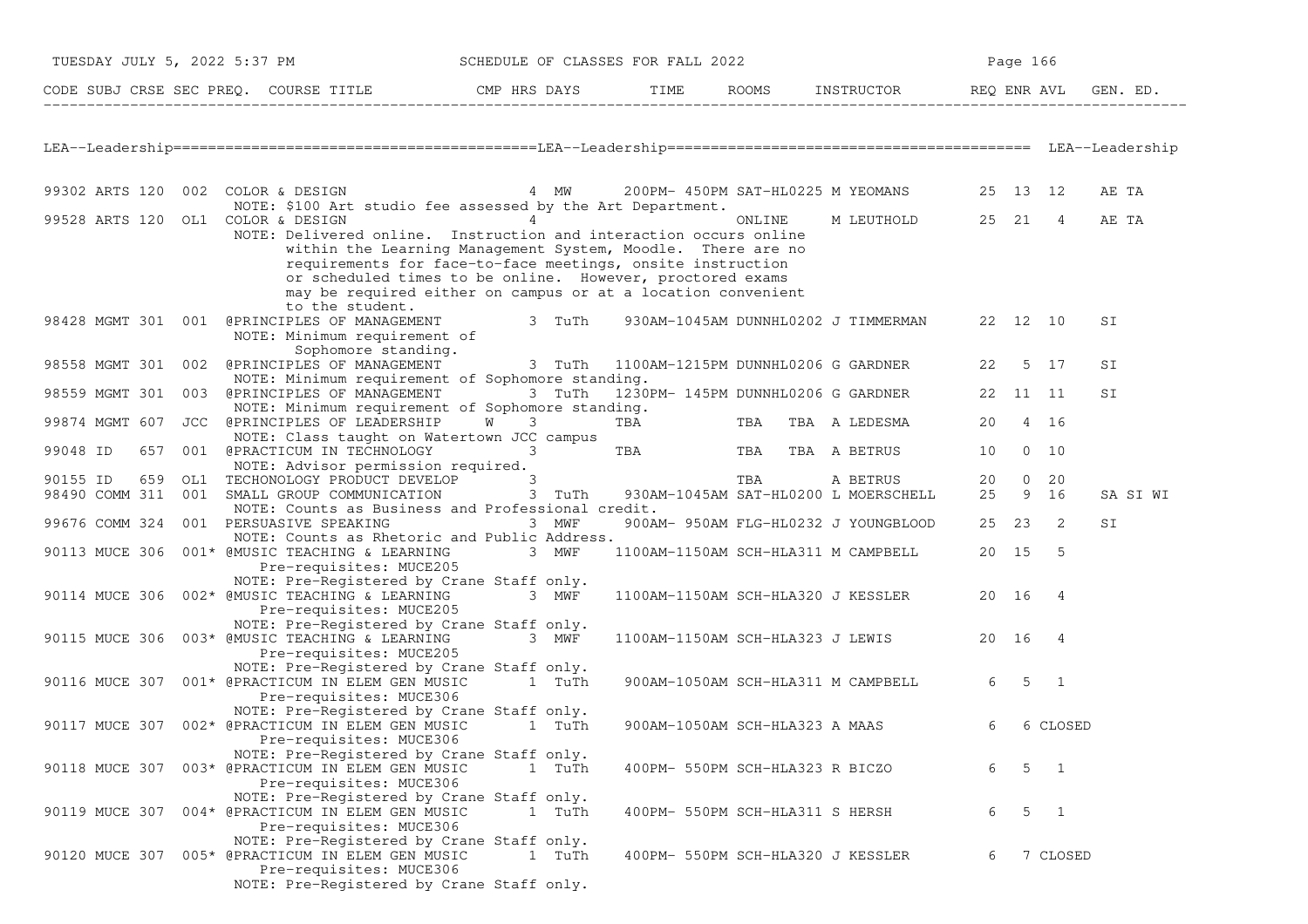|                                   | TUESDAY JULY 5, 2022 5:37 PM                                                                                                                                                                                                                                                                       | SCHEDULE OF CLASSES FOR FALL 2022                 |                                   |        |                                                  |       | Page 166               |          |
|-----------------------------------|----------------------------------------------------------------------------------------------------------------------------------------------------------------------------------------------------------------------------------------------------------------------------------------------------|---------------------------------------------------|-----------------------------------|--------|--------------------------------------------------|-------|------------------------|----------|
|                                   | CODE SUBJ CRSE SEC PREQ. COURSE TITLE THE CMP HRS DAYS TIME ROOMS INSTRUCTOR REQ ENR AVL GE                                                                                                                                                                                                        |                                                   |                                   |        |                                                  |       |                        | GEN. ED. |
|                                   |                                                                                                                                                                                                                                                                                                    |                                                   |                                   |        |                                                  |       |                        |          |
|                                   | 99302 ARTS 120 002 COLOR & DESIGN 6 12 COLOR 15 AM 4 AM 4 200 PM - 450 PM SAT-HL0225 M YEOMANS 4 25 13 12<br>NOTE: \$100 Art studio fee assessed by the Art Department.                                                                                                                            |                                                   |                                   |        |                                                  |       |                        | AE TA    |
|                                   | 99528 ARTS 120 OL1 COLOR & DESIGN 4<br>NOTE: Delivered online. Instruction and interaction occurs online<br>within the Learning Management System, Moodle. There are no<br>requirements for face-to-face meetings, onsite instruction<br>or scheduled times to be online. However, proctored exams |                                                   |                                   | ONLINE | M LEUTHOLD 25 21 4                               |       |                        | AE TA    |
|                                   | may be required either on campus or at a location convenient<br>to the student.<br>98428 MGMT 301 001 @PRINCIPLES OF MANAGEMENT 3 TuTh<br>NOTE: Minimum requirement of                                                                                                                             |                                                   |                                   |        | 930AM-1045AM DUNNHL0202 J TIMMERMAN 22 12 10     |       |                        | SI       |
| 98558 MGMT 301                    | Sophomore standing.<br>002 @PRINCIPLES OF MANAGEMENT 3 TuTh 1100AM-1215PM DUNNHL0206 G GARDNER<br>NOTE: Minimum requirement of Sophomore standing.                                                                                                                                                 |                                                   |                                   |        |                                                  | 22    | 5 17                   | SI       |
|                                   | 98559 MGMT 301 003 @PRINCIPLES OF MANAGEMENT<br>NOTE: Minimum requirement of Sophomore standing.                                                                                                                                                                                                   | 3 TuTh 1230PM-145PM DUNNHL0206 G GARDNER 22 11 11 |                                   |        |                                                  |       |                        | SI       |
| 99874 MGMT 607                    | JCC @PRINCIPLES OF LEADERSHIP<br>NOTE: Class taught on Watertown JCC campus                                                                                                                                                                                                                        | W<br>$3 \sim$                                     | TBA                               |        | TBA TBA A LEDESMA                                |       | 20  4  16              |          |
| 99048 ID                          | 657 001 @PRACTICUM IN TECHNOLOGY 3                                                                                                                                                                                                                                                                 |                                                   | TBA TBA TBA A BETRUS              |        |                                                  |       | 10 0 10                |          |
| 90155 ID<br>659<br>98490 COMM 311 | NOTE: Advisor permission required.<br>OL1 TECHONOLOGY PRODUCT DEVELOP 3<br>001 SMALL GROUP COMMUNICATION                                                                                                                                                                                           | 3 TuTh                                            |                                   | TBA    | A BETRUS<br>930AM-1045AM SAT-HL0200 L MOERSCHELL | 20    | $0\quad 20$<br>25 9 16 | SA SI WI |
|                                   | NOTE: Counts as Business and Professional credit.<br>99676 COMM 324 001 PERSUASIVE SPEAKING                                                                                                                                                                                                        | 3 MWF                                             |                                   |        | 900AM- 950AM FLG-HL0232 J YOUNGBLOOD             |       | 25 23 2                | SI       |
|                                   | NOTE: Counts as Rhetoric and Public Address.<br>90113 MUCE 306 001* @MUSIC TEACHING & LEARNING 3 MWF<br>Pre-requisites: MUCE205                                                                                                                                                                    |                                                   |                                   |        | 1100AM-1150AM SCH-HLA311 M CAMPBELL              | 20 15 | $-5$                   |          |
|                                   | NOTE: Pre-Registered by Crane Staff only.<br>90114 MUCE 306 002* @MUSIC TEACHING & LEARNING<br>Pre-requisites: MUCE205                                                                                                                                                                             | 3 MWF                                             |                                   |        | 1100AM-1150AM SCH-HLA320 J KESSLER               | 20 16 | $\overline{4}$         |          |
|                                   | NOTE: Pre-Registered by Crane Staff only.<br>90115 MUCE 306 003* @MUSIC TEACHING & LEARNING<br>Pre-requisites: MUCE205                                                                                                                                                                             | 3 MWF                                             |                                   |        | 1100AM-1150AM SCH-HLA323 J LEWIS                 | 20 16 | $\overline{4}$         |          |
|                                   | NOTE: Pre-Registered by Crane Staff only.<br>90116 MUCE 307 001* @PRACTICUM IN ELEM GEN MUSIC<br>Pre-requisites: MUCE306                                                                                                                                                                           | 1 TuTh                                            |                                   |        | 900AM-1050AM SCH-HLA311 M CAMPBELL               |       | 6 5 1                  |          |
|                                   | NOTE: Pre-Registered by Crane Staff only.<br>90117 MUCE 307 002* @PRACTICUM IN ELEM GEN MUSIC<br>Pre-requisites: MUCE306                                                                                                                                                                           | 1 TuTh                                            | 900AM-1050AM SCH-HLA323 A MAAS    |        |                                                  | 6     | 6 CLOSED               |          |
|                                   | NOTE: Pre-Registered by Crane Staff only.<br>90118 MUCE 307 003* @PRACTICUM IN ELEM GEN MUSIC<br>Pre-requisites: MUCE306                                                                                                                                                                           | 1 TuTh                                            | 400PM- 550PM SCH-HLA323 R BICZO   |        |                                                  | 6     | 5<br>$\overline{1}$    |          |
|                                   | NOTE: Pre-Registered by Crane Staff only.<br>90119 MUCE 307 004* @PRACTICUM IN ELEM GEN MUSIC<br>Pre-requisites: MUCE306                                                                                                                                                                           | 1 TuTh                                            | 400PM- 550PM SCH-HLA311 S HERSH   |        |                                                  | 6     | 5<br>$\overline{1}$    |          |
|                                   | NOTE: Pre-Registered by Crane Staff only.<br>90120 MUCE 307 005* @PRACTICUM IN ELEM GEN MUSIC<br>Pre-requisites: MUCE306<br>NOTE: Pre-Registered by Crane Staff only.                                                                                                                              | 1 TuTh                                            | 400PM- 550PM SCH-HLA320 J KESSLER |        |                                                  | 6     | 7 CLOSED               |          |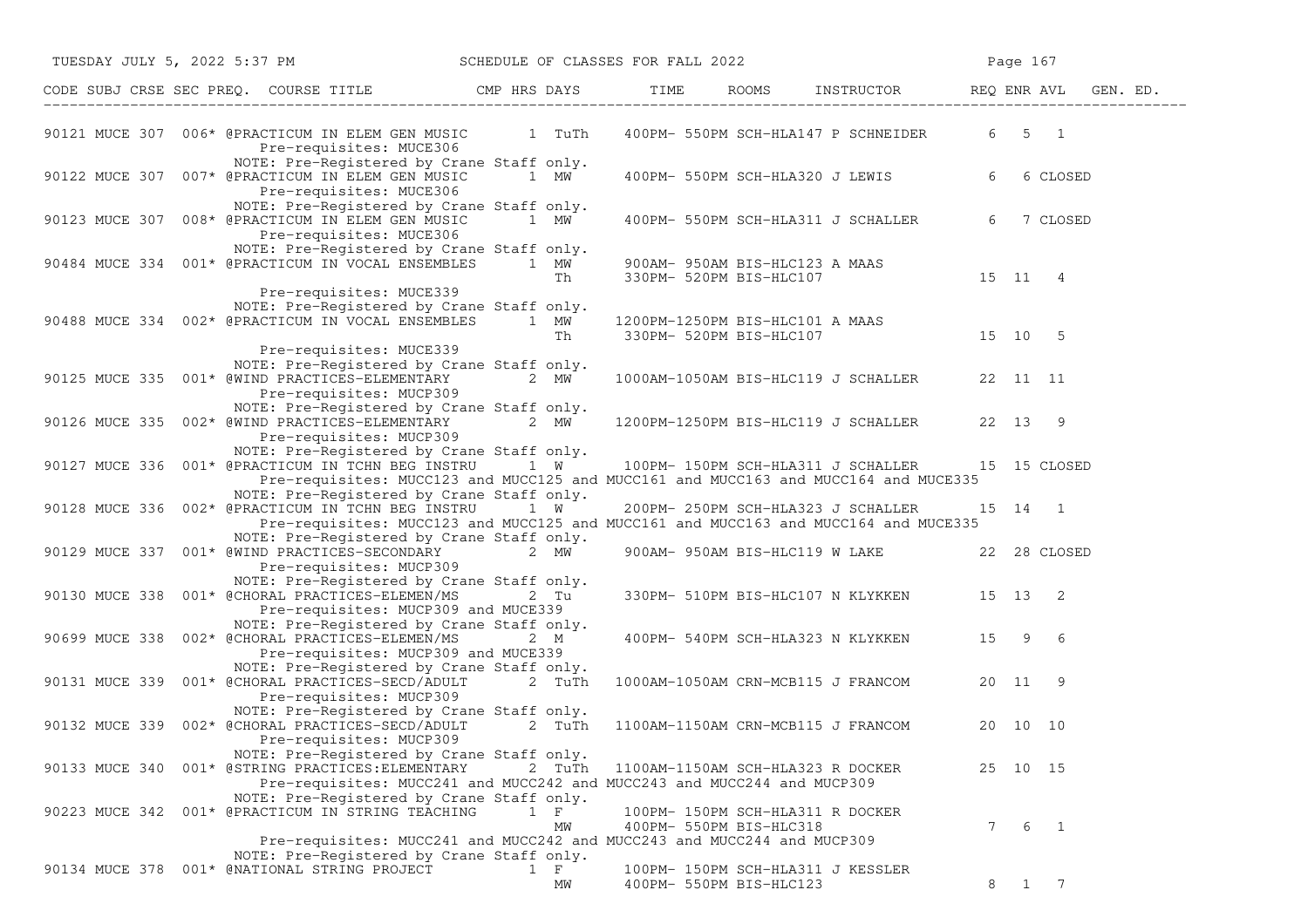|  | TUESDAY JULY 5, 2022 5:37 PM SCHEDULE OF CLASSES FOR FALL 2022                                                                                                                                                                        |                   |                                 |                                              |   | Page 167            |          |
|--|---------------------------------------------------------------------------------------------------------------------------------------------------------------------------------------------------------------------------------------|-------------------|---------------------------------|----------------------------------------------|---|---------------------|----------|
|  | CODE SUBJ CRSE SEC PREQ. COURSE TITLE THE THE THE ROOMS INSTRUCTOR THE REQ ENR AVL                                                                                                                                                    |                   |                                 |                                              |   |                     | GEN. ED. |
|  | 90121 MUCE 307 006* @PRACTICUM IN ELEM GEN MUSIC 1 TuTh<br>Pre-requisites: MUCE306                                                                                                                                                    |                   |                                 | 400PM- 550PM SCH-HLA147 P SCHNEIDER          |   | $6 \t 5 \t 1$       |          |
|  | NOTE: Pre-Registered by Crane Staff only.<br>90122 MUCE 307 007* @PRACTICUM IN ELEM GEN MUSIC<br>Pre-requisites: MUCE306                                                                                                              | 1 MW              |                                 | 400PM- 550PM SCH-HLA320 J LEWIS              | 6 | 6 CLOSED            |          |
|  | NOTE: Pre-Registered by Crane Staff only.<br>90123 MUCE 307 008* @PRACTICUM IN ELEM GEN MUSIC 1 MW<br>Pre-requisites: MUCE306                                                                                                         |                   |                                 | 400PM- 550PM SCH-HLA311 J SCHALLER           | 6 | 7 CLOSED            |          |
|  | NOTE: Pre-Registered by Crane Staff only.<br>90484 MUCE 334 001* @PRACTICUM IN VOCAL ENSEMBLES 1 MW                                                                                                                                   | Th                | 900AM- 950AM BIS-HLC123 A MAAS  | 330PM- 520PM BIS-HLC107 15 11 4              |   |                     |          |
|  | Pre-requisites: MUCE339<br>NOTE: Pre-Registered by Crane Staff only.<br>90488 MUCE 334 002* @PRACTICUM IN VOCAL ENSEMBLES 1 MW                                                                                                        | Th                | 1200PM-1250PM BIS-HLC101 A MAAS | 330PM-520PM BIS-HLC107 15 10 5               |   |                     |          |
|  | Pre-requisites: MUCE339<br>NOTE: Pre-Registered by Crane Staff only.<br>90125 MUCE 335 001* @WIND PRACTICES-ELEMENTARY<br>Pre-requisites: MUCP309                                                                                     | 2 $MW-$           |                                 | 1000AM-1050AM BIS-HLC119 J SCHALLER 22 11 11 |   |                     |          |
|  | NOTE: Pre-Registered by Crane Staff only.<br>90126 MUCE 335 002* @WIND PRACTICES-ELEMENTARY 2 MW 1200PM-1250PM BIS-HLC119 J SCHALLER 22 13 9<br>Pre-requisites: MUCP309                                                               |                   |                                 |                                              |   |                     |          |
|  | NOTE: Pre-Registered by Crane Staff only.<br>90127 MUCE 336 001* @PRACTICUM IN TCHN BEG INSTRU $1 \text{ W}$ 100PM-150PM SCH-HLA311 J SCHALLER<br>Pre-requisites: MUCC123 and MUCC125 and MUCC161 and MUCC163 and MUCC164 and MUCE335 |                   |                                 |                                              |   | 15 15 CLOSED        |          |
|  | NOTE: Pre-Registered by Crane Staff only.<br>90128 MUCE 336 002* @PRACTICUM IN TCHN BEG INSTRU 1 W<br>Pre-requisites: MUCC123 and MUCC125 and MUCC161 and MUCC163 and MUCC164 and MUCE335                                             |                   |                                 | 200PM- 250PM SCH-HLA323 J SCHALLER           |   | 15 14 1             |          |
|  | NOTE: Pre-Registered by Crane Staff only.<br>90129 MUCE 337 001* @WIND PRACTICES-SECONDARY 2 MW<br>Pre-requisites: MUCP309                                                                                                            |                   |                                 | 900AM- 950AM BIS-HLC119 W LAKE 22 28 CLOSED  |   |                     |          |
|  | NOTE: Pre-Registered by Crane Staff only.<br>90130 MUCE 338 001* @CHORAL PRACTICES-ELEMEN/MS 2 Tu<br>Pre-requisites: MUCP309 and MUCE339                                                                                              |                   |                                 | 330PM- 510PM BIS-HLC107 N KLYKKEN 15 13 2    |   |                     |          |
|  | NOTE: Pre-Registered by Crane Staff only.<br>90699 MUCE 338 002* @CHORAL PRACTICES-ELEMEN/MS<br>Pre-requisites: MUCP309 and MUCE339                                                                                                   | 2 M               |                                 | 400PM- 540PM SCH-HLA323 N KLYKKEN 15 9 6     |   |                     |          |
|  | NOTE: Pre-Registered by Crane Staff only.<br>90131 MUCE 339 001* @CHORAL PRACTICES-SECD/ADULT 2 TuTh 1000AM-1050AM CRN-MCB115 J FRANCOM<br>Pre-requisites: MUCP309                                                                    |                   |                                 |                                              |   | 20 11 9             |          |
|  | NOTE: Pre-Registered by Crane Staff only.<br>90132 MUCE 339 002* @CHORAL PRACTICES-SECD/ADULT 2 TuTh<br>Pre-requisites: MUCP309                                                                                                       |                   |                                 | 1100AM-1150AM CRN-MCB115 J FRANCOM 20 10 10  |   |                     |          |
|  | NOTE: Pre-Registered by Crane Staff only.<br>90133 MUCE 340 001* @STRING PRACTICES: ELEMENTARY<br>Pre-requisites: MUCC241 and MUCC242 and MUCC243 and MUCC244 and MUCP309                                                             | 2 TuTh            |                                 | 1100AM-1150AM SCH-HLA323 R DOCKER            |   | 25 10 15            |          |
|  | NOTE: Pre-Registered by Crane Staff only.<br>90223 MUCE 342 001* @PRACTICUM IN STRING TEACHING                                                                                                                                        | $1 \quad F$<br>МW | 400PM- 550PM BIS-HLC318         | 100PM- 150PM SCH-HLA311 R DOCKER             | 7 | 6<br>$\overline{1}$ |          |
|  | Pre-requisites: MUCC241 and MUCC242 and MUCC243 and MUCC244 and MUCP309<br>NOTE: Pre-Registered by Crane Staff only.<br>90134 MUCE 378 001* @NATIONAL STRING PROJECT                                                                  | $1 \quad F$       |                                 | 100PM- 150PM SCH-HLA311 J KESSLER            |   |                     |          |
|  |                                                                                                                                                                                                                                       | МW                | 400PM- 550PM BIS-HLC123         |                                              | 8 | 1 7                 |          |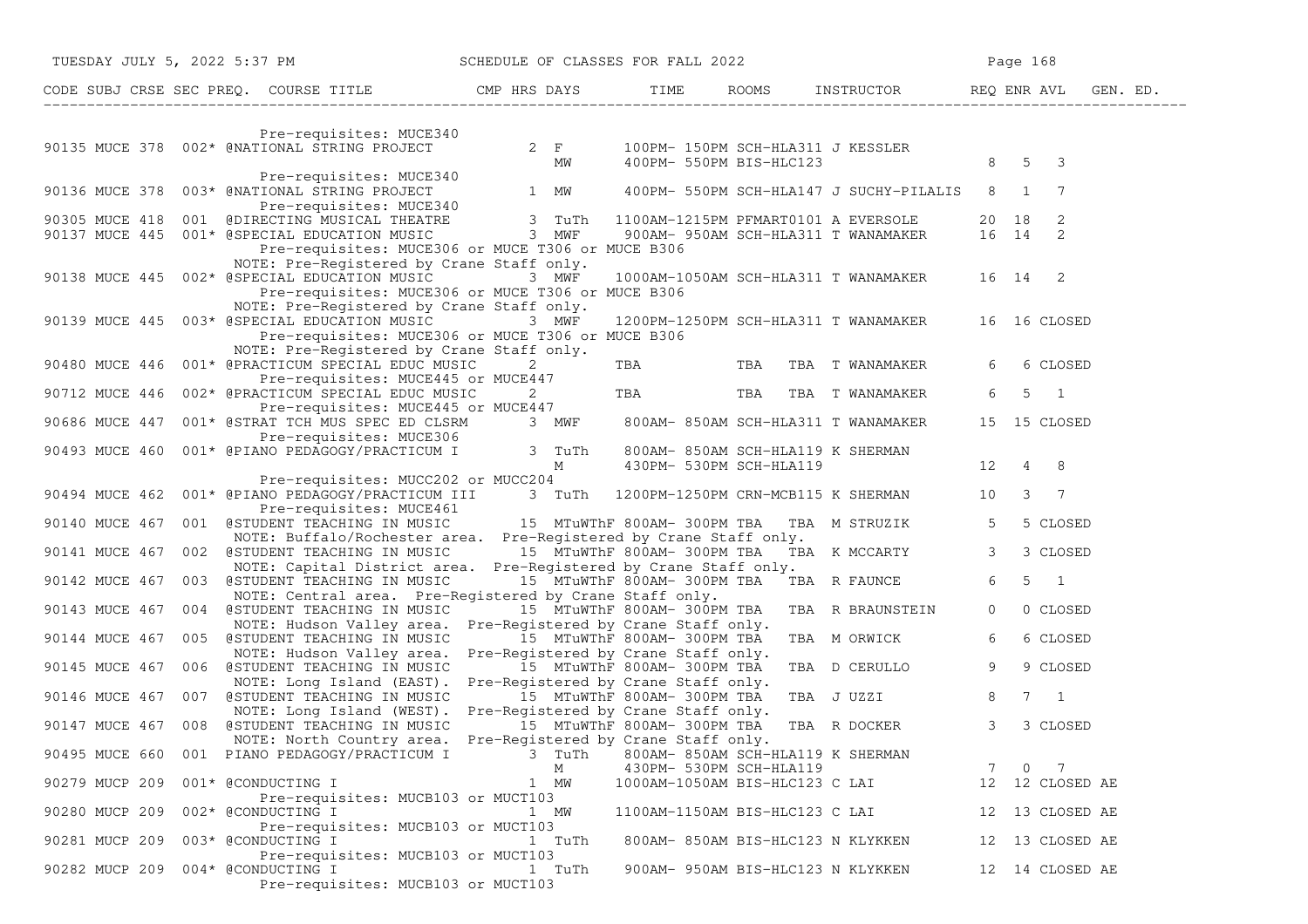|                |  | TUESDAY JULY 5, 2022 5:37 PM SCHEDULE OF CLASSES FOR FALL 2022                                                                                                                                    |                             |                                |                                |                                                                    |                                                           |                                                   |                | Page 168       |                       |  |
|----------------|--|---------------------------------------------------------------------------------------------------------------------------------------------------------------------------------------------------|-----------------------------|--------------------------------|--------------------------------|--------------------------------------------------------------------|-----------------------------------------------------------|---------------------------------------------------|----------------|----------------|-----------------------|--|
|                |  | CODE SUBJ CRSE SEC PREQ. COURSE TITLE THE ROOMS INSTRUCTOR THE ROOMS ENRICH REQ ENR AVL GEN. ED.                                                                                                  |                             |                                |                                |                                                                    |                                                           |                                                   |                |                |                       |  |
|                |  |                                                                                                                                                                                                   |                             |                                |                                |                                                                    |                                                           |                                                   |                |                |                       |  |
|                |  | Pre-requisites: MUCE340<br>90135 MUCE 378 002* @NATIONAL STRING PROJECT 2 F 100PM-150PM SCH-HLA311 J KESSLER                                                                                      |                             |                                | <b>MW</b>                      |                                                                    |                                                           | 400PM- 550PM BIS-HLC123                           |                | 8 5 3          |                       |  |
|                |  | Pre-requisites: MUCE340                                                                                                                                                                           |                             |                                |                                |                                                                    |                                                           |                                                   |                |                |                       |  |
|                |  | 90136 MUCE 378 003* @NATIONAL STRING PROJECT 1 MW 400PM- 550PM SCH-HLA147 J SUCHY-PILALIS 8 1 7                                                                                                   |                             |                                |                                |                                                                    |                                                           |                                                   |                |                |                       |  |
|                |  | 90305 MUCE 418 001 @DIRECTING MUSICAL THEATRE 3 TuTh 1100AM-1215PM PFMART0101 A EVERSOLE 20 18 2<br>90137 MUCE 445 001* @SPECIAL EDUCATION MUSIC 3 MWF 900AM-950AM SCH-HLA311 T WANAMAKER 16 14 2 |                             |                                |                                |                                                                    |                                                           |                                                   |                |                |                       |  |
|                |  | Pre-requisites: MUCE306 or MUCE T306 or MUCE B306                                                                                                                                                 |                             |                                |                                |                                                                    |                                                           |                                                   |                |                |                       |  |
|                |  | NOTE: Pre-Registered by Crane Staff only.                                                                                                                                                         |                             |                                |                                |                                                                    |                                                           |                                                   |                |                |                       |  |
|                |  | 90138 MUCE 445 002* @SPECIAL EDUCATION MUSIC                                                                                                                                                      |                             | 3 MWF                          |                                |                                                                    |                                                           | 1000AM-1050AM SCH-HLA311 T WANAMAKER 16 14 2      |                |                |                       |  |
|                |  | Pre-requisites: MUCE306 or MUCE T306 or MUCE B306                                                                                                                                                 |                             |                                |                                |                                                                    |                                                           |                                                   |                |                |                       |  |
|                |  | NOTE: Pre-Registered by Crane Staff only.<br>90139 MUCE 445 003* @SPECIAL EDUCATION MUSIC                                                                                                         |                             | 3 MWF                          |                                |                                                                    |                                                           | 1200PM-1250PM SCH-HLA311 T WANAMAKER 16 16 CLOSED |                |                |                       |  |
|                |  | Pre-requisites: MUCE306 or MUCE T306 or MUCE B306                                                                                                                                                 |                             |                                |                                |                                                                    |                                                           |                                                   |                |                |                       |  |
|                |  | NOTE: Pre-Registered by Crane Staff only.                                                                                                                                                         |                             |                                |                                |                                                                    |                                                           |                                                   |                |                |                       |  |
| 90480 MUCE 446 |  | 001* @PRACTICUM SPECIAL EDUC MUSIC<br>Pre-requisites: MUCE445 or MUCE447                                                                                                                          |                             | $2 \left( \frac{1}{2} \right)$ |                                |                                                                    |                                                           | TBA TBA TBA TWANAMAKER                            | 6              |                | 6 CLOSED              |  |
| 90712 MUCE 446 |  | 002* @PRACTICUM SPECIAL EDUC MUSIC                                                                                                                                                                |                             |                                | $2 \left( \frac{1}{2} \right)$ |                                                                    |                                                           | TBA TBA TBA TWANAMAKER                            | 6              |                | $5 \quad 1$           |  |
|                |  | Pre-requisites: MUCE445 or MUCE447                                                                                                                                                                |                             |                                |                                |                                                                    |                                                           |                                                   |                |                |                       |  |
| 90686 MUCE 447 |  | 001* @STRAT TCH MUS SPEC ED CLSRM 3 MWF 800AM-850AM SCH-HLA311 T WANAMAKER<br>Pre-requisites: MUCE306                                                                                             |                             |                                |                                |                                                                    |                                                           |                                                   |                |                | 15 15 CLOSED          |  |
| 90493 MUCE 460 |  | 001* @PIANO PEDAGOGY/PRACTICUM I 3 TuTh                                                                                                                                                           |                             |                                |                                |                                                                    | 800AM- 850AM SCH-HLA119 K SHERMAN                         |                                                   |                |                |                       |  |
|                |  |                                                                                                                                                                                                   |                             |                                | M                              |                                                                    | 430PM- 530PM SCH-HLA119                                   |                                                   | $12 \t 4 \t 8$ |                |                       |  |
| 90494 MUCE 462 |  | Pre-requisites: MUCC202 or MUCC204<br>001* @PIANO PEDAGOGY/PRACTICUM III 3 TuTh 1200PM-1250PM CRN-MCB115 K SHERMAN 10                                                                             |                             |                                |                                |                                                                    |                                                           |                                                   |                |                | $3 \overline{7}$      |  |
|                |  | Pre-requisites: MUCE461                                                                                                                                                                           |                             |                                |                                |                                                                    |                                                           |                                                   |                |                |                       |  |
| 90140 MUCE 467 |  | 001 @STUDENT TEACHING IN MUSIC 315 MTuWThF 800AM-300PM TBA TBA M STRUZIK                                                                                                                          |                             |                                |                                |                                                                    |                                                           |                                                   | 5 <sup>5</sup> |                | 5 CLOSED              |  |
| 90141 MUCE 467 |  | NOTE: Buffalo/Rochester area. Pre-Registered by Crane Staff only.<br>002 @STUDENT TEACHING IN MUSIC 15 MTuWThF 800AM-300PM TBA                                                                    |                             |                                |                                |                                                                    |                                                           | TBA K MCCARTY                                     | $\mathcal{S}$  |                | 3 CLOSED              |  |
|                |  | NOTE: Capital District area. Pre-Registered by Crane Staff only.                                                                                                                                  |                             |                                |                                |                                                                    |                                                           |                                                   |                |                |                       |  |
|                |  | 90142 MUCE 467 003 @STUDENT TEACHING IN MUSIC                                                                                                                                                     |                             |                                |                                | 15 MTuWThF 800AM- 300PM TBA                                        |                                                           | TBA R FAUNCE                                      | 6              |                | $5 \quad 1$           |  |
| 90143 MUCE 467 |  | NOTE: Central area. Pre-Registered by Crane Staff only.<br>004 @STUDENT TEACHING IN MUSIC                                                                                                         | 15 MTuWThF 800AM- 300PM TBA |                                |                                |                                                                    |                                                           | TBA R BRAUNSTEIN                                  | $\circ$        |                | 0 CLOSED              |  |
|                |  | NOTE: Hudson Valley area. Pre-Registered by Crane Staff only.                                                                                                                                     |                             |                                |                                |                                                                    |                                                           |                                                   |                |                |                       |  |
|                |  | 90144 MUCE 467 005 @STUDENT TEACHING IN MUSIC                                                                                                                                                     |                             |                                |                                | 15 MTuWThF 800AM- 300PM TBA                                        |                                                           | TBA M ORWICK                                      | 6              |                | 6 CLOSED              |  |
|                |  | NOTE: Hudson Valley area.<br>90145 MUCE 467 006 @STUDENT TEACHING IN MUSIC                                                                                                                        |                             |                                |                                | Pre-Registered by Crane Staff only.<br>15 MTuWThF 800AM- 300PM TBA |                                                           | TBA D CERULLO                                     | 9              |                | 9 CLOSED              |  |
|                |  | NOTE: Long Island (EAST).                                                                                                                                                                         |                             |                                |                                | Pre-Registered by Crane Staff only.                                |                                                           |                                                   |                |                |                       |  |
|                |  | 90146 MUCE 467 007 @STUDENT TEACHING IN MUSIC                                                                                                                                                     |                             |                                |                                | 15 MTuWThF 800AM- 300PM TBA                                        |                                                           | TBA J UZZI                                        | 8              |                | $7 \quad 1$           |  |
|                |  | NOTE: Long Island (WEST).<br>90147 MUCE 467 008 @STUDENT TEACHING IN MUSIC                                                                                                                        |                             |                                |                                | Pre-Registered by Crane Staff only.<br>15 MTuWThF 800AM- 300PM TBA |                                                           | TBA R DOCKER                                      | 3              |                | 3 CLOSED              |  |
|                |  | NOTE: North Country area.                                                                                                                                                                         |                             |                                |                                | Pre-Registered by Crane Staff only.                                |                                                           |                                                   |                |                |                       |  |
| 90495 MUCE 660 |  | 001 PIANO PEDAGOGY/PRACTICUM I                                                                                                                                                                    |                             | 3 TuTh                         |                                |                                                                    | 800AM- 850AM SCH-HLA119 K SHERMAN                         |                                                   |                |                |                       |  |
| 90279 MUCP 209 |  | 001* @CONDUCTING I                                                                                                                                                                                |                             | М<br>1 MW                      |                                |                                                                    | 430PM- 530PM SCH-HLA119<br>1000AM-1050AM BIS-HLC123 C LAI |                                                   | 7              | $\overline{0}$ | -7<br>12 12 CLOSED AE |  |
|                |  | Pre-requisites: MUCB103 or MUCT103                                                                                                                                                                |                             |                                |                                |                                                                    |                                                           |                                                   |                |                |                       |  |
| 90280 MUCP 209 |  | 002* @CONDUCTING I                                                                                                                                                                                |                             | 1 MW                           |                                |                                                                    | 1100AM-1150AM BIS-HLC123 C LAI                            |                                                   |                |                | 12 13 CLOSED AE       |  |
| 90281 MUCP 209 |  | Pre-requisites: MUCB103 or MUCT103<br>003* @CONDUCTING I                                                                                                                                          |                             | 1 TuTh                         |                                |                                                                    | 800AM- 850AM BIS-HLC123 N KLYKKEN                         |                                                   |                |                | 12 13 CLOSED AE       |  |
|                |  | Pre-requisites: MUCB103 or MUCT103                                                                                                                                                                |                             |                                |                                |                                                                    |                                                           |                                                   |                |                |                       |  |
| 90282 MUCP 209 |  | 004* @CONDUCTING I                                                                                                                                                                                |                             |                                | 1 TuTh                         |                                                                    | 900AM- 950AM BIS-HLC123 N KLYKKEN                         |                                                   |                |                | 12 14 CLOSED AE       |  |
|                |  | Pre-requisites: MUCB103 or MUCT103                                                                                                                                                                |                             |                                |                                |                                                                    |                                                           |                                                   |                |                |                       |  |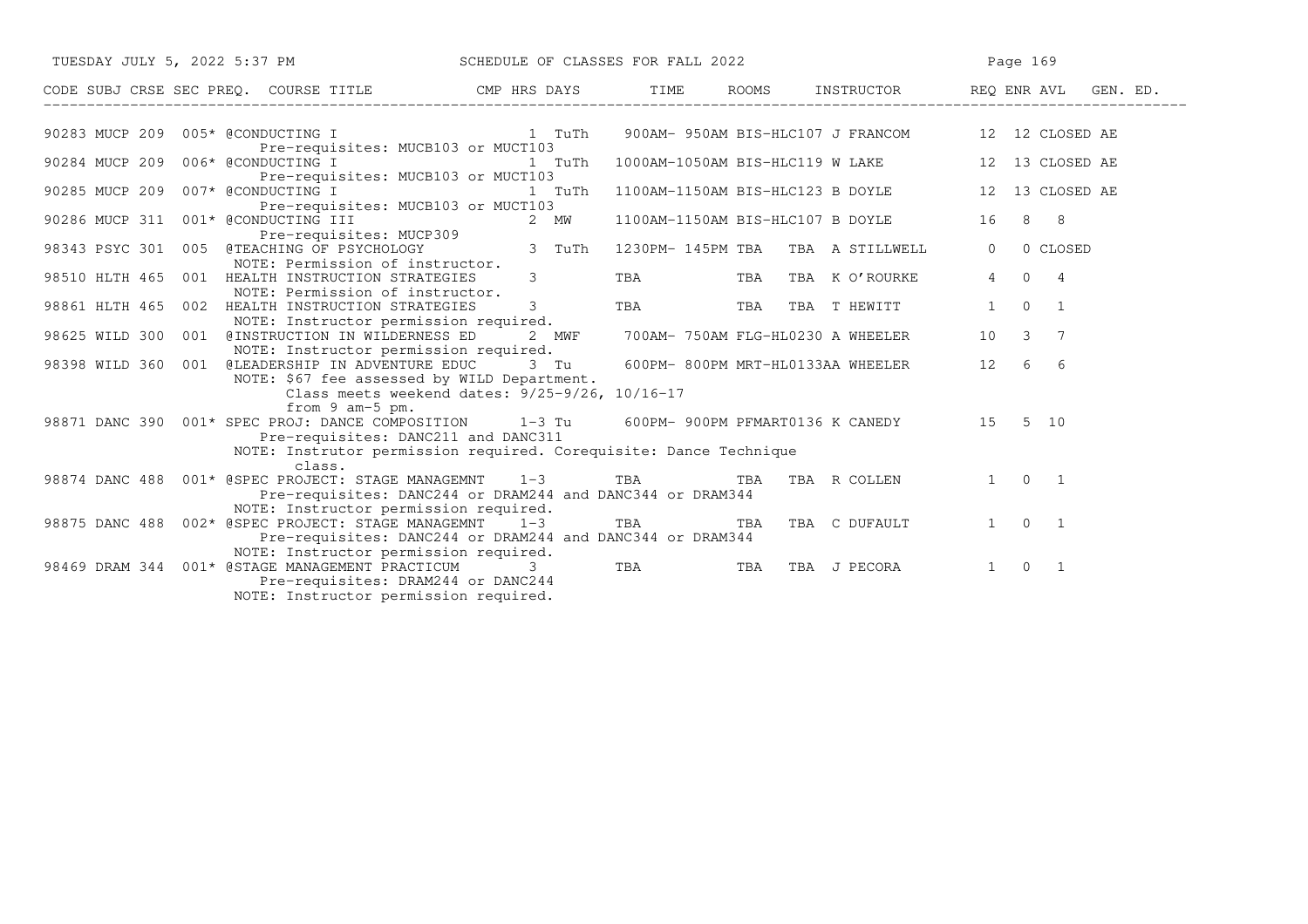| TUESDAY JULY 5, 2022 5:37 PM SCHEDULE OF CLASSES FOR FALL 2022                                                                                                       |                                | Page 169 |                                                         |                 |                     |                |  |
|----------------------------------------------------------------------------------------------------------------------------------------------------------------------|--------------------------------|----------|---------------------------------------------------------|-----------------|---------------------|----------------|--|
|                                                                                                                                                                      |                                |          |                                                         |                 |                     |                |  |
| 90283 MUCP 209 005* @CONDUCTING I THE 1 TuTh                                                                                                                         |                                |          | 900AM- 950AM BIS-HLC107 J FRANCOM 12 12 CLOSED AE       |                 |                     |                |  |
| Pre-requisites: MUCB103 or MUCT103<br>90284 MUCP 209 006* @CONDUCTING I                                                                                              | 1 TuTh                         |          | 1000AM-1050AM BIS-HLC119 W LAKE 12 13 CLOSED AE         |                 |                     |                |  |
| Pre-requisites: MUCB103 or MUCT103<br>90285 MUCP 209 007* @CONDUCTING I                                                                                              |                                |          | 1 TuTh 1100AM-1150AM BIS-HLC123 B DOYLE 12 13 CLOSED AE |                 |                     |                |  |
| Pre-requisites: MUCB103 or MUCT103<br>90286 MUCP 311 001* @CONDUCTING III                                                                                            | 2 MW                           |          | 1100AM-1150AM BIS-HLC107 B DOYLE 16 8 8                 |                 |                     |                |  |
| 98343 PSYC 301 005 @TEACHING OF PSYCHOLOGY<br>NOTE: Permission of instructor.                                                                                        |                                |          | 1230PM-145PM TBA TBA A STILLWELL                        | $\Omega$        |                     | 0 CLOSED       |  |
| 98510 HLTH 465 001 HEALTH INSTRUCTION STRATEGIES<br>NOTE: Permission of instructor.                                                                                  | $3 \left( \frac{1}{2} \right)$ |          | TBA TBA TBA KO'ROURKE                                   | $4\overline{ }$ | $0\quad 4$          |                |  |
| 98861 HLTH 465 002 HEALTH INSTRUCTION STRATEGIES<br>NOTE: Instructor permission required.                                                                            | $3 \left( \frac{1}{2} \right)$ |          | TBA TBA TBA THEWITT                                     | 1               | $\Omega$            | $\overline{1}$ |  |
| 98625 WILD 300 001 @INSTRUCTION IN WILDERNESS ED 2 MWF<br>NOTE: Instructor permission required.                                                                      |                                |          | 700AM- 750AM FLG-HL0230 A WHEELER                       | 10              | $3 \overline{7}$    |                |  |
| 98398 WILD 360 001 @LEADERSHIP IN ADVENTURE EDUC 3 Tu<br>NOTE: \$67 fee assessed by WILD Department.                                                                 |                                |          | 600PM-800PM MRT-HL0133AA WHEELER 12                     |                 | 6 6                 |                |  |
| Class meets weekend dates: 9/25-9/26, 10/16-17<br>from 9 am-5 pm.<br>98871 DANC 390 001* SPEC PROJ: DANCE COMPOSITION 1-3 Tu 600PM-900PM PFMART0136 K CANEDY 15 5 10 |                                |          |                                                         |                 |                     |                |  |
| Pre-requisites: DANC211 and DANC311<br>NOTE: Instrutor permission required. Corequisite: Dance Technique                                                             |                                |          |                                                         |                 |                     |                |  |
| class.<br>98874 DANC 488  001* @SPEC PROJECT: STAGE MANAGEMNT  1-3 TBA                                                                                               |                                | TBA      | TBA R COLLEN 1 0 1                                      |                 |                     |                |  |
| Pre-requisites: DANC244 or DRAM244 and DANC344 or DRAM344<br>NOTE: Instructor permission required.                                                                   |                                |          |                                                         |                 |                     |                |  |
| 98875 DANC 488 002* @SPEC PROJECT: STAGE MANAGEMNT 1-3 TBA TBA TBA TBA C DUFAULT<br>Pre-requisites: DANC244 or DRAM244 and DANC344 or DRAM344                        |                                |          |                                                         |                 | $1 \quad 0 \quad 1$ |                |  |
| NOTE: Instructor permission required.<br>98469 DRAM 344 001* @STAGE MANAGEMENT PRACTICUM 3 TBA<br>Pre-requisites: DRAM244 or DANC244                                 |                                |          | TBA TBA J PECORA                                        |                 | $1 \quad 0 \quad 1$ |                |  |
| NOTE: Instructor permission required.                                                                                                                                |                                |          |                                                         |                 |                     |                |  |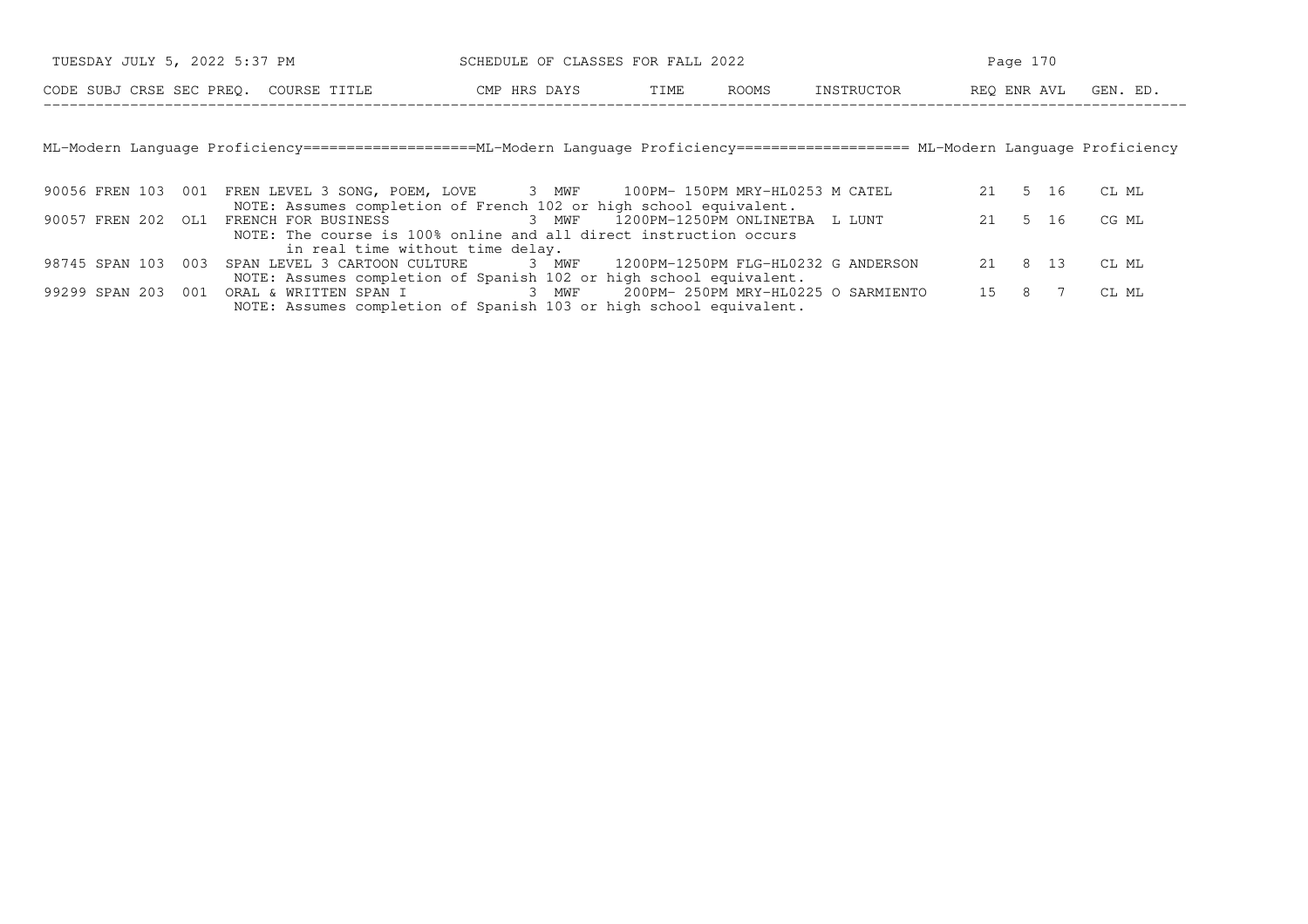| TUESDAY JULY 5, 2022 5:37 PM          |              | SCHEDULE OF CLASSES FOR FALL 2022 |       | Page 170   |                      |  |  |  |  |
|---------------------------------------|--------------|-----------------------------------|-------|------------|----------------------|--|--|--|--|
| CODE SUBJ CRSE SEC PREO. COURSE TITLE | CMP HRS DAYS | TIME                              | ROOMS | INSTRUCTOR | REO ENR AVL GEN. ED. |  |  |  |  |

ML−Modern Language Proficiency====================ML−Modern Language Proficiency==================== ML−Modern Language Proficiency

|  | 90056 FREN 103 001 FREN LEVEL 3 SONG, POEM, LOVE 3 MWF 100PM-150PM MRY-HL0253 M CATEL     | 21 5 16 |  | CL ML        |
|--|-------------------------------------------------------------------------------------------|---------|--|--------------|
|  | NOTE: Assumes completion of French 102 or high school equivalent.                         |         |  |              |
|  |                                                                                           |         |  | 21 5 16 CGML |
|  | NOTE: The course is 100% online and all direct instruction occurs                         |         |  |              |
|  | in real time without time delay.                                                          |         |  |              |
|  | 98745 SPAN 103 003 SPAN LEVEL 3 CARTOON CULTURE 3 MWF 1200PM-1250PM FLG-HL0232 G ANDERSON | 21 8 13 |  | CL ML        |
|  | NOTE: Assumes completion of Spanish 102 or high school equivalent.                        |         |  |              |
|  | 99299 SPAN 203 001 ORAL & WRITTEN SPAN I 3 MWF 200PM-250PM MRY-HL0225 O SARMIENTO         |         |  | 15 8 7 CLML  |
|  | NOTE: Assumes completion of Spanish 103 or high school equivalent.                        |         |  |              |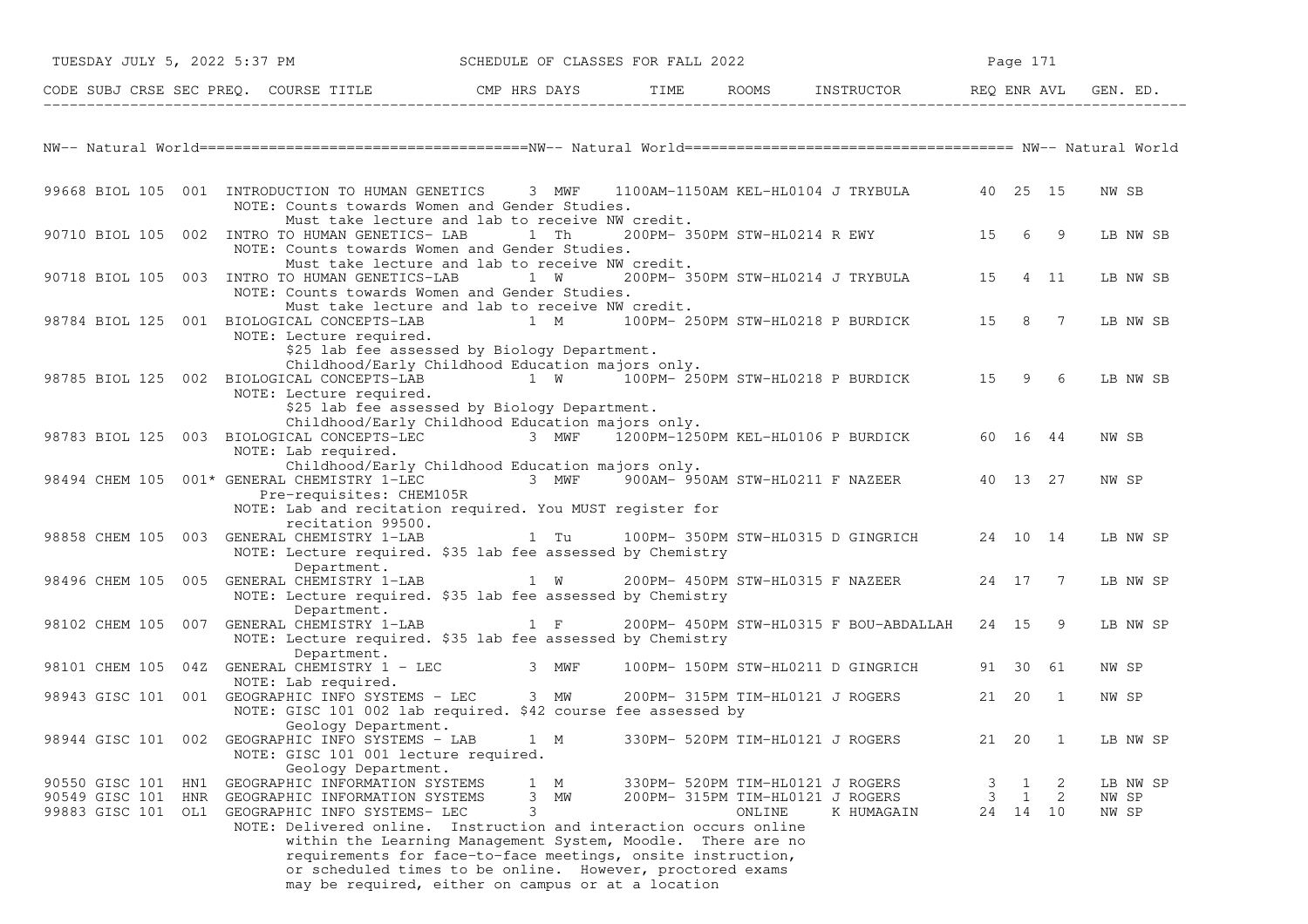| TUESDAY JULY 5, 2022 5:37 PM                                         |                                                                                                                                                                                              | SCHEDULE OF CLASSES FOR FALL 2022                                                                                                                                                                                                                                                  |        |                                                                                    |        | Page 171                      |                            |
|----------------------------------------------------------------------|----------------------------------------------------------------------------------------------------------------------------------------------------------------------------------------------|------------------------------------------------------------------------------------------------------------------------------------------------------------------------------------------------------------------------------------------------------------------------------------|--------|------------------------------------------------------------------------------------|--------|-------------------------------|----------------------------|
|                                                                      | CODE SUBJ CRSE SEC PREQ. COURSE TITLE THE ROOMS INSTRUCTOR THE ROOMS EN REQ ENR AVL GEN. ED.                                                                                                 |                                                                                                                                                                                                                                                                                    |        |                                                                                    |        |                               |                            |
|                                                                      |                                                                                                                                                                                              |                                                                                                                                                                                                                                                                                    |        |                                                                                    |        |                               |                            |
|                                                                      | 99668 BIOL 105 001 INTRODUCTION TO HUMAN GENETICS 3 MWF<br>NOTE: Counts towards Women and Gender Studies.                                                                                    |                                                                                                                                                                                                                                                                                    |        | 1100AM-1150AM KEL-HL0104 J TRYBULA 40 25 15                                        |        |                               | NW SB                      |
|                                                                      | 90710 BIOL 105 002 INTRO TO HUMAN GENETICS- LAB<br>NOTE: Counts towards Women and Gender Studies.                                                                                            | Must take lecture and lab to receive NW credit.<br>1 Th                                                                                                                                                                                                                            |        | 200PM-350PM STW-HL0214 R EWY 15 6 9                                                |        |                               | LB NW SB                   |
| 90718 BIOL 105 003                                                   | INTRO TO HUMAN GENETICS-LAB 1 W 200PM-350PM STW-HL0214 J TRYBULA 15<br>NOTE: Counts towards Women and Gender Studies.                                                                        | Must take lecture and lab to receive NW credit.                                                                                                                                                                                                                                    |        |                                                                                    |        | 4 11                          | LB NW SB                   |
|                                                                      | 98784 BIOL 125 001 BIOLOGICAL CONCEPTS-LAB<br>NOTE: Lecture required.                                                                                                                        | Must take lecture and lab to receive NW credit.<br>1 M 100PM-250PM STW-HL0218 P BURDICK 15 8 7                                                                                                                                                                                     |        |                                                                                    |        |                               | LB NW SB                   |
|                                                                      | 98785 BIOL 125 002 BIOLOGICAL CONCEPTS-LAB<br>NOTE: Lecture required.                                                                                                                        | \$25 lab fee assessed by Biology Department.<br>Childhood/Early Childhood Education majors only.<br>1 W 100PM-250PM STW-HL0218 P BURDICK 15 9 6<br>\$25 lab fee assessed by Biology Department.                                                                                    |        |                                                                                    |        |                               | LB NW SB                   |
|                                                                      | 98783 BIOL 125 003 BIOLOGICAL CONCEPTS-LEC<br>NOTE: Lab required.                                                                                                                            | Childhood/Early Childhood Education majors only.<br>3 MWF $\overline{1}200$ PM- $1250$ PM KEL-HL0106 P BURDICK 60 16 44                                                                                                                                                            |        |                                                                                    |        |                               | NW SB                      |
|                                                                      | 98494 CHEM 105 001* GENERAL CHEMISTRY 1-LEC 3 MWF 900AM- 950AM STW-HL0211 F NAZEER 40 13 27<br>Pre-requisites: CHEM105R<br>NOTE: Lab and recitation required. You MUST register for          | Childhood/Early Childhood Education majors only.                                                                                                                                                                                                                                   |        |                                                                                    |        |                               | NW SP                      |
| 98858 CHEM 105 003                                                   | recitation 99500.<br>GENERAL CHEMISTRY 1-LAB<br>NOTE: Lecture required. \$35 lab fee assessed by Chemistry                                                                                   | 1 Tu 100PM-350PM STW-HL0315 D GINGRICH                                                                                                                                                                                                                                             |        |                                                                                    |        | 24 10 14                      | LB NW SP                   |
|                                                                      | Department.<br>98496 CHEM 105 005 GENERAL CHEMISTRY 1-LAB<br>NOTE: Lecture required. \$35 lab fee assessed by Chemistry<br>Department.                                                       | $1 \quad W$                                                                                                                                                                                                                                                                        |        | 200PM- 450PM STW-HL0315 F NAZEER                                                   |        | 24 17 7                       | LB NW SP                   |
| 98102 CHEM 105 007                                                   | GENERAL CHEMISTRY 1-LAB<br>NOTE: Lecture required. \$35 lab fee assessed by Chemistry<br>Department.                                                                                         | $1$ F                                                                                                                                                                                                                                                                              |        | 200PM- 450PM STW-HL0315 F BOU-ABDALLAH                                             |        | 24 15 9                       | LB NW SP                   |
|                                                                      | 98101 CHEM 105 04Z GENERAL CHEMISTRY 1 - LEC 3 MWF                                                                                                                                           |                                                                                                                                                                                                                                                                                    |        | 100PM- 150PM STW-HL0211 D GINGRICH                                                 |        | 91 30 61                      | NW SP                      |
|                                                                      | NOTE: Lab required.<br>98943 GISC 101 001 GEOGRAPHIC INFO SYSTEMS - LEC 3 MW<br>NOTE: GISC 101 002 lab required. \$42 course fee assessed by                                                 |                                                                                                                                                                                                                                                                                    |        | 200PM- 315PM TIM-HL0121 J ROGERS                                                   | 21 20  | $\overline{1}$                | NW SP                      |
|                                                                      | Geology Department.<br>98944 GISC 101 002 GEOGRAPHIC INFO SYSTEMS - LAB<br>NOTE: GISC 101 001 lecture required.                                                                              | 1 M                                                                                                                                                                                                                                                                                |        | 330PM- 520PM TIM-HL0121 J ROGERS                                                   | 21 20  | $\overline{1}$                | LB NW SP                   |
| 90550 GISC 101<br>HN1<br>90549 GISC 101<br>HNR<br>99883 GISC 101 OL1 | Geology Department.<br>GEOGRAPHIC INFORMATION SYSTEMS<br>GEOGRAPHIC INFORMATION SYSTEMS<br>GEOGRAPHIC INFO SYSTEMS- LEC<br>NOTE: Delivered online. Instruction and interaction occurs online | $\mathbf{1}$<br>М<br>3<br>МW<br>3<br>within the Learning Management System, Moodle. There are no<br>requirements for face-to-face meetings, onsite instruction,<br>or scheduled times to be online. However, proctored exams<br>may be required, either on campus or at a location | ONLINE | 330PM- 520PM TIM-HL0121 J ROGERS<br>200PM- 315PM TIM-HL0121 J ROGERS<br>K HUMAGAIN | 3<br>3 | -2<br>1<br>1<br>2<br>24 14 10 | LB NW SP<br>NW SP<br>NW SP |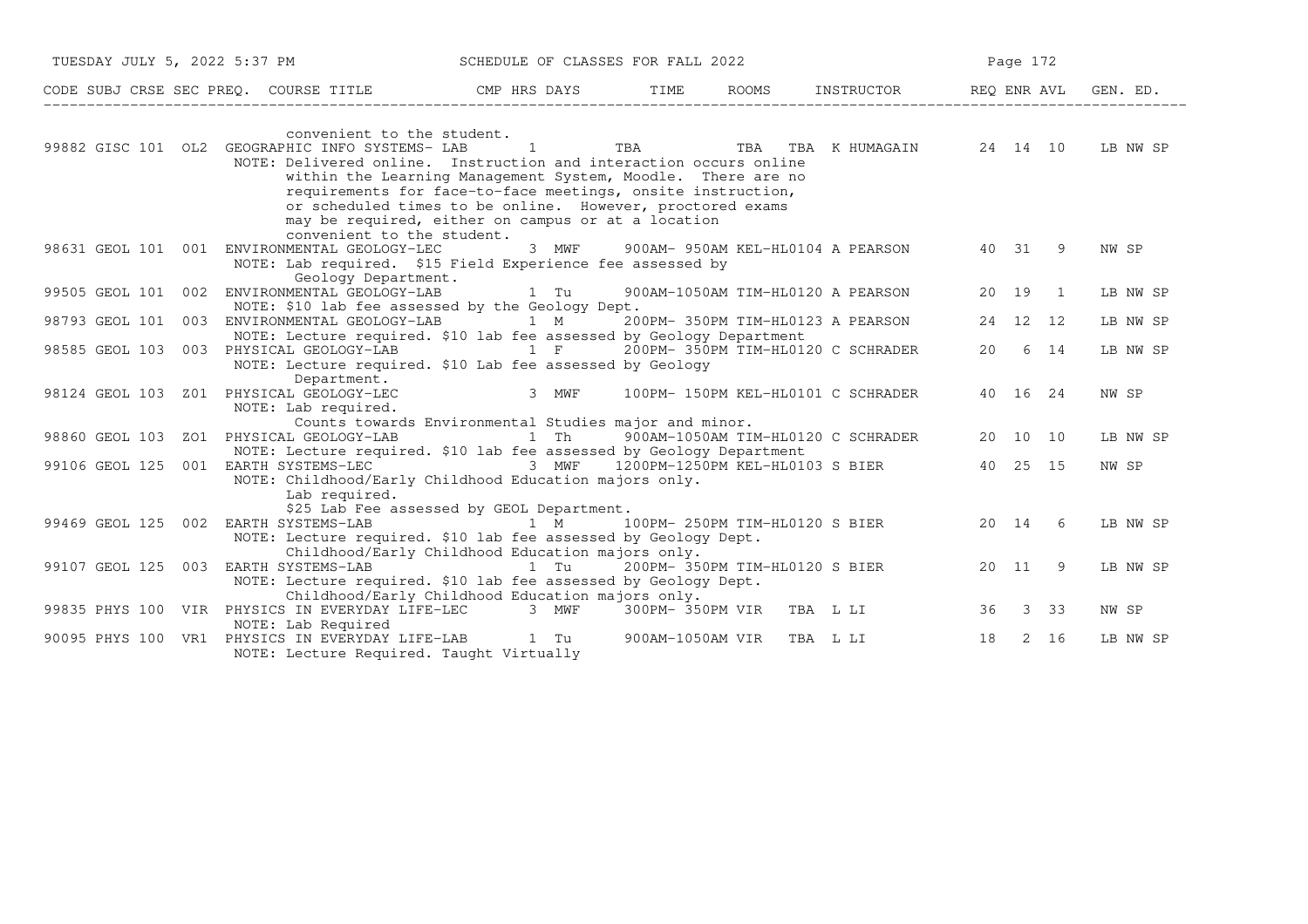|                    |     | TUESDAY JULY 5, 2022 5:37 PM                                                                                                                                                | SCHEDULE OF CLASSES FOR FALL 2022                                                                                                                                                                   |  |                           | Page 172                                |    |          |      |          |
|--------------------|-----|-----------------------------------------------------------------------------------------------------------------------------------------------------------------------------|-----------------------------------------------------------------------------------------------------------------------------------------------------------------------------------------------------|--|---------------------------|-----------------------------------------|----|----------|------|----------|
|                    |     | CODE SUBJ CRSE SEC PREQ. COURSE TITLE THE THE THE ROOMS INSTRUCTOR THE REQ ENR AVL GEN. ED.                                                                                 |                                                                                                                                                                                                     |  |                           |                                         |    |          |      |          |
|                    |     | convenient to the student.<br>99882 GISC 101 OL2 GEOGRAPHIC INFO SYSTEMS- LAB<br>NOTE: Delivered online. Instruction and interaction occurs online                          | $\sim$ 1<br>within the Learning Management System, Moodle. There are no<br>requirements for face-to-face meetings, onsite instruction,<br>or scheduled times to be online. However, proctored exams |  |                           | TBA TBA TBA KHUMAGAIN 24 14 10 LB NW SP |    |          |      |          |
|                    |     | convenient to the student.<br>98631 GEOL 101 001 ENVIRONMENTAL GEOLOGY-LEC<br>NOTE: Lab required. \$15 Field Experience fee assessed by<br>Geology Department.              | may be required, either on campus or at a location<br>3 MWF                                                                                                                                         |  |                           | 900AM- 950AM KEL-HL0104 A PEARSON       |    | 40 31 9  |      | NW SP    |
| 99505 GEOL 101 002 |     | ENVIRONMENTAL GEOLOGY-LAB                                                                                                                                                   | 1 Tu                                                                                                                                                                                                |  |                           | 900AM-1050AM TIM-HL0120 A PEARSON       |    | 20 19 1  |      | LB NW SP |
|                    |     | NOTE: \$10 lab fee assessed by the Geology Dept.<br>98793 GEOL 101 003 ENVIRONMENTAL GEOLOGY-LAB 1 M<br>NOTE: Lecture required. \$10 lab fee assessed by Geology Department |                                                                                                                                                                                                     |  |                           | 200PM- 350PM TIM-HL0123 A PEARSON       |    | 24 12 12 |      | LB NW SP |
| 98585 GEOL 103     |     | 003 PHYSICAL GEOLOGY-LAB 1 F<br>NOTE: Lecture required. \$10 Lab fee assessed by Geology                                                                                    |                                                                                                                                                                                                     |  |                           | 200PM- 350PM TIM-HL0120 C SCHRADER      |    | 20 6 14  |      | LB NW SP |
|                    |     | Department.<br>98124 GEOL 103 Z01 PHYSICAL GEOLOGY-LEC<br>NOTE: Lab required.                                                                                               | 3 MWF                                                                                                                                                                                               |  |                           | 100PM- 150PM KEL-HL0101 C SCHRADER      |    | 40 16 24 |      | NW SP    |
|                    |     |                                                                                                                                                                             | Counts towards Environmental Studies major and minor.                                                                                                                                               |  |                           |                                         |    |          |      |          |
| 98860 GEOL 103     |     | ZO1 PHYSICAL GEOLOGY-LAB<br>NOTE: Lecture required. \$10 lab fee assessed by Geology Department                                                                             |                                                                                                                                                                                                     |  |                           | 1 Th 900AM-1050AM TIM-HL0120 C SCHRADER |    | 20 10 10 |      | LB NW SP |
| 99106 GEOL 125     |     | 001 EARTH SYSTEMS-LEC $\overline{3}$ MWF 1200PM-1250PM KEL-HL0103 S BIER<br>NOTE: Childhood/Early Childhood Education majors only.<br>Lab required.                         |                                                                                                                                                                                                     |  |                           |                                         |    | 40 25 15 |      | NW SP    |
|                    |     |                                                                                                                                                                             | \$25 Lab Fee assessed by GEOL Department.                                                                                                                                                           |  |                           |                                         |    |          |      |          |
|                    |     | 99469 GEOL 125 002 EARTH SYSTEMS-LAB 1 M 100PM-250PM TIM-HL0120 S BIER                                                                                                      |                                                                                                                                                                                                     |  |                           |                                         |    | 20 14 6  |      | LB NW SP |
|                    |     | NOTE: Lecture required. \$10 lab fee assessed by Geology Dept.                                                                                                              | Childhood/Early Childhood Education majors only.                                                                                                                                                    |  |                           |                                         |    |          |      |          |
| 99107 GEOL 125 003 |     | EARTH SYSTEMS-LAB<br>NOTE: Lecture required. \$10 lab fee assessed by Geology Dept.                                                                                         | 1 Tu<br>Childhood/Early Childhood Education majors only.                                                                                                                                            |  |                           | 200PM- 350PM TIM-HL0120 S BIER          |    | 20 11 9  |      | LB NW SP |
| 99835 PHYS 100 VIR |     | PHYSICS IN EVERYDAY LIFE-LEC 3 MWF<br>NOTE: Lab Required                                                                                                                    |                                                                                                                                                                                                     |  |                           | 300PM-350PM VIR TBA L LI                |    | 36 3 33  |      | NW SP    |
| 90095 PHYS 100     | VR1 | PHYSICS IN EVERYDAY LIFE-LAB 1 Tu<br>NOTE: Lecture Required. Taught Virtually                                                                                               |                                                                                                                                                                                                     |  | 900AM-1050AM VIR TBA L LI |                                         | 18 |          | 2 16 | LB NW SP |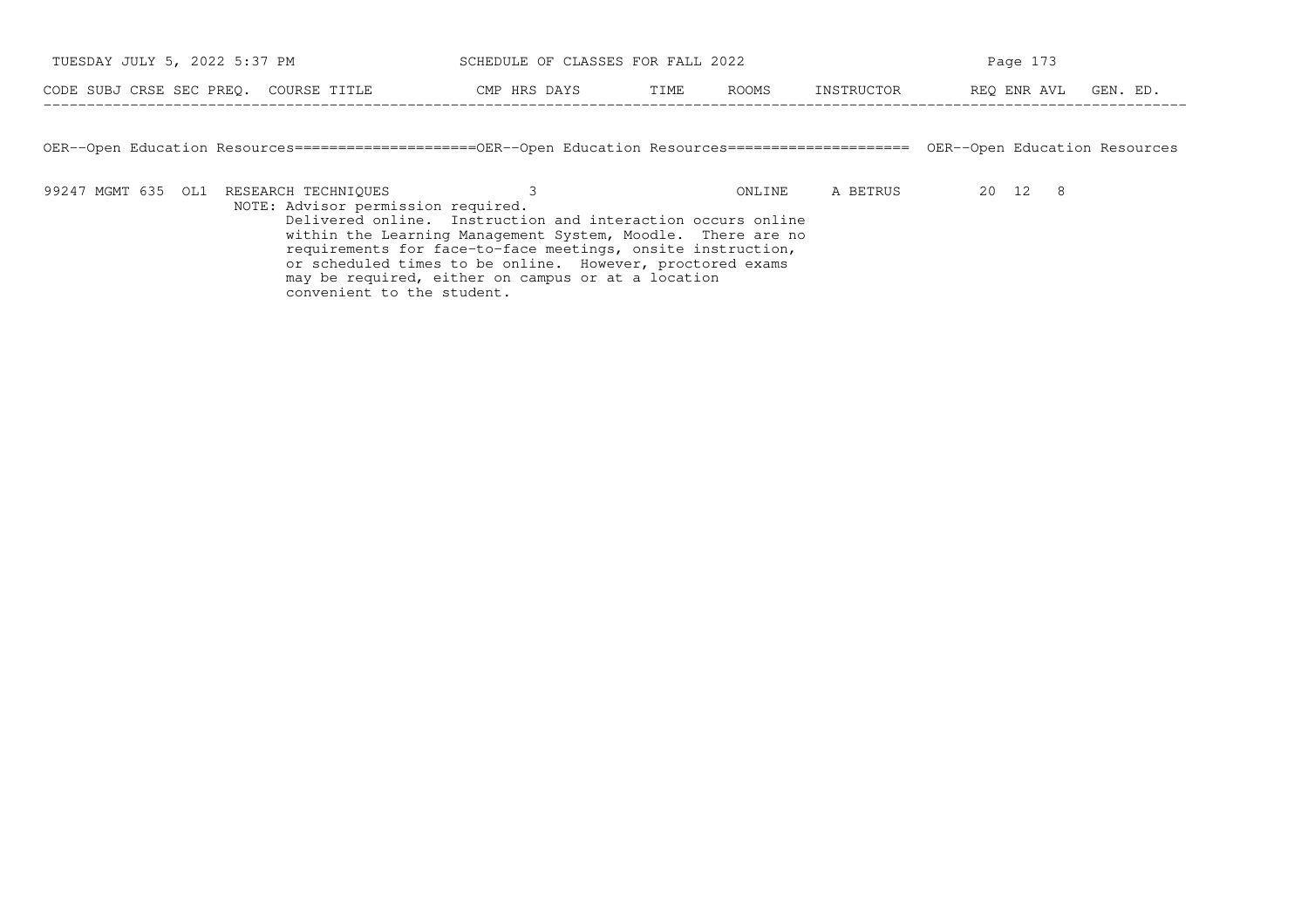| TUESDAY JULY 5, 2022 5:37 PM                                                                                                               |                                                                                                                                                                                           | Page 173 |        |            |                      |  |  |  |  |  |  |  |
|--------------------------------------------------------------------------------------------------------------------------------------------|-------------------------------------------------------------------------------------------------------------------------------------------------------------------------------------------|----------|--------|------------|----------------------|--|--|--|--|--|--|--|
| CODE SUBJ CRSE SEC PREO. COURSE TITLE                                                                                                      | CMP HRS DAYS                                                                                                                                                                              | TIME     | ROOMS  | INSTRUCTOR | REO ENR AVL GEN. ED. |  |  |  |  |  |  |  |
|                                                                                                                                            |                                                                                                                                                                                           |          |        |            |                      |  |  |  |  |  |  |  |
| OER--Open Education Resources========================OER--Open Education Resources=======================<br>OER--Open Education Resources |                                                                                                                                                                                           |          |        |            |                      |  |  |  |  |  |  |  |
| 99247 MGMT 635 OL1 RESEARCH TECHNIOUES<br>NOTE: Advisor permission required.                                                               | Delivered online. Instruction and interaction occurs online<br>within the Learning Management System, Moodle. There are no<br>requirements for face-to-face meetings, onsite instruction, |          | ONLINE | A BETRUS   | 20 12 8              |  |  |  |  |  |  |  |
| convenient to the student.                                                                                                                 | or scheduled times to be online. However, proctored exams<br>may be required, either on campus or at a location                                                                           |          |        |            |                      |  |  |  |  |  |  |  |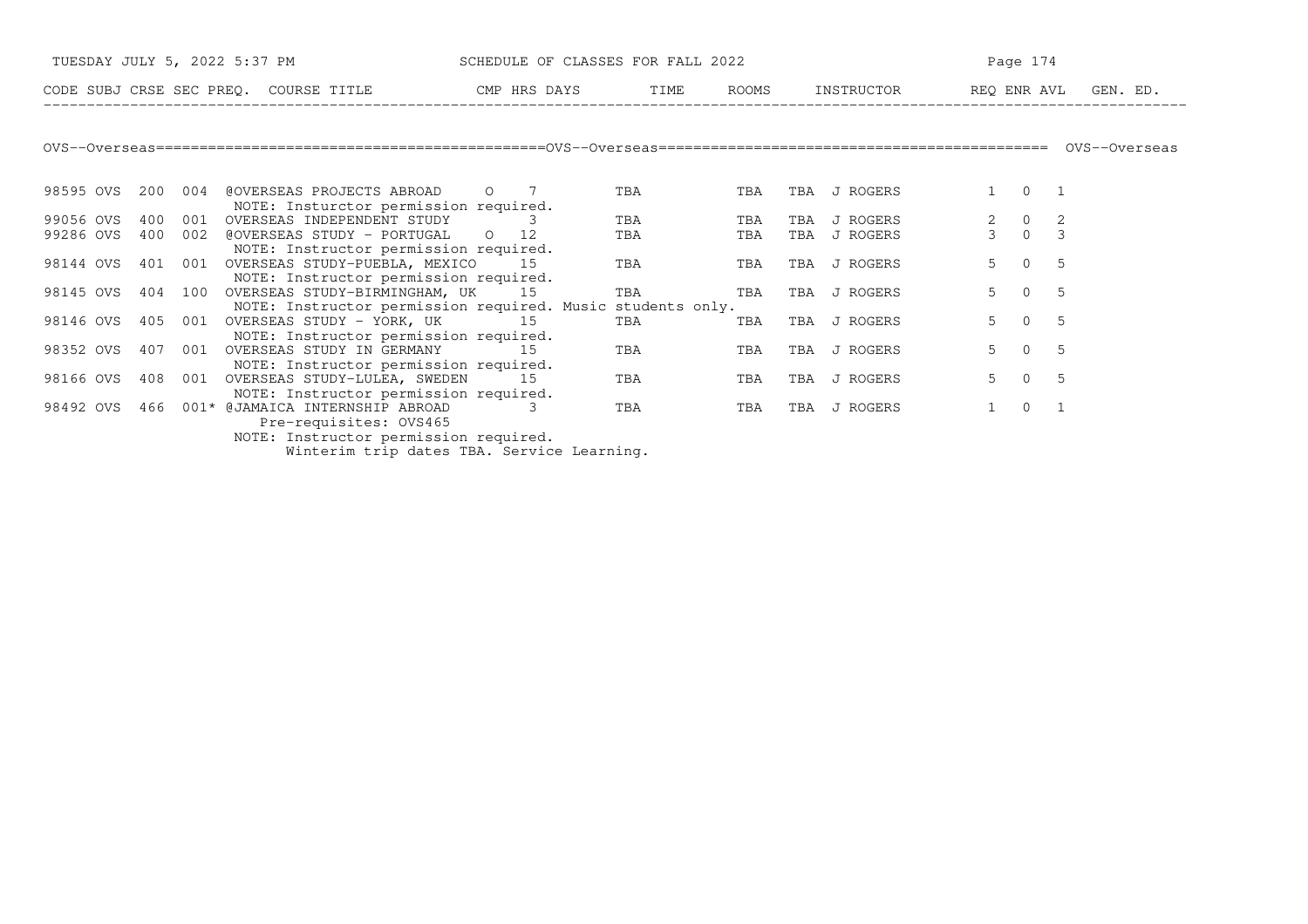| TUESDAY JULY 5, 2022 5:37 PM                                                                                           | SCHEDULE OF CLASSES FOR FALL 2022          |      |            | Page 174                        |                                                   |                |  |  |
|------------------------------------------------------------------------------------------------------------------------|--------------------------------------------|------|------------|---------------------------------|---------------------------------------------------|----------------|--|--|
| CODE SUBJ CRSE SEC PREQ. COURSE TITLE THE CMP HRS DAYS                                                                 |                                            | TIME | ROOMS      | INSTRUCTOR REQ ENR AVL GEN. ED. |                                                   |                |  |  |
|                                                                                                                        |                                            |      |            |                                 |                                                   |                |  |  |
|                                                                                                                        |                                            |      |            |                                 |                                                   |                |  |  |
| 98595 OVS<br>@OVERSEAS PROJECTS ABROAD<br>200 004                                                                      | $\circ$ 7                                  | TBA  | TBA        | TBA J ROGERS                    | $0\qquad 1$                                       |                |  |  |
| NOTE: Insturctor permission required.<br>99056 OVS<br>400<br>001<br>OVERSEAS INDEPENDENT STUDY                         |                                            | TBA  | TBA<br>TBA | J ROGERS                        | $\begin{matrix}0\\0\end{matrix}$<br>$\frac{2}{3}$ | $\frac{2}{3}$  |  |  |
| 99286 OVS<br>400<br>@OVERSEAS STUDY - PORTUGAL<br>002<br>NOTE: Instructor permission required.                         | $\circ$ 0 12                               | TBA  | TBA<br>TBA | J ROGERS                        |                                                   |                |  |  |
| 98144 OVS<br>401<br>001<br>OVERSEAS STUDY-PUEBLA, MEXICO                                                               | 15                                         | TBA  | TBA        | TBA J ROGERS                    | 5 <sup>5</sup><br>$\Omega$                        | - 5            |  |  |
| NOTE: Instructor permission required.<br>98145 OVS<br>404 100<br>OVERSEAS STUDY-BIRMINGHAM, UK                         | 15                                         | TBA  | TBA        | TBA J ROGERS                    | 5 <sup>1</sup><br>$\overline{0}$                  | - 5            |  |  |
| NOTE: Instructor permission required. Music students only.<br>98146 OVS 405 001 OVERSEAS STUDY - YORK, UK 15           |                                            | TBA  | TBA        | TBA J ROGERS                    | 5 <sup>1</sup><br>$\overline{0}$                  | 5              |  |  |
| NOTE: Instructor permission required.<br>98352 OVS<br>407<br>001<br>OVERSEAS STUDY IN GERMANY                          | 1.5                                        | TBA  | TBA        | TBA J ROGERS                    | 5 <sup>5</sup><br>$\Omega$                        | - 5            |  |  |
| NOTE: Instructor permission required.<br>98166 OVS<br>408<br>001<br>OVERSEAS STUDY-LULEA, SWEDEN 15                    |                                            | TBA  | TBA<br>TBA | J ROGERS                        | 5 <sup>1</sup><br>$\overline{0}$                  | $\overline{5}$ |  |  |
| NOTE: Instructor permission required.<br>466<br>001* @JAMAICA INTERNSHIP ABROAD<br>98492 OVS<br>Pre-requisites: OVS465 | 3                                          | TBA  | TBA<br>TBA | J ROGERS                        | $\overline{0}$<br>$\mathbf{1}$                    | $\overline{1}$ |  |  |
| NOTE: Instructor permission required.                                                                                  |                                            |      |            |                                 |                                                   |                |  |  |
|                                                                                                                        | Winterim trip dates TBA. Service Learning. |      |            |                                 |                                                   |                |  |  |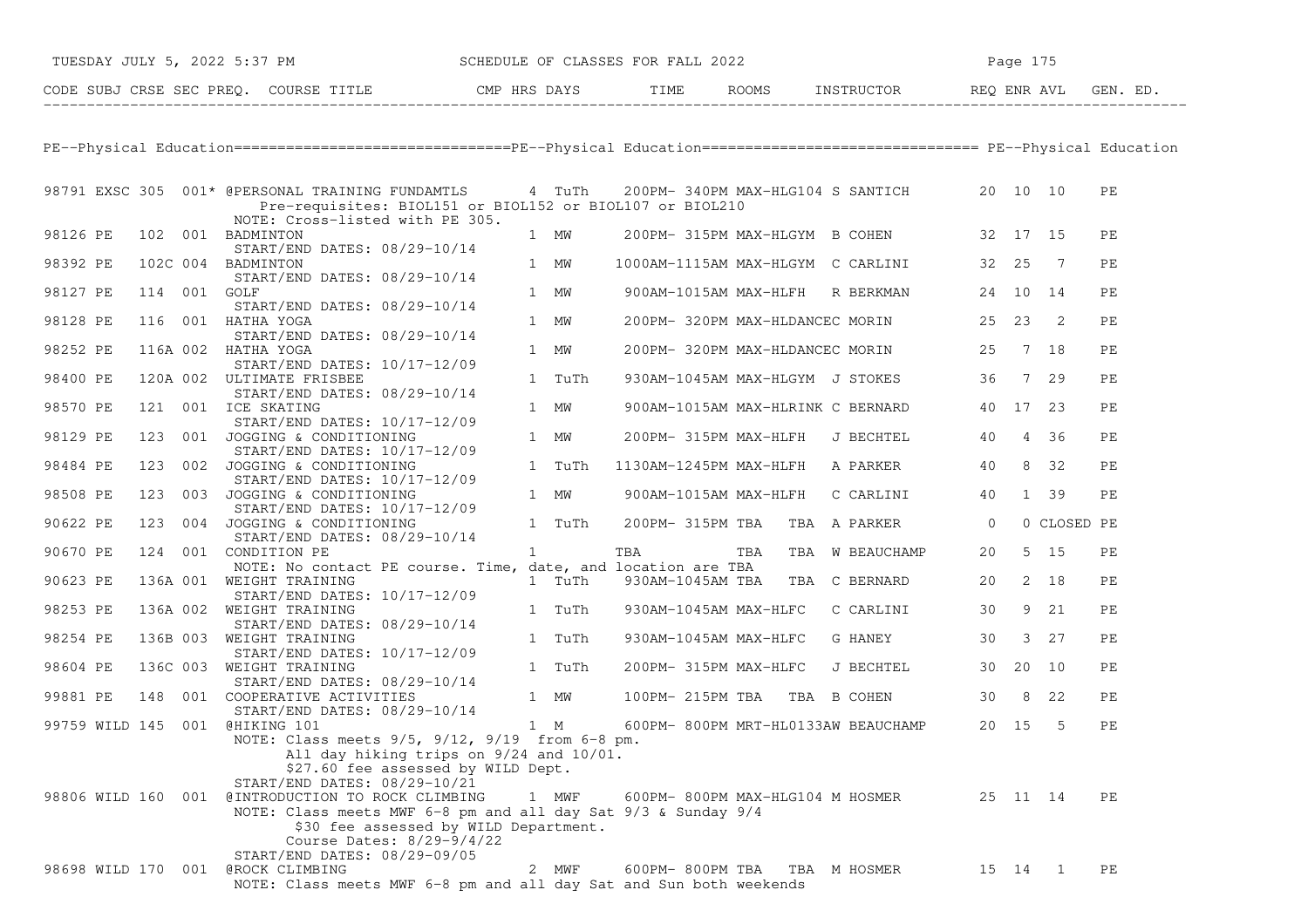|                            |              | TUESDAY JULY 5, 2022 5:37 PM SCHEDULE OF CLASSES FOR FALL 2022                                                                                                    |   |        |                                            |  |  | Page 175                                   |  |          |  |    |
|----------------------------|--------------|-------------------------------------------------------------------------------------------------------------------------------------------------------------------|---|--------|--------------------------------------------|--|--|--------------------------------------------|--|----------|--|----|
|                            |              |                                                                                                                                                                   |   |        |                                            |  |  |                                            |  |          |  |    |
|                            |              |                                                                                                                                                                   |   |        |                                            |  |  |                                            |  |          |  |    |
|                            |              | PE--Physical Education===============================PE--Physical Education=============================== PE--Physical Education                                 |   |        |                                            |  |  |                                            |  |          |  |    |
|                            |              | 98791 EXSC 305 001* @PERSONAL TRAINING FUNDAMTLS 4 TuTh 200PM-340PM MAX-HLG104 S SANTICH 20 10 10<br>Pre-requisites: BIOL151 or BIOL152 or BIOL107 or BIOL210     |   |        |                                            |  |  |                                            |  |          |  | PЕ |
| 98126 PE 102 001 BADMINTON |              | NOTE: Cross-listed with PE 305.                                                                                                                                   |   | 1 MW   | 200PM-315PM MAX-HLGYM B COHEN 32 17 15     |  |  |                                            |  |          |  | PE |
| 98392 PE                   |              | START/END DATES: 08/29-10/14<br>102C 004 BADMINTON<br>START/END DATES: 08/29-10/14                                                                                |   | 1 MW   | 1000AM-1115AM MAX-HLGYM C CARLINI 32 25 7  |  |  |                                            |  |          |  | PE |
| 98127 PE                   | 114 001 GOLF | START/END DATES: 08/29-10/14                                                                                                                                      |   | 1 MW   |                                            |  |  | 900AM-1015AM MAX-HLFH R BERKMAN 24 10 14   |  |          |  | PЕ |
| 98128 PE                   |              | 116 001 HATHA YOGA<br>START/END DATES: 08/29-10/14                                                                                                                |   | 1 MW   |                                            |  |  | 200PM-320PM MAX-HLDANCEC MORIN 25 23 2     |  |          |  | PЕ |
| 98252 PE                   |              | 116A 002 HATHA YOGA<br>START/END DATES: 10/17-12/09                                                                                                               |   | 1 MW   |                                            |  |  | 200PM-320PM MAX-HLDANCEC MORIN 25 7 18     |  |          |  | PЕ |
| 98400 PE                   |              | 120A 002 ULTIMATE FRISBEE<br>START/END DATES: 08/29-10/14                                                                                                         |   | 1 TuTh |                                            |  |  | 930AM-1045AM MAX-HLGYM J STOKES 36 7 29    |  |          |  | PЕ |
| 98570 PE                   |              | 121 001 ICE SKATING<br>START/END DATES: 10/17-12/09                                                                                                               |   | 1 MW   |                                            |  |  | 900AM-1015AM MAX-HLRINK C BERNARD 40 17 23 |  |          |  | PЕ |
| 98129 PE                   |              | 123 001 JOGGING & CONDITIONING                                                                                                                                    |   |        |                                            |  |  | 200PM-315PM MAX-HLFH J BECHTEL 40 4 36     |  |          |  | PЕ |
| 98484 PE                   |              | JOGGING & CONDITIONING 1 TuTh<br>START/END DATES: 10/17-12/09<br>TOGGING : 2011-1<br>123 002 JOGGING & CONDITIONING                                               |   |        | 1130AM-1245PM MAX-HLFH A PARKER 40 8 32    |  |  |                                            |  |          |  | PE |
| 98508 PE                   |              | 123 003 JOGGING & CONDITIONING<br>START/END DATES: 10/17-12/09                                                                                                    |   | 1 MW   |                                            |  |  | 900AM-1015AM MAX-HLFH C CARLINI 40 1 39    |  |          |  | PЕ |
| 90622 PE                   |              | 123 004 JOGGING & CONDITIONING<br>1 TuTh<br>START/END DATES: 08/29-10/14                                                                                          |   |        |                                            |  |  | 200PM-315PM TBA TBA A PARKER 0 0 CLOSED PE |  |          |  |    |
| 90670 PE                   |              | 124 001 CONDITION PE<br>NOTE: No contact PE course. Time, date, and location are TBA                                                                              | 1 |        |                                            |  |  | TBA TBA TBA W BEAUCHAMP 20 5 15            |  |          |  | PE |
| 90623 PE                   |              | 136A 001 WEIGHT TRAINING<br>START/END DATES: 10/17-12/09                                                                                                          |   | 1 TuTh |                                            |  |  | 930AM-1045AM TBA TBA C BERNARD 20 2 18     |  |          |  | PЕ |
| 98253 PE                   |              | 136A 002 WEIGHT TRAINING<br>START/END DATES: 08/29-10/14                                                                                                          |   | 1 TuTh |                                            |  |  | 930AM-1045AM MAX-HLFC C CARLINI 30 9 21    |  |          |  | PE |
| 98254 PE                   |              | 136B 003 WEIGHT TRAINING<br>START/END DATES: 10/17-12/09                                                                                                          |   | 1 TuTh |                                            |  |  | 930AM-1045AM MAX-HLFC G HANEY 30 3 27      |  |          |  | PЕ |
| 98604 PE                   |              | 136C 003 WEIGHT TRAINING                                                                                                                                          |   |        |                                            |  |  | 200PM-315PM MAX-HLFC J BECHTEL 30 20 10    |  |          |  | PЕ |
| 99881 PE                   |              | 136C 003 WEIGHT TRAINING 1 TUTH<br>START/END DATES: 08/29-10/14<br>148 001 COOPERATIVE ACTIVITIES 1 MW<br>START/END DATES: 08/29-10/14<br>145 001 @HIKING 101 1 M |   |        | 100PM-215PM TBA TBA B COHEN 30 8 22        |  |  |                                            |  |          |  | PЕ |
|                            |              | 99759 WILD 145 001 @HIKING 101<br>NOTE: Class meets 9/5, 9/12, 9/19 from 6-8 pm.                                                                                  |   |        | 600PM-800PM MRT-HL0133AW BEAUCHAMP 20 15 5 |  |  |                                            |  |          |  | PE |
|                            |              | All day hiking trips on 9/24 and 10/01.<br>\$27.60 fee assessed by WILD Dept.                                                                                     |   |        |                                            |  |  |                                            |  |          |  |    |
|                            |              | START/END DATES: 08/29-10/21<br>98806 WILD 160 001 @INTRODUCTION TO ROCK CLIMBING<br>NOTE: Class meets MWF 6-8 pm and all day Sat 9/3 & Sunday 9/4                |   | 1 MWF  | 600PM- 800PM MAX-HLG104 M HOSMER           |  |  |                                            |  | 25 11 14 |  | PЕ |
|                            |              | \$30 fee assessed by WILD Department.<br>Course Dates: 8/29-9/4/22                                                                                                |   |        |                                            |  |  |                                            |  |          |  |    |
|                            |              | START/END DATES: 08/29-09/05<br>98698 WILD 170 001 @ROCK CLIMBING<br>NOTE: Class meets MWF 6-8 pm and all day Sat and Sun both weekends                           |   | 2 MWF  | 600PM- 800PM TBA                           |  |  | TBA M HOSMER                               |  | 15 14 1  |  | PЕ |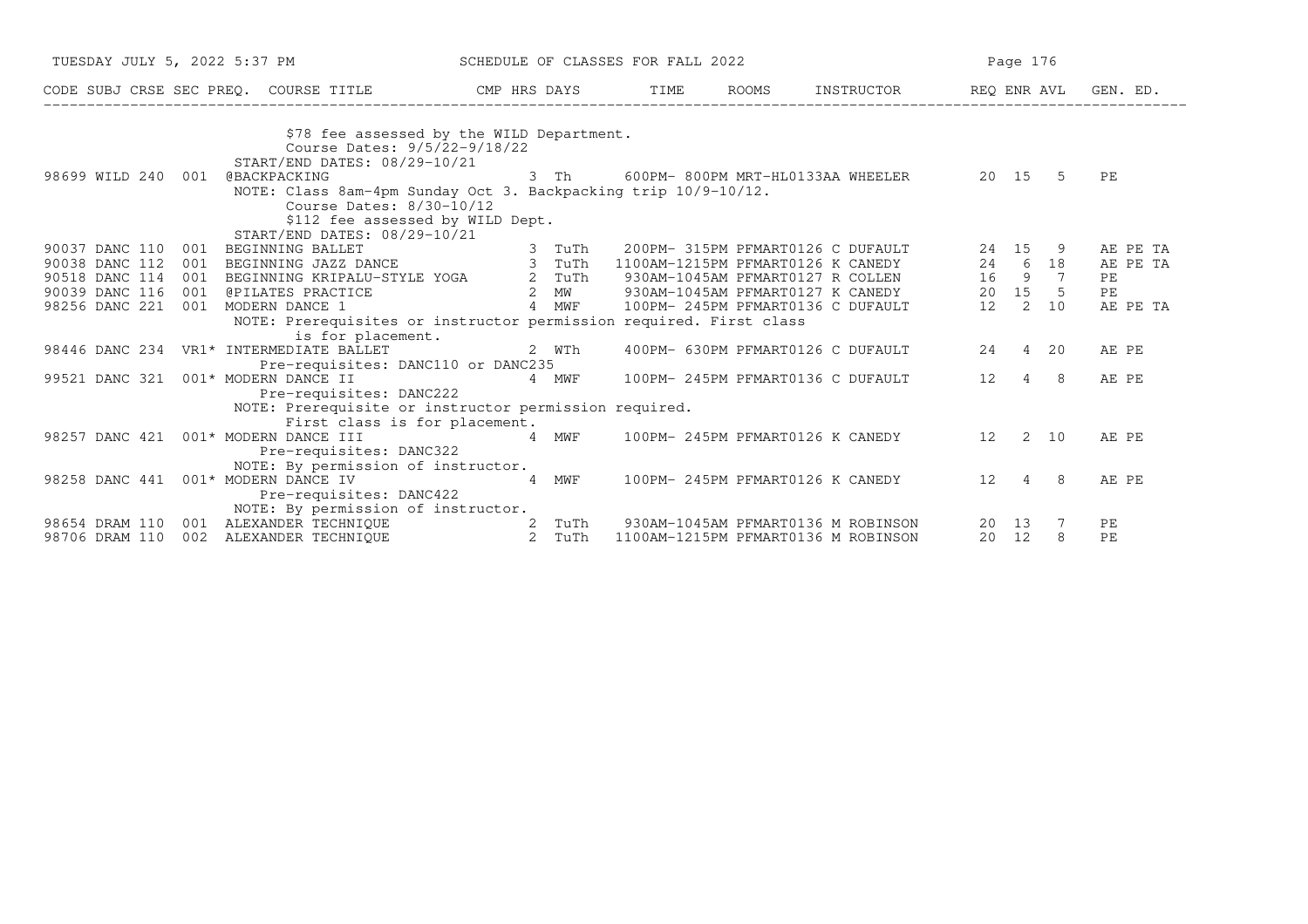|                                     | TUESDAY JULY 5, 2022 5:37 PM SCHEDULE OF CLASSES FOR FALL 2022 |                                                                                                                                                                                                                                      |                                               |                                                                                              |       |  |  |                                     |  | Page 176                                      |      |       |     |          |  |
|-------------------------------------|----------------------------------------------------------------|--------------------------------------------------------------------------------------------------------------------------------------------------------------------------------------------------------------------------------------|-----------------------------------------------|----------------------------------------------------------------------------------------------|-------|--|--|-------------------------------------|--|-----------------------------------------------|------|-------|-----|----------|--|
|                                     |                                                                |                                                                                                                                                                                                                                      |                                               | CODE SUBJ CRSE SEC PREQ. COURSE TITLE THE THE TIME ROOMS INSTRUCTOR THE REQ ENR AVL GEN. ED. |       |  |  |                                     |  |                                               |      |       |     |          |  |
|                                     |                                                                |                                                                                                                                                                                                                                      |                                               |                                                                                              |       |  |  |                                     |  |                                               |      |       |     |          |  |
|                                     |                                                                | \$78 fee assessed by the WILD Department.                                                                                                                                                                                            |                                               |                                                                                              |       |  |  |                                     |  |                                               |      |       |     |          |  |
|                                     |                                                                | Course Dates: 9/5/22-9/18/22                                                                                                                                                                                                         |                                               |                                                                                              |       |  |  |                                     |  |                                               |      |       |     |          |  |
|                                     |                                                                | START/END DATES: 08/29-10/21                                                                                                                                                                                                         |                                               |                                                                                              |       |  |  |                                     |  |                                               |      |       |     |          |  |
| 98699 WILD 240 001 @BACKPACKING     |                                                                |                                                                                                                                                                                                                                      |                                               |                                                                                              |       |  |  |                                     |  | 3 Th 600PM-800PM MRT-HL0133AA WHEELER 20 15 5 |      |       |     | PE       |  |
|                                     |                                                                | NOTE: Class 8am-4pm Sunday Oct 3. Backpacking trip 10/9-10/12.                                                                                                                                                                       |                                               |                                                                                              |       |  |  |                                     |  |                                               |      |       |     |          |  |
|                                     |                                                                | Course Dates: 8/30-10/12                                                                                                                                                                                                             |                                               |                                                                                              |       |  |  |                                     |  |                                               |      |       |     |          |  |
|                                     |                                                                | \$112 fee assessed by WILD Dept.<br>START/END DATES: 08/29-10/21                                                                                                                                                                     |                                               |                                                                                              |       |  |  |                                     |  |                                               |      |       |     |          |  |
| 90037 DANC 110                      | 001                                                            | BEGINNING BALLET<br>BEGINNING BALLET 3 TuTh 200PM-315PM PFMART0126 C DUFAULT 24 15 9<br>BEGINNING JAZZ DANCE 3 TuTh 1100AM-1215PM PFMART0126 K CANEDY 24 6 18<br>BEGINNING KRIPALU-STYLE YOGA 2 TuTh 930AM-1045AM PFMART0127 R COLLE |                                               |                                                                                              |       |  |  |                                     |  |                                               |      |       |     | AE PE TA |  |
| 90038 DANC 112                      | 001                                                            |                                                                                                                                                                                                                                      |                                               |                                                                                              |       |  |  |                                     |  |                                               |      |       |     | AE PE TA |  |
| 90518 DANC 114                      | 001                                                            |                                                                                                                                                                                                                                      |                                               |                                                                                              |       |  |  |                                     |  |                                               |      |       |     | PE       |  |
| 90039 DANC 116                      |                                                                | 001 @PILATES PRACTICE                                                                                                                                                                                                                |                                               |                                                                                              |       |  |  |                                     |  |                                               |      |       |     | PE       |  |
| 98256 DANC 221                      |                                                                | 001 MODERN DANCE 1                                                                                                                                                                                                                   |                                               |                                                                                              |       |  |  |                                     |  |                                               |      |       |     | AE PE TA |  |
|                                     |                                                                | NOTE: Prerequisites or instructor permission required. First class                                                                                                                                                                   |                                               |                                                                                              |       |  |  |                                     |  |                                               |      |       |     |          |  |
|                                     |                                                                | is for placement.                                                                                                                                                                                                                    |                                               |                                                                                              |       |  |  |                                     |  |                                               |      |       |     |          |  |
|                                     |                                                                | 98446 DANC 234 VR1* INTERMEDIATE BALLET                                                                                                                                                                                              |                                               |                                                                                              | 2 WTh |  |  |                                     |  | 400PM- 630PM PFMART0126 C DUFAULT 24 4 20     |      |       |     | AE PE    |  |
|                                     |                                                                | Pre-requisites: DANC110 or DANC235                                                                                                                                                                                                   |                                               |                                                                                              |       |  |  |                                     |  |                                               |      |       |     |          |  |
| 99521 DANC 321                      |                                                                | $001*$ MODERN DANCE II $4$ MWF $100$ PM-245PM PFMART0136 C DUFAULT                                                                                                                                                                   |                                               |                                                                                              |       |  |  |                                     |  |                                               | 12 4 |       | - 8 | AE PE    |  |
|                                     |                                                                | Pre-requisites: DANC222                                                                                                                                                                                                              |                                               |                                                                                              |       |  |  |                                     |  |                                               |      |       |     |          |  |
|                                     |                                                                | NOTE: Prerequisite or instructor permission required.                                                                                                                                                                                |                                               |                                                                                              |       |  |  |                                     |  |                                               |      |       |     |          |  |
|                                     |                                                                | First class is for placement.                                                                                                                                                                                                        |                                               |                                                                                              |       |  |  |                                     |  |                                               |      |       |     |          |  |
|                                     |                                                                | 98257 DANC 421 001* MODERN DANCE III                                                                                                                                                                                                 | 4 MWF 100PM-245PM PFMART0126 K CANEDY 12 2 10 |                                                                                              |       |  |  |                                     |  |                                               |      |       |     | AE PE    |  |
|                                     |                                                                | Pre-requisites: DANC322                                                                                                                                                                                                              |                                               |                                                                                              |       |  |  |                                     |  |                                               |      |       |     |          |  |
|                                     |                                                                | NOTE: By permission of instructor.                                                                                                                                                                                                   |                                               |                                                                                              |       |  |  |                                     |  |                                               |      |       |     |          |  |
| 98258 DANC 441 001* MODERN DANCE IV |                                                                |                                                                                                                                                                                                                                      | 4 MWF                                         |                                                                                              |       |  |  |                                     |  | 100PM- 245PM PFMART0126 K CANEDY 12 4 8       |      |       |     | AE PE    |  |
|                                     |                                                                | Pre-requisites: DANC422                                                                                                                                                                                                              |                                               |                                                                                              |       |  |  |                                     |  |                                               |      |       |     |          |  |
|                                     |                                                                | NOTE: By permission of instructor.                                                                                                                                                                                                   |                                               |                                                                                              |       |  |  |                                     |  |                                               |      |       |     |          |  |
| 98654 DRAM 110                      |                                                                |                                                                                                                                                                                                                                      |                                               |                                                                                              |       |  |  |                                     |  | 930AM-1045AM PFMART0136 M ROBINSON            |      | 20 13 |     | PE       |  |
| 98706 DRAM 110                      |                                                                |                                                                                                                                                                                                                                      |                                               |                                                                                              |       |  |  | 1100AM-1215PM PFMART0136 M ROBINSON |  |                                               |      | 20 12 | 8   | PE       |  |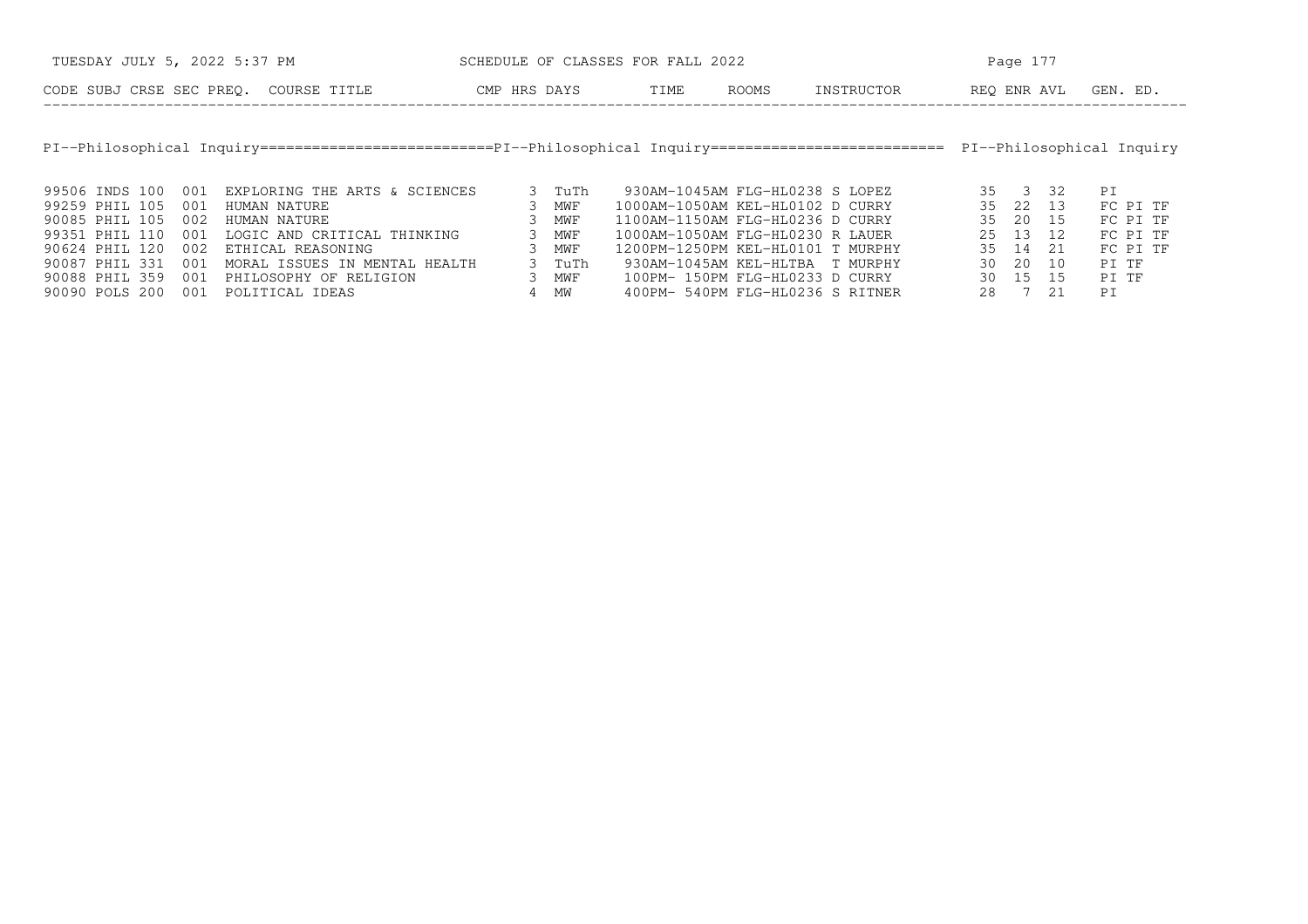| TUESDAY JULY 5, 2022 5:37 PM |     |                                                                                                                | SCHEDULE OF CLASSES FOR FALL 2022 |              |        |                                   |       |            |             | Page 177 |    |                           |  |  |
|------------------------------|-----|----------------------------------------------------------------------------------------------------------------|-----------------------------------|--------------|--------|-----------------------------------|-------|------------|-------------|----------|----|---------------------------|--|--|
|                              |     | CODE SUBJ CRSE SEC PREO. COURSE TITLE                                                                          |                                   | CMP HRS DAYS |        | TIME                              | ROOMS | INSTRUCTOR | REO ENR AVL |          |    | GEN. ED.                  |  |  |
|                              |     |                                                                                                                |                                   |              |        |                                   |       |            |             |          |    |                           |  |  |
|                              |     | PI--Philosophical Inquiry=========================PI--Philosophical Inquiry=================================== |                                   |              |        |                                   |       |            |             |          |    | PI--Philosophical Inquiry |  |  |
|                              |     |                                                                                                                |                                   |              |        |                                   |       |            |             |          |    |                           |  |  |
| 99506 INDS 100               | 001 | EXPLORING THE ARTS & SCIENCES                                                                                  |                                   |              | 3 TuTh | 930AM-1045AM FLG-HL0238 S LOPEZ   |       |            |             | 35 3 32  |    | PI                        |  |  |
| 99259 PHIL 105               | 001 | HUMAN NATURE                                                                                                   |                                   |              | MWF    | 1000AM-1050AM KEL-HL0102 D CURRY  |       |            | 35          | 22 13    |    | FC PI TF                  |  |  |
| 90085 PHIL 105               | 002 | HUMAN NATURE                                                                                                   |                                   |              | MWF    | 1100AM-1150AM FLG-HL0236 D CURRY  |       |            | 35          | 20       | 15 | FC PI TF                  |  |  |
| 99351 PHIL 110               | 001 | LOGIC AND CRITICAL THINKING                                                                                    |                                   |              | MWF    | 1000AM-1050AM FLG-HL0230 R LAUER  |       |            |             | 25 13 12 |    | FC PI TF                  |  |  |
| 90624 PHIL 120               | 002 | ETHICAL REASONING                                                                                              |                                   |              | MWF    | 1200PM-1250PM KEL-HL0101 T MURPHY |       |            |             | 35 14    | 21 | FC PI TF                  |  |  |
| 90087 PHIL 331               | 001 | MORAL ISSUES IN MENTAL HEALTH                                                                                  |                                   |              | 3 TuTh | 930AM-1045AM KEL-HLTBA T MURPHY   |       |            | 30 I        | 20       | 10 | PI TF                     |  |  |
| 90088 PHIL 359               | 001 | PHILOSOPHY OF RELIGION                                                                                         |                                   | 3            | MWF    | 100PM- 150PM FLG-HL0233 D CURRY   |       |            | 30 I        | 15       | 15 | PI TF                     |  |  |
| 90090 POLS 200               | 001 | POLITICAL IDEAS                                                                                                |                                   |              | 4 MW   | 400PM- 540PM FLG-HL0236 S RITNER  |       |            | 28          | 7 21     |    | PI                        |  |  |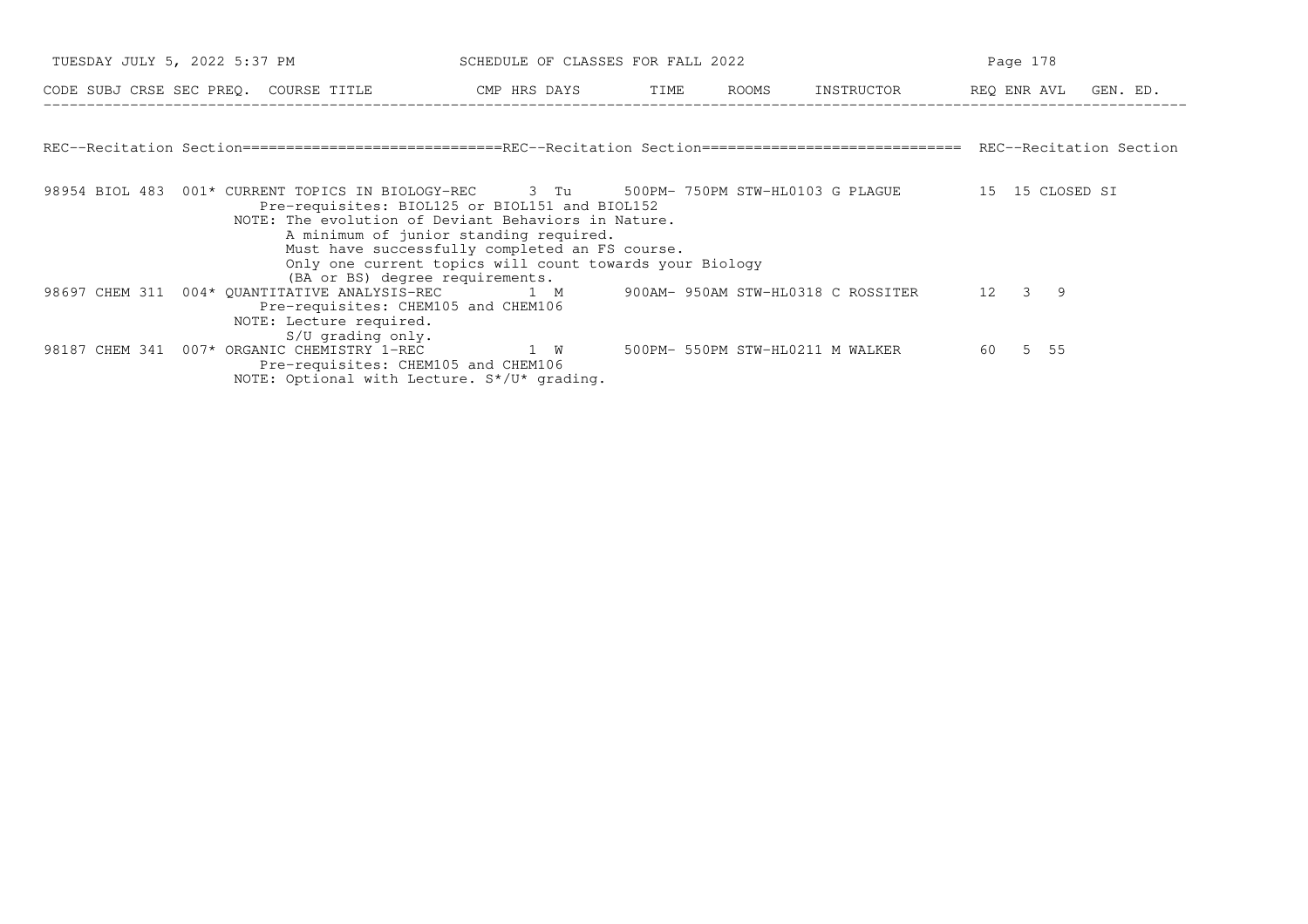| TUESDAY JULY 5, 2022 5:37 PM |  | SCHEDULE OF CLASSES FOR FALL 2022                              |                                                                                                                                                                                                                                                                                                                                                                                                           | Page 178 |                                  |         |  |  |
|------------------------------|--|----------------------------------------------------------------|-----------------------------------------------------------------------------------------------------------------------------------------------------------------------------------------------------------------------------------------------------------------------------------------------------------------------------------------------------------------------------------------------------------|----------|----------------------------------|---------|--|--|
|                              |  |                                                                | CODE SUBJ CRSE SEC PREQ. COURSE TITLE THE CMP HRS DAYS TIME ROOMS                                                                                                                                                                                                                                                                                                                                         |          | INSTRUCTOR REO ENR AVL GEN. ED.  |         |  |  |
|                              |  |                                                                |                                                                                                                                                                                                                                                                                                                                                                                                           |          |                                  |         |  |  |
|                              |  |                                                                | REC--Recitation Section===========================REC--Recitation Section=============================== REC--Recitation Section                                                                                                                                                                                                                                                                          |          |                                  |         |  |  |
|                              |  |                                                                | 98954 BIOL 483 001* CURRENT TOPICS IN BIOLOGY-REC 3 Tu 500PM-750PM STW-HL0103 G PLAGUE 15 15 CLOSED SI<br>Pre-requisites: BIOL125 or BIOL151 and BIOL152<br>NOTE: The evolution of Deviant Behaviors in Nature.<br>A minimum of junior standing required.<br>Must have successfully completed an FS course.<br>Only one current topics will count towards your Biology<br>(BA or BS) degree requirements. |          |                                  |         |  |  |
|                              |  | Pre-requisites: CHEM105 and CHEM106<br>NOTE: Lecture required. | 98697 CHEM 311 004* OUANTITATIVE ANALYSIS-REC 1 M 300AM-950AM STW-HL0318 C ROSSITER 12 3 9                                                                                                                                                                                                                                                                                                                |          |                                  |         |  |  |
|                              |  | $S/U$ qrading only.<br>Pre-requisites: CHEM105 and CHEM106     | 98187 CHEM 341 007* ORGANIC CHEMISTRY 1-REC 1 W<br>NOTE: Optional with Lecture. S*/U* grading.                                                                                                                                                                                                                                                                                                            |          | 500PM- 550PM STW-HL0211 M WALKER | 60 5 55 |  |  |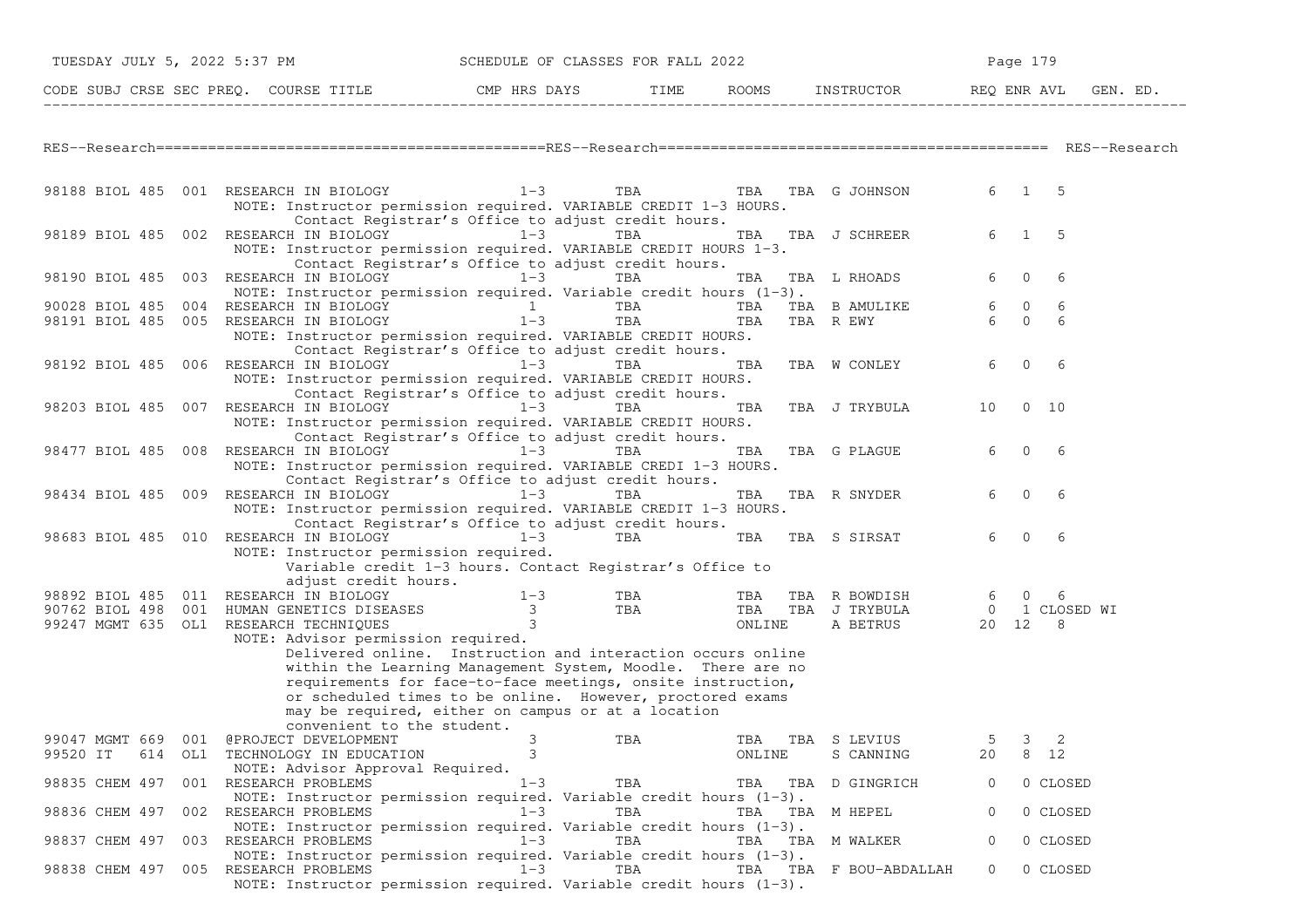| TUESDAY JULY 5, 2022 5:37 PM         |  |  | SCHEDULE OF CLASSES FOR FALL 2022                                                                                                                                                                                                                                                                                                                                                                                          |             |            |     | Page 179      |  |                            |                      |                                  |             |  |  |
|--------------------------------------|--|--|----------------------------------------------------------------------------------------------------------------------------------------------------------------------------------------------------------------------------------------------------------------------------------------------------------------------------------------------------------------------------------------------------------------------------|-------------|------------|-----|---------------|--|----------------------------|----------------------|----------------------------------|-------------|--|--|
|                                      |  |  | CODE SUBJ CRSE SEC PREQ. COURSE TITLE THE ROOMS INSTRUCTOR THE ROOMS EN REQ ENR AVL GEN. ED.                                                                                                                                                                                                                                                                                                                               |             |            |     |               |  |                            |                      |                                  |             |  |  |
|                                      |  |  |                                                                                                                                                                                                                                                                                                                                                                                                                            |             |            |     |               |  |                            |                      |                                  |             |  |  |
|                                      |  |  | 98188 BIOL 485 001 RESEARCH IN BIOLOGY 1-3 TBA TBA TBA TBA G JOHNSON 6 1 5<br>NOTE: Instructor permission required. VARIABLE CREDIT 1-3 HOURS.                                                                                                                                                                                                                                                                             |             |            |     |               |  |                            |                      |                                  |             |  |  |
|                                      |  |  | Contact Registrar's Office to adjust credit hours.<br>98189 BIOL 485 002 RESEARCH IN BIOLOGY<br>NOTE: Instructor permission required. VARIABLE CREDIT HOURS 1-3.<br>Contact Registrar's Office to adjust credit hours.                                                                                                                                                                                                     | $1-3$       | TBA        |     | TBA           |  | TBA J SCHREER              | 6 —                  | $\mathbf{1}$                     | - 5         |  |  |
|                                      |  |  | 98190 BIOL 485 003 RESEARCH IN BIOLOGY 1-3<br>NOTE: Instructor permission required. Variable credit hours $(1-3)$ .                                                                                                                                                                                                                                                                                                        |             | TBA        |     | TBA           |  | TBA L RHOADS               | 6                    | $\mathbf{0}$                     | 6           |  |  |
| 90028 BIOL 485                       |  |  | 004 RESEARCH IN BIOLOGY 1<br>98191 BIOL 485 005 RESEARCH IN BIOLOGY<br>NOTE: Instructor permission required. VARIABLE CREDIT HOURS.<br>Contact Registrar's Office to adjust credit hours.                                                                                                                                                                                                                                  | $1-3$       | TBA<br>TBA |     | TBA<br>TBA    |  | TBA B AMULIKE<br>TBA R EWY | 6<br>6               | $\overline{0}$<br>$\overline{0}$ | 6<br>6      |  |  |
|                                      |  |  | 98192 BIOL 485 006 RESEARCH IN BIOLOGY<br>NOTE: Instructor permission required. VARIABLE CREDIT HOURS.<br>Contact Registrar's Office to adjust credit hours.                                                                                                                                                                                                                                                               | $1-3$       | TBA        |     | TBA           |  | TBA W CONLEY               | 6                    | $\mathbf{0}$                     | -6          |  |  |
|                                      |  |  | 98203 BIOL 485 007 RESEARCH IN BIOLOGY 1-3<br>NOTE: Instructor permission required. VARIABLE CREDIT HOURS.<br>Contact Registrar's Office to adjust credit hours.                                                                                                                                                                                                                                                           |             | TBA        |     | TBA           |  | TBA J TRYBULA              | 10                   |                                  | $0\quad 10$ |  |  |
|                                      |  |  | 98477 BIOL 485 008 RESEARCH IN BIOLOGY<br>NOTE: Instructor permission required. VARIABLE CREDI 1-3 HOURS.<br>Contact Registrar's Office to adjust credit hours.                                                                                                                                                                                                                                                            | $1-3$       | TBA        |     | TBA           |  | TBA G PLAGUE               | 6                    | $\mathbf{0}$                     | -6          |  |  |
|                                      |  |  | 98434 BIOL 485 009 RESEARCH IN BIOLOGY<br>NOTE: Instructor permission required. VARIABLE CREDIT 1-3 HOURS.<br>Contact Registrar's Office to adjust credit hours.                                                                                                                                                                                                                                                           | $1-3$       | TBA        |     | TBA           |  | TBA R SNYDER               | 6                    | $\mathbf{0}$                     | 6           |  |  |
|                                      |  |  | 98683 BIOL 485 010 RESEARCH IN BIOLOGY<br>NOTE: Instructor permission required.<br>Variable credit 1-3 hours. Contact Registrar's Office to<br>adjust credit hours.                                                                                                                                                                                                                                                        | $1 - 3$     | TBA        |     | TBA           |  | TBA S SIRSAT               | 6                    | $\Omega$                         | 6           |  |  |
|                                      |  |  | 98892 BIOL 485 011 RESEARCH IN BIOLOGY                                                                                                                                                                                                                                                                                                                                                                                     | $1 - 3$     |            | TBA |               |  | TBA TBA R BOWDISH          | 6 —                  | $\Omega$                         | 6           |  |  |
|                                      |  |  | 90762 BIOL 498 001 HUMAN GENETICS DISEASES 3 TBA TBA TBA TBA J TRYBULA<br>99247 MGMT 635 OL1 RESEARCH TECHNIOUES 3 3 3 ONLINE A BETRUS                                                                                                                                                                                                                                                                                     |             |            |     |               |  | 0 1 CLOSED WI<br>20 12 8   |                      |                                  |             |  |  |
|                                      |  |  | 99247 MGMT 635 OL1 RESEARCH TECHNIQUES<br>NOTE: Advisor permission required.<br>Delivered online. Instruction and interaction occurs online<br>within the Learning Management System, Moodle. There are no<br>requirements for face-to-face meetings, onsite instruction,<br>or scheduled times to be online. However, proctored exams<br>may be required, either on campus or at a location<br>convenient to the student. | $3^{\circ}$ |            |     | ONLINE        |  | A BETRUS                   |                      |                                  |             |  |  |
| 99520 IT<br>614                      |  |  | 99047 MGMT 669 001 @PROJECT DEVELOPMENT<br>OL1 TECHNOLOGY IN EDUCATION<br>NOTE: Advisor Approval Required.                                                                                                                                                                                                                                                                                                                 | 3<br>3      | TBA        |     | TBA<br>ONLINE |  | TBA S LEVIUS<br>S CANNING  | 5 <sup>5</sup><br>20 | 3                                | 2<br>8 12   |  |  |
| 98835 CHEM 497 001 RESEARCH PROBLEMS |  |  | NOTE: Instructor permission required. Variable credit hours $(1-3)$ .                                                                                                                                                                                                                                                                                                                                                      | $1 - 3$     | TBA        |     |               |  | TBA TBA D GINGRICH         | $\overline{0}$       |                                  | 0 CLOSED    |  |  |
| 98836 CHEM 497 002 RESEARCH PROBLEMS |  |  | NOTE: Instructor permission required. Variable credit hours $(1-3)$ .                                                                                                                                                                                                                                                                                                                                                      | $1 - 3$     | TBA        |     |               |  | TBA TBA M HEPEL            | $\overline{0}$       |                                  | 0 CLOSED    |  |  |
| 98837 CHEM 497 003 RESEARCH PROBLEMS |  |  | NOTE: Instructor permission required. Variable credit hours (1-3).                                                                                                                                                                                                                                                                                                                                                         | $1 - 3$     | TBA        |     |               |  | TBA TBA MWALKER            | $\overline{0}$       |                                  | 0 CLOSED    |  |  |
| 98838 CHEM 497 005 RESEARCH PROBLEMS |  |  | NOTE: Instructor permission required. Variable credit hours $(1-3)$ .                                                                                                                                                                                                                                                                                                                                                      | $1 - 3$     | TBA        |     |               |  | TBA TBA F BOU-ABDALLAH     | $\overline{0}$       |                                  | 0 CLOSED    |  |  |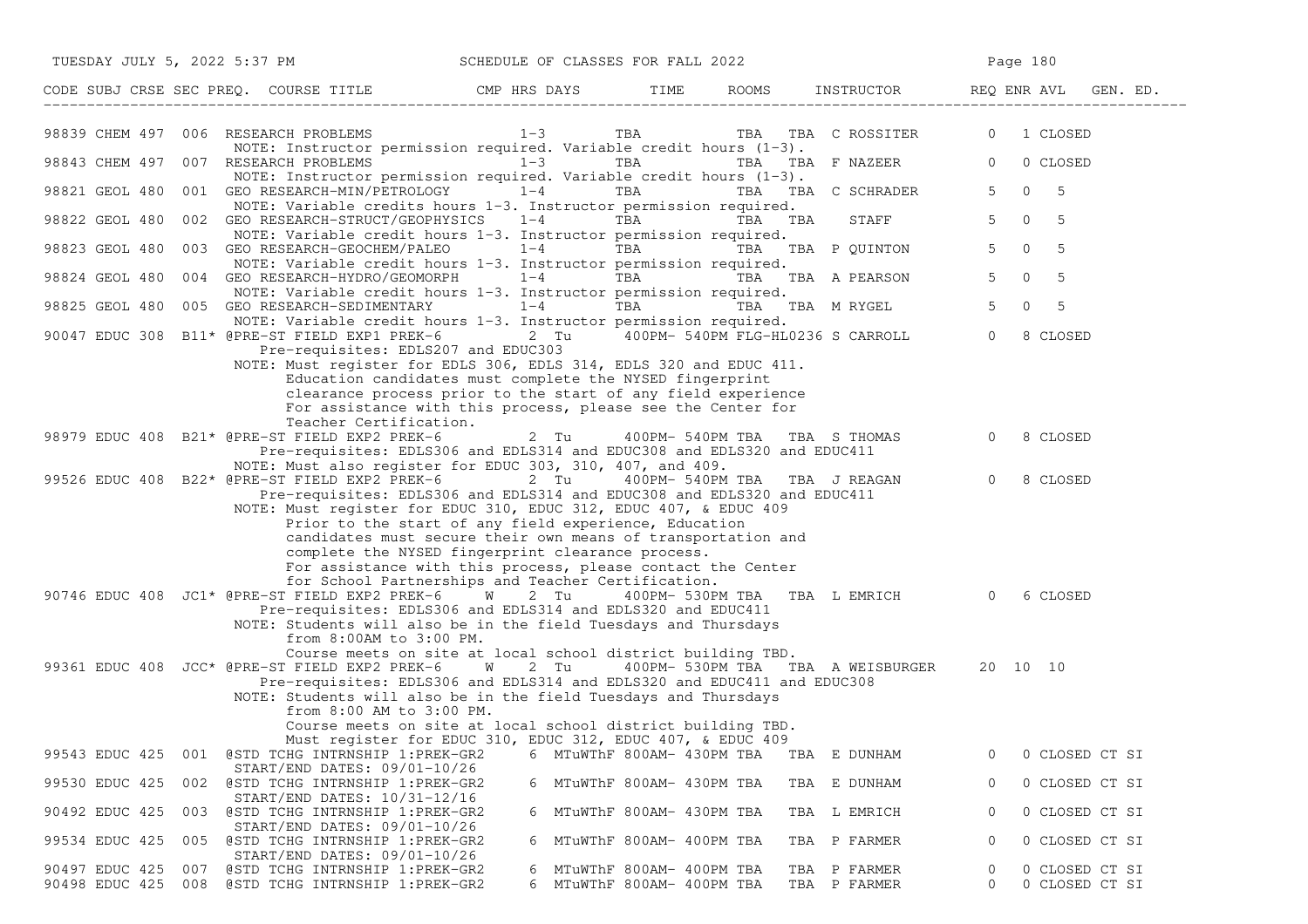| TUESDAY JULY 5, 2022 5:37 PM SCHEDULE OF CLASSES FOR FALL 2022                                                                                                                                                                                                                                  |         |                                                      |         |                                           | Page 180                                                   |
|-------------------------------------------------------------------------------------------------------------------------------------------------------------------------------------------------------------------------------------------------------------------------------------------------|---------|------------------------------------------------------|---------|-------------------------------------------|------------------------------------------------------------|
| CODE SUBJ CRSE SEC PREQ. COURSE TITLE THE ROOMS INSTRUCTOR THE ROOMS EN REQ ENR AVL GEN. ED.                                                                                                                                                                                                    |         |                                                      |         |                                           |                                                            |
| 98839 CHEM 497 006 RESEARCH PROBLEMS<br>NOTE: Instructor permission required. Variable credit hours $(1-3)$ .                                                                                                                                                                                   | $1 - 3$ |                                                      |         | TBA TBA TBA C ROSSITER 0 1 CLOSED         |                                                            |
| 98843 CHEM 497 007 RESEARCH PROBLEMS 1-3<br>NOTE: Instructor permission required. Variable credit hours (1-3).                                                                                                                                                                                  |         | TBA                                                  |         | TBA TBA F NAZEER 0                        | 0 CLOSED                                                   |
| 98821 GEOL 480 001 GEO RESEARCH-MIN/PETROLOGY                                                                                                                                                                                                                                                   | $1 - 4$ | TBA                                                  |         | TBA TBA C SCHRADER                        | $\mathbf 0$<br>5<br>$5 -$                                  |
| NOTE: Variable credits hours 1-3. Instructor permission required.<br>98822 GEOL 480 002 GEO RESEARCH-STRUCT/GEOPHYSICS 1-4                                                                                                                                                                      |         | TBA <b>TRANGER</b>                                   | TBA TBA | STAFF                                     | $\mathbf{0}$<br>5 <sup>5</sup><br>5                        |
| NOTE: Variable credit hours 1-3. Instructor permission required.<br>98823 GEOL 480 003 GEO RESEARCH-GEOCHEM/PALEO 1-4                                                                                                                                                                           |         |                                                      |         | TBA TBA TBA P QUINTON                     | 5 <sub>5</sub><br>$\mathbf 0$<br>5                         |
| NOTE: Variable credit hours 1-3. Instructor permission required.<br>98824 GEOL 480<br>004 GEO RESEARCH-HYDRO/GEOMORPH 1-4                                                                                                                                                                       |         | TBA                                                  |         | TBA TBA A PEARSON                         | $\mathsf{O}$<br>5<br>5 <sup>5</sup>                        |
| NOTE: Variable credit hours 1-3. Instructor permission required.<br>98825 GEOL 480 005 GEO RESEARCH-SEDIMENTARY $1-4$ TBA TBA TBA M RYGEL                                                                                                                                                       |         |                                                      |         |                                           | 5 <sup>5</sup><br>$\mathsf{O}$<br>5                        |
| NOTE: Variable credit hours 1-3. Instructor permission required.<br>90047 EDUC 308 B11* @PRE-ST FIELD EXP1 PREK-6 2 Tu 400PM- 540PM FLG-HL0236 S CARROLL                                                                                                                                        |         |                                                      |         |                                           | $\overline{0}$<br>8 CLOSED                                 |
| Pre-requisites: EDLS207 and EDUC303<br>NOTE: Must register for EDLS 306, EDLS 314, EDLS 320 and EDUC 411.<br>Education candidates must complete the NYSED fingerprint<br>clearance process prior to the start of any field experience                                                           |         |                                                      |         |                                           |                                                            |
| For assistance with this process, please see the Center for<br>Teacher Certification.                                                                                                                                                                                                           |         |                                                      |         |                                           |                                                            |
| 98979 EDUC 408 B21* @PRE-ST FIELD EXP2 PREK-6<br>Pre-requisites: EDLS306 and EDLS314 and EDUC308 and EDLS320 and EDUC411                                                                                                                                                                        | 2 Tu    |                                                      |         | 400PM- 540PM TBA TBA S THOMAS             | $\overline{0}$<br>8 CLOSED                                 |
| NOTE: Must also register for EDUC 303, 310, 407, and 409.<br>99526 EDUC 408 B22* @PRE-ST FIELD EXP2 PREK-6 2 Tu 400PM- 540PM TBA TBA J REAGAN<br>Pre-requisites: EDLS306 and EDLS314 and EDUC308 and EDLS320 and EDUC411<br>NOTE: Must register for EDUC 310, EDUC 312, EDUC 407, & EDUC 409    |         |                                                      |         |                                           | $\overline{0}$<br>8 CLOSED                                 |
| Prior to the start of any field experience, Education<br>candidates must secure their own means of transportation and<br>complete the NYSED fingerprint clearance process.<br>For assistance with this process, please contact the Center<br>for School Partnerships and Teacher Certification. |         |                                                      |         |                                           |                                                            |
| 90746 EDUC 408 JC1* @PRE-ST FIELD EXP2 PREK-6 W 2 Tu<br>Pre-requisites: EDLS306 and EDLS314 and EDLS320 and EDUC411<br>NOTE: Students will also be in the field Tuesdays and Thursdays<br>from 8:00AM to 3:00 PM.                                                                               |         |                                                      |         | 400PM- 530PM TBA TBA L EMRICH 0           | 6 CLOSED                                                   |
| Course meets on site at local school district building TBD.<br>99361 EDUC 408 JCC* @PRE-ST FIELD EXP2 PREK-6 W<br>Pre-requisites: EDLS306 and EDLS314 and EDLS320 and EDUC411 and EDUC308<br>NOTE: Students will also be in the field Tuesdays and Thursdays<br>from 8:00 AM to 3:00 PM.        | 2 Tu    |                                                      |         | 400PM-530PM TBA TBA A WEISBURGER 20 10 10 |                                                            |
| Course meets on site at local school district building TBD.<br>Must register for EDUC 310, EDUC 312, EDUC 407, & EDUC 409                                                                                                                                                                       |         |                                                      |         |                                           |                                                            |
| 99543 EDUC 425<br>001 @STD TCHG INTRNSHIP 1:PREK-GR2<br>START/END DATES: 09/01-10/26                                                                                                                                                                                                            | 6       | MTuWThF 800AM- 430PM TBA                             |         | TBA E DUNHAM                              | 0<br>0 CLOSED CT SI                                        |
| 99530 EDUC 425<br>002<br>@STD TCHG INTRNSHIP 1:PREK-GR2<br>START/END DATES: 10/31-12/16                                                                                                                                                                                                         | 6       | MTuWThF 800AM- 430PM TBA                             |         | TBA E DUNHAM                              | 0 CLOSED CT SI<br>0                                        |
| 90492 EDUC 425<br>003 @STD TCHG INTRNSHIP 1: PREK-GR2                                                                                                                                                                                                                                           |         | 6 MTuWThF 800AM- 430PM TBA                           |         | TBA L EMRICH                              | 0 CLOSED CT SI<br>0                                        |
| $START/END$ DATES: $09/01-10/26$<br>99534 EDUC 425<br>@STD TCHG INTRNSHIP 1:PREK-GR2<br>005                                                                                                                                                                                                     | 6       | MTuWThF 800AM- 400PM TBA                             |         | TBA P FARMER                              | 0 CLOSED CT SI<br>0                                        |
| START/END DATES: 09/01-10/26<br>90497 EDUC 425<br>@STD TCHG INTRNSHIP 1:PREK-GR2<br>007<br>90498 EDUC 425 008<br>@STD TCHG INTRNSHIP 1:PREK-GR2                                                                                                                                                 | 6<br>6  | MTuWThF 800AM- 400PM TBA<br>MTuWThF 800AM- 400PM TBA |         | TBA P FARMER<br>TBA P FARMER              | 0 CLOSED CT SI<br>$\cup$<br>$\mathbf{0}$<br>0 CLOSED CT SI |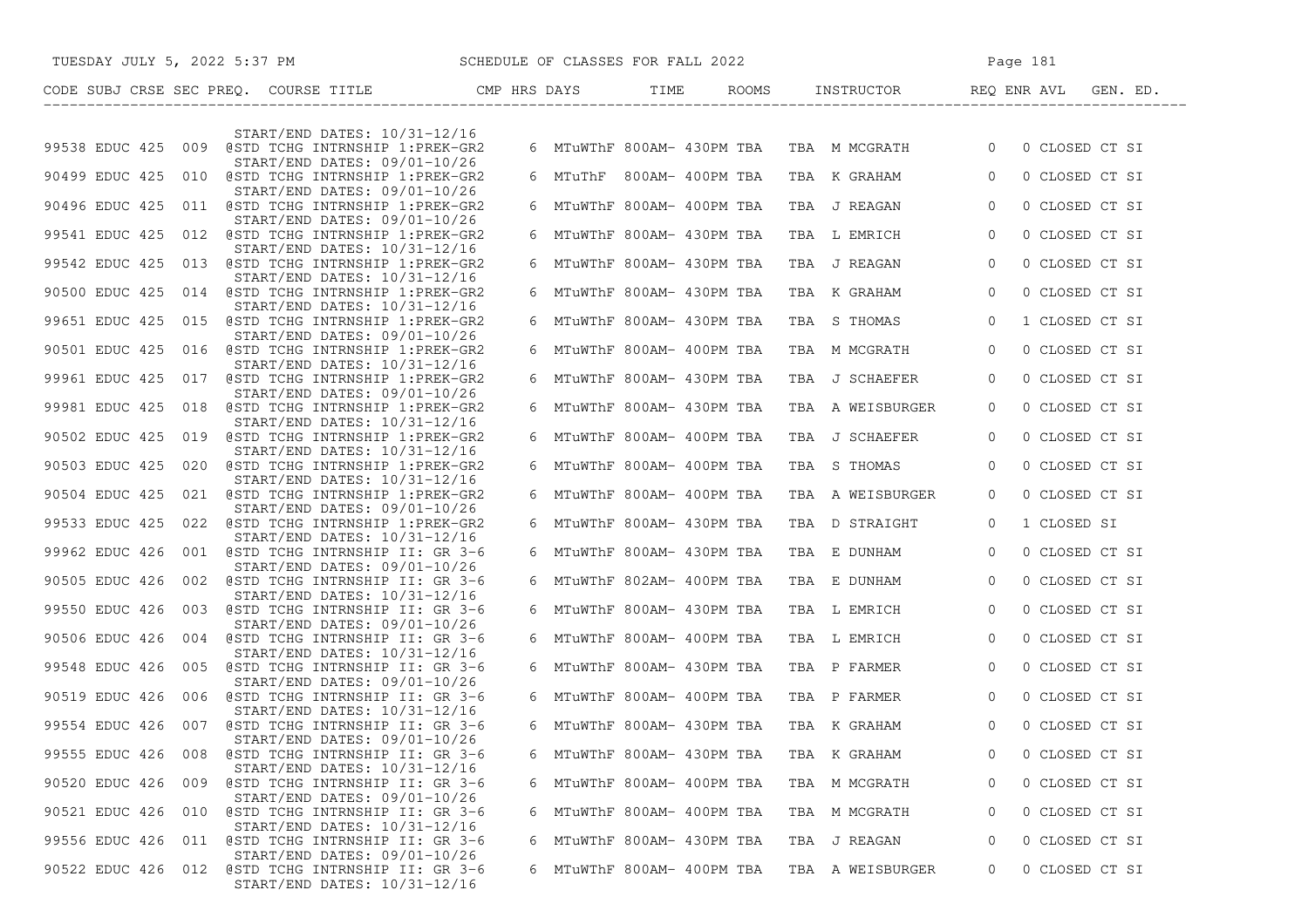|                       | TUESDAY JULY 5, 2022 5:37 PM SCHEDULE OF CLASSES FOR FALL 2022                                                    |  |                            |                                                           | Page 181       |                |
|-----------------------|-------------------------------------------------------------------------------------------------------------------|--|----------------------------|-----------------------------------------------------------|----------------|----------------|
|                       |                                                                                                                   |  |                            |                                                           |                |                |
|                       | START/END DATES: 10/31-12/16                                                                                      |  |                            |                                                           |                |                |
|                       | 99538 EDUC 425 009 @STD TCHG INTRNSHIP 1:PREK-GR2<br>START/END DATES: 09/01-10/26                                 |  |                            | 6 MTuWThF 800AM- 430PM TBA TBA M MCGRATH 0 0 CLOSED CT SI |                |                |
|                       | 90499 EDUC 425 010 @STD TCHG INTRNSHIP 1:PREK-GR2                                                                 |  |                            | 6 MTuThF 800AM-400PM TBA TBA K GRAHAM 60                  |                | 0 CLOSED CT SI |
|                       | START/END DATES: 09/01-10/26<br>90496 EDUC 425 011 @STD TCHG INTRNSHIP 1:PREK-GR2                                 |  | 6 MTuWThF 800AM- 400PM TBA | TBA J REAGAN 0                                            |                | 0 CLOSED CT SI |
|                       | START/END DATES: 09/01-10/26<br>99541 EDUC 425 012 @STD TCHG INTRNSHIP 1:PREK-GR2                                 |  | 6 MTuWThF 800AM- 430PM TBA | TBA L EMRICH 0                                            |                | 0 CLOSED CT SI |
|                       | START/END DATES: 10/31-12/16<br>99542 EDUC 425 013 @STD TCHG INTRNSHIP 1:PREK-GR2                                 |  | 6 MTuWThF 800AM- 430PM TBA | TBA J REAGAN 0                                            |                | 0 CLOSED CT SI |
|                       | START/END DATES: 10/31-12/16<br>90500 EDUC 425 014 @STD TCHG INTRNSHIP 1:PREK-GR2                                 |  | 6 MTuWThF 800AM- 430PM TBA | TBA K GRAHAM 0                                            |                | 0 CLOSED CT SI |
|                       | START/END DATES: 10/31-12/16<br>99651 EDUC 425 015 @STD TCHG INTRNSHIP 1:PREK-GR2                                 |  | 6 MTuWThF 800AM- 430PM TBA | TBA STHOMAS 0                                             |                | 1 CLOSED CT SI |
|                       | START/END DATES: 09/01-10/26<br>90501 EDUC 425 016 @STD TCHG INTRNSHIP 1:PREK-GR2                                 |  | 6 MTuWThF 800AM- 400PM TBA | TBA M MCGRATH 0                                           |                | 0 CLOSED CT SI |
|                       | START/END DATES: 10/31-12/16<br>99961 EDUC 425 017 @STD TCHG INTRNSHIP 1:PREK-GR2                                 |  | 6 MTuWThF 800AM- 430PM TBA | TBA J SCHAEFER                                            | $\overline{0}$ | 0 CLOSED CT SI |
|                       | START/END DATES: 09/01-10/26<br>99981 EDUC 425 018 @STD TCHG INTRNSHIP 1:PREK-GR2                                 |  | 6 MTuWThF 800AM- 430PM TBA | TBA A WEISBURGER                                          | $\overline{0}$ | 0 CLOSED CT SI |
|                       | START/END DATES: 10/31-12/16<br>90502 EDUC 425 019 @STD TCHG INTRNSHIP 1:PREK-GR2                                 |  | 6 MTuWThF 800AM- 400PM TBA | TBA J SCHAEFER                                            | $\overline{0}$ | 0 CLOSED CT SI |
|                       | START/END DATES: 10/31-12/16<br>90503 EDUC 425 020 @STD TCHG INTRNSHIP 1:PREK-GR2                                 |  | 6 MTuWThF 800AM- 400PM TBA | TBA STHOMAS 0                                             |                | 0 CLOSED CT SI |
|                       | START/END DATES: 10/31-12/16<br>90504 EDUC 425 021 @STD TCHG INTRNSHIP 1:PREK-GR2                                 |  | 6 MTuWThF 800AM- 400PM TBA | TBA A WEISBURGER                                          | $\Omega$       | 0 CLOSED CT SI |
|                       | START/END DATES: 09/01-10/26<br>99533 EDUC 425 022 @STD TCHG INTRNSHIP 1:PREK-GR2<br>START/END DATES: 10/31-12/16 |  | 6 MTuWThF 800AM- 430PM TBA | TBA D STRAIGHT                                            | $\overline{0}$ | 1 CLOSED SI    |
|                       | 99962 EDUC 426 001 @STD TCHG INTRNSHIP II: GR 3-6<br>START/END DATES: 09/01-10/26                                 |  | 6 MTuWThF 800AM- 430PM TBA | TBA E DUNHAM 0                                            |                | 0 CLOSED CT SI |
|                       | 90505 EDUC 426 002 @STD TCHG INTRNSHIP II: GR 3-6<br>START/END DATES: 10/31-12/16                                 |  | 6 MTuWThF 802AM- 400PM TBA | TBA E DUNHAM 0                                            |                | 0 CLOSED CT SI |
|                       | 99550 EDUC 426 003 @STD TCHG INTRNSHIP II: GR 3-6<br>START/END DATES: 09/01-10/26                                 |  | 6 MTuWThF 800AM- 430PM TBA | TBA L EMRICH 0                                            |                | 0 CLOSED CT SI |
|                       | 90506 EDUC 426 004 @STD TCHG INTRNSHIP II: GR 3-6<br>START/END DATES: 10/31-12/16                                 |  | 6 MTuWThF 800AM- 400PM TBA | TBA L EMRICH 0                                            |                | 0 CLOSED CT SI |
|                       | 99548 EDUC 426 005 @STD TCHG INTRNSHIP II: GR 3-6<br>START/END DATES: 09/01-10/26                                 |  | 6 MTuWThF 800AM- 430PM TBA | TBA P FARMER 0                                            |                | 0 CLOSED CT SI |
|                       | 90519 EDUC 426 006 @STD TCHG INTRNSHIP II: GR 3-6<br>START/END DATES: 10/31-12/16                                 |  |                            | 6 MTuWThF 800AM- 400PM TBA TBA P FARMER                   | $\overline{0}$ | 0 CLOSED CT SI |
|                       | 99554 EDUC 426 007 @STD TCHG INTRNSHIP II: GR 3-6<br>START/END DATES: 09/01-10/26                                 |  |                            | 6 MTuWThF 800AM- 430PM TBA TBA K GRAHAM                   | $\overline{0}$ | 0 CLOSED CT SI |
| 008<br>99555 EDUC 426 | @STD TCHG INTRNSHIP II: GR 3-6<br>START/END DATES: 10/31-12/16                                                    |  | MTuWThF 800AM- 430PM TBA   | TBA K GRAHAM                                              |                | 0 CLOSED CT SI |
|                       | 90520 EDUC 426 009 @STD TCHG INTRNSHIP II: GR 3-6<br>START/END DATES: 09/01-10/26                                 |  | 6 MTuWThF 800AM- 400PM TBA | TBA M MCGRATH                                             | $\Omega$       | 0 CLOSED CT SI |
|                       | 90521 EDUC 426 010 @STD TCHG INTRNSHIP II: GR 3-6<br>START/END DATES: 10/31-12/16                                 |  | 6 MTuWThF 800AM- 400PM TBA | TBA M MCGRATH                                             | 0              | 0 CLOSED CT SI |
|                       | 99556 EDUC 426 011 @STD TCHG INTRNSHIP II: GR 3-6<br>START/END DATES: 09/01-10/26                                 |  | 6 MTuWThF 800AM- 430PM TBA | TBA J REAGAN                                              | 0              | 0 CLOSED CT SI |
|                       | 90522 EDUC 426 012 @STD TCHG INTRNSHIP II: GR 3-6<br>START/END DATES: 10/31-12/16                                 |  | 6 MTuWThF 800AM- 400PM TBA | TBA A WEISBURGER                                          | 0              | 0 CLOSED CT SI |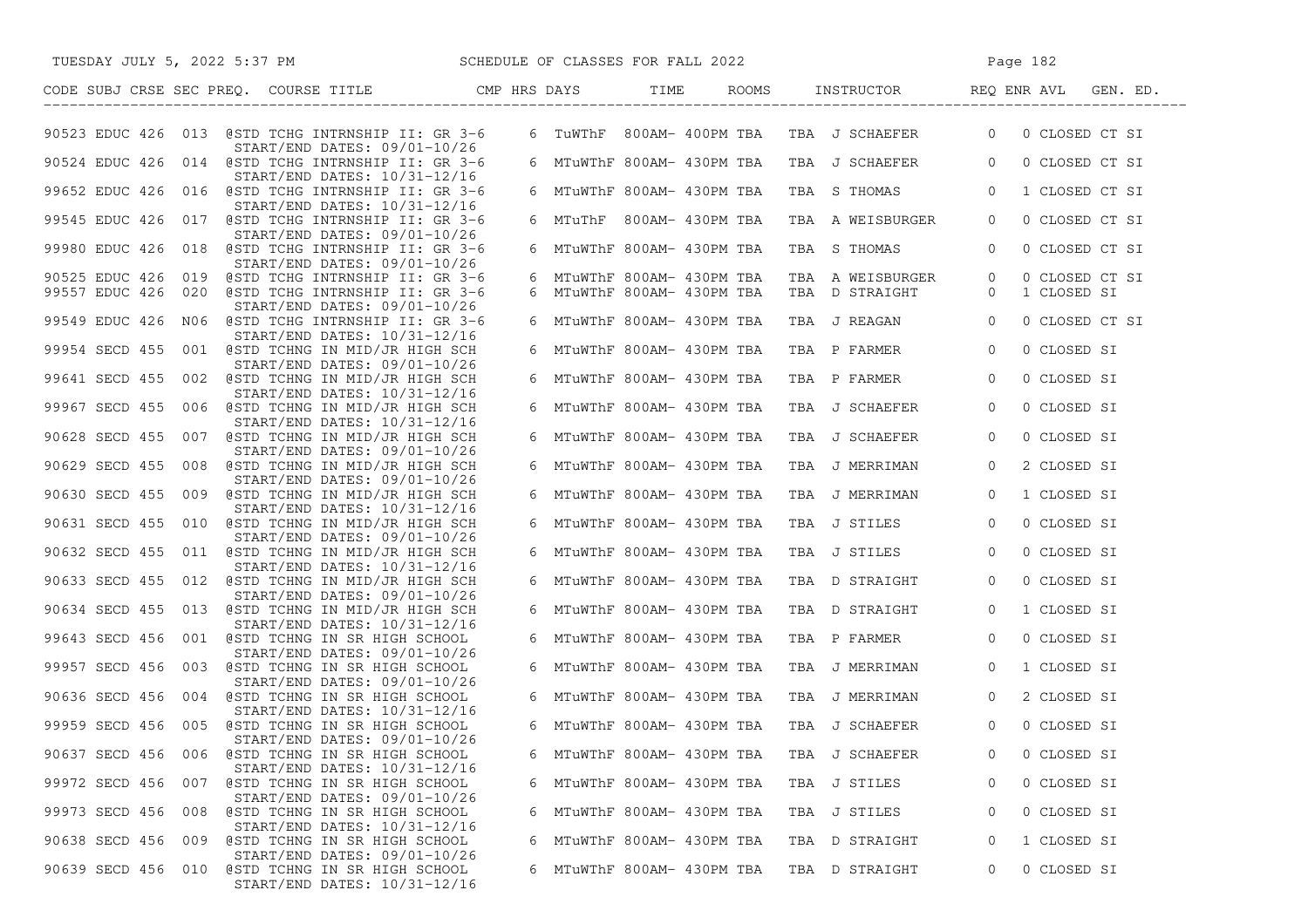| SCHEDULE OF CLASSES FOR FALL 2022<br>TUESDAY JULY 5, 2022 5:37 PM                     |   |                            |                                                           | Page 182       |                |
|---------------------------------------------------------------------------------------|---|----------------------------|-----------------------------------------------------------|----------------|----------------|
| CODE SUBJ CRSE SEC PREQ. COURSE TITLE THE CMP HRS DAYS                                |   | TIME                       | ROOMS INSTRUCTOR REQ ENR AVL GEN. ED.<br>---------------- |                |                |
| 90523 EDUC 426 013 @STD TCHG INTRNSHIP II: GR 3-6<br>START/END DATES: 09/01-10/26     |   |                            | 6 TUWThF 800AM-400PM TBA TBA J SCHAEFER 0                 |                | 0 CLOSED CT SI |
| 90524 EDUC 426 014 @STD TCHG INTRNSHIP II: GR 3-6<br>START/END DATES: 10/31-12/16     |   |                            | 6 MTuWThF 800AM- 430PM TBA TBA J SCHAEFER 0               |                | 0 CLOSED CT SI |
| 99652 EDUC 426 016 @STD TCHG INTRNSHIP II: GR 3-6<br>START/END DATES: 10/31-12/16     |   |                            | 6 MTuWThF 800AM- 430PM TBA TBA S THOMAS                   | $\overline{0}$ | 1 CLOSED CT SI |
| 99545 EDUC 426 017 @STD TCHG INTRNSHIP II: GR 3-6                                     |   | 6 MTuThF 800AM-430PM TBA   | TBA A WEISBURGER                                          | $\circ$        | 0 CLOSED CT SI |
| START/END DATES: 09/01-10/26<br>99980 EDUC 426 018 @STD TCHG INTRNSHIP II: GR 3-6     |   | 6 MTuWThF 800AM- 430PM TBA | TBA S THOMAS                                              | $\overline{0}$ | 0 CLOSED CT SI |
| START/END DATES: 09/01-10/26                                                          |   |                            |                                                           |                |                |
| 90525 EDUC 426 019 @STD TCHG INTRNSHIP II: GR 3-6                                     |   | 6 MTuWThF 800AM- 430PM TBA | TBA A WEISBURGER                                          | $\overline{0}$ | 0 CLOSED CT SI |
| 99557 EDUC 426 020 @STD TCHG INTRNSHIP II: GR 3-6                                     |   | 6 MTuWThF 800AM- 430PM TBA | TBA D STRAIGHT                                            | $\overline{0}$ | 1 CLOSED SI    |
| START/END DATES: 09/01-10/26                                                          |   |                            |                                                           |                |                |
| 99549 EDUC 426 NO6 @STD TCHG INTRNSHIP II: GR 3-6<br>START/END DATES: 10/31-12/16     |   | 6 MTuWThF 800AM- 430PM TBA | TBA J REAGAN                                              | $\overline{0}$ | 0 CLOSED CT SI |
| 99954 SECD 455 001 @STD TCHNG IN MID/JR HIGH SCH<br>START/END DATES: 09/01-10/26      |   | 6 MTuWThF 800AM- 430PM TBA | TBA P FARMER                                              | $\overline{0}$ | 0 CLOSED SI    |
| 99641 SECD 455 002 @STD TCHNG IN MID/JR HIGH SCH<br>START/END DATES: 10/31-12/16      |   | 6 MTuWThF 800AM- 430PM TBA | TBA P FARMER                                              | $\overline{0}$ | 0 CLOSED SI    |
| 99967 SECD 455 006 @STD TCHNG IN MID/JR HIGH SCH<br>START/END DATES: 10/31-12/16      |   | 6 MTuWThF 800AM- 430PM TBA | TBA J SCHAEFER                                            | $\overline{0}$ | 0 CLOSED SI    |
| 90628 SECD 455 007 @STD TCHNG IN MID/JR HIGH SCH                                      |   | 6 MTuWThF 800AM- 430PM TBA | TBA J SCHAEFER                                            | $\overline{0}$ | 0 CLOSED SI    |
| START/END DATES: 09/01-10/26<br>90629 SECD 455 008 @STD TCHNG IN MID/JR HIGH SCH      |   | 6 MTuWThF 800AM- 430PM TBA | TBA J MERRIMAN                                            | $\overline{0}$ | 2 CLOSED SI    |
| START/END DATES: 09/01-10/26<br>90630 SECD 455 009 @STD TCHNG IN MID/JR HIGH SCH      |   | 6 MTuWThF 800AM- 430PM TBA | TBA J MERRIMAN                                            | $\overline{0}$ | 1 CLOSED SI    |
| START/END DATES: 10/31-12/16<br>90631 SECD 455 010 @STD TCHNG IN MID/JR HIGH SCH      |   | 6 MTuWThF 800AM- 430PM TBA | TBA J STILES                                              | $\overline{0}$ | 0 CLOSED SI    |
| START/END DATES: 09/01-10/26                                                          |   |                            |                                                           |                |                |
| 90632 SECD 455 011 @STD TCHNG IN MID/JR HIGH SCH<br>START/END DATES: 10/31-12/16      |   | 6 MTuWThF 800AM- 430PM TBA | TBA J STILES                                              | $\overline{0}$ | 0 CLOSED SI    |
| 90633 SECD 455 012 @STD TCHNG IN MID/JR HIGH SCH<br>START/END DATES: 09/01-10/26      |   |                            | 6 MTuWThF 800AM- 430PM TBA  TBA  D STRAIGHT               | $\overline{0}$ | 0 CLOSED SI    |
| 90634 SECD 455 013 @STD TCHNG IN MID/JR HIGH SCH<br>START/END DATES: 10/31-12/16      |   | 6 MTuWThF 800AM- 430PM TBA | TBA D STRAIGHT                                            | $\overline{0}$ | 1 CLOSED SI    |
| 99643 SECD 456 001 @STD TCHNG IN SR HIGH SCHOOL<br>START/END DATES: 09/01-10/26       |   | 6 MTuWThF 800AM- 430PM TBA | TBA P FARMER                                              | $\overline{0}$ | 0 CLOSED SI    |
| 99957 SECD 456 003 @STD TCHNG IN SR HIGH SCHOOL<br>$START/END$ DATES: $09/01-10/26$   |   | 6 MTuWThF 800AM- 430PM TBA | TBA J MERRIMAN                                            | $\overline{0}$ | 1 CLOSED SI    |
| 90636 SECD 456 004 @STD TCHNG IN SR HIGH SCHOOL                                       |   | 6 MTuWThF 800AM- 430PM TBA | TBA J MERRIMAN                                            | $\overline{0}$ | 2 CLOSED SI    |
| START/END DATES: 10/31-12/16<br>99959 SECD 456 005 @STD TCHNG IN SR HIGH SCHOOL       |   |                            | 6 MTuWThF 800AM- 430PM TBA TBA J SCHAEFER                 | $\overline{0}$ | 0 CLOSED SI    |
| START/END DATES: 09/01-10/26<br>90637 SECD 456<br>006<br>@STD TCHNG IN SR HIGH SCHOOL | 6 | MTuWThF 800AM- 430PM TBA   | TBA J SCHAEFER                                            | 0              | 0 CLOSED SI    |
| START/END DATES: 10/31-12/16<br>99972 SECD 456<br>007<br>@STD TCHNG IN SR HIGH SCHOOL |   | 6 MTuWThF 800AM- 430PM TBA | TBA J STILES                                              | 0              | 0 CLOSED SI    |
| START/END DATES: 09/01-10/26<br>99973 SECD 456<br>008<br>@STD TCHNG IN SR HIGH SCHOOL |   | 6 MTuWThF 800AM- 430PM TBA | TBA J STILES                                              | 0              | 0 CLOSED SI    |
| START/END DATES: 10/31-12/16<br>90638 SECD 456<br>@STD TCHNG IN SR HIGH SCHOOL<br>009 |   | 6 MTuWThF 800AM- 430PM TBA | TBA D STRAIGHT                                            | 0              | 1 CLOSED SI    |
| START/END DATES: 09/01-10/26                                                          |   |                            |                                                           |                |                |
| 90639 SECD 456<br>@STD TCHNG IN SR HIGH SCHOOL<br>010<br>START/END DATES: 10/31-12/16 |   | 6 MTuWThF 800AM- 430PM TBA | TBA D STRAIGHT                                            | 0              | 0 CLOSED SI    |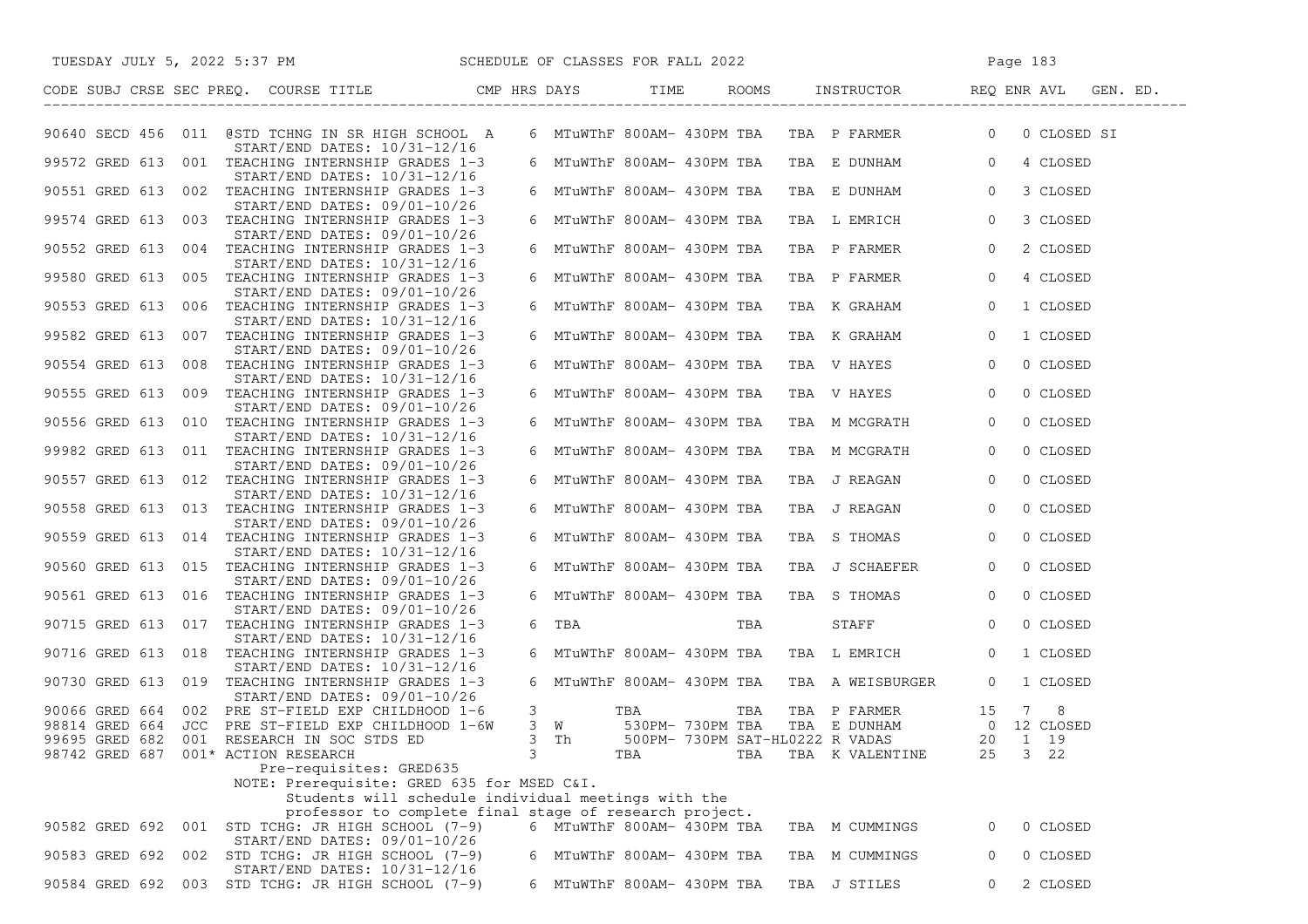| TUESDAY JULY 5, 2022 5:37 PM SCHEDULE OF CLASSES FOR FALL 2022                                |   |                                                                                                                  |     |     |                                                                                                                  |                | Page 183    |  |
|-----------------------------------------------------------------------------------------------|---|------------------------------------------------------------------------------------------------------------------|-----|-----|------------------------------------------------------------------------------------------------------------------|----------------|-------------|--|
| CODE SUBJ CRSE SEC PREQ. COURSE TITLE CMP HRS DAYS TIME ROOMS INSTRUCTOR REQ ENR AVL GEN. ED. |   |                                                                                                                  |     |     |                                                                                                                  |                |             |  |
| 90640 SECD 456 011 @STD TCHNG IN SR HIGH SCHOOL A<br>START/END DATES: 10/31-12/16             |   |                                                                                                                  |     |     | 6 MTuWThF 800AM- 430PM TBA TBA P FARMER 0                                                                        |                | 0 CLOSED SI |  |
| 99572 GRED 613 001 TEACHING INTERNSHIP GRADES 1-3<br>START/END DATES: 10/31-12/16             |   |                                                                                                                  |     |     | 6 MTuWThF 800AM- 430PM TBA TBA E DUNHAM 0                                                                        |                | 4 CLOSED    |  |
| 90551 GRED 613 002 TEACHING INTERNSHIP GRADES 1-3                                             |   | 6 MTuWThF 800AM- 430PM TBA                                                                                       |     |     | TBA E DUNHAM 0                                                                                                   |                | 3 CLOSED    |  |
| START/END DATES: 09/01-10/26<br>99574 GRED 613 003 TEACHING INTERNSHIP GRADES 1-3             |   | 6 MTuWThF 800AM- 430PM TBA                                                                                       |     |     | TBA L EMRICH                                                                                                     | $\overline{0}$ | 3 CLOSED    |  |
| $START/END$ DATES: $09/01-10/26$<br>90552 GRED 613 004 TEACHING INTERNSHIP GRADES 1-3         |   | 6 MTuWThF 800AM- 430PM TBA                                                                                       |     |     | TBA P FARMER                                                                                                     | $\overline{0}$ | 2 CLOSED    |  |
| START/END DATES: 10/31-12/16<br>99580 GRED 613 005 TEACHING INTERNSHIP GRADES 1-3             |   | 6 MTuWThF 800AM- 430PM TBA                                                                                       |     |     | TBA P FARMER                                                                                                     | $\overline{0}$ | 4 CLOSED    |  |
| $START/END$ DATES: $09/01-10/26$<br>90553 GRED 613 006 TEACHING INTERNSHIP GRADES 1-3         |   | 6 MTuWThF 800AM- 430PM TBA                                                                                       |     |     | TBA K GRAHAM                                                                                                     | $\overline{0}$ | 1 CLOSED    |  |
| START/END DATES: 10/31-12/16<br>99582 GRED 613 007 TEACHING INTERNSHIP GRADES 1-3             |   | 6 MTuWThF 800AM- 430PM TBA                                                                                       |     |     | TBA K GRAHAM                                                                                                     | $\overline{0}$ | 1 CLOSED    |  |
| START/END DATES: 09/01-10/26<br>90554 GRED 613 008 TEACHING INTERNSHIP GRADES 1-3             |   | 6 MTuWThF 800AM- 430PM TBA                                                                                       |     |     | TBA V HAYES                                                                                                      | $\overline{0}$ | 0 CLOSED    |  |
| START/END DATES: 10/31-12/16<br>90555 GRED 613 009 TEACHING INTERNSHIP GRADES 1-3             |   | 6 MTuWThF 800AM- 430PM TBA                                                                                       |     |     | TBA V HAYES                                                                                                      | $\overline{0}$ | 0 CLOSED    |  |
| START/END DATES: 09/01-10/26<br>90556 GRED 613 010 TEACHING INTERNSHIP GRADES 1-3             |   | 6 MTuWThF 800AM- 430PM TBA                                                                                       |     |     | TBA M MCGRATH                                                                                                    | $\circ$        | 0 CLOSED    |  |
| START/END DATES: 10/31-12/16<br>99982 GRED 613 011 TEACHING INTERNSHIP GRADES 1-3             |   | 6 MTuWThF 800AM- 430PM TBA                                                                                       |     |     | TBA M MCGRATH                                                                                                    | $\overline{0}$ | 0 CLOSED    |  |
| START/END DATES: 09/01-10/26<br>90557 GRED 613 012 TEACHING INTERNSHIP GRADES 1-3             |   | 6 MTuWThF 800AM- 430PM TBA                                                                                       |     |     | TBA J REAGAN                                                                                                     | $\overline{0}$ | 0 CLOSED    |  |
| START/END DATES: 10/31-12/16<br>90558 GRED 613 013 TEACHING INTERNSHIP GRADES 1-3             |   | 6 MTuWThF 800AM- 430PM TBA                                                                                       |     |     | TBA J REAGAN                                                                                                     | $\circ$        | 0 CLOSED    |  |
| $START/END$ DATES: $09/01-10/26$                                                              |   |                                                                                                                  |     |     |                                                                                                                  |                |             |  |
| 90559 GRED 613 014 TEACHING INTERNSHIP GRADES 1-3<br>START/END DATES: 10/31-12/16             |   | 6 MTuWThF 800AM- 430PM TBA                                                                                       |     |     | TBA S THOMAS                                                                                                     | $\overline{0}$ | 0 CLOSED    |  |
| 90560 GRED 613 015 TEACHING INTERNSHIP GRADES 1-3<br>START/END DATES: 09/01-10/26             |   | 6 MTuWThF 800AM- 430PM TBA                                                                                       |     |     | TBA J SCHAEFER                                                                                                   | $\overline{0}$ | 0 CLOSED    |  |
| 90561 GRED 613 016 TEACHING INTERNSHIP GRADES 1-3<br>START/END DATES: 09/01-10/26             |   |                                                                                                                  |     |     | 6 MTuWThF 800AM- 430PM TBA TBA S THOMAS                                                                          | $\overline{0}$ | 0 CLOSED    |  |
| 90715 GRED 613 017 TEACHING INTERNSHIP GRADES 1-3<br>START/END DATES: 10/31-12/16             |   | 6 TBA PORT AND THE STATE OF THE STATE OF THE STATE OF THE STATE OF THE STATE OF THE STATE OF THE STATE OF THE ST |     | TBA | STAFF 0                                                                                                          |                | 0 CLOSED    |  |
| 90716 GRED 613 018 TEACHING INTERNSHIP GRADES 1-3<br>START/END DATES: 10/31-12/16             |   |                                                                                                                  |     |     | 6 MTuWThF 800AM- 430PM TBA TBA L EMRICH                                                                          | $\overline{0}$ | 1 CLOSED    |  |
| 90730 GRED 613 019 TEACHING INTERNSHIP GRADES 1-3<br>$START/END$ DATES: $09/01-10/26$         |   |                                                                                                                  |     |     | 6 MTuWThF 800AM- 430PM TBA TBA A WEISBURGER 0                                                                    |                | 1 CLOSED    |  |
| 90066 GRED 664 002 PRE ST-FIELD EXP CHILDHOOD 1-6                                             |   | $3 \sim$                                                                                                         |     |     | TBA TBA TBA PFARMER 15 7 8<br>530PM-730PM TBA TBA E DUNHAM 0 12 CLOSED<br>500PM-730PM SAT-HL0222 R VADAS 20 1 19 |                |             |  |
| 98814 GRED 664 JCC PRE ST-FIELD EXP CHILDHOOD 1-6W                                            |   | 3 W 530PM-730PM TBA                                                                                              |     |     |                                                                                                                  |                |             |  |
| 99695 GRED 682 001 RESEARCH IN SOC STDS ED                                                    |   | 3 Th                                                                                                             |     |     |                                                                                                                  |                |             |  |
| 98742 GRED 687 001* ACTION RESEARCH                                                           | 3 |                                                                                                                  | TBA | TBA | TBA K VALENTINE                                                                                                  | 25             | 3 22        |  |
| Pre-requisites: GRED635<br>NOTE: Prerequisite: GRED 635 for MSED C&I.                         |   |                                                                                                                  |     |     |                                                                                                                  |                |             |  |
| Students will schedule individual meetings with the                                           |   |                                                                                                                  |     |     |                                                                                                                  |                |             |  |
| professor to complete final stage of research project.                                        |   |                                                                                                                  |     |     |                                                                                                                  |                |             |  |
| 90582 GRED 692 001<br>STD TCHG: JR HIGH SCHOOL (7-9)<br>$START/END$ DATES: $09/01-10/26$      |   | 6 MTuWThF 800AM- 430PM TBA                                                                                       |     |     | TBA M CUMMINGS                                                                                                   | 0              | 0 CLOSED    |  |
| 90583 GRED 692<br>002<br>STD TCHG: JR HIGH SCHOOL (7-9)<br>START/END DATES: 10/31-12/16       |   | 6 MTuWThF 800AM- 430PM TBA                                                                                       |     |     | TBA M CUMMINGS                                                                                                   | 0              | 0 CLOSED    |  |
| 90584 GRED 692<br>003 STD TCHG: JR HIGH SCHOOL (7-9)                                          |   | 6 MTuWThF 800AM- 430PM TBA                                                                                       |     |     | TBA J STILES                                                                                                     | $\overline{0}$ | 2 CLOSED    |  |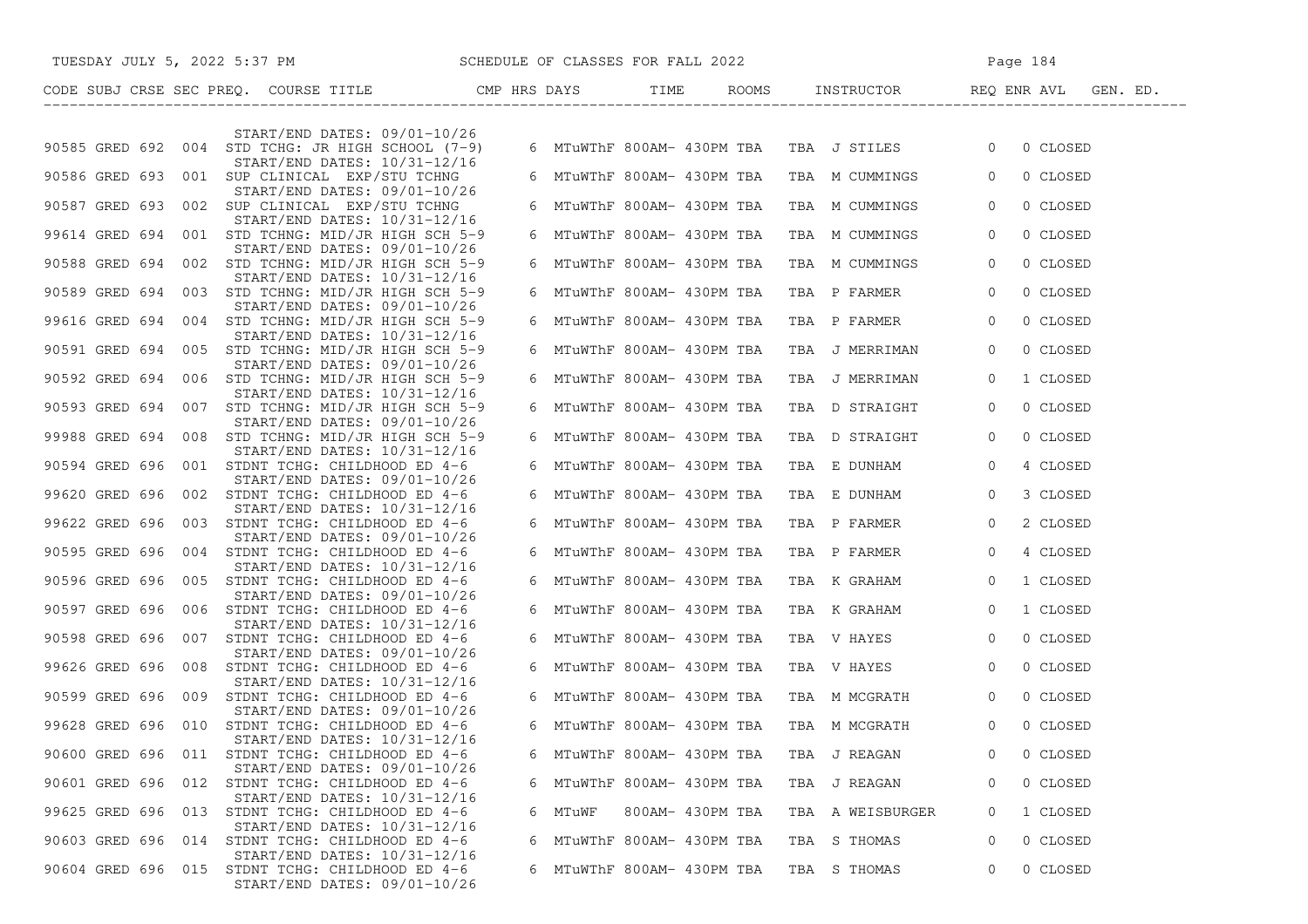|                    |     |  | TUESDAY JULY 5, 2022 5:37 PM SCHEDULE OF CLASSES FOR FALL 2022                               |   |                            |                  |  |                                            | Page 184       |          |  |  |
|--------------------|-----|--|----------------------------------------------------------------------------------------------|---|----------------------------|------------------|--|--------------------------------------------|----------------|----------|--|--|
|                    |     |  |                                                                                              |   |                            |                  |  |                                            |                |          |  |  |
|                    |     |  | $START/END$ DATES: $09/01-10/26$                                                             |   |                            |                  |  |                                            |                |          |  |  |
|                    |     |  | 90585 GRED 692 004 STD TCHG: JR HIGH SCHOOL (7-9)<br>START/END DATES: 10/31-12/16            |   |                            |                  |  | 6 MTuWThF 800AM- 430PM TBA TBA J STILES 0  |                | 0 CLOSED |  |  |
|                    |     |  | 90586 GRED 693 001 SUP CLINICAL EXP/STU TCHNG                                                |   |                            |                  |  | 6 MTuWThF 800AM- 430PM TBA TBA M CUMMINGS  | $\overline{0}$ | 0 CLOSED |  |  |
|                    |     |  | START/END DATES: 09/01-10/26<br>90587 GRED 693 002 SUP CLINICAL EXP/STU TCHNG                |   | 6 MTuWThF 800AM- 430PM TBA |                  |  | TBA M CUMMINGS                             | $\overline{0}$ | 0 CLOSED |  |  |
|                    |     |  | START/END DATES: 10/31-12/16<br>99614 GRED 694 001 STD TCHNG: MID/JR HIGH SCH 5-9            |   | 6 MTuWThF 800AM- 430PM TBA |                  |  | TBA M CUMMINGS                             | $\overline{0}$ | 0 CLOSED |  |  |
|                    |     |  | $START/END$ DATES: $09/01-10/26$<br>90588 GRED 694 002 STD TCHNG: MID/JR HIGH SCH 5-9        |   | 6 MTuWThF 800AM- 430PM TBA |                  |  | TBA M CUMMINGS                             | $\overline{0}$ | 0 CLOSED |  |  |
|                    |     |  | $START/END$ DATES: $10/31-12/16$<br>90589 GRED 694 003 STD TCHNG: MID/JR HIGH SCH 5-9        |   | 6 MTuWThF 800AM- 430PM TBA |                  |  | TBA P FARMER                               | $\circ$        | 0 CLOSED |  |  |
|                    |     |  | $START/END$ DATES: $09/01-10/26$<br>99616 GRED 694 004 STD TCHNG: MID/JR HIGH SCH 5-9        |   | 6 MTuWThF 800AM- 430PM TBA |                  |  | TBA P FARMER                               | $\circ$        | 0 CLOSED |  |  |
|                    |     |  | START/END DATES: 10/31-12/16<br>90591 GRED 694 005 STD TCHNG: MID/JR HIGH SCH 5-9            |   | 6 MTuWThF 800AM- 430PM TBA |                  |  | TBA J MERRIMAN                             | $\overline{0}$ | 0 CLOSED |  |  |
|                    |     |  | START/END DATES: 09/01-10/26<br>90592 GRED 694 006 STD TCHNG: MID/JR HIGH SCH 5-9            |   | 6 MTuWThF 800AM- 430PM TBA |                  |  | TBA J MERRIMAN                             | $\overline{0}$ | 1 CLOSED |  |  |
|                    |     |  | START/END DATES: 10/31-12/16<br>90593 GRED 694 007 STD TCHNG: MID/JR HIGH SCH 5-9            |   | 6 MTuWThF 800AM- 430PM TBA |                  |  | TBA D STRAIGHT                             | $\overline{0}$ | 0 CLOSED |  |  |
|                    |     |  | $START/END$ DATES: $09/01-10/26$<br>99988 GRED 694 008 STD TCHNG: MID/JR HIGH SCH 5-9        |   | 6 MTuWThF 800AM- 430PM TBA |                  |  | TBA D STRAIGHT                             | $\overline{0}$ | 0 CLOSED |  |  |
|                    |     |  | $START/END$ DATES: $10/31-12/16$<br>90594 GRED 696 001 STDNT TCHG: CHILDHOOD ED 4-6          |   | 6 MTuWThF 800AM- 430PM TBA |                  |  | TBA E DUNHAM                               | $\circ$        | 4 CLOSED |  |  |
|                    |     |  | $START/END$ DATES: $09/01-10/26$<br>99620 GRED 696 002 STDNT TCHG: CHILDHOOD ED 4-6          |   | 6 MTuWThF 800AM- 430PM TBA |                  |  | TBA E DUNHAM                               | $\overline{0}$ | 3 CLOSED |  |  |
|                    |     |  | START/END DATES: 10/31-12/16<br>99622 GRED 696 003 STDNT TCHG: CHILDHOOD ED 4-6              |   | 6 MTuWThF 800AM- 430PM TBA |                  |  | TBA P FARMER                               | $\overline{0}$ | 2 CLOSED |  |  |
|                    |     |  | $START/END$ DATES: $09/01-10/26$<br>90595 GRED 696 004 STDNT TCHG: CHILDHOOD ED 4-6          |   | 6 MTuWThF 800AM- 430PM TBA |                  |  | TBA P FARMER                               | $\overline{0}$ | 4 CLOSED |  |  |
|                    |     |  | START/END DATES: 10/31-12/16<br>90596 GRED 696 005 STDNT TCHG: CHILDHOOD ED 4-6              |   | 6 MTuWThF 800AM- 430PM TBA |                  |  | TBA K GRAHAM                               | $\overline{0}$ | 1 CLOSED |  |  |
|                    |     |  | $START/END$ DATES: $09/01-10/26$<br>90597 GRED 696 006 STDNT TCHG: CHILDHOOD ED 4-6          |   | 6 MTuWThF 800AM- 430PM TBA |                  |  | TBA K GRAHAM                               | $\overline{0}$ | 1 CLOSED |  |  |
|                    |     |  | $START/END$ DATES: $10/31-12/16$<br>90598 GRED 696 007 STDNT TCHG: CHILDHOOD ED 4-6          |   | 6 MTuWThF 800AM- 430PM TBA |                  |  | TBA V HAYES                                | $\overline{0}$ | 0 CLOSED |  |  |
|                    |     |  | START/END DATES: 09/01-10/26<br>99626 GRED 696 008 STDNT TCHG: CHILDHOOD ED 4-6              |   | 6 MTuWThF 800AM- 430PM TBA |                  |  | TBA V HAYES                                | $\overline{0}$ | 0 CLOSED |  |  |
|                    |     |  | $START/END$ DATES: $10/31-12/16$<br>90599 GRED 696 009 STDNT TCHG: CHILDHOOD ED 4-6          |   | 6 MTuWThF 800AM- 430PM TBA |                  |  | TBA M MCGRATH                              | $\overline{0}$ | 0 CLOSED |  |  |
|                    |     |  | $START/END$ DATES: $09/01-10/26$<br>99628 GRED 696 010 STDNT TCHG: CHILDHOOD ED 4-6          |   |                            |                  |  | 6 MTuWThF 800AM- 430PM TBA  TBA  M MCGRATH | $\circ$        | 0 CLOSED |  |  |
| 90600 GRED 696     | 011 |  | START/END DATES: 10/31-12/16<br>STDNT TCHG: CHILDHOOD ED 4-6                                 | 6 | MTuWThF 800AM- 430PM TBA   |                  |  | TBA J REAGAN                               | $\Omega$       | 0 CLOSED |  |  |
| 90601 GRED 696 012 |     |  | $START/END$ DATES: $09/01-10/26$<br>STDNT TCHG: CHILDHOOD ED 4-6                             |   | 6 MTuWThF 800AM- 430PM TBA |                  |  | TBA J REAGAN                               | 0              | 0 CLOSED |  |  |
| 99625 GRED 696     | 013 |  | START/END DATES: 10/31-12/16<br>STDNT TCHG: CHILDHOOD ED 4-6                                 | 6 | MTuWF                      | 800AM- 430PM TBA |  | TBA A WEISBURGER                           | 0              | 1 CLOSED |  |  |
| 90603 GRED 696     | 014 |  | START/END DATES: 10/31-12/16<br>STDNT TCHG: CHILDHOOD ED 4-6                                 | 6 | MTuWThF 800AM- 430PM TBA   |                  |  | TBA S THOMAS                               | 0              | 0 CLOSED |  |  |
| 90604 GRED 696 015 |     |  | START/END DATES: 10/31-12/16<br>STDNT TCHG: CHILDHOOD ED 4-6<br>START/END DATES: 09/01-10/26 | 6 | MTuWThF 800AM- 430PM TBA   |                  |  | TBA S THOMAS                               | 0              | 0 CLOSED |  |  |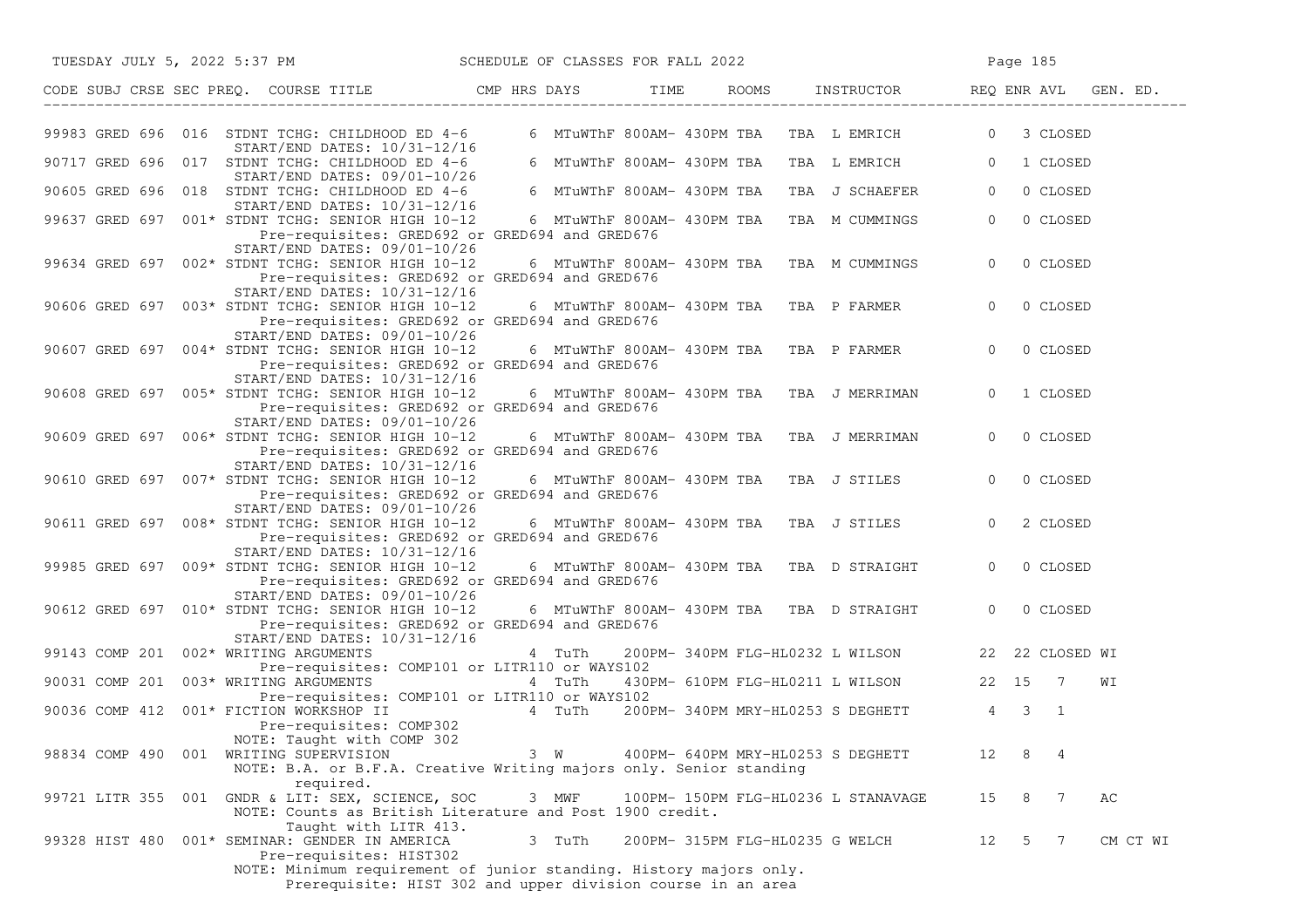| TUESDAY JULY 5, 2022 5:37 PM SCHEDULE OF CLASSES FOR FALL 2022                                                                                                                                                                             |                                         |                                             |                                                 |                | Page 185            |          |
|--------------------------------------------------------------------------------------------------------------------------------------------------------------------------------------------------------------------------------------------|-----------------------------------------|---------------------------------------------|-------------------------------------------------|----------------|---------------------|----------|
| CODE SUBJ CRSE SEC PREQ. COURSE TITLE THE CMP HRS DAYS TIME                                                                                                                                                                                |                                         |                                             | ROOMS INSTRUCTOR REQ ENR AVL GEN. ED.           |                |                     |          |
| 99983 GRED 696 016 STDNT TCHG: CHILDHOOD ED 4-6<br>START/END DATES: 10/31-12/16                                                                                                                                                            |                                         |                                             | 6 MTuWThF 800AM- 430PM TBA TBA L EMRICH 0       |                | 3 CLOSED            |          |
| 90717 GRED 696 017 STDNT TCHG: CHILDHOOD ED 4-6<br>START/END DATES: 09/01-10/26                                                                                                                                                            |                                         | 6 MTuWThF 800AM- 430PM TBA                  | TBA L EMRICH                                    | $\overline{0}$ | 1 CLOSED            |          |
| 90605 GRED 696 018 STDNT TCHG: CHILDHOOD ED 4-6                                                                                                                                                                                            |                                         | 6 MTuWThF 800AM- 430PM TBA                  | TBA J SCHAEFER                                  | $\overline{0}$ | 0 CLOSED            |          |
| START/END DATES: 10/31-12/16<br>99637 GRED 697 001* STDNT TCHG: SENIOR HIGH 10-12<br>Pre-requisites: GRED692 or GRED694 and GRED676                                                                                                        |                                         | 6 MTuWThF 800AM- 430PM TBA                  | TBA M CUMMINGS                                  | $\overline{0}$ | 0 CLOSED            |          |
| START/END DATES: 09/01-10/26<br>99634 GRED 697 002* STDNT TCHG: SENIOR HIGH 10-12<br>Pre-requisites: GRED692 or GRED694 and GRED676                                                                                                        |                                         | 6 MTuWThF 800AM- 430PM TBA  TBA  M CUMMINGS |                                                 | $\mathbf{0}$   | 0 CLOSED            |          |
| START/END DATES: 10/31-12/16<br>90606 GRED 697 003* STDNT TCHG: SENIOR HIGH 10-12<br>Pre-requisites: GRED692 or GRED694 and GRED676                                                                                                        |                                         |                                             | 6 MTuWThF 800AM- 430PM TBA TBA P FARMER         | $\circ$        | 0 CLOSED            |          |
| START/END DATES: 09/01-10/26<br>90607 GRED 697 004* STDNT TCHG: SENIOR HIGH 10-12<br>Pre-requisites: GRED692 or GRED694 and GRED676                                                                                                        |                                         |                                             | 6 MTuWThF 800AM- 430PM TBA TBA P FARMER         | $\Omega$       | 0 CLOSED            |          |
| START/END DATES: 10/31-12/16<br>90608 GRED 697 005* STDNT TCHG: SENIOR HIGH 10-12<br>Pre-requisites: GRED692 or GRED694 and GRED676                                                                                                        |                                         |                                             | 6 MTuWThF 800AM- 430PM TBA   TBA  J MERRIMAN    | $\Omega$       | 1 CLOSED            |          |
| START/END DATES: 09/01-10/26<br>90609 GRED 697 006* STDNT TCHG: SENIOR HIGH 10-12<br>Pre-requisites: GRED692 or GRED694 and GRED676                                                                                                        |                                         |                                             | 6 MTuWThF 800AM- 430PM TBA TBA J MERRIMAN       | $\overline{0}$ | 0 CLOSED            |          |
| START/END DATES: 10/31-12/16<br>90610 GRED 697 007* STDNT TCHG: SENIOR HIGH 10-12<br>Pre-requisites: GRED692 or GRED694 and GRED676                                                                                                        | 6 MTuWThF 800AM- 430PM TBA TBA J STILES |                                             |                                                 | $\Omega$       | 0 CLOSED            |          |
| START/END DATES: 09/01-10/26<br>90611 GRED 697 008* STDNT TCHG: SENIOR HIGH 10-12<br>Pre-requisites: GRED692 or GRED694 and GRED676                                                                                                        |                                         |                                             | 6 MTuWThF 800AM- 430PM TBA TBA J STILES         | $\Omega$       | 2 CLOSED            |          |
| START/END DATES: 10/31-12/16<br>99985 GRED 697 009* STDNT TCHG: SENIOR HIGH 10-12<br>Pre-requisites: GRED692 or GRED694 and GRED676                                                                                                        |                                         |                                             | 6 MTuWThF 800AM- 430PM TBA  TBA  D STRAIGHT     | $\overline{0}$ | 0 CLOSED            |          |
| $START/END$ DATES: $09/01-10/26$<br>90612 GRED 697 010* STDNT TCHG: SENIOR HIGH 10-12<br>Pre-requisites: GRED692 or GRED694 and GRED676                                                                                                    |                                         |                                             | 6 MTuWThF 800AM- 430PM TBA TBA D STRAIGHT       | $\Omega$       | 0 CLOSED            |          |
| START/END DATES: 10/31-12/16<br>99143 COMP 201 002* WRITING ARGUMENTS                                                                                                                                                                      | 4 TuTh                                  |                                             | 200PM-340PM FLG-HL0232 L WILSON 22 22 CLOSED WI |                |                     |          |
| Pre-requisites: COMP101 or LITR110 or WAYS102<br>90031 COMP 201 003* WRITING ARGUMENTS                                                                                                                                                     | 4 TuTh                                  |                                             | 430PM- 610PM FLG-HL0211 L WILSON 22 15 7        |                |                     | WΙ       |
| Pre-requisites: COMP101 or LITR110 or WAYS102<br>90036 COMP 412 001* FICTION WORKSHOP II<br>Pre-requisites: COMP302                                                                                                                        | 4 TuTh                                  |                                             | 200PM-340PM MRY-HL0253 S DEGHETT 4 3 1          |                |                     |          |
| NOTE: Taught with COMP 302<br>98834 COMP 490 001 WRITING SUPERVISION<br>NOTE: B.A. or B.F.A. Creative Writing majors only. Senior standing                                                                                                 | 3 W                                     | 400PM- 640PM MRY-HL0253 S DEGHETT           |                                                 | 12             | 8<br>4              |          |
| required.<br>99721 LITR 355 001 GNDR & LIT: SEX, SCIENCE, SOC<br>NOTE: Counts as British Literature and Post 1900 credit.                                                                                                                  | 3 MWF                                   |                                             | 100PM- 150PM FLG-HL0236 L STANAVAGE             | 15             | 8<br>$\overline{7}$ | АC       |
| Taught with LITR 413.<br>99328 HIST 480<br>001* SEMINAR: GENDER IN AMERICA<br>Pre-requisites: HIST302<br>NOTE: Minimum requirement of junior standing. History majors only.<br>Prerequisite: HIST 302 and upper division course in an area | 3 TuTh                                  | 200PM- 315PM FLG-HL0235 G WELCH             |                                                 | 12             | 5 7                 | CM CT WI |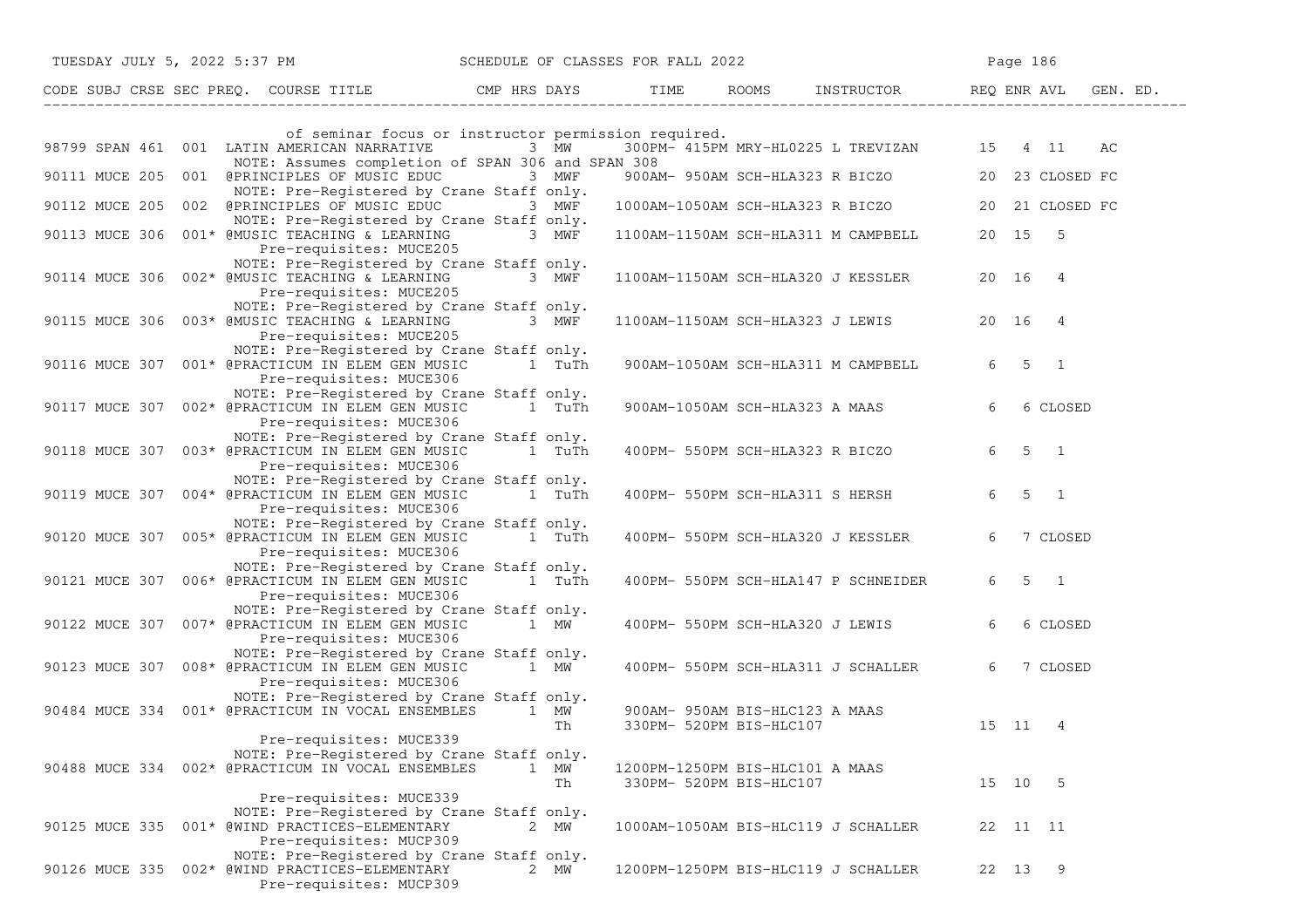| TUESDAY JULY 5, 2022 5:37 PM SCHEDULE OF CLASSES FOR FALL 2022         |                                                                                                          |                                 |                                                           |                                                  | Page 186 |                     |          |
|------------------------------------------------------------------------|----------------------------------------------------------------------------------------------------------|---------------------------------|-----------------------------------------------------------|--------------------------------------------------|----------|---------------------|----------|
| CODE SUBJ CRSE SEC PREQ. COURSE TITLE THE ROOMS INSTRUCTOR REQ ENR AVL |                                                                                                          |                                 |                                                           |                                                  |          |                     | GEN. ED. |
|                                                                        |                                                                                                          |                                 |                                                           |                                                  |          |                     |          |
| 98799 SPAN 461 001 LATIN AMERICAN NARRATIVE 3 MW                       | of seminar focus or instructor permission required.<br>NOTE: Assumes completion of SPAN 306 and SPAN 308 |                                 |                                                           | 300PM- 415PM MRY-HL0225 L TREVIZAN 15 4 11 AC    |          |                     |          |
| 90111 MUCE 205 001 @PRINCIPLES OF MUSIC EDUC 3 MWF                     | NOTE: Pre-Registered by Crane Staff only.                                                                |                                 |                                                           | 900AM- 950AM SCH-HLA323 R BICZO 20 23 CLOSED FC  |          |                     |          |
| 90112 MUCE 205 002 @PRINCIPLES OF MUSIC EDUC 3 MWF                     | NOTE: Pre-Registered by Crane Staff only.                                                                |                                 |                                                           | 1000AM-1050AM SCH-HLA323 R BICZO 20 21 CLOSED FC |          |                     |          |
| 90113 MUCE 306 001* @MUSIC TEACHING & LEARNING 3 MWF                   | Pre-requisites: MUCE205                                                                                  |                                 |                                                           | 1100AM-1150AM SCH-HLA311 M CAMPBELL 20 15 5      |          |                     |          |
| 90114 MUCE 306 002* @MUSIC TEACHING & LEARNING 3 MWF                   | NOTE: Pre-Registered by Crane Staff only.<br>Pre-requisites: MUCE205                                     |                                 |                                                           | 1100AM-1150AM SCH-HLA320 J KESSLER 20 16 4       |          |                     |          |
| 90115 MUCE 306 003* @MUSIC TEACHING & LEARNING                         | NOTE: Pre-Registered by Crane Staff only.<br>3 $MW\bar{F}$<br>Pre-requisites: MUCE205                    |                                 |                                                           | 1100AM-1150AM SCH-HLA323 J LEWIS 20 16 4         |          |                     |          |
| 90116 MUCE 307 001* @PRACTICUM IN ELEM GEN MUSIC 1 TuTh                | NOTE: Pre-Registered by Crane Staff only.<br>Pre-requisites: MUCE306                                     |                                 |                                                           | 900AM-1050AM SCH-HLA311 M CAMPBELL               |          | $6 \quad 5 \quad 1$ |          |
| 90117 MUCE 307 002* @PRACTICUM IN ELEM GEN MUSIC 1 TuTh                | NOTE: Pre-Registered by Crane Staff only.<br>Pre-requisites: MUCE306                                     |                                 |                                                           | 900AM-1050AM SCH-HLA323 A MAAS                   | 6        | 6 CLOSED            |          |
| 90118 MUCE 307 003* @PRACTICUM IN ELEM GEN MUSIC 1 TuTh                | NOTE: Pre-Registered by Crane Staff only.<br>Pre-requisites: MUCE306                                     |                                 |                                                           | 400PM- 550PM SCH-HLA323 R BICZO                  |          | $6 \t 5 \t 1$       |          |
| 90119 MUCE 307 004* @PRACTICUM IN ELEM GEN MUSIC 1 TuTh                | NOTE: Pre-Registered by Crane Staff only.<br>Pre-requisites: MUCE306                                     |                                 |                                                           | 400PM- 550PM SCH-HLA311 S HERSH                  |          | $6 \t 5 \t 1$       |          |
| 90120 MUCE 307 005* @PRACTICUM IN ELEM GEN MUSIC 1 TuTh                | NOTE: Pre-Registered by Crane Staff only.<br>Pre-requisites: MUCE306                                     |                                 |                                                           | 400PM- 550PM SCH-HLA320 J KESSLER                | 6        | 7 CLOSED            |          |
| 90121 MUCE 307 006* @PRACTICUM IN ELEM GEN MUSIC                       | NOTE: Pre-Registered by Crane Staff only.<br>1 TuTh<br>Pre-requisites: MUCE306                           |                                 |                                                           | 400PM- 550PM SCH-HLA147 P SCHNEIDER              |          | $6 \quad 5 \quad 1$ |          |
| 90122 MUCE 307 007* @PRACTICUM IN ELEM GEN MUSIC 1 MW                  | NOTE: Pre-Registered by Crane Staff only.<br>Pre-requisites: MUCE306                                     |                                 |                                                           | 400PM- 550PM SCH-HLA320 J LEWIS                  | 6        | 6 CLOSED            |          |
| 90123 MUCE 307 008* @PRACTICUM IN ELEM GEN MUSIC 1 MW                  | NOTE: Pre-Registered by Crane Staff only.<br>Pre-requisites: MUCE306                                     |                                 |                                                           | 400PM- 550PM SCH-HLA311 J SCHALLER               |          | 6 7 CLOSED          |          |
| 90484 MUCE 334 001* @PRACTICUM IN VOCAL ENSEMBLES 1 MW                 | NOTE: Pre-Registered by Crane Staff only.<br>Th                                                          |                                 | 900AM- 950AM BIS-HLC123 A MAAS<br>330PM- 520PM BIS-HLC107 | 15 11 4                                          |          |                     |          |
| 90488 MUCE 334 002* @PRACTICUM IN VOCAL ENSEMBLES                      | Pre-requisites: MUCE339<br>NOTE: Pre-Registered by Crane Staff only.<br>1 MW<br>Th                       | 1200PM-1250PM BIS-HLC101 A MAAS | 330PM- 520PM BIS-HLC107                                   |                                                  | 15 10 5  |                     |          |
| 90125 MUCE 335 001* @WIND PRACTICES-ELEMENTARY                         | Pre-requisites: MUCE339<br>NOTE: Pre-Registered by Crane Staff only.<br>2 MW<br>Pre-requisites: MUCP309  |                                 |                                                           | 1000AM-1050AM BIS-HLC119 J SCHALLER              | 22 11 11 |                     |          |
| 90126 MUCE 335 002* @WIND PRACTICES-ELEMENTARY                         | NOTE: Pre-Registered by Crane Staff only.<br>2 MW<br>Pre-requisites: MUCP309                             |                                 |                                                           | 1200PM-1250PM BIS-HLC119 J SCHALLER              | 22 13 9  |                     |          |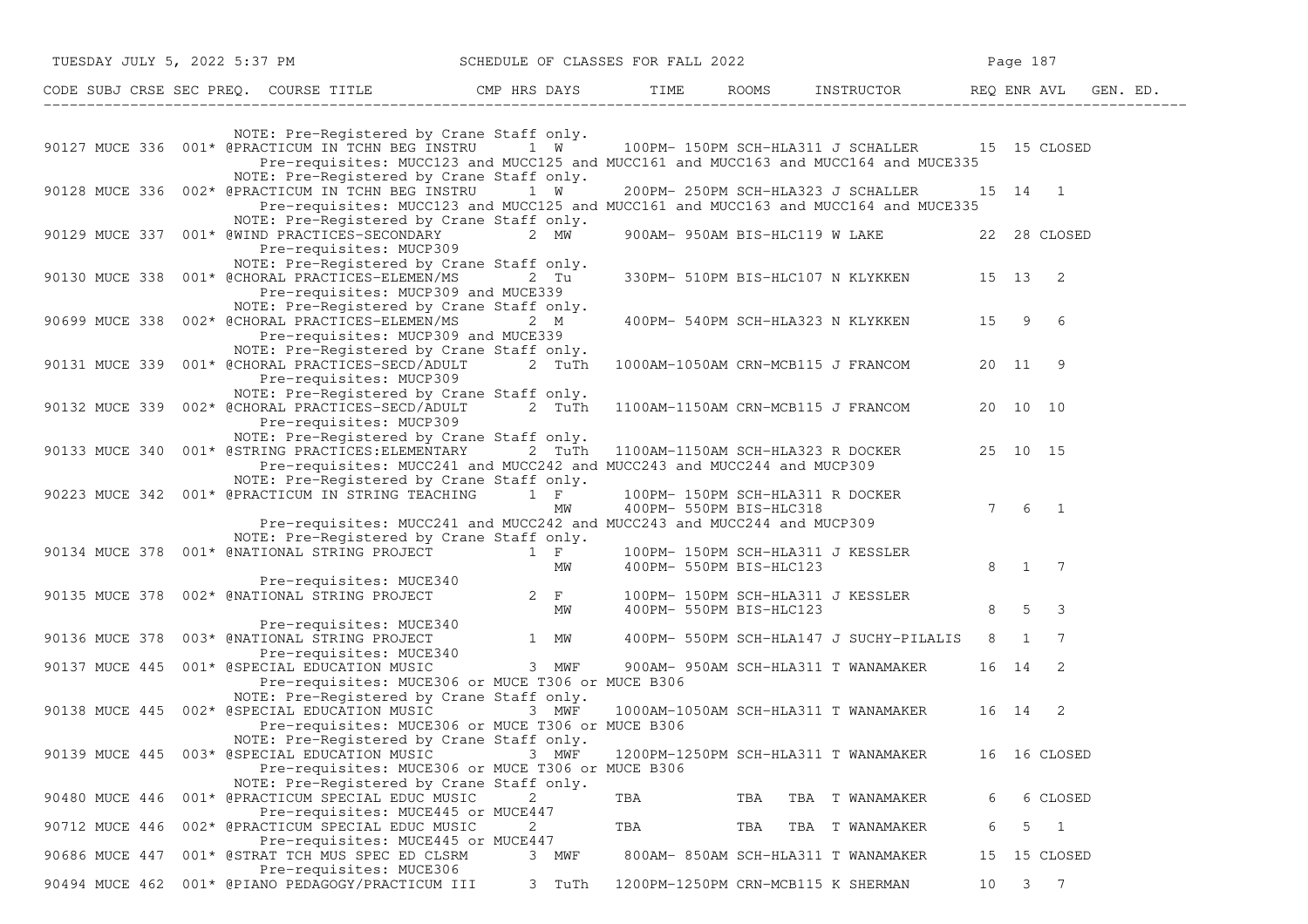| TUESDAY JULY 5, 2022 5:37 PM SCHEDULE OF CLASSES FOR FALL 2022                                                                                                                                                                                 |            |                         |                                                                                                                                   | Page 187                                 |
|------------------------------------------------------------------------------------------------------------------------------------------------------------------------------------------------------------------------------------------------|------------|-------------------------|-----------------------------------------------------------------------------------------------------------------------------------|------------------------------------------|
| CODE SUBJ CRSE SEC PREQ. COURSE TITLE THE ROOMS INSTRUCTOR THE ROOMS EN AVL GEN. ED.                                                                                                                                                           |            |                         |                                                                                                                                   |                                          |
| NOTE: Pre-Registered by Crane Staff only.<br>90127 MUCE 336 001* @PRACTICUM IN TCHN BEG INSTRU 1 W <sup>1</sup> 100PM-150PM SCH-HLA311 J SCHALLER 15 15 CLOSED                                                                                 |            |                         | Pre-requisites: MUCC123 and MUCC125 and MUCC161 and MUCC163 and MUCC164 and MUCE335                                               |                                          |
| NOTE: Pre-Registered by Crane Staff only.<br>90128 MUCE 336 002* @PRACTICUM IN TCHN BEG INSTRU 1 W                                                                                                                                             |            |                         | 200PM- 250PM SCH-HLA323 J SCHALLER 15 14 1<br>Pre-requisites: MUCC123 and MUCC125 and MUCC161 and MUCC163 and MUCC164 and MUCE335 |                                          |
| NOTE: Pre-Registered by Crane Staff only.<br>90129 MUCE 337 001* @WIND PRACTICES-SECONDARY 2 MW<br>Pre-requisites: MUCP309                                                                                                                     |            |                         | 900AM- 950AM BIS-HLC119 W LAKE 22 28 CLOSED                                                                                       |                                          |
| NOTE: Pre-Registered by Crane Staff only.<br>90130 MUCE 338  001* @CHORAL PRACTICES-ELEMEN/MS  2 Tu<br>Pre-requisites: MUCP309 and MUCE339                                                                                                     |            |                         | 330PM- 510PM BIS-HLC107 N KLYKKEN 15 13 2                                                                                         |                                          |
| NOTE: Pre-Registered by Crane Staff only.<br>90699 MUCE 338 002* @CHORAL PRACTICES-ELEMEN/MS<br>Pre-requisites: MUCP309 and MUCE339                                                                                                            | 2 M        |                         | 400PM- 540PM SCH-HLA323 N KLYKKEN 15 9 6                                                                                          |                                          |
| NOTE: Pre-Registered by Crane Staff only.<br>90131 MUCE 339 001* @CHORAL PRACTICES-SECD/ADULT 2 TuTh 1000AM-1050AM CRN-MCB115 J FRANCOM 20 11 9<br>Pre-requisites: MUCP309                                                                     |            |                         |                                                                                                                                   |                                          |
| NOTE: Pre-Registered by Crane Staff only.<br>90132 MUCE 339 002* @CHORAL PRACTICES-SECD/ADULT 2 TuTh 1100AM-1150AM CRN-MCB115 J FRANCOM 20 10 10<br>Pre-requisites: MUCP309                                                                    |            |                         |                                                                                                                                   |                                          |
| NOTE: Pre-Registered by Crane Staff only.<br>90133 MUCE 340 001* @STRING PRACTICES: ELEMENTARY 2 TuTh<br>Pre-requisites: MUCC241 and MUCC242 and MUCC243 and MUCC244 and MUCP309                                                               |            |                         | 1100AM-1150AM SCH-HLA323 R DOCKER 25 10 15                                                                                        |                                          |
| NOTE: Pre-Registered by Crane Staff only.<br>90223 MUCE 342  001* @PRACTICUM IN STRING TEACHING 1 F<br>Pre-requisites: MUCC241 and MUCC242 and MUCC243 and MUCC244 and MUCP309                                                                 | MW         | 400PM- 550PM BIS-HLC318 | 100PM- 150PM SCH-HLA311 R DOCKER                                                                                                  | $7 \t6 \t1$                              |
| NOTE: Pre-Registered by Crane Staff only.<br>90134 MUCE 378 001* @NATIONAL STRING PROJECT $\begin{array}{ccc} 1 & F & 100PM- 150PM SCH-HLA311 & J KESSLER \\ MW & 400PM- 550PM BIS-HLC123 \end{array}$                                         |            |                         |                                                                                                                                   | 8 1 7                                    |
| Pre-requisites: MUCE340<br>90135 MUCE 378 002* @NATIONAL STRING PROJECT 2 F                                                                                                                                                                    | MW         |                         | 100PM- 150PM SCH-HLA311 J KESSLER<br>400PM- 550PM BIS-HLC123                                                                      | 8 5 3                                    |
| Pre-requisites: MUCE340<br>Pre-requisites: MUCE340<br>Pre-requisites: MUCE340<br>Pre-requisites: MUCE340<br>Pre-requisites: MUCE340<br>Pre-requisites: MUCE340<br>Pre-requisites: MUCE340<br>Pre-requisites: MUCE340<br>Pre-requisites: MUCE34 |            |                         |                                                                                                                                   | 8 1 7                                    |
| Pre-requisites: MUCE306 or MUCE T306 or MUCE B306                                                                                                                                                                                              |            |                         |                                                                                                                                   | 16 14<br>2                               |
| NOTE: Pre-Registered by Crane Staff only.<br>90138 MUCE 445 002* @SPECIAL EDUCATION MUSIC 3 MWF<br>Pre-requisites: MUCE306 or MUCE T306 or MUCE B306                                                                                           |            |                         | 1000AM-1050AM SCH-HLA311 T WANAMAKER 16 14 2                                                                                      |                                          |
| NOTE: Pre-Registered by Crane Staff only.<br>90139 MUCE 445 003* @SPECIAL EDUCATION MUSIC<br>Pre-requisites: MUCE306 or MUCE T306 or MUCE B306                                                                                                 | 3 MWF      |                         | 1200PM-1250PM SCH-HLA311 T WANAMAKER                                                                                              | 16 16 CLOSED                             |
| NOTE: Pre-Registered by Crane Staff only.<br>001* @PRACTICUM SPECIAL EDUC MUSIC<br>90480 MUCE 446<br>Pre-requisites: MUCE445 or MUCE447                                                                                                        | 2          | TBA                     | TBA<br>TBA T WANAMAKER                                                                                                            | 6 CLOSED<br>6                            |
| 002* @PRACTICUM SPECIAL EDUC MUSIC<br>90712 MUCE 446<br>Pre-requisites: MUCE445 or MUCE447<br>001* @STRAT TCH MUS SPEC ED CLSRM<br>90686 MUCE 447                                                                                              | 2<br>3 MWF | TBA                     | TBA<br>TBA T WANAMAKER<br>800AM- 850AM SCH-HLA311 T WANAMAKER                                                                     | 5<br>$\overline{1}$<br>6<br>15 15 CLOSED |
| Pre-requisites: MUCE306<br>90494 MUCE 462<br>001* @PIANO PEDAGOGY/PRACTICUM III                                                                                                                                                                | 3 TuTh     |                         | 1200PM-1250PM CRN-MCB115 K SHERMAN                                                                                                | $7\phantom{.0}$<br>3 <sup>7</sup><br>10  |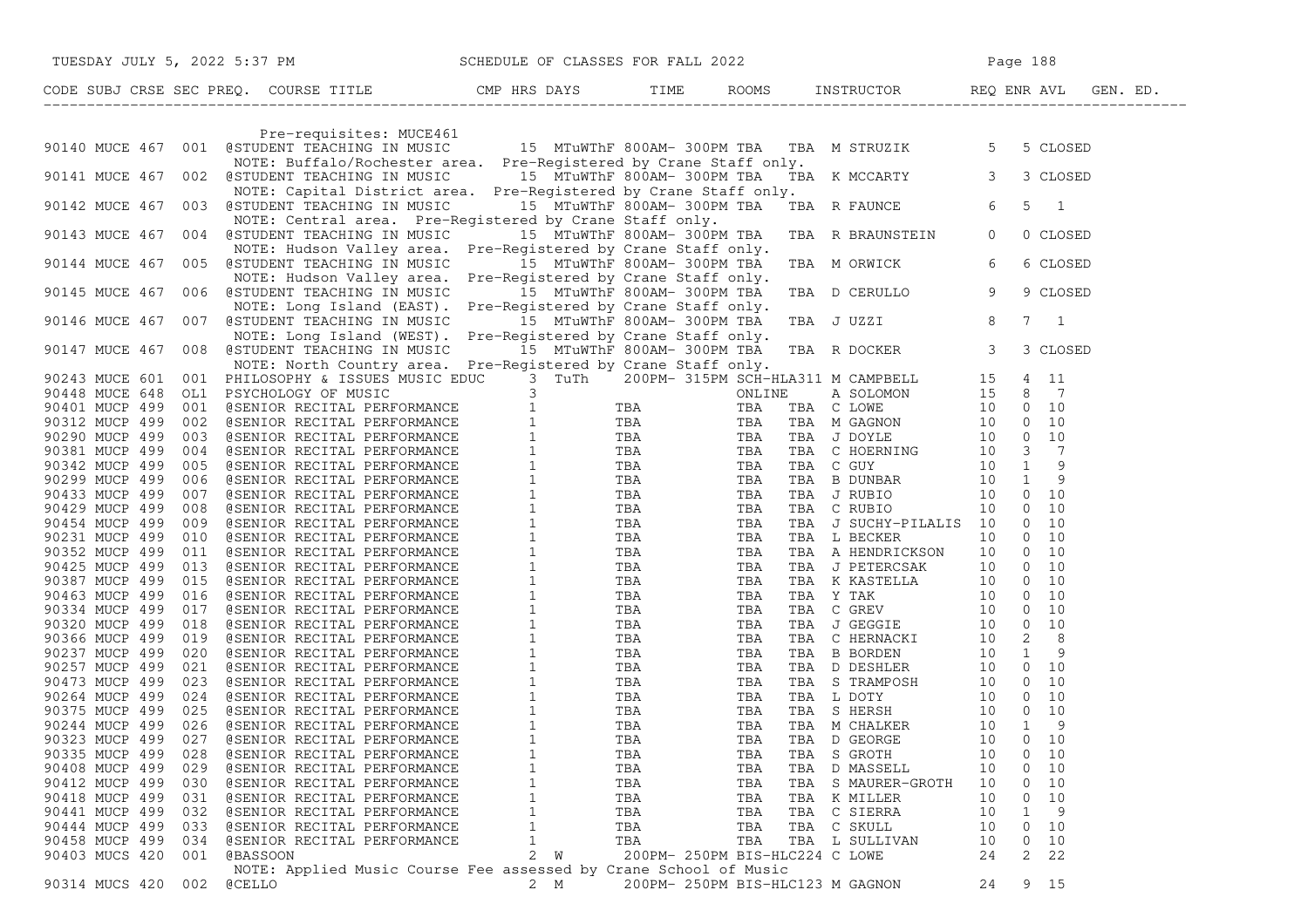|                |     | TUESDAY JULY 5, 2022 5:37 PM SCHEDULE OF CLASSES FOR FALL 2022                                                                                                                                                                             |                     |                                  |     |     |                 |    |                               |  |
|----------------|-----|--------------------------------------------------------------------------------------------------------------------------------------------------------------------------------------------------------------------------------------------|---------------------|----------------------------------|-----|-----|-----------------|----|-------------------------------|--|
|                |     | CODE SUBJ CRSE SEC PREQ. COURSE TITLE THE THE ROOMS INSTRUCTOR REQ ENR AVL GEN. ED.                                                                                                                                                        |                     |                                  |     |     |                 |    |                               |  |
|                |     |                                                                                                                                                                                                                                            |                     |                                  |     |     |                 |    |                               |  |
|                |     | Pre-requisites: MUCE461<br>90140 MUCE 467 001 @STUDENT TEACHING IN MUSIC 15 MTuWThF 800AM-300PM TBA TBA M STRUZIK 5 5 CLOSED<br>NOTE: Buffalo/Rochester area. Pre-Registered by Crane Staff only.                                          |                     |                                  |     |     |                 |    |                               |  |
|                |     | NOTE: Buffalo/Rochester area. Pre-Registered by Crane Staff only.<br>90141 MUCE 467 002 @STUDENT TEACHING IN MUSIC 15 MTuWThF 800AM-300PM TBA TBA K MCCARTY 3 3 CLOSED<br>NOTE: Capital District area. Pre-Registered by Crane Staff only. |                     |                                  |     |     |                 |    |                               |  |
|                |     | 90142 MUCE 467 003 @STUDENT TEACHING IN MUSIC 15 MTuWThF 800AM-300PM TBA TBA R FAUNCE 6<br>NOTE: Central area. Pre-Registered by Crane Staff only.                                                                                         |                     |                                  |     |     |                 |    | 5<br>$\overline{\phantom{a}}$ |  |
|                |     | 90143 MUCE 467 004 @STUDENT TEACHING IN MUSIC 15 MTuWThF 800AM-300PM TBA TBA R BRAUNSTEIN 0<br>NOTE: Hudson Valley area. Pre-Registered by Crane Staff only.                                                                               |                     |                                  |     |     |                 |    | 0 CLOSED                      |  |
| 90144 MUCE 467 |     | 005 @STUDENT TEACHING IN MUSIC 15 MTuWThF 800AM-300PM TBA<br>NOTE: Hudson Valley area. Pre-Registered by Crane Staff only.                                                                                                                 |                     |                                  |     |     | TBA M ORWICK    | 6  | 6 CLOSED                      |  |
|                |     | 90145 MUCE 467 006 @STUDENT TEACHING IN MUSIC 15 MTuWThF 800AM-300PM TBA<br>NOTE: Long Island (EAST). Pre-Registered by Crane Staff only.                                                                                                  |                     |                                  |     |     | TBA D CERULLO 9 |    | 9 CLOSED                      |  |
|                |     | 90146 MUCE 467 007 @STUDENT TEACHING IN MUSIC 15 MTuWThF 800AM-300PM TBA<br>NOTE: Long Island (WEST). Pre-Registered by Crane Staff only.                                                                                                  |                     |                                  |     |     | TBA JUZZI 8     |    | $7 \quad 1$                   |  |
|                |     | 90147 MUCE 467 008 @STUDENT TEACHING IN MUSIC 15 MTuWThF 800AM-300PM TBA<br>NOTE: North Country area. Pre-Registered by Crane Staff only.                                                                                                  |                     |                                  |     |     | TBA R DOCKER 3  |    | 3 CLOSED                      |  |
|                |     |                                                                                                                                                                                                                                            |                     |                                  |     |     |                 |    |                               |  |
|                |     |                                                                                                                                                                                                                                            |                     |                                  |     |     |                 |    |                               |  |
|                |     |                                                                                                                                                                                                                                            |                     |                                  |     |     |                 |    |                               |  |
|                |     |                                                                                                                                                                                                                                            |                     |                                  |     |     |                 |    |                               |  |
|                |     |                                                                                                                                                                                                                                            |                     |                                  |     |     |                 |    |                               |  |
|                |     |                                                                                                                                                                                                                                            |                     |                                  |     |     |                 |    |                               |  |
|                |     |                                                                                                                                                                                                                                            |                     |                                  |     |     |                 |    |                               |  |
|                |     |                                                                                                                                                                                                                                            |                     |                                  |     |     |                 |    |                               |  |
|                |     |                                                                                                                                                                                                                                            |                     |                                  |     |     |                 |    |                               |  |
|                |     |                                                                                                                                                                                                                                            |                     |                                  |     |     |                 |    |                               |  |
|                |     |                                                                                                                                                                                                                                            |                     |                                  |     |     |                 |    |                               |  |
|                |     |                                                                                                                                                                                                                                            |                     |                                  |     |     |                 |    |                               |  |
|                |     |                                                                                                                                                                                                                                            |                     |                                  |     |     |                 |    |                               |  |
|                |     |                                                                                                                                                                                                                                            |                     |                                  |     |     |                 |    |                               |  |
|                |     |                                                                                                                                                                                                                                            |                     |                                  |     |     |                 |    |                               |  |
|                |     |                                                                                                                                                                                                                                            |                     |                                  |     |     |                 |    |                               |  |
|                |     |                                                                                                                                                                                                                                            |                     |                                  |     |     |                 |    |                               |  |
|                |     |                                                                                                                                                                                                                                            |                     |                                  |     |     |                 |    |                               |  |
|                |     |                                                                                                                                                                                                                                            |                     |                                  |     |     |                 |    |                               |  |
|                |     |                                                                                                                                                                                                                                            |                     |                                  |     |     |                 |    |                               |  |
|                |     |                                                                                                                                                                                                                                            |                     |                                  |     |     |                 |    |                               |  |
|                |     |                                                                                                                                                                                                                                            |                     |                                  |     |     |                 |    |                               |  |
|                |     |                                                                                                                                                                                                                                            |                     |                                  |     |     |                 |    |                               |  |
|                |     |                                                                                                                                                                                                                                            |                     |                                  |     |     |                 |    |                               |  |
|                |     |                                                                                                                                                                                                                                            |                     |                                  |     |     |                 |    |                               |  |
|                |     |                                                                                                                                                                                                                                            |                     |                                  |     |     |                 |    |                               |  |
|                |     |                                                                                                                                                                                                                                            |                     |                                  |     |     |                 |    |                               |  |
| 90335 MUCP 499 | 028 | @SENIOR RECITAL PERFORMANCE                                                                                                                                                                                                                | 1                   | TBA                              | TBA |     | TBA S GROTH     | 10 | 10<br>0                       |  |
| 90408 MUCP 499 | 029 | @SENIOR RECITAL PERFORMANCE                                                                                                                                                                                                                | $\mathbf{1}$        | TBA                              | TBA | TBA | D MASSELL       | 10 | 10<br>0                       |  |
| 90412 MUCP 499 | 030 | @SENIOR RECITAL PERFORMANCE                                                                                                                                                                                                                | 1                   | TBA                              | TBA | TBA | S MAURER-GROTH  | 10 | 10<br>0                       |  |
| 90418 MUCP 499 | 031 | @SENIOR RECITAL PERFORMANCE                                                                                                                                                                                                                | $\mathbf{1}$        | TBA                              | TBA |     | TBA K MILLER    | 10 | 10<br>0                       |  |
| 90441 MUCP 499 | 032 | @SENIOR RECITAL PERFORMANCE                                                                                                                                                                                                                | 1                   | TBA                              | TBA |     | TBA C SIERRA    | 10 | 9<br>1                        |  |
| 90444 MUCP 499 | 033 | @SENIOR RECITAL PERFORMANCE                                                                                                                                                                                                                | $\mathbf{1}$        | TBA                              | TBA |     | TBA C SKULL     | 10 | 10<br>$\mathbf{0}$            |  |
| 90458 MUCP 499 | 034 | @SENIOR RECITAL PERFORMANCE                                                                                                                                                                                                                | 1                   | TBA                              | TBA |     | TBA L SULLIVAN  | 10 | 10<br>0                       |  |
| 90403 MUCS 420 | 001 | <b>@BASSOON</b>                                                                                                                                                                                                                            | $\overline{2}$<br>W | 200PM- 250PM BIS-HLC224 C LOWE   |     |     |                 | 24 | 22<br>2                       |  |
|                |     | NOTE: Applied Music Course Fee assessed by Crane School of Music                                                                                                                                                                           |                     |                                  |     |     |                 |    |                               |  |
| 90314 MUCS 420 | 002 | <b>@CELLO</b>                                                                                                                                                                                                                              | 2 M                 | 200PM- 250PM BIS-HLC123 M GAGNON |     |     |                 | 24 | 9 15                          |  |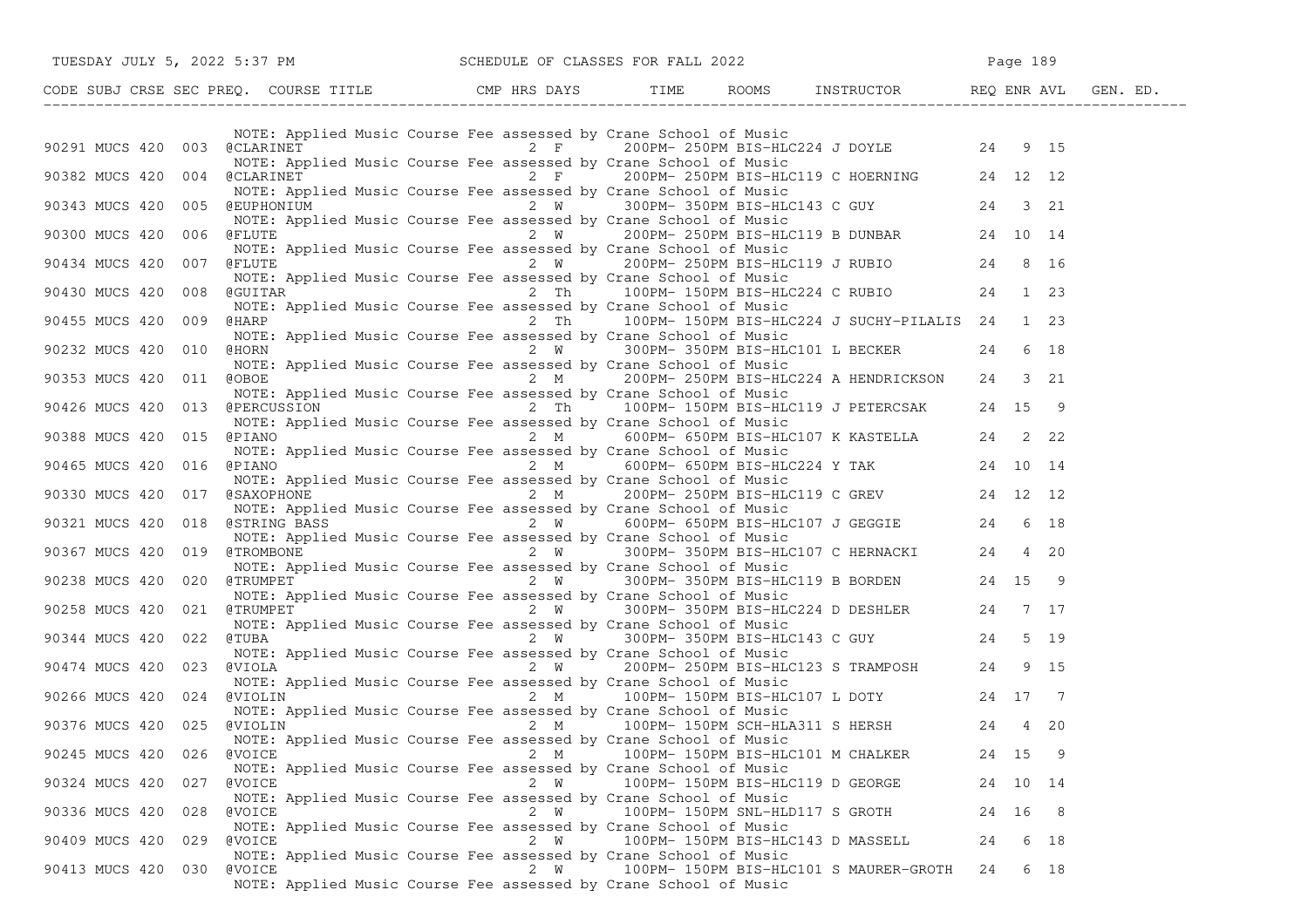| TUESDAY JULY 5, 2022 5:37 PM                                                   | SCHEDULE OF CLASSES FOR FALL 2022                                                                                                                                                                                                                      | Page 189                                                          |
|--------------------------------------------------------------------------------|--------------------------------------------------------------------------------------------------------------------------------------------------------------------------------------------------------------------------------------------------------|-------------------------------------------------------------------|
|                                                                                |                                                                                                                                                                                                                                                        |                                                                   |
|                                                                                |                                                                                                                                                                                                                                                        |                                                                   |
| 90291 MUCS 420 003 @CLARINET 250PM-250PM BIS-HLC224 J DOYLE 24 9 15            | NOTE: Applied Music Course Fee assessed by Crane School of Music                                                                                                                                                                                       |                                                                   |
| 90382 MUCS 420 004 @CLARINET                                                   | NOTE: Applied Music Course Fee assessed by Crane School of Music<br>arse rec assessed by Change 250PM BIS-HLC119 C HOERNING 24 12 12<br>urse Fee assessed by Crane School of Music<br>NOTE: Applied Music Course Fee assessed by Crane School of Music |                                                                   |
| 90343 MUCS 420 005 @EUPHONIUM                                                  | 2 W<br>NOTE: Applied Music Course Fee assessed by Crane School of Music                                                                                                                                                                                | 300PM-350PM BIS-HLC143 C GUY 24 3 21                              |
| 90300 MUCS 420<br>006 @FLUTE                                                   | 2 W<br>NOTE: Applied Music Course Fee assessed by Crane School of Music                                                                                                                                                                                | Crane School of Music<br>200PM-250PM BIS-HLC119 B DUNBAR 24 10 14 |
| 90434 MUCS 420<br>007 @FLUTE                                                   | NOTE: Applied Music Course Fee assessed by Crane School of Music                                                                                                                                                                                       | 2 W 200PM-250PM BIS-HLC119 J RUBIO 24 8 16                        |
| 90430 MUCS 420<br>008 @GUITAR                                                  | 2 Th 100PM-150PM BIS-HLC224 C RUBIO 24 1 23<br>NOTE: Applied Music Course Fee assessed by Crane School of Music                                                                                                                                        |                                                                   |
| 90455 MUCS 420<br>009 @HARP                                                    | 2 Th 100PM-150PM BIS-HLC224 J SUCHY-PILALIS 24 1 23<br>NOTE: Applied Music Course Fee assessed by Crane School of Music                                                                                                                                |                                                                   |
| 90232 MUCS 420 010 @HORN 2 W 300PM-350PM BIS-HLC101 L BECKER                   | NOTE: Applied Music Course Fee assessed by Crane School of Music                                                                                                                                                                                       | 24<br>6 18                                                        |
| 90353 MUCS 420 011 @OBOE                                                       | 2 M <sup>2</sup> 200PM-250PM BIS-HLC224 A HENDRICKSON 24 3 21<br>NOTE: Applied Music Course Fee assessed by Crane School of Music                                                                                                                      |                                                                   |
| 90426 MUCS 420 013 @PERCUSSION 2 Th 100PM-150PM BIS-HLC119 J PETERCSAK 24 15 9 | NOTE: Applied Music Course Fee assessed by Crane School of Music                                                                                                                                                                                       |                                                                   |
| 90388 MUCS 420 015 @PIANO                                                      | $2 M$ 600PM-650PM BIS-HLC107 K KASTELLA 24 222<br>NOTE: Applied Music Course Fee assessed by Crane School of Music                                                                                                                                     |                                                                   |
| 90465 MUCS 420 016 @PIANO                                                      | 2 M 600PM- 650PM BIS-HLC224 Y TAK 24 10 14<br>NOTE: Applied Music Course Fee assessed by Crane School of Music                                                                                                                                         |                                                                   |
| 90330 MUCS 420 017 @SAXOPHONE                                                  | $2 \text{ M}$<br>NOTE: Applied Music Course Fee assessed by Crane School of Music                                                                                                                                                                      | 200PM-250PM BIS-HLC119 C GREV 24 12 12                            |
| 90321 MUCS 420 018 @STRING BASS                                                | 018 @STRING BASS 2 W 600PM-650PM BIS-HLC107 J GEGGIE 24 6 18<br>NOTE: Applied Music Course Fee assessed by Crane School of Music<br>019 @TROMBONE 2 W 300PM-350PM BIS-HLC107 C HERNACKI 24 4 20                                                        |                                                                   |
| 90367 MUCS 420                                                                 | NOTE: Applied Music Course Fee assessed by Crane School of Music                                                                                                                                                                                       |                                                                   |
| 90238 MUCS 420 020 @TRUMPET                                                    | NOTE: Applied Music Course Fee assessed by Crane School of Music                                                                                                                                                                                       | 2 W 300PM-350PM BIS-HLC119 B BORDEN 24 15 9                       |
| 90258 MUCS 420                                                                 | 021 @TRUMPET 2 W 300PM-350PM BIS-HLC224 D DESHLER 24 7 17<br>NOTE: Applied Music Course Fee assessed by Crane School of Music                                                                                                                          |                                                                   |
| 90344 MUCS 420 022 @TUBA                                                       | 2 W 300PM-350PM BIS-HLC143 C GUY 24 5 19<br>Sourse Fee assessed by Crane School of Music<br>NOTE: Applied Music Course Fee assessed by Crane School of Music                                                                                           |                                                                   |
| 90474 MUCS 420<br>023 @VIOLA                                                   | $2W$ 200PM-250PM BIS-HLC123 S TRAMPOSH 24<br>NOTE: Applied Music Course Fee assessed by Crane School of Music                                                                                                                                          | 9 15                                                              |
| 90266 MUCS 420 024 @VIOLIN                                                     | NOTE: Applied Music Course Fee assessed by Crane School of Music                                                                                                                                                                                       | 2 M 100PM-150PM BIS-HLC107 L DOTY 24 17 7                         |
| 90376 MUCS 420 025 @VIOLIN                                                     | NOTE: Applied Music Course Fee assessed by Crane School of Music                                                                                                                                                                                       | 2 M 100PM-150PM SCH-HLA311 S HERSH 24<br>4 20                     |
| 90245 MUCS 420<br>026<br>@VOICE                                                | 2 M<br>100PM- 150PM BIS-HLC101 M CHALKER<br>NOTE: Applied Music Course Fee assessed by Crane School of Music                                                                                                                                           | 24 15                                                             |
| 90324 MUCS 420 027<br>@VOICE                                                   | 2 W<br>100PM- 150PM BIS-HLC119 D GEORGE<br>NOTE: Applied Music Course Fee assessed by Crane School of Music                                                                                                                                            | 24 10 14                                                          |
| 90336 MUCS 420<br>028<br><b>@VOICE</b>                                         | 2 W<br>100PM- 150PM SNL-HLD117 S GROTH<br>NOTE: Applied Music Course Fee assessed by Crane School of Music                                                                                                                                             | 24 16 8                                                           |
| 90409 MUCS 420<br>029<br><b>@VOICE</b>                                         | 2 W<br>NOTE: Applied Music Course Fee assessed by Crane School of Music                                                                                                                                                                                | 100PM- 150PM BIS-HLC143 D MASSELL<br>24<br>6 18                   |
| 90413 MUCS 420 030 @VOICE                                                      | 2 W<br>NOTE: Applied Music Course Fee assessed by Crane School of Music                                                                                                                                                                                | 100PM- 150PM BIS-HLC101 S MAURER-GROTH<br>6 18<br>24              |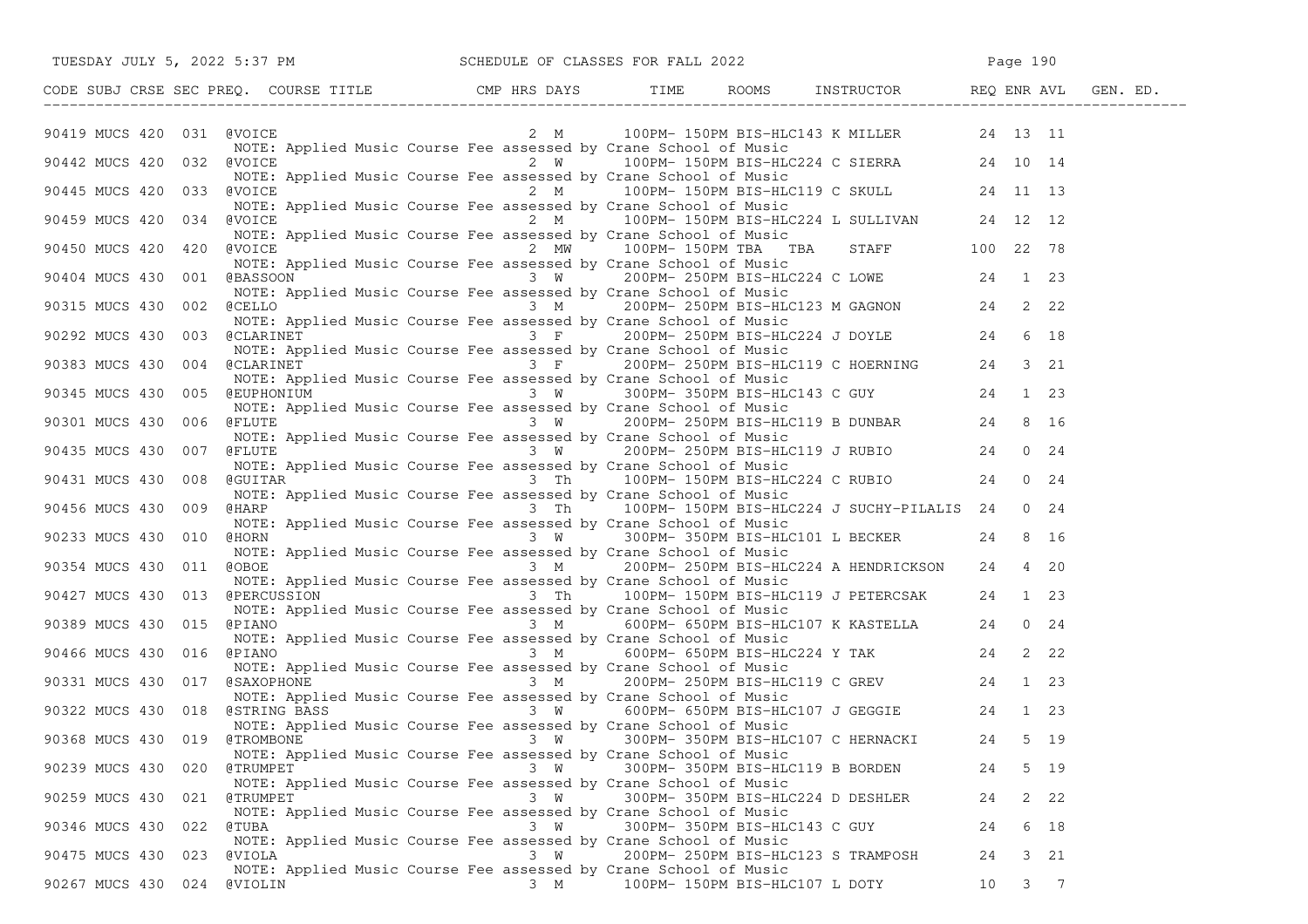| TUESDAY JULY 5, 2022 5:37 PM                                                                                                                   |                                                                                                                                      | SCHEDULE OF CLASSES FOR FALL 2022                                                                                                                                                     |    | Page 190         |  |
|------------------------------------------------------------------------------------------------------------------------------------------------|--------------------------------------------------------------------------------------------------------------------------------------|---------------------------------------------------------------------------------------------------------------------------------------------------------------------------------------|----|------------------|--|
|                                                                                                                                                |                                                                                                                                      |                                                                                                                                                                                       |    |                  |  |
| 90419 MUCS 420 031 @VOICE                                                                                                                      |                                                                                                                                      | 2 M 100PM-150PM BIS-HLC143 K MILLER 24 13 11<br>NOTE: Applied Music Course Fee assessed by Crane School of Music                                                                      |    |                  |  |
| 90442 MUCS 420 032 @VOICE                                                                                                                      |                                                                                                                                      | 2 W 100PM-150PM BIS-HLC224 C SIERRA 24 10 14                                                                                                                                          |    |                  |  |
| 90445 MUCS 420 033 @VOICE                                                                                                                      |                                                                                                                                      | NOTE: Applied Music Course Fee assessed by Crane School of Music<br>2 M 100PM-150PM BIS-HLC119 C SKULL 24 11 13<br>NOTE: Applied Music Course Fee assessed by Crane School of Music   |    |                  |  |
| 90459 MUCS 420 034 @VOICE                                                                                                                      |                                                                                                                                      | 2 M 100PM-150PM BIS-HLC224 L SULLIVAN 24 12 12                                                                                                                                        |    |                  |  |
| 90450 MUCS 420 420 @VOICE                                                                                                                      | NOTE: Applied Music Course Fee assessed by Crane School of Music                                                                     | 2 MW 100PM-150PM TBA TBA STAFF 100 22 78<br>NOTE: Applied Music Course Fee assessed by Crane School of Music                                                                          |    |                  |  |
| 90404 MUCS 430 001 @BASSOON 3 W 200PM- 250PM BIS-HLC224 C LOWE 24 1 23                                                                         | NOTE: Applied Music Course Fee assessed by Crane School of Music                                                                     |                                                                                                                                                                                       |    |                  |  |
| 90315 MUCS 430 002 @CELLO                                                                                                                      | NOTE: Applied Music Course Fee assessed by Crane School of Music                                                                     | 3 M 200PM-250PM BIS-HLC123 M GAGNON 24 2 22<br>usic Course Fee assessed by Crane School of Music                                                                                      |    |                  |  |
| 90292 MUCS 430 003 @CLARINET 3 F 200PM-250PM BIS-HLC224 J DOYLE 24                                                                             |                                                                                                                                      |                                                                                                                                                                                       |    | 6 18             |  |
| 90383 MUCS 430 004 @CLARINET                                                                                                                   | NOTE: Applied Music Course Fee assessed by Crane School of Music<br>NOTE: Applied Music Course Fee assessed by Crane School of Music | Course Fee assessed by Crane School of Music<br>3 F 200PM-250PM BIS-HLC119 C HOERNING 24 3 21<br>Course Fee assessed by Crane School of Music                                         |    |                  |  |
|                                                                                                                                                |                                                                                                                                      |                                                                                                                                                                                       |    |                  |  |
| 90301 MUCS 430 006 @FLUTE                                                                                                                      |                                                                                                                                      | NOTE: Applied Music Course Fee assessed by Crane School of Music<br>NOTE: Applied Music Course Fee assessed by Crane School of Music<br>FLUTE 3 W 200PM- 250PM BIS-HLC119 B DUNBAR 24 |    | 8 16             |  |
| 90435 MUCS 430 007<br>@FLUTE                                                                                                                   | NOTE: Applied Music Course Fee assessed by Crane School of Music                                                                     | 3 W 200PM-250PM BIS-HLC119 J RUBIO 24                                                                                                                                                 |    | $0 \t 24$        |  |
| NOTE: Applied Music Course Fee assessed by Crane School of Music<br>90431 MUCS 430 008 @GUITAR 3 Th 100PM-150PM BIS-HLC224 C RUBIO             | NOTE: Applied Music Course Fee assessed by Crane School of Music                                                                     |                                                                                                                                                                                       |    | $0 \t 24$        |  |
| 90456 MUCS 430 009<br>@HARP                                                                                                                    | NOTE: Applied Music Course Fee assessed by Crane School of Music                                                                     | 3 Th 100PM-150PM BIS-HLC224 J SUCHY-PILALIS 24 0 24                                                                                                                                   |    |                  |  |
| 90233 MUCS 430 010<br>@HORN                                                                                                                    | NOTE: Applied Music Course Fee assessed by Crane School of Music                                                                     | 3 W 300PM-350PM BIS-HLC101 L BECKER 24                                                                                                                                                |    | 8 16             |  |
| 90354 MUCS 430 011 @OBOE                                                                                                                       | NOTE: Applied Music Course Fee assessed by Crane School of Music                                                                     | 3 M 200PM-250PM BIS-HLC224 A HENDRICKSON 24                                                                                                                                           |    | 4 20             |  |
| 90427 MUCS 430 013 @PERCUSSION 3 Th 100PM-150PM BIS-HLC119 J PETERCSAK 24 1 23                                                                 | NOTE: Applied Music Course Fee assessed by Crane School of Music                                                                     |                                                                                                                                                                                       |    |                  |  |
| 90389 MUCS 430 015 @PIANO                                                                                                                      | NOTE: Applied Music Course Fee assessed by Crane School of Music                                                                     |                                                                                                                                                                                       |    |                  |  |
| 90466 MUCS 430 016<br>@PIANO                                                                                                                   |                                                                                                                                      | $3 M$ 600PM-650PM BIS-HLC224 Y TAK 24                                                                                                                                                 |    | 2 22             |  |
| 90331 MUCS 430 017 @SAXOPHONE                                                                                                                  | NOTE: Applied Music Course Fee assessed by Crane School of Music                                                                     |                                                                                                                                                                                       |    |                  |  |
| 90322 MUCS 430 018 @STRING BASS                                                                                                                |                                                                                                                                      |                                                                                                                                                                                       |    |                  |  |
| 90368 MUCS 430 019 @TROMBONE 3 W 300PM-350PM BIS-HLC107 C HERNACKI 24 5 19<br>NOTE: Applied Music Course Fee assessed by Crane School of Music |                                                                                                                                      |                                                                                                                                                                                       |    |                  |  |
| 90239 MUCS 430<br>020<br>@TRUMPET                                                                                                              | 3 W<br>NOTE: Applied Music Course Fee assessed by Crane School of Music                                                              | 300PM- 350PM BIS-HLC119 B BORDEN                                                                                                                                                      | 24 | 5 19             |  |
| 90259 MUCS 430<br>@TRUMPET<br>021                                                                                                              | 3 W<br>NOTE: Applied Music Course Fee assessed by Crane School of Music                                                              | 300PM- 350PM BIS-HLC224 D DESHLER                                                                                                                                                     | 24 | $2 \t22$         |  |
| 90346 MUCS 430 022<br>@TUBA                                                                                                                    | 3 W<br>NOTE: Applied Music Course Fee assessed by Crane School of Music                                                              | 300PM- 350PM BIS-HLC143 C GUY                                                                                                                                                         | 24 | 6 18             |  |
| @VIOLA<br>90475 MUCS 430 023                                                                                                                   | 3 W<br>NOTE: Applied Music Course Fee assessed by Crane School of Music                                                              | 200PM- 250PM BIS-HLC123 S TRAMPOSH                                                                                                                                                    | 24 | 3 21             |  |
| 90267 MUCS 430 024<br>@VIOLIN                                                                                                                  | 3 M                                                                                                                                  | 100PM- 150PM BIS-HLC107 L DOTY                                                                                                                                                        | 10 | $3 \overline{7}$ |  |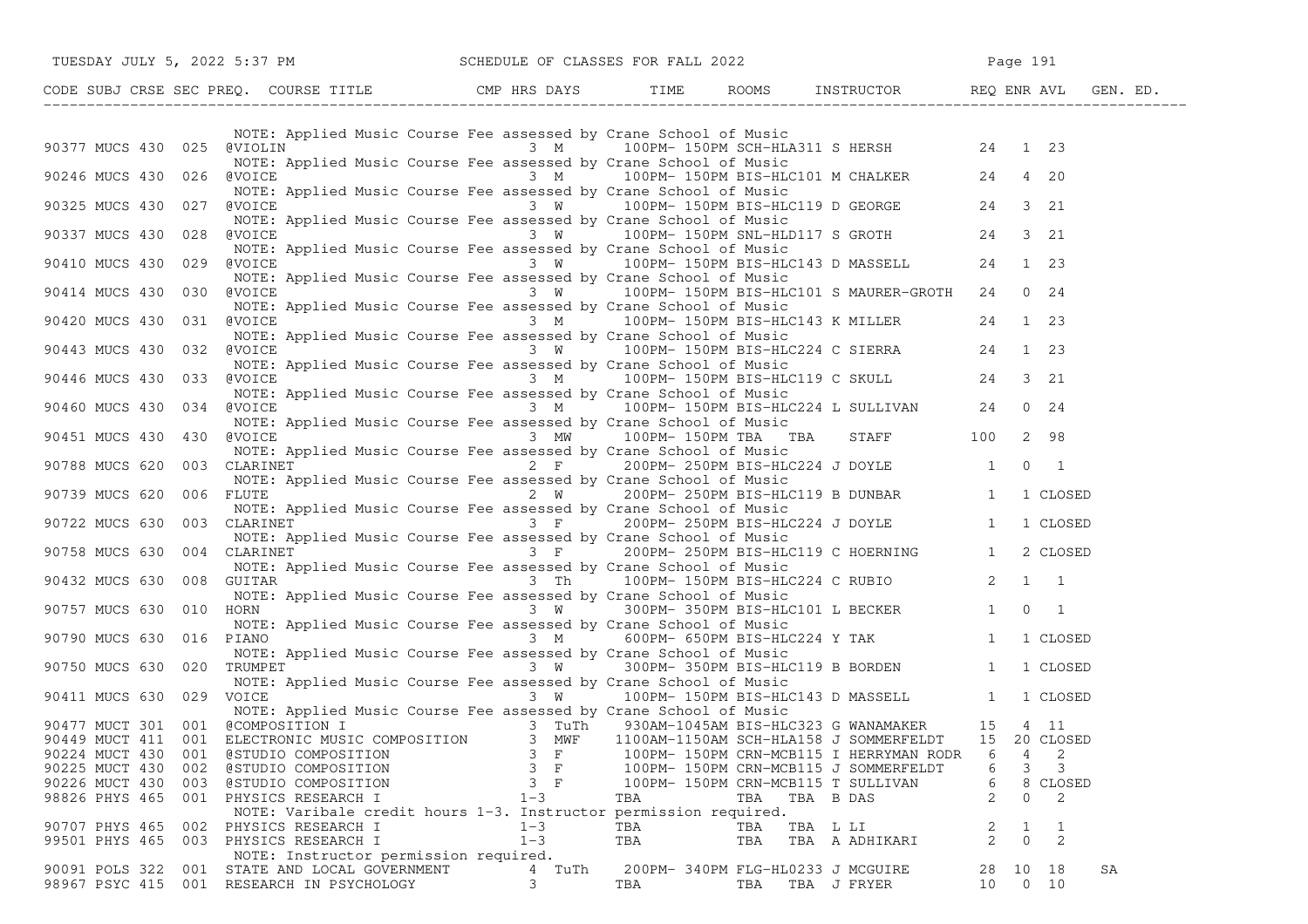|                                                 | TUESDAY JULY 5, 2022 5:37 PM                                                                                                                                                                                                                                                                             |               | SCHEDULE OF CLASSES FOR FALL 2022                                                                                                                                                                                                                                                                      |                | Page 191                            |
|-------------------------------------------------|----------------------------------------------------------------------------------------------------------------------------------------------------------------------------------------------------------------------------------------------------------------------------------------------------------|---------------|--------------------------------------------------------------------------------------------------------------------------------------------------------------------------------------------------------------------------------------------------------------------------------------------------------|----------------|-------------------------------------|
|                                                 | CODE SUBJ CRSE SEC PREQ. COURSE TITLE CMP HRS DAYS TIME ROOMS INSTRUCTOR REQ ENR AVL GEN. ED.                                                                                                                                                                                                            |               |                                                                                                                                                                                                                                                                                                        |                |                                     |
|                                                 | NOTE: Applied Music Course Fee assessed by Crane School of Music<br>90377 MUCS 430 025 @VIOLIN 7 3 M 3 M 100PM-150PM SCH-HLA311 SHERSH 24 1 23                                                                                                                                                           |               |                                                                                                                                                                                                                                                                                                        |                |                                     |
| 90246 MUCS 430 026 @VOICE                       | NOTE: Applied Music Course Fee assessed by Crane School of Music<br>WALKER (WOICE 3 M) 100PM-150PM BIS-HLC101 M CHALKER 24 4 20<br>NOTE: Applied Music Course Fee assessed by Crane School of Music<br>(WOICE 3 W) 100PM-150PM BIS-H                                                                     |               |                                                                                                                                                                                                                                                                                                        |                |                                     |
| 90325 MUCS 430 027                              | @VOICE                                                                                                                                                                                                                                                                                                   |               |                                                                                                                                                                                                                                                                                                        |                |                                     |
| 90337 MUCS 430 028                              | NOTE: Applied Music Course Fee assessed by Crane School of Music<br>@VOICE             3  W     100PM- 150PM SNL-HLD117 S GROTH       24   3 21<br>NOTE: Applied Music Course Fee assessed by Crane School of Music<br>@VOICE<br>NOTE: Applied Music Course Fee assessed by Crane School of Music        |               |                                                                                                                                                                                                                                                                                                        |                |                                     |
| 90410 MUCS 430 029                              | @VOICE<br>NOTE: Applied Music Course Fee assessed by Crane School of Music                                                                                                                                                                                                                               |               | 3 W 100PM-150PM BIS-HLC143 D MASSELL 24 1 23<br>3 W 100PM-150PM BIS-HLC101 S MAURER-GROTH 24 0 24                                                                                                                                                                                                      |                |                                     |
| 90414 MUCS 430 030 @VOICE<br>90420 MUCS 430 031 | NOTE: Applied Music Course Fee assessed by Crane School of Music<br>@VOICE                                                                                                                                                                                                                               |               | 3 M $100PM - 150PM - 150PM - 150PM - 150PM - 150PM - 150PM - 150PM - 150PM - 150PM - 150PM - 150PM - 150PM - 150PM - 150PM - 150PM - 150PM - 150PM - 150PM - 150PM - 150PM - 150PM - 150PM - 150PM - 150PM - 150PM - 150PM - 150PM - 150PM - 150PM - 150PM - 150PM - 150PM - 150PM - 150PM - 150PM - $ |                |                                     |
| 90443 MUCS 430                                  | NOTE: Applied Music Course Fee assessed by Crane School of Music<br>@VOICE               3  W    100PM-150PM BIS-HLC224 C SIERRA     24  1 23<br>032 @VOICE                                                                                                                                              |               |                                                                                                                                                                                                                                                                                                        |                |                                     |
| 90446 MUCS 430                                  | NOTE: Applied Music Course Fee assessed by Crane School of Music<br>NOTE: Applied Music Course Fee assessed by Crane School of Music<br>033 @VOICE 3 M 100PM-150PM BIS-HLC119 C SKULL 24 3 21<br>NOTE: Applied Music Course Fee assessed by Crane School of Music<br>034 @VOICE 3 M 100PM-150PM BIS-HLC2 |               |                                                                                                                                                                                                                                                                                                        |                |                                     |
| 90460 MUCS 430                                  | NOTE: Applied Music Course Fee assessed by Crane School of Music                                                                                                                                                                                                                                         |               |                                                                                                                                                                                                                                                                                                        |                |                                     |
| 90451 MUCS 430                                  | 430 @VOICE<br>NOTE: Applied Music Course Fee assessed by Crane School of Music                                                                                                                                                                                                                           |               | 3 MW 100PM-150PM TBA TBA STAFF 100 2 98                                                                                                                                                                                                                                                                |                |                                     |
| 90788 MUCS 620                                  | 003 CLARINET<br>NOTE: Applied Music Course Fee assessed by Crane School of Music<br>FLUTE 1 1 CLOSED 2 W 200PM- 250PM BIS-HLC119 B DUNBAR 1 1 CLOSED                                                                                                                                                     |               | 2 F 200PM-250PM BIS-HLC224 J DOYLE 1 0 1                                                                                                                                                                                                                                                               |                |                                     |
| 90739 MUCS 620<br>90722 MUCS 630                | 006 FLUTE<br>NOTE: Applied Music Course Fee assessed by Crane School of Music<br>003 CLARINET                                                                                                                                                                                                            |               |                                                                                                                                                                                                                                                                                                        |                |                                     |
| 90758 MUCS 630                                  | CLARINET<br>NOTE: Applied Music Course Fee assessed by Crane School of Music<br>CLARINET<br>MOTE: Applied Music Course Fee assessed by Crane School of Music<br>NOTE: Applied Music Course Fee assessed by Crane School of Music<br>NOTE<br>004 CLARINET                                                 |               |                                                                                                                                                                                                                                                                                                        |                |                                     |
| 90432 MUCS 630                                  | 008 GUITAR                                                                                                                                                                                                                                                                                               |               |                                                                                                                                                                                                                                                                                                        |                |                                     |
| 90757 MUCS 630                                  | 010 HORN<br>NOTE: Applied Music Course Fee assessed by Crane School of Music                                                                                                                                                                                                                             |               | $3 \t{W}$ 300PM-350PM BIS-HLC101 L BECKER 1 0 1                                                                                                                                                                                                                                                        |                |                                     |
| 90790 MUCS 630 016 PIANO                        | NOTE: Applied Music Course Fee assessed by Crane School of Music                                                                                                                                                                                                                                         |               | 3 M 600PM-650PM BIS-HLC224 Y TAK 1 1 CLOSED                                                                                                                                                                                                                                                            |                |                                     |
| 90750 MUCS 630<br>90411 MUCS 630 029 VOICE      | 020 TRUMPET<br>NOTE: Applied Music Course Fee assessed by Crane School of Music                                                                                                                                                                                                                          |               | $3 \tW 300PM - 350PM BIS-HLC119 B BORDEN 1 1 CLOSED$<br>vurse Fee assessed by Crane School or Music<br>3 W 100PM-150PM BIS-HLC143 D MASSELL 1 1 CLOSED                                                                                                                                                 |                |                                     |
|                                                 | NOTE: Applied Music Course Fee assessed by Crane School of Music<br>90477 MUCT 301 001 @COMPOSITION I<br>90449 MUCT 411 001 ELECTRONIC MUSIC COMPOSITION 3 MWF 1100AM-1150AM SCH-HLA158 J SOMMERFELDT 15 20 CLOSED                                                                                       |               |                                                                                                                                                                                                                                                                                                        |                |                                     |
|                                                 |                                                                                                                                                                                                                                                                                                          |               |                                                                                                                                                                                                                                                                                                        |                |                                     |
| 90224 MUCT 430                                  | 001 @STUDIO COMPOSITION                                                                                                                                                                                                                                                                                  | $3 \text{ F}$ | 100PM- 150PM CRN-MCB115 I HERRYMAN RODR                                                                                                                                                                                                                                                                |                | 2<br>6<br>4                         |
| 90225 MUCT 430<br>002                           | @STUDIO COMPOSITION                                                                                                                                                                                                                                                                                      | $3 \t F$      | 100PM- 150PM CRN-MCB115 J SOMMERFELDT                                                                                                                                                                                                                                                                  |                | 3<br>3<br>6                         |
| 90226 MUCT 430<br>003                           | @STUDIO COMPOSITION                                                                                                                                                                                                                                                                                      | $3$ F         | 100PM- 150PM CRN-MCB115 T SULLIVAN                                                                                                                                                                                                                                                                     |                | 6<br>8<br>CLOSED                    |
| 98826 PHYS 465                                  | 001 PHYSICS RESEARCH I                                                                                                                                                                                                                                                                                   | $1 - 3$       | TBA<br>TBA TBA B DAS                                                                                                                                                                                                                                                                                   |                | 2<br>2<br>0                         |
|                                                 | NOTE: Varibale credit hours 1-3. Instructor permission required.                                                                                                                                                                                                                                         |               |                                                                                                                                                                                                                                                                                                        |                |                                     |
| 90707 PHYS 465<br>002                           | PHYSICS RESEARCH I                                                                                                                                                                                                                                                                                       | $1 - 3$       | TBA<br>TBA                                                                                                                                                                                                                                                                                             | TBA L LI       | 1                                   |
| 99501 PHYS 465                                  | 003 PHYSICS RESEARCH I                                                                                                                                                                                                                                                                                   | $1 - 3$       | TBA<br>TBA                                                                                                                                                                                                                                                                                             | TBA A ADHIKARI | 2<br>$\Omega$                       |
|                                                 | NOTE: Instructor permission required.<br>STATE AND LOCAL GOVERNMENT                                                                                                                                                                                                                                      |               |                                                                                                                                                                                                                                                                                                        |                |                                     |
| 90091 POLS 322<br>001                           | 98967 PSYC 415 001 RESEARCH IN PSYCHOLOGY                                                                                                                                                                                                                                                                | 4 TuTh<br>3   | 200PM- 340PM FLG-HL0233 J MCGUIRE<br>TBA<br>TBA                                                                                                                                                                                                                                                        | TBA J FRYER    | SA<br>28 10 18<br>10<br>$0\quad 10$ |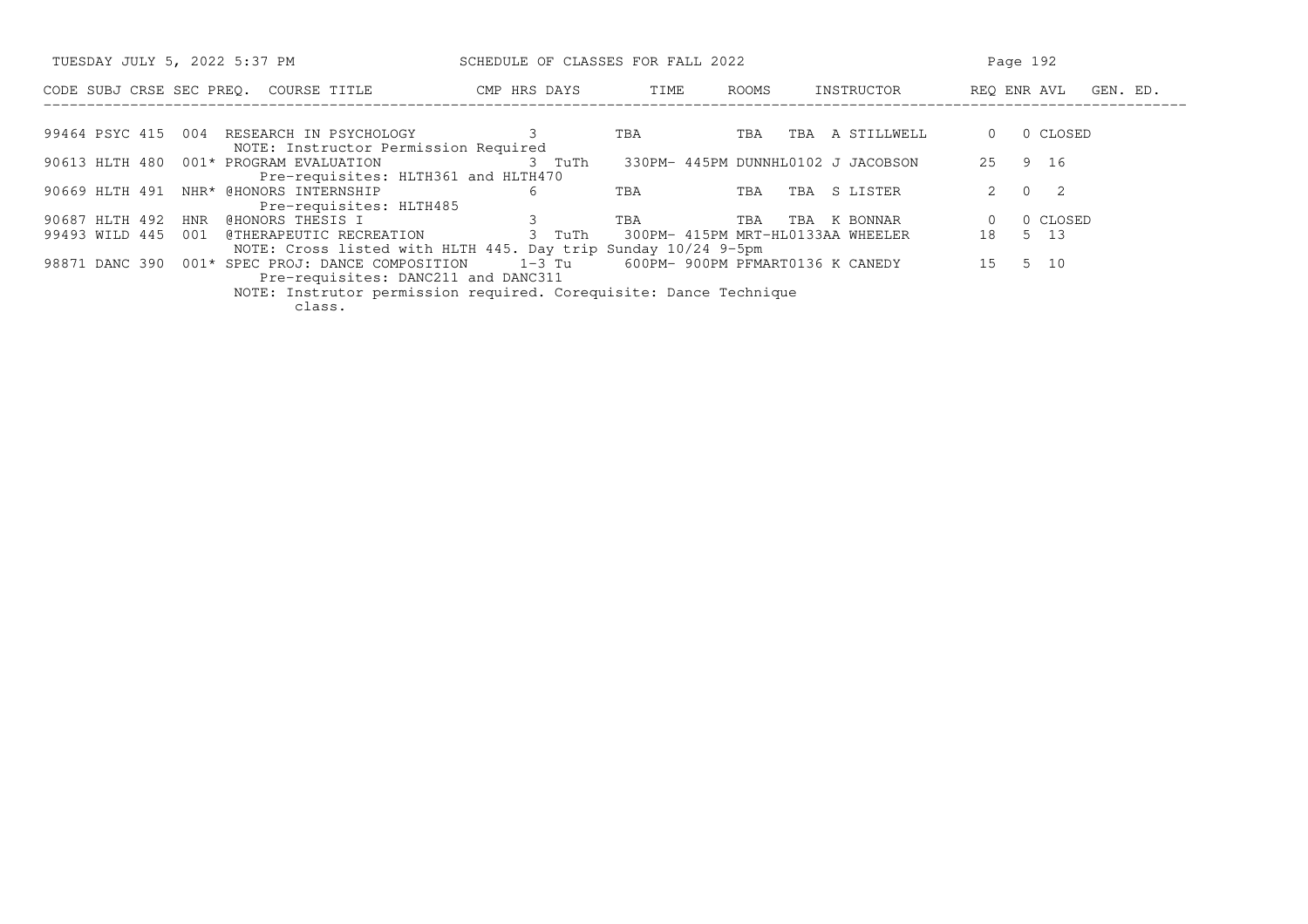| TUESDAY JULY 5, 2022 5:37 PM                                                                                      | SCHEDULE OF CLASSES FOR FALL 2022 |      |       |                                         | Page 192                   |  |  |  |
|-------------------------------------------------------------------------------------------------------------------|-----------------------------------|------|-------|-----------------------------------------|----------------------------|--|--|--|
| CODE SUBJ CRSE SEC PREO. COURSE TITLE                                                                             | CMP HRS DAYS                      | TIME | ROOMS | INSTRUCTOR                              | REO ENR AVL<br>GEN. ED.    |  |  |  |
|                                                                                                                   |                                   |      |       |                                         |                            |  |  |  |
| 99464 PSYC 415<br>004<br>RESEARCH IN PSYCHOLOGY<br>NOTE: Instructor Permission Required                           |                                   | TBA  | TBA   | A STILLWELL<br>TBA                      | 0 CLOSED                   |  |  |  |
| 90613 HLTH 480<br>001* PROGRAM EVALUATION<br>Pre-requisites: HLTH361 and HLTH470                                  | 3 TuTh                            |      |       | 330PM- 445PM DUNNHL0102 J JACOBSON      | 9 16<br>25                 |  |  |  |
| 90669 HLTH 491<br>NHR* @HONORS INTERNSHIP<br>Pre-requisites: HLTH485                                              | 6                                 | TBA  | TBA   | S LISTER<br>TBA                         | $\Omega$<br>$\overline{2}$ |  |  |  |
| 90687 HLTH 492<br>@HONORS THESIS I<br>HNR                                                                         | 3                                 | TBA  | TBA   | TBA<br>K BONNAR                         | 0 CLOSED                   |  |  |  |
| 99493 WILD 445<br>@THERAPEUTIC RECREATION<br>001<br>NOTE: Cross listed with HLTH 445. Day trip Sunday 10/24 9-5pm | 3 TuTh                            |      |       | 300PM- 415PM MRT-HL0133AA WHEELER       | 5 13<br>18                 |  |  |  |
| 98871 DANC 390<br>001* SPEC PROJ: DANCE COMPOSITION                                                               |                                   |      |       | 1-3 Tu 600PM- 900PM PFMART0136 K CANEDY | 5 10<br>1.5                |  |  |  |
| Pre-requisites: DANC211 and DANC311                                                                               |                                   |      |       |                                         |                            |  |  |  |
| NOTE: Instrutor permission required. Corequisite: Dance Technique                                                 |                                   |      |       |                                         |                            |  |  |  |
| class.                                                                                                            |                                   |      |       |                                         |                            |  |  |  |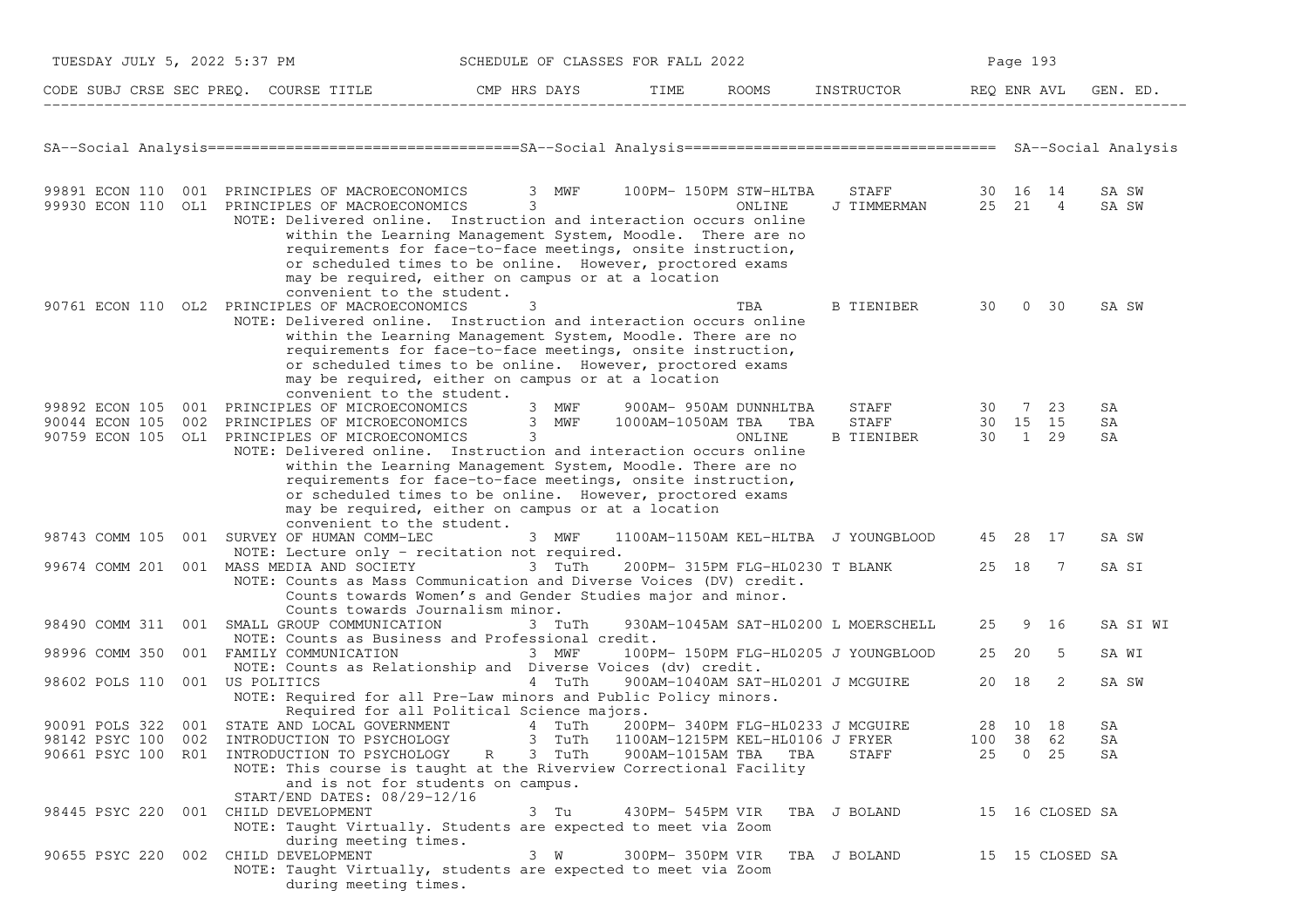| TUESDAY JULY 5, 2022 5:37 PM<br>SCHEDULE OF CLASSES FOR FALL 2022 |                                                                                                                                                                                                                                                                                                |                                                                                                                                                                                                                                                    |                                  |     | Page 193                                              |       |                 |                |
|-------------------------------------------------------------------|------------------------------------------------------------------------------------------------------------------------------------------------------------------------------------------------------------------------------------------------------------------------------------------------|----------------------------------------------------------------------------------------------------------------------------------------------------------------------------------------------------------------------------------------------------|----------------------------------|-----|-------------------------------------------------------|-------|-----------------|----------------|
|                                                                   | CODE SUBJ CRSE SEC PREQ. COURSE TITLE THE RIDAYS TIME ROOMS INSTRUCTOR REQ ENRAVL                                                                                                                                                                                                              |                                                                                                                                                                                                                                                    |                                  |     |                                                       |       |                 | GEN. ED.       |
|                                                                   |                                                                                                                                                                                                                                                                                                |                                                                                                                                                                                                                                                    |                                  |     |                                                       |       |                 |                |
|                                                                   | 99891 ECON 110 001 PRINCIPLES OF MACROECONOMICS 3 MWF 100PM-150PM STW-HLTBA<br>99930 ECON 110 OL1 PRINCIPLES OF MACROECONOMICS 3<br>NOTE: Delivered online. Instruction and interaction occurs online<br>convenient to the student.                                                            | within the Learning Management System, Moodle. There are no<br>requirements for face-to-face meetings, onsite instruction,<br>or scheduled times to be online. However, proctored exams<br>may be required, either on campus or at a location      |                                  |     | STAFF 30 16 14<br>J TIMMERMAN 25 21 4                 |       |                 | SA SW<br>SA SW |
|                                                                   | 90761 ECON 110 OL2 PRINCIPLES OF MACROECONOMICS<br>NOTE: Delivered online. Instruction and interaction occurs online<br>convenient to the student.                                                                                                                                             | 3<br>within the Learning Management System, Moodle. There are no<br>requirements for face-to-face meetings, onsite instruction,<br>or scheduled times to be online. However, proctored exams<br>may be required, either on campus or at a location |                                  | TBA | B TIENIBER 30                                         |       | $0\quad 30$     | SA SW          |
|                                                                   | 99892 ECON 105 001 PRINCIPLES OF MICROECONOMICS 3 MWF<br>90044 ECON 105 002 PRINCIPLES OF MICROECONOMICS 3 MWF 1000AM-1050AM TBA TBA TBA 190759 ECON 105 OL1 PRINCIPLES OF MICROECONOMICS 3<br>NOTE: Delivered online. Instruction and interaction occurs online<br>convenient to the student. | within the Learning Management System, Moodle. There are no<br>requirements for face-to-face meetings, onsite instruction,<br>or scheduled times to be online. However, proctored exams<br>may be required, either on campus or at a location      | 900AM- 950AM DUNNHLTBA           |     | STAFF 30 7 23<br>STAFF 30 15 15<br>B TIENIBER 30 1 29 |       |                 | SA<br>SA<br>SA |
| 98743 COMM 105                                                    | 001 SURVEY OF HUMAN COMM-LEC<br>NOTE: Lecture only - recitation not required.                                                                                                                                                                                                                  | 3 MWF                                                                                                                                                                                                                                              |                                  |     | 1100AM-1150AM KEL-HLTBA J YOUNGBLOOD                  |       | 45 28 17        | SA SW          |
|                                                                   | 99674 COMM 201 001 MASS MEDIA AND SOCIETY<br>NOTE: Counts as Mass Communication and Diverse Voices (DV) credit.<br>Counts towards Journalism minor.                                                                                                                                            | 3 TuTh<br>Counts towards Women's and Gender Studies major and minor.                                                                                                                                                                               |                                  |     | 200PM- 315PM FLG-HL0230 T BLANK                       |       | 25 18 7         | SA SI          |
| 98490 COMM 311                                                    | 001 SMALL GROUP COMMUNICATION<br>NOTE: Counts as Business and Professional credit.                                                                                                                                                                                                             | 3 TuTh                                                                                                                                                                                                                                             |                                  |     | 930AM-1045AM SAT-HL0200 L MOERSCHELL                  | 25    | 9 16            | SA SI WI       |
| 98996 COMM 350                                                    | 001 FAMILY COMMUNICATION<br>NOTE: Counts as Relationship and Diverse Voices (dv) credit.                                                                                                                                                                                                       | 3 MWF                                                                                                                                                                                                                                              |                                  |     | 100PM- 150PM FLG-HL0205 J YOUNGBLOOD                  | 25 20 | - 5             | SA WI          |
| 98602 POLS 110                                                    | 001 US POLITICS<br>NOTE: Required for all Pre-Law minors and Public Policy minors.                                                                                                                                                                                                             | 4 TuTh<br>Required for all Political Science majors.                                                                                                                                                                                               |                                  |     | 900AM-1040AM SAT-HL0201 J MCGUIRE                     | 20 18 | -2              | SA SW          |
|                                                                   | 90091 POLS 322 001 STATE AND LOCAL GOVERNMENT 4 TuTh                                                                                                                                                                                                                                           |                                                                                                                                                                                                                                                    |                                  |     | 200PM- 340PM FLG-HL0233 J MCGUIRE 28 10 18            |       |                 | SΑ             |
|                                                                   | 98142 PSYC 100 002 INTRODUCTION TO PSYCHOLOGY 3 TuTh                                                                                                                                                                                                                                           |                                                                                                                                                                                                                                                    | 1100AM-1215PM KEL-HL0106 J FRYER |     |                                                       |       | 100 38 62       | SA             |
|                                                                   | 90661 PSYC 100 R01 INTRODUCTION TO PSYCHOLOGY R<br>NOTE: This course is taught at the Riverview Correctional Facility<br>and is not for students on campus.<br>START/END DATES: 08/29-12/16                                                                                                    | 3 TuTh                                                                                                                                                                                                                                             | 900AM-1015AM TBA                 | TBA | STAFF                                                 | 25    | $0\quad 25$     | SA             |
|                                                                   | 98445 PSYC 220 001 CHILD DEVELOPMENT<br>NOTE: Taught Virtually. Students are expected to meet via Zoom<br>during meeting times.                                                                                                                                                                | 3 Tu                                                                                                                                                                                                                                               | 430PM- 545PM VIR                 |     | TBA J BOLAND                                          |       | 15 16 CLOSED SA |                |
| 90655 PSYC 220<br>002                                             | CHILD DEVELOPMENT<br>NOTE: Taught Virtually, students are expected to meet via Zoom<br>during meeting times.                                                                                                                                                                                   | 3 W                                                                                                                                                                                                                                                | 300PM- 350PM VIR                 |     | TBA J BOLAND                                          |       | 15 15 CLOSED SA |                |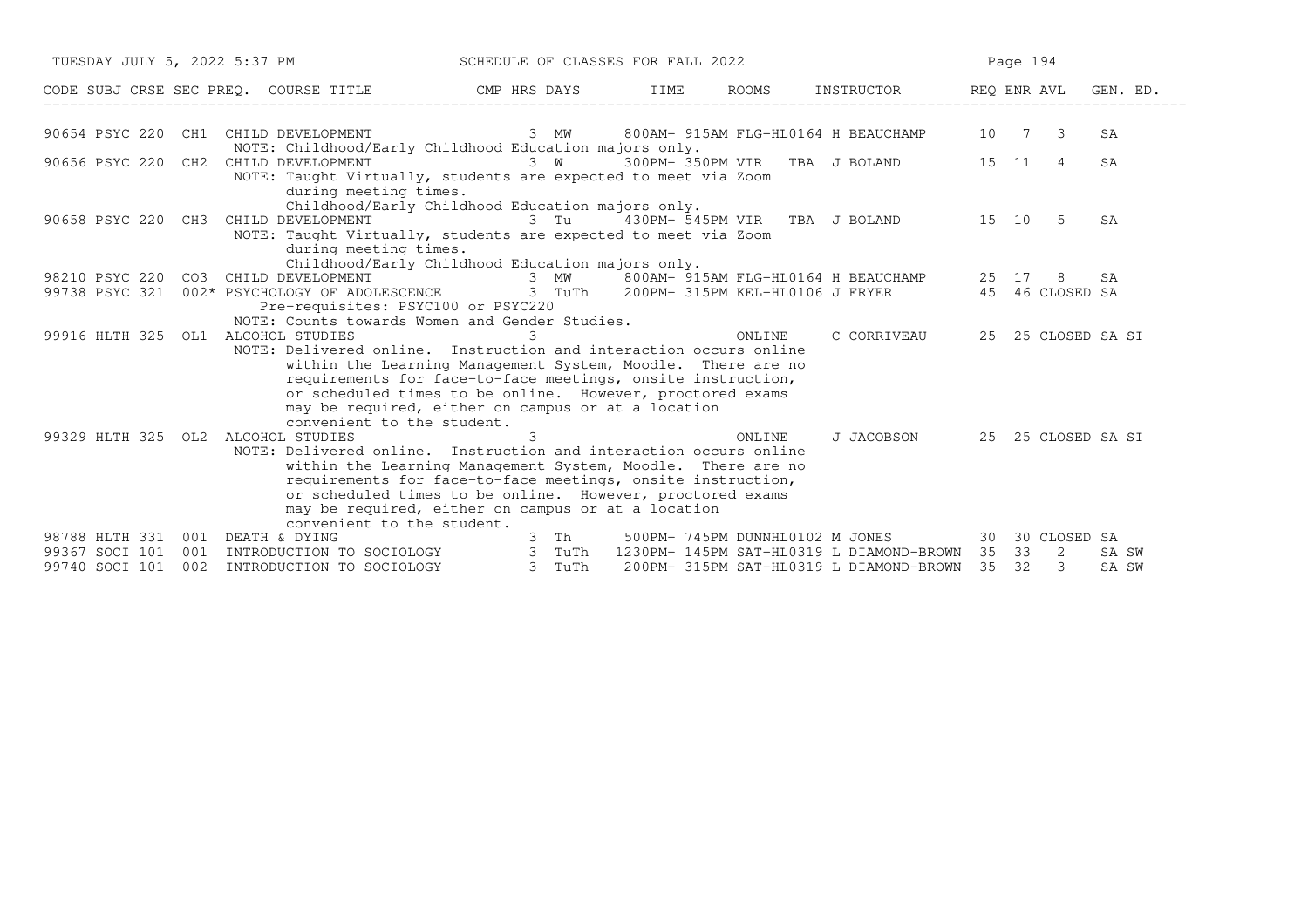| TUESDAY JULY 5, 2022 5:37 PM                                            |                                                                                                                                                                                                                                                                                                                                                                                        | SCHEDULE OF CLASSES FOR FALL 2022 |                |                                                                                                                                                   | Page 194                              |
|-------------------------------------------------------------------------|----------------------------------------------------------------------------------------------------------------------------------------------------------------------------------------------------------------------------------------------------------------------------------------------------------------------------------------------------------------------------------------|-----------------------------------|----------------|---------------------------------------------------------------------------------------------------------------------------------------------------|---------------------------------------|
|                                                                         | CODE SUBJ CRSE SEC PREQ. COURSE TITLE THE CMP HRS DAYS                                                                                                                                                                                                                                                                                                                                 |                                   | TIME           | ROOMS INSTRUCTOR REQ ENR AVL                                                                                                                      | GEN. ED.                              |
| 90654 PSYC 220                                                          | CH1 CHILD DEVELOPMENT<br>NOTE: Childhood/Early Childhood Education majors only.                                                                                                                                                                                                                                                                                                        |                                   |                | 3 MW 800AM-915AM FLG-HL0164 H BEAUCHAMP 10 7 3                                                                                                    | SA                                    |
|                                                                         | 90656 PSYC 220 CH2 CHILD DEVELOPMENT<br>NOTE: Taught Virtually, students are expected to meet via Zoom<br>during meeting times.                                                                                                                                                                                                                                                        | 3 W                               |                | 300PM-350PM VIR TBA J BOLAND 15 11                                                                                                                | SA<br>$\overline{4}$                  |
|                                                                         | Childhood/Early Childhood Education majors only.<br>90658 PSYC 220 CH3 CHILD DEVELOPMENT 3 Tu 430PM-545PM VIR TBA J BOLAND 15 10 5<br>NOTE: Taught Virtually, students are expected to meet via Zoom<br>during meeting times.<br>Childhood/Early Childhood Education majors only.                                                                                                      |                                   |                |                                                                                                                                                   | SA                                    |
| 99738 PSYC 321                                                          | 98210 PSYC 220 CO3 CHILD DEVELOPMENT 600 AM 800AM-915AM FLG-HL0164 H BEAUCHAMP 25 17<br>002* PSYCHOLOGY OF ADOLESCENCE 3 TuTh 200PM-315PM KEL-HL0106 J FRYER 45 46 CLOSED SA<br>Pre-requisites: PSYC100 or PSYC220<br>NOTE: Counts towards Women and Gender Studies.                                                                                                                   |                                   |                |                                                                                                                                                   | SA<br>8                               |
|                                                                         | 99916 HLTH 325 OL1 ALCOHOL STUDIES<br>NOTE: Delivered online. Instruction and interaction occurs online<br>within the Learning Management System, Moodle. There are no<br>requirements for face-to-face meetings, onsite instruction,<br>or scheduled times to be online. However, proctored exams<br>may be required, either on campus or at a location<br>convenient to the student. |                                   | $\overline{3}$ | C CORRIVEAU<br>ONLINE                                                                                                                             | 25 25 CLOSED SA SI                    |
|                                                                         | 99329 HLTH 325 OL2 ALCOHOL STUDIES<br>NOTE: Delivered online. Instruction and interaction occurs online<br>within the Learning Management System, Moodle. There are no<br>requirements for face-to-face meetings, onsite instruction,<br>or scheduled times to be online. However, proctored exams<br>may be required, either on campus or at a location<br>convenient to the student. | 3                                 |                | J JACOBSON<br>ONLINE                                                                                                                              | 25 25 CLOSED SA SI                    |
| 98788 HLTH 331<br>001<br>99367 SOCI 101<br>001<br>99740 SOCI 101<br>002 | DEATH & DYING<br>INTRODUCTION TO SOCIOLOGY 3 TuTh<br>INTRODUCTION TO SOCIOLOGY 3 TuTh                                                                                                                                                                                                                                                                                                  | 3 Th                              |                | 500PM-745PM DUNNHL0102 M JONES 30 30 CLOSED SA<br>1230PM- 145PM SAT-HL0319 L DIAMOND-BROWN 35 33<br>200PM- 315PM SAT-HL0319 L DIAMOND-BROWN 35 32 | $\overline{2}$<br>SA SW<br>3<br>SA SW |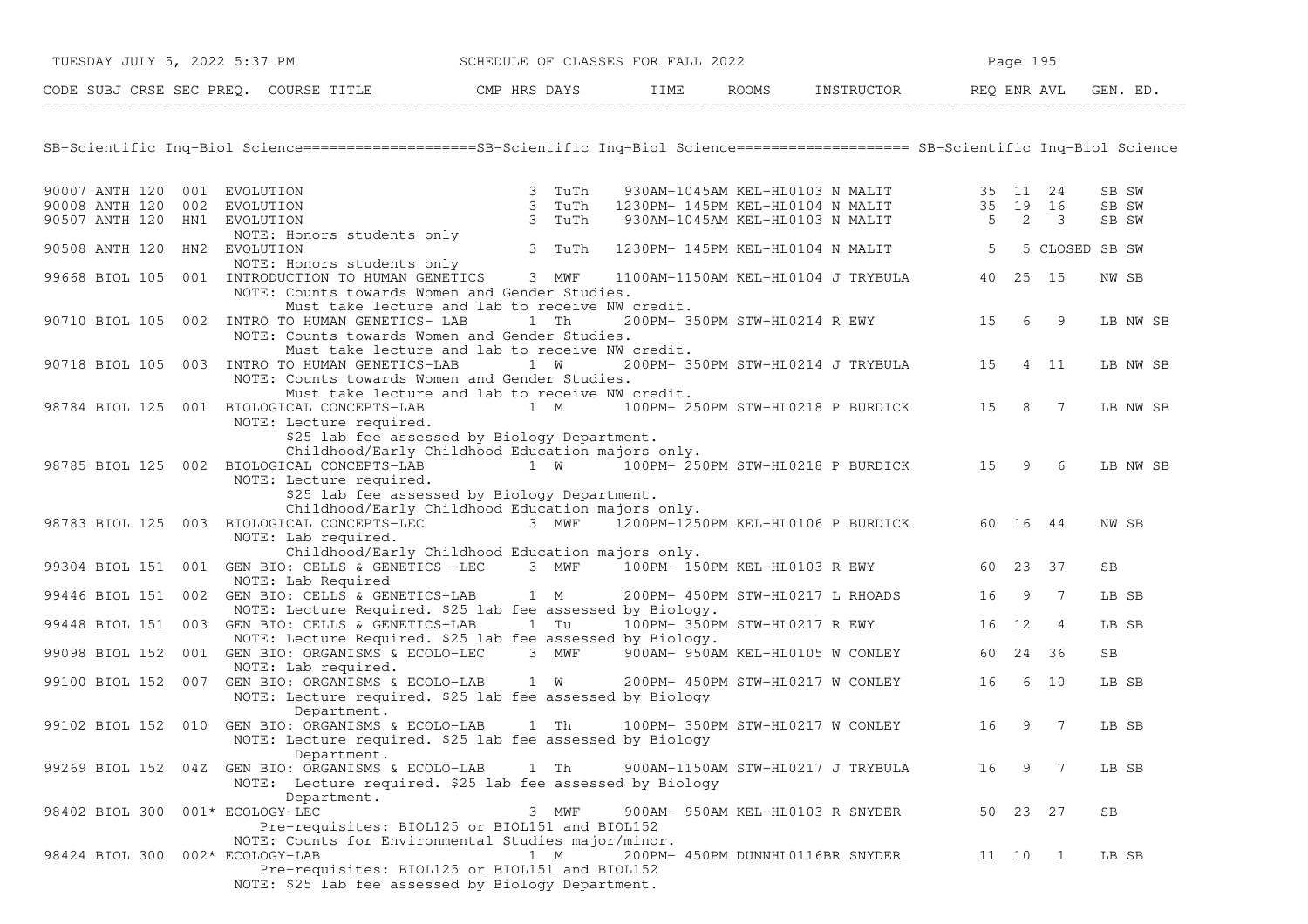| TUESDAY JULY 5, 2022 5:37 PM<br>SCHEDULE OF CLASSES FOR FALL 2022 |  |                                                                                                                                                   |     | Page 195 |  |  |                                                                                                                               |         |          |   |          |
|-------------------------------------------------------------------|--|---------------------------------------------------------------------------------------------------------------------------------------------------|-----|----------|--|--|-------------------------------------------------------------------------------------------------------------------------------|---------|----------|---|----------|
|                                                                   |  | CODE SUBJ CRSE SEC PREQ. COURSE TITLE THE ROOMS INSTRUCTOR REQ ENR AVL GEN. ED.                                                                   |     |          |  |  |                                                                                                                               |         |          |   |          |
|                                                                   |  |                                                                                                                                                   |     |          |  |  |                                                                                                                               |         |          |   |          |
|                                                                   |  | SB-Scientific Inq-Biol Science===================SB-Scientific Inq-Biol Science==================== SB-Scientific Inq-Biol Science                |     |          |  |  |                                                                                                                               |         |          |   |          |
| 90007 ANTH 120 001 EVOLUTION                                      |  |                                                                                                                                                   |     |          |  |  |                                                                                                                               |         |          |   | SB SW    |
| 90008 ANTH 120 002 EVOLUTION                                      |  |                                                                                                                                                   |     |          |  |  |                                                                                                                               |         |          |   | SB SW    |
| 90507 ANTH 120 HN1 EVOLUTION                                      |  | EVOLUTION 3 TuTh<br>EVOLUTION 3 TuTh<br>EVOLUTION 3 TuTh<br>NOTE: Honors students only<br>EVOLUTION 3 TuTh<br>EVOLUTION 3 TuTh                    |     |          |  |  | 930AM-1045AM KEL-HL0103 N MALIT 35 11 24<br>1230PM-145PM KEL-HL0104 N MALIT 35 19 16<br>930AM-1045AM KEL-HL0103 N MALIT 5 2 3 |         |          |   | SB SW    |
|                                                                   |  |                                                                                                                                                   |     |          |  |  |                                                                                                                               |         |          |   |          |
| 90508 ANTH 120 HN2 EVOLUTION                                      |  |                                                                                                                                                   |     |          |  |  | 1230PM- 145PM KEL-HL0104 N MALIT 5 5 CLOSED SB SW                                                                             |         |          |   |          |
|                                                                   |  | NOTE: Honors students only<br>99668 BIOL 105 001 INTRODUCTION TO HUMAN GENETICS 3 MWF                                                             |     |          |  |  |                                                                                                                               |         |          |   |          |
|                                                                   |  |                                                                                                                                                   |     |          |  |  | 1100AM-1150AM KEL-HL0104 J TRYBULA 40 25 15                                                                                   |         |          |   | NW SB    |
|                                                                   |  | NOTE: Counts towards Women and Gender Studies.                                                                                                    |     |          |  |  |                                                                                                                               |         |          |   |          |
|                                                                   |  | Must take lecture and lab to receive NW credit.                                                                                                   |     |          |  |  |                                                                                                                               |         |          |   |          |
|                                                                   |  | 90710 BIOL 105 002 INTRO TO HUMAN GENETICS- LAB 1 Th                                                                                              |     |          |  |  | 200PM-350PM STW-HL0214 R EWY 15 6 9                                                                                           |         |          |   | LB NW SB |
|                                                                   |  | NOTE: Counts towards Women and Gender Studies.                                                                                                    |     |          |  |  |                                                                                                                               |         |          |   |          |
|                                                                   |  | Must take lecture and lab to receive NW credit.<br>90718 BIOL 105 003 INTRO TO HUMAN GENETICS-LAB 1 W                                             |     |          |  |  | 200PM-350PM STW-HL0214 J TRYBULA 15 4 11                                                                                      |         |          |   |          |
|                                                                   |  | NOTE: Counts towards Women and Gender Studies.                                                                                                    |     |          |  |  |                                                                                                                               |         |          |   | LB NW SB |
|                                                                   |  | Must take lecture and lab to receive NW credit.                                                                                                   |     |          |  |  |                                                                                                                               |         |          |   |          |
|                                                                   |  | 98784 BIOL 125 001 BIOLOGICAL CONCEPTS-LAB                                                                                                        | 1 M |          |  |  | 100PM-250PM STW-HL0218 P BURDICK 15 8 7                                                                                       |         |          |   | LB NW SB |
|                                                                   |  | NOTE: Lecture required.                                                                                                                           |     |          |  |  |                                                                                                                               |         |          |   |          |
|                                                                   |  | \$25 lab fee assessed by Biology Department.                                                                                                      |     |          |  |  |                                                                                                                               |         |          |   |          |
|                                                                   |  | Childhood/Early Childhood Education majors only.                                                                                                  |     |          |  |  |                                                                                                                               |         |          |   |          |
|                                                                   |  | 98785 BIOL 125 002 BIOLOGICAL CONCEPTS-LAB 1 W 100PM-250PM STW-HL0218 P BURDICK 15 9 6                                                            |     |          |  |  |                                                                                                                               |         |          |   | LB NW SB |
|                                                                   |  | NOTE: Lecture required.                                                                                                                           |     |          |  |  |                                                                                                                               |         |          |   |          |
|                                                                   |  | \$25 lab fee assessed by Biology Department.                                                                                                      |     |          |  |  |                                                                                                                               |         |          |   |          |
|                                                                   |  | Childhood/Early Childhood Education majors only.                                                                                                  |     |          |  |  |                                                                                                                               |         |          |   |          |
|                                                                   |  | 98783 BIOL 125 003 BIOLOGICAL CONCEPTS-LEC                                                                                                        |     |          |  |  | 3 MWF $\overline{1}200$ PM-1250PM KEL-HL0106 P BURDICK 60 16 44                                                               |         |          |   | NW SB    |
|                                                                   |  | NOTE: Lab required.                                                                                                                               |     |          |  |  |                                                                                                                               |         |          |   |          |
|                                                                   |  | Childhood/Early Childhood Education majors only.<br>99304 BIOL 151 001 GEN BIO: CELLS & GENETICS -LEC 3 MWF 100PM-150PM KEL-HL0103 R EWY 60 23 37 |     |          |  |  |                                                                                                                               |         |          |   |          |
|                                                                   |  | NOTE: Lab Required                                                                                                                                |     |          |  |  |                                                                                                                               |         |          |   | SB.      |
|                                                                   |  | 99446 BIOL 151 002 GEN BIO: CELLS & GENETICS-LAB 1 M                                                                                              |     |          |  |  | 200PM- 450PM STW-HL0217 L RHOADS                                                                                              |         | 16 9 7   |   | LB SB    |
|                                                                   |  | NOTE: Lecture Required. \$25 lab fee assessed by Biology.                                                                                         |     |          |  |  |                                                                                                                               |         |          |   |          |
|                                                                   |  | 99448 BIOL 151 003 GEN BIO: CELLS & GENETICS-LAB 1 Tu                                                                                             |     |          |  |  | 100PM- 350PM STW-HL0217 R EWY 16 12                                                                                           |         |          | 4 | LB SB    |
|                                                                   |  | NOTE: Lecture Required. \$25 lab fee assessed by Biology.                                                                                         |     |          |  |  |                                                                                                                               |         |          |   |          |
|                                                                   |  | 99098 BIOL 152 001 GEN BIO: ORGANISMS & ECOLO-LEC 3 MWF 900AM-950AM KEL-HL0105 W CONLEY 60 24 36                                                  |     |          |  |  |                                                                                                                               |         |          |   | SB       |
|                                                                   |  | NOTE: Lab required.                                                                                                                               |     |          |  |  |                                                                                                                               |         |          |   |          |
|                                                                   |  | 99100 BIOL 152 007 GEN BIO: ORGANISMS & ECOLO-LAB 1 W                                                                                             |     |          |  |  | 200PM- 450PM STW-HL0217 W CONLEY                                                                                              | 16 6 10 |          |   | LB SB    |
|                                                                   |  | NOTE: Lecture required. \$25 lab fee assessed by Biology                                                                                          |     |          |  |  |                                                                                                                               |         |          |   |          |
|                                                                   |  | Department.                                                                                                                                       |     |          |  |  |                                                                                                                               |         |          |   |          |
|                                                                   |  | 99102 BIOL 152 010 GEN BIO: ORGANISMS & ECOLO-LAB 1 Th                                                                                            |     |          |  |  | 100PM-350PM STW-HL0217 W CONLEY 16 9 7                                                                                        |         |          |   | LB SB    |
|                                                                   |  | NOTE: Lecture required. \$25 lab fee assessed by Biology                                                                                          |     |          |  |  |                                                                                                                               |         |          |   |          |
|                                                                   |  | Department.<br>99269 BIOL 152 04Z GEN BIO: ORGANISMS & ECOLO-LAB                                                                                  |     |          |  |  | 900AM-1150AM STW-HL0217 J TRYBULA                                                                                             | 16      | 9        | 7 | LB SB    |
|                                                                   |  | NOTE: Lecture required. \$25 lab fee assessed by Biology                                                                                          |     | 1 Th     |  |  |                                                                                                                               |         |          |   |          |
|                                                                   |  | Department.                                                                                                                                       |     |          |  |  |                                                                                                                               |         |          |   |          |
| 98402 BIOL 300 001* ECOLOGY-LEC                                   |  |                                                                                                                                                   |     | 3 MWF    |  |  | 900AM- 950AM KEL-HL0103 R SNYDER                                                                                              |         | 50 23 27 |   | SB       |
|                                                                   |  | Pre-requisites: BIOL125 or BIOL151 and BIOL152                                                                                                    |     |          |  |  |                                                                                                                               |         |          |   |          |
|                                                                   |  | NOTE: Counts for Environmental Studies major/minor.                                                                                               |     |          |  |  |                                                                                                                               |         |          |   |          |
| 98424 BIOL 300 002* ECOLOGY-LAB                                   |  |                                                                                                                                                   |     | 1 M      |  |  | 200PM- 450PM DUNNHL0116BR SNYDER                                                                                              |         | 11 10 1  |   | LB SB    |
|                                                                   |  | Pre-requisites: BIOL125 or BIOL151 and BIOL152                                                                                                    |     |          |  |  |                                                                                                                               |         |          |   |          |
|                                                                   |  | NOTE: \$25 lab fee assessed by Biology Department.                                                                                                |     |          |  |  |                                                                                                                               |         |          |   |          |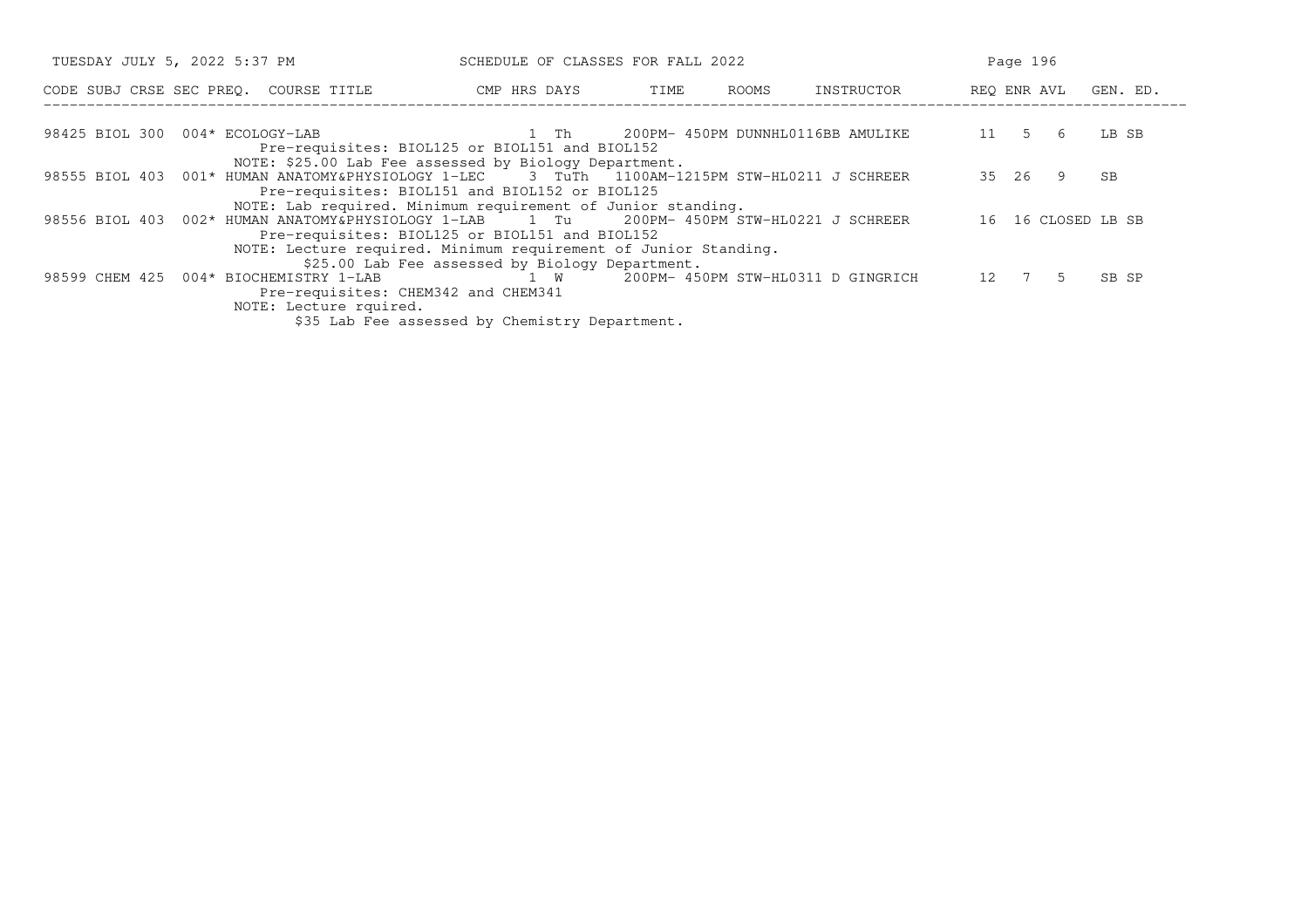| TUESDAY JULY 5, 2022 5:37 PM<br>SCHEDULE OF CLASSES FOR FALL 2022                                                                                                                                       |                                                                                                 |      |       |                                   |                      | Page 196 |       |  |
|---------------------------------------------------------------------------------------------------------------------------------------------------------------------------------------------------------|-------------------------------------------------------------------------------------------------|------|-------|-----------------------------------|----------------------|----------|-------|--|
| CODE SUBJ CRSE SEC PREO. COURSE TITLE THE CMP HRS DAYS                                                                                                                                                  |                                                                                                 | TIME | ROOMS | INSTRUCTOR                        | REQ ENR AVL GEN. ED. |          |       |  |
| 98425 BIOL 300 004* ECOLOGY-LAB<br>Pre-requisites: BIOL125 or BIOL151 and BIOL152                                                                                                                       | $1$ Theorem $1$ Theorem $1$                                                                     |      |       | 200PM- 450PM DUNNHL0116BB AMULIKE | 11 5 6               |          | LB SB |  |
| NOTE: \$25.00 Lab Fee assessed by Biology Department.<br>98555 BIOL 403 001* HUMAN ANATOMY&PHYSIOLOGY 1-LEC 3 TuTh 1100AM-1215PM STW-HL0211 J SCHREER<br>Pre-requisites: BIOL151 and BIOL152 or BIOL125 |                                                                                                 |      |       |                                   |                      | 35 26 9  | SB    |  |
| NOTE: Lab required. Minimum requirement of Junior standing.<br>98556 BIOL 403 002* HUMAN ANATOMY&PHYSIOLOGY 1-LAB 1 Tu<br>Pre-requisites: BIOL125 or BIOL151 and BIOL152                                |                                                                                                 |      |       | 200PM- 450PM STW-HL0221 J SCHREER | 16 16 CLOSED LB SB   |          |       |  |
| NOTE: Lecture required. Minimum requirement of Junior Standing.<br>98599 CHEM 425 004* BIOCHEMISTRY 1-LAB<br>Pre-requisites: CHEM342 and CHEM341                                                        | \$25.00 Lab Fee assessed by Biology Department.<br>1 W 200PM-450PM STW-HL0311 D GINGRICH 12 7 5 |      |       |                                   |                      |          | SB SP |  |
| NOTE: Lecture rquired.                                                                                                                                                                                  | \$35 Lab Fee assessed by Chemistry Department.                                                  |      |       |                                   |                      |          |       |  |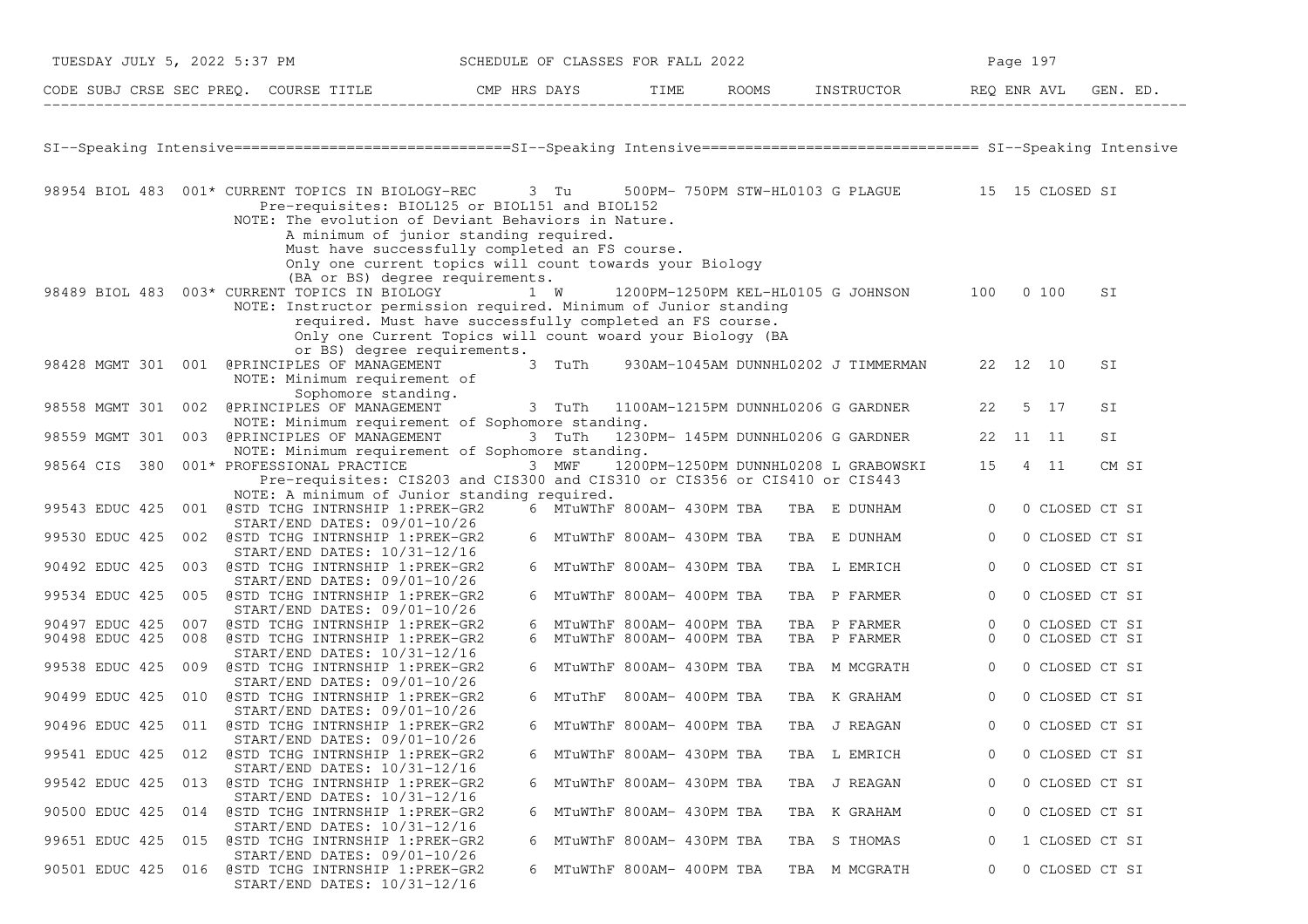| TUESDAY JULY 5, 2022 5:37 PM |                                                                                                                                                                                                                                                                                                                                                                                                                                          | SCHEDULE OF CLASSES FOR FALL 2022 |                            |  |     |                                                  |                | Page 197       |          |
|------------------------------|------------------------------------------------------------------------------------------------------------------------------------------------------------------------------------------------------------------------------------------------------------------------------------------------------------------------------------------------------------------------------------------------------------------------------------------|-----------------------------------|----------------------------|--|-----|--------------------------------------------------|----------------|----------------|----------|
|                              | CODE SUBJ CRSE SEC PREQ. COURSE TITLE THE ROOMS INSTRUCTOR                                                                                                                                                                                                                                                                                                                                                                               |                                   |                            |  |     |                                                  | REQ ENR AVL    |                | GEN. ED. |
|                              | SI--Speaking Intensive=============================SI--Speaking Intensive================================ SI--Speaking Intensive                                                                                                                                                                                                                                                                                                         |                                   |                            |  |     |                                                  |                |                |          |
|                              |                                                                                                                                                                                                                                                                                                                                                                                                                                          |                                   |                            |  |     |                                                  |                |                |          |
|                              | 98954 BIOL 483 001* CURRENT TOPICS IN BIOLOGY-REC 3 Tu<br>Pre-requisites: BIOL125 or BIOL151 and BIOL152<br>NOTE: The evolution of Deviant Behaviors in Nature.                                                                                                                                                                                                                                                                          |                                   |                            |  |     | 500PM- 750PM STW-HL0103 G PLAGUE 15 15 CLOSED SI |                |                |          |
|                              | A minimum of junior standing required.<br>Must have successfully completed an FS course.<br>Only one current topics will count towards your Biology<br>(BA or BS) degree requirements.<br>98489 BIOL 483 003* CURRENT TOPICS IN BIOLOGY 1 W<br>NOTE: Instructor permission required. Minimum of Junior standing<br>required. Must have successfully completed an FS course.<br>Only one Current Topics will count woard your Biology (BA |                                   |                            |  |     | 1200PM-1250PM KEL-HL0105 G JOHNSON 100           |                | 0, 100         | SI       |
|                              | or BS) degree requirements.<br>98428 MGMT 301 001 @PRINCIPLES OF MANAGEMENT<br>NOTE: Minimum requirement of                                                                                                                                                                                                                                                                                                                              |                                   | 3 TuTh                     |  |     | 930AM-1045AM DUNNHL0202 J TIMMERMAN              |                | 22 12 10       | SΙ       |
| 98558 MGMT 301 002           | Sophomore standing.<br>@PRINCIPLES OF MANAGEMENT 3 TuTh 1100AM-1215PM DUNNHL0206 G GARDNER<br>NOTE: Minimum requirement of Sophomore standing.                                                                                                                                                                                                                                                                                           |                                   |                            |  |     |                                                  | 22             | 5 17           | SI       |
| 98559 MGMT 301               | @PRINCIPLES OF MANAGEMENT<br>003<br>NOTE: Minimum requirement of Sophomore standing.                                                                                                                                                                                                                                                                                                                                                     |                                   | 3 TuTh                     |  |     | 1230PM- 145PM DUNNHL0206 G GARDNER               |                | 22 11 11       | SI       |
| 98564 CIS<br>380             | 001* PROFESSIONAL PRACTICE<br>Pre-requisites: CIS203 and CIS300 and CIS310 or CIS356 or CIS410 or CIS443                                                                                                                                                                                                                                                                                                                                 |                                   | 3 MWF                      |  |     | 1200PM-1250PM DUNNHL0208 L GRABOWSKI             |                | 15 4 11        | CM SI    |
|                              | NOTE: A minimum of Junior standing required.                                                                                                                                                                                                                                                                                                                                                                                             |                                   |                            |  |     |                                                  |                |                |          |
| 99543 EDUC 425               | 001 @STD TCHG INTRNSHIP 1:PREK-GR2<br>START/END DATES: 09/01-10/26                                                                                                                                                                                                                                                                                                                                                                       |                                   | 6 MTuWThF 800AM- 430PM TBA |  |     | TBA E DUNHAM                                     | $\Omega$       | 0 CLOSED CT SI |          |
| 99530 EDUC 425               | 002 @STD TCHG INTRNSHIP 1:PREK-GR2<br>START/END DATES: 10/31-12/16                                                                                                                                                                                                                                                                                                                                                                       |                                   | 6 MTuWThF 800AM- 430PM TBA |  |     | TBA E DUNHAM                                     | $\overline{0}$ | 0 CLOSED CT SI |          |
| 90492 EDUC 425               | @STD TCHG INTRNSHIP 1:PREK-GR2<br>003<br>START/END DATES: 09/01-10/26                                                                                                                                                                                                                                                                                                                                                                    |                                   | 6 MTuWThF 800AM- 430PM TBA |  |     | TBA L EMRICH                                     | $\overline{0}$ | 0 CLOSED CT SI |          |
| 99534 EDUC 425               | @STD TCHG INTRNSHIP 1:PREK-GR2<br>005                                                                                                                                                                                                                                                                                                                                                                                                    |                                   | 6 MTuWThF 800AM- 400PM TBA |  |     | TBA P FARMER                                     | $\overline{0}$ | 0 CLOSED CT SI |          |
| 90497 EDUC 425               | $START/END$ DATES: $09/01-10/26$<br>@STD TCHG INTRNSHIP 1:PREK-GR2<br>007                                                                                                                                                                                                                                                                                                                                                                |                                   | 6 MTuWThF 800AM- 400PM TBA |  |     | TBA P FARMER                                     | $\mathbf 0$    | 0 CLOSED CT SI |          |
| 90498 EDUC 425               | 008 @STD TCHG INTRNSHIP 1:PREK-GR2                                                                                                                                                                                                                                                                                                                                                                                                       |                                   | 6 MTuWThF 800AM- 400PM TBA |  |     | TBA P FARMER                                     | $\Omega$       | 0 CLOSED CT SI |          |
| 99538 EDUC 425               | START/END DATES: 10/31-12/16<br>009 @STD TCHG INTRNSHIP 1:PREK-GR2                                                                                                                                                                                                                                                                                                                                                                       |                                   | 6 MTuWThF 800AM- 430PM TBA |  |     | TBA M MCGRATH                                    | $\overline{0}$ | 0 CLOSED CT SI |          |
| 90499 EDUC 425               | START/END DATES: 09/01-10/26<br>010 @STD TCHG INTRNSHIP 1: PREK-GR2                                                                                                                                                                                                                                                                                                                                                                      |                                   | 6 MTuThF 800AM- 400PM TBA  |  |     | TBA K GRAHAM                                     | $\overline{0}$ | 0 CLOSED CT SI |          |
|                              | START/END DATES: 09/01-10/26<br>90496 EDUC 425 011 @STD TCHG INTRNSHIP 1:PREK-GR2<br>START/END DATES: 09/01-10/26                                                                                                                                                                                                                                                                                                                        |                                   | 6 MTuWThF 800AM- 400PM TBA |  |     | TBA J REAGAN                                     | $\Omega$       | 0 CLOSED CT SI |          |
| 99541 EDUC 425               | @STD TCHG INTRNSHIP 1:PREK-GR2<br>012                                                                                                                                                                                                                                                                                                                                                                                                    | 6                                 | MTuWThF 800AM- 430PM TBA   |  |     | TBA L EMRICH                                     | 0              | 0 CLOSED CT SI |          |
| 99542 EDUC 425               | START/END DATES: 10/31-12/16<br>013<br>@STD TCHG INTRNSHIP 1:PREK-GR2                                                                                                                                                                                                                                                                                                                                                                    |                                   | 6 MTuWThF 800AM- 430PM TBA |  | TBA | J REAGAN                                         | 0              | 0 CLOSED CT SI |          |
| 90500 EDUC 425               | START/END DATES: 10/31-12/16<br>014 @STD TCHG INTRNSHIP 1: PREK-GR2<br>START/END DATES: 10/31-12/16                                                                                                                                                                                                                                                                                                                                      |                                   | 6 MTuWThF 800AM- 430PM TBA |  |     | TBA K GRAHAM                                     | 0              | 0 CLOSED CT SI |          |
| 99651 EDUC 425               | @STD TCHG INTRNSHIP 1:PREK-GR2<br>015                                                                                                                                                                                                                                                                                                                                                                                                    | 6                                 | MTuWThF 800AM- 430PM TBA   |  |     | TBA S THOMAS                                     | 0              | 1 CLOSED CT SI |          |
| 90501 EDUC 425               | START/END DATES: 09/01-10/26<br>016<br>@STD TCHG INTRNSHIP 1:PREK-GR2<br>START/END DATES: 10/31-12/16                                                                                                                                                                                                                                                                                                                                    |                                   | 6 MTuWThF 800AM- 400PM TBA |  |     | TBA M MCGRATH                                    | 0              | 0 CLOSED CT SI |          |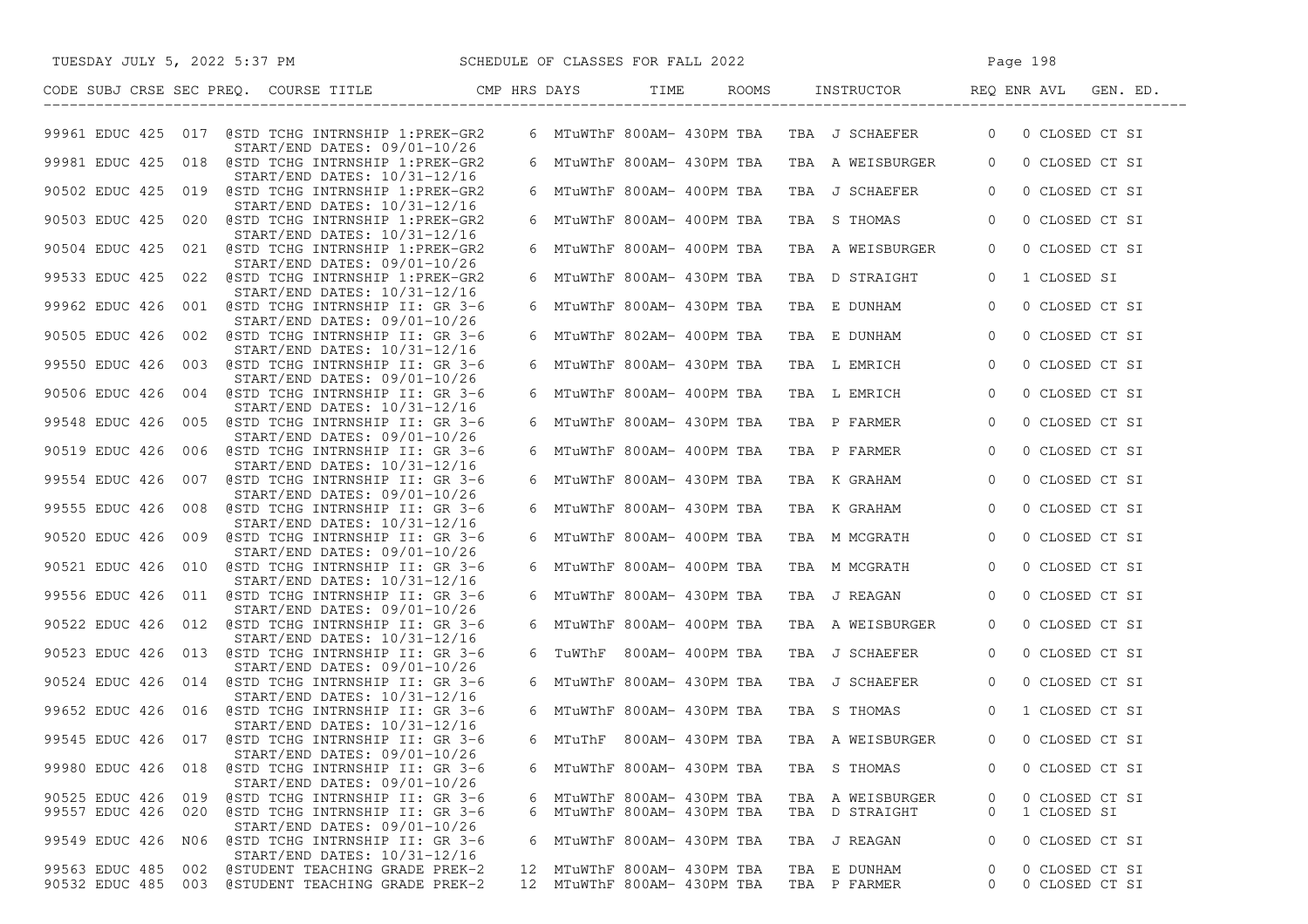| SCHEDULE OF CLASSES FOR FALL 2022<br>TUESDAY JULY 5, 2022 5:37 PM                                            |  |                                                            |                                               | Page 198                                         |
|--------------------------------------------------------------------------------------------------------------|--|------------------------------------------------------------|-----------------------------------------------|--------------------------------------------------|
| CODE SUBJ CRSE SEC PREQ. COURSE TITLE THE CMP HRS DAYS TIME                                                  |  |                                                            |                                               | ROOMS INSTRUCTOR REQ ENR AVL GEN. ED.            |
| 99961 EDUC 425 017 @STD TCHG INTRNSHIP 1:PREK-GR2<br>START/END DATES: 09/01-10/26                            |  |                                                            | 6 MTuWThF 800AM- 430PM TBA TBA J SCHAEFER     | 0 CLOSED CT SI<br>$\overline{0}$                 |
| 99981 EDUC 425 018 @STD TCHG INTRNSHIP 1:PREK-GR2<br>START/END DATES: 10/31-12/16                            |  |                                                            | 6 MTuWThF 800AM- 430PM TBA  TBA  A WEISBURGER | $\overline{0}$<br>0 CLOSED CT SI                 |
| 90502 EDUC 425 019 @STD TCHG INTRNSHIP 1:PREK-GR2                                                            |  |                                                            | 6 MTuWThF 800AM- 400PM TBA TBA J SCHAEFER     | 0 CLOSED CT SI<br>$\overline{0}$                 |
| START/END DATES: 10/31-12/16<br>90503 EDUC 425 020 @STD TCHG INTRNSHIP 1:PREK-GR2                            |  | 6 MTuWThF 800AM- 400PM TBA                                 | TBA S THOMAS                                  | 0 CLOSED CT SI<br>$\overline{0}$                 |
| START/END DATES: 10/31-12/16<br>90504 EDUC 425 021 @STD TCHG INTRNSHIP 1:PREK-GR2                            |  | 6 MTuWThF 800AM- 400PM TBA                                 | TBA A WEISBURGER                              | $\overline{0}$<br>0 CLOSED CT SI                 |
| START/END DATES: 09/01-10/26<br>99533 EDUC 425 022 @STD TCHG INTRNSHIP 1:PREK-GR2                            |  | 6 MTuWThF 800AM- 430PM TBA                                 | TBA D STRAIGHT                                | 1 CLOSED SI<br>$\overline{0}$                    |
| $START/END$ DATES: $10/31-12/16$<br>99962 EDUC 426 001 @STD TCHG INTRNSHIP II: GR 3-6                        |  | 6 MTuWThF 800AM- 430PM TBA                                 | TBA E DUNHAM                                  | $\circ$<br>0 CLOSED CT SI                        |
| $START/END$ DATES: $09/01-10/26$<br>90505 EDUC 426 002 @STD TCHG INTRNSHIP II: GR 3-6                        |  | 6 MTuWThF 802AM- 400PM TBA                                 | TBA E DUNHAM                                  | $\overline{0}$<br>0 CLOSED CT SI                 |
| START/END DATES: 10/31-12/16<br>99550 EDUC 426 003 @STD TCHG INTRNSHIP II: GR 3-6                            |  | 6 MTuWThF 800AM- 430PM TBA                                 | TBA L EMRICH                                  | $\circ$<br>0 CLOSED CT SI                        |
| START/END DATES: 09/01-10/26<br>90506 EDUC 426 004 @STD TCHG INTRNSHIP II: GR 3-6                            |  |                                                            | 6 MTuWThF 800AM- 400PM TBA TBA L EMRICH       | $\circ$<br>0 CLOSED CT SI                        |
| START/END DATES: 10/31-12/16<br>99548 EDUC 426 005 @STD TCHG INTRNSHIP II: GR 3-6                            |  | 6 MTuWThF 800AM- 430PM TBA                                 | TBA P FARMER                                  | 0 CLOSED CT SI<br>$\overline{0}$                 |
| START/END DATES: 09/01-10/26<br>90519 EDUC 426 006 @STD TCHG INTRNSHIP II: GR 3-6                            |  |                                                            | 6 MTuWThF 800AM- 400PM TBA  TBA  P FARMER     | $\overline{0}$<br>0 CLOSED CT SI                 |
| START/END DATES: 10/31-12/16<br>99554 EDUC 426 007 @STD TCHG INTRNSHIP II: GR 3-6                            |  | 6 MTuWThF 800AM- 430PM TBA                                 | TBA K GRAHAM                                  | $\overline{0}$<br>0 CLOSED CT SI                 |
| START/END DATES: 09/01-10/26                                                                                 |  |                                                            | TBA K GRAHAM                                  |                                                  |
| 99555 EDUC 426 008 @STD TCHG INTRNSHIP II: GR 3-6<br>START/END DATES: 10/31-12/16                            |  | 6 MTuWThF 800AM- 430PM TBA                                 |                                               | $\circ$<br>0 CLOSED CT SI                        |
| 90520 EDUC 426 009 @STD TCHG INTRNSHIP II: GR 3-6<br>START/END DATES: 09/01-10/26                            |  | 6 MTuWThF 800AM- 400PM TBA                                 | TBA M MCGRATH                                 | 0 CLOSED CT SI<br>$\overline{0}$                 |
| 90521 EDUC 426 010 @STD TCHG INTRNSHIP II: GR 3-6<br>START/END DATES: 10/31-12/16                            |  | 6 MTuWThF 800AM- 400PM TBA                                 | TBA M MCGRATH                                 | 0 CLOSED CT SI<br>$\overline{0}$                 |
| 99556 EDUC 426 011 @STD TCHG INTRNSHIP II: GR 3-6<br>$START/END$ DATES: $09/01-10/26$                        |  | 6 MTuWThF 800AM- 430PM TBA                                 | TBA J REAGAN                                  | 0 CLOSED CT SI<br>$\circ$                        |
| 90522 EDUC 426 012 @STD TCHG INTRNSHIP II: GR 3-6<br>START/END DATES: 10/31-12/16                            |  | 6 MTuWThF 800AM- 400PM TBA                                 | TBA A WEISBURGER                              | 0 CLOSED CT SI<br>$\overline{0}$                 |
| 90523 EDUC 426 013 @STD TCHG INTRNSHIP II: GR 3-6<br>$START/END$ DATES: $09/01-10/26$                        |  |                                                            | 6 TUWThF 800AM- 400PM TBA TBA J SCHAEFER      | 0 CLOSED CT SI<br>$\overline{0}$                 |
| 90524 EDUC 426 014 @STD TCHG INTRNSHIP II: GR 3-6<br>START/END DATES: 10/31-12/16                            |  |                                                            | 6 MTuWThF 800AM- 430PM TBA   TBA  J SCHAEFER  | 0 CLOSED CT SI<br>$\overline{0}$                 |
| 99652 EDUC 426 016 @STD TCHG INTRNSHIP II: GR 3-6<br>START/END DATES: 10/31-12/16                            |  |                                                            | 6 MTuWThF 800AM- 430PM TBA   TBA  S THOMAS    | 1 CLOSED CT SI<br>$\overline{0}$                 |
| 99545 EDUC 426 017 @STD TCHG INTRNSHIP II: GR 3-6<br>START/END DATES: 09/01-10/26                            |  |                                                            | 6 MTuThF 800AM- 430PM TBA TBA A WEISBURGER    | 0 CLOSED CT SI<br>$\Omega$                       |
| 99980 EDUC 426 018 @STD TCHG INTRNSHIP II: GR 3-6<br>START/END DATES: 09/01-10/26                            |  | 6 MTuWThF 800AM- 430PM TBA                                 | TBA S THOMAS                                  | 0 CLOSED CT SI<br>$\Omega$                       |
| 90525 EDUC 426<br>@STD TCHG INTRNSHIP II: GR 3-6<br>019                                                      |  | 6 MTuWThF 800AM- 430PM TBA                                 | TBA A WEISBURGER                              | 0 CLOSED CT SI<br>0                              |
| 99557 EDUC 426 020<br>@STD TCHG INTRNSHIP II: GR 3-6<br>START/END DATES: 09/01-10/26                         |  | 6 MTuWThF 800AM- 430PM TBA                                 | TBA D STRAIGHT                                | 1 CLOSED SI<br>0                                 |
| 99549 EDUC 426 N06<br>@STD TCHG INTRNSHIP II: GR 3-6<br>START/END DATES: 10/31-12/16                         |  | 6 MTuWThF 800AM- 430PM TBA                                 | TBA J REAGAN                                  | 0 CLOSED CT SI<br>$\circ$                        |
| 99563 EDUC 485<br>@STUDENT TEACHING GRADE PREK-2<br>002<br>90532 EDUC 485 003 @STUDENT TEACHING GRADE PREK-2 |  | 12 MTuWThF 800AM- 430PM TBA<br>12 MTuWThF 800AM- 430PM TBA | TBA E DUNHAM<br>TBA P FARMER                  | 0 CLOSED CT SI<br>0<br>$\circ$<br>0 CLOSED CT SI |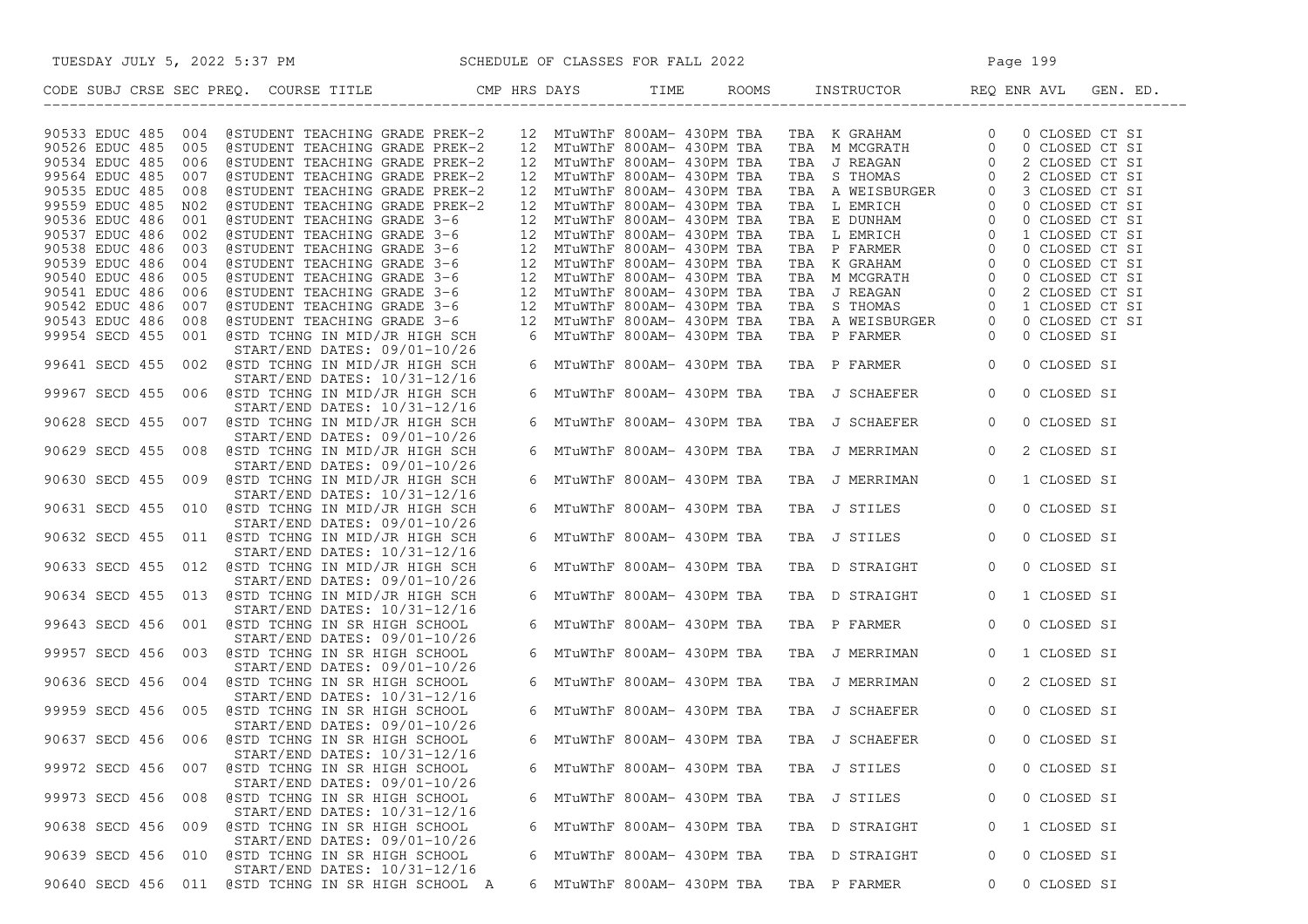| TUESDAY JULY 5, 2022 5:37 PM SCHEDULE OF CLASSES FOR FALL 2022                                                       |    |                                                            |  |                                                                                                                   | Page 199       |                                  |  |
|----------------------------------------------------------------------------------------------------------------------|----|------------------------------------------------------------|--|-------------------------------------------------------------------------------------------------------------------|----------------|----------------------------------|--|
|                                                                                                                      |    |                                                            |  |                                                                                                                   |                |                                  |  |
| 90533 EDUC 485 004<br>@STUDENT TEACHING GRADE PREK-2                                                                 |    | 12 MTuWThF 800AM- 430PM TBA                                |  | TBA K GRAHAM 0<br>TBA M MCGRATH 0<br>TBA J REAGAN 0<br>TBA S THOMAS 0<br>TBA A WEISBURGER 0<br>TBA A WEISBURGER 0 |                | 0 CLOSED CT SI                   |  |
| 90526 EDUC 485 005<br>@STUDENT TEACHING GRADE PREK-2                                                                 |    | 12 MTuWThF 800AM- 430PM TBA                                |  |                                                                                                                   |                | 0 CLOSED CT SI                   |  |
| 90534 EDUC 485 006<br>@STUDENT TEACHING GRADE PREK-2                                                                 |    | 12 MTuWThF 800AM- 430PM TBA                                |  |                                                                                                                   |                | 2 CLOSED CT SI                   |  |
| 99564 EDUC 485 007<br>@STUDENT TEACHING GRADE PREK-2                                                                 |    | 12 MTuWThF 800AM- 430PM TBA                                |  |                                                                                                                   |                | 2 CLOSED CT SI                   |  |
| 90535 EDUC 485<br>@STUDENT TEACHING GRADE PREK-2<br>008                                                              |    | 12 MTuWThF 800AM- 430PM TBA                                |  |                                                                                                                   |                | 3 CLOSED CT SI                   |  |
| 99559 EDUC 485<br>N02<br>@STUDENT TEACHING GRADE PREK-2                                                              | 12 | MTuWThF 800AM- 430PM TBA                                   |  |                                                                                                                   |                | 0 CLOSED CT SI                   |  |
| 90536 EDUC 486 001<br>@STUDENT TEACHING GRADE 3-6                                                                    |    | 12 MTuWThF 800AM- 430PM TBA                                |  | TBA L EMRICH<br>TBA E DUNHAM<br>TBA L EMRICH<br>TBA P FARMER<br>0                                                 |                | 0 CLOSED CT SI                   |  |
| 90537 EDUC 486<br>@STUDENT TEACHING GRADE 3-6<br>002<br>90538 EDUC 486 003<br>@STUDENT TEACHING GRADE 3-6            |    | 12 MTuWThF 800AM- 430PM TBA                                |  |                                                                                                                   |                | 1 CLOSED CT SI                   |  |
| 90539 EDUC 486<br>004<br>@STUDENT TEACHING GRADE 3-6                                                                 |    | 12 MTuWThF 800AM- 430PM TBA<br>12 MTuWThF 800AM- 430PM TBA |  |                                                                                                                   | $\overline{0}$ | 0 CLOSED CT SI<br>0 CLOSED CT SI |  |
| 90540 EDUC 486<br>005<br>@STUDENT TEACHING GRADE 3-6                                                                 |    | 12 MTuWThF 800AM- 430PM TBA                                |  |                                                                                                                   | $\overline{0}$ | 0 CLOSED CT SI                   |  |
| @STUDENT TEACHING GRADE 3-6<br>90541 EDUC 486 006                                                                    |    | 12 MTuWThF 800AM- 430PM TBA                                |  | TBA K GRAHAM<br>TBA M MCGRATH<br>TBA J REAGAN                                                                     | $\Omega$       | 2 CLOSED CT SI                   |  |
| 90542 EDUC 486 007<br>@STUDENT TEACHING GRADE 3-6                                                                    |    | 12 MTuWThF 800AM- 430PM TBA                                |  | TBA S THOMAS                                                                                                      | $\circ$        | 1 CLOSED CT SI                   |  |
| 90543 EDUC 486 008<br>@STUDENT TEACHING GRADE 3-6                                                                    |    | 12 MTuWThF 800AM- 430PM TBA                                |  | TBA A WEISBURGER                                                                                                  | $\overline{0}$ | 0 CLOSED CT SI                   |  |
| 99954 SECD 455<br>001 @STD TCHNG IN MID/JR HIGH SCH                                                                  |    | 6 MTuWThF 800AM- 430PM TBA                                 |  | TBA P FARMER                                                                                                      | $\overline{0}$ | 0 CLOSED SI                      |  |
| START/END DATES: 09/01-10/26                                                                                         |    |                                                            |  |                                                                                                                   |                |                                  |  |
| 99641 SECD 455 002 @STD TCHNG IN MID/JR HIGH SCH<br>$START/END$ DATES: $10/31-12/16$                                 |    | 6 MTuWThF 800AM- 430PM TBA                                 |  | TBA P FARMER                                                                                                      | $\overline{0}$ | 0 CLOSED SI                      |  |
| 99967 SECD 455 006 @STD TCHNG IN MID/JR HIGH SCH<br>START/END DATES: 10/31-12/16                                     |    | 6 MTuWThF 800AM- 430PM TBA                                 |  | TBA J SCHAEFER                                                                                                    | $\overline{0}$ | 0 CLOSED SI                      |  |
| 90628 SECD 455 007 @STD TCHNG IN MID/JR HIGH SCH<br>START/END DATES: 09/01-10/26                                     |    | 6 MTuWThF 800AM- 430PM TBA                                 |  | TBA J SCHAEFER                                                                                                    | $\circ$        | 0 CLOSED SI                      |  |
| 90629 SECD 455 008 @STD TCHNG IN MID/JR HIGH SCH<br>START/END DATES: 09/01-10/26                                     |    | 6 MTuWThF 800AM- 430PM TBA                                 |  | TBA J MERRIMAN                                                                                                    | $\mathbf{0}$   | 2 CLOSED SI                      |  |
| 90630 SECD 455 009 @STD TCHNG IN MID/JR HIGH SCH<br>START/END DATES: 10/31-12/16                                     |    | 6 MTuWThF 800AM- 430PM TBA                                 |  | TBA J MERRIMAN                                                                                                    | $\overline{0}$ | 1 CLOSED SI                      |  |
| 90631 SECD 455 010 @STD TCHNG IN MID/JR HIGH SCH<br>$START/END$ DATES: $09/01-10/26$                                 |    | 6 MTuWThF 800AM- 430PM TBA                                 |  | TBA J STILES                                                                                                      | $\overline{0}$ | 0 CLOSED SI                      |  |
| 90632 SECD 455 011 @STD TCHNG IN MID/JR HIGH SCH<br>START/END DATES: 10/31-12/16                                     |    | 6 MTuWThF 800AM- 430PM TBA                                 |  | TBA J STILES                                                                                                      | $\overline{0}$ | 0 CLOSED SI                      |  |
| 90633 SECD 455 012 @STD TCHNG IN MID/JR HIGH SCH                                                                     |    | 6 MTuWThF 800AM- 430PM TBA                                 |  | TBA D STRAIGHT                                                                                                    | $\overline{0}$ | 0 CLOSED SI                      |  |
| START/END DATES: 09/01-10/26<br>90634 SECD 455 013 @STD TCHNG IN MID/JR HIGH SCH<br>$START/END$ DATES: $10/31-12/16$ |    | 6 MTuWThF 800AM- 430PM TBA                                 |  | TBA D STRAIGHT                                                                                                    | $\overline{0}$ | 1 CLOSED SI                      |  |
| 99643 SECD 456 001 @STD TCHNG IN SR HIGH SCHOOL<br>START/END DATES: 09/01-10/26                                      |    | 6 MTuWThF 800AM- 430PM TBA                                 |  | TBA P FARMER                                                                                                      | $\overline{0}$ | 0 CLOSED SI                      |  |
| 99957 SECD 456 003 @STD TCHNG IN SR HIGH SCHOOL<br>$START/END$ DATES: $09/01-10/26$                                  |    | 6 MTuWThF 800AM- 430PM TBA                                 |  | TBA J MERRIMAN                                                                                                    | $\overline{0}$ | 1 CLOSED SI                      |  |
| 90636 SECD 456 004 @STD TCHNG IN SR HIGH SCHOOL<br>START/END DATES: 10/31-12/16                                      |    | 6 MTuWThF 800AM- 430PM TBA                                 |  | TBA J MERRIMAN                                                                                                    | $\overline{0}$ | 2 CLOSED SI                      |  |
| 99959 SECD 456 005 @STD TCHNG IN SR HIGH SCHOOL<br>START/END DATES: 09/01-10/26                                      |    | 6 MTuWThF 800AM- 430PM TBA                                 |  | TBA J SCHAEFER                                                                                                    | $\overline{0}$ | 0 CLOSED SI                      |  |
| 90637 SECD 456 006 @STD TCHNG IN SR HIGH SCHOOL<br>START/END DATES: 10/31-12/16                                      |    | 6 MTuWThF 800AM- 430PM TBA                                 |  | TBA J SCHAEFER                                                                                                    | $\circ$        | 0 CLOSED SI                      |  |
| 99972 SECD 456 007<br>@STD TCHNG IN SR HIGH SCHOOL<br>START/END DATES: 09/01-10/26                                   |    | 6 MTuWThF 800AM- 430PM TBA                                 |  | TBA J STILES                                                                                                      |                | 0 CLOSED SI                      |  |
| 99973 SECD 456 008 @STD TCHNG IN SR HIGH SCHOOL<br>START/END DATES: 10/31-12/16                                      |    | 6 MTuWThF 800AM- 430PM TBA                                 |  | TBA J STILES                                                                                                      | 0              | 0 CLOSED SI                      |  |
| 90638 SECD 456 009 @STD TCHNG IN SR HIGH SCHOOL<br>START/END DATES: 09/01-10/26                                      |    | 6 MTuWThF 800AM- 430PM TBA                                 |  | TBA D STRAIGHT                                                                                                    | 0              | 1 CLOSED SI                      |  |
| 90639 SECD 456 010 @STD TCHNG IN SR HIGH SCHOOL<br>START/END DATES: 10/31-12/16                                      |    | 6 MTuWThF 800AM- 430PM TBA                                 |  | TBA D STRAIGHT                                                                                                    | 0              | 0 CLOSED SI                      |  |
| 90640 SECD 456 011 @STD TCHNG IN SR HIGH SCHOOL A                                                                    |    | 6 MTuWThF 800AM- 430PM TBA                                 |  | TBA P FARMER                                                                                                      | 0              | 0 CLOSED SI                      |  |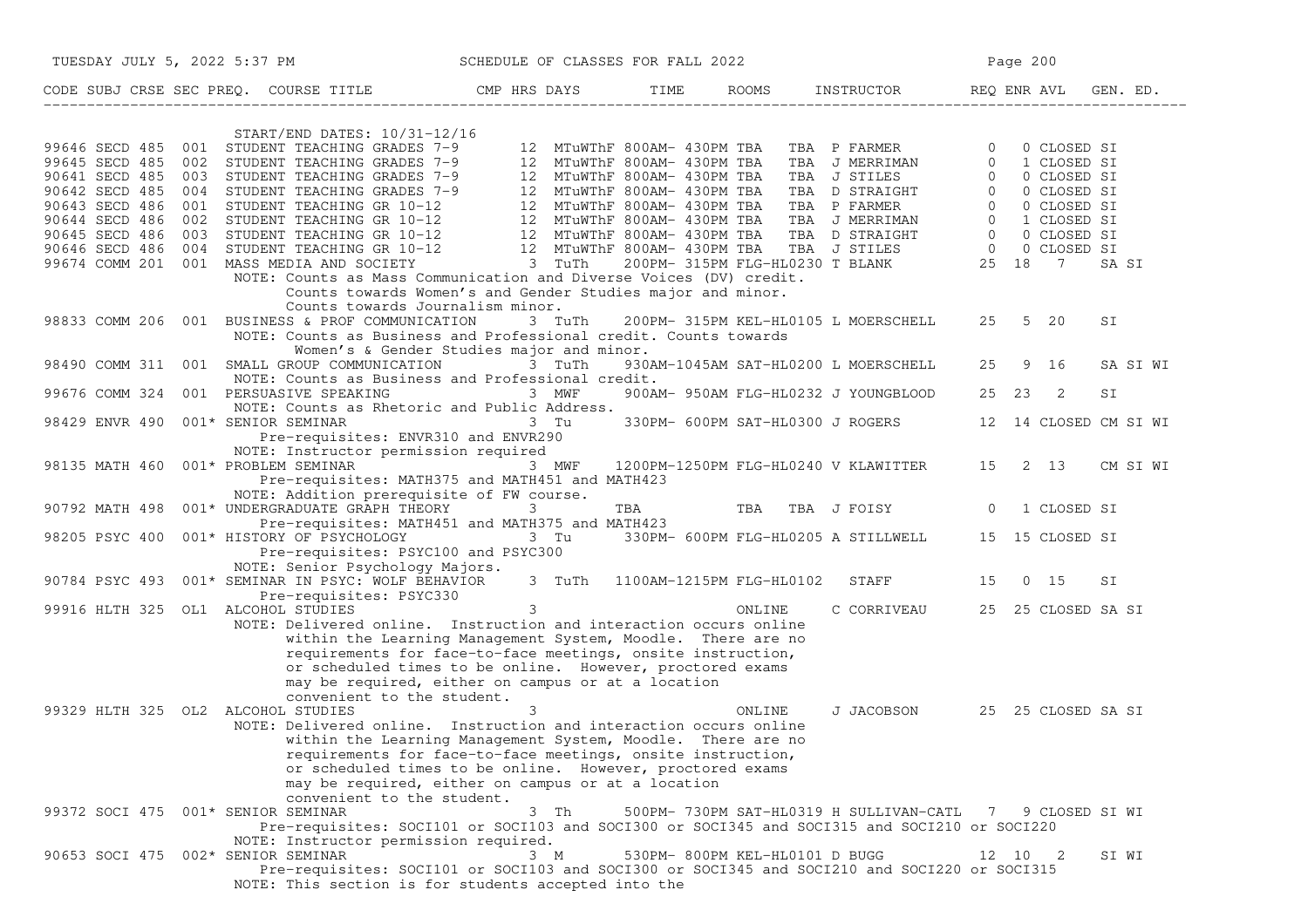|                                    | TUESDAY JULY 5, 2022 5:37 PM SCHEDULE OF CLASSES FOR FALL 2022                                                                                                                                                                                                                                                                                   |                                           |                                |                                                                                                                                                          | Page 200 |          |
|------------------------------------|--------------------------------------------------------------------------------------------------------------------------------------------------------------------------------------------------------------------------------------------------------------------------------------------------------------------------------------------------|-------------------------------------------|--------------------------------|----------------------------------------------------------------------------------------------------------------------------------------------------------|----------|----------|
|                                    | CODE SUBJ CRSE SEC PREQ. COURSE TITLE THE ROOMS INSTRUCTOR REQ ENR AVL GEN. ED.                                                                                                                                                                                                                                                                  |                                           |                                |                                                                                                                                                          |          |          |
|                                    | $START/END$ DATES: $10/31-12/16$                                                                                                                                                                                                                                                                                                                 |                                           |                                |                                                                                                                                                          |          |          |
|                                    |                                                                                                                                                                                                                                                                                                                                                  |                                           |                                |                                                                                                                                                          |          |          |
|                                    |                                                                                                                                                                                                                                                                                                                                                  |                                           |                                |                                                                                                                                                          |          |          |
|                                    |                                                                                                                                                                                                                                                                                                                                                  |                                           |                                |                                                                                                                                                          |          |          |
|                                    |                                                                                                                                                                                                                                                                                                                                                  |                                           |                                |                                                                                                                                                          |          | SA SI    |
|                                    | NOTE: Counts as Mass Communication and Diverse Voices (DV) credit.<br>Counts towards Women's and Gender Studies major and minor.                                                                                                                                                                                                                 |                                           |                                |                                                                                                                                                          |          |          |
|                                    | Counts towards Journalism minor.                                                                                                                                                                                                                                                                                                                 |                                           |                                |                                                                                                                                                          |          |          |
|                                    | 98833 COMM 206 001 BUSINESS & PROF COMMUNICATION<br>NOTE: Counts as Business and Professional credit. Counts towards                                                                                                                                                                                                                             | 3 TuTh                                    |                                | 200PM- 315PM KEL-HL0105 L MOERSCHELL 25 5 20                                                                                                             |          | SI       |
|                                    | 98490 COMM 311 001 SMALL GROUP COMMUNICATION 3 TuTh<br>NOTE: Counts as Business and Professional credit.                                                                                                                                                                                                                                         | Women's & Gender Studies major and minor. |                                | 930AM-1045AM SAT-HL0200 L MOERSCHELL 25 9 16                                                                                                             |          | SA SI WI |
| 99676 COMM 324                     | 001 PERSUASIVE SPEAKING 3 MWF<br>NOTE: Counts as Rhetoric and Public Address.                                                                                                                                                                                                                                                                    |                                           |                                | 900AM- 950AM FLG-HL0232 J YOUNGBLOOD 25 23 2                                                                                                             |          | SI       |
| 98429 ENVR 490                     | 001* SENIOR SEMINAR 3 Tu<br>Pre-requisites: ENVR310 and ENVR290                                                                                                                                                                                                                                                                                  |                                           |                                | 330PM- 600PM SAT-HL0300 J ROGERS 12 14 CLOSED CM SI WI                                                                                                   |          |          |
| 98135 MATH 460                     | NOTE: Instructor permission required<br>001* PROBLEM SEMINAR<br>Pre-requisites: MATH375 and MATH451 and MATH423                                                                                                                                                                                                                                  |                                           |                                | 3 MWF 1200PM-1250PM FLG-HL0240 V KLAWITTER 15 2 13 CM SI WI                                                                                              |          |          |
| 90792 MATH 498                     | NOTE: Addition prerequisite of FW course.<br>001* UNDERGRADUATE GRAPH THEORY                                                                                                                                                                                                                                                                     | $\mathcal{S}$                             |                                | TBA TBA TBA J FOISY 0 1 CLOSED SI                                                                                                                        |          |          |
|                                    | Pre-requisites: MATH451 and MATH375 and MATH423<br>98205 PSYC 400 001* HISTORY OF PSYCHOLOGY 3 Tu 330PM- 600PM FLG-HL0205 A STILLWELL 15 15 CLOSED SI<br>Pre-requisites: PSYC100 and PSYC300                                                                                                                                                     |                                           |                                |                                                                                                                                                          |          |          |
|                                    | NOTE: Senior Psychology Majors.<br>90784 PSYC 493 001* SEMINAR IN PSYC: WOLF BEHAVIOR 3 TuTh 1100AM-1215PM FLG-HL0102 STAFF 15 0 15                                                                                                                                                                                                              |                                           |                                |                                                                                                                                                          |          | SI       |
|                                    | Pre-requisites: PSYC330<br>99916 HLTH 325 OL1 ALCOHOL STUDIES 33                                                                                                                                                                                                                                                                                 |                                           |                                | C CORRIVEAU 25 25 CLOSED SA SI                                                                                                                           |          |          |
|                                    | NOTE: Delivered online. Instruction and interaction occurs online<br>within the Learning Management System, Moodle. There are no<br>requirements for face-to-face meetings, onsite instruction,<br>or scheduled times to be online. However, proctored exams<br>may be required, either on campus or at a location<br>convenient to the student. |                                           |                                |                                                                                                                                                          |          |          |
| 99329 HLTH 325 OL2 ALCOHOL STUDIES | NOTE: Delivered online. Instruction and interaction occurs online<br>within the Learning Management System, Moodle. There are no<br>requirements for face-to-face meetings, onsite instruction,<br>or scheduled times to be online. However, proctored exams<br>may be required, either on campus or at a location<br>convenient to the student. | 3                                         |                                | J JACOBSON 25 25 CLOSED SA SI<br>ONLINE                                                                                                                  |          |          |
| 99372 SOCI 475 001* SENIOR SEMINAR | NOTE: Instructor permission required.                                                                                                                                                                                                                                                                                                            | 3 Th                                      |                                | 500PM- 730PM SAT-HL0319 H SULLIVAN-CATL 7 9 CLOSED SI WI<br>Pre-requisites: SOCI101 or SOCI103 and SOCI300 or SOCI345 and SOCI315 and SOCI210 or SOCI220 |          |          |
| 90653 SOCI 475                     | 002* SENIOR SEMINAR<br>NOTE: This section is for students accepted into the                                                                                                                                                                                                                                                                      | 3 M                                       | 530PM- 800PM KEL-HL0101 D BUGG | Pre-requisites: SOCI101 or SOCI103 and SOCI300 or SOCI345 and SOCI210 and SOCI220 or SOCI315                                                             | 12 10 2  | SI WI    |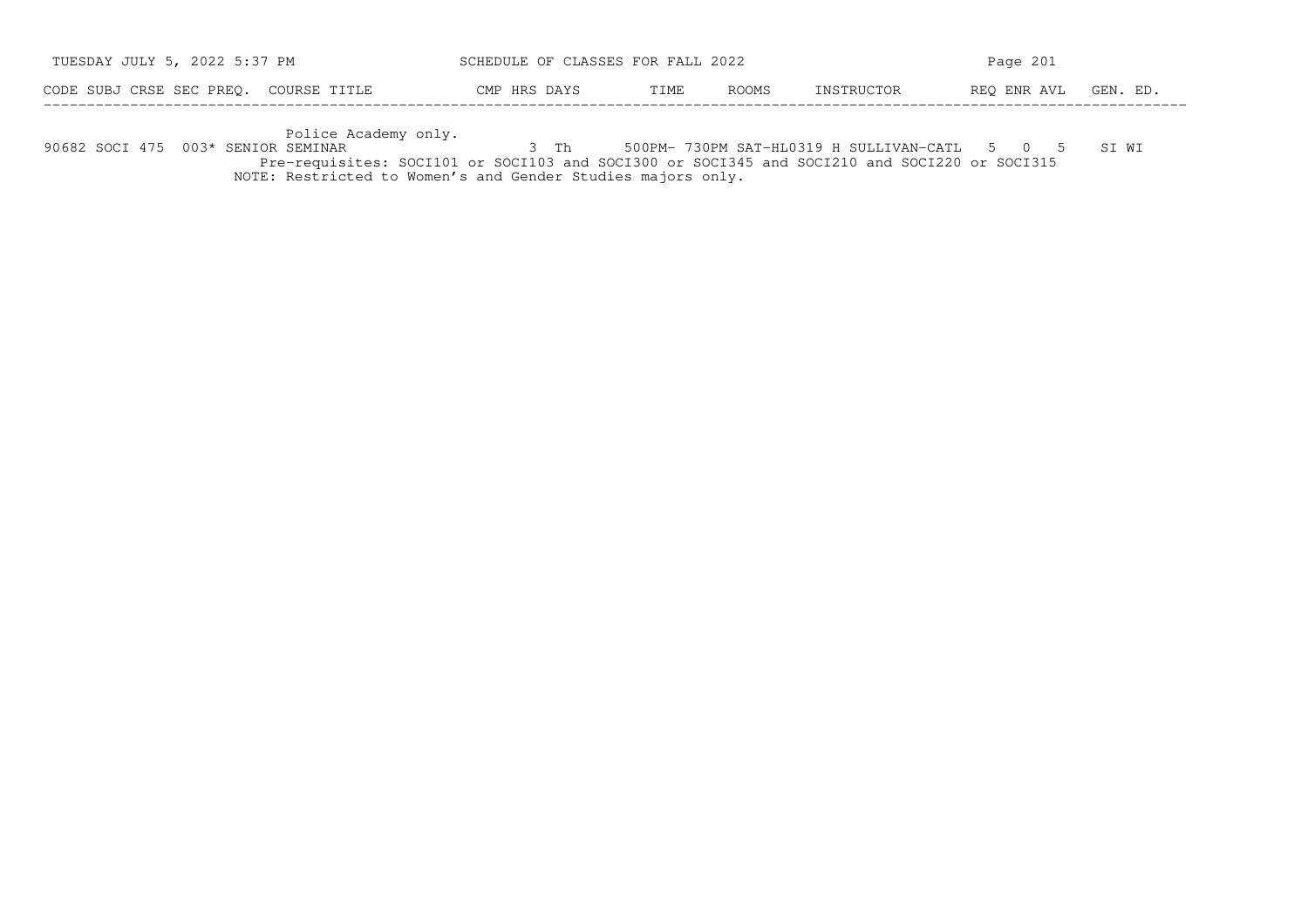| TUESDAY JULY 5, 2022 5:37 PM          | SCHEDULE OF CLASSES FOR FALL 2022 |       |              | Page $201$ |             |          |  |
|---------------------------------------|-----------------------------------|-------|--------------|------------|-------------|----------|--|
| CODE SUBJ CRSE SEC PREO. COURSE TITLE | CMP HRS DAYS                      | TTMF. | <b>ROOMS</b> | INSTRUCTOR | REO ENR AVL | GEN. ED. |  |

−−−−−−−−−−−−−−−−−−−−−−−−−−−−−−−−−−−−−−−−−−−−−−−−−−−−−−−−−−−−−−−−−−−−−−−−−−−−−−−−−−−−−−−−−−−−−−−−−−−−−−−−−−−−−−−−−−−−−−−−−−−−−−−−−−−− Police Academy only. 90682 SOCI 475 003\* SENIOR SEMINAR 3 Th 500PM− 730PM SAT−HL0319 H SULLIVAN−CATL 5 0 5 SI WI Pre−requisites: SOCI101 or SOCI103 and SOCI300 or SOCI345 and SOCI210 and SOCI220 or SOCI315NOTE: Restricted to Women's and Gender Studies majors only.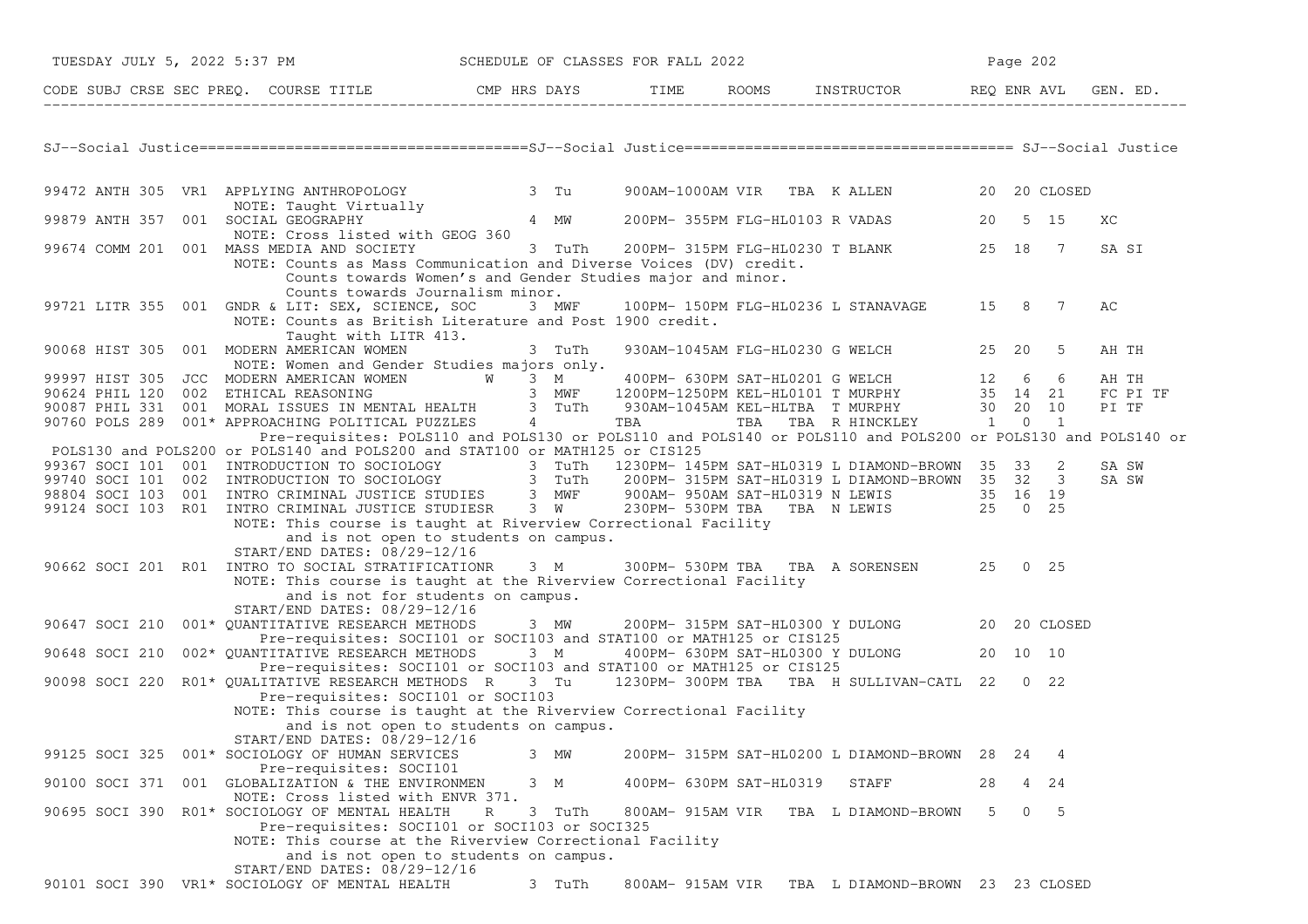|                | TUESDAY JULY 5, 2022 5:37 PM SCHEDULE OF CLASSES FOR FALL 2022                                                                                                                                                                         |             |                  |                         |                                                   | Page 202 |                       |          |
|----------------|----------------------------------------------------------------------------------------------------------------------------------------------------------------------------------------------------------------------------------------|-------------|------------------|-------------------------|---------------------------------------------------|----------|-----------------------|----------|
|                | CODE SUBJ CRSE SEC PREQ. COURSE TITLE CMP HRS DAYS TIME ROOMS INSTRUCTOR REQ ENR AVL GEN. ED.                                                                                                                                          |             |                  |                         |                                                   |          |                       |          |
|                |                                                                                                                                                                                                                                        |             |                  |                         |                                                   |          |                       |          |
|                |                                                                                                                                                                                                                                        |             |                  |                         |                                                   |          |                       |          |
|                | 99472 ANTH 305 VR1 APPLYING ANTHROPOLOGY 3 Tu                                                                                                                                                                                          |             |                  |                         | 900AM-1000AM VIR TBA KALLEN 20 20 CLOSED          |          |                       |          |
|                | NOTE: Taught Virtually<br>SOCIAL GEOGRAPHY                      4  MW        200PM- 355PM FLG-HL0103 R VADAS             20   5  15<br>99879 ANTH 357 001 SOCIAL GEOGRAPHY<br>NOTE: Cross listed with GEOG 360                         |             |                  |                         |                                                   |          |                       | ХC       |
|                | 99674 COMM 201 001 MASS MEDIA AND SOCIETY 3 TuTh 200PM-315PM FLG-HL0230 T BLANK 25 18 7<br>NOTE: Counts as Mass Communication and Diverse Voices (DV) credit.<br>Counts towards Women's and Gender Studies major and minor.            |             |                  |                         |                                                   |          |                       | SA SI    |
|                | Counts towards Journalism minor.<br>99721 LITR 355 001 GNDR & LIT: SEX, SCIENCE, SOC 3 MWF 100PM-150PM FLG-HL0236 L STANAVAGE 15 8 7<br>NOTE: Counts as British Literature and Post 1900 credit.<br>Taught with LITR 413.              |             |                  |                         |                                                   |          |                       | АC       |
|                | 90068 HIST 305 001 MODERN AMERICAN WOMEN 3 TuTh<br>NOTE: Women and Gender Studies majors only.                                                                                                                                         |             |                  |                         | 930AM-1045AM FLG-HL0230 G WELCH 25 20 5           |          |                       | AH TH    |
|                | 99997 HIST 305 JCC MODERN AMERICAN WOMEN WAS 3 M<br>90624 PHIL 120 002 ETHICAL REASONING 3 MWF 1200PM-1250PM KEL-HL0101 T MURPHY 35 14 21<br>90087 PHIL 331 001 MORAL ISSUES IN MENTAL HEALTH 3 TuTh 930AM-1045AM KEL-HLTBA T MURPHY   |             |                  |                         |                                                   |          |                       | AH TH    |
|                |                                                                                                                                                                                                                                        |             |                  |                         |                                                   |          |                       | FC PI TF |
|                |                                                                                                                                                                                                                                        |             |                  |                         |                                                   |          |                       | PI TF    |
|                |                                                                                                                                                                                                                                        |             |                  |                         |                                                   |          |                       |          |
|                | Pre-requisites: POLS110 and POLS130 or POLS110 and POLS140 or POLS110 and POLS200 or POLS130 and POLS140 or                                                                                                                            |             |                  |                         |                                                   |          |                       |          |
|                | POLS130 and POLS200 or POLS140 and POLS200 and STAT100 or MATH125 or CIS125                                                                                                                                                            |             |                  |                         |                                                   |          |                       |          |
|                |                                                                                                                                                                                                                                        |             |                  |                         |                                                   |          |                       | SA SW    |
|                |                                                                                                                                                                                                                                        |             |                  |                         |                                                   |          |                       | SA SW    |
|                | 99367 SOCI 101 001 INTRODUCTION TO SOCIOLOGY<br>99740 SOCI 101 002 INTRODUCTION TO SOCIOLOGY<br>99740 SOCI 101 002 INTRODUCTION TO SOCIOLOGY<br>98804 SOCI 103 001 INTRO CRIMINAL JUSTICE STUDIES<br>99124 SOCI 103 R01 INTRO CRIMINAL |             |                  |                         |                                                   |          |                       |          |
|                | NOTE: This course is taught at Riverview Correctional Facility                                                                                                                                                                         |             |                  |                         |                                                   |          |                       |          |
|                | and is not open to students on campus.                                                                                                                                                                                                 |             |                  |                         |                                                   |          |                       |          |
|                | START/END DATES: 08/29-12/16                                                                                                                                                                                                           |             |                  |                         |                                                   |          |                       |          |
|                | 90662 SOCI 201 R01 INTRO TO SOCIAL STRATIFICATIONR 3 M 300PM-530PM TBA TBA A SORENSEN 25 0 25                                                                                                                                          |             |                  |                         |                                                   |          |                       |          |
|                | NOTE: This course is taught at the Riverview Correctional Facility                                                                                                                                                                     |             |                  |                         |                                                   |          |                       |          |
|                | and is not for students on campus.                                                                                                                                                                                                     |             |                  |                         |                                                   |          |                       |          |
|                | START/END DATES: 08/29-12/16                                                                                                                                                                                                           |             |                  |                         |                                                   |          |                       |          |
|                | 90647 SOCI 210 001* QUANTITATIVE RESEARCH METHODS 3 MW 200PM-315PM SAT-HL0300 Y DULONG 20 20 CLOSED                                                                                                                                    |             |                  |                         |                                                   |          |                       |          |
|                | Pre-requisites: SOCI101 or SOCI103 and STAT100 or MATH125 or CIS125                                                                                                                                                                    |             |                  |                         |                                                   |          |                       |          |
|                | 90648 SOCI 210 002* QUANTITATIVE RESEARCH METHODS 3 M                                                                                                                                                                                  |             |                  |                         | 400PM- 630PM SAT-HL0300 Y DULONG 20 10 10         |          |                       |          |
|                | Pre-requisites: SOCI101 or SOCI103 and STAT100 or MATH125 or CIS125                                                                                                                                                                    |             |                  |                         |                                                   |          |                       |          |
|                | 90098 SOCI 220 R01* QUALITATIVE RESEARCH METHODS R 3 Tu 1230PM-300PM TBA TBA H SULLIVAN-CATL 22 0 22                                                                                                                                   |             |                  |                         |                                                   |          |                       |          |
|                | Pre-requisites: SOCI101 or SOCI103                                                                                                                                                                                                     |             |                  |                         |                                                   |          |                       |          |
|                | NOTE: This course is taught at the Riverview Correctional Facility<br>and is not open to students on campus.                                                                                                                           |             |                  |                         |                                                   |          |                       |          |
|                | START/END DATES: 08/29-12/16                                                                                                                                                                                                           |             |                  |                         |                                                   |          |                       |          |
| 99125 SOCI 325 | 001* SOCIOLOGY OF HUMAN SERVICES                                                                                                                                                                                                       | 3 MW        |                  |                         | 200PM- 315PM SAT-HL0200 L DIAMOND-BROWN 28        | 24       | 4                     |          |
|                | Pre-requisites: SOCI101                                                                                                                                                                                                                |             |                  |                         |                                                   |          |                       |          |
|                | 90100 SOCI 371 001 GLOBALIZATION & THE ENVIRONMEN                                                                                                                                                                                      | 3 M         |                  | 400PM- 630PM SAT-HL0319 | STAFF                                             | 28       | $4 \t24$              |          |
|                | NOTE: Cross listed with ENVR 371.                                                                                                                                                                                                      |             |                  |                         |                                                   |          |                       |          |
|                | 90695 SOCI 390 R01* SOCIOLOGY OF MENTAL HEALTH                                                                                                                                                                                         | R<br>3 TuTh | 800AM- 915AM VIR |                         | TBA L DIAMOND-BROWN                               | 5.       | $\overline{0}$<br>- 5 |          |
|                | Pre-requisites: SOCI101 or SOCI103 or SOCI325                                                                                                                                                                                          |             |                  |                         |                                                   |          |                       |          |
|                | NOTE: This course at the Riverview Correctional Facility                                                                                                                                                                               |             |                  |                         |                                                   |          |                       |          |
|                | and is not open to students on campus.                                                                                                                                                                                                 |             |                  |                         |                                                   |          |                       |          |
|                | START/END DATES: 08/29-12/16                                                                                                                                                                                                           |             |                  |                         |                                                   |          |                       |          |
|                | 90101 SOCI 390 VR1* SOCIOLOGY OF MENTAL HEALTH                                                                                                                                                                                         | 3 TuTh      |                  |                         | 800AM- 915AM VIR TBA L DIAMOND-BROWN 23 23 CLOSED |          |                       |          |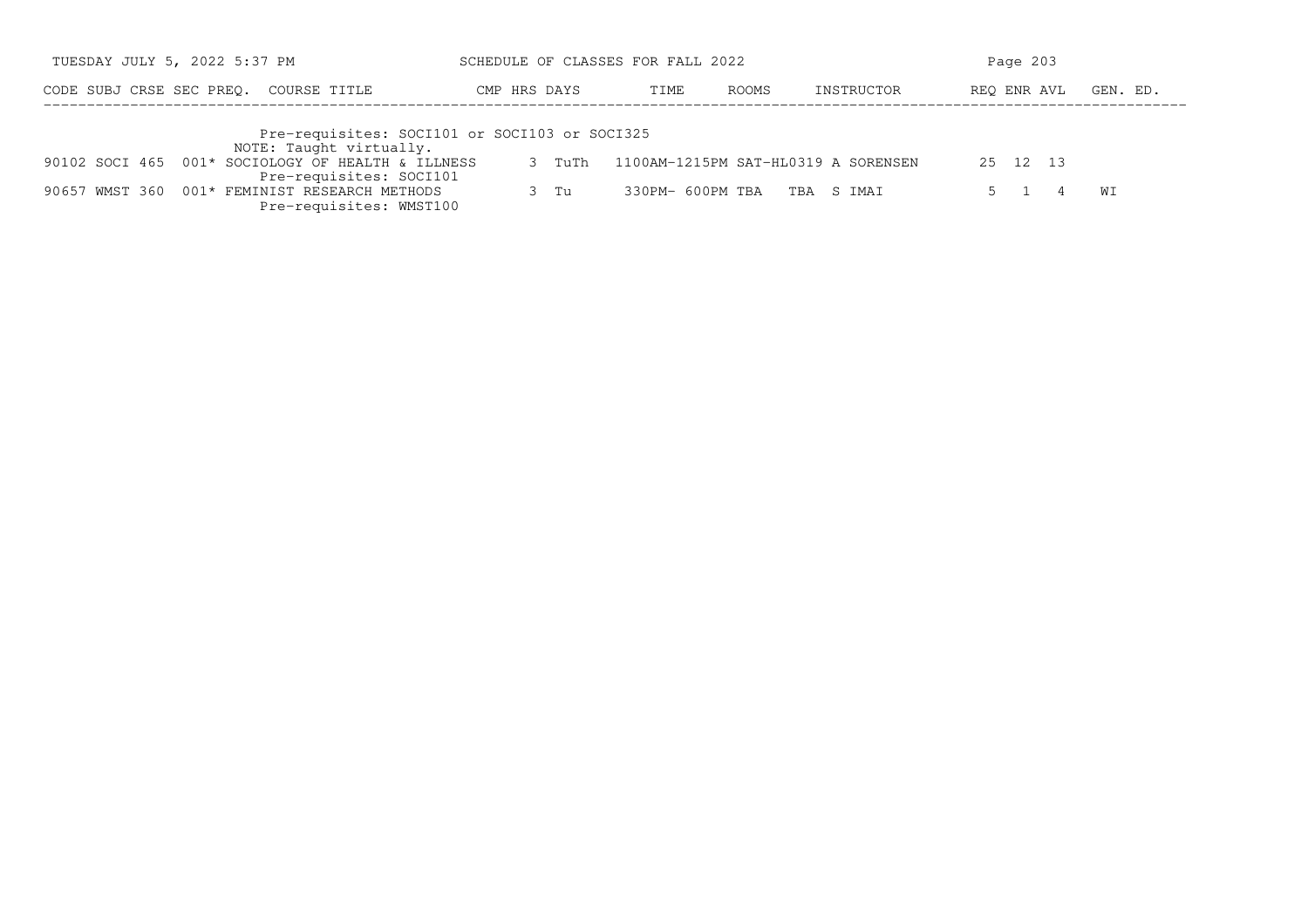| TUESDAY JULY 5, 2022 5:37 PM |                                                                              | SCHEDULE OF CLASSES FOR FALL 2022 |                  |                                     | Page 203    |          |
|------------------------------|------------------------------------------------------------------------------|-----------------------------------|------------------|-------------------------------------|-------------|----------|
| CODE SUBJ CRSE SEC PREO.     | COURSE TITLE                                                                 | CMP HRS DAYS                      | TIME             | ROOMS<br>INSTRUCTOR                 | REO ENR AVL | GEN. ED. |
|                              | Pre-requisites: SOCI101 or SOCI103 or SOCI325<br>NOTE: Taught virtually.     |                                   |                  |                                     |             |          |
|                              | 90102 SOCI 465 001* SOCIOLOGY OF HEALTH & ILLNESS<br>Pre-requisites: SOCI101 | $3$ TuTh                          |                  | 1100AM-1215PM SAT-HL0319 A SORENSEN | 25 12 13    |          |
|                              | 90657 WMST 360 001* FEMINIST RESEARCH METHODS<br>Pre-requisites: WMST100     | $3$ Tu                            | 330PM- 600PM TBA | TBA S IMAI                          |             | WΙ       |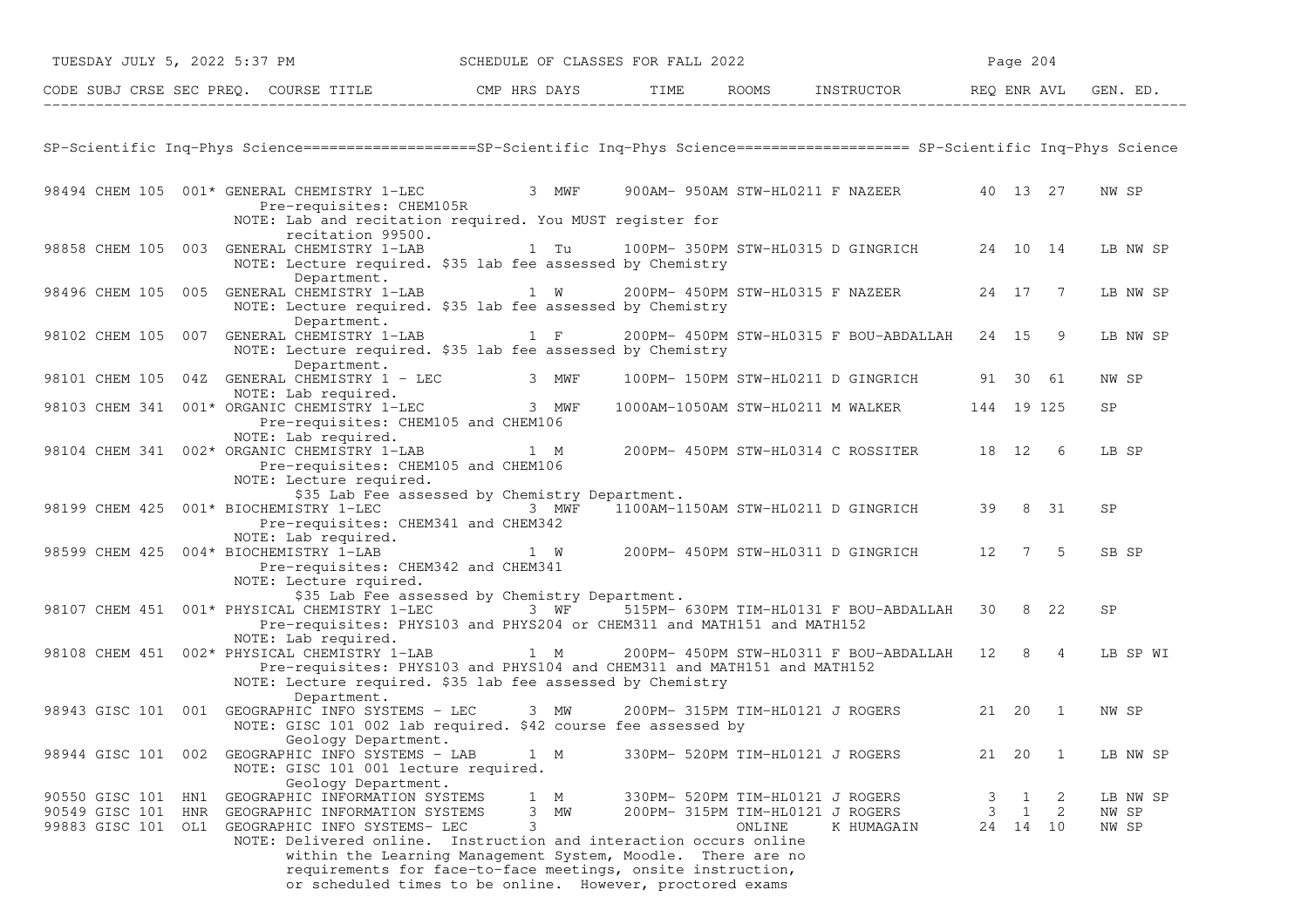| TUESDAY JULY 5, 2022 5:37 PM SCHEDULE OF CLASSES FOR FALL 2022                                                                                                                                                                                                 |                                                                                                                                                                                                                |        |                                                                                    |        | Page 204                                                                                 |                            |
|----------------------------------------------------------------------------------------------------------------------------------------------------------------------------------------------------------------------------------------------------------------|----------------------------------------------------------------------------------------------------------------------------------------------------------------------------------------------------------------|--------|------------------------------------------------------------------------------------|--------|------------------------------------------------------------------------------------------|----------------------------|
| CODE SUBJ CRSE SEC PREQ. COURSE TITLE THE THE THE ROOMS INSTRUCTOR THE REQ ENR AVL GEN. ED.                                                                                                                                                                    |                                                                                                                                                                                                                |        |                                                                                    |        |                                                                                          |                            |
| SP-Scientific Inq-Phys Science==================SP-Scientific Inq-Phys Science==================== SP-Scientific Inq-Phys Science                                                                                                                              |                                                                                                                                                                                                                |        |                                                                                    |        |                                                                                          |                            |
| 98494 CHEM 105 001* GENERAL CHEMISTRY 1-LEC 3 MWF 900AM-950AM STW-HL0211 F NAZEER 40 13 27<br>Pre-requisites: CHEM105R<br>NOTE: Lab and recitation required. You MUST register for                                                                             |                                                                                                                                                                                                                |        |                                                                                    |        |                                                                                          | NW SP                      |
| recitation 99500.<br>98858 CHEM 105 003 GENERAL CHEMISTRY 1-LAB<br>NOTE: Lecture required. \$35 lab fee assessed by Chemistry<br>Department.                                                                                                                   |                                                                                                                                                                                                                |        |                                                                                    |        |                                                                                          | LB NW SP                   |
| 98496 CHEM 105 005 GENERAL CHEMISTRY 1-LAB<br>NOTE: Lecture required. \$35 lab fee assessed by Chemistry                                                                                                                                                       | 1 W 200PM-450PM STW-HL0315 F NAZEER 24 17 7                                                                                                                                                                    |        |                                                                                    |        |                                                                                          | LB NW SP                   |
| Department.<br>98102 CHEM 105 007 GENERAL CHEMISTRY 1-LAB 1 F<br>NOTE: Lecture required. \$35 lab fee assessed by Chemistry                                                                                                                                    |                                                                                                                                                                                                                |        | 200PM- 450PM STW-HL0315 F BOU-ABDALLAH 24 15 9                                     |        |                                                                                          | LB NW SP                   |
| Department.<br>98101 CHEM 105 04Z GENERAL CHEMISTRY 1 - LEC 3 MWF                                                                                                                                                                                              |                                                                                                                                                                                                                |        | 100PM- 150PM STW-HL0211 D GINGRICH 91 30 61                                        |        |                                                                                          | NW SP                      |
| NOTE: Lab required.<br>98103 CHEM 341 001* ORGANIC CHEMISTRY 1-LEC 3 MWF<br>Pre-requisites: CHEM105 and CHEM106                                                                                                                                                |                                                                                                                                                                                                                |        | 1000AM-1050AM STW-HL0211 M WALKER 144 19 125                                       |        |                                                                                          | <b>SP</b>                  |
| NOTE: Lab required.<br>98104 CHEM 341 002* ORGANIC CHEMISTRY 1-LAB 1 M 200PM-450PM STW-HL0314 C ROSSITER 18 12 6<br>Pre-requisites: CHEM105 and CHEM106<br>NOTE: Lecture required.                                                                             |                                                                                                                                                                                                                |        |                                                                                    |        |                                                                                          | LB SP                      |
| 98199 CHEM 425 001* BIOCHEMISTRY 1-LEC<br>Pre-requisites: CHEM341 and CHEM342                                                                                                                                                                                  | \$35 Lab Fee assessed by Chemistry Department.                                                                                                                                                                 |        | 3 MWF 1100AM-1150AM STW-HL0211 D GINGRICH                                          |        | 39 8 31                                                                                  | SP                         |
| NOTE: Lab required.<br>98599 CHEM 425 004* BIOCHEMISTRY 1-LAB<br>Pre-requisites: CHEM342 and CHEM341<br>NOTE: Lecture rquired.                                                                                                                                 |                                                                                                                                                                                                                |        | 1 W 200PM-450PM STW-HL0311 D GINGRICH 12 7 5                                       |        |                                                                                          | SB SP                      |
| 98107 CHEM 451 001* PHYSICAL CHEMISTRY 1-LEC 3 WF 515PM- 630PM TIM-HL0131 F BOU-ABDALLAH 30 8 22<br>Pre-requisites: PHYS103 and PHYS204 or CHEM311 and MATH151 and MATH152                                                                                     | \$35 Lab Fee assessed by Chemistry Department.                                                                                                                                                                 |        |                                                                                    |        |                                                                                          | <b>SP</b>                  |
| NOTE: Lab required.<br>98108 CHEM 451 002* PHYSICAL CHEMISTRY 1-LAB 1 M 200PM- 450PM STW-HL0311 F BOU-ABDALLAH 12 8 4<br>Pre-requisites: PHYS103 and PHYS104 and CHEM311 and MATH151 and MATH152<br>NOTE: Lecture required. \$35 lab fee assessed by Chemistry |                                                                                                                                                                                                                |        |                                                                                    |        |                                                                                          | LB SP WI                   |
| Department.<br>98943 GISC 101 001 GEOGRAPHIC INFO SYSTEMS - LEC 3 MW 200PM-315PM TIM-HL0121 J ROGERS 21 20 1<br>NOTE: GISC 101 002 lab required. \$42 course fee assessed by                                                                                   |                                                                                                                                                                                                                |        |                                                                                    |        |                                                                                          | NW SP                      |
| Geology Department.<br>98944 GISC 101 002 GEOGRAPHIC INFO SYSTEMS - LAB<br>NOTE: GISC 101 001 lecture required.                                                                                                                                                | 1 M                                                                                                                                                                                                            |        | 330PM- 520PM TIM-HL0121 J ROGERS                                                   | 21 20  | $\overline{1}$                                                                           | LB NW SP                   |
| Geology Department.<br>90550 GISC 101 HN1 GEOGRAPHIC INFORMATION SYSTEMS<br>90549 GISC 101 HNR GEOGRAPHIC INFORMATION SYSTEMS<br>99883 GISC 101 OL1 GEOGRAPHIC INFO SYSTEMS- LEC<br>NOTE: Delivered online. Instruction and interaction occurs online          | 1 M<br>3<br>МW<br>3<br>within the Learning Management System, Moodle. There are no<br>requirements for face-to-face meetings, onsite instruction,<br>or scheduled times to be online. However, proctored exams | ONLINE | 330PM- 520PM TIM-HL0121 J ROGERS<br>200PM- 315PM TIM-HL0121 J ROGERS<br>K HUMAGAIN | 3<br>3 | $\mathbf{1}$<br>$\overline{\phantom{0}}^2$<br>$\mathbf{1}$<br>$\overline{2}$<br>24 14 10 | LB NW SP<br>NW SP<br>NW SP |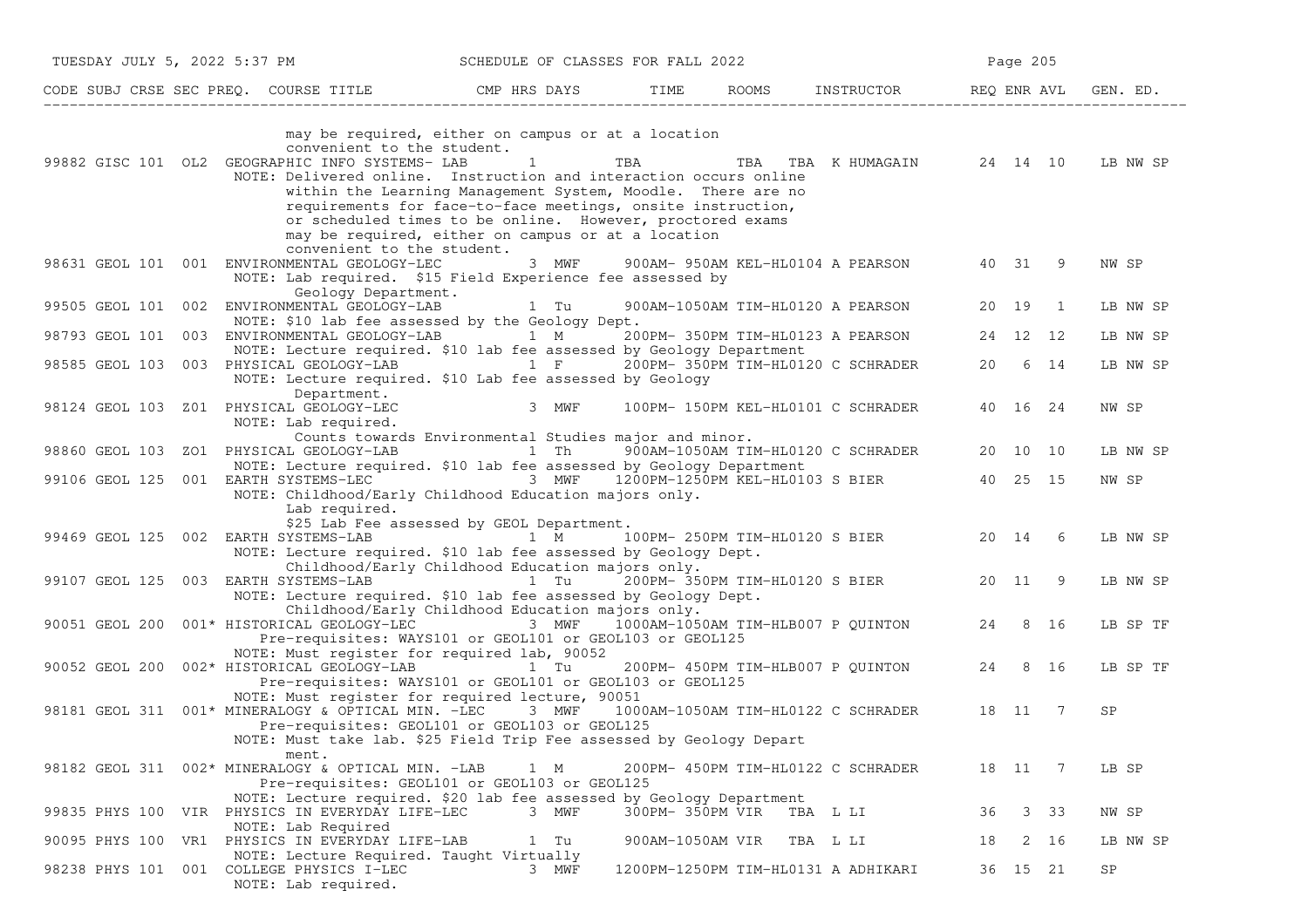| TUESDAY JULY 5, 2022 5:37 PM                                                                                                                                                                                                        | SCHEDULE OF CLASSES FOR FALL 2022                                                                                                                                                                                                                                                                        |                  |                                            | Page 205                |          |
|-------------------------------------------------------------------------------------------------------------------------------------------------------------------------------------------------------------------------------------|----------------------------------------------------------------------------------------------------------------------------------------------------------------------------------------------------------------------------------------------------------------------------------------------------------|------------------|--------------------------------------------|-------------------------|----------|
| CODE SUBJ CRSE SEC PREQ. COURSE TITLE THE CMP HRS DAYS TIME ROOMS INSTRUCTOR REQ ENR AVL GE THE SECTION AND SE                                                                                                                      |                                                                                                                                                                                                                                                                                                          |                  |                                            |                         | GEN. ED. |
| convenient to the student.<br>99882 GISC 101 OL2 GEOGRAPHIC INFO SYSTEMS- LAB<br>NOTE: Delivered online. Instruction and interaction occurs online                                                                                  | may be required, either on campus or at a location<br>1<br>within the Learning Management System, Moodle. There are no<br>requirements for face-to-face meetings, onsite instruction,<br>or scheduled times to be online. However, proctored exams<br>may be required, either on campus or at a location | TBA              | TBA TBA KHUMAGAIN 24 14 10                 |                         | LB NW SP |
| convenient to the student.<br>98631 GEOL 101 001 ENVIRONMENTAL GEOLOGY-LEC<br>NOTE: Lab required. \$15 Field Experience fee assessed by<br>Geology Department.                                                                      | 3 MWF                                                                                                                                                                                                                                                                                                    |                  | 900AM- 950AM KEL-HL0104 A PEARSON 40 31 9  |                         | NW SP    |
| 99505 GEOL 101 002 ENVIRONMENTAL GEOLOGY-LAB<br>NOTE: \$10 lab fee assessed by the Geology Dept.                                                                                                                                    | 1 Tu                                                                                                                                                                                                                                                                                                     |                  | 900AM-1050AM TIM-HL0120 A PEARSON          | 20 19<br>$\overline{1}$ | LB NW SP |
| 98793 GEOL 101 003 ENVIRONMENTAL GEOLOGY-LAB 1 M                                                                                                                                                                                    |                                                                                                                                                                                                                                                                                                          |                  | 200PM- 350PM TIM-HL0123 A PEARSON          | 24 12 12                | LB NW SP |
| NOTE: Lecture required. \$10 lab fee assessed by Geology Department<br>98585 GEOL 103 003 PHYSICAL GEOLOGY-LAB 1 F<br>NOTE: Lecture required. \$10 Lab fee assessed by Geology                                                      |                                                                                                                                                                                                                                                                                                          |                  | 200PM- 350PM TIM-HL0120 C SCHRADER         | 20 6 14                 | LB NW SP |
| Department.<br>98124 GEOL 103 Z01 PHYSICAL GEOLOGY-LEC<br>NOTE: Lab required.                                                                                                                                                       | 3 MWF                                                                                                                                                                                                                                                                                                    |                  | 100PM- 150PM KEL-HL0101 C SCHRADER         | 40 16 24                | NW SP    |
| 98860 GEOL 103 ZO1 PHYSICAL GEOLOGY-LAB 1 Th 900AM-1050AM TIM-HL0120 C SCHRADER<br>NOTE: Lecture required. \$10 lab fee assessed by Geology Department                                                                              | Counts towards Environmental Studies major and minor.                                                                                                                                                                                                                                                    |                  |                                            | 20 10 10                | LB NW SP |
| 99106 GEOL 125 001 EARTH SYSTEMS-LEC 3 MWF 1200PM-1250PM KEL-HL0103 S BIER 40 25 15<br>NOTE: Childhood/Early Childhood Education majors only.<br>Lab required.                                                                      |                                                                                                                                                                                                                                                                                                          |                  |                                            |                         | NW SP    |
| 99469 GEOL 125 002 EARTH SYSTEMS-LAB 1 M 100PM-250PM TIM-HL0120 S BIER 20 14 6<br>NOTE: Lecture required. \$10 lab fee assessed by Geology Dept.                                                                                    | \$25 Lab Fee assessed by GEOL Department.<br>Childhood/Early Childhood Education majors only.                                                                                                                                                                                                            |                  |                                            |                         | LB NW SP |
| 99107 GEOL 125 003 EARTH SYSTEMS-LAB<br>NOTE: Lecture required. \$10 lab fee assessed by Geology Dept.                                                                                                                              | Childhood/Early Childhood Education majors only.                                                                                                                                                                                                                                                         |                  | 1 Tu 200PM-350PM TIM-HL0120 S BIER 20 11 9 |                         | LB NW SP |
| 90051 GEOL 200 001* HISTORICAL GEOLOGY-LEC<br>Pre-requisites: WAYS101 or GEOL101 or GEOL103 or GEOL125                                                                                                                              | 3 MWF                                                                                                                                                                                                                                                                                                    |                  | 1000AM-1050AM TIM-HLB007 P QUINTON 24 8 16 |                         | LB SP TF |
| NOTE: Must register for required lab, 90052<br>90052 GEOL 200 002* HISTORICAL GEOLOGY-LAB 1 Tu 200PM-450PM TIM-HLB007 P QUINTON<br>Pre-requisites: WAYS101 or GEOL101 or GEOL103 or GEOL125                                         |                                                                                                                                                                                                                                                                                                          |                  |                                            | 24 8 16                 | LB SP TF |
| NOTE: Must register for required lecture, 90051<br>98181 GEOL 311 001* MINERALOGY & OPTICAL MIN. -LEC 3 MWF<br>Pre-requisites: GEOL101 or GEOL103 or GEOL125<br>NOTE: Must take lab. \$25 Field Trip Fee assessed by Geology Depart |                                                                                                                                                                                                                                                                                                          |                  | 1000AM-1050AM TIM-HL0122 C SCHRADER 18 11  | 7                       | SP       |
| ment.<br>98182 GEOL 311 002* MINERALOGY & OPTICAL MIN. -LAB<br>Pre-requisites: GEOL101 or GEOL103 or GEOL125                                                                                                                        | 1 M                                                                                                                                                                                                                                                                                                      |                  | 200PM- 450PM TIM-HL0122 C SCHRADER         | 18 11 7                 | LB SP    |
| NOTE: Lecture required. \$20 lab fee assessed by Geology Department<br>99835 PHYS 100 VIR PHYSICS IN EVERYDAY LIFE-LEC<br>NOTE: Lab Required                                                                                        | 3 MWF                                                                                                                                                                                                                                                                                                    | 300PM- 350PM VIR | TBA L LI                                   | 36<br>3 33              | NW SP    |
| 90095 PHYS 100 VR1 PHYSICS IN EVERYDAY LIFE-LAB                                                                                                                                                                                     | 1 Tu                                                                                                                                                                                                                                                                                                     | 900AM-1050AM VIR | TBA L LI                                   | $2 \t16$<br>18          | LB NW SP |
| NOTE: Lecture Required. Taught Virtually<br>98238 PHYS 101 001 COLLEGE PHYSICS I-LEC<br>NOTE: Lab required.                                                                                                                         | 3 MWF                                                                                                                                                                                                                                                                                                    |                  | 1200PM-1250PM TIM-HL0131 A ADHIKARI        | 36 15 21                | SP       |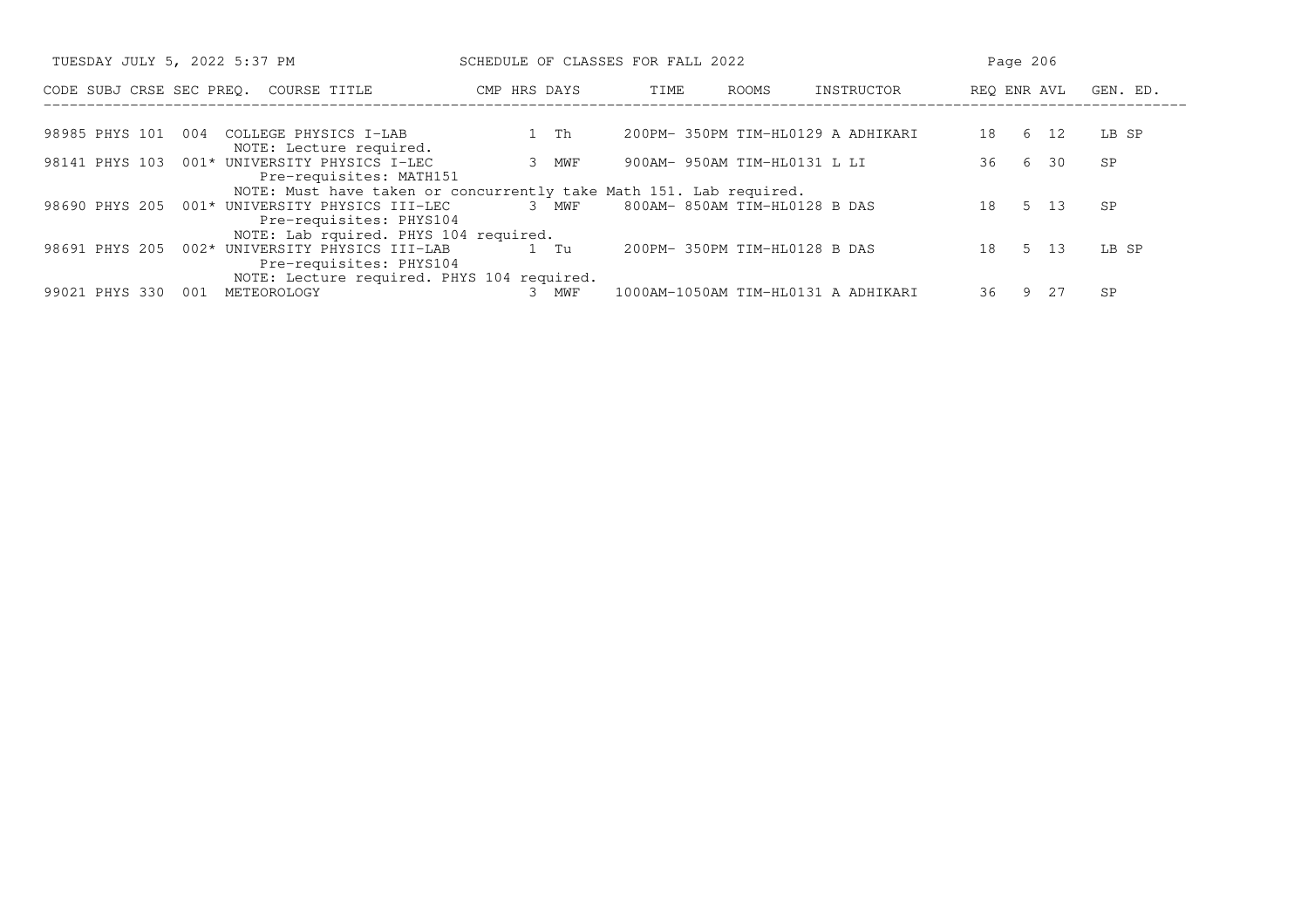| TUESDAY JULY 5, 2022 5:37 PM                                                 | SCHEDULE OF CLASSES FOR FALL 2022 |                                     | Page 206                |
|------------------------------------------------------------------------------|-----------------------------------|-------------------------------------|-------------------------|
| CODE SUBJ CRSE SEC PREO. COURSE TITLE                                        | CMP HRS DAYS                      | ROOMS<br>INSTRUCTOR<br>TIME         | REO ENR AVL<br>GEN. ED. |
| 98985 PHYS 101<br>004<br>COLLEGE PHYSICS I-LAB<br>NOTE: Lecture required.    | 1 Th                              | 200PM- 350PM TIM-HL0129 A ADHIKARI  | 18 6 12<br>LB SP        |
| 98141 PHYS 103 001* UNIVERSITY PHYSICS I-LEC<br>Pre-requisites: MATH151      | 3 MWF                             | 900AM- 950AM TIM-HL0131 L LI        | 36 6<br>30<br>SP        |
| NOTE: Must have taken or concurrently take Math 151. Lab required.           |                                   |                                     |                         |
| 98690 PHYS 205 001* UNIVERSITY PHYSICS III-LEC<br>Pre-requisites: PHYS104    | 3 MWF                             | 800AM- 850AM TIM-HL0128 B DAS       | 5 13<br>18<br>SP        |
| NOTE: Lab rquired. PHYS 104 required.                                        |                                   |                                     |                         |
| 98691 PHYS 205<br>002* UNIVERSITY PHYSICS III-LAB<br>Pre-requisites: PHYS104 | 1 Tu                              | 200PM- 350PM TIM-HL0128 B DAS       | 18 5 13<br>LB SP        |
| NOTE: Lecture required. PHYS 104 required.                                   |                                   |                                     |                         |
| 99021 PHYS 330<br>001<br>METEOROLOGY                                         | MWF                               | 1000AM-1050AM TIM-HL0131 A ADHIKARI | 36 9 27                 |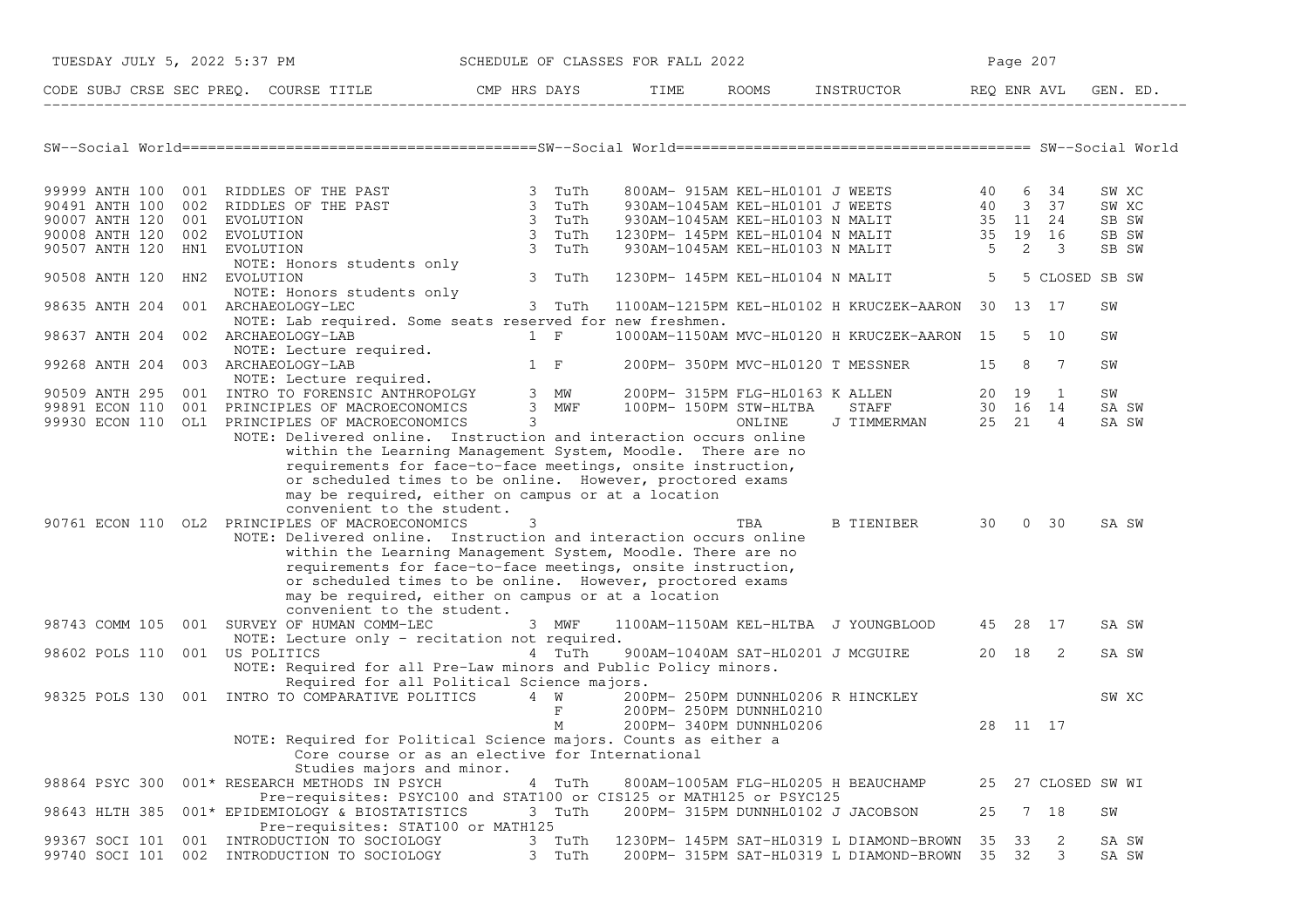| TUESDAY JULY 5, 2022 5:37 PM |     |                                                                                                                                                                                                                                                                                                                                                  |                                                                                                                |     |                  | SCHEDULE OF CLASSES FOR FALL 2022 |                                                    |                                                                                                                                                                                                                    |         | Page 207 |                 |       |          |
|------------------------------|-----|--------------------------------------------------------------------------------------------------------------------------------------------------------------------------------------------------------------------------------------------------------------------------------------------------------------------------------------------------|----------------------------------------------------------------------------------------------------------------|-----|------------------|-----------------------------------|----------------------------------------------------|--------------------------------------------------------------------------------------------------------------------------------------------------------------------------------------------------------------------|---------|----------|-----------------|-------|----------|
|                              |     | CODE SUBJ CRSE SEC PREQ. COURSE TITLE CMP HRS DAYS TIME ROOMS INSTRUCTOR REQ ENR AVL                                                                                                                                                                                                                                                             |                                                                                                                |     |                  |                                   |                                                    |                                                                                                                                                                                                                    |         |          |                 |       | GEN. ED. |
|                              |     |                                                                                                                                                                                                                                                                                                                                                  |                                                                                                                |     |                  |                                   |                                                    |                                                                                                                                                                                                                    |         |          |                 |       |          |
|                              |     |                                                                                                                                                                                                                                                                                                                                                  |                                                                                                                |     |                  |                                   |                                                    |                                                                                                                                                                                                                    |         |          |                 |       |          |
|                              |     |                                                                                                                                                                                                                                                                                                                                                  |                                                                                                                |     |                  |                                   |                                                    |                                                                                                                                                                                                                    |         |          |                 | SW XC |          |
|                              |     | 99999 ANTH 100 001 RIDDLES OF THE PAST 3 TuTh<br>90491 ANTH 100 002 RIDDLES OF THE PAST 3 TuTh<br>90007 ANTH 120 001 EVOLUTION 3 TuTh                                                                                                                                                                                                            |                                                                                                                |     |                  |                                   |                                                    | 800AM-915AM KEL-HL0101 J WEETS 40 6 34<br>930AM-1045AM KEL-HL0101 J WEETS 40 3 37<br>930AM-1045AM KEL-HL0103 N MALIT 35 11 24<br>1230PM-145PM KEL-HL0104 N MALIT 35 19 16<br>930AM-1045AM KEL-HL0103 N MALIT 5 2 3 |         |          |                 | SW XC |          |
|                              |     |                                                                                                                                                                                                                                                                                                                                                  |                                                                                                                |     |                  |                                   |                                                    |                                                                                                                                                                                                                    |         |          |                 | SB SW |          |
| 90008 ANTH 120 002 EVOLUTION |     |                                                                                                                                                                                                                                                                                                                                                  |                                                                                                                |     |                  |                                   |                                                    |                                                                                                                                                                                                                    |         |          |                 | SB SW |          |
| 90507 ANTH 120 HN1 EVOLUTION |     |                                                                                                                                                                                                                                                                                                                                                  |                                                                                                                |     | 3 TuTh<br>3 TuTh |                                   |                                                    |                                                                                                                                                                                                                    |         |          |                 | SB SW |          |
|                              |     | NOTE: Honors students only                                                                                                                                                                                                                                                                                                                       |                                                                                                                |     |                  |                                   |                                                    |                                                                                                                                                                                                                    |         |          |                 |       |          |
| 90508 ANTH 120               |     | HN2 EVOLUTION                                                                                                                                                                                                                                                                                                                                    |                                                                                                                |     | 3 TuTh           |                                   |                                                    | 1230PM- 145PM KEL-HL0104 N MALIT                                                                                                                                                                                   | 5       |          | 5 CLOSED SB SW  |       |          |
|                              |     | NOTE: Honors students only                                                                                                                                                                                                                                                                                                                       |                                                                                                                |     |                  |                                   |                                                    |                                                                                                                                                                                                                    |         |          |                 |       |          |
| 98635 ANTH 204               |     | 001 ARCHAEOLOGY-LEC                                                                                                                                                                                                                                                                                                                              |                                                                                                                |     | 3 TuTh           |                                   |                                                    | 1100AM-1215PM KEL-HL0102 H KRUCZEK-AARON 30 13 17                                                                                                                                                                  |         |          |                 | SW    |          |
|                              |     | NOTE: Lab required. Some seats reserved for new freshmen.                                                                                                                                                                                                                                                                                        |                                                                                                                |     |                  |                                   |                                                    |                                                                                                                                                                                                                    |         |          |                 |       |          |
| 98637 ANTH 204               |     | 002 ARCHAEOLOGY-LAB                                                                                                                                                                                                                                                                                                                              |                                                                                                                | 1 F |                  |                                   |                                                    | 1000AM-1150AM MVC-HL0120 H KRUCZEK-AARON 15 5 10                                                                                                                                                                   |         |          |                 | SW    |          |
|                              |     |                                                                                                                                                                                                                                                                                                                                                  |                                                                                                                |     |                  |                                   |                                                    |                                                                                                                                                                                                                    |         |          |                 |       |          |
| 99268 ANTH 204               |     | NOTE: Lecture required.<br>ARCHAEOLOGY-LAB 1 F 200PM-350PM MVC-HL0120 T MESSNER<br>NOTE: Lecture required.<br>1 F 200PM-350PM MVC-HL0120 T MESSNER<br>NOTE: Lecture required.<br>003 ARCHAEOLOGY-LAB                                                                                                                                             |                                                                                                                |     |                  |                                   |                                                    |                                                                                                                                                                                                                    | 15      | 8        | $\overline{7}$  | SW    |          |
|                              |     |                                                                                                                                                                                                                                                                                                                                                  |                                                                                                                |     |                  |                                   |                                                    |                                                                                                                                                                                                                    |         |          |                 |       |          |
|                              |     | 90509 ANTH 295 001 INTRO TO FORENSIC ANTHROPOLGY 3 MW 200PM-315PM FLG-HL0163 KALLEN<br>99891 ECON 110 001 PRINCIPLES OF MACROECONOMICS 3 MWF 100PM-150PM STW-HLTBA STAFF                                                                                                                                                                         |                                                                                                                |     |                  |                                   |                                                    |                                                                                                                                                                                                                    |         |          |                 | SW    |          |
|                              |     |                                                                                                                                                                                                                                                                                                                                                  |                                                                                                                |     |                  |                                   |                                                    | ALLEN 20 19 1<br>STAFF 30 16 14                                                                                                                                                                                    |         |          |                 | SA SW |          |
|                              |     | 99930 ECON 110 OL1 PRINCIPLES OF MACROECONOMICS 3                                                                                                                                                                                                                                                                                                |                                                                                                                |     |                  |                                   | ONLINE                                             | J TIMMERMAN 25 21 4                                                                                                                                                                                                |         |          |                 | SA SW |          |
|                              |     | within the Learning Management System, Moodle. There are no<br>requirements for face-to-face meetings, onsite instruction,<br>or scheduled times to be online. However, proctored exams<br>may be required, either on campus or at a location<br>convenient to the student.                                                                      |                                                                                                                |     |                  |                                   |                                                    |                                                                                                                                                                                                                    |         |          |                 |       |          |
|                              |     | 90761 ECON 110 OL2 PRINCIPLES OF MACROECONOMICS                                                                                                                                                                                                                                                                                                  |                                                                                                                | 3   |                  |                                   | TBA                                                | B TIENIBER 30 0 30                                                                                                                                                                                                 |         |          |                 | SA SW |          |
|                              |     | NOTE: Delivered online. Instruction and interaction occurs online<br>within the Learning Management System, Moodle. There are no<br>requirements for face-to-face meetings, onsite instruction,<br>or scheduled times to be online. However, proctored exams<br>may be required, either on campus or at a location<br>convenient to the student. |                                                                                                                |     |                  |                                   |                                                    |                                                                                                                                                                                                                    |         |          |                 |       |          |
| 98743 COMM 105               |     | 001 SURVEY OF HUMAN COMM-LEC                                                                                                                                                                                                                                                                                                                     |                                                                                                                |     | 3 MWF            |                                   |                                                    | 1100AM-1150AM KEL-HLTBA J YOUNGBLOOD 45 28 17                                                                                                                                                                      |         |          |                 | SA SW |          |
| 98602 POLS 110               |     | NOTE: Lecture only - recitation not required.<br>001 US POLITICS                                                                                                                                                                                                                                                                                 | a that the state of the state of the state of the state of the state of the state of the state of the state of |     |                  |                                   |                                                    | 900AM-1040AM SAT-HL0201 J MCGUIRE                                                                                                                                                                                  | 20 18 2 |          |                 | SA SW |          |
|                              |     | NOTE: Required for all Pre-Law minors and Public Policy minors.<br>Required for all Political Science majors.                                                                                                                                                                                                                                    |                                                                                                                |     |                  |                                   |                                                    |                                                                                                                                                                                                                    |         |          |                 |       |          |
|                              |     | 98325 POLS 130 001 INTRO TO COMPARATIVE POLITICS 4 W 200PM- 250PM DUNNHL0206 R HINCKLEY                                                                                                                                                                                                                                                          |                                                                                                                |     | $F$ and $F$<br>M |                                   | 200PM- 250PM DUNNHL0210<br>200PM- 340PM DUNNHL0206 |                                                                                                                                                                                                                    |         | 28 11 17 |                 | SW XC |          |
|                              |     | NOTE: Required for Political Science majors. Counts as either a<br>Core course or as an elective for International<br>Studies majors and minor.                                                                                                                                                                                                  |                                                                                                                |     |                  |                                   |                                                    |                                                                                                                                                                                                                    |         |          |                 |       |          |
| 98864 PSYC 300               |     | 001* RESEARCH METHODS IN PSYCH                                                                                                                                                                                                                                                                                                                   |                                                                                                                |     | 4 TuTh           |                                   |                                                    | 800AM-1005AM FLG-HL0205 H BEAUCHAMP                                                                                                                                                                                | 25      |          | 27 CLOSED SW WI |       |          |
| 98643 HLTH 385               |     | Pre-requisites: PSYC100 and STAT100 or CIS125 or MATH125 or PSYC125<br>001* EPIDEMIOLOGY & BIOSTATISTICS<br>Pre-requisites: STAT100 or MATH125                                                                                                                                                                                                   |                                                                                                                |     | 3 TuTh           |                                   |                                                    | 200PM- 315PM DUNNHL0102 J JACOBSON                                                                                                                                                                                 | 25      |          | 7 18            | SW    |          |
| 99367 SOCI 101               | 001 | INTRODUCTION TO SOCIOLOGY                                                                                                                                                                                                                                                                                                                        |                                                                                                                |     | 3 TuTh           |                                   |                                                    | 1230PM- 145PM SAT-HL0319 L DIAMOND-BROWN                                                                                                                                                                           | 35      | 33       | 2               | SA SW |          |
| 99740 SOCI 101               |     | 002 INTRODUCTION TO SOCIOLOGY                                                                                                                                                                                                                                                                                                                    |                                                                                                                |     | 3 TuTh           |                                   |                                                    | 200PM- 315PM SAT-HL0319 L DIAMOND-BROWN                                                                                                                                                                            | 35 32   |          | 3               | SA SW |          |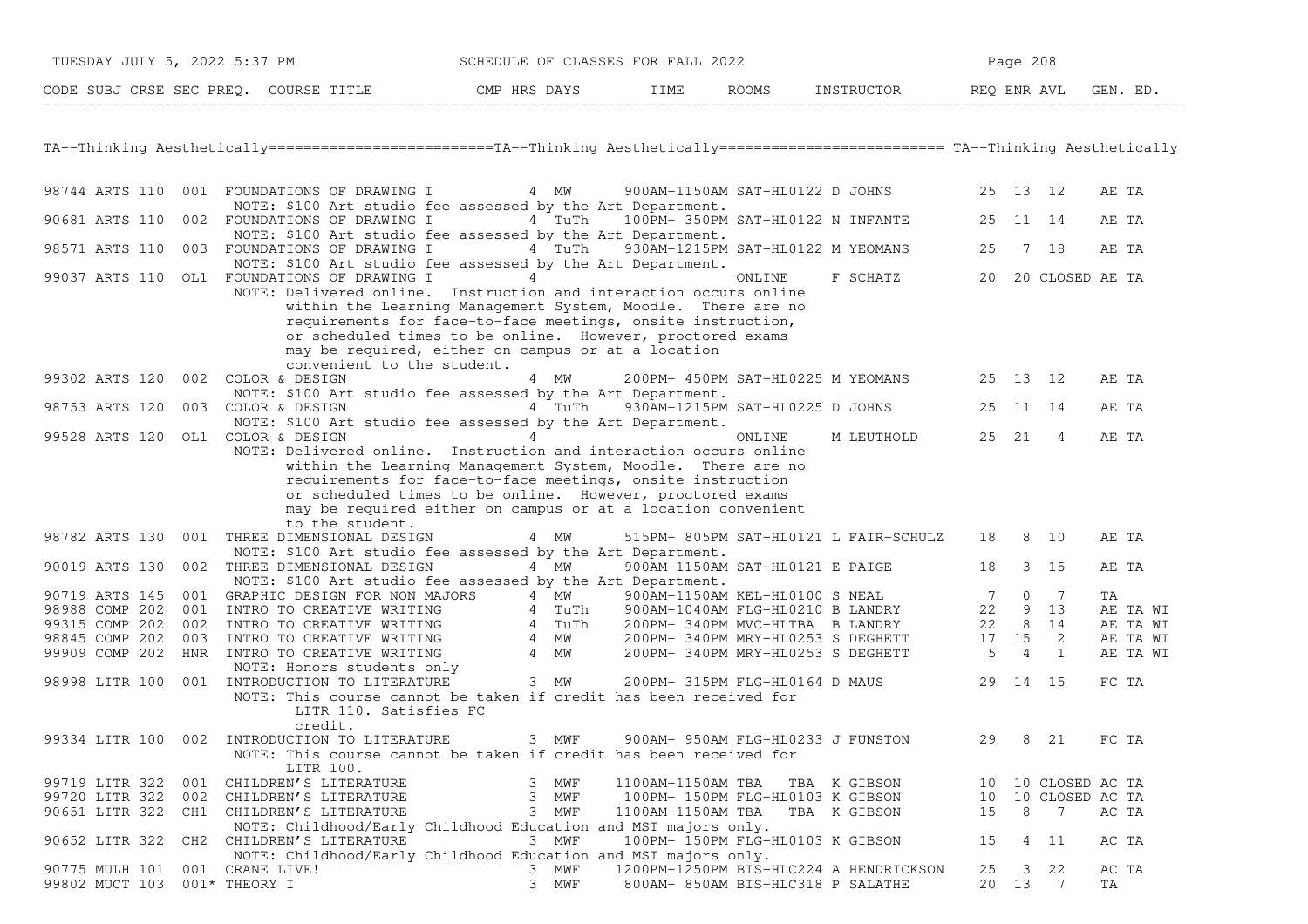| TUESDAY JULY 5, 2022 5:37 PM          | SCHEDULE OF CLASSES FOR FALL 2022 |      |       | Page $208$ |             |          |  |  |
|---------------------------------------|-----------------------------------|------|-------|------------|-------------|----------|--|--|
| CODE SUBJ CRSE SEC PREO. COURSE TITLE | CMP HRS DAYS                      | TIME | ROOMS | INSTRUCTOR | REO ENR AVL | GEN. ED. |  |  |

TA−−Thinking Aesthetically==========================TA−−Thinking Aesthetically========================== TA−−Thinking Aesthetically

| 98744 ARTS 110 |     | 001 FOUNDATIONS OF DRAWING I                                                               | 4 MW   | 900AM-1150AM SAT-HL0122 D JOHNS        |              |    | 25 13          | 12              |    | AE TA    |
|----------------|-----|--------------------------------------------------------------------------------------------|--------|----------------------------------------|--------------|----|----------------|-----------------|----|----------|
| 90681 ARTS 110 |     | NOTE: \$100 Art studio fee assessed by the Art Department.<br>002 FOUNDATIONS OF DRAWING I | 4 TuTh | 100PM- 350PM SAT-HL0122 N INFANTE      |              | 25 | 11             | 14              |    | AE TA    |
|                |     | NOTE: \$100 Art studio fee assessed by the Art Department.                                 |        |                                        |              |    |                |                 |    |          |
| 98571 ARTS 110 |     | 003 FOUNDATIONS OF DRAWING I<br>NOTE: \$100 Art studio fee assessed by the Art Department. | 4 TuTh | 930AM-1215PM SAT-HL0122 M YEOMANS      |              | 25 |                | 7 18            |    | AE TA    |
|                |     | 99037 ARTS 110 OL1 FOUNDATIONS OF DRAWING I<br>4                                           |        | ONLINE                                 | F SCHATZ     | 20 |                | 20 CLOSED AE TA |    |          |
|                |     | NOTE: Delivered online. Instruction and interaction occurs online                          |        |                                        |              |    |                |                 |    |          |
|                |     | within the Learning Management System, Moodle. There are no                                |        |                                        |              |    |                |                 |    |          |
|                |     | requirements for face-to-face meetings, onsite instruction,                                |        |                                        |              |    |                |                 |    |          |
|                |     | or scheduled times to be online. However, proctored exams                                  |        |                                        |              |    |                |                 |    |          |
|                |     | may be required, either on campus or at a location                                         |        |                                        |              |    |                |                 |    |          |
|                |     | convenient to the student.                                                                 |        |                                        |              |    |                |                 |    |          |
| 99302 ARTS 120 |     | 002 COLOR & DESIGN                                                                         | 4 MW   | 200PM- 450PM SAT-HL0225 M YEOMANS      |              |    | 25 13          | 12              |    | AE TA    |
|                |     | NOTE: \$100 Art studio fee assessed by the Art Department.                                 |        |                                        |              |    |                |                 |    |          |
| 98753 ARTS 120 |     | 003 COLOR & DESIGN                                                                         | 4 TuTh | 930AM-1215PM SAT-HL0225 D JOHNS        |              | 25 | 11             | 14              |    | AE TA    |
|                |     |                                                                                            |        |                                        |              |    |                |                 |    |          |
|                |     | NOTE: \$100 Art studio fee assessed by the Art Department.<br>$\overline{4}$               |        |                                        |              |    |                |                 |    |          |
| 99528 ARTS 120 |     | OL1 COLOR & DESIGN                                                                         |        | ONLINE                                 | M LEUTHOLD   | 25 | 21             | $\overline{4}$  |    | AE TA    |
|                |     | NOTE: Delivered online. Instruction and interaction occurs online                          |        |                                        |              |    |                |                 |    |          |
|                |     | within the Learning Management System, Moodle. There are no                                |        |                                        |              |    |                |                 |    |          |
|                |     | requirements for face-to-face meetings, onsite instruction                                 |        |                                        |              |    |                |                 |    |          |
|                |     | or scheduled times to be online. However, proctored exams                                  |        |                                        |              |    |                |                 |    |          |
|                |     | may be required either on campus or at a location convenient                               |        |                                        |              |    |                |                 |    |          |
|                |     | to the student.                                                                            |        |                                        |              |    |                |                 |    |          |
| 98782 ARTS 130 |     | 001 THREE DIMENSIONAL DESIGN                                                               | 4 MW   | 515PM- 805PM SAT-HL0121 L FAIR-SCHULZ  |              | 18 | 8              | 10              |    | AE TA    |
|                |     | NOTE: \$100 Art studio fee assessed by the Art Department.                                 |        |                                        |              |    |                |                 |    |          |
| 90019 ARTS 130 |     | 002 THREE DIMENSIONAL DESIGN                                                               | 4 MW   | 900AM-1150AM SAT-HL0121 E PAIGE        |              | 18 | 3              | 15              |    | AE TA    |
|                |     | NOTE: \$100 Art studio fee assessed by the Art Department.                                 |        |                                        |              |    |                |                 |    |          |
| 90719 ARTS 145 | 001 | GRAPHIC DESIGN FOR NON MAJORS                                                              | 4 MW   | 900AM-1150AM KEL-HL0100 S NEAL         |              | 7  | $\mathbf{0}$   | 7               | ΤA |          |
| 98988 COMP 202 | 001 | INTRO TO CREATIVE WRITING                                                                  | 4 TuTh | 900AM-1040AM FLG-HL0210 B LANDRY       |              | 22 | 9              | 13              |    | AE TA WI |
| 99315 COMP 202 | 002 | INTRO TO CREATIVE WRITING                                                                  | 4 TuTh | 200PM-340PM MVC-HLTBA B LANDRY         |              | 22 | 8              | 14              |    | AE TA WI |
| 98845 COMP 202 | 003 | INTRO TO CREATIVE WRITING                                                                  | 4 MW   | 200PM- 340PM MRY-HL0253 S DEGHETT      |              | 17 | 15             | 2               |    | AE TA WI |
| 99909 COMP 202 |     | HNR INTRO TO CREATIVE WRITING                                                              | 4 MW   | 200PM- 340PM MRY-HL0253 S DEGHETT      |              | 5  | $\overline{4}$ | 1               |    | AE TA WI |
|                |     | NOTE: Honors students only                                                                 |        |                                        |              |    |                |                 |    |          |
| 98998 LITR 100 |     | 001 INTRODUCTION TO LITERATURE                                                             | 3 MW   | 200PM- 315PM FLG-HL0164 D MAUS         |              | 29 | 14             | 15              |    | FC TA    |
|                |     | NOTE: This course cannot be taken if credit has been received for                          |        |                                        |              |    |                |                 |    |          |
|                |     | LITR 110. Satisfies FC                                                                     |        |                                        |              |    |                |                 |    |          |
|                |     | credit.                                                                                    |        |                                        |              |    |                |                 |    |          |
| 99334 LITR 100 | 002 | INTRODUCTION TO LITERATURE                                                                 | 3 MWF  | 900AM- 950AM FLG-HL0233 J FUNSTON      |              | 29 | 8              | 21              |    | FC TA    |
|                |     | NOTE: This course cannot be taken if credit has been received for                          |        |                                        |              |    |                |                 |    |          |
|                |     | LITR 100.                                                                                  |        |                                        |              |    |                |                 |    |          |
| 99719 LITR 322 | 001 | CHILDREN'S LITERATURE                                                                      | 3 MWF  | 1100AM-1150AM TBA                      | TBA K GIBSON | 10 |                | 10 CLOSED AC TA |    |          |
| 99720 LITR 322 | 002 | CHILDREN'S LITERATURE                                                                      | 3 MWF  | 100PM- 150PM FLG-HL0103 K GIBSON       |              | 10 |                | 10 CLOSED AC TA |    |          |
| 90651 LITR 322 |     | CH1 CHILDREN'S LITERATURE                                                                  | 3 MWF  | 1100AM-1150AM TBA                      | TBA K GIBSON | 15 | 8              | $7\phantom{.0}$ |    | AC TA    |
|                |     | NOTE: Childhood/Early Childhood Education and MST majors only.                             |        |                                        |              |    |                |                 |    |          |
| 90652 LITR 322 | CH2 | CHILDREN'S LITERATURE                                                                      | 3 MWF  | 100PM- 150PM FLG-HL0103 K GIBSON       |              | 15 | 4              | - 11            |    | AC TA    |
|                |     | NOTE: Childhood/Early Childhood Education and MST majors only.                             |        |                                        |              |    |                |                 |    |          |
| 90775 MULH 101 |     | 001 CRANE LIVE!                                                                            | 3 MWF  | 1200PM-1250PM BIS-HLC224 A HENDRICKSON |              | 25 | 3              | 22              |    | AC TA    |
| 99802 MUCT 103 |     | $001*$ THEORY I<br>3                                                                       | MWF    | 800AM- 850AM BIS-HLC318 P SALATHE      |              | 20 | 13             | 7               | TA |          |
|                |     |                                                                                            |        |                                        |              |    |                |                 |    |          |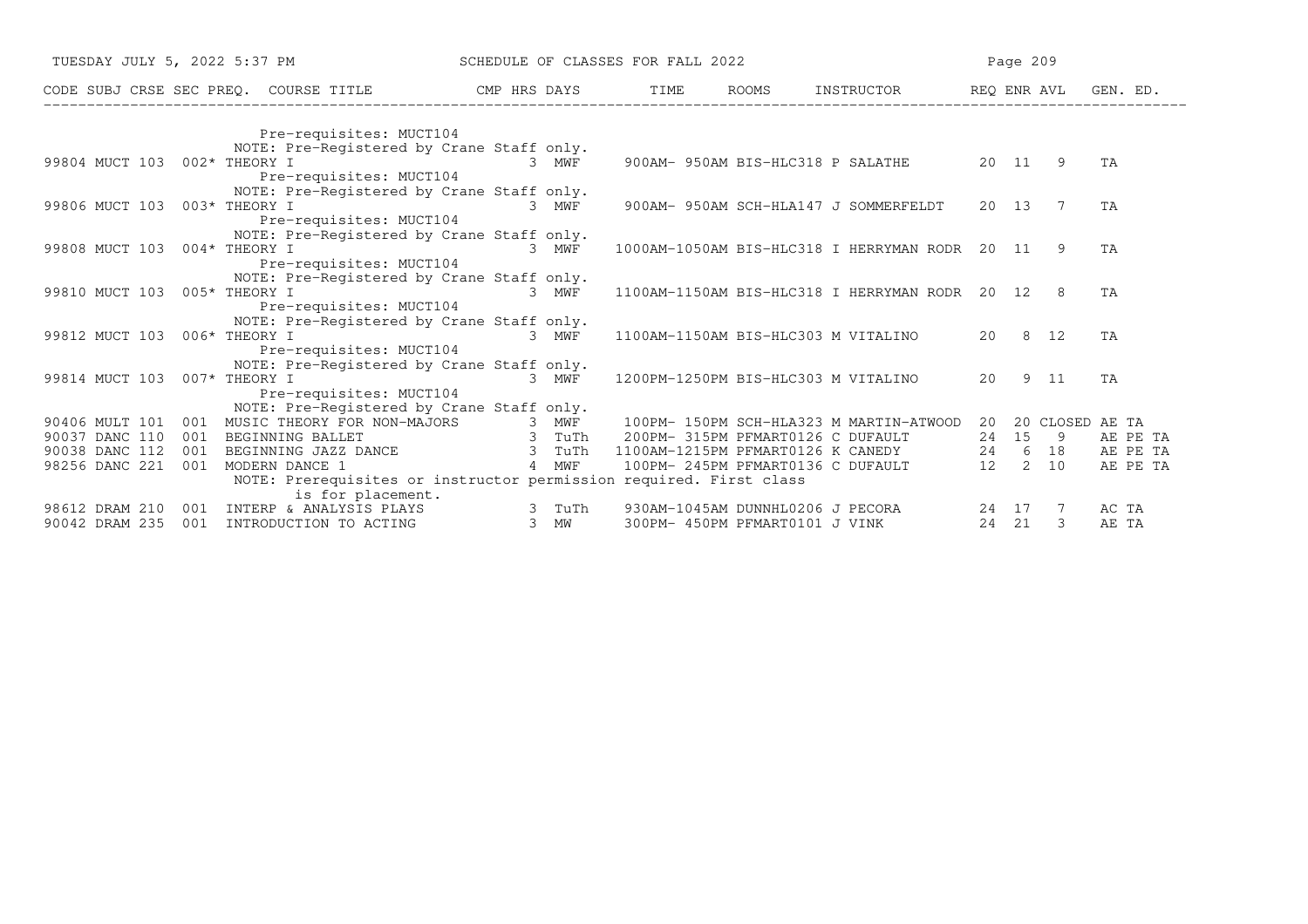| TUESDAY JULY 5, 2022 5:37 PM          |                 |                                                                    |              |        | SCHEDULE OF CLASSES FOR FALL 2022 |                                          |            |             | Page 209 |                 |          |          |
|---------------------------------------|-----------------|--------------------------------------------------------------------|--------------|--------|-----------------------------------|------------------------------------------|------------|-------------|----------|-----------------|----------|----------|
| CODE SUBJ CRSE SEC PREO. COURSE TITLE |                 |                                                                    | CMP HRS DAYS |        | TIME                              | ROOMS                                    | INSTRUCTOR | REO ENR AVL |          |                 | GEN. ED. |          |
|                                       |                 | Pre-requisites: MUCT104                                            |              |        |                                   |                                          |            |             |          |                 |          |          |
|                                       |                 | NOTE: Pre-Registered by Crane Staff only.                          |              |        |                                   |                                          |            |             |          |                 |          |          |
| 99804 MUCT 103                        | $002*$ THEORY I |                                                                    |              | 3 MWF  |                                   | 900AM- 950AM BIS-HLC318 P SALATHE        |            |             |          | 20 11 9         | TA       |          |
|                                       |                 | Pre-requisites: MUCT104                                            |              |        |                                   |                                          |            |             |          |                 |          |          |
|                                       |                 | NOTE: Pre-Registered by Crane Staff only.                          |              |        |                                   |                                          |            |             |          |                 |          |          |
| 99806 MUCT 103                        | 003* THEORY I   |                                                                    |              | 3 MWF  |                                   | 900AM- 950AM SCH-HLA147 J SOMMERFELDT    |            |             | 20 13    | 7               | ΤA       |          |
|                                       |                 | Pre-requisites: MUCT104                                            |              |        |                                   |                                          |            |             |          |                 |          |          |
|                                       |                 | NOTE: Pre-Registered by Crane Staff only.                          |              |        |                                   |                                          |            |             |          |                 |          |          |
| 99808 MUCT 103                        | 004* THEORY I   |                                                                    |              | 3 MWF  |                                   | 1000AM-1050AM BIS-HLC318 I HERRYMAN RODR |            |             | 20 11    |                 | TA       |          |
|                                       |                 | Pre-requisites: MUCT104                                            |              |        |                                   |                                          |            |             |          |                 |          |          |
|                                       |                 | NOTE: Pre-Registered by Crane Staff only.                          |              |        |                                   |                                          |            |             |          |                 |          |          |
| 99810 MUCT 103                        | 005* THEORY I   |                                                                    |              | 3 MWF  |                                   | 1100AM-1150AM BIS-HLC318 I HERRYMAN RODR |            |             | 20 12    | 8               | TA       |          |
|                                       |                 | Pre-requisites: MUCT104                                            |              |        |                                   |                                          |            |             |          |                 |          |          |
|                                       |                 | NOTE: Pre-Registered by Crane Staff only.                          |              |        |                                   |                                          |            |             |          |                 |          |          |
| 99812 MUCT 103                        | $006*$ THEORY I |                                                                    |              | 3 MWF  |                                   | 1100AM-1150AM BIS-HLC303 M VITALINO      |            | 20          |          | 8 12            | TA       |          |
|                                       |                 | Pre-requisites: MUCT104                                            |              |        |                                   |                                          |            |             |          |                 |          |          |
|                                       |                 | NOTE: Pre-Registered by Crane Staff only.                          |              |        |                                   |                                          |            |             |          |                 |          |          |
| 99814 MUCT 103                        | 007* THEORY I   |                                                                    |              | 3 MWF  |                                   | 1200PM-1250PM BIS-HLC303 M VITALINO      |            | 20          |          | 9 11            | TA       |          |
|                                       |                 | Pre-requisites: MUCT104                                            |              |        |                                   |                                          |            |             |          |                 |          |          |
|                                       |                 | NOTE: Pre-Registered by Crane Staff only.                          |              |        |                                   |                                          |            |             |          |                 |          |          |
| 90406 MULT 101                        | 001             | MUSIC THEORY FOR NON-MAJORS                                        |              | 3 MWF  |                                   | 100PM- 150PM SCH-HLA323 M MARTIN-ATWOOD  |            | 20          |          | 20 CLOSED AE TA |          |          |
| 90037 DANC 110                        | 001             | BEGINNING BALLET                                                   |              | 3 TuTh |                                   | 200PM- 315PM PFMART0126 C DUFAULT        |            |             |          | 24 15 9         |          | AE PE TA |
| 90038 DANC 112                        | 001             | BEGINNING JAZZ DANCE                                               |              | 3 TuTh |                                   | 1100AM-1215PM PFMART0126 K CANEDY        |            |             |          | 24 6 18         |          | AE PE TA |
| 98256 DANC 221                        | 001             | MODERN DANCE 1                                                     |              | 4 MWF  |                                   | 100PM- 245PM PFMART0136 C DUFAULT        |            |             |          | 12  2  10       |          | AE PE TA |
|                                       |                 | NOTE: Prerequisites or instructor permission required. First class |              |        |                                   |                                          |            |             |          |                 |          |          |
|                                       |                 | is for placement.                                                  |              |        |                                   |                                          |            |             |          |                 |          |          |
| 98612 DRAM 210                        | 001             | INTERP & ANALYSIS PLAYS                                            |              | 3 TuTh |                                   | 930AM-1045AM DUNNHL0206 J PECORA         |            | 24          | 17       |                 | AC TA    |          |
| 90042 DRAM 235                        | 001             | INTRODUCTION TO ACTING                                             |              | 3 MW   |                                   | 300PM- 450PM PFMART0101 J VINK           |            |             | 24 21    | 3               | AE TA    |          |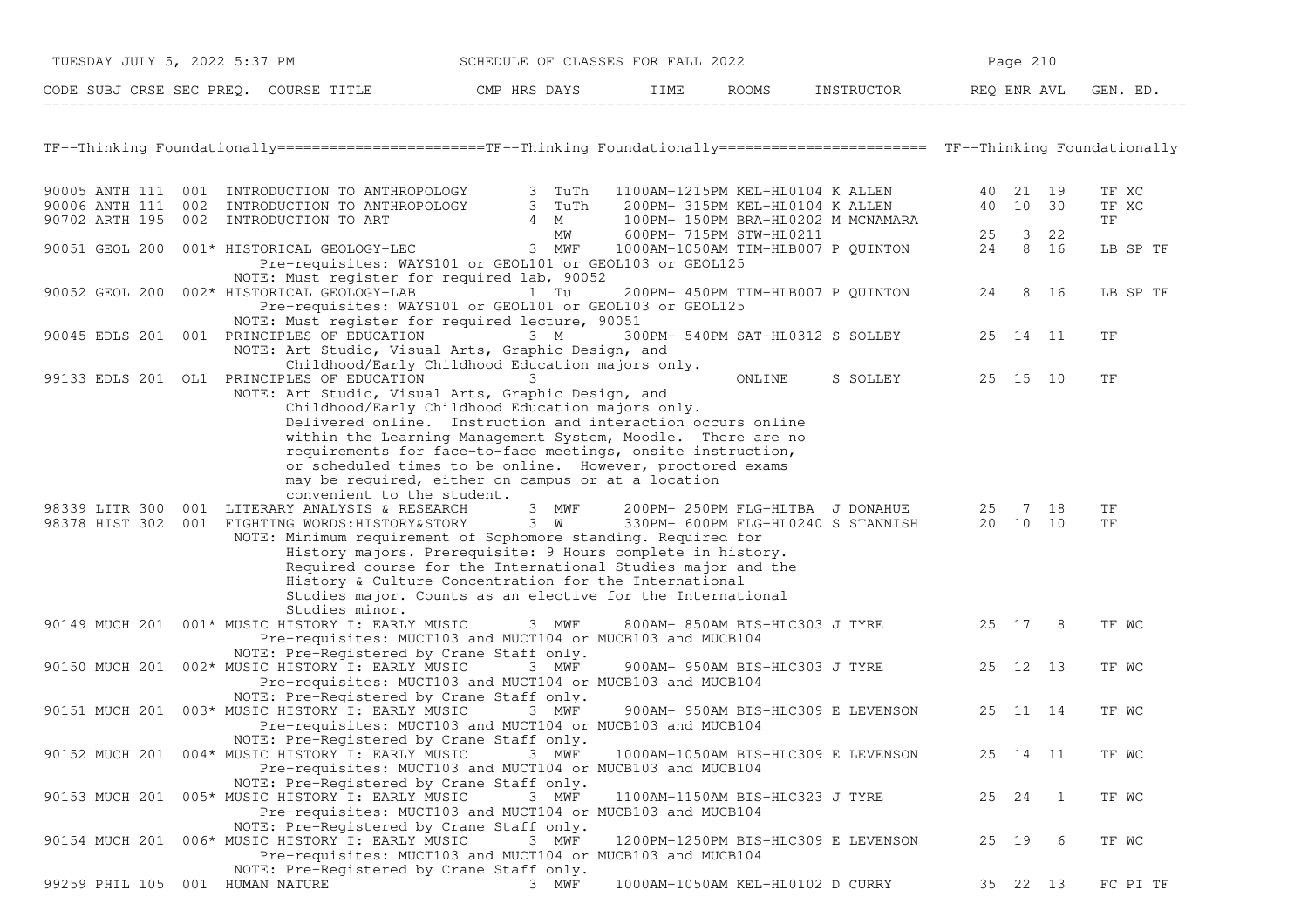|                                 | TUESDAY JULY 5, 2022 5:37 PM                                                                                                                                                                                                                                                     | SCHEDULE OF CLASSES FOR FALL 2022                                                                                                                                                                                                                                                                                                                                                                                                           |                                  |                                                                                         |       | Page 210       |                      |
|---------------------------------|----------------------------------------------------------------------------------------------------------------------------------------------------------------------------------------------------------------------------------------------------------------------------------|---------------------------------------------------------------------------------------------------------------------------------------------------------------------------------------------------------------------------------------------------------------------------------------------------------------------------------------------------------------------------------------------------------------------------------------------|----------------------------------|-----------------------------------------------------------------------------------------|-------|----------------|----------------------|
|                                 | CODE SUBJ CRSE SEC PREQ. COURSE TITLE THE CMP HRS DAYS TIME ROOMS INSTRUCTOR REQ ENR AVL GENERAL THE CODE SUBJ CRSE SEC PREQ. COURSE TITLE                                                                                                                                       |                                                                                                                                                                                                                                                                                                                                                                                                                                             |                                  |                                                                                         |       |                | GEN. ED.             |
|                                 | TF--Thinking Foundationally======================TF--Thinking Foundationally======================= TF--Thinking Foundationally                                                                                                                                                  |                                                                                                                                                                                                                                                                                                                                                                                                                                             |                                  |                                                                                         |       |                |                      |
|                                 | 90005 ANTH 111 001 INTRODUCTION TO ANTHROPOLOGY 3 TuTh 1100AM-1215PM KEL-HL0104 K ALLEN 40 21 19<br>90006 ANTH 111 002 INTRODUCTION TO ANTHROPOLOGY 3 TuTh 200PM-315PM KEL-HL0104 K ALLEN 40 10 30<br>90702 ARTH 195 002 INTRODUCTIO                                             |                                                                                                                                                                                                                                                                                                                                                                                                                                             |                                  |                                                                                         |       |                | TF XC<br>TF XC<br>TF |
|                                 | 90051 GEOL 200 001* HISTORICAL GEOLOGY-LEC 3 MWF 1000AM-1050AM TIM-HLB007 P QUINTON 24 8 16<br>Pre-requisites: WAYS101 or GEOL101 or GEOL103 or GEOL125                                                                                                                          |                                                                                                                                                                                                                                                                                                                                                                                                                                             |                                  |                                                                                         |       |                | LB SP TF             |
|                                 | NOTE: Must register for required lab, 90052<br>90052 GEOL 200 002* HISTORICAL GEOLOGY-LAB 1 Tu 200PM-450PM TIM-HLB007 P QUINTON 24 8 16<br>Pre-requisites: WAYS101 or GEOL101 or GEOL103 or GEOL125                                                                              |                                                                                                                                                                                                                                                                                                                                                                                                                                             |                                  |                                                                                         |       |                | LB SP TF             |
|                                 | NOTE: Must register for required lecture, 90051<br>90045 EDLS 201 001 PRINCIPLES OF EDUCATION<br>NOTE: Art Studio, Visual Arts, Graphic Design, and                                                                                                                              | $3 \t M$<br>Childhood/Early Childhood Education majors only.                                                                                                                                                                                                                                                                                                                                                                                |                                  | 300PM- 540PM SAT-HL0312 S SOLLEY 25 14 11                                               |       |                | TF                   |
|                                 | 99133 EDLS 201 OL1 PRINCIPLES OF EDUCATION<br>NOTE: Art Studio, Visual Arts, Graphic Design, and                                                                                                                                                                                 | 3<br>Childhood/Early Childhood Education majors only.<br>Delivered online. Instruction and interaction occurs online<br>within the Learning Management System, Moodle. There are no                                                                                                                                                                                                                                                         |                                  | ONLINE S SOLLEY 25 15 10                                                                |       |                | TF                   |
|                                 | convenient to the student.<br>98339 LITR 300 001 LITERARY ANALYSIS & RESEARCH<br>98339 LITR 300 001 LITERARY ANALYSIS & RESEARCH 3 MWF<br>98378 HIST 302 001 FIGHTING WORDS:HISTORY&STORY 3 W<br>NOTE: Minimum requirement of Sophomore standing. Required for<br>Studies minor. | requirements for face-to-face meetings, onsite instruction,<br>or scheduled times to be online. However, proctored exams<br>may be required, either on campus or at a location<br>3 MWF<br>History majors. Prerequisite: 9 Hours complete in history.<br>Required course for the International Studies major and the<br>History & Culture Concentration for the International<br>Studies major. Counts as an elective for the International |                                  | 200PM- 250PM FLG-HLTBA J DONAHUE 25 7 18<br>330PM- 600PM FLG-HL0240 S STANNISH 20 10 10 |       |                | TF<br>TF             |
|                                 | 90149 MUCH 201 001* MUSIC HISTORY I: EARLY MUSIC<br>Pre-requisites: MUCT103 and MUCT104 or MUCB103 and MUCB104<br>NOTE: Pre-Registered by Crane Staff only.                                                                                                                      | 3 MWF                                                                                                                                                                                                                                                                                                                                                                                                                                       |                                  | 800AM-850AM BIS-HLC303 J TYRE 25 17 8                                                   |       |                | TF WC                |
|                                 | 90150 MUCH 201 002* MUSIC HISTORY I: EARLY MUSIC 3 MWF<br>Pre-requisites: MUCT103 and MUCT104 or MUCB103 and MUCB104<br>NOTE: Pre-Registered by Crane Staff only.                                                                                                                |                                                                                                                                                                                                                                                                                                                                                                                                                                             |                                  | 900AM- 950AM BIS-HLC303 J TYRE 25 12 13                                                 |       |                | TF WC                |
|                                 | 90151 MUCH 201 003* MUSIC HISTORY I: EARLY MUSIC 3 MWF<br>Pre-requisites: MUCT103 and MUCT104 or MUCB103 and MUCB104<br>NOTE: Pre-Registered by Crane Staff only.                                                                                                                |                                                                                                                                                                                                                                                                                                                                                                                                                                             |                                  | 900AM- 950AM BIS-HLC309 E LEVENSON                                                      |       | 25 11 14       | TF WC                |
|                                 | 90152 MUCH 201 004* MUSIC HISTORY I: EARLY MUSIC<br>Pre-requisites: MUCT103 and MUCT104 or MUCB103 and MUCB104<br>NOTE: Pre-Registered by Crane Staff only.                                                                                                                      | 3 MWF                                                                                                                                                                                                                                                                                                                                                                                                                                       |                                  | 1000AM-1050AM BIS-HLC309 E LEVENSON                                                     |       | 25 14 11       | TF WC                |
|                                 | 90153 MUCH 201 005* MUSIC HISTORY I: EARLY MUSIC<br>Pre-requisites: MUCT103 and MUCT104 or MUCB103 and MUCB104<br>NOTE: Pre-Registered by Crane Staff only.                                                                                                                      | 3 MWF                                                                                                                                                                                                                                                                                                                                                                                                                                       | 1100AM-1150AM BIS-HLC323 J TYRE  |                                                                                         | 25 24 | $\overline{1}$ | TF WC                |
|                                 | 90154 MUCH 201 006* MUSIC HISTORY I: EARLY MUSIC<br>Pre-requisites: MUCT103 and MUCT104 or MUCB103 and MUCB104<br>NOTE: Pre-Registered by Crane Staff only.                                                                                                                      | 3 MWF                                                                                                                                                                                                                                                                                                                                                                                                                                       |                                  | 1200PM-1250PM BIS-HLC309 E LEVENSON                                                     |       | 25 19 6        | TF WC                |
| 99259 PHIL 105 001 HUMAN NATURE |                                                                                                                                                                                                                                                                                  | 3 MWF                                                                                                                                                                                                                                                                                                                                                                                                                                       | 1000AM-1050AM KEL-HL0102 D CURRY |                                                                                         |       | 35 22 13       | FC PI TF             |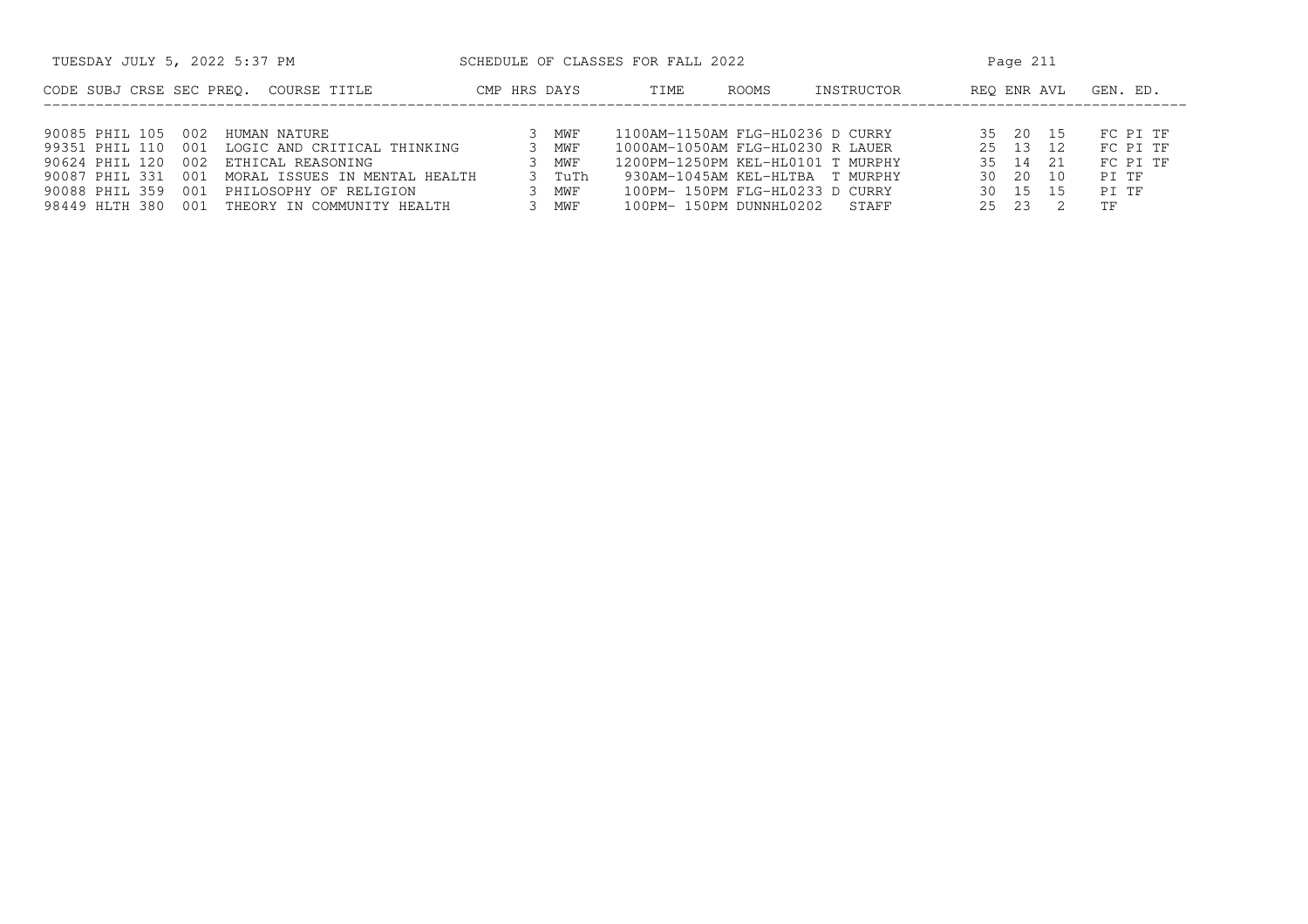| TUESDAY JULY 5, 2022 5:37 PM                           |              |        | SCHEDULE OF CLASSES FOR FALL 2022 |              |            |       | Page 211    |          |
|--------------------------------------------------------|--------------|--------|-----------------------------------|--------------|------------|-------|-------------|----------|
| CODE SUBJ CRSE SEC PREO.<br>COURSE TITLE               | CMP HRS DAYS |        | TIME                              | <b>ROOMS</b> | INSTRUCTOR |       | REO ENR AVL | GEN. ED. |
|                                                        |              |        |                                   |              |            |       |             |          |
| 90085 PHIL 105<br>002<br>HUMAN NATURE                  |              | MWF    | 1100AM-1150AM FLG-HL0236 D CURRY  |              |            |       | 35 20 15    | FC PI TF |
| 99351 PHIL 110<br>LOGIC AND CRITICAL THINKING<br>001   |              | MWF    | 1000AM-1050AM FLG-HL0230 R LAUER  |              |            |       | 25 13 12    | FC PI TF |
| 90624 PHIL 120<br>ETHICAL REASONING<br>002             |              | MWF    | 1200PM-1250PM KEL-HL0101 T MURPHY |              |            |       | 35 14 21    | FC PI TF |
| 90087 PHIL 331<br>001<br>MORAL ISSUES IN MENTAL HEALTH |              | 3 TuTh | 930AM-1045AM KEL-HLTBA T MURPHY   |              |            |       | 30 20 10    | PT TF    |
| 90088 PHIL 359<br>PHILOSOPHY OF RELIGION<br>001        |              | MWF    | 100PM- 150PM FLG-HL0233 D CURRY   |              |            |       | 30 15 15    | PT TF    |
| 98449 HLTH 380<br>THEORY IN COMMUNITY HEALTH<br>001    |              | MWF    | 100PM- 150PM DUNNHL0202 STAFF     |              |            | 25 23 |             | TF       |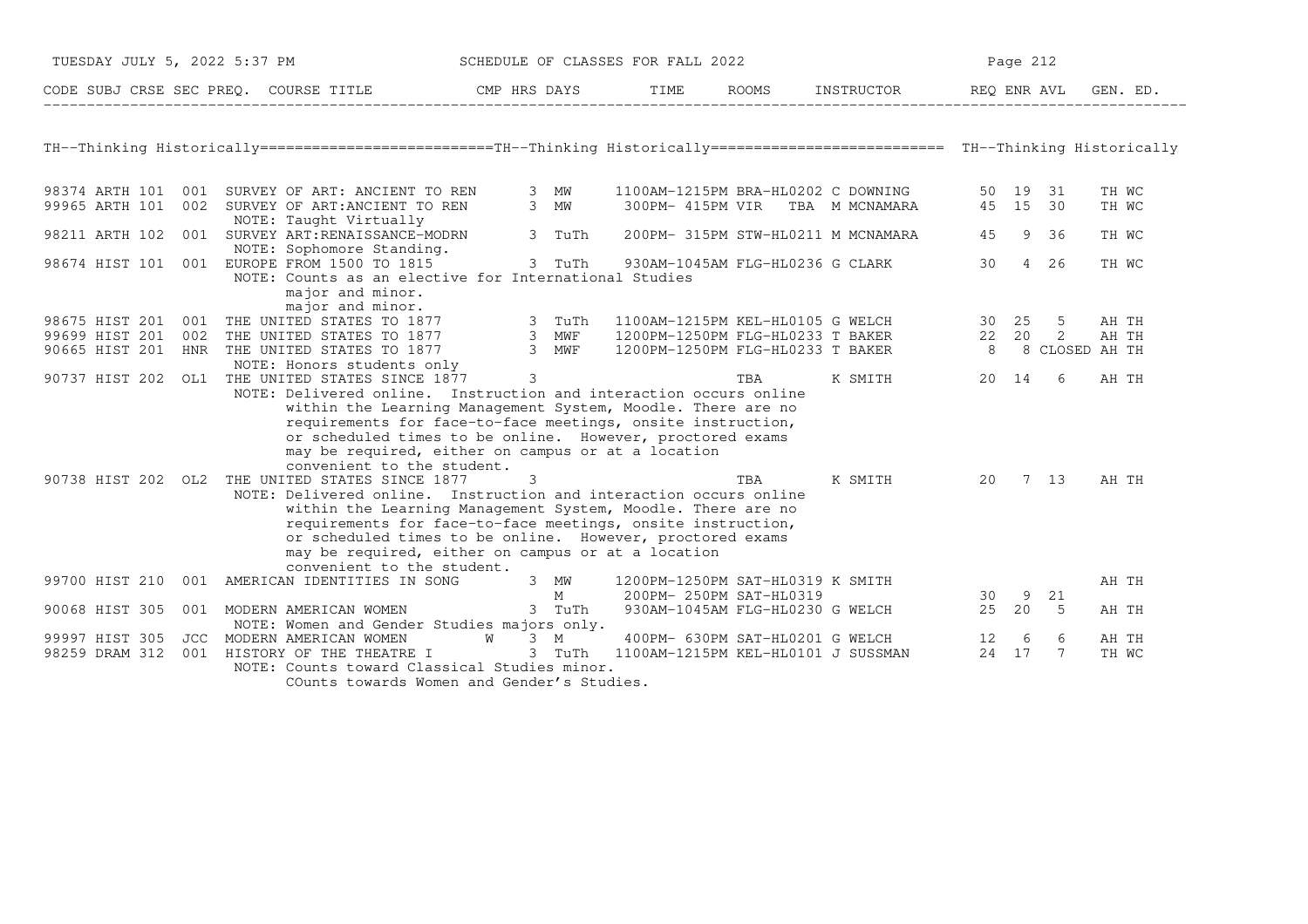| TUESDAY JULY 5, 2022 5:37 PM |  |                                                                                                                                                                                                                                                                                                                                                                                                                                                                    |        |        | SCHEDULE OF CLASSES FOR FALL 2022                             |                                 |                                                                                                                                                                                                                                                                                                                                                                                                     |                  |                      | Page 212    |                |  |  |
|------------------------------|--|--------------------------------------------------------------------------------------------------------------------------------------------------------------------------------------------------------------------------------------------------------------------------------------------------------------------------------------------------------------------------------------------------------------------------------------------------------------------|--------|--------|---------------------------------------------------------------|---------------------------------|-----------------------------------------------------------------------------------------------------------------------------------------------------------------------------------------------------------------------------------------------------------------------------------------------------------------------------------------------------------------------------------------------------|------------------|----------------------|-------------|----------------|--|--|
|                              |  | CODE SUBJ CRSE SEC PREQ. COURSE TITLE THE CMP HRS DAYS                                                                                                                                                                                                                                                                                                                                                                                                             |        |        |                                                               |                                 | TIME ROOMS INSTRUCTOR REQ ENR AVL                                                                                                                                                                                                                                                                                                                                                                   |                  |                      |             | GEN. ED.       |  |  |
|                              |  |                                                                                                                                                                                                                                                                                                                                                                                                                                                                    |        |        |                                                               |                                 |                                                                                                                                                                                                                                                                                                                                                                                                     |                  |                      |             |                |  |  |
|                              |  | TH--Thinking Historically=========================TH--Thinking Historically========================= TH--Thinking Historically                                                                                                                                                                                                                                                                                                                                     |        |        |                                                               |                                 |                                                                                                                                                                                                                                                                                                                                                                                                     |                  |                      |             |                |  |  |
| 99965 ARTH 101               |  | 98374 ARTH 101 001 SURVEY OF ART: ANCIENT TO REN 3 MW<br>002 SURVEY OF ART: ANCIENT TO REN<br>NOTE: Taught Virtually                                                                                                                                                                                                                                                                                                                                               |        | 3 MW   |                                                               | 300PM- 415PM VIR TBA M MCNAMARA | 1100AM-1215PM BRA-HL0202 C DOWNING                                                                                                                                                                                                                                                                                                                                                                  |                  | 50 19 31<br>45 15 30 |             | TH WC<br>TH WC |  |  |
| 98211 ARTH 102               |  | 001 SURVEY ART: RENAISSANCE-MODRN                                                                                                                                                                                                                                                                                                                                                                                                                                  |        | 3 TuTh |                                                               |                                 | 200PM- 315PM STW-HL0211 M MCNAMARA                                                                                                                                                                                                                                                                                                                                                                  | 45               |                      | 9 36        | TH WC          |  |  |
|                              |  | NOTE: Sophomore Standing.<br>98674 HIST 101 001 EUROPE FROM 1500 TO 1815                                                                                                                                                                                                                                                                                                                                                                                           | 3 TuTh |        |                                                               |                                 | 930AM-1045AM FLG-HL0236 G CLARK                                                                                                                                                                                                                                                                                                                                                                     | 30 a             |                      | 4 26        | TH WC          |  |  |
|                              |  | NOTE: Counts as an elective for International Studies<br>major and minor.<br>major and minor.                                                                                                                                                                                                                                                                                                                                                                      |        |        |                                                               |                                 |                                                                                                                                                                                                                                                                                                                                                                                                     |                  |                      |             |                |  |  |
|                              |  | 98675 HIST 201 001 THE UNITED STATES TO 1877 3 TuTh                                                                                                                                                                                                                                                                                                                                                                                                                |        |        |                                                               |                                 | 1100AM-1215PM KEL-HL0105 G WELCH 30 25                                                                                                                                                                                                                                                                                                                                                              |                  |                      | 5           | AH TH          |  |  |
| 99699 HIST 201               |  | 002 THE UNITED STATES TO 1877 3 MWF<br>HNR THE UNITED STATES TO 1877 3 MWF                                                                                                                                                                                                                                                                                                                                                                                         |        |        | 1200PM-1250PM FLG-HL0233 T BAKER                              |                                 |                                                                                                                                                                                                                                                                                                                                                                                                     | 22 20            |                      | 2           | AH TH          |  |  |
| 90665 HIST 201               |  |                                                                                                                                                                                                                                                                                                                                                                                                                                                                    |        |        | 1200PM-1250PM FLG-HL0233 T BAKER                              |                                 |                                                                                                                                                                                                                                                                                                                                                                                                     | 8 8 CLOSED AH TH |                      |             |                |  |  |
|                              |  | NOTE: Honors students only<br>90737 HIST 202 OL1 THE UNITED STATES SINCE 1877 3<br>NOTE: Delivered online. Instruction and interaction occurs online                                                                                                                                                                                                                                                                                                               |        |        |                                                               | TBA                             | K SMITH                                                                                                                                                                                                                                                                                                                                                                                             |                  | 20 14                | 6           | AH TH          |  |  |
|                              |  | within the Learning Management System, Moodle. There are no<br>requirements for face-to-face meetings, onsite instruction,<br>or scheduled times to be online. However, proctored exams<br>may be required, either on campus or at a location<br>convenient to the student.<br>90738 HIST 202 OL2 THE UNITED STATES SINCE 1877<br>NOTE: Delivered online. Instruction and interaction occurs online<br>within the Learning Management System, Moodle. There are no | 3      |        |                                                               | TBA                             | K SMITH                                                                                                                                                                                                                                                                                                                                                                                             | 20               |                      | 7 13        | AH TH          |  |  |
|                              |  | requirements for face-to-face meetings, onsite instruction,<br>or scheduled times to be online. However, proctored exams<br>may be required, either on campus or at a location<br>convenient to the student.                                                                                                                                                                                                                                                       |        |        |                                                               |                                 |                                                                                                                                                                                                                                                                                                                                                                                                     |                  |                      |             |                |  |  |
|                              |  | 99700 HIST 210 001 AMERICAN IDENTITIES IN SONG 3 MW                                                                                                                                                                                                                                                                                                                                                                                                                |        |        | 1200PM-1250PM SAT-HL0319 K SMITH<br>M 200PM- 250PM SAT-HL0319 |                                 | $\frac{1}{\sqrt{2\pi}}\frac{1}{\sqrt{2\pi}}\frac{1}{\sqrt{2\pi}}\frac{1}{\sqrt{2\pi}}\frac{1}{\sqrt{2\pi}}\frac{1}{\sqrt{2\pi}}\frac{1}{\sqrt{2\pi}}\frac{1}{\sqrt{2\pi}}\frac{1}{\sqrt{2\pi}}\frac{1}{\sqrt{2\pi}}\frac{1}{\sqrt{2\pi}}\frac{1}{\sqrt{2\pi}}\frac{1}{\sqrt{2\pi}}\frac{1}{\sqrt{2\pi}}\frac{1}{\sqrt{2\pi}}\frac{1}{\sqrt{2\pi}}\frac{1}{\sqrt{2\pi}}\frac{1}{\sqrt{2\pi}}\frac{1$ | $\frac{30}{25}$  |                      |             | AH TH          |  |  |
| 90068 HIST 305               |  | 001 MODERN AMERICAN WOMEN                                                                                                                                                                                                                                                                                                                                                                                                                                          |        | 3 TuTh |                                                               | 930AM-1045AM FLG-HL0230 G WELCH |                                                                                                                                                                                                                                                                                                                                                                                                     | 25 20            |                      | 9 21<br>- 5 | AH TH          |  |  |
|                              |  | NOTE: Women and Gender Studies majors only.                                                                                                                                                                                                                                                                                                                                                                                                                        |        |        |                                                               |                                 |                                                                                                                                                                                                                                                                                                                                                                                                     |                  |                      |             |                |  |  |
| 99997 HIST 305               |  | JCC MODERN AMERICAN WOMEN W 3 M                                                                                                                                                                                                                                                                                                                                                                                                                                    |        |        |                                                               |                                 | 400PM- 630PM SAT-HL0201 G WELCH 12 6                                                                                                                                                                                                                                                                                                                                                                |                  |                      | 6           | AH TH          |  |  |
| 98259 DRAM 312               |  | 001 HISTORY OF THE THEATRE I                                                                                                                                                                                                                                                                                                                                                                                                                                       |        |        | 3 TuTh 1100AM-1215PM KEL-HL0101 J SUSSMAN                     |                                 |                                                                                                                                                                                                                                                                                                                                                                                                     |                  | 24 17                | 7           | TH WC          |  |  |
|                              |  | NOTE: Counts toward Classical Studies minor.                                                                                                                                                                                                                                                                                                                                                                                                                       |        |        |                                                               |                                 |                                                                                                                                                                                                                                                                                                                                                                                                     |                  |                      |             |                |  |  |
|                              |  | COunts towards Women and Gender's Studies.                                                                                                                                                                                                                                                                                                                                                                                                                         |        |        |                                                               |                                 |                                                                                                                                                                                                                                                                                                                                                                                                     |                  |                      |             |                |  |  |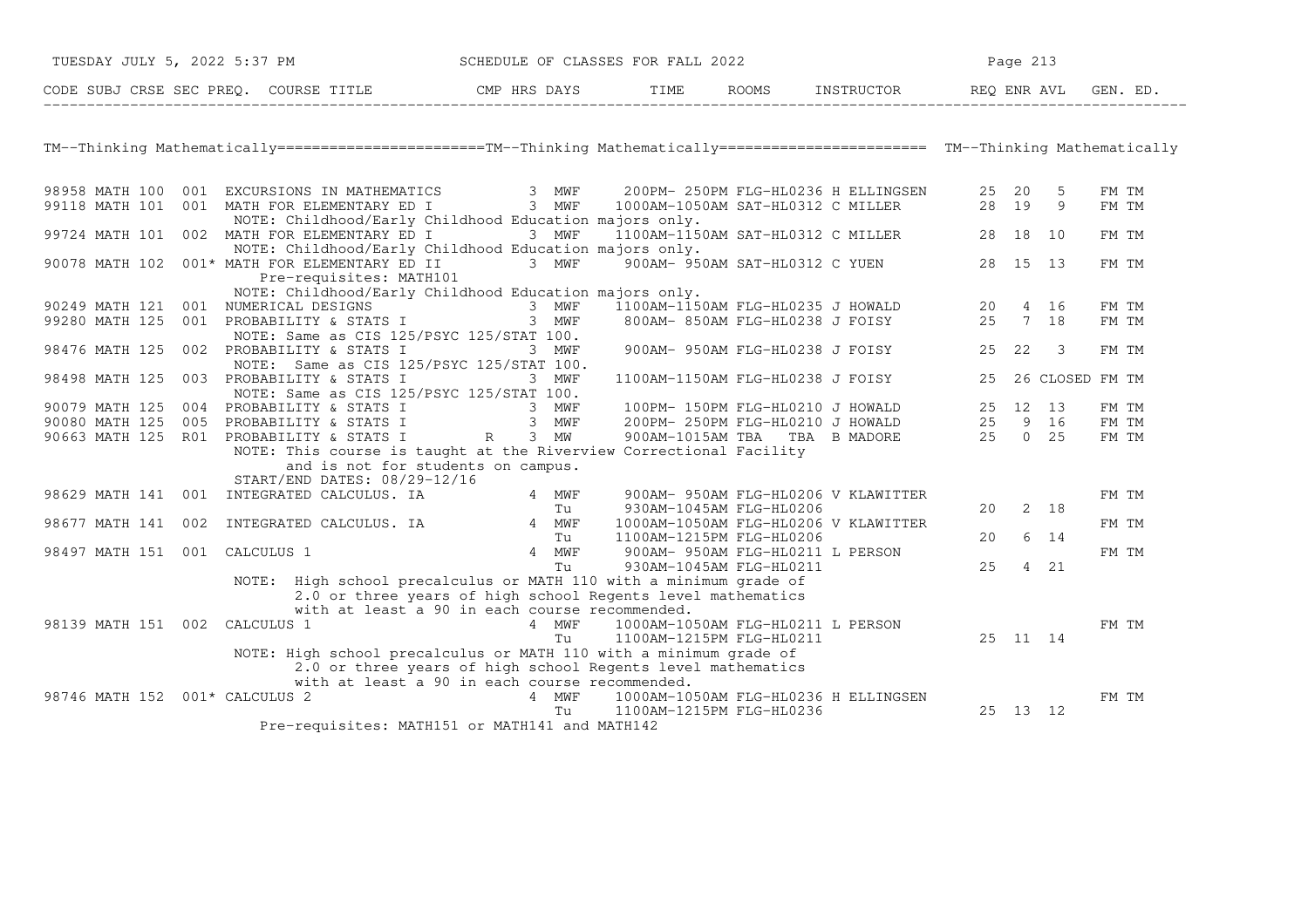| TUESDAY JULY 5, 2022 5:37 PM |                                               |                                                                                                                                                                                                                                                        |       | SCHEDULE OF CLASSES FOR FALL 2022                                                                                            |                                                                           |          | Page 213 |                          |                 |
|------------------------------|-----------------------------------------------|--------------------------------------------------------------------------------------------------------------------------------------------------------------------------------------------------------------------------------------------------------|-------|------------------------------------------------------------------------------------------------------------------------------|---------------------------------------------------------------------------|----------|----------|--------------------------|-----------------|
|                              |                                               | CODE SUBJ CRSE SEC PREQ. COURSE TITLE THE THE ROOMS INSTRUCTOR REQ ENR AVL GEN. ED.                                                                                                                                                                    |       |                                                                                                                              |                                                                           |          |          |                          |                 |
|                              |                                               |                                                                                                                                                                                                                                                        |       |                                                                                                                              |                                                                           |          |          |                          |                 |
|                              |                                               | TM--Thinking Mathematically======================TM--Thinking Mathematically======================== TM--Thinking Mathematically                                                                                                                       |       |                                                                                                                              |                                                                           |          |          |                          |                 |
|                              |                                               |                                                                                                                                                                                                                                                        |       |                                                                                                                              |                                                                           |          |          |                          | FM TM           |
|                              |                                               | 98958 MATH 100 001 EXCURSIONS IN MATHEMATICS 3 MWF 200PM-250PM FLG-HL0236 H ELLINGSEN 25 20 5<br>99118 MATH 101 001 MATH FOR ELEMENTARY ED I 3 MWF 1000AM-1050AM SAT-HL0312 C MILLER 28 19 9<br>NOTE: Childhood/Early Childhood Education majors only. |       |                                                                                                                              |                                                                           |          |          |                          | FM TM           |
|                              | 99724 MATH 101 002 MATH FOR ELEMENTARY ED I   | 3 MWF<br>NOTE: Childhood/Early Childhood Education majors only.                                                                                                                                                                                        |       |                                                                                                                              |                                                                           |          |          |                          | FM TM           |
|                              | 90078 MATH 102 001* MATH FOR ELEMENTARY ED II | Pre-requisites: MATH101                                                                                                                                                                                                                                |       | 3 MWF 900AM- 950AM SAT-HL0312 C YUEN 28 15 13                                                                                |                                                                           |          |          |                          | FM TM           |
|                              |                                               | NOTE: Childhood/Early Childhood Education majors only.                                                                                                                                                                                                 |       |                                                                                                                              |                                                                           |          |          |                          | FM TM           |
|                              |                                               | NOTE: CHILDROOD/EATLY CHILDROOD EQUICATION MAJORS ONLY.<br>3 MWF 1100AM-1150AM FLG-HL0235 J HOWALD 20 4 16<br>99280 MATH 125 001 PROBABILITY & STATS I 3 MWF 800AM-850AM FLG-HL0238 J FOISY 25 7 18                                                    |       |                                                                                                                              |                                                                           |          |          |                          | FM TM           |
|                              | 98476 MATH 125 002 PROBABILITY & STATS I      | NOTE: Same as CIS 125/PSYC 125/STAT 100.                                                                                                                                                                                                               | 3 MWF |                                                                                                                              | 900AM- 950AM FLG-HL0238 J FOISY 25 22                                     |          |          | $\overline{\phantom{a}}$ | FM TM           |
| 98498 MATH 125               | 003 PROBABILITY & STATS I                     | NOTE: Same as CIS 125/PSYC 125/STAT 100.<br>3 MWF                                                                                                                                                                                                      |       |                                                                                                                              | 1100AM-1150AM FLG-HL0238 J FOISY 25                                       |          |          |                          | 26 CLOSED FM TM |
|                              |                                               | NOTE: Same as CIS 125/PSYC 125/STAT 100.                                                                                                                                                                                                               |       |                                                                                                                              |                                                                           |          |          |                          | FM TM           |
|                              |                                               |                                                                                                                                                                                                                                                        |       |                                                                                                                              |                                                                           |          |          |                          | FM TM           |
|                              |                                               |                                                                                                                                                                                                                                                        |       | 100PM-150PM FLG-HL0210 J HOWALD 25 12 13<br>200PM-250PM FLG-HL0210 J HOWALD 25 9 16<br>900AM-1015AM TBA TBA B MADORE 25 0 25 |                                                                           |          |          |                          | FM TM           |
|                              |                                               | NOTE: This course is taught at the Riverview Correctional Facility                                                                                                                                                                                     |       |                                                                                                                              |                                                                           |          |          |                          |                 |
|                              |                                               | and is not for students on campus.<br>START/END DATES: 08/29-12/16                                                                                                                                                                                     |       |                                                                                                                              |                                                                           |          |          |                          |                 |
|                              |                                               | 98629 MATH 141 001 INTEGRATED CALCULUS. IA 4 MWF                                                                                                                                                                                                       |       | 900AM- 950AM FLG-HL0206 V KLAWITTER                                                                                          |                                                                           |          |          |                          | FM TM           |
|                              |                                               |                                                                                                                                                                                                                                                        | Tu    | 930AM-1045AM FLG-HL0206                                                                                                      |                                                                           | 20 2 18  |          |                          |                 |
| 98677 MATH 141 002           |                                               | INTEGRATED CALCULUS. IA 14 MWF                                                                                                                                                                                                                         |       |                                                                                                                              | 1000AM-1050AM FLG-HL0206 V KLAWITTER                                      |          |          |                          | FM TM           |
|                              |                                               |                                                                                                                                                                                                                                                        | Tu    | 1100AM-1215PM FLG-HL0206                                                                                                     |                                                                           | 20 6 14  |          |                          |                 |
|                              | 98497 MATH 151 001 CALCULUS 1                 |                                                                                                                                                                                                                                                        |       | 900AM- 950AM FLG-HL0211 L PERSON                                                                                             |                                                                           |          |          |                          | FM TM           |
|                              |                                               |                                                                                                                                                                                                                                                        | Tu    | 930AM-1045AM FLG-HL0211                                                                                                      |                                                                           | 25       |          | 4 21                     |                 |
|                              |                                               | NOTE: High school precalculus or MATH 110 with a minimum grade of                                                                                                                                                                                      |       |                                                                                                                              |                                                                           |          |          |                          |                 |
|                              |                                               | 2.0 or three years of high school Regents level mathematics                                                                                                                                                                                            |       |                                                                                                                              |                                                                           |          |          |                          |                 |
|                              |                                               | with at least a 90 in each course recommended.                                                                                                                                                                                                         |       |                                                                                                                              |                                                                           |          |          |                          |                 |
|                              | 98139 MATH 151 002 CALCULUS 1                 |                                                                                                                                                                                                                                                        | 4 MWF |                                                                                                                              | 1000AM-1050AM FLG-HL0211 L PERSON<br>1100AM-1215PM FLG-HL0211 25 25 11 14 |          |          |                          | FM TM           |
|                              |                                               |                                                                                                                                                                                                                                                        | Tu    |                                                                                                                              |                                                                           |          |          |                          |                 |
|                              |                                               | NOTE: High school precalculus or MATH 110 with a minimum grade of                                                                                                                                                                                      |       |                                                                                                                              |                                                                           |          |          |                          |                 |
|                              |                                               | 2.0 or three years of high school Regents level mathematics                                                                                                                                                                                            |       |                                                                                                                              |                                                                           |          |          |                          |                 |
|                              |                                               | with at least a 90 in each course recommended.                                                                                                                                                                                                         |       |                                                                                                                              |                                                                           |          |          |                          |                 |
|                              | 98746 MATH 152 001* CALCULUS 2                |                                                                                                                                                                                                                                                        | 4 MWF |                                                                                                                              | 1000AM-1050AM FLG-HL0236 H ELLINGSEN                                      |          |          |                          | FM TM           |
|                              |                                               |                                                                                                                                                                                                                                                        | Tu    | 1100AM-1215PM FLG-HL0236                                                                                                     |                                                                           | 25 13 12 |          |                          |                 |
|                              |                                               | Pre-requisites: MATH151 or MATH141 and MATH142                                                                                                                                                                                                         |       |                                                                                                                              |                                                                           |          |          |                          |                 |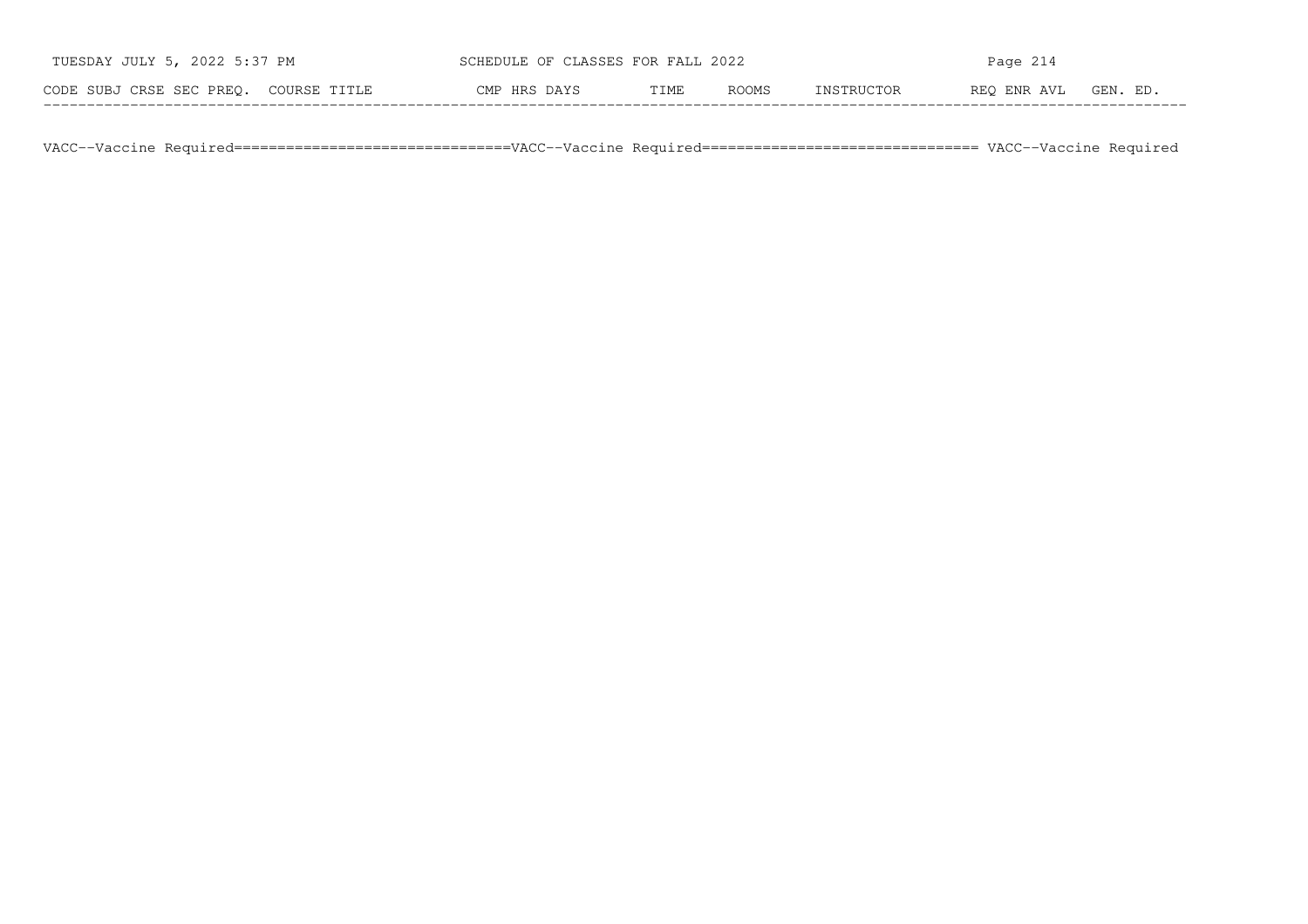| TUESDAY JULY 5, 2022 5:37 PM          | SCHEDULE OF CLASSES FOR FALL 2022 |      |              | Page 214   |             |          |  |  |
|---------------------------------------|-----------------------------------|------|--------------|------------|-------------|----------|--|--|
| CODE SUBJ CRSE SEC PREO. COURSE TITLE | CMP HRS DAYS                      | TIME | <b>ROOMS</b> | INSTRUCTOR | REO ENR AVL | GEN. ED. |  |  |

VACC−−Vaccine Required================================VACC−−Vaccine Required================================ VACC−−Vaccine Required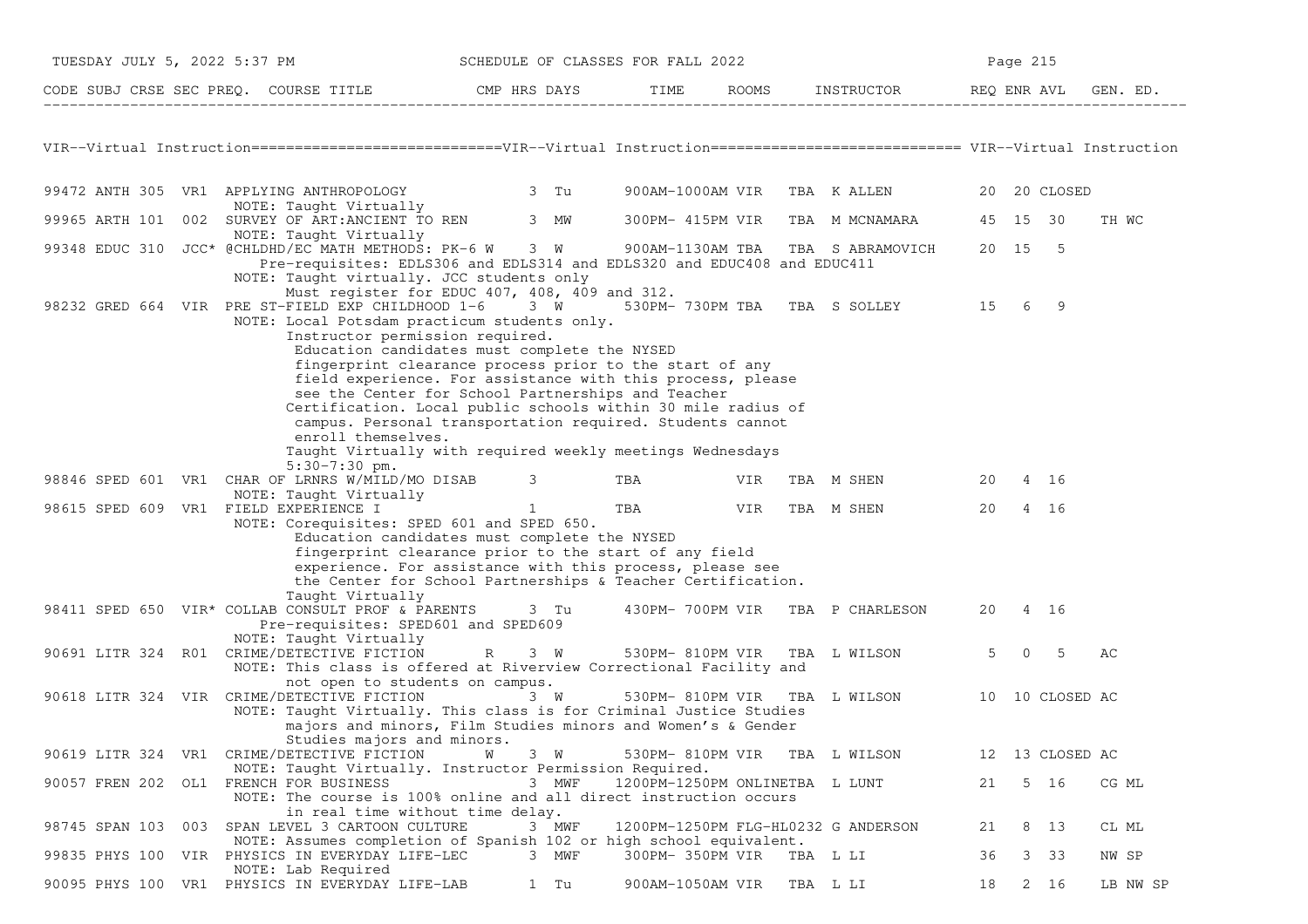| TUESDAY JULY 5, 2022 5:37 PM                                                                                                      |                                                                                                                                                                                                                                                                                                                                  |                   | SCHEDULE OF CLASSES FOR FALL 2022 |     |                                     | Page 215    |                 |          |
|-----------------------------------------------------------------------------------------------------------------------------------|----------------------------------------------------------------------------------------------------------------------------------------------------------------------------------------------------------------------------------------------------------------------------------------------------------------------------------|-------------------|-----------------------------------|-----|-------------------------------------|-------------|-----------------|----------|
| CODE SUBJ CRSE SEC PREQ. COURSE TITLE THE ROOMS INSTRUCTOR THE ROOMS EN REQ ENR AVL GEN. ED.                                      |                                                                                                                                                                                                                                                                                                                                  |                   |                                   |     |                                     |             |                 |          |
|                                                                                                                                   |                                                                                                                                                                                                                                                                                                                                  |                   |                                   |     |                                     |             |                 |          |
| VIR--Virtual Instruction=============================VIR--Virtual Instruction=========================== VIR--Virtual Instruction |                                                                                                                                                                                                                                                                                                                                  |                   |                                   |     |                                     |             |                 |          |
| 99472 ANTH 305 VR1 APPLYING ANTHROPOLOGY 3 Tu                                                                                     | NOTE: Taught Virtually                                                                                                                                                                                                                                                                                                           |                   | 900AM-1000AM VIR                  |     | TBA KALLEN                          |             | 20 20 CLOSED    |          |
| 99965 ARTH 101 002 SURVEY OF ART: ANCIENT TO REN 3 MW                                                                             |                                                                                                                                                                                                                                                                                                                                  |                   | 300PM- 415PM VIR                  |     | TBA M MCNAMARA                      | 45 15 30    |                 | TH WC    |
| NOTE: Taught Virtually<br>99348 EDUC 310 JCC* @CHLDHD/EC MATH METHODS: PK-6 W                                                     | Pre-requisites: EDLS306 and EDLS314 and EDLS320 and EDUC408 and EDUC411<br>NOTE: Taught virtually. JCC students only                                                                                                                                                                                                             | 3 W               | 900AM-1130AM TBA                  |     | TBA S ABRAMOVICH                    | 20 15 5     |                 |          |
| 98232 GRED 664 VIR PRE ST-FIELD EXP CHILDHOOD 1-6 3 W                                                                             | Must register for EDUC 407, 408, 409 and 312.<br>NOTE: Local Potsdam practicum students only.<br>Instructor permission required.<br>Education candidates must complete the NYSED<br>fingerprint clearance process prior to the start of any                                                                                      |                   |                                   |     | 530PM- 730PM TBA TBA S SOLLEY 15    |             | 6 9             |          |
|                                                                                                                                   | field experience. For assistance with this process, please<br>see the Center for School Partnerships and Teacher<br>Certification. Local public schools within 30 mile radius of<br>campus. Personal transportation required. Students cannot<br>enroll themselves.<br>Taught Virtually with required weekly meetings Wednesdays |                   |                                   |     |                                     |             |                 |          |
| 98846 SPED 601 VR1 CHAR OF LRNRS W/MILD/MO DISAB 3                                                                                | $5:30-7:30$ pm.                                                                                                                                                                                                                                                                                                                  |                   | TBA                               | VIR | TBA M SHEN                          | 20          | 4 16            |          |
| 98615 SPED 609 VR1 FIELD EXPERIENCE I                                                                                             | NOTE: Taught Virtually                                                                                                                                                                                                                                                                                                           | $1 \qquad \qquad$ | TBA VIR                           |     | TBA M SHEN                          | 20          | 4 16            |          |
|                                                                                                                                   | NOTE: Corequisites: SPED 601 and SPED 650.<br>Education candidates must complete the NYSED<br>fingerprint clearance prior to the start of any field<br>experience. For assistance with this process, please see<br>the Center for School Partnerships & Teacher Certification.<br>Taught Virtually                               |                   |                                   |     |                                     |             |                 |          |
| 98411 SPED 650 VIR* COLLAB CONSULT PROF & PARENTS 3 Tu<br>NOTE: Taught Virtually                                                  | Pre-requisites: SPED601 and SPED609                                                                                                                                                                                                                                                                                              |                   |                                   |     | 430PM-700PM VIR TBA P CHARLESON     | 20 4 16     |                 |          |
| 90691 LITR 324 R01 CRIME/DETECTIVE FICTION                                                                                        | NOTE: This class is offered at Riverview Correctional Facility and<br>not open to students on campus.                                                                                                                                                                                                                            |                   |                                   |     | R 3 W 530PM-810PM VIR TBA LWILSON   | $5^{\circ}$ | $0\quad 5$      | AС       |
| 90618 LITR 324 VIR CRIME/DETECTIVE FICTION                                                                                        | NOTE: Taught Virtually. This class is for Criminal Justice Studies<br>majors and minors, Film Studies minors and Women's & Gender<br>Studies majors and minors.                                                                                                                                                                  | 3 W               | 530PM- 810PM VIR                  |     | TBA L WILSON 10 10 CLOSED AC        |             |                 |          |
| 90619 LITR 324 VR1 CRIME/DETECTIVE FICTION                                                                                        | <b>M</b>                                                                                                                                                                                                                                                                                                                         | 3 W               | 530PM- 810PM VIR                  |     | TBA L WILSON                        |             | 12 13 CLOSED AC |          |
| 90057 FREN 202 OL1 FRENCH FOR BUSINESS                                                                                            | NOTE: Taught Virtually. Instructor Permission Required.<br>NOTE: The course is 100% online and all direct instruction occurs<br>in real time without time delay.                                                                                                                                                                 | 3 MWF             |                                   |     | 1200PM-1250PM ONLINETBA L LUNT      | 21          | 5 16            | CG ML    |
| 98745 SPAN 103 003                                                                                                                | SPAN LEVEL 3 CARTOON CULTURE<br>NOTE: Assumes completion of Spanish 102 or high school equivalent.                                                                                                                                                                                                                               | 3 MWF             |                                   |     | 1200PM-1250PM FLG-HL0232 G ANDERSON | 21          | 8 13            | CL ML    |
| 99835 PHYS 100 VIR PHYSICS IN EVERYDAY LIFE-LEC<br>NOTE: Lab Required                                                             |                                                                                                                                                                                                                                                                                                                                  | 3 MWF             | 300PM- 350PM VIR                  |     | TBA L LI                            | 36          | $3 \quad 33$    | NW SP    |
| 90095 PHYS 100 VR1 PHYSICS IN EVERYDAY LIFE-LAB                                                                                   |                                                                                                                                                                                                                                                                                                                                  | 1 Tu              | 900AM-1050AM VIR                  |     | TBA L LI                            | 18          | 2 16            | LB NW SP |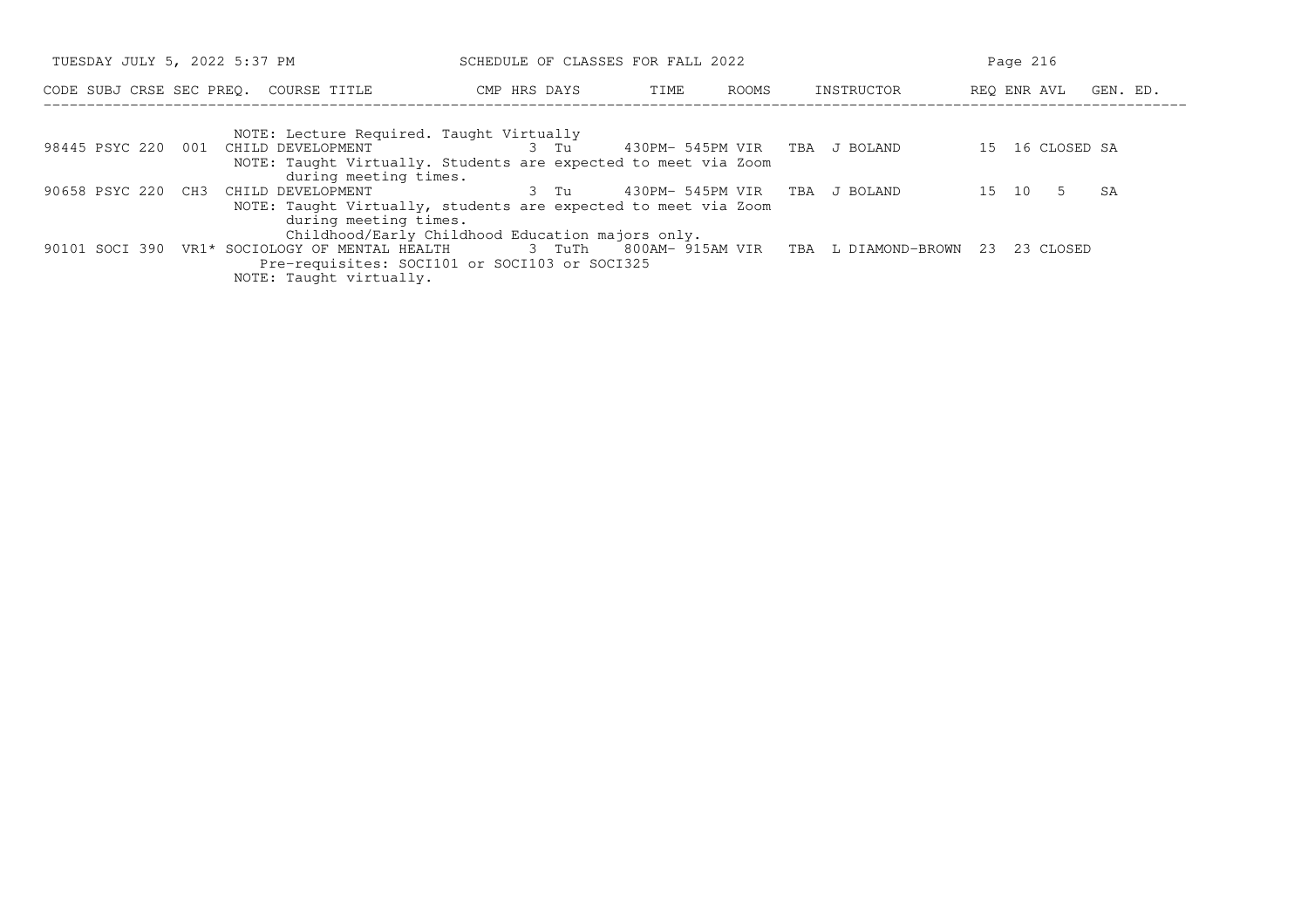| TUESDAY JULY 5, 2022 5:37 PM |  |                                                                                                                                                                                | SCHEDULE OF CLASSES FOR FALL 2022 |                                   |       |  | Page 216                                   |  |                      |    |  |
|------------------------------|--|--------------------------------------------------------------------------------------------------------------------------------------------------------------------------------|-----------------------------------|-----------------------------------|-------|--|--------------------------------------------|--|----------------------|----|--|
|                              |  | CODE SUBJ CRSE SEC PREQ. COURSE TITLE                                                                                                                                          | CMP HRS DAYS                      | TIME                              | ROOMS |  | INSTRUCTOR                                 |  | REO ENR AVL GEN. ED. |    |  |
|                              |  | NOTE: Lecture Required. Taught Virtually<br>98445 PSYC 220 001 CHILD DEVELOPMENT<br>NOTE: Taught Virtually. Students are expected to meet via Zoom<br>during meeting times.    |                                   | 3 Tu 430PM-545PM VIR TBA J BOLAND |       |  |                                            |  | 15 16 CLOSED SA      |    |  |
| 90658 PSYC 220 CH3           |  | CHILD DEVELOPMENT<br>NOTE: Taught Virtually, students are expected to meet via Zoom<br>during meeting times.                                                                   | 3 Tu                              | 430PM- 545PM VIR                  |       |  | TBA J BOLAND                               |  | 15 10<br>-5          | SA |  |
|                              |  | Childhood/Early Childhood Education majors only.<br>90101 SOCI 390 VR1* SOCIOLOGY OF MENTAL HEALTH<br>Pre-requisites: SOCI101 or SOCI103 or SOCI325<br>NOTE: Taught virtually. |                                   |                                   |       |  | 3 TuTh 800AM-915AM VIR TBA L DIAMOND-BROWN |  | 23 23 CLOSED         |    |  |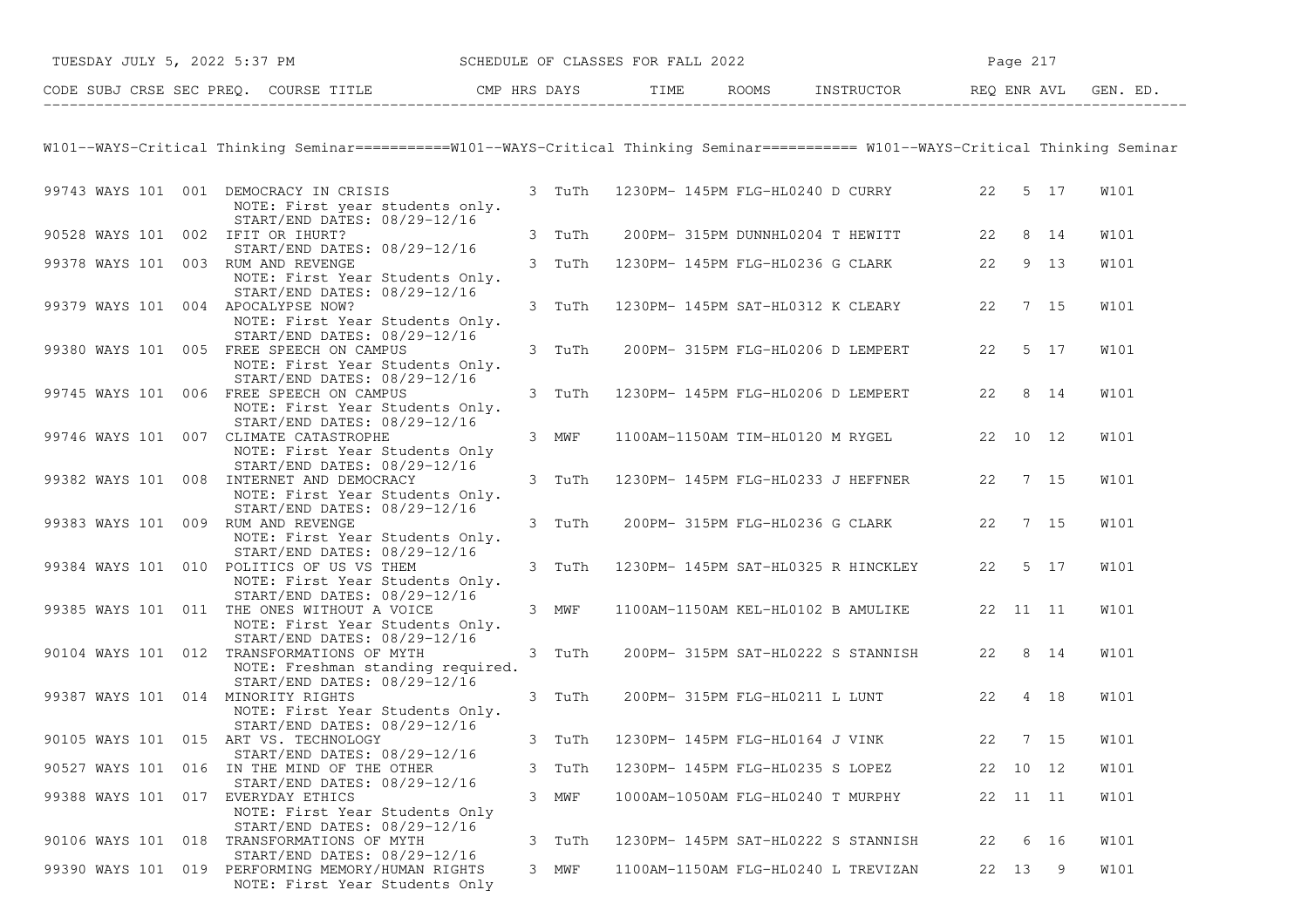| TUESDAY JULY 5, 2022 5:37 PM SCHEDULE OF CLASSES FOR FALL 2022                                                                        |        |  |                                             | Page 217 |      |   |             |
|---------------------------------------------------------------------------------------------------------------------------------------|--------|--|---------------------------------------------|----------|------|---|-------------|
| CODE SUBJ CRSE SEC PREQ. COURSE TITLE THE THE THE ROOMS INSTRUCTOR THE REQ ENR AVL GEN. ED.                                           |        |  |                                             |          |      |   |             |
| W101--WAYS-Critical Thinking Seminar===========W101--WAYS-Critical Thinking Seminar========== W101--WAYS-Critical Thinking Seminar    |        |  |                                             |          |      |   |             |
| 99743 WAYS 101 001 DEMOCRACY IN CRISIS<br>NOTE: First year students only.                                                             | 3 TuTh |  | 1230PM- 145PM FLG-HL0240 D CURRY 22 5 17    |          |      |   | W101        |
| START/END DATES: 08/29-12/16<br>90528 WAYS 101 002 IFIT OR IHURT?                                                                     | 3 TuTh |  | 200PM- 315PM DUNNHL0204 T HEWITT 22         |          | 8 14 |   | W101        |
| START/END DATES: 08/29-12/16<br>99378 WAYS 101 003 RUM AND REVENGE<br>NOTE: First Year Students Only.                                 | 3 TuTh |  | 1230PM- 145PM FLG-HL0236 G CLARK 22         |          | 9 13 |   | W101        |
| START/END DATES: 08/29-12/16<br>99379 WAYS 101 004 APOCALYPSE NOW?<br>NOTE: First Year Students Only.<br>START/END DATES: 08/29-12/16 | 3 TuTh |  | 1230PM- 145PM SAT-HL0312 K CLEARY 22 7 15   |          |      |   | W101        |
| 99380 WAYS 101 005 FREE SPEECH ON CAMPUS<br>NOTE: First Year Students Only.<br>START/END DATES: 08/29-12/16                           | 3 TuTh |  | 200PM- 315PM FLG-HL0206 D LEMPERT 22        |          | 5 17 |   | W101        |
| 99745 WAYS 101 006 FREE SPEECH ON CAMPUS<br>NOTE: First Year Students Only.<br>START/END DATES: 08/29-12/16                           | 3 TuTh |  | 1230PM- 145PM FLG-HL0206 D LEMPERT          | 22 8 14  |      |   | W101        |
| 99746 WAYS 101 007 CLIMATE CATASTROPHE<br>NOTE: First Year Students Only<br>START/END DATES: 08/29-12/16                              | 3 MWF  |  | 1100AM-1150AM TIM-HL0120 M RYGEL 22 10 12   |          |      |   | W101        |
| 99382 WAYS 101 008 INTERNET AND DEMOCRACY<br>NOTE: First Year Students Only.<br>START/END DATES: 08/29-12/16                          | 3 TuTh |  | 1230PM- 145PM FLG-HL0233 J HEFFNER 22 7 15  |          |      |   | <b>W101</b> |
| 99383 WAYS 101 009 RUM AND REVENGE<br>NOTE: First Year Students Only.<br>START/END DATES: 08/29-12/16                                 | 3 TuTh |  | 200PM- 315PM FLG-HL0236 G CLARK 22          |          | 7 15 |   | W101        |
| 99384 WAYS 101 010 POLITICS OF US VS THEM<br>NOTE: First Year Students Only.<br>START/END DATES: 08/29-12/16                          | 3 TuTh |  | 1230PM- 145PM SAT-HL0325 R HINCKLEY         | 22 5 17  |      |   | <b>W101</b> |
| 99385 WAYS 101 011 THE ONES WITHOUT A VOICE<br>NOTE: First Year Students Only.<br>START/END DATES: 08/29-12/16                        | 3 MWF  |  | 1100AM-1150AM KEL-HL0102 B AMULIKE 22 11 11 |          |      |   | <b>W101</b> |
| 90104 WAYS 101 012 TRANSFORMATIONS OF MYTH<br>NOTE: Freshman standing required.<br>START/END DATES: 08/29-12/16                       | 3 TuTh |  | 200PM- 315PM SAT-HL0222 S STANNISH          | 22 8 14  |      |   | W101        |
| 99387 WAYS 101 014 MINORITY RIGHTS<br>NOTE: First Year Students Only.<br>START/END DATES: 08/29-12/16                                 | 3 TuTh |  | 200PM- 315PM FLG-HL0211 L LUNT              | 22 4 18  |      |   | W101        |
| 90105 WAYS 101 015 ART VS. TECHNOLOGY<br>START/END DATES: 08/29-12/16                                                                 | 3 TuTh |  | 1230PM- 145PM FLG-HL0164 J VINK 22 7 15     |          |      |   | <b>W101</b> |
| 90527 WAYS 101 016 IN THE MIND OF THE OTHER<br>START/END DATES: 08/29-12/16                                                           | 3 TuTh |  | 1230PM- 145PM FLG-HL0235 S LOPEZ            | 22 10 12 |      |   | <b>W101</b> |
| 99388 WAYS 101 017 EVERYDAY ETHICS<br>NOTE: First Year Students Only<br>START/END DATES: 08/29-12/16                                  | 3 MWF  |  | 1000AM-1050AM FLG-HL0240 T MURPHY           | 22 11 11 |      |   | W101        |
| 90106 WAYS 101 018 TRANSFORMATIONS OF MYTH<br>START/END DATES: 08/29-12/16                                                            | 3 TuTh |  | 1230PM- 145PM SAT-HL0222 S STANNISH         | 22       | 6 16 |   | W101        |
| 99390 WAYS 101 019 PERFORMING MEMORY/HUMAN RIGHTS<br>NOTE: First Year Students Only                                                   | 3 MWF  |  | 1100AM-1150AM FLG-HL0240 L TREVIZAN         | 22 13    |      | 9 | W101        |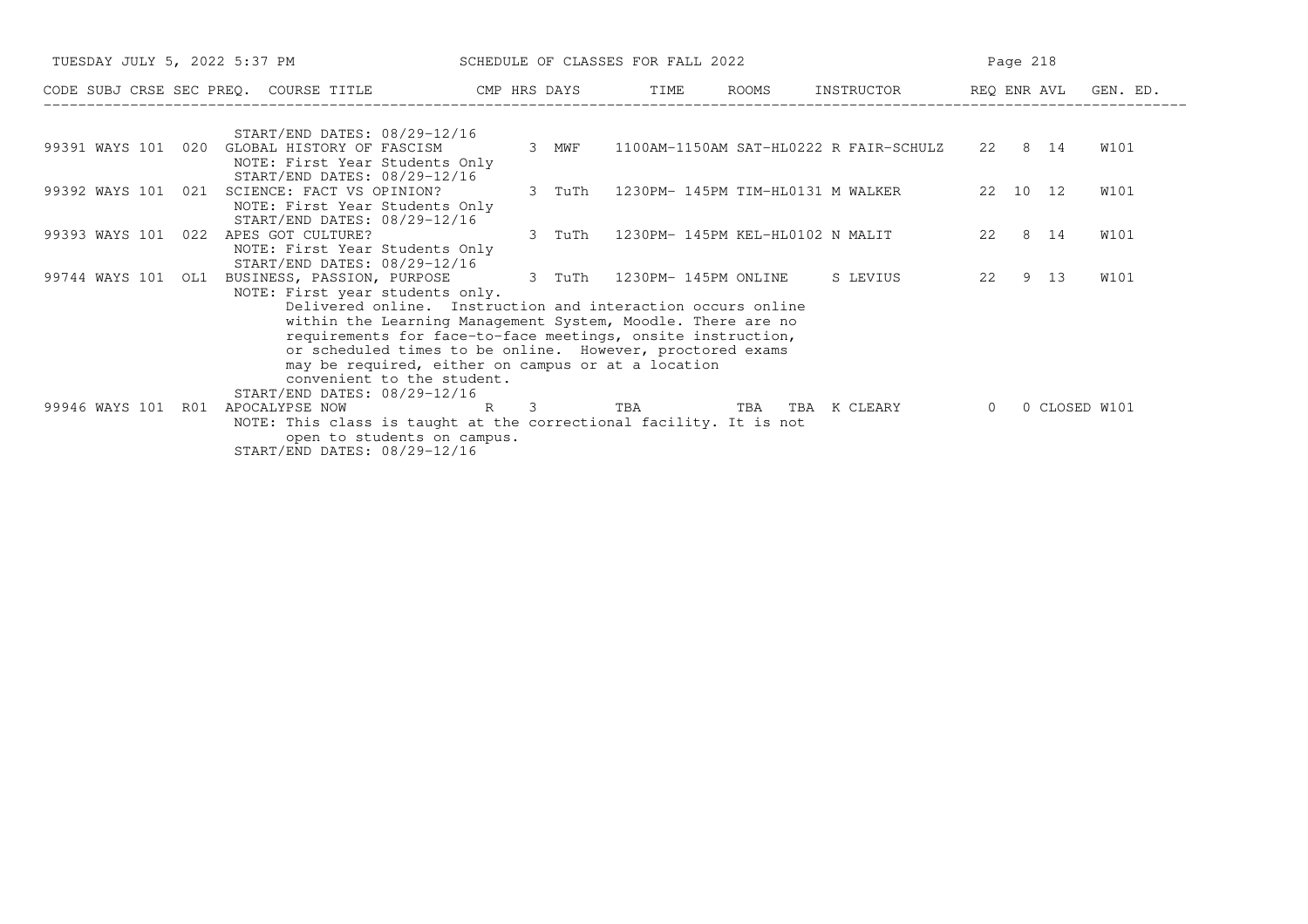| TUESDAY JULY 5, 2022 5:37 PM |     |                                                                    |                                                             | SCHEDULE OF CLASSES FOR FALL 2022 |        |  |  |  |                                          | Page 218 |  |      |  |
|------------------------------|-----|--------------------------------------------------------------------|-------------------------------------------------------------|-----------------------------------|--------|--|--|--|------------------------------------------|----------|--|------|--|
|                              |     | CODE SUBJ CRSE SEC PREQ. COURSE TITLE THE CMP HRS DAYS TIME        |                                                             |                                   |        |  |  |  | ROOMS INSTRUCTOR REQ ENR AVL GEN. ED.    |          |  |      |  |
|                              |     | START/END DATES: 08/29-12/16                                       |                                                             |                                   |        |  |  |  |                                          |          |  |      |  |
| 99391 WAYS 101 020           |     | GLOBAL HISTORY OF FASCISM                                          |                                                             |                                   | 3 MWF  |  |  |  | 1100AM-1150AM SAT-HL0222 R FAIR-SCHULZ   | 22 8 14  |  | W101 |  |
|                              |     | NOTE: First Year Students Only                                     |                                                             |                                   |        |  |  |  |                                          |          |  |      |  |
|                              |     | START/END DATES: 08/29-12/16                                       |                                                             |                                   |        |  |  |  |                                          |          |  |      |  |
| 99392 WAYS 101 021           |     | SCIENCE: FACT VS OPINION?                                          |                                                             |                                   | 3 TuTh |  |  |  | 1230PM- 145PM TIM-HL0131 M WALKER        | 22 10 12 |  | W101 |  |
|                              |     | NOTE: First Year Students Only                                     |                                                             |                                   |        |  |  |  |                                          |          |  |      |  |
|                              |     | START/END DATES: 08/29-12/16                                       |                                                             |                                   |        |  |  |  |                                          |          |  |      |  |
| 99393 WAYS 101 022           |     | APES GOT CULTURE?                                                  |                                                             |                                   | 3 TuTh |  |  |  | 1230PM- 145PM KEL-HL0102 N MALIT         | 22 8 14  |  | W101 |  |
|                              |     | NOTE: First Year Students Only<br>START/END DATES: 08/29-12/16     |                                                             |                                   |        |  |  |  |                                          |          |  |      |  |
| 99744 WAYS 101 OL1           |     | BUSINESS, PASSION, PURPOSE 3 TuTh 1230PM-145PM ONLINE S LEVIUS     |                                                             |                                   |        |  |  |  |                                          | 22 9 13  |  | W101 |  |
|                              |     | NOTE: First year students only.                                    |                                                             |                                   |        |  |  |  |                                          |          |  |      |  |
|                              |     |                                                                    | Delivered online. Instruction and interaction occurs online |                                   |        |  |  |  |                                          |          |  |      |  |
|                              |     |                                                                    | within the Learning Management System, Moodle. There are no |                                   |        |  |  |  |                                          |          |  |      |  |
|                              |     |                                                                    | requirements for face-to-face meetings, onsite instruction, |                                   |        |  |  |  |                                          |          |  |      |  |
|                              |     |                                                                    | or scheduled times to be online. However, proctored exams   |                                   |        |  |  |  |                                          |          |  |      |  |
|                              |     |                                                                    | may be required, either on campus or at a location          |                                   |        |  |  |  |                                          |          |  |      |  |
|                              |     |                                                                    | convenient to the student.                                  |                                   |        |  |  |  |                                          |          |  |      |  |
|                              |     | START/END DATES: 08/29-12/16                                       |                                                             |                                   |        |  |  |  |                                          |          |  |      |  |
| 99946 WAYS 101               | R01 | APOCALYPSE NOW                                                     |                                                             |                                   |        |  |  |  | R 3 TBA TBA TBA K CLEARY 0 0 CLOSED W101 |          |  |      |  |
|                              |     | NOTE: This class is taught at the correctional facility. It is not |                                                             |                                   |        |  |  |  |                                          |          |  |      |  |
|                              |     | START/END DATES: 08/29-12/16                                       | open to students on campus.                                 |                                   |        |  |  |  |                                          |          |  |      |  |
|                              |     |                                                                    |                                                             |                                   |        |  |  |  |                                          |          |  |      |  |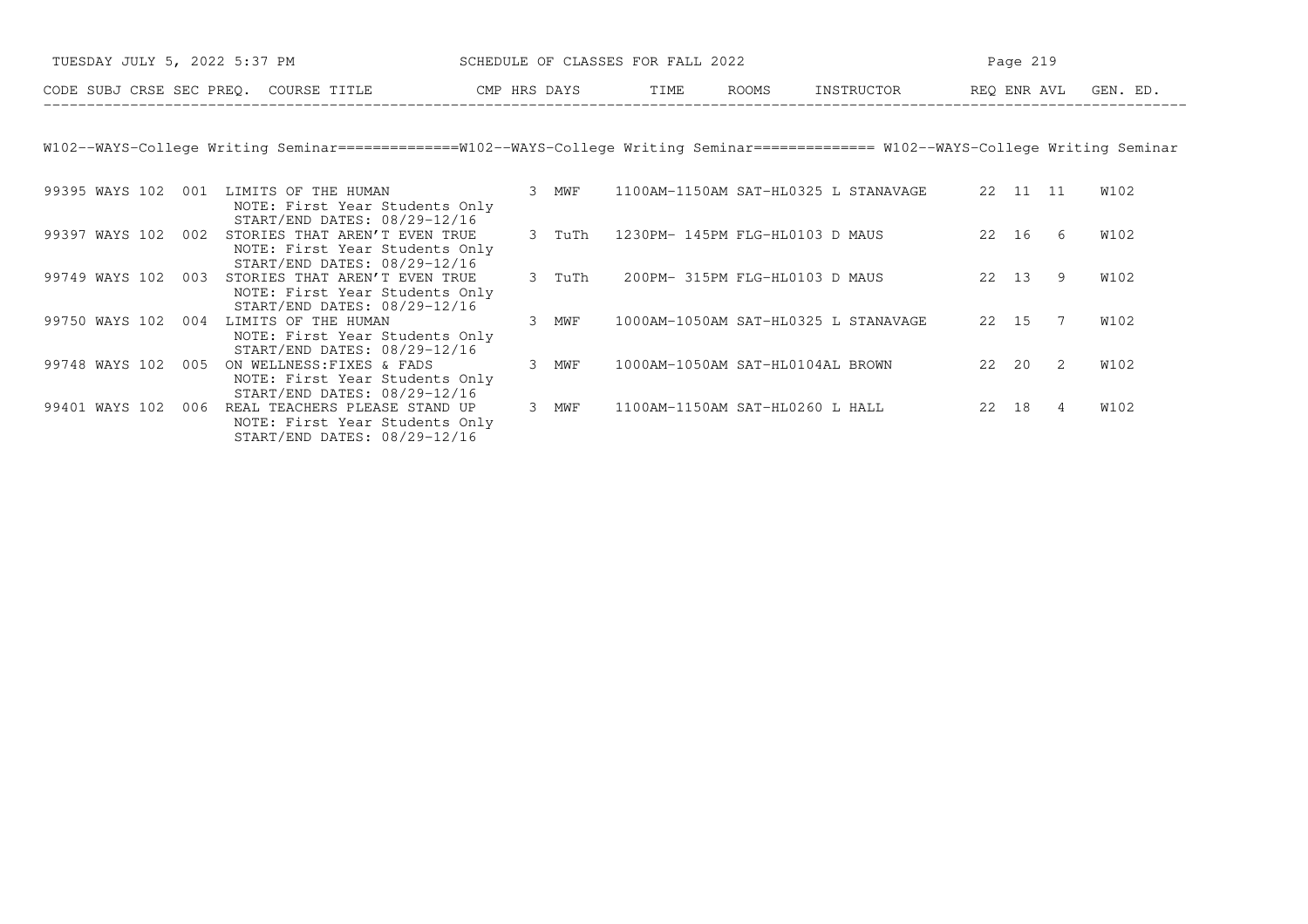| TUESDAY JULY 5, 2022 5:37 PM          | SCHEDULE OF CLASSES FOR FALL 2022 |                        | Page 219    |                        |  |  |  |
|---------------------------------------|-----------------------------------|------------------------|-------------|------------------------|--|--|--|
| CODE SUBJ CRSE SEC PREO. COURSE TITLE | CMP HRS DAYS                      | <b>ROOMS</b><br>T TMF. | INSTRIICTOR | GEN. ED<br>REO ENR AVL |  |  |  |

W102−−WAYS−College Writing Seminar==============W102−−WAYS−College Writing Seminar============== W102−−WAYS−College Writing Seminar

| 99395 WAYS 102 | 001 | LIMITS OF THE HUMAN<br>NOTE: First Year Students Only<br>START/END DATES: 08/29-12/16           | 3 | MWF    | 1100AM-1150AM SAT-HL0325 L STANAVAGE | 22    | 11    | 11 | W102 |
|----------------|-----|-------------------------------------------------------------------------------------------------|---|--------|--------------------------------------|-------|-------|----|------|
| 99397 WAYS 102 | 002 | STORIES THAT AREN'T EVEN TRUE<br>NOTE: First Year Students Only<br>START/END DATES: 08/29-12/16 |   | 3 TuTh | 1230PM- 145PM FLG-HL0103 D MAUS      | 22    | 16    | 6  | W102 |
| 99749 WAYS 102 | 003 | STORIES THAT AREN'T EVEN TRUE<br>NOTE: First Year Students Only<br>START/END DATES: 08/29-12/16 |   | 3 TuTh | 200PM- 315PM FLG-HL0103 D MAUS       |       | 22 13 | 9. | W102 |
| 99750 WAYS 102 | 004 | LIMITS OF THE HUMAN<br>NOTE: First Year Students Only<br>START/END DATES: 08/29-12/16           |   | MWF    | 1000AM-1050AM SAT-HL0325 L STANAVAGE | 22 15 |       |    | W102 |
| 99748 WAYS 102 | 005 | ON WELLNESS: FIXES & FADS<br>NOTE: First Year Students Only<br>START/END DATES: 08/29-12/16     |   | MWF    | 1000AM-1050AM SAT-HL0104AL BROWN     | 22    | 20    | 2  | W102 |
| 99401 WAYS 102 | 006 | REAL TEACHERS PLEASE STAND UP<br>NOTE: First Year Students Only<br>START/END DATES: 08/29-12/16 | 3 | MWF    | 1100AM-1150AM SAT-HL0260 L HALL      | 22    | 18    | 4  | W102 |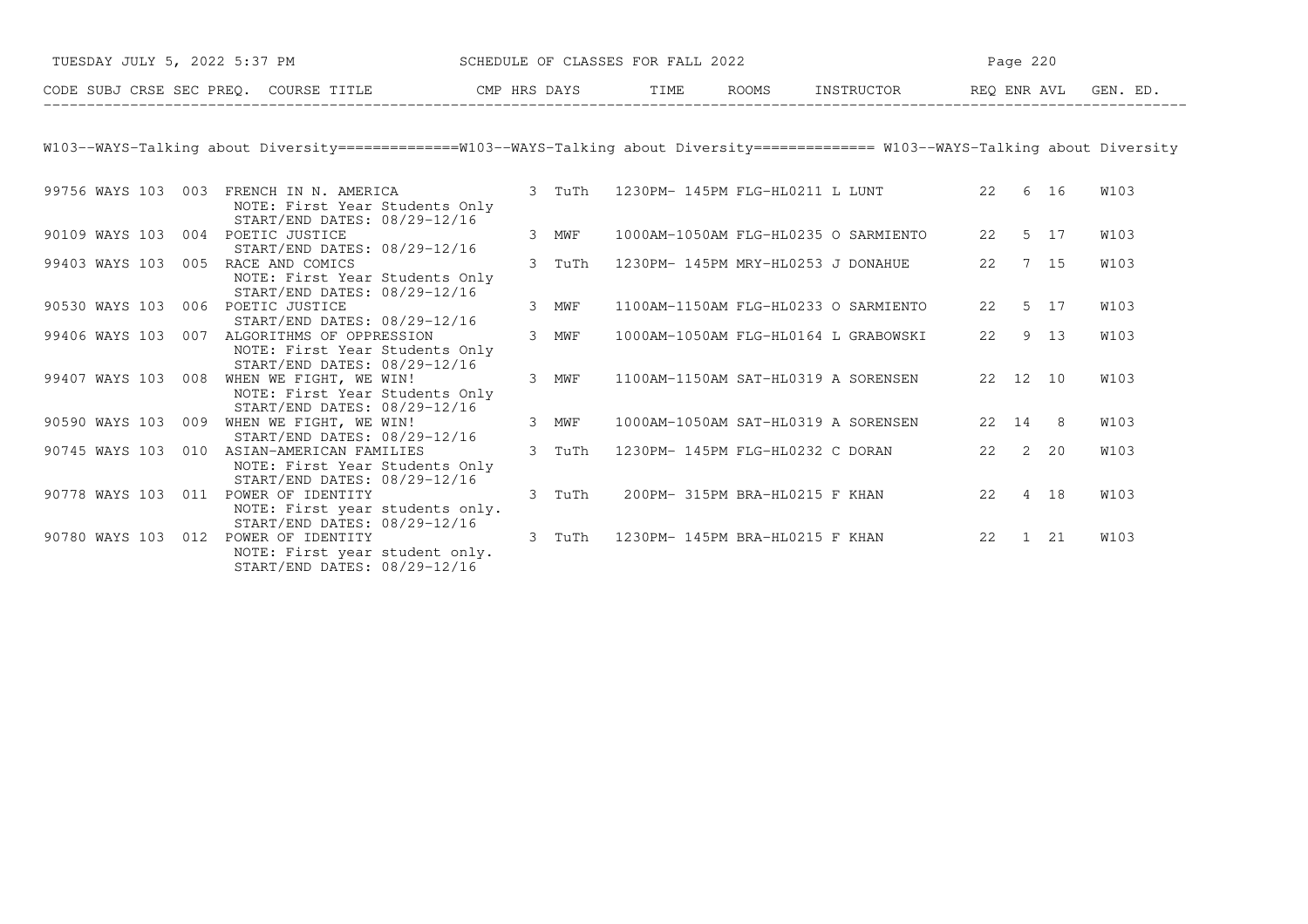| TUESDAY JULY 5, 2022 5:37 PM SCHEDULE OF CLASSES FOR FALL 2022                                                                         |        |  |                                             |          | Page 220 |             |
|----------------------------------------------------------------------------------------------------------------------------------------|--------|--|---------------------------------------------|----------|----------|-------------|
| CODE SUBJ CRSE SEC PREQ. COURSE TITLE CMP HRS DAYS TIME ROOMS INSTRUCTOR REQ ENR AVL GEN. ED.                                          |        |  |                                             |          |          |             |
|                                                                                                                                        |        |  |                                             |          |          |             |
| W103--WAYS-Talking about Diversity ===============W103--WAYS-Talking about Diversity ============== W103--WAYS-Talking about Diversity |        |  |                                             |          |          |             |
| 99756 WAYS 103 003 FRENCH IN N. AMERICA<br>NOTE: First Year Students Only<br>START/END DATES: 08/29-12/16                              | 3 TuTh |  | 1230PM- 145PM FLG-HL0211 L LUNT 22 6 16     |          |          | <b>W103</b> |
| 90109 WAYS 103 004 POETIC JUSTICE<br>START/END DATES: 08/29-12/16                                                                      | 3 MWF  |  | 1000AM-1050AM FLG-HL0235 O SARMIENTO        | 22 5 17  |          | <b>W103</b> |
| 99403 WAYS 103 005 RACE AND COMICS<br>NOTE: First Year Students Only<br>START/END DATES: 08/29-12/16                                   | 3 TuTh |  | 1230PM- 145PM MRY-HL0253 J DONAHUE          | 22       | 7 15     | <b>W103</b> |
| 90530 WAYS 103 006 POETIC JUSTICE<br>START/END DATES: 08/29-12/16                                                                      | 3 MWF  |  | 1100AM-1150AM FLG-HL0233 O SARMIENTO        |          | 22 5 17  | <b>W103</b> |
| 99406 WAYS 103 007 ALGORITHMS OF OPPRESSION<br>NOTE: First Year Students Only<br>START/END DATES: 08/29-12/16                          | 3 MWF  |  | 1000AM-1050AM FLG-HL0164 L GRABOWSKI        |          | 22 9 13  | <b>W103</b> |
| 99407 WAYS 103 008 WHEN WE FIGHT, WE WIN!<br>NOTE: First Year Students Only<br>START/END DATES: 08/29-12/16                            | 3 MWF  |  | 1100AM-1150AM SAT-HL0319 A SORENSEN         | 22 12 10 |          | <b>W103</b> |
| 90590 WAYS 103 009 WHEN WE FIGHT, WE WIN!<br>START/END DATES: 08/29-12/16                                                              | 3 MWF  |  | 1000AM-1050AM SAT-HL0319 A SORENSEN 22 14 8 |          |          | W103        |
| 90745 WAYS 103 010 ASIAN-AMERICAN FAMILIES<br>NOTE: First Year Students Only<br>START/END DATES: 08/29-12/16                           | 3 TuTh |  | 1230PM- 145PM FLG-HL0232 C DORAN 22 2 20    |          |          | <b>W103</b> |
| 90778 WAYS 103 011 POWER OF IDENTITY<br>NOTE: First year students only.<br>START/END DATES: 08/29-12/16                                | 3 TuTh |  | 200PM-315PM BRA-HL0215 F KHAN 22 4 18       |          |          | <b>W103</b> |
| 90780 WAYS 103 012 POWER OF IDENTITY<br>NOTE: First year student only.<br>START/END DATES: 08/29-12/16                                 | 3 TuTh |  | 1230PM- 145PM BRA-HL0215 F KHAN 22 1 21     |          |          | <b>W103</b> |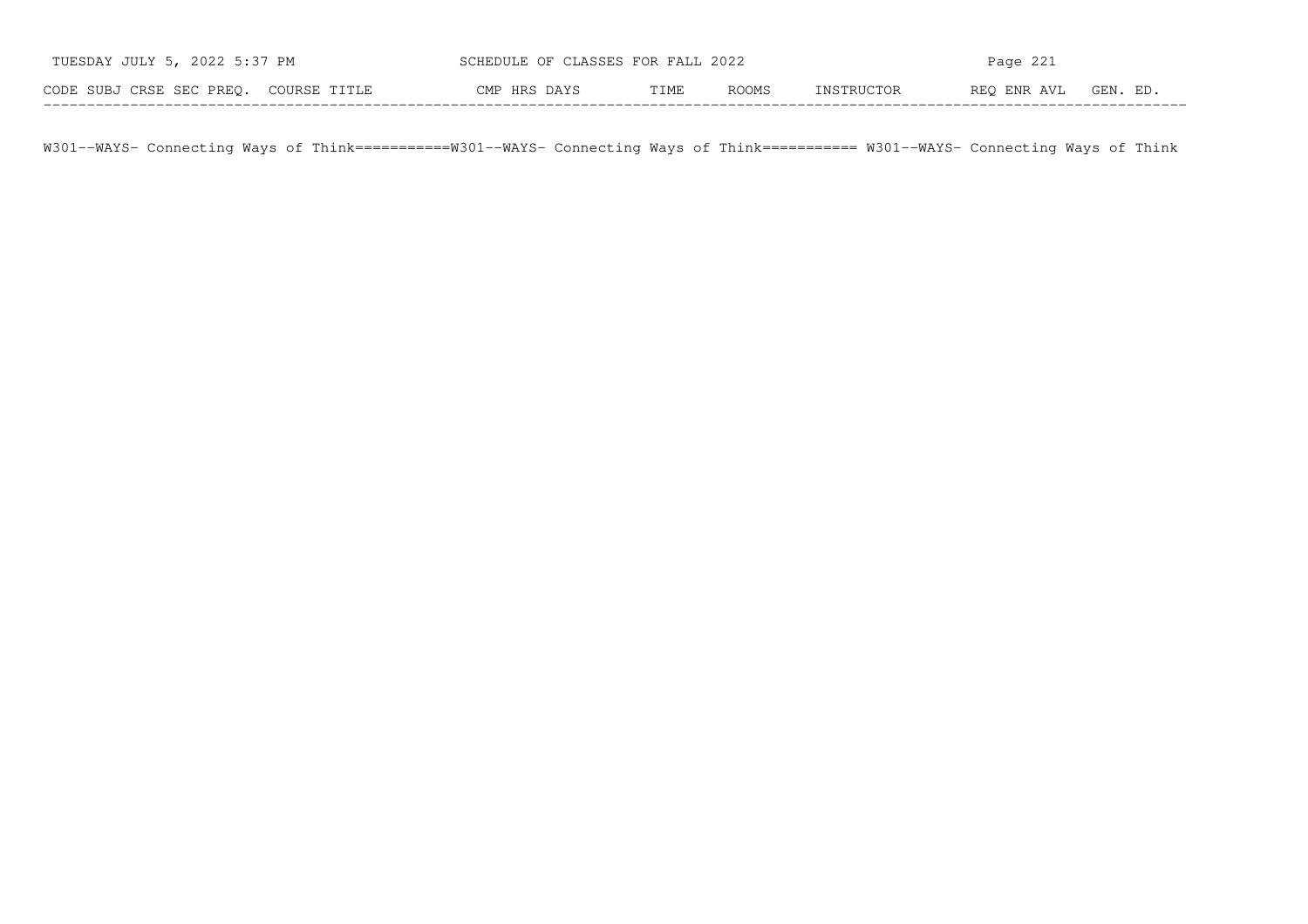| TUESDAY JULY 5, 2022 5:37 PM          | SCHEDULE OF CLASSES FOR FALL 2022 |      |              | Page 221   |             |          |  |  |
|---------------------------------------|-----------------------------------|------|--------------|------------|-------------|----------|--|--|
| CODE SUBJ CRSE SEC PREO. COURSE TITLE | CMP HRS DAYS                      | TIME | <b>ROOMS</b> | INSTRUCTOR | REO ENR AVL | GEN. ED. |  |  |

W301−−WAYS− Connecting Ways of Think===========W301−−WAYS− Connecting Ways of Think=========== W301−−WAYS− Connecting Ways of Think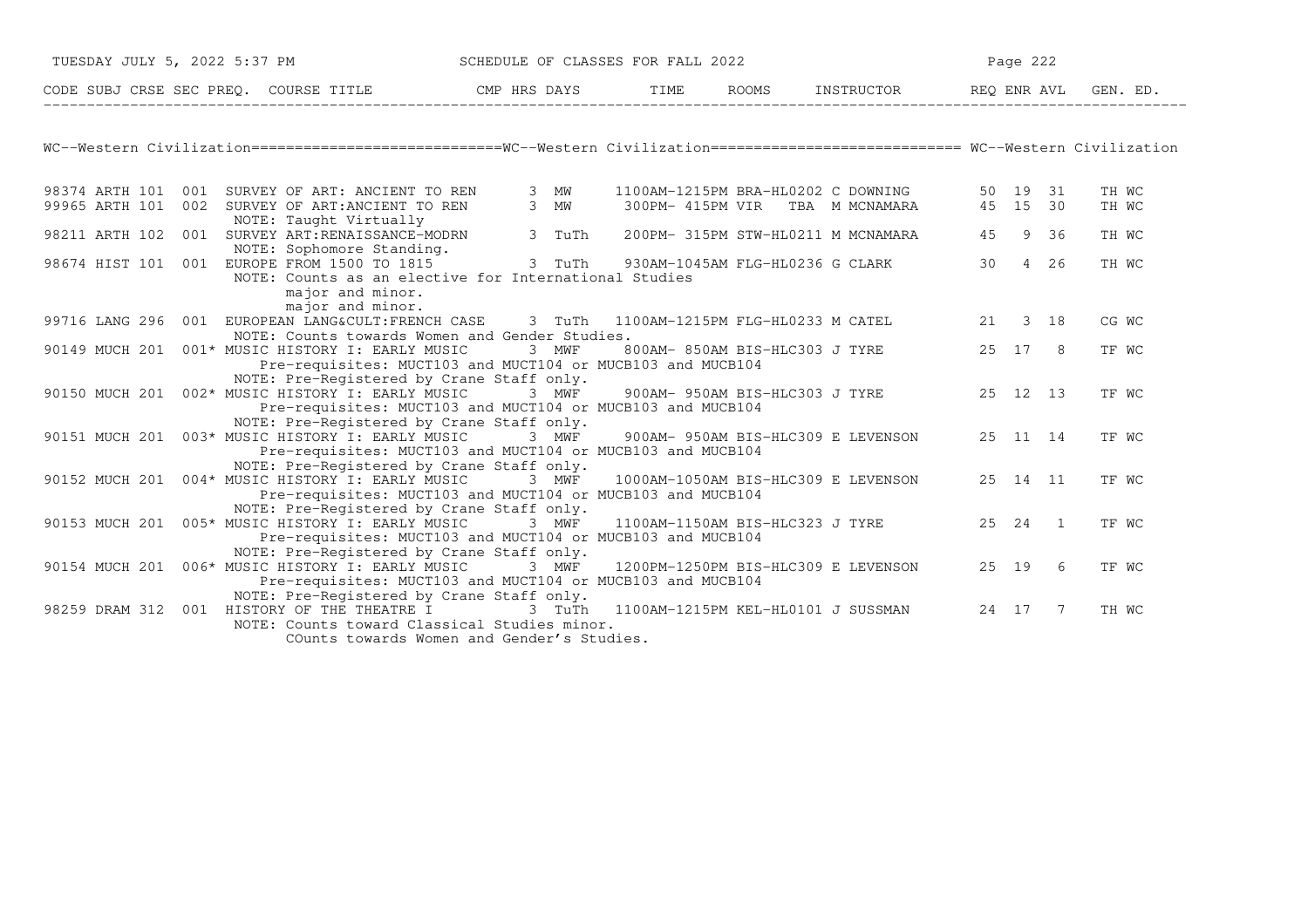| TUESDAY JULY 5, 2022 5:37 PM |                                                                                                                                                                                        | SCHEDULE OF CLASSES FOR FALL 2022 |  |                                     | Page 222        |           |       |
|------------------------------|----------------------------------------------------------------------------------------------------------------------------------------------------------------------------------------|-----------------------------------|--|-------------------------------------|-----------------|-----------|-------|
|                              | CODE SUBJ CRSE SEC PREQ. COURSE TITLE THE ROOMS TIME ROOMS INSTRUCTOR THE REQ ENR AVL GEN. ED.                                                                                         |                                   |  |                                     |                 |           |       |
|                              |                                                                                                                                                                                        |                                   |  |                                     |                 |           |       |
|                              | WC--Western Civilization==============================WC--Western Civilization=========================== WC--Western Civilization                                                     |                                   |  |                                     |                 |           |       |
|                              | 98374 ARTH 101 001 SURVEY OF ART: ANCIENT TO REN                                                                                                                                       | 3 MW                              |  | 1100AM-1215PM BRA-HL0202 C DOWNING  |                 | 50 19 31  | TH WC |
| 99965 ARTH 101               | 002 SURVEY OF ART: ANCIENT TO REN<br>NOTE: Taught Virtually                                                                                                                            | 3 MW                              |  | 300PM- 415PM VIR TBA M MCNAMARA     | 45 15 30        |           | TH WC |
| 98211 ARTH 102               | 001 SURVEY ART: RENAISSANCE-MODRN                                                                                                                                                      | 3 TuTh                            |  | 200PM- 315PM STW-HL0211 M MCNAMARA  |                 | 45 9 36   | TH WC |
|                              | NOTE: Sophomore Standing.<br>98674 HIST 101 001 EUROPE FROM 1500 TO 1815<br>NOTE: Counts as an elective for International Studies                                                      | 3 TuTh                            |  | 930AM-1045AM FLG-HL0236 G CLARK     | 30 <sup>7</sup> | 4 26      | TH WC |
|                              | major and minor.<br>major and minor.                                                                                                                                                   |                                   |  |                                     |                 |           |       |
|                              | 99716 LANG 296 001 EUROPEAN LANG&CULT:FRENCH CASE 3 TuTh 1100AM-1215PM FLG-HL0233 M CATEL                                                                                              |                                   |  |                                     |                 | 21 3 18   | CG WC |
|                              | NOTE: Counts towards Women and Gender Studies.<br>90149 MUCH 201 001* MUSIC HISTORY I: EARLY MUSIC<br>Pre-requisites: MUCT103 and MUCT104 or MUCB103 and MUCB104                       | 3 MWF                             |  | 800AM- 850AM BIS-HLC303 J TYRE      |                 | 25 17 8   | TF WC |
|                              | NOTE: Pre-Registered by Crane Staff only.<br>90150 MUCH 201 002* MUSIC HISTORY I: EARLY MUSIC<br>Pre-requisites: MUCT103 and MUCT104 or MUCB103 and MUCB104                            | 3 MWF                             |  | 900AM- 950AM BIS-HLC303 J TYRE      | 25 12 13        |           | TF WC |
|                              | NOTE: Pre-Registered by Crane Staff only.                                                                                                                                              |                                   |  |                                     |                 |           |       |
|                              | 90151 MUCH 201 003* MUSIC HISTORY I: EARLY MUSIC<br>Pre-requisites: MUCT103 and MUCT104 or MUCB103 and MUCB104                                                                         | 3 MWF                             |  | 900AM- 950AM BIS-HLC309 E LEVENSON  |                 | 25 11 14  | TF WC |
|                              | NOTE: Pre-Registered by Crane Staff only.<br>90152 MUCH 201 004* MUSIC HISTORY I: EARLY MUSIC 3 MWF<br>Pre-requisites: MUCT103 and MUCT104 or MUCB103 and MUCB104                      |                                   |  | 1000AM-1050AM BIS-HLC309 E LEVENSON |                 | 25 14 11  | TF WC |
|                              | NOTE: Pre-Registered by Crane Staff only.<br>90153 MUCH 201 005* MUSIC HISTORY I: EARLY MUSIC<br>Pre-requisites: MUCT103 and MUCT104 or MUCB103 and MUCB104                            | 3 MWF                             |  | 1100AM-1150AM BIS-HLC323 J TYRE     |                 | 25  24  1 | TF WC |
|                              | NOTE: Pre-Registered by Crane Staff only.<br>90154 MUCH 201 006* MUSIC HISTORY I: EARLY MUSIC<br>Pre-requisites: MUCT103 and MUCT104 or MUCB103 and MUCB104                            | 3 MWF                             |  | 1200PM-1250PM BIS-HLC309 E LEVENSON | 25 19           | 6         | TF WC |
|                              | NOTE: Pre-Registered by Crane Staff only.<br>98259 DRAM 312 001 HISTORY OF THE THEATRE I<br>NOTE: Counts toward Classical Studies minor.<br>COunts towards Women and Gender's Studies. | 3 TuTh                            |  | 1100AM-1215PM KEL-HL0101 J SUSSMAN  | 24 17           | 7         | TH WC |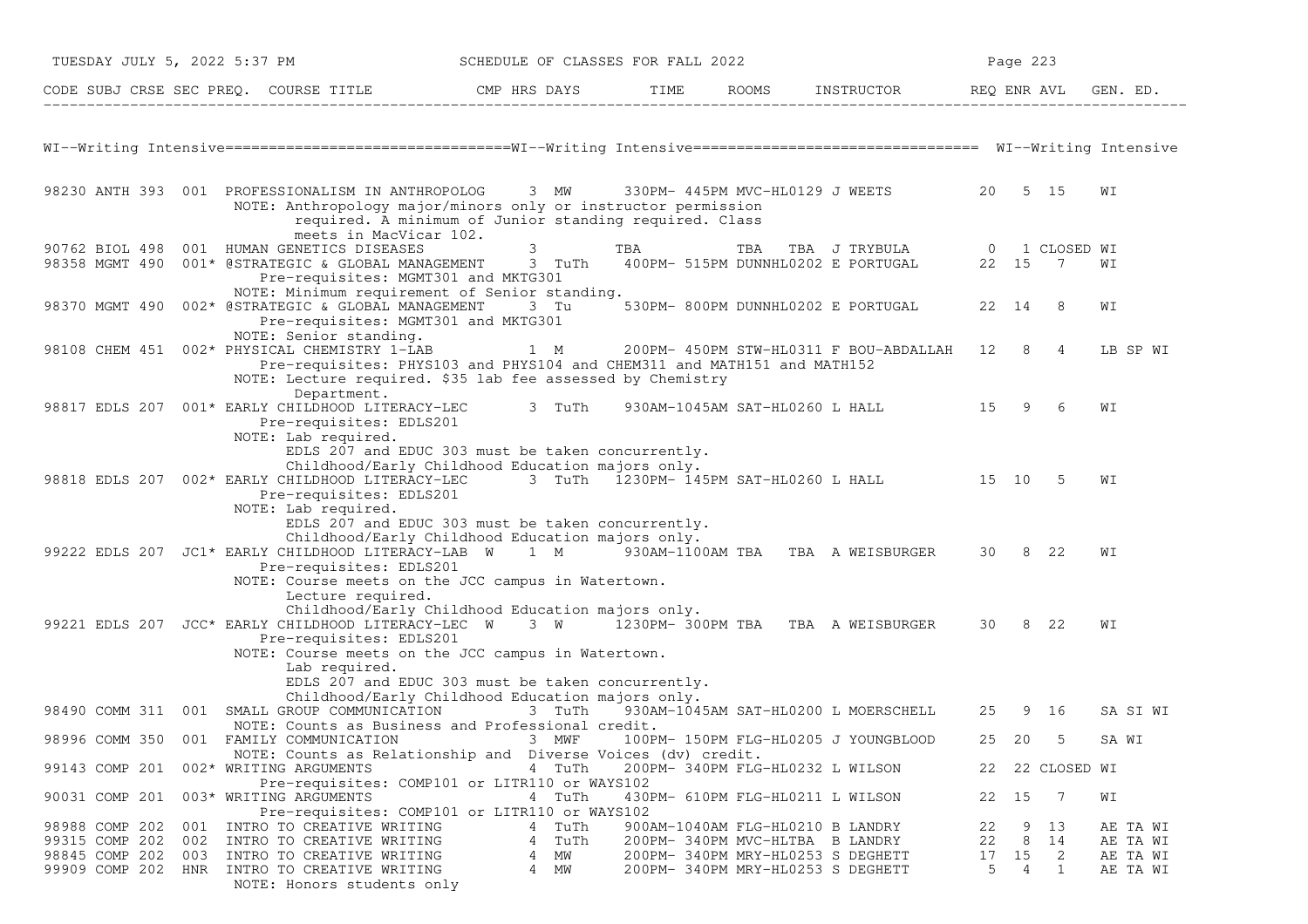| TUESDAY JULY 5, 2022 5:37 PM                               |                                                                                                                                                                                                                                                                                                             |        |                              | SCHEDULE OF CLASSES FOR FALL 2022 |     |                                                                                                                                              |                     | Page 223          |                    |                                              |
|------------------------------------------------------------|-------------------------------------------------------------------------------------------------------------------------------------------------------------------------------------------------------------------------------------------------------------------------------------------------------------|--------|------------------------------|-----------------------------------|-----|----------------------------------------------------------------------------------------------------------------------------------------------|---------------------|-------------------|--------------------|----------------------------------------------|
|                                                            |                                                                                                                                                                                                                                                                                                             |        |                              |                                   |     |                                                                                                                                              |                     |                   |                    | GEN. ED.                                     |
|                                                            |                                                                                                                                                                                                                                                                                                             |        |                              |                                   |     |                                                                                                                                              |                     |                   |                    |                                              |
|                                                            | 98230 ANTH 393 001 PROFESSIONALISM IN ANTHROPOLOG<br>NOTE: Anthropology major/minors only or instructor permission<br>required. A minimum of Junior standing required. Class<br>meets in MacVicar 102.                                                                                                      |        | 3 MW                         |                                   |     | 330PM- 445PM MVC-HL0129 J WEETS 20 5 15                                                                                                      |                     |                   |                    | WI                                           |
|                                                            | 90762 BIOL 498 001 HUMAN GENETICS DISEASES<br>98358 MGMT 490 001* @STRATEGIC & GLOBAL MANAGEMENT 3 TuTh<br>Pre-requisites: MGMT301 and MKTG301<br>NOTE: Minimum requirement of Senior standing.                                                                                                             |        | 3                            | TBA                               | TBA | TBA J TRYBULA 0 1 CLOSED WI<br>400PM- 515PM DUNNHL0202 E PORTUGAL                                                                            |                     | 22 15 7           |                    | WI                                           |
| 98370 MGMT 490                                             | 002* @STRATEGIC & GLOBAL MANAGEMENT<br>Pre-requisites: MGMT301 and MKTG301                                                                                                                                                                                                                                  |        | 3 Tu                         |                                   |     | 530PM- 800PM DUNNHL0202 E PORTUGAL                                                                                                           |                     | 22 14 8           |                    | WI                                           |
|                                                            | NOTE: Senior standing.<br>98108 CHEM 451 002* PHYSICAL CHEMISTRY 1-LAB<br>Pre-requisites: PHYS103 and PHYS104 and CHEM311 and MATH151 and MATH152<br>NOTE: Lecture required. \$35 lab fee assessed by Chemistry<br>Department.                                                                              | 1 M    |                              |                                   |     | 200PM- 450PM STW-HL0311 F BOU-ABDALLAH 12 8 4                                                                                                |                     |                   |                    | LB SP WI                                     |
|                                                            | 98817 EDLS 207 001* EARLY CHILDHOOD LITERACY-LEC 3 TuTh<br>Pre-requisites: EDLS201<br>NOTE: Lab required.<br>EDLS 207 and EDUC 303 must be taken concurrently.                                                                                                                                              |        |                              |                                   |     | 930AM-1045AM SAT-HL0260 L HALL 15 9                                                                                                          |                     |                   | 6                  | WΙ                                           |
|                                                            | Childhood/Early Childhood Education majors only.<br>98818 EDLS 207 002* EARLY CHILDHOOD LITERACY-LEC 3 TuTh 1230PM-145PM SAT-HL0260 L HALL 15 10<br>Pre-requisites: EDLS201<br>NOTE: Lab required.<br>EDLS 207 and EDUC 303 must be taken concurrently.                                                     |        |                              |                                   |     |                                                                                                                                              |                     |                   | - 5                | WΙ                                           |
|                                                            | Childhood/Early Childhood Education majors only.<br>99222 EDLS 207 JC1* EARLY CHILDHOOD LITERACY-LAB W 1 M 930AM-1100AM TBA TBA A WEISBURGER 30 8 22<br>Pre-requisites: EDLS201<br>NOTE: Course meets on the JCC campus in Watertown.<br>Lecture required.                                                  |        |                              |                                   |     |                                                                                                                                              |                     |                   |                    | WΙ                                           |
|                                                            | Childhood/Early Childhood Education majors only.<br>99221 EDLS 207 JCC* EARLY CHILDHOOD LITERACY-LEC W 3 W 1230PM-300PM TBA TBA A WEISBURGER 30 8 22<br>Pre-requisites: EDLS201<br>NOTE: Course meets on the JCC campus in Watertown.<br>Lab required.<br>EDLS 207 and EDUC 303 must be taken concurrently. |        |                              |                                   |     |                                                                                                                                              |                     |                   |                    | WI                                           |
|                                                            | Childhood/Early Childhood Education majors only.<br>98490 COMM 311 001 SMALL GROUP COMMUNICATION                                                                                                                                                                                                            | 3 TuTh |                              |                                   |     | 930AM-1045AM SAT-HL0200 L MOERSCHELL                                                                                                         |                     | 25 9 16           |                    | SA SI WI                                     |
|                                                            | NOTE: Counts as Business and Professional credit.<br>98996 COMM 350 001 FAMILY COMMUNICATION<br>NOTE: Counts as Relationship and Diverse Voices (dv) credit.                                                                                                                                                |        | 3 MWF                        |                                   |     | 100PM- 150PM FLG-HL0205 J YOUNGBLOOD                                                                                                         |                     | 25 20             | .5                 | SA WI                                        |
| 99143 COMP 201                                             | 002* WRITING ARGUMENTS<br>Pre-requisites: COMP101 or LITR110 or WAYS102                                                                                                                                                                                                                                     |        | 4 TuTh                       |                                   |     | 200PM- 340PM FLG-HL0232 L WILSON                                                                                                             |                     |                   | 22 22 CLOSED WI    |                                              |
| 90031 COMP 201                                             | 003* WRITING ARGUMENTS<br>Pre-requisites: COMP101 or LITR110 or WAYS102                                                                                                                                                                                                                                     |        | 4 TuTh                       |                                   |     | 430PM- 610PM FLG-HL0211 L WILSON                                                                                                             |                     | 22 15             | $\overline{7}$     | WI                                           |
| 98988 COMP 202<br>99315 COMP 202 002<br>98845 COMP 202 003 | 001 INTRO TO CREATIVE WRITING<br>INTRO TO CREATIVE WRITING<br>INTRO TO CREATIVE WRITING<br>99909 COMP 202 HNR INTRO TO CREATIVE WRITING<br>NOTE: Honors students only                                                                                                                                       | 4<br>4 | 4 TuTh<br>TuTh<br>MM<br>4 MW |                                   |     | 900AM-1040AM FLG-HL0210 B LANDRY<br>200PM-340PM MVC-HLTBA B LANDRY<br>200PM- 340PM MRY-HL0253 S DEGHETT<br>200PM- 340PM MRY-HL0253 S DEGHETT | 22<br>22<br>17<br>5 | 9<br>8<br>15<br>4 | 13<br>14<br>2<br>1 | AE TA WI<br>AE TA WI<br>AE TA WI<br>AE TA WI |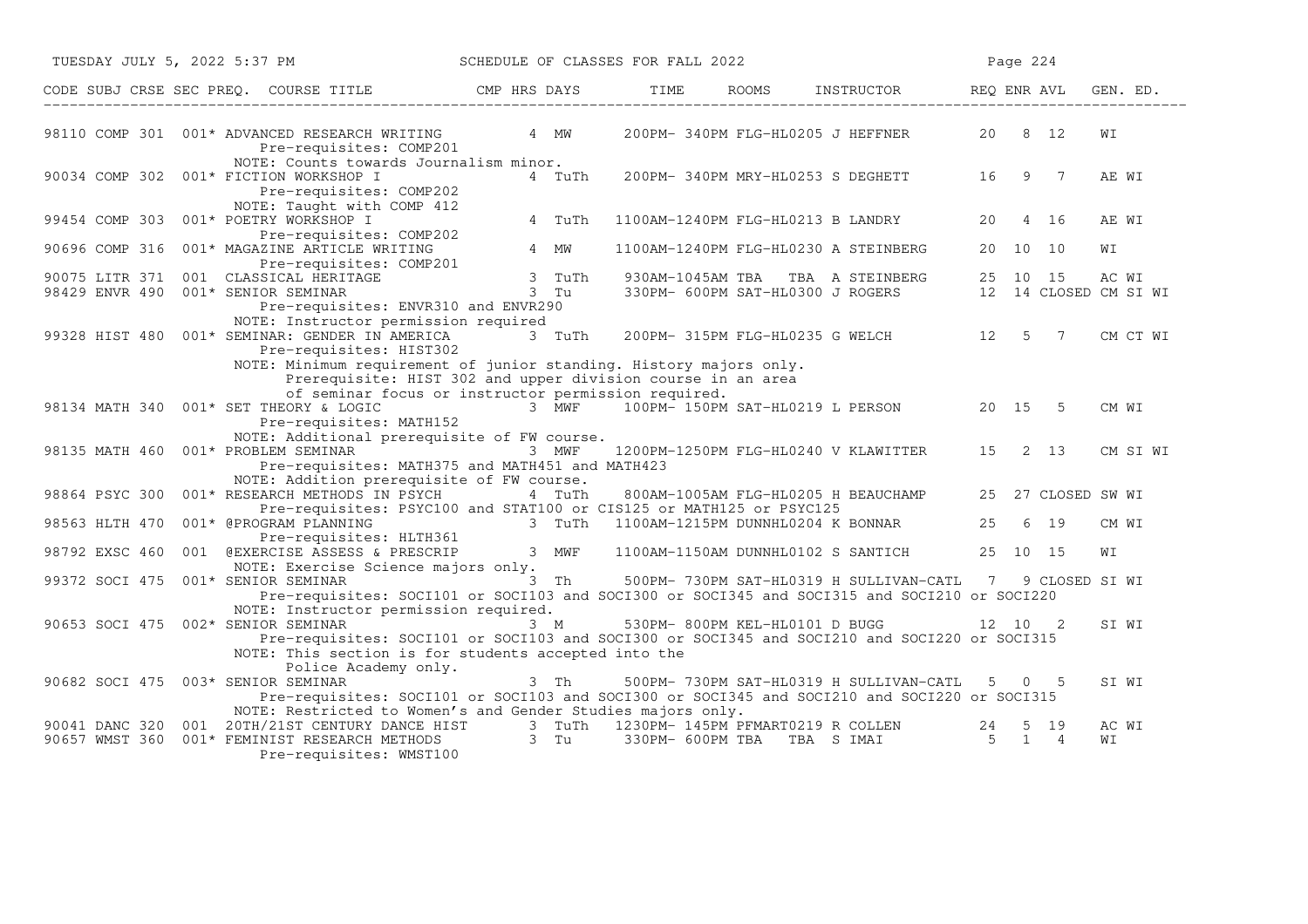| TUESDAY JULY 5, 2022 5:37 PM                                                                                                                                                                                                          | SCHEDULE OF CLASSES FOR FALL 2022        |                             |                                                                                                         | Page 224 |                    |             |
|---------------------------------------------------------------------------------------------------------------------------------------------------------------------------------------------------------------------------------------|------------------------------------------|-----------------------------|---------------------------------------------------------------------------------------------------------|----------|--------------------|-------------|
| CODE SUBJ CRSE SEC PREQ. COURSE TITLE THE CAP HRS DAYS TIME TIME                                                                                                                                                                      |                                          |                             | ROOMS INSTRUCTOR REQ ENR AVL                                                                            |          |                    | GEN. ED.    |
| 98110 COMP 301 001* ADVANCED RESEARCH WRITING<br>Pre-requisites: COMP201                                                                                                                                                              | 4 MW                                     |                             | 200PM- 340PM FLG-HL0205 J HEFFNER                                                                       | 20 8 12  |                    | WΙ          |
| NOTE: Counts towards Journalism minor.<br>90034 COMP 302 001* FICTION WORKSHOP I<br>Pre-requisites: COMP202<br>NOTE: Taught with COMP 412                                                                                             | 4 TuTh                                   |                             | 200PM-340PM MRY-HL0253 S DEGHETT 16 9 7                                                                 |          |                    | AE WI       |
| 001* POETRY WORKSHOP I<br>99454 COMP 303<br>Pre-requisites: COMP202                                                                                                                                                                   | 4 TuTh                                   |                             | 1100AM-1240PM FLG-HL0213 B LANDRY                                                                       | 20       | 4 16               | AE WI       |
| 90696 COMP 316<br>001* MAGAZINE ARTICLE WRITING<br>Pre-requisites: COMP201                                                                                                                                                            | 4 MW                                     |                             | 1100AM-1240PM FLG-HL0230 A STEINBERG                                                                    | 20 10 10 |                    | WΙ          |
| 90075 LITR 371 001 CLASSICAL HERITAGE<br>98429 ENVR 490 001* SENIOR SEMINAR                                                                                                                                                           | 3 TuTh<br>$3$ Tu                         |                             | 930AM-1045AM TBA TBA A STEINBERG 25 10 15 AC WI<br>330PM-600PM SAT-HL0300 JROGERS 12 14 CLOSED CM SI WI |          |                    |             |
| Pre-requisites: ENVR310 and ENVR290<br>NOTE: Instructor permission required                                                                                                                                                           |                                          |                             |                                                                                                         |          |                    |             |
| 99328 HIST 480 001* SEMINAR: GENDER IN AMERICA<br>Pre-requisites: HIST302                                                                                                                                                             | 3 TuTh                                   |                             | 200PM-315PM FLG-HL0235 G WELCH 12 5 7                                                                   |          |                    | CM CT WI    |
| NOTE: Minimum requirement of junior standing. History majors only.<br>Prerequisite: HIST 302 and upper division course in an area<br>of seminar focus or instructor permission required.                                              |                                          |                             |                                                                                                         |          |                    |             |
| 98134 MATH 340 001* SET THEORY & LOGIC<br>Pre-requisites: MATH152                                                                                                                                                                     |                                          |                             | 3 MWF 100PM-150PM SAT-HL0219 L PERSON 20 15 5                                                           |          |                    | CM WI       |
| NOTE: Additional prerequisite of FW course.<br>98135 MATH 460 001* PROBLEM SEMINAR<br>Pre-requisites: MATH375 and MATH451 and MATH423                                                                                                 | 3 MWF                                    |                             | 1200PM-1250PM FLG-HL0240 V KLAWITTER                                                                    | 15 2 13  |                    | CM SI WI    |
| NOTE: Addition prerequisite of FW course.<br>98864 PSYC 300 001* RESEARCH METHODS IN PSYCH                                                                                                                                            | 4 TuTh                                   |                             | 800AM-1005AM FLG-HL0205 H BEAUCHAMP                                                                     |          | 25 27 CLOSED SW WI |             |
| Pre-requisites: PSYC100 and STAT100 or CIS125 or MATH125 or PSYC125<br>001* @PROGRAM PLANNING<br>98563 HLTH 470                                                                                                                       | 3 TuTh 1100AM-1215PM DUNNHL0204 K BONNAR |                             |                                                                                                         | 25       | 6 19               | CM WI       |
| Pre-requisites: HLTH361<br>98792 EXSC 460 001 @EXERCISE ASSESS & PRESCRIP 3 MWF<br>NOTE: Exercise Science majors only.                                                                                                                |                                          |                             | 1100AM-1150AM DUNNHL0102 S SANTICH                                                                      | 25 10 15 |                    | WΙ          |
| 99372 SOCI 475 001* SENIOR SEMINAR<br>Pre-requisites: SOCI101 or SOCI103 and SOCI300 or SOCI345 and SOCI315 and SOCI210 or SOCI220                                                                                                    | 3 Th                                     |                             | 500PM- 730PM SAT-HL0319 H SULLIVAN-CATL 7 9 CLOSED SI WI                                                |          |                    |             |
| NOTE: Instructor permission required.<br>90653 SOCI 475 002* SENIOR SEMINAR<br>Pre-requisites: SOCI101 or SOCI103 and SOCI300 or SOCI345 and SOCI210 and SOCI220 or SOCI315<br>NOTE: This section is for students accepted into the   | a Tanzania (1999) e superior<br>$3 \, M$ |                             | 530PM-800PM KEL-HL0101 D BUGG 12 10 2                                                                   |          |                    | SI WI       |
| Police Academy only.<br>90682 SOCI 475 003* SENIOR SEMINAR<br>Pre-requisites: SOCI101 or SOCI103 and SOCI300 or SOCI345 and SOCI210 and SOCI220 or SOCI315                                                                            | 3 Th                                     |                             | 500PM- 730PM SAT-HL0319 H SULLIVAN-CATL                                                                 |          | 5 0 5              | SI WI       |
| NOTE: Restricted to Women's and Gender Studies majors only.<br>90041 DANC 320 001 20TH/21ST CENTURY DANCE HIST 3 TuTh 1230PM-145PM PFMART0219 R COLLEN<br>90657 WMST 360<br>001* FEMINIST RESEARCH METHODS<br>Pre-requisites: WMST100 | 3 Tu                                     | 330PM- 600PM TBA TBA S IMAI |                                                                                                         | 24       | 5 19<br>5 1 4      | AC WI<br>WI |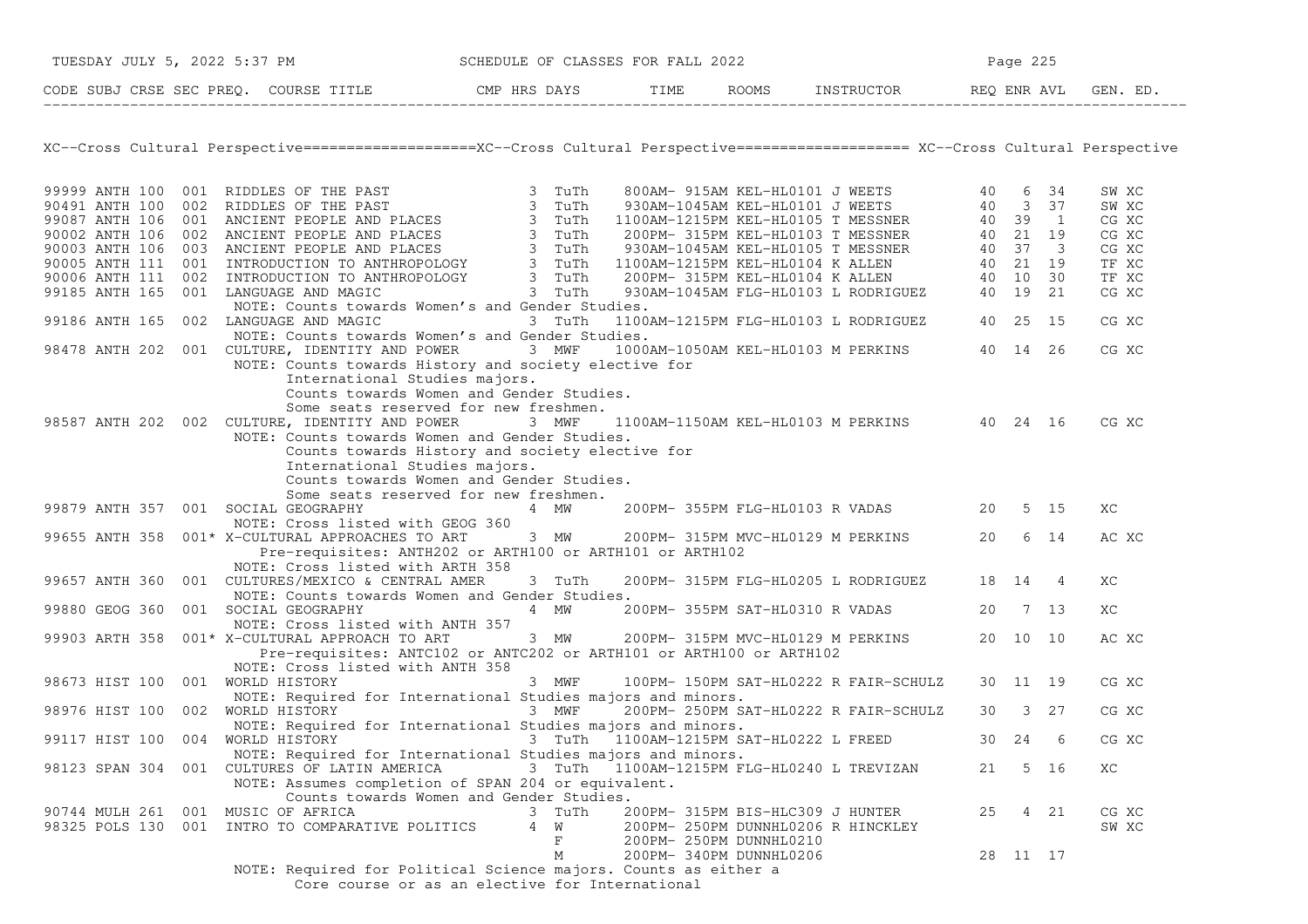|                                     | TUESDAY JULY 5, 2022 5:37 PM SCHEDULE OF CLASSES FOR FALL 2022                                                                     |                                       |                         |                                                      | Page 225 |          |  |       |
|-------------------------------------|------------------------------------------------------------------------------------------------------------------------------------|---------------------------------------|-------------------------|------------------------------------------------------|----------|----------|--|-------|
|                                     | CODE SUBJ CRSE SEC PREQ. COURSE TITLE COMP HRS DAYS TIME ROOMS INSTRUCTOR REQ ENR AVL GEN. ED.                                     |                                       |                         |                                                      |          |          |  |       |
|                                     |                                                                                                                                    |                                       |                         |                                                      |          |          |  |       |
|                                     | XC--Cross Cultural Perspective====================XC--Cross Cultural Perspective=================== XC--Cross Cultural Perspective |                                       |                         |                                                      |          |          |  |       |
|                                     |                                                                                                                                    |                                       |                         |                                                      |          |          |  | SW XC |
|                                     |                                                                                                                                    |                                       |                         |                                                      |          |          |  | SW XC |
|                                     |                                                                                                                                    |                                       |                         |                                                      |          |          |  | CG XC |
|                                     |                                                                                                                                    |                                       |                         |                                                      |          |          |  | CG XC |
|                                     |                                                                                                                                    |                                       |                         |                                                      |          |          |  | CG XC |
|                                     |                                                                                                                                    |                                       |                         |                                                      |          |          |  | TF XC |
|                                     |                                                                                                                                    |                                       |                         |                                                      |          |          |  | TF XC |
|                                     |                                                                                                                                    |                                       |                         |                                                      |          |          |  | CG XC |
|                                     | NOTE: Counts towards Women's and Gender Studies.                                                                                   |                                       |                         |                                                      |          |          |  |       |
|                                     | 99186 ANTH 165 002 LANGUAGE AND MAGIC                                                                                              | 3 TuTh                                |                         | 1100AM-1215PM FLG-HL0103 L RODRIGUEZ 40 25 15        |          |          |  | CG XC |
|                                     | NOTE: Counts towards Women's and Gender Studies.                                                                                   |                                       |                         |                                                      |          |          |  |       |
|                                     | 98478 ANTH 202 001 CULTURE, IDENTITY AND POWER 3 MWF 1000AM-1050AM KEL-HL0103 M PERKINS 40 14 26                                   |                                       |                         |                                                      |          |          |  | CG XC |
|                                     | NOTE: Counts towards History and society elective for                                                                              |                                       |                         |                                                      |          |          |  |       |
|                                     | International Studies majors.                                                                                                      |                                       |                         |                                                      |          |          |  |       |
|                                     | Counts towards Women and Gender Studies.                                                                                           |                                       |                         |                                                      |          |          |  |       |
|                                     | Some seats reserved for new freshmen.                                                                                              |                                       |                         |                                                      |          |          |  |       |
|                                     | 98587 ANTH 202 002 CULTURE, IDENTITY AND POWER 3 MWF                                                                               |                                       |                         | 1100AM-1150AM KEL-HL0103 M PERKINS 40 24 16          |          |          |  | CG XC |
|                                     | NOTE: Counts towards Women and Gender Studies.                                                                                     |                                       |                         |                                                      |          |          |  |       |
|                                     | Counts towards History and society elective for                                                                                    |                                       |                         |                                                      |          |          |  |       |
|                                     | International Studies majors.                                                                                                      |                                       |                         |                                                      |          |          |  |       |
|                                     | Counts towards Women and Gender Studies.                                                                                           |                                       |                         |                                                      |          |          |  |       |
|                                     | Some seats reserved for new freshmen.                                                                                              |                                       |                         |                                                      |          |          |  |       |
| 99879 ANTH 357 001 SOCIAL GEOGRAPHY |                                                                                                                                    | 4 MW                                  |                         | 200PM- 355PM FLG-HL0103 R VADAS 20 5 15              |          |          |  | ХC    |
|                                     | NOTE: Cross listed with GEOG 360<br>99655 ANTH 358 001* X-CULTURAL APPROACHES TO ART 3 MW 200PM-315PM MVC-HL0129 M PERKINS 20 6 14 |                                       |                         |                                                      |          |          |  | AC XC |
|                                     | Pre-requisites: ANTH202 or ARTH100 or ARTH101 or ARTH102                                                                           |                                       |                         |                                                      |          |          |  |       |
|                                     | NOTE: Cross listed with ARTH 358                                                                                                   |                                       |                         |                                                      |          |          |  |       |
|                                     | 99657 ANTH 360 001 CULTURES/MEXICO & CENTRAL AMER                                                                                  | 3 TuTh                                |                         | 200PM- 315PM FLG-HL0205 L RODRIGUEZ 18 14 4          |          |          |  | ХC    |
|                                     | NOTE: Counts towards Women and Gender Studies.                                                                                     |                                       |                         |                                                      |          |          |  |       |
| 99880 GEOG 360                      | 001 SOCIAL GEOGRAPHY                                                                                                               |                                       |                         | 4 MW 200PM-355PM SAT-HL0310 R VADAS 20 7 13          |          |          |  | ХC    |
|                                     | NOTE: Cross listed with ANTH 357                                                                                                   |                                       |                         |                                                      |          |          |  |       |
|                                     | 99903 ARTH 358 001* X-CULTURAL APPROACH TO ART                                                                                     | 3 MW 200PM-315PM MVC-HL0129 M PERKINS |                         |                                                      |          | 20 10 10 |  | AC XC |
|                                     | Pre-requisites: ANTC102 or ANTC202 or ARTH101 or ARTH100 or ARTH102                                                                |                                       |                         |                                                      |          |          |  |       |
|                                     | NOTE: Cross listed with ANTH 358                                                                                                   |                                       |                         |                                                      |          |          |  |       |
| 98673 HIST 100 001 WORLD HISTORY    |                                                                                                                                    | 3 MWF                                 |                         | 100PM- 150PM SAT-HL0222 R FAIR-SCHULZ 30 11 19       |          |          |  | CG XC |
|                                     | NOTE: Required for International Studies majors and minors.                                                                        |                                       |                         |                                                      |          |          |  |       |
| 98976 HIST 100 002 WORLD HISTORY    |                                                                                                                                    | 3 MWF                                 |                         | $\int$ 200PM- 250PM SAT-HL0222 R FAIR-SCHULZ 30 3 27 |          |          |  | CG XC |
|                                     | NOTE: Required for International Studies majors and minors.                                                                        |                                       |                         |                                                      |          |          |  |       |
|                                     | 99117 HIST 100 004 WORLD HISTORY 6 6 70 1100AM-1215PM SAT-HLO222 L FREED 30 24 6                                                   |                                       |                         |                                                      |          |          |  | CG XC |
|                                     | NOTE: Required for International Studies majors and minors.                                                                        |                                       |                         |                                                      |          |          |  |       |
|                                     | 98123 SPAN 304 001 CULTURES OF LATIN AMERICA                                                                                       |                                       |                         | 3 TuTh 1100AM-1215PM FLG-HL0240 L TREVIZAN           | 21       | 5 16     |  | ХC    |
|                                     | NOTE: Assumes completion of SPAN 204 or equivalent.                                                                                |                                       |                         |                                                      |          |          |  |       |
|                                     | Counts towards Women and Gender Studies.                                                                                           |                                       |                         |                                                      |          |          |  |       |
| 90744 MULH 261 001 MUSIC OF AFRICA  |                                                                                                                                    | 3 TuTh                                |                         | 200PM- 315PM BIS-HLC309 J HUNTER                     | 25       | 4 21     |  | CG XC |
|                                     | 98325 POLS 130 001 INTRO TO COMPARATIVE POLITICS                                                                                   | 4 W                                   |                         | 200PM- 250PM DUNNHL0206 R HINCKLEY                   |          |          |  | SW XC |
|                                     |                                                                                                                                    | F                                     | 200PM- 250PM DUNNHL0210 |                                                      |          |          |  |       |
|                                     |                                                                                                                                    | М                                     | 200PM- 340PM DUNNHL0206 |                                                      |          | 28 11 17 |  |       |
|                                     | NOTE: Required for Political Science majors. Counts as either a                                                                    |                                       |                         |                                                      |          |          |  |       |
|                                     | Core course or as an elective for International                                                                                    |                                       |                         |                                                      |          |          |  |       |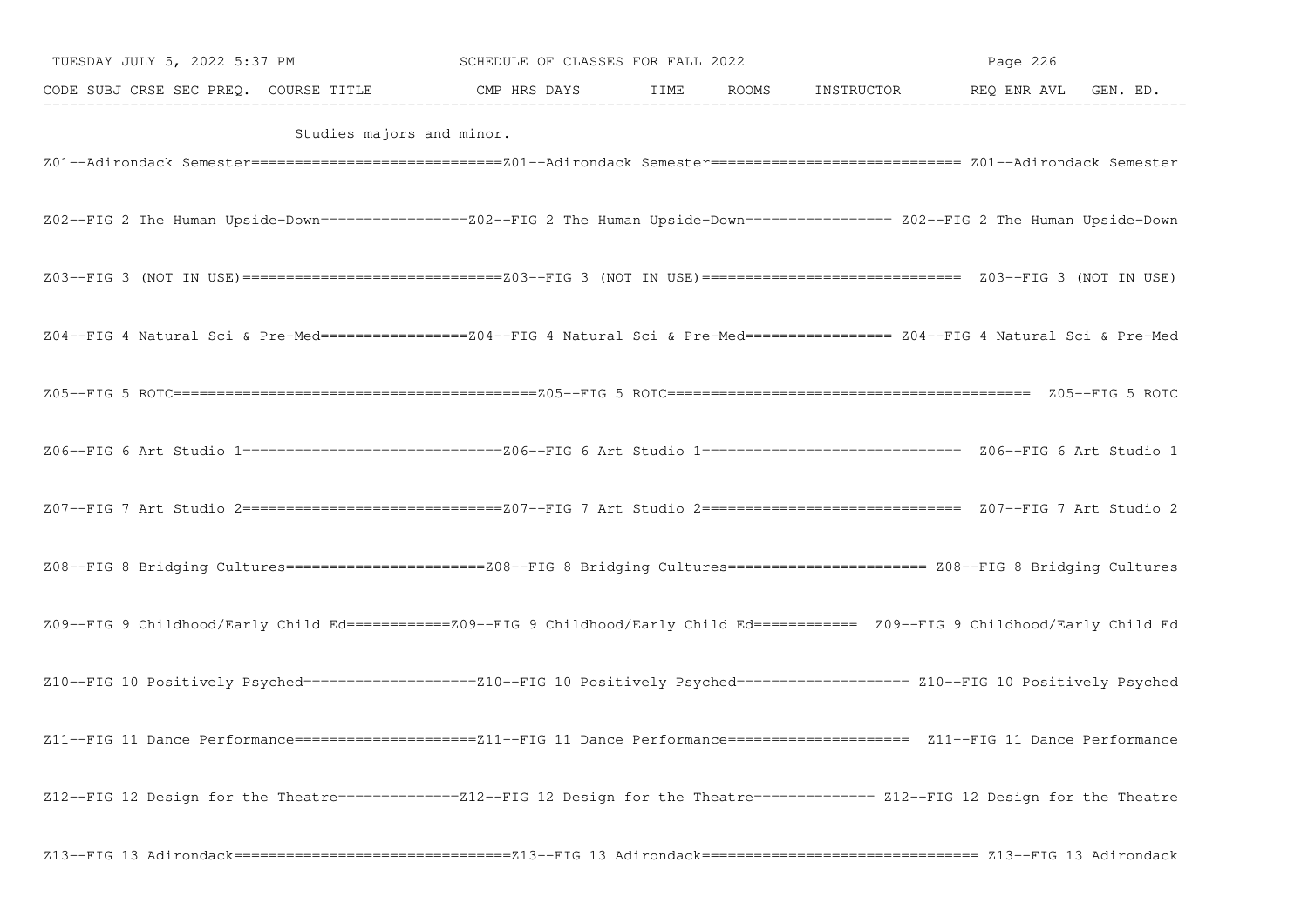| TUESDAY JULY 5, 2022 5:37 PM                                                                                                         | SCHEDULE OF CLASSES FOR FALL 2022 |  | Page 226 |  |
|--------------------------------------------------------------------------------------------------------------------------------------|-----------------------------------|--|----------|--|
| CODE SUBJ CRSE SEC PREQ. COURSE TITLE CMP HRS DAYS TIME ROOMS INSTRUCTOR REQ ENR AVL GEN. ED.                                        |                                   |  |          |  |
| Studies majors and minor.                                                                                                            |                                   |  |          |  |
| Z02--FIG 2 The Human Upside-Down==================Z02--FIG 2 The Human Upside-Down================= Z02--FIG 2 The Human Upside-Down |                                   |  |          |  |
|                                                                                                                                      |                                   |  |          |  |
| Z04--FIG 4 Natural Sci & Pre-Med=================Z04--FIG 4 Natural Sci & Pre-Med================ Z04--FIG 4 Natural Sci & Pre-Med   |                                   |  |          |  |
|                                                                                                                                      |                                   |  |          |  |
|                                                                                                                                      |                                   |  |          |  |
|                                                                                                                                      |                                   |  |          |  |
| Z08--FIG 8 Bridging Cultures========================208--FIG 8 Bridging Cultures===================== Z08--FIG 8 Bridging Cultures   |                                   |  |          |  |
| Z09--FIG 9 Childhood/Early Child Ed===========Z09--FIG 9 Childhood/Early Child Ed=========== Z09--FIG 9 Childhood/Early Child Ed     |                                   |  |          |  |
| Z10--FIG 10 Positively Psyched===================Z10--FIG 10 Positively Psyched=================== Z10--FIG 10 Positively Psyched    |                                   |  |          |  |
| Z11--FIG 11 Dance Performance=====================Z11--FIG 11 Dance Performance==================== Z11--FIG 11 Dance Performance    |                                   |  |          |  |
| Z12--FIG 12 Design for the Theatre==============212--FIG 12 Design for the Theatre============== Z12--FIG 12 Design for the Theatre  |                                   |  |          |  |
|                                                                                                                                      |                                   |  |          |  |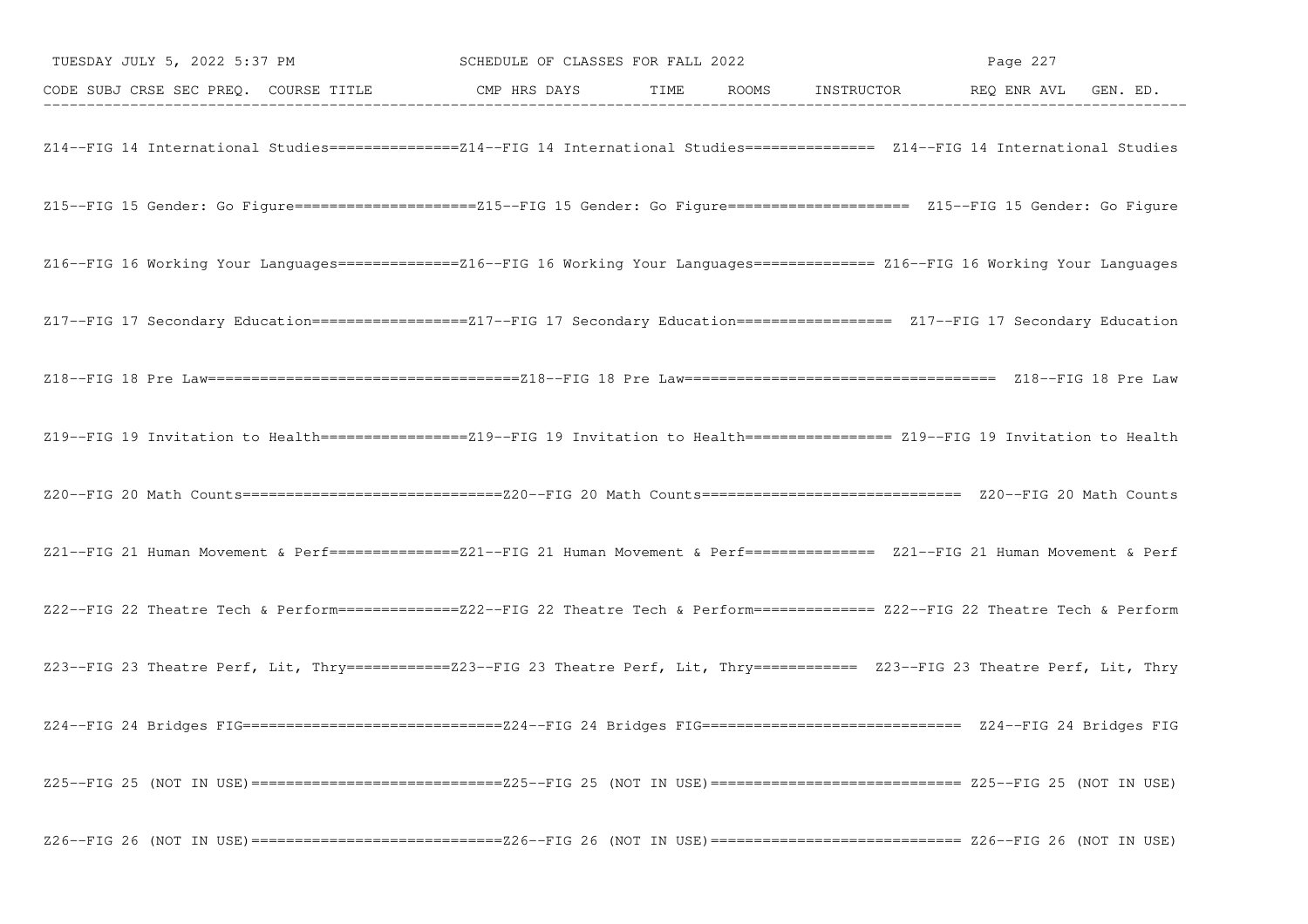| TUESDAY JULY 5, 2022 5:37 PM SCHEDULE OF CLASSES FOR FALL 2022                                                                        |  | Page 227 |  |
|---------------------------------------------------------------------------------------------------------------------------------------|--|----------|--|
| CODE SUBJ CRSE SEC PREQ. COURSE TITLE CMP HRS DAYS TIME ROOMS INSTRUCTOR REQ ENR AVL GEN. ED.                                         |  |          |  |
| Z14--FIG 14 International Studies===============214--FIG 14 International Studies============== Z14--FIG 14 International Studies     |  |          |  |
| Z15--FIG 15 Gender: Go Figure======================Z15--FIG 15 Gender: Go Figure===================== Z15--FIG 15 Gender: Go Figure   |  |          |  |
| Z16--FIG 16 Working Your Languages==============216--FIG 16 Working Your Languages============= Z16--FIG 16 Working Your Languages    |  |          |  |
| Z17--FIG 17 Secondary Education=================Z17--FIG 17 Secondary Education================== Z17--FIG 17 Secondary Education     |  |          |  |
|                                                                                                                                       |  |          |  |
| Z19--FIG 19 Invitation to Health =================219--FIG 19 Invitation to Health ================= Z19--FIG 19 Invitation to Health |  |          |  |
|                                                                                                                                       |  |          |  |
| Z21--FIG 21 Human Movement & Perf===============221--FIG 21 Human Movement & Perf============== Z21--FIG 21 Human Movement & Perf     |  |          |  |
| Z22--FIG 22 Theatre Tech & Perform===============Z22--FIG 22 Theatre Tech & Perform============= Z22--FIG 22 Theatre Tech & Perform   |  |          |  |
| Z23--FIG 23 Theatre Perf, Lit, Thry ===========Z23--FIG 23 Theatre Perf, Lit, Thry =========== Z23--FIG 23 Theatre Perf, Lit, Thry    |  |          |  |
|                                                                                                                                       |  |          |  |
|                                                                                                                                       |  |          |  |
|                                                                                                                                       |  |          |  |